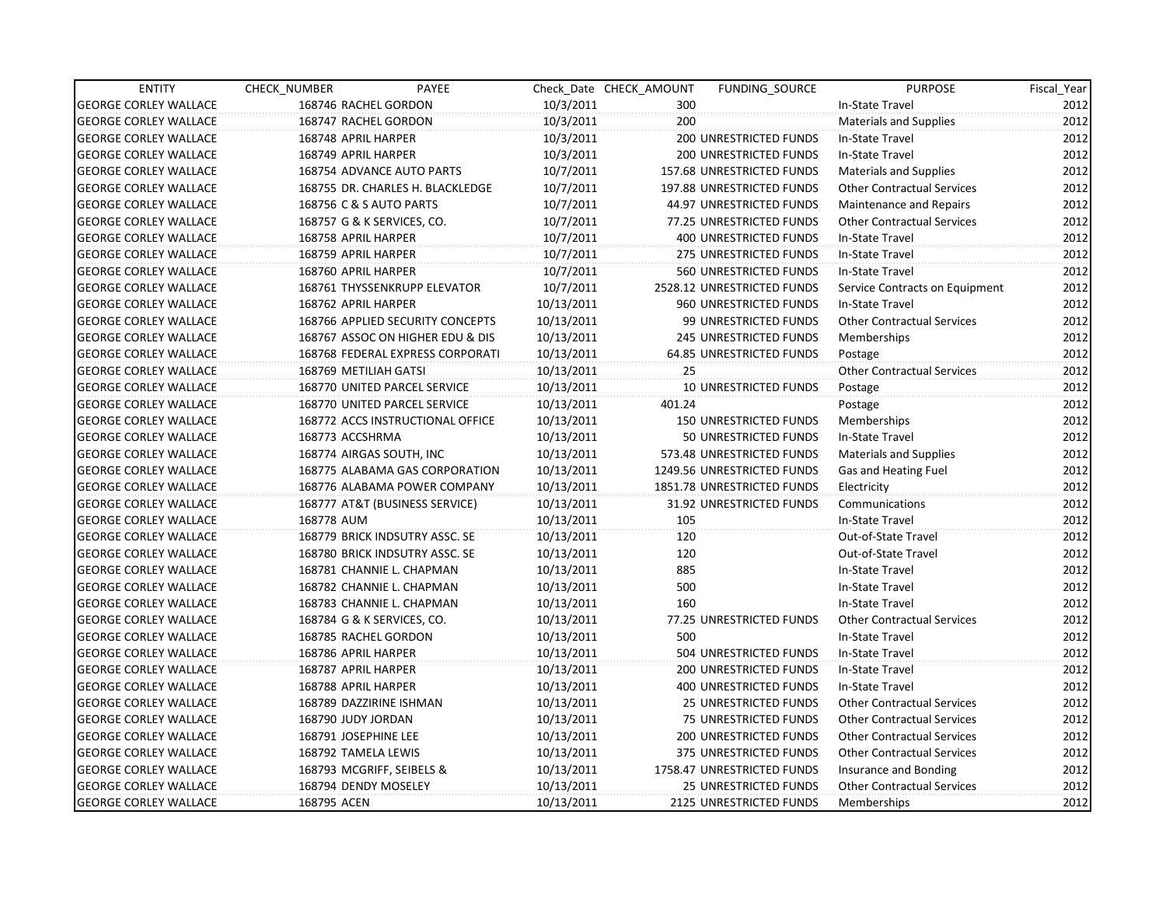| <b>ENTITY</b>                | CHECK_NUMBER             | PAYEE                            |            | Check Date CHECK AMOUNT | FUNDING_SOURCE                | <b>PURPOSE</b>                    | Fiscal_Year |
|------------------------------|--------------------------|----------------------------------|------------|-------------------------|-------------------------------|-----------------------------------|-------------|
| <b>GEORGE CORLEY WALLACE</b> | 168746 RACHEL GORDON     |                                  | 10/3/2011  | 300                     |                               | In-State Travel                   | 2012        |
| <b>GEORGE CORLEY WALLACE</b> | 168747 RACHEL GORDON     |                                  | 10/3/2011  | 200                     |                               | <b>Materials and Supplies</b>     | 2012        |
| <b>GEORGE CORLEY WALLACE</b> | 168748 APRIL HARPER      |                                  | 10/3/2011  |                         | 200 UNRESTRICTED FUNDS        | In-State Travel                   | 2012        |
| <b>GEORGE CORLEY WALLACE</b> | 168749 APRIL HARPER      |                                  | 10/3/2011  |                         | <b>200 UNRESTRICTED FUNDS</b> | In-State Travel                   | 2012        |
| <b>GEORGE CORLEY WALLACE</b> |                          | 168754 ADVANCE AUTO PARTS        | 10/7/2011  |                         | 157.68 UNRESTRICTED FUNDS     | <b>Materials and Supplies</b>     | 2012        |
| <b>GEORGE CORLEY WALLACE</b> |                          | 168755 DR. CHARLES H. BLACKLEDGE | 10/7/2011  |                         | 197.88 UNRESTRICTED FUNDS     | <b>Other Contractual Services</b> | 2012        |
| <b>GEORGE CORLEY WALLACE</b> | 168756 C & S AUTO PARTS  |                                  | 10/7/2011  |                         | 44.97 UNRESTRICTED FUNDS      | Maintenance and Repairs           | 2012        |
| <b>GEORGE CORLEY WALLACE</b> |                          | 168757 G & K SERVICES, CO.       | 10/7/2011  |                         | 77.25 UNRESTRICTED FUNDS      | <b>Other Contractual Services</b> | 2012        |
| <b>GEORGE CORLEY WALLACE</b> | 168758 APRIL HARPER      |                                  | 10/7/2011  |                         | 400 UNRESTRICTED FUNDS        | In-State Travel                   | 2012        |
| <b>GEORGE CORLEY WALLACE</b> | 168759 APRIL HARPER      |                                  | 10/7/2011  |                         | 275 UNRESTRICTED FUNDS        | In-State Travel                   | 2012        |
| <b>GEORGE CORLEY WALLACE</b> | 168760 APRIL HARPER      |                                  | 10/7/2011  |                         | 560 UNRESTRICTED FUNDS        | In-State Travel                   | 2012        |
| <b>GEORGE CORLEY WALLACE</b> |                          | 168761 THYSSENKRUPP ELEVATOR     | 10/7/2011  |                         | 2528.12 UNRESTRICTED FUNDS    | Service Contracts on Equipment    | 2012        |
| <b>GEORGE CORLEY WALLACE</b> | 168762 APRIL HARPER      |                                  | 10/13/2011 |                         | 960 UNRESTRICTED FUNDS        | In-State Travel                   | 2012        |
| <b>GEORGE CORLEY WALLACE</b> |                          | 168766 APPLIED SECURITY CONCEPTS | 10/13/2011 |                         | 99 UNRESTRICTED FUNDS         | <b>Other Contractual Services</b> | 2012        |
| <b>GEORGE CORLEY WALLACE</b> |                          | 168767 ASSOC ON HIGHER EDU & DIS | 10/13/2011 |                         | 245 UNRESTRICTED FUNDS        | Memberships                       | 2012        |
| <b>GEORGE CORLEY WALLACE</b> |                          | 168768 FEDERAL EXPRESS CORPORATI | 10/13/2011 |                         | 64.85 UNRESTRICTED FUNDS      | Postage                           | 2012        |
| <b>GEORGE CORLEY WALLACE</b> | 168769 METILIAH GATSI    |                                  | 10/13/2011 | 25                      |                               | <b>Other Contractual Services</b> | 2012        |
| <b>GEORGE CORLEY WALLACE</b> |                          | 168770 UNITED PARCEL SERVICE     | 10/13/2011 |                         | 10 UNRESTRICTED FUNDS         | Postage                           | 2012        |
| <b>GEORGE CORLEY WALLACE</b> |                          | 168770 UNITED PARCEL SERVICE     | 10/13/2011 | 401.24                  |                               | Postage                           | 2012        |
| <b>GEORGE CORLEY WALLACE</b> |                          | 168772 ACCS INSTRUCTIONAL OFFICE | 10/13/2011 |                         | <b>150 UNRESTRICTED FUNDS</b> | Memberships                       | 2012        |
| <b>GEORGE CORLEY WALLACE</b> | 168773 ACCSHRMA          |                                  | 10/13/2011 |                         | 50 UNRESTRICTED FUNDS         | In-State Travel                   | 2012        |
| <b>GEORGE CORLEY WALLACE</b> | 168774 AIRGAS SOUTH, INC |                                  | 10/13/2011 |                         | 573.48 UNRESTRICTED FUNDS     | <b>Materials and Supplies</b>     | 2012        |
| <b>GEORGE CORLEY WALLACE</b> |                          | 168775 ALABAMA GAS CORPORATION   | 10/13/2011 |                         | 1249.56 UNRESTRICTED FUNDS    | Gas and Heating Fuel              | 2012        |
| <b>GEORGE CORLEY WALLACE</b> |                          | 168776 ALABAMA POWER COMPANY     | 10/13/2011 |                         | 1851.78 UNRESTRICTED FUNDS    | Electricity                       | 2012        |
| <b>GEORGE CORLEY WALLACE</b> |                          | 168777 AT&T (BUSINESS SERVICE)   | 10/13/2011 |                         | 31.92 UNRESTRICTED FUNDS      | Communications                    | 2012        |
| <b>GEORGE CORLEY WALLACE</b> | 168778 AUM               |                                  | 10/13/2011 | 105                     |                               | In-State Travel                   | 2012        |
| <b>GEORGE CORLEY WALLACE</b> |                          | 168779 BRICK INDSUTRY ASSC. SE   | 10/13/2011 | 120                     |                               | Out-of-State Travel               | 2012        |
| <b>GEORGE CORLEY WALLACE</b> |                          | 168780 BRICK INDSUTRY ASSC. SE   | 10/13/2011 | 120                     |                               | Out-of-State Travel               | 2012        |
| <b>GEORGE CORLEY WALLACE</b> |                          | 168781 CHANNIE L. CHAPMAN        | 10/13/2011 | 885                     |                               | In-State Travel                   | 2012        |
| <b>GEORGE CORLEY WALLACE</b> |                          | 168782 CHANNIE L. CHAPMAN        | 10/13/2011 | 500                     |                               | In-State Travel                   | 2012        |
| <b>GEORGE CORLEY WALLACE</b> |                          | 168783 CHANNIE L. CHAPMAN        | 10/13/2011 | 160                     |                               | In-State Travel                   | 2012        |
| <b>GEORGE CORLEY WALLACE</b> |                          | 168784 G & K SERVICES, CO.       | 10/13/2011 |                         | 77.25 UNRESTRICTED FUNDS      | <b>Other Contractual Services</b> | 2012        |
| <b>GEORGE CORLEY WALLACE</b> | 168785 RACHEL GORDON     |                                  | 10/13/2011 | 500                     |                               | In-State Travel                   | 2012        |
| <b>GEORGE CORLEY WALLACE</b> | 168786 APRIL HARPER      |                                  | 10/13/2011 |                         | 504 UNRESTRICTED FUNDS        | In-State Travel                   | 2012        |
| <b>GEORGE CORLEY WALLACE</b> | 168787 APRIL HARPER      |                                  | 10/13/2011 |                         | <b>200 UNRESTRICTED FUNDS</b> | In-State Travel                   | 2012        |
| <b>GEORGE CORLEY WALLACE</b> | 168788 APRIL HARPER      |                                  | 10/13/2011 |                         | <b>400 UNRESTRICTED FUNDS</b> | In-State Travel                   | 2012        |
| <b>GEORGE CORLEY WALLACE</b> | 168789 DAZZIRINE ISHMAN  |                                  | 10/13/2011 |                         | <b>25 UNRESTRICTED FUNDS</b>  | <b>Other Contractual Services</b> | 2012        |
| <b>GEORGE CORLEY WALLACE</b> | 168790 JUDY JORDAN       |                                  | 10/13/2011 |                         | 75 UNRESTRICTED FUNDS         | <b>Other Contractual Services</b> | 2012        |
| <b>GEORGE CORLEY WALLACE</b> | 168791 JOSEPHINE LEE     |                                  | 10/13/2011 |                         | 200 UNRESTRICTED FUNDS        | <b>Other Contractual Services</b> | 2012        |
| <b>GEORGE CORLEY WALLACE</b> | 168792 TAMELA LEWIS      |                                  | 10/13/2011 |                         | 375 UNRESTRICTED FUNDS        | <b>Other Contractual Services</b> | 2012        |
| <b>GEORGE CORLEY WALLACE</b> |                          | 168793 MCGRIFF, SEIBELS &        | 10/13/2011 |                         | 1758.47 UNRESTRICTED FUNDS    | Insurance and Bonding             | 2012        |
| <b>GEORGE CORLEY WALLACE</b> | 168794 DENDY MOSELEY     |                                  | 10/13/2011 |                         | 25 UNRESTRICTED FUNDS         | <b>Other Contractual Services</b> | 2012        |
| <b>GEORGE CORLEY WALLACE</b> | 168795 ACEN              |                                  | 10/13/2011 |                         | 2125 UNRESTRICTED FUNDS       | Memberships                       | 2012        |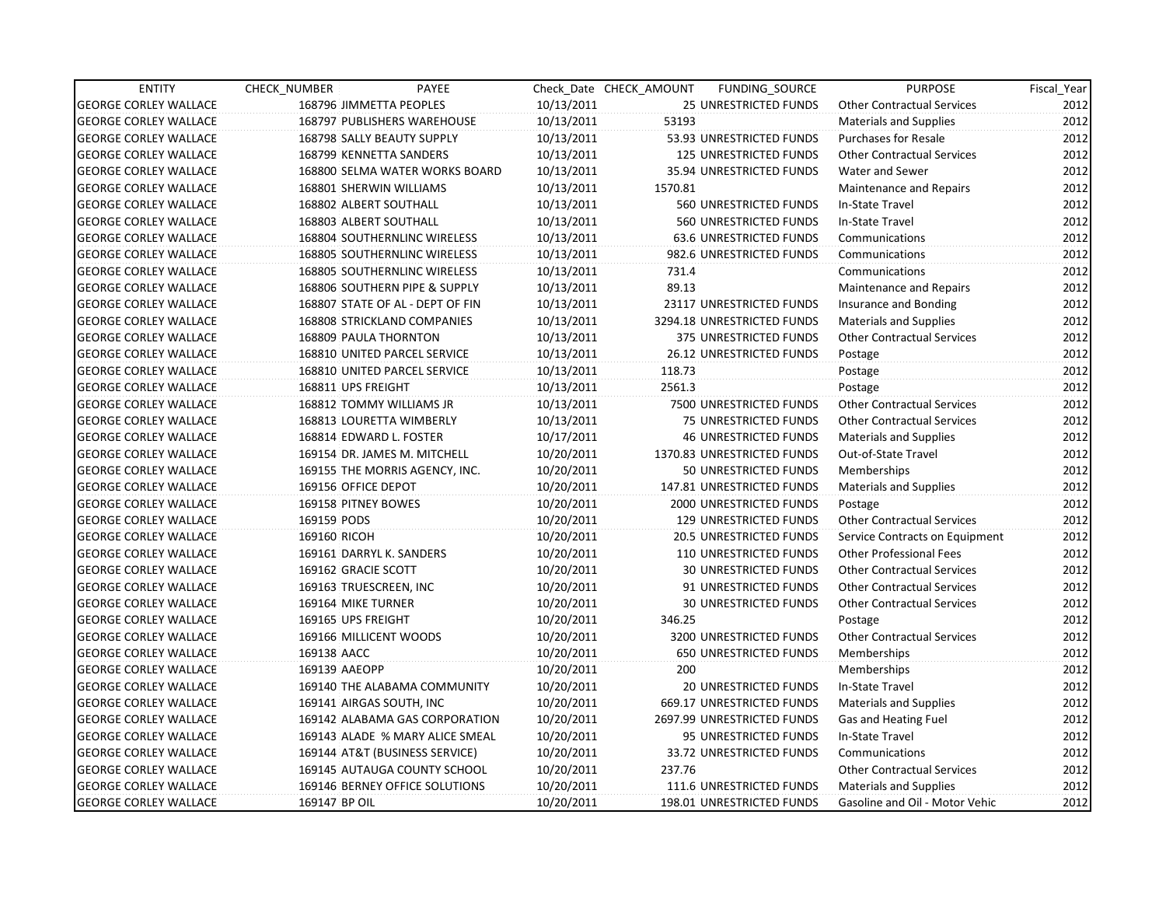| <b>ENTITY</b>                | CHECK_NUMBER               | PAYEE                            |            | Check Date CHECK AMOUNT | FUNDING_SOURCE                 | <b>PURPOSE</b>                    | Fiscal_Year |
|------------------------------|----------------------------|----------------------------------|------------|-------------------------|--------------------------------|-----------------------------------|-------------|
| <b>GEORGE CORLEY WALLACE</b> | 168796 JIMMETTA PEOPLES    |                                  | 10/13/2011 |                         | 25 UNRESTRICTED FUNDS          | <b>Other Contractual Services</b> | 2012        |
| <b>GEORGE CORLEY WALLACE</b> |                            | 168797 PUBLISHERS WAREHOUSE      | 10/13/2011 | 53193                   |                                | <b>Materials and Supplies</b>     | 2012        |
| <b>GEORGE CORLEY WALLACE</b> | 168798 SALLY BEAUTY SUPPLY |                                  | 10/13/2011 |                         | 53.93 UNRESTRICTED FUNDS       | <b>Purchases for Resale</b>       | 2012        |
| <b>GEORGE CORLEY WALLACE</b> | 168799 KENNETTA SANDERS    |                                  | 10/13/2011 |                         | <b>125 UNRESTRICTED FUNDS</b>  | <b>Other Contractual Services</b> | 2012        |
| <b>GEORGE CORLEY WALLACE</b> |                            | 168800 SELMA WATER WORKS BOARD   | 10/13/2011 |                         | 35.94 UNRESTRICTED FUNDS       | Water and Sewer                   | 2012        |
| <b>GEORGE CORLEY WALLACE</b> | 168801 SHERWIN WILLIAMS    |                                  | 10/13/2011 | 1570.81                 |                                | <b>Maintenance and Repairs</b>    | 2012        |
| <b>GEORGE CORLEY WALLACE</b> | 168802 ALBERT SOUTHALL     |                                  | 10/13/2011 |                         | 560 UNRESTRICTED FUNDS         | In-State Travel                   | 2012        |
| <b>GEORGE CORLEY WALLACE</b> | 168803 ALBERT SOUTHALL     |                                  | 10/13/2011 |                         | 560 UNRESTRICTED FUNDS         | In-State Travel                   | 2012        |
| <b>GEORGE CORLEY WALLACE</b> |                            | 168804 SOUTHERNLINC WIRELESS     | 10/13/2011 |                         | <b>63.6 UNRESTRICTED FUNDS</b> | Communications                    | 2012        |
| <b>GEORGE CORLEY WALLACE</b> |                            | 168805 SOUTHERNLINC WIRELESS     | 10/13/2011 |                         | 982.6 UNRESTRICTED FUNDS       | Communications                    | 2012        |
| <b>GEORGE CORLEY WALLACE</b> |                            | 168805 SOUTHERNLINC WIRELESS     | 10/13/2011 | 731.4                   |                                | Communications                    | 2012        |
| <b>GEORGE CORLEY WALLACE</b> |                            | 168806 SOUTHERN PIPE & SUPPLY    | 10/13/2011 | 89.13                   |                                | Maintenance and Repairs           | 2012        |
| <b>GEORGE CORLEY WALLACE</b> |                            | 168807 STATE OF AL - DEPT OF FIN | 10/13/2011 |                         | 23117 UNRESTRICTED FUNDS       | Insurance and Bonding             | 2012        |
| <b>GEORGE CORLEY WALLACE</b> |                            | 168808 STRICKLAND COMPANIES      | 10/13/2011 |                         | 3294.18 UNRESTRICTED FUNDS     | <b>Materials and Supplies</b>     | 2012        |
| <b>GEORGE CORLEY WALLACE</b> | 168809 PAULA THORNTON      |                                  | 10/13/2011 |                         | 375 UNRESTRICTED FUNDS         | <b>Other Contractual Services</b> | 2012        |
| <b>GEORGE CORLEY WALLACE</b> |                            | 168810 UNITED PARCEL SERVICE     | 10/13/2011 |                         | 26.12 UNRESTRICTED FUNDS       | Postage                           | 2012        |
| <b>GEORGE CORLEY WALLACE</b> |                            | 168810 UNITED PARCEL SERVICE     | 10/13/2011 | 118.73                  |                                | Postage                           | 2012        |
| <b>GEORGE CORLEY WALLACE</b> | 168811 UPS FREIGHT         |                                  | 10/13/2011 | 2561.3                  |                                | Postage                           | 2012        |
| <b>GEORGE CORLEY WALLACE</b> | 168812 TOMMY WILLIAMS JR   |                                  | 10/13/2011 |                         | 7500 UNRESTRICTED FUNDS        | <b>Other Contractual Services</b> | 2012        |
| <b>GEORGE CORLEY WALLACE</b> | 168813 LOURETTA WIMBERLY   |                                  | 10/13/2011 |                         | 75 UNRESTRICTED FUNDS          | <b>Other Contractual Services</b> | 2012        |
| <b>GEORGE CORLEY WALLACE</b> | 168814 EDWARD L. FOSTER    |                                  | 10/17/2011 |                         | <b>46 UNRESTRICTED FUNDS</b>   | <b>Materials and Supplies</b>     | 2012        |
| <b>GEORGE CORLEY WALLACE</b> |                            | 169154 DR. JAMES M. MITCHELL     | 10/20/2011 |                         | 1370.83 UNRESTRICTED FUNDS     | Out-of-State Travel               | 2012        |
| <b>GEORGE CORLEY WALLACE</b> |                            | 169155 THE MORRIS AGENCY, INC.   | 10/20/2011 |                         | 50 UNRESTRICTED FUNDS          | Memberships                       | 2012        |
| <b>GEORGE CORLEY WALLACE</b> | 169156 OFFICE DEPOT        |                                  | 10/20/2011 |                         | 147.81 UNRESTRICTED FUNDS      | Materials and Supplies            | 2012        |
| <b>GEORGE CORLEY WALLACE</b> | 169158 PITNEY BOWES        |                                  | 10/20/2011 |                         | 2000 UNRESTRICTED FUNDS        | Postage                           | 2012        |
| <b>GEORGE CORLEY WALLACE</b> | 169159 PODS                |                                  | 10/20/2011 |                         | <b>129 UNRESTRICTED FUNDS</b>  | <b>Other Contractual Services</b> | 2012        |
| <b>GEORGE CORLEY WALLACE</b> | 169160 RICOH               |                                  | 10/20/2011 |                         | 20.5 UNRESTRICTED FUNDS        | Service Contracts on Equipment    | 2012        |
| <b>GEORGE CORLEY WALLACE</b> | 169161 DARRYL K. SANDERS   |                                  | 10/20/2011 |                         | 110 UNRESTRICTED FUNDS         | <b>Other Professional Fees</b>    | 2012        |
| <b>GEORGE CORLEY WALLACE</b> | 169162 GRACIE SCOTT        |                                  | 10/20/2011 |                         | <b>30 UNRESTRICTED FUNDS</b>   | <b>Other Contractual Services</b> | 2012        |
| <b>GEORGE CORLEY WALLACE</b> | 169163 TRUESCREEN, INC     |                                  | 10/20/2011 |                         | 91 UNRESTRICTED FUNDS          | <b>Other Contractual Services</b> | 2012        |
| <b>GEORGE CORLEY WALLACE</b> | 169164 MIKE TURNER         |                                  | 10/20/2011 |                         | <b>30 UNRESTRICTED FUNDS</b>   | <b>Other Contractual Services</b> | 2012        |
| <b>GEORGE CORLEY WALLACE</b> | 169165 UPS FREIGHT         |                                  | 10/20/2011 | 346.25                  |                                | Postage                           | 2012        |
| <b>GEORGE CORLEY WALLACE</b> | 169166 MILLICENT WOODS     |                                  | 10/20/2011 |                         | 3200 UNRESTRICTED FUNDS        | <b>Other Contractual Services</b> | 2012        |
| <b>GEORGE CORLEY WALLACE</b> | 169138 AACC                |                                  | 10/20/2011 |                         | <b>650 UNRESTRICTED FUNDS</b>  | Memberships                       | 2012        |
| <b>GEORGE CORLEY WALLACE</b> | 169139 AAEOPP              |                                  | 10/20/2011 | 200                     |                                | Memberships                       | 2012        |
| <b>GEORGE CORLEY WALLACE</b> |                            | 169140 THE ALABAMA COMMUNITY     | 10/20/2011 |                         | <b>20 UNRESTRICTED FUNDS</b>   | In-State Travel                   | 2012        |
| <b>GEORGE CORLEY WALLACE</b> | 169141 AIRGAS SOUTH, INC   |                                  | 10/20/2011 |                         | 669.17 UNRESTRICTED FUNDS      | Materials and Supplies            | 2012        |
| <b>GEORGE CORLEY WALLACE</b> |                            | 169142 ALABAMA GAS CORPORATION   | 10/20/2011 |                         | 2697.99 UNRESTRICTED FUNDS     | Gas and Heating Fuel              | 2012        |
| <b>GEORGE CORLEY WALLACE</b> |                            | 169143 ALADE % MARY ALICE SMEAL  | 10/20/2011 |                         | 95 UNRESTRICTED FUNDS          | In-State Travel                   | 2012        |
| <b>GEORGE CORLEY WALLACE</b> |                            | 169144 AT&T (BUSINESS SERVICE)   | 10/20/2011 |                         | 33.72 UNRESTRICTED FUNDS       | Communications                    | 2012        |
| <b>GEORGE CORLEY WALLACE</b> |                            | 169145 AUTAUGA COUNTY SCHOOL     | 10/20/2011 | 237.76                  |                                | <b>Other Contractual Services</b> | 2012        |
| <b>GEORGE CORLEY WALLACE</b> |                            | 169146 BERNEY OFFICE SOLUTIONS   | 10/20/2011 |                         | 111.6 UNRESTRICTED FUNDS       | <b>Materials and Supplies</b>     | 2012        |
| <b>GEORGE CORLEY WALLACE</b> | 169147 BP OIL              |                                  | 10/20/2011 |                         | 198.01 UNRESTRICTED FUNDS      | Gasoline and Oil - Motor Vehic    | 2012        |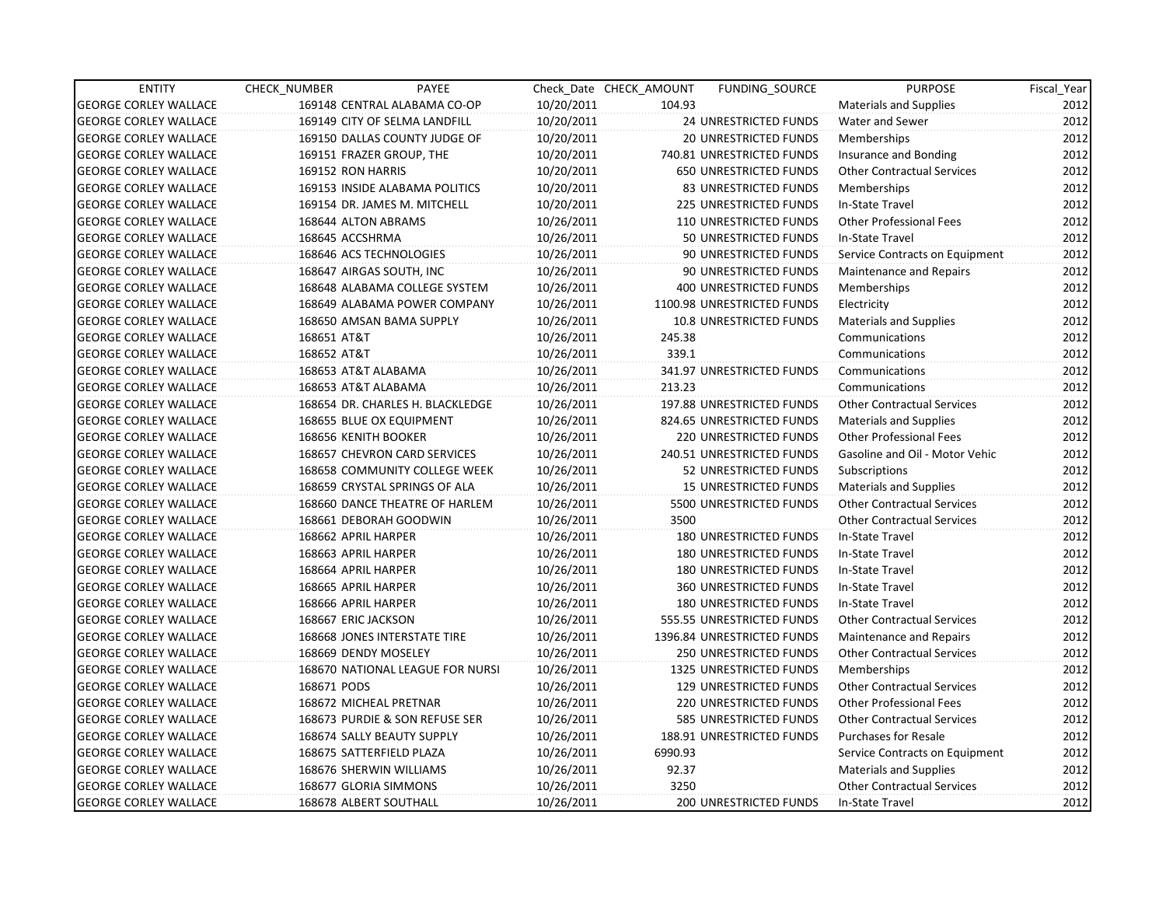| <b>ENTITY</b>                | CHECK_NUMBER         | PAYEE                            |            | Check Date CHECK AMOUNT | FUNDING SOURCE                 | <b>PURPOSE</b>                    | Fiscal_Year |
|------------------------------|----------------------|----------------------------------|------------|-------------------------|--------------------------------|-----------------------------------|-------------|
| <b>GEORGE CORLEY WALLACE</b> |                      | 169148 CENTRAL ALABAMA CO-OP     | 10/20/2011 | 104.93                  |                                | Materials and Supplies            | 2012        |
| <b>GEORGE CORLEY WALLACE</b> |                      | 169149 CITY OF SELMA LANDFILL    | 10/20/2011 |                         | 24 UNRESTRICTED FUNDS          | Water and Sewer                   | 2012        |
| <b>GEORGE CORLEY WALLACE</b> |                      | 169150 DALLAS COUNTY JUDGE OF    | 10/20/2011 |                         | 20 UNRESTRICTED FUNDS          | Memberships                       | 2012        |
| <b>GEORGE CORLEY WALLACE</b> |                      | 169151 FRAZER GROUP, THE         | 10/20/2011 |                         | 740.81 UNRESTRICTED FUNDS      | Insurance and Bonding             | 2012        |
| <b>GEORGE CORLEY WALLACE</b> | 169152 RON HARRIS    |                                  | 10/20/2011 |                         | 650 UNRESTRICTED FUNDS         | <b>Other Contractual Services</b> | 2012        |
| <b>GEORGE CORLEY WALLACE</b> |                      | 169153 INSIDE ALABAMA POLITICS   | 10/20/2011 |                         | <b>83 UNRESTRICTED FUNDS</b>   | Memberships                       | 2012        |
| <b>GEORGE CORLEY WALLACE</b> |                      | 169154 DR. JAMES M. MITCHELL     | 10/20/2011 |                         | 225 UNRESTRICTED FUNDS         | In-State Travel                   | 2012        |
| <b>GEORGE CORLEY WALLACE</b> | 168644 ALTON ABRAMS  |                                  | 10/26/2011 |                         | 110 UNRESTRICTED FUNDS         | <b>Other Professional Fees</b>    | 2012        |
| <b>GEORGE CORLEY WALLACE</b> | 168645 ACCSHRMA      |                                  | 10/26/2011 |                         | 50 UNRESTRICTED FUNDS          | In-State Travel                   | 2012        |
| <b>GEORGE CORLEY WALLACE</b> |                      | 168646 ACS TECHNOLOGIES          | 10/26/2011 |                         | 90 UNRESTRICTED FUNDS          | Service Contracts on Equipment    | 2012        |
| <b>GEORGE CORLEY WALLACE</b> |                      | 168647 AIRGAS SOUTH, INC         | 10/26/2011 |                         | 90 UNRESTRICTED FUNDS          | Maintenance and Repairs           | 2012        |
| <b>GEORGE CORLEY WALLACE</b> |                      | 168648 ALABAMA COLLEGE SYSTEM    | 10/26/2011 |                         | 400 UNRESTRICTED FUNDS         | Memberships                       | 2012        |
| <b>GEORGE CORLEY WALLACE</b> |                      | 168649 ALABAMA POWER COMPANY     | 10/26/2011 |                         | 1100.98 UNRESTRICTED FUNDS     | Electricity                       | 2012        |
| <b>GEORGE CORLEY WALLACE</b> |                      | 168650 AMSAN BAMA SUPPLY         | 10/26/2011 |                         | <b>10.8 UNRESTRICTED FUNDS</b> | <b>Materials and Supplies</b>     | 2012        |
| <b>GEORGE CORLEY WALLACE</b> | 168651 AT&T          |                                  | 10/26/2011 | 245.38                  |                                | Communications                    | 2012        |
| <b>GEORGE CORLEY WALLACE</b> | 168652 AT&T          |                                  | 10/26/2011 | 339.1                   |                                | Communications                    | 2012        |
| <b>GEORGE CORLEY WALLACE</b> | 168653 AT&T ALABAMA  |                                  | 10/26/2011 |                         | 341.97 UNRESTRICTED FUNDS      | Communications                    | 2012        |
| <b>GEORGE CORLEY WALLACE</b> | 168653 AT&T ALABAMA  |                                  | 10/26/2011 | 213.23                  |                                | Communications                    | 2012        |
| <b>GEORGE CORLEY WALLACE</b> |                      | 168654 DR. CHARLES H. BLACKLEDGE | 10/26/2011 |                         | 197.88 UNRESTRICTED FUNDS      | <b>Other Contractual Services</b> | 2012        |
| <b>GEORGE CORLEY WALLACE</b> |                      | 168655 BLUE OX EQUIPMENT         | 10/26/2011 |                         | 824.65 UNRESTRICTED FUNDS      | Materials and Supplies            | 2012        |
| <b>GEORGE CORLEY WALLACE</b> | 168656 KENITH BOOKER |                                  | 10/26/2011 |                         | 220 UNRESTRICTED FUNDS         | <b>Other Professional Fees</b>    | 2012        |
| <b>GEORGE CORLEY WALLACE</b> |                      | 168657 CHEVRON CARD SERVICES     | 10/26/2011 |                         | 240.51 UNRESTRICTED FUNDS      | Gasoline and Oil - Motor Vehic    | 2012        |
| <b>GEORGE CORLEY WALLACE</b> |                      | 168658 COMMUNITY COLLEGE WEEK    | 10/26/2011 |                         | 52 UNRESTRICTED FUNDS          | Subscriptions                     | 2012        |
| <b>GEORGE CORLEY WALLACE</b> |                      | 168659 CRYSTAL SPRINGS OF ALA    | 10/26/2011 |                         | <b>15 UNRESTRICTED FUNDS</b>   | <b>Materials and Supplies</b>     | 2012        |
| <b>GEORGE CORLEY WALLACE</b> |                      | 168660 DANCE THEATRE OF HARLEM   | 10/26/2011 |                         | 5500 UNRESTRICTED FUNDS        | <b>Other Contractual Services</b> | 2012        |
| <b>GEORGE CORLEY WALLACE</b> |                      | 168661 DEBORAH GOODWIN           | 10/26/2011 | 3500                    |                                | <b>Other Contractual Services</b> | 2012        |
| <b>GEORGE CORLEY WALLACE</b> | 168662 APRIL HARPER  |                                  | 10/26/2011 |                         | <b>180 UNRESTRICTED FUNDS</b>  | In-State Travel                   | 2012        |
| <b>GEORGE CORLEY WALLACE</b> | 168663 APRIL HARPER  |                                  | 10/26/2011 |                         | 180 UNRESTRICTED FUNDS         | In-State Travel                   | 2012        |
| <b>GEORGE CORLEY WALLACE</b> | 168664 APRIL HARPER  |                                  | 10/26/2011 |                         | <b>180 UNRESTRICTED FUNDS</b>  | In-State Travel                   | 2012        |
| <b>GEORGE CORLEY WALLACE</b> | 168665 APRIL HARPER  |                                  | 10/26/2011 |                         | 360 UNRESTRICTED FUNDS         | In-State Travel                   | 2012        |
| <b>GEORGE CORLEY WALLACE</b> | 168666 APRIL HARPER  |                                  | 10/26/2011 |                         | 180 UNRESTRICTED FUNDS         | In-State Travel                   | 2012        |
| <b>GEORGE CORLEY WALLACE</b> | 168667 ERIC JACKSON  |                                  | 10/26/2011 |                         | 555.55 UNRESTRICTED FUNDS      | <b>Other Contractual Services</b> | 2012        |
| <b>GEORGE CORLEY WALLACE</b> |                      | 168668 JONES INTERSTATE TIRE     | 10/26/2011 |                         | 1396.84 UNRESTRICTED FUNDS     | Maintenance and Repairs           | 2012        |
| <b>GEORGE CORLEY WALLACE</b> | 168669 DENDY MOSELEY |                                  | 10/26/2011 |                         | <b>250 UNRESTRICTED FUNDS</b>  | Other Contractual Services        | 2012        |
| <b>GEORGE CORLEY WALLACE</b> |                      | 168670 NATIONAL LEAGUE FOR NURSI | 10/26/2011 |                         | <b>1325 UNRESTRICTED FUNDS</b> | Memberships                       | 2012        |
| <b>GEORGE CORLEY WALLACE</b> | 168671 PODS          |                                  | 10/26/2011 |                         | <b>129 UNRESTRICTED FUNDS</b>  | <b>Other Contractual Services</b> | 2012        |
| <b>GEORGE CORLEY WALLACE</b> |                      | 168672 MICHEAL PRETNAR           | 10/26/2011 |                         | 220 UNRESTRICTED FUNDS         | <b>Other Professional Fees</b>    | 2012        |
| <b>GEORGE CORLEY WALLACE</b> |                      | 168673 PURDIE & SON REFUSE SER   | 10/26/2011 |                         | 585 UNRESTRICTED FUNDS         | <b>Other Contractual Services</b> | 2012        |
| <b>GEORGE CORLEY WALLACE</b> |                      | 168674 SALLY BEAUTY SUPPLY       | 10/26/2011 |                         | 188.91 UNRESTRICTED FUNDS      | <b>Purchases for Resale</b>       | 2012        |
| <b>GEORGE CORLEY WALLACE</b> |                      | 168675 SATTERFIELD PLAZA         | 10/26/2011 | 6990.93                 |                                | Service Contracts on Equipment    | 2012        |
| <b>GEORGE CORLEY WALLACE</b> |                      | 168676 SHERWIN WILLIAMS          | 10/26/2011 | 92.37                   |                                | <b>Materials and Supplies</b>     | 2012        |
| <b>GEORGE CORLEY WALLACE</b> |                      | 168677 GLORIA SIMMONS            | 10/26/2011 | 3250                    |                                | <b>Other Contractual Services</b> | 2012        |
| <b>GEORGE CORLEY WALLACE</b> |                      | 168678 ALBERT SOUTHALL           | 10/26/2011 |                         | 200 UNRESTRICTED FUNDS         | In-State Travel                   | 2012        |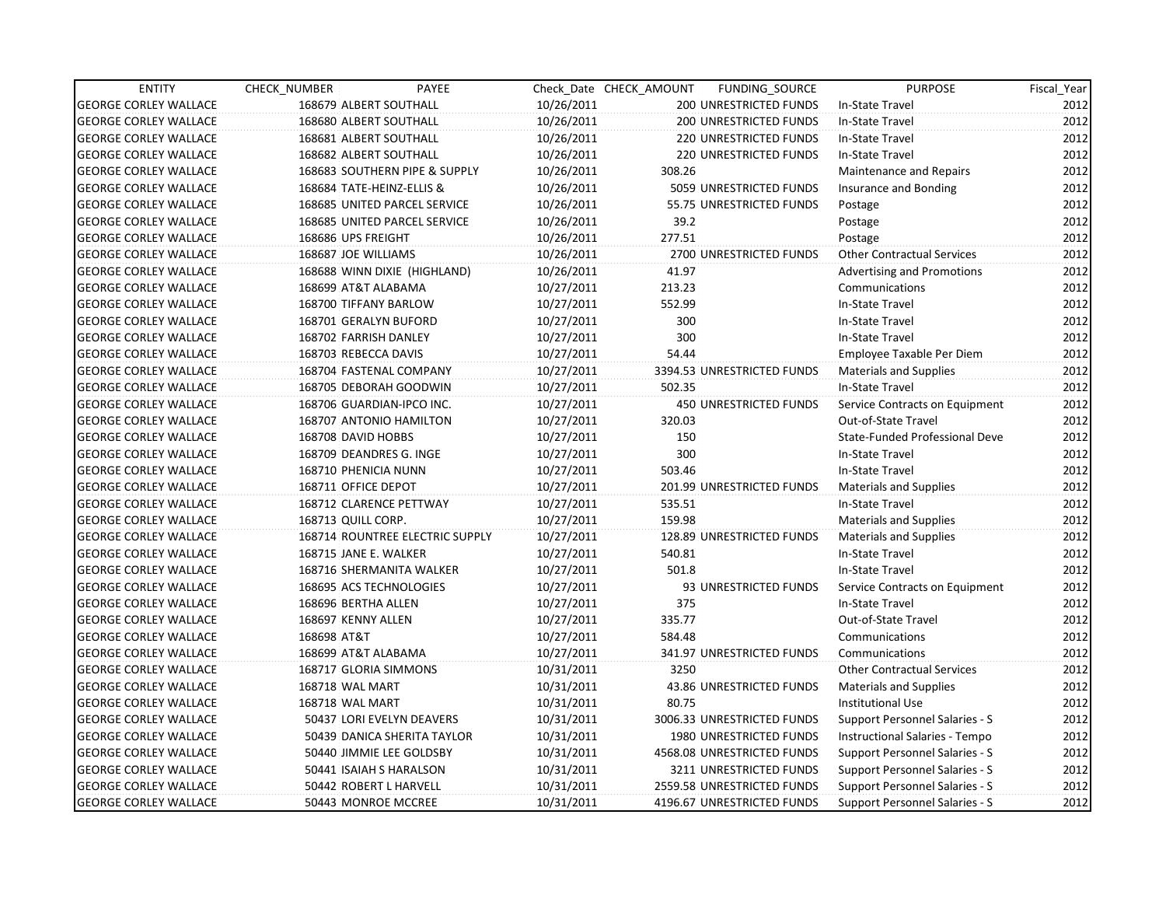| <b>ENTITY</b>                | CHECK_NUMBER              | PAYEE                           |            | Check Date CHECK AMOUNT | FUNDING_SOURCE                | <b>PURPOSE</b>                    | Fiscal Year |
|------------------------------|---------------------------|---------------------------------|------------|-------------------------|-------------------------------|-----------------------------------|-------------|
| <b>GEORGE CORLEY WALLACE</b> | 168679 ALBERT SOUTHALL    |                                 | 10/26/2011 |                         | 200 UNRESTRICTED FUNDS        | In-State Travel                   | 2012        |
| <b>GEORGE CORLEY WALLACE</b> | 168680 ALBERT SOUTHALL    |                                 | 10/26/2011 |                         | 200 UNRESTRICTED FUNDS        | In-State Travel                   | 2012        |
| <b>GEORGE CORLEY WALLACE</b> | 168681 ALBERT SOUTHALL    |                                 | 10/26/2011 |                         | 220 UNRESTRICTED FUNDS        | In-State Travel                   | 2012        |
| <b>GEORGE CORLEY WALLACE</b> | 168682 ALBERT SOUTHALL    |                                 | 10/26/2011 |                         | <b>220 UNRESTRICTED FUNDS</b> | In-State Travel                   | 2012        |
| <b>GEORGE CORLEY WALLACE</b> |                           | 168683 SOUTHERN PIPE & SUPPLY   | 10/26/2011 | 308.26                  |                               | Maintenance and Repairs           | 2012        |
| <b>GEORGE CORLEY WALLACE</b> | 168684 TATE-HEINZ-ELLIS & |                                 | 10/26/2011 |                         | 5059 UNRESTRICTED FUNDS       | Insurance and Bonding             | 2012        |
| <b>GEORGE CORLEY WALLACE</b> |                           | 168685 UNITED PARCEL SERVICE    | 10/26/2011 |                         | 55.75 UNRESTRICTED FUNDS      | Postage                           | 2012        |
| <b>GEORGE CORLEY WALLACE</b> |                           | 168685 UNITED PARCEL SERVICE    | 10/26/2011 | 39.2                    |                               | Postage                           | 2012        |
| <b>GEORGE CORLEY WALLACE</b> | 168686 UPS FREIGHT        |                                 | 10/26/2011 | 277.51                  |                               | Postage                           | 2012        |
| <b>GEORGE CORLEY WALLACE</b> | 168687 JOE WILLIAMS       |                                 | 10/26/2011 |                         | 2700 UNRESTRICTED FUNDS       | <b>Other Contractual Services</b> | 2012        |
| <b>GEORGE CORLEY WALLACE</b> |                           | 168688 WINN DIXIE (HIGHLAND)    | 10/26/2011 | 41.97                   |                               | Advertising and Promotions        | 2012        |
| <b>GEORGE CORLEY WALLACE</b> | 168699 AT&T ALABAMA       |                                 | 10/27/2011 | 213.23                  |                               | Communications                    | 2012        |
| <b>GEORGE CORLEY WALLACE</b> | 168700 TIFFANY BARLOW     |                                 | 10/27/2011 | 552.99                  |                               | In-State Travel                   | 2012        |
| <b>GEORGE CORLEY WALLACE</b> | 168701 GERALYN BUFORD     |                                 | 10/27/2011 | 300                     |                               | In-State Travel                   | 2012        |
| <b>GEORGE CORLEY WALLACE</b> | 168702 FARRISH DANLEY     |                                 | 10/27/2011 | 300                     |                               | In-State Travel                   | 2012        |
| <b>GEORGE CORLEY WALLACE</b> | 168703 REBECCA DAVIS      |                                 | 10/27/2011 | 54.44                   |                               | Employee Taxable Per Diem         | 2012        |
| <b>GEORGE CORLEY WALLACE</b> | 168704 FASTENAL COMPANY   |                                 | 10/27/2011 |                         | 3394.53 UNRESTRICTED FUNDS    | <b>Materials and Supplies</b>     | 2012        |
| <b>GEORGE CORLEY WALLACE</b> | 168705 DEBORAH GOODWIN    |                                 | 10/27/2011 | 502.35                  |                               | In-State Travel                   | 2012        |
| <b>GEORGE CORLEY WALLACE</b> | 168706 GUARDIAN-IPCO INC. |                                 | 10/27/2011 |                         | <b>450 UNRESTRICTED FUNDS</b> | Service Contracts on Equipment    | 2012        |
| <b>GEORGE CORLEY WALLACE</b> | 168707 ANTONIO HAMILTON   |                                 | 10/27/2011 | 320.03                  |                               | Out-of-State Travel               | 2012        |
| <b>GEORGE CORLEY WALLACE</b> | 168708 DAVID HOBBS        |                                 | 10/27/2011 | 150                     |                               | State-Funded Professional Deve    | 2012        |
| <b>GEORGE CORLEY WALLACE</b> | 168709 DEANDRES G. INGE   |                                 | 10/27/2011 | 300                     |                               | In-State Travel                   | 2012        |
| <b>GEORGE CORLEY WALLACE</b> | 168710 PHENICIA NUNN      |                                 | 10/27/2011 | 503.46                  |                               | In-State Travel                   | 2012        |
| <b>GEORGE CORLEY WALLACE</b> | 168711 OFFICE DEPOT       |                                 | 10/27/2011 |                         | 201.99 UNRESTRICTED FUNDS     | Materials and Supplies            | 2012        |
| <b>GEORGE CORLEY WALLACE</b> | 168712 CLARENCE PETTWAY   |                                 | 10/27/2011 | 535.51                  |                               | In-State Travel                   | 2012        |
| <b>GEORGE CORLEY WALLACE</b> | 168713 QUILL CORP.        |                                 | 10/27/2011 | 159.98                  |                               | <b>Materials and Supplies</b>     | 2012        |
| <b>GEORGE CORLEY WALLACE</b> |                           | 168714 ROUNTREE ELECTRIC SUPPLY | 10/27/2011 |                         | 128.89 UNRESTRICTED FUNDS     | <b>Materials and Supplies</b>     | 2012        |
| <b>GEORGE CORLEY WALLACE</b> | 168715 JANE E. WALKER     |                                 | 10/27/2011 | 540.81                  |                               | In-State Travel                   | 2012        |
| <b>GEORGE CORLEY WALLACE</b> |                           | 168716 SHERMANITA WALKER        | 10/27/2011 | 501.8                   |                               | In-State Travel                   | 2012        |
| <b>GEORGE CORLEY WALLACE</b> | 168695 ACS TECHNOLOGIES   |                                 | 10/27/2011 |                         | 93 UNRESTRICTED FUNDS         | Service Contracts on Equipment    | 2012        |
| <b>GEORGE CORLEY WALLACE</b> | 168696 BERTHA ALLEN       |                                 | 10/27/2011 | 375                     |                               | In-State Travel                   | 2012        |
| <b>GEORGE CORLEY WALLACE</b> | 168697 KENNY ALLEN        |                                 | 10/27/2011 | 335.77                  |                               | Out-of-State Travel               | 2012        |
| <b>GEORGE CORLEY WALLACE</b> | 168698 AT&T               |                                 | 10/27/2011 | 584.48                  |                               | Communications                    | 2012        |
| <b>GEORGE CORLEY WALLACE</b> | 168699 AT&T ALABAMA       |                                 | 10/27/2011 |                         | 341.97 UNRESTRICTED FUNDS     | Communications                    | 2012        |
| <b>GEORGE CORLEY WALLACE</b> | 168717 GLORIA SIMMONS     |                                 | 10/31/2011 | 3250                    |                               | <b>Other Contractual Services</b> | 2012        |
| <b>GEORGE CORLEY WALLACE</b> | 168718 WAL MART           |                                 | 10/31/2011 |                         | 43.86 UNRESTRICTED FUNDS      | <b>Materials and Supplies</b>     | 2012        |
| <b>GEORGE CORLEY WALLACE</b> | 168718 WAL MART           |                                 | 10/31/2011 | 80.75                   |                               | <b>Institutional Use</b>          | 2012        |
| <b>GEORGE CORLEY WALLACE</b> |                           | 50437 LORI EVELYN DEAVERS       | 10/31/2011 |                         | 3006.33 UNRESTRICTED FUNDS    | Support Personnel Salaries - S    | 2012        |
| <b>GEORGE CORLEY WALLACE</b> |                           | 50439 DANICA SHERITA TAYLOR     | 10/31/2011 |                         | 1980 UNRESTRICTED FUNDS       | Instructional Salaries - Tempo    | 2012        |
| <b>GEORGE CORLEY WALLACE</b> |                           | 50440 JIMMIE LEE GOLDSBY        | 10/31/2011 |                         | 4568.08 UNRESTRICTED FUNDS    | Support Personnel Salaries - S    | 2012        |
| <b>GEORGE CORLEY WALLACE</b> | 50441 ISAIAH S HARALSON   |                                 | 10/31/2011 |                         | 3211 UNRESTRICTED FUNDS       | Support Personnel Salaries - S    | 2012        |
| <b>GEORGE CORLEY WALLACE</b> | 50442 ROBERT L HARVELL    |                                 | 10/31/2011 |                         | 2559.58 UNRESTRICTED FUNDS    | Support Personnel Salaries - S    | 2012        |
| <b>GEORGE CORLEY WALLACE</b> | 50443 MONROE MCCREE       |                                 | 10/31/2011 |                         | 4196.67 UNRESTRICTED FUNDS    | Support Personnel Salaries - S    | 2012        |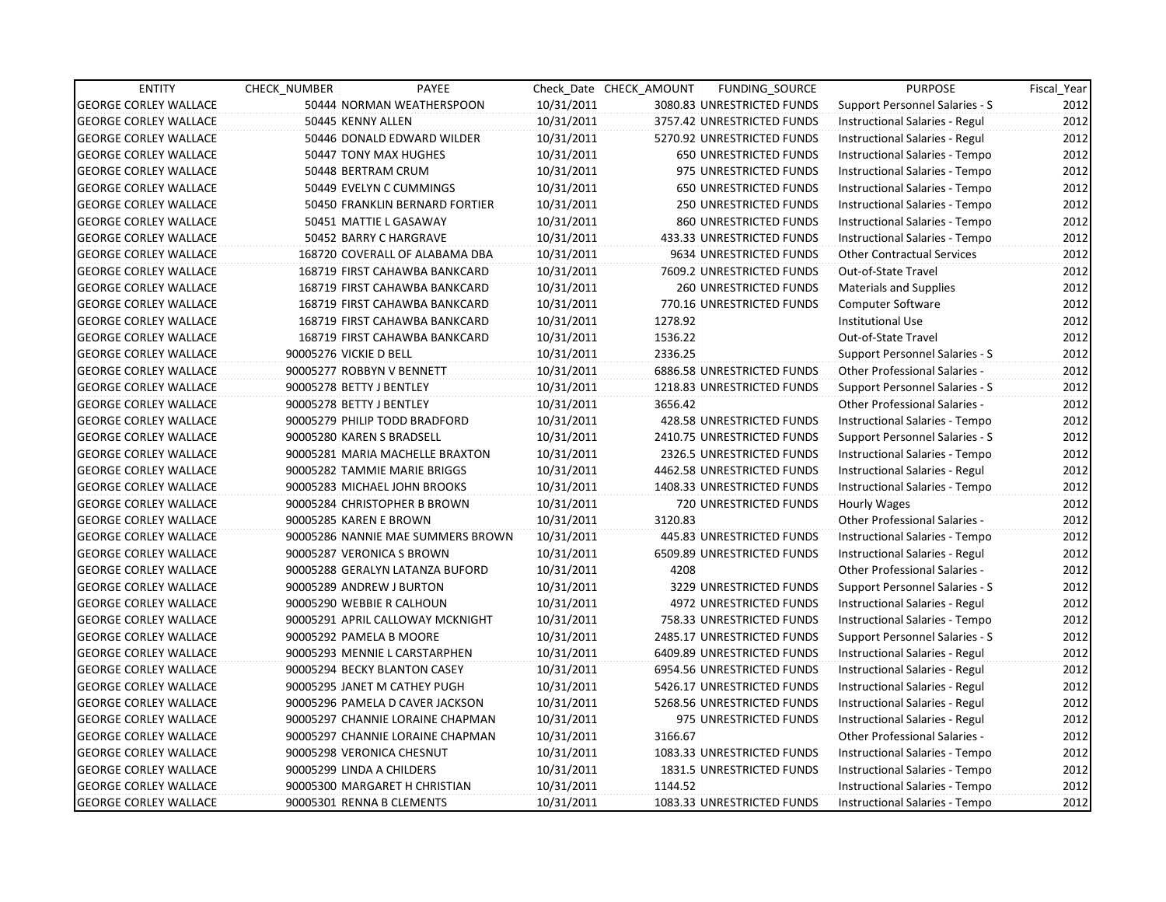| <b>ENTITY</b>                | <b>CHECK NUMBER</b>       | PAYEE                             |            | Check Date CHECK AMOUNT | FUNDING_SOURCE                 | <b>PURPOSE</b>                       | Fiscal Year |
|------------------------------|---------------------------|-----------------------------------|------------|-------------------------|--------------------------------|--------------------------------------|-------------|
| <b>GEORGE CORLEY WALLACE</b> |                           | 50444 NORMAN WEATHERSPOON         | 10/31/2011 |                         | 3080.83 UNRESTRICTED FUNDS     | Support Personnel Salaries - S       | 2012        |
| <b>GEORGE CORLEY WALLACE</b> | 50445 KENNY ALLEN         |                                   | 10/31/2011 |                         | 3757.42 UNRESTRICTED FUNDS     | Instructional Salaries - Regul       | 2012        |
| <b>GEORGE CORLEY WALLACE</b> |                           | 50446 DONALD EDWARD WILDER        | 10/31/2011 |                         | 5270.92 UNRESTRICTED FUNDS     | Instructional Salaries - Regul       | 2012        |
| <b>GEORGE CORLEY WALLACE</b> |                           | 50447 TONY MAX HUGHES             | 10/31/2011 |                         | <b>650 UNRESTRICTED FUNDS</b>  | Instructional Salaries - Tempo       | 2012        |
| <b>GEORGE CORLEY WALLACE</b> | 50448 BERTRAM CRUM        |                                   | 10/31/2011 |                         | 975 UNRESTRICTED FUNDS         | Instructional Salaries - Tempo       | 2012        |
| <b>GEORGE CORLEY WALLACE</b> |                           | 50449 EVELYN C CUMMINGS           | 10/31/2011 |                         | <b>650 UNRESTRICTED FUNDS</b>  | Instructional Salaries - Tempo       | 2012        |
| <b>GEORGE CORLEY WALLACE</b> |                           | 50450 FRANKLIN BERNARD FORTIER    | 10/31/2011 |                         | <b>250 UNRESTRICTED FUNDS</b>  | Instructional Salaries - Tempo       | 2012        |
| <b>GEORGE CORLEY WALLACE</b> |                           | 50451 MATTIE L GASAWAY            | 10/31/2011 |                         | 860 UNRESTRICTED FUNDS         | Instructional Salaries - Tempo       | 2012        |
| <b>GEORGE CORLEY WALLACE</b> |                           | 50452 BARRY C HARGRAVE            | 10/31/2011 |                         | 433.33 UNRESTRICTED FUNDS      | Instructional Salaries - Tempo       | 2012        |
| <b>GEORGE CORLEY WALLACE</b> |                           | 168720 COVERALL OF ALABAMA DBA    | 10/31/2011 |                         | 9634 UNRESTRICTED FUNDS        | <b>Other Contractual Services</b>    | 2012        |
| <b>GEORGE CORLEY WALLACE</b> |                           | 168719 FIRST CAHAWBA BANKCARD     | 10/31/2011 |                         | 7609.2 UNRESTRICTED FUNDS      | Out-of-State Travel                  | 2012        |
| <b>GEORGE CORLEY WALLACE</b> |                           | 168719 FIRST CAHAWBA BANKCARD     | 10/31/2011 |                         | 260 UNRESTRICTED FUNDS         | <b>Materials and Supplies</b>        | 2012        |
| <b>GEORGE CORLEY WALLACE</b> |                           | 168719 FIRST CAHAWBA BANKCARD     | 10/31/2011 |                         | 770.16 UNRESTRICTED FUNDS      | <b>Computer Software</b>             | 2012        |
| <b>GEORGE CORLEY WALLACE</b> |                           | 168719 FIRST CAHAWBA BANKCARD     | 10/31/2011 | 1278.92                 |                                | <b>Institutional Use</b>             | 2012        |
| <b>GEORGE CORLEY WALLACE</b> |                           | 168719 FIRST CAHAWBA BANKCARD     | 10/31/2011 | 1536.22                 |                                | Out-of-State Travel                  | 2012        |
| <b>GEORGE CORLEY WALLACE</b> | 90005276 VICKIE D BELL    |                                   | 10/31/2011 | 2336.25                 |                                | Support Personnel Salaries - S       | 2012        |
| <b>GEORGE CORLEY WALLACE</b> | 90005277 ROBBYN V BENNETT |                                   | 10/31/2011 |                         | 6886.58 UNRESTRICTED FUNDS     | Other Professional Salaries -        | 2012        |
| <b>GEORGE CORLEY WALLACE</b> | 90005278 BETTY J BENTLEY  |                                   | 10/31/2011 |                         | 1218.83 UNRESTRICTED FUNDS     | Support Personnel Salaries - S       | 2012        |
| <b>GEORGE CORLEY WALLACE</b> | 90005278 BETTY J BENTLEY  |                                   | 10/31/2011 | 3656.42                 |                                | <b>Other Professional Salaries -</b> | 2012        |
| <b>GEORGE CORLEY WALLACE</b> |                           | 90005279 PHILIP TODD BRADFORD     | 10/31/2011 |                         | 428.58 UNRESTRICTED FUNDS      | Instructional Salaries - Tempo       | 2012        |
| <b>GEORGE CORLEY WALLACE</b> | 90005280 KAREN S BRADSELL |                                   | 10/31/2011 |                         | 2410.75 UNRESTRICTED FUNDS     | Support Personnel Salaries - S       | 2012        |
| <b>GEORGE CORLEY WALLACE</b> |                           | 90005281 MARIA MACHELLE BRAXTON   | 10/31/2011 |                         | 2326.5 UNRESTRICTED FUNDS      | Instructional Salaries - Tempo       | 2012        |
| <b>GEORGE CORLEY WALLACE</b> |                           | 90005282 TAMMIE MARIE BRIGGS      | 10/31/2011 |                         | 4462.58 UNRESTRICTED FUNDS     | Instructional Salaries - Regul       | 2012        |
| <b>GEORGE CORLEY WALLACE</b> |                           | 90005283 MICHAEL JOHN BROOKS      | 10/31/2011 |                         | 1408.33 UNRESTRICTED FUNDS     | Instructional Salaries - Tempo       | 2012        |
| <b>GEORGE CORLEY WALLACE</b> |                           | 90005284 CHRISTOPHER B BROWN      | 10/31/2011 |                         | 720 UNRESTRICTED FUNDS         | Hourly Wages                         | 2012        |
| <b>GEORGE CORLEY WALLACE</b> | 90005285 KAREN E BROWN    |                                   | 10/31/2011 | 3120.83                 |                                | Other Professional Salaries -        | 2012        |
| <b>GEORGE CORLEY WALLACE</b> |                           | 90005286 NANNIE MAE SUMMERS BROWN | 10/31/2011 |                         | 445.83 UNRESTRICTED FUNDS      | Instructional Salaries - Tempo       | 2012        |
| <b>GEORGE CORLEY WALLACE</b> | 90005287 VERONICA S BROWN |                                   | 10/31/2011 |                         | 6509.89 UNRESTRICTED FUNDS     | Instructional Salaries - Regul       | 2012        |
| <b>GEORGE CORLEY WALLACE</b> |                           | 90005288 GERALYN LATANZA BUFORD   | 10/31/2011 | 4208                    |                                | Other Professional Salaries -        | 2012        |
| <b>GEORGE CORLEY WALLACE</b> | 90005289 ANDREW J BURTON  |                                   | 10/31/2011 |                         | 3229 UNRESTRICTED FUNDS        | Support Personnel Salaries - S       | 2012        |
| <b>GEORGE CORLEY WALLACE</b> | 90005290 WEBBIE R CALHOUN |                                   | 10/31/2011 |                         | <b>4972 UNRESTRICTED FUNDS</b> | Instructional Salaries - Regul       | 2012        |
| <b>GEORGE CORLEY WALLACE</b> |                           | 90005291 APRIL CALLOWAY MCKNIGHT  | 10/31/2011 |                         | 758.33 UNRESTRICTED FUNDS      | Instructional Salaries - Tempo       | 2012        |
| <b>GEORGE CORLEY WALLACE</b> | 90005292 PAMELA B MOORE   |                                   | 10/31/2011 |                         | 2485.17 UNRESTRICTED FUNDS     | Support Personnel Salaries - S       | 2012        |
| <b>GEORGE CORLEY WALLACE</b> |                           | 90005293 MENNIE L CARSTARPHEN     | 10/31/2011 |                         | 6409.89 UNRESTRICTED FUNDS     | Instructional Salaries - Regul       | 2012        |
| <b>GEORGE CORLEY WALLACE</b> |                           | 90005294 BECKY BLANTON CASEY      | 10/31/2011 |                         | 6954.56 UNRESTRICTED FUNDS     | Instructional Salaries - Regul       | 2012        |
| <b>GEORGE CORLEY WALLACE</b> |                           | 90005295 JANET M CATHEY PUGH      | 10/31/2011 |                         | 5426.17 UNRESTRICTED FUNDS     | Instructional Salaries - Regul       | 2012        |
| <b>GEORGE CORLEY WALLACE</b> |                           | 90005296 PAMELA D CAVER JACKSON   | 10/31/2011 |                         | 5268.56 UNRESTRICTED FUNDS     | Instructional Salaries - Regul       | 2012        |
| <b>GEORGE CORLEY WALLACE</b> |                           | 90005297 CHANNIE LORAINE CHAPMAN  | 10/31/2011 |                         | 975 UNRESTRICTED FUNDS         | Instructional Salaries - Regul       | 2012        |
| <b>GEORGE CORLEY WALLACE</b> |                           | 90005297 CHANNIE LORAINE CHAPMAN  | 10/31/2011 | 3166.67                 |                                | Other Professional Salaries -        | 2012        |
| <b>GEORGE CORLEY WALLACE</b> | 90005298 VERONICA CHESNUT |                                   | 10/31/2011 |                         | 1083.33 UNRESTRICTED FUNDS     | Instructional Salaries - Tempo       | 2012        |
| <b>GEORGE CORLEY WALLACE</b> | 90005299 LINDA A CHILDERS |                                   | 10/31/2011 |                         | 1831.5 UNRESTRICTED FUNDS      | Instructional Salaries - Tempo       | 2012        |
| <b>GEORGE CORLEY WALLACE</b> |                           | 90005300 MARGARET H CHRISTIAN     | 10/31/2011 | 1144.52                 |                                | Instructional Salaries - Tempo       | 2012        |
| <b>GEORGE CORLEY WALLACE</b> | 90005301 RENNA B CLEMENTS |                                   | 10/31/2011 |                         | 1083.33 UNRESTRICTED FUNDS     | Instructional Salaries - Tempo       | 2012        |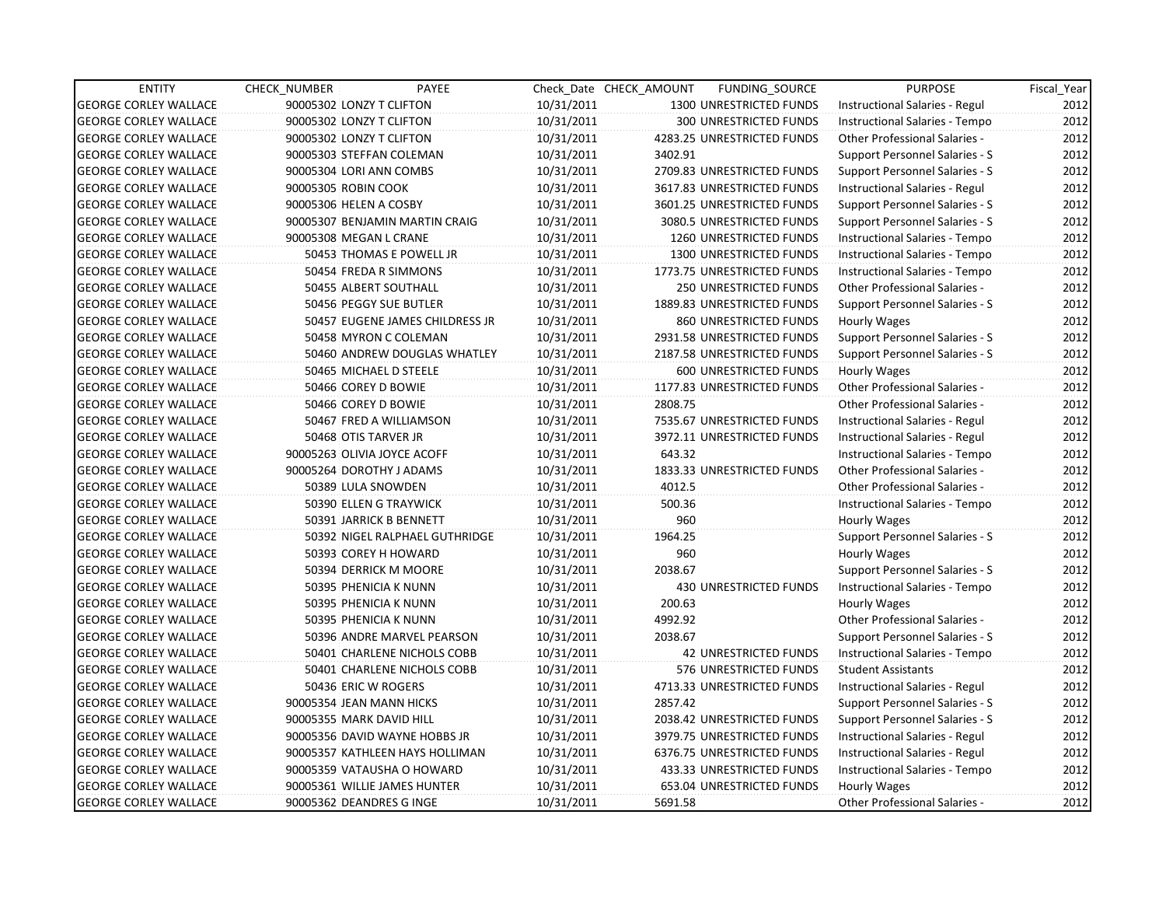| <b>ENTITY</b>                | CHECK NUMBER | PAYEE                           |            | Check Date CHECK AMOUNT | FUNDING_SOURCE                | <b>PURPOSE</b>                        | Fiscal_Year |
|------------------------------|--------------|---------------------------------|------------|-------------------------|-------------------------------|---------------------------------------|-------------|
| <b>GEORGE CORLEY WALLACE</b> |              | 90005302 LONZY T CLIFTON        | 10/31/2011 |                         | 1300 UNRESTRICTED FUNDS       | Instructional Salaries - Regul        | 2012        |
| <b>GEORGE CORLEY WALLACE</b> |              | 90005302 LONZY T CLIFTON        | 10/31/2011 |                         | 300 UNRESTRICTED FUNDS        | Instructional Salaries - Tempo        | 2012        |
| <b>GEORGE CORLEY WALLACE</b> |              | 90005302 LONZY T CLIFTON        | 10/31/2011 |                         | 4283.25 UNRESTRICTED FUNDS    | <b>Other Professional Salaries -</b>  | 2012        |
| <b>GEORGE CORLEY WALLACE</b> |              | 90005303 STEFFAN COLEMAN        | 10/31/2011 | 3402.91                 |                               | Support Personnel Salaries - S        | 2012        |
| <b>GEORGE CORLEY WALLACE</b> |              | 90005304 LORI ANN COMBS         | 10/31/2011 |                         | 2709.83 UNRESTRICTED FUNDS    | Support Personnel Salaries - S        | 2012        |
| <b>GEORGE CORLEY WALLACE</b> |              | 90005305 ROBIN COOK             | 10/31/2011 |                         | 3617.83 UNRESTRICTED FUNDS    | Instructional Salaries - Regul        | 2012        |
| <b>GEORGE CORLEY WALLACE</b> |              | 90005306 HELEN A COSBY          | 10/31/2011 |                         | 3601.25 UNRESTRICTED FUNDS    | <b>Support Personnel Salaries - S</b> | 2012        |
| <b>GEORGE CORLEY WALLACE</b> |              | 90005307 BENJAMIN MARTIN CRAIG  | 10/31/2011 |                         | 3080.5 UNRESTRICTED FUNDS     | Support Personnel Salaries - S        | 2012        |
| <b>GEORGE CORLEY WALLACE</b> |              | 90005308 MEGAN L CRANE          | 10/31/2011 |                         | 1260 UNRESTRICTED FUNDS       | Instructional Salaries - Tempo        | 2012        |
| <b>GEORGE CORLEY WALLACE</b> |              | 50453 THOMAS E POWELL JR        | 10/31/2011 |                         | 1300 UNRESTRICTED FUNDS       | Instructional Salaries - Tempo        | 2012        |
| <b>GEORGE CORLEY WALLACE</b> |              | 50454 FREDA R SIMMONS           | 10/31/2011 |                         | 1773.75 UNRESTRICTED FUNDS    | Instructional Salaries - Tempo        | 2012        |
| <b>GEORGE CORLEY WALLACE</b> |              | 50455 ALBERT SOUTHALL           | 10/31/2011 |                         | 250 UNRESTRICTED FUNDS        | Other Professional Salaries -         | 2012        |
| <b>GEORGE CORLEY WALLACE</b> |              | 50456 PEGGY SUE BUTLER          | 10/31/2011 |                         | 1889.83 UNRESTRICTED FUNDS    | Support Personnel Salaries - S        | 2012        |
| <b>GEORGE CORLEY WALLACE</b> |              | 50457 EUGENE JAMES CHILDRESS JR | 10/31/2011 |                         | 860 UNRESTRICTED FUNDS        | Hourly Wages                          | 2012        |
| <b>GEORGE CORLEY WALLACE</b> |              | 50458 MYRON C COLEMAN           | 10/31/2011 |                         | 2931.58 UNRESTRICTED FUNDS    | Support Personnel Salaries - S        | 2012        |
| <b>GEORGE CORLEY WALLACE</b> |              | 50460 ANDREW DOUGLAS WHATLEY    | 10/31/2011 |                         | 2187.58 UNRESTRICTED FUNDS    | Support Personnel Salaries - S        | 2012        |
| <b>GEORGE CORLEY WALLACE</b> |              | 50465 MICHAEL D STEELE          | 10/31/2011 |                         | 600 UNRESTRICTED FUNDS        | Hourly Wages                          | 2012        |
| <b>GEORGE CORLEY WALLACE</b> |              | 50466 COREY D BOWIE             | 10/31/2011 |                         | 1177.83 UNRESTRICTED FUNDS    | Other Professional Salaries -         | 2012        |
| <b>GEORGE CORLEY WALLACE</b> |              | 50466 COREY D BOWIE             | 10/31/2011 | 2808.75                 |                               | Other Professional Salaries -         | 2012        |
| <b>GEORGE CORLEY WALLACE</b> |              | 50467 FRED A WILLIAMSON         | 10/31/2011 |                         | 7535.67 UNRESTRICTED FUNDS    | Instructional Salaries - Regul        | 2012        |
| <b>GEORGE CORLEY WALLACE</b> |              | 50468 OTIS TARVER JR            | 10/31/2011 |                         | 3972.11 UNRESTRICTED FUNDS    | Instructional Salaries - Regul        | 2012        |
| <b>GEORGE CORLEY WALLACE</b> |              | 90005263 OLIVIA JOYCE ACOFF     | 10/31/2011 | 643.32                  |                               | Instructional Salaries - Tempo        | 2012        |
| <b>GEORGE CORLEY WALLACE</b> |              | 90005264 DOROTHY J ADAMS        | 10/31/2011 |                         | 1833.33 UNRESTRICTED FUNDS    | <b>Other Professional Salaries -</b>  | 2012        |
| <b>GEORGE CORLEY WALLACE</b> |              | 50389 LULA SNOWDEN              | 10/31/2011 | 4012.5                  |                               | <b>Other Professional Salaries -</b>  | 2012        |
| <b>GEORGE CORLEY WALLACE</b> |              | 50390 ELLEN G TRAYWICK          | 10/31/2011 | 500.36                  |                               | Instructional Salaries - Tempo        | 2012        |
| <b>GEORGE CORLEY WALLACE</b> |              | 50391 JARRICK B BENNETT         | 10/31/2011 | 960                     |                               | Hourly Wages                          | 2012        |
| <b>GEORGE CORLEY WALLACE</b> |              | 50392 NIGEL RALPHAEL GUTHRIDGE  | 10/31/2011 | 1964.25                 |                               | Support Personnel Salaries - S        | 2012        |
| <b>GEORGE CORLEY WALLACE</b> |              | 50393 COREY H HOWARD            | 10/31/2011 | 960                     |                               | Hourly Wages                          | 2012        |
| <b>GEORGE CORLEY WALLACE</b> |              | 50394 DERRICK M MOORE           | 10/31/2011 | 2038.67                 |                               | <b>Support Personnel Salaries - S</b> | 2012        |
| <b>GEORGE CORLEY WALLACE</b> |              | 50395 PHENICIA K NUNN           | 10/31/2011 |                         | <b>430 UNRESTRICTED FUNDS</b> | Instructional Salaries - Tempo        | 2012        |
| <b>GEORGE CORLEY WALLACE</b> |              | 50395 PHENICIA K NUNN           | 10/31/2011 | 200.63                  |                               | Hourly Wages                          | 2012        |
| <b>GEORGE CORLEY WALLACE</b> |              | 50395 PHENICIA K NUNN           | 10/31/2011 | 4992.92                 |                               | Other Professional Salaries -         | 2012        |
| <b>GEORGE CORLEY WALLACE</b> |              | 50396 ANDRE MARVEL PEARSON      | 10/31/2011 | 2038.67                 |                               | Support Personnel Salaries - S        | 2012        |
| <b>GEORGE CORLEY WALLACE</b> |              | 50401 CHARLENE NICHOLS COBB     | 10/31/2011 |                         | <b>42 UNRESTRICTED FUNDS</b>  | Instructional Salaries - Tempo        | 2012        |
| <b>GEORGE CORLEY WALLACE</b> |              | 50401 CHARLENE NICHOLS COBB     | 10/31/2011 |                         | 576 UNRESTRICTED FUNDS        | <b>Student Assistants</b>             | 2012        |
| <b>GEORGE CORLEY WALLACE</b> |              | 50436 ERIC W ROGERS             | 10/31/2011 |                         | 4713.33 UNRESTRICTED FUNDS    | Instructional Salaries - Regul        | 2012        |
| <b>GEORGE CORLEY WALLACE</b> |              | 90005354 JEAN MANN HICKS        | 10/31/2011 | 2857.42                 |                               | <b>Support Personnel Salaries - S</b> | 2012        |
| <b>GEORGE CORLEY WALLACE</b> |              | 90005355 MARK DAVID HILL        | 10/31/2011 |                         | 2038.42 UNRESTRICTED FUNDS    | <b>Support Personnel Salaries - S</b> | 2012        |
| <b>GEORGE CORLEY WALLACE</b> |              | 90005356 DAVID WAYNE HOBBS JR   | 10/31/2011 |                         | 3979.75 UNRESTRICTED FUNDS    | Instructional Salaries - Regul        | 2012        |
| <b>GEORGE CORLEY WALLACE</b> |              | 90005357 KATHLEEN HAYS HOLLIMAN | 10/31/2011 |                         | 6376.75 UNRESTRICTED FUNDS    | Instructional Salaries - Regul        | 2012        |
| <b>GEORGE CORLEY WALLACE</b> |              | 90005359 VATAUSHA O HOWARD      | 10/31/2011 |                         | 433.33 UNRESTRICTED FUNDS     | Instructional Salaries - Tempo        | 2012        |
| <b>GEORGE CORLEY WALLACE</b> |              | 90005361 WILLIE JAMES HUNTER    | 10/31/2011 |                         | 653.04 UNRESTRICTED FUNDS     | Hourly Wages                          | 2012        |
| <b>GEORGE CORLEY WALLACE</b> |              | 90005362 DEANDRES G INGE        | 10/31/2011 | 5691.58                 |                               | Other Professional Salaries -         | 2012        |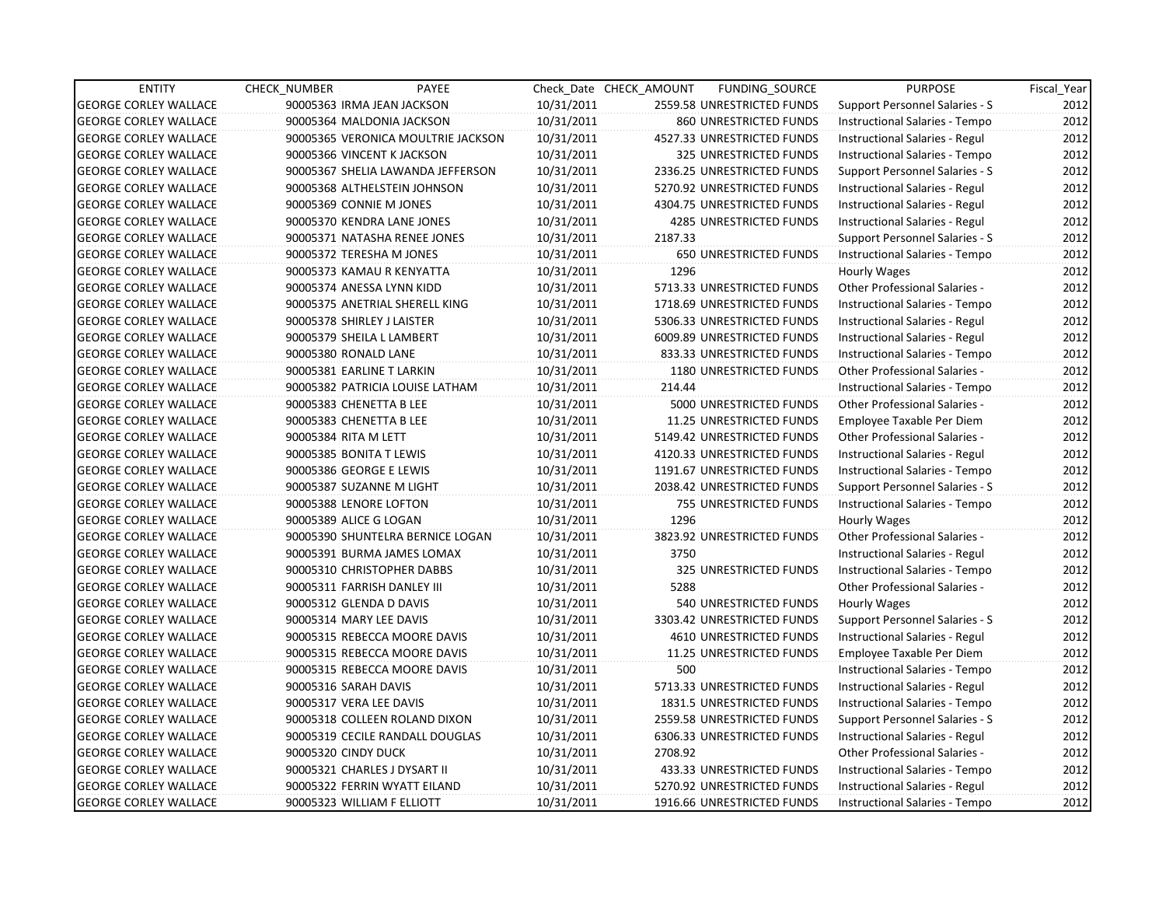| <b>ENTITY</b>                | <b>CHECK NUMBER</b>          | PAYEE                              |            | Check Date CHECK AMOUNT | FUNDING_SOURCE                 | <b>PURPOSE</b>                        | Fiscal Year |
|------------------------------|------------------------------|------------------------------------|------------|-------------------------|--------------------------------|---------------------------------------|-------------|
| <b>GEORGE CORLEY WALLACE</b> | 90005363 IRMA JEAN JACKSON   |                                    | 10/31/2011 |                         | 2559.58 UNRESTRICTED FUNDS     | Support Personnel Salaries - S        | 2012        |
| <b>GEORGE CORLEY WALLACE</b> | 90005364 MALDONIA JACKSON    |                                    | 10/31/2011 |                         | 860 UNRESTRICTED FUNDS         | Instructional Salaries - Tempo        | 2012        |
| <b>GEORGE CORLEY WALLACE</b> |                              | 90005365 VERONICA MOULTRIE JACKSON | 10/31/2011 |                         | 4527.33 UNRESTRICTED FUNDS     | Instructional Salaries - Regul        | 2012        |
| <b>GEORGE CORLEY WALLACE</b> | 90005366 VINCENT K JACKSON   |                                    | 10/31/2011 |                         | 325 UNRESTRICTED FUNDS         | Instructional Salaries - Tempo        | 2012        |
| <b>GEORGE CORLEY WALLACE</b> |                              | 90005367 SHELIA LAWANDA JEFFERSON  | 10/31/2011 |                         | 2336.25 UNRESTRICTED FUNDS     | Support Personnel Salaries - S        | 2012        |
| <b>GEORGE CORLEY WALLACE</b> |                              | 90005368 ALTHELSTEIN JOHNSON       | 10/31/2011 |                         | 5270.92 UNRESTRICTED FUNDS     | Instructional Salaries - Regul        | 2012        |
| <b>GEORGE CORLEY WALLACE</b> | 90005369 CONNIE M JONES      |                                    | 10/31/2011 |                         | 4304.75 UNRESTRICTED FUNDS     | Instructional Salaries - Regul        | 2012        |
| <b>GEORGE CORLEY WALLACE</b> |                              | 90005370 KENDRA LANE JONES         | 10/31/2011 |                         | <b>4285 UNRESTRICTED FUNDS</b> | Instructional Salaries - Regul        | 2012        |
| <b>GEORGE CORLEY WALLACE</b> |                              | 90005371 NATASHA RENEE JONES       | 10/31/2011 | 2187.33                 |                                | Support Personnel Salaries - S        | 2012        |
| <b>GEORGE CORLEY WALLACE</b> | 90005372 TERESHA M JONES     |                                    | 10/31/2011 |                         | 650 UNRESTRICTED FUNDS         | Instructional Salaries - Tempo        | 2012        |
| <b>GEORGE CORLEY WALLACE</b> | 90005373 KAMAU R KENYATTA    |                                    | 10/31/2011 | 1296                    |                                | Hourly Wages                          | 2012        |
| <b>GEORGE CORLEY WALLACE</b> | 90005374 ANESSA LYNN KIDD    |                                    | 10/31/2011 |                         | 5713.33 UNRESTRICTED FUNDS     | Other Professional Salaries -         | 2012        |
| <b>GEORGE CORLEY WALLACE</b> |                              | 90005375 ANETRIAL SHERELL KING     | 10/31/2011 |                         | 1718.69 UNRESTRICTED FUNDS     | Instructional Salaries - Tempo        | 2012        |
| <b>GEORGE CORLEY WALLACE</b> | 90005378 SHIRLEY J LAISTER   |                                    | 10/31/2011 |                         | 5306.33 UNRESTRICTED FUNDS     | Instructional Salaries - Regul        | 2012        |
| <b>GEORGE CORLEY WALLACE</b> | 90005379 SHEILA L LAMBERT    |                                    | 10/31/2011 |                         | 6009.89 UNRESTRICTED FUNDS     | Instructional Salaries - Regul        | 2012        |
| <b>GEORGE CORLEY WALLACE</b> | 90005380 RONALD LANE         |                                    | 10/31/2011 |                         | 833.33 UNRESTRICTED FUNDS      | Instructional Salaries - Tempo        | 2012        |
| <b>GEORGE CORLEY WALLACE</b> | 90005381 EARLINE T LARKIN    |                                    | 10/31/2011 |                         | 1180 UNRESTRICTED FUNDS        | Other Professional Salaries -         | 2012        |
| <b>GEORGE CORLEY WALLACE</b> |                              | 90005382 PATRICIA LOUISE LATHAM    | 10/31/2011 | 214.44                  |                                | Instructional Salaries - Tempo        | 2012        |
| <b>GEORGE CORLEY WALLACE</b> | 90005383 CHENETTA B LEE      |                                    | 10/31/2011 |                         | 5000 UNRESTRICTED FUNDS        | Other Professional Salaries -         | 2012        |
| <b>GEORGE CORLEY WALLACE</b> | 90005383 CHENETTA B LEE      |                                    | 10/31/2011 |                         | 11.25 UNRESTRICTED FUNDS       | Employee Taxable Per Diem             | 2012        |
| <b>GEORGE CORLEY WALLACE</b> | 90005384 RITA M LETT         |                                    | 10/31/2011 |                         | 5149.42 UNRESTRICTED FUNDS     | <b>Other Professional Salaries -</b>  | 2012        |
| <b>GEORGE CORLEY WALLACE</b> | 90005385 BONITA T LEWIS      |                                    | 10/31/2011 |                         | 4120.33 UNRESTRICTED FUNDS     | Instructional Salaries - Regul        | 2012        |
| <b>GEORGE CORLEY WALLACE</b> | 90005386 GEORGE E LEWIS      |                                    | 10/31/2011 |                         | 1191.67 UNRESTRICTED FUNDS     | Instructional Salaries - Tempo        | 2012        |
| <b>GEORGE CORLEY WALLACE</b> | 90005387 SUZANNE M LIGHT     |                                    | 10/31/2011 |                         | 2038.42 UNRESTRICTED FUNDS     | <b>Support Personnel Salaries - S</b> | 2012        |
| <b>GEORGE CORLEY WALLACE</b> | 90005388 LENORE LOFTON       |                                    | 10/31/2011 |                         | 755 UNRESTRICTED FUNDS         | Instructional Salaries - Tempo        | 2012        |
| <b>GEORGE CORLEY WALLACE</b> | 90005389 ALICE G LOGAN       |                                    | 10/31/2011 | 1296                    |                                | Hourly Wages                          | 2012        |
| <b>GEORGE CORLEY WALLACE</b> |                              | 90005390 SHUNTELRA BERNICE LOGAN   | 10/31/2011 |                         | 3823.92 UNRESTRICTED FUNDS     | Other Professional Salaries -         | 2012        |
| <b>GEORGE CORLEY WALLACE</b> |                              | 90005391 BURMA JAMES LOMAX         | 10/31/2011 | 3750                    |                                | Instructional Salaries - Regul        | 2012        |
| <b>GEORGE CORLEY WALLACE</b> |                              | 90005310 CHRISTOPHER DABBS         | 10/31/2011 |                         | 325 UNRESTRICTED FUNDS         | Instructional Salaries - Tempo        | 2012        |
| <b>GEORGE CORLEY WALLACE</b> | 90005311 FARRISH DANLEY III  |                                    | 10/31/2011 | 5288                    |                                | Other Professional Salaries -         | 2012        |
| <b>GEORGE CORLEY WALLACE</b> | 90005312 GLENDA D DAVIS      |                                    | 10/31/2011 |                         | 540 UNRESTRICTED FUNDS         | Hourly Wages                          | 2012        |
| <b>GEORGE CORLEY WALLACE</b> | 90005314 MARY LEE DAVIS      |                                    | 10/31/2011 |                         | 3303.42 UNRESTRICTED FUNDS     | Support Personnel Salaries - S        | 2012        |
| <b>GEORGE CORLEY WALLACE</b> |                              | 90005315 REBECCA MOORE DAVIS       | 10/31/2011 |                         | 4610 UNRESTRICTED FUNDS        | Instructional Salaries - Regul        | 2012        |
| <b>GEORGE CORLEY WALLACE</b> |                              | 90005315 REBECCA MOORE DAVIS       | 10/31/2011 |                         | 11.25 UNRESTRICTED FUNDS       | Employee Taxable Per Diem             | 2012        |
| <b>GEORGE CORLEY WALLACE</b> |                              | 90005315 REBECCA MOORE DAVIS       | 10/31/2011 | 500                     |                                | Instructional Salaries - Tempo        | 2012        |
| <b>GEORGE CORLEY WALLACE</b> | 90005316 SARAH DAVIS         |                                    | 10/31/2011 |                         | 5713.33 UNRESTRICTED FUNDS     | Instructional Salaries - Regul        | 2012        |
| <b>GEORGE CORLEY WALLACE</b> | 90005317 VERA LEE DAVIS      |                                    | 10/31/2011 |                         | 1831.5 UNRESTRICTED FUNDS      | Instructional Salaries - Tempo        | 2012        |
| <b>GEORGE CORLEY WALLACE</b> |                              | 90005318 COLLEEN ROLAND DIXON      | 10/31/2011 |                         | 2559.58 UNRESTRICTED FUNDS     | <b>Support Personnel Salaries - S</b> | 2012        |
| <b>GEORGE CORLEY WALLACE</b> |                              | 90005319 CECILE RANDALL DOUGLAS    | 10/31/2011 |                         | 6306.33 UNRESTRICTED FUNDS     | Instructional Salaries - Regul        | 2012        |
| <b>GEORGE CORLEY WALLACE</b> | 90005320 CINDY DUCK          |                                    | 10/31/2011 | 2708.92                 |                                | Other Professional Salaries -         | 2012        |
| <b>GEORGE CORLEY WALLACE</b> | 90005321 CHARLES J DYSART II |                                    | 10/31/2011 |                         | 433.33 UNRESTRICTED FUNDS      | Instructional Salaries - Tempo        | 2012        |
| <b>GEORGE CORLEY WALLACE</b> |                              | 90005322 FERRIN WYATT EILAND       | 10/31/2011 |                         | 5270.92 UNRESTRICTED FUNDS     | Instructional Salaries - Regul        | 2012        |
| <b>GEORGE CORLEY WALLACE</b> | 90005323 WILLIAM F ELLIOTT   |                                    | 10/31/2011 |                         | 1916.66 UNRESTRICTED FUNDS     | Instructional Salaries - Tempo        | 2012        |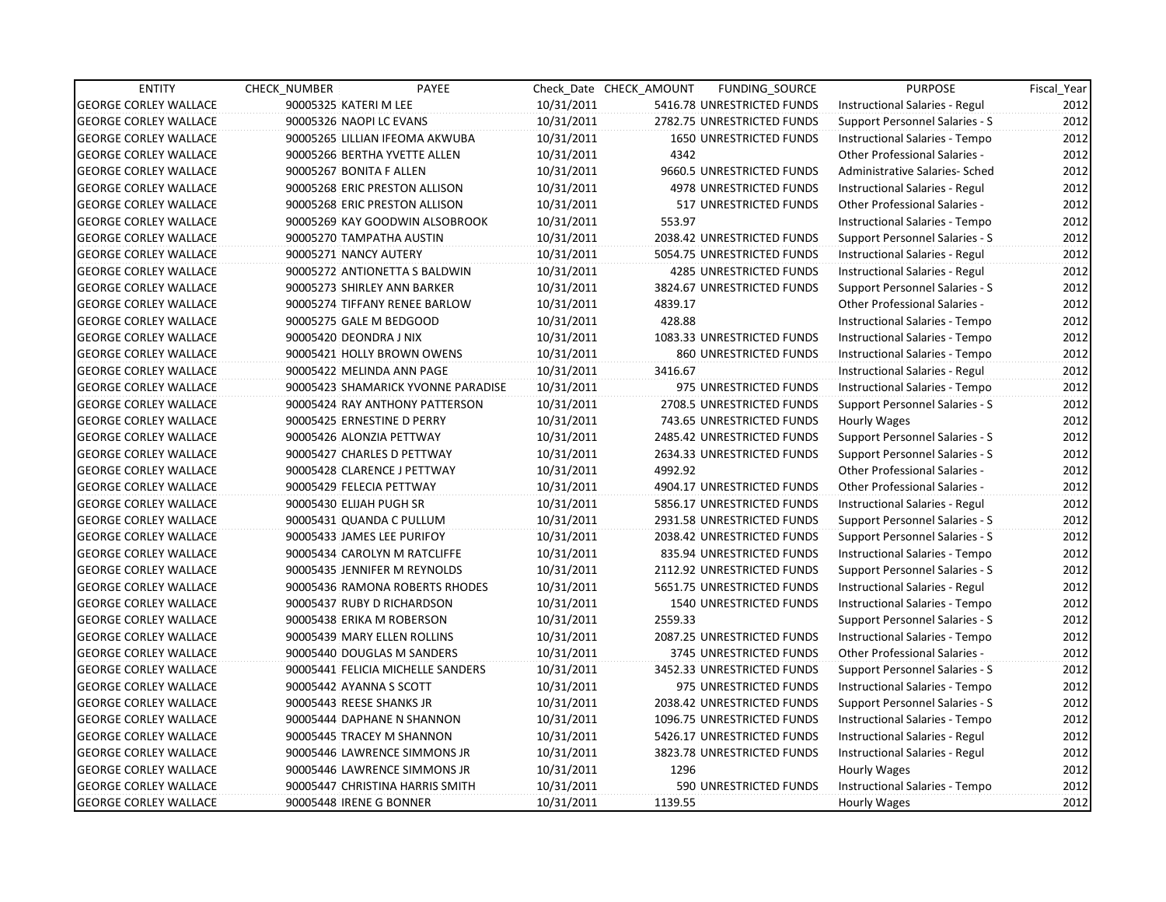| <b>ENTITY</b>                | CHECK_NUMBER             | PAYEE                              |            | Check Date CHECK AMOUNT | FUNDING_SOURCE                 | <b>PURPOSE</b>                       | Fiscal_Year |
|------------------------------|--------------------------|------------------------------------|------------|-------------------------|--------------------------------|--------------------------------------|-------------|
| <b>GEORGE CORLEY WALLACE</b> | 90005325 KATERI M LEE    |                                    | 10/31/2011 |                         | 5416.78 UNRESTRICTED FUNDS     | Instructional Salaries - Regul       | 2012        |
| <b>GEORGE CORLEY WALLACE</b> | 90005326 NAOPI LC EVANS  |                                    | 10/31/2011 |                         | 2782.75 UNRESTRICTED FUNDS     | Support Personnel Salaries - S       | 2012        |
| <b>GEORGE CORLEY WALLACE</b> |                          | 90005265 LILLIAN IFEOMA AKWUBA     | 10/31/2011 |                         | <b>1650 UNRESTRICTED FUNDS</b> | Instructional Salaries - Tempo       | 2012        |
| <b>GEORGE CORLEY WALLACE</b> |                          | 90005266 BERTHA YVETTE ALLEN       | 10/31/2011 | 4342                    |                                | <b>Other Professional Salaries -</b> | 2012        |
| <b>GEORGE CORLEY WALLACE</b> | 90005267 BONITA F ALLEN  |                                    | 10/31/2011 |                         | 9660.5 UNRESTRICTED FUNDS      | Administrative Salaries- Sched       | 2012        |
| <b>GEORGE CORLEY WALLACE</b> |                          | 90005268 ERIC PRESTON ALLISON      | 10/31/2011 |                         | 4978 UNRESTRICTED FUNDS        | Instructional Salaries - Regul       | 2012        |
| <b>GEORGE CORLEY WALLACE</b> |                          | 90005268 ERIC PRESTON ALLISON      | 10/31/2011 |                         | 517 UNRESTRICTED FUNDS         | <b>Other Professional Salaries -</b> | 2012        |
| <b>GEORGE CORLEY WALLACE</b> |                          | 90005269 KAY GOODWIN ALSOBROOK     | 10/31/2011 | 553.97                  |                                | Instructional Salaries - Tempo       | 2012        |
| <b>GEORGE CORLEY WALLACE</b> |                          | 90005270 TAMPATHA AUSTIN           | 10/31/2011 |                         | 2038.42 UNRESTRICTED FUNDS     | Support Personnel Salaries - S       | 2012        |
| <b>GEORGE CORLEY WALLACE</b> | 90005271 NANCY AUTERY    |                                    | 10/31/2011 |                         | 5054.75 UNRESTRICTED FUNDS     | Instructional Salaries - Regul       | 2012        |
| <b>GEORGE CORLEY WALLACE</b> |                          | 90005272 ANTIONETTA S BALDWIN      | 10/31/2011 |                         | 4285 UNRESTRICTED FUNDS        | Instructional Salaries - Regul       | 2012        |
| <b>GEORGE CORLEY WALLACE</b> |                          | 90005273 SHIRLEY ANN BARKER        | 10/31/2011 |                         | 3824.67 UNRESTRICTED FUNDS     | Support Personnel Salaries - S       | 2012        |
| <b>GEORGE CORLEY WALLACE</b> |                          | 90005274 TIFFANY RENEE BARLOW      | 10/31/2011 | 4839.17                 |                                | Other Professional Salaries -        | 2012        |
| <b>GEORGE CORLEY WALLACE</b> |                          | 90005275 GALE M BEDGOOD            | 10/31/2011 | 428.88                  |                                | Instructional Salaries - Tempo       | 2012        |
| <b>GEORGE CORLEY WALLACE</b> | 90005420 DEONDRA J NIX   |                                    | 10/31/2011 |                         | 1083.33 UNRESTRICTED FUNDS     | Instructional Salaries - Tempo       | 2012        |
| <b>GEORGE CORLEY WALLACE</b> |                          | 90005421 HOLLY BROWN OWENS         | 10/31/2011 |                         | 860 UNRESTRICTED FUNDS         | Instructional Salaries - Tempo       | 2012        |
| <b>GEORGE CORLEY WALLACE</b> |                          | 90005422 MELINDA ANN PAGE          | 10/31/2011 | 3416.67                 |                                | Instructional Salaries - Regul       | 2012        |
| <b>GEORGE CORLEY WALLACE</b> |                          | 90005423 SHAMARICK YVONNE PARADISE | 10/31/2011 |                         | 975 UNRESTRICTED FUNDS         | Instructional Salaries - Tempo       | 2012        |
| <b>GEORGE CORLEY WALLACE</b> |                          | 90005424 RAY ANTHONY PATTERSON     | 10/31/2011 |                         | 2708.5 UNRESTRICTED FUNDS      | Support Personnel Salaries - S       | 2012        |
| <b>GEORGE CORLEY WALLACE</b> |                          | 90005425 ERNESTINE D PERRY         | 10/31/2011 |                         | 743.65 UNRESTRICTED FUNDS      | Hourly Wages                         | 2012        |
| <b>GEORGE CORLEY WALLACE</b> |                          | 90005426 ALONZIA PETTWAY           | 10/31/2011 |                         | 2485.42 UNRESTRICTED FUNDS     | Support Personnel Salaries - S       | 2012        |
| <b>GEORGE CORLEY WALLACE</b> |                          | 90005427 CHARLES D PETTWAY         | 10/31/2011 |                         | 2634.33 UNRESTRICTED FUNDS     | Support Personnel Salaries - S       | 2012        |
| <b>GEORGE CORLEY WALLACE</b> |                          | 90005428 CLARENCE J PETTWAY        | 10/31/2011 | 4992.92                 |                                | <b>Other Professional Salaries -</b> | 2012        |
| <b>GEORGE CORLEY WALLACE</b> | 90005429 FELECIA PETTWAY |                                    | 10/31/2011 |                         | 4904.17 UNRESTRICTED FUNDS     | <b>Other Professional Salaries -</b> | 2012        |
| <b>GEORGE CORLEY WALLACE</b> | 90005430 ELIJAH PUGH SR  |                                    | 10/31/2011 |                         | 5856.17 UNRESTRICTED FUNDS     | Instructional Salaries - Regul       | 2012        |
| <b>GEORGE CORLEY WALLACE</b> |                          | 90005431 QUANDA C PULLUM           | 10/31/2011 |                         | 2931.58 UNRESTRICTED FUNDS     | Support Personnel Salaries - S       | 2012        |
| <b>GEORGE CORLEY WALLACE</b> |                          | 90005433 JAMES LEE PURIFOY         | 10/31/2011 |                         | 2038.42 UNRESTRICTED FUNDS     | Support Personnel Salaries - S       | 2012        |
| <b>GEORGE CORLEY WALLACE</b> |                          | 90005434 CAROLYN M RATCLIFFE       | 10/31/2011 |                         | 835.94 UNRESTRICTED FUNDS      | Instructional Salaries - Tempo       | 2012        |
| <b>GEORGE CORLEY WALLACE</b> |                          | 90005435 JENNIFER M REYNOLDS       | 10/31/2011 |                         | 2112.92 UNRESTRICTED FUNDS     | Support Personnel Salaries - S       | 2012        |
| <b>GEORGE CORLEY WALLACE</b> |                          | 90005436 RAMONA ROBERTS RHODES     | 10/31/2011 |                         | 5651.75 UNRESTRICTED FUNDS     | Instructional Salaries - Regul       | 2012        |
| <b>GEORGE CORLEY WALLACE</b> |                          | 90005437 RUBY D RICHARDSON         | 10/31/2011 |                         | 1540 UNRESTRICTED FUNDS        | Instructional Salaries - Tempo       | 2012        |
| <b>GEORGE CORLEY WALLACE</b> |                          | 90005438 ERIKA M ROBERSON          | 10/31/2011 | 2559.33                 |                                | Support Personnel Salaries - S       | 2012        |
| <b>GEORGE CORLEY WALLACE</b> |                          | 90005439 MARY ELLEN ROLLINS        | 10/31/2011 |                         | 2087.25 UNRESTRICTED FUNDS     | Instructional Salaries - Tempo       | 2012        |
| <b>GEORGE CORLEY WALLACE</b> |                          | 90005440 DOUGLAS M SANDERS         | 10/31/2011 |                         | 3745 UNRESTRICTED FUNDS        | Other Professional Salaries -        | 2012        |
| <b>GEORGE CORLEY WALLACE</b> |                          | 90005441 FELICIA MICHELLE SANDERS  | 10/31/2011 |                         | 3452.33 UNRESTRICTED FUNDS     | Support Personnel Salaries - S       | 2012        |
| <b>GEORGE CORLEY WALLACE</b> | 90005442 AYANNA S SCOTT  |                                    | 10/31/2011 |                         | 975 UNRESTRICTED FUNDS         | Instructional Salaries - Tempo       | 2012        |
| <b>GEORGE CORLEY WALLACE</b> | 90005443 REESE SHANKS JR |                                    | 10/31/2011 |                         | 2038.42 UNRESTRICTED FUNDS     | Support Personnel Salaries - S       | 2012        |
| <b>GEORGE CORLEY WALLACE</b> |                          | 90005444 DAPHANE N SHANNON         | 10/31/2011 |                         | 1096.75 UNRESTRICTED FUNDS     | Instructional Salaries - Tempo       | 2012        |
| <b>GEORGE CORLEY WALLACE</b> |                          | 90005445 TRACEY M SHANNON          | 10/31/2011 |                         | 5426.17 UNRESTRICTED FUNDS     | Instructional Salaries - Regul       | 2012        |
| <b>GEORGE CORLEY WALLACE</b> |                          | 90005446 LAWRENCE SIMMONS JR       | 10/31/2011 |                         | 3823.78 UNRESTRICTED FUNDS     | Instructional Salaries - Regul       | 2012        |
| <b>GEORGE CORLEY WALLACE</b> |                          | 90005446 LAWRENCE SIMMONS JR       | 10/31/2011 | 1296                    |                                | Hourly Wages                         | 2012        |
| <b>GEORGE CORLEY WALLACE</b> |                          | 90005447 CHRISTINA HARRIS SMITH    | 10/31/2011 |                         | 590 UNRESTRICTED FUNDS         | Instructional Salaries - Tempo       | 2012        |
| <b>GEORGE CORLEY WALLACE</b> | 90005448 IRENE G BONNER  |                                    | 10/31/2011 | 1139.55                 |                                | Hourly Wages                         | 2012        |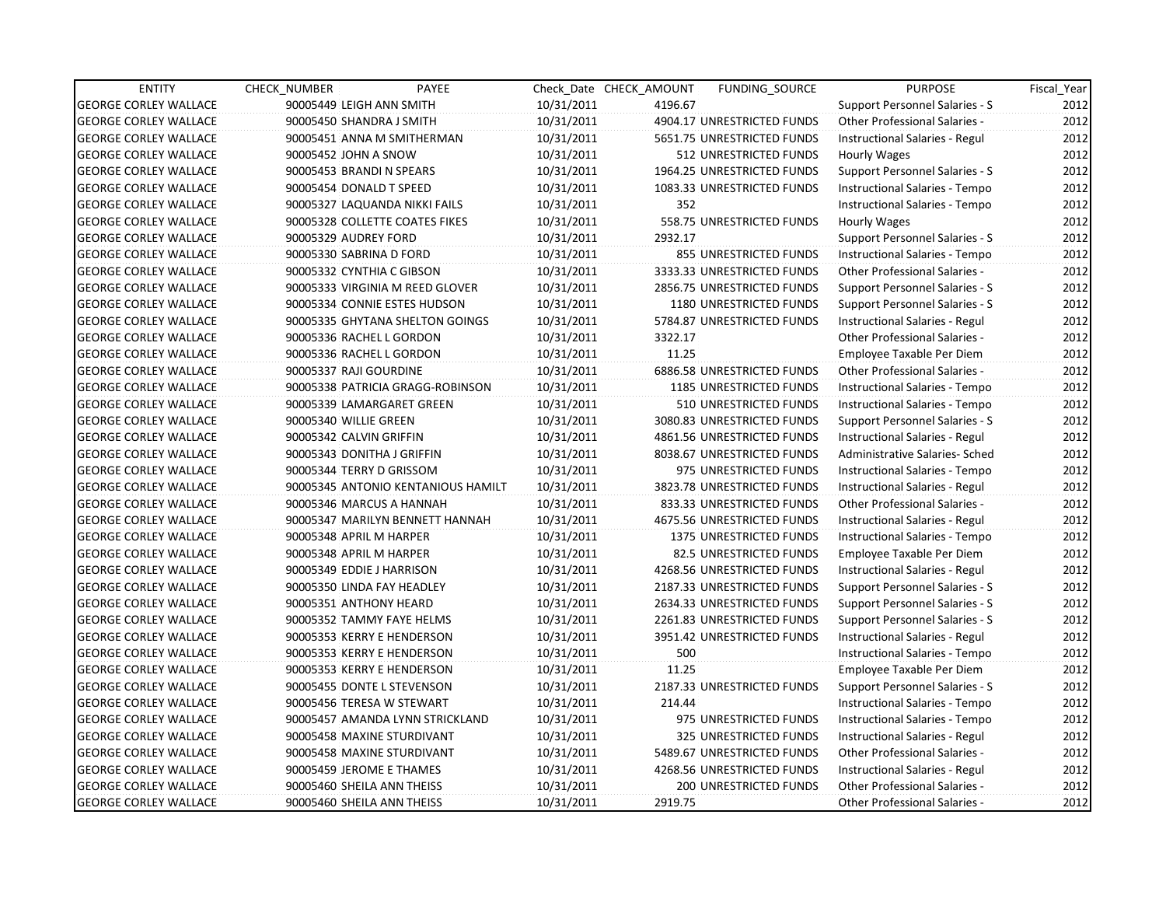| <b>ENTITY</b>                | <b>CHECK NUMBER</b> | PAYEE                              |            | Check Date CHECK AMOUNT | <b>FUNDING SOURCE</b>      | <b>PURPOSE</b>                       | Fiscal Year |
|------------------------------|---------------------|------------------------------------|------------|-------------------------|----------------------------|--------------------------------------|-------------|
| <b>GEORGE CORLEY WALLACE</b> |                     | 90005449 LEIGH ANN SMITH           | 10/31/2011 | 4196.67                 |                            | Support Personnel Salaries - S       | 2012        |
| <b>GEORGE CORLEY WALLACE</b> |                     | 90005450 SHANDRA J SMITH           | 10/31/2011 |                         | 4904.17 UNRESTRICTED FUNDS | Other Professional Salaries -        | 2012        |
| <b>GEORGE CORLEY WALLACE</b> |                     | 90005451 ANNA M SMITHERMAN         | 10/31/2011 |                         | 5651.75 UNRESTRICTED FUNDS | Instructional Salaries - Regul       | 2012        |
| <b>GEORGE CORLEY WALLACE</b> |                     | 90005452 JOHN A SNOW               | 10/31/2011 |                         | 512 UNRESTRICTED FUNDS     | Hourly Wages                         | 2012        |
| <b>GEORGE CORLEY WALLACE</b> |                     | 90005453 BRANDI N SPEARS           | 10/31/2011 |                         | 1964.25 UNRESTRICTED FUNDS | Support Personnel Salaries - S       | 2012        |
| <b>GEORGE CORLEY WALLACE</b> |                     | 90005454 DONALD T SPEED            | 10/31/2011 |                         | 1083.33 UNRESTRICTED FUNDS | Instructional Salaries - Tempo       | 2012        |
| <b>GEORGE CORLEY WALLACE</b> |                     | 90005327 LAQUANDA NIKKI FAILS      | 10/31/2011 | 352                     |                            | Instructional Salaries - Tempo       | 2012        |
| <b>GEORGE CORLEY WALLACE</b> |                     | 90005328 COLLETTE COATES FIKES     | 10/31/2011 |                         | 558.75 UNRESTRICTED FUNDS  | Hourly Wages                         | 2012        |
| <b>GEORGE CORLEY WALLACE</b> |                     | 90005329 AUDREY FORD               | 10/31/2011 | 2932.17                 |                            | Support Personnel Salaries - S       | 2012        |
| <b>GEORGE CORLEY WALLACE</b> |                     | 90005330 SABRINA D FORD            | 10/31/2011 |                         | 855 UNRESTRICTED FUNDS     | Instructional Salaries - Tempo       | 2012        |
| <b>GEORGE CORLEY WALLACE</b> |                     | 90005332 CYNTHIA C GIBSON          | 10/31/2011 |                         | 3333.33 UNRESTRICTED FUNDS | <b>Other Professional Salaries -</b> | 2012        |
| <b>GEORGE CORLEY WALLACE</b> |                     | 90005333 VIRGINIA M REED GLOVER    | 10/31/2011 |                         | 2856.75 UNRESTRICTED FUNDS | Support Personnel Salaries - S       | 2012        |
| <b>GEORGE CORLEY WALLACE</b> |                     | 90005334 CONNIE ESTES HUDSON       | 10/31/2011 |                         | 1180 UNRESTRICTED FUNDS    | Support Personnel Salaries - S       | 2012        |
| <b>GEORGE CORLEY WALLACE</b> |                     | 90005335 GHYTANA SHELTON GOINGS    | 10/31/2011 |                         | 5784.87 UNRESTRICTED FUNDS | Instructional Salaries - Regul       | 2012        |
| <b>GEORGE CORLEY WALLACE</b> |                     | 90005336 RACHEL L GORDON           | 10/31/2011 | 3322.17                 |                            | Other Professional Salaries -        | 2012        |
| <b>GEORGE CORLEY WALLACE</b> |                     | 90005336 RACHEL L GORDON           | 10/31/2011 | 11.25                   |                            | Employee Taxable Per Diem            | 2012        |
| <b>GEORGE CORLEY WALLACE</b> |                     | 90005337 RAJI GOURDINE             | 10/31/2011 |                         | 6886.58 UNRESTRICTED FUNDS | Other Professional Salaries -        | 2012        |
| <b>GEORGE CORLEY WALLACE</b> |                     | 90005338 PATRICIA GRAGG-ROBINSON   | 10/31/2011 |                         | 1185 UNRESTRICTED FUNDS    | Instructional Salaries - Tempo       | 2012        |
| <b>GEORGE CORLEY WALLACE</b> |                     | 90005339 LAMARGARET GREEN          | 10/31/2011 |                         | 510 UNRESTRICTED FUNDS     | Instructional Salaries - Tempo       | 2012        |
| <b>GEORGE CORLEY WALLACE</b> |                     | 90005340 WILLIE GREEN              | 10/31/2011 |                         | 3080.83 UNRESTRICTED FUNDS | Support Personnel Salaries - S       | 2012        |
| <b>GEORGE CORLEY WALLACE</b> |                     | 90005342 CALVIN GRIFFIN            | 10/31/2011 |                         | 4861.56 UNRESTRICTED FUNDS | Instructional Salaries - Regul       | 2012        |
| <b>GEORGE CORLEY WALLACE</b> |                     | 90005343 DONITHA J GRIFFIN         | 10/31/2011 |                         | 8038.67 UNRESTRICTED FUNDS | Administrative Salaries- Sched       | 2012        |
| <b>GEORGE CORLEY WALLACE</b> |                     | 90005344 TERRY D GRISSOM           | 10/31/2011 |                         | 975 UNRESTRICTED FUNDS     | Instructional Salaries - Tempo       | 2012        |
| <b>GEORGE CORLEY WALLACE</b> |                     | 90005345 ANTONIO KENTANIOUS HAMILT | 10/31/2011 |                         | 3823.78 UNRESTRICTED FUNDS | Instructional Salaries - Regul       | 2012        |
| <b>GEORGE CORLEY WALLACE</b> |                     | 90005346 MARCUS A HANNAH           | 10/31/2011 |                         | 833.33 UNRESTRICTED FUNDS  | Other Professional Salaries -        | 2012        |
| <b>GEORGE CORLEY WALLACE</b> |                     | 90005347 MARILYN BENNETT HANNAH    | 10/31/2011 |                         | 4675.56 UNRESTRICTED FUNDS | Instructional Salaries - Regul       | 2012        |
| <b>GEORGE CORLEY WALLACE</b> |                     | 90005348 APRIL M HARPER            | 10/31/2011 |                         | 1375 UNRESTRICTED FUNDS    | Instructional Salaries - Tempo       | 2012        |
| <b>GEORGE CORLEY WALLACE</b> |                     | 90005348 APRIL M HARPER            | 10/31/2011 |                         | 82.5 UNRESTRICTED FUNDS    | Employee Taxable Per Diem            | 2012        |
| <b>GEORGE CORLEY WALLACE</b> |                     | 90005349 EDDIE J HARRISON          | 10/31/2011 |                         | 4268.56 UNRESTRICTED FUNDS | Instructional Salaries - Regul       | 2012        |
| <b>GEORGE CORLEY WALLACE</b> |                     | 90005350 LINDA FAY HEADLEY         | 10/31/2011 |                         | 2187.33 UNRESTRICTED FUNDS | Support Personnel Salaries - S       | 2012        |
| <b>GEORGE CORLEY WALLACE</b> |                     | 90005351 ANTHONY HEARD             | 10/31/2011 |                         | 2634.33 UNRESTRICTED FUNDS | Support Personnel Salaries - S       | 2012        |
| <b>GEORGE CORLEY WALLACE</b> |                     | 90005352 TAMMY FAYE HELMS          | 10/31/2011 |                         | 2261.83 UNRESTRICTED FUNDS | Support Personnel Salaries - S       | 2012        |
| <b>GEORGE CORLEY WALLACE</b> |                     | 90005353 KERRY E HENDERSON         | 10/31/2011 |                         | 3951.42 UNRESTRICTED FUNDS | Instructional Salaries - Regul       | 2012        |
| <b>GEORGE CORLEY WALLACE</b> |                     | 90005353 KERRY E HENDERSON         | 10/31/2011 | 500                     |                            | Instructional Salaries - Tempo       | 2012        |
| <b>GEORGE CORLEY WALLACE</b> |                     | 90005353 KERRY E HENDERSON         | 10/31/2011 | 11.25                   |                            | Employee Taxable Per Diem            | 2012        |
| <b>GEORGE CORLEY WALLACE</b> |                     | 90005455 DONTE L STEVENSON         | 10/31/2011 |                         | 2187.33 UNRESTRICTED FUNDS | Support Personnel Salaries - S       | 2012        |
| <b>GEORGE CORLEY WALLACE</b> |                     | 90005456 TERESA W STEWART          | 10/31/2011 | 214.44                  |                            | Instructional Salaries - Tempo       | 2012        |
| <b>GEORGE CORLEY WALLACE</b> |                     | 90005457 AMANDA LYNN STRICKLAND    | 10/31/2011 |                         | 975 UNRESTRICTED FUNDS     | Instructional Salaries - Tempo       | 2012        |
| <b>GEORGE CORLEY WALLACE</b> |                     | 90005458 MAXINE STURDIVANT         | 10/31/2011 |                         | 325 UNRESTRICTED FUNDS     | Instructional Salaries - Regul       | 2012        |
| <b>GEORGE CORLEY WALLACE</b> |                     | 90005458 MAXINE STURDIVANT         | 10/31/2011 |                         | 5489.67 UNRESTRICTED FUNDS | Other Professional Salaries -        | 2012        |
| <b>GEORGE CORLEY WALLACE</b> |                     | 90005459 JEROME E THAMES           | 10/31/2011 |                         | 4268.56 UNRESTRICTED FUNDS | Instructional Salaries - Regul       | 2012        |
| <b>GEORGE CORLEY WALLACE</b> |                     | 90005460 SHEILA ANN THEISS         | 10/31/2011 |                         | 200 UNRESTRICTED FUNDS     | Other Professional Salaries -        | 2012        |
| <b>GEORGE CORLEY WALLACE</b> |                     | 90005460 SHEILA ANN THEISS         | 10/31/2011 | 2919.75                 |                            | <b>Other Professional Salaries -</b> | 2012        |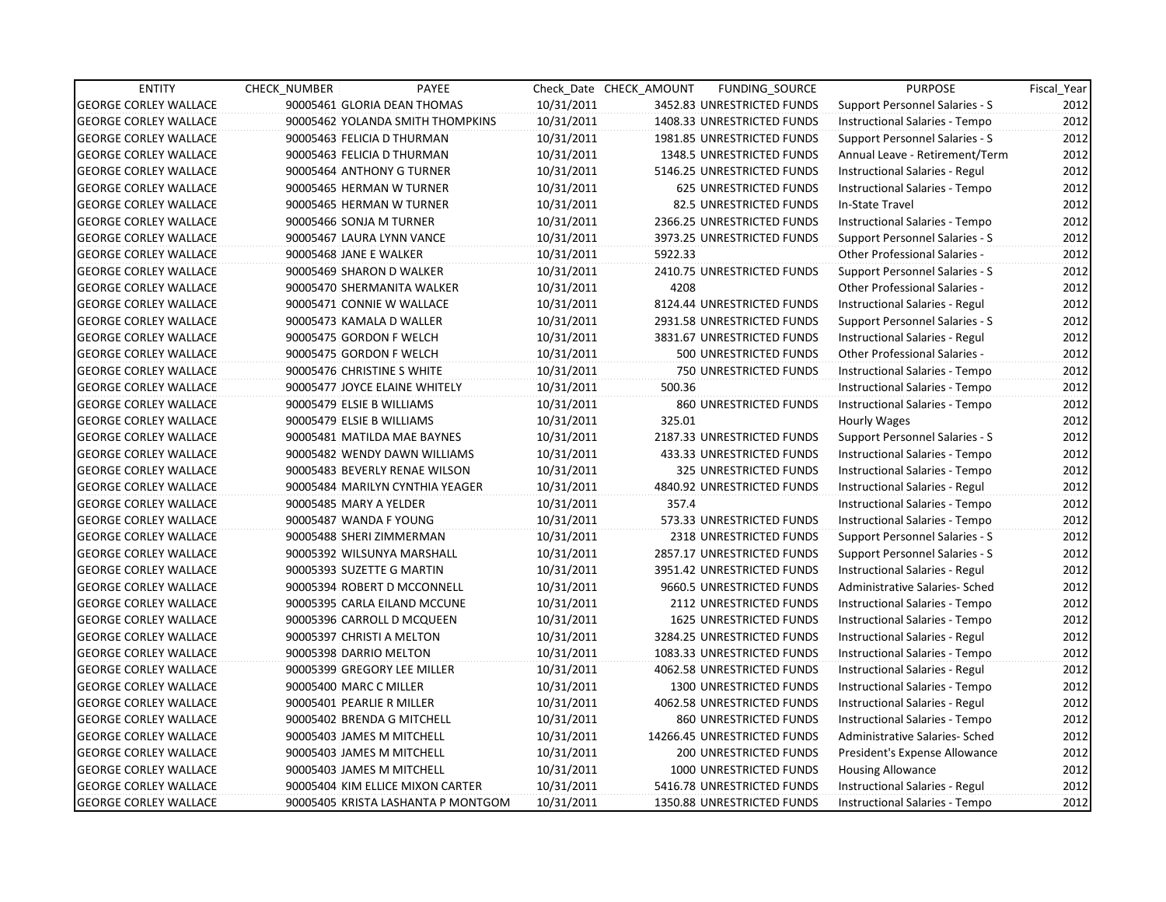| <b>ENTITY</b>                | PAYEE<br><b>CHECK NUMBER</b>       |            | Check Date CHECK AMOUNT<br>FUNDING_SOURCE | <b>PURPOSE</b>                        | Fiscal Year |
|------------------------------|------------------------------------|------------|-------------------------------------------|---------------------------------------|-------------|
| <b>GEORGE CORLEY WALLACE</b> | 90005461 GLORIA DEAN THOMAS        | 10/31/2011 | 3452.83 UNRESTRICTED FUNDS                | Support Personnel Salaries - S        | 2012        |
| <b>GEORGE CORLEY WALLACE</b> | 90005462 YOLANDA SMITH THOMPKINS   | 10/31/2011 | 1408.33 UNRESTRICTED FUNDS                | Instructional Salaries - Tempo        | 2012        |
| <b>GEORGE CORLEY WALLACE</b> | 90005463 FELICIA D THURMAN         | 10/31/2011 | 1981.85 UNRESTRICTED FUNDS                | Support Personnel Salaries - S        | 2012        |
| <b>GEORGE CORLEY WALLACE</b> | 90005463 FELICIA D THURMAN         | 10/31/2011 | 1348.5 UNRESTRICTED FUNDS                 | Annual Leave - Retirement/Term        | 2012        |
| <b>GEORGE CORLEY WALLACE</b> | 90005464 ANTHONY G TURNER          | 10/31/2011 | 5146.25 UNRESTRICTED FUNDS                | Instructional Salaries - Regul        | 2012        |
| <b>GEORGE CORLEY WALLACE</b> | 90005465 HERMAN W TURNER           | 10/31/2011 | 625 UNRESTRICTED FUNDS                    | Instructional Salaries - Tempo        | 2012        |
| <b>GEORGE CORLEY WALLACE</b> | 90005465 HERMAN W TURNER           | 10/31/2011 | 82.5 UNRESTRICTED FUNDS                   | In-State Travel                       | 2012        |
| <b>GEORGE CORLEY WALLACE</b> | 90005466 SONJA M TURNER            | 10/31/2011 | 2366.25 UNRESTRICTED FUNDS                | Instructional Salaries - Tempo        | 2012        |
| <b>GEORGE CORLEY WALLACE</b> | 90005467 LAURA LYNN VANCE          | 10/31/2011 | 3973.25 UNRESTRICTED FUNDS                | <b>Support Personnel Salaries - S</b> | 2012        |
| <b>GEORGE CORLEY WALLACE</b> | 90005468 JANE E WALKER             | 10/31/2011 | 5922.33                                   | Other Professional Salaries -         | 2012        |
| <b>GEORGE CORLEY WALLACE</b> | 90005469 SHARON D WALKER           | 10/31/2011 | 2410.75 UNRESTRICTED FUNDS                | Support Personnel Salaries - S        | 2012        |
| <b>GEORGE CORLEY WALLACE</b> | 90005470 SHERMANITA WALKER         | 10/31/2011 | 4208                                      | Other Professional Salaries -         | 2012        |
| <b>GEORGE CORLEY WALLACE</b> | 90005471 CONNIE W WALLACE          | 10/31/2011 | 8124.44 UNRESTRICTED FUNDS                | Instructional Salaries - Regul        | 2012        |
| <b>GEORGE CORLEY WALLACE</b> | 90005473 KAMALA D WALLER           | 10/31/2011 | 2931.58 UNRESTRICTED FUNDS                | Support Personnel Salaries - S        | 2012        |
| <b>GEORGE CORLEY WALLACE</b> | 90005475 GORDON F WELCH            | 10/31/2011 | 3831.67 UNRESTRICTED FUNDS                | Instructional Salaries - Regul        | 2012        |
| <b>GEORGE CORLEY WALLACE</b> | 90005475 GORDON F WELCH            | 10/31/2011 | 500 UNRESTRICTED FUNDS                    | Other Professional Salaries -         | 2012        |
| <b>GEORGE CORLEY WALLACE</b> | 90005476 CHRISTINE S WHITE         | 10/31/2011 | 750 UNRESTRICTED FUNDS                    | Instructional Salaries - Tempo        | 2012        |
| <b>GEORGE CORLEY WALLACE</b> | 90005477 JOYCE ELAINE WHITELY      | 10/31/2011 | 500.36                                    | Instructional Salaries - Tempo        | 2012        |
| <b>GEORGE CORLEY WALLACE</b> | 90005479 ELSIE B WILLIAMS          | 10/31/2011 | 860 UNRESTRICTED FUNDS                    | Instructional Salaries - Tempo        | 2012        |
| <b>GEORGE CORLEY WALLACE</b> | 90005479 ELSIE B WILLIAMS          | 10/31/2011 | 325.01                                    | Hourly Wages                          | 2012        |
| <b>GEORGE CORLEY WALLACE</b> | 90005481 MATILDA MAE BAYNES        | 10/31/2011 | 2187.33 UNRESTRICTED FUNDS                | Support Personnel Salaries - S        | 2012        |
| <b>GEORGE CORLEY WALLACE</b> | 90005482 WENDY DAWN WILLIAMS       | 10/31/2011 | 433.33 UNRESTRICTED FUNDS                 | Instructional Salaries - Tempo        | 2012        |
| <b>GEORGE CORLEY WALLACE</b> | 90005483 BEVERLY RENAE WILSON      | 10/31/2011 | 325 UNRESTRICTED FUNDS                    | <b>Instructional Salaries - Tempo</b> | 2012        |
| <b>GEORGE CORLEY WALLACE</b> | 90005484 MARILYN CYNTHIA YEAGER    | 10/31/2011 | 4840.92 UNRESTRICTED FUNDS                | Instructional Salaries - Regul        | 2012        |
| <b>GEORGE CORLEY WALLACE</b> | 90005485 MARY A YELDER             | 10/31/2011 | 357.4                                     | Instructional Salaries - Tempo        | 2012        |
| <b>GEORGE CORLEY WALLACE</b> | 90005487 WANDA F YOUNG             | 10/31/2011 | 573.33 UNRESTRICTED FUNDS                 | Instructional Salaries - Tempo        | 2012        |
| <b>GEORGE CORLEY WALLACE</b> | 90005488 SHERI ZIMMERMAN           | 10/31/2011 | 2318 UNRESTRICTED FUNDS                   | Support Personnel Salaries - S        | 2012        |
| <b>GEORGE CORLEY WALLACE</b> | 90005392 WILSUNYA MARSHALL         | 10/31/2011 | 2857.17 UNRESTRICTED FUNDS                | Support Personnel Salaries - S        | 2012        |
| <b>GEORGE CORLEY WALLACE</b> | 90005393 SUZETTE G MARTIN          | 10/31/2011 | 3951.42 UNRESTRICTED FUNDS                | Instructional Salaries - Regul        | 2012        |
| <b>GEORGE CORLEY WALLACE</b> | 90005394 ROBERT D MCCONNELL        | 10/31/2011 | 9660.5 UNRESTRICTED FUNDS                 | Administrative Salaries- Sched        | 2012        |
| <b>GEORGE CORLEY WALLACE</b> | 90005395 CARLA EILAND MCCUNE       | 10/31/2011 | 2112 UNRESTRICTED FUNDS                   | Instructional Salaries - Tempo        | 2012        |
| <b>GEORGE CORLEY WALLACE</b> | 90005396 CARROLL D MCQUEEN         | 10/31/2011 | <b>1625 UNRESTRICTED FUNDS</b>            | Instructional Salaries - Tempo        | 2012        |
| <b>GEORGE CORLEY WALLACE</b> | 90005397 CHRISTI A MELTON          | 10/31/2011 | 3284.25 UNRESTRICTED FUNDS                | Instructional Salaries - Regul        | 2012        |
| <b>GEORGE CORLEY WALLACE</b> | 90005398 DARRIO MELTON             | 10/31/2011 | 1083.33 UNRESTRICTED FUNDS                | Instructional Salaries - Tempo        | 2012        |
| <b>GEORGE CORLEY WALLACE</b> | 90005399 GREGORY LEE MILLER        | 10/31/2011 | 4062.58 UNRESTRICTED FUNDS                | Instructional Salaries - Regul        | 2012        |
| <b>GEORGE CORLEY WALLACE</b> | 90005400 MARC C MILLER             | 10/31/2011 | 1300 UNRESTRICTED FUNDS                   | Instructional Salaries - Tempo        | 2012        |
| <b>GEORGE CORLEY WALLACE</b> | 90005401 PEARLIE R MILLER          | 10/31/2011 | 4062.58 UNRESTRICTED FUNDS                | Instructional Salaries - Regul        | 2012        |
| <b>GEORGE CORLEY WALLACE</b> | 90005402 BRENDA G MITCHELL         | 10/31/2011 | 860 UNRESTRICTED FUNDS                    | Instructional Salaries - Tempo        | 2012        |
| <b>GEORGE CORLEY WALLACE</b> | 90005403 JAMES M MITCHELL          | 10/31/2011 | 14266.45 UNRESTRICTED FUNDS               | Administrative Salaries- Sched        | 2012        |
| <b>GEORGE CORLEY WALLACE</b> | 90005403 JAMES M MITCHELL          | 10/31/2011 | 200 UNRESTRICTED FUNDS                    | President's Expense Allowance         | 2012        |
| <b>GEORGE CORLEY WALLACE</b> | 90005403 JAMES M MITCHELL          | 10/31/2011 | 1000 UNRESTRICTED FUNDS                   | <b>Housing Allowance</b>              | 2012        |
| <b>GEORGE CORLEY WALLACE</b> | 90005404 KIM ELLICE MIXON CARTER   | 10/31/2011 | 5416.78 UNRESTRICTED FUNDS                | Instructional Salaries - Regul        | 2012        |
| <b>GEORGE CORLEY WALLACE</b> | 90005405 KRISTA LASHANTA P MONTGOM | 10/31/2011 | 1350.88 UNRESTRICTED FUNDS                | Instructional Salaries - Tempo        | 2012        |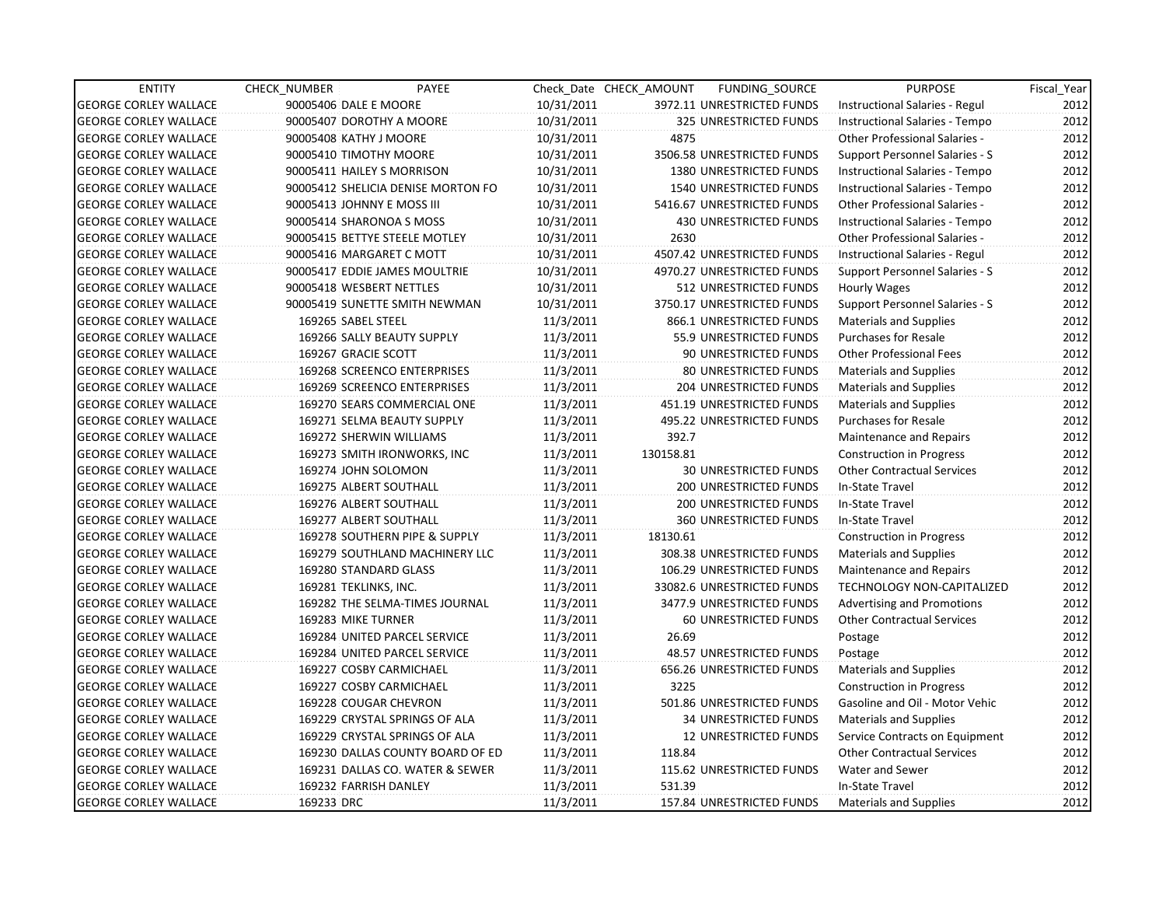| <b>ENTITY</b>                | <b>CHECK NUMBER</b>        | PAYEE                              |            | Check Date CHECK AMOUNT | FUNDING_SOURCE                  | <b>PURPOSE</b>                    | Fiscal Year |
|------------------------------|----------------------------|------------------------------------|------------|-------------------------|---------------------------------|-----------------------------------|-------------|
| <b>GEORGE CORLEY WALLACE</b> | 90005406 DALE E MOORE      |                                    | 10/31/2011 |                         | 3972.11 UNRESTRICTED FUNDS      | Instructional Salaries - Regul    | 2012        |
| <b>GEORGE CORLEY WALLACE</b> | 90005407 DOROTHY A MOORE   |                                    | 10/31/2011 |                         | 325 UNRESTRICTED FUNDS          | Instructional Salaries - Tempo    | 2012        |
| <b>GEORGE CORLEY WALLACE</b> | 90005408 KATHY J MOORE     |                                    | 10/31/2011 | 4875                    |                                 | Other Professional Salaries -     | 2012        |
| <b>GEORGE CORLEY WALLACE</b> | 90005410 TIMOTHY MOORE     |                                    | 10/31/2011 |                         | 3506.58 UNRESTRICTED FUNDS      | Support Personnel Salaries - S    | 2012        |
| <b>GEORGE CORLEY WALLACE</b> | 90005411 HAILEY S MORRISON |                                    | 10/31/2011 |                         | 1380 UNRESTRICTED FUNDS         | Instructional Salaries - Tempo    | 2012        |
| <b>GEORGE CORLEY WALLACE</b> |                            | 90005412 SHELICIA DENISE MORTON FO | 10/31/2011 |                         | <b>1540 UNRESTRICTED FUNDS</b>  | Instructional Salaries - Tempo    | 2012        |
| <b>GEORGE CORLEY WALLACE</b> | 90005413 JOHNNY E MOSS III |                                    | 10/31/2011 |                         | 5416.67 UNRESTRICTED FUNDS      | Other Professional Salaries -     | 2012        |
| <b>GEORGE CORLEY WALLACE</b> | 90005414 SHARONOA S MOSS   |                                    | 10/31/2011 |                         | <b>430 UNRESTRICTED FUNDS</b>   | Instructional Salaries - Tempo    | 2012        |
| <b>GEORGE CORLEY WALLACE</b> |                            | 90005415 BETTYE STEELE MOTLEY      | 10/31/2011 | 2630                    |                                 | Other Professional Salaries -     | 2012        |
| <b>GEORGE CORLEY WALLACE</b> | 90005416 MARGARET C MOTT   |                                    | 10/31/2011 |                         | 4507.42 UNRESTRICTED FUNDS      | Instructional Salaries - Regul    | 2012        |
| <b>GEORGE CORLEY WALLACE</b> |                            | 90005417 EDDIE JAMES MOULTRIE      | 10/31/2011 |                         | 4970.27 UNRESTRICTED FUNDS      | Support Personnel Salaries - S    | 2012        |
| <b>GEORGE CORLEY WALLACE</b> | 90005418 WESBERT NETTLES   |                                    | 10/31/2011 |                         | 512 UNRESTRICTED FUNDS          | Hourly Wages                      | 2012        |
| <b>GEORGE CORLEY WALLACE</b> |                            | 90005419 SUNETTE SMITH NEWMAN      | 10/31/2011 |                         | 3750.17 UNRESTRICTED FUNDS      | Support Personnel Salaries - S    | 2012        |
| <b>GEORGE CORLEY WALLACE</b> | 169265 SABEL STEEL         |                                    | 11/3/2011  |                         | 866.1 UNRESTRICTED FUNDS        | <b>Materials and Supplies</b>     | 2012        |
| <b>GEORGE CORLEY WALLACE</b> |                            | 169266 SALLY BEAUTY SUPPLY         | 11/3/2011  |                         | 55.9 UNRESTRICTED FUNDS         | <b>Purchases for Resale</b>       | 2012        |
| <b>GEORGE CORLEY WALLACE</b> | 169267 GRACIE SCOTT        |                                    | 11/3/2011  |                         | 90 UNRESTRICTED FUNDS           | <b>Other Professional Fees</b>    | 2012        |
| <b>GEORGE CORLEY WALLACE</b> |                            | 169268 SCREENCO ENTERPRISES        | 11/3/2011  |                         | 80 UNRESTRICTED FUNDS           | Materials and Supplies            | 2012        |
| <b>GEORGE CORLEY WALLACE</b> |                            | 169269 SCREENCO ENTERPRISES        | 11/3/2011  |                         | 204 UNRESTRICTED FUNDS          | <b>Materials and Supplies</b>     | 2012        |
| <b>GEORGE CORLEY WALLACE</b> |                            | 169270 SEARS COMMERCIAL ONE        | 11/3/2011  |                         | 451.19 UNRESTRICTED FUNDS       | <b>Materials and Supplies</b>     | 2012        |
| <b>GEORGE CORLEY WALLACE</b> |                            | 169271 SELMA BEAUTY SUPPLY         | 11/3/2011  |                         | 495.22 UNRESTRICTED FUNDS       | <b>Purchases for Resale</b>       | 2012        |
| <b>GEORGE CORLEY WALLACE</b> | 169272 SHERWIN WILLIAMS    |                                    | 11/3/2011  | 392.7                   |                                 | Maintenance and Repairs           | 2012        |
| <b>GEORGE CORLEY WALLACE</b> |                            | 169273 SMITH IRONWORKS, INC        | 11/3/2011  | 130158.81               |                                 | <b>Construction in Progress</b>   | 2012        |
| <b>GEORGE CORLEY WALLACE</b> | 169274 JOHN SOLOMON        |                                    | 11/3/2011  |                         | <b>30 UNRESTRICTED FUNDS</b>    | <b>Other Contractual Services</b> | 2012        |
| <b>GEORGE CORLEY WALLACE</b> | 169275 ALBERT SOUTHALL     |                                    | 11/3/2011  |                         | 200 UNRESTRICTED FUNDS          | In-State Travel                   | 2012        |
| <b>GEORGE CORLEY WALLACE</b> | 169276 ALBERT SOUTHALL     |                                    | 11/3/2011  |                         | 200 UNRESTRICTED FUNDS          | In-State Travel                   | 2012        |
| <b>GEORGE CORLEY WALLACE</b> | 169277 ALBERT SOUTHALL     |                                    | 11/3/2011  |                         | 360 UNRESTRICTED FUNDS          | In-State Travel                   | 2012        |
| <b>GEORGE CORLEY WALLACE</b> |                            | 169278 SOUTHERN PIPE & SUPPLY      | 11/3/2011  | 18130.61                |                                 | <b>Construction in Progress</b>   | 2012        |
| <b>GEORGE CORLEY WALLACE</b> |                            | 169279 SOUTHLAND MACHINERY LLC     | 11/3/2011  |                         | 308.38 UNRESTRICTED FUNDS       | <b>Materials and Supplies</b>     | 2012        |
| <b>GEORGE CORLEY WALLACE</b> | 169280 STANDARD GLASS      |                                    | 11/3/2011  |                         | 106.29 UNRESTRICTED FUNDS       | Maintenance and Repairs           | 2012        |
| <b>GEORGE CORLEY WALLACE</b> | 169281 TEKLINKS, INC.      |                                    | 11/3/2011  |                         | 33082.6 UNRESTRICTED FUNDS      | TECHNOLOGY NON-CAPITALIZED        | 2012        |
| <b>GEORGE CORLEY WALLACE</b> |                            | 169282 THE SELMA-TIMES JOURNAL     | 11/3/2011  |                         | 3477.9 UNRESTRICTED FUNDS       | <b>Advertising and Promotions</b> | 2012        |
| <b>GEORGE CORLEY WALLACE</b> | 169283 MIKE TURNER         |                                    | 11/3/2011  |                         | 60 UNRESTRICTED FUNDS           | <b>Other Contractual Services</b> | 2012        |
| <b>GEORGE CORLEY WALLACE</b> |                            | 169284 UNITED PARCEL SERVICE       | 11/3/2011  | 26.69                   |                                 | Postage                           | 2012        |
| <b>GEORGE CORLEY WALLACE</b> |                            | 169284 UNITED PARCEL SERVICE       | 11/3/2011  |                         | <b>48.57 UNRESTRICTED FUNDS</b> | Postage                           | 2012        |
| <b>GEORGE CORLEY WALLACE</b> | 169227 COSBY CARMICHAEL    |                                    | 11/3/2011  |                         | 656.26 UNRESTRICTED FUNDS       | <b>Materials and Supplies</b>     | 2012        |
| <b>GEORGE CORLEY WALLACE</b> |                            | 169227 COSBY CARMICHAEL            | 11/3/2011  | 3225                    |                                 | <b>Construction in Progress</b>   | 2012        |
| <b>GEORGE CORLEY WALLACE</b> | 169228 COUGAR CHEVRON      |                                    | 11/3/2011  |                         | 501.86 UNRESTRICTED FUNDS       | Gasoline and Oil - Motor Vehic    | 2012        |
| <b>GEORGE CORLEY WALLACE</b> |                            | 169229 CRYSTAL SPRINGS OF ALA      | 11/3/2011  |                         | <b>34 UNRESTRICTED FUNDS</b>    | <b>Materials and Supplies</b>     | 2012        |
| <b>GEORGE CORLEY WALLACE</b> |                            | 169229 CRYSTAL SPRINGS OF ALA      | 11/3/2011  |                         | 12 UNRESTRICTED FUNDS           | Service Contracts on Equipment    | 2012        |
| <b>GEORGE CORLEY WALLACE</b> |                            | 169230 DALLAS COUNTY BOARD OF ED   | 11/3/2011  | 118.84                  |                                 | <b>Other Contractual Services</b> | 2012        |
| <b>GEORGE CORLEY WALLACE</b> |                            | 169231 DALLAS CO. WATER & SEWER    | 11/3/2011  |                         | 115.62 UNRESTRICTED FUNDS       | Water and Sewer                   | 2012        |
| <b>GEORGE CORLEY WALLACE</b> | 169232 FARRISH DANLEY      |                                    | 11/3/2011  | 531.39                  |                                 | In-State Travel                   | 2012        |
| <b>GEORGE CORLEY WALLACE</b> | 169233 DRC                 |                                    | 11/3/2011  |                         | 157.84 UNRESTRICTED FUNDS       | Materials and Supplies            | 2012        |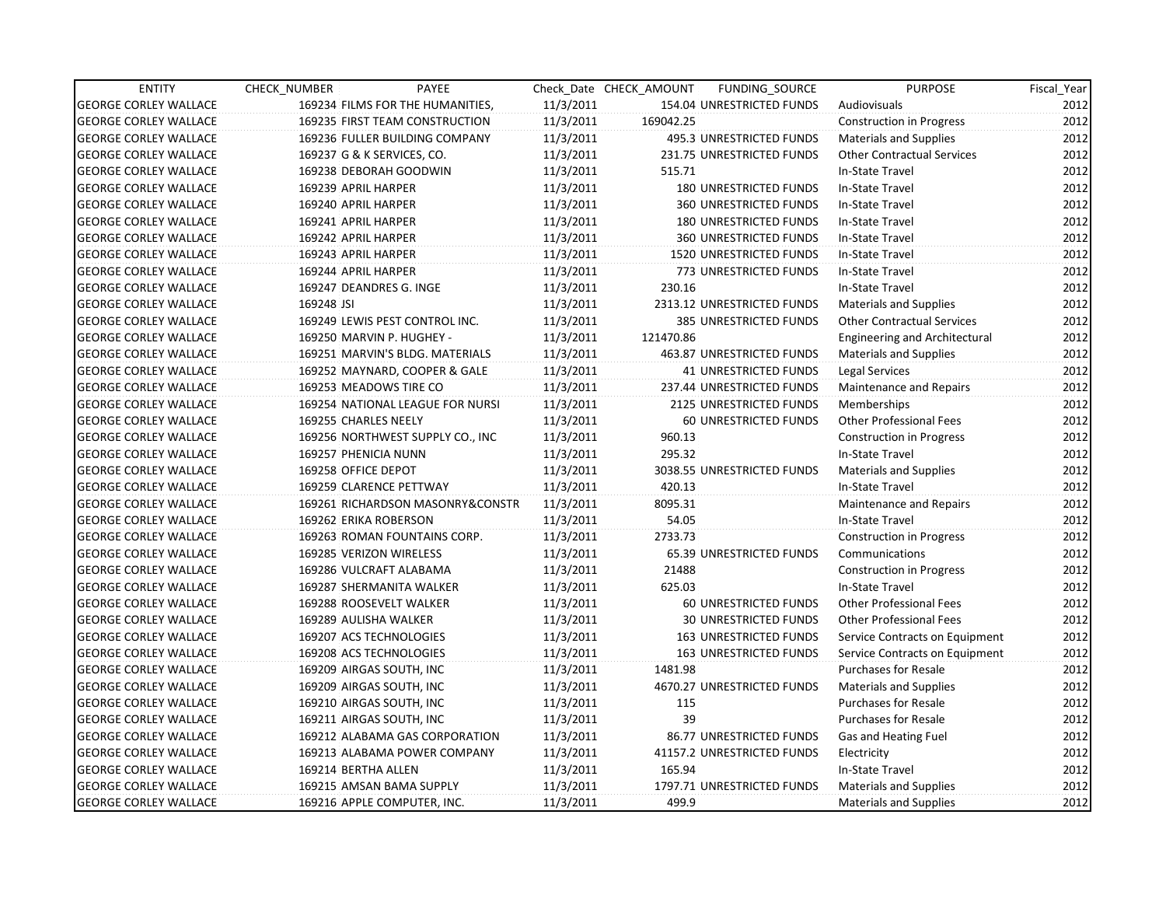| <b>ENTITY</b>                | CHECK NUMBER               | PAYEE                            |           | Check Date CHECK AMOUNT | FUNDING SOURCE                | <b>PURPOSE</b>                    | Fiscal_Year |
|------------------------------|----------------------------|----------------------------------|-----------|-------------------------|-------------------------------|-----------------------------------|-------------|
| <b>GEORGE CORLEY WALLACE</b> |                            | 169234 FILMS FOR THE HUMANITIES, | 11/3/2011 |                         | 154.04 UNRESTRICTED FUNDS     | Audiovisuals                      | 2012        |
| <b>GEORGE CORLEY WALLACE</b> |                            | 169235 FIRST TEAM CONSTRUCTION   | 11/3/2011 | 169042.25               |                               | <b>Construction in Progress</b>   | 2012        |
| <b>GEORGE CORLEY WALLACE</b> |                            | 169236 FULLER BUILDING COMPANY   | 11/3/2011 |                         | 495.3 UNRESTRICTED FUNDS      | <b>Materials and Supplies</b>     | 2012        |
| <b>GEORGE CORLEY WALLACE</b> | 169237 G & K SERVICES, CO. |                                  | 11/3/2011 |                         | 231.75 UNRESTRICTED FUNDS     | <b>Other Contractual Services</b> | 2012        |
| <b>GEORGE CORLEY WALLACE</b> | 169238 DEBORAH GOODWIN     |                                  | 11/3/2011 | 515.71                  |                               | In-State Travel                   | 2012        |
| <b>GEORGE CORLEY WALLACE</b> | 169239 APRIL HARPER        |                                  | 11/3/2011 |                         | <b>180 UNRESTRICTED FUNDS</b> | In-State Travel                   | 2012        |
| <b>GEORGE CORLEY WALLACE</b> | 169240 APRIL HARPER        |                                  | 11/3/2011 |                         | <b>360 UNRESTRICTED FUNDS</b> | In-State Travel                   | 2012        |
| <b>GEORGE CORLEY WALLACE</b> | 169241 APRIL HARPER        |                                  | 11/3/2011 |                         | 180 UNRESTRICTED FUNDS        | In-State Travel                   | 2012        |
| <b>GEORGE CORLEY WALLACE</b> | 169242 APRIL HARPER        |                                  | 11/3/2011 |                         | 360 UNRESTRICTED FUNDS        | In-State Travel                   | 2012        |
| <b>GEORGE CORLEY WALLACE</b> | 169243 APRIL HARPER        |                                  | 11/3/2011 |                         | 1520 UNRESTRICTED FUNDS       | In-State Travel                   | 2012        |
| <b>GEORGE CORLEY WALLACE</b> | 169244 APRIL HARPER        |                                  | 11/3/2011 |                         | 773 UNRESTRICTED FUNDS        | In-State Travel                   | 2012        |
| <b>GEORGE CORLEY WALLACE</b> | 169247 DEANDRES G. INGE    |                                  | 11/3/2011 | 230.16                  |                               | In-State Travel                   | 2012        |
| <b>GEORGE CORLEY WALLACE</b> | 169248 JSI                 |                                  | 11/3/2011 |                         | 2313.12 UNRESTRICTED FUNDS    | <b>Materials and Supplies</b>     | 2012        |
| <b>GEORGE CORLEY WALLACE</b> |                            | 169249 LEWIS PEST CONTROL INC.   | 11/3/2011 |                         | 385 UNRESTRICTED FUNDS        | <b>Other Contractual Services</b> | 2012        |
| <b>GEORGE CORLEY WALLACE</b> |                            | 169250 MARVIN P. HUGHEY -        | 11/3/2011 | 121470.86               |                               | Engineering and Architectural     | 2012        |
| <b>GEORGE CORLEY WALLACE</b> |                            | 169251 MARVIN'S BLDG. MATERIALS  | 11/3/2011 |                         | 463.87 UNRESTRICTED FUNDS     | Materials and Supplies            | 2012        |
| <b>GEORGE CORLEY WALLACE</b> |                            | 169252 MAYNARD, COOPER & GALE    | 11/3/2011 |                         | 41 UNRESTRICTED FUNDS         | Legal Services                    | 2012        |
| <b>GEORGE CORLEY WALLACE</b> | 169253 MEADOWS TIRE CO     |                                  | 11/3/2011 |                         | 237.44 UNRESTRICTED FUNDS     | Maintenance and Repairs           | 2012        |
| <b>GEORGE CORLEY WALLACE</b> |                            | 169254 NATIONAL LEAGUE FOR NURSI | 11/3/2011 |                         | 2125 UNRESTRICTED FUNDS       | Memberships                       | 2012        |
| <b>GEORGE CORLEY WALLACE</b> | 169255 CHARLES NEELY       |                                  | 11/3/2011 |                         | 60 UNRESTRICTED FUNDS         | <b>Other Professional Fees</b>    | 2012        |
| <b>GEORGE CORLEY WALLACE</b> |                            | 169256 NORTHWEST SUPPLY CO., INC | 11/3/2011 | 960.13                  |                               | <b>Construction in Progress</b>   | 2012        |
| <b>GEORGE CORLEY WALLACE</b> | 169257 PHENICIA NUNN       |                                  | 11/3/2011 | 295.32                  |                               | In-State Travel                   | 2012        |
| <b>GEORGE CORLEY WALLACE</b> | 169258 OFFICE DEPOT        |                                  | 11/3/2011 |                         | 3038.55 UNRESTRICTED FUNDS    | <b>Materials and Supplies</b>     | 2012        |
| <b>GEORGE CORLEY WALLACE</b> | 169259 CLARENCE PETTWAY    |                                  | 11/3/2011 | 420.13                  |                               | In-State Travel                   | 2012        |
| <b>GEORGE CORLEY WALLACE</b> |                            | 169261 RICHARDSON MASONRY&CONSTR | 11/3/2011 | 8095.31                 |                               | <b>Maintenance and Repairs</b>    | 2012        |
| <b>GEORGE CORLEY WALLACE</b> | 169262 ERIKA ROBERSON      |                                  | 11/3/2011 | 54.05                   |                               | In-State Travel                   | 2012        |
| <b>GEORGE CORLEY WALLACE</b> |                            | 169263 ROMAN FOUNTAINS CORP.     | 11/3/2011 | 2733.73                 |                               | <b>Construction in Progress</b>   | 2012        |
| <b>GEORGE CORLEY WALLACE</b> | 169285 VERIZON WIRELESS    |                                  | 11/3/2011 |                         | 65.39 UNRESTRICTED FUNDS      | Communications                    | 2012        |
| <b>GEORGE CORLEY WALLACE</b> | 169286 VULCRAFT ALABAMA    |                                  | 11/3/2011 | 21488                   |                               | <b>Construction in Progress</b>   | 2012        |
| <b>GEORGE CORLEY WALLACE</b> |                            | 169287 SHERMANITA WALKER         | 11/3/2011 | 625.03                  |                               | In-State Travel                   | 2012        |
| <b>GEORGE CORLEY WALLACE</b> | 169288 ROOSEVELT WALKER    |                                  | 11/3/2011 |                         | 60 UNRESTRICTED FUNDS         | <b>Other Professional Fees</b>    | 2012        |
| <b>GEORGE CORLEY WALLACE</b> | 169289 AULISHA WALKER      |                                  | 11/3/2011 |                         | <b>30 UNRESTRICTED FUNDS</b>  | <b>Other Professional Fees</b>    | 2012        |
| <b>GEORGE CORLEY WALLACE</b> | 169207 ACS TECHNOLOGIES    |                                  | 11/3/2011 |                         | <b>163 UNRESTRICTED FUNDS</b> | Service Contracts on Equipment    | 2012        |
| <b>GEORGE CORLEY WALLACE</b> | 169208 ACS TECHNOLOGIES    |                                  | 11/3/2011 |                         | <b>163 UNRESTRICTED FUNDS</b> | Service Contracts on Equipment    | 2012        |
| <b>GEORGE CORLEY WALLACE</b> | 169209 AIRGAS SOUTH, INC   |                                  | 11/3/2011 | 1481.98                 |                               | <b>Purchases for Resale</b>       | 2012        |
| <b>GEORGE CORLEY WALLACE</b> | 169209 AIRGAS SOUTH, INC   |                                  | 11/3/2011 |                         | 4670.27 UNRESTRICTED FUNDS    | <b>Materials and Supplies</b>     | 2012        |
| <b>GEORGE CORLEY WALLACE</b> | 169210 AIRGAS SOUTH, INC   |                                  | 11/3/2011 | 115                     |                               | <b>Purchases for Resale</b>       | 2012        |
| <b>GEORGE CORLEY WALLACE</b> | 169211 AIRGAS SOUTH, INC   |                                  | 11/3/2011 | 39                      |                               | <b>Purchases for Resale</b>       | 2012        |
| <b>GEORGE CORLEY WALLACE</b> |                            | 169212 ALABAMA GAS CORPORATION   | 11/3/2011 |                         | 86.77 UNRESTRICTED FUNDS      | Gas and Heating Fuel              | 2012        |
| <b>GEORGE CORLEY WALLACE</b> |                            | 169213 ALABAMA POWER COMPANY     | 11/3/2011 |                         | 41157.2 UNRESTRICTED FUNDS    | Electricity                       | 2012        |
| <b>GEORGE CORLEY WALLACE</b> | 169214 BERTHA ALLEN        |                                  | 11/3/2011 | 165.94                  |                               | In-State Travel                   | 2012        |
| <b>GEORGE CORLEY WALLACE</b> |                            | 169215 AMSAN BAMA SUPPLY         | 11/3/2011 |                         | 1797.71 UNRESTRICTED FUNDS    | <b>Materials and Supplies</b>     | 2012        |
| <b>GEORGE CORLEY WALLACE</b> |                            | 169216 APPLE COMPUTER, INC.      | 11/3/2011 | 499.9                   |                               | Materials and Supplies            | 2012        |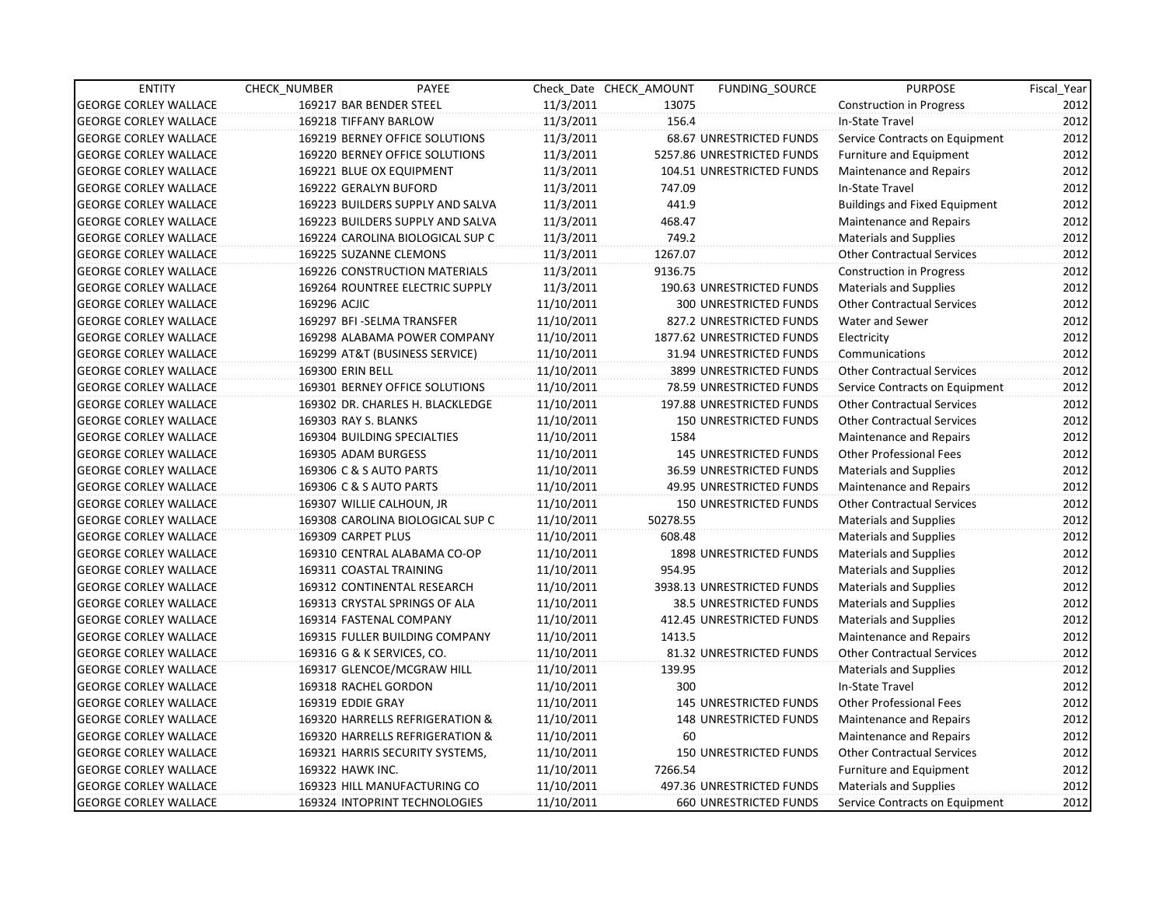| <b>ENTITY</b>                | <b>CHECK NUMBER</b>        | PAYEE                            |            | Check Date CHECK AMOUNT | FUNDING SOURCE                 | <b>PURPOSE</b>                       | Fiscal Year |
|------------------------------|----------------------------|----------------------------------|------------|-------------------------|--------------------------------|--------------------------------------|-------------|
| <b>GEORGE CORLEY WALLACE</b> | 169217 BAR BENDER STEEL    |                                  | 11/3/2011  | 13075                   |                                | <b>Construction in Progress</b>      | 2012        |
| <b>GEORGE CORLEY WALLACE</b> | 169218 TIFFANY BARLOW      |                                  | 11/3/2011  | 156.4                   |                                | In-State Travel                      | 2012        |
| <b>GEORGE CORLEY WALLACE</b> |                            | 169219 BERNEY OFFICE SOLUTIONS   | 11/3/2011  |                         | 68.67 UNRESTRICTED FUNDS       | Service Contracts on Equipment       | 2012        |
| <b>GEORGE CORLEY WALLACE</b> |                            | 169220 BERNEY OFFICE SOLUTIONS   | 11/3/2011  |                         | 5257.86 UNRESTRICTED FUNDS     | <b>Furniture and Equipment</b>       | 2012        |
| <b>GEORGE CORLEY WALLACE</b> |                            | 169221 BLUE OX EQUIPMENT         | 11/3/2011  |                         | 104.51 UNRESTRICTED FUNDS      | Maintenance and Repairs              | 2012        |
| <b>GEORGE CORLEY WALLACE</b> | 169222 GERALYN BUFORD      |                                  | 11/3/2011  | 747.09                  |                                | In-State Travel                      | 2012        |
| <b>GEORGE CORLEY WALLACE</b> |                            | 169223 BUILDERS SUPPLY AND SALVA | 11/3/2011  | 441.9                   |                                | <b>Buildings and Fixed Equipment</b> | 2012        |
| <b>GEORGE CORLEY WALLACE</b> |                            | 169223 BUILDERS SUPPLY AND SALVA | 11/3/2011  | 468.47                  |                                | Maintenance and Repairs              | 2012        |
| <b>GEORGE CORLEY WALLACE</b> |                            | 169224 CAROLINA BIOLOGICAL SUP C | 11/3/2011  | 749.2                   |                                | <b>Materials and Supplies</b>        | 2012        |
| <b>GEORGE CORLEY WALLACE</b> | 169225 SUZANNE CLEMONS     |                                  | 11/3/2011  | 1267.07                 |                                | <b>Other Contractual Services</b>    | 2012        |
| <b>GEORGE CORLEY WALLACE</b> |                            | 169226 CONSTRUCTION MATERIALS    | 11/3/2011  | 9136.75                 |                                | <b>Construction in Progress</b>      | 2012        |
| <b>GEORGE CORLEY WALLACE</b> |                            | 169264 ROUNTREE ELECTRIC SUPPLY  | 11/3/2011  |                         | 190.63 UNRESTRICTED FUNDS      | <b>Materials and Supplies</b>        | 2012        |
| <b>GEORGE CORLEY WALLACE</b> | 169296 ACJIC               |                                  | 11/10/2011 |                         | 300 UNRESTRICTED FUNDS         | <b>Other Contractual Services</b>    | 2012        |
| <b>GEORGE CORLEY WALLACE</b> |                            | 169297 BFI - SELMA TRANSFER      | 11/10/2011 |                         | 827.2 UNRESTRICTED FUNDS       | Water and Sewer                      | 2012        |
| <b>GEORGE CORLEY WALLACE</b> |                            | 169298 ALABAMA POWER COMPANY     | 11/10/2011 |                         | 1877.62 UNRESTRICTED FUNDS     | Electricity                          | 2012        |
| <b>GEORGE CORLEY WALLACE</b> |                            | 169299 AT&T (BUSINESS SERVICE)   | 11/10/2011 |                         | 31.94 UNRESTRICTED FUNDS       | Communications                       | 2012        |
| <b>GEORGE CORLEY WALLACE</b> | 169300 ERIN BELL           |                                  | 11/10/2011 |                         | 3899 UNRESTRICTED FUNDS        | <b>Other Contractual Services</b>    | 2012        |
| <b>GEORGE CORLEY WALLACE</b> |                            | 169301 BERNEY OFFICE SOLUTIONS   | 11/10/2011 |                         | 78.59 UNRESTRICTED FUNDS       | Service Contracts on Equipment       | 2012        |
| <b>GEORGE CORLEY WALLACE</b> |                            | 169302 DR. CHARLES H. BLACKLEDGE | 11/10/2011 |                         | 197.88 UNRESTRICTED FUNDS      | <b>Other Contractual Services</b>    | 2012        |
| <b>GEORGE CORLEY WALLACE</b> | 169303 RAY S. BLANKS       |                                  | 11/10/2011 |                         | <b>150 UNRESTRICTED FUNDS</b>  | <b>Other Contractual Services</b>    | 2012        |
| <b>GEORGE CORLEY WALLACE</b> |                            | 169304 BUILDING SPECIALTIES      | 11/10/2011 | 1584                    |                                | Maintenance and Repairs              | 2012        |
| <b>GEORGE CORLEY WALLACE</b> | 169305 ADAM BURGESS        |                                  | 11/10/2011 |                         | 145 UNRESTRICTED FUNDS         | <b>Other Professional Fees</b>       | 2012        |
| <b>GEORGE CORLEY WALLACE</b> | 169306 C & S AUTO PARTS    |                                  | 11/10/2011 |                         | 36.59 UNRESTRICTED FUNDS       | <b>Materials and Supplies</b>        | 2012        |
| <b>GEORGE CORLEY WALLACE</b> | 169306 C & S AUTO PARTS    |                                  | 11/10/2011 |                         | 49.95 UNRESTRICTED FUNDS       | Maintenance and Repairs              | 2012        |
| <b>GEORGE CORLEY WALLACE</b> | 169307 WILLIE CALHOUN, JR  |                                  | 11/10/2011 |                         | 150 UNRESTRICTED FUNDS         | <b>Other Contractual Services</b>    | 2012        |
| <b>GEORGE CORLEY WALLACE</b> |                            | 169308 CAROLINA BIOLOGICAL SUP C | 11/10/2011 | 50278.55                |                                | <b>Materials and Supplies</b>        | 2012        |
| <b>GEORGE CORLEY WALLACE</b> | 169309 CARPET PLUS         |                                  | 11/10/2011 | 608.48                  |                                | <b>Materials and Supplies</b>        | 2012        |
| <b>GEORGE CORLEY WALLACE</b> |                            | 169310 CENTRAL ALABAMA CO-OP     | 11/10/2011 |                         | <b>1898 UNRESTRICTED FUNDS</b> | <b>Materials and Supplies</b>        | 2012        |
| <b>GEORGE CORLEY WALLACE</b> | 169311 COASTAL TRAINING    |                                  | 11/10/2011 | 954.95                  |                                | <b>Materials and Supplies</b>        | 2012        |
| <b>GEORGE CORLEY WALLACE</b> |                            | 169312 CONTINENTAL RESEARCH      | 11/10/2011 |                         | 3938.13 UNRESTRICTED FUNDS     | <b>Materials and Supplies</b>        | 2012        |
| <b>GEORGE CORLEY WALLACE</b> |                            | 169313 CRYSTAL SPRINGS OF ALA    | 11/10/2011 |                         | 38.5 UNRESTRICTED FUNDS        | <b>Materials and Supplies</b>        | 2012        |
| <b>GEORGE CORLEY WALLACE</b> |                            | 169314 FASTENAL COMPANY          | 11/10/2011 |                         | 412.45 UNRESTRICTED FUNDS      | <b>Materials and Supplies</b>        | 2012        |
| <b>GEORGE CORLEY WALLACE</b> |                            | 169315 FULLER BUILDING COMPANY   | 11/10/2011 | 1413.5                  |                                | Maintenance and Repairs              | 2012        |
| <b>GEORGE CORLEY WALLACE</b> | 169316 G & K SERVICES, CO. |                                  | 11/10/2011 |                         | 81.32 UNRESTRICTED FUNDS       | <b>Other Contractual Services</b>    | 2012        |
| <b>GEORGE CORLEY WALLACE</b> |                            | 169317 GLENCOE/MCGRAW HILL       | 11/10/2011 | 139.95                  |                                | <b>Materials and Supplies</b>        | 2012        |
| <b>GEORGE CORLEY WALLACE</b> | 169318 RACHEL GORDON       |                                  | 11/10/2011 | 300                     |                                | In-State Travel                      | 2012        |
| <b>GEORGE CORLEY WALLACE</b> | 169319 EDDIE GRAY          |                                  | 11/10/2011 |                         | <b>145 UNRESTRICTED FUNDS</b>  | <b>Other Professional Fees</b>       | 2012        |
| <b>GEORGE CORLEY WALLACE</b> |                            | 169320 HARRELLS REFRIGERATION &  | 11/10/2011 |                         | <b>148 UNRESTRICTED FUNDS</b>  | Maintenance and Repairs              | 2012        |
| <b>GEORGE CORLEY WALLACE</b> |                            | 169320 HARRELLS REFRIGERATION &  | 11/10/2011 | 60                      |                                | Maintenance and Repairs              | 2012        |
| <b>GEORGE CORLEY WALLACE</b> |                            | 169321 HARRIS SECURITY SYSTEMS,  | 11/10/2011 |                         | 150 UNRESTRICTED FUNDS         | <b>Other Contractual Services</b>    | 2012        |
| <b>GEORGE CORLEY WALLACE</b> | 169322 HAWK INC.           |                                  | 11/10/2011 | 7266.54                 |                                | Furniture and Equipment              | 2012        |
| <b>GEORGE CORLEY WALLACE</b> |                            | 169323 HILL MANUFACTURING CO     | 11/10/2011 |                         | 497.36 UNRESTRICTED FUNDS      | Materials and Supplies               | 2012        |
| <b>GEORGE CORLEY WALLACE</b> |                            | 169324 INTOPRINT TECHNOLOGIES    | 11/10/2011 |                         | <b>660 UNRESTRICTED FUNDS</b>  | Service Contracts on Equipment       | 2012        |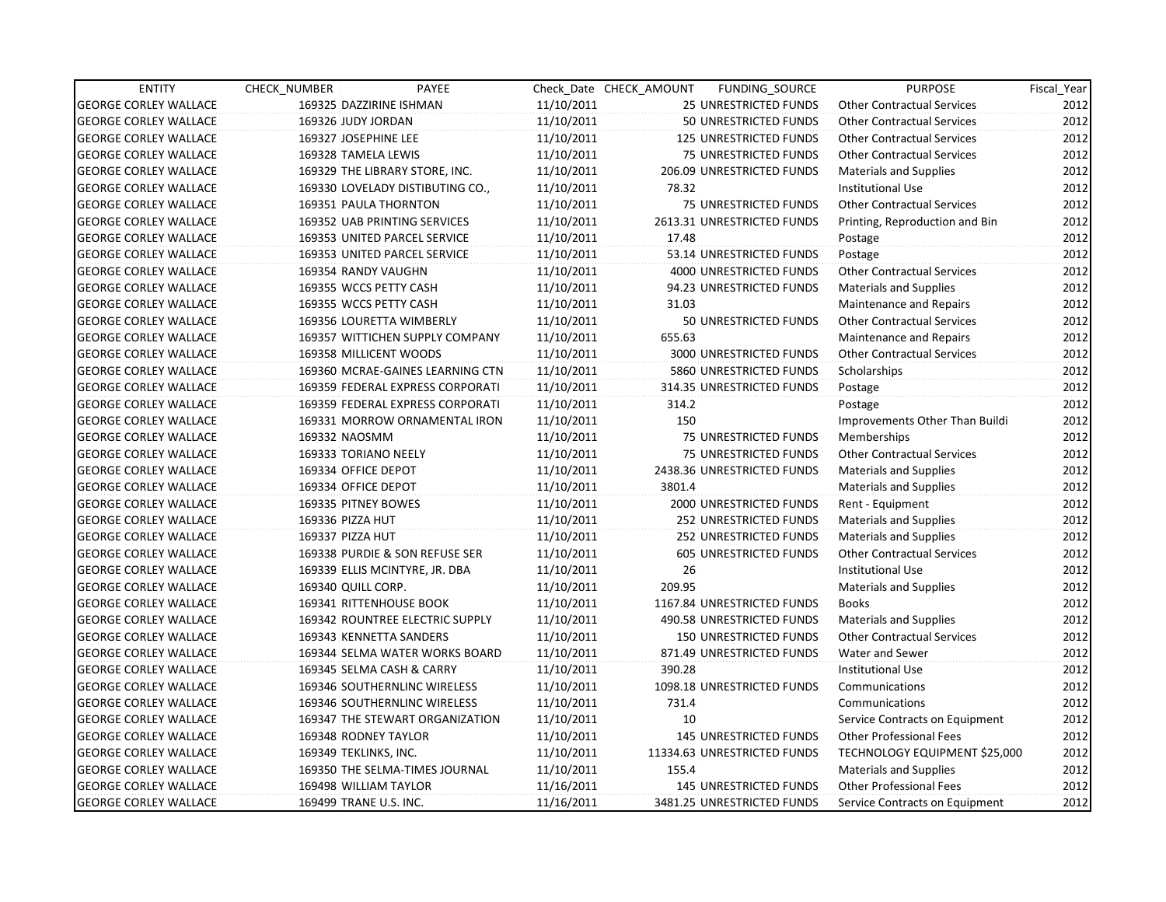| <b>ENTITY</b>                | CHECK_NUMBER              | PAYEE                            |            | Check Date CHECK AMOUNT | FUNDING_SOURCE                | <b>PURPOSE</b>                    | Fiscal Year |
|------------------------------|---------------------------|----------------------------------|------------|-------------------------|-------------------------------|-----------------------------------|-------------|
| <b>GEORGE CORLEY WALLACE</b> | 169325 DAZZIRINE ISHMAN   |                                  | 11/10/2011 |                         | 25 UNRESTRICTED FUNDS         | <b>Other Contractual Services</b> | 2012        |
| <b>GEORGE CORLEY WALLACE</b> | 169326 JUDY JORDAN        |                                  | 11/10/2011 |                         | 50 UNRESTRICTED FUNDS         | <b>Other Contractual Services</b> | 2012        |
| <b>GEORGE CORLEY WALLACE</b> | 169327 JOSEPHINE LEE      |                                  | 11/10/2011 |                         | 125 UNRESTRICTED FUNDS        | <b>Other Contractual Services</b> | 2012        |
| <b>GEORGE CORLEY WALLACE</b> | 169328 TAMELA LEWIS       |                                  | 11/10/2011 |                         | <b>75 UNRESTRICTED FUNDS</b>  | <b>Other Contractual Services</b> | 2012        |
| <b>GEORGE CORLEY WALLACE</b> |                           | 169329 THE LIBRARY STORE, INC.   | 11/10/2011 |                         | 206.09 UNRESTRICTED FUNDS     | <b>Materials and Supplies</b>     | 2012        |
| <b>GEORGE CORLEY WALLACE</b> |                           | 169330 LOVELADY DISTIBUTING CO., | 11/10/2011 | 78.32                   |                               | <b>Institutional Use</b>          | 2012        |
| <b>GEORGE CORLEY WALLACE</b> | 169351 PAULA THORNTON     |                                  | 11/10/2011 |                         | 75 UNRESTRICTED FUNDS         | <b>Other Contractual Services</b> | 2012        |
| <b>GEORGE CORLEY WALLACE</b> |                           | 169352 UAB PRINTING SERVICES     | 11/10/2011 |                         | 2613.31 UNRESTRICTED FUNDS    | Printing, Reproduction and Bin    | 2012        |
| <b>GEORGE CORLEY WALLACE</b> |                           | 169353 UNITED PARCEL SERVICE     | 11/10/2011 | 17.48                   |                               | Postage                           | 2012        |
| <b>GEORGE CORLEY WALLACE</b> |                           | 169353 UNITED PARCEL SERVICE     | 11/10/2011 |                         | 53.14 UNRESTRICTED FUNDS      | Postage                           | 2012        |
| <b>GEORGE CORLEY WALLACE</b> | 169354 RANDY VAUGHN       |                                  | 11/10/2011 |                         | 4000 UNRESTRICTED FUNDS       | <b>Other Contractual Services</b> | 2012        |
| <b>GEORGE CORLEY WALLACE</b> | 169355 WCCS PETTY CASH    |                                  | 11/10/2011 |                         | 94.23 UNRESTRICTED FUNDS      | <b>Materials and Supplies</b>     | 2012        |
| <b>GEORGE CORLEY WALLACE</b> | 169355 WCCS PETTY CASH    |                                  | 11/10/2011 | 31.03                   |                               | Maintenance and Repairs           | 2012        |
| <b>GEORGE CORLEY WALLACE</b> | 169356 LOURETTA WIMBERLY  |                                  | 11/10/2011 |                         | 50 UNRESTRICTED FUNDS         | <b>Other Contractual Services</b> | 2012        |
| <b>GEORGE CORLEY WALLACE</b> |                           | 169357 WITTICHEN SUPPLY COMPANY  | 11/10/2011 | 655.63                  |                               | Maintenance and Repairs           | 2012        |
| <b>GEORGE CORLEY WALLACE</b> | 169358 MILLICENT WOODS    |                                  | 11/10/2011 |                         | 3000 UNRESTRICTED FUNDS       | <b>Other Contractual Services</b> | 2012        |
| <b>GEORGE CORLEY WALLACE</b> |                           | 169360 MCRAE-GAINES LEARNING CTN | 11/10/2011 |                         | 5860 UNRESTRICTED FUNDS       | Scholarships                      | 2012        |
| <b>GEORGE CORLEY WALLACE</b> |                           | 169359 FEDERAL EXPRESS CORPORATI | 11/10/2011 |                         | 314.35 UNRESTRICTED FUNDS     | Postage                           | 2012        |
| <b>GEORGE CORLEY WALLACE</b> |                           | 169359 FEDERAL EXPRESS CORPORATI | 11/10/2011 | 314.2                   |                               | Postage                           | 2012        |
| <b>GEORGE CORLEY WALLACE</b> |                           | 169331 MORROW ORNAMENTAL IRON    | 11/10/2011 | 150                     |                               | Improvements Other Than Buildi    | 2012        |
| <b>GEORGE CORLEY WALLACE</b> | 169332 NAOSMM             |                                  | 11/10/2011 |                         | 75 UNRESTRICTED FUNDS         | Memberships                       | 2012        |
| <b>GEORGE CORLEY WALLACE</b> | 169333 TORIANO NEELY      |                                  | 11/10/2011 |                         | 75 UNRESTRICTED FUNDS         | <b>Other Contractual Services</b> | 2012        |
| <b>GEORGE CORLEY WALLACE</b> | 169334 OFFICE DEPOT       |                                  | 11/10/2011 |                         | 2438.36 UNRESTRICTED FUNDS    | <b>Materials and Supplies</b>     | 2012        |
| <b>GEORGE CORLEY WALLACE</b> | 169334 OFFICE DEPOT       |                                  | 11/10/2011 | 3801.4                  |                               | <b>Materials and Supplies</b>     | 2012        |
| <b>GEORGE CORLEY WALLACE</b> | 169335 PITNEY BOWES       |                                  | 11/10/2011 |                         | 2000 UNRESTRICTED FUNDS       | Rent - Equipment                  | 2012        |
| <b>GEORGE CORLEY WALLACE</b> | 169336 PIZZA HUT          |                                  | 11/10/2011 |                         | 252 UNRESTRICTED FUNDS        | <b>Materials and Supplies</b>     | 2012        |
| <b>GEORGE CORLEY WALLACE</b> | 169337 PIZZA HUT          |                                  | 11/10/2011 |                         | 252 UNRESTRICTED FUNDS        | <b>Materials and Supplies</b>     | 2012        |
| <b>GEORGE CORLEY WALLACE</b> |                           | 169338 PURDIE & SON REFUSE SER   | 11/10/2011 |                         | 605 UNRESTRICTED FUNDS        | <b>Other Contractual Services</b> | 2012        |
| <b>GEORGE CORLEY WALLACE</b> |                           | 169339 ELLIS MCINTYRE, JR. DBA   | 11/10/2011 | 26                      |                               | <b>Institutional Use</b>          | 2012        |
| <b>GEORGE CORLEY WALLACE</b> | 169340 QUILL CORP.        |                                  | 11/10/2011 | 209.95                  |                               | Materials and Supplies            | 2012        |
| <b>GEORGE CORLEY WALLACE</b> | 169341 RITTENHOUSE BOOK   |                                  | 11/10/2011 |                         | 1167.84 UNRESTRICTED FUNDS    | <b>Books</b>                      | 2012        |
| <b>GEORGE CORLEY WALLACE</b> |                           | 169342 ROUNTREE ELECTRIC SUPPLY  | 11/10/2011 |                         | 490.58 UNRESTRICTED FUNDS     | <b>Materials and Supplies</b>     | 2012        |
| <b>GEORGE CORLEY WALLACE</b> | 169343 KENNETTA SANDERS   |                                  | 11/10/2011 |                         | <b>150 UNRESTRICTED FUNDS</b> | <b>Other Contractual Services</b> | 2012        |
| <b>GEORGE CORLEY WALLACE</b> |                           | 169344 SELMA WATER WORKS BOARD   | 11/10/2011 |                         | 871.49 UNRESTRICTED FUNDS     | Water and Sewer                   | 2012        |
| <b>GEORGE CORLEY WALLACE</b> | 169345 SELMA CASH & CARRY |                                  | 11/10/2011 | 390.28                  |                               | <b>Institutional Use</b>          | 2012        |
| <b>GEORGE CORLEY WALLACE</b> |                           | 169346 SOUTHERNLINC WIRELESS     | 11/10/2011 |                         | 1098.18 UNRESTRICTED FUNDS    | Communications                    | 2012        |
| <b>GEORGE CORLEY WALLACE</b> |                           | 169346 SOUTHERNLINC WIRELESS     | 11/10/2011 | 731.4                   |                               | Communications                    | 2012        |
| <b>GEORGE CORLEY WALLACE</b> |                           | 169347 THE STEWART ORGANIZATION  | 11/10/2011 | 10                      |                               | Service Contracts on Equipment    | 2012        |
| <b>GEORGE CORLEY WALLACE</b> | 169348 RODNEY TAYLOR      |                                  | 11/10/2011 |                         | <b>145 UNRESTRICTED FUNDS</b> | <b>Other Professional Fees</b>    | 2012        |
| <b>GEORGE CORLEY WALLACE</b> | 169349 TEKLINKS, INC.     |                                  | 11/10/2011 |                         | 11334.63 UNRESTRICTED FUNDS   | TECHNOLOGY EQUIPMENT \$25,000     | 2012        |
| <b>GEORGE CORLEY WALLACE</b> |                           | 169350 THE SELMA-TIMES JOURNAL   | 11/10/2011 | 155.4                   |                               | <b>Materials and Supplies</b>     | 2012        |
| <b>GEORGE CORLEY WALLACE</b> | 169498 WILLIAM TAYLOR     |                                  | 11/16/2011 |                         | 145 UNRESTRICTED FUNDS        | <b>Other Professional Fees</b>    | 2012        |
| <b>GEORGE CORLEY WALLACE</b> | 169499 TRANE U.S. INC.    |                                  | 11/16/2011 |                         | 3481.25 UNRESTRICTED FUNDS    | Service Contracts on Equipment    | 2012        |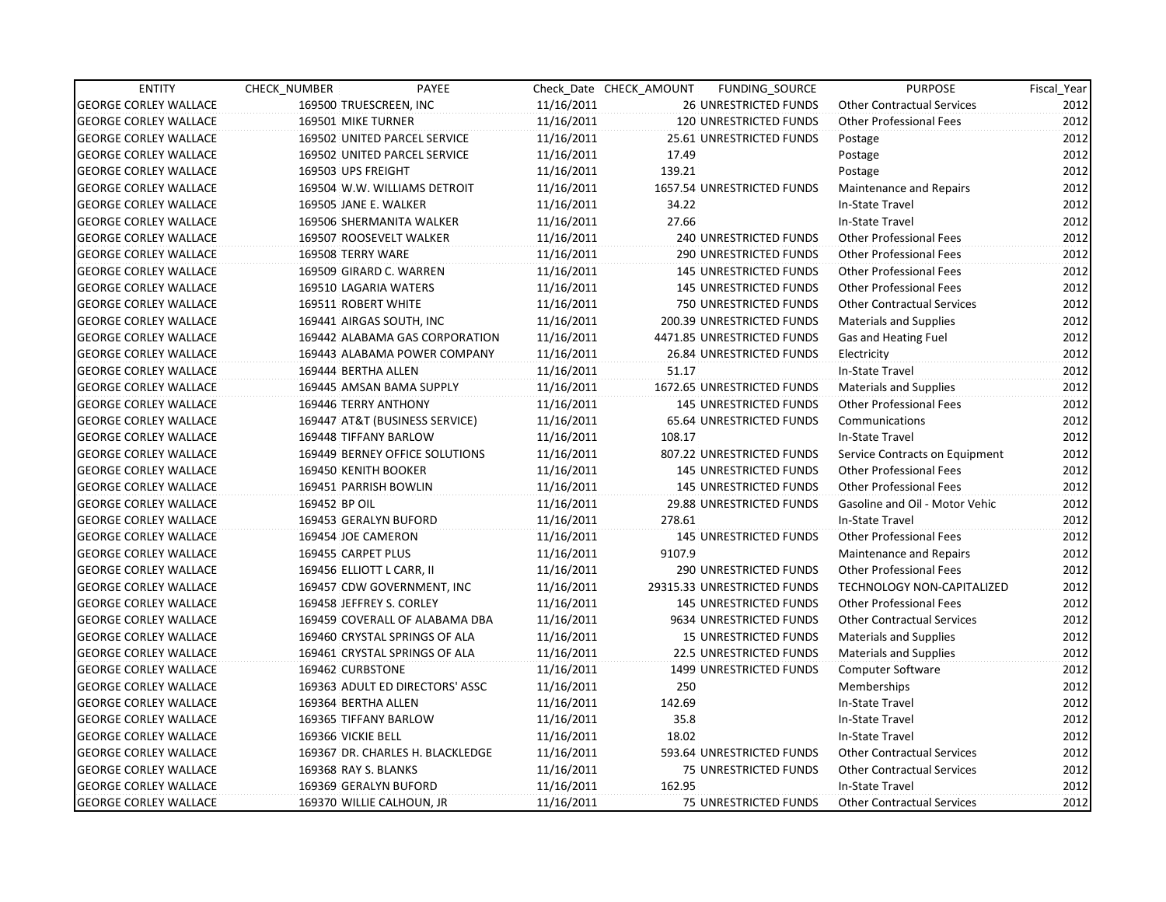| <b>ENTITY</b>                | CHECK_NUMBER       | PAYEE                            |            | Check Date CHECK AMOUNT | FUNDING SOURCE                 | <b>PURPOSE</b>                    | Fiscal_Year |
|------------------------------|--------------------|----------------------------------|------------|-------------------------|--------------------------------|-----------------------------------|-------------|
| <b>GEORGE CORLEY WALLACE</b> |                    | 169500 TRUESCREEN, INC           | 11/16/2011 |                         | <b>26 UNRESTRICTED FUNDS</b>   | <b>Other Contractual Services</b> | 2012        |
| <b>GEORGE CORLEY WALLACE</b> |                    | 169501 MIKE TURNER               | 11/16/2011 |                         | 120 UNRESTRICTED FUNDS         | <b>Other Professional Fees</b>    | 2012        |
| <b>GEORGE CORLEY WALLACE</b> |                    | 169502 UNITED PARCEL SERVICE     | 11/16/2011 |                         | 25.61 UNRESTRICTED FUNDS       | Postage                           | 2012        |
| <b>GEORGE CORLEY WALLACE</b> |                    | 169502 UNITED PARCEL SERVICE     | 11/16/2011 | 17.49                   |                                | Postage                           | 2012        |
| <b>GEORGE CORLEY WALLACE</b> | 169503 UPS FREIGHT |                                  | 11/16/2011 | 139.21                  |                                | Postage                           | 2012        |
| <b>GEORGE CORLEY WALLACE</b> |                    | 169504 W.W. WILLIAMS DETROIT     | 11/16/2011 |                         | 1657.54 UNRESTRICTED FUNDS     | Maintenance and Repairs           | 2012        |
| <b>GEORGE CORLEY WALLACE</b> |                    | 169505 JANE E. WALKER            | 11/16/2011 | 34.22                   |                                | In-State Travel                   | 2012        |
| <b>GEORGE CORLEY WALLACE</b> |                    | 169506 SHERMANITA WALKER         | 11/16/2011 | 27.66                   |                                | In-State Travel                   | 2012        |
| <b>GEORGE CORLEY WALLACE</b> |                    | 169507 ROOSEVELT WALKER          | 11/16/2011 |                         | 240 UNRESTRICTED FUNDS         | <b>Other Professional Fees</b>    | 2012        |
| <b>GEORGE CORLEY WALLACE</b> | 169508 TERRY WARE  |                                  | 11/16/2011 |                         | 290 UNRESTRICTED FUNDS         | Other Professional Fees           | 2012        |
| <b>GEORGE CORLEY WALLACE</b> |                    | 169509 GIRARD C. WARREN          | 11/16/2011 |                         | <b>145 UNRESTRICTED FUNDS</b>  | Other Professional Fees           | 2012        |
| <b>GEORGE CORLEY WALLACE</b> |                    | 169510 LAGARIA WATERS            | 11/16/2011 |                         | 145 UNRESTRICTED FUNDS         | <b>Other Professional Fees</b>    | 2012        |
| <b>GEORGE CORLEY WALLACE</b> |                    | 169511 ROBERT WHITE              | 11/16/2011 |                         | 750 UNRESTRICTED FUNDS         | <b>Other Contractual Services</b> | 2012        |
| <b>GEORGE CORLEY WALLACE</b> |                    | 169441 AIRGAS SOUTH, INC         | 11/16/2011 |                         | 200.39 UNRESTRICTED FUNDS      | Materials and Supplies            | 2012        |
| <b>GEORGE CORLEY WALLACE</b> |                    | 169442 ALABAMA GAS CORPORATION   | 11/16/2011 |                         | 4471.85 UNRESTRICTED FUNDS     | Gas and Heating Fuel              | 2012        |
| <b>GEORGE CORLEY WALLACE</b> |                    | 169443 ALABAMA POWER COMPANY     | 11/16/2011 |                         | 26.84 UNRESTRICTED FUNDS       | Electricity                       | 2012        |
| <b>GEORGE CORLEY WALLACE</b> |                    | 169444 BERTHA ALLEN              | 11/16/2011 | 51.17                   |                                | In-State Travel                   | 2012        |
| <b>GEORGE CORLEY WALLACE</b> |                    | 169445 AMSAN BAMA SUPPLY         | 11/16/2011 |                         | 1672.65 UNRESTRICTED FUNDS     | <b>Materials and Supplies</b>     | 2012        |
| <b>GEORGE CORLEY WALLACE</b> |                    | 169446 TERRY ANTHONY             | 11/16/2011 |                         | <b>145 UNRESTRICTED FUNDS</b>  | <b>Other Professional Fees</b>    | 2012        |
| <b>GEORGE CORLEY WALLACE</b> |                    | 169447 AT&T (BUSINESS SERVICE)   | 11/16/2011 |                         | 65.64 UNRESTRICTED FUNDS       | Communications                    | 2012        |
| <b>GEORGE CORLEY WALLACE</b> |                    | 169448 TIFFANY BARLOW            | 11/16/2011 | 108.17                  |                                | In-State Travel                   | 2012        |
| <b>GEORGE CORLEY WALLACE</b> |                    | 169449 BERNEY OFFICE SOLUTIONS   | 11/16/2011 |                         | 807.22 UNRESTRICTED FUNDS      | Service Contracts on Equipment    | 2012        |
| <b>GEORGE CORLEY WALLACE</b> |                    | 169450 KENITH BOOKER             | 11/16/2011 |                         | <b>145 UNRESTRICTED FUNDS</b>  | <b>Other Professional Fees</b>    | 2012        |
| <b>GEORGE CORLEY WALLACE</b> |                    | 169451 PARRISH BOWLIN            | 11/16/2011 |                         | 145 UNRESTRICTED FUNDS         | <b>Other Professional Fees</b>    | 2012        |
| <b>GEORGE CORLEY WALLACE</b> | 169452 BP OIL      |                                  | 11/16/2011 |                         | 29.88 UNRESTRICTED FUNDS       | Gasoline and Oil - Motor Vehic    | 2012        |
| <b>GEORGE CORLEY WALLACE</b> |                    | 169453 GERALYN BUFORD            | 11/16/2011 | 278.61                  |                                | In-State Travel                   | 2012        |
| <b>GEORGE CORLEY WALLACE</b> |                    | 169454 JOE CAMERON               | 11/16/2011 |                         | <b>145 UNRESTRICTED FUNDS</b>  | <b>Other Professional Fees</b>    | 2012        |
| <b>GEORGE CORLEY WALLACE</b> |                    | 169455 CARPET PLUS               | 11/16/2011 | 9107.9                  |                                | Maintenance and Repairs           | 2012        |
| <b>GEORGE CORLEY WALLACE</b> |                    | 169456 ELLIOTT L CARR, II        | 11/16/2011 |                         | 290 UNRESTRICTED FUNDS         | <b>Other Professional Fees</b>    | 2012        |
| <b>GEORGE CORLEY WALLACE</b> |                    | 169457 CDW GOVERNMENT, INC       | 11/16/2011 |                         | 29315.33 UNRESTRICTED FUNDS    | <b>TECHNOLOGY NON-CAPITALIZED</b> | 2012        |
| <b>GEORGE CORLEY WALLACE</b> |                    | 169458 JEFFREY S. CORLEY         | 11/16/2011 |                         | 145 UNRESTRICTED FUNDS         | <b>Other Professional Fees</b>    | 2012        |
| <b>GEORGE CORLEY WALLACE</b> |                    | 169459 COVERALL OF ALABAMA DBA   | 11/16/2011 |                         | 9634 UNRESTRICTED FUNDS        | <b>Other Contractual Services</b> | 2012        |
| <b>GEORGE CORLEY WALLACE</b> |                    | 169460 CRYSTAL SPRINGS OF ALA    | 11/16/2011 |                         | 15 UNRESTRICTED FUNDS          | <b>Materials and Supplies</b>     | 2012        |
| <b>GEORGE CORLEY WALLACE</b> |                    | 169461 CRYSTAL SPRINGS OF ALA    | 11/16/2011 |                         | <b>22.5 UNRESTRICTED FUNDS</b> | Materials and Supplies            | 2012        |
| <b>GEORGE CORLEY WALLACE</b> | 169462 CURBSTONE   |                                  | 11/16/2011 |                         | 1499 UNRESTRICTED FUNDS        | Computer Software                 | 2012        |
| <b>GEORGE CORLEY WALLACE</b> |                    | 169363 ADULT ED DIRECTORS' ASSC  | 11/16/2011 | 250                     |                                | Memberships                       | 2012        |
| <b>GEORGE CORLEY WALLACE</b> |                    | 169364 BERTHA ALLEN              | 11/16/2011 | 142.69                  |                                | In-State Travel                   | 2012        |
| <b>GEORGE CORLEY WALLACE</b> |                    | 169365 TIFFANY BARLOW            | 11/16/2011 | 35.8                    |                                | In-State Travel                   | 2012        |
| <b>GEORGE CORLEY WALLACE</b> | 169366 VICKIE BELL |                                  | 11/16/2011 | 18.02                   |                                | In-State Travel                   | 2012        |
| <b>GEORGE CORLEY WALLACE</b> |                    | 169367 DR. CHARLES H. BLACKLEDGE | 11/16/2011 |                         | 593.64 UNRESTRICTED FUNDS      | <b>Other Contractual Services</b> | 2012        |
| <b>GEORGE CORLEY WALLACE</b> |                    | 169368 RAY S. BLANKS             | 11/16/2011 |                         | 75 UNRESTRICTED FUNDS          | <b>Other Contractual Services</b> | 2012        |
| <b>GEORGE CORLEY WALLACE</b> |                    | 169369 GERALYN BUFORD            | 11/16/2011 | 162.95                  |                                | In-State Travel                   | 2012        |
| <b>GEORGE CORLEY WALLACE</b> |                    | 169370 WILLIE CALHOUN, JR        | 11/16/2011 |                         | 75 UNRESTRICTED FUNDS          | <b>Other Contractual Services</b> | 2012        |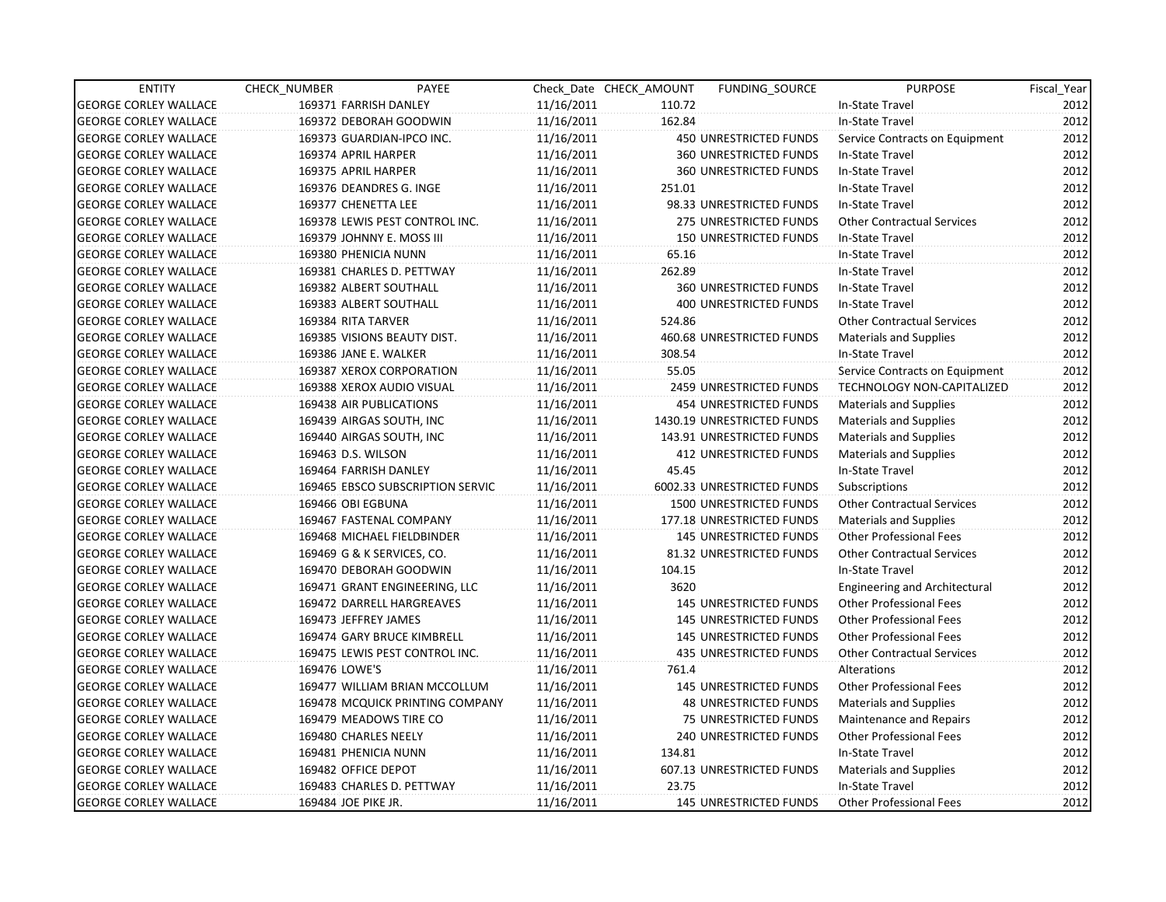| <b>ENTITY</b>                | CHECK NUMBER               | PAYEE                            |            | Check Date CHECK AMOUNT | FUNDING SOURCE                | <b>PURPOSE</b>                    | Fiscal Year |
|------------------------------|----------------------------|----------------------------------|------------|-------------------------|-------------------------------|-----------------------------------|-------------|
| <b>GEORGE CORLEY WALLACE</b> | 169371 FARRISH DANLEY      |                                  | 11/16/2011 | 110.72                  |                               | In-State Travel                   | 2012        |
| <b>GEORGE CORLEY WALLACE</b> | 169372 DEBORAH GOODWIN     |                                  | 11/16/2011 | 162.84                  |                               | In-State Travel                   | 2012        |
| <b>GEORGE CORLEY WALLACE</b> | 169373 GUARDIAN-IPCO INC.  |                                  | 11/16/2011 |                         | 450 UNRESTRICTED FUNDS        | Service Contracts on Equipment    | 2012        |
| <b>GEORGE CORLEY WALLACE</b> | 169374 APRIL HARPER        |                                  | 11/16/2011 |                         | <b>360 UNRESTRICTED FUNDS</b> | In-State Travel                   | 2012        |
| <b>GEORGE CORLEY WALLACE</b> | 169375 APRIL HARPER        |                                  | 11/16/2011 |                         | <b>360 UNRESTRICTED FUNDS</b> | In-State Travel                   | 2012        |
| <b>GEORGE CORLEY WALLACE</b> | 169376 DEANDRES G. INGE    |                                  | 11/16/2011 | 251.01                  |                               | In-State Travel                   | 2012        |
| <b>GEORGE CORLEY WALLACE</b> | 169377 CHENETTA LEE        |                                  | 11/16/2011 |                         | 98.33 UNRESTRICTED FUNDS      | In-State Travel                   | 2012        |
| <b>GEORGE CORLEY WALLACE</b> |                            | 169378 LEWIS PEST CONTROL INC.   | 11/16/2011 |                         | 275 UNRESTRICTED FUNDS        | <b>Other Contractual Services</b> | 2012        |
| <b>GEORGE CORLEY WALLACE</b> | 169379 JOHNNY E. MOSS III  |                                  | 11/16/2011 |                         | <b>150 UNRESTRICTED FUNDS</b> | In-State Travel                   | 2012        |
| <b>GEORGE CORLEY WALLACE</b> | 169380 PHENICIA NUNN       |                                  | 11/16/2011 | 65.16                   |                               | In-State Travel                   | 2012        |
| <b>GEORGE CORLEY WALLACE</b> |                            | 169381 CHARLES D. PETTWAY        | 11/16/2011 | 262.89                  |                               | In-State Travel                   | 2012        |
| <b>GEORGE CORLEY WALLACE</b> | 169382 ALBERT SOUTHALL     |                                  | 11/16/2011 |                         | 360 UNRESTRICTED FUNDS        | In-State Travel                   | 2012        |
| <b>GEORGE CORLEY WALLACE</b> | 169383 ALBERT SOUTHALL     |                                  | 11/16/2011 |                         | <b>400 UNRESTRICTED FUNDS</b> | In-State Travel                   | 2012        |
| <b>GEORGE CORLEY WALLACE</b> | 169384 RITA TARVER         |                                  | 11/16/2011 | 524.86                  |                               | <b>Other Contractual Services</b> | 2012        |
| <b>GEORGE CORLEY WALLACE</b> |                            | 169385 VISIONS BEAUTY DIST.      | 11/16/2011 |                         | 460.68 UNRESTRICTED FUNDS     | <b>Materials and Supplies</b>     | 2012        |
| <b>GEORGE CORLEY WALLACE</b> | 169386 JANE E. WALKER      |                                  | 11/16/2011 | 308.54                  |                               | In-State Travel                   | 2012        |
| <b>GEORGE CORLEY WALLACE</b> |                            | 169387 XEROX CORPORATION         | 11/16/2011 | 55.05                   |                               | Service Contracts on Equipment    | 2012        |
| <b>GEORGE CORLEY WALLACE</b> |                            | 169388 XEROX AUDIO VISUAL        | 11/16/2011 |                         | 2459 UNRESTRICTED FUNDS       | TECHNOLOGY NON-CAPITALIZED        | 2012        |
| <b>GEORGE CORLEY WALLACE</b> | 169438 AIR PUBLICATIONS    |                                  | 11/16/2011 |                         | <b>454 UNRESTRICTED FUNDS</b> | <b>Materials and Supplies</b>     | 2012        |
| <b>GEORGE CORLEY WALLACE</b> | 169439 AIRGAS SOUTH, INC   |                                  | 11/16/2011 |                         | 1430.19 UNRESTRICTED FUNDS    | Materials and Supplies            | 2012        |
| <b>GEORGE CORLEY WALLACE</b> | 169440 AIRGAS SOUTH, INC   |                                  | 11/16/2011 |                         | 143.91 UNRESTRICTED FUNDS     | Materials and Supplies            | 2012        |
| <b>GEORGE CORLEY WALLACE</b> | 169463 D.S. WILSON         |                                  | 11/16/2011 |                         | <b>412 UNRESTRICTED FUNDS</b> | Materials and Supplies            | 2012        |
| <b>GEORGE CORLEY WALLACE</b> | 169464 FARRISH DANLEY      |                                  | 11/16/2011 | 45.45                   |                               | In-State Travel                   | 2012        |
| <b>GEORGE CORLEY WALLACE</b> |                            | 169465 EBSCO SUBSCRIPTION SERVIC | 11/16/2011 |                         | 6002.33 UNRESTRICTED FUNDS    | Subscriptions                     | 2012        |
| <b>GEORGE CORLEY WALLACE</b> | 169466 OBI EGBUNA          |                                  | 11/16/2011 |                         | 1500 UNRESTRICTED FUNDS       | <b>Other Contractual Services</b> | 2012        |
| <b>GEORGE CORLEY WALLACE</b> | 169467 FASTENAL COMPANY    |                                  | 11/16/2011 |                         | 177.18 UNRESTRICTED FUNDS     | <b>Materials and Supplies</b>     | 2012        |
| <b>GEORGE CORLEY WALLACE</b> |                            | 169468 MICHAEL FIELDBINDER       | 11/16/2011 |                         | <b>145 UNRESTRICTED FUNDS</b> | <b>Other Professional Fees</b>    | 2012        |
| <b>GEORGE CORLEY WALLACE</b> | 169469 G & K SERVICES, CO. |                                  | 11/16/2011 |                         | 81.32 UNRESTRICTED FUNDS      | <b>Other Contractual Services</b> | 2012        |
| <b>GEORGE CORLEY WALLACE</b> | 169470 DEBORAH GOODWIN     |                                  | 11/16/2011 | 104.15                  |                               | In-State Travel                   | 2012        |
| <b>GEORGE CORLEY WALLACE</b> |                            | 169471 GRANT ENGINEERING, LLC    | 11/16/2011 | 3620                    |                               | Engineering and Architectural     | 2012        |
| <b>GEORGE CORLEY WALLACE</b> |                            | 169472 DARRELL HARGREAVES        | 11/16/2011 |                         | 145 UNRESTRICTED FUNDS        | <b>Other Professional Fees</b>    | 2012        |
| <b>GEORGE CORLEY WALLACE</b> | 169473 JEFFREY JAMES       |                                  | 11/16/2011 |                         | <b>145 UNRESTRICTED FUNDS</b> | <b>Other Professional Fees</b>    | 2012        |
| <b>GEORGE CORLEY WALLACE</b> |                            | 169474 GARY BRUCE KIMBRELL       | 11/16/2011 |                         | <b>145 UNRESTRICTED FUNDS</b> | <b>Other Professional Fees</b>    | 2012        |
| <b>GEORGE CORLEY WALLACE</b> |                            | 169475 LEWIS PEST CONTROL INC.   | 11/16/2011 |                         | <b>435 UNRESTRICTED FUNDS</b> | <b>Other Contractual Services</b> | 2012        |
| <b>GEORGE CORLEY WALLACE</b> | 169476 LOWE'S              |                                  | 11/16/2011 | 761.4                   |                               | Alterations                       | 2012        |
| <b>GEORGE CORLEY WALLACE</b> |                            | 169477 WILLIAM BRIAN MCCOLLUM    | 11/16/2011 |                         | <b>145 UNRESTRICTED FUNDS</b> | <b>Other Professional Fees</b>    | 2012        |
| <b>GEORGE CORLEY WALLACE</b> |                            | 169478 MCQUICK PRINTING COMPANY  | 11/16/2011 |                         | <b>48 UNRESTRICTED FUNDS</b>  | Materials and Supplies            | 2012        |
| <b>GEORGE CORLEY WALLACE</b> | 169479 MEADOWS TIRE CO     |                                  | 11/16/2011 |                         | 75 UNRESTRICTED FUNDS         | <b>Maintenance and Repairs</b>    | 2012        |
| <b>GEORGE CORLEY WALLACE</b> | 169480 CHARLES NEELY       |                                  | 11/16/2011 |                         | 240 UNRESTRICTED FUNDS        | <b>Other Professional Fees</b>    | 2012        |
| <b>GEORGE CORLEY WALLACE</b> | 169481 PHENICIA NUNN       |                                  | 11/16/2011 | 134.81                  |                               | In-State Travel                   | 2012        |
| <b>GEORGE CORLEY WALLACE</b> | 169482 OFFICE DEPOT        |                                  | 11/16/2011 |                         | 607.13 UNRESTRICTED FUNDS     | <b>Materials and Supplies</b>     | 2012        |
| <b>GEORGE CORLEY WALLACE</b> |                            | 169483 CHARLES D. PETTWAY        | 11/16/2011 | 23.75                   |                               | In-State Travel                   | 2012        |
| <b>GEORGE CORLEY WALLACE</b> | 169484 JOE PIKE JR.        |                                  | 11/16/2011 |                         | 145 UNRESTRICTED FUNDS        | <b>Other Professional Fees</b>    | 2012        |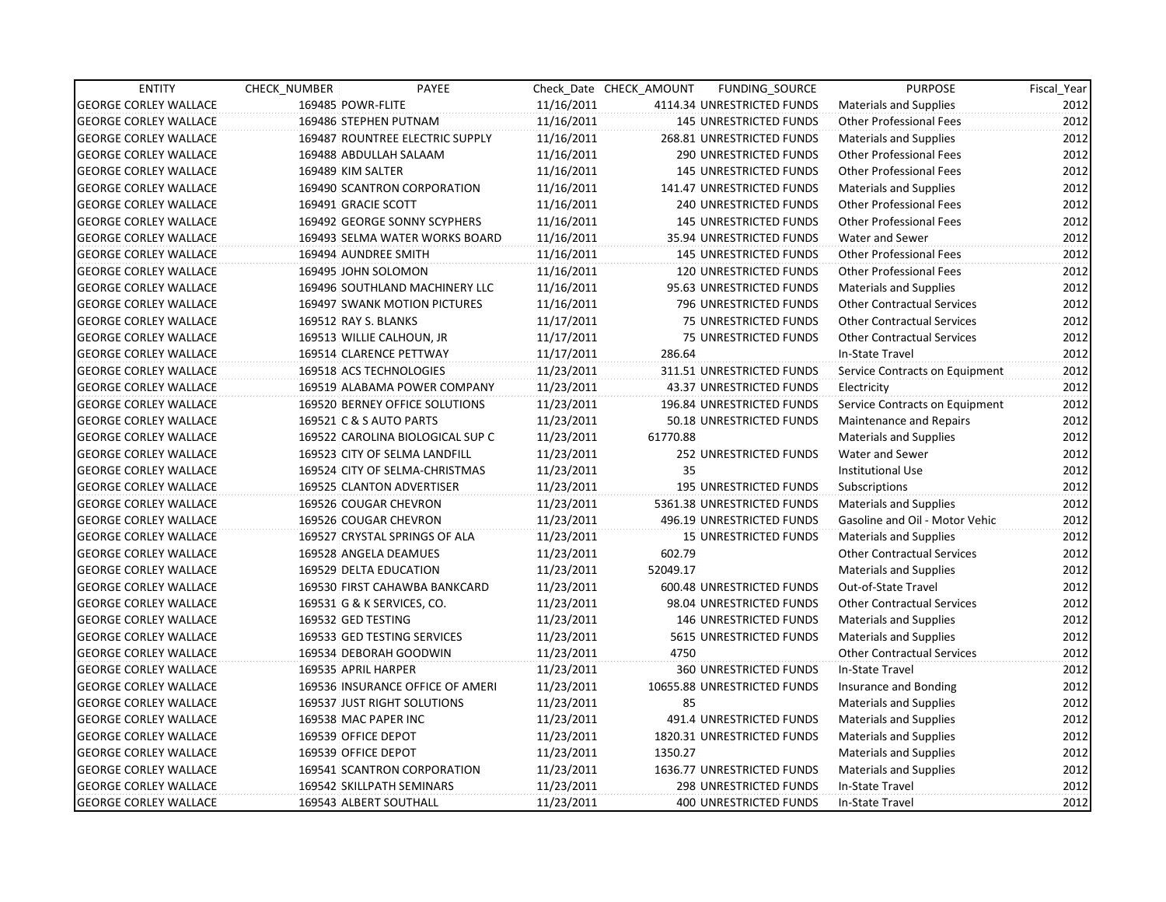| <b>ENTITY</b>                | <b>CHECK NUMBER</b>  | PAYEE                              |            | Check Date CHECK AMOUNT | FUNDING_SOURCE                | <b>PURPOSE</b>                    | Fiscal_Year |
|------------------------------|----------------------|------------------------------------|------------|-------------------------|-------------------------------|-----------------------------------|-------------|
| <b>GEORGE CORLEY WALLACE</b> | 169485 POWR-FLITE    |                                    | 11/16/2011 |                         | 4114.34 UNRESTRICTED FUNDS    | Materials and Supplies            | 2012        |
| <b>GEORGE CORLEY WALLACE</b> |                      | 169486 STEPHEN PUTNAM              | 11/16/2011 |                         | 145 UNRESTRICTED FUNDS        | <b>Other Professional Fees</b>    | 2012        |
| <b>GEORGE CORLEY WALLACE</b> |                      | 169487 ROUNTREE ELECTRIC SUPPLY    | 11/16/2011 |                         | 268.81 UNRESTRICTED FUNDS     | <b>Materials and Supplies</b>     | 2012        |
| <b>GEORGE CORLEY WALLACE</b> |                      | 169488 ABDULLAH SALAAM             | 11/16/2011 |                         | 290 UNRESTRICTED FUNDS        | <b>Other Professional Fees</b>    | 2012        |
| <b>GEORGE CORLEY WALLACE</b> | 169489 KIM SALTER    |                                    | 11/16/2011 |                         | 145 UNRESTRICTED FUNDS        | <b>Other Professional Fees</b>    | 2012        |
| <b>GEORGE CORLEY WALLACE</b> |                      | 169490 SCANTRON CORPORATION        | 11/16/2011 |                         | 141.47 UNRESTRICTED FUNDS     | Materials and Supplies            | 2012        |
| <b>GEORGE CORLEY WALLACE</b> | 169491 GRACIE SCOTT  |                                    | 11/16/2011 |                         | <b>240 UNRESTRICTED FUNDS</b> | <b>Other Professional Fees</b>    | 2012        |
| <b>GEORGE CORLEY WALLACE</b> |                      | 169492 GEORGE SONNY SCYPHERS       | 11/16/2011 |                         | <b>145 UNRESTRICTED FUNDS</b> | <b>Other Professional Fees</b>    | 2012        |
| <b>GEORGE CORLEY WALLACE</b> |                      | 169493 SELMA WATER WORKS BOARD     | 11/16/2011 |                         | 35.94 UNRESTRICTED FUNDS      | Water and Sewer                   | 2012        |
| <b>GEORGE CORLEY WALLACE</b> | 169494 AUNDREE SMITH |                                    | 11/16/2011 |                         | <b>145 UNRESTRICTED FUNDS</b> | <b>Other Professional Fees</b>    | 2012        |
| <b>GEORGE CORLEY WALLACE</b> | 169495 JOHN SOLOMON  |                                    | 11/16/2011 |                         | 120 UNRESTRICTED FUNDS        | <b>Other Professional Fees</b>    | 2012        |
| <b>GEORGE CORLEY WALLACE</b> |                      | 169496 SOUTHLAND MACHINERY LLC     | 11/16/2011 |                         | 95.63 UNRESTRICTED FUNDS      | <b>Materials and Supplies</b>     | 2012        |
| <b>GEORGE CORLEY WALLACE</b> |                      | 169497 SWANK MOTION PICTURES       | 11/16/2011 |                         | 796 UNRESTRICTED FUNDS        | <b>Other Contractual Services</b> | 2012        |
| <b>GEORGE CORLEY WALLACE</b> | 169512 RAY S. BLANKS |                                    | 11/17/2011 |                         | 75 UNRESTRICTED FUNDS         | <b>Other Contractual Services</b> | 2012        |
| <b>GEORGE CORLEY WALLACE</b> |                      | 169513 WILLIE CALHOUN, JR          | 11/17/2011 |                         | 75 UNRESTRICTED FUNDS         | <b>Other Contractual Services</b> | 2012        |
| <b>GEORGE CORLEY WALLACE</b> |                      | 169514 CLARENCE PETTWAY            | 11/17/2011 | 286.64                  |                               | In-State Travel                   | 2012        |
| <b>GEORGE CORLEY WALLACE</b> |                      | 169518 ACS TECHNOLOGIES            | 11/23/2011 |                         | 311.51 UNRESTRICTED FUNDS     | Service Contracts on Equipment    | 2012        |
| <b>GEORGE CORLEY WALLACE</b> |                      | 169519 ALABAMA POWER COMPANY       | 11/23/2011 |                         | 43.37 UNRESTRICTED FUNDS      | Electricity                       | 2012        |
| <b>GEORGE CORLEY WALLACE</b> |                      | 169520 BERNEY OFFICE SOLUTIONS     | 11/23/2011 |                         | 196.84 UNRESTRICTED FUNDS     | Service Contracts on Equipment    | 2012        |
| <b>GEORGE CORLEY WALLACE</b> |                      | 169521 C & S AUTO PARTS            | 11/23/2011 |                         | 50.18 UNRESTRICTED FUNDS      | <b>Maintenance and Repairs</b>    | 2012        |
| <b>GEORGE CORLEY WALLACE</b> |                      | 169522 CAROLINA BIOLOGICAL SUP C   | 11/23/2011 | 61770.88                |                               | <b>Materials and Supplies</b>     | 2012        |
| <b>GEORGE CORLEY WALLACE</b> |                      | 169523 CITY OF SELMA LANDFILL      | 11/23/2011 |                         | 252 UNRESTRICTED FUNDS        | Water and Sewer                   | 2012        |
| <b>GEORGE CORLEY WALLACE</b> |                      | 169524 CITY OF SELMA-CHRISTMAS     | 11/23/2011 | 35                      |                               | <b>Institutional Use</b>          | 2012        |
| <b>GEORGE CORLEY WALLACE</b> |                      | 169525 CLANTON ADVERTISER          | 11/23/2011 |                         | 195 UNRESTRICTED FUNDS        | Subscriptions                     | 2012        |
| <b>GEORGE CORLEY WALLACE</b> |                      | 169526 COUGAR CHEVRON              | 11/23/2011 |                         | 5361.38 UNRESTRICTED FUNDS    | <b>Materials and Supplies</b>     | 2012        |
| <b>GEORGE CORLEY WALLACE</b> |                      | 169526 COUGAR CHEVRON              | 11/23/2011 |                         | 496.19 UNRESTRICTED FUNDS     | Gasoline and Oil - Motor Vehic    | 2012        |
| <b>GEORGE CORLEY WALLACE</b> |                      | 169527 CRYSTAL SPRINGS OF ALA      | 11/23/2011 |                         | <b>15 UNRESTRICTED FUNDS</b>  | <b>Materials and Supplies</b>     | 2012        |
| <b>GEORGE CORLEY WALLACE</b> |                      | 169528 ANGELA DEAMUES              | 11/23/2011 | 602.79                  |                               | <b>Other Contractual Services</b> | 2012        |
| <b>GEORGE CORLEY WALLACE</b> |                      | 169529 DELTA EDUCATION             | 11/23/2011 | 52049.17                |                               | <b>Materials and Supplies</b>     | 2012        |
| <b>GEORGE CORLEY WALLACE</b> |                      | 169530 FIRST CAHAWBA BANKCARD      | 11/23/2011 |                         | 600.48 UNRESTRICTED FUNDS     | Out-of-State Travel               | 2012        |
| <b>GEORGE CORLEY WALLACE</b> |                      | 169531 G & K SERVICES, CO.         | 11/23/2011 |                         | 98.04 UNRESTRICTED FUNDS      | <b>Other Contractual Services</b> | 2012        |
| <b>GEORGE CORLEY WALLACE</b> | 169532 GED TESTING   |                                    | 11/23/2011 |                         | <b>146 UNRESTRICTED FUNDS</b> | <b>Materials and Supplies</b>     | 2012        |
| <b>GEORGE CORLEY WALLACE</b> |                      | 169533 GED TESTING SERVICES        | 11/23/2011 |                         | 5615 UNRESTRICTED FUNDS       | <b>Materials and Supplies</b>     | 2012        |
| <b>GEORGE CORLEY WALLACE</b> |                      | 169534 DEBORAH GOODWIN             | 11/23/2011 | 4750                    |                               | <b>Other Contractual Services</b> | 2012        |
| <b>GEORGE CORLEY WALLACE</b> | 169535 APRIL HARPER  |                                    | 11/23/2011 |                         | 360 UNRESTRICTED FUNDS        | In-State Travel                   | 2012        |
| <b>GEORGE CORLEY WALLACE</b> |                      | 169536 INSURANCE OFFICE OF AMERI   | 11/23/2011 |                         | 10655.88 UNRESTRICTED FUNDS   | Insurance and Bonding             | 2012        |
| <b>GEORGE CORLEY WALLACE</b> |                      | <b>169537 JUST RIGHT SOLUTIONS</b> | 11/23/2011 | 85                      |                               | <b>Materials and Supplies</b>     | 2012        |
| <b>GEORGE CORLEY WALLACE</b> | 169538 MAC PAPER INC |                                    | 11/23/2011 |                         | 491.4 UNRESTRICTED FUNDS      | <b>Materials and Supplies</b>     | 2012        |
| <b>GEORGE CORLEY WALLACE</b> | 169539 OFFICE DEPOT  |                                    | 11/23/2011 |                         | 1820.31 UNRESTRICTED FUNDS    | <b>Materials and Supplies</b>     | 2012        |
| <b>GEORGE CORLEY WALLACE</b> | 169539 OFFICE DEPOT  |                                    | 11/23/2011 | 1350.27                 |                               | <b>Materials and Supplies</b>     | 2012        |
| <b>GEORGE CORLEY WALLACE</b> |                      | 169541 SCANTRON CORPORATION        | 11/23/2011 |                         | 1636.77 UNRESTRICTED FUNDS    | <b>Materials and Supplies</b>     | 2012        |
| <b>GEORGE CORLEY WALLACE</b> |                      | 169542 SKILLPATH SEMINARS          | 11/23/2011 |                         | 298 UNRESTRICTED FUNDS        | In-State Travel                   | 2012        |
| <b>GEORGE CORLEY WALLACE</b> |                      | 169543 ALBERT SOUTHALL             | 11/23/2011 |                         | <b>400 UNRESTRICTED FUNDS</b> | In-State Travel                   | 2012        |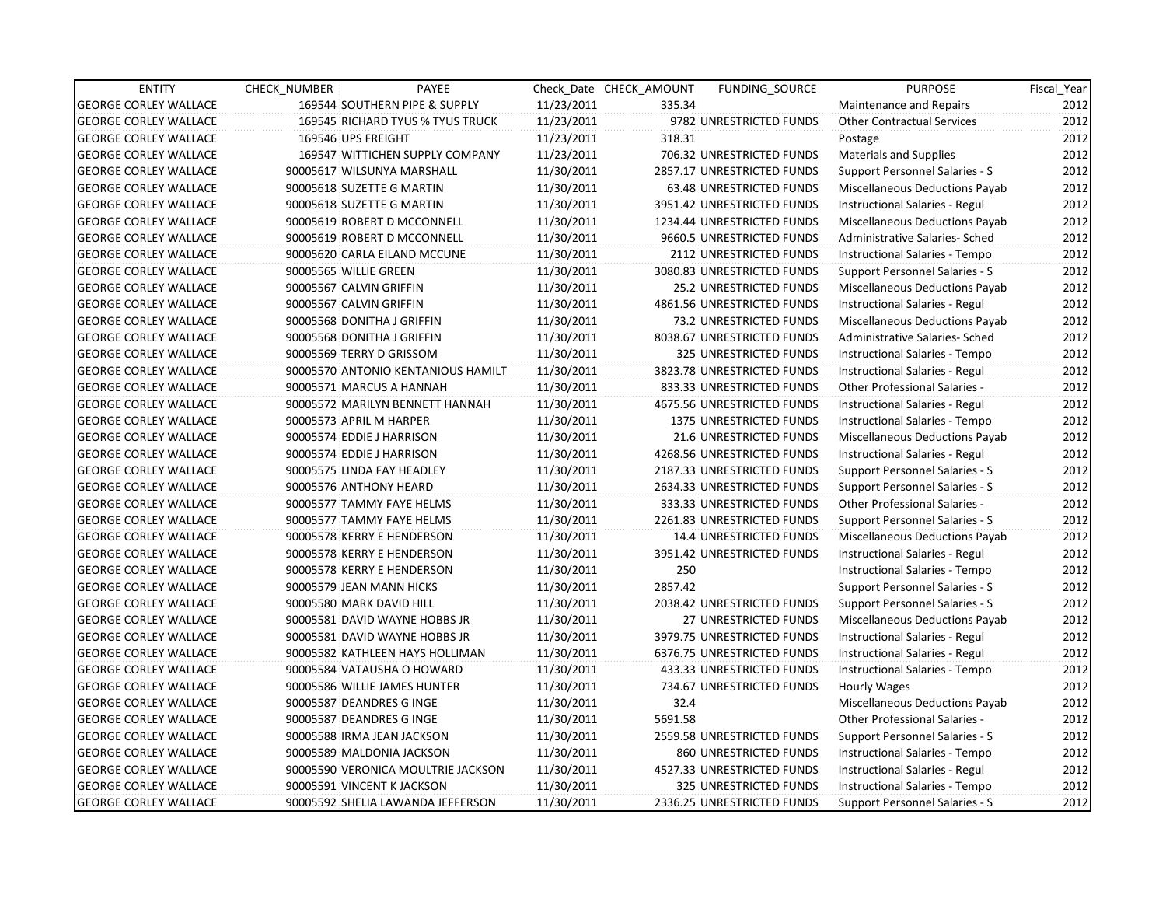| <b>ENTITY</b>                | CHECK_NUMBER            | PAYEE                              |            | Check Date CHECK AMOUNT | <b>FUNDING SOURCE</b>      | <b>PURPOSE</b>                       | Fiscal_Year |
|------------------------------|-------------------------|------------------------------------|------------|-------------------------|----------------------------|--------------------------------------|-------------|
| <b>GEORGE CORLEY WALLACE</b> |                         | 169544 SOUTHERN PIPE & SUPPLY      | 11/23/2011 | 335.34                  |                            | Maintenance and Repairs              | 2012        |
| <b>GEORGE CORLEY WALLACE</b> |                         | 169545 RICHARD TYUS % TYUS TRUCK   | 11/23/2011 |                         | 9782 UNRESTRICTED FUNDS    | <b>Other Contractual Services</b>    | 2012        |
| <b>GEORGE CORLEY WALLACE</b> | 169546 UPS FREIGHT      |                                    | 11/23/2011 | 318.31                  |                            | Postage                              | 2012        |
| <b>GEORGE CORLEY WALLACE</b> |                         | 169547 WITTICHEN SUPPLY COMPANY    | 11/23/2011 |                         | 706.32 UNRESTRICTED FUNDS  | Materials and Supplies               | 2012        |
| <b>GEORGE CORLEY WALLACE</b> |                         | 90005617 WILSUNYA MARSHALL         | 11/30/2011 |                         | 2857.17 UNRESTRICTED FUNDS | Support Personnel Salaries - S       | 2012        |
| <b>GEORGE CORLEY WALLACE</b> |                         | 90005618 SUZETTE G MARTIN          | 11/30/2011 |                         | 63.48 UNRESTRICTED FUNDS   | Miscellaneous Deductions Payab       | 2012        |
| <b>GEORGE CORLEY WALLACE</b> |                         | 90005618 SUZETTE G MARTIN          | 11/30/2011 |                         | 3951.42 UNRESTRICTED FUNDS | Instructional Salaries - Regul       | 2012        |
| <b>GEORGE CORLEY WALLACE</b> |                         | 90005619 ROBERT D MCCONNELL        | 11/30/2011 |                         | 1234.44 UNRESTRICTED FUNDS | Miscellaneous Deductions Payab       | 2012        |
| <b>GEORGE CORLEY WALLACE</b> |                         | 90005619 ROBERT D MCCONNELL        | 11/30/2011 |                         | 9660.5 UNRESTRICTED FUNDS  | Administrative Salaries- Sched       | 2012        |
| <b>GEORGE CORLEY WALLACE</b> |                         | 90005620 CARLA EILAND MCCUNE       | 11/30/2011 |                         | 2112 UNRESTRICTED FUNDS    | Instructional Salaries - Tempo       | 2012        |
| <b>GEORGE CORLEY WALLACE</b> | 90005565 WILLIE GREEN   |                                    | 11/30/2011 |                         | 3080.83 UNRESTRICTED FUNDS | Support Personnel Salaries - S       | 2012        |
| <b>GEORGE CORLEY WALLACE</b> | 90005567 CALVIN GRIFFIN |                                    | 11/30/2011 |                         | 25.2 UNRESTRICTED FUNDS    | Miscellaneous Deductions Payab       | 2012        |
| <b>GEORGE CORLEY WALLACE</b> | 90005567 CALVIN GRIFFIN |                                    | 11/30/2011 |                         | 4861.56 UNRESTRICTED FUNDS | Instructional Salaries - Regul       | 2012        |
| <b>GEORGE CORLEY WALLACE</b> |                         | 90005568 DONITHA J GRIFFIN         | 11/30/2011 |                         | 73.2 UNRESTRICTED FUNDS    | Miscellaneous Deductions Payab       | 2012        |
| <b>GEORGE CORLEY WALLACE</b> |                         | 90005568 DONITHA J GRIFFIN         | 11/30/2011 |                         | 8038.67 UNRESTRICTED FUNDS | Administrative Salaries- Sched       | 2012        |
| <b>GEORGE CORLEY WALLACE</b> |                         | 90005569 TERRY D GRISSOM           | 11/30/2011 |                         | 325 UNRESTRICTED FUNDS     | Instructional Salaries - Tempo       | 2012        |
| <b>GEORGE CORLEY WALLACE</b> |                         | 90005570 ANTONIO KENTANIOUS HAMILT | 11/30/2011 |                         | 3823.78 UNRESTRICTED FUNDS | Instructional Salaries - Regul       | 2012        |
| <b>GEORGE CORLEY WALLACE</b> |                         | 90005571 MARCUS A HANNAH           | 11/30/2011 |                         | 833.33 UNRESTRICTED FUNDS  | Other Professional Salaries -        | 2012        |
| <b>GEORGE CORLEY WALLACE</b> |                         | 90005572 MARILYN BENNETT HANNAH    | 11/30/2011 |                         | 4675.56 UNRESTRICTED FUNDS | Instructional Salaries - Regul       | 2012        |
| <b>GEORGE CORLEY WALLACE</b> | 90005573 APRIL M HARPER |                                    | 11/30/2011 |                         | 1375 UNRESTRICTED FUNDS    | Instructional Salaries - Tempo       | 2012        |
| <b>GEORGE CORLEY WALLACE</b> |                         | 90005574 EDDIE J HARRISON          | 11/30/2011 |                         | 21.6 UNRESTRICTED FUNDS    | Miscellaneous Deductions Payab       | 2012        |
| <b>GEORGE CORLEY WALLACE</b> |                         | 90005574 EDDIE J HARRISON          | 11/30/2011 |                         | 4268.56 UNRESTRICTED FUNDS | Instructional Salaries - Regul       | 2012        |
| <b>GEORGE CORLEY WALLACE</b> |                         | 90005575 LINDA FAY HEADLEY         | 11/30/2011 |                         | 2187.33 UNRESTRICTED FUNDS | Support Personnel Salaries - S       | 2012        |
| <b>GEORGE CORLEY WALLACE</b> |                         | 90005576 ANTHONY HEARD             | 11/30/2011 |                         | 2634.33 UNRESTRICTED FUNDS | Support Personnel Salaries - S       | 2012        |
| <b>GEORGE CORLEY WALLACE</b> |                         | 90005577 TAMMY FAYE HELMS          | 11/30/2011 |                         | 333.33 UNRESTRICTED FUNDS  | <b>Other Professional Salaries -</b> | 2012        |
| <b>GEORGE CORLEY WALLACE</b> |                         | 90005577 TAMMY FAYE HELMS          | 11/30/2011 |                         | 2261.83 UNRESTRICTED FUNDS | Support Personnel Salaries - S       | 2012        |
| <b>GEORGE CORLEY WALLACE</b> |                         | 90005578 KERRY E HENDERSON         | 11/30/2011 |                         | 14.4 UNRESTRICTED FUNDS    | Miscellaneous Deductions Payab       | 2012        |
| <b>GEORGE CORLEY WALLACE</b> |                         | 90005578 KERRY E HENDERSON         | 11/30/2011 |                         | 3951.42 UNRESTRICTED FUNDS | Instructional Salaries - Regul       | 2012        |
| <b>GEORGE CORLEY WALLACE</b> |                         | 90005578 KERRY E HENDERSON         | 11/30/2011 | 250                     |                            | Instructional Salaries - Tempo       | 2012        |
| <b>GEORGE CORLEY WALLACE</b> |                         | 90005579 JEAN MANN HICKS           | 11/30/2011 | 2857.42                 |                            | Support Personnel Salaries - S       | 2012        |
| <b>GEORGE CORLEY WALLACE</b> |                         | 90005580 MARK DAVID HILL           | 11/30/2011 |                         | 2038.42 UNRESTRICTED FUNDS | Support Personnel Salaries - S       | 2012        |
| <b>GEORGE CORLEY WALLACE</b> |                         | 90005581 DAVID WAYNE HOBBS JR      | 11/30/2011 |                         | 27 UNRESTRICTED FUNDS      | Miscellaneous Deductions Payab       | 2012        |
| <b>GEORGE CORLEY WALLACE</b> |                         | 90005581 DAVID WAYNE HOBBS JR      | 11/30/2011 |                         | 3979.75 UNRESTRICTED FUNDS | Instructional Salaries - Regul       | 2012        |
| <b>GEORGE CORLEY WALLACE</b> |                         | 90005582 KATHLEEN HAYS HOLLIMAN    | 11/30/2011 |                         | 6376.75 UNRESTRICTED FUNDS | Instructional Salaries - Regul       | 2012        |
| <b>GEORGE CORLEY WALLACE</b> |                         | 90005584 VATAUSHA O HOWARD         | 11/30/2011 |                         | 433.33 UNRESTRICTED FUNDS  | Instructional Salaries - Tempo       | 2012        |
| <b>GEORGE CORLEY WALLACE</b> |                         | 90005586 WILLIE JAMES HUNTER       | 11/30/2011 |                         | 734.67 UNRESTRICTED FUNDS  | Hourly Wages                         | 2012        |
| <b>GEORGE CORLEY WALLACE</b> |                         | 90005587 DEANDRES G INGE           | 11/30/2011 | 32.4                    |                            | Miscellaneous Deductions Payab       | 2012        |
| <b>GEORGE CORLEY WALLACE</b> |                         | 90005587 DEANDRES G INGE           | 11/30/2011 | 5691.58                 |                            | Other Professional Salaries -        | 2012        |
| <b>GEORGE CORLEY WALLACE</b> |                         | 90005588 IRMA JEAN JACKSON         | 11/30/2011 |                         | 2559.58 UNRESTRICTED FUNDS | Support Personnel Salaries - S       | 2012        |
| <b>GEORGE CORLEY WALLACE</b> |                         | 90005589 MALDONIA JACKSON          | 11/30/2011 |                         | 860 UNRESTRICTED FUNDS     | Instructional Salaries - Tempo       | 2012        |
| <b>GEORGE CORLEY WALLACE</b> |                         | 90005590 VERONICA MOULTRIE JACKSON | 11/30/2011 |                         | 4527.33 UNRESTRICTED FUNDS | Instructional Salaries - Regul       | 2012        |
| <b>GEORGE CORLEY WALLACE</b> |                         | 90005591 VINCENT K JACKSON         | 11/30/2011 |                         | 325 UNRESTRICTED FUNDS     | Instructional Salaries - Tempo       | 2012        |
| <b>GEORGE CORLEY WALLACE</b> |                         | 90005592 SHELIA LAWANDA JEFFERSON  | 11/30/2011 |                         | 2336.25 UNRESTRICTED FUNDS | Support Personnel Salaries - S       | 2012        |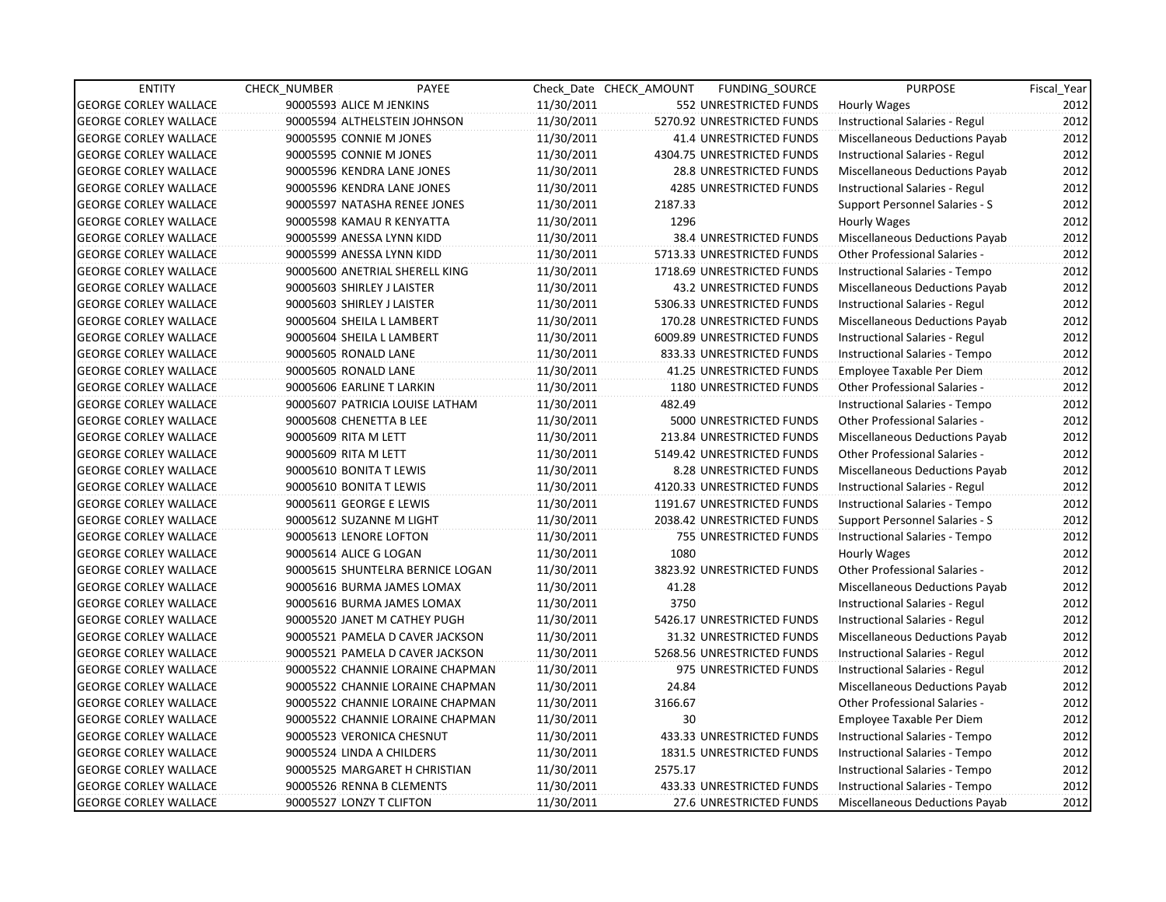| <b>ENTITY</b>                | <b>CHECK NUMBER</b>  | PAYEE                            |            | Check Date CHECK AMOUNT | FUNDING_SOURCE                 | <b>PURPOSE</b>                        | Fiscal_Year |
|------------------------------|----------------------|----------------------------------|------------|-------------------------|--------------------------------|---------------------------------------|-------------|
| <b>GEORGE CORLEY WALLACE</b> |                      | 90005593 ALICE M JENKINS         | 11/30/2011 |                         | 552 UNRESTRICTED FUNDS         | Hourly Wages                          | 2012        |
| <b>GEORGE CORLEY WALLACE</b> |                      | 90005594 ALTHELSTEIN JOHNSON     | 11/30/2011 |                         | 5270.92 UNRESTRICTED FUNDS     | Instructional Salaries - Regul        | 2012        |
| <b>GEORGE CORLEY WALLACE</b> |                      | 90005595 CONNIE M JONES          | 11/30/2011 |                         | 41.4 UNRESTRICTED FUNDS        | Miscellaneous Deductions Payab        | 2012        |
| <b>GEORGE CORLEY WALLACE</b> |                      | 90005595 CONNIE M JONES          | 11/30/2011 |                         | 4304.75 UNRESTRICTED FUNDS     | Instructional Salaries - Regul        | 2012        |
| <b>GEORGE CORLEY WALLACE</b> |                      | 90005596 KENDRA LANE JONES       | 11/30/2011 |                         | 28.8 UNRESTRICTED FUNDS        | Miscellaneous Deductions Payab        | 2012        |
| <b>GEORGE CORLEY WALLACE</b> |                      | 90005596 KENDRA LANE JONES       | 11/30/2011 |                         | 4285 UNRESTRICTED FUNDS        | Instructional Salaries - Regul        | 2012        |
| <b>GEORGE CORLEY WALLACE</b> |                      | 90005597 NATASHA RENEE JONES     | 11/30/2011 | 2187.33                 |                                | Support Personnel Salaries - S        | 2012        |
| <b>GEORGE CORLEY WALLACE</b> |                      | 90005598 KAMAU R KENYATTA        | 11/30/2011 | 1296                    |                                | Hourly Wages                          | 2012        |
| <b>GEORGE CORLEY WALLACE</b> |                      | 90005599 ANESSA LYNN KIDD        | 11/30/2011 |                         | 38.4 UNRESTRICTED FUNDS        | Miscellaneous Deductions Payab        | 2012        |
| <b>GEORGE CORLEY WALLACE</b> |                      | 90005599 ANESSA LYNN KIDD        | 11/30/2011 |                         | 5713.33 UNRESTRICTED FUNDS     | Other Professional Salaries -         | 2012        |
| <b>GEORGE CORLEY WALLACE</b> |                      | 90005600 ANETRIAL SHERELL KING   | 11/30/2011 |                         | 1718.69 UNRESTRICTED FUNDS     | Instructional Salaries - Tempo        | 2012        |
| <b>GEORGE CORLEY WALLACE</b> |                      | 90005603 SHIRLEY J LAISTER       | 11/30/2011 |                         | 43.2 UNRESTRICTED FUNDS        | Miscellaneous Deductions Payab        | 2012        |
| <b>GEORGE CORLEY WALLACE</b> |                      | 90005603 SHIRLEY J LAISTER       | 11/30/2011 |                         | 5306.33 UNRESTRICTED FUNDS     | <b>Instructional Salaries - Regul</b> | 2012        |
| <b>GEORGE CORLEY WALLACE</b> |                      | 90005604 SHEILA L LAMBERT        | 11/30/2011 |                         | 170.28 UNRESTRICTED FUNDS      | Miscellaneous Deductions Payab        | 2012        |
| <b>GEORGE CORLEY WALLACE</b> |                      | 90005604 SHEILA L LAMBERT        | 11/30/2011 |                         | 6009.89 UNRESTRICTED FUNDS     | Instructional Salaries - Regul        | 2012        |
| <b>GEORGE CORLEY WALLACE</b> | 90005605 RONALD LANE |                                  | 11/30/2011 |                         | 833.33 UNRESTRICTED FUNDS      | Instructional Salaries - Tempo        | 2012        |
| <b>GEORGE CORLEY WALLACE</b> | 90005605 RONALD LANE |                                  | 11/30/2011 |                         | 41.25 UNRESTRICTED FUNDS       | Employee Taxable Per Diem             | 2012        |
| <b>GEORGE CORLEY WALLACE</b> |                      | 90005606 EARLINE T LARKIN        | 11/30/2011 |                         | 1180 UNRESTRICTED FUNDS        | Other Professional Salaries -         | 2012        |
| <b>GEORGE CORLEY WALLACE</b> |                      | 90005607 PATRICIA LOUISE LATHAM  | 11/30/2011 | 482.49                  |                                | Instructional Salaries - Tempo        | 2012        |
| <b>GEORGE CORLEY WALLACE</b> |                      | 90005608 CHENETTA B LEE          | 11/30/2011 |                         | 5000 UNRESTRICTED FUNDS        | Other Professional Salaries -         | 2012        |
| <b>GEORGE CORLEY WALLACE</b> | 90005609 RITA M LETT |                                  | 11/30/2011 |                         | 213.84 UNRESTRICTED FUNDS      | Miscellaneous Deductions Payab        | 2012        |
| <b>GEORGE CORLEY WALLACE</b> | 90005609 RITA M LETT |                                  | 11/30/2011 |                         | 5149.42 UNRESTRICTED FUNDS     | Other Professional Salaries -         | 2012        |
| <b>GEORGE CORLEY WALLACE</b> |                      | 90005610 BONITA T LEWIS          | 11/30/2011 |                         | 8.28 UNRESTRICTED FUNDS        | Miscellaneous Deductions Payab        | 2012        |
| <b>GEORGE CORLEY WALLACE</b> |                      | 90005610 BONITA T LEWIS          | 11/30/2011 |                         | 4120.33 UNRESTRICTED FUNDS     | Instructional Salaries - Regul        | 2012        |
| <b>GEORGE CORLEY WALLACE</b> |                      | 90005611 GEORGE E LEWIS          | 11/30/2011 |                         | 1191.67 UNRESTRICTED FUNDS     | Instructional Salaries - Tempo        | 2012        |
| <b>GEORGE CORLEY WALLACE</b> |                      | 90005612 SUZANNE M LIGHT         | 11/30/2011 |                         | 2038.42 UNRESTRICTED FUNDS     | Support Personnel Salaries - S        | 2012        |
| <b>GEORGE CORLEY WALLACE</b> |                      | 90005613 LENORE LOFTON           | 11/30/2011 |                         | 755 UNRESTRICTED FUNDS         | Instructional Salaries - Tempo        | 2012        |
| <b>GEORGE CORLEY WALLACE</b> |                      | 90005614 ALICE G LOGAN           | 11/30/2011 | 1080                    |                                | Hourly Wages                          | 2012        |
| <b>GEORGE CORLEY WALLACE</b> |                      | 90005615 SHUNTELRA BERNICE LOGAN | 11/30/2011 |                         | 3823.92 UNRESTRICTED FUNDS     | <b>Other Professional Salaries -</b>  | 2012        |
| <b>GEORGE CORLEY WALLACE</b> |                      | 90005616 BURMA JAMES LOMAX       | 11/30/2011 | 41.28                   |                                | Miscellaneous Deductions Payab        | 2012        |
| <b>GEORGE CORLEY WALLACE</b> |                      | 90005616 BURMA JAMES LOMAX       | 11/30/2011 | 3750                    |                                | Instructional Salaries - Regul        | 2012        |
| <b>GEORGE CORLEY WALLACE</b> |                      | 90005520 JANET M CATHEY PUGH     | 11/30/2011 |                         | 5426.17 UNRESTRICTED FUNDS     | Instructional Salaries - Regul        | 2012        |
| <b>GEORGE CORLEY WALLACE</b> |                      | 90005521 PAMELA D CAVER JACKSON  | 11/30/2011 |                         | 31.32 UNRESTRICTED FUNDS       | Miscellaneous Deductions Payab        | 2012        |
| <b>GEORGE CORLEY WALLACE</b> |                      | 90005521 PAMELA D CAVER JACKSON  | 11/30/2011 |                         | 5268.56 UNRESTRICTED FUNDS     | Instructional Salaries - Regul        | 2012        |
| <b>GEORGE CORLEY WALLACE</b> |                      | 90005522 CHANNIE LORAINE CHAPMAN | 11/30/2011 |                         | 975 UNRESTRICTED FUNDS         | Instructional Salaries - Regul        | 2012        |
| <b>GEORGE CORLEY WALLACE</b> |                      | 90005522 CHANNIE LORAINE CHAPMAN | 11/30/2011 | 24.84                   |                                | Miscellaneous Deductions Payab        | 2012        |
| <b>GEORGE CORLEY WALLACE</b> |                      | 90005522 CHANNIE LORAINE CHAPMAN | 11/30/2011 | 3166.67                 |                                | <b>Other Professional Salaries -</b>  | 2012        |
| <b>GEORGE CORLEY WALLACE</b> |                      | 90005522 CHANNIE LORAINE CHAPMAN | 11/30/2011 | 30                      |                                | Employee Taxable Per Diem             | 2012        |
| <b>GEORGE CORLEY WALLACE</b> |                      | 90005523 VERONICA CHESNUT        | 11/30/2011 |                         | 433.33 UNRESTRICTED FUNDS      | Instructional Salaries - Tempo        | 2012        |
| <b>GEORGE CORLEY WALLACE</b> |                      | 90005524 LINDA A CHILDERS        | 11/30/2011 |                         | 1831.5 UNRESTRICTED FUNDS      | Instructional Salaries - Tempo        | 2012        |
| <b>GEORGE CORLEY WALLACE</b> |                      | 90005525 MARGARET H CHRISTIAN    | 11/30/2011 | 2575.17                 |                                | Instructional Salaries - Tempo        | 2012        |
| <b>GEORGE CORLEY WALLACE</b> |                      | 90005526 RENNA B CLEMENTS        | 11/30/2011 |                         | 433.33 UNRESTRICTED FUNDS      | Instructional Salaries - Tempo        | 2012        |
| <b>GEORGE CORLEY WALLACE</b> |                      | 90005527 LONZY T CLIFTON         | 11/30/2011 |                         | <b>27.6 UNRESTRICTED FUNDS</b> | Miscellaneous Deductions Payab        | 2012        |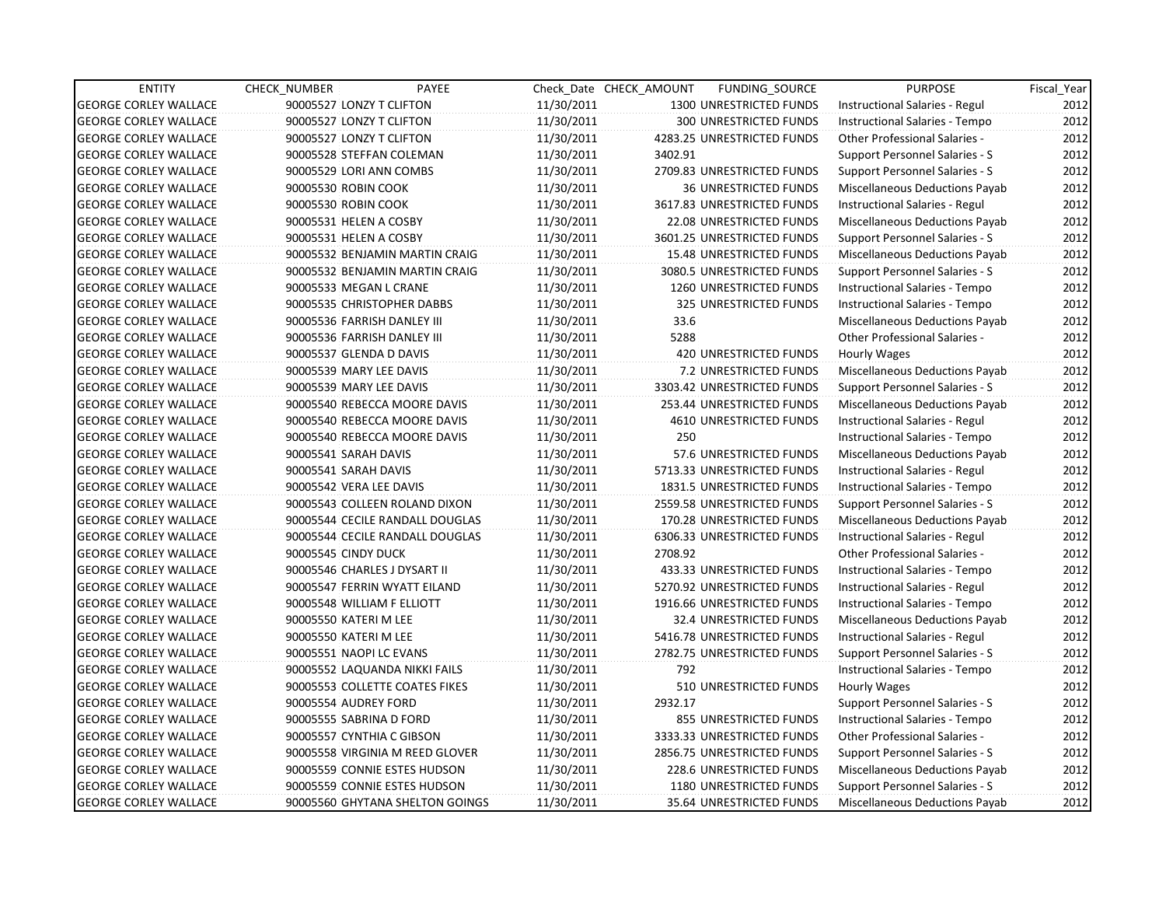| 2012<br><b>GEORGE CORLEY WALLACE</b><br>90005527 LONZY T CLIFTON<br>11/30/2011<br>1300 UNRESTRICTED FUNDS<br>Instructional Salaries - Regul<br><b>GEORGE CORLEY WALLACE</b><br>90005527 LONZY T CLIFTON<br>11/30/2011<br>300 UNRESTRICTED FUNDS<br>Instructional Salaries - Tempo<br>2012<br>2012<br><b>GEORGE CORLEY WALLACE</b><br>90005527 LONZY T CLIFTON<br>11/30/2011<br>4283.25 UNRESTRICTED FUNDS<br><b>Other Professional Salaries -</b><br>3402.91<br>2012<br><b>GEORGE CORLEY WALLACE</b><br>90005528 STEFFAN COLEMAN<br>11/30/2011<br>Support Personnel Salaries - S<br>2012<br><b>GEORGE CORLEY WALLACE</b><br>90005529 LORI ANN COMBS<br>11/30/2011<br>2709.83 UNRESTRICTED FUNDS<br>Support Personnel Salaries - S<br>2012<br><b>GEORGE CORLEY WALLACE</b><br>90005530 ROBIN COOK<br>11/30/2011<br><b>36 UNRESTRICTED FUNDS</b><br>Miscellaneous Deductions Payab<br>2012<br><b>GEORGE CORLEY WALLACE</b><br>90005530 ROBIN COOK<br>11/30/2011<br>3617.83 UNRESTRICTED FUNDS<br>Instructional Salaries - Regul<br>90005531 HELEN A COSBY<br>11/30/2011<br>22.08 UNRESTRICTED FUNDS<br>Miscellaneous Deductions Payab<br><b>GEORGE CORLEY WALLACE</b><br><b>GEORGE CORLEY WALLACE</b><br>90005531 HELEN A COSBY<br>11/30/2011<br>3601.25 UNRESTRICTED FUNDS<br>Support Personnel Salaries - S<br><b>GEORGE CORLEY WALLACE</b><br>90005532 BENJAMIN MARTIN CRAIG<br>11/30/2011<br>15.48 UNRESTRICTED FUNDS<br>Miscellaneous Deductions Payab<br><b>GEORGE CORLEY WALLACE</b><br>90005532 BENJAMIN MARTIN CRAIG<br>11/30/2011<br>3080.5 UNRESTRICTED FUNDS<br>Support Personnel Salaries - S<br><b>GEORGE CORLEY WALLACE</b><br>90005533 MEGAN L CRANE<br>11/30/2011<br>1260 UNRESTRICTED FUNDS<br>Instructional Salaries - Tempo<br>325 UNRESTRICTED FUNDS<br><b>GEORGE CORLEY WALLACE</b><br>90005535 CHRISTOPHER DABBS<br>11/30/2011<br>Instructional Salaries - Tempo<br>33.6<br><b>GEORGE CORLEY WALLACE</b><br>90005536 FARRISH DANLEY III<br>11/30/2011<br>Miscellaneous Deductions Payab<br><b>GEORGE CORLEY WALLACE</b><br>90005536 FARRISH DANLEY III<br>11/30/2011<br>5288<br><b>Other Professional Salaries -</b><br><b>GEORGE CORLEY WALLACE</b><br>11/30/2011<br>420 UNRESTRICTED FUNDS<br>90005537 GLENDA D DAVIS<br>Hourly Wages<br>Miscellaneous Deductions Payab<br><b>GEORGE CORLEY WALLACE</b><br>90005539 MARY LEE DAVIS<br>11/30/2011<br>7.2 UNRESTRICTED FUNDS<br><b>GEORGE CORLEY WALLACE</b><br>11/30/2011<br>3303.42 UNRESTRICTED FUNDS<br>Support Personnel Salaries - S<br>90005539 MARY LEE DAVIS<br><b>GEORGE CORLEY WALLACE</b><br>90005540 REBECCA MOORE DAVIS<br>253.44 UNRESTRICTED FUNDS<br>11/30/2011<br>Miscellaneous Deductions Payab<br><b>GEORGE CORLEY WALLACE</b><br>90005540 REBECCA MOORE DAVIS<br>11/30/2011<br><b>4610 UNRESTRICTED FUNDS</b><br>Instructional Salaries - Regul<br>250<br><b>GEORGE CORLEY WALLACE</b><br>90005540 REBECCA MOORE DAVIS<br>11/30/2011<br>Instructional Salaries - Tempo<br><b>GEORGE CORLEY WALLACE</b><br>90005541 SARAH DAVIS<br>11/30/2011<br>57.6 UNRESTRICTED FUNDS<br>Miscellaneous Deductions Payab<br><b>GEORGE CORLEY WALLACE</b><br>90005541 SARAH DAVIS<br>11/30/2011<br>5713.33 UNRESTRICTED FUNDS<br>Instructional Salaries - Regul<br><b>GEORGE CORLEY WALLACE</b><br>90005542 VERA LEE DAVIS<br>11/30/2011<br>1831.5 UNRESTRICTED FUNDS<br>Instructional Salaries - Tempo<br><b>GEORGE CORLEY WALLACE</b><br>90005543 COLLEEN ROLAND DIXON<br>11/30/2011<br>2559.58 UNRESTRICTED FUNDS<br>Support Personnel Salaries - S<br><b>GEORGE CORLEY WALLACE</b><br>90005544 CECILE RANDALL DOUGLAS<br>170.28 UNRESTRICTED FUNDS<br>Miscellaneous Deductions Payab<br>11/30/2011<br>11/30/2011<br><b>GEORGE CORLEY WALLACE</b><br>90005544 CECILE RANDALL DOUGLAS<br>6306.33 UNRESTRICTED FUNDS<br>Instructional Salaries - Regul<br><b>GEORGE CORLEY WALLACE</b><br>90005545 CINDY DUCK<br>11/30/2011<br>2708.92<br>Other Professional Salaries -<br><b>GEORGE CORLEY WALLACE</b><br>11/30/2011<br>90005546 CHARLES J DYSART II<br>433.33 UNRESTRICTED FUNDS<br>Instructional Salaries - Tempo<br><b>GEORGE CORLEY WALLACE</b><br>90005547 FERRIN WYATT EILAND<br>11/30/2011<br>5270.92 UNRESTRICTED FUNDS<br>Instructional Salaries - Regul<br>1916.66 UNRESTRICTED FUNDS<br><b>GEORGE CORLEY WALLACE</b><br>90005548 WILLIAM F ELLIOTT<br>11/30/2011<br>Instructional Salaries - Tempo<br><b>GEORGE CORLEY WALLACE</b><br>90005550 KATERI M LEE<br>11/30/2011<br>32.4 UNRESTRICTED FUNDS<br>Miscellaneous Deductions Payab<br><b>GEORGE CORLEY WALLACE</b><br>90005550 KATERI M LEE<br>11/30/2011<br>5416.78 UNRESTRICTED FUNDS<br>Instructional Salaries - Regul<br><b>GEORGE CORLEY WALLACE</b><br>90005551 NAOPI LC EVANS<br>11/30/2011<br>2782.75 UNRESTRICTED FUNDS<br>Support Personnel Salaries - S<br><b>GEORGE CORLEY WALLACE</b><br>792<br>90005552 LAQUANDA NIKKI FAILS<br>11/30/2011<br>Instructional Salaries - Tempo<br><b>GEORGE CORLEY WALLACE</b><br>90005553 COLLETTE COATES FIKES<br>11/30/2011<br>510 UNRESTRICTED FUNDS<br>Hourly Wages<br>2932.17<br><b>GEORGE CORLEY WALLACE</b><br>90005554 AUDREY FORD<br>11/30/2011<br><b>Support Personnel Salaries - S</b><br><b>GEORGE CORLEY WALLACE</b><br>90005555 SABRINA D FORD<br>11/30/2011<br>855 UNRESTRICTED FUNDS<br>Instructional Salaries - Tempo | <b>ENTITY</b>                | CHECK NUMBER | PAYEE                     |            | Check Date CHECK AMOUNT | FUNDING_SOURCE             | <b>PURPOSE</b>                | Fiscal_Year |
|--------------------------------------------------------------------------------------------------------------------------------------------------------------------------------------------------------------------------------------------------------------------------------------------------------------------------------------------------------------------------------------------------------------------------------------------------------------------------------------------------------------------------------------------------------------------------------------------------------------------------------------------------------------------------------------------------------------------------------------------------------------------------------------------------------------------------------------------------------------------------------------------------------------------------------------------------------------------------------------------------------------------------------------------------------------------------------------------------------------------------------------------------------------------------------------------------------------------------------------------------------------------------------------------------------------------------------------------------------------------------------------------------------------------------------------------------------------------------------------------------------------------------------------------------------------------------------------------------------------------------------------------------------------------------------------------------------------------------------------------------------------------------------------------------------------------------------------------------------------------------------------------------------------------------------------------------------------------------------------------------------------------------------------------------------------------------------------------------------------------------------------------------------------------------------------------------------------------------------------------------------------------------------------------------------------------------------------------------------------------------------------------------------------------------------------------------------------------------------------------------------------------------------------------------------------------------------------------------------------------------------------------------------------------------------------------------------------------------------------------------------------------------------------------------------------------------------------------------------------------------------------------------------------------------------------------------------------------------------------------------------------------------------------------------------------------------------------------------------------------------------------------------------------------------------------------------------------------------------------------------------------------------------------------------------------------------------------------------------------------------------------------------------------------------------------------------------------------------------------------------------------------------------------------------------------------------------------------------------------------------------------------------------------------------------------------------------------------------------------------------------------------------------------------------------------------------------------------------------------------------------------------------------------------------------------------------------------------------------------------------------------------------------------------------------------------------------------------------------------------------------------------------------------------------------------------------------------------------------------------------------------------------------------------------------------------------------------------------------------------------------------------------------------------------------------------------------------------------------------------------------------------------------------------------------------------------------------------------------------------------------------------------------------------------------------------------------------------------------------------------------------------------------------------------------------------------------------------------------------------------------------------------------------------------------------------------------------------------------------------------------------------------------------------------------------------------------------------------------------------------------------------------------------------------------------------------------------------------------------------------------------------------------------------------------------------------------|------------------------------|--------------|---------------------------|------------|-------------------------|----------------------------|-------------------------------|-------------|
|                                                                                                                                                                                                                                                                                                                                                                                                                                                                                                                                                                                                                                                                                                                                                                                                                                                                                                                                                                                                                                                                                                                                                                                                                                                                                                                                                                                                                                                                                                                                                                                                                                                                                                                                                                                                                                                                                                                                                                                                                                                                                                                                                                                                                                                                                                                                                                                                                                                                                                                                                                                                                                                                                                                                                                                                                                                                                                                                                                                                                                                                                                                                                                                                                                                                                                                                                                                                                                                                                                                                                                                                                                                                                                                                                                                                                                                                                                                                                                                                                                                                                                                                                                                                                                                                                                                                                                                                                                                                                                                                                                                                                                                                                                                                                                                                                                                                                                                                                                                                                                                                                                                                                                                                                                                                                                                                |                              |              |                           |            |                         |                            |                               |             |
|                                                                                                                                                                                                                                                                                                                                                                                                                                                                                                                                                                                                                                                                                                                                                                                                                                                                                                                                                                                                                                                                                                                                                                                                                                                                                                                                                                                                                                                                                                                                                                                                                                                                                                                                                                                                                                                                                                                                                                                                                                                                                                                                                                                                                                                                                                                                                                                                                                                                                                                                                                                                                                                                                                                                                                                                                                                                                                                                                                                                                                                                                                                                                                                                                                                                                                                                                                                                                                                                                                                                                                                                                                                                                                                                                                                                                                                                                                                                                                                                                                                                                                                                                                                                                                                                                                                                                                                                                                                                                                                                                                                                                                                                                                                                                                                                                                                                                                                                                                                                                                                                                                                                                                                                                                                                                                                                |                              |              |                           |            |                         |                            |                               |             |
|                                                                                                                                                                                                                                                                                                                                                                                                                                                                                                                                                                                                                                                                                                                                                                                                                                                                                                                                                                                                                                                                                                                                                                                                                                                                                                                                                                                                                                                                                                                                                                                                                                                                                                                                                                                                                                                                                                                                                                                                                                                                                                                                                                                                                                                                                                                                                                                                                                                                                                                                                                                                                                                                                                                                                                                                                                                                                                                                                                                                                                                                                                                                                                                                                                                                                                                                                                                                                                                                                                                                                                                                                                                                                                                                                                                                                                                                                                                                                                                                                                                                                                                                                                                                                                                                                                                                                                                                                                                                                                                                                                                                                                                                                                                                                                                                                                                                                                                                                                                                                                                                                                                                                                                                                                                                                                                                |                              |              |                           |            |                         |                            |                               |             |
|                                                                                                                                                                                                                                                                                                                                                                                                                                                                                                                                                                                                                                                                                                                                                                                                                                                                                                                                                                                                                                                                                                                                                                                                                                                                                                                                                                                                                                                                                                                                                                                                                                                                                                                                                                                                                                                                                                                                                                                                                                                                                                                                                                                                                                                                                                                                                                                                                                                                                                                                                                                                                                                                                                                                                                                                                                                                                                                                                                                                                                                                                                                                                                                                                                                                                                                                                                                                                                                                                                                                                                                                                                                                                                                                                                                                                                                                                                                                                                                                                                                                                                                                                                                                                                                                                                                                                                                                                                                                                                                                                                                                                                                                                                                                                                                                                                                                                                                                                                                                                                                                                                                                                                                                                                                                                                                                |                              |              |                           |            |                         |                            |                               |             |
|                                                                                                                                                                                                                                                                                                                                                                                                                                                                                                                                                                                                                                                                                                                                                                                                                                                                                                                                                                                                                                                                                                                                                                                                                                                                                                                                                                                                                                                                                                                                                                                                                                                                                                                                                                                                                                                                                                                                                                                                                                                                                                                                                                                                                                                                                                                                                                                                                                                                                                                                                                                                                                                                                                                                                                                                                                                                                                                                                                                                                                                                                                                                                                                                                                                                                                                                                                                                                                                                                                                                                                                                                                                                                                                                                                                                                                                                                                                                                                                                                                                                                                                                                                                                                                                                                                                                                                                                                                                                                                                                                                                                                                                                                                                                                                                                                                                                                                                                                                                                                                                                                                                                                                                                                                                                                                                                |                              |              |                           |            |                         |                            |                               |             |
|                                                                                                                                                                                                                                                                                                                                                                                                                                                                                                                                                                                                                                                                                                                                                                                                                                                                                                                                                                                                                                                                                                                                                                                                                                                                                                                                                                                                                                                                                                                                                                                                                                                                                                                                                                                                                                                                                                                                                                                                                                                                                                                                                                                                                                                                                                                                                                                                                                                                                                                                                                                                                                                                                                                                                                                                                                                                                                                                                                                                                                                                                                                                                                                                                                                                                                                                                                                                                                                                                                                                                                                                                                                                                                                                                                                                                                                                                                                                                                                                                                                                                                                                                                                                                                                                                                                                                                                                                                                                                                                                                                                                                                                                                                                                                                                                                                                                                                                                                                                                                                                                                                                                                                                                                                                                                                                                |                              |              |                           |            |                         |                            |                               |             |
|                                                                                                                                                                                                                                                                                                                                                                                                                                                                                                                                                                                                                                                                                                                                                                                                                                                                                                                                                                                                                                                                                                                                                                                                                                                                                                                                                                                                                                                                                                                                                                                                                                                                                                                                                                                                                                                                                                                                                                                                                                                                                                                                                                                                                                                                                                                                                                                                                                                                                                                                                                                                                                                                                                                                                                                                                                                                                                                                                                                                                                                                                                                                                                                                                                                                                                                                                                                                                                                                                                                                                                                                                                                                                                                                                                                                                                                                                                                                                                                                                                                                                                                                                                                                                                                                                                                                                                                                                                                                                                                                                                                                                                                                                                                                                                                                                                                                                                                                                                                                                                                                                                                                                                                                                                                                                                                                |                              |              |                           |            |                         |                            |                               |             |
| 2012<br>2012<br>2012<br>2012<br>2012<br>2012<br>2012<br>2012<br>2012<br>2012<br>2012<br>2012<br>2012<br>2012<br>2012<br>2012<br>2012<br>2012<br>2012<br>2012<br>2012<br>2012<br>2012<br>2012<br>2012<br>2012<br>2012<br>2012<br>2012<br>2012                                                                                                                                                                                                                                                                                                                                                                                                                                                                                                                                                                                                                                                                                                                                                                                                                                                                                                                                                                                                                                                                                                                                                                                                                                                                                                                                                                                                                                                                                                                                                                                                                                                                                                                                                                                                                                                                                                                                                                                                                                                                                                                                                                                                                                                                                                                                                                                                                                                                                                                                                                                                                                                                                                                                                                                                                                                                                                                                                                                                                                                                                                                                                                                                                                                                                                                                                                                                                                                                                                                                                                                                                                                                                                                                                                                                                                                                                                                                                                                                                                                                                                                                                                                                                                                                                                                                                                                                                                                                                                                                                                                                                                                                                                                                                                                                                                                                                                                                                                                                                                                                                   |                              |              |                           |            |                         |                            |                               | 2012        |
|                                                                                                                                                                                                                                                                                                                                                                                                                                                                                                                                                                                                                                                                                                                                                                                                                                                                                                                                                                                                                                                                                                                                                                                                                                                                                                                                                                                                                                                                                                                                                                                                                                                                                                                                                                                                                                                                                                                                                                                                                                                                                                                                                                                                                                                                                                                                                                                                                                                                                                                                                                                                                                                                                                                                                                                                                                                                                                                                                                                                                                                                                                                                                                                                                                                                                                                                                                                                                                                                                                                                                                                                                                                                                                                                                                                                                                                                                                                                                                                                                                                                                                                                                                                                                                                                                                                                                                                                                                                                                                                                                                                                                                                                                                                                                                                                                                                                                                                                                                                                                                                                                                                                                                                                                                                                                                                                |                              |              |                           |            |                         |                            |                               |             |
|                                                                                                                                                                                                                                                                                                                                                                                                                                                                                                                                                                                                                                                                                                                                                                                                                                                                                                                                                                                                                                                                                                                                                                                                                                                                                                                                                                                                                                                                                                                                                                                                                                                                                                                                                                                                                                                                                                                                                                                                                                                                                                                                                                                                                                                                                                                                                                                                                                                                                                                                                                                                                                                                                                                                                                                                                                                                                                                                                                                                                                                                                                                                                                                                                                                                                                                                                                                                                                                                                                                                                                                                                                                                                                                                                                                                                                                                                                                                                                                                                                                                                                                                                                                                                                                                                                                                                                                                                                                                                                                                                                                                                                                                                                                                                                                                                                                                                                                                                                                                                                                                                                                                                                                                                                                                                                                                |                              |              |                           |            |                         |                            |                               |             |
|                                                                                                                                                                                                                                                                                                                                                                                                                                                                                                                                                                                                                                                                                                                                                                                                                                                                                                                                                                                                                                                                                                                                                                                                                                                                                                                                                                                                                                                                                                                                                                                                                                                                                                                                                                                                                                                                                                                                                                                                                                                                                                                                                                                                                                                                                                                                                                                                                                                                                                                                                                                                                                                                                                                                                                                                                                                                                                                                                                                                                                                                                                                                                                                                                                                                                                                                                                                                                                                                                                                                                                                                                                                                                                                                                                                                                                                                                                                                                                                                                                                                                                                                                                                                                                                                                                                                                                                                                                                                                                                                                                                                                                                                                                                                                                                                                                                                                                                                                                                                                                                                                                                                                                                                                                                                                                                                |                              |              |                           |            |                         |                            |                               |             |
|                                                                                                                                                                                                                                                                                                                                                                                                                                                                                                                                                                                                                                                                                                                                                                                                                                                                                                                                                                                                                                                                                                                                                                                                                                                                                                                                                                                                                                                                                                                                                                                                                                                                                                                                                                                                                                                                                                                                                                                                                                                                                                                                                                                                                                                                                                                                                                                                                                                                                                                                                                                                                                                                                                                                                                                                                                                                                                                                                                                                                                                                                                                                                                                                                                                                                                                                                                                                                                                                                                                                                                                                                                                                                                                                                                                                                                                                                                                                                                                                                                                                                                                                                                                                                                                                                                                                                                                                                                                                                                                                                                                                                                                                                                                                                                                                                                                                                                                                                                                                                                                                                                                                                                                                                                                                                                                                |                              |              |                           |            |                         |                            |                               |             |
|                                                                                                                                                                                                                                                                                                                                                                                                                                                                                                                                                                                                                                                                                                                                                                                                                                                                                                                                                                                                                                                                                                                                                                                                                                                                                                                                                                                                                                                                                                                                                                                                                                                                                                                                                                                                                                                                                                                                                                                                                                                                                                                                                                                                                                                                                                                                                                                                                                                                                                                                                                                                                                                                                                                                                                                                                                                                                                                                                                                                                                                                                                                                                                                                                                                                                                                                                                                                                                                                                                                                                                                                                                                                                                                                                                                                                                                                                                                                                                                                                                                                                                                                                                                                                                                                                                                                                                                                                                                                                                                                                                                                                                                                                                                                                                                                                                                                                                                                                                                                                                                                                                                                                                                                                                                                                                                                |                              |              |                           |            |                         |                            |                               |             |
|                                                                                                                                                                                                                                                                                                                                                                                                                                                                                                                                                                                                                                                                                                                                                                                                                                                                                                                                                                                                                                                                                                                                                                                                                                                                                                                                                                                                                                                                                                                                                                                                                                                                                                                                                                                                                                                                                                                                                                                                                                                                                                                                                                                                                                                                                                                                                                                                                                                                                                                                                                                                                                                                                                                                                                                                                                                                                                                                                                                                                                                                                                                                                                                                                                                                                                                                                                                                                                                                                                                                                                                                                                                                                                                                                                                                                                                                                                                                                                                                                                                                                                                                                                                                                                                                                                                                                                                                                                                                                                                                                                                                                                                                                                                                                                                                                                                                                                                                                                                                                                                                                                                                                                                                                                                                                                                                |                              |              |                           |            |                         |                            |                               |             |
|                                                                                                                                                                                                                                                                                                                                                                                                                                                                                                                                                                                                                                                                                                                                                                                                                                                                                                                                                                                                                                                                                                                                                                                                                                                                                                                                                                                                                                                                                                                                                                                                                                                                                                                                                                                                                                                                                                                                                                                                                                                                                                                                                                                                                                                                                                                                                                                                                                                                                                                                                                                                                                                                                                                                                                                                                                                                                                                                                                                                                                                                                                                                                                                                                                                                                                                                                                                                                                                                                                                                                                                                                                                                                                                                                                                                                                                                                                                                                                                                                                                                                                                                                                                                                                                                                                                                                                                                                                                                                                                                                                                                                                                                                                                                                                                                                                                                                                                                                                                                                                                                                                                                                                                                                                                                                                                                |                              |              |                           |            |                         |                            |                               |             |
|                                                                                                                                                                                                                                                                                                                                                                                                                                                                                                                                                                                                                                                                                                                                                                                                                                                                                                                                                                                                                                                                                                                                                                                                                                                                                                                                                                                                                                                                                                                                                                                                                                                                                                                                                                                                                                                                                                                                                                                                                                                                                                                                                                                                                                                                                                                                                                                                                                                                                                                                                                                                                                                                                                                                                                                                                                                                                                                                                                                                                                                                                                                                                                                                                                                                                                                                                                                                                                                                                                                                                                                                                                                                                                                                                                                                                                                                                                                                                                                                                                                                                                                                                                                                                                                                                                                                                                                                                                                                                                                                                                                                                                                                                                                                                                                                                                                                                                                                                                                                                                                                                                                                                                                                                                                                                                                                |                              |              |                           |            |                         |                            |                               |             |
|                                                                                                                                                                                                                                                                                                                                                                                                                                                                                                                                                                                                                                                                                                                                                                                                                                                                                                                                                                                                                                                                                                                                                                                                                                                                                                                                                                                                                                                                                                                                                                                                                                                                                                                                                                                                                                                                                                                                                                                                                                                                                                                                                                                                                                                                                                                                                                                                                                                                                                                                                                                                                                                                                                                                                                                                                                                                                                                                                                                                                                                                                                                                                                                                                                                                                                                                                                                                                                                                                                                                                                                                                                                                                                                                                                                                                                                                                                                                                                                                                                                                                                                                                                                                                                                                                                                                                                                                                                                                                                                                                                                                                                                                                                                                                                                                                                                                                                                                                                                                                                                                                                                                                                                                                                                                                                                                |                              |              |                           |            |                         |                            |                               |             |
|                                                                                                                                                                                                                                                                                                                                                                                                                                                                                                                                                                                                                                                                                                                                                                                                                                                                                                                                                                                                                                                                                                                                                                                                                                                                                                                                                                                                                                                                                                                                                                                                                                                                                                                                                                                                                                                                                                                                                                                                                                                                                                                                                                                                                                                                                                                                                                                                                                                                                                                                                                                                                                                                                                                                                                                                                                                                                                                                                                                                                                                                                                                                                                                                                                                                                                                                                                                                                                                                                                                                                                                                                                                                                                                                                                                                                                                                                                                                                                                                                                                                                                                                                                                                                                                                                                                                                                                                                                                                                                                                                                                                                                                                                                                                                                                                                                                                                                                                                                                                                                                                                                                                                                                                                                                                                                                                |                              |              |                           |            |                         |                            |                               |             |
|                                                                                                                                                                                                                                                                                                                                                                                                                                                                                                                                                                                                                                                                                                                                                                                                                                                                                                                                                                                                                                                                                                                                                                                                                                                                                                                                                                                                                                                                                                                                                                                                                                                                                                                                                                                                                                                                                                                                                                                                                                                                                                                                                                                                                                                                                                                                                                                                                                                                                                                                                                                                                                                                                                                                                                                                                                                                                                                                                                                                                                                                                                                                                                                                                                                                                                                                                                                                                                                                                                                                                                                                                                                                                                                                                                                                                                                                                                                                                                                                                                                                                                                                                                                                                                                                                                                                                                                                                                                                                                                                                                                                                                                                                                                                                                                                                                                                                                                                                                                                                                                                                                                                                                                                                                                                                                                                |                              |              |                           |            |                         |                            |                               |             |
|                                                                                                                                                                                                                                                                                                                                                                                                                                                                                                                                                                                                                                                                                                                                                                                                                                                                                                                                                                                                                                                                                                                                                                                                                                                                                                                                                                                                                                                                                                                                                                                                                                                                                                                                                                                                                                                                                                                                                                                                                                                                                                                                                                                                                                                                                                                                                                                                                                                                                                                                                                                                                                                                                                                                                                                                                                                                                                                                                                                                                                                                                                                                                                                                                                                                                                                                                                                                                                                                                                                                                                                                                                                                                                                                                                                                                                                                                                                                                                                                                                                                                                                                                                                                                                                                                                                                                                                                                                                                                                                                                                                                                                                                                                                                                                                                                                                                                                                                                                                                                                                                                                                                                                                                                                                                                                                                |                              |              |                           |            |                         |                            |                               |             |
|                                                                                                                                                                                                                                                                                                                                                                                                                                                                                                                                                                                                                                                                                                                                                                                                                                                                                                                                                                                                                                                                                                                                                                                                                                                                                                                                                                                                                                                                                                                                                                                                                                                                                                                                                                                                                                                                                                                                                                                                                                                                                                                                                                                                                                                                                                                                                                                                                                                                                                                                                                                                                                                                                                                                                                                                                                                                                                                                                                                                                                                                                                                                                                                                                                                                                                                                                                                                                                                                                                                                                                                                                                                                                                                                                                                                                                                                                                                                                                                                                                                                                                                                                                                                                                                                                                                                                                                                                                                                                                                                                                                                                                                                                                                                                                                                                                                                                                                                                                                                                                                                                                                                                                                                                                                                                                                                |                              |              |                           |            |                         |                            |                               |             |
|                                                                                                                                                                                                                                                                                                                                                                                                                                                                                                                                                                                                                                                                                                                                                                                                                                                                                                                                                                                                                                                                                                                                                                                                                                                                                                                                                                                                                                                                                                                                                                                                                                                                                                                                                                                                                                                                                                                                                                                                                                                                                                                                                                                                                                                                                                                                                                                                                                                                                                                                                                                                                                                                                                                                                                                                                                                                                                                                                                                                                                                                                                                                                                                                                                                                                                                                                                                                                                                                                                                                                                                                                                                                                                                                                                                                                                                                                                                                                                                                                                                                                                                                                                                                                                                                                                                                                                                                                                                                                                                                                                                                                                                                                                                                                                                                                                                                                                                                                                                                                                                                                                                                                                                                                                                                                                                                |                              |              |                           |            |                         |                            |                               |             |
|                                                                                                                                                                                                                                                                                                                                                                                                                                                                                                                                                                                                                                                                                                                                                                                                                                                                                                                                                                                                                                                                                                                                                                                                                                                                                                                                                                                                                                                                                                                                                                                                                                                                                                                                                                                                                                                                                                                                                                                                                                                                                                                                                                                                                                                                                                                                                                                                                                                                                                                                                                                                                                                                                                                                                                                                                                                                                                                                                                                                                                                                                                                                                                                                                                                                                                                                                                                                                                                                                                                                                                                                                                                                                                                                                                                                                                                                                                                                                                                                                                                                                                                                                                                                                                                                                                                                                                                                                                                                                                                                                                                                                                                                                                                                                                                                                                                                                                                                                                                                                                                                                                                                                                                                                                                                                                                                |                              |              |                           |            |                         |                            |                               |             |
|                                                                                                                                                                                                                                                                                                                                                                                                                                                                                                                                                                                                                                                                                                                                                                                                                                                                                                                                                                                                                                                                                                                                                                                                                                                                                                                                                                                                                                                                                                                                                                                                                                                                                                                                                                                                                                                                                                                                                                                                                                                                                                                                                                                                                                                                                                                                                                                                                                                                                                                                                                                                                                                                                                                                                                                                                                                                                                                                                                                                                                                                                                                                                                                                                                                                                                                                                                                                                                                                                                                                                                                                                                                                                                                                                                                                                                                                                                                                                                                                                                                                                                                                                                                                                                                                                                                                                                                                                                                                                                                                                                                                                                                                                                                                                                                                                                                                                                                                                                                                                                                                                                                                                                                                                                                                                                                                |                              |              |                           |            |                         |                            |                               |             |
|                                                                                                                                                                                                                                                                                                                                                                                                                                                                                                                                                                                                                                                                                                                                                                                                                                                                                                                                                                                                                                                                                                                                                                                                                                                                                                                                                                                                                                                                                                                                                                                                                                                                                                                                                                                                                                                                                                                                                                                                                                                                                                                                                                                                                                                                                                                                                                                                                                                                                                                                                                                                                                                                                                                                                                                                                                                                                                                                                                                                                                                                                                                                                                                                                                                                                                                                                                                                                                                                                                                                                                                                                                                                                                                                                                                                                                                                                                                                                                                                                                                                                                                                                                                                                                                                                                                                                                                                                                                                                                                                                                                                                                                                                                                                                                                                                                                                                                                                                                                                                                                                                                                                                                                                                                                                                                                                |                              |              |                           |            |                         |                            |                               |             |
|                                                                                                                                                                                                                                                                                                                                                                                                                                                                                                                                                                                                                                                                                                                                                                                                                                                                                                                                                                                                                                                                                                                                                                                                                                                                                                                                                                                                                                                                                                                                                                                                                                                                                                                                                                                                                                                                                                                                                                                                                                                                                                                                                                                                                                                                                                                                                                                                                                                                                                                                                                                                                                                                                                                                                                                                                                                                                                                                                                                                                                                                                                                                                                                                                                                                                                                                                                                                                                                                                                                                                                                                                                                                                                                                                                                                                                                                                                                                                                                                                                                                                                                                                                                                                                                                                                                                                                                                                                                                                                                                                                                                                                                                                                                                                                                                                                                                                                                                                                                                                                                                                                                                                                                                                                                                                                                                |                              |              |                           |            |                         |                            |                               |             |
|                                                                                                                                                                                                                                                                                                                                                                                                                                                                                                                                                                                                                                                                                                                                                                                                                                                                                                                                                                                                                                                                                                                                                                                                                                                                                                                                                                                                                                                                                                                                                                                                                                                                                                                                                                                                                                                                                                                                                                                                                                                                                                                                                                                                                                                                                                                                                                                                                                                                                                                                                                                                                                                                                                                                                                                                                                                                                                                                                                                                                                                                                                                                                                                                                                                                                                                                                                                                                                                                                                                                                                                                                                                                                                                                                                                                                                                                                                                                                                                                                                                                                                                                                                                                                                                                                                                                                                                                                                                                                                                                                                                                                                                                                                                                                                                                                                                                                                                                                                                                                                                                                                                                                                                                                                                                                                                                |                              |              |                           |            |                         |                            |                               |             |
|                                                                                                                                                                                                                                                                                                                                                                                                                                                                                                                                                                                                                                                                                                                                                                                                                                                                                                                                                                                                                                                                                                                                                                                                                                                                                                                                                                                                                                                                                                                                                                                                                                                                                                                                                                                                                                                                                                                                                                                                                                                                                                                                                                                                                                                                                                                                                                                                                                                                                                                                                                                                                                                                                                                                                                                                                                                                                                                                                                                                                                                                                                                                                                                                                                                                                                                                                                                                                                                                                                                                                                                                                                                                                                                                                                                                                                                                                                                                                                                                                                                                                                                                                                                                                                                                                                                                                                                                                                                                                                                                                                                                                                                                                                                                                                                                                                                                                                                                                                                                                                                                                                                                                                                                                                                                                                                                |                              |              |                           |            |                         |                            |                               |             |
|                                                                                                                                                                                                                                                                                                                                                                                                                                                                                                                                                                                                                                                                                                                                                                                                                                                                                                                                                                                                                                                                                                                                                                                                                                                                                                                                                                                                                                                                                                                                                                                                                                                                                                                                                                                                                                                                                                                                                                                                                                                                                                                                                                                                                                                                                                                                                                                                                                                                                                                                                                                                                                                                                                                                                                                                                                                                                                                                                                                                                                                                                                                                                                                                                                                                                                                                                                                                                                                                                                                                                                                                                                                                                                                                                                                                                                                                                                                                                                                                                                                                                                                                                                                                                                                                                                                                                                                                                                                                                                                                                                                                                                                                                                                                                                                                                                                                                                                                                                                                                                                                                                                                                                                                                                                                                                                                |                              |              |                           |            |                         |                            |                               |             |
|                                                                                                                                                                                                                                                                                                                                                                                                                                                                                                                                                                                                                                                                                                                                                                                                                                                                                                                                                                                                                                                                                                                                                                                                                                                                                                                                                                                                                                                                                                                                                                                                                                                                                                                                                                                                                                                                                                                                                                                                                                                                                                                                                                                                                                                                                                                                                                                                                                                                                                                                                                                                                                                                                                                                                                                                                                                                                                                                                                                                                                                                                                                                                                                                                                                                                                                                                                                                                                                                                                                                                                                                                                                                                                                                                                                                                                                                                                                                                                                                                                                                                                                                                                                                                                                                                                                                                                                                                                                                                                                                                                                                                                                                                                                                                                                                                                                                                                                                                                                                                                                                                                                                                                                                                                                                                                                                |                              |              |                           |            |                         |                            |                               |             |
|                                                                                                                                                                                                                                                                                                                                                                                                                                                                                                                                                                                                                                                                                                                                                                                                                                                                                                                                                                                                                                                                                                                                                                                                                                                                                                                                                                                                                                                                                                                                                                                                                                                                                                                                                                                                                                                                                                                                                                                                                                                                                                                                                                                                                                                                                                                                                                                                                                                                                                                                                                                                                                                                                                                                                                                                                                                                                                                                                                                                                                                                                                                                                                                                                                                                                                                                                                                                                                                                                                                                                                                                                                                                                                                                                                                                                                                                                                                                                                                                                                                                                                                                                                                                                                                                                                                                                                                                                                                                                                                                                                                                                                                                                                                                                                                                                                                                                                                                                                                                                                                                                                                                                                                                                                                                                                                                |                              |              |                           |            |                         |                            |                               |             |
|                                                                                                                                                                                                                                                                                                                                                                                                                                                                                                                                                                                                                                                                                                                                                                                                                                                                                                                                                                                                                                                                                                                                                                                                                                                                                                                                                                                                                                                                                                                                                                                                                                                                                                                                                                                                                                                                                                                                                                                                                                                                                                                                                                                                                                                                                                                                                                                                                                                                                                                                                                                                                                                                                                                                                                                                                                                                                                                                                                                                                                                                                                                                                                                                                                                                                                                                                                                                                                                                                                                                                                                                                                                                                                                                                                                                                                                                                                                                                                                                                                                                                                                                                                                                                                                                                                                                                                                                                                                                                                                                                                                                                                                                                                                                                                                                                                                                                                                                                                                                                                                                                                                                                                                                                                                                                                                                |                              |              |                           |            |                         |                            |                               |             |
|                                                                                                                                                                                                                                                                                                                                                                                                                                                                                                                                                                                                                                                                                                                                                                                                                                                                                                                                                                                                                                                                                                                                                                                                                                                                                                                                                                                                                                                                                                                                                                                                                                                                                                                                                                                                                                                                                                                                                                                                                                                                                                                                                                                                                                                                                                                                                                                                                                                                                                                                                                                                                                                                                                                                                                                                                                                                                                                                                                                                                                                                                                                                                                                                                                                                                                                                                                                                                                                                                                                                                                                                                                                                                                                                                                                                                                                                                                                                                                                                                                                                                                                                                                                                                                                                                                                                                                                                                                                                                                                                                                                                                                                                                                                                                                                                                                                                                                                                                                                                                                                                                                                                                                                                                                                                                                                                |                              |              |                           |            |                         |                            |                               |             |
|                                                                                                                                                                                                                                                                                                                                                                                                                                                                                                                                                                                                                                                                                                                                                                                                                                                                                                                                                                                                                                                                                                                                                                                                                                                                                                                                                                                                                                                                                                                                                                                                                                                                                                                                                                                                                                                                                                                                                                                                                                                                                                                                                                                                                                                                                                                                                                                                                                                                                                                                                                                                                                                                                                                                                                                                                                                                                                                                                                                                                                                                                                                                                                                                                                                                                                                                                                                                                                                                                                                                                                                                                                                                                                                                                                                                                                                                                                                                                                                                                                                                                                                                                                                                                                                                                                                                                                                                                                                                                                                                                                                                                                                                                                                                                                                                                                                                                                                                                                                                                                                                                                                                                                                                                                                                                                                                |                              |              |                           |            |                         |                            |                               |             |
|                                                                                                                                                                                                                                                                                                                                                                                                                                                                                                                                                                                                                                                                                                                                                                                                                                                                                                                                                                                                                                                                                                                                                                                                                                                                                                                                                                                                                                                                                                                                                                                                                                                                                                                                                                                                                                                                                                                                                                                                                                                                                                                                                                                                                                                                                                                                                                                                                                                                                                                                                                                                                                                                                                                                                                                                                                                                                                                                                                                                                                                                                                                                                                                                                                                                                                                                                                                                                                                                                                                                                                                                                                                                                                                                                                                                                                                                                                                                                                                                                                                                                                                                                                                                                                                                                                                                                                                                                                                                                                                                                                                                                                                                                                                                                                                                                                                                                                                                                                                                                                                                                                                                                                                                                                                                                                                                |                              |              |                           |            |                         |                            |                               |             |
|                                                                                                                                                                                                                                                                                                                                                                                                                                                                                                                                                                                                                                                                                                                                                                                                                                                                                                                                                                                                                                                                                                                                                                                                                                                                                                                                                                                                                                                                                                                                                                                                                                                                                                                                                                                                                                                                                                                                                                                                                                                                                                                                                                                                                                                                                                                                                                                                                                                                                                                                                                                                                                                                                                                                                                                                                                                                                                                                                                                                                                                                                                                                                                                                                                                                                                                                                                                                                                                                                                                                                                                                                                                                                                                                                                                                                                                                                                                                                                                                                                                                                                                                                                                                                                                                                                                                                                                                                                                                                                                                                                                                                                                                                                                                                                                                                                                                                                                                                                                                                                                                                                                                                                                                                                                                                                                                |                              |              |                           |            |                         |                            |                               |             |
|                                                                                                                                                                                                                                                                                                                                                                                                                                                                                                                                                                                                                                                                                                                                                                                                                                                                                                                                                                                                                                                                                                                                                                                                                                                                                                                                                                                                                                                                                                                                                                                                                                                                                                                                                                                                                                                                                                                                                                                                                                                                                                                                                                                                                                                                                                                                                                                                                                                                                                                                                                                                                                                                                                                                                                                                                                                                                                                                                                                                                                                                                                                                                                                                                                                                                                                                                                                                                                                                                                                                                                                                                                                                                                                                                                                                                                                                                                                                                                                                                                                                                                                                                                                                                                                                                                                                                                                                                                                                                                                                                                                                                                                                                                                                                                                                                                                                                                                                                                                                                                                                                                                                                                                                                                                                                                                                |                              |              |                           |            |                         |                            |                               |             |
|                                                                                                                                                                                                                                                                                                                                                                                                                                                                                                                                                                                                                                                                                                                                                                                                                                                                                                                                                                                                                                                                                                                                                                                                                                                                                                                                                                                                                                                                                                                                                                                                                                                                                                                                                                                                                                                                                                                                                                                                                                                                                                                                                                                                                                                                                                                                                                                                                                                                                                                                                                                                                                                                                                                                                                                                                                                                                                                                                                                                                                                                                                                                                                                                                                                                                                                                                                                                                                                                                                                                                                                                                                                                                                                                                                                                                                                                                                                                                                                                                                                                                                                                                                                                                                                                                                                                                                                                                                                                                                                                                                                                                                                                                                                                                                                                                                                                                                                                                                                                                                                                                                                                                                                                                                                                                                                                |                              |              |                           |            |                         |                            |                               |             |
|                                                                                                                                                                                                                                                                                                                                                                                                                                                                                                                                                                                                                                                                                                                                                                                                                                                                                                                                                                                                                                                                                                                                                                                                                                                                                                                                                                                                                                                                                                                                                                                                                                                                                                                                                                                                                                                                                                                                                                                                                                                                                                                                                                                                                                                                                                                                                                                                                                                                                                                                                                                                                                                                                                                                                                                                                                                                                                                                                                                                                                                                                                                                                                                                                                                                                                                                                                                                                                                                                                                                                                                                                                                                                                                                                                                                                                                                                                                                                                                                                                                                                                                                                                                                                                                                                                                                                                                                                                                                                                                                                                                                                                                                                                                                                                                                                                                                                                                                                                                                                                                                                                                                                                                                                                                                                                                                | <b>GEORGE CORLEY WALLACE</b> |              | 90005557 CYNTHIA C GIBSON | 11/30/2011 |                         | 3333.33 UNRESTRICTED FUNDS | Other Professional Salaries - | 2012        |
| 2012<br><b>GEORGE CORLEY WALLACE</b><br>90005558 VIRGINIA M REED GLOVER<br>11/30/2011<br>2856.75 UNRESTRICTED FUNDS<br>Support Personnel Salaries - S                                                                                                                                                                                                                                                                                                                                                                                                                                                                                                                                                                                                                                                                                                                                                                                                                                                                                                                                                                                                                                                                                                                                                                                                                                                                                                                                                                                                                                                                                                                                                                                                                                                                                                                                                                                                                                                                                                                                                                                                                                                                                                                                                                                                                                                                                                                                                                                                                                                                                                                                                                                                                                                                                                                                                                                                                                                                                                                                                                                                                                                                                                                                                                                                                                                                                                                                                                                                                                                                                                                                                                                                                                                                                                                                                                                                                                                                                                                                                                                                                                                                                                                                                                                                                                                                                                                                                                                                                                                                                                                                                                                                                                                                                                                                                                                                                                                                                                                                                                                                                                                                                                                                                                          |                              |              |                           |            |                         |                            |                               |             |
| 90005559 CONNIE ESTES HUDSON<br>228.6 UNRESTRICTED FUNDS<br>2012<br><b>GEORGE CORLEY WALLACE</b><br>11/30/2011<br>Miscellaneous Deductions Payab                                                                                                                                                                                                                                                                                                                                                                                                                                                                                                                                                                                                                                                                                                                                                                                                                                                                                                                                                                                                                                                                                                                                                                                                                                                                                                                                                                                                                                                                                                                                                                                                                                                                                                                                                                                                                                                                                                                                                                                                                                                                                                                                                                                                                                                                                                                                                                                                                                                                                                                                                                                                                                                                                                                                                                                                                                                                                                                                                                                                                                                                                                                                                                                                                                                                                                                                                                                                                                                                                                                                                                                                                                                                                                                                                                                                                                                                                                                                                                                                                                                                                                                                                                                                                                                                                                                                                                                                                                                                                                                                                                                                                                                                                                                                                                                                                                                                                                                                                                                                                                                                                                                                                                               |                              |              |                           |            |                         |                            |                               |             |
| 2012<br><b>GEORGE CORLEY WALLACE</b><br>90005559 CONNIE ESTES HUDSON<br>11/30/2011<br>1180 UNRESTRICTED FUNDS<br>Support Personnel Salaries - S                                                                                                                                                                                                                                                                                                                                                                                                                                                                                                                                                                                                                                                                                                                                                                                                                                                                                                                                                                                                                                                                                                                                                                                                                                                                                                                                                                                                                                                                                                                                                                                                                                                                                                                                                                                                                                                                                                                                                                                                                                                                                                                                                                                                                                                                                                                                                                                                                                                                                                                                                                                                                                                                                                                                                                                                                                                                                                                                                                                                                                                                                                                                                                                                                                                                                                                                                                                                                                                                                                                                                                                                                                                                                                                                                                                                                                                                                                                                                                                                                                                                                                                                                                                                                                                                                                                                                                                                                                                                                                                                                                                                                                                                                                                                                                                                                                                                                                                                                                                                                                                                                                                                                                                |                              |              |                           |            |                         |                            |                               |             |
| 2012<br><b>GEORGE CORLEY WALLACE</b><br>90005560 GHYTANA SHELTON GOINGS<br>11/30/2011<br>35.64 UNRESTRICTED FUNDS<br>Miscellaneous Deductions Payab                                                                                                                                                                                                                                                                                                                                                                                                                                                                                                                                                                                                                                                                                                                                                                                                                                                                                                                                                                                                                                                                                                                                                                                                                                                                                                                                                                                                                                                                                                                                                                                                                                                                                                                                                                                                                                                                                                                                                                                                                                                                                                                                                                                                                                                                                                                                                                                                                                                                                                                                                                                                                                                                                                                                                                                                                                                                                                                                                                                                                                                                                                                                                                                                                                                                                                                                                                                                                                                                                                                                                                                                                                                                                                                                                                                                                                                                                                                                                                                                                                                                                                                                                                                                                                                                                                                                                                                                                                                                                                                                                                                                                                                                                                                                                                                                                                                                                                                                                                                                                                                                                                                                                                            |                              |              |                           |            |                         |                            |                               |             |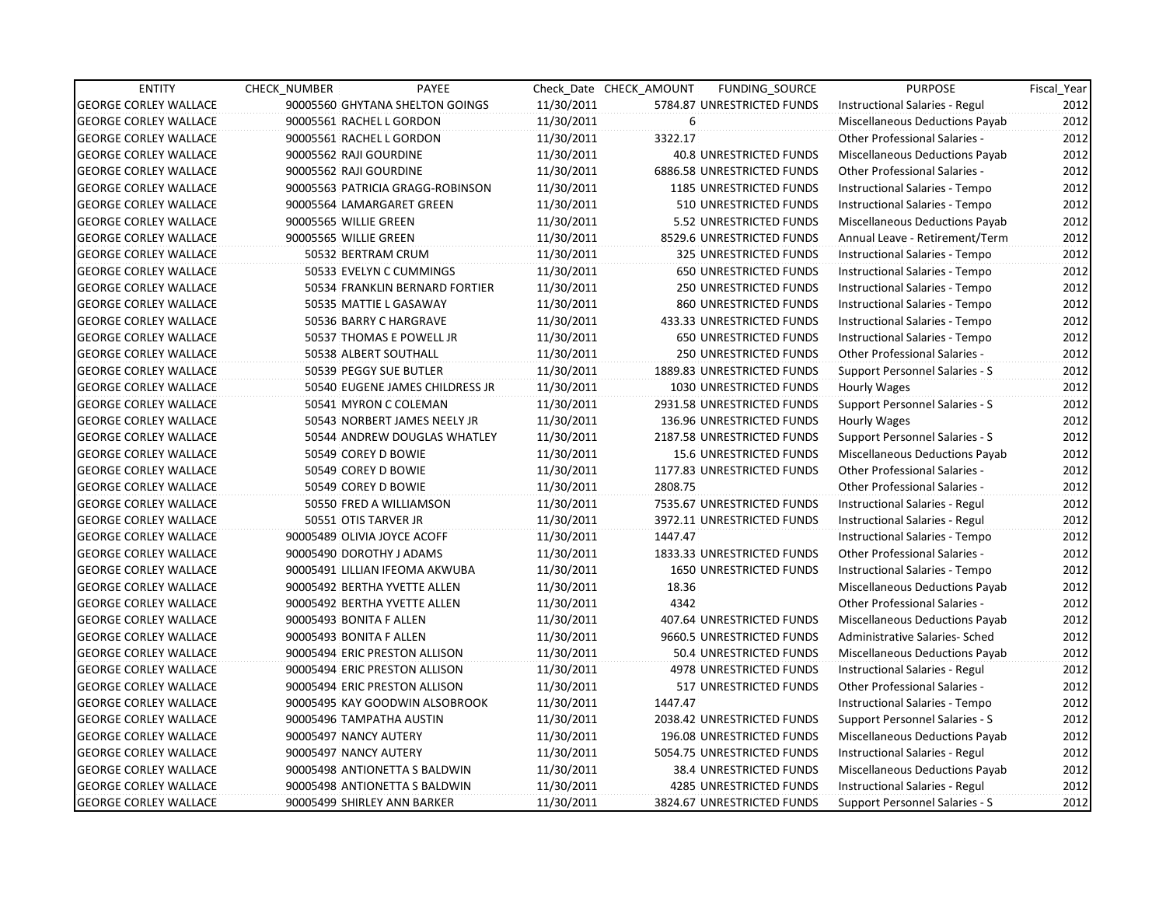| <b>ENTITY</b>                | <b>CHECK NUMBER</b>           | PAYEE                            |            | Check Date CHECK AMOUNT | FUNDING_SOURCE                 | <b>PURPOSE</b>                        | Fiscal Year |
|------------------------------|-------------------------------|----------------------------------|------------|-------------------------|--------------------------------|---------------------------------------|-------------|
| <b>GEORGE CORLEY WALLACE</b> |                               | 90005560 GHYTANA SHELTON GOINGS  | 11/30/2011 |                         | 5784.87 UNRESTRICTED FUNDS     | Instructional Salaries - Regul        | 2012        |
| <b>GEORGE CORLEY WALLACE</b> | 90005561 RACHEL L GORDON      |                                  | 11/30/2011 | 6                       |                                | Miscellaneous Deductions Payab        | 2012        |
| <b>GEORGE CORLEY WALLACE</b> | 90005561 RACHEL L GORDON      |                                  | 11/30/2011 | 3322.17                 |                                | <b>Other Professional Salaries -</b>  | 2012        |
| <b>GEORGE CORLEY WALLACE</b> | 90005562 RAJI GOURDINE        |                                  | 11/30/2011 |                         | <b>40.8 UNRESTRICTED FUNDS</b> | Miscellaneous Deductions Payab        | 2012        |
| <b>GEORGE CORLEY WALLACE</b> | 90005562 RAJI GOURDINE        |                                  | 11/30/2011 |                         | 6886.58 UNRESTRICTED FUNDS     | Other Professional Salaries -         | 2012        |
| <b>GEORGE CORLEY WALLACE</b> |                               | 90005563 PATRICIA GRAGG-ROBINSON | 11/30/2011 |                         | 1185 UNRESTRICTED FUNDS        | Instructional Salaries - Tempo        | 2012        |
| <b>GEORGE CORLEY WALLACE</b> | 90005564 LAMARGARET GREEN     |                                  | 11/30/2011 |                         | 510 UNRESTRICTED FUNDS         | Instructional Salaries - Tempo        | 2012        |
| <b>GEORGE CORLEY WALLACE</b> | 90005565 WILLIE GREEN         |                                  | 11/30/2011 |                         | 5.52 UNRESTRICTED FUNDS        | Miscellaneous Deductions Payab        | 2012        |
| <b>GEORGE CORLEY WALLACE</b> | 90005565 WILLIE GREEN         |                                  | 11/30/2011 |                         | 8529.6 UNRESTRICTED FUNDS      | Annual Leave - Retirement/Term        | 2012        |
| <b>GEORGE CORLEY WALLACE</b> | 50532 BERTRAM CRUM            |                                  | 11/30/2011 |                         | 325 UNRESTRICTED FUNDS         | Instructional Salaries - Tempo        | 2012        |
| <b>GEORGE CORLEY WALLACE</b> | 50533 EVELYN C CUMMINGS       |                                  | 11/30/2011 |                         | <b>650 UNRESTRICTED FUNDS</b>  | Instructional Salaries - Tempo        | 2012        |
| <b>GEORGE CORLEY WALLACE</b> |                               | 50534 FRANKLIN BERNARD FORTIER   | 11/30/2011 |                         | <b>250 UNRESTRICTED FUNDS</b>  | Instructional Salaries - Tempo        | 2012        |
| <b>GEORGE CORLEY WALLACE</b> | 50535 MATTIE L GASAWAY        |                                  | 11/30/2011 |                         | 860 UNRESTRICTED FUNDS         | Instructional Salaries - Tempo        | 2012        |
| <b>GEORGE CORLEY WALLACE</b> | 50536 BARRY C HARGRAVE        |                                  | 11/30/2011 |                         | 433.33 UNRESTRICTED FUNDS      | Instructional Salaries - Tempo        | 2012        |
| <b>GEORGE CORLEY WALLACE</b> |                               | 50537 THOMAS E POWELL JR         | 11/30/2011 |                         | 650 UNRESTRICTED FUNDS         | Instructional Salaries - Tempo        | 2012        |
| <b>GEORGE CORLEY WALLACE</b> | 50538 ALBERT SOUTHALL         |                                  | 11/30/2011 |                         | <b>250 UNRESTRICTED FUNDS</b>  | Other Professional Salaries -         | 2012        |
| <b>GEORGE CORLEY WALLACE</b> | 50539 PEGGY SUE BUTLER        |                                  | 11/30/2011 |                         | 1889.83 UNRESTRICTED FUNDS     | Support Personnel Salaries - S        | 2012        |
| <b>GEORGE CORLEY WALLACE</b> |                               | 50540 EUGENE JAMES CHILDRESS JR  | 11/30/2011 |                         | 1030 UNRESTRICTED FUNDS        | Hourly Wages                          | 2012        |
| <b>GEORGE CORLEY WALLACE</b> | 50541 MYRON C COLEMAN         |                                  | 11/30/2011 |                         | 2931.58 UNRESTRICTED FUNDS     | Support Personnel Salaries - S        | 2012        |
| <b>GEORGE CORLEY WALLACE</b> |                               | 50543 NORBERT JAMES NEELY JR     | 11/30/2011 |                         | 136.96 UNRESTRICTED FUNDS      | Hourly Wages                          | 2012        |
| <b>GEORGE CORLEY WALLACE</b> |                               | 50544 ANDREW DOUGLAS WHATLEY     | 11/30/2011 |                         | 2187.58 UNRESTRICTED FUNDS     | Support Personnel Salaries - S        | 2012        |
| <b>GEORGE CORLEY WALLACE</b> | 50549 COREY D BOWIE           |                                  | 11/30/2011 |                         | 15.6 UNRESTRICTED FUNDS        | Miscellaneous Deductions Payab        | 2012        |
| <b>GEORGE CORLEY WALLACE</b> | 50549 COREY D BOWIE           |                                  | 11/30/2011 |                         | 1177.83 UNRESTRICTED FUNDS     | Other Professional Salaries -         | 2012        |
| <b>GEORGE CORLEY WALLACE</b> | 50549 COREY D BOWIE           |                                  | 11/30/2011 | 2808.75                 |                                | Other Professional Salaries -         | 2012        |
| <b>GEORGE CORLEY WALLACE</b> | 50550 FRED A WILLIAMSON       |                                  | 11/30/2011 |                         | 7535.67 UNRESTRICTED FUNDS     | Instructional Salaries - Regul        | 2012        |
| <b>GEORGE CORLEY WALLACE</b> | 50551 OTIS TARVER JR          |                                  | 11/30/2011 |                         | 3972.11 UNRESTRICTED FUNDS     | Instructional Salaries - Regul        | 2012        |
| <b>GEORGE CORLEY WALLACE</b> | 90005489 OLIVIA JOYCE ACOFF   |                                  | 11/30/2011 | 1447.47                 |                                | Instructional Salaries - Tempo        | 2012        |
| <b>GEORGE CORLEY WALLACE</b> | 90005490 DOROTHY J ADAMS      |                                  | 11/30/2011 |                         | 1833.33 UNRESTRICTED FUNDS     | <b>Other Professional Salaries -</b>  | 2012        |
| <b>GEORGE CORLEY WALLACE</b> |                               | 90005491 LILLIAN IFEOMA AKWUBA   | 11/30/2011 |                         | 1650 UNRESTRICTED FUNDS        | Instructional Salaries - Tempo        | 2012        |
| <b>GEORGE CORLEY WALLACE</b> | 90005492 BERTHA YVETTE ALLEN  |                                  | 11/30/2011 | 18.36                   |                                | Miscellaneous Deductions Payab        | 2012        |
| <b>GEORGE CORLEY WALLACE</b> | 90005492 BERTHA YVETTE ALLEN  |                                  | 11/30/2011 | 4342                    |                                | <b>Other Professional Salaries -</b>  | 2012        |
| <b>GEORGE CORLEY WALLACE</b> | 90005493 BONITA F ALLEN       |                                  | 11/30/2011 |                         | 407.64 UNRESTRICTED FUNDS      | <b>Miscellaneous Deductions Payab</b> | 2012        |
| <b>GEORGE CORLEY WALLACE</b> | 90005493 BONITA F ALLEN       |                                  | 11/30/2011 |                         | 9660.5 UNRESTRICTED FUNDS      | Administrative Salaries- Sched        | 2012        |
| <b>GEORGE CORLEY WALLACE</b> | 90005494 ERIC PRESTON ALLISON |                                  | 11/30/2011 |                         | 50.4 UNRESTRICTED FUNDS        | Miscellaneous Deductions Payab        | 2012        |
| <b>GEORGE CORLEY WALLACE</b> | 90005494 ERIC PRESTON ALLISON |                                  | 11/30/2011 |                         | 4978 UNRESTRICTED FUNDS        | Instructional Salaries - Regul        | 2012        |
| <b>GEORGE CORLEY WALLACE</b> | 90005494 ERIC PRESTON ALLISON |                                  | 11/30/2011 |                         | 517 UNRESTRICTED FUNDS         | Other Professional Salaries -         | 2012        |
| <b>GEORGE CORLEY WALLACE</b> |                               | 90005495 KAY GOODWIN ALSOBROOK   | 11/30/2011 | 1447.47                 |                                | Instructional Salaries - Tempo        | 2012        |
| <b>GEORGE CORLEY WALLACE</b> | 90005496 TAMPATHA AUSTIN      |                                  | 11/30/2011 |                         | 2038.42 UNRESTRICTED FUNDS     | <b>Support Personnel Salaries - S</b> | 2012        |
| <b>GEORGE CORLEY WALLACE</b> | 90005497 NANCY AUTERY         |                                  | 11/30/2011 |                         | 196.08 UNRESTRICTED FUNDS      | Miscellaneous Deductions Payab        | 2012        |
| <b>GEORGE CORLEY WALLACE</b> | 90005497 NANCY AUTERY         |                                  | 11/30/2011 |                         | 5054.75 UNRESTRICTED FUNDS     | Instructional Salaries - Regul        | 2012        |
| <b>GEORGE CORLEY WALLACE</b> | 90005498 ANTIONETTA S BALDWIN |                                  | 11/30/2011 |                         | 38.4 UNRESTRICTED FUNDS        | Miscellaneous Deductions Payab        | 2012        |
| <b>GEORGE CORLEY WALLACE</b> | 90005498 ANTIONETTA S BALDWIN |                                  | 11/30/2011 |                         | 4285 UNRESTRICTED FUNDS        | Instructional Salaries - Regul        | 2012        |
| <b>GEORGE CORLEY WALLACE</b> | 90005499 SHIRLEY ANN BARKER   |                                  | 11/30/2011 |                         | 3824.67 UNRESTRICTED FUNDS     | Support Personnel Salaries - S        | 2012        |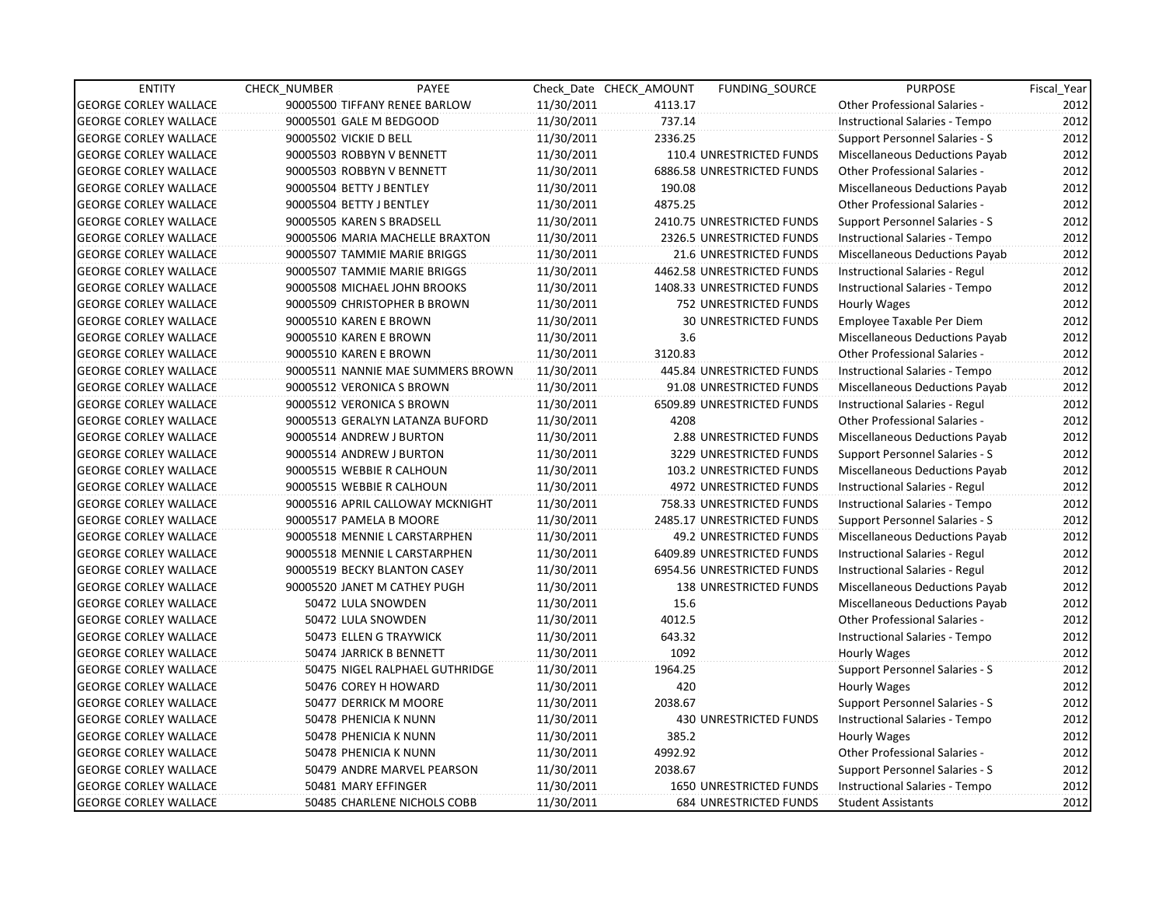| <b>ENTITY</b>                | <b>CHECK NUMBER</b>    | PAYEE                              |            | Check Date CHECK AMOUNT | <b>FUNDING SOURCE</b>         | <b>PURPOSE</b>                        | Fiscal_Year |
|------------------------------|------------------------|------------------------------------|------------|-------------------------|-------------------------------|---------------------------------------|-------------|
| <b>GEORGE CORLEY WALLACE</b> |                        | 90005500 TIFFANY RENEE BARLOW      | 11/30/2011 | 4113.17                 |                               | <b>Other Professional Salaries -</b>  | 2012        |
| <b>GEORGE CORLEY WALLACE</b> |                        | 90005501 GALE M BEDGOOD            | 11/30/2011 | 737.14                  |                               | Instructional Salaries - Tempo        | 2012        |
| <b>GEORGE CORLEY WALLACE</b> | 90005502 VICKIE D BELL |                                    | 11/30/2011 | 2336.25                 |                               | Support Personnel Salaries - S        | 2012        |
| <b>GEORGE CORLEY WALLACE</b> |                        | 90005503 ROBBYN V BENNETT          | 11/30/2011 |                         | 110.4 UNRESTRICTED FUNDS      | <b>Miscellaneous Deductions Payab</b> | 2012        |
| <b>GEORGE CORLEY WALLACE</b> |                        | 90005503 ROBBYN V BENNETT          | 11/30/2011 |                         | 6886.58 UNRESTRICTED FUNDS    | <b>Other Professional Salaries -</b>  | 2012        |
| <b>GEORGE CORLEY WALLACE</b> |                        | 90005504 BETTY J BENTLEY           | 11/30/2011 | 190.08                  |                               | <b>Miscellaneous Deductions Payab</b> | 2012        |
| <b>GEORGE CORLEY WALLACE</b> |                        | 90005504 BETTY J BENTLEY           | 11/30/2011 | 4875.25                 |                               | <b>Other Professional Salaries -</b>  | 2012        |
| <b>GEORGE CORLEY WALLACE</b> |                        | 90005505 KAREN S BRADSELL          | 11/30/2011 |                         | 2410.75 UNRESTRICTED FUNDS    | <b>Support Personnel Salaries - S</b> | 2012        |
| <b>GEORGE CORLEY WALLACE</b> |                        | 90005506 MARIA MACHELLE BRAXTON    | 11/30/2011 |                         | 2326.5 UNRESTRICTED FUNDS     | Instructional Salaries - Tempo        | 2012        |
| <b>GEORGE CORLEY WALLACE</b> |                        | 90005507 TAMMIE MARIE BRIGGS       | 11/30/2011 |                         | 21.6 UNRESTRICTED FUNDS       | Miscellaneous Deductions Payab        | 2012        |
| <b>GEORGE CORLEY WALLACE</b> |                        | 90005507 TAMMIE MARIE BRIGGS       | 11/30/2011 |                         | 4462.58 UNRESTRICTED FUNDS    | Instructional Salaries - Regul        | 2012        |
| <b>GEORGE CORLEY WALLACE</b> |                        | 90005508 MICHAEL JOHN BROOKS       | 11/30/2011 |                         | 1408.33 UNRESTRICTED FUNDS    | Instructional Salaries - Tempo        | 2012        |
| <b>GEORGE CORLEY WALLACE</b> |                        | 90005509 CHRISTOPHER B BROWN       | 11/30/2011 |                         | 752 UNRESTRICTED FUNDS        | Hourly Wages                          | 2012        |
| <b>GEORGE CORLEY WALLACE</b> |                        | 90005510 KAREN E BROWN             | 11/30/2011 |                         | <b>30 UNRESTRICTED FUNDS</b>  | Employee Taxable Per Diem             | 2012        |
| <b>GEORGE CORLEY WALLACE</b> |                        | 90005510 KAREN E BROWN             | 11/30/2011 | 3.6                     |                               | Miscellaneous Deductions Payab        | 2012        |
| <b>GEORGE CORLEY WALLACE</b> |                        | 90005510 KAREN E BROWN             | 11/30/2011 | 3120.83                 |                               | <b>Other Professional Salaries -</b>  | 2012        |
| <b>GEORGE CORLEY WALLACE</b> |                        | 90005511 NANNIE MAE SUMMERS BROWN  | 11/30/2011 |                         | 445.84 UNRESTRICTED FUNDS     | Instructional Salaries - Tempo        | 2012        |
| <b>GEORGE CORLEY WALLACE</b> |                        | 90005512 VERONICA S BROWN          | 11/30/2011 |                         | 91.08 UNRESTRICTED FUNDS      | Miscellaneous Deductions Payab        | 2012        |
| <b>GEORGE CORLEY WALLACE</b> |                        | 90005512 VERONICA S BROWN          | 11/30/2011 |                         | 6509.89 UNRESTRICTED FUNDS    | Instructional Salaries - Regul        | 2012        |
| <b>GEORGE CORLEY WALLACE</b> |                        | 90005513 GERALYN LATANZA BUFORD    | 11/30/2011 | 4208                    |                               | Other Professional Salaries -         | 2012        |
| <b>GEORGE CORLEY WALLACE</b> |                        | 90005514 ANDREW J BURTON           | 11/30/2011 |                         | 2.88 UNRESTRICTED FUNDS       | Miscellaneous Deductions Payab        | 2012        |
| <b>GEORGE CORLEY WALLACE</b> |                        | 90005514 ANDREW J BURTON           | 11/30/2011 |                         | 3229 UNRESTRICTED FUNDS       | Support Personnel Salaries - S        | 2012        |
| <b>GEORGE CORLEY WALLACE</b> |                        | 90005515 WEBBIE R CALHOUN          | 11/30/2011 |                         | 103.2 UNRESTRICTED FUNDS      | Miscellaneous Deductions Payab        | 2012        |
| <b>GEORGE CORLEY WALLACE</b> |                        | 90005515 WEBBIE R CALHOUN          | 11/30/2011 |                         | 4972 UNRESTRICTED FUNDS       | Instructional Salaries - Regul        | 2012        |
| <b>GEORGE CORLEY WALLACE</b> |                        | 90005516 APRIL CALLOWAY MCKNIGHT   | 11/30/2011 |                         | 758.33 UNRESTRICTED FUNDS     | Instructional Salaries - Tempo        | 2012        |
| <b>GEORGE CORLEY WALLACE</b> |                        | 90005517 PAMELA B MOORE            | 11/30/2011 |                         | 2485.17 UNRESTRICTED FUNDS    | Support Personnel Salaries - S        | 2012        |
| <b>GEORGE CORLEY WALLACE</b> |                        | 90005518 MENNIE L CARSTARPHEN      | 11/30/2011 |                         | 49.2 UNRESTRICTED FUNDS       | Miscellaneous Deductions Payab        | 2012        |
| <b>GEORGE CORLEY WALLACE</b> |                        | 90005518 MENNIE L CARSTARPHEN      | 11/30/2011 |                         | 6409.89 UNRESTRICTED FUNDS    | Instructional Salaries - Regul        | 2012        |
| <b>GEORGE CORLEY WALLACE</b> |                        | 90005519 BECKY BLANTON CASEY       | 11/30/2011 |                         | 6954.56 UNRESTRICTED FUNDS    | Instructional Salaries - Regul        | 2012        |
| <b>GEORGE CORLEY WALLACE</b> |                        | 90005520 JANET M CATHEY PUGH       | 11/30/2011 |                         | <b>138 UNRESTRICTED FUNDS</b> | Miscellaneous Deductions Payab        | 2012        |
| <b>GEORGE CORLEY WALLACE</b> |                        | 50472 LULA SNOWDEN                 | 11/30/2011 | 15.6                    |                               | Miscellaneous Deductions Payab        | 2012        |
| <b>GEORGE CORLEY WALLACE</b> |                        | 50472 LULA SNOWDEN                 | 11/30/2011 | 4012.5                  |                               | <b>Other Professional Salaries -</b>  | 2012        |
| <b>GEORGE CORLEY WALLACE</b> |                        | 50473 ELLEN G TRAYWICK             | 11/30/2011 | 643.32                  |                               | Instructional Salaries - Tempo        | 2012        |
| <b>GEORGE CORLEY WALLACE</b> |                        | 50474 JARRICK B BENNETT            | 11/30/2011 | 1092                    |                               | Hourly Wages                          | 2012        |
| <b>GEORGE CORLEY WALLACE</b> |                        | 50475 NIGEL RALPHAEL GUTHRIDGE     | 11/30/2011 | 1964.25                 |                               | Support Personnel Salaries - S        | 2012        |
| <b>GEORGE CORLEY WALLACE</b> |                        | 50476 COREY H HOWARD               | 11/30/2011 | 420                     |                               | Hourly Wages                          | 2012        |
| <b>GEORGE CORLEY WALLACE</b> |                        | 50477 DERRICK M MOORE              | 11/30/2011 | 2038.67                 |                               | Support Personnel Salaries - S        | 2012        |
| <b>GEORGE CORLEY WALLACE</b> |                        | 50478 PHENICIA K NUNN              | 11/30/2011 |                         | 430 UNRESTRICTED FUNDS        | <b>Instructional Salaries - Tempo</b> | 2012        |
| <b>GEORGE CORLEY WALLACE</b> |                        | 50478 PHENICIA K NUNN              | 11/30/2011 | 385.2                   |                               | Hourly Wages                          | 2012        |
| <b>GEORGE CORLEY WALLACE</b> |                        | 50478 PHENICIA K NUNN              | 11/30/2011 | 4992.92                 |                               | Other Professional Salaries -         | 2012        |
| <b>GEORGE CORLEY WALLACE</b> |                        | 50479 ANDRE MARVEL PEARSON         | 11/30/2011 | 2038.67                 |                               | Support Personnel Salaries - S        | 2012        |
| <b>GEORGE CORLEY WALLACE</b> |                        | 50481 MARY EFFINGER                | 11/30/2011 |                         | 1650 UNRESTRICTED FUNDS       | Instructional Salaries - Tempo        | 2012        |
| <b>GEORGE CORLEY WALLACE</b> |                        | <b>50485 CHARLENE NICHOLS COBB</b> | 11/30/2011 |                         | <b>684 UNRESTRICTED FUNDS</b> | <b>Student Assistants</b>             | 2012        |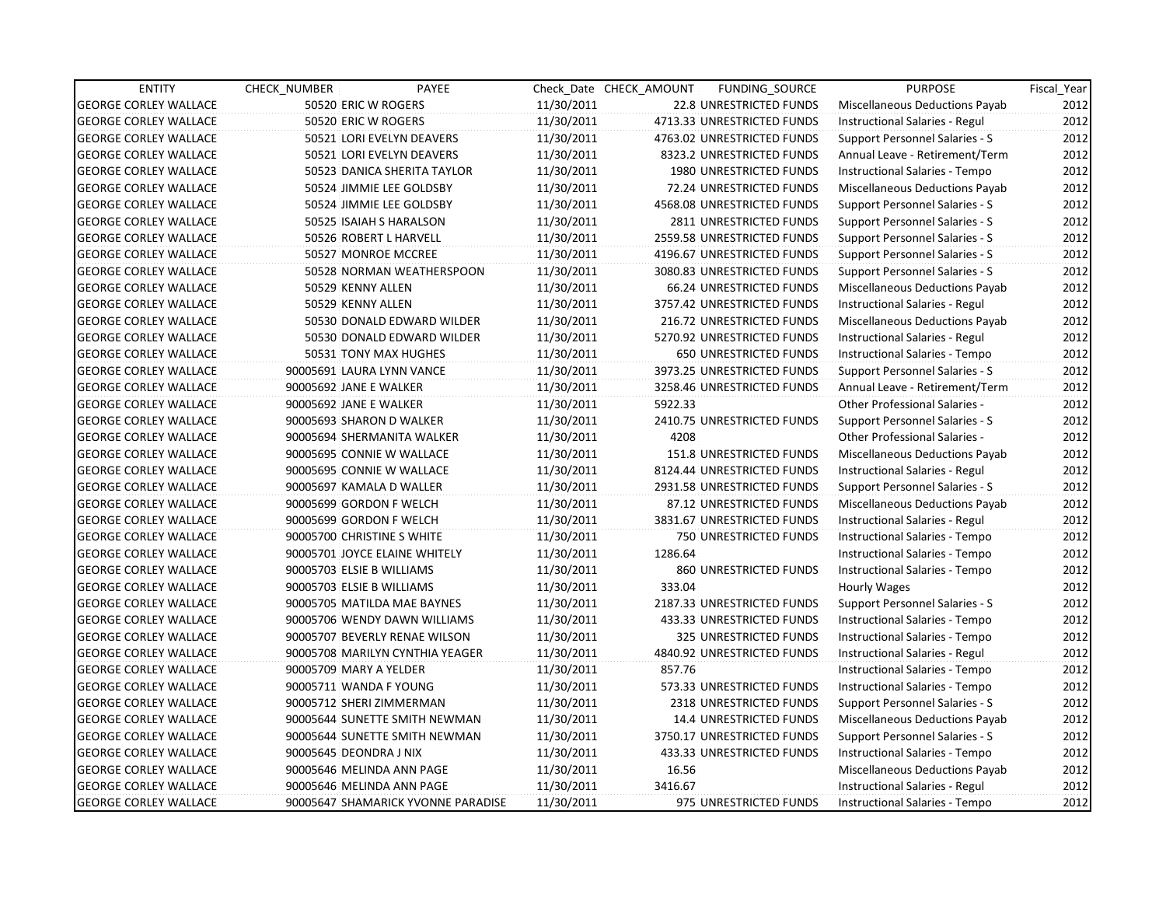| <b>ENTITY</b>                | <b>CHECK NUMBER</b>        | PAYEE                              |            | Check Date CHECK AMOUNT | FUNDING_SOURCE             | <b>PURPOSE</b>                        | Fiscal Year |
|------------------------------|----------------------------|------------------------------------|------------|-------------------------|----------------------------|---------------------------------------|-------------|
| <b>GEORGE CORLEY WALLACE</b> | 50520 ERIC W ROGERS        |                                    | 11/30/2011 |                         | 22.8 UNRESTRICTED FUNDS    | Miscellaneous Deductions Payab        | 2012        |
| <b>GEORGE CORLEY WALLACE</b> | 50520 ERIC W ROGERS        |                                    | 11/30/2011 |                         | 4713.33 UNRESTRICTED FUNDS | Instructional Salaries - Regul        | 2012        |
| <b>GEORGE CORLEY WALLACE</b> |                            | 50521 LORI EVELYN DEAVERS          | 11/30/2011 |                         | 4763.02 UNRESTRICTED FUNDS | Support Personnel Salaries - S        | 2012        |
| <b>GEORGE CORLEY WALLACE</b> |                            | 50521 LORI EVELYN DEAVERS          | 11/30/2011 |                         | 8323.2 UNRESTRICTED FUNDS  | Annual Leave - Retirement/Term        | 2012        |
| <b>GEORGE CORLEY WALLACE</b> |                            | 50523 DANICA SHERITA TAYLOR        | 11/30/2011 |                         | 1980 UNRESTRICTED FUNDS    | Instructional Salaries - Tempo        | 2012        |
| <b>GEORGE CORLEY WALLACE</b> |                            | 50524 JIMMIE LEE GOLDSBY           | 11/30/2011 |                         | 72.24 UNRESTRICTED FUNDS   | Miscellaneous Deductions Payab        | 2012        |
| <b>GEORGE CORLEY WALLACE</b> |                            | 50524 JIMMIE LEE GOLDSBY           | 11/30/2011 |                         | 4568.08 UNRESTRICTED FUNDS | Support Personnel Salaries - S        | 2012        |
| <b>GEORGE CORLEY WALLACE</b> |                            | 50525 ISAIAH S HARALSON            | 11/30/2011 |                         | 2811 UNRESTRICTED FUNDS    | Support Personnel Salaries - S        | 2012        |
| <b>GEORGE CORLEY WALLACE</b> | 50526 ROBERT L HARVELL     |                                    | 11/30/2011 |                         | 2559.58 UNRESTRICTED FUNDS | <b>Support Personnel Salaries - S</b> | 2012        |
| <b>GEORGE CORLEY WALLACE</b> | 50527 MONROE MCCREE        |                                    | 11/30/2011 |                         | 4196.67 UNRESTRICTED FUNDS | Support Personnel Salaries - S        | 2012        |
| <b>GEORGE CORLEY WALLACE</b> |                            | 50528 NORMAN WEATHERSPOON          | 11/30/2011 |                         | 3080.83 UNRESTRICTED FUNDS | Support Personnel Salaries - S        | 2012        |
| <b>GEORGE CORLEY WALLACE</b> | 50529 KENNY ALLEN          |                                    | 11/30/2011 |                         | 66.24 UNRESTRICTED FUNDS   | Miscellaneous Deductions Payab        | 2012        |
| <b>GEORGE CORLEY WALLACE</b> | 50529 KENNY ALLEN          |                                    | 11/30/2011 |                         | 3757.42 UNRESTRICTED FUNDS | Instructional Salaries - Regul        | 2012        |
| <b>GEORGE CORLEY WALLACE</b> |                            | 50530 DONALD EDWARD WILDER         | 11/30/2011 |                         | 216.72 UNRESTRICTED FUNDS  | Miscellaneous Deductions Payab        | 2012        |
| <b>GEORGE CORLEY WALLACE</b> |                            | 50530 DONALD EDWARD WILDER         | 11/30/2011 |                         | 5270.92 UNRESTRICTED FUNDS | Instructional Salaries - Regul        | 2012        |
| <b>GEORGE CORLEY WALLACE</b> |                            | 50531 TONY MAX HUGHES              | 11/30/2011 |                         | 650 UNRESTRICTED FUNDS     | Instructional Salaries - Tempo        | 2012        |
| <b>GEORGE CORLEY WALLACE</b> | 90005691 LAURA LYNN VANCE  |                                    | 11/30/2011 |                         | 3973.25 UNRESTRICTED FUNDS | Support Personnel Salaries - S        | 2012        |
| <b>GEORGE CORLEY WALLACE</b> | 90005692 JANE E WALKER     |                                    | 11/30/2011 |                         | 3258.46 UNRESTRICTED FUNDS | Annual Leave - Retirement/Term        | 2012        |
| <b>GEORGE CORLEY WALLACE</b> | 90005692 JANE E WALKER     |                                    | 11/30/2011 | 5922.33                 |                            | <b>Other Professional Salaries -</b>  | 2012        |
| <b>GEORGE CORLEY WALLACE</b> | 90005693 SHARON D WALKER   |                                    | 11/30/2011 |                         | 2410.75 UNRESTRICTED FUNDS | Support Personnel Salaries - S        | 2012        |
| <b>GEORGE CORLEY WALLACE</b> | 90005694 SHERMANITA WALKER |                                    | 11/30/2011 | 4208                    |                            | <b>Other Professional Salaries -</b>  | 2012        |
| <b>GEORGE CORLEY WALLACE</b> | 90005695 CONNIE W WALLACE  |                                    | 11/30/2011 |                         | 151.8 UNRESTRICTED FUNDS   | Miscellaneous Deductions Payab        | 2012        |
| <b>GEORGE CORLEY WALLACE</b> | 90005695 CONNIE W WALLACE  |                                    | 11/30/2011 |                         | 8124.44 UNRESTRICTED FUNDS | Instructional Salaries - Regul        | 2012        |
| <b>GEORGE CORLEY WALLACE</b> | 90005697 KAMALA D WALLER   |                                    | 11/30/2011 |                         | 2931.58 UNRESTRICTED FUNDS | <b>Support Personnel Salaries - S</b> | 2012        |
| <b>GEORGE CORLEY WALLACE</b> | 90005699 GORDON F WELCH    |                                    | 11/30/2011 |                         | 87.12 UNRESTRICTED FUNDS   | Miscellaneous Deductions Payab        | 2012        |
| <b>GEORGE CORLEY WALLACE</b> | 90005699 GORDON F WELCH    |                                    | 11/30/2011 |                         | 3831.67 UNRESTRICTED FUNDS | Instructional Salaries - Regul        | 2012        |
| <b>GEORGE CORLEY WALLACE</b> | 90005700 CHRISTINE S WHITE |                                    | 11/30/2011 |                         | 750 UNRESTRICTED FUNDS     | Instructional Salaries - Tempo        | 2012        |
| <b>GEORGE CORLEY WALLACE</b> |                            | 90005701 JOYCE ELAINE WHITELY      | 11/30/2011 | 1286.64                 |                            | Instructional Salaries - Tempo        | 2012        |
| <b>GEORGE CORLEY WALLACE</b> | 90005703 ELSIE B WILLIAMS  |                                    | 11/30/2011 |                         | 860 UNRESTRICTED FUNDS     | Instructional Salaries - Tempo        | 2012        |
| <b>GEORGE CORLEY WALLACE</b> | 90005703 ELSIE B WILLIAMS  |                                    | 11/30/2011 | 333.04                  |                            | Hourly Wages                          | 2012        |
| <b>GEORGE CORLEY WALLACE</b> |                            | 90005705 MATILDA MAE BAYNES        | 11/30/2011 |                         | 2187.33 UNRESTRICTED FUNDS | Support Personnel Salaries - S        | 2012        |
| <b>GEORGE CORLEY WALLACE</b> |                            | 90005706 WENDY DAWN WILLIAMS       | 11/30/2011 |                         | 433.33 UNRESTRICTED FUNDS  | Instructional Salaries - Tempo        | 2012        |
| <b>GEORGE CORLEY WALLACE</b> |                            | 90005707 BEVERLY RENAE WILSON      | 11/30/2011 |                         | 325 UNRESTRICTED FUNDS     | Instructional Salaries - Tempo        | 2012        |
| <b>GEORGE CORLEY WALLACE</b> |                            | 90005708 MARILYN CYNTHIA YEAGER    | 11/30/2011 |                         | 4840.92 UNRESTRICTED FUNDS | Instructional Salaries - Regul        | 2012        |
| <b>GEORGE CORLEY WALLACE</b> | 90005709 MARY A YELDER     |                                    | 11/30/2011 | 857.76                  |                            | Instructional Salaries - Tempo        | 2012        |
| <b>GEORGE CORLEY WALLACE</b> | 90005711 WANDA F YOUNG     |                                    | 11/30/2011 |                         | 573.33 UNRESTRICTED FUNDS  | Instructional Salaries - Tempo        | 2012        |
| <b>GEORGE CORLEY WALLACE</b> | 90005712 SHERI ZIMMERMAN   |                                    | 11/30/2011 |                         | 2318 UNRESTRICTED FUNDS    | Support Personnel Salaries - S        | 2012        |
| <b>GEORGE CORLEY WALLACE</b> |                            | 90005644 SUNETTE SMITH NEWMAN      | 11/30/2011 |                         | 14.4 UNRESTRICTED FUNDS    | Miscellaneous Deductions Payab        | 2012        |
| <b>GEORGE CORLEY WALLACE</b> |                            | 90005644 SUNETTE SMITH NEWMAN      | 11/30/2011 |                         | 3750.17 UNRESTRICTED FUNDS | Support Personnel Salaries - S        | 2012        |
| <b>GEORGE CORLEY WALLACE</b> | 90005645 DEONDRA J NIX     |                                    | 11/30/2011 |                         | 433.33 UNRESTRICTED FUNDS  | Instructional Salaries - Tempo        | 2012        |
| <b>GEORGE CORLEY WALLACE</b> | 90005646 MELINDA ANN PAGE  |                                    | 11/30/2011 | 16.56                   |                            | Miscellaneous Deductions Payab        | 2012        |
| <b>GEORGE CORLEY WALLACE</b> | 90005646 MELINDA ANN PAGE  |                                    | 11/30/2011 | 3416.67                 |                            | Instructional Salaries - Regul        | 2012        |
| <b>GEORGE CORLEY WALLACE</b> |                            | 90005647 SHAMARICK YVONNE PARADISE | 11/30/2011 |                         | 975 UNRESTRICTED FUNDS     | Instructional Salaries - Tempo        | 2012        |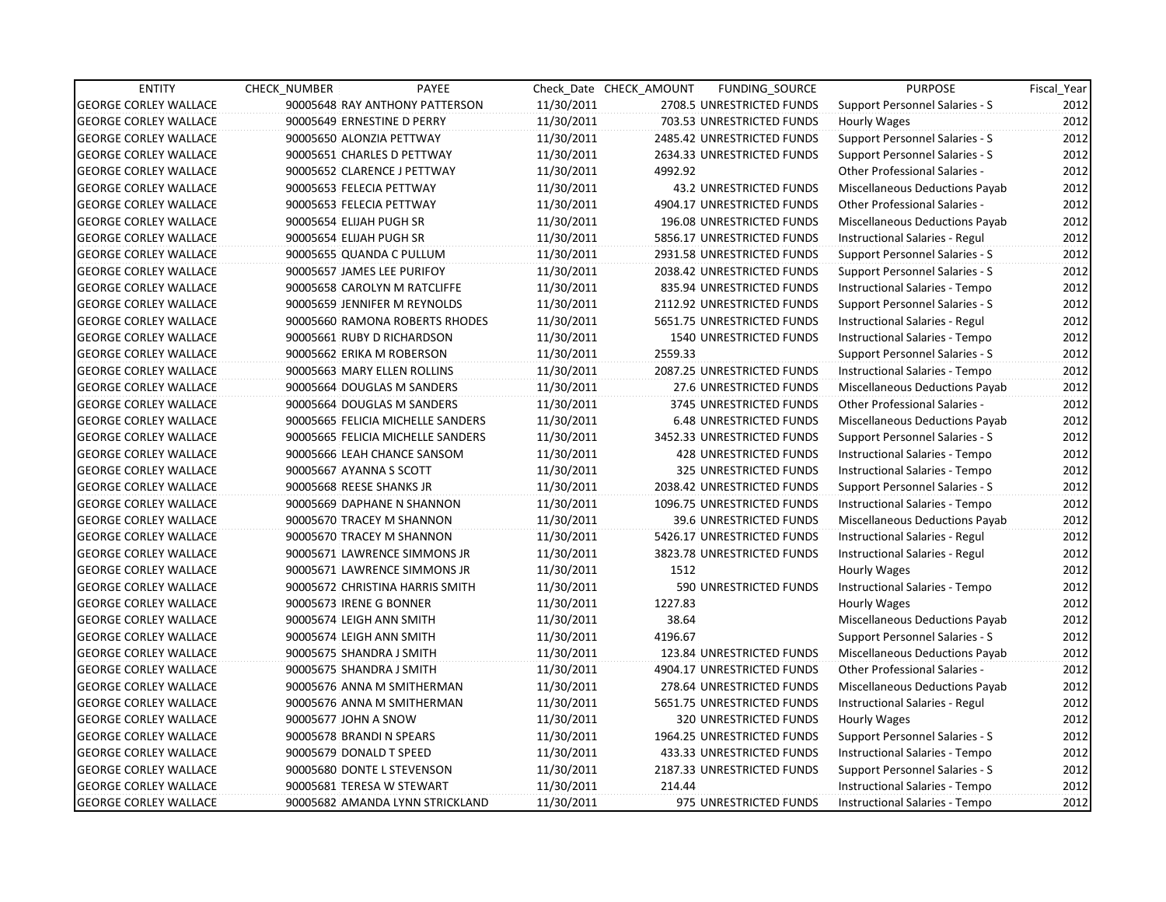| <b>ENTITY</b>                | <b>CHECK NUMBER</b>        | PAYEE                             |            | Check Date CHECK AMOUNT | FUNDING_SOURCE                 | <b>PURPOSE</b>                        | Fiscal Year |
|------------------------------|----------------------------|-----------------------------------|------------|-------------------------|--------------------------------|---------------------------------------|-------------|
| <b>GEORGE CORLEY WALLACE</b> |                            | 90005648 RAY ANTHONY PATTERSON    | 11/30/2011 |                         | 2708.5 UNRESTRICTED FUNDS      | Support Personnel Salaries - S        | 2012        |
| <b>GEORGE CORLEY WALLACE</b> | 90005649 ERNESTINE D PERRY |                                   | 11/30/2011 |                         | 703.53 UNRESTRICTED FUNDS      | Hourly Wages                          | 2012        |
| <b>GEORGE CORLEY WALLACE</b> | 90005650 ALONZIA PETTWAY   |                                   | 11/30/2011 |                         | 2485.42 UNRESTRICTED FUNDS     | <b>Support Personnel Salaries - S</b> | 2012        |
| <b>GEORGE CORLEY WALLACE</b> |                            | 90005651 CHARLES D PETTWAY        | 11/30/2011 |                         | 2634.33 UNRESTRICTED FUNDS     | <b>Support Personnel Salaries - S</b> | 2012        |
| <b>GEORGE CORLEY WALLACE</b> |                            | 90005652 CLARENCE J PETTWAY       | 11/30/2011 | 4992.92                 |                                | <b>Other Professional Salaries -</b>  | 2012        |
| <b>GEORGE CORLEY WALLACE</b> | 90005653 FELECIA PETTWAY   |                                   | 11/30/2011 |                         | 43.2 UNRESTRICTED FUNDS        | Miscellaneous Deductions Payab        | 2012        |
| <b>GEORGE CORLEY WALLACE</b> | 90005653 FELECIA PETTWAY   |                                   | 11/30/2011 |                         | 4904.17 UNRESTRICTED FUNDS     | Other Professional Salaries -         | 2012        |
| <b>GEORGE CORLEY WALLACE</b> | 90005654 ELIJAH PUGH SR    |                                   | 11/30/2011 |                         | 196.08 UNRESTRICTED FUNDS      | Miscellaneous Deductions Payab        | 2012        |
| <b>GEORGE CORLEY WALLACE</b> | 90005654 ELIJAH PUGH SR    |                                   | 11/30/2011 |                         | 5856.17 UNRESTRICTED FUNDS     | Instructional Salaries - Regul        | 2012        |
| <b>GEORGE CORLEY WALLACE</b> | 90005655 QUANDA C PULLUM   |                                   | 11/30/2011 |                         | 2931.58 UNRESTRICTED FUNDS     | Support Personnel Salaries - S        | 2012        |
| <b>GEORGE CORLEY WALLACE</b> | 90005657 JAMES LEE PURIFOY |                                   | 11/30/2011 |                         | 2038.42 UNRESTRICTED FUNDS     | Support Personnel Salaries - S        | 2012        |
| <b>GEORGE CORLEY WALLACE</b> |                            | 90005658 CAROLYN M RATCLIFFE      | 11/30/2011 |                         | 835.94 UNRESTRICTED FUNDS      | Instructional Salaries - Tempo        | 2012        |
| <b>GEORGE CORLEY WALLACE</b> |                            | 90005659 JENNIFER M REYNOLDS      | 11/30/2011 |                         | 2112.92 UNRESTRICTED FUNDS     | Support Personnel Salaries - S        | 2012        |
| <b>GEORGE CORLEY WALLACE</b> |                            | 90005660 RAMONA ROBERTS RHODES    | 11/30/2011 |                         | 5651.75 UNRESTRICTED FUNDS     | Instructional Salaries - Regul        | 2012        |
| <b>GEORGE CORLEY WALLACE</b> |                            | 90005661 RUBY D RICHARDSON        | 11/30/2011 |                         | 1540 UNRESTRICTED FUNDS        | Instructional Salaries - Tempo        | 2012        |
| <b>GEORGE CORLEY WALLACE</b> | 90005662 ERIKA M ROBERSON  |                                   | 11/30/2011 | 2559.33                 |                                | Support Personnel Salaries - S        | 2012        |
| <b>GEORGE CORLEY WALLACE</b> |                            | 90005663 MARY ELLEN ROLLINS       | 11/30/2011 |                         | 2087.25 UNRESTRICTED FUNDS     | Instructional Salaries - Tempo        | 2012        |
| <b>GEORGE CORLEY WALLACE</b> |                            | 90005664 DOUGLAS M SANDERS        | 11/30/2011 |                         | 27.6 UNRESTRICTED FUNDS        | Miscellaneous Deductions Payab        | 2012        |
| <b>GEORGE CORLEY WALLACE</b> |                            | 90005664 DOUGLAS M SANDERS        | 11/30/2011 |                         | 3745 UNRESTRICTED FUNDS        | Other Professional Salaries -         | 2012        |
| <b>GEORGE CORLEY WALLACE</b> |                            | 90005665 FELICIA MICHELLE SANDERS | 11/30/2011 |                         | <b>6.48 UNRESTRICTED FUNDS</b> | Miscellaneous Deductions Payab        | 2012        |
| <b>GEORGE CORLEY WALLACE</b> |                            | 90005665 FELICIA MICHELLE SANDERS | 11/30/2011 |                         | 3452.33 UNRESTRICTED FUNDS     | Support Personnel Salaries - S        | 2012        |
| <b>GEORGE CORLEY WALLACE</b> |                            | 90005666 LEAH CHANCE SANSOM       | 11/30/2011 |                         | 428 UNRESTRICTED FUNDS         | Instructional Salaries - Tempo        | 2012        |
| <b>GEORGE CORLEY WALLACE</b> | 90005667 AYANNA S SCOTT    |                                   | 11/30/2011 |                         | 325 UNRESTRICTED FUNDS         | Instructional Salaries - Tempo        | 2012        |
| <b>GEORGE CORLEY WALLACE</b> | 90005668 REESE SHANKS JR   |                                   | 11/30/2011 |                         | 2038.42 UNRESTRICTED FUNDS     | <b>Support Personnel Salaries - S</b> | 2012        |
| <b>GEORGE CORLEY WALLACE</b> |                            | 90005669 DAPHANE N SHANNON        | 11/30/2011 |                         | 1096.75 UNRESTRICTED FUNDS     | Instructional Salaries - Tempo        | 2012        |
| <b>GEORGE CORLEY WALLACE</b> |                            | 90005670 TRACEY M SHANNON         | 11/30/2011 |                         | 39.6 UNRESTRICTED FUNDS        | Miscellaneous Deductions Payab        | 2012        |
| <b>GEORGE CORLEY WALLACE</b> |                            | 90005670 TRACEY M SHANNON         | 11/30/2011 |                         | 5426.17 UNRESTRICTED FUNDS     | Instructional Salaries - Regul        | 2012        |
| <b>GEORGE CORLEY WALLACE</b> |                            | 90005671 LAWRENCE SIMMONS JR      | 11/30/2011 |                         | 3823.78 UNRESTRICTED FUNDS     | Instructional Salaries - Regul        | 2012        |
| <b>GEORGE CORLEY WALLACE</b> |                            | 90005671 LAWRENCE SIMMONS JR      | 11/30/2011 | 1512                    |                                | Hourly Wages                          | 2012        |
| <b>GEORGE CORLEY WALLACE</b> |                            | 90005672 CHRISTINA HARRIS SMITH   | 11/30/2011 |                         | 590 UNRESTRICTED FUNDS         | Instructional Salaries - Tempo        | 2012        |
| <b>GEORGE CORLEY WALLACE</b> | 90005673 IRENE G BONNER    |                                   | 11/30/2011 | 1227.83                 |                                | Hourly Wages                          | 2012        |
| <b>GEORGE CORLEY WALLACE</b> | 90005674 LEIGH ANN SMITH   |                                   | 11/30/2011 | 38.64                   |                                | Miscellaneous Deductions Payab        | 2012        |
| <b>GEORGE CORLEY WALLACE</b> | 90005674 LEIGH ANN SMITH   |                                   | 11/30/2011 | 4196.67                 |                                | Support Personnel Salaries - S        | 2012        |
| <b>GEORGE CORLEY WALLACE</b> | 90005675 SHANDRA J SMITH   |                                   | 11/30/2011 |                         | 123.84 UNRESTRICTED FUNDS      | Miscellaneous Deductions Payab        | 2012        |
| <b>GEORGE CORLEY WALLACE</b> | 90005675 SHANDRA J SMITH   |                                   | 11/30/2011 |                         | 4904.17 UNRESTRICTED FUNDS     | <b>Other Professional Salaries -</b>  | 2012        |
| <b>GEORGE CORLEY WALLACE</b> |                            | 90005676 ANNA M SMITHERMAN        | 11/30/2011 |                         | 278.64 UNRESTRICTED FUNDS      | Miscellaneous Deductions Payab        | 2012        |
| <b>GEORGE CORLEY WALLACE</b> |                            | 90005676 ANNA M SMITHERMAN        | 11/30/2011 |                         | 5651.75 UNRESTRICTED FUNDS     | Instructional Salaries - Regul        | 2012        |
| <b>GEORGE CORLEY WALLACE</b> | 90005677 JOHN A SNOW       |                                   | 11/30/2011 |                         | 320 UNRESTRICTED FUNDS         | Hourly Wages                          | 2012        |
| <b>GEORGE CORLEY WALLACE</b> | 90005678 BRANDI N SPEARS   |                                   | 11/30/2011 |                         | 1964.25 UNRESTRICTED FUNDS     | Support Personnel Salaries - S        | 2012        |
| <b>GEORGE CORLEY WALLACE</b> | 90005679 DONALD T SPEED    |                                   | 11/30/2011 |                         | 433.33 UNRESTRICTED FUNDS      | Instructional Salaries - Tempo        | 2012        |
| <b>GEORGE CORLEY WALLACE</b> |                            | 90005680 DONTE L STEVENSON        | 11/30/2011 |                         | 2187.33 UNRESTRICTED FUNDS     | Support Personnel Salaries - S        | 2012        |
| <b>GEORGE CORLEY WALLACE</b> | 90005681 TERESA W STEWART  |                                   | 11/30/2011 | 214.44                  |                                | Instructional Salaries - Tempo        | 2012        |
| <b>GEORGE CORLEY WALLACE</b> |                            | 90005682 AMANDA LYNN STRICKLAND   | 11/30/2011 |                         | 975 UNRESTRICTED FUNDS         | Instructional Salaries - Tempo        | 2012        |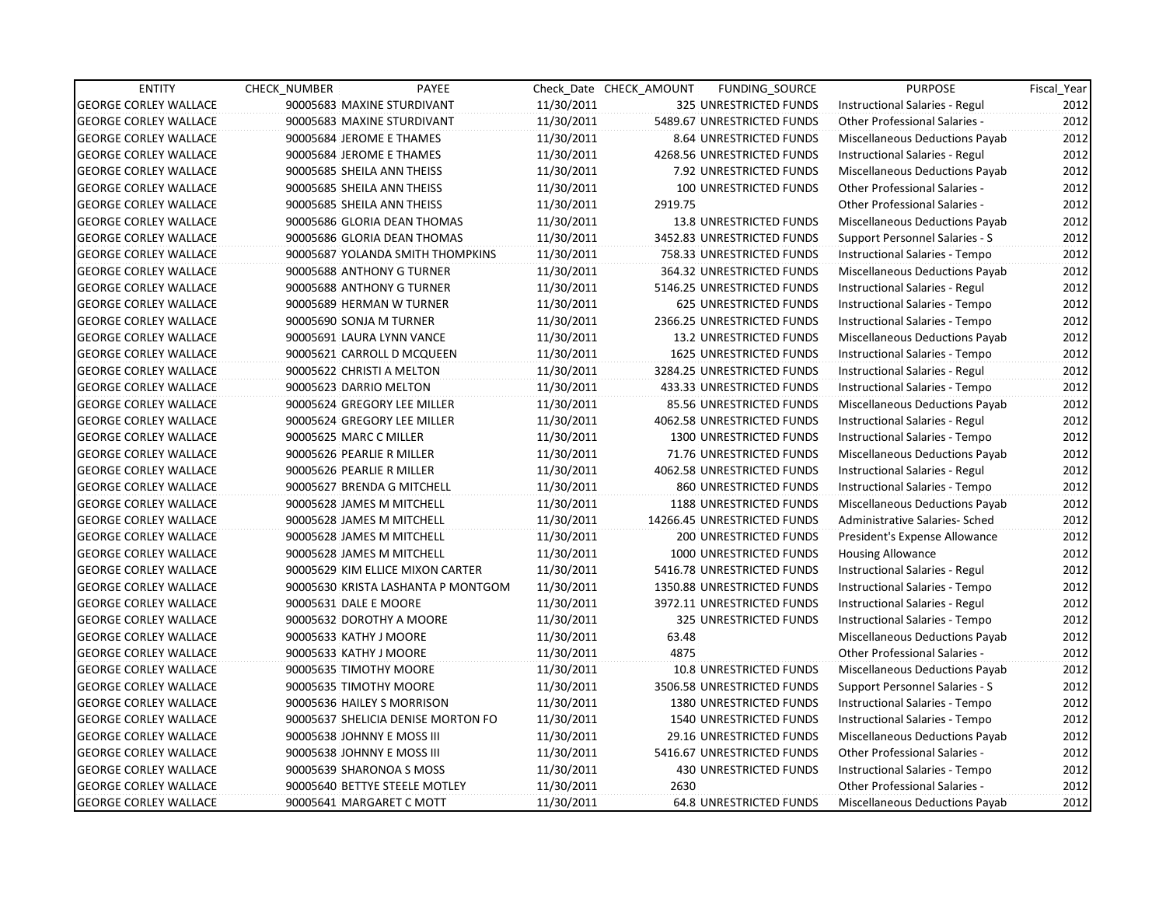| <b>ENTITY</b>                | <b>CHECK NUMBER</b>    | PAYEE                              |            | Check Date CHECK AMOUNT | FUNDING SOURCE                 | <b>PURPOSE</b>                        | Fiscal_Year |
|------------------------------|------------------------|------------------------------------|------------|-------------------------|--------------------------------|---------------------------------------|-------------|
| <b>GEORGE CORLEY WALLACE</b> |                        | 90005683 MAXINE STURDIVANT         | 11/30/2011 |                         | 325 UNRESTRICTED FUNDS         | Instructional Salaries - Regul        | 2012        |
| <b>GEORGE CORLEY WALLACE</b> |                        | 90005683 MAXINE STURDIVANT         | 11/30/2011 |                         | 5489.67 UNRESTRICTED FUNDS     | Other Professional Salaries -         | 2012        |
| <b>GEORGE CORLEY WALLACE</b> |                        | 90005684 JEROME E THAMES           | 11/30/2011 |                         | 8.64 UNRESTRICTED FUNDS        | <b>Miscellaneous Deductions Payab</b> | 2012        |
| <b>GEORGE CORLEY WALLACE</b> |                        | 90005684 JEROME E THAMES           | 11/30/2011 |                         | 4268.56 UNRESTRICTED FUNDS     | Instructional Salaries - Regul        | 2012        |
| <b>GEORGE CORLEY WALLACE</b> |                        | 90005685 SHEILA ANN THEISS         | 11/30/2011 |                         | 7.92 UNRESTRICTED FUNDS        | Miscellaneous Deductions Payab        | 2012        |
| <b>GEORGE CORLEY WALLACE</b> |                        | 90005685 SHEILA ANN THEISS         | 11/30/2011 |                         | 100 UNRESTRICTED FUNDS         | <b>Other Professional Salaries -</b>  | 2012        |
| GEORGE CORLEY WALLACE        |                        | 90005685 SHEILA ANN THEISS         | 11/30/2011 | 2919.75                 |                                | <b>Other Professional Salaries -</b>  | 2012        |
| <b>GEORGE CORLEY WALLACE</b> |                        | 90005686 GLORIA DEAN THOMAS        | 11/30/2011 |                         | 13.8 UNRESTRICTED FUNDS        | Miscellaneous Deductions Payab        | 2012        |
| <b>GEORGE CORLEY WALLACE</b> |                        | 90005686 GLORIA DEAN THOMAS        | 11/30/2011 |                         | 3452.83 UNRESTRICTED FUNDS     | Support Personnel Salaries - S        | 2012        |
| <b>GEORGE CORLEY WALLACE</b> |                        | 90005687 YOLANDA SMITH THOMPKINS   | 11/30/2011 |                         | 758.33 UNRESTRICTED FUNDS      | Instructional Salaries - Tempo        | 2012        |
| <b>GEORGE CORLEY WALLACE</b> |                        | 90005688 ANTHONY G TURNER          | 11/30/2011 |                         | 364.32 UNRESTRICTED FUNDS      | Miscellaneous Deductions Payab        | 2012        |
| <b>GEORGE CORLEY WALLACE</b> |                        | 90005688 ANTHONY G TURNER          | 11/30/2011 |                         | 5146.25 UNRESTRICTED FUNDS     | Instructional Salaries - Regul        | 2012        |
| <b>GEORGE CORLEY WALLACE</b> |                        | 90005689 HERMAN W TURNER           | 11/30/2011 |                         | 625 UNRESTRICTED FUNDS         | Instructional Salaries - Tempo        | 2012        |
| <b>GEORGE CORLEY WALLACE</b> |                        | 90005690 SONJA M TURNER            | 11/30/2011 |                         | 2366.25 UNRESTRICTED FUNDS     | Instructional Salaries - Tempo        | 2012        |
| <b>GEORGE CORLEY WALLACE</b> |                        | 90005691 LAURA LYNN VANCE          | 11/30/2011 |                         | 13.2 UNRESTRICTED FUNDS        | Miscellaneous Deductions Payab        | 2012        |
| <b>GEORGE CORLEY WALLACE</b> |                        | 90005621 CARROLL D MCQUEEN         | 11/30/2011 |                         | <b>1625 UNRESTRICTED FUNDS</b> | Instructional Salaries - Tempo        | 2012        |
| GEORGE CORLEY WALLACE        |                        | 90005622 CHRISTI A MELTON          | 11/30/2011 |                         | 3284.25 UNRESTRICTED FUNDS     | Instructional Salaries - Regul        | 2012        |
| <b>GEORGE CORLEY WALLACE</b> |                        | 90005623 DARRIO MELTON             | 11/30/2011 |                         | 433.33 UNRESTRICTED FUNDS      | Instructional Salaries - Tempo        | 2012        |
| <b>GEORGE CORLEY WALLACE</b> |                        | 90005624 GREGORY LEE MILLER        | 11/30/2011 |                         | 85.56 UNRESTRICTED FUNDS       | Miscellaneous Deductions Payab        | 2012        |
| <b>GEORGE CORLEY WALLACE</b> |                        | 90005624 GREGORY LEE MILLER        | 11/30/2011 |                         | 4062.58 UNRESTRICTED FUNDS     | Instructional Salaries - Regul        | 2012        |
| <b>GEORGE CORLEY WALLACE</b> | 90005625 MARC C MILLER |                                    | 11/30/2011 |                         | 1300 UNRESTRICTED FUNDS        | Instructional Salaries - Tempo        | 2012        |
| <b>GEORGE CORLEY WALLACE</b> |                        | 90005626 PEARLIE R MILLER          | 11/30/2011 |                         | 71.76 UNRESTRICTED FUNDS       | Miscellaneous Deductions Payab        | 2012        |
| <b>GEORGE CORLEY WALLACE</b> |                        | 90005626 PEARLIE R MILLER          | 11/30/2011 |                         | 4062.58 UNRESTRICTED FUNDS     | Instructional Salaries - Regul        | 2012        |
| <b>GEORGE CORLEY WALLACE</b> |                        | 90005627 BRENDA G MITCHELL         | 11/30/2011 |                         | 860 UNRESTRICTED FUNDS         | Instructional Salaries - Tempo        | 2012        |
| <b>GEORGE CORLEY WALLACE</b> |                        | 90005628 JAMES M MITCHELL          | 11/30/2011 |                         | 1188 UNRESTRICTED FUNDS        | Miscellaneous Deductions Payab        | 2012        |
| <b>GEORGE CORLEY WALLACE</b> |                        | 90005628 JAMES M MITCHELL          | 11/30/2011 |                         | 14266.45 UNRESTRICTED FUNDS    | Administrative Salaries- Sched        | 2012        |
| GEORGE CORLEY WALLACE        |                        | 90005628 JAMES M MITCHELL          | 11/30/2011 |                         | <b>200 UNRESTRICTED FUNDS</b>  | President's Expense Allowance         | 2012        |
| <b>GEORGE CORLEY WALLACE</b> |                        | 90005628 JAMES M MITCHELL          | 11/30/2011 |                         | 1000 UNRESTRICTED FUNDS        | <b>Housing Allowance</b>              | 2012        |
| <b>GEORGE CORLEY WALLACE</b> |                        | 90005629 KIM ELLICE MIXON CARTER   | 11/30/2011 |                         | 5416.78 UNRESTRICTED FUNDS     | Instructional Salaries - Regul        | 2012        |
| <b>GEORGE CORLEY WALLACE</b> |                        | 90005630 KRISTA LASHANTA P MONTGOM | 11/30/2011 |                         | 1350.88 UNRESTRICTED FUNDS     | Instructional Salaries - Tempo        | 2012        |
| <b>GEORGE CORLEY WALLACE</b> | 90005631 DALE E MOORE  |                                    | 11/30/2011 |                         | 3972.11 UNRESTRICTED FUNDS     | Instructional Salaries - Regul        | 2012        |
| <b>GEORGE CORLEY WALLACE</b> |                        | 90005632 DOROTHY A MOORE           | 11/30/2011 |                         | 325 UNRESTRICTED FUNDS         | Instructional Salaries - Tempo        | 2012        |
| <b>GEORGE CORLEY WALLACE</b> |                        | 90005633 KATHY J MOORE             | 11/30/2011 | 63.48                   |                                | Miscellaneous Deductions Payab        | 2012        |
| <b>GEORGE CORLEY WALLACE</b> |                        | 90005633 KATHY J MOORE             | 11/30/2011 | 4875                    |                                | <b>Other Professional Salaries -</b>  | 2012        |
| <b>GEORGE CORLEY WALLACE</b> |                        | 90005635 TIMOTHY MOORE             | 11/30/2011 |                         | 10.8 UNRESTRICTED FUNDS        | Miscellaneous Deductions Payab        | 2012        |
| <b>GEORGE CORLEY WALLACE</b> |                        | 90005635 TIMOTHY MOORE             | 11/30/2011 |                         | 3506.58 UNRESTRICTED FUNDS     | Support Personnel Salaries - S        | 2012        |
| <b>GEORGE CORLEY WALLACE</b> |                        | 90005636 HAILEY S MORRISON         | 11/30/2011 |                         | <b>1380 UNRESTRICTED FUNDS</b> | Instructional Salaries - Tempo        | 2012        |
| <b>GEORGE CORLEY WALLACE</b> |                        | 90005637 SHELICIA DENISE MORTON FO | 11/30/2011 |                         | 1540 UNRESTRICTED FUNDS        | Instructional Salaries - Tempo        | 2012        |
| <b>GEORGE CORLEY WALLACE</b> |                        | 90005638 JOHNNY E MOSS III         | 11/30/2011 |                         | 29.16 UNRESTRICTED FUNDS       | Miscellaneous Deductions Payab        | 2012        |
| <b>GEORGE CORLEY WALLACE</b> |                        | 90005638 JOHNNY E MOSS III         | 11/30/2011 |                         | 5416.67 UNRESTRICTED FUNDS     | Other Professional Salaries -         | 2012        |
| <b>GEORGE CORLEY WALLACE</b> |                        | 90005639 SHARONOA S MOSS           | 11/30/2011 |                         | 430 UNRESTRICTED FUNDS         | Instructional Salaries - Tempo        | 2012        |
| <b>GEORGE CORLEY WALLACE</b> |                        | 90005640 BETTYE STEELE MOTLEY      | 11/30/2011 | 2630                    |                                | <b>Other Professional Salaries -</b>  | 2012        |
| <b>GEORGE CORLEY WALLACE</b> |                        | 90005641 MARGARET C MOTT           | 11/30/2011 |                         | 64.8 UNRESTRICTED FUNDS        | <b>Miscellaneous Deductions Payab</b> | 2012        |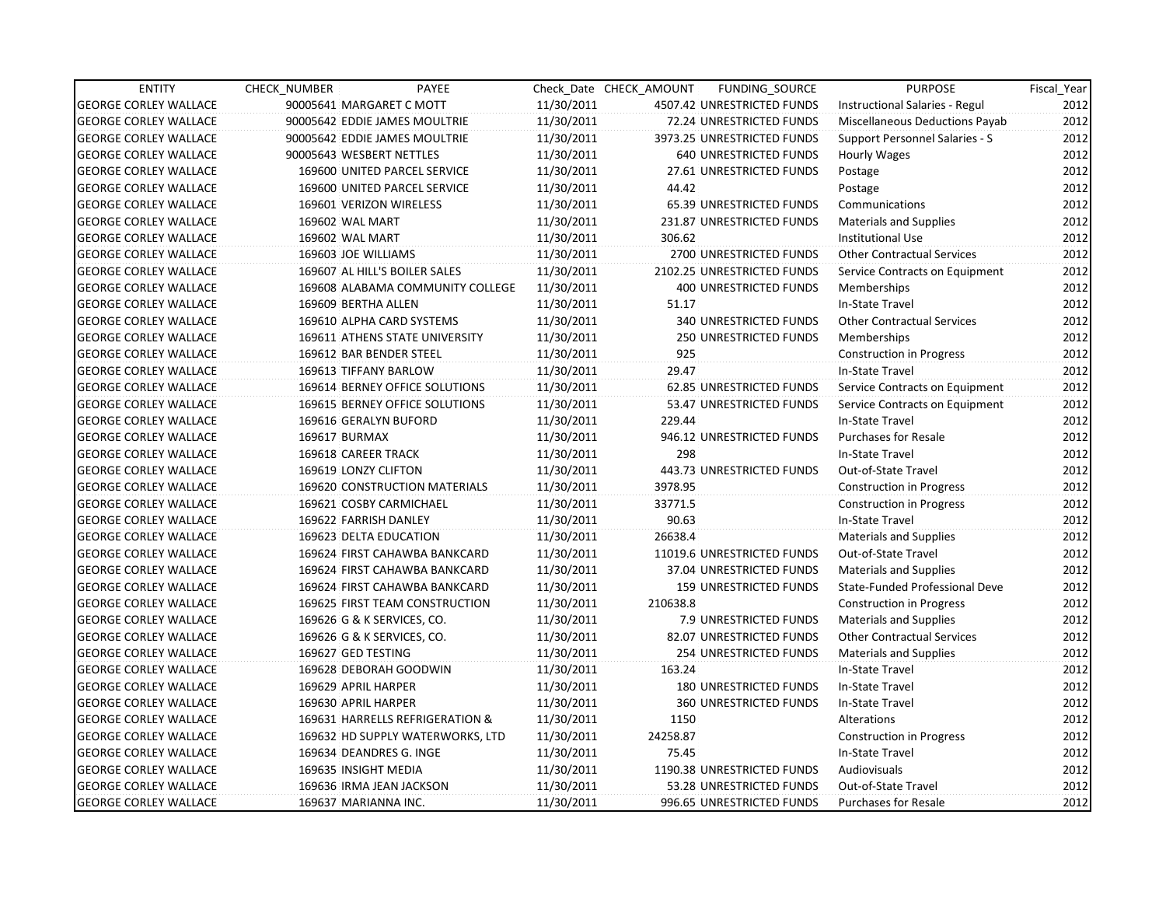| <b>ENTITY</b>                | CHECK NUMBER                  | PAYEE                            |            | Check Date CHECK AMOUNT | FUNDING_SOURCE                | <b>PURPOSE</b>                    | Fiscal Year |
|------------------------------|-------------------------------|----------------------------------|------------|-------------------------|-------------------------------|-----------------------------------|-------------|
| <b>GEORGE CORLEY WALLACE</b> | 90005641 MARGARET C MOTT      |                                  | 11/30/2011 |                         | 4507.42 UNRESTRICTED FUNDS    | Instructional Salaries - Regul    | 2012        |
| <b>GEORGE CORLEY WALLACE</b> | 90005642 EDDIE JAMES MOULTRIE |                                  | 11/30/2011 |                         | 72.24 UNRESTRICTED FUNDS      | Miscellaneous Deductions Payab    | 2012        |
| <b>GEORGE CORLEY WALLACE</b> | 90005642 EDDIE JAMES MOULTRIE |                                  | 11/30/2011 |                         | 3973.25 UNRESTRICTED FUNDS    | Support Personnel Salaries - S    | 2012        |
| <b>GEORGE CORLEY WALLACE</b> | 90005643 WESBERT NETTLES      |                                  | 11/30/2011 |                         | <b>640 UNRESTRICTED FUNDS</b> | Hourly Wages                      | 2012        |
| <b>GEORGE CORLEY WALLACE</b> |                               | 169600 UNITED PARCEL SERVICE     | 11/30/2011 |                         | 27.61 UNRESTRICTED FUNDS      | Postage                           | 2012        |
| <b>GEORGE CORLEY WALLACE</b> |                               | 169600 UNITED PARCEL SERVICE     | 11/30/2011 | 44.42                   |                               | Postage                           | 2012        |
| <b>GEORGE CORLEY WALLACE</b> | 169601 VERIZON WIRELESS       |                                  | 11/30/2011 |                         | 65.39 UNRESTRICTED FUNDS      | Communications                    | 2012        |
| <b>GEORGE CORLEY WALLACE</b> | 169602 WAL MART               |                                  | 11/30/2011 |                         | 231.87 UNRESTRICTED FUNDS     | Materials and Supplies            | 2012        |
| <b>GEORGE CORLEY WALLACE</b> | 169602 WAL MART               |                                  | 11/30/2011 | 306.62                  |                               | <b>Institutional Use</b>          | 2012        |
| <b>GEORGE CORLEY WALLACE</b> | 169603 JOE WILLIAMS           |                                  | 11/30/2011 |                         | 2700 UNRESTRICTED FUNDS       | <b>Other Contractual Services</b> | 2012        |
| <b>GEORGE CORLEY WALLACE</b> | 169607 AL HILL'S BOILER SALES |                                  | 11/30/2011 |                         | 2102.25 UNRESTRICTED FUNDS    | Service Contracts on Equipment    | 2012        |
| <b>GEORGE CORLEY WALLACE</b> |                               | 169608 ALABAMA COMMUNITY COLLEGE | 11/30/2011 |                         | 400 UNRESTRICTED FUNDS        | Memberships                       | 2012        |
| <b>GEORGE CORLEY WALLACE</b> | 169609 BERTHA ALLEN           |                                  | 11/30/2011 | 51.17                   |                               | In-State Travel                   | 2012        |
| <b>GEORGE CORLEY WALLACE</b> | 169610 ALPHA CARD SYSTEMS     |                                  | 11/30/2011 |                         | 340 UNRESTRICTED FUNDS        | <b>Other Contractual Services</b> | 2012        |
| <b>GEORGE CORLEY WALLACE</b> |                               | 169611 ATHENS STATE UNIVERSITY   | 11/30/2011 |                         | 250 UNRESTRICTED FUNDS        | Memberships                       | 2012        |
| <b>GEORGE CORLEY WALLACE</b> | 169612 BAR BENDER STEEL       |                                  | 11/30/2011 | 925                     |                               | Construction in Progress          | 2012        |
| <b>GEORGE CORLEY WALLACE</b> | 169613 TIFFANY BARLOW         |                                  | 11/30/2011 | 29.47                   |                               | In-State Travel                   | 2012        |
| <b>GEORGE CORLEY WALLACE</b> |                               | 169614 BERNEY OFFICE SOLUTIONS   | 11/30/2011 |                         | 62.85 UNRESTRICTED FUNDS      | Service Contracts on Equipment    | 2012        |
| <b>GEORGE CORLEY WALLACE</b> |                               | 169615 BERNEY OFFICE SOLUTIONS   | 11/30/2011 |                         | 53.47 UNRESTRICTED FUNDS      | Service Contracts on Equipment    | 2012        |
| <b>GEORGE CORLEY WALLACE</b> | 169616 GERALYN BUFORD         |                                  | 11/30/2011 | 229.44                  |                               | In-State Travel                   | 2012        |
| <b>GEORGE CORLEY WALLACE</b> | 169617 BURMAX                 |                                  | 11/30/2011 |                         | 946.12 UNRESTRICTED FUNDS     | <b>Purchases for Resale</b>       | 2012        |
| <b>GEORGE CORLEY WALLACE</b> | 169618 CAREER TRACK           |                                  | 11/30/2011 | 298                     |                               | In-State Travel                   | 2012        |
| <b>GEORGE CORLEY WALLACE</b> | 169619 LONZY CLIFTON          |                                  | 11/30/2011 |                         | 443.73 UNRESTRICTED FUNDS     | Out-of-State Travel               | 2012        |
| <b>GEORGE CORLEY WALLACE</b> |                               | 169620 CONSTRUCTION MATERIALS    | 11/30/2011 | 3978.95                 |                               | <b>Construction in Progress</b>   | 2012        |
| <b>GEORGE CORLEY WALLACE</b> | 169621 COSBY CARMICHAEL       |                                  | 11/30/2011 | 33771.5                 |                               | <b>Construction in Progress</b>   | 2012        |
| <b>GEORGE CORLEY WALLACE</b> | 169622 FARRISH DANLEY         |                                  | 11/30/2011 | 90.63                   |                               | In-State Travel                   | 2012        |
| <b>GEORGE CORLEY WALLACE</b> | 169623 DELTA EDUCATION        |                                  | 11/30/2011 | 26638.4                 |                               | <b>Materials and Supplies</b>     | 2012        |
| <b>GEORGE CORLEY WALLACE</b> |                               | 169624 FIRST CAHAWBA BANKCARD    | 11/30/2011 |                         | 11019.6 UNRESTRICTED FUNDS    | Out-of-State Travel               | 2012        |
| <b>GEORGE CORLEY WALLACE</b> |                               | 169624 FIRST CAHAWBA BANKCARD    | 11/30/2011 |                         | 37.04 UNRESTRICTED FUNDS      | <b>Materials and Supplies</b>     | 2012        |
| <b>GEORGE CORLEY WALLACE</b> |                               | 169624 FIRST CAHAWBA BANKCARD    | 11/30/2011 |                         | 159 UNRESTRICTED FUNDS        | State-Funded Professional Deve    | 2012        |
| <b>GEORGE CORLEY WALLACE</b> |                               | 169625 FIRST TEAM CONSTRUCTION   | 11/30/2011 | 210638.8                |                               | <b>Construction in Progress</b>   | 2012        |
| <b>GEORGE CORLEY WALLACE</b> | 169626 G & K SERVICES, CO.    |                                  | 11/30/2011 |                         | 7.9 UNRESTRICTED FUNDS        | <b>Materials and Supplies</b>     | 2012        |
| <b>GEORGE CORLEY WALLACE</b> | 169626 G & K SERVICES, CO.    |                                  | 11/30/2011 |                         | 82.07 UNRESTRICTED FUNDS      | <b>Other Contractual Services</b> | 2012        |
| <b>GEORGE CORLEY WALLACE</b> | 169627 GED TESTING            |                                  | 11/30/2011 |                         | <b>254 UNRESTRICTED FUNDS</b> | Materials and Supplies            | 2012        |
| <b>GEORGE CORLEY WALLACE</b> | 169628 DEBORAH GOODWIN        |                                  | 11/30/2011 | 163.24                  |                               | In-State Travel                   | 2012        |
| <b>GEORGE CORLEY WALLACE</b> | 169629 APRIL HARPER           |                                  | 11/30/2011 |                         | <b>180 UNRESTRICTED FUNDS</b> | In-State Travel                   | 2012        |
| <b>GEORGE CORLEY WALLACE</b> | 169630 APRIL HARPER           |                                  | 11/30/2011 |                         | <b>360 UNRESTRICTED FUNDS</b> | In-State Travel                   | 2012        |
| <b>GEORGE CORLEY WALLACE</b> |                               | 169631 HARRELLS REFRIGERATION &  | 11/30/2011 | 1150                    |                               | Alterations                       | 2012        |
| <b>GEORGE CORLEY WALLACE</b> |                               | 169632 HD SUPPLY WATERWORKS, LTD | 11/30/2011 | 24258.87                |                               | Construction in Progress          | 2012        |
| <b>GEORGE CORLEY WALLACE</b> | 169634 DEANDRES G. INGE       |                                  | 11/30/2011 | 75.45                   |                               | In-State Travel                   | 2012        |
| <b>GEORGE CORLEY WALLACE</b> | 169635 INSIGHT MEDIA          |                                  | 11/30/2011 |                         | 1190.38 UNRESTRICTED FUNDS    | Audiovisuals                      | 2012        |
| <b>GEORGE CORLEY WALLACE</b> | 169636 IRMA JEAN JACKSON      |                                  | 11/30/2011 |                         | 53.28 UNRESTRICTED FUNDS      | Out-of-State Travel               | 2012        |
| <b>GEORGE CORLEY WALLACE</b> | 169637 MARIANNA INC.          |                                  | 11/30/2011 |                         | 996.65 UNRESTRICTED FUNDS     | <b>Purchases for Resale</b>       | 2012        |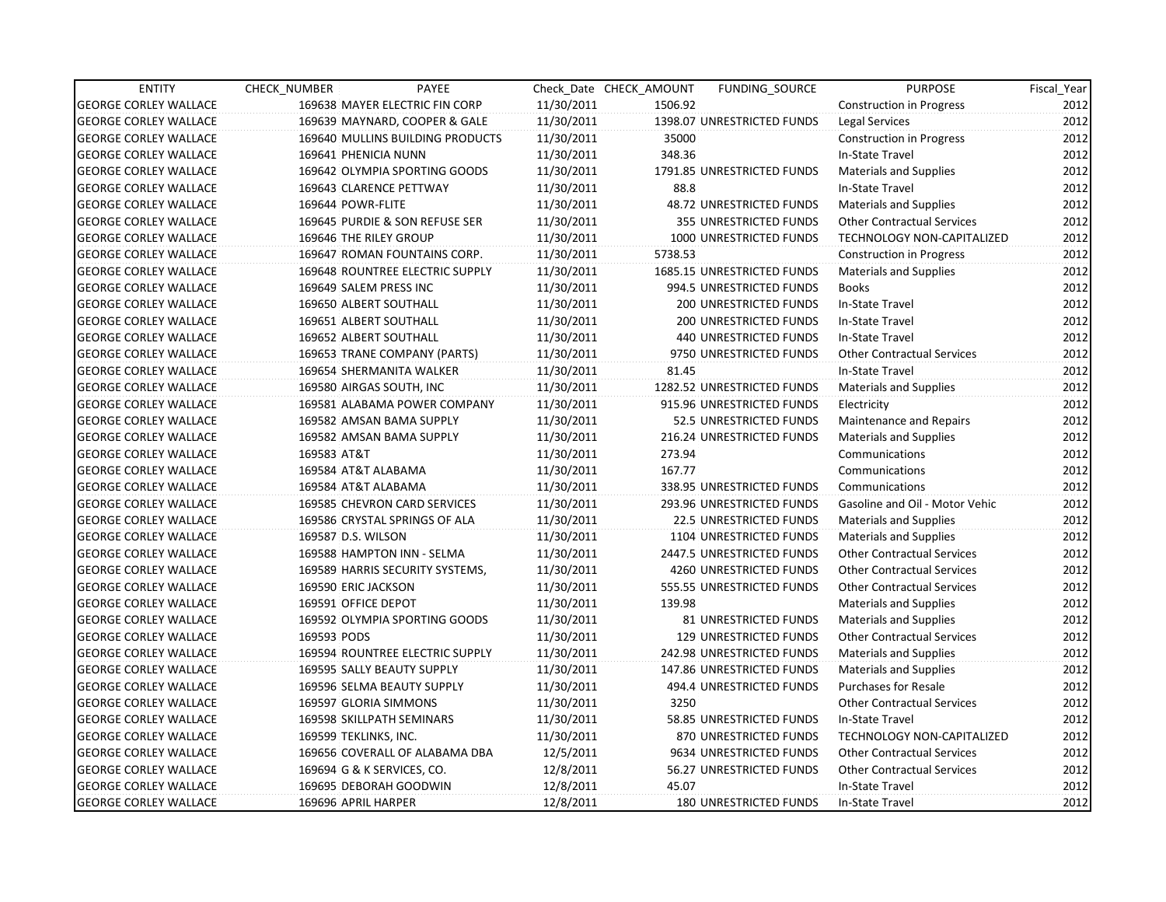| <b>ENTITY</b>                | CHECK NUMBER               | PAYEE                                  |            | Check Date CHECK AMOUNT | FUNDING SOURCE                 | <b>PURPOSE</b>                    | Fiscal Year |
|------------------------------|----------------------------|----------------------------------------|------------|-------------------------|--------------------------------|-----------------------------------|-------------|
| <b>GEORGE CORLEY WALLACE</b> |                            | 169638 MAYER ELECTRIC FIN CORP         | 11/30/2011 | 1506.92                 |                                | <b>Construction in Progress</b>   | 2012        |
| <b>GEORGE CORLEY WALLACE</b> |                            | 169639 MAYNARD, COOPER & GALE          | 11/30/2011 |                         | 1398.07 UNRESTRICTED FUNDS     | Legal Services                    | 2012        |
| <b>GEORGE CORLEY WALLACE</b> |                            | 169640 MULLINS BUILDING PRODUCTS       | 11/30/2011 | 35000                   |                                | <b>Construction in Progress</b>   | 2012        |
| <b>GEORGE CORLEY WALLACE</b> | 169641 PHENICIA NUNN       |                                        | 11/30/2011 | 348.36                  |                                | In-State Travel                   | 2012        |
| <b>GEORGE CORLEY WALLACE</b> |                            | 169642 OLYMPIA SPORTING GOODS          | 11/30/2011 |                         | 1791.85 UNRESTRICTED FUNDS     | <b>Materials and Supplies</b>     | 2012        |
| <b>GEORGE CORLEY WALLACE</b> | 169643 CLARENCE PETTWAY    |                                        | 11/30/2011 | 88.8                    |                                | In-State Travel                   | 2012        |
| <b>GEORGE CORLEY WALLACE</b> | 169644 POWR-FLITE          |                                        | 11/30/2011 |                         | 48.72 UNRESTRICTED FUNDS       | Materials and Supplies            | 2012        |
| <b>GEORGE CORLEY WALLACE</b> |                            | 169645 PURDIE & SON REFUSE SER         | 11/30/2011 |                         | 355 UNRESTRICTED FUNDS         | <b>Other Contractual Services</b> | 2012        |
| <b>GEORGE CORLEY WALLACE</b> | 169646 THE RILEY GROUP     |                                        | 11/30/2011 |                         | 1000 UNRESTRICTED FUNDS        | TECHNOLOGY NON-CAPITALIZED        | 2012        |
| <b>GEORGE CORLEY WALLACE</b> |                            | 169647 ROMAN FOUNTAINS CORP.           | 11/30/2011 | 5738.53                 |                                | <b>Construction in Progress</b>   | 2012        |
| <b>GEORGE CORLEY WALLACE</b> |                            | <b>169648 ROUNTREE ELECTRIC SUPPLY</b> | 11/30/2011 |                         | 1685.15 UNRESTRICTED FUNDS     | <b>Materials and Supplies</b>     | 2012        |
| <b>GEORGE CORLEY WALLACE</b> | 169649 SALEM PRESS INC     |                                        | 11/30/2011 |                         | 994.5 UNRESTRICTED FUNDS       | <b>Books</b>                      | 2012        |
| <b>GEORGE CORLEY WALLACE</b> | 169650 ALBERT SOUTHALL     |                                        | 11/30/2011 |                         | 200 UNRESTRICTED FUNDS         | In-State Travel                   | 2012        |
| <b>GEORGE CORLEY WALLACE</b> | 169651 ALBERT SOUTHALL     |                                        | 11/30/2011 |                         | <b>200 UNRESTRICTED FUNDS</b>  | In-State Travel                   | 2012        |
| <b>GEORGE CORLEY WALLACE</b> | 169652 ALBERT SOUTHALL     |                                        | 11/30/2011 |                         | 440 UNRESTRICTED FUNDS         | In-State Travel                   | 2012        |
| <b>GEORGE CORLEY WALLACE</b> |                            | 169653 TRANE COMPANY (PARTS)           | 11/30/2011 |                         | 9750 UNRESTRICTED FUNDS        | <b>Other Contractual Services</b> | 2012        |
| <b>GEORGE CORLEY WALLACE</b> |                            | 169654 SHERMANITA WALKER               | 11/30/2011 | 81.45                   |                                | In-State Travel                   | 2012        |
| <b>GEORGE CORLEY WALLACE</b> | 169580 AIRGAS SOUTH, INC   |                                        | 11/30/2011 |                         | 1282.52 UNRESTRICTED FUNDS     | <b>Materials and Supplies</b>     | 2012        |
| <b>GEORGE CORLEY WALLACE</b> |                            | 169581 ALABAMA POWER COMPANY           | 11/30/2011 |                         | 915.96 UNRESTRICTED FUNDS      | Electricity                       | 2012        |
| <b>GEORGE CORLEY WALLACE</b> |                            | 169582 AMSAN BAMA SUPPLY               | 11/30/2011 |                         | 52.5 UNRESTRICTED FUNDS        | <b>Maintenance and Repairs</b>    | 2012        |
| <b>GEORGE CORLEY WALLACE</b> |                            | 169582 AMSAN BAMA SUPPLY               | 11/30/2011 |                         | 216.24 UNRESTRICTED FUNDS      | <b>Materials and Supplies</b>     | 2012        |
| <b>GEORGE CORLEY WALLACE</b> | 169583 AT&T                |                                        | 11/30/2011 | 273.94                  |                                | Communications                    | 2012        |
| <b>GEORGE CORLEY WALLACE</b> | 169584 AT&T ALABAMA        |                                        | 11/30/2011 | 167.77                  |                                | Communications                    | 2012        |
| <b>GEORGE CORLEY WALLACE</b> | 169584 AT&T ALABAMA        |                                        | 11/30/2011 |                         | 338.95 UNRESTRICTED FUNDS      | Communications                    | 2012        |
| <b>GEORGE CORLEY WALLACE</b> |                            | 169585 CHEVRON CARD SERVICES           | 11/30/2011 |                         | 293.96 UNRESTRICTED FUNDS      | Gasoline and Oil - Motor Vehic    | 2012        |
| <b>GEORGE CORLEY WALLACE</b> |                            | 169586 CRYSTAL SPRINGS OF ALA          | 11/30/2011 |                         | <b>22.5 UNRESTRICTED FUNDS</b> | <b>Materials and Supplies</b>     | 2012        |
| <b>GEORGE CORLEY WALLACE</b> | 169587 D.S. WILSON         |                                        | 11/30/2011 |                         | 1104 UNRESTRICTED FUNDS        | <b>Materials and Supplies</b>     | 2012        |
| <b>GEORGE CORLEY WALLACE</b> |                            | 169588 HAMPTON INN - SELMA             | 11/30/2011 |                         | 2447.5 UNRESTRICTED FUNDS      | <b>Other Contractual Services</b> | 2012        |
| <b>GEORGE CORLEY WALLACE</b> |                            | 169589 HARRIS SECURITY SYSTEMS,        | 11/30/2011 |                         | 4260 UNRESTRICTED FUNDS        | <b>Other Contractual Services</b> | 2012        |
| <b>GEORGE CORLEY WALLACE</b> | 169590 ERIC JACKSON        |                                        | 11/30/2011 |                         | 555.55 UNRESTRICTED FUNDS      | <b>Other Contractual Services</b> | 2012        |
| <b>GEORGE CORLEY WALLACE</b> | 169591 OFFICE DEPOT        |                                        | 11/30/2011 | 139.98                  |                                | <b>Materials and Supplies</b>     | 2012        |
| <b>GEORGE CORLEY WALLACE</b> |                            | 169592 OLYMPIA SPORTING GOODS          | 11/30/2011 |                         | 81 UNRESTRICTED FUNDS          | <b>Materials and Supplies</b>     | 2012        |
| <b>GEORGE CORLEY WALLACE</b> | 169593 PODS                |                                        | 11/30/2011 |                         | 129 UNRESTRICTED FUNDS         | <b>Other Contractual Services</b> | 2012        |
| <b>GEORGE CORLEY WALLACE</b> |                            | 169594 ROUNTREE ELECTRIC SUPPLY        | 11/30/2011 |                         | 242.98 UNRESTRICTED FUNDS      | <b>Materials and Supplies</b>     | 2012        |
| <b>GEORGE CORLEY WALLACE</b> | 169595 SALLY BEAUTY SUPPLY |                                        | 11/30/2011 |                         | 147.86 UNRESTRICTED FUNDS      | <b>Materials and Supplies</b>     | 2012        |
| <b>GEORGE CORLEY WALLACE</b> |                            | 169596 SELMA BEAUTY SUPPLY             | 11/30/2011 |                         | 494.4 UNRESTRICTED FUNDS       | <b>Purchases for Resale</b>       | 2012        |
| <b>GEORGE CORLEY WALLACE</b> | 169597 GLORIA SIMMONS      |                                        | 11/30/2011 | 3250                    |                                | <b>Other Contractual Services</b> | 2012        |
| <b>GEORGE CORLEY WALLACE</b> | 169598 SKILLPATH SEMINARS  |                                        | 11/30/2011 |                         | 58.85 UNRESTRICTED FUNDS       | In-State Travel                   | 2012        |
| <b>GEORGE CORLEY WALLACE</b> | 169599 TEKLINKS, INC.      |                                        | 11/30/2011 |                         | 870 UNRESTRICTED FUNDS         | <b>TECHNOLOGY NON-CAPITALIZED</b> | 2012        |
| <b>GEORGE CORLEY WALLACE</b> |                            | 169656 COVERALL OF ALABAMA DBA         | 12/5/2011  |                         | 9634 UNRESTRICTED FUNDS        | <b>Other Contractual Services</b> | 2012        |
| <b>GEORGE CORLEY WALLACE</b> | 169694 G & K SERVICES, CO. |                                        | 12/8/2011  |                         | 56.27 UNRESTRICTED FUNDS       | <b>Other Contractual Services</b> | 2012        |
| <b>GEORGE CORLEY WALLACE</b> | 169695 DEBORAH GOODWIN     |                                        | 12/8/2011  | 45.07                   |                                | In-State Travel                   | 2012        |
| <b>GEORGE CORLEY WALLACE</b> | 169696 APRIL HARPER        |                                        | 12/8/2011  |                         | 180 UNRESTRICTED FUNDS         | In-State Travel                   | 2012        |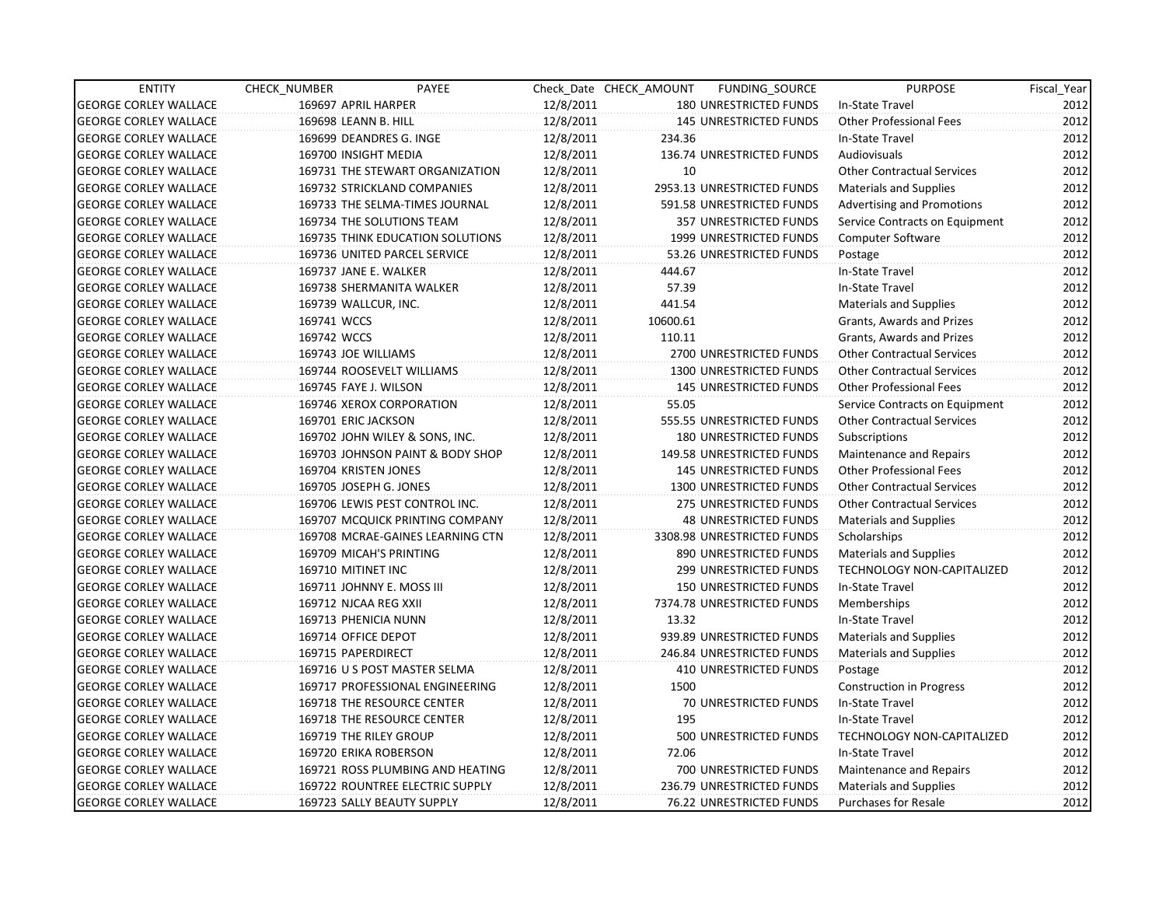| <b>ENTITY</b>                | CHECK_NUMBER | PAYEE                                   |           | Check Date CHECK AMOUNT | FUNDING_SOURCE                  | <b>PURPOSE</b>                    | Fiscal_Year |
|------------------------------|--------------|-----------------------------------------|-----------|-------------------------|---------------------------------|-----------------------------------|-------------|
| <b>GEORGE CORLEY WALLACE</b> |              | 169697 APRIL HARPER                     | 12/8/2011 |                         | 180 UNRESTRICTED FUNDS          | In-State Travel                   | 2012        |
| <b>GEORGE CORLEY WALLACE</b> |              | 169698 LEANN B. HILL                    | 12/8/2011 |                         | <b>145 UNRESTRICTED FUNDS</b>   | <b>Other Professional Fees</b>    | 2012        |
| <b>GEORGE CORLEY WALLACE</b> |              | 169699 DEANDRES G. INGE                 | 12/8/2011 | 234.36                  |                                 | In-State Travel                   | 2012        |
| <b>GEORGE CORLEY WALLACE</b> |              | 169700 INSIGHT MEDIA                    | 12/8/2011 |                         | 136.74 UNRESTRICTED FUNDS       | <b>Audiovisuals</b>               | 2012        |
| <b>GEORGE CORLEY WALLACE</b> |              | 169731 THE STEWART ORGANIZATION         | 12/8/2011 | 10                      |                                 | <b>Other Contractual Services</b> | 2012        |
| <b>GEORGE CORLEY WALLACE</b> |              | 169732 STRICKLAND COMPANIES             | 12/8/2011 |                         | 2953.13 UNRESTRICTED FUNDS      | <b>Materials and Supplies</b>     | 2012        |
| <b>GEORGE CORLEY WALLACE</b> |              | 169733 THE SELMA-TIMES JOURNAL          | 12/8/2011 |                         | 591.58 UNRESTRICTED FUNDS       | <b>Advertising and Promotions</b> | 2012        |
| <b>GEORGE CORLEY WALLACE</b> |              | 169734 THE SOLUTIONS TEAM               | 12/8/2011 |                         | 357 UNRESTRICTED FUNDS          | Service Contracts on Equipment    | 2012        |
| <b>GEORGE CORLEY WALLACE</b> |              | <b>169735 THINK EDUCATION SOLUTIONS</b> | 12/8/2011 |                         | 1999 UNRESTRICTED FUNDS         | Computer Software                 | 2012        |
| <b>GEORGE CORLEY WALLACE</b> |              | 169736 UNITED PARCEL SERVICE            | 12/8/2011 |                         | 53.26 UNRESTRICTED FUNDS        | Postage                           | 2012        |
| <b>GEORGE CORLEY WALLACE</b> |              | 169737 JANE E. WALKER                   | 12/8/2011 | 444.67                  |                                 | In-State Travel                   | 2012        |
| <b>GEORGE CORLEY WALLACE</b> |              | 169738 SHERMANITA WALKER                | 12/8/2011 | 57.39                   |                                 | In-State Travel                   | 2012        |
| <b>GEORGE CORLEY WALLACE</b> |              | 169739 WALLCUR, INC.                    | 12/8/2011 | 441.54                  |                                 | <b>Materials and Supplies</b>     | 2012        |
| <b>GEORGE CORLEY WALLACE</b> | 169741 WCCS  |                                         | 12/8/2011 | 10600.61                |                                 | Grants, Awards and Prizes         | 2012        |
| <b>GEORGE CORLEY WALLACE</b> | 169742 WCCS  |                                         | 12/8/2011 | 110.11                  |                                 | Grants, Awards and Prizes         | 2012        |
| <b>GEORGE CORLEY WALLACE</b> |              | 169743 JOE WILLIAMS                     | 12/8/2011 |                         | 2700 UNRESTRICTED FUNDS         | <b>Other Contractual Services</b> | 2012        |
| <b>GEORGE CORLEY WALLACE</b> |              | 169744 ROOSEVELT WILLIAMS               | 12/8/2011 |                         | 1300 UNRESTRICTED FUNDS         | <b>Other Contractual Services</b> | 2012        |
| <b>GEORGE CORLEY WALLACE</b> |              | 169745 FAYE J. WILSON                   | 12/8/2011 |                         | <b>145 UNRESTRICTED FUNDS</b>   | <b>Other Professional Fees</b>    | 2012        |
| <b>GEORGE CORLEY WALLACE</b> |              | 169746 XEROX CORPORATION                | 12/8/2011 | 55.05                   |                                 | Service Contracts on Equipment    | 2012        |
| <b>GEORGE CORLEY WALLACE</b> |              | 169701 ERIC JACKSON                     | 12/8/2011 |                         | 555.55 UNRESTRICTED FUNDS       | <b>Other Contractual Services</b> | 2012        |
| <b>GEORGE CORLEY WALLACE</b> |              | 169702 JOHN WILEY & SONS, INC.          | 12/8/2011 |                         | 180 UNRESTRICTED FUNDS          | Subscriptions                     | 2012        |
| <b>GEORGE CORLEY WALLACE</b> |              | 169703 JOHNSON PAINT & BODY SHOP        | 12/8/2011 |                         | 149.58 UNRESTRICTED FUNDS       | Maintenance and Repairs           | 2012        |
| <b>GEORGE CORLEY WALLACE</b> |              | 169704 KRISTEN JONES                    | 12/8/2011 |                         | <b>145 UNRESTRICTED FUNDS</b>   | <b>Other Professional Fees</b>    | 2012        |
| <b>GEORGE CORLEY WALLACE</b> |              | 169705 JOSEPH G. JONES                  | 12/8/2011 |                         | 1300 UNRESTRICTED FUNDS         | <b>Other Contractual Services</b> | 2012        |
| <b>GEORGE CORLEY WALLACE</b> |              | 169706 LEWIS PEST CONTROL INC.          | 12/8/2011 |                         | <b>275 UNRESTRICTED FUNDS</b>   | <b>Other Contractual Services</b> | 2012        |
| <b>GEORGE CORLEY WALLACE</b> |              | 169707 MCQUICK PRINTING COMPANY         | 12/8/2011 |                         | <b>48 UNRESTRICTED FUNDS</b>    | <b>Materials and Supplies</b>     | 2012        |
| <b>GEORGE CORLEY WALLACE</b> |              | 169708 MCRAE-GAINES LEARNING CTN        | 12/8/2011 |                         | 3308.98 UNRESTRICTED FUNDS      | Scholarships                      | 2012        |
| <b>GEORGE CORLEY WALLACE</b> |              | 169709 MICAH'S PRINTING                 | 12/8/2011 |                         | 890 UNRESTRICTED FUNDS          | <b>Materials and Supplies</b>     | 2012        |
| <b>GEORGE CORLEY WALLACE</b> |              | 169710 MITINET INC                      | 12/8/2011 |                         | 299 UNRESTRICTED FUNDS          | <b>TECHNOLOGY NON-CAPITALIZED</b> | 2012        |
| <b>GEORGE CORLEY WALLACE</b> |              | 169711 JOHNNY E. MOSS III               | 12/8/2011 |                         | <b>150 UNRESTRICTED FUNDS</b>   | In-State Travel                   | 2012        |
| <b>GEORGE CORLEY WALLACE</b> |              | 169712 NJCAA REG XXII                   | 12/8/2011 |                         | 7374.78 UNRESTRICTED FUNDS      | Memberships                       | 2012        |
| <b>GEORGE CORLEY WALLACE</b> |              | 169713 PHENICIA NUNN                    | 12/8/2011 | 13.32                   |                                 | In-State Travel                   | 2012        |
| <b>GEORGE CORLEY WALLACE</b> |              | 169714 OFFICE DEPOT                     | 12/8/2011 |                         | 939.89 UNRESTRICTED FUNDS       | <b>Materials and Supplies</b>     | 2012        |
| <b>GEORGE CORLEY WALLACE</b> |              | 169715 PAPERDIRECT                      | 12/8/2011 |                         | 246.84 UNRESTRICTED FUNDS       | Materials and Supplies            | 2012        |
| <b>GEORGE CORLEY WALLACE</b> |              | 169716 U S POST MASTER SELMA            | 12/8/2011 |                         | <b>410 UNRESTRICTED FUNDS</b>   | Postage                           | 2012        |
| <b>GEORGE CORLEY WALLACE</b> |              | 169717 PROFESSIONAL ENGINEERING         | 12/8/2011 | 1500                    |                                 | <b>Construction in Progress</b>   | 2012        |
| <b>GEORGE CORLEY WALLACE</b> |              | <b>169718 THE RESOURCE CENTER</b>       | 12/8/2011 |                         | 70 UNRESTRICTED FUNDS           | In-State Travel                   | 2012        |
| <b>GEORGE CORLEY WALLACE</b> |              | 169718 THE RESOURCE CENTER              | 12/8/2011 | 195                     |                                 | In-State Travel                   | 2012        |
| <b>GEORGE CORLEY WALLACE</b> |              | 169719 THE RILEY GROUP                  | 12/8/2011 |                         | 500 UNRESTRICTED FUNDS          | TECHNOLOGY NON-CAPITALIZED        | 2012        |
| <b>GEORGE CORLEY WALLACE</b> |              | 169720 ERIKA ROBERSON                   | 12/8/2011 | 72.06                   |                                 | In-State Travel                   | 2012        |
| <b>GEORGE CORLEY WALLACE</b> |              | 169721 ROSS PLUMBING AND HEATING        | 12/8/2011 |                         | 700 UNRESTRICTED FUNDS          | Maintenance and Repairs           | 2012        |
| <b>GEORGE CORLEY WALLACE</b> |              | 169722 ROUNTREE ELECTRIC SUPPLY         | 12/8/2011 |                         | 236.79 UNRESTRICTED FUNDS       | <b>Materials and Supplies</b>     | 2012        |
| <b>GEORGE CORLEY WALLACE</b> |              | 169723 SALLY BEAUTY SUPPLY              | 12/8/2011 |                         | <b>76.22 UNRESTRICTED FUNDS</b> | <b>Purchases for Resale</b>       | 2012        |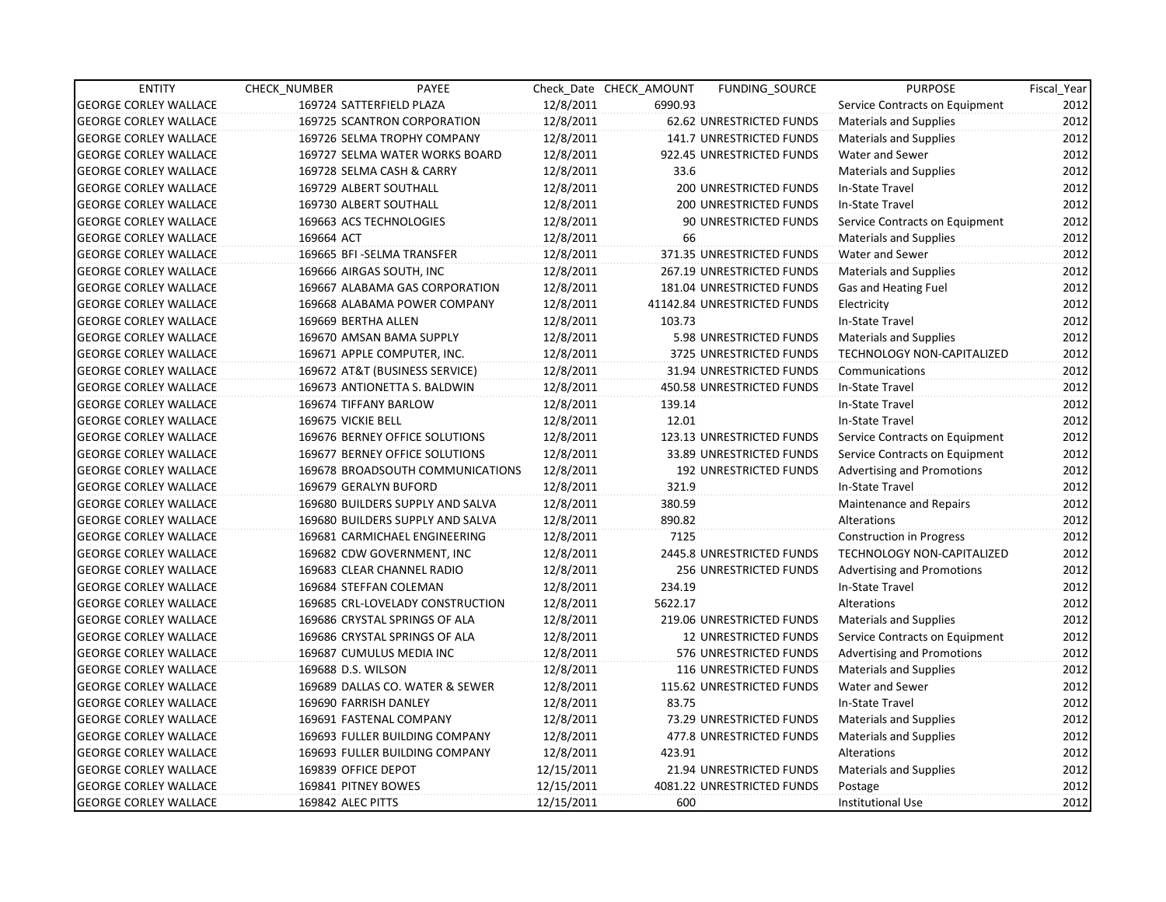| <b>ENTITY</b>                | <b>CHECK NUMBER</b>      | <b>PAYEE</b>                     |            | Check Date CHECK AMOUNT | FUNDING SOURCE               | <b>PURPOSE</b>                    | Fiscal Year |
|------------------------------|--------------------------|----------------------------------|------------|-------------------------|------------------------------|-----------------------------------|-------------|
| <b>GEORGE CORLEY WALLACE</b> | 169724 SATTERFIELD PLAZA |                                  | 12/8/2011  | 6990.93                 |                              | Service Contracts on Equipment    | 2012        |
| <b>GEORGE CORLEY WALLACE</b> |                          | 169725 SCANTRON CORPORATION      | 12/8/2011  |                         | 62.62 UNRESTRICTED FUNDS     | <b>Materials and Supplies</b>     | 2012        |
| <b>GEORGE CORLEY WALLACE</b> |                          | 169726 SELMA TROPHY COMPANY      | 12/8/2011  |                         | 141.7 UNRESTRICTED FUNDS     | <b>Materials and Supplies</b>     | 2012        |
| <b>GEORGE CORLEY WALLACE</b> |                          | 169727 SELMA WATER WORKS BOARD   | 12/8/2011  |                         | 922.45 UNRESTRICTED FUNDS    | Water and Sewer                   | 2012        |
| <b>GEORGE CORLEY WALLACE</b> |                          | 169728 SELMA CASH & CARRY        | 12/8/2011  | 33.6                    |                              | <b>Materials and Supplies</b>     | 2012        |
| <b>GEORGE CORLEY WALLACE</b> | 169729 ALBERT SOUTHALL   |                                  | 12/8/2011  |                         | 200 UNRESTRICTED FUNDS       | In-State Travel                   | 2012        |
| <b>GEORGE CORLEY WALLACE</b> | 169730 ALBERT SOUTHALL   |                                  | 12/8/2011  |                         | 200 UNRESTRICTED FUNDS       | In-State Travel                   | 2012        |
| <b>GEORGE CORLEY WALLACE</b> |                          | 169663 ACS TECHNOLOGIES          | 12/8/2011  |                         | 90 UNRESTRICTED FUNDS        | Service Contracts on Equipment    | 2012        |
| <b>GEORGE CORLEY WALLACE</b> | 169664 ACT               |                                  | 12/8/2011  | 66                      |                              | <b>Materials and Supplies</b>     | 2012        |
| <b>GEORGE CORLEY WALLACE</b> |                          | 169665 BFI-SELMA TRANSFER        | 12/8/2011  |                         | 371.35 UNRESTRICTED FUNDS    | Water and Sewer                   | 2012        |
| <b>GEORGE CORLEY WALLACE</b> | 169666 AIRGAS SOUTH, INC |                                  | 12/8/2011  |                         | 267.19 UNRESTRICTED FUNDS    | <b>Materials and Supplies</b>     | 2012        |
| <b>GEORGE CORLEY WALLACE</b> |                          | 169667 ALABAMA GAS CORPORATION   | 12/8/2011  |                         | 181.04 UNRESTRICTED FUNDS    | Gas and Heating Fuel              | 2012        |
| <b>GEORGE CORLEY WALLACE</b> |                          | 169668 ALABAMA POWER COMPANY     | 12/8/2011  |                         | 41142.84 UNRESTRICTED FUNDS  | Electricity                       | 2012        |
| <b>GEORGE CORLEY WALLACE</b> | 169669 BERTHA ALLEN      |                                  | 12/8/2011  | 103.73                  |                              | In-State Travel                   | 2012        |
| <b>GEORGE CORLEY WALLACE</b> |                          | 169670 AMSAN BAMA SUPPLY         | 12/8/2011  |                         | 5.98 UNRESTRICTED FUNDS      | <b>Materials and Supplies</b>     | 2012        |
| <b>GEORGE CORLEY WALLACE</b> |                          | 169671 APPLE COMPUTER, INC.      | 12/8/2011  |                         | 3725 UNRESTRICTED FUNDS      | <b>TECHNOLOGY NON-CAPITALIZED</b> | 2012        |
| <b>GEORGE CORLEY WALLACE</b> |                          | 169672 AT&T (BUSINESS SERVICE)   | 12/8/2011  |                         | 31.94 UNRESTRICTED FUNDS     | Communications                    | 2012        |
| <b>GEORGE CORLEY WALLACE</b> |                          | 169673 ANTIONETTA S. BALDWIN     | 12/8/2011  |                         | 450.58 UNRESTRICTED FUNDS    | In-State Travel                   | 2012        |
| <b>GEORGE CORLEY WALLACE</b> | 169674 TIFFANY BARLOW    |                                  | 12/8/2011  | 139.14                  |                              | In-State Travel                   | 2012        |
| <b>GEORGE CORLEY WALLACE</b> | 169675 VICKIE BELL       |                                  | 12/8/2011  | 12.01                   |                              | In-State Travel                   | 2012        |
| <b>GEORGE CORLEY WALLACE</b> |                          | 169676 BERNEY OFFICE SOLUTIONS   | 12/8/2011  |                         | 123.13 UNRESTRICTED FUNDS    | Service Contracts on Equipment    | 2012        |
| <b>GEORGE CORLEY WALLACE</b> |                          | 169677 BERNEY OFFICE SOLUTIONS   | 12/8/2011  |                         | 33.89 UNRESTRICTED FUNDS     | Service Contracts on Equipment    | 2012        |
| <b>GEORGE CORLEY WALLACE</b> |                          | 169678 BROADSOUTH COMMUNICATIONS | 12/8/2011  |                         | 192 UNRESTRICTED FUNDS       | <b>Advertising and Promotions</b> | 2012        |
| <b>GEORGE CORLEY WALLACE</b> | 169679 GERALYN BUFORD    |                                  | 12/8/2011  | 321.9                   |                              | In-State Travel                   | 2012        |
| <b>GEORGE CORLEY WALLACE</b> |                          | 169680 BUILDERS SUPPLY AND SALVA | 12/8/2011  | 380.59                  |                              | Maintenance and Repairs           | 2012        |
| <b>GEORGE CORLEY WALLACE</b> |                          | 169680 BUILDERS SUPPLY AND SALVA | 12/8/2011  | 890.82                  |                              | Alterations                       | 2012        |
| <b>GEORGE CORLEY WALLACE</b> |                          | 169681 CARMICHAEL ENGINEERING    | 12/8/2011  | 7125                    |                              | <b>Construction in Progress</b>   | 2012        |
| <b>GEORGE CORLEY WALLACE</b> |                          | 169682 CDW GOVERNMENT, INC       | 12/8/2011  |                         | 2445.8 UNRESTRICTED FUNDS    | TECHNOLOGY NON-CAPITALIZED        | 2012        |
| <b>GEORGE CORLEY WALLACE</b> |                          | 169683 CLEAR CHANNEL RADIO       | 12/8/2011  |                         | 256 UNRESTRICTED FUNDS       | <b>Advertising and Promotions</b> | 2012        |
| <b>GEORGE CORLEY WALLACE</b> | 169684 STEFFAN COLEMAN   |                                  | 12/8/2011  | 234.19                  |                              | In-State Travel                   | 2012        |
| <b>GEORGE CORLEY WALLACE</b> |                          | 169685 CRL-LOVELADY CONSTRUCTION | 12/8/2011  | 5622.17                 |                              | Alterations                       | 2012        |
| <b>GEORGE CORLEY WALLACE</b> |                          | 169686 CRYSTAL SPRINGS OF ALA    | 12/8/2011  |                         | 219.06 UNRESTRICTED FUNDS    | <b>Materials and Supplies</b>     | 2012        |
| <b>GEORGE CORLEY WALLACE</b> |                          | 169686 CRYSTAL SPRINGS OF ALA    | 12/8/2011  |                         | <b>12 UNRESTRICTED FUNDS</b> | Service Contracts on Equipment    | 2012        |
| <b>GEORGE CORLEY WALLACE</b> |                          | 169687 CUMULUS MEDIA INC         | 12/8/2011  |                         | 576 UNRESTRICTED FUNDS       | Advertising and Promotions        | 2012        |
| <b>GEORGE CORLEY WALLACE</b> | 169688 D.S. WILSON       |                                  | 12/8/2011  |                         | 116 UNRESTRICTED FUNDS       | <b>Materials and Supplies</b>     | 2012        |
| <b>GEORGE CORLEY WALLACE</b> |                          | 169689 DALLAS CO. WATER & SEWER  | 12/8/2011  |                         | 115.62 UNRESTRICTED FUNDS    | Water and Sewer                   | 2012        |
| <b>GEORGE CORLEY WALLACE</b> | 169690 FARRISH DANLEY    |                                  | 12/8/2011  | 83.75                   |                              | In-State Travel                   | 2012        |
| <b>GEORGE CORLEY WALLACE</b> |                          | 169691 FASTENAL COMPANY          | 12/8/2011  |                         | 73.29 UNRESTRICTED FUNDS     | <b>Materials and Supplies</b>     | 2012        |
| <b>GEORGE CORLEY WALLACE</b> |                          | 169693 FULLER BUILDING COMPANY   | 12/8/2011  |                         | 477.8 UNRESTRICTED FUNDS     | <b>Materials and Supplies</b>     | 2012        |
| <b>GEORGE CORLEY WALLACE</b> |                          | 169693 FULLER BUILDING COMPANY   | 12/8/2011  | 423.91                  |                              | Alterations                       | 2012        |
| <b>GEORGE CORLEY WALLACE</b> | 169839 OFFICE DEPOT      |                                  | 12/15/2011 |                         | 21.94 UNRESTRICTED FUNDS     | <b>Materials and Supplies</b>     | 2012        |
| <b>GEORGE CORLEY WALLACE</b> | 169841 PITNEY BOWES      |                                  | 12/15/2011 |                         | 4081.22 UNRESTRICTED FUNDS   | Postage                           | 2012        |
| <b>GEORGE CORLEY WALLACE</b> | 169842 ALEC PITTS        |                                  | 12/15/2011 | 600                     |                              | Institutional Use                 | 2012        |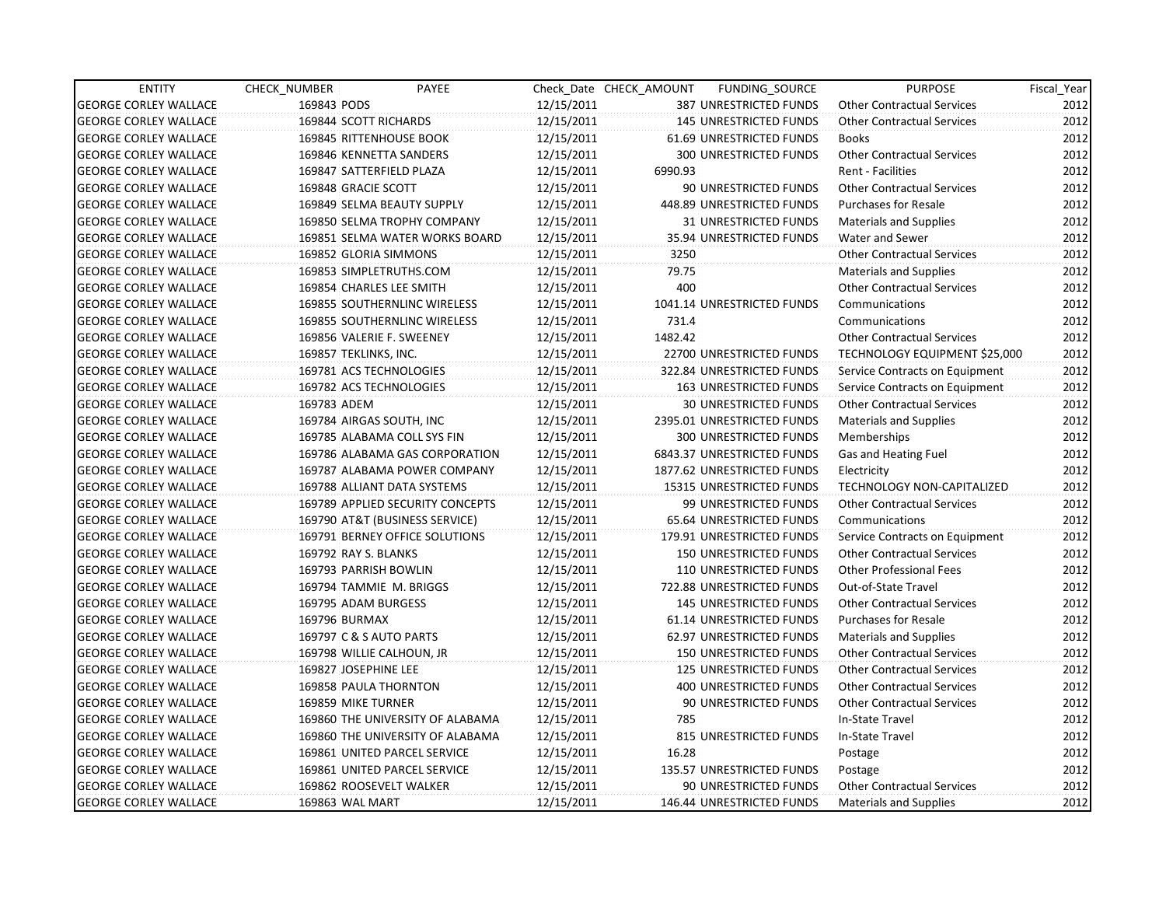| <b>ENTITY</b>                | CHECK_NUMBER                   | PAYEE                            |            | Check Date CHECK AMOUNT | FUNDING_SOURCE                | <b>PURPOSE</b>                    | Fiscal_Year |
|------------------------------|--------------------------------|----------------------------------|------------|-------------------------|-------------------------------|-----------------------------------|-------------|
| <b>GEORGE CORLEY WALLACE</b> | 169843 PODS                    |                                  | 12/15/2011 |                         | 387 UNRESTRICTED FUNDS        | <b>Other Contractual Services</b> | 2012        |
| <b>GEORGE CORLEY WALLACE</b> | 169844 SCOTT RICHARDS          |                                  | 12/15/2011 |                         | <b>145 UNRESTRICTED FUNDS</b> | <b>Other Contractual Services</b> | 2012        |
| <b>GEORGE CORLEY WALLACE</b> | <b>169845 RITTENHOUSE BOOK</b> |                                  | 12/15/2011 |                         | 61.69 UNRESTRICTED FUNDS      | <b>Books</b>                      | 2012        |
| <b>GEORGE CORLEY WALLACE</b> | 169846 KENNETTA SANDERS        |                                  | 12/15/2011 |                         | 300 UNRESTRICTED FUNDS        | <b>Other Contractual Services</b> | 2012        |
| <b>GEORGE CORLEY WALLACE</b> | 169847 SATTERFIELD PLAZA       |                                  | 12/15/2011 | 6990.93                 |                               | <b>Rent - Facilities</b>          | 2012        |
| <b>GEORGE CORLEY WALLACE</b> | 169848 GRACIE SCOTT            |                                  | 12/15/2011 |                         | 90 UNRESTRICTED FUNDS         | <b>Other Contractual Services</b> | 2012        |
| <b>GEORGE CORLEY WALLACE</b> |                                | 169849 SELMA BEAUTY SUPPLY       | 12/15/2011 |                         | 448.89 UNRESTRICTED FUNDS     | <b>Purchases for Resale</b>       | 2012        |
| <b>GEORGE CORLEY WALLACE</b> |                                | 169850 SELMA TROPHY COMPANY      | 12/15/2011 |                         | <b>31 UNRESTRICTED FUNDS</b>  | <b>Materials and Supplies</b>     | 2012        |
| <b>GEORGE CORLEY WALLACE</b> |                                | 169851 SELMA WATER WORKS BOARD   | 12/15/2011 |                         | 35.94 UNRESTRICTED FUNDS      | <b>Water and Sewer</b>            | 2012        |
| <b>GEORGE CORLEY WALLACE</b> | 169852 GLORIA SIMMONS          |                                  | 12/15/2011 | 3250                    |                               | <b>Other Contractual Services</b> | 2012        |
| <b>GEORGE CORLEY WALLACE</b> | 169853 SIMPLETRUTHS.COM        |                                  | 12/15/2011 | 79.75                   |                               | <b>Materials and Supplies</b>     | 2012        |
| <b>GEORGE CORLEY WALLACE</b> | 169854 CHARLES LEE SMITH       |                                  | 12/15/2011 | 400                     |                               | <b>Other Contractual Services</b> | 2012        |
| <b>GEORGE CORLEY WALLACE</b> |                                | 169855 SOUTHERNLINC WIRELESS     | 12/15/2011 |                         | 1041.14 UNRESTRICTED FUNDS    | Communications                    | 2012        |
| <b>GEORGE CORLEY WALLACE</b> |                                | 169855 SOUTHERNLINC WIRELESS     | 12/15/2011 | 731.4                   |                               | Communications                    | 2012        |
| <b>GEORGE CORLEY WALLACE</b> | 169856 VALERIE F. SWEENEY      |                                  | 12/15/2011 | 1482.42                 |                               | <b>Other Contractual Services</b> | 2012        |
| <b>GEORGE CORLEY WALLACE</b> | 169857 TEKLINKS, INC.          |                                  | 12/15/2011 |                         | 22700 UNRESTRICTED FUNDS      | TECHNOLOGY EQUIPMENT \$25,000     | 2012        |
| <b>GEORGE CORLEY WALLACE</b> | 169781 ACS TECHNOLOGIES        |                                  | 12/15/2011 |                         | 322.84 UNRESTRICTED FUNDS     | Service Contracts on Equipment    | 2012        |
| <b>GEORGE CORLEY WALLACE</b> | 169782 ACS TECHNOLOGIES        |                                  | 12/15/2011 |                         | 163 UNRESTRICTED FUNDS        | Service Contracts on Equipment    | 2012        |
| <b>GEORGE CORLEY WALLACE</b> | 169783 ADEM                    |                                  | 12/15/2011 |                         | <b>30 UNRESTRICTED FUNDS</b>  | <b>Other Contractual Services</b> | 2012        |
| <b>GEORGE CORLEY WALLACE</b> | 169784 AIRGAS SOUTH, INC       |                                  | 12/15/2011 |                         | 2395.01 UNRESTRICTED FUNDS    | <b>Materials and Supplies</b>     | 2012        |
| <b>GEORGE CORLEY WALLACE</b> |                                | 169785 ALABAMA COLL SYS FIN      | 12/15/2011 |                         | <b>300 UNRESTRICTED FUNDS</b> | Memberships                       | 2012        |
| <b>GEORGE CORLEY WALLACE</b> |                                | 169786 ALABAMA GAS CORPORATION   | 12/15/2011 |                         | 6843.37 UNRESTRICTED FUNDS    | Gas and Heating Fuel              | 2012        |
| <b>GEORGE CORLEY WALLACE</b> |                                | 169787 ALABAMA POWER COMPANY     | 12/15/2011 |                         | 1877.62 UNRESTRICTED FUNDS    | Electricity                       | 2012        |
| <b>GEORGE CORLEY WALLACE</b> |                                | 169788 ALLIANT DATA SYSTEMS      | 12/15/2011 |                         | 15315 UNRESTRICTED FUNDS      | TECHNOLOGY NON-CAPITALIZED        | 2012        |
| <b>GEORGE CORLEY WALLACE</b> |                                | 169789 APPLIED SECURITY CONCEPTS | 12/15/2011 |                         | 99 UNRESTRICTED FUNDS         | <b>Other Contractual Services</b> | 2012        |
| <b>GEORGE CORLEY WALLACE</b> |                                | 169790 AT&T (BUSINESS SERVICE)   | 12/15/2011 |                         | 65.64 UNRESTRICTED FUNDS      | Communications                    | 2012        |
| <b>GEORGE CORLEY WALLACE</b> |                                | 169791 BERNEY OFFICE SOLUTIONS   | 12/15/2011 |                         | 179.91 UNRESTRICTED FUNDS     | Service Contracts on Equipment    | 2012        |
| <b>GEORGE CORLEY WALLACE</b> | 169792 RAY S. BLANKS           |                                  | 12/15/2011 |                         | <b>150 UNRESTRICTED FUNDS</b> | <b>Other Contractual Services</b> | 2012        |
| <b>GEORGE CORLEY WALLACE</b> | 169793 PARRISH BOWLIN          |                                  | 12/15/2011 |                         | 110 UNRESTRICTED FUNDS        | <b>Other Professional Fees</b>    | 2012        |
| <b>GEORGE CORLEY WALLACE</b> | 169794 TAMMIE M. BRIGGS        |                                  | 12/15/2011 |                         | 722.88 UNRESTRICTED FUNDS     | Out-of-State Travel               | 2012        |
| <b>GEORGE CORLEY WALLACE</b> | 169795 ADAM BURGESS            |                                  | 12/15/2011 |                         | <b>145 UNRESTRICTED FUNDS</b> | <b>Other Contractual Services</b> | 2012        |
| <b>GEORGE CORLEY WALLACE</b> | 169796 BURMAX                  |                                  | 12/15/2011 |                         | 61.14 UNRESTRICTED FUNDS      | <b>Purchases for Resale</b>       | 2012        |
| <b>GEORGE CORLEY WALLACE</b> | 169797 C & S AUTO PARTS        |                                  | 12/15/2011 |                         | 62.97 UNRESTRICTED FUNDS      | <b>Materials and Supplies</b>     | 2012        |
| <b>GEORGE CORLEY WALLACE</b> | 169798 WILLIE CALHOUN, JR      |                                  | 12/15/2011 |                         | <b>150 UNRESTRICTED FUNDS</b> | Other Contractual Services        | 2012        |
| <b>GEORGE CORLEY WALLACE</b> | 169827 JOSEPHINE LEE           |                                  | 12/15/2011 |                         | 125 UNRESTRICTED FUNDS        | <b>Other Contractual Services</b> | 2012        |
| <b>GEORGE CORLEY WALLACE</b> | 169858 PAULA THORNTON          |                                  | 12/15/2011 |                         | 400 UNRESTRICTED FUNDS        | <b>Other Contractual Services</b> | 2012        |
| <b>GEORGE CORLEY WALLACE</b> | 169859 MIKE TURNER             |                                  | 12/15/2011 |                         | 90 UNRESTRICTED FUNDS         | <b>Other Contractual Services</b> | 2012        |
| <b>GEORGE CORLEY WALLACE</b> |                                | 169860 THE UNIVERSITY OF ALABAMA | 12/15/2011 | 785                     |                               | In-State Travel                   | 2012        |
| <b>GEORGE CORLEY WALLACE</b> |                                | 169860 THE UNIVERSITY OF ALABAMA | 12/15/2011 |                         | 815 UNRESTRICTED FUNDS        | In-State Travel                   | 2012        |
| <b>GEORGE CORLEY WALLACE</b> |                                | 169861 UNITED PARCEL SERVICE     | 12/15/2011 | 16.28                   |                               | Postage                           | 2012        |
| <b>GEORGE CORLEY WALLACE</b> |                                | 169861 UNITED PARCEL SERVICE     | 12/15/2011 |                         | 135.57 UNRESTRICTED FUNDS     | Postage                           | 2012        |
| <b>GEORGE CORLEY WALLACE</b> | 169862 ROOSEVELT WALKER        |                                  | 12/15/2011 |                         | 90 UNRESTRICTED FUNDS         | <b>Other Contractual Services</b> | 2012        |
| <b>GEORGE CORLEY WALLACE</b> | 169863 WAL MART                |                                  | 12/15/2011 |                         | 146.44 UNRESTRICTED FUNDS     | Materials and Supplies            | 2012        |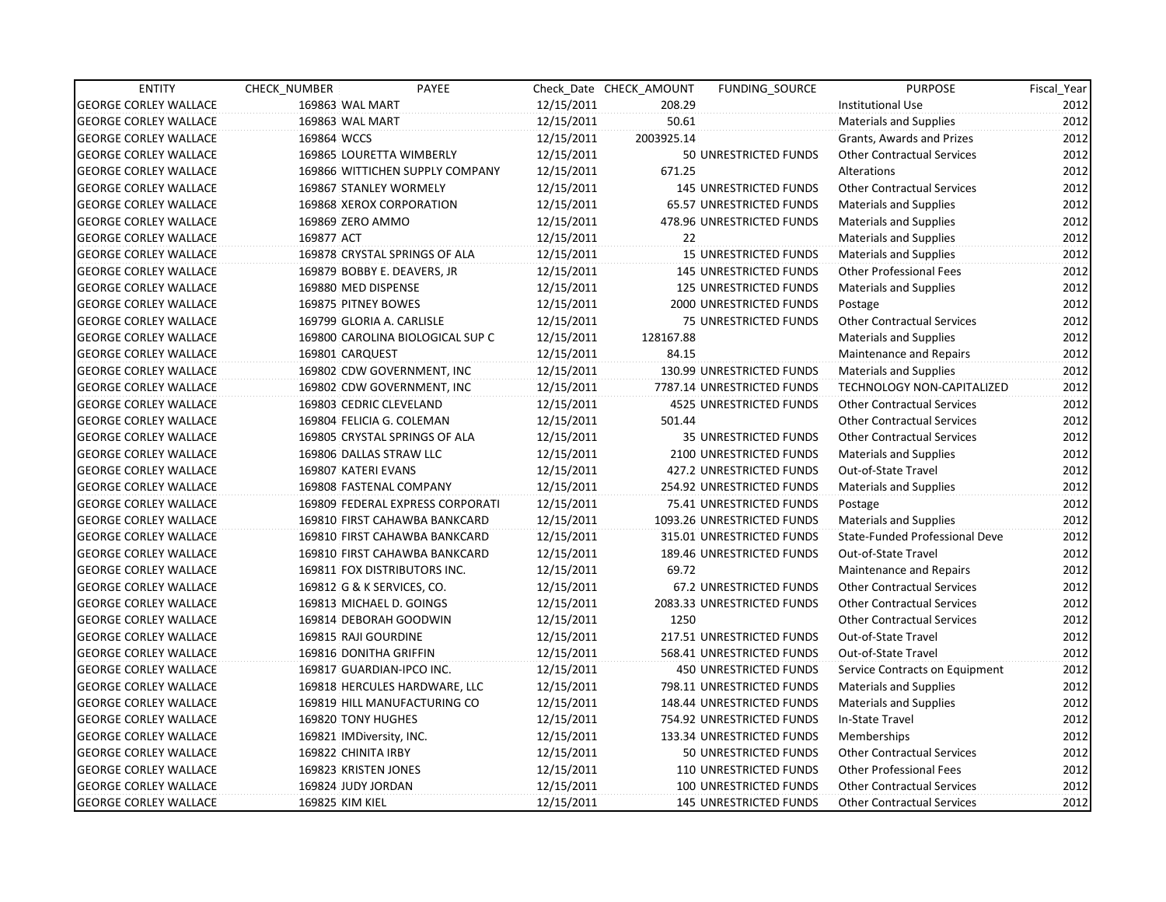| <b>ENTITY</b>                | CHECK_NUMBER             | PAYEE                            |            | Check Date CHECK AMOUNT | FUNDING SOURCE                | <b>PURPOSE</b>                    | Fiscal_Year |
|------------------------------|--------------------------|----------------------------------|------------|-------------------------|-------------------------------|-----------------------------------|-------------|
| <b>GEORGE CORLEY WALLACE</b> | 169863 WAL MART          |                                  | 12/15/2011 | 208.29                  |                               | Institutional Use                 | 2012        |
| <b>GEORGE CORLEY WALLACE</b> | 169863 WAL MART          |                                  | 12/15/2011 | 50.61                   |                               | <b>Materials and Supplies</b>     | 2012        |
| <b>GEORGE CORLEY WALLACE</b> | 169864 WCCS              |                                  | 12/15/2011 | 2003925.14              |                               | Grants, Awards and Prizes         | 2012        |
| <b>GEORGE CORLEY WALLACE</b> |                          | 169865 LOURETTA WIMBERLY         | 12/15/2011 |                         | 50 UNRESTRICTED FUNDS         | <b>Other Contractual Services</b> | 2012        |
| <b>GEORGE CORLEY WALLACE</b> |                          | 169866 WITTICHEN SUPPLY COMPANY  | 12/15/2011 | 671.25                  |                               | Alterations                       | 2012        |
| <b>GEORGE CORLEY WALLACE</b> |                          | 169867 STANLEY WORMELY           | 12/15/2011 |                         | <b>145 UNRESTRICTED FUNDS</b> | <b>Other Contractual Services</b> | 2012        |
| <b>GEORGE CORLEY WALLACE</b> |                          | 169868 XEROX CORPORATION         | 12/15/2011 |                         | 65.57 UNRESTRICTED FUNDS      | <b>Materials and Supplies</b>     | 2012        |
| <b>GEORGE CORLEY WALLACE</b> | 169869 ZERO AMMO         |                                  | 12/15/2011 |                         | 478.96 UNRESTRICTED FUNDS     | <b>Materials and Supplies</b>     | 2012        |
| <b>GEORGE CORLEY WALLACE</b> | 169877 ACT               |                                  | 12/15/2011 | 22                      |                               | Materials and Supplies            | 2012        |
| <b>GEORGE CORLEY WALLACE</b> |                          | 169878 CRYSTAL SPRINGS OF ALA    | 12/15/2011 |                         | <b>15 UNRESTRICTED FUNDS</b>  | <b>Materials and Supplies</b>     | 2012        |
| <b>GEORGE CORLEY WALLACE</b> |                          | 169879 BOBBY E. DEAVERS, JR      | 12/15/2011 |                         | <b>145 UNRESTRICTED FUNDS</b> | <b>Other Professional Fees</b>    | 2012        |
| <b>GEORGE CORLEY WALLACE</b> | 169880 MED DISPENSE      |                                  | 12/15/2011 |                         | 125 UNRESTRICTED FUNDS        | <b>Materials and Supplies</b>     | 2012        |
| <b>GEORGE CORLEY WALLACE</b> | 169875 PITNEY BOWES      |                                  | 12/15/2011 |                         | 2000 UNRESTRICTED FUNDS       | Postage                           | 2012        |
| <b>GEORGE CORLEY WALLACE</b> |                          | 169799 GLORIA A. CARLISLE        | 12/15/2011 |                         | <b>75 UNRESTRICTED FUNDS</b>  | <b>Other Contractual Services</b> | 2012        |
| <b>GEORGE CORLEY WALLACE</b> |                          | 169800 CAROLINA BIOLOGICAL SUP C | 12/15/2011 | 128167.88               |                               | <b>Materials and Supplies</b>     | 2012        |
| <b>GEORGE CORLEY WALLACE</b> | 169801 CARQUEST          |                                  | 12/15/2011 | 84.15                   |                               | Maintenance and Repairs           | 2012        |
| <b>GEORGE CORLEY WALLACE</b> |                          | 169802 CDW GOVERNMENT, INC       | 12/15/2011 |                         | 130.99 UNRESTRICTED FUNDS     | Materials and Supplies            | 2012        |
| <b>GEORGE CORLEY WALLACE</b> |                          | 169802 CDW GOVERNMENT, INC       | 12/15/2011 |                         | 7787.14 UNRESTRICTED FUNDS    | TECHNOLOGY NON-CAPITALIZED        | 2012        |
| <b>GEORGE CORLEY WALLACE</b> |                          | 169803 CEDRIC CLEVELAND          | 12/15/2011 |                         | 4525 UNRESTRICTED FUNDS       | <b>Other Contractual Services</b> | 2012        |
| <b>GEORGE CORLEY WALLACE</b> |                          | 169804 FELICIA G. COLEMAN        | 12/15/2011 | 501.44                  |                               | <b>Other Contractual Services</b> | 2012        |
| <b>GEORGE CORLEY WALLACE</b> |                          | 169805 CRYSTAL SPRINGS OF ALA    | 12/15/2011 |                         | 35 UNRESTRICTED FUNDS         | <b>Other Contractual Services</b> | 2012        |
| <b>GEORGE CORLEY WALLACE</b> |                          | 169806 DALLAS STRAW LLC          | 12/15/2011 |                         | 2100 UNRESTRICTED FUNDS       | <b>Materials and Supplies</b>     | 2012        |
| <b>GEORGE CORLEY WALLACE</b> | 169807 KATERI EVANS      |                                  | 12/15/2011 |                         | 427.2 UNRESTRICTED FUNDS      | Out-of-State Travel               | 2012        |
| <b>GEORGE CORLEY WALLACE</b> |                          | 169808 FASTENAL COMPANY          | 12/15/2011 |                         | 254.92 UNRESTRICTED FUNDS     | Materials and Supplies            | 2012        |
| <b>GEORGE CORLEY WALLACE</b> |                          | 169809 FEDERAL EXPRESS CORPORATI | 12/15/2011 |                         | 75.41 UNRESTRICTED FUNDS      | Postage                           | 2012        |
| <b>GEORGE CORLEY WALLACE</b> |                          | 169810 FIRST CAHAWBA BANKCARD    | 12/15/2011 |                         | 1093.26 UNRESTRICTED FUNDS    | <b>Materials and Supplies</b>     | 2012        |
| <b>GEORGE CORLEY WALLACE</b> |                          | 169810 FIRST CAHAWBA BANKCARD    | 12/15/2011 |                         | 315.01 UNRESTRICTED FUNDS     | State-Funded Professional Deve    | 2012        |
| <b>GEORGE CORLEY WALLACE</b> |                          | 169810 FIRST CAHAWBA BANKCARD    | 12/15/2011 |                         | 189.46 UNRESTRICTED FUNDS     | Out-of-State Travel               | 2012        |
| <b>GEORGE CORLEY WALLACE</b> |                          | 169811 FOX DISTRIBUTORS INC.     | 12/15/2011 | 69.72                   |                               | Maintenance and Repairs           | 2012        |
| <b>GEORGE CORLEY WALLACE</b> |                          | 169812 G & K SERVICES, CO.       | 12/15/2011 |                         | 67.2 UNRESTRICTED FUNDS       | <b>Other Contractual Services</b> | 2012        |
| <b>GEORGE CORLEY WALLACE</b> |                          | 169813 MICHAEL D. GOINGS         | 12/15/2011 |                         | 2083.33 UNRESTRICTED FUNDS    | <b>Other Contractual Services</b> | 2012        |
| <b>GEORGE CORLEY WALLACE</b> |                          | 169814 DEBORAH GOODWIN           | 12/15/2011 | 1250                    |                               | <b>Other Contractual Services</b> | 2012        |
| <b>GEORGE CORLEY WALLACE</b> | 169815 RAJI GOURDINE     |                                  | 12/15/2011 |                         | 217.51 UNRESTRICTED FUNDS     | Out-of-State Travel               | 2012        |
| <b>GEORGE CORLEY WALLACE</b> | 169816 DONITHA GRIFFIN   |                                  | 12/15/2011 |                         | 568.41 UNRESTRICTED FUNDS     | Out-of-State Travel               | 2012        |
| <b>GEORGE CORLEY WALLACE</b> |                          | 169817 GUARDIAN-IPCO INC.        | 12/15/2011 |                         | <b>450 UNRESTRICTED FUNDS</b> | Service Contracts on Equipment    | 2012        |
| <b>GEORGE CORLEY WALLACE</b> |                          | 169818 HERCULES HARDWARE, LLC    | 12/15/2011 |                         | 798.11 UNRESTRICTED FUNDS     | Materials and Supplies            | 2012        |
| <b>GEORGE CORLEY WALLACE</b> |                          | 169819 HILL MANUFACTURING CO     | 12/15/2011 |                         | 148.44 UNRESTRICTED FUNDS     | <b>Materials and Supplies</b>     | 2012        |
| <b>GEORGE CORLEY WALLACE</b> | 169820 TONY HUGHES       |                                  | 12/15/2011 |                         | 754.92 UNRESTRICTED FUNDS     | In-State Travel                   | 2012        |
| <b>GEORGE CORLEY WALLACE</b> | 169821 IMDiversity, INC. |                                  | 12/15/2011 |                         | 133.34 UNRESTRICTED FUNDS     | Memberships                       | 2012        |
| <b>GEORGE CORLEY WALLACE</b> | 169822 CHINITA IRBY      |                                  | 12/15/2011 |                         | 50 UNRESTRICTED FUNDS         | <b>Other Contractual Services</b> | 2012        |
| <b>GEORGE CORLEY WALLACE</b> | 169823 KRISTEN JONES     |                                  | 12/15/2011 |                         | 110 UNRESTRICTED FUNDS        | <b>Other Professional Fees</b>    | 2012        |
| <b>GEORGE CORLEY WALLACE</b> | 169824 JUDY JORDAN       |                                  | 12/15/2011 |                         | 100 UNRESTRICTED FUNDS        | <b>Other Contractual Services</b> | 2012        |
| <b>GEORGE CORLEY WALLACE</b> | 169825 KIM KIEL          |                                  | 12/15/2011 |                         | <b>145 UNRESTRICTED FUNDS</b> | <b>Other Contractual Services</b> | 2012        |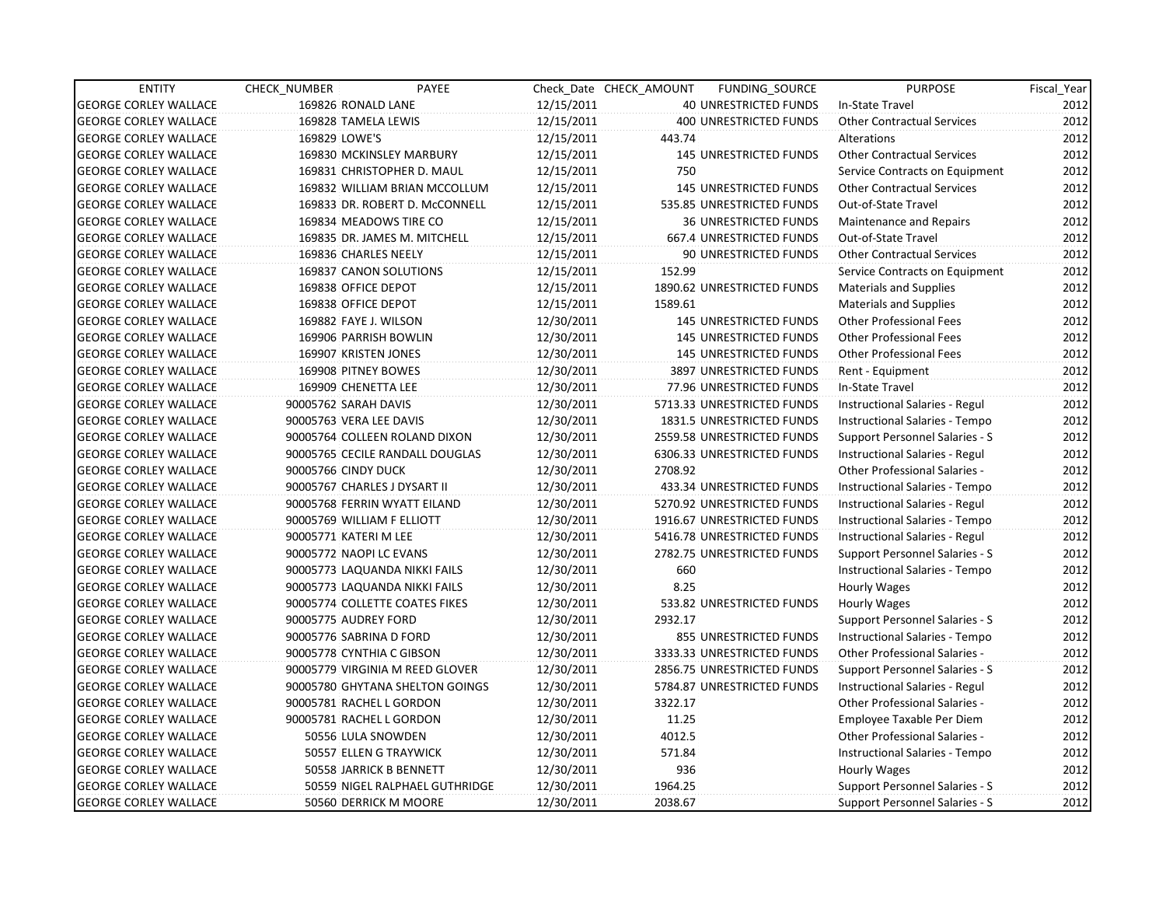| <b>ENTITY</b>                | CHECK_NUMBER          | PAYEE                           |            | Check Date CHECK AMOUNT | FUNDING_SOURCE                | <b>PURPOSE</b>                        | Fiscal_Year |
|------------------------------|-----------------------|---------------------------------|------------|-------------------------|-------------------------------|---------------------------------------|-------------|
| <b>GEORGE CORLEY WALLACE</b> |                       | 169826 RONALD LANE              | 12/15/2011 |                         | 40 UNRESTRICTED FUNDS         | In-State Travel                       | 2012        |
| <b>GEORGE CORLEY WALLACE</b> |                       | 169828 TAMELA LEWIS             | 12/15/2011 |                         | 400 UNRESTRICTED FUNDS        | <b>Other Contractual Services</b>     | 2012        |
| <b>GEORGE CORLEY WALLACE</b> | 169829 LOWE'S         |                                 | 12/15/2011 | 443.74                  |                               | Alterations                           | 2012        |
| <b>GEORGE CORLEY WALLACE</b> |                       | 169830 MCKINSLEY MARBURY        | 12/15/2011 |                         | <b>145 UNRESTRICTED FUNDS</b> | <b>Other Contractual Services</b>     | 2012        |
| <b>GEORGE CORLEY WALLACE</b> |                       | 169831 CHRISTOPHER D. MAUL      | 12/15/2011 | 750                     |                               | Service Contracts on Equipment        | 2012        |
| <b>GEORGE CORLEY WALLACE</b> |                       | 169832 WILLIAM BRIAN MCCOLLUM   | 12/15/2011 |                         | <b>145 UNRESTRICTED FUNDS</b> | <b>Other Contractual Services</b>     | 2012        |
| <b>GEORGE CORLEY WALLACE</b> |                       | 169833 DR. ROBERT D. McCONNELL  | 12/15/2011 |                         | 535.85 UNRESTRICTED FUNDS     | Out-of-State Travel                   | 2012        |
| <b>GEORGE CORLEY WALLACE</b> |                       | 169834 MEADOWS TIRE CO          | 12/15/2011 |                         | <b>36 UNRESTRICTED FUNDS</b>  | Maintenance and Repairs               | 2012        |
| <b>GEORGE CORLEY WALLACE</b> |                       | 169835 DR. JAMES M. MITCHELL    | 12/15/2011 |                         | 667.4 UNRESTRICTED FUNDS      | Out-of-State Travel                   | 2012        |
| <b>GEORGE CORLEY WALLACE</b> |                       | 169836 CHARLES NEELY            | 12/15/2011 |                         | 90 UNRESTRICTED FUNDS         | Other Contractual Services            | 2012        |
| <b>GEORGE CORLEY WALLACE</b> |                       | 169837 CANON SOLUTIONS          | 12/15/2011 | 152.99                  |                               | Service Contracts on Equipment        | 2012        |
| <b>GEORGE CORLEY WALLACE</b> |                       | 169838 OFFICE DEPOT             | 12/15/2011 |                         | 1890.62 UNRESTRICTED FUNDS    | Materials and Supplies                | 2012        |
| <b>GEORGE CORLEY WALLACE</b> |                       | 169838 OFFICE DEPOT             | 12/15/2011 | 1589.61                 |                               | <b>Materials and Supplies</b>         | 2012        |
| <b>GEORGE CORLEY WALLACE</b> |                       | 169882 FAYE J. WILSON           | 12/30/2011 |                         | <b>145 UNRESTRICTED FUNDS</b> | <b>Other Professional Fees</b>        | 2012        |
| <b>GEORGE CORLEY WALLACE</b> |                       | 169906 PARRISH BOWLIN           | 12/30/2011 |                         | <b>145 UNRESTRICTED FUNDS</b> | <b>Other Professional Fees</b>        | 2012        |
| <b>GEORGE CORLEY WALLACE</b> |                       | 169907 KRISTEN JONES            | 12/30/2011 |                         | <b>145 UNRESTRICTED FUNDS</b> | <b>Other Professional Fees</b>        | 2012        |
| <b>GEORGE CORLEY WALLACE</b> |                       | 169908 PITNEY BOWES             | 12/30/2011 |                         | 3897 UNRESTRICTED FUNDS       | Rent - Equipment                      | 2012        |
| <b>GEORGE CORLEY WALLACE</b> |                       | 169909 CHENETTA LEE             | 12/30/2011 |                         | 77.96 UNRESTRICTED FUNDS      | In-State Travel                       | 2012        |
| <b>GEORGE CORLEY WALLACE</b> | 90005762 SARAH DAVIS  |                                 | 12/30/2011 |                         | 5713.33 UNRESTRICTED FUNDS    | <b>Instructional Salaries - Regul</b> | 2012        |
| <b>GEORGE CORLEY WALLACE</b> |                       | 90005763 VERA LEE DAVIS         | 12/30/2011 |                         | 1831.5 UNRESTRICTED FUNDS     | Instructional Salaries - Tempo        | 2012        |
| <b>GEORGE CORLEY WALLACE</b> |                       | 90005764 COLLEEN ROLAND DIXON   | 12/30/2011 |                         | 2559.58 UNRESTRICTED FUNDS    | Support Personnel Salaries - S        | 2012        |
| <b>GEORGE CORLEY WALLACE</b> |                       | 90005765 CECILE RANDALL DOUGLAS | 12/30/2011 |                         | 6306.33 UNRESTRICTED FUNDS    | Instructional Salaries - Regul        | 2012        |
| <b>GEORGE CORLEY WALLACE</b> | 90005766 CINDY DUCK   |                                 | 12/30/2011 | 2708.92                 |                               | <b>Other Professional Salaries -</b>  | 2012        |
| <b>GEORGE CORLEY WALLACE</b> |                       | 90005767 CHARLES J DYSART II    | 12/30/2011 |                         | 433.34 UNRESTRICTED FUNDS     | Instructional Salaries - Tempo        | 2012        |
| <b>GEORGE CORLEY WALLACE</b> |                       | 90005768 FERRIN WYATT EILAND    | 12/30/2011 |                         | 5270.92 UNRESTRICTED FUNDS    | Instructional Salaries - Regul        | 2012        |
| <b>GEORGE CORLEY WALLACE</b> |                       | 90005769 WILLIAM F ELLIOTT      | 12/30/2011 |                         | 1916.67 UNRESTRICTED FUNDS    | Instructional Salaries - Tempo        | 2012        |
| <b>GEORGE CORLEY WALLACE</b> | 90005771 KATERI M LEE |                                 | 12/30/2011 |                         | 5416.78 UNRESTRICTED FUNDS    | Instructional Salaries - Regul        | 2012        |
| <b>GEORGE CORLEY WALLACE</b> |                       | 90005772 NAOPI LC EVANS         | 12/30/2011 |                         | 2782.75 UNRESTRICTED FUNDS    | <b>Support Personnel Salaries - S</b> | 2012        |
| <b>GEORGE CORLEY WALLACE</b> |                       | 90005773 LAQUANDA NIKKI FAILS   | 12/30/2011 | 660                     |                               | Instructional Salaries - Tempo        | 2012        |
| <b>GEORGE CORLEY WALLACE</b> |                       | 90005773 LAQUANDA NIKKI FAILS   | 12/30/2011 | 8.25                    |                               | Hourly Wages                          | 2012        |
| <b>GEORGE CORLEY WALLACE</b> |                       | 90005774 COLLETTE COATES FIKES  | 12/30/2011 |                         | 533.82 UNRESTRICTED FUNDS     | Hourly Wages                          | 2012        |
| <b>GEORGE CORLEY WALLACE</b> | 90005775 AUDREY FORD  |                                 | 12/30/2011 | 2932.17                 |                               | Support Personnel Salaries - S        | 2012        |
| <b>GEORGE CORLEY WALLACE</b> |                       | 90005776 SABRINA D FORD         | 12/30/2011 |                         | 855 UNRESTRICTED FUNDS        | Instructional Salaries - Tempo        | 2012        |
| <b>GEORGE CORLEY WALLACE</b> |                       | 90005778 CYNTHIA C GIBSON       | 12/30/2011 |                         | 3333.33 UNRESTRICTED FUNDS    | Other Professional Salaries -         | 2012        |
| <b>GEORGE CORLEY WALLACE</b> |                       | 90005779 VIRGINIA M REED GLOVER | 12/30/2011 |                         | 2856.75 UNRESTRICTED FUNDS    | Support Personnel Salaries - S        | 2012        |
| <b>GEORGE CORLEY WALLACE</b> |                       | 90005780 GHYTANA SHELTON GOINGS | 12/30/2011 |                         | 5784.87 UNRESTRICTED FUNDS    | Instructional Salaries - Regul        | 2012        |
| <b>GEORGE CORLEY WALLACE</b> |                       | 90005781 RACHEL L GORDON        | 12/30/2011 | 3322.17                 |                               | <b>Other Professional Salaries -</b>  | 2012        |
| <b>GEORGE CORLEY WALLACE</b> |                       | 90005781 RACHEL L GORDON        | 12/30/2011 | 11.25                   |                               | Employee Taxable Per Diem             | 2012        |
| <b>GEORGE CORLEY WALLACE</b> |                       | 50556 LULA SNOWDEN              | 12/30/2011 | 4012.5                  |                               | Other Professional Salaries -         | 2012        |
| <b>GEORGE CORLEY WALLACE</b> |                       | 50557 ELLEN G TRAYWICK          | 12/30/2011 | 571.84                  |                               | Instructional Salaries - Tempo        | 2012        |
| <b>GEORGE CORLEY WALLACE</b> |                       | 50558 JARRICK B BENNETT         | 12/30/2011 | 936                     |                               | Hourly Wages                          | 2012        |
| <b>GEORGE CORLEY WALLACE</b> |                       | 50559 NIGEL RALPHAEL GUTHRIDGE  | 12/30/2011 | 1964.25                 |                               | Support Personnel Salaries - S        | 2012        |
| <b>GEORGE CORLEY WALLACE</b> |                       | 50560 DERRICK M MOORE           | 12/30/2011 | 2038.67                 |                               | Support Personnel Salaries - S        | 2012        |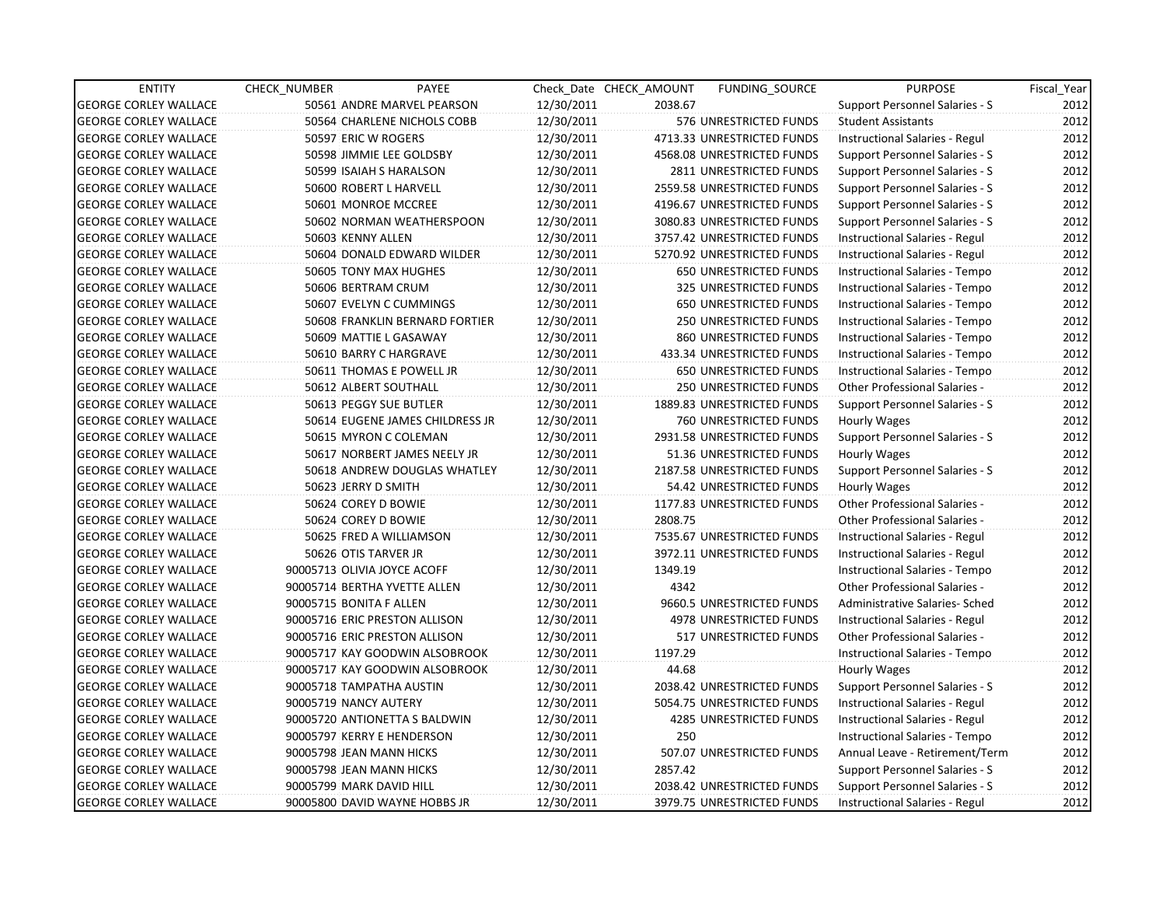| <b>ENTITY</b>                | CHECK_NUMBER | PAYEE                           |            | Check Date CHECK AMOUNT | FUNDING SOURCE                 | <b>PURPOSE</b>                       | Fiscal_Year |
|------------------------------|--------------|---------------------------------|------------|-------------------------|--------------------------------|--------------------------------------|-------------|
| <b>GEORGE CORLEY WALLACE</b> |              | 50561 ANDRE MARVEL PEARSON      | 12/30/2011 | 2038.67                 |                                | Support Personnel Salaries - S       | 2012        |
| <b>GEORGE CORLEY WALLACE</b> |              | 50564 CHARLENE NICHOLS COBB     | 12/30/2011 |                         | 576 UNRESTRICTED FUNDS         | <b>Student Assistants</b>            | 2012        |
| <b>GEORGE CORLEY WALLACE</b> |              | 50597 ERIC W ROGERS             | 12/30/2011 |                         | 4713.33 UNRESTRICTED FUNDS     | Instructional Salaries - Regul       | 2012        |
| <b>GEORGE CORLEY WALLACE</b> |              | 50598 JIMMIE LEE GOLDSBY        | 12/30/2011 |                         | 4568.08 UNRESTRICTED FUNDS     | Support Personnel Salaries - S       | 2012        |
| <b>GEORGE CORLEY WALLACE</b> |              | 50599 ISAIAH S HARALSON         | 12/30/2011 |                         | 2811 UNRESTRICTED FUNDS        | Support Personnel Salaries - S       | 2012        |
| <b>GEORGE CORLEY WALLACE</b> |              | 50600 ROBERT L HARVELL          | 12/30/2011 |                         | 2559.58 UNRESTRICTED FUNDS     | Support Personnel Salaries - S       | 2012        |
| <b>GEORGE CORLEY WALLACE</b> |              | 50601 MONROE MCCREE             | 12/30/2011 |                         | 4196.67 UNRESTRICTED FUNDS     | Support Personnel Salaries - S       | 2012        |
| <b>GEORGE CORLEY WALLACE</b> |              | 50602 NORMAN WEATHERSPOON       | 12/30/2011 |                         | 3080.83 UNRESTRICTED FUNDS     | Support Personnel Salaries - S       | 2012        |
| <b>GEORGE CORLEY WALLACE</b> |              | 50603 KENNY ALLEN               | 12/30/2011 |                         | 3757.42 UNRESTRICTED FUNDS     | Instructional Salaries - Regul       | 2012        |
| <b>GEORGE CORLEY WALLACE</b> |              | 50604 DONALD EDWARD WILDER      | 12/30/2011 |                         | 5270.92 UNRESTRICTED FUNDS     | Instructional Salaries - Regul       | 2012        |
| <b>GEORGE CORLEY WALLACE</b> |              | 50605 TONY MAX HUGHES           | 12/30/2011 |                         | 650 UNRESTRICTED FUNDS         | Instructional Salaries - Tempo       | 2012        |
| <b>GEORGE CORLEY WALLACE</b> |              | 50606 BERTRAM CRUM              | 12/30/2011 |                         | 325 UNRESTRICTED FUNDS         | Instructional Salaries - Tempo       | 2012        |
| <b>GEORGE CORLEY WALLACE</b> |              | 50607 EVELYN C CUMMINGS         | 12/30/2011 |                         | 650 UNRESTRICTED FUNDS         | Instructional Salaries - Tempo       | 2012        |
| <b>GEORGE CORLEY WALLACE</b> |              | 50608 FRANKLIN BERNARD FORTIER  | 12/30/2011 |                         | <b>250 UNRESTRICTED FUNDS</b>  | Instructional Salaries - Tempo       | 2012        |
| <b>GEORGE CORLEY WALLACE</b> |              | 50609 MATTIE L GASAWAY          | 12/30/2011 |                         | 860 UNRESTRICTED FUNDS         | Instructional Salaries - Tempo       | 2012        |
| <b>GEORGE CORLEY WALLACE</b> |              | 50610 BARRY C HARGRAVE          | 12/30/2011 |                         | 433.34 UNRESTRICTED FUNDS      | Instructional Salaries - Tempo       | 2012        |
| <b>GEORGE CORLEY WALLACE</b> |              | 50611 THOMAS E POWELL JR        | 12/30/2011 |                         | <b>650 UNRESTRICTED FUNDS</b>  | Instructional Salaries - Tempo       | 2012        |
| <b>GEORGE CORLEY WALLACE</b> |              | 50612 ALBERT SOUTHALL           | 12/30/2011 |                         | 250 UNRESTRICTED FUNDS         | Other Professional Salaries -        | 2012        |
| <b>GEORGE CORLEY WALLACE</b> |              | 50613 PEGGY SUE BUTLER          | 12/30/2011 |                         | 1889.83 UNRESTRICTED FUNDS     | Support Personnel Salaries - S       | 2012        |
| <b>GEORGE CORLEY WALLACE</b> |              | 50614 EUGENE JAMES CHILDRESS JR | 12/30/2011 |                         | 760 UNRESTRICTED FUNDS         | <b>Hourly Wages</b>                  | 2012        |
| <b>GEORGE CORLEY WALLACE</b> |              | 50615 MYRON C COLEMAN           | 12/30/2011 |                         | 2931.58 UNRESTRICTED FUNDS     | Support Personnel Salaries - S       | 2012        |
| <b>GEORGE CORLEY WALLACE</b> |              | 50617 NORBERT JAMES NEELY JR    | 12/30/2011 |                         | 51.36 UNRESTRICTED FUNDS       | Hourly Wages                         | 2012        |
| <b>GEORGE CORLEY WALLACE</b> |              | 50618 ANDREW DOUGLAS WHATLEY    | 12/30/2011 |                         | 2187.58 UNRESTRICTED FUNDS     | Support Personnel Salaries - S       | 2012        |
| <b>GEORGE CORLEY WALLACE</b> |              | 50623 JERRY D SMITH             | 12/30/2011 |                         | 54.42 UNRESTRICTED FUNDS       | Hourly Wages                         | 2012        |
| <b>GEORGE CORLEY WALLACE</b> |              | 50624 COREY D BOWIE             | 12/30/2011 |                         | 1177.83 UNRESTRICTED FUNDS     | <b>Other Professional Salaries -</b> | 2012        |
| <b>GEORGE CORLEY WALLACE</b> |              | 50624 COREY D BOWIE             | 12/30/2011 | 2808.75                 |                                | <b>Other Professional Salaries -</b> | 2012        |
| <b>GEORGE CORLEY WALLACE</b> |              | 50625 FRED A WILLIAMSON         | 12/30/2011 |                         | 7535.67 UNRESTRICTED FUNDS     | Instructional Salaries - Regul       | 2012        |
| <b>GEORGE CORLEY WALLACE</b> |              | 50626 OTIS TARVER JR            | 12/30/2011 |                         | 3972.11 UNRESTRICTED FUNDS     | Instructional Salaries - Regul       | 2012        |
| <b>GEORGE CORLEY WALLACE</b> |              | 90005713 OLIVIA JOYCE ACOFF     | 12/30/2011 | 1349.19                 |                                | Instructional Salaries - Tempo       | 2012        |
| <b>GEORGE CORLEY WALLACE</b> |              | 90005714 BERTHA YVETTE ALLEN    | 12/30/2011 | 4342                    |                                | Other Professional Salaries -        | 2012        |
| <b>GEORGE CORLEY WALLACE</b> |              | 90005715 BONITA F ALLEN         | 12/30/2011 |                         | 9660.5 UNRESTRICTED FUNDS      | Administrative Salaries- Sched       | 2012        |
| <b>GEORGE CORLEY WALLACE</b> |              | 90005716 ERIC PRESTON ALLISON   | 12/30/2011 |                         | 4978 UNRESTRICTED FUNDS        | Instructional Salaries - Regul       | 2012        |
| <b>GEORGE CORLEY WALLACE</b> |              | 90005716 ERIC PRESTON ALLISON   | 12/30/2011 |                         | 517 UNRESTRICTED FUNDS         | Other Professional Salaries -        | 2012        |
| <b>GEORGE CORLEY WALLACE</b> |              | 90005717 KAY GOODWIN ALSOBROOK  | 12/30/2011 | 1197.29                 |                                | Instructional Salaries - Tempo       | 2012        |
| <b>GEORGE CORLEY WALLACE</b> |              | 90005717 KAY GOODWIN ALSOBROOK  | 12/30/2011 | 44.68                   |                                | Hourly Wages                         | 2012        |
| <b>GEORGE CORLEY WALLACE</b> |              | 90005718 TAMPATHA AUSTIN        | 12/30/2011 |                         | 2038.42 UNRESTRICTED FUNDS     | Support Personnel Salaries - S       | 2012        |
| <b>GEORGE CORLEY WALLACE</b> |              | 90005719 NANCY AUTERY           | 12/30/2011 |                         | 5054.75 UNRESTRICTED FUNDS     | Instructional Salaries - Regul       | 2012        |
| <b>GEORGE CORLEY WALLACE</b> |              | 90005720 ANTIONETTA S BALDWIN   | 12/30/2011 |                         | <b>4285 UNRESTRICTED FUNDS</b> | Instructional Salaries - Regul       | 2012        |
| <b>GEORGE CORLEY WALLACE</b> |              | 90005797 KERRY E HENDERSON      | 12/30/2011 | 250                     |                                | Instructional Salaries - Tempo       | 2012        |
| <b>GEORGE CORLEY WALLACE</b> |              | 90005798 JEAN MANN HICKS        | 12/30/2011 |                         | 507.07 UNRESTRICTED FUNDS      | Annual Leave - Retirement/Term       | 2012        |
| <b>GEORGE CORLEY WALLACE</b> |              | 90005798 JEAN MANN HICKS        | 12/30/2011 | 2857.42                 |                                | Support Personnel Salaries - S       | 2012        |
| <b>GEORGE CORLEY WALLACE</b> |              | 90005799 MARK DAVID HILL        | 12/30/2011 |                         | 2038.42 UNRESTRICTED FUNDS     | Support Personnel Salaries - S       | 2012        |
| <b>GEORGE CORLEY WALLACE</b> |              | 90005800 DAVID WAYNE HOBBS JR   | 12/30/2011 |                         | 3979.75 UNRESTRICTED FUNDS     | Instructional Salaries - Regul       | 2012        |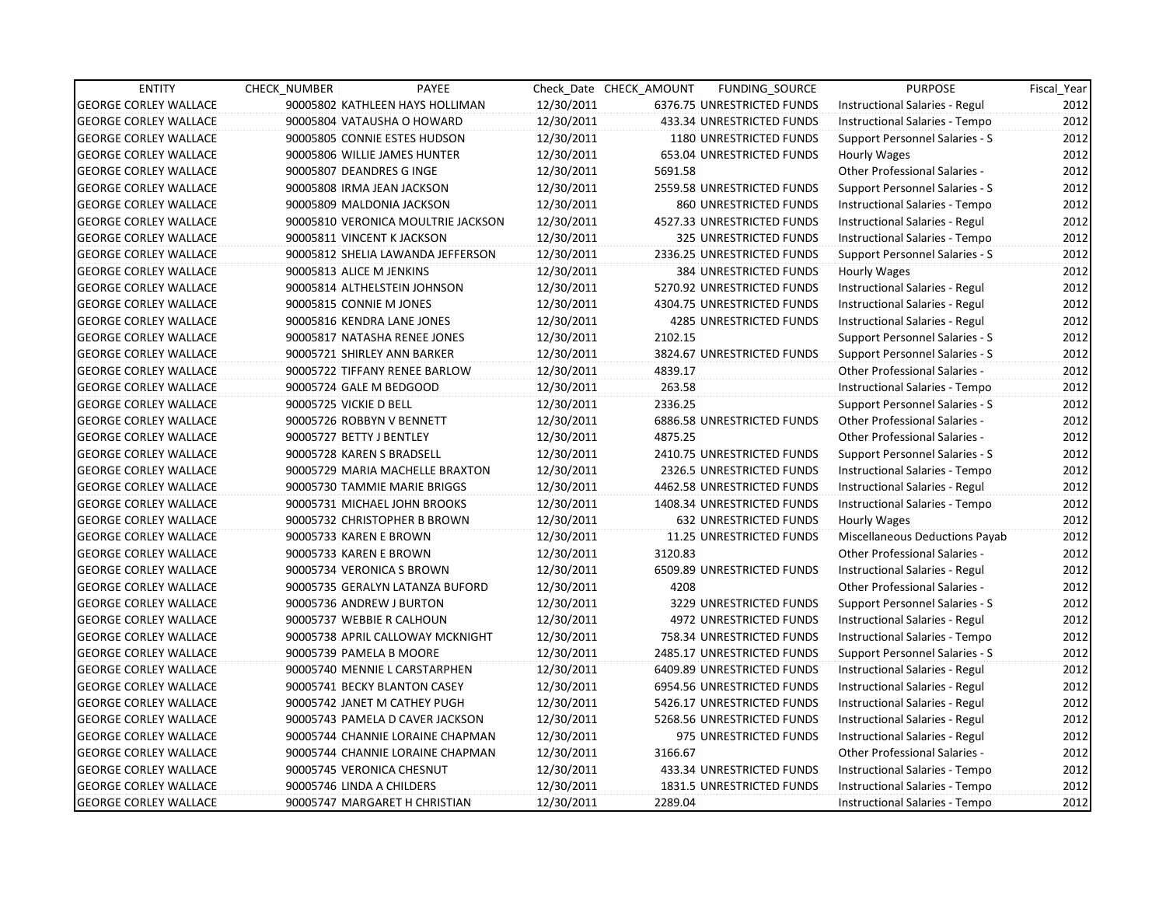| <b>ENTITY</b>                | CHECK_NUMBER                 | PAYEE                              |            | Check Date CHECK AMOUNT | FUNDING SOURCE                    | <b>PURPOSE</b>                       | Fiscal_Year |
|------------------------------|------------------------------|------------------------------------|------------|-------------------------|-----------------------------------|--------------------------------------|-------------|
| <b>GEORGE CORLEY WALLACE</b> |                              | 90005802 KATHLEEN HAYS HOLLIMAN    | 12/30/2011 |                         | 6376.75 UNRESTRICTED FUNDS        | Instructional Salaries - Regul       | 2012        |
| <b>GEORGE CORLEY WALLACE</b> |                              | 90005804 VATAUSHA O HOWARD         | 12/30/2011 |                         | 433.34 UNRESTRICTED FUNDS         | Instructional Salaries - Tempo       | 2012        |
| <b>GEORGE CORLEY WALLACE</b> |                              | 90005805 CONNIE ESTES HUDSON       | 12/30/2011 |                         | <b>1180 UNRESTRICTED FUNDS</b>    | Support Personnel Salaries - S       | 2012        |
| <b>GEORGE CORLEY WALLACE</b> | 90005806 WILLIE JAMES HUNTER |                                    | 12/30/2011 |                         | 653.04 UNRESTRICTED FUNDS         | Hourly Wages                         | 2012        |
| <b>GEORGE CORLEY WALLACE</b> | 90005807 DEANDRES G INGE     |                                    | 12/30/2011 | 5691.58                 |                                   | <b>Other Professional Salaries -</b> | 2012        |
| <b>GEORGE CORLEY WALLACE</b> | 90005808 IRMA JEAN JACKSON   |                                    | 12/30/2011 |                         | 2559.58 UNRESTRICTED FUNDS        | Support Personnel Salaries - S       | 2012        |
| <b>GEORGE CORLEY WALLACE</b> | 90005809 MALDONIA JACKSON    |                                    | 12/30/2011 |                         | 860 UNRESTRICTED FUNDS            | Instructional Salaries - Tempo       | 2012        |
| <b>GEORGE CORLEY WALLACE</b> |                              | 90005810 VERONICA MOULTRIE JACKSON | 12/30/2011 |                         | 4527.33 UNRESTRICTED FUNDS        | Instructional Salaries - Regul       | 2012        |
| <b>GEORGE CORLEY WALLACE</b> | 90005811 VINCENT K JACKSON   |                                    | 12/30/2011 |                         | 325 UNRESTRICTED FUNDS            | Instructional Salaries - Tempo       | 2012        |
| <b>GEORGE CORLEY WALLACE</b> |                              | 90005812 SHELIA LAWANDA JEFFERSON  | 12/30/2011 |                         | 2336.25 UNRESTRICTED FUNDS        | Support Personnel Salaries - S       | 2012        |
| <b>GEORGE CORLEY WALLACE</b> | 90005813 ALICE M JENKINS     |                                    | 12/30/2011 |                         | 384 UNRESTRICTED FUNDS            | Hourly Wages                         | 2012        |
| <b>GEORGE CORLEY WALLACE</b> |                              | 90005814 ALTHELSTEIN JOHNSON       | 12/30/2011 |                         | 5270.92 UNRESTRICTED FUNDS        | Instructional Salaries - Regul       | 2012        |
| <b>GEORGE CORLEY WALLACE</b> | 90005815 CONNIE M JONES      |                                    | 12/30/2011 |                         | 4304.75 UNRESTRICTED FUNDS        | Instructional Salaries - Regul       | 2012        |
| <b>GEORGE CORLEY WALLACE</b> | 90005816 KENDRA LANE JONES   |                                    | 12/30/2011 |                         | <b>4285 UNRESTRICTED FUNDS</b>    | Instructional Salaries - Regul       | 2012        |
| <b>GEORGE CORLEY WALLACE</b> |                              | 90005817 NATASHA RENEE JONES       | 12/30/2011 | 2102.15                 |                                   | Support Personnel Salaries - S       | 2012        |
| <b>GEORGE CORLEY WALLACE</b> | 90005721 SHIRLEY ANN BARKER  |                                    | 12/30/2011 |                         | 3824.67 UNRESTRICTED FUNDS        | Support Personnel Salaries - S       | 2012        |
| <b>GEORGE CORLEY WALLACE</b> |                              | 90005722 TIFFANY RENEE BARLOW      | 12/30/2011 | 4839.17                 |                                   | Other Professional Salaries -        | 2012        |
| <b>GEORGE CORLEY WALLACE</b> | 90005724 GALE M BEDGOOD      |                                    | 12/30/2011 | 263.58                  |                                   | Instructional Salaries - Tempo       | 2012        |
| <b>GEORGE CORLEY WALLACE</b> | 90005725 VICKIE D BELL       |                                    | 12/30/2011 | 2336.25                 |                                   | Support Personnel Salaries - S       | 2012        |
| <b>GEORGE CORLEY WALLACE</b> | 90005726 ROBBYN V BENNETT    |                                    | 12/30/2011 |                         | <b>6886.58 UNRESTRICTED FUNDS</b> | Other Professional Salaries -        | 2012        |
| <b>GEORGE CORLEY WALLACE</b> | 90005727 BETTY J BENTLEY     |                                    | 12/30/2011 | 4875.25                 |                                   | Other Professional Salaries -        | 2012        |
| <b>GEORGE CORLEY WALLACE</b> | 90005728 KAREN S BRADSELL    |                                    | 12/30/2011 |                         | 2410.75 UNRESTRICTED FUNDS        | Support Personnel Salaries - S       | 2012        |
| <b>GEORGE CORLEY WALLACE</b> |                              | 90005729 MARIA MACHELLE BRAXTON    | 12/30/2011 |                         | 2326.5 UNRESTRICTED FUNDS         | Instructional Salaries - Tempo       | 2012        |
| <b>GEORGE CORLEY WALLACE</b> |                              | 90005730 TAMMIE MARIE BRIGGS       | 12/30/2011 |                         | 4462.58 UNRESTRICTED FUNDS        | Instructional Salaries - Regul       | 2012        |
| <b>GEORGE CORLEY WALLACE</b> |                              | 90005731 MICHAEL JOHN BROOKS       | 12/30/2011 |                         | 1408.34 UNRESTRICTED FUNDS        | Instructional Salaries - Tempo       | 2012        |
| <b>GEORGE CORLEY WALLACE</b> |                              | 90005732 CHRISTOPHER B BROWN       | 12/30/2011 |                         | <b>632 UNRESTRICTED FUNDS</b>     | Hourly Wages                         | 2012        |
| <b>GEORGE CORLEY WALLACE</b> | 90005733 KAREN E BROWN       |                                    | 12/30/2011 |                         | 11.25 UNRESTRICTED FUNDS          | Miscellaneous Deductions Payab       | 2012        |
| <b>GEORGE CORLEY WALLACE</b> | 90005733 KAREN E BROWN       |                                    | 12/30/2011 | 3120.83                 |                                   | <b>Other Professional Salaries -</b> | 2012        |
| <b>GEORGE CORLEY WALLACE</b> | 90005734 VERONICA S BROWN    |                                    | 12/30/2011 |                         | 6509.89 UNRESTRICTED FUNDS        | Instructional Salaries - Regul       | 2012        |
| <b>GEORGE CORLEY WALLACE</b> |                              | 90005735 GERALYN LATANZA BUFORD    | 12/30/2011 | 4208                    |                                   | Other Professional Salaries -        | 2012        |
| <b>GEORGE CORLEY WALLACE</b> | 90005736 ANDREW J BURTON     |                                    | 12/30/2011 |                         | 3229 UNRESTRICTED FUNDS           | Support Personnel Salaries - S       | 2012        |
| <b>GEORGE CORLEY WALLACE</b> | 90005737 WEBBIE R CALHOUN    |                                    | 12/30/2011 |                         | 4972 UNRESTRICTED FUNDS           | Instructional Salaries - Regul       | 2012        |
| <b>GEORGE CORLEY WALLACE</b> |                              | 90005738 APRIL CALLOWAY MCKNIGHT   | 12/30/2011 |                         | 758.34 UNRESTRICTED FUNDS         | Instructional Salaries - Tempo       | 2012        |
| <b>GEORGE CORLEY WALLACE</b> | 90005739 PAMELA B MOORE      |                                    | 12/30/2011 |                         | 2485.17 UNRESTRICTED FUNDS        | Support Personnel Salaries - S       | 2012        |
| <b>GEORGE CORLEY WALLACE</b> |                              | 90005740 MENNIE L CARSTARPHEN      | 12/30/2011 |                         | 6409.89 UNRESTRICTED FUNDS        | Instructional Salaries - Regul       | 2012        |
| <b>GEORGE CORLEY WALLACE</b> |                              | 90005741 BECKY BLANTON CASEY       | 12/30/2011 |                         | 6954.56 UNRESTRICTED FUNDS        | Instructional Salaries - Regul       | 2012        |
| <b>GEORGE CORLEY WALLACE</b> |                              | 90005742 JANET M CATHEY PUGH       | 12/30/2011 |                         | 5426.17 UNRESTRICTED FUNDS        | Instructional Salaries - Regul       | 2012        |
| <b>GEORGE CORLEY WALLACE</b> |                              | 90005743 PAMELA D CAVER JACKSON    | 12/30/2011 |                         | 5268.56 UNRESTRICTED FUNDS        | Instructional Salaries - Regul       | 2012        |
| <b>GEORGE CORLEY WALLACE</b> |                              | 90005744 CHANNIE LORAINE CHAPMAN   | 12/30/2011 |                         | 975 UNRESTRICTED FUNDS            | Instructional Salaries - Regul       | 2012        |
| <b>GEORGE CORLEY WALLACE</b> |                              | 90005744 CHANNIE LORAINE CHAPMAN   | 12/30/2011 | 3166.67                 |                                   | Other Professional Salaries -        | 2012        |
| <b>GEORGE CORLEY WALLACE</b> | 90005745 VERONICA CHESNUT    |                                    | 12/30/2011 |                         | 433.34 UNRESTRICTED FUNDS         | Instructional Salaries - Tempo       | 2012        |
| <b>GEORGE CORLEY WALLACE</b> | 90005746 LINDA A CHILDERS    |                                    | 12/30/2011 |                         | 1831.5 UNRESTRICTED FUNDS         | Instructional Salaries - Tempo       | 2012        |
| <b>GEORGE CORLEY WALLACE</b> |                              | 90005747 MARGARET H CHRISTIAN      | 12/30/2011 | 2289.04                 |                                   | Instructional Salaries - Tempo       | 2012        |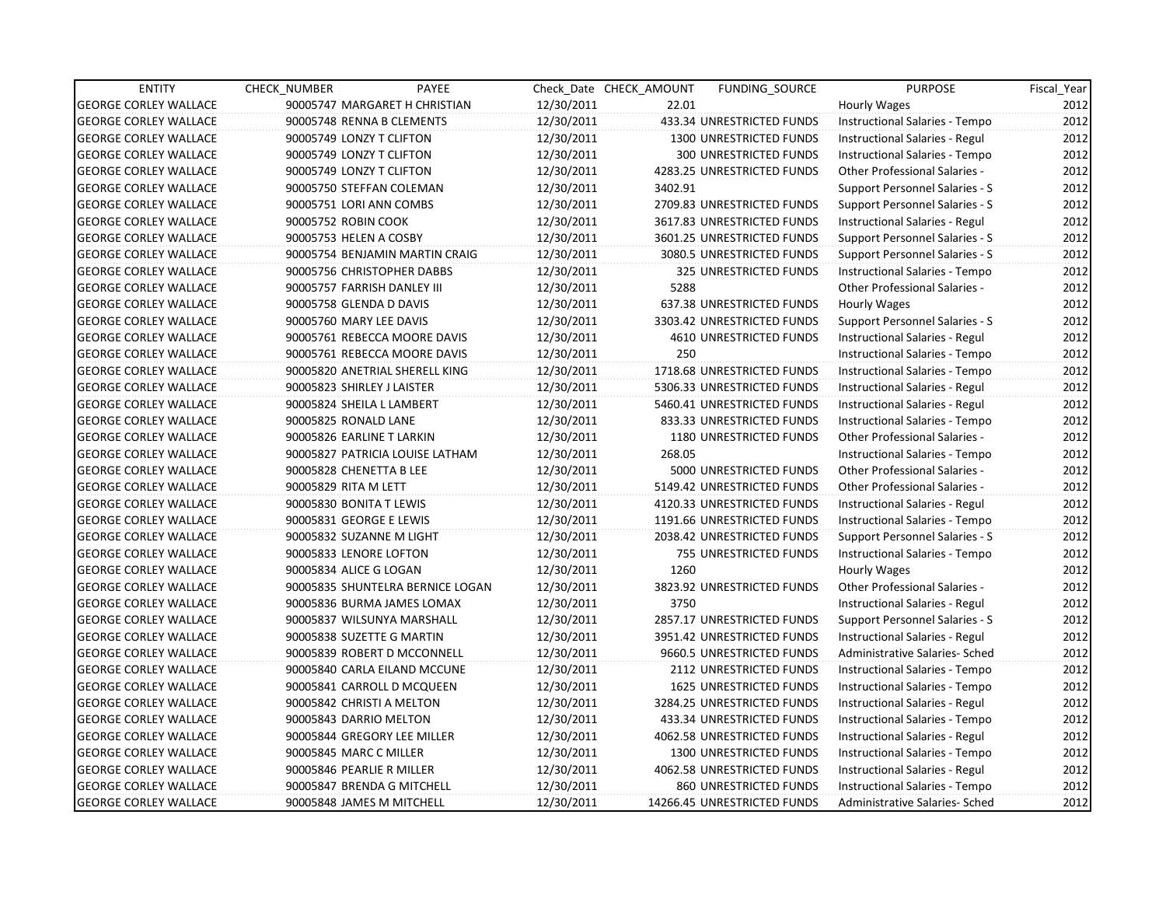| <b>ENTITY</b>                | <b>CHECK NUMBER</b> | PAYEE                            |            | Check Date CHECK AMOUNT | <b>FUNDING SOURCE</b>          | <b>PURPOSE</b>                        | Fiscal_Year |
|------------------------------|---------------------|----------------------------------|------------|-------------------------|--------------------------------|---------------------------------------|-------------|
| <b>GEORGE CORLEY WALLACE</b> |                     | 90005747 MARGARET H CHRISTIAN    | 12/30/2011 | 22.01                   |                                | Hourly Wages                          | 2012        |
| <b>GEORGE CORLEY WALLACE</b> |                     | 90005748 RENNA B CLEMENTS        | 12/30/2011 |                         | 433.34 UNRESTRICTED FUNDS      | Instructional Salaries - Tempo        | 2012        |
| <b>GEORGE CORLEY WALLACE</b> |                     | 90005749 LONZY T CLIFTON         | 12/30/2011 |                         | <b>1300 UNRESTRICTED FUNDS</b> | Instructional Salaries - Regul        | 2012        |
| <b>GEORGE CORLEY WALLACE</b> |                     | 90005749 LONZY T CLIFTON         | 12/30/2011 |                         | <b>300 UNRESTRICTED FUNDS</b>  | Instructional Salaries - Tempo        | 2012        |
| <b>GEORGE CORLEY WALLACE</b> |                     | 90005749 LONZY T CLIFTON         | 12/30/2011 |                         | 4283.25 UNRESTRICTED FUNDS     | Other Professional Salaries -         | 2012        |
| <b>GEORGE CORLEY WALLACE</b> |                     | 90005750 STEFFAN COLEMAN         | 12/30/2011 | 3402.91                 |                                | Support Personnel Salaries - S        | 2012        |
| <b>GEORGE CORLEY WALLACE</b> |                     | 90005751 LORI ANN COMBS          | 12/30/2011 |                         | 2709.83 UNRESTRICTED FUNDS     | <b>Support Personnel Salaries - S</b> | 2012        |
| <b>GEORGE CORLEY WALLACE</b> |                     | 90005752 ROBIN COOK              | 12/30/2011 |                         | 3617.83 UNRESTRICTED FUNDS     | Instructional Salaries - Regul        | 2012        |
| <b>GEORGE CORLEY WALLACE</b> |                     | 90005753 HELEN A COSBY           | 12/30/2011 |                         | 3601.25 UNRESTRICTED FUNDS     | Support Personnel Salaries - S        | 2012        |
| <b>GEORGE CORLEY WALLACE</b> |                     | 90005754 BENJAMIN MARTIN CRAIG   | 12/30/2011 |                         | 3080.5 UNRESTRICTED FUNDS      | Support Personnel Salaries - S        | 2012        |
| <b>GEORGE CORLEY WALLACE</b> |                     | 90005756 CHRISTOPHER DABBS       | 12/30/2011 |                         | 325 UNRESTRICTED FUNDS         | Instructional Salaries - Tempo        | 2012        |
| <b>GEORGE CORLEY WALLACE</b> |                     | 90005757 FARRISH DANLEY III      | 12/30/2011 | 5288                    |                                | <b>Other Professional Salaries -</b>  | 2012        |
| <b>GEORGE CORLEY WALLACE</b> |                     | 90005758 GLENDA D DAVIS          | 12/30/2011 |                         | 637.38 UNRESTRICTED FUNDS      | Hourly Wages                          | 2012        |
| <b>GEORGE CORLEY WALLACE</b> |                     | 90005760 MARY LEE DAVIS          | 12/30/2011 |                         | 3303.42 UNRESTRICTED FUNDS     | <b>Support Personnel Salaries - S</b> | 2012        |
| <b>GEORGE CORLEY WALLACE</b> |                     | 90005761 REBECCA MOORE DAVIS     | 12/30/2011 |                         | 4610 UNRESTRICTED FUNDS        | Instructional Salaries - Regul        | 2012        |
| <b>GEORGE CORLEY WALLACE</b> |                     | 90005761 REBECCA MOORE DAVIS     | 12/30/2011 | 250                     |                                | Instructional Salaries - Tempo        | 2012        |
| <b>GEORGE CORLEY WALLACE</b> |                     | 90005820 ANETRIAL SHERELL KING   | 12/30/2011 |                         | 1718.68 UNRESTRICTED FUNDS     | Instructional Salaries - Tempo        | 2012        |
| <b>GEORGE CORLEY WALLACE</b> |                     | 90005823 SHIRLEY J LAISTER       | 12/30/2011 |                         | 5306.33 UNRESTRICTED FUNDS     | Instructional Salaries - Regul        | 2012        |
| <b>GEORGE CORLEY WALLACE</b> |                     | 90005824 SHEILA L LAMBERT        | 12/30/2011 |                         | 5460.41 UNRESTRICTED FUNDS     | Instructional Salaries - Regul        | 2012        |
| <b>GEORGE CORLEY WALLACE</b> |                     | 90005825 RONALD LANE             | 12/30/2011 |                         | 833.33 UNRESTRICTED FUNDS      | Instructional Salaries - Tempo        | 2012        |
| <b>GEORGE CORLEY WALLACE</b> |                     | 90005826 EARLINE T LARKIN        | 12/30/2011 |                         | 1180 UNRESTRICTED FUNDS        | Other Professional Salaries -         | 2012        |
| <b>GEORGE CORLEY WALLACE</b> |                     | 90005827 PATRICIA LOUISE LATHAM  | 12/30/2011 | 268.05                  |                                | Instructional Salaries - Tempo        | 2012        |
| <b>GEORGE CORLEY WALLACE</b> |                     | 90005828 CHENETTA B LEE          | 12/30/2011 |                         | 5000 UNRESTRICTED FUNDS        | Other Professional Salaries -         | 2012        |
| <b>GEORGE CORLEY WALLACE</b> |                     | 90005829 RITA M LETT             | 12/30/2011 |                         | 5149.42 UNRESTRICTED FUNDS     | Other Professional Salaries -         | 2012        |
| <b>GEORGE CORLEY WALLACE</b> |                     | 90005830 BONITA T LEWIS          | 12/30/2011 |                         | 4120.33 UNRESTRICTED FUNDS     | Instructional Salaries - Regul        | 2012        |
| <b>GEORGE CORLEY WALLACE</b> |                     | 90005831 GEORGE E LEWIS          | 12/30/2011 |                         | 1191.66 UNRESTRICTED FUNDS     | Instructional Salaries - Tempo        | 2012        |
| <b>GEORGE CORLEY WALLACE</b> |                     | 90005832 SUZANNE M LIGHT         | 12/30/2011 |                         | 2038.42 UNRESTRICTED FUNDS     | Support Personnel Salaries - S        | 2012        |
| <b>GEORGE CORLEY WALLACE</b> |                     | 90005833 LENORE LOFTON           | 12/30/2011 |                         | <b>755 UNRESTRICTED FUNDS</b>  | Instructional Salaries - Tempo        | 2012        |
| <b>GEORGE CORLEY WALLACE</b> |                     | 90005834 ALICE G LOGAN           | 12/30/2011 | 1260                    |                                | Hourly Wages                          | 2012        |
| <b>GEORGE CORLEY WALLACE</b> |                     | 90005835 SHUNTELRA BERNICE LOGAN | 12/30/2011 |                         | 3823.92 UNRESTRICTED FUNDS     | Other Professional Salaries -         | 2012        |
| <b>GEORGE CORLEY WALLACE</b> |                     | 90005836 BURMA JAMES LOMAX       | 12/30/2011 | 3750                    |                                | Instructional Salaries - Regul        | 2012        |
| <b>GEORGE CORLEY WALLACE</b> |                     | 90005837 WILSUNYA MARSHALL       | 12/30/2011 |                         | 2857.17 UNRESTRICTED FUNDS     | Support Personnel Salaries - S        | 2012        |
| <b>GEORGE CORLEY WALLACE</b> |                     | 90005838 SUZETTE G MARTIN        | 12/30/2011 |                         | 3951.42 UNRESTRICTED FUNDS     | Instructional Salaries - Regul        | 2012        |
| <b>GEORGE CORLEY WALLACE</b> |                     | 90005839 ROBERT D MCCONNELL      | 12/30/2011 |                         | 9660.5 UNRESTRICTED FUNDS      | Administrative Salaries- Sched        | 2012        |
| <b>GEORGE CORLEY WALLACE</b> |                     | 90005840 CARLA EILAND MCCUNE     | 12/30/2011 |                         | 2112 UNRESTRICTED FUNDS        | Instructional Salaries - Tempo        | 2012        |
| <b>GEORGE CORLEY WALLACE</b> |                     | 90005841 CARROLL D MCQUEEN       | 12/30/2011 |                         | <b>1625 UNRESTRICTED FUNDS</b> | Instructional Salaries - Tempo        | 2012        |
| <b>GEORGE CORLEY WALLACE</b> |                     | 90005842 CHRISTI A MELTON        | 12/30/2011 |                         | 3284.25 UNRESTRICTED FUNDS     | Instructional Salaries - Regul        | 2012        |
| <b>GEORGE CORLEY WALLACE</b> |                     | 90005843 DARRIO MELTON           | 12/30/2011 |                         | 433.34 UNRESTRICTED FUNDS      | Instructional Salaries - Tempo        | 2012        |
| <b>GEORGE CORLEY WALLACE</b> |                     | 90005844 GREGORY LEE MILLER      | 12/30/2011 |                         | 4062.58 UNRESTRICTED FUNDS     | Instructional Salaries - Regul        | 2012        |
| <b>GEORGE CORLEY WALLACE</b> |                     | 90005845 MARC C MILLER           | 12/30/2011 |                         | 1300 UNRESTRICTED FUNDS        | Instructional Salaries - Tempo        | 2012        |
| <b>GEORGE CORLEY WALLACE</b> |                     | 90005846 PEARLIE R MILLER        | 12/30/2011 |                         | 4062.58 UNRESTRICTED FUNDS     | Instructional Salaries - Regul        | 2012        |
| <b>GEORGE CORLEY WALLACE</b> |                     | 90005847 BRENDA G MITCHELL       | 12/30/2011 |                         | 860 UNRESTRICTED FUNDS         | Instructional Salaries - Tempo        | 2012        |
| <b>GEORGE CORLEY WALLACE</b> |                     | 90005848 JAMES M MITCHELL        | 12/30/2011 |                         | 14266.45 UNRESTRICTED FUNDS    | Administrative Salaries- Sched        | 2012        |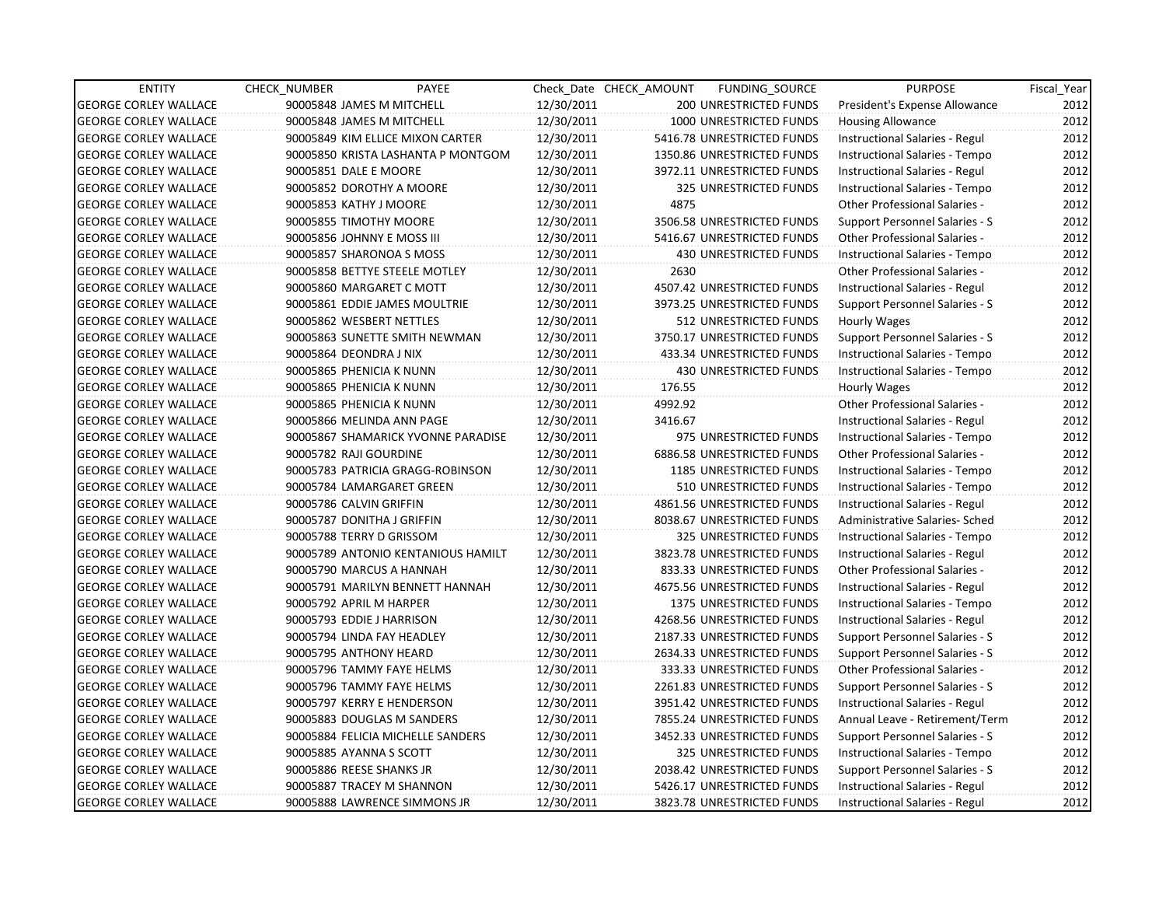| <b>ENTITY</b>                | <b>CHECK NUMBER</b> | PAYEE                              |            | Check Date CHECK AMOUNT | FUNDING SOURCE                | <b>PURPOSE</b>                       | Fiscal Year |
|------------------------------|---------------------|------------------------------------|------------|-------------------------|-------------------------------|--------------------------------------|-------------|
| <b>GEORGE CORLEY WALLACE</b> |                     | 90005848 JAMES M MITCHELL          | 12/30/2011 |                         | 200 UNRESTRICTED FUNDS        | President's Expense Allowance        | 2012        |
| <b>GEORGE CORLEY WALLACE</b> |                     | 90005848 JAMES M MITCHELL          | 12/30/2011 |                         | 1000 UNRESTRICTED FUNDS       | <b>Housing Allowance</b>             | 2012        |
| <b>GEORGE CORLEY WALLACE</b> |                     | 90005849 KIM ELLICE MIXON CARTER   | 12/30/2011 |                         | 5416.78 UNRESTRICTED FUNDS    | Instructional Salaries - Regul       | 2012        |
| <b>GEORGE CORLEY WALLACE</b> |                     | 90005850 KRISTA LASHANTA P MONTGOM | 12/30/2011 |                         | 1350.86 UNRESTRICTED FUNDS    | Instructional Salaries - Tempo       | 2012        |
| <b>GEORGE CORLEY WALLACE</b> |                     | 90005851 DALE E MOORE              | 12/30/2011 |                         | 3972.11 UNRESTRICTED FUNDS    | Instructional Salaries - Regul       | 2012        |
| <b>GEORGE CORLEY WALLACE</b> |                     | 90005852 DOROTHY A MOORE           | 12/30/2011 |                         | 325 UNRESTRICTED FUNDS        | Instructional Salaries - Tempo       | 2012        |
| <b>GEORGE CORLEY WALLACE</b> |                     | 90005853 KATHY J MOORE             | 12/30/2011 | 4875                    |                               | <b>Other Professional Salaries -</b> | 2012        |
| <b>GEORGE CORLEY WALLACE</b> |                     | 90005855 TIMOTHY MOORE             | 12/30/2011 |                         | 3506.58 UNRESTRICTED FUNDS    | Support Personnel Salaries - S       | 2012        |
| <b>GEORGE CORLEY WALLACE</b> |                     | 90005856 JOHNNY E MOSS III         | 12/30/2011 |                         | 5416.67 UNRESTRICTED FUNDS    | Other Professional Salaries -        | 2012        |
| <b>GEORGE CORLEY WALLACE</b> |                     | 90005857 SHARONOA S MOSS           | 12/30/2011 |                         | <b>430 UNRESTRICTED FUNDS</b> | Instructional Salaries - Tempo       | 2012        |
| <b>GEORGE CORLEY WALLACE</b> |                     | 90005858 BETTYE STEELE MOTLEY      | 12/30/2011 | 2630                    |                               | Other Professional Salaries -        | 2012        |
| <b>GEORGE CORLEY WALLACE</b> |                     | 90005860 MARGARET C MOTT           | 12/30/2011 |                         | 4507.42 UNRESTRICTED FUNDS    | Instructional Salaries - Regul       | 2012        |
| <b>GEORGE CORLEY WALLACE</b> |                     | 90005861 EDDIE JAMES MOULTRIE      | 12/30/2011 |                         | 3973.25 UNRESTRICTED FUNDS    | Support Personnel Salaries - S       | 2012        |
| <b>GEORGE CORLEY WALLACE</b> |                     | 90005862 WESBERT NETTLES           | 12/30/2011 |                         | 512 UNRESTRICTED FUNDS        | Hourly Wages                         | 2012        |
| <b>GEORGE CORLEY WALLACE</b> |                     | 90005863 SUNETTE SMITH NEWMAN      | 12/30/2011 |                         | 3750.17 UNRESTRICTED FUNDS    | Support Personnel Salaries - S       | 2012        |
| <b>GEORGE CORLEY WALLACE</b> |                     | 90005864 DEONDRA J NIX             | 12/30/2011 |                         | 433.34 UNRESTRICTED FUNDS     | Instructional Salaries - Tempo       | 2012        |
| <b>GEORGE CORLEY WALLACE</b> |                     | 90005865 PHENICIA K NUNN           | 12/30/2011 |                         | <b>430 UNRESTRICTED FUNDS</b> | Instructional Salaries - Tempo       | 2012        |
| <b>GEORGE CORLEY WALLACE</b> |                     | 90005865 PHENICIA K NUNN           | 12/30/2011 | 176.55                  |                               | Hourly Wages                         | 2012        |
| <b>GEORGE CORLEY WALLACE</b> |                     | 90005865 PHENICIA K NUNN           | 12/30/2011 | 4992.92                 |                               | <b>Other Professional Salaries -</b> | 2012        |
| <b>GEORGE CORLEY WALLACE</b> |                     | 90005866 MELINDA ANN PAGE          | 12/30/2011 | 3416.67                 |                               | Instructional Salaries - Regul       | 2012        |
| <b>GEORGE CORLEY WALLACE</b> |                     | 90005867 SHAMARICK YVONNE PARADISE | 12/30/2011 |                         | 975 UNRESTRICTED FUNDS        | Instructional Salaries - Tempo       | 2012        |
| <b>GEORGE CORLEY WALLACE</b> |                     | 90005782 RAJI GOURDINE             | 12/30/2011 |                         | 6886.58 UNRESTRICTED FUNDS    | Other Professional Salaries -        | 2012        |
| <b>GEORGE CORLEY WALLACE</b> |                     | 90005783 PATRICIA GRAGG-ROBINSON   | 12/30/2011 |                         | 1185 UNRESTRICTED FUNDS       | Instructional Salaries - Tempo       | 2012        |
| <b>GEORGE CORLEY WALLACE</b> |                     | 90005784 LAMARGARET GREEN          | 12/30/2011 |                         | 510 UNRESTRICTED FUNDS        | Instructional Salaries - Tempo       | 2012        |
| <b>GEORGE CORLEY WALLACE</b> |                     | 90005786 CALVIN GRIFFIN            | 12/30/2011 |                         | 4861.56 UNRESTRICTED FUNDS    | Instructional Salaries - Regul       | 2012        |
| <b>GEORGE CORLEY WALLACE</b> |                     | 90005787 DONITHA J GRIFFIN         | 12/30/2011 |                         | 8038.67 UNRESTRICTED FUNDS    | Administrative Salaries- Sched       | 2012        |
| <b>GEORGE CORLEY WALLACE</b> |                     | 90005788 TERRY D GRISSOM           | 12/30/2011 |                         | 325 UNRESTRICTED FUNDS        | Instructional Salaries - Tempo       | 2012        |
| <b>GEORGE CORLEY WALLACE</b> |                     | 90005789 ANTONIO KENTANIOUS HAMILT | 12/30/2011 |                         | 3823.78 UNRESTRICTED FUNDS    | Instructional Salaries - Regul       | 2012        |
| <b>GEORGE CORLEY WALLACE</b> |                     | 90005790 MARCUS A HANNAH           | 12/30/2011 |                         | 833.33 UNRESTRICTED FUNDS     | Other Professional Salaries -        | 2012        |
| <b>GEORGE CORLEY WALLACE</b> |                     | 90005791 MARILYN BENNETT HANNAH    | 12/30/2011 |                         | 4675.56 UNRESTRICTED FUNDS    | Instructional Salaries - Regul       | 2012        |
| <b>GEORGE CORLEY WALLACE</b> |                     | 90005792 APRIL M HARPER            | 12/30/2011 |                         | 1375 UNRESTRICTED FUNDS       | Instructional Salaries - Tempo       | 2012        |
| <b>GEORGE CORLEY WALLACE</b> |                     | 90005793 EDDIE J HARRISON          | 12/30/2011 |                         | 4268.56 UNRESTRICTED FUNDS    | Instructional Salaries - Regul       | 2012        |
| <b>GEORGE CORLEY WALLACE</b> |                     | 90005794 LINDA FAY HEADLEY         | 12/30/2011 |                         | 2187.33 UNRESTRICTED FUNDS    | Support Personnel Salaries - S       | 2012        |
| <b>GEORGE CORLEY WALLACE</b> |                     | 90005795 ANTHONY HEARD             | 12/30/2011 |                         | 2634.33 UNRESTRICTED FUNDS    | Support Personnel Salaries - S       | 2012        |
| <b>GEORGE CORLEY WALLACE</b> |                     | 90005796 TAMMY FAYE HELMS          | 12/30/2011 |                         | 333.33 UNRESTRICTED FUNDS     | Other Professional Salaries -        | 2012        |
| <b>GEORGE CORLEY WALLACE</b> |                     | 90005796 TAMMY FAYE HELMS          | 12/30/2011 |                         | 2261.83 UNRESTRICTED FUNDS    | Support Personnel Salaries - S       | 2012        |
| <b>GEORGE CORLEY WALLACE</b> |                     | 90005797 KERRY E HENDERSON         | 12/30/2011 |                         | 3951.42 UNRESTRICTED FUNDS    | Instructional Salaries - Regul       | 2012        |
| <b>GEORGE CORLEY WALLACE</b> |                     | 90005883 DOUGLAS M SANDERS         | 12/30/2011 |                         | 7855.24 UNRESTRICTED FUNDS    | Annual Leave - Retirement/Term       | 2012        |
| <b>GEORGE CORLEY WALLACE</b> |                     | 90005884 FELICIA MICHELLE SANDERS  | 12/30/2011 |                         | 3452.33 UNRESTRICTED FUNDS    | Support Personnel Salaries - S       | 2012        |
| <b>GEORGE CORLEY WALLACE</b> |                     | 90005885 AYANNA S SCOTT            | 12/30/2011 |                         | 325 UNRESTRICTED FUNDS        | Instructional Salaries - Tempo       | 2012        |
| <b>GEORGE CORLEY WALLACE</b> |                     | 90005886 REESE SHANKS JR           | 12/30/2011 |                         | 2038.42 UNRESTRICTED FUNDS    | Support Personnel Salaries - S       | 2012        |
| <b>GEORGE CORLEY WALLACE</b> |                     | 90005887 TRACEY M SHANNON          | 12/30/2011 |                         | 5426.17 UNRESTRICTED FUNDS    | Instructional Salaries - Regul       | 2012        |
| <b>GEORGE CORLEY WALLACE</b> |                     | 90005888 LAWRENCE SIMMONS JR       | 12/30/2011 |                         | 3823.78 UNRESTRICTED FUNDS    | Instructional Salaries - Regul       | 2012        |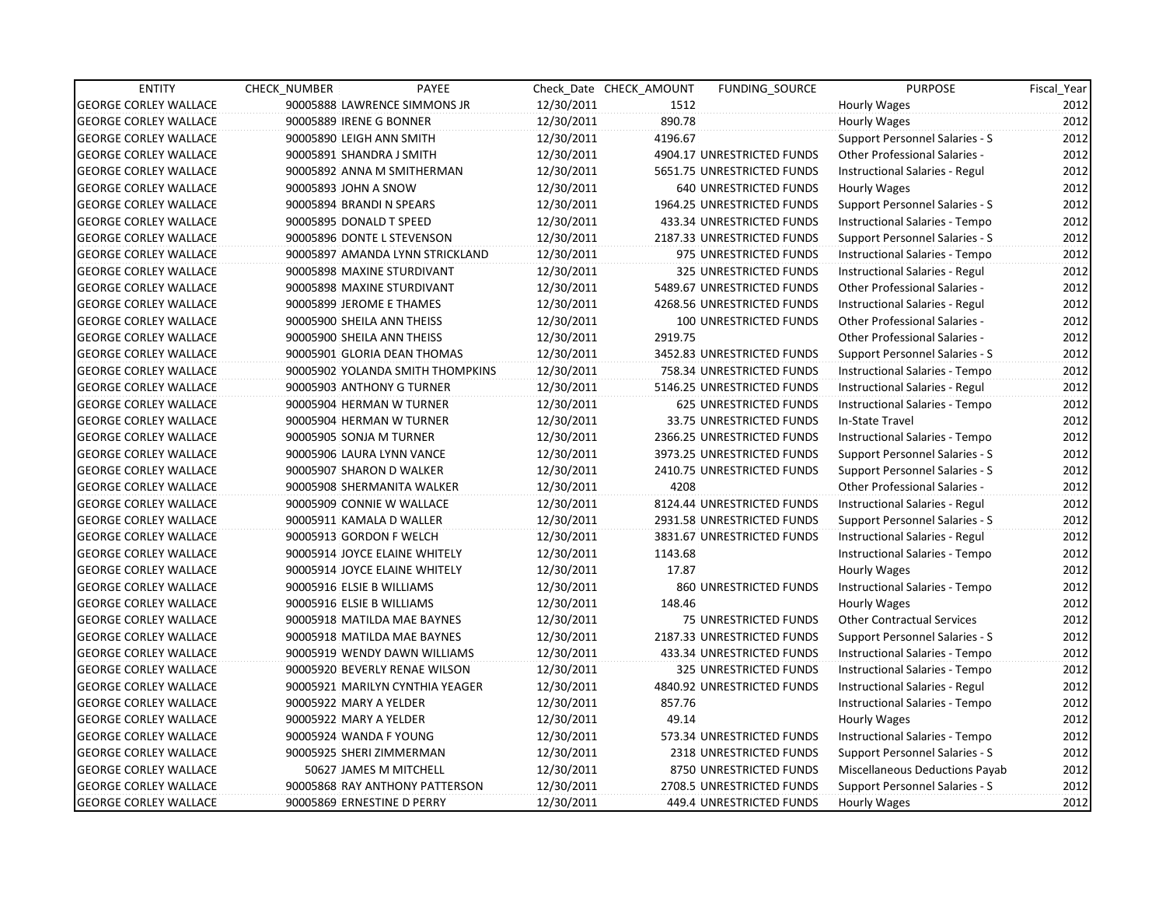| <b>ENTITY</b>                | CHECK_NUMBER           | PAYEE                            |            | Check Date CHECK AMOUNT | <b>FUNDING SOURCE</b>         | <b>PURPOSE</b>                       | Fiscal_Year |
|------------------------------|------------------------|----------------------------------|------------|-------------------------|-------------------------------|--------------------------------------|-------------|
| <b>GEORGE CORLEY WALLACE</b> |                        | 90005888 LAWRENCE SIMMONS JR     | 12/30/2011 | 1512                    |                               | Hourly Wages                         | 2012        |
| <b>GEORGE CORLEY WALLACE</b> |                        | 90005889 IRENE G BONNER          | 12/30/2011 | 890.78                  |                               | <b>Hourly Wages</b>                  | 2012        |
| <b>GEORGE CORLEY WALLACE</b> |                        | 90005890 LEIGH ANN SMITH         | 12/30/2011 | 4196.67                 |                               | Support Personnel Salaries - S       | 2012        |
| <b>GEORGE CORLEY WALLACE</b> |                        | 90005891 SHANDRA J SMITH         | 12/30/2011 |                         | 4904.17 UNRESTRICTED FUNDS    | <b>Other Professional Salaries -</b> | 2012        |
| <b>GEORGE CORLEY WALLACE</b> |                        | 90005892 ANNA M SMITHERMAN       | 12/30/2011 |                         | 5651.75 UNRESTRICTED FUNDS    | Instructional Salaries - Regul       | 2012        |
| <b>GEORGE CORLEY WALLACE</b> | 90005893 JOHN A SNOW   |                                  | 12/30/2011 |                         | 640 UNRESTRICTED FUNDS        | Hourly Wages                         | 2012        |
| <b>GEORGE CORLEY WALLACE</b> |                        | 90005894 BRANDI N SPEARS         | 12/30/2011 |                         | 1964.25 UNRESTRICTED FUNDS    | Support Personnel Salaries - S       | 2012        |
| <b>GEORGE CORLEY WALLACE</b> |                        | 90005895 DONALD T SPEED          | 12/30/2011 |                         | 433.34 UNRESTRICTED FUNDS     | Instructional Salaries - Tempo       | 2012        |
| <b>GEORGE CORLEY WALLACE</b> |                        | 90005896 DONTE L STEVENSON       | 12/30/2011 |                         | 2187.33 UNRESTRICTED FUNDS    | Support Personnel Salaries - S       | 2012        |
| <b>GEORGE CORLEY WALLACE</b> |                        | 90005897 AMANDA LYNN STRICKLAND  | 12/30/2011 |                         | 975 UNRESTRICTED FUNDS        | Instructional Salaries - Tempo       | 2012        |
| <b>GEORGE CORLEY WALLACE</b> |                        | 90005898 MAXINE STURDIVANT       | 12/30/2011 |                         | 325 UNRESTRICTED FUNDS        | Instructional Salaries - Regul       | 2012        |
| <b>GEORGE CORLEY WALLACE</b> |                        | 90005898 MAXINE STURDIVANT       | 12/30/2011 |                         | 5489.67 UNRESTRICTED FUNDS    | Other Professional Salaries -        | 2012        |
| <b>GEORGE CORLEY WALLACE</b> |                        | 90005899 JEROME E THAMES         | 12/30/2011 |                         | 4268.56 UNRESTRICTED FUNDS    | Instructional Salaries - Regul       | 2012        |
| <b>GEORGE CORLEY WALLACE</b> |                        | 90005900 SHEILA ANN THEISS       | 12/30/2011 |                         | <b>100 UNRESTRICTED FUNDS</b> | <b>Other Professional Salaries -</b> | 2012        |
| <b>GEORGE CORLEY WALLACE</b> |                        | 90005900 SHEILA ANN THEISS       | 12/30/2011 | 2919.75                 |                               | <b>Other Professional Salaries -</b> | 2012        |
| <b>GEORGE CORLEY WALLACE</b> |                        | 90005901 GLORIA DEAN THOMAS      | 12/30/2011 |                         | 3452.83 UNRESTRICTED FUNDS    | Support Personnel Salaries - S       | 2012        |
| <b>GEORGE CORLEY WALLACE</b> |                        | 90005902 YOLANDA SMITH THOMPKINS | 12/30/2011 |                         | 758.34 UNRESTRICTED FUNDS     | Instructional Salaries - Tempo       | 2012        |
| <b>GEORGE CORLEY WALLACE</b> |                        | 90005903 ANTHONY G TURNER        | 12/30/2011 |                         | 5146.25 UNRESTRICTED FUNDS    | Instructional Salaries - Regul       | 2012        |
| <b>GEORGE CORLEY WALLACE</b> |                        | 90005904 HERMAN W TURNER         | 12/30/2011 |                         | 625 UNRESTRICTED FUNDS        | Instructional Salaries - Tempo       | 2012        |
| <b>GEORGE CORLEY WALLACE</b> |                        | 90005904 HERMAN W TURNER         | 12/30/2011 |                         | 33.75 UNRESTRICTED FUNDS      | In-State Travel                      | 2012        |
| <b>GEORGE CORLEY WALLACE</b> |                        | 90005905 SONJA M TURNER          | 12/30/2011 |                         | 2366.25 UNRESTRICTED FUNDS    | Instructional Salaries - Tempo       | 2012        |
| <b>GEORGE CORLEY WALLACE</b> |                        | 90005906 LAURA LYNN VANCE        | 12/30/2011 |                         | 3973.25 UNRESTRICTED FUNDS    | Support Personnel Salaries - S       | 2012        |
| <b>GEORGE CORLEY WALLACE</b> |                        | 90005907 SHARON D WALKER         | 12/30/2011 |                         | 2410.75 UNRESTRICTED FUNDS    | Support Personnel Salaries - S       | 2012        |
| <b>GEORGE CORLEY WALLACE</b> |                        | 90005908 SHERMANITA WALKER       | 12/30/2011 | 4208                    |                               | <b>Other Professional Salaries -</b> | 2012        |
| <b>GEORGE CORLEY WALLACE</b> |                        | 90005909 CONNIE W WALLACE        | 12/30/2011 |                         | 8124.44 UNRESTRICTED FUNDS    | Instructional Salaries - Regul       | 2012        |
| <b>GEORGE CORLEY WALLACE</b> |                        | 90005911 KAMALA D WALLER         | 12/30/2011 |                         | 2931.58 UNRESTRICTED FUNDS    | Support Personnel Salaries - S       | 2012        |
| <b>GEORGE CORLEY WALLACE</b> |                        | 90005913 GORDON F WELCH          | 12/30/2011 |                         | 3831.67 UNRESTRICTED FUNDS    | Instructional Salaries - Regul       | 2012        |
| <b>GEORGE CORLEY WALLACE</b> |                        | 90005914 JOYCE ELAINE WHITELY    | 12/30/2011 | 1143.68                 |                               | Instructional Salaries - Tempo       | 2012        |
| <b>GEORGE CORLEY WALLACE</b> |                        | 90005914 JOYCE ELAINE WHITELY    | 12/30/2011 | 17.87                   |                               | Hourly Wages                         | 2012        |
| <b>GEORGE CORLEY WALLACE</b> |                        | 90005916 ELSIE B WILLIAMS        | 12/30/2011 |                         | 860 UNRESTRICTED FUNDS        | Instructional Salaries - Tempo       | 2012        |
| <b>GEORGE CORLEY WALLACE</b> |                        | 90005916 ELSIE B WILLIAMS        | 12/30/2011 | 148.46                  |                               | Hourly Wages                         | 2012        |
| <b>GEORGE CORLEY WALLACE</b> |                        | 90005918 MATILDA MAE BAYNES      | 12/30/2011 |                         | 75 UNRESTRICTED FUNDS         | <b>Other Contractual Services</b>    | 2012        |
| <b>GEORGE CORLEY WALLACE</b> |                        | 90005918 MATILDA MAE BAYNES      | 12/30/2011 |                         | 2187.33 UNRESTRICTED FUNDS    | Support Personnel Salaries - S       | 2012        |
| <b>GEORGE CORLEY WALLACE</b> |                        | 90005919 WENDY DAWN WILLIAMS     | 12/30/2011 |                         | 433.34 UNRESTRICTED FUNDS     | Instructional Salaries - Tempo       | 2012        |
| <b>GEORGE CORLEY WALLACE</b> |                        | 90005920 BEVERLY RENAE WILSON    | 12/30/2011 |                         | 325 UNRESTRICTED FUNDS        | Instructional Salaries - Tempo       | 2012        |
| <b>GEORGE CORLEY WALLACE</b> |                        | 90005921 MARILYN CYNTHIA YEAGER  | 12/30/2011 |                         | 4840.92 UNRESTRICTED FUNDS    | Instructional Salaries - Regul       | 2012        |
| <b>GEORGE CORLEY WALLACE</b> | 90005922 MARY A YELDER |                                  | 12/30/2011 | 857.76                  |                               | Instructional Salaries - Tempo       | 2012        |
| <b>GEORGE CORLEY WALLACE</b> | 90005922 MARY A YELDER |                                  | 12/30/2011 | 49.14                   |                               | Hourly Wages                         | 2012        |
| <b>GEORGE CORLEY WALLACE</b> |                        | 90005924 WANDA F YOUNG           | 12/30/2011 |                         | 573.34 UNRESTRICTED FUNDS     | Instructional Salaries - Tempo       | 2012        |
| <b>GEORGE CORLEY WALLACE</b> |                        | 90005925 SHERI ZIMMERMAN         | 12/30/2011 |                         | 2318 UNRESTRICTED FUNDS       | Support Personnel Salaries - S       | 2012        |
| <b>GEORGE CORLEY WALLACE</b> |                        | 50627 JAMES M MITCHELL           | 12/30/2011 |                         | 8750 UNRESTRICTED FUNDS       | Miscellaneous Deductions Payab       | 2012        |
| <b>GEORGE CORLEY WALLACE</b> |                        | 90005868 RAY ANTHONY PATTERSON   | 12/30/2011 |                         | 2708.5 UNRESTRICTED FUNDS     | Support Personnel Salaries - S       | 2012        |
| <b>GEORGE CORLEY WALLACE</b> |                        | 90005869 ERNESTINE D PERRY       | 12/30/2011 |                         | 449.4 UNRESTRICTED FUNDS      | Hourly Wages                         | 2012        |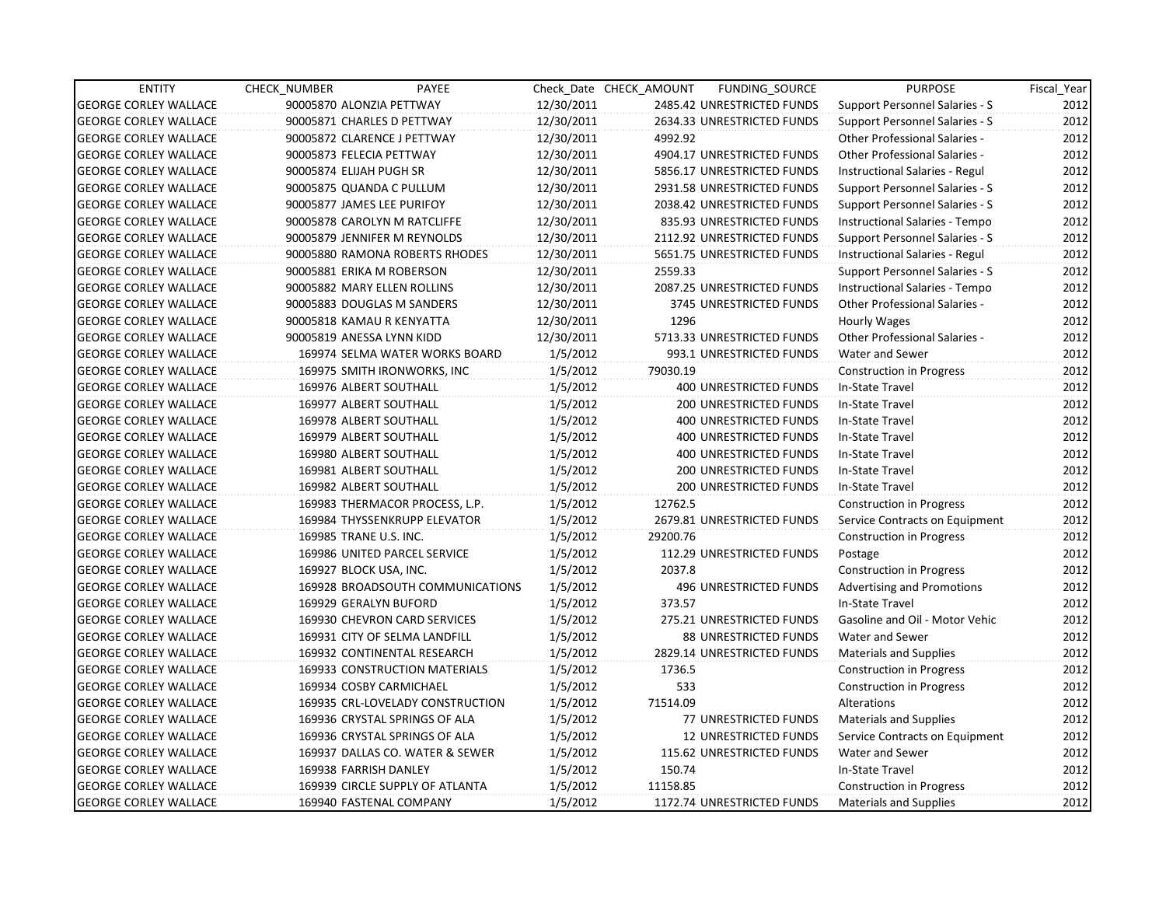| <b>ENTITY</b>                | <b>CHECK NUMBER</b>          | PAYEE                            |            | Check Date CHECK AMOUNT | FUNDING_SOURCE                | <b>PURPOSE</b>                        | Fiscal Year |
|------------------------------|------------------------------|----------------------------------|------------|-------------------------|-------------------------------|---------------------------------------|-------------|
| <b>GEORGE CORLEY WALLACE</b> | 90005870 ALONZIA PETTWAY     |                                  | 12/30/2011 |                         | 2485.42 UNRESTRICTED FUNDS    | Support Personnel Salaries - S        | 2012        |
| <b>GEORGE CORLEY WALLACE</b> | 90005871 CHARLES D PETTWAY   |                                  | 12/30/2011 |                         | 2634.33 UNRESTRICTED FUNDS    | Support Personnel Salaries - S        | 2012        |
| <b>GEORGE CORLEY WALLACE</b> | 90005872 CLARENCE J PETTWAY  |                                  | 12/30/2011 | 4992.92                 |                               | <b>Other Professional Salaries -</b>  | 2012        |
| <b>GEORGE CORLEY WALLACE</b> | 90005873 FELECIA PETTWAY     |                                  | 12/30/2011 |                         | 4904.17 UNRESTRICTED FUNDS    | <b>Other Professional Salaries -</b>  | 2012        |
| <b>GEORGE CORLEY WALLACE</b> | 90005874 ELIJAH PUGH SR      |                                  | 12/30/2011 |                         | 5856.17 UNRESTRICTED FUNDS    | Instructional Salaries - Regul        | 2012        |
| <b>GEORGE CORLEY WALLACE</b> | 90005875 QUANDA C PULLUM     |                                  | 12/30/2011 |                         | 2931.58 UNRESTRICTED FUNDS    | Support Personnel Salaries - S        | 2012        |
| <b>GEORGE CORLEY WALLACE</b> | 90005877 JAMES LEE PURIFOY   |                                  | 12/30/2011 |                         | 2038.42 UNRESTRICTED FUNDS    | Support Personnel Salaries - S        | 2012        |
| <b>GEORGE CORLEY WALLACE</b> | 90005878 CAROLYN M RATCLIFFE |                                  | 12/30/2011 |                         | 835.93 UNRESTRICTED FUNDS     | Instructional Salaries - Tempo        | 2012        |
| <b>GEORGE CORLEY WALLACE</b> | 90005879 JENNIFER M REYNOLDS |                                  | 12/30/2011 |                         | 2112.92 UNRESTRICTED FUNDS    | <b>Support Personnel Salaries - S</b> | 2012        |
| <b>GEORGE CORLEY WALLACE</b> |                              | 90005880 RAMONA ROBERTS RHODES   | 12/30/2011 |                         | 5651.75 UNRESTRICTED FUNDS    | Instructional Salaries - Regul        | 2012        |
| <b>GEORGE CORLEY WALLACE</b> | 90005881 ERIKA M ROBERSON    |                                  | 12/30/2011 | 2559.33                 |                               | Support Personnel Salaries - S        | 2012        |
| <b>GEORGE CORLEY WALLACE</b> | 90005882 MARY ELLEN ROLLINS  |                                  | 12/30/2011 |                         | 2087.25 UNRESTRICTED FUNDS    | Instructional Salaries - Tempo        | 2012        |
| <b>GEORGE CORLEY WALLACE</b> | 90005883 DOUGLAS M SANDERS   |                                  | 12/30/2011 |                         | 3745 UNRESTRICTED FUNDS       | Other Professional Salaries -         | 2012        |
| <b>GEORGE CORLEY WALLACE</b> | 90005818 KAMAU R KENYATTA    |                                  | 12/30/2011 | 1296                    |                               | Hourly Wages                          | 2012        |
| <b>GEORGE CORLEY WALLACE</b> | 90005819 ANESSA LYNN KIDD    |                                  | 12/30/2011 |                         | 5713.33 UNRESTRICTED FUNDS    | Other Professional Salaries -         | 2012        |
| <b>GEORGE CORLEY WALLACE</b> |                              | 169974 SELMA WATER WORKS BOARD   | 1/5/2012   |                         | 993.1 UNRESTRICTED FUNDS      | Water and Sewer                       | 2012        |
| <b>GEORGE CORLEY WALLACE</b> |                              | 169975 SMITH IRONWORKS, INC      | 1/5/2012   | 79030.19                |                               | <b>Construction in Progress</b>       | 2012        |
| <b>GEORGE CORLEY WALLACE</b> | 169976 ALBERT SOUTHALL       |                                  | 1/5/2012   |                         | 400 UNRESTRICTED FUNDS        | In-State Travel                       | 2012        |
| <b>GEORGE CORLEY WALLACE</b> | 169977 ALBERT SOUTHALL       |                                  | 1/5/2012   |                         | <b>200 UNRESTRICTED FUNDS</b> | In-State Travel                       | 2012        |
| <b>GEORGE CORLEY WALLACE</b> | 169978 ALBERT SOUTHALL       |                                  | 1/5/2012   |                         | 400 UNRESTRICTED FUNDS        | In-State Travel                       | 2012        |
| <b>GEORGE CORLEY WALLACE</b> | 169979 ALBERT SOUTHALL       |                                  | 1/5/2012   |                         | 400 UNRESTRICTED FUNDS        | In-State Travel                       | 2012        |
| <b>GEORGE CORLEY WALLACE</b> | 169980 ALBERT SOUTHALL       |                                  | 1/5/2012   |                         | 400 UNRESTRICTED FUNDS        | In-State Travel                       | 2012        |
| <b>GEORGE CORLEY WALLACE</b> | 169981 ALBERT SOUTHALL       |                                  | 1/5/2012   |                         | 200 UNRESTRICTED FUNDS        | In-State Travel                       | 2012        |
| <b>GEORGE CORLEY WALLACE</b> | 169982 ALBERT SOUTHALL       |                                  | 1/5/2012   |                         | 200 UNRESTRICTED FUNDS        | In-State Travel                       | 2012        |
| <b>GEORGE CORLEY WALLACE</b> |                              | 169983 THERMACOR PROCESS, L.P.   | 1/5/2012   | 12762.5                 |                               | <b>Construction in Progress</b>       | 2012        |
| <b>GEORGE CORLEY WALLACE</b> |                              | 169984 THYSSENKRUPP ELEVATOR     | 1/5/2012   |                         | 2679.81 UNRESTRICTED FUNDS    | Service Contracts on Equipment        | 2012        |
| <b>GEORGE CORLEY WALLACE</b> | 169985 TRANE U.S. INC.       |                                  | 1/5/2012   | 29200.76                |                               | <b>Construction in Progress</b>       | 2012        |
| <b>GEORGE CORLEY WALLACE</b> |                              | 169986 UNITED PARCEL SERVICE     | 1/5/2012   |                         | 112.29 UNRESTRICTED FUNDS     | Postage                               | 2012        |
| <b>GEORGE CORLEY WALLACE</b> | 169927 BLOCK USA, INC.       |                                  | 1/5/2012   | 2037.8                  |                               | <b>Construction in Progress</b>       | 2012        |
| <b>GEORGE CORLEY WALLACE</b> |                              | 169928 BROADSOUTH COMMUNICATIONS | 1/5/2012   |                         | 496 UNRESTRICTED FUNDS        | <b>Advertising and Promotions</b>     | 2012        |
| <b>GEORGE CORLEY WALLACE</b> | 169929 GERALYN BUFORD        |                                  | 1/5/2012   | 373.57                  |                               | In-State Travel                       | 2012        |
| <b>GEORGE CORLEY WALLACE</b> |                              | 169930 CHEVRON CARD SERVICES     | 1/5/2012   |                         | 275.21 UNRESTRICTED FUNDS     | Gasoline and Oil - Motor Vehic        | 2012        |
| <b>GEORGE CORLEY WALLACE</b> |                              | 169931 CITY OF SELMA LANDFILL    | 1/5/2012   |                         | <b>88 UNRESTRICTED FUNDS</b>  | Water and Sewer                       | 2012        |
| <b>GEORGE CORLEY WALLACE</b> |                              | 169932 CONTINENTAL RESEARCH      | 1/5/2012   |                         | 2829.14 UNRESTRICTED FUNDS    | <b>Materials and Supplies</b>         | 2012        |
| <b>GEORGE CORLEY WALLACE</b> |                              | 169933 CONSTRUCTION MATERIALS    | 1/5/2012   | 1736.5                  |                               | <b>Construction in Progress</b>       | 2012        |
| <b>GEORGE CORLEY WALLACE</b> | 169934 COSBY CARMICHAEL      |                                  | 1/5/2012   | 533                     |                               | <b>Construction in Progress</b>       | 2012        |
| <b>GEORGE CORLEY WALLACE</b> |                              | 169935 CRL-LOVELADY CONSTRUCTION | 1/5/2012   | 71514.09                |                               | Alterations                           | 2012        |
| <b>GEORGE CORLEY WALLACE</b> |                              | 169936 CRYSTAL SPRINGS OF ALA    | 1/5/2012   |                         | 77 UNRESTRICTED FUNDS         | <b>Materials and Supplies</b>         | 2012        |
| <b>GEORGE CORLEY WALLACE</b> |                              | 169936 CRYSTAL SPRINGS OF ALA    | 1/5/2012   |                         | <b>12 UNRESTRICTED FUNDS</b>  | Service Contracts on Equipment        | 2012        |
| <b>GEORGE CORLEY WALLACE</b> |                              | 169937 DALLAS CO. WATER & SEWER  | 1/5/2012   |                         | 115.62 UNRESTRICTED FUNDS     | Water and Sewer                       | 2012        |
| <b>GEORGE CORLEY WALLACE</b> | 169938 FARRISH DANLEY        |                                  | 1/5/2012   | 150.74                  |                               | In-State Travel                       | 2012        |
| <b>GEORGE CORLEY WALLACE</b> |                              | 169939 CIRCLE SUPPLY OF ATLANTA  | 1/5/2012   | 11158.85                |                               | Construction in Progress              | 2012        |
| <b>GEORGE CORLEY WALLACE</b> | 169940 FASTENAL COMPANY      |                                  | 1/5/2012   |                         | 1172.74 UNRESTRICTED FUNDS    | Materials and Supplies                | 2012        |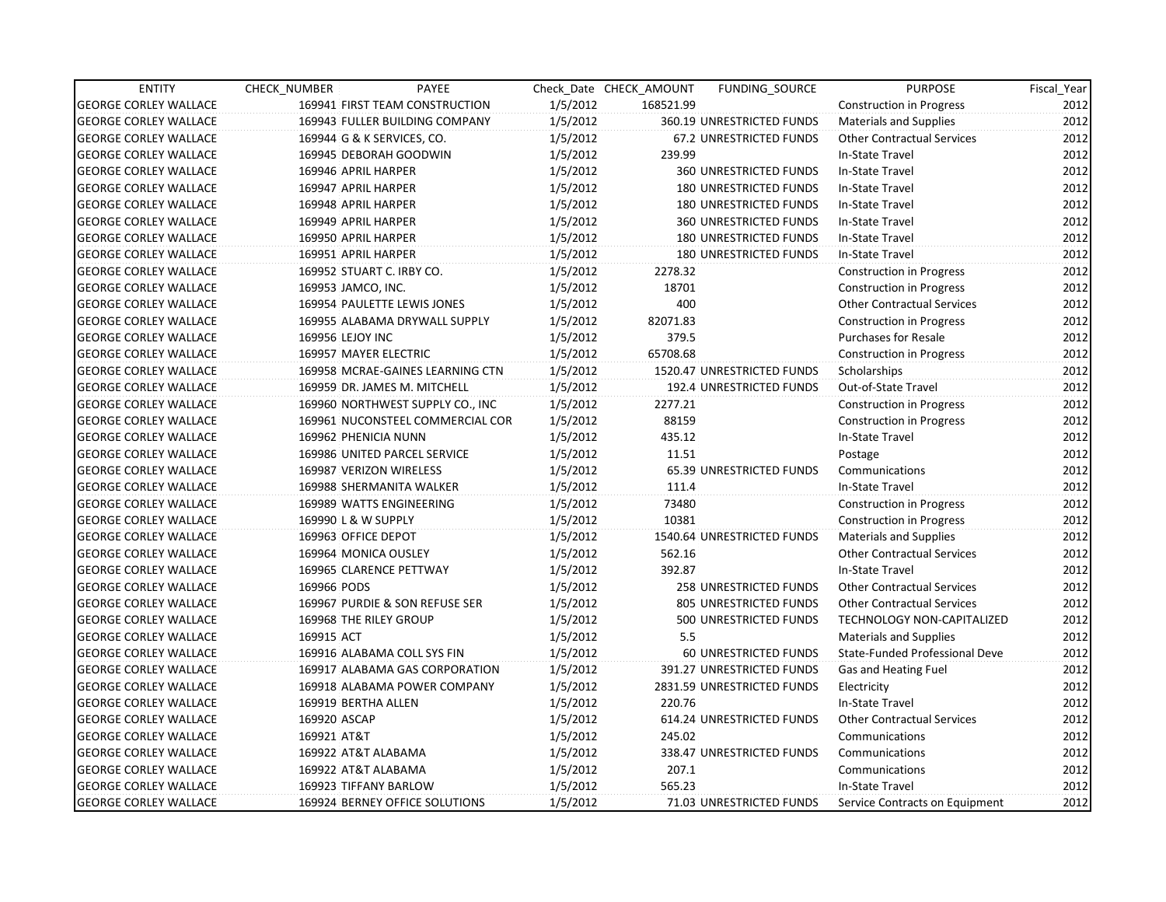| <b>ENTITY</b>                | CHECK NUMBER              | PAYEE                            |          | Check Date CHECK AMOUNT | FUNDING SOURCE                | <b>PURPOSE</b>                    | Fiscal Year |
|------------------------------|---------------------------|----------------------------------|----------|-------------------------|-------------------------------|-----------------------------------|-------------|
| <b>GEORGE CORLEY WALLACE</b> |                           | 169941 FIRST TEAM CONSTRUCTION   | 1/5/2012 | 168521.99               |                               | Construction in Progress          | 2012        |
| <b>GEORGE CORLEY WALLACE</b> |                           | 169943 FULLER BUILDING COMPANY   | 1/5/2012 |                         | 360.19 UNRESTRICTED FUNDS     | <b>Materials and Supplies</b>     | 2012        |
| <b>GEORGE CORLEY WALLACE</b> |                           | 169944 G & K SERVICES, CO.       | 1/5/2012 |                         | 67.2 UNRESTRICTED FUNDS       | <b>Other Contractual Services</b> | 2012        |
| <b>GEORGE CORLEY WALLACE</b> |                           | 169945 DEBORAH GOODWIN           | 1/5/2012 | 239.99                  |                               | In-State Travel                   | 2012        |
| <b>GEORGE CORLEY WALLACE</b> | 169946 APRIL HARPER       |                                  | 1/5/2012 |                         | 360 UNRESTRICTED FUNDS        | In-State Travel                   | 2012        |
| <b>GEORGE CORLEY WALLACE</b> | 169947 APRIL HARPER       |                                  | 1/5/2012 |                         | <b>180 UNRESTRICTED FUNDS</b> | In-State Travel                   | 2012        |
| <b>GEORGE CORLEY WALLACE</b> | 169948 APRIL HARPER       |                                  | 1/5/2012 |                         | <b>180 UNRESTRICTED FUNDS</b> | In-State Travel                   | 2012        |
| <b>GEORGE CORLEY WALLACE</b> | 169949 APRIL HARPER       |                                  | 1/5/2012 |                         | <b>360 UNRESTRICTED FUNDS</b> | In-State Travel                   | 2012        |
| <b>GEORGE CORLEY WALLACE</b> | 169950 APRIL HARPER       |                                  | 1/5/2012 |                         | <b>180 UNRESTRICTED FUNDS</b> | In-State Travel                   | 2012        |
| <b>GEORGE CORLEY WALLACE</b> | 169951 APRIL HARPER       |                                  | 1/5/2012 |                         | <b>180 UNRESTRICTED FUNDS</b> | In-State Travel                   | 2012        |
| <b>GEORGE CORLEY WALLACE</b> | 169952 STUART C. IRBY CO. |                                  | 1/5/2012 | 2278.32                 |                               | <b>Construction in Progress</b>   | 2012        |
| <b>GEORGE CORLEY WALLACE</b> | 169953 JAMCO, INC.        |                                  | 1/5/2012 | 18701                   |                               | <b>Construction in Progress</b>   | 2012        |
| <b>GEORGE CORLEY WALLACE</b> |                           | 169954 PAULETTE LEWIS JONES      | 1/5/2012 | 400                     |                               | <b>Other Contractual Services</b> | 2012        |
| <b>GEORGE CORLEY WALLACE</b> |                           | 169955 ALABAMA DRYWALL SUPPLY    | 1/5/2012 | 82071.83                |                               | <b>Construction in Progress</b>   | 2012        |
| <b>GEORGE CORLEY WALLACE</b> | 169956 LEJOY INC          |                                  | 1/5/2012 | 379.5                   |                               | <b>Purchases for Resale</b>       | 2012        |
| <b>GEORGE CORLEY WALLACE</b> | 169957 MAYER ELECTRIC     |                                  | 1/5/2012 | 65708.68                |                               | <b>Construction in Progress</b>   | 2012        |
| <b>GEORGE CORLEY WALLACE</b> |                           | 169958 MCRAE-GAINES LEARNING CTN | 1/5/2012 |                         | 1520.47 UNRESTRICTED FUNDS    | Scholarships                      | 2012        |
| <b>GEORGE CORLEY WALLACE</b> |                           | 169959 DR. JAMES M. MITCHELL     | 1/5/2012 |                         | 192.4 UNRESTRICTED FUNDS      | Out-of-State Travel               | 2012        |
| <b>GEORGE CORLEY WALLACE</b> |                           | 169960 NORTHWEST SUPPLY CO., INC | 1/5/2012 | 2277.21                 |                               | <b>Construction in Progress</b>   | 2012        |
| <b>GEORGE CORLEY WALLACE</b> |                           | 169961 NUCONSTEEL COMMERCIAL COR | 1/5/2012 | 88159                   |                               | <b>Construction in Progress</b>   | 2012        |
| <b>GEORGE CORLEY WALLACE</b> | 169962 PHENICIA NUNN      |                                  | 1/5/2012 | 435.12                  |                               | In-State Travel                   | 2012        |
| <b>GEORGE CORLEY WALLACE</b> |                           | 169986 UNITED PARCEL SERVICE     | 1/5/2012 | 11.51                   |                               | Postage                           | 2012        |
| <b>GEORGE CORLEY WALLACE</b> | 169987 VERIZON WIRELESS   |                                  | 1/5/2012 |                         | 65.39 UNRESTRICTED FUNDS      | Communications                    | 2012        |
| <b>GEORGE CORLEY WALLACE</b> |                           | 169988 SHERMANITA WALKER         | 1/5/2012 | 111.4                   |                               | In-State Travel                   | 2012        |
| <b>GEORGE CORLEY WALLACE</b> |                           | 169989 WATTS ENGINEERING         | 1/5/2012 | 73480                   |                               | <b>Construction in Progress</b>   | 2012        |
| <b>GEORGE CORLEY WALLACE</b> | 169990 L & W SUPPLY       |                                  | 1/5/2012 | 10381                   |                               | <b>Construction in Progress</b>   | 2012        |
| <b>GEORGE CORLEY WALLACE</b> | 169963 OFFICE DEPOT       |                                  | 1/5/2012 |                         | 1540.64 UNRESTRICTED FUNDS    | <b>Materials and Supplies</b>     | 2012        |
| <b>GEORGE CORLEY WALLACE</b> | 169964 MONICA OUSLEY      |                                  | 1/5/2012 | 562.16                  |                               | <b>Other Contractual Services</b> | 2012        |
| <b>GEORGE CORLEY WALLACE</b> |                           | 169965 CLARENCE PETTWAY          | 1/5/2012 | 392.87                  |                               | In-State Travel                   | 2012        |
| <b>GEORGE CORLEY WALLACE</b> | 169966 PODS               |                                  | 1/5/2012 |                         | 258 UNRESTRICTED FUNDS        | <b>Other Contractual Services</b> | 2012        |
| <b>GEORGE CORLEY WALLACE</b> |                           | 169967 PURDIE & SON REFUSE SER   | 1/5/2012 |                         | 805 UNRESTRICTED FUNDS        | <b>Other Contractual Services</b> | 2012        |
| <b>GEORGE CORLEY WALLACE</b> | 169968 THE RILEY GROUP    |                                  | 1/5/2012 |                         | 500 UNRESTRICTED FUNDS        | <b>TECHNOLOGY NON-CAPITALIZED</b> | 2012        |
| <b>GEORGE CORLEY WALLACE</b> | 169915 ACT                |                                  | 1/5/2012 | 5.5                     |                               | <b>Materials and Supplies</b>     | 2012        |
| <b>GEORGE CORLEY WALLACE</b> |                           | 169916 ALABAMA COLL SYS FIN      | 1/5/2012 |                         | 60 UNRESTRICTED FUNDS         | State-Funded Professional Deve    | 2012        |
| <b>GEORGE CORLEY WALLACE</b> |                           | 169917 ALABAMA GAS CORPORATION   | 1/5/2012 |                         | 391.27 UNRESTRICTED FUNDS     | Gas and Heating Fuel              | 2012        |
| <b>GEORGE CORLEY WALLACE</b> |                           | 169918 ALABAMA POWER COMPANY     | 1/5/2012 |                         | 2831.59 UNRESTRICTED FUNDS    | Electricity                       | 2012        |
| <b>GEORGE CORLEY WALLACE</b> | 169919 BERTHA ALLEN       |                                  | 1/5/2012 | 220.76                  |                               | In-State Travel                   | 2012        |
| <b>GEORGE CORLEY WALLACE</b> | 169920 ASCAP              |                                  | 1/5/2012 |                         | 614.24 UNRESTRICTED FUNDS     | <b>Other Contractual Services</b> | 2012        |
| <b>GEORGE CORLEY WALLACE</b> | 169921 AT&T               |                                  | 1/5/2012 | 245.02                  |                               | Communications                    | 2012        |
| <b>GEORGE CORLEY WALLACE</b> | 169922 AT&T ALABAMA       |                                  | 1/5/2012 |                         | 338.47 UNRESTRICTED FUNDS     | Communications                    | 2012        |
| <b>GEORGE CORLEY WALLACE</b> | 169922 AT&T ALABAMA       |                                  | 1/5/2012 | 207.1                   |                               | Communications                    | 2012        |
| <b>GEORGE CORLEY WALLACE</b> | 169923 TIFFANY BARLOW     |                                  | 1/5/2012 | 565.23                  |                               | In-State Travel                   | 2012        |
| <b>GEORGE CORLEY WALLACE</b> |                           | 169924 BERNEY OFFICE SOLUTIONS   | 1/5/2012 |                         | 71.03 UNRESTRICTED FUNDS      | Service Contracts on Equipment    | 2012        |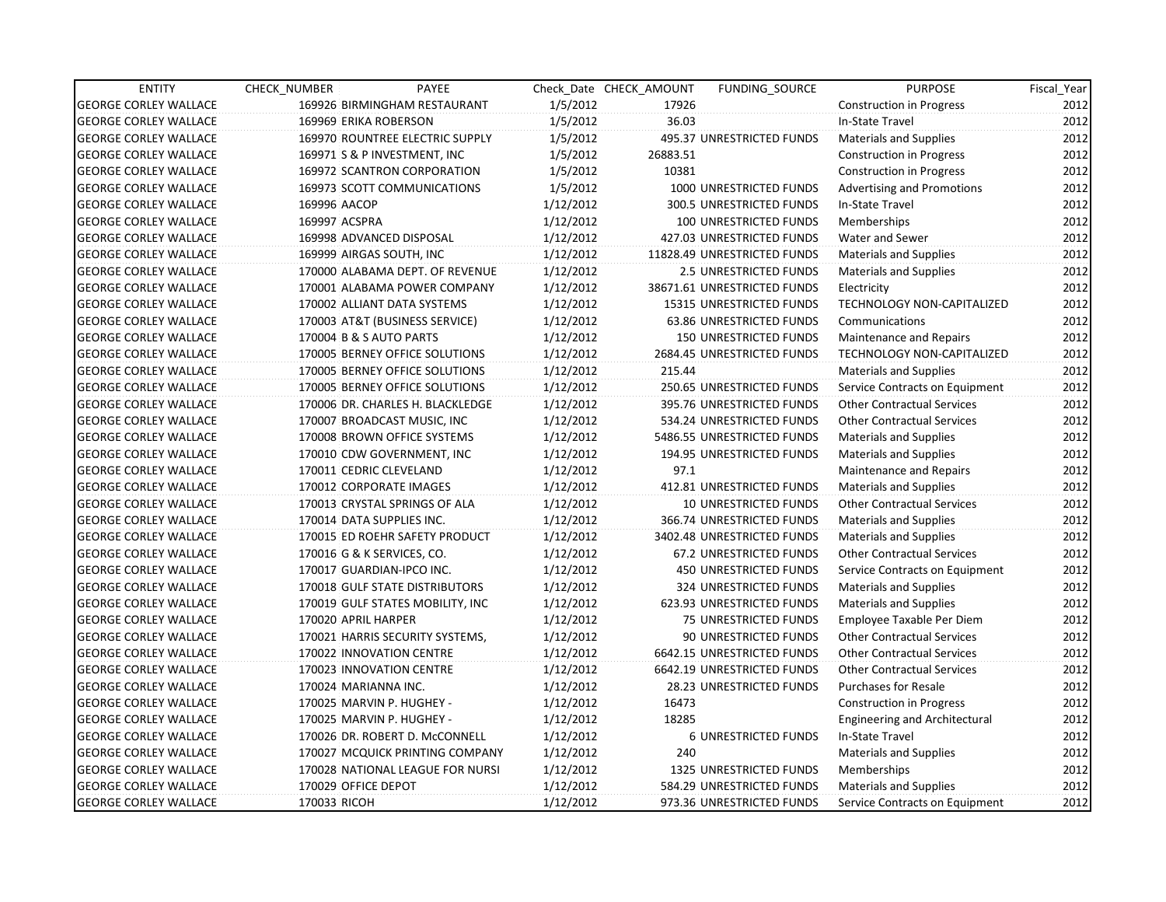| <b>ENTITY</b>                | CHECK NUMBER         | PAYEE                            |           | Check Date CHECK AMOUNT | FUNDING SOURCE                | <b>PURPOSE</b>                       | Fiscal_Year |
|------------------------------|----------------------|----------------------------------|-----------|-------------------------|-------------------------------|--------------------------------------|-------------|
| <b>GEORGE CORLEY WALLACE</b> |                      | 169926 BIRMINGHAM RESTAURANT     | 1/5/2012  | 17926                   |                               | <b>Construction in Progress</b>      | 2012        |
| <b>GEORGE CORLEY WALLACE</b> |                      | 169969 ERIKA ROBERSON            | 1/5/2012  | 36.03                   |                               | In-State Travel                      | 2012        |
| <b>GEORGE CORLEY WALLACE</b> |                      | 169970 ROUNTREE ELECTRIC SUPPLY  | 1/5/2012  |                         | 495.37 UNRESTRICTED FUNDS     | <b>Materials and Supplies</b>        | 2012        |
| <b>GEORGE CORLEY WALLACE</b> |                      | 169971 S & P INVESTMENT, INC     | 1/5/2012  | 26883.51                |                               | <b>Construction in Progress</b>      | 2012        |
| <b>GEORGE CORLEY WALLACE</b> |                      | 169972 SCANTRON CORPORATION      | 1/5/2012  | 10381                   |                               | <b>Construction in Progress</b>      | 2012        |
| <b>GEORGE CORLEY WALLACE</b> |                      | 169973 SCOTT COMMUNICATIONS      | 1/5/2012  |                         | 1000 UNRESTRICTED FUNDS       | <b>Advertising and Promotions</b>    | 2012        |
| <b>GEORGE CORLEY WALLACE</b> | 169996 AACOP         |                                  | 1/12/2012 |                         | 300.5 UNRESTRICTED FUNDS      | In-State Travel                      | 2012        |
| <b>GEORGE CORLEY WALLACE</b> | 169997 ACSPRA        |                                  | 1/12/2012 |                         | 100 UNRESTRICTED FUNDS        | Memberships                          | 2012        |
| <b>GEORGE CORLEY WALLACE</b> |                      | 169998 ADVANCED DISPOSAL         | 1/12/2012 |                         | 427.03 UNRESTRICTED FUNDS     | Water and Sewer                      | 2012        |
| <b>GEORGE CORLEY WALLACE</b> |                      | 169999 AIRGAS SOUTH, INC         | 1/12/2012 |                         | 11828.49 UNRESTRICTED FUNDS   | <b>Materials and Supplies</b>        | 2012        |
| <b>GEORGE CORLEY WALLACE</b> |                      | 170000 ALABAMA DEPT. OF REVENUE  | 1/12/2012 |                         | <b>2.5 UNRESTRICTED FUNDS</b> | <b>Materials and Supplies</b>        | 2012        |
| <b>GEORGE CORLEY WALLACE</b> |                      | 170001 ALABAMA POWER COMPANY     | 1/12/2012 |                         | 38671.61 UNRESTRICTED FUNDS   | Electricity                          | 2012        |
| <b>GEORGE CORLEY WALLACE</b> |                      | 170002 ALLIANT DATA SYSTEMS      | 1/12/2012 |                         | 15315 UNRESTRICTED FUNDS      | TECHNOLOGY NON-CAPITALIZED           | 2012        |
| <b>GEORGE CORLEY WALLACE</b> |                      | 170003 AT&T (BUSINESS SERVICE)   | 1/12/2012 |                         | 63.86 UNRESTRICTED FUNDS      | Communications                       | 2012        |
| <b>GEORGE CORLEY WALLACE</b> |                      | 170004 B & S AUTO PARTS          | 1/12/2012 |                         | <b>150 UNRESTRICTED FUNDS</b> | Maintenance and Repairs              | 2012        |
| <b>GEORGE CORLEY WALLACE</b> |                      | 170005 BERNEY OFFICE SOLUTIONS   | 1/12/2012 |                         | 2684.45 UNRESTRICTED FUNDS    | <b>TECHNOLOGY NON-CAPITALIZED</b>    | 2012        |
| <b>GEORGE CORLEY WALLACE</b> |                      | 170005 BERNEY OFFICE SOLUTIONS   | 1/12/2012 | 215.44                  |                               | <b>Materials and Supplies</b>        | 2012        |
| <b>GEORGE CORLEY WALLACE</b> |                      | 170005 BERNEY OFFICE SOLUTIONS   | 1/12/2012 |                         | 250.65 UNRESTRICTED FUNDS     | Service Contracts on Equipment       | 2012        |
| <b>GEORGE CORLEY WALLACE</b> |                      | 170006 DR. CHARLES H. BLACKLEDGE | 1/12/2012 |                         | 395.76 UNRESTRICTED FUNDS     | <b>Other Contractual Services</b>    | 2012        |
| <b>GEORGE CORLEY WALLACE</b> |                      | 170007 BROADCAST MUSIC, INC      | 1/12/2012 |                         | 534.24 UNRESTRICTED FUNDS     | <b>Other Contractual Services</b>    | 2012        |
| <b>GEORGE CORLEY WALLACE</b> |                      | 170008 BROWN OFFICE SYSTEMS      | 1/12/2012 |                         | 5486.55 UNRESTRICTED FUNDS    | <b>Materials and Supplies</b>        | 2012        |
| <b>GEORGE CORLEY WALLACE</b> |                      | 170010 CDW GOVERNMENT, INC       | 1/12/2012 |                         | 194.95 UNRESTRICTED FUNDS     | <b>Materials and Supplies</b>        | 2012        |
| <b>GEORGE CORLEY WALLACE</b> |                      | 170011 CEDRIC CLEVELAND          | 1/12/2012 | 97.1                    |                               | Maintenance and Repairs              | 2012        |
| <b>GEORGE CORLEY WALLACE</b> |                      | 170012 CORPORATE IMAGES          | 1/12/2012 |                         | 412.81 UNRESTRICTED FUNDS     | <b>Materials and Supplies</b>        | 2012        |
| <b>GEORGE CORLEY WALLACE</b> |                      | 170013 CRYSTAL SPRINGS OF ALA    | 1/12/2012 |                         | 10 UNRESTRICTED FUNDS         | <b>Other Contractual Services</b>    | 2012        |
| <b>GEORGE CORLEY WALLACE</b> |                      | 170014 DATA SUPPLIES INC.        | 1/12/2012 |                         | 366.74 UNRESTRICTED FUNDS     | <b>Materials and Supplies</b>        | 2012        |
| <b>GEORGE CORLEY WALLACE</b> |                      | 170015 ED ROEHR SAFETY PRODUCT   | 1/12/2012 |                         | 3402.48 UNRESTRICTED FUNDS    | <b>Materials and Supplies</b>        | 2012        |
| <b>GEORGE CORLEY WALLACE</b> |                      | 170016 G & K SERVICES, CO.       | 1/12/2012 |                         | 67.2 UNRESTRICTED FUNDS       | <b>Other Contractual Services</b>    | 2012        |
| <b>GEORGE CORLEY WALLACE</b> |                      | 170017 GUARDIAN-IPCO INC.        | 1/12/2012 |                         | <b>450 UNRESTRICTED FUNDS</b> | Service Contracts on Equipment       | 2012        |
| <b>GEORGE CORLEY WALLACE</b> |                      | 170018 GULF STATE DISTRIBUTORS   | 1/12/2012 |                         | 324 UNRESTRICTED FUNDS        | <b>Materials and Supplies</b>        | 2012        |
| <b>GEORGE CORLEY WALLACE</b> |                      | 170019 GULF STATES MOBILITY, INC | 1/12/2012 |                         | 623.93 UNRESTRICTED FUNDS     | <b>Materials and Supplies</b>        | 2012        |
| <b>GEORGE CORLEY WALLACE</b> | 170020 APRIL HARPER  |                                  | 1/12/2012 |                         | <b>75 UNRESTRICTED FUNDS</b>  | Employee Taxable Per Diem            | 2012        |
| <b>GEORGE CORLEY WALLACE</b> |                      | 170021 HARRIS SECURITY SYSTEMS,  | 1/12/2012 |                         | 90 UNRESTRICTED FUNDS         | <b>Other Contractual Services</b>    | 2012        |
| <b>GEORGE CORLEY WALLACE</b> |                      | 170022 INNOVATION CENTRE         | 1/12/2012 |                         | 6642.15 UNRESTRICTED FUNDS    | <b>Other Contractual Services</b>    | 2012        |
| <b>GEORGE CORLEY WALLACE</b> |                      | 170023 INNOVATION CENTRE         | 1/12/2012 |                         | 6642.19 UNRESTRICTED FUNDS    | <b>Other Contractual Services</b>    | 2012        |
| <b>GEORGE CORLEY WALLACE</b> | 170024 MARIANNA INC. |                                  | 1/12/2012 |                         | 28.23 UNRESTRICTED FUNDS      | <b>Purchases for Resale</b>          | 2012        |
| <b>GEORGE CORLEY WALLACE</b> |                      | 170025 MARVIN P. HUGHEY -        | 1/12/2012 | 16473                   |                               | <b>Construction in Progress</b>      | 2012        |
| <b>GEORGE CORLEY WALLACE</b> |                      | 170025 MARVIN P. HUGHEY -        | 1/12/2012 | 18285                   |                               | <b>Engineering and Architectural</b> | 2012        |
| <b>GEORGE CORLEY WALLACE</b> |                      | 170026 DR. ROBERT D. McCONNELL   | 1/12/2012 |                         | <b>6 UNRESTRICTED FUNDS</b>   | In-State Travel                      | 2012        |
| <b>GEORGE CORLEY WALLACE</b> |                      | 170027 MCQUICK PRINTING COMPANY  | 1/12/2012 | 240                     |                               | <b>Materials and Supplies</b>        | 2012        |
| <b>GEORGE CORLEY WALLACE</b> |                      | 170028 NATIONAL LEAGUE FOR NURSI | 1/12/2012 |                         | 1325 UNRESTRICTED FUNDS       | Memberships                          | 2012        |
| <b>GEORGE CORLEY WALLACE</b> | 170029 OFFICE DEPOT  |                                  | 1/12/2012 |                         | 584.29 UNRESTRICTED FUNDS     | <b>Materials and Supplies</b>        | 2012        |
| <b>GEORGE CORLEY WALLACE</b> | 170033 RICOH         |                                  | 1/12/2012 |                         | 973.36 UNRESTRICTED FUNDS     | Service Contracts on Equipment       | 2012        |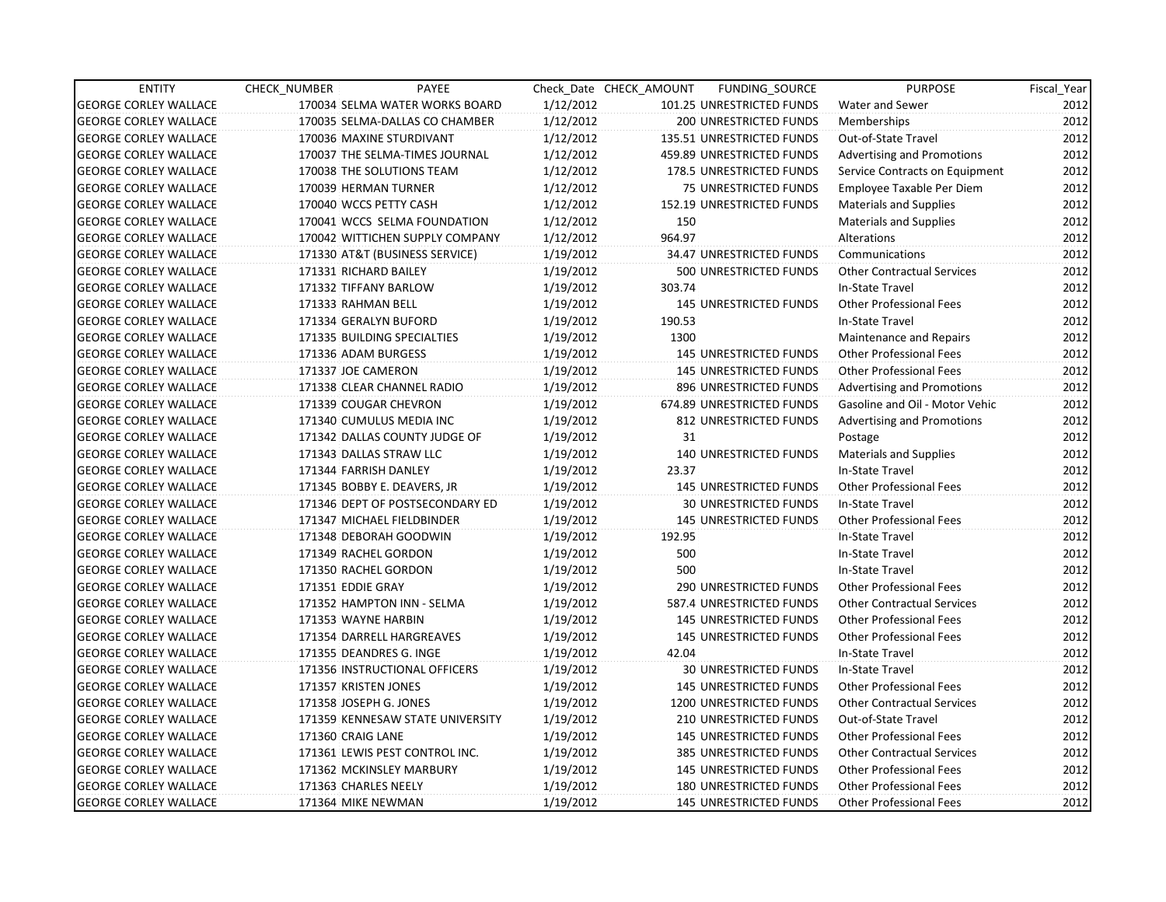| <b>ENTITY</b>                | CHECK_NUMBER             | PAYEE                            |           | Check Date CHECK AMOUNT | FUNDING_SOURCE                 | <b>PURPOSE</b>                    | Fiscal_Year |
|------------------------------|--------------------------|----------------------------------|-----------|-------------------------|--------------------------------|-----------------------------------|-------------|
| <b>GEORGE CORLEY WALLACE</b> |                          | 170034 SELMA WATER WORKS BOARD   | 1/12/2012 |                         | 101.25 UNRESTRICTED FUNDS      | Water and Sewer                   | 2012        |
| <b>GEORGE CORLEY WALLACE</b> |                          | 170035 SELMA-DALLAS CO CHAMBER   | 1/12/2012 |                         | 200 UNRESTRICTED FUNDS         | Memberships                       | 2012        |
| <b>GEORGE CORLEY WALLACE</b> | 170036 MAXINE STURDIVANT |                                  | 1/12/2012 |                         | 135.51 UNRESTRICTED FUNDS      | Out-of-State Travel               | 2012        |
| <b>GEORGE CORLEY WALLACE</b> |                          | 170037 THE SELMA-TIMES JOURNAL   | 1/12/2012 |                         | 459.89 UNRESTRICTED FUNDS      | <b>Advertising and Promotions</b> | 2012        |
| <b>GEORGE CORLEY WALLACE</b> |                          | 170038 THE SOLUTIONS TEAM        | 1/12/2012 |                         | 178.5 UNRESTRICTED FUNDS       | Service Contracts on Equipment    | 2012        |
| <b>GEORGE CORLEY WALLACE</b> | 170039 HERMAN TURNER     |                                  | 1/12/2012 |                         | 75 UNRESTRICTED FUNDS          | Employee Taxable Per Diem         | 2012        |
| <b>GEORGE CORLEY WALLACE</b> | 170040 WCCS PETTY CASH   |                                  | 1/12/2012 |                         | 152.19 UNRESTRICTED FUNDS      | Materials and Supplies            | 2012        |
| <b>GEORGE CORLEY WALLACE</b> |                          | 170041 WCCS SELMA FOUNDATION     | 1/12/2012 | 150                     |                                | <b>Materials and Supplies</b>     | 2012        |
| <b>GEORGE CORLEY WALLACE</b> |                          | 170042 WITTICHEN SUPPLY COMPANY  | 1/12/2012 | 964.97                  |                                | Alterations                       | 2012        |
| <b>GEORGE CORLEY WALLACE</b> |                          | 171330 AT&T (BUSINESS SERVICE)   | 1/19/2012 |                         | 34.47 UNRESTRICTED FUNDS       | Communications                    | 2012        |
| <b>GEORGE CORLEY WALLACE</b> | 171331 RICHARD BAILEY    |                                  | 1/19/2012 |                         | 500 UNRESTRICTED FUNDS         | <b>Other Contractual Services</b> | 2012        |
| <b>GEORGE CORLEY WALLACE</b> | 171332 TIFFANY BARLOW    |                                  | 1/19/2012 | 303.74                  |                                | In-State Travel                   | 2012        |
| <b>GEORGE CORLEY WALLACE</b> | 171333 RAHMAN BELL       |                                  | 1/19/2012 |                         | 145 UNRESTRICTED FUNDS         | <b>Other Professional Fees</b>    | 2012        |
| <b>GEORGE CORLEY WALLACE</b> | 171334 GERALYN BUFORD    |                                  | 1/19/2012 | 190.53                  |                                | In-State Travel                   | 2012        |
| <b>GEORGE CORLEY WALLACE</b> |                          | 171335 BUILDING SPECIALTIES      | 1/19/2012 | 1300                    |                                | Maintenance and Repairs           | 2012        |
| <b>GEORGE CORLEY WALLACE</b> | 171336 ADAM BURGESS      |                                  | 1/19/2012 |                         | <b>145 UNRESTRICTED FUNDS</b>  | <b>Other Professional Fees</b>    | 2012        |
| <b>GEORGE CORLEY WALLACE</b> | 171337 JOE CAMERON       |                                  | 1/19/2012 |                         | <b>145 UNRESTRICTED FUNDS</b>  | <b>Other Professional Fees</b>    | 2012        |
| <b>GEORGE CORLEY WALLACE</b> |                          | 171338 CLEAR CHANNEL RADIO       | 1/19/2012 |                         | 896 UNRESTRICTED FUNDS         | <b>Advertising and Promotions</b> | 2012        |
| <b>GEORGE CORLEY WALLACE</b> | 171339 COUGAR CHEVRON    |                                  | 1/19/2012 |                         | 674.89 UNRESTRICTED FUNDS      | Gasoline and Oil - Motor Vehic    | 2012        |
| <b>GEORGE CORLEY WALLACE</b> | 171340 CUMULUS MEDIA INC |                                  | 1/19/2012 |                         | 812 UNRESTRICTED FUNDS         | <b>Advertising and Promotions</b> | 2012        |
| <b>GEORGE CORLEY WALLACE</b> |                          | 171342 DALLAS COUNTY JUDGE OF    | 1/19/2012 | 31                      |                                | Postage                           | 2012        |
| <b>GEORGE CORLEY WALLACE</b> | 171343 DALLAS STRAW LLC  |                                  | 1/19/2012 |                         | <b>140 UNRESTRICTED FUNDS</b>  | Materials and Supplies            | 2012        |
| <b>GEORGE CORLEY WALLACE</b> | 171344 FARRISH DANLEY    |                                  | 1/19/2012 | 23.37                   |                                | In-State Travel                   | 2012        |
| <b>GEORGE CORLEY WALLACE</b> |                          | 171345 BOBBY E. DEAVERS, JR      | 1/19/2012 |                         | 145 UNRESTRICTED FUNDS         | <b>Other Professional Fees</b>    | 2012        |
| <b>GEORGE CORLEY WALLACE</b> |                          | 171346 DEPT OF POSTSECONDARY ED  | 1/19/2012 |                         | <b>30 UNRESTRICTED FUNDS</b>   | In-State Travel                   | 2012        |
| <b>GEORGE CORLEY WALLACE</b> |                          | 171347 MICHAEL FIELDBINDER       | 1/19/2012 |                         | <b>145 UNRESTRICTED FUNDS</b>  | <b>Other Professional Fees</b>    | 2012        |
| <b>GEORGE CORLEY WALLACE</b> | 171348 DEBORAH GOODWIN   |                                  | 1/19/2012 | 192.95                  |                                | In-State Travel                   | 2012        |
| <b>GEORGE CORLEY WALLACE</b> | 171349 RACHEL GORDON     |                                  | 1/19/2012 | 500                     |                                | In-State Travel                   | 2012        |
| <b>GEORGE CORLEY WALLACE</b> | 171350 RACHEL GORDON     |                                  | 1/19/2012 | 500                     |                                | In-State Travel                   | 2012        |
| <b>GEORGE CORLEY WALLACE</b> | 171351 EDDIE GRAY        |                                  | 1/19/2012 |                         | 290 UNRESTRICTED FUNDS         | <b>Other Professional Fees</b>    | 2012        |
| <b>GEORGE CORLEY WALLACE</b> |                          | 171352 HAMPTON INN - SELMA       | 1/19/2012 |                         | 587.4 UNRESTRICTED FUNDS       | <b>Other Contractual Services</b> | 2012        |
| <b>GEORGE CORLEY WALLACE</b> | 171353 WAYNE HARBIN      |                                  | 1/19/2012 |                         | <b>145 UNRESTRICTED FUNDS</b>  | <b>Other Professional Fees</b>    | 2012        |
| <b>GEORGE CORLEY WALLACE</b> |                          | 171354 DARRELL HARGREAVES        | 1/19/2012 |                         | <b>145 UNRESTRICTED FUNDS</b>  | <b>Other Professional Fees</b>    | 2012        |
| <b>GEORGE CORLEY WALLACE</b> | 171355 DEANDRES G. INGE  |                                  | 1/19/2012 | 42.04                   |                                | In-State Travel                   | 2012        |
| <b>GEORGE CORLEY WALLACE</b> |                          | 171356 INSTRUCTIONAL OFFICERS    | 1/19/2012 |                         | <b>30 UNRESTRICTED FUNDS</b>   | In-State Travel                   | 2012        |
| <b>GEORGE CORLEY WALLACE</b> | 171357 KRISTEN JONES     |                                  | 1/19/2012 |                         | <b>145 UNRESTRICTED FUNDS</b>  | <b>Other Professional Fees</b>    | 2012        |
| <b>GEORGE CORLEY WALLACE</b> | 171358 JOSEPH G. JONES   |                                  | 1/19/2012 |                         | <b>1200 UNRESTRICTED FUNDS</b> | <b>Other Contractual Services</b> | 2012        |
| <b>GEORGE CORLEY WALLACE</b> |                          | 171359 KENNESAW STATE UNIVERSITY | 1/19/2012 |                         | 210 UNRESTRICTED FUNDS         | Out-of-State Travel               | 2012        |
| <b>GEORGE CORLEY WALLACE</b> | 171360 CRAIG LANE        |                                  | 1/19/2012 |                         | <b>145 UNRESTRICTED FUNDS</b>  | <b>Other Professional Fees</b>    | 2012        |
| <b>GEORGE CORLEY WALLACE</b> |                          | 171361 LEWIS PEST CONTROL INC.   | 1/19/2012 |                         | 385 UNRESTRICTED FUNDS         | <b>Other Contractual Services</b> | 2012        |
| <b>GEORGE CORLEY WALLACE</b> |                          | 171362 MCKINSLEY MARBURY         | 1/19/2012 |                         | 145 UNRESTRICTED FUNDS         | <b>Other Professional Fees</b>    | 2012        |
| <b>GEORGE CORLEY WALLACE</b> | 171363 CHARLES NEELY     |                                  | 1/19/2012 |                         | 180 UNRESTRICTED FUNDS         | <b>Other Professional Fees</b>    | 2012        |
| <b>GEORGE CORLEY WALLACE</b> | 171364 MIKE NEWMAN       |                                  | 1/19/2012 |                         | <b>145 UNRESTRICTED FUNDS</b>  | <b>Other Professional Fees</b>    | 2012        |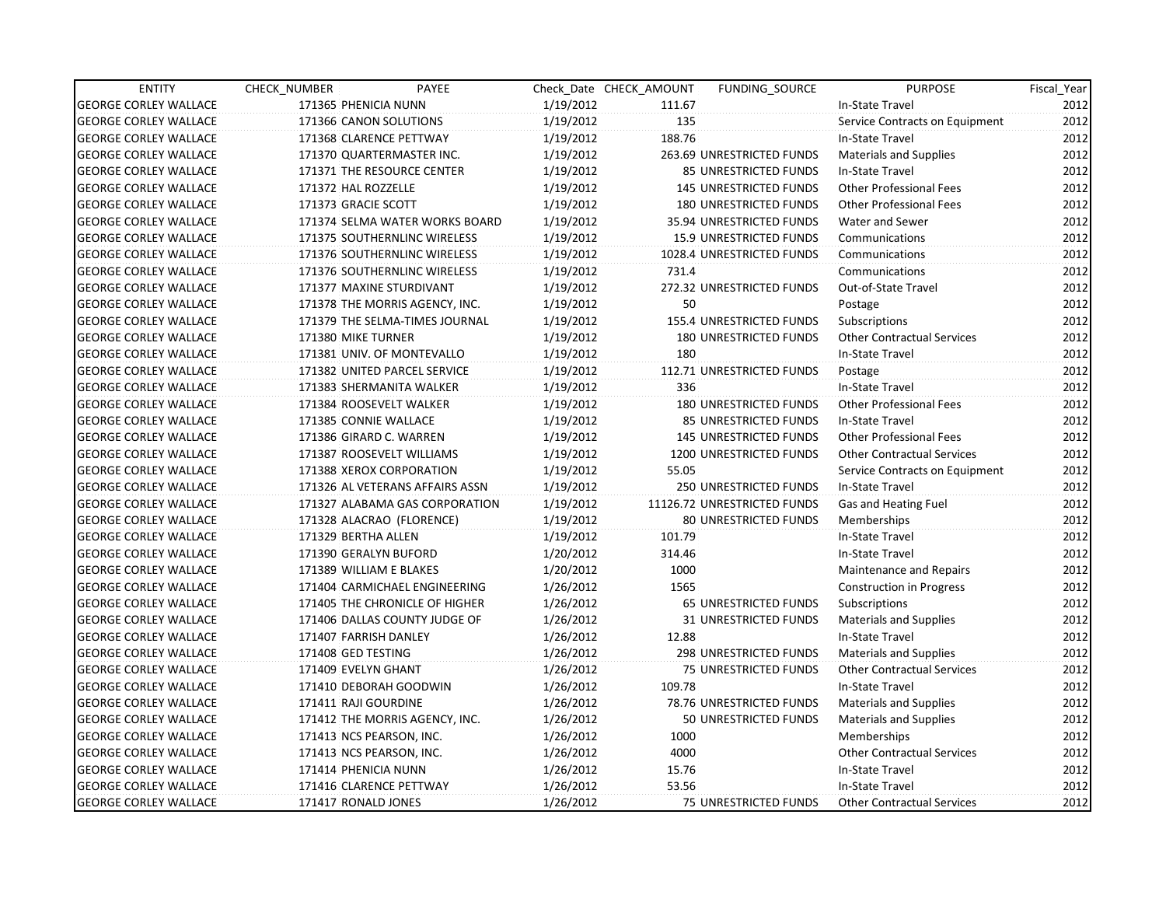| <b>ENTITY</b>                | CHECK NUMBER             | PAYEE                           |           | Check Date CHECK AMOUNT | FUNDING SOURCE                 | <b>PURPOSE</b>                    | Fiscal Year |
|------------------------------|--------------------------|---------------------------------|-----------|-------------------------|--------------------------------|-----------------------------------|-------------|
| <b>GEORGE CORLEY WALLACE</b> | 171365 PHENICIA NUNN     |                                 | 1/19/2012 | 111.67                  |                                | In-State Travel                   | 2012        |
| <b>GEORGE CORLEY WALLACE</b> | 171366 CANON SOLUTIONS   |                                 | 1/19/2012 | 135                     |                                | Service Contracts on Equipment    | 2012        |
| <b>GEORGE CORLEY WALLACE</b> | 171368 CLARENCE PETTWAY  |                                 | 1/19/2012 | 188.76                  |                                | In-State Travel                   | 2012        |
| <b>GEORGE CORLEY WALLACE</b> |                          | 171370 QUARTERMASTER INC.       | 1/19/2012 |                         | 263.69 UNRESTRICTED FUNDS      | Materials and Supplies            | 2012        |
| <b>GEORGE CORLEY WALLACE</b> |                          | 171371 THE RESOURCE CENTER      | 1/19/2012 |                         | 85 UNRESTRICTED FUNDS          | In-State Travel                   | 2012        |
| <b>GEORGE CORLEY WALLACE</b> | 171372 HAL ROZZELLE      |                                 | 1/19/2012 |                         | <b>145 UNRESTRICTED FUNDS</b>  | <b>Other Professional Fees</b>    | 2012        |
| <b>GEORGE CORLEY WALLACE</b> | 171373 GRACIE SCOTT      |                                 | 1/19/2012 |                         | <b>180 UNRESTRICTED FUNDS</b>  | <b>Other Professional Fees</b>    | 2012        |
| <b>GEORGE CORLEY WALLACE</b> |                          | 171374 SELMA WATER WORKS BOARD  | 1/19/2012 |                         | 35.94 UNRESTRICTED FUNDS       | Water and Sewer                   | 2012        |
| <b>GEORGE CORLEY WALLACE</b> |                          | 171375 SOUTHERNLINC WIRELESS    | 1/19/2012 |                         | <b>15.9 UNRESTRICTED FUNDS</b> | Communications                    | 2012        |
| <b>GEORGE CORLEY WALLACE</b> |                          | 171376 SOUTHERNLINC WIRELESS    | 1/19/2012 |                         | 1028.4 UNRESTRICTED FUNDS      | Communications                    | 2012        |
| <b>GEORGE CORLEY WALLACE</b> |                          | 171376 SOUTHERNLINC WIRELESS    | 1/19/2012 | 731.4                   |                                | Communications                    | 2012        |
| <b>GEORGE CORLEY WALLACE</b> |                          | 171377 MAXINE STURDIVANT        | 1/19/2012 |                         | 272.32 UNRESTRICTED FUNDS      | Out-of-State Travel               | 2012        |
| <b>GEORGE CORLEY WALLACE</b> |                          | 171378 THE MORRIS AGENCY, INC.  | 1/19/2012 | 50                      |                                | Postage                           | 2012        |
| <b>GEORGE CORLEY WALLACE</b> |                          | 171379 THE SELMA-TIMES JOURNAL  | 1/19/2012 |                         | 155.4 UNRESTRICTED FUNDS       | Subscriptions                     | 2012        |
| <b>GEORGE CORLEY WALLACE</b> | 171380 MIKE TURNER       |                                 | 1/19/2012 |                         | <b>180 UNRESTRICTED FUNDS</b>  | <b>Other Contractual Services</b> | 2012        |
| <b>GEORGE CORLEY WALLACE</b> |                          | 171381 UNIV. OF MONTEVALLO      | 1/19/2012 | 180                     |                                | In-State Travel                   | 2012        |
| <b>GEORGE CORLEY WALLACE</b> |                          | 171382 UNITED PARCEL SERVICE    | 1/19/2012 |                         | 112.71 UNRESTRICTED FUNDS      | Postage                           | 2012        |
| <b>GEORGE CORLEY WALLACE</b> |                          | 171383 SHERMANITA WALKER        | 1/19/2012 | 336                     |                                | In-State Travel                   | 2012        |
| <b>GEORGE CORLEY WALLACE</b> | 171384 ROOSEVELT WALKER  |                                 | 1/19/2012 |                         | <b>180 UNRESTRICTED FUNDS</b>  | <b>Other Professional Fees</b>    | 2012        |
| <b>GEORGE CORLEY WALLACE</b> | 171385 CONNIE WALLACE    |                                 | 1/19/2012 |                         | 85 UNRESTRICTED FUNDS          | In-State Travel                   | 2012        |
| <b>GEORGE CORLEY WALLACE</b> | 171386 GIRARD C. WARREN  |                                 | 1/19/2012 |                         | <b>145 UNRESTRICTED FUNDS</b>  | <b>Other Professional Fees</b>    | 2012        |
| <b>GEORGE CORLEY WALLACE</b> |                          | 171387 ROOSEVELT WILLIAMS       | 1/19/2012 |                         | 1200 UNRESTRICTED FUNDS        | <b>Other Contractual Services</b> | 2012        |
| <b>GEORGE CORLEY WALLACE</b> |                          | 171388 XEROX CORPORATION        | 1/19/2012 | 55.05                   |                                | Service Contracts on Equipment    | 2012        |
| <b>GEORGE CORLEY WALLACE</b> |                          | 171326 AL VETERANS AFFAIRS ASSN | 1/19/2012 |                         | 250 UNRESTRICTED FUNDS         | In-State Travel                   | 2012        |
| <b>GEORGE CORLEY WALLACE</b> |                          | 171327 ALABAMA GAS CORPORATION  | 1/19/2012 |                         | 11126.72 UNRESTRICTED FUNDS    | Gas and Heating Fuel              | 2012        |
| <b>GEORGE CORLEY WALLACE</b> |                          | 171328 ALACRAO (FLORENCE)       | 1/19/2012 |                         | <b>80 UNRESTRICTED FUNDS</b>   | Memberships                       | 2012        |
| <b>GEORGE CORLEY WALLACE</b> | 171329 BERTHA ALLEN      |                                 | 1/19/2012 | 101.79                  |                                | In-State Travel                   | 2012        |
| <b>GEORGE CORLEY WALLACE</b> | 171390 GERALYN BUFORD    |                                 | 1/20/2012 | 314.46                  |                                | In-State Travel                   | 2012        |
| <b>GEORGE CORLEY WALLACE</b> | 171389 WILLIAM E BLAKES  |                                 | 1/20/2012 | 1000                    |                                | <b>Maintenance and Repairs</b>    | 2012        |
| <b>GEORGE CORLEY WALLACE</b> |                          | 171404 CARMICHAEL ENGINEERING   | 1/26/2012 | 1565                    |                                | <b>Construction in Progress</b>   | 2012        |
| <b>GEORGE CORLEY WALLACE</b> |                          | 171405 THE CHRONICLE OF HIGHER  | 1/26/2012 |                         | 65 UNRESTRICTED FUNDS          | Subscriptions                     | 2012        |
| <b>GEORGE CORLEY WALLACE</b> |                          | 171406 DALLAS COUNTY JUDGE OF   | 1/26/2012 |                         | 31 UNRESTRICTED FUNDS          | Materials and Supplies            | 2012        |
| <b>GEORGE CORLEY WALLACE</b> | 171407 FARRISH DANLEY    |                                 | 1/26/2012 | 12.88                   |                                | In-State Travel                   | 2012        |
| <b>GEORGE CORLEY WALLACE</b> | 171408 GED TESTING       |                                 | 1/26/2012 |                         | 298 UNRESTRICTED FUNDS         | <b>Materials and Supplies</b>     | 2012        |
| <b>GEORGE CORLEY WALLACE</b> | 171409 EVELYN GHANT      |                                 | 1/26/2012 |                         | 75 UNRESTRICTED FUNDS          | <b>Other Contractual Services</b> | 2012        |
| <b>GEORGE CORLEY WALLACE</b> |                          | 171410 DEBORAH GOODWIN          | 1/26/2012 | 109.78                  |                                | In-State Travel                   | 2012        |
| <b>GEORGE CORLEY WALLACE</b> | 171411 RAJI GOURDINE     |                                 | 1/26/2012 |                         | 78.76 UNRESTRICTED FUNDS       | Materials and Supplies            | 2012        |
| <b>GEORGE CORLEY WALLACE</b> |                          | 171412 THE MORRIS AGENCY, INC.  | 1/26/2012 |                         | 50 UNRESTRICTED FUNDS          | <b>Materials and Supplies</b>     | 2012        |
| <b>GEORGE CORLEY WALLACE</b> | 171413 NCS PEARSON, INC. |                                 | 1/26/2012 | 1000                    |                                | Memberships                       | 2012        |
| <b>GEORGE CORLEY WALLACE</b> | 171413 NCS PEARSON, INC. |                                 | 1/26/2012 | 4000                    |                                | <b>Other Contractual Services</b> | 2012        |
| <b>GEORGE CORLEY WALLACE</b> | 171414 PHENICIA NUNN     |                                 | 1/26/2012 | 15.76                   |                                | In-State Travel                   | 2012        |
| <b>GEORGE CORLEY WALLACE</b> | 171416 CLARENCE PETTWAY  |                                 | 1/26/2012 | 53.56                   |                                | In-State Travel                   | 2012        |
| <b>GEORGE CORLEY WALLACE</b> | 171417 RONALD JONES      |                                 | 1/26/2012 |                         | 75 UNRESTRICTED FUNDS          | <b>Other Contractual Services</b> | 2012        |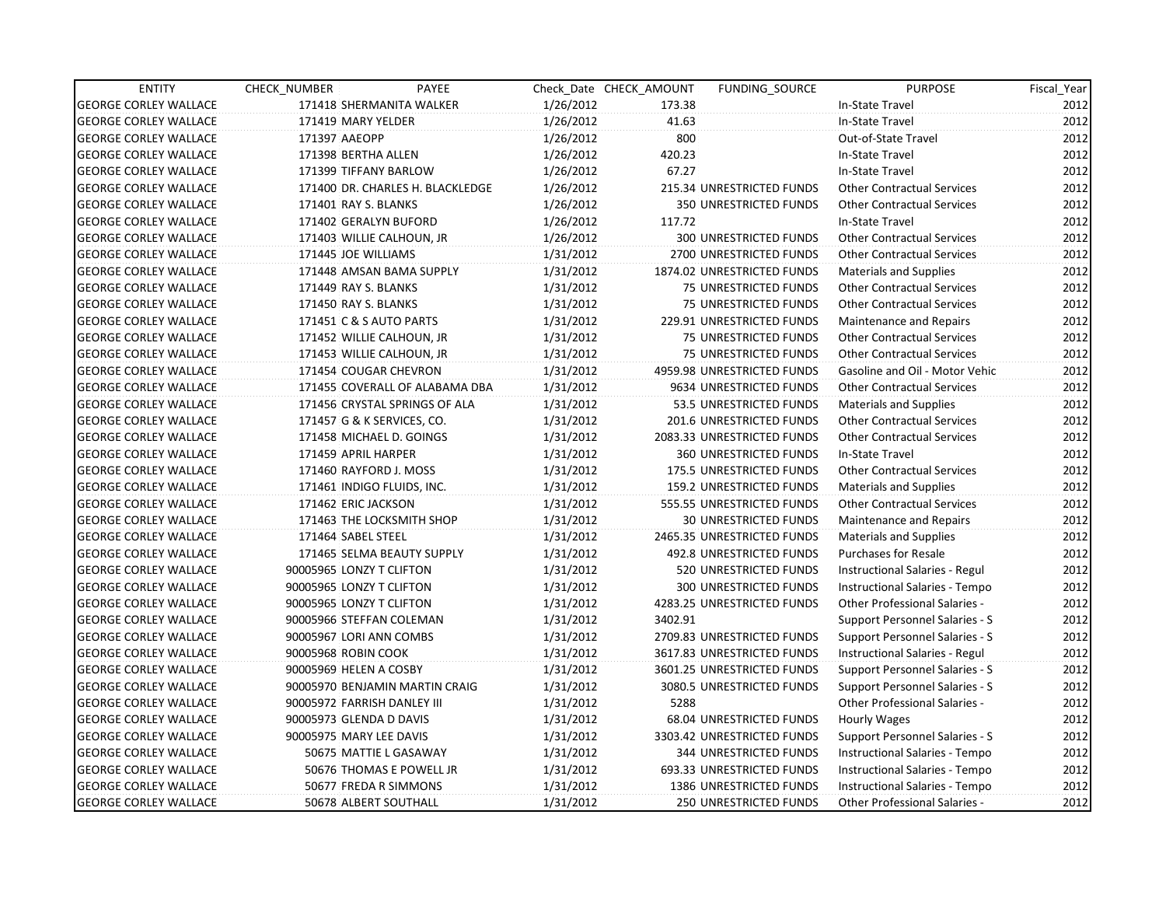| <b>ENTITY</b>                | CHECK_NUMBER                | PAYEE                            |           | Check Date CHECK AMOUNT | FUNDING SOURCE                  | <b>PURPOSE</b>                       | Fiscal_Year |
|------------------------------|-----------------------------|----------------------------------|-----------|-------------------------|---------------------------------|--------------------------------------|-------------|
| <b>GEORGE CORLEY WALLACE</b> |                             | 171418 SHERMANITA WALKER         | 1/26/2012 | 173.38                  |                                 | In-State Travel                      | 2012        |
| <b>GEORGE CORLEY WALLACE</b> | 171419 MARY YELDER          |                                  | 1/26/2012 | 41.63                   |                                 | In-State Travel                      | 2012        |
| <b>GEORGE CORLEY WALLACE</b> | 171397 AAEOPP               |                                  | 1/26/2012 | 800                     |                                 | Out-of-State Travel                  | 2012        |
| <b>GEORGE CORLEY WALLACE</b> | 171398 BERTHA ALLEN         |                                  | 1/26/2012 | 420.23                  |                                 | In-State Travel                      | 2012        |
| <b>GEORGE CORLEY WALLACE</b> | 171399 TIFFANY BARLOW       |                                  | 1/26/2012 | 67.27                   |                                 | In-State Travel                      | 2012        |
| <b>GEORGE CORLEY WALLACE</b> |                             | 171400 DR. CHARLES H. BLACKLEDGE | 1/26/2012 |                         | 215.34 UNRESTRICTED FUNDS       | <b>Other Contractual Services</b>    | 2012        |
| <b>GEORGE CORLEY WALLACE</b> | 171401 RAY S. BLANKS        |                                  | 1/26/2012 |                         | <b>350 UNRESTRICTED FUNDS</b>   | <b>Other Contractual Services</b>    | 2012        |
| <b>GEORGE CORLEY WALLACE</b> | 171402 GERALYN BUFORD       |                                  | 1/26/2012 | 117.72                  |                                 | In-State Travel                      | 2012        |
| <b>GEORGE CORLEY WALLACE</b> | 171403 WILLIE CALHOUN, JR   |                                  | 1/26/2012 |                         | 300 UNRESTRICTED FUNDS          | <b>Other Contractual Services</b>    | 2012        |
| <b>GEORGE CORLEY WALLACE</b> | 171445 JOE WILLIAMS         |                                  | 1/31/2012 |                         | 2700 UNRESTRICTED FUNDS         | <b>Other Contractual Services</b>    | 2012        |
| <b>GEORGE CORLEY WALLACE</b> |                             | 171448 AMSAN BAMA SUPPLY         | 1/31/2012 |                         | 1874.02 UNRESTRICTED FUNDS      | <b>Materials and Supplies</b>        | 2012        |
| <b>GEORGE CORLEY WALLACE</b> | 171449 RAY S. BLANKS        |                                  | 1/31/2012 |                         | 75 UNRESTRICTED FUNDS           | <b>Other Contractual Services</b>    | 2012        |
| <b>GEORGE CORLEY WALLACE</b> | 171450 RAY S. BLANKS        |                                  | 1/31/2012 |                         | 75 UNRESTRICTED FUNDS           | <b>Other Contractual Services</b>    | 2012        |
| <b>GEORGE CORLEY WALLACE</b> | 171451 C & S AUTO PARTS     |                                  | 1/31/2012 |                         | 229.91 UNRESTRICTED FUNDS       | <b>Maintenance and Repairs</b>       | 2012        |
| <b>GEORGE CORLEY WALLACE</b> | 171452 WILLIE CALHOUN, JR   |                                  | 1/31/2012 |                         | 75 UNRESTRICTED FUNDS           | <b>Other Contractual Services</b>    | 2012        |
| <b>GEORGE CORLEY WALLACE</b> | 171453 WILLIE CALHOUN, JR   |                                  | 1/31/2012 |                         | 75 UNRESTRICTED FUNDS           | <b>Other Contractual Services</b>    | 2012        |
| <b>GEORGE CORLEY WALLACE</b> | 171454 COUGAR CHEVRON       |                                  | 1/31/2012 |                         | 4959.98 UNRESTRICTED FUNDS      | Gasoline and Oil - Motor Vehic       | 2012        |
| <b>GEORGE CORLEY WALLACE</b> |                             | 171455 COVERALL OF ALABAMA DBA   | 1/31/2012 |                         | 9634 UNRESTRICTED FUNDS         | <b>Other Contractual Services</b>    | 2012        |
| <b>GEORGE CORLEY WALLACE</b> |                             | 171456 CRYSTAL SPRINGS OF ALA    | 1/31/2012 |                         | 53.5 UNRESTRICTED FUNDS         | <b>Materials and Supplies</b>        | 2012        |
| <b>GEORGE CORLEY WALLACE</b> | 171457 G & K SERVICES, CO.  |                                  | 1/31/2012 |                         | 201.6 UNRESTRICTED FUNDS        | <b>Other Contractual Services</b>    | 2012        |
| <b>GEORGE CORLEY WALLACE</b> | 171458 MICHAEL D. GOINGS    |                                  | 1/31/2012 |                         | 2083.33 UNRESTRICTED FUNDS      | <b>Other Contractual Services</b>    | 2012        |
| <b>GEORGE CORLEY WALLACE</b> | 171459 APRIL HARPER         |                                  | 1/31/2012 |                         | <b>360 UNRESTRICTED FUNDS</b>   | In-State Travel                      | 2012        |
| <b>GEORGE CORLEY WALLACE</b> | 171460 RAYFORD J. MOSS      |                                  | 1/31/2012 |                         | 175.5 UNRESTRICTED FUNDS        | <b>Other Contractual Services</b>    | 2012        |
| <b>GEORGE CORLEY WALLACE</b> | 171461 INDIGO FLUIDS, INC.  |                                  | 1/31/2012 |                         | <b>159.2 UNRESTRICTED FUNDS</b> | Materials and Supplies               | 2012        |
| <b>GEORGE CORLEY WALLACE</b> | 171462 ERIC JACKSON         |                                  | 1/31/2012 |                         | 555.55 UNRESTRICTED FUNDS       | <b>Other Contractual Services</b>    | 2012        |
| <b>GEORGE CORLEY WALLACE</b> | 171463 THE LOCKSMITH SHOP   |                                  | 1/31/2012 |                         | <b>30 UNRESTRICTED FUNDS</b>    | Maintenance and Repairs              | 2012        |
| <b>GEORGE CORLEY WALLACE</b> | 171464 SABEL STEEL          |                                  | 1/31/2012 |                         | 2465.35 UNRESTRICTED FUNDS      | Materials and Supplies               | 2012        |
| <b>GEORGE CORLEY WALLACE</b> |                             | 171465 SELMA BEAUTY SUPPLY       | 1/31/2012 |                         | 492.8 UNRESTRICTED FUNDS        | <b>Purchases for Resale</b>          | 2012        |
| <b>GEORGE CORLEY WALLACE</b> | 90005965 LONZY T CLIFTON    |                                  | 1/31/2012 |                         | 520 UNRESTRICTED FUNDS          | Instructional Salaries - Regul       | 2012        |
| <b>GEORGE CORLEY WALLACE</b> | 90005965 LONZY T CLIFTON    |                                  | 1/31/2012 |                         | 300 UNRESTRICTED FUNDS          | Instructional Salaries - Tempo       | 2012        |
| <b>GEORGE CORLEY WALLACE</b> | 90005965 LONZY T CLIFTON    |                                  | 1/31/2012 |                         | 4283.25 UNRESTRICTED FUNDS      | <b>Other Professional Salaries -</b> | 2012        |
| <b>GEORGE CORLEY WALLACE</b> | 90005966 STEFFAN COLEMAN    |                                  | 1/31/2012 | 3402.91                 |                                 | Support Personnel Salaries - S       | 2012        |
| <b>GEORGE CORLEY WALLACE</b> | 90005967 LORI ANN COMBS     |                                  | 1/31/2012 |                         | 2709.83 UNRESTRICTED FUNDS      | Support Personnel Salaries - S       | 2012        |
| <b>GEORGE CORLEY WALLACE</b> | 90005968 ROBIN COOK         |                                  | 1/31/2012 |                         | 3617.83 UNRESTRICTED FUNDS      | Instructional Salaries - Regul       | 2012        |
| <b>GEORGE CORLEY WALLACE</b> | 90005969 HELEN A COSBY      |                                  | 1/31/2012 |                         | 3601.25 UNRESTRICTED FUNDS      | Support Personnel Salaries - S       | 2012        |
| <b>GEORGE CORLEY WALLACE</b> |                             | 90005970 BENJAMIN MARTIN CRAIG   | 1/31/2012 |                         | 3080.5 UNRESTRICTED FUNDS       | Support Personnel Salaries - S       | 2012        |
| <b>GEORGE CORLEY WALLACE</b> | 90005972 FARRISH DANLEY III |                                  | 1/31/2012 | 5288                    |                                 | Other Professional Salaries -        | 2012        |
| <b>GEORGE CORLEY WALLACE</b> | 90005973 GLENDA D DAVIS     |                                  | 1/31/2012 |                         | 68.04 UNRESTRICTED FUNDS        | Hourly Wages                         | 2012        |
| <b>GEORGE CORLEY WALLACE</b> | 90005975 MARY LEE DAVIS     |                                  | 1/31/2012 |                         | 3303.42 UNRESTRICTED FUNDS      | Support Personnel Salaries - S       | 2012        |
| <b>GEORGE CORLEY WALLACE</b> | 50675 MATTIE L GASAWAY      |                                  | 1/31/2012 |                         | 344 UNRESTRICTED FUNDS          | Instructional Salaries - Tempo       | 2012        |
| <b>GEORGE CORLEY WALLACE</b> |                             | 50676 THOMAS E POWELL JR         | 1/31/2012 |                         | 693.33 UNRESTRICTED FUNDS       | Instructional Salaries - Tempo       | 2012        |
| <b>GEORGE CORLEY WALLACE</b> | 50677 FREDA R SIMMONS       |                                  | 1/31/2012 |                         | 1386 UNRESTRICTED FUNDS         | Instructional Salaries - Tempo       | 2012        |
| <b>GEORGE CORLEY WALLACE</b> | 50678 ALBERT SOUTHALL       |                                  | 1/31/2012 |                         | <b>250 UNRESTRICTED FUNDS</b>   | <b>Other Professional Salaries -</b> | 2012        |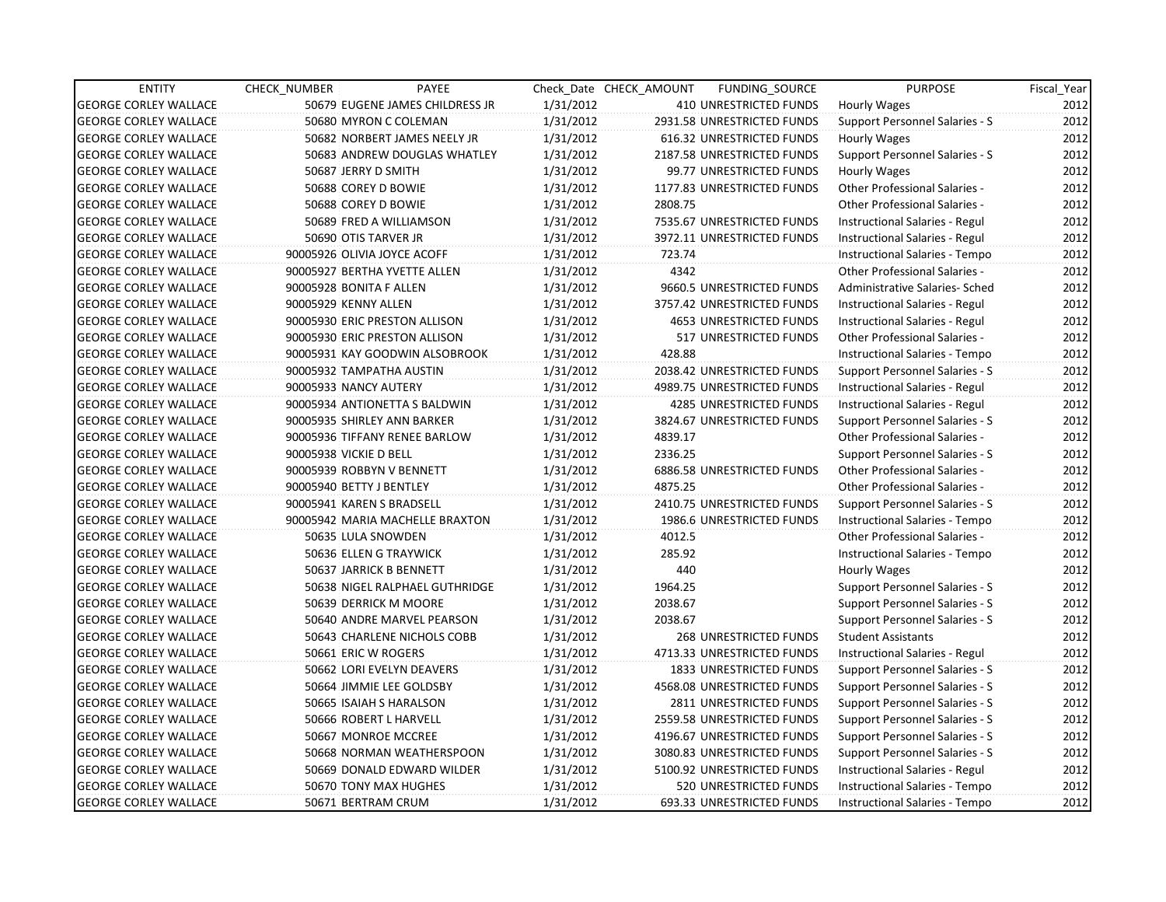| <b>ENTITY</b>                | <b>CHECK NUMBER</b>      | PAYEE                           |           | Check Date CHECK AMOUNT | FUNDING_SOURCE                 | <b>PURPOSE</b>                       | Fiscal_Year |
|------------------------------|--------------------------|---------------------------------|-----------|-------------------------|--------------------------------|--------------------------------------|-------------|
| <b>GEORGE CORLEY WALLACE</b> |                          | 50679 EUGENE JAMES CHILDRESS JR | 1/31/2012 |                         | 410 UNRESTRICTED FUNDS         | <b>Hourly Wages</b>                  | 2012        |
| <b>GEORGE CORLEY WALLACE</b> |                          | 50680 MYRON C COLEMAN           | 1/31/2012 |                         | 2931.58 UNRESTRICTED FUNDS     | Support Personnel Salaries - S       | 2012        |
| <b>GEORGE CORLEY WALLACE</b> |                          | 50682 NORBERT JAMES NEELY JR    | 1/31/2012 |                         | 616.32 UNRESTRICTED FUNDS      | Hourly Wages                         | 2012        |
| <b>GEORGE CORLEY WALLACE</b> |                          | 50683 ANDREW DOUGLAS WHATLEY    | 1/31/2012 |                         | 2187.58 UNRESTRICTED FUNDS     | Support Personnel Salaries - S       | 2012        |
| <b>GEORGE CORLEY WALLACE</b> |                          | 50687 JERRY D SMITH             | 1/31/2012 |                         | 99.77 UNRESTRICTED FUNDS       | Hourly Wages                         | 2012        |
| <b>GEORGE CORLEY WALLACE</b> |                          | 50688 COREY D BOWIE             | 1/31/2012 |                         | 1177.83 UNRESTRICTED FUNDS     | <b>Other Professional Salaries -</b> | 2012        |
| <b>GEORGE CORLEY WALLACE</b> |                          | 50688 COREY D BOWIE             | 1/31/2012 | 2808.75                 |                                | <b>Other Professional Salaries -</b> | 2012        |
| <b>GEORGE CORLEY WALLACE</b> |                          | 50689 FRED A WILLIAMSON         | 1/31/2012 |                         | 7535.67 UNRESTRICTED FUNDS     | Instructional Salaries - Regul       | 2012        |
| <b>GEORGE CORLEY WALLACE</b> |                          | 50690 OTIS TARVER JR            | 1/31/2012 |                         | 3972.11 UNRESTRICTED FUNDS     | Instructional Salaries - Regul       | 2012        |
| <b>GEORGE CORLEY WALLACE</b> |                          | 90005926 OLIVIA JOYCE ACOFF     | 1/31/2012 | 723.74                  |                                | Instructional Salaries - Tempo       | 2012        |
| <b>GEORGE CORLEY WALLACE</b> |                          | 90005927 BERTHA YVETTE ALLEN    | 1/31/2012 | 4342                    |                                | <b>Other Professional Salaries -</b> | 2012        |
| <b>GEORGE CORLEY WALLACE</b> | 90005928 BONITA F ALLEN  |                                 | 1/31/2012 |                         | 9660.5 UNRESTRICTED FUNDS      | Administrative Salaries- Sched       | 2012        |
| <b>GEORGE CORLEY WALLACE</b> | 90005929 KENNY ALLEN     |                                 | 1/31/2012 |                         | 3757.42 UNRESTRICTED FUNDS     | Instructional Salaries - Regul       | 2012        |
| <b>GEORGE CORLEY WALLACE</b> |                          | 90005930 ERIC PRESTON ALLISON   | 1/31/2012 |                         | <b>4653 UNRESTRICTED FUNDS</b> | Instructional Salaries - Regul       | 2012        |
| <b>GEORGE CORLEY WALLACE</b> |                          | 90005930 ERIC PRESTON ALLISON   | 1/31/2012 |                         | 517 UNRESTRICTED FUNDS         | <b>Other Professional Salaries -</b> | 2012        |
| <b>GEORGE CORLEY WALLACE</b> |                          | 90005931 KAY GOODWIN ALSOBROOK  | 1/31/2012 | 428.88                  |                                | Instructional Salaries - Tempo       | 2012        |
| <b>GEORGE CORLEY WALLACE</b> |                          | 90005932 TAMPATHA AUSTIN        | 1/31/2012 |                         | 2038.42 UNRESTRICTED FUNDS     | Support Personnel Salaries - S       | 2012        |
| <b>GEORGE CORLEY WALLACE</b> | 90005933 NANCY AUTERY    |                                 | 1/31/2012 |                         | 4989.75 UNRESTRICTED FUNDS     | Instructional Salaries - Regul       | 2012        |
| <b>GEORGE CORLEY WALLACE</b> |                          | 90005934 ANTIONETTA S BALDWIN   | 1/31/2012 |                         | <b>4285 UNRESTRICTED FUNDS</b> | Instructional Salaries - Regul       | 2012        |
| <b>GEORGE CORLEY WALLACE</b> |                          | 90005935 SHIRLEY ANN BARKER     | 1/31/2012 |                         | 3824.67 UNRESTRICTED FUNDS     | Support Personnel Salaries - S       | 2012        |
| <b>GEORGE CORLEY WALLACE</b> |                          | 90005936 TIFFANY RENEE BARLOW   | 1/31/2012 | 4839.17                 |                                | Other Professional Salaries -        | 2012        |
| <b>GEORGE CORLEY WALLACE</b> | 90005938 VICKIE D BELL   |                                 | 1/31/2012 | 2336.25                 |                                | Support Personnel Salaries - S       | 2012        |
| <b>GEORGE CORLEY WALLACE</b> |                          | 90005939 ROBBYN V BENNETT       | 1/31/2012 |                         | 6886.58 UNRESTRICTED FUNDS     | <b>Other Professional Salaries -</b> | 2012        |
| <b>GEORGE CORLEY WALLACE</b> | 90005940 BETTY J BENTLEY |                                 | 1/31/2012 | 4875.25                 |                                | <b>Other Professional Salaries -</b> | 2012        |
| <b>GEORGE CORLEY WALLACE</b> |                          | 90005941 KAREN S BRADSELL       | 1/31/2012 |                         | 2410.75 UNRESTRICTED FUNDS     | Support Personnel Salaries - S       | 2012        |
| <b>GEORGE CORLEY WALLACE</b> |                          | 90005942 MARIA MACHELLE BRAXTON | 1/31/2012 |                         | 1986.6 UNRESTRICTED FUNDS      | Instructional Salaries - Tempo       | 2012        |
| <b>GEORGE CORLEY WALLACE</b> |                          | 50635 LULA SNOWDEN              | 1/31/2012 | 4012.5                  |                                | Other Professional Salaries -        | 2012        |
| <b>GEORGE CORLEY WALLACE</b> |                          | 50636 ELLEN G TRAYWICK          | 1/31/2012 | 285.92                  |                                | Instructional Salaries - Tempo       | 2012        |
| <b>GEORGE CORLEY WALLACE</b> |                          | 50637 JARRICK B BENNETT         | 1/31/2012 | 440                     |                                | Hourly Wages                         | 2012        |
| <b>GEORGE CORLEY WALLACE</b> |                          | 50638 NIGEL RALPHAEL GUTHRIDGE  | 1/31/2012 | 1964.25                 |                                | Support Personnel Salaries - S       | 2012        |
| <b>GEORGE CORLEY WALLACE</b> |                          | 50639 DERRICK M MOORE           | 1/31/2012 | 2038.67                 |                                | Support Personnel Salaries - S       | 2012        |
| <b>GEORGE CORLEY WALLACE</b> |                          | 50640 ANDRE MARVEL PEARSON      | 1/31/2012 | 2038.67                 |                                | Support Personnel Salaries - S       | 2012        |
| <b>GEORGE CORLEY WALLACE</b> |                          | 50643 CHARLENE NICHOLS COBB     | 1/31/2012 |                         | 268 UNRESTRICTED FUNDS         | <b>Student Assistants</b>            | 2012        |
| <b>GEORGE CORLEY WALLACE</b> |                          | 50661 ERIC W ROGERS             | 1/31/2012 |                         | 4713.33 UNRESTRICTED FUNDS     | Instructional Salaries - Regul       | 2012        |
| <b>GEORGE CORLEY WALLACE</b> |                          | 50662 LORI EVELYN DEAVERS       | 1/31/2012 |                         | 1833 UNRESTRICTED FUNDS        | Support Personnel Salaries - S       | 2012        |
| <b>GEORGE CORLEY WALLACE</b> |                          | 50664 JIMMIE LEE GOLDSBY        | 1/31/2012 |                         | 4568.08 UNRESTRICTED FUNDS     | Support Personnel Salaries - S       | 2012        |
| <b>GEORGE CORLEY WALLACE</b> |                          | 50665 ISAIAH S HARALSON         | 1/31/2012 |                         | 2811 UNRESTRICTED FUNDS        | Support Personnel Salaries - S       | 2012        |
| <b>GEORGE CORLEY WALLACE</b> |                          | 50666 ROBERT L HARVELL          | 1/31/2012 |                         | 2559.58 UNRESTRICTED FUNDS     | Support Personnel Salaries - S       | 2012        |
| <b>GEORGE CORLEY WALLACE</b> |                          | 50667 MONROE MCCREE             | 1/31/2012 |                         | 4196.67 UNRESTRICTED FUNDS     | Support Personnel Salaries - S       | 2012        |
| <b>GEORGE CORLEY WALLACE</b> |                          | 50668 NORMAN WEATHERSPOON       | 1/31/2012 |                         | 3080.83 UNRESTRICTED FUNDS     | Support Personnel Salaries - S       | 2012        |
| <b>GEORGE CORLEY WALLACE</b> |                          | 50669 DONALD EDWARD WILDER      | 1/31/2012 |                         | 5100.92 UNRESTRICTED FUNDS     | Instructional Salaries - Regul       | 2012        |
| <b>GEORGE CORLEY WALLACE</b> |                          | 50670 TONY MAX HUGHES           | 1/31/2012 |                         | 520 UNRESTRICTED FUNDS         | Instructional Salaries - Tempo       | 2012        |
| <b>GEORGE CORLEY WALLACE</b> |                          | 50671 BERTRAM CRUM              | 1/31/2012 |                         | 693.33 UNRESTRICTED FUNDS      | Instructional Salaries - Tempo       | 2012        |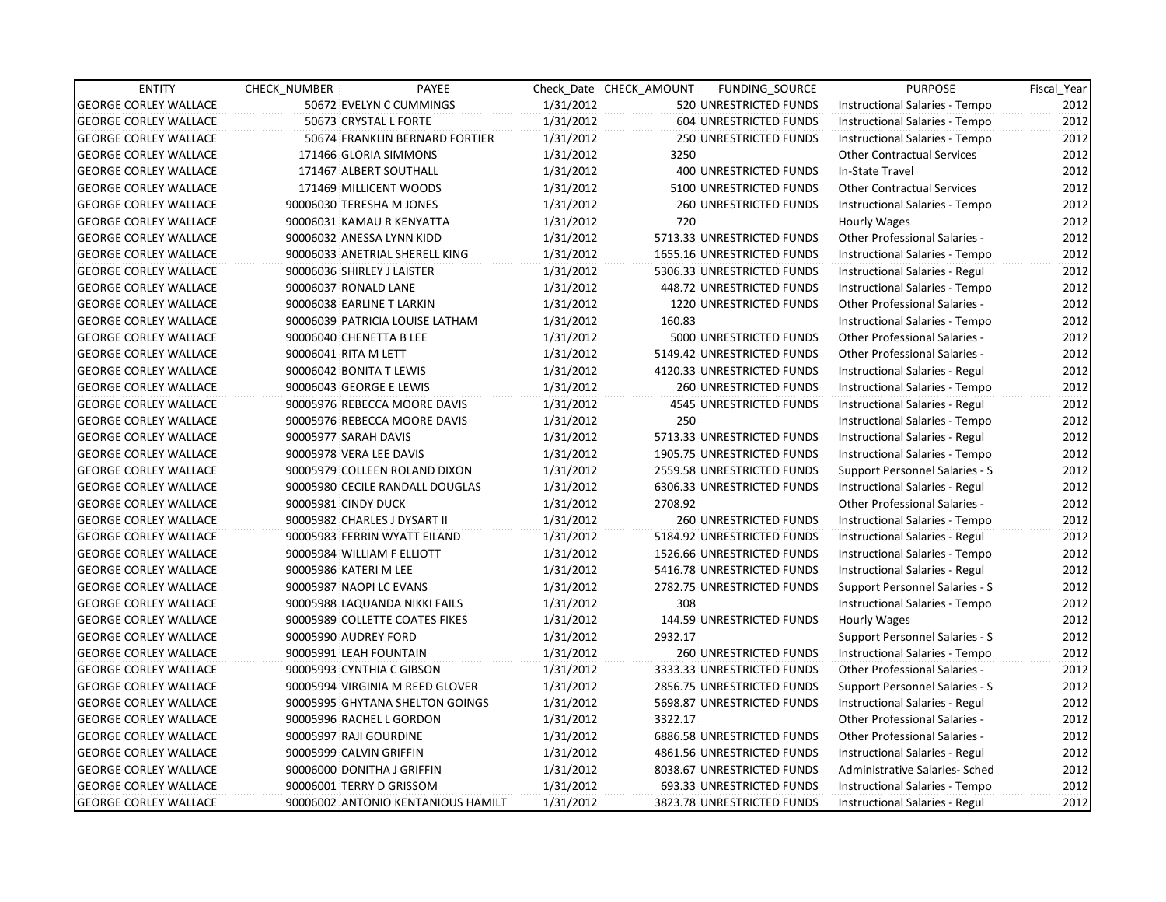| <b>ENTITY</b>                | <b>CHECK NUMBER</b>          | PAYEE                              |           | Check Date CHECK AMOUNT | FUNDING SOURCE                | <b>PURPOSE</b>                       | Fiscal_Year |
|------------------------------|------------------------------|------------------------------------|-----------|-------------------------|-------------------------------|--------------------------------------|-------------|
| <b>GEORGE CORLEY WALLACE</b> |                              | 50672 EVELYN C CUMMINGS            | 1/31/2012 |                         | 520 UNRESTRICTED FUNDS        | Instructional Salaries - Tempo       | 2012        |
| <b>GEORGE CORLEY WALLACE</b> | 50673 CRYSTAL L FORTE        |                                    | 1/31/2012 |                         | 604 UNRESTRICTED FUNDS        | Instructional Salaries - Tempo       | 2012        |
| <b>GEORGE CORLEY WALLACE</b> |                              | 50674 FRANKLIN BERNARD FORTIER     | 1/31/2012 |                         | <b>250 UNRESTRICTED FUNDS</b> | Instructional Salaries - Tempo       | 2012        |
| <b>GEORGE CORLEY WALLACE</b> | 171466 GLORIA SIMMONS        |                                    | 1/31/2012 | 3250                    |                               | <b>Other Contractual Services</b>    | 2012        |
| <b>GEORGE CORLEY WALLACE</b> | 171467 ALBERT SOUTHALL       |                                    | 1/31/2012 |                         | 400 UNRESTRICTED FUNDS        | In-State Travel                      | 2012        |
| <b>GEORGE CORLEY WALLACE</b> | 171469 MILLICENT WOODS       |                                    | 1/31/2012 |                         | 5100 UNRESTRICTED FUNDS       | <b>Other Contractual Services</b>    | 2012        |
| <b>GEORGE CORLEY WALLACE</b> | 90006030 TERESHA M JONES     |                                    | 1/31/2012 |                         | 260 UNRESTRICTED FUNDS        | Instructional Salaries - Tempo       | 2012        |
| <b>GEORGE CORLEY WALLACE</b> | 90006031 KAMAU R KENYATTA    |                                    | 1/31/2012 | 720                     |                               | Hourly Wages                         | 2012        |
| <b>GEORGE CORLEY WALLACE</b> | 90006032 ANESSA LYNN KIDD    |                                    | 1/31/2012 |                         | 5713.33 UNRESTRICTED FUNDS    | Other Professional Salaries -        | 2012        |
| <b>GEORGE CORLEY WALLACE</b> |                              | 90006033 ANETRIAL SHERELL KING     | 1/31/2012 |                         | 1655.16 UNRESTRICTED FUNDS    | Instructional Salaries - Tempo       | 2012        |
| <b>GEORGE CORLEY WALLACE</b> | 90006036 SHIRLEY J LAISTER   |                                    | 1/31/2012 |                         | 5306.33 UNRESTRICTED FUNDS    | Instructional Salaries - Regul       | 2012        |
| <b>GEORGE CORLEY WALLACE</b> | 90006037 RONALD LANE         |                                    | 1/31/2012 |                         | 448.72 UNRESTRICTED FUNDS     | Instructional Salaries - Tempo       | 2012        |
| <b>GEORGE CORLEY WALLACE</b> | 90006038 EARLINE T LARKIN    |                                    | 1/31/2012 |                         | 1220 UNRESTRICTED FUNDS       | Other Professional Salaries -        | 2012        |
| <b>GEORGE CORLEY WALLACE</b> |                              | 90006039 PATRICIA LOUISE LATHAM    | 1/31/2012 | 160.83                  |                               | Instructional Salaries - Tempo       | 2012        |
| <b>GEORGE CORLEY WALLACE</b> | 90006040 CHENETTA B LEE      |                                    | 1/31/2012 |                         | 5000 UNRESTRICTED FUNDS       | <b>Other Professional Salaries -</b> | 2012        |
| <b>GEORGE CORLEY WALLACE</b> | 90006041 RITA M LETT         |                                    | 1/31/2012 |                         | 5149.42 UNRESTRICTED FUNDS    | Other Professional Salaries -        | 2012        |
| <b>GEORGE CORLEY WALLACE</b> | 90006042 BONITA T LEWIS      |                                    | 1/31/2012 |                         | 4120.33 UNRESTRICTED FUNDS    | Instructional Salaries - Regul       | 2012        |
| <b>GEORGE CORLEY WALLACE</b> | 90006043 GEORGE E LEWIS      |                                    | 1/31/2012 |                         | 260 UNRESTRICTED FUNDS        | Instructional Salaries - Tempo       | 2012        |
| <b>GEORGE CORLEY WALLACE</b> |                              | 90005976 REBECCA MOORE DAVIS       | 1/31/2012 |                         | 4545 UNRESTRICTED FUNDS       | Instructional Salaries - Regul       | 2012        |
| <b>GEORGE CORLEY WALLACE</b> |                              | 90005976 REBECCA MOORE DAVIS       | 1/31/2012 | 250                     |                               | Instructional Salaries - Tempo       | 2012        |
| <b>GEORGE CORLEY WALLACE</b> | 90005977 SARAH DAVIS         |                                    | 1/31/2012 |                         | 5713.33 UNRESTRICTED FUNDS    | Instructional Salaries - Regul       | 2012        |
| <b>GEORGE CORLEY WALLACE</b> | 90005978 VERA LEE DAVIS      |                                    | 1/31/2012 |                         | 1905.75 UNRESTRICTED FUNDS    | Instructional Salaries - Tempo       | 2012        |
| <b>GEORGE CORLEY WALLACE</b> |                              | 90005979 COLLEEN ROLAND DIXON      | 1/31/2012 |                         | 2559.58 UNRESTRICTED FUNDS    | Support Personnel Salaries - S       | 2012        |
| <b>GEORGE CORLEY WALLACE</b> |                              | 90005980 CECILE RANDALL DOUGLAS    | 1/31/2012 |                         | 6306.33 UNRESTRICTED FUNDS    | Instructional Salaries - Regul       | 2012        |
| <b>GEORGE CORLEY WALLACE</b> | 90005981 CINDY DUCK          |                                    | 1/31/2012 | 2708.92                 |                               | Other Professional Salaries -        | 2012        |
| <b>GEORGE CORLEY WALLACE</b> | 90005982 CHARLES J DYSART II |                                    | 1/31/2012 |                         | <b>260 UNRESTRICTED FUNDS</b> | Instructional Salaries - Tempo       | 2012        |
| <b>GEORGE CORLEY WALLACE</b> |                              | 90005983 FERRIN WYATT EILAND       | 1/31/2012 |                         | 5184.92 UNRESTRICTED FUNDS    | Instructional Salaries - Regul       | 2012        |
| <b>GEORGE CORLEY WALLACE</b> | 90005984 WILLIAM F ELLIOTT   |                                    | 1/31/2012 |                         | 1526.66 UNRESTRICTED FUNDS    | Instructional Salaries - Tempo       | 2012        |
| <b>GEORGE CORLEY WALLACE</b> | 90005986 KATERI M LEE        |                                    | 1/31/2012 |                         | 5416.78 UNRESTRICTED FUNDS    | Instructional Salaries - Regul       | 2012        |
| <b>GEORGE CORLEY WALLACE</b> | 90005987 NAOPI LC EVANS      |                                    | 1/31/2012 |                         | 2782.75 UNRESTRICTED FUNDS    | Support Personnel Salaries - S       | 2012        |
| <b>GEORGE CORLEY WALLACE</b> |                              | 90005988 LAQUANDA NIKKI FAILS      | 1/31/2012 | 308                     |                               | Instructional Salaries - Tempo       | 2012        |
| <b>GEORGE CORLEY WALLACE</b> |                              | 90005989 COLLETTE COATES FIKES     | 1/31/2012 |                         | 144.59 UNRESTRICTED FUNDS     | Hourly Wages                         | 2012        |
| <b>GEORGE CORLEY WALLACE</b> | 90005990 AUDREY FORD         |                                    | 1/31/2012 | 2932.17                 |                               | Support Personnel Salaries - S       | 2012        |
| <b>GEORGE CORLEY WALLACE</b> | 90005991 LEAH FOUNTAIN       |                                    | 1/31/2012 |                         | <b>260 UNRESTRICTED FUNDS</b> | Instructional Salaries - Tempo       | 2012        |
| <b>GEORGE CORLEY WALLACE</b> | 90005993 CYNTHIA C GIBSON    |                                    | 1/31/2012 |                         | 3333.33 UNRESTRICTED FUNDS    | Other Professional Salaries -        | 2012        |
| <b>GEORGE CORLEY WALLACE</b> |                              | 90005994 VIRGINIA M REED GLOVER    | 1/31/2012 |                         | 2856.75 UNRESTRICTED FUNDS    | Support Personnel Salaries - S       | 2012        |
| <b>GEORGE CORLEY WALLACE</b> |                              | 90005995 GHYTANA SHELTON GOINGS    | 1/31/2012 |                         | 5698.87 UNRESTRICTED FUNDS    | Instructional Salaries - Regul       | 2012        |
| <b>GEORGE CORLEY WALLACE</b> | 90005996 RACHEL L GORDON     |                                    | 1/31/2012 | 3322.17                 |                               | Other Professional Salaries -        | 2012        |
| <b>GEORGE CORLEY WALLACE</b> | 90005997 RAJI GOURDINE       |                                    | 1/31/2012 |                         | 6886.58 UNRESTRICTED FUNDS    | Other Professional Salaries -        | 2012        |
| <b>GEORGE CORLEY WALLACE</b> | 90005999 CALVIN GRIFFIN      |                                    | 1/31/2012 |                         | 4861.56 UNRESTRICTED FUNDS    | Instructional Salaries - Regul       | 2012        |
| <b>GEORGE CORLEY WALLACE</b> | 90006000 DONITHA J GRIFFIN   |                                    | 1/31/2012 |                         | 8038.67 UNRESTRICTED FUNDS    | Administrative Salaries- Sched       | 2012        |
| <b>GEORGE CORLEY WALLACE</b> | 90006001 TERRY D GRISSOM     |                                    | 1/31/2012 |                         | 693.33 UNRESTRICTED FUNDS     | Instructional Salaries - Tempo       | 2012        |
| <b>GEORGE CORLEY WALLACE</b> |                              | 90006002 ANTONIO KENTANIOUS HAMILT | 1/31/2012 |                         | 3823.78 UNRESTRICTED FUNDS    | Instructional Salaries - Regul       | 2012        |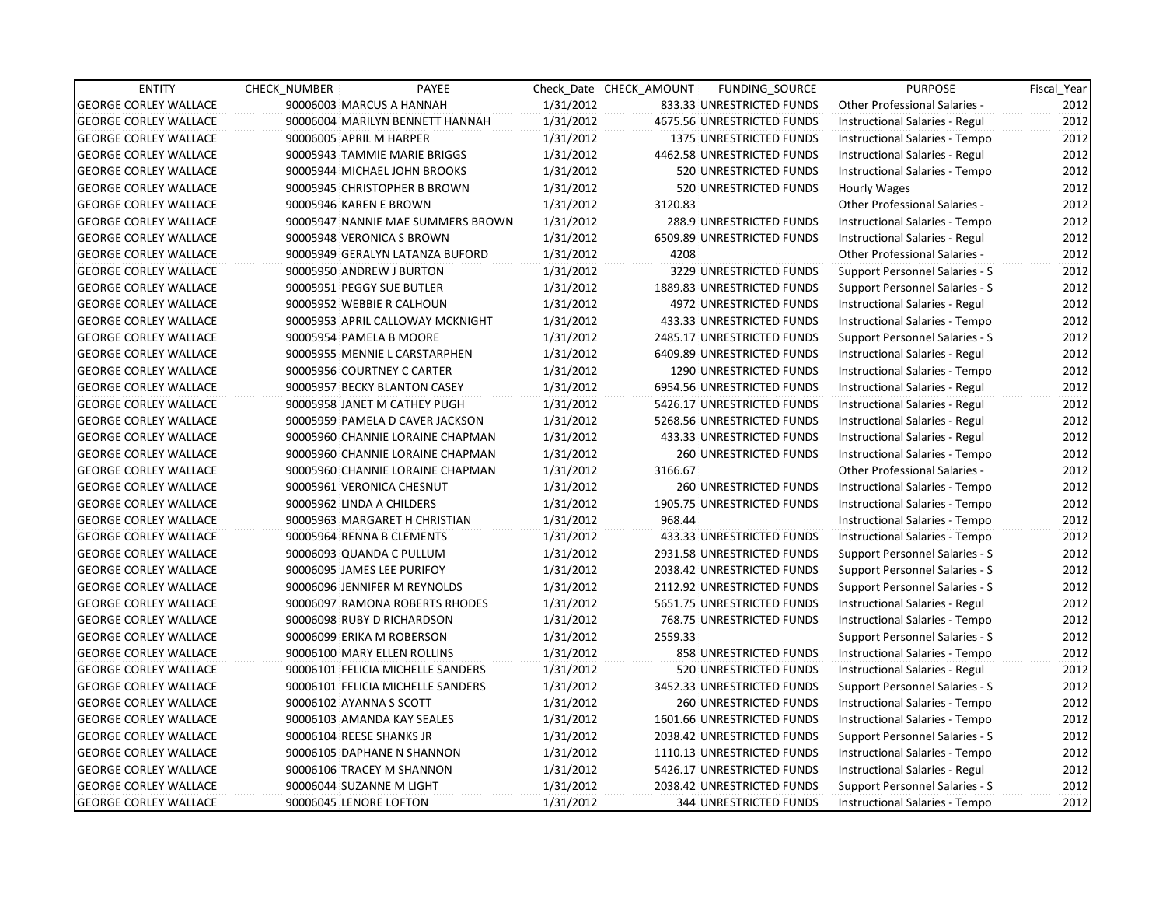| <b>ENTITY</b>                | <b>CHECK NUMBER</b>          | PAYEE                             |           | Check Date CHECK AMOUNT | FUNDING_SOURCE                 | <b>PURPOSE</b>                       | Fiscal Year |
|------------------------------|------------------------------|-----------------------------------|-----------|-------------------------|--------------------------------|--------------------------------------|-------------|
| <b>GEORGE CORLEY WALLACE</b> | 90006003 MARCUS A HANNAH     |                                   | 1/31/2012 |                         | 833.33 UNRESTRICTED FUNDS      | <b>Other Professional Salaries -</b> | 2012        |
| <b>GEORGE CORLEY WALLACE</b> |                              | 90006004 MARILYN BENNETT HANNAH   | 1/31/2012 |                         | 4675.56 UNRESTRICTED FUNDS     | Instructional Salaries - Regul       | 2012        |
| <b>GEORGE CORLEY WALLACE</b> | 90006005 APRIL M HARPER      |                                   | 1/31/2012 |                         | <b>1375 UNRESTRICTED FUNDS</b> | Instructional Salaries - Tempo       | 2012        |
| <b>GEORGE CORLEY WALLACE</b> | 90005943 TAMMIE MARIE BRIGGS |                                   | 1/31/2012 |                         | 4462.58 UNRESTRICTED FUNDS     | Instructional Salaries - Regul       | 2012        |
| <b>GEORGE CORLEY WALLACE</b> | 90005944 MICHAEL JOHN BROOKS |                                   | 1/31/2012 |                         | 520 UNRESTRICTED FUNDS         | Instructional Salaries - Tempo       | 2012        |
| <b>GEORGE CORLEY WALLACE</b> | 90005945 CHRISTOPHER B BROWN |                                   | 1/31/2012 |                         | 520 UNRESTRICTED FUNDS         | Hourly Wages                         | 2012        |
| <b>GEORGE CORLEY WALLACE</b> | 90005946 KAREN E BROWN       |                                   | 1/31/2012 | 3120.83                 |                                | Other Professional Salaries -        | 2012        |
| <b>GEORGE CORLEY WALLACE</b> |                              | 90005947 NANNIE MAE SUMMERS BROWN | 1/31/2012 |                         | 288.9 UNRESTRICTED FUNDS       | Instructional Salaries - Tempo       | 2012        |
| <b>GEORGE CORLEY WALLACE</b> | 90005948 VERONICA S BROWN    |                                   | 1/31/2012 |                         | 6509.89 UNRESTRICTED FUNDS     | Instructional Salaries - Regul       | 2012        |
| <b>GEORGE CORLEY WALLACE</b> |                              | 90005949 GERALYN LATANZA BUFORD   | 1/31/2012 | 4208                    |                                | <b>Other Professional Salaries -</b> | 2012        |
| <b>GEORGE CORLEY WALLACE</b> | 90005950 ANDREW J BURTON     |                                   | 1/31/2012 |                         | 3229 UNRESTRICTED FUNDS        | Support Personnel Salaries - S       | 2012        |
| <b>GEORGE CORLEY WALLACE</b> | 90005951 PEGGY SUE BUTLER    |                                   | 1/31/2012 |                         | 1889.83 UNRESTRICTED FUNDS     | Support Personnel Salaries - S       | 2012        |
| <b>GEORGE CORLEY WALLACE</b> | 90005952 WEBBIE R CALHOUN    |                                   | 1/31/2012 |                         | <b>4972 UNRESTRICTED FUNDS</b> | Instructional Salaries - Regul       | 2012        |
| <b>GEORGE CORLEY WALLACE</b> |                              | 90005953 APRIL CALLOWAY MCKNIGHT  | 1/31/2012 |                         | 433.33 UNRESTRICTED FUNDS      | Instructional Salaries - Tempo       | 2012        |
| <b>GEORGE CORLEY WALLACE</b> | 90005954 PAMELA B MOORE      |                                   | 1/31/2012 |                         | 2485.17 UNRESTRICTED FUNDS     | Support Personnel Salaries - S       | 2012        |
| <b>GEORGE CORLEY WALLACE</b> |                              | 90005955 MENNIE L CARSTARPHEN     | 1/31/2012 |                         | 6409.89 UNRESTRICTED FUNDS     | Instructional Salaries - Regul       | 2012        |
| <b>GEORGE CORLEY WALLACE</b> | 90005956 COURTNEY C CARTER   |                                   | 1/31/2012 |                         | 1290 UNRESTRICTED FUNDS        | Instructional Salaries - Tempo       | 2012        |
| <b>GEORGE CORLEY WALLACE</b> | 90005957 BECKY BLANTON CASEY |                                   | 1/31/2012 |                         | 6954.56 UNRESTRICTED FUNDS     | Instructional Salaries - Regul       | 2012        |
| <b>GEORGE CORLEY WALLACE</b> | 90005958 JANET M CATHEY PUGH |                                   | 1/31/2012 |                         | 5426.17 UNRESTRICTED FUNDS     | Instructional Salaries - Regul       | 2012        |
| <b>GEORGE CORLEY WALLACE</b> |                              | 90005959 PAMELA D CAVER JACKSON   | 1/31/2012 |                         | 5268.56 UNRESTRICTED FUNDS     | Instructional Salaries - Regul       | 2012        |
| <b>GEORGE CORLEY WALLACE</b> |                              | 90005960 CHANNIE LORAINE CHAPMAN  | 1/31/2012 |                         | 433.33 UNRESTRICTED FUNDS      | Instructional Salaries - Regul       | 2012        |
| <b>GEORGE CORLEY WALLACE</b> |                              | 90005960 CHANNIE LORAINE CHAPMAN  | 1/31/2012 |                         | <b>260 UNRESTRICTED FUNDS</b>  | Instructional Salaries - Tempo       | 2012        |
| <b>GEORGE CORLEY WALLACE</b> |                              | 90005960 CHANNIE LORAINE CHAPMAN  | 1/31/2012 | 3166.67                 |                                | <b>Other Professional Salaries -</b> | 2012        |
| <b>GEORGE CORLEY WALLACE</b> | 90005961 VERONICA CHESNUT    |                                   | 1/31/2012 |                         | 260 UNRESTRICTED FUNDS         | Instructional Salaries - Tempo       | 2012        |
| <b>GEORGE CORLEY WALLACE</b> | 90005962 LINDA A CHILDERS    |                                   | 1/31/2012 |                         | 1905.75 UNRESTRICTED FUNDS     | Instructional Salaries - Tempo       | 2012        |
| <b>GEORGE CORLEY WALLACE</b> |                              | 90005963 MARGARET H CHRISTIAN     | 1/31/2012 | 968.44                  |                                | Instructional Salaries - Tempo       | 2012        |
| <b>GEORGE CORLEY WALLACE</b> | 90005964 RENNA B CLEMENTS    |                                   | 1/31/2012 |                         | 433.33 UNRESTRICTED FUNDS      | Instructional Salaries - Tempo       | 2012        |
| <b>GEORGE CORLEY WALLACE</b> | 90006093 QUANDA C PULLUM     |                                   | 1/31/2012 |                         | 2931.58 UNRESTRICTED FUNDS     | Support Personnel Salaries - S       | 2012        |
| <b>GEORGE CORLEY WALLACE</b> | 90006095 JAMES LEE PURIFOY   |                                   | 1/31/2012 |                         | 2038.42 UNRESTRICTED FUNDS     | Support Personnel Salaries - S       | 2012        |
| <b>GEORGE CORLEY WALLACE</b> | 90006096 JENNIFER M REYNOLDS |                                   | 1/31/2012 |                         | 2112.92 UNRESTRICTED FUNDS     | Support Personnel Salaries - S       | 2012        |
| <b>GEORGE CORLEY WALLACE</b> |                              | 90006097 RAMONA ROBERTS RHODES    | 1/31/2012 |                         | 5651.75 UNRESTRICTED FUNDS     | Instructional Salaries - Regul       | 2012        |
| <b>GEORGE CORLEY WALLACE</b> | 90006098 RUBY D RICHARDSON   |                                   | 1/31/2012 |                         | 768.75 UNRESTRICTED FUNDS      | Instructional Salaries - Tempo       | 2012        |
| <b>GEORGE CORLEY WALLACE</b> | 90006099 ERIKA M ROBERSON    |                                   | 1/31/2012 | 2559.33                 |                                | Support Personnel Salaries - S       | 2012        |
| <b>GEORGE CORLEY WALLACE</b> | 90006100 MARY ELLEN ROLLINS  |                                   | 1/31/2012 |                         | 858 UNRESTRICTED FUNDS         | Instructional Salaries - Tempo       | 2012        |
| <b>GEORGE CORLEY WALLACE</b> |                              | 90006101 FELICIA MICHELLE SANDERS | 1/31/2012 |                         | 520 UNRESTRICTED FUNDS         | Instructional Salaries - Regul       | 2012        |
| <b>GEORGE CORLEY WALLACE</b> |                              | 90006101 FELICIA MICHELLE SANDERS | 1/31/2012 |                         | 3452.33 UNRESTRICTED FUNDS     | Support Personnel Salaries - S       | 2012        |
| <b>GEORGE CORLEY WALLACE</b> | 90006102 AYANNA S SCOTT      |                                   | 1/31/2012 |                         | <b>260 UNRESTRICTED FUNDS</b>  | Instructional Salaries - Tempo       | 2012        |
| <b>GEORGE CORLEY WALLACE</b> | 90006103 AMANDA KAY SEALES   |                                   | 1/31/2012 |                         | 1601.66 UNRESTRICTED FUNDS     | Instructional Salaries - Tempo       | 2012        |
| <b>GEORGE CORLEY WALLACE</b> | 90006104 REESE SHANKS JR     |                                   | 1/31/2012 |                         | 2038.42 UNRESTRICTED FUNDS     | Support Personnel Salaries - S       | 2012        |
| <b>GEORGE CORLEY WALLACE</b> | 90006105 DAPHANE N SHANNON   |                                   | 1/31/2012 |                         | 1110.13 UNRESTRICTED FUNDS     | Instructional Salaries - Tempo       | 2012        |
| <b>GEORGE CORLEY WALLACE</b> | 90006106 TRACEY M SHANNON    |                                   | 1/31/2012 |                         | 5426.17 UNRESTRICTED FUNDS     | Instructional Salaries - Regul       | 2012        |
| <b>GEORGE CORLEY WALLACE</b> | 90006044 SUZANNE M LIGHT     |                                   | 1/31/2012 |                         | 2038.42 UNRESTRICTED FUNDS     | Support Personnel Salaries - S       | 2012        |
| <b>GEORGE CORLEY WALLACE</b> | 90006045 LENORE LOFTON       |                                   | 1/31/2012 |                         | <b>344 UNRESTRICTED FUNDS</b>  | Instructional Salaries - Tempo       | 2012        |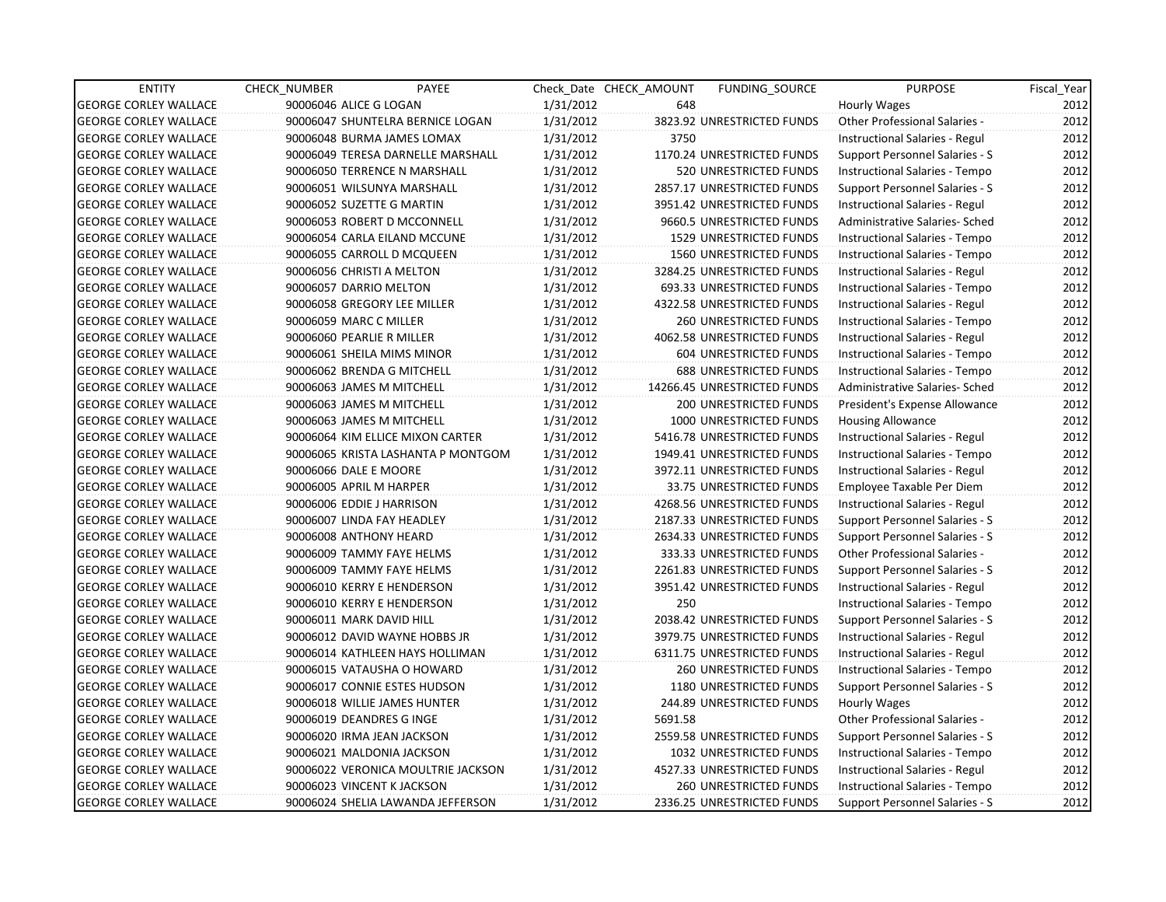| <b>ENTITY</b>                | <b>CHECK NUMBER</b> | PAYEE                              |           | Check Date CHECK AMOUNT | <b>FUNDING SOURCE</b>         | <b>PURPOSE</b>                 | Fiscal Year |
|------------------------------|---------------------|------------------------------------|-----------|-------------------------|-------------------------------|--------------------------------|-------------|
| <b>GEORGE CORLEY WALLACE</b> |                     | 90006046 ALICE G LOGAN             | 1/31/2012 | 648                     |                               | Hourly Wages                   | 2012        |
| <b>GEORGE CORLEY WALLACE</b> |                     | 90006047 SHUNTELRA BERNICE LOGAN   | 1/31/2012 |                         | 3823.92 UNRESTRICTED FUNDS    | Other Professional Salaries -  | 2012        |
| <b>GEORGE CORLEY WALLACE</b> |                     | 90006048 BURMA JAMES LOMAX         | 1/31/2012 | 3750                    |                               | Instructional Salaries - Regul | 2012        |
| <b>GEORGE CORLEY WALLACE</b> |                     | 90006049 TERESA DARNELLE MARSHALL  | 1/31/2012 |                         | 1170.24 UNRESTRICTED FUNDS    | Support Personnel Salaries - S | 2012        |
| <b>GEORGE CORLEY WALLACE</b> |                     | 90006050 TERRENCE N MARSHALL       | 1/31/2012 |                         | 520 UNRESTRICTED FUNDS        | Instructional Salaries - Tempo | 2012        |
| <b>GEORGE CORLEY WALLACE</b> |                     | 90006051 WILSUNYA MARSHALL         | 1/31/2012 |                         | 2857.17 UNRESTRICTED FUNDS    | Support Personnel Salaries - S | 2012        |
| <b>GEORGE CORLEY WALLACE</b> |                     | 90006052 SUZETTE G MARTIN          | 1/31/2012 |                         | 3951.42 UNRESTRICTED FUNDS    | Instructional Salaries - Regul | 2012        |
| <b>GEORGE CORLEY WALLACE</b> |                     | 90006053 ROBERT D MCCONNELL        | 1/31/2012 |                         | 9660.5 UNRESTRICTED FUNDS     | Administrative Salaries- Sched | 2012        |
| <b>GEORGE CORLEY WALLACE</b> |                     | 90006054 CARLA EILAND MCCUNE       | 1/31/2012 |                         | 1529 UNRESTRICTED FUNDS       | Instructional Salaries - Tempo | 2012        |
| <b>GEORGE CORLEY WALLACE</b> |                     | 90006055 CARROLL D MCQUEEN         | 1/31/2012 |                         | 1560 UNRESTRICTED FUNDS       | Instructional Salaries - Tempo | 2012        |
| <b>GEORGE CORLEY WALLACE</b> |                     | 90006056 CHRISTI A MELTON          | 1/31/2012 |                         | 3284.25 UNRESTRICTED FUNDS    | Instructional Salaries - Regul | 2012        |
| <b>GEORGE CORLEY WALLACE</b> |                     | 90006057 DARRIO MELTON             | 1/31/2012 |                         | 693.33 UNRESTRICTED FUNDS     | Instructional Salaries - Tempo | 2012        |
| <b>GEORGE CORLEY WALLACE</b> |                     | 90006058 GREGORY LEE MILLER        | 1/31/2012 |                         | 4322.58 UNRESTRICTED FUNDS    | Instructional Salaries - Regul | 2012        |
| <b>GEORGE CORLEY WALLACE</b> |                     | 90006059 MARC C MILLER             | 1/31/2012 |                         | 260 UNRESTRICTED FUNDS        | Instructional Salaries - Tempo | 2012        |
| <b>GEORGE CORLEY WALLACE</b> |                     | 90006060 PEARLIE R MILLER          | 1/31/2012 |                         | 4062.58 UNRESTRICTED FUNDS    | Instructional Salaries - Regul | 2012        |
| <b>GEORGE CORLEY WALLACE</b> |                     | 90006061 SHEILA MIMS MINOR         | 1/31/2012 |                         | 604 UNRESTRICTED FUNDS        | Instructional Salaries - Tempo | 2012        |
| <b>GEORGE CORLEY WALLACE</b> |                     | 90006062 BRENDA G MITCHELL         | 1/31/2012 |                         | <b>688 UNRESTRICTED FUNDS</b> | Instructional Salaries - Tempo | 2012        |
| <b>GEORGE CORLEY WALLACE</b> |                     | 90006063 JAMES M MITCHELL          | 1/31/2012 |                         | 14266.45 UNRESTRICTED FUNDS   | Administrative Salaries- Sched | 2012        |
| <b>GEORGE CORLEY WALLACE</b> |                     | 90006063 JAMES M MITCHELL          | 1/31/2012 |                         | <b>200 UNRESTRICTED FUNDS</b> | President's Expense Allowance  | 2012        |
| <b>GEORGE CORLEY WALLACE</b> |                     | 90006063 JAMES M MITCHELL          | 1/31/2012 |                         | 1000 UNRESTRICTED FUNDS       | <b>Housing Allowance</b>       | 2012        |
| <b>GEORGE CORLEY WALLACE</b> |                     | 90006064 KIM ELLICE MIXON CARTER   | 1/31/2012 |                         | 5416.78 UNRESTRICTED FUNDS    | Instructional Salaries - Regul | 2012        |
| <b>GEORGE CORLEY WALLACE</b> |                     | 90006065 KRISTA LASHANTA P MONTGOM | 1/31/2012 |                         | 1949.41 UNRESTRICTED FUNDS    | Instructional Salaries - Tempo | 2012        |
| <b>GEORGE CORLEY WALLACE</b> |                     | 90006066 DALE E MOORE              | 1/31/2012 |                         | 3972.11 UNRESTRICTED FUNDS    | Instructional Salaries - Regul | 2012        |
| <b>GEORGE CORLEY WALLACE</b> |                     | 90006005 APRIL M HARPER            | 1/31/2012 |                         | 33.75 UNRESTRICTED FUNDS      | Employee Taxable Per Diem      | 2012        |
| <b>GEORGE CORLEY WALLACE</b> |                     | 90006006 EDDIE J HARRISON          | 1/31/2012 |                         | 4268.56 UNRESTRICTED FUNDS    | Instructional Salaries - Regul | 2012        |
| <b>GEORGE CORLEY WALLACE</b> |                     | 90006007 LINDA FAY HEADLEY         | 1/31/2012 |                         | 2187.33 UNRESTRICTED FUNDS    | Support Personnel Salaries - S | 2012        |
| <b>GEORGE CORLEY WALLACE</b> |                     | 90006008 ANTHONY HEARD             | 1/31/2012 |                         | 2634.33 UNRESTRICTED FUNDS    | Support Personnel Salaries - S | 2012        |
| <b>GEORGE CORLEY WALLACE</b> |                     | 90006009 TAMMY FAYE HELMS          | 1/31/2012 |                         | 333.33 UNRESTRICTED FUNDS     | Other Professional Salaries -  | 2012        |
| <b>GEORGE CORLEY WALLACE</b> |                     | 90006009 TAMMY FAYE HELMS          | 1/31/2012 |                         | 2261.83 UNRESTRICTED FUNDS    | Support Personnel Salaries - S | 2012        |
| <b>GEORGE CORLEY WALLACE</b> |                     | 90006010 KERRY E HENDERSON         | 1/31/2012 |                         | 3951.42 UNRESTRICTED FUNDS    | Instructional Salaries - Regul | 2012        |
| <b>GEORGE CORLEY WALLACE</b> |                     | 90006010 KERRY E HENDERSON         | 1/31/2012 | 250                     |                               | Instructional Salaries - Tempo | 2012        |
| <b>GEORGE CORLEY WALLACE</b> |                     | 90006011 MARK DAVID HILL           | 1/31/2012 |                         | 2038.42 UNRESTRICTED FUNDS    | Support Personnel Salaries - S | 2012        |
| <b>GEORGE CORLEY WALLACE</b> |                     | 90006012 DAVID WAYNE HOBBS JR      | 1/31/2012 |                         | 3979.75 UNRESTRICTED FUNDS    | Instructional Salaries - Regul | 2012        |
| <b>GEORGE CORLEY WALLACE</b> |                     | 90006014 KATHLEEN HAYS HOLLIMAN    | 1/31/2012 |                         | 6311.75 UNRESTRICTED FUNDS    | Instructional Salaries - Regul | 2012        |
| <b>GEORGE CORLEY WALLACE</b> |                     | 90006015 VATAUSHA O HOWARD         | 1/31/2012 |                         | <b>260 UNRESTRICTED FUNDS</b> | Instructional Salaries - Tempo | 2012        |
| <b>GEORGE CORLEY WALLACE</b> |                     | 90006017 CONNIE ESTES HUDSON       | 1/31/2012 |                         | 1180 UNRESTRICTED FUNDS       | Support Personnel Salaries - S | 2012        |
| <b>GEORGE CORLEY WALLACE</b> |                     | 90006018 WILLIE JAMES HUNTER       | 1/31/2012 |                         | 244.89 UNRESTRICTED FUNDS     | Hourly Wages                   | 2012        |
| <b>GEORGE CORLEY WALLACE</b> |                     | 90006019 DEANDRES G INGE           | 1/31/2012 | 5691.58                 |                               | Other Professional Salaries -  | 2012        |
| <b>GEORGE CORLEY WALLACE</b> |                     | 90006020 IRMA JEAN JACKSON         | 1/31/2012 |                         | 2559.58 UNRESTRICTED FUNDS    | Support Personnel Salaries - S | 2012        |
| <b>GEORGE CORLEY WALLACE</b> |                     | 90006021 MALDONIA JACKSON          | 1/31/2012 |                         | 1032 UNRESTRICTED FUNDS       | Instructional Salaries - Tempo | 2012        |
| <b>GEORGE CORLEY WALLACE</b> |                     | 90006022 VERONICA MOULTRIE JACKSON | 1/31/2012 |                         | 4527.33 UNRESTRICTED FUNDS    | Instructional Salaries - Regul | 2012        |
| <b>GEORGE CORLEY WALLACE</b> |                     | 90006023 VINCENT K JACKSON         | 1/31/2012 |                         | 260 UNRESTRICTED FUNDS        | Instructional Salaries - Tempo | 2012        |
| <b>GEORGE CORLEY WALLACE</b> |                     | 90006024 SHELIA LAWANDA JEFFERSON  | 1/31/2012 |                         | 2336.25 UNRESTRICTED FUNDS    | Support Personnel Salaries - S | 2012        |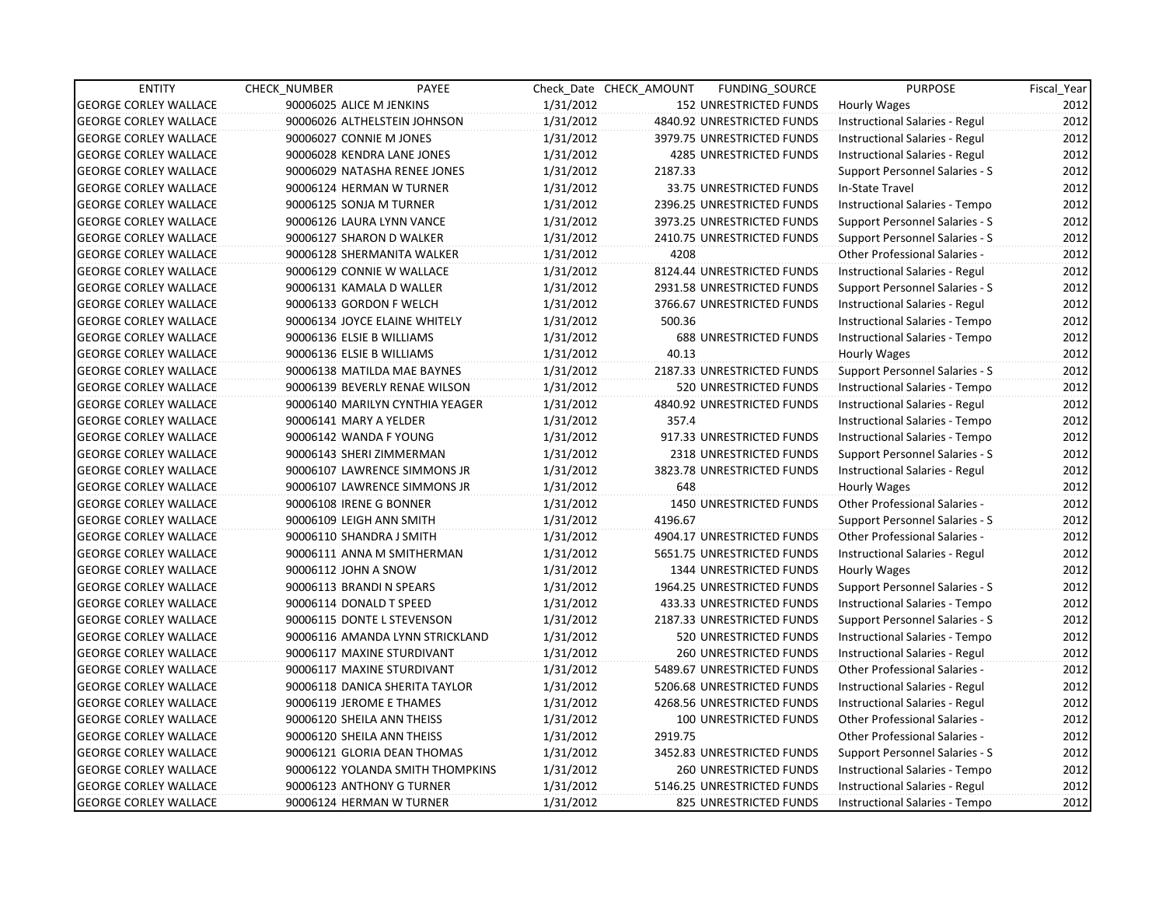| <b>ENTITY</b>                | CHECK_NUMBER             | PAYEE                            |           | Check Date CHECK AMOUNT | FUNDING_SOURCE                | <b>PURPOSE</b>                       | Fiscal_Year |
|------------------------------|--------------------------|----------------------------------|-----------|-------------------------|-------------------------------|--------------------------------------|-------------|
| <b>GEORGE CORLEY WALLACE</b> | 90006025 ALICE M JENKINS |                                  | 1/31/2012 |                         | <b>152 UNRESTRICTED FUNDS</b> | <b>Hourly Wages</b>                  | 2012        |
| <b>GEORGE CORLEY WALLACE</b> |                          | 90006026 ALTHELSTEIN JOHNSON     | 1/31/2012 |                         | 4840.92 UNRESTRICTED FUNDS    | Instructional Salaries - Regul       | 2012        |
| <b>GEORGE CORLEY WALLACE</b> | 90006027 CONNIE M JONES  |                                  | 1/31/2012 |                         | 3979.75 UNRESTRICTED FUNDS    | Instructional Salaries - Regul       | 2012        |
| <b>GEORGE CORLEY WALLACE</b> |                          | 90006028 KENDRA LANE JONES       | 1/31/2012 |                         | 4285 UNRESTRICTED FUNDS       | Instructional Salaries - Regul       | 2012        |
| <b>GEORGE CORLEY WALLACE</b> |                          | 90006029 NATASHA RENEE JONES     | 1/31/2012 | 2187.33                 |                               | Support Personnel Salaries - S       | 2012        |
| <b>GEORGE CORLEY WALLACE</b> |                          | 90006124 HERMAN W TURNER         | 1/31/2012 |                         | 33.75 UNRESTRICTED FUNDS      | In-State Travel                      | 2012        |
| <b>GEORGE CORLEY WALLACE</b> |                          | 90006125 SONJA M TURNER          | 1/31/2012 |                         | 2396.25 UNRESTRICTED FUNDS    | Instructional Salaries - Tempo       | 2012        |
| <b>GEORGE CORLEY WALLACE</b> |                          | 90006126 LAURA LYNN VANCE        | 1/31/2012 |                         | 3973.25 UNRESTRICTED FUNDS    | Support Personnel Salaries - S       | 2012        |
| <b>GEORGE CORLEY WALLACE</b> |                          | 90006127 SHARON D WALKER         | 1/31/2012 |                         | 2410.75 UNRESTRICTED FUNDS    | Support Personnel Salaries - S       | 2012        |
| <b>GEORGE CORLEY WALLACE</b> |                          | 90006128 SHERMANITA WALKER       | 1/31/2012 | 4208                    |                               | Other Professional Salaries -        | 2012        |
| <b>GEORGE CORLEY WALLACE</b> |                          | 90006129 CONNIE W WALLACE        | 1/31/2012 |                         | 8124.44 UNRESTRICTED FUNDS    | Instructional Salaries - Regul       | 2012        |
| <b>GEORGE CORLEY WALLACE</b> |                          | 90006131 KAMALA D WALLER         | 1/31/2012 |                         | 2931.58 UNRESTRICTED FUNDS    | Support Personnel Salaries - S       | 2012        |
| <b>GEORGE CORLEY WALLACE</b> |                          | 90006133 GORDON F WELCH          | 1/31/2012 |                         | 3766.67 UNRESTRICTED FUNDS    | Instructional Salaries - Regul       | 2012        |
| <b>GEORGE CORLEY WALLACE</b> |                          | 90006134 JOYCE ELAINE WHITELY    | 1/31/2012 | 500.36                  |                               | Instructional Salaries - Tempo       | 2012        |
| <b>GEORGE CORLEY WALLACE</b> |                          | 90006136 ELSIE B WILLIAMS        | 1/31/2012 |                         | <b>688 UNRESTRICTED FUNDS</b> | Instructional Salaries - Tempo       | 2012        |
| <b>GEORGE CORLEY WALLACE</b> |                          | 90006136 ELSIE B WILLIAMS        | 1/31/2012 | 40.13                   |                               | Hourly Wages                         | 2012        |
| <b>GEORGE CORLEY WALLACE</b> |                          | 90006138 MATILDA MAE BAYNES      | 1/31/2012 |                         | 2187.33 UNRESTRICTED FUNDS    | Support Personnel Salaries - S       | 2012        |
| <b>GEORGE CORLEY WALLACE</b> |                          | 90006139 BEVERLY RENAE WILSON    | 1/31/2012 |                         | 520 UNRESTRICTED FUNDS        | Instructional Salaries - Tempo       | 2012        |
| <b>GEORGE CORLEY WALLACE</b> |                          | 90006140 MARILYN CYNTHIA YEAGER  | 1/31/2012 |                         | 4840.92 UNRESTRICTED FUNDS    | Instructional Salaries - Regul       | 2012        |
| <b>GEORGE CORLEY WALLACE</b> | 90006141 MARY A YELDER   |                                  | 1/31/2012 | 357.4                   |                               | Instructional Salaries - Tempo       | 2012        |
| <b>GEORGE CORLEY WALLACE</b> |                          | 90006142 WANDA F YOUNG           | 1/31/2012 |                         | 917.33 UNRESTRICTED FUNDS     | Instructional Salaries - Tempo       | 2012        |
| <b>GEORGE CORLEY WALLACE</b> |                          | 90006143 SHERI ZIMMERMAN         | 1/31/2012 |                         | 2318 UNRESTRICTED FUNDS       | Support Personnel Salaries - S       | 2012        |
| <b>GEORGE CORLEY WALLACE</b> |                          | 90006107 LAWRENCE SIMMONS JR     | 1/31/2012 |                         | 3823.78 UNRESTRICTED FUNDS    | Instructional Salaries - Regul       | 2012        |
| <b>GEORGE CORLEY WALLACE</b> |                          | 90006107 LAWRENCE SIMMONS JR     | 1/31/2012 | 648                     |                               | Hourly Wages                         | 2012        |
| <b>GEORGE CORLEY WALLACE</b> | 90006108 IRENE G BONNER  |                                  | 1/31/2012 |                         | 1450 UNRESTRICTED FUNDS       | <b>Other Professional Salaries -</b> | 2012        |
| <b>GEORGE CORLEY WALLACE</b> |                          | 90006109 LEIGH ANN SMITH         | 1/31/2012 | 4196.67                 |                               | Support Personnel Salaries - S       | 2012        |
| <b>GEORGE CORLEY WALLACE</b> |                          | 90006110 SHANDRA J SMITH         | 1/31/2012 |                         | 4904.17 UNRESTRICTED FUNDS    | Other Professional Salaries -        | 2012        |
| <b>GEORGE CORLEY WALLACE</b> |                          | 90006111 ANNA M SMITHERMAN       | 1/31/2012 |                         | 5651.75 UNRESTRICTED FUNDS    | Instructional Salaries - Regul       | 2012        |
| <b>GEORGE CORLEY WALLACE</b> | 90006112 JOHN A SNOW     |                                  | 1/31/2012 |                         | 1344 UNRESTRICTED FUNDS       | <b>Hourly Wages</b>                  | 2012        |
| <b>GEORGE CORLEY WALLACE</b> |                          | 90006113 BRANDI N SPEARS         | 1/31/2012 |                         | 1964.25 UNRESTRICTED FUNDS    | Support Personnel Salaries - S       | 2012        |
| <b>GEORGE CORLEY WALLACE</b> | 90006114 DONALD T SPEED  |                                  | 1/31/2012 |                         | 433.33 UNRESTRICTED FUNDS     | Instructional Salaries - Tempo       | 2012        |
| <b>GEORGE CORLEY WALLACE</b> |                          | 90006115 DONTE L STEVENSON       | 1/31/2012 |                         | 2187.33 UNRESTRICTED FUNDS    | Support Personnel Salaries - S       | 2012        |
| <b>GEORGE CORLEY WALLACE</b> |                          | 90006116 AMANDA LYNN STRICKLAND  | 1/31/2012 |                         | 520 UNRESTRICTED FUNDS        | Instructional Salaries - Tempo       | 2012        |
| <b>GEORGE CORLEY WALLACE</b> |                          | 90006117 MAXINE STURDIVANT       | 1/31/2012 |                         | <b>260 UNRESTRICTED FUNDS</b> | Instructional Salaries - Regul       | 2012        |
| <b>GEORGE CORLEY WALLACE</b> |                          | 90006117 MAXINE STURDIVANT       | 1/31/2012 |                         | 5489.67 UNRESTRICTED FUNDS    | Other Professional Salaries -        | 2012        |
| <b>GEORGE CORLEY WALLACE</b> |                          | 90006118 DANICA SHERITA TAYLOR   | 1/31/2012 |                         | 5206.68 UNRESTRICTED FUNDS    | Instructional Salaries - Regul       | 2012        |
| <b>GEORGE CORLEY WALLACE</b> |                          | 90006119 JEROME E THAMES         | 1/31/2012 |                         | 4268.56 UNRESTRICTED FUNDS    | Instructional Salaries - Regul       | 2012        |
| <b>GEORGE CORLEY WALLACE</b> |                          | 90006120 SHEILA ANN THEISS       | 1/31/2012 |                         | 100 UNRESTRICTED FUNDS        | Other Professional Salaries -        | 2012        |
| <b>GEORGE CORLEY WALLACE</b> |                          | 90006120 SHEILA ANN THEISS       | 1/31/2012 | 2919.75                 |                               | Other Professional Salaries -        | 2012        |
| <b>GEORGE CORLEY WALLACE</b> |                          | 90006121 GLORIA DEAN THOMAS      | 1/31/2012 |                         | 3452.83 UNRESTRICTED FUNDS    | Support Personnel Salaries - S       | 2012        |
| <b>GEORGE CORLEY WALLACE</b> |                          | 90006122 YOLANDA SMITH THOMPKINS | 1/31/2012 |                         | <b>260 UNRESTRICTED FUNDS</b> | Instructional Salaries - Tempo       | 2012        |
| <b>GEORGE CORLEY WALLACE</b> |                          | 90006123 ANTHONY G TURNER        | 1/31/2012 |                         | 5146.25 UNRESTRICTED FUNDS    | Instructional Salaries - Regul       | 2012        |
| <b>GEORGE CORLEY WALLACE</b> |                          | 90006124 HERMAN W TURNER         | 1/31/2012 |                         | 825 UNRESTRICTED FUNDS        | Instructional Salaries - Tempo       | 2012        |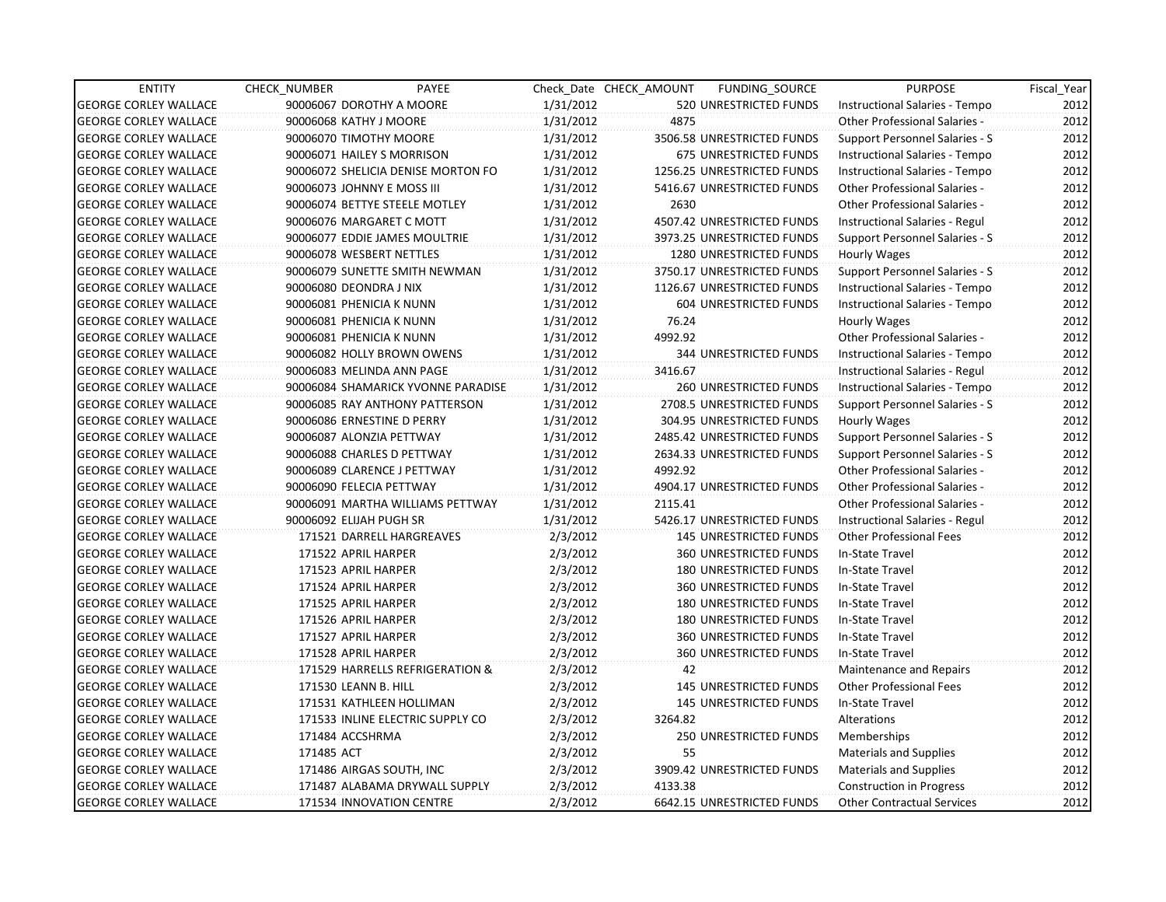| <b>ENTITY</b>                | CHECK_NUMBER               | PAYEE                              |           | Check Date CHECK AMOUNT | FUNDING_SOURCE                | <b>PURPOSE</b>                       | Fiscal_Year |
|------------------------------|----------------------------|------------------------------------|-----------|-------------------------|-------------------------------|--------------------------------------|-------------|
| <b>GEORGE CORLEY WALLACE</b> |                            | 90006067 DOROTHY A MOORE           | 1/31/2012 |                         | 520 UNRESTRICTED FUNDS        | Instructional Salaries - Tempo       | 2012        |
| <b>GEORGE CORLEY WALLACE</b> | 90006068 KATHY J MOORE     |                                    | 1/31/2012 | 4875                    |                               | Other Professional Salaries -        | 2012        |
| <b>GEORGE CORLEY WALLACE</b> | 90006070 TIMOTHY MOORE     |                                    | 1/31/2012 |                         | 3506.58 UNRESTRICTED FUNDS    | Support Personnel Salaries - S       | 2012        |
| <b>GEORGE CORLEY WALLACE</b> |                            | 90006071 HAILEY S MORRISON         | 1/31/2012 |                         | 675 UNRESTRICTED FUNDS        | Instructional Salaries - Tempo       | 2012        |
| <b>GEORGE CORLEY WALLACE</b> |                            | 90006072 SHELICIA DENISE MORTON FO | 1/31/2012 |                         | 1256.25 UNRESTRICTED FUNDS    | Instructional Salaries - Tempo       | 2012        |
| <b>GEORGE CORLEY WALLACE</b> | 90006073 JOHNNY E MOSS III |                                    | 1/31/2012 |                         | 5416.67 UNRESTRICTED FUNDS    | <b>Other Professional Salaries -</b> | 2012        |
| <b>GEORGE CORLEY WALLACE</b> |                            | 90006074 BETTYE STEELE MOTLEY      | 1/31/2012 | 2630                    |                               | <b>Other Professional Salaries -</b> | 2012        |
| <b>GEORGE CORLEY WALLACE</b> |                            | 90006076 MARGARET C MOTT           | 1/31/2012 |                         | 4507.42 UNRESTRICTED FUNDS    | Instructional Salaries - Regul       | 2012        |
| <b>GEORGE CORLEY WALLACE</b> |                            | 90006077 EDDIE JAMES MOULTRIE      | 1/31/2012 |                         | 3973.25 UNRESTRICTED FUNDS    | Support Personnel Salaries - S       | 2012        |
| <b>GEORGE CORLEY WALLACE</b> | 90006078 WESBERT NETTLES   |                                    | 1/31/2012 |                         | 1280 UNRESTRICTED FUNDS       | <b>Hourly Wages</b>                  | 2012        |
| <b>GEORGE CORLEY WALLACE</b> |                            | 90006079 SUNETTE SMITH NEWMAN      | 1/31/2012 |                         | 3750.17 UNRESTRICTED FUNDS    | Support Personnel Salaries - S       | 2012        |
| <b>GEORGE CORLEY WALLACE</b> | 90006080 DEONDRA J NIX     |                                    | 1/31/2012 |                         | 1126.67 UNRESTRICTED FUNDS    | Instructional Salaries - Tempo       | 2012        |
| <b>GEORGE CORLEY WALLACE</b> | 90006081 PHENICIA K NUNN   |                                    | 1/31/2012 |                         | 604 UNRESTRICTED FUNDS        | Instructional Salaries - Tempo       | 2012        |
| <b>GEORGE CORLEY WALLACE</b> | 90006081 PHENICIA K NUNN   |                                    | 1/31/2012 | 76.24                   |                               | Hourly Wages                         | 2012        |
| <b>GEORGE CORLEY WALLACE</b> | 90006081 PHENICIA K NUNN   |                                    | 1/31/2012 | 4992.92                 |                               | <b>Other Professional Salaries -</b> | 2012        |
| <b>GEORGE CORLEY WALLACE</b> |                            | 90006082 HOLLY BROWN OWENS         | 1/31/2012 |                         | <b>344 UNRESTRICTED FUNDS</b> | Instructional Salaries - Tempo       | 2012        |
| <b>GEORGE CORLEY WALLACE</b> |                            | 90006083 MELINDA ANN PAGE          | 1/31/2012 | 3416.67                 |                               | Instructional Salaries - Regul       | 2012        |
| <b>GEORGE CORLEY WALLACE</b> |                            | 90006084 SHAMARICK YVONNE PARADISE | 1/31/2012 |                         | 260 UNRESTRICTED FUNDS        | Instructional Salaries - Tempo       | 2012        |
| <b>GEORGE CORLEY WALLACE</b> |                            | 90006085 RAY ANTHONY PATTERSON     | 1/31/2012 |                         | 2708.5 UNRESTRICTED FUNDS     | Support Personnel Salaries - S       | 2012        |
| <b>GEORGE CORLEY WALLACE</b> |                            | 90006086 ERNESTINE D PERRY         | 1/31/2012 |                         | 304.95 UNRESTRICTED FUNDS     | Hourly Wages                         | 2012        |
| <b>GEORGE CORLEY WALLACE</b> |                            | 90006087 ALONZIA PETTWAY           | 1/31/2012 |                         | 2485.42 UNRESTRICTED FUNDS    | Support Personnel Salaries - S       | 2012        |
| <b>GEORGE CORLEY WALLACE</b> |                            | 90006088 CHARLES D PETTWAY         | 1/31/2012 |                         | 2634.33 UNRESTRICTED FUNDS    | Support Personnel Salaries - S       | 2012        |
| <b>GEORGE CORLEY WALLACE</b> |                            | 90006089 CLARENCE J PETTWAY        | 1/31/2012 | 4992.92                 |                               | <b>Other Professional Salaries -</b> | 2012        |
| <b>GEORGE CORLEY WALLACE</b> | 90006090 FELECIA PETTWAY   |                                    | 1/31/2012 |                         | 4904.17 UNRESTRICTED FUNDS    | <b>Other Professional Salaries -</b> | 2012        |
| <b>GEORGE CORLEY WALLACE</b> |                            | 90006091 MARTHA WILLIAMS PETTWAY   | 1/31/2012 | 2115.41                 |                               | <b>Other Professional Salaries -</b> | 2012        |
| <b>GEORGE CORLEY WALLACE</b> | 90006092 ELIJAH PUGH SR    |                                    | 1/31/2012 |                         | 5426.17 UNRESTRICTED FUNDS    | Instructional Salaries - Regul       | 2012        |
| <b>GEORGE CORLEY WALLACE</b> |                            | 171521 DARRELL HARGREAVES          | 2/3/2012  |                         | <b>145 UNRESTRICTED FUNDS</b> | <b>Other Professional Fees</b>       | 2012        |
| <b>GEORGE CORLEY WALLACE</b> | 171522 APRIL HARPER        |                                    | 2/3/2012  |                         | 360 UNRESTRICTED FUNDS        | In-State Travel                      | 2012        |
| <b>GEORGE CORLEY WALLACE</b> | 171523 APRIL HARPER        |                                    | 2/3/2012  |                         | <b>180 UNRESTRICTED FUNDS</b> | In-State Travel                      | 2012        |
| <b>GEORGE CORLEY WALLACE</b> | 171524 APRIL HARPER        |                                    | 2/3/2012  |                         | 360 UNRESTRICTED FUNDS        | In-State Travel                      | 2012        |
| <b>GEORGE CORLEY WALLACE</b> | 171525 APRIL HARPER        |                                    | 2/3/2012  |                         | 180 UNRESTRICTED FUNDS        | In-State Travel                      | 2012        |
| <b>GEORGE CORLEY WALLACE</b> | 171526 APRIL HARPER        |                                    | 2/3/2012  |                         | 180 UNRESTRICTED FUNDS        | In-State Travel                      | 2012        |
| <b>GEORGE CORLEY WALLACE</b> | 171527 APRIL HARPER        |                                    | 2/3/2012  |                         | <b>360 UNRESTRICTED FUNDS</b> | In-State Travel                      | 2012        |
| <b>GEORGE CORLEY WALLACE</b> | 171528 APRIL HARPER        |                                    | 2/3/2012  |                         | <b>360 UNRESTRICTED FUNDS</b> | In-State Travel                      | 2012        |
| <b>GEORGE CORLEY WALLACE</b> |                            | 171529 HARRELLS REFRIGERATION &    | 2/3/2012  | 42                      |                               | Maintenance and Repairs              | 2012        |
| <b>GEORGE CORLEY WALLACE</b> | 171530 LEANN B. HILL       |                                    | 2/3/2012  |                         | <b>145 UNRESTRICTED FUNDS</b> | <b>Other Professional Fees</b>       | 2012        |
| <b>GEORGE CORLEY WALLACE</b> |                            | 171531 KATHLEEN HOLLIMAN           | 2/3/2012  |                         | <b>145 UNRESTRICTED FUNDS</b> | In-State Travel                      | 2012        |
| <b>GEORGE CORLEY WALLACE</b> |                            | 171533 INLINE ELECTRIC SUPPLY CO   | 2/3/2012  | 3264.82                 |                               | Alterations                          | 2012        |
| <b>GEORGE CORLEY WALLACE</b> | 171484 ACCSHRMA            |                                    | 2/3/2012  |                         | 250 UNRESTRICTED FUNDS        | Memberships                          | 2012        |
| <b>GEORGE CORLEY WALLACE</b> | 171485 ACT                 |                                    | 2/3/2012  | 55                      |                               | <b>Materials and Supplies</b>        | 2012        |
| <b>GEORGE CORLEY WALLACE</b> |                            | 171486 AIRGAS SOUTH, INC           | 2/3/2012  |                         | 3909.42 UNRESTRICTED FUNDS    | Materials and Supplies               | 2012        |
| <b>GEORGE CORLEY WALLACE</b> |                            | 171487 ALABAMA DRYWALL SUPPLY      | 2/3/2012  | 4133.38                 |                               | Construction in Progress             | 2012        |
| <b>GEORGE CORLEY WALLACE</b> |                            | 171534 INNOVATION CENTRE           | 2/3/2012  |                         | 6642.15 UNRESTRICTED FUNDS    | <b>Other Contractual Services</b>    | 2012        |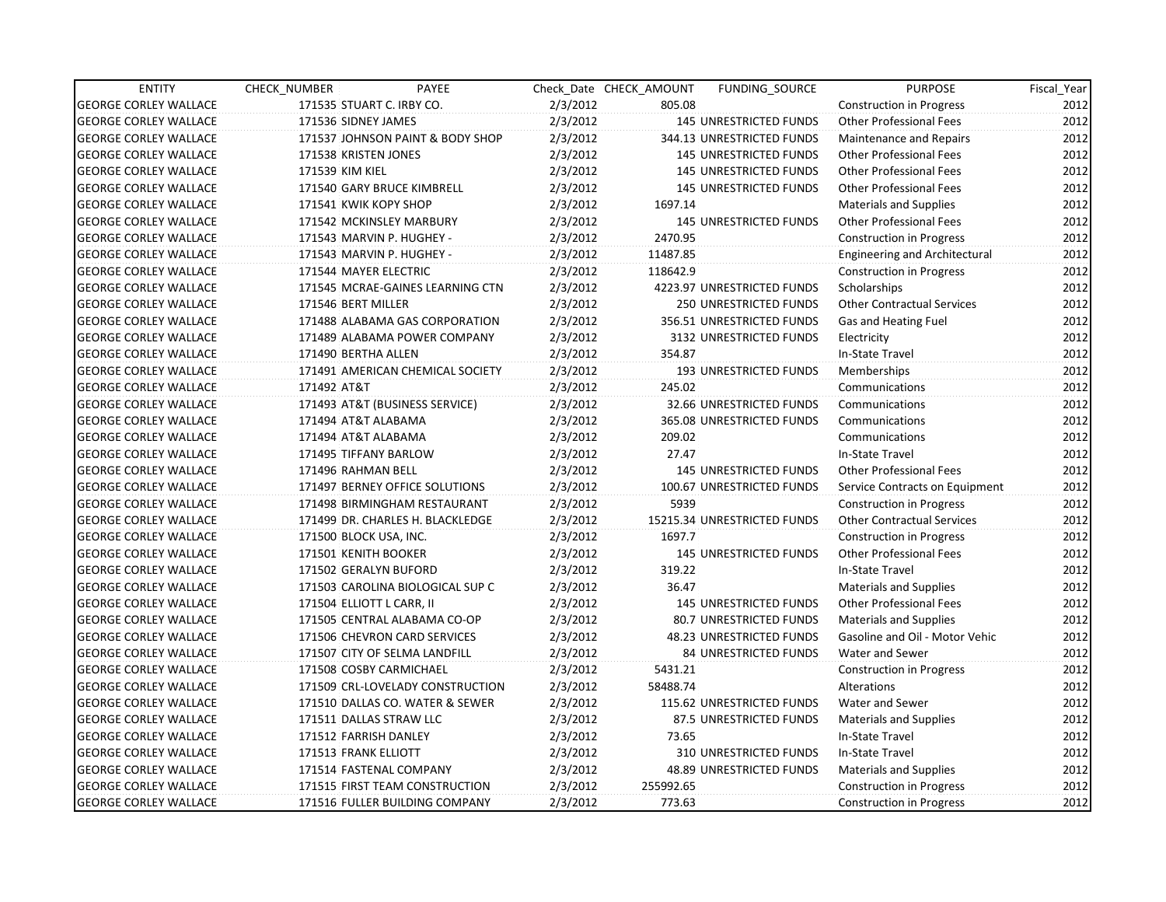| <b>ENTITY</b>                | CHECK NUMBER              | PAYEE                            |          | Check Date CHECK AMOUNT | <b>FUNDING SOURCE</b>           | <b>PURPOSE</b>                       | Fiscal_Year |
|------------------------------|---------------------------|----------------------------------|----------|-------------------------|---------------------------------|--------------------------------------|-------------|
| <b>GEORGE CORLEY WALLACE</b> | 171535 STUART C. IRBY CO. |                                  | 2/3/2012 | 805.08                  |                                 | <b>Construction in Progress</b>      | 2012        |
| <b>GEORGE CORLEY WALLACE</b> | 171536 SIDNEY JAMES       |                                  | 2/3/2012 |                         | 145 UNRESTRICTED FUNDS          | <b>Other Professional Fees</b>       | 2012        |
| <b>GEORGE CORLEY WALLACE</b> |                           | 171537 JOHNSON PAINT & BODY SHOP | 2/3/2012 |                         | 344.13 UNRESTRICTED FUNDS       | Maintenance and Repairs              | 2012        |
| <b>GEORGE CORLEY WALLACE</b> | 171538 KRISTEN JONES      |                                  | 2/3/2012 |                         | <b>145 UNRESTRICTED FUNDS</b>   | <b>Other Professional Fees</b>       | 2012        |
| <b>GEORGE CORLEY WALLACE</b> | 171539 KIM KIEL           |                                  | 2/3/2012 |                         | <b>145 UNRESTRICTED FUNDS</b>   | <b>Other Professional Fees</b>       | 2012        |
| <b>GEORGE CORLEY WALLACE</b> |                           | 171540 GARY BRUCE KIMBRELL       | 2/3/2012 |                         | <b>145 UNRESTRICTED FUNDS</b>   | <b>Other Professional Fees</b>       | 2012        |
| <b>GEORGE CORLEY WALLACE</b> | 171541 KWIK KOPY SHOP     |                                  | 2/3/2012 | 1697.14                 |                                 | <b>Materials and Supplies</b>        | 2012        |
| <b>GEORGE CORLEY WALLACE</b> |                           | 171542 MCKINSLEY MARBURY         | 2/3/2012 |                         | <b>145 UNRESTRICTED FUNDS</b>   | <b>Other Professional Fees</b>       | 2012        |
| <b>GEORGE CORLEY WALLACE</b> | 171543 MARVIN P. HUGHEY - |                                  | 2/3/2012 | 2470.95                 |                                 | <b>Construction in Progress</b>      | 2012        |
| <b>GEORGE CORLEY WALLACE</b> | 171543 MARVIN P. HUGHEY - |                                  | 2/3/2012 | 11487.85                |                                 | <b>Engineering and Architectural</b> | 2012        |
| <b>GEORGE CORLEY WALLACE</b> | 171544 MAYER ELECTRIC     |                                  | 2/3/2012 | 118642.9                |                                 | Construction in Progress             | 2012        |
| <b>GEORGE CORLEY WALLACE</b> |                           | 171545 MCRAE-GAINES LEARNING CTN | 2/3/2012 |                         | 4223.97 UNRESTRICTED FUNDS      | Scholarships                         | 2012        |
| <b>GEORGE CORLEY WALLACE</b> | 171546 BERT MILLER        |                                  | 2/3/2012 |                         | 250 UNRESTRICTED FUNDS          | <b>Other Contractual Services</b>    | 2012        |
| <b>GEORGE CORLEY WALLACE</b> |                           | 171488 ALABAMA GAS CORPORATION   | 2/3/2012 |                         | 356.51 UNRESTRICTED FUNDS       | Gas and Heating Fuel                 | 2012        |
| <b>GEORGE CORLEY WALLACE</b> |                           | 171489 ALABAMA POWER COMPANY     | 2/3/2012 |                         | 3132 UNRESTRICTED FUNDS         | Electricity                          | 2012        |
| <b>GEORGE CORLEY WALLACE</b> | 171490 BERTHA ALLEN       |                                  | 2/3/2012 | 354.87                  |                                 | In-State Travel                      | 2012        |
| <b>GEORGE CORLEY WALLACE</b> |                           | 171491 AMERICAN CHEMICAL SOCIETY | 2/3/2012 |                         | <b>193 UNRESTRICTED FUNDS</b>   | Memberships                          | 2012        |
| <b>GEORGE CORLEY WALLACE</b> | 171492 AT&T               |                                  | 2/3/2012 | 245.02                  |                                 | Communications                       | 2012        |
| <b>GEORGE CORLEY WALLACE</b> |                           | 171493 AT&T (BUSINESS SERVICE)   | 2/3/2012 |                         | 32.66 UNRESTRICTED FUNDS        | Communications                       | 2012        |
| <b>GEORGE CORLEY WALLACE</b> | 171494 AT&T ALABAMA       |                                  | 2/3/2012 |                         | 365.08 UNRESTRICTED FUNDS       | Communications                       | 2012        |
| <b>GEORGE CORLEY WALLACE</b> | 171494 AT&T ALABAMA       |                                  | 2/3/2012 | 209.02                  |                                 | Communications                       | 2012        |
| <b>GEORGE CORLEY WALLACE</b> | 171495 TIFFANY BARLOW     |                                  | 2/3/2012 | 27.47                   |                                 | In-State Travel                      | 2012        |
| <b>GEORGE CORLEY WALLACE</b> | 171496 RAHMAN BELL        |                                  | 2/3/2012 |                         | <b>145 UNRESTRICTED FUNDS</b>   | <b>Other Professional Fees</b>       | 2012        |
| <b>GEORGE CORLEY WALLACE</b> |                           | 171497 BERNEY OFFICE SOLUTIONS   | 2/3/2012 |                         | 100.67 UNRESTRICTED FUNDS       | Service Contracts on Equipment       | 2012        |
| <b>GEORGE CORLEY WALLACE</b> |                           | 171498 BIRMINGHAM RESTAURANT     | 2/3/2012 | 5939                    |                                 | <b>Construction in Progress</b>      | 2012        |
| <b>GEORGE CORLEY WALLACE</b> |                           | 171499 DR. CHARLES H. BLACKLEDGE | 2/3/2012 |                         | 15215.34 UNRESTRICTED FUNDS     | <b>Other Contractual Services</b>    | 2012        |
| <b>GEORGE CORLEY WALLACE</b> | 171500 BLOCK USA, INC.    |                                  | 2/3/2012 | 1697.7                  |                                 | <b>Construction in Progress</b>      | 2012        |
| <b>GEORGE CORLEY WALLACE</b> | 171501 KENITH BOOKER      |                                  | 2/3/2012 |                         | <b>145 UNRESTRICTED FUNDS</b>   | <b>Other Professional Fees</b>       | 2012        |
| <b>GEORGE CORLEY WALLACE</b> | 171502 GERALYN BUFORD     |                                  | 2/3/2012 | 319.22                  |                                 | In-State Travel                      | 2012        |
| <b>GEORGE CORLEY WALLACE</b> |                           | 171503 CAROLINA BIOLOGICAL SUP C | 2/3/2012 | 36.47                   |                                 | <b>Materials and Supplies</b>        | 2012        |
| <b>GEORGE CORLEY WALLACE</b> | 171504 ELLIOTT L CARR, II |                                  | 2/3/2012 |                         | 145 UNRESTRICTED FUNDS          | <b>Other Professional Fees</b>       | 2012        |
| <b>GEORGE CORLEY WALLACE</b> |                           | 171505 CENTRAL ALABAMA CO-OP     | 2/3/2012 |                         | 80.7 UNRESTRICTED FUNDS         | <b>Materials and Supplies</b>        | 2012        |
| <b>GEORGE CORLEY WALLACE</b> |                           | 171506 CHEVRON CARD SERVICES     | 2/3/2012 |                         | <b>48.23 UNRESTRICTED FUNDS</b> | Gasoline and Oil - Motor Vehic       | 2012        |
| <b>GEORGE CORLEY WALLACE</b> |                           | 171507 CITY OF SELMA LANDFILL    | 2/3/2012 |                         | <b>84 UNRESTRICTED FUNDS</b>    | Water and Sewer                      | 2012        |
| <b>GEORGE CORLEY WALLACE</b> | 171508 COSBY CARMICHAEL   |                                  | 2/3/2012 | 5431.21                 |                                 | <b>Construction in Progress</b>      | 2012        |
| <b>GEORGE CORLEY WALLACE</b> |                           | 171509 CRL-LOVELADY CONSTRUCTION | 2/3/2012 | 58488.74                |                                 | Alterations                          | 2012        |
| <b>GEORGE CORLEY WALLACE</b> |                           | 171510 DALLAS CO. WATER & SEWER  | 2/3/2012 |                         | 115.62 UNRESTRICTED FUNDS       | Water and Sewer                      | 2012        |
| <b>GEORGE CORLEY WALLACE</b> | 171511 DALLAS STRAW LLC   |                                  | 2/3/2012 |                         | 87.5 UNRESTRICTED FUNDS         | <b>Materials and Supplies</b>        | 2012        |
| <b>GEORGE CORLEY WALLACE</b> | 171512 FARRISH DANLEY     |                                  | 2/3/2012 | 73.65                   |                                 | In-State Travel                      | 2012        |
| <b>GEORGE CORLEY WALLACE</b> | 171513 FRANK ELLIOTT      |                                  | 2/3/2012 |                         | 310 UNRESTRICTED FUNDS          | In-State Travel                      | 2012        |
| <b>GEORGE CORLEY WALLACE</b> | 171514 FASTENAL COMPANY   |                                  | 2/3/2012 |                         | 48.89 UNRESTRICTED FUNDS        | <b>Materials and Supplies</b>        | 2012        |
| <b>GEORGE CORLEY WALLACE</b> |                           | 171515 FIRST TEAM CONSTRUCTION   | 2/3/2012 | 255992.65               |                                 | <b>Construction in Progress</b>      | 2012        |
| <b>GEORGE CORLEY WALLACE</b> |                           | 171516 FULLER BUILDING COMPANY   | 2/3/2012 | 773.63                  |                                 | <b>Construction in Progress</b>      | 2012        |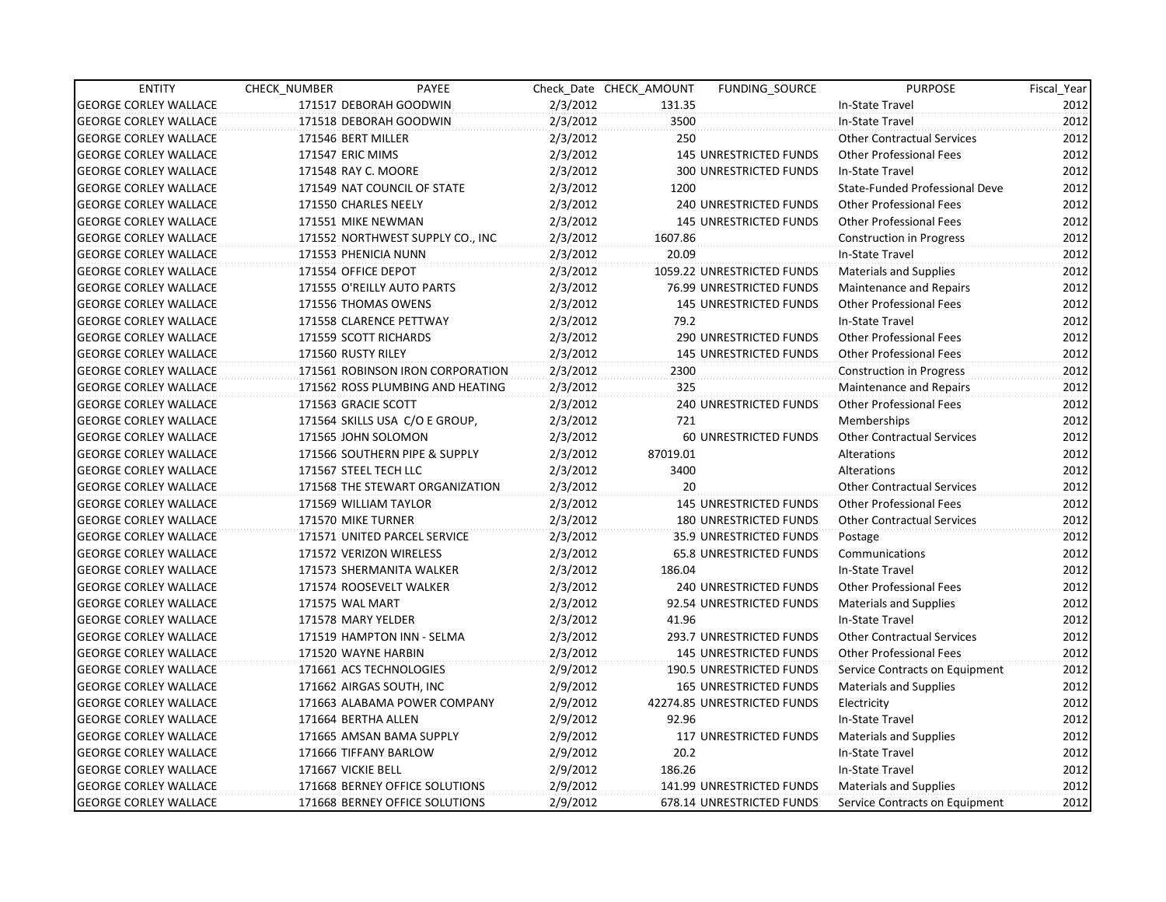| <b>ENTITY</b>                | CHECK_NUMBER               | PAYEE                            |          | Check Date CHECK AMOUNT | FUNDING SOURCE                  | <b>PURPOSE</b>                    | Fiscal_Year |
|------------------------------|----------------------------|----------------------------------|----------|-------------------------|---------------------------------|-----------------------------------|-------------|
| <b>GEORGE CORLEY WALLACE</b> | 171517 DEBORAH GOODWIN     |                                  | 2/3/2012 | 131.35                  |                                 | In-State Travel                   | 2012        |
| <b>GEORGE CORLEY WALLACE</b> | 171518 DEBORAH GOODWIN     |                                  | 2/3/2012 | 3500                    |                                 | In-State Travel                   | 2012        |
| <b>GEORGE CORLEY WALLACE</b> | 171546 BERT MILLER         |                                  | 2/3/2012 | 250                     |                                 | <b>Other Contractual Services</b> | 2012        |
| <b>GEORGE CORLEY WALLACE</b> | <b>171547 ERIC MIMS</b>    |                                  | 2/3/2012 |                         | 145 UNRESTRICTED FUNDS          | <b>Other Professional Fees</b>    | 2012        |
| <b>GEORGE CORLEY WALLACE</b> | 171548 RAY C. MOORE        |                                  | 2/3/2012 |                         | <b>300 UNRESTRICTED FUNDS</b>   | In-State Travel                   | 2012        |
| <b>GEORGE CORLEY WALLACE</b> |                            | 171549 NAT COUNCIL OF STATE      | 2/3/2012 | 1200                    |                                 | State-Funded Professional Deve    | 2012        |
| <b>GEORGE CORLEY WALLACE</b> | 171550 CHARLES NEELY       |                                  | 2/3/2012 |                         | 240 UNRESTRICTED FUNDS          | <b>Other Professional Fees</b>    | 2012        |
| <b>GEORGE CORLEY WALLACE</b> | 171551 MIKE NEWMAN         |                                  | 2/3/2012 |                         | <b>145 UNRESTRICTED FUNDS</b>   | <b>Other Professional Fees</b>    | 2012        |
| <b>GEORGE CORLEY WALLACE</b> |                            | 171552 NORTHWEST SUPPLY CO., INC | 2/3/2012 | 1607.86                 |                                 | <b>Construction in Progress</b>   | 2012        |
| <b>GEORGE CORLEY WALLACE</b> | 171553 PHENICIA NUNN       |                                  | 2/3/2012 | 20.09                   |                                 | In-State Travel                   | 2012        |
| <b>GEORGE CORLEY WALLACE</b> | 171554 OFFICE DEPOT        |                                  | 2/3/2012 |                         | 1059.22 UNRESTRICTED FUNDS      | Materials and Supplies            | 2012        |
| <b>GEORGE CORLEY WALLACE</b> | 171555 O'REILLY AUTO PARTS |                                  | 2/3/2012 |                         | 76.99 UNRESTRICTED FUNDS        | Maintenance and Repairs           | 2012        |
| <b>GEORGE CORLEY WALLACE</b> | 171556 THOMAS OWENS        |                                  | 2/3/2012 |                         | <b>145 UNRESTRICTED FUNDS</b>   | <b>Other Professional Fees</b>    | 2012        |
| <b>GEORGE CORLEY WALLACE</b> | 171558 CLARENCE PETTWAY    |                                  | 2/3/2012 | 79.2                    |                                 | In-State Travel                   | 2012        |
| <b>GEORGE CORLEY WALLACE</b> | 171559 SCOTT RICHARDS      |                                  | 2/3/2012 |                         | 290 UNRESTRICTED FUNDS          | <b>Other Professional Fees</b>    | 2012        |
| <b>GEORGE CORLEY WALLACE</b> | 171560 RUSTY RILEY         |                                  | 2/3/2012 |                         | <b>145 UNRESTRICTED FUNDS</b>   | <b>Other Professional Fees</b>    | 2012        |
| <b>GEORGE CORLEY WALLACE</b> |                            | 171561 ROBINSON IRON CORPORATION | 2/3/2012 | 2300                    |                                 | <b>Construction in Progress</b>   | 2012        |
| <b>GEORGE CORLEY WALLACE</b> |                            | 171562 ROSS PLUMBING AND HEATING | 2/3/2012 | 325                     |                                 | <b>Maintenance and Repairs</b>    | 2012        |
| <b>GEORGE CORLEY WALLACE</b> | 171563 GRACIE SCOTT        |                                  | 2/3/2012 |                         | <b>240 UNRESTRICTED FUNDS</b>   | <b>Other Professional Fees</b>    | 2012        |
| <b>GEORGE CORLEY WALLACE</b> |                            | 171564 SKILLS USA C/O E GROUP,   | 2/3/2012 | 721                     |                                 | Memberships                       | 2012        |
| <b>GEORGE CORLEY WALLACE</b> | 171565 JOHN SOLOMON        |                                  | 2/3/2012 |                         | 60 UNRESTRICTED FUNDS           | <b>Other Contractual Services</b> | 2012        |
| <b>GEORGE CORLEY WALLACE</b> |                            | 171566 SOUTHERN PIPE & SUPPLY    | 2/3/2012 | 87019.01                |                                 | Alterations                       | 2012        |
| <b>GEORGE CORLEY WALLACE</b> | 171567 STEEL TECH LLC      |                                  | 2/3/2012 | 3400                    |                                 | Alterations                       | 2012        |
| <b>GEORGE CORLEY WALLACE</b> |                            | 171568 THE STEWART ORGANIZATION  | 2/3/2012 | $20^{\circ}$            |                                 | <b>Other Contractual Services</b> | 2012        |
| <b>GEORGE CORLEY WALLACE</b> | 171569 WILLIAM TAYLOR      |                                  | 2/3/2012 |                         | 145 UNRESTRICTED FUNDS          | <b>Other Professional Fees</b>    | 2012        |
| <b>GEORGE CORLEY WALLACE</b> | 171570 MIKE TURNER         |                                  | 2/3/2012 |                         | <b>180 UNRESTRICTED FUNDS</b>   | <b>Other Contractual Services</b> | 2012        |
| <b>GEORGE CORLEY WALLACE</b> |                            | 171571 UNITED PARCEL SERVICE     | 2/3/2012 |                         | 35.9 UNRESTRICTED FUNDS         | Postage                           | 2012        |
| <b>GEORGE CORLEY WALLACE</b> | 171572 VERIZON WIRELESS    |                                  | 2/3/2012 |                         | 65.8 UNRESTRICTED FUNDS         | Communications                    | 2012        |
| <b>GEORGE CORLEY WALLACE</b> | 171573 SHERMANITA WALKER   |                                  | 2/3/2012 | 186.04                  |                                 | In-State Travel                   | 2012        |
| <b>GEORGE CORLEY WALLACE</b> | 171574 ROOSEVELT WALKER    |                                  | 2/3/2012 |                         | 240 UNRESTRICTED FUNDS          | <b>Other Professional Fees</b>    | 2012        |
| <b>GEORGE CORLEY WALLACE</b> | 171575 WAL MART            |                                  | 2/3/2012 |                         | 92.54 UNRESTRICTED FUNDS        | Materials and Supplies            | 2012        |
| <b>GEORGE CORLEY WALLACE</b> | 171578 MARY YELDER         |                                  | 2/3/2012 | 41.96                   |                                 | In-State Travel                   | 2012        |
| <b>GEORGE CORLEY WALLACE</b> |                            | 171519 HAMPTON INN - SELMA       | 2/3/2012 |                         | 293.7 UNRESTRICTED FUNDS        | <b>Other Contractual Services</b> | 2012        |
| <b>GEORGE CORLEY WALLACE</b> | 171520 WAYNE HARBIN        |                                  | 2/3/2012 |                         | <b>145 UNRESTRICTED FUNDS</b>   | <b>Other Professional Fees</b>    | 2012        |
| <b>GEORGE CORLEY WALLACE</b> | 171661 ACS TECHNOLOGIES    |                                  | 2/9/2012 |                         | <b>190.5 UNRESTRICTED FUNDS</b> | Service Contracts on Equipment    | 2012        |
| <b>GEORGE CORLEY WALLACE</b> | 171662 AIRGAS SOUTH, INC   |                                  | 2/9/2012 |                         | <b>165 UNRESTRICTED FUNDS</b>   | <b>Materials and Supplies</b>     | 2012        |
| <b>GEORGE CORLEY WALLACE</b> |                            | 171663 ALABAMA POWER COMPANY     | 2/9/2012 |                         | 42274.85 UNRESTRICTED FUNDS     | Electricity                       | 2012        |
| <b>GEORGE CORLEY WALLACE</b> | 171664 BERTHA ALLEN        |                                  | 2/9/2012 | 92.96                   |                                 | In-State Travel                   | 2012        |
| <b>GEORGE CORLEY WALLACE</b> | 171665 AMSAN BAMA SUPPLY   |                                  | 2/9/2012 |                         | 117 UNRESTRICTED FUNDS          | Materials and Supplies            | 2012        |
| <b>GEORGE CORLEY WALLACE</b> | 171666 TIFFANY BARLOW      |                                  | 2/9/2012 | 20.2                    |                                 | In-State Travel                   | 2012        |
| <b>GEORGE CORLEY WALLACE</b> | 171667 VICKIE BELL         |                                  | 2/9/2012 | 186.26                  |                                 | In-State Travel                   | 2012        |
| <b>GEORGE CORLEY WALLACE</b> |                            | 171668 BERNEY OFFICE SOLUTIONS   | 2/9/2012 |                         | 141.99 UNRESTRICTED FUNDS       | <b>Materials and Supplies</b>     | 2012        |
| <b>GEORGE CORLEY WALLACE</b> |                            | 171668 BERNEY OFFICE SOLUTIONS   | 2/9/2012 |                         | 678.14 UNRESTRICTED FUNDS       | Service Contracts on Equipment    | 2012        |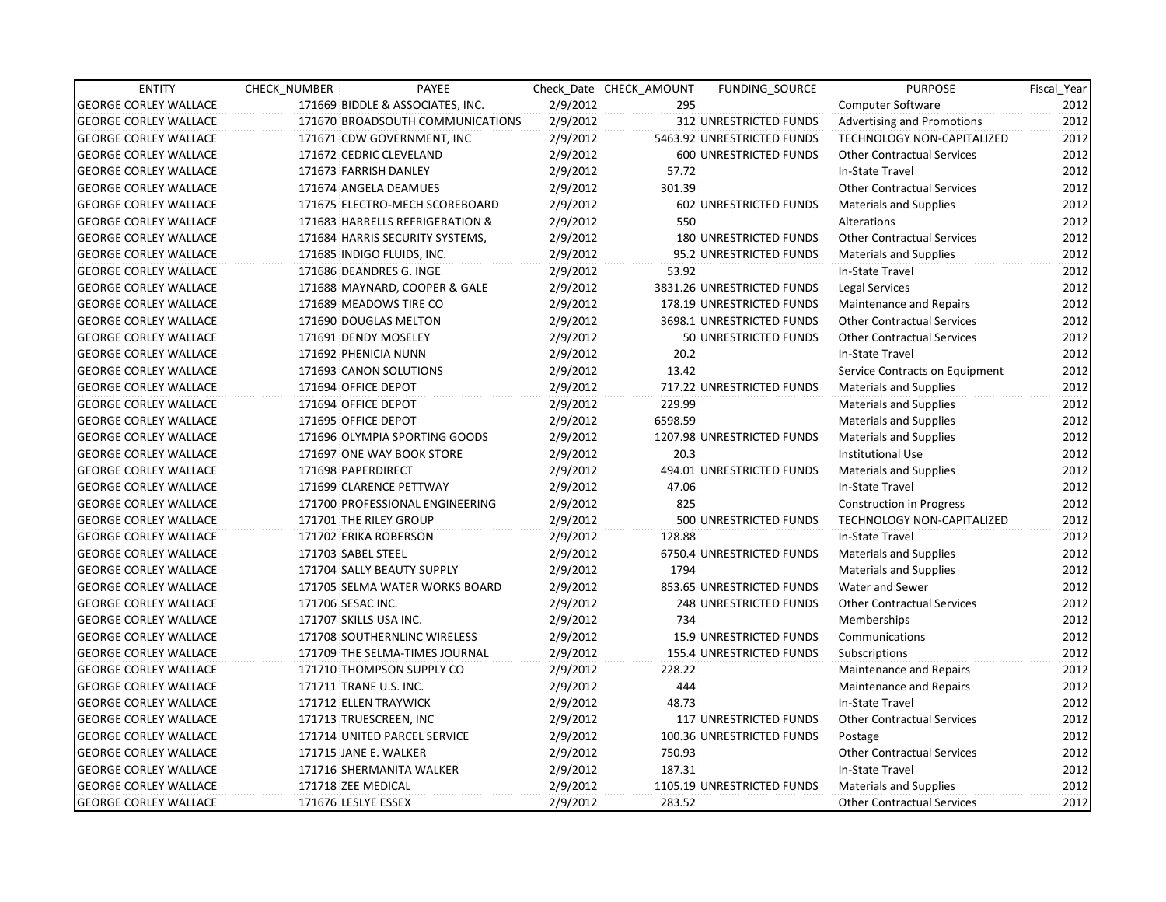| <b>ENTITY</b>                | CHECK NUMBER               | PAYEE                            |          | Check Date CHECK AMOUNT | FUNDING SOURCE                | <b>PURPOSE</b>                    | Fiscal Year |
|------------------------------|----------------------------|----------------------------------|----------|-------------------------|-------------------------------|-----------------------------------|-------------|
| <b>GEORGE CORLEY WALLACE</b> |                            | 171669 BIDDLE & ASSOCIATES, INC. | 2/9/2012 | 295                     |                               | <b>Computer Software</b>          | 2012        |
| <b>GEORGE CORLEY WALLACE</b> |                            | 171670 BROADSOUTH COMMUNICATIONS | 2/9/2012 |                         | 312 UNRESTRICTED FUNDS        | <b>Advertising and Promotions</b> | 2012        |
| <b>GEORGE CORLEY WALLACE</b> |                            | 171671 CDW GOVERNMENT, INC       | 2/9/2012 |                         | 5463.92 UNRESTRICTED FUNDS    | <b>TECHNOLOGY NON-CAPITALIZED</b> | 2012        |
| <b>GEORGE CORLEY WALLACE</b> | 171672 CEDRIC CLEVELAND    |                                  | 2/9/2012 |                         | 600 UNRESTRICTED FUNDS        | <b>Other Contractual Services</b> | 2012        |
| <b>GEORGE CORLEY WALLACE</b> | 171673 FARRISH DANLEY      |                                  | 2/9/2012 | 57.72                   |                               | In-State Travel                   | 2012        |
| <b>GEORGE CORLEY WALLACE</b> | 171674 ANGELA DEAMUES      |                                  | 2/9/2012 | 301.39                  |                               | <b>Other Contractual Services</b> | 2012        |
| <b>GEORGE CORLEY WALLACE</b> |                            | 171675 ELECTRO-MECH SCOREBOARD   | 2/9/2012 |                         | 602 UNRESTRICTED FUNDS        | Materials and Supplies            | 2012        |
| <b>GEORGE CORLEY WALLACE</b> |                            | 171683 HARRELLS REFRIGERATION &  | 2/9/2012 | 550                     |                               | Alterations                       | 2012        |
| <b>GEORGE CORLEY WALLACE</b> |                            | 171684 HARRIS SECURITY SYSTEMS,  | 2/9/2012 |                         | <b>180 UNRESTRICTED FUNDS</b> | <b>Other Contractual Services</b> | 2012        |
| <b>GEORGE CORLEY WALLACE</b> | 171685 INDIGO FLUIDS, INC. |                                  | 2/9/2012 |                         | 95.2 UNRESTRICTED FUNDS       | <b>Materials and Supplies</b>     | 2012        |
| <b>GEORGE CORLEY WALLACE</b> | 171686 DEANDRES G. INGE    |                                  | 2/9/2012 | 53.92                   |                               | In-State Travel                   | 2012        |
| <b>GEORGE CORLEY WALLACE</b> |                            | 171688 MAYNARD, COOPER & GALE    | 2/9/2012 |                         | 3831.26 UNRESTRICTED FUNDS    | Legal Services                    | 2012        |
| <b>GEORGE CORLEY WALLACE</b> | 171689 MEADOWS TIRE CO     |                                  | 2/9/2012 |                         | 178.19 UNRESTRICTED FUNDS     | Maintenance and Repairs           | 2012        |
| <b>GEORGE CORLEY WALLACE</b> | 171690 DOUGLAS MELTON      |                                  | 2/9/2012 |                         | 3698.1 UNRESTRICTED FUNDS     | <b>Other Contractual Services</b> | 2012        |
| <b>GEORGE CORLEY WALLACE</b> | 171691 DENDY MOSELEY       |                                  | 2/9/2012 |                         | 50 UNRESTRICTED FUNDS         | <b>Other Contractual Services</b> | 2012        |
| <b>GEORGE CORLEY WALLACE</b> | 171692 PHENICIA NUNN       |                                  | 2/9/2012 | 20.2                    |                               | In-State Travel                   | 2012        |
| <b>GEORGE CORLEY WALLACE</b> | 171693 CANON SOLUTIONS     |                                  | 2/9/2012 | 13.42                   |                               | Service Contracts on Equipment    | 2012        |
| <b>GEORGE CORLEY WALLACE</b> | 171694 OFFICE DEPOT        |                                  | 2/9/2012 |                         | 717.22 UNRESTRICTED FUNDS     | <b>Materials and Supplies</b>     | 2012        |
| <b>GEORGE CORLEY WALLACE</b> | 171694 OFFICE DEPOT        |                                  | 2/9/2012 | 229.99                  |                               | <b>Materials and Supplies</b>     | 2012        |
| <b>GEORGE CORLEY WALLACE</b> | 171695 OFFICE DEPOT        |                                  | 2/9/2012 | 6598.59                 |                               | <b>Materials and Supplies</b>     | 2012        |
| <b>GEORGE CORLEY WALLACE</b> |                            | 171696 OLYMPIA SPORTING GOODS    | 2/9/2012 |                         | 1207.98 UNRESTRICTED FUNDS    | <b>Materials and Supplies</b>     | 2012        |
| <b>GEORGE CORLEY WALLACE</b> |                            | 171697 ONE WAY BOOK STORE        | 2/9/2012 | 20.3                    |                               | <b>Institutional Use</b>          | 2012        |
| <b>GEORGE CORLEY WALLACE</b> | 171698 PAPERDIRECT         |                                  | 2/9/2012 |                         | 494.01 UNRESTRICTED FUNDS     | Materials and Supplies            | 2012        |
| <b>GEORGE CORLEY WALLACE</b> | 171699 CLARENCE PETTWAY    |                                  | 2/9/2012 | 47.06                   |                               | In-State Travel                   | 2012        |
| <b>GEORGE CORLEY WALLACE</b> |                            | 171700 PROFESSIONAL ENGINEERING  | 2/9/2012 | 825                     |                               | <b>Construction in Progress</b>   | 2012        |
| <b>GEORGE CORLEY WALLACE</b> | 171701 THE RILEY GROUP     |                                  | 2/9/2012 |                         | 500 UNRESTRICTED FUNDS        | TECHNOLOGY NON-CAPITALIZED        | 2012        |
| <b>GEORGE CORLEY WALLACE</b> | 171702 ERIKA ROBERSON      |                                  | 2/9/2012 | 128.88                  |                               | In-State Travel                   | 2012        |
| <b>GEORGE CORLEY WALLACE</b> | 171703 SABEL STEEL         |                                  | 2/9/2012 |                         | 6750.4 UNRESTRICTED FUNDS     | <b>Materials and Supplies</b>     | 2012        |
| <b>GEORGE CORLEY WALLACE</b> | 171704 SALLY BEAUTY SUPPLY |                                  | 2/9/2012 | 1794                    |                               | <b>Materials and Supplies</b>     | 2012        |
| <b>GEORGE CORLEY WALLACE</b> |                            | 171705 SELMA WATER WORKS BOARD   | 2/9/2012 |                         | 853.65 UNRESTRICTED FUNDS     | Water and Sewer                   | 2012        |
| <b>GEORGE CORLEY WALLACE</b> | 171706 SESAC INC.          |                                  | 2/9/2012 |                         | 248 UNRESTRICTED FUNDS        | <b>Other Contractual Services</b> | 2012        |
| <b>GEORGE CORLEY WALLACE</b> | 171707 SKILLS USA INC.     |                                  | 2/9/2012 | 734                     |                               | Memberships                       | 2012        |
| <b>GEORGE CORLEY WALLACE</b> |                            | 171708 SOUTHERNLINC WIRELESS     | 2/9/2012 |                         | 15.9 UNRESTRICTED FUNDS       | Communications                    | 2012        |
| <b>GEORGE CORLEY WALLACE</b> |                            | 171709 THE SELMA-TIMES JOURNAL   | 2/9/2012 |                         | 155.4 UNRESTRICTED FUNDS      | Subscriptions                     | 2012        |
| <b>GEORGE CORLEY WALLACE</b> |                            | 171710 THOMPSON SUPPLY CO        | 2/9/2012 | 228.22                  |                               | <b>Maintenance and Repairs</b>    | 2012        |
| <b>GEORGE CORLEY WALLACE</b> | 171711 TRANE U.S. INC.     |                                  | 2/9/2012 | 444                     |                               | Maintenance and Repairs           | 2012        |
| <b>GEORGE CORLEY WALLACE</b> | 171712 ELLEN TRAYWICK      |                                  | 2/9/2012 | 48.73                   |                               | In-State Travel                   | 2012        |
| <b>GEORGE CORLEY WALLACE</b> | 171713 TRUESCREEN, INC     |                                  | 2/9/2012 |                         | 117 UNRESTRICTED FUNDS        | <b>Other Contractual Services</b> | 2012        |
| <b>GEORGE CORLEY WALLACE</b> |                            | 171714 UNITED PARCEL SERVICE     | 2/9/2012 |                         | 100.36 UNRESTRICTED FUNDS     | Postage                           | 2012        |
| <b>GEORGE CORLEY WALLACE</b> | 171715 JANE E. WALKER      |                                  | 2/9/2012 | 750.93                  |                               | <b>Other Contractual Services</b> | 2012        |
| <b>GEORGE CORLEY WALLACE</b> | 171716 SHERMANITA WALKER   |                                  | 2/9/2012 | 187.31                  |                               | In-State Travel                   | 2012        |
| <b>GEORGE CORLEY WALLACE</b> | 171718 ZEE MEDICAL         |                                  | 2/9/2012 |                         | 1105.19 UNRESTRICTED FUNDS    | Materials and Supplies            | 2012        |
| <b>GEORGE CORLEY WALLACE</b> | 171676 LESLYE ESSEX        |                                  | 2/9/2012 | 283.52                  |                               | <b>Other Contractual Services</b> | 2012        |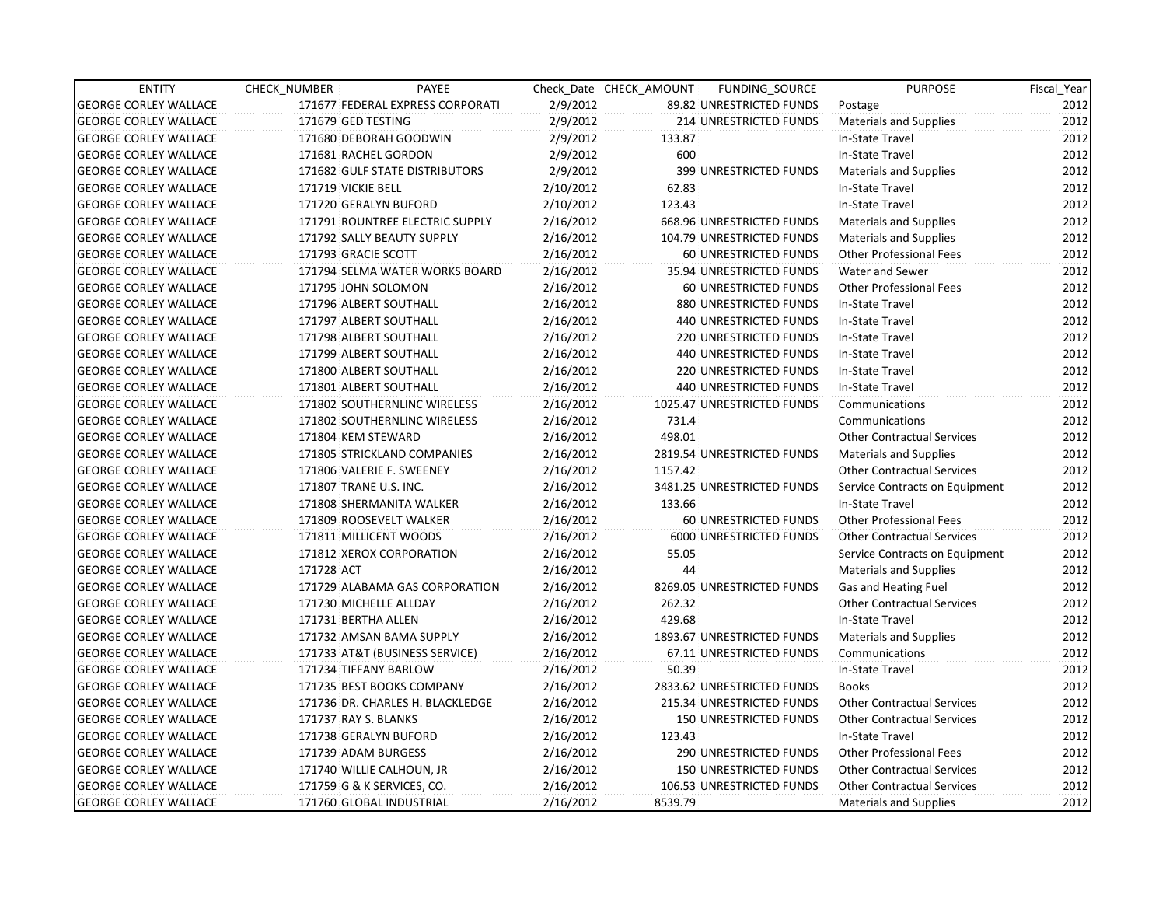| <b>ENTITY</b>                | CHECK_NUMBER           | PAYEE                            |           | Check Date CHECK AMOUNT | FUNDING_SOURCE                | <b>PURPOSE</b>                    | Fiscal_Year |
|------------------------------|------------------------|----------------------------------|-----------|-------------------------|-------------------------------|-----------------------------------|-------------|
| <b>GEORGE CORLEY WALLACE</b> |                        | 171677 FEDERAL EXPRESS CORPORATI | 2/9/2012  |                         | 89.82 UNRESTRICTED FUNDS      | Postage                           | 2012        |
| <b>GEORGE CORLEY WALLACE</b> | 171679 GED TESTING     |                                  | 2/9/2012  |                         | <b>214 UNRESTRICTED FUNDS</b> | <b>Materials and Supplies</b>     | 2012        |
| <b>GEORGE CORLEY WALLACE</b> |                        | 171680 DEBORAH GOODWIN           | 2/9/2012  | 133.87                  |                               | In-State Travel                   | 2012        |
| <b>GEORGE CORLEY WALLACE</b> |                        | 171681 RACHEL GORDON             | 2/9/2012  | 600                     |                               | In-State Travel                   | 2012        |
| <b>GEORGE CORLEY WALLACE</b> |                        | 171682 GULF STATE DISTRIBUTORS   | 2/9/2012  |                         | 399 UNRESTRICTED FUNDS        | <b>Materials and Supplies</b>     | 2012        |
| <b>GEORGE CORLEY WALLACE</b> | 171719 VICKIE BELL     |                                  | 2/10/2012 | 62.83                   |                               | In-State Travel                   | 2012        |
| <b>GEORGE CORLEY WALLACE</b> |                        | 171720 GERALYN BUFORD            | 2/10/2012 | 123.43                  |                               | In-State Travel                   | 2012        |
| <b>GEORGE CORLEY WALLACE</b> |                        | 171791 ROUNTREE ELECTRIC SUPPLY  | 2/16/2012 |                         | 668.96 UNRESTRICTED FUNDS     | <b>Materials and Supplies</b>     | 2012        |
| <b>GEORGE CORLEY WALLACE</b> |                        | 171792 SALLY BEAUTY SUPPLY       | 2/16/2012 |                         | 104.79 UNRESTRICTED FUNDS     | <b>Materials and Supplies</b>     | 2012        |
| <b>GEORGE CORLEY WALLACE</b> | 171793 GRACIE SCOTT    |                                  | 2/16/2012 |                         | 60 UNRESTRICTED FUNDS         | <b>Other Professional Fees</b>    | 2012        |
| <b>GEORGE CORLEY WALLACE</b> |                        | 171794 SELMA WATER WORKS BOARD   | 2/16/2012 |                         | 35.94 UNRESTRICTED FUNDS      | Water and Sewer                   | 2012        |
| <b>GEORGE CORLEY WALLACE</b> | 171795 JOHN SOLOMON    |                                  | 2/16/2012 |                         | 60 UNRESTRICTED FUNDS         | <b>Other Professional Fees</b>    | 2012        |
| <b>GEORGE CORLEY WALLACE</b> |                        | 171796 ALBERT SOUTHALL           | 2/16/2012 |                         | 880 UNRESTRICTED FUNDS        | In-State Travel                   | 2012        |
| <b>GEORGE CORLEY WALLACE</b> |                        | 171797 ALBERT SOUTHALL           | 2/16/2012 |                         | 440 UNRESTRICTED FUNDS        | In-State Travel                   | 2012        |
| <b>GEORGE CORLEY WALLACE</b> |                        | 171798 ALBERT SOUTHALL           | 2/16/2012 |                         | 220 UNRESTRICTED FUNDS        | In-State Travel                   | 2012        |
| <b>GEORGE CORLEY WALLACE</b> |                        | 171799 ALBERT SOUTHALL           | 2/16/2012 |                         | 440 UNRESTRICTED FUNDS        | In-State Travel                   | 2012        |
| <b>GEORGE CORLEY WALLACE</b> |                        | 171800 ALBERT SOUTHALL           | 2/16/2012 |                         | 220 UNRESTRICTED FUNDS        | In-State Travel                   | 2012        |
| <b>GEORGE CORLEY WALLACE</b> |                        | 171801 ALBERT SOUTHALL           | 2/16/2012 |                         | <b>440 UNRESTRICTED FUNDS</b> | In-State Travel                   | 2012        |
| <b>GEORGE CORLEY WALLACE</b> |                        | 171802 SOUTHERNLINC WIRELESS     | 2/16/2012 |                         | 1025.47 UNRESTRICTED FUNDS    | Communications                    | 2012        |
| <b>GEORGE CORLEY WALLACE</b> |                        | 171802 SOUTHERNLINC WIRELESS     | 2/16/2012 | 731.4                   |                               | Communications                    | 2012        |
| <b>GEORGE CORLEY WALLACE</b> | 171804 KEM STEWARD     |                                  | 2/16/2012 | 498.01                  |                               | <b>Other Contractual Services</b> | 2012        |
| <b>GEORGE CORLEY WALLACE</b> |                        | 171805 STRICKLAND COMPANIES      | 2/16/2012 |                         | 2819.54 UNRESTRICTED FUNDS    | <b>Materials and Supplies</b>     | 2012        |
| <b>GEORGE CORLEY WALLACE</b> |                        | 171806 VALERIE F. SWEENEY        | 2/16/2012 | 1157.42                 |                               | <b>Other Contractual Services</b> | 2012        |
| <b>GEORGE CORLEY WALLACE</b> | 171807 TRANE U.S. INC. |                                  | 2/16/2012 |                         | 3481.25 UNRESTRICTED FUNDS    | Service Contracts on Equipment    | 2012        |
| <b>GEORGE CORLEY WALLACE</b> |                        | 171808 SHERMANITA WALKER         | 2/16/2012 | 133.66                  |                               | In-State Travel                   | 2012        |
| <b>GEORGE CORLEY WALLACE</b> |                        | 171809 ROOSEVELT WALKER          | 2/16/2012 |                         | 60 UNRESTRICTED FUNDS         | <b>Other Professional Fees</b>    | 2012        |
| <b>GEORGE CORLEY WALLACE</b> |                        | 171811 MILLICENT WOODS           | 2/16/2012 |                         | 6000 UNRESTRICTED FUNDS       | <b>Other Contractual Services</b> | 2012        |
| <b>GEORGE CORLEY WALLACE</b> |                        | 171812 XEROX CORPORATION         | 2/16/2012 | 55.05                   |                               | Service Contracts on Equipment    | 2012        |
| <b>GEORGE CORLEY WALLACE</b> | 171728 ACT             |                                  | 2/16/2012 | 44                      |                               | <b>Materials and Supplies</b>     | 2012        |
| <b>GEORGE CORLEY WALLACE</b> |                        | 171729 ALABAMA GAS CORPORATION   | 2/16/2012 |                         | 8269.05 UNRESTRICTED FUNDS    | Gas and Heating Fuel              | 2012        |
| <b>GEORGE CORLEY WALLACE</b> |                        | 171730 MICHELLE ALLDAY           | 2/16/2012 | 262.32                  |                               | <b>Other Contractual Services</b> | 2012        |
| <b>GEORGE CORLEY WALLACE</b> | 171731 BERTHA ALLEN    |                                  | 2/16/2012 | 429.68                  |                               | In-State Travel                   | 2012        |
| <b>GEORGE CORLEY WALLACE</b> |                        | 171732 AMSAN BAMA SUPPLY         | 2/16/2012 |                         | 1893.67 UNRESTRICTED FUNDS    | <b>Materials and Supplies</b>     | 2012        |
| <b>GEORGE CORLEY WALLACE</b> |                        | 171733 AT&T (BUSINESS SERVICE)   | 2/16/2012 |                         | 67.11 UNRESTRICTED FUNDS      | Communications                    | 2012        |
| <b>GEORGE CORLEY WALLACE</b> |                        | 171734 TIFFANY BARLOW            | 2/16/2012 | 50.39                   |                               | In-State Travel                   | 2012        |
| <b>GEORGE CORLEY WALLACE</b> |                        | 171735 BEST BOOKS COMPANY        | 2/16/2012 |                         | 2833.62 UNRESTRICTED FUNDS    | <b>Books</b>                      | 2012        |
| <b>GEORGE CORLEY WALLACE</b> |                        | 171736 DR. CHARLES H. BLACKLEDGE | 2/16/2012 |                         | 215.34 UNRESTRICTED FUNDS     | <b>Other Contractual Services</b> | 2012        |
| <b>GEORGE CORLEY WALLACE</b> | 171737 RAY S. BLANKS   |                                  | 2/16/2012 |                         | 150 UNRESTRICTED FUNDS        | <b>Other Contractual Services</b> | 2012        |
| <b>GEORGE CORLEY WALLACE</b> |                        | 171738 GERALYN BUFORD            | 2/16/2012 | 123.43                  |                               | In-State Travel                   | 2012        |
| <b>GEORGE CORLEY WALLACE</b> | 171739 ADAM BURGESS    |                                  | 2/16/2012 |                         | 290 UNRESTRICTED FUNDS        | <b>Other Professional Fees</b>    | 2012        |
| <b>GEORGE CORLEY WALLACE</b> |                        | 171740 WILLIE CALHOUN, JR        | 2/16/2012 |                         | 150 UNRESTRICTED FUNDS        | <b>Other Contractual Services</b> | 2012        |
| <b>GEORGE CORLEY WALLACE</b> |                        | 171759 G & K SERVICES, CO.       | 2/16/2012 |                         | 106.53 UNRESTRICTED FUNDS     | <b>Other Contractual Services</b> | 2012        |
| <b>GEORGE CORLEY WALLACE</b> |                        | 171760 GLOBAL INDUSTRIAL         | 2/16/2012 | 8539.79                 |                               | Materials and Supplies            | 2012        |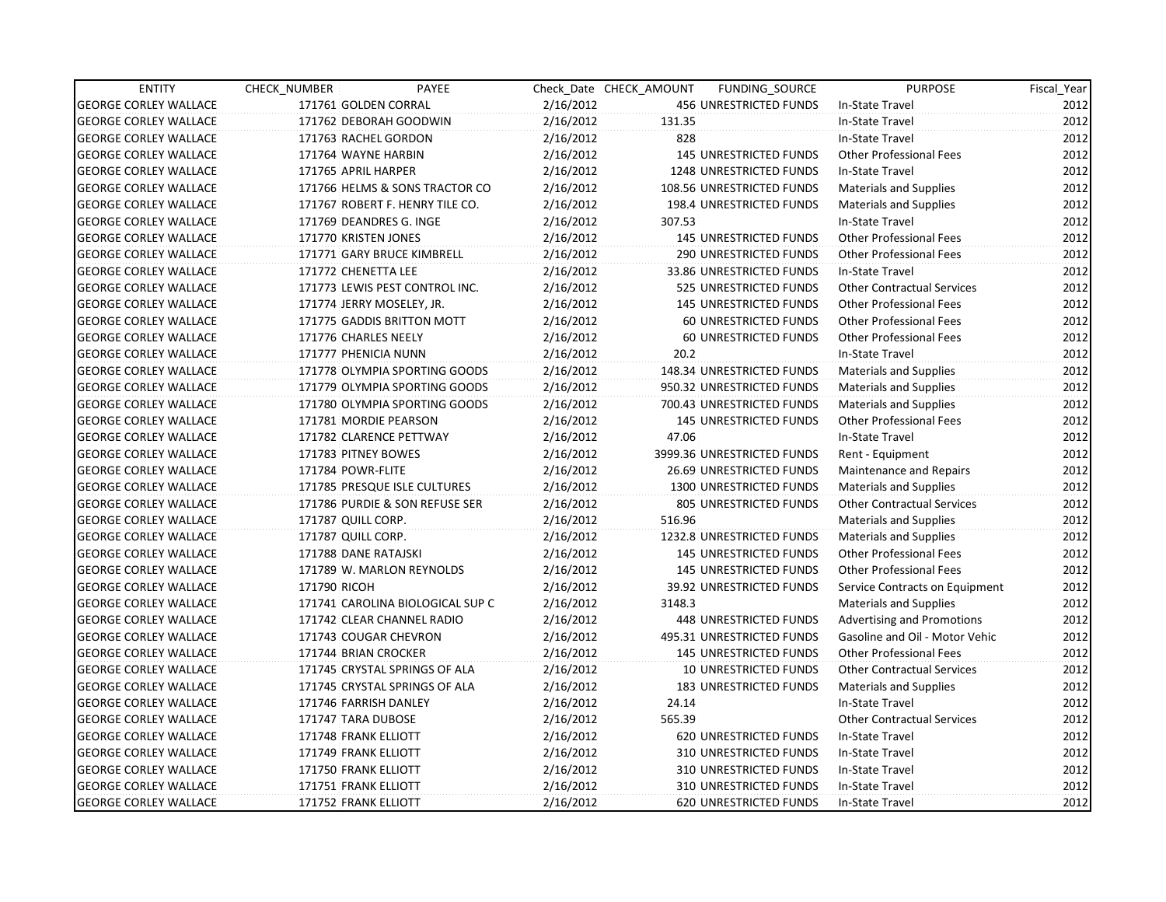| <b>ENTITY</b>                | CHECK_NUMBER       | PAYEE                            |           | Check Date CHECK AMOUNT | FUNDING_SOURCE                | <b>PURPOSE</b>                    | Fiscal_Year |
|------------------------------|--------------------|----------------------------------|-----------|-------------------------|-------------------------------|-----------------------------------|-------------|
| <b>GEORGE CORLEY WALLACE</b> |                    | 171761 GOLDEN CORRAL             | 2/16/2012 |                         | 456 UNRESTRICTED FUNDS        | In-State Travel                   | 2012        |
| <b>GEORGE CORLEY WALLACE</b> |                    | 171762 DEBORAH GOODWIN           | 2/16/2012 | 131.35                  |                               | In-State Travel                   | 2012        |
| <b>GEORGE CORLEY WALLACE</b> |                    | 171763 RACHEL GORDON             | 2/16/2012 | 828                     |                               | In-State Travel                   | 2012        |
| <b>GEORGE CORLEY WALLACE</b> |                    | 171764 WAYNE HARBIN              | 2/16/2012 |                         | <b>145 UNRESTRICTED FUNDS</b> | <b>Other Professional Fees</b>    | 2012        |
| <b>GEORGE CORLEY WALLACE</b> |                    | 171765 APRIL HARPER              | 2/16/2012 |                         | 1248 UNRESTRICTED FUNDS       | In-State Travel                   | 2012        |
| <b>GEORGE CORLEY WALLACE</b> |                    | 171766 HELMS & SONS TRACTOR CO   | 2/16/2012 |                         | 108.56 UNRESTRICTED FUNDS     | <b>Materials and Supplies</b>     | 2012        |
| <b>GEORGE CORLEY WALLACE</b> |                    | 171767 ROBERT F. HENRY TILE CO.  | 2/16/2012 |                         | 198.4 UNRESTRICTED FUNDS      | <b>Materials and Supplies</b>     | 2012        |
| <b>GEORGE CORLEY WALLACE</b> |                    | 171769 DEANDRES G. INGE          | 2/16/2012 | 307.53                  |                               | In-State Travel                   | 2012        |
| <b>GEORGE CORLEY WALLACE</b> |                    | 171770 KRISTEN JONES             | 2/16/2012 |                         | 145 UNRESTRICTED FUNDS        | <b>Other Professional Fees</b>    | 2012        |
| <b>GEORGE CORLEY WALLACE</b> |                    | 171771 GARY BRUCE KIMBRELL       | 2/16/2012 |                         | 290 UNRESTRICTED FUNDS        | <b>Other Professional Fees</b>    | 2012        |
| <b>GEORGE CORLEY WALLACE</b> |                    | 171772 CHENETTA LEE              | 2/16/2012 |                         | 33.86 UNRESTRICTED FUNDS      | In-State Travel                   | 2012        |
| <b>GEORGE CORLEY WALLACE</b> |                    | 171773 LEWIS PEST CONTROL INC.   | 2/16/2012 |                         | 525 UNRESTRICTED FUNDS        | <b>Other Contractual Services</b> | 2012        |
| <b>GEORGE CORLEY WALLACE</b> |                    | 171774 JERRY MOSELEY, JR.        | 2/16/2012 |                         | 145 UNRESTRICTED FUNDS        | <b>Other Professional Fees</b>    | 2012        |
| <b>GEORGE CORLEY WALLACE</b> |                    | 171775 GADDIS BRITTON MOTT       | 2/16/2012 |                         | <b>60 UNRESTRICTED FUNDS</b>  | <b>Other Professional Fees</b>    | 2012        |
| <b>GEORGE CORLEY WALLACE</b> |                    | 171776 CHARLES NEELY             | 2/16/2012 |                         | 60 UNRESTRICTED FUNDS         | <b>Other Professional Fees</b>    | 2012        |
| <b>GEORGE CORLEY WALLACE</b> |                    | 171777 PHENICIA NUNN             | 2/16/2012 | 20.2                    |                               | In-State Travel                   | 2012        |
| <b>GEORGE CORLEY WALLACE</b> |                    | 171778 OLYMPIA SPORTING GOODS    | 2/16/2012 |                         | 148.34 UNRESTRICTED FUNDS     | Materials and Supplies            | 2012        |
| <b>GEORGE CORLEY WALLACE</b> |                    | 171779 OLYMPIA SPORTING GOODS    | 2/16/2012 |                         | 950.32 UNRESTRICTED FUNDS     | <b>Materials and Supplies</b>     | 2012        |
| <b>GEORGE CORLEY WALLACE</b> |                    | 171780 OLYMPIA SPORTING GOODS    | 2/16/2012 |                         | 700.43 UNRESTRICTED FUNDS     | <b>Materials and Supplies</b>     | 2012        |
| <b>GEORGE CORLEY WALLACE</b> |                    | 171781 MORDIE PEARSON            | 2/16/2012 |                         | <b>145 UNRESTRICTED FUNDS</b> | <b>Other Professional Fees</b>    | 2012        |
| <b>GEORGE CORLEY WALLACE</b> |                    | 171782 CLARENCE PETTWAY          | 2/16/2012 | 47.06                   |                               | In-State Travel                   | 2012        |
| <b>GEORGE CORLEY WALLACE</b> |                    | 171783 PITNEY BOWES              | 2/16/2012 |                         | 3999.36 UNRESTRICTED FUNDS    | Rent - Equipment                  | 2012        |
| <b>GEORGE CORLEY WALLACE</b> | 171784 POWR-FLITE  |                                  | 2/16/2012 |                         | 26.69 UNRESTRICTED FUNDS      | Maintenance and Repairs           | 2012        |
| <b>GEORGE CORLEY WALLACE</b> |                    | 171785 PRESQUE ISLE CULTURES     | 2/16/2012 |                         | 1300 UNRESTRICTED FUNDS       | <b>Materials and Supplies</b>     | 2012        |
| <b>GEORGE CORLEY WALLACE</b> |                    | 171786 PURDIE & SON REFUSE SER   | 2/16/2012 |                         | 805 UNRESTRICTED FUNDS        | <b>Other Contractual Services</b> | 2012        |
| <b>GEORGE CORLEY WALLACE</b> | 171787 QUILL CORP. |                                  | 2/16/2012 | 516.96                  |                               | <b>Materials and Supplies</b>     | 2012        |
| <b>GEORGE CORLEY WALLACE</b> | 171787 QUILL CORP. |                                  | 2/16/2012 |                         | 1232.8 UNRESTRICTED FUNDS     | Materials and Supplies            | 2012        |
| <b>GEORGE CORLEY WALLACE</b> |                    | 171788 DANE RATAJSKI             | 2/16/2012 |                         | <b>145 UNRESTRICTED FUNDS</b> | <b>Other Professional Fees</b>    | 2012        |
| <b>GEORGE CORLEY WALLACE</b> |                    | 171789 W. MARLON REYNOLDS        | 2/16/2012 |                         | <b>145 UNRESTRICTED FUNDS</b> | <b>Other Professional Fees</b>    | 2012        |
| <b>GEORGE CORLEY WALLACE</b> | 171790 RICOH       |                                  | 2/16/2012 |                         | 39.92 UNRESTRICTED FUNDS      | Service Contracts on Equipment    | 2012        |
| <b>GEORGE CORLEY WALLACE</b> |                    | 171741 CAROLINA BIOLOGICAL SUP C | 2/16/2012 | 3148.3                  |                               | <b>Materials and Supplies</b>     | 2012        |
| <b>GEORGE CORLEY WALLACE</b> |                    | 171742 CLEAR CHANNEL RADIO       | 2/16/2012 |                         | 448 UNRESTRICTED FUNDS        | <b>Advertising and Promotions</b> | 2012        |
| <b>GEORGE CORLEY WALLACE</b> |                    | 171743 COUGAR CHEVRON            | 2/16/2012 |                         | 495.31 UNRESTRICTED FUNDS     | Gasoline and Oil - Motor Vehic    | 2012        |
| <b>GEORGE CORLEY WALLACE</b> |                    | 171744 BRIAN CROCKER             | 2/16/2012 |                         | <b>145 UNRESTRICTED FUNDS</b> | Other Professional Fees           | 2012        |
| <b>GEORGE CORLEY WALLACE</b> |                    | 171745 CRYSTAL SPRINGS OF ALA    | 2/16/2012 |                         | <b>10 UNRESTRICTED FUNDS</b>  | <b>Other Contractual Services</b> | 2012        |
| <b>GEORGE CORLEY WALLACE</b> |                    | 171745 CRYSTAL SPRINGS OF ALA    | 2/16/2012 |                         | <b>183 UNRESTRICTED FUNDS</b> | <b>Materials and Supplies</b>     | 2012        |
| <b>GEORGE CORLEY WALLACE</b> |                    | 171746 FARRISH DANLEY            | 2/16/2012 | 24.14                   |                               | In-State Travel                   | 2012        |
| <b>GEORGE CORLEY WALLACE</b> |                    | 171747 TARA DUBOSE               | 2/16/2012 | 565.39                  |                               | <b>Other Contractual Services</b> | 2012        |
| <b>GEORGE CORLEY WALLACE</b> |                    | 171748 FRANK ELLIOTT             | 2/16/2012 |                         | 620 UNRESTRICTED FUNDS        | In-State Travel                   | 2012        |
| <b>GEORGE CORLEY WALLACE</b> |                    | 171749 FRANK ELLIOTT             | 2/16/2012 |                         | 310 UNRESTRICTED FUNDS        | In-State Travel                   | 2012        |
| <b>GEORGE CORLEY WALLACE</b> |                    | 171750 FRANK ELLIOTT             | 2/16/2012 |                         | 310 UNRESTRICTED FUNDS        | In-State Travel                   | 2012        |
| <b>GEORGE CORLEY WALLACE</b> |                    | 171751 FRANK ELLIOTT             | 2/16/2012 |                         | 310 UNRESTRICTED FUNDS        | In-State Travel                   | 2012        |
| <b>GEORGE CORLEY WALLACE</b> |                    | 171752 FRANK ELLIOTT             | 2/16/2012 |                         | <b>620 UNRESTRICTED FUNDS</b> | In-State Travel                   | 2012        |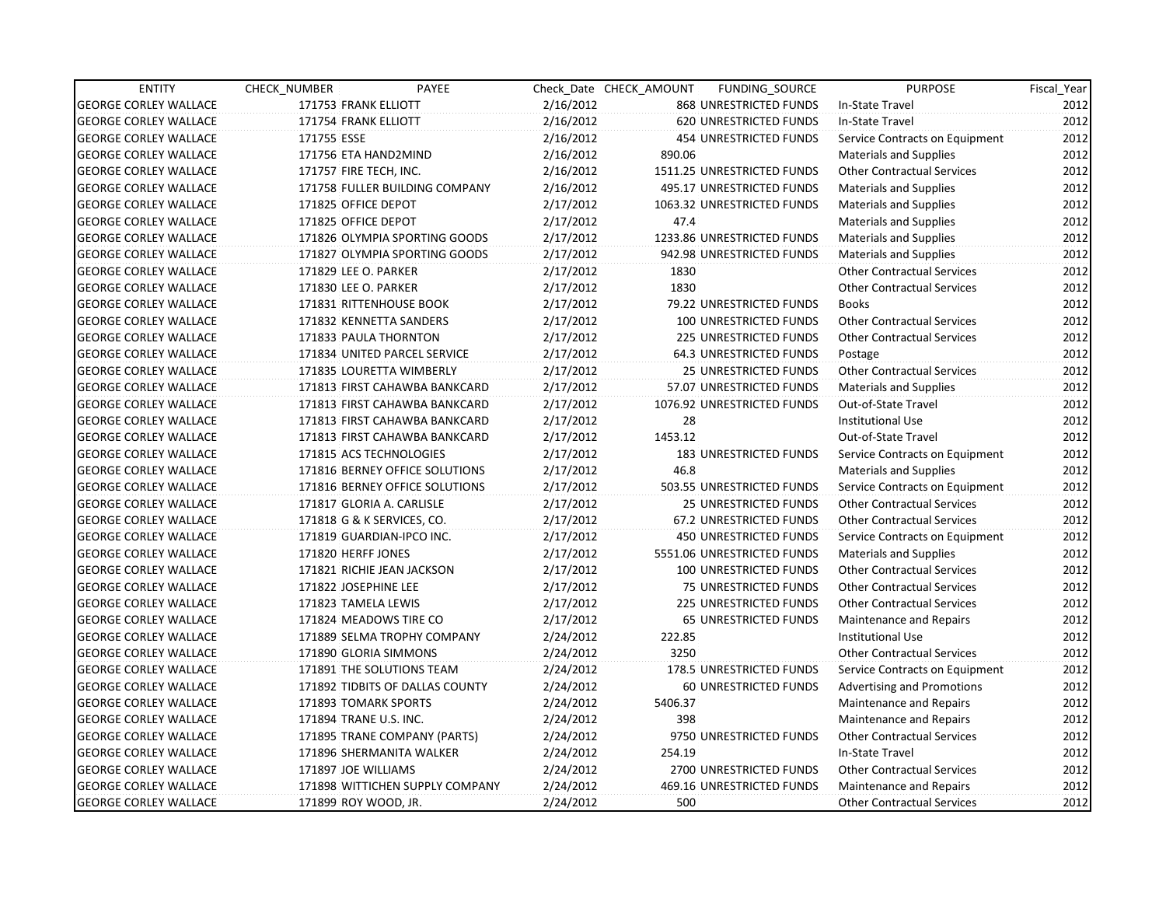| <b>ENTITY</b>                | CHECK_NUMBER | PAYEE                           |           | Check Date CHECK AMOUNT | FUNDING_SOURCE                 | <b>PURPOSE</b>                    | Fiscal_Year |
|------------------------------|--------------|---------------------------------|-----------|-------------------------|--------------------------------|-----------------------------------|-------------|
| <b>GEORGE CORLEY WALLACE</b> |              | 171753 FRANK ELLIOTT            | 2/16/2012 |                         | 868 UNRESTRICTED FUNDS         | In-State Travel                   | 2012        |
| <b>GEORGE CORLEY WALLACE</b> |              | 171754 FRANK ELLIOTT            | 2/16/2012 |                         | 620 UNRESTRICTED FUNDS         | In-State Travel                   | 2012        |
| <b>GEORGE CORLEY WALLACE</b> | 171755 ESSE  |                                 | 2/16/2012 |                         | <b>454 UNRESTRICTED FUNDS</b>  | Service Contracts on Equipment    | 2012        |
| <b>GEORGE CORLEY WALLACE</b> |              | 171756 ETA HAND2MIND            | 2/16/2012 | 890.06                  |                                | <b>Materials and Supplies</b>     | 2012        |
| <b>GEORGE CORLEY WALLACE</b> |              | 171757 FIRE TECH, INC.          | 2/16/2012 |                         | 1511.25 UNRESTRICTED FUNDS     | <b>Other Contractual Services</b> | 2012        |
| <b>GEORGE CORLEY WALLACE</b> |              | 171758 FULLER BUILDING COMPANY  | 2/16/2012 |                         | 495.17 UNRESTRICTED FUNDS      | <b>Materials and Supplies</b>     | 2012        |
| <b>GEORGE CORLEY WALLACE</b> |              | 171825 OFFICE DEPOT             | 2/17/2012 |                         | 1063.32 UNRESTRICTED FUNDS     | <b>Materials and Supplies</b>     | 2012        |
| <b>GEORGE CORLEY WALLACE</b> |              | 171825 OFFICE DEPOT             | 2/17/2012 | 47.4                    |                                | <b>Materials and Supplies</b>     | 2012        |
| <b>GEORGE CORLEY WALLACE</b> |              | 171826 OLYMPIA SPORTING GOODS   | 2/17/2012 |                         | 1233.86 UNRESTRICTED FUNDS     | Materials and Supplies            | 2012        |
| <b>GEORGE CORLEY WALLACE</b> |              | 171827 OLYMPIA SPORTING GOODS   | 2/17/2012 |                         | 942.98 UNRESTRICTED FUNDS      | <b>Materials and Supplies</b>     | 2012        |
| <b>GEORGE CORLEY WALLACE</b> |              | 171829 LEE O. PARKER            | 2/17/2012 | 1830                    |                                | <b>Other Contractual Services</b> | 2012        |
| <b>GEORGE CORLEY WALLACE</b> |              | 171830 LEE O. PARKER            | 2/17/2012 | 1830                    |                                | <b>Other Contractual Services</b> | 2012        |
| <b>GEORGE CORLEY WALLACE</b> |              | 171831 RITTENHOUSE BOOK         | 2/17/2012 |                         | 79.22 UNRESTRICTED FUNDS       | <b>Books</b>                      | 2012        |
| <b>GEORGE CORLEY WALLACE</b> |              | 171832 KENNETTA SANDERS         | 2/17/2012 |                         | 100 UNRESTRICTED FUNDS         | <b>Other Contractual Services</b> | 2012        |
| <b>GEORGE CORLEY WALLACE</b> |              | 171833 PAULA THORNTON           | 2/17/2012 |                         | 225 UNRESTRICTED FUNDS         | <b>Other Contractual Services</b> | 2012        |
| <b>GEORGE CORLEY WALLACE</b> |              | 171834 UNITED PARCEL SERVICE    | 2/17/2012 |                         | <b>64.3 UNRESTRICTED FUNDS</b> | Postage                           | 2012        |
| <b>GEORGE CORLEY WALLACE</b> |              | 171835 LOURETTA WIMBERLY        | 2/17/2012 |                         | 25 UNRESTRICTED FUNDS          | <b>Other Contractual Services</b> | 2012        |
| <b>GEORGE CORLEY WALLACE</b> |              | 171813 FIRST CAHAWBA BANKCARD   | 2/17/2012 |                         | 57.07 UNRESTRICTED FUNDS       | <b>Materials and Supplies</b>     | 2012        |
| <b>GEORGE CORLEY WALLACE</b> |              | 171813 FIRST CAHAWBA BANKCARD   | 2/17/2012 |                         | 1076.92 UNRESTRICTED FUNDS     | Out-of-State Travel               | 2012        |
| <b>GEORGE CORLEY WALLACE</b> |              | 171813 FIRST CAHAWBA BANKCARD   | 2/17/2012 | 28                      |                                | <b>Institutional Use</b>          | 2012        |
| <b>GEORGE CORLEY WALLACE</b> |              | 171813 FIRST CAHAWBA BANKCARD   | 2/17/2012 | 1453.12                 |                                | Out-of-State Travel               | 2012        |
| <b>GEORGE CORLEY WALLACE</b> |              | 171815 ACS TECHNOLOGIES         | 2/17/2012 |                         | <b>183 UNRESTRICTED FUNDS</b>  | Service Contracts on Equipment    | 2012        |
| <b>GEORGE CORLEY WALLACE</b> |              | 171816 BERNEY OFFICE SOLUTIONS  | 2/17/2012 | 46.8                    |                                | <b>Materials and Supplies</b>     | 2012        |
| <b>GEORGE CORLEY WALLACE</b> |              | 171816 BERNEY OFFICE SOLUTIONS  | 2/17/2012 |                         | 503.55 UNRESTRICTED FUNDS      | Service Contracts on Equipment    | 2012        |
| <b>GEORGE CORLEY WALLACE</b> |              | 171817 GLORIA A. CARLISLE       | 2/17/2012 |                         | 25 UNRESTRICTED FUNDS          | <b>Other Contractual Services</b> | 2012        |
| <b>GEORGE CORLEY WALLACE</b> |              | 171818 G & K SERVICES, CO.      | 2/17/2012 |                         | 67.2 UNRESTRICTED FUNDS        | <b>Other Contractual Services</b> | 2012        |
| <b>GEORGE CORLEY WALLACE</b> |              | 171819 GUARDIAN-IPCO INC.       | 2/17/2012 |                         | <b>450 UNRESTRICTED FUNDS</b>  | Service Contracts on Equipment    | 2012        |
| <b>GEORGE CORLEY WALLACE</b> |              | 171820 HERFF JONES              | 2/17/2012 |                         | 5551.06 UNRESTRICTED FUNDS     | <b>Materials and Supplies</b>     | 2012        |
| <b>GEORGE CORLEY WALLACE</b> |              | 171821 RICHIE JEAN JACKSON      | 2/17/2012 |                         | 100 UNRESTRICTED FUNDS         | <b>Other Contractual Services</b> | 2012        |
| <b>GEORGE CORLEY WALLACE</b> |              | 171822 JOSEPHINE LEE            | 2/17/2012 |                         | 75 UNRESTRICTED FUNDS          | <b>Other Contractual Services</b> | 2012        |
| <b>GEORGE CORLEY WALLACE</b> |              | 171823 TAMELA LEWIS             | 2/17/2012 |                         | 225 UNRESTRICTED FUNDS         | <b>Other Contractual Services</b> | 2012        |
| <b>GEORGE CORLEY WALLACE</b> |              | 171824 MEADOWS TIRE CO          | 2/17/2012 |                         | 65 UNRESTRICTED FUNDS          | Maintenance and Repairs           | 2012        |
| <b>GEORGE CORLEY WALLACE</b> |              | 171889 SELMA TROPHY COMPANY     | 2/24/2012 | 222.85                  |                                | <b>Institutional Use</b>          | 2012        |
| <b>GEORGE CORLEY WALLACE</b> |              | 171890 GLORIA SIMMONS           | 2/24/2012 | 3250                    |                                | <b>Other Contractual Services</b> | 2012        |
| <b>GEORGE CORLEY WALLACE</b> |              | 171891 THE SOLUTIONS TEAM       | 2/24/2012 |                         | 178.5 UNRESTRICTED FUNDS       | Service Contracts on Equipment    | 2012        |
| <b>GEORGE CORLEY WALLACE</b> |              | 171892 TIDBITS OF DALLAS COUNTY | 2/24/2012 |                         | 60 UNRESTRICTED FUNDS          | <b>Advertising and Promotions</b> | 2012        |
| <b>GEORGE CORLEY WALLACE</b> |              | 171893 TOMARK SPORTS            | 2/24/2012 | 5406.37                 |                                | <b>Maintenance and Repairs</b>    | 2012        |
| <b>GEORGE CORLEY WALLACE</b> |              | 171894 TRANE U.S. INC.          | 2/24/2012 | 398                     |                                | Maintenance and Repairs           | 2012        |
| <b>GEORGE CORLEY WALLACE</b> |              | 171895 TRANE COMPANY (PARTS)    | 2/24/2012 |                         | 9750 UNRESTRICTED FUNDS        | <b>Other Contractual Services</b> | 2012        |
| <b>GEORGE CORLEY WALLACE</b> |              | 171896 SHERMANITA WALKER        | 2/24/2012 | 254.19                  |                                | In-State Travel                   | 2012        |
| <b>GEORGE CORLEY WALLACE</b> |              | 171897 JOE WILLIAMS             | 2/24/2012 |                         | 2700 UNRESTRICTED FUNDS        | <b>Other Contractual Services</b> | 2012        |
| <b>GEORGE CORLEY WALLACE</b> |              | 171898 WITTICHEN SUPPLY COMPANY | 2/24/2012 |                         | 469.16 UNRESTRICTED FUNDS      | Maintenance and Repairs           | 2012        |
| <b>GEORGE CORLEY WALLACE</b> |              | 171899 ROY WOOD, JR.            | 2/24/2012 | 500                     |                                | <b>Other Contractual Services</b> | 2012        |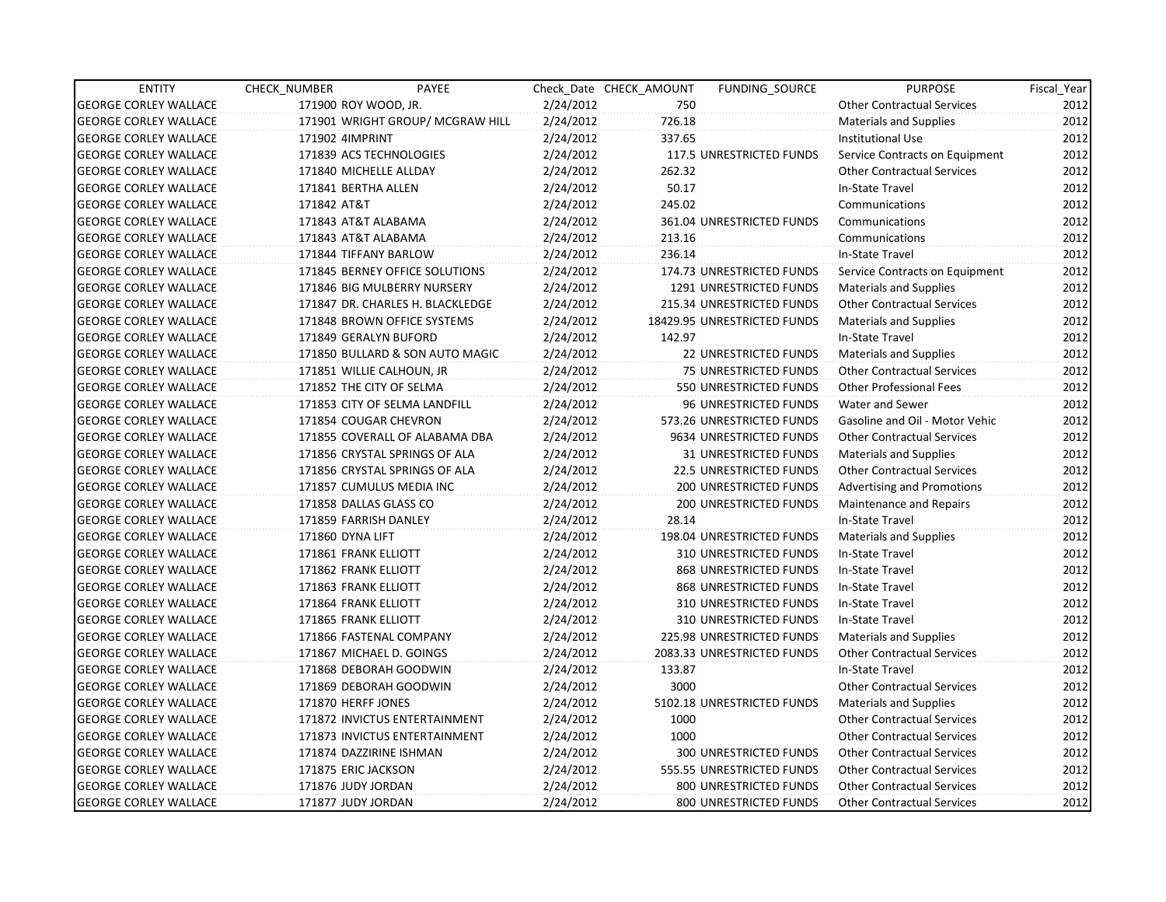| <b>ENTITY</b>                | CHECK NUMBER              | PAYEE                            |           | Check Date CHECK AMOUNT | FUNDING SOURCE                  | <b>PURPOSE</b>                    | Fiscal_Year |
|------------------------------|---------------------------|----------------------------------|-----------|-------------------------|---------------------------------|-----------------------------------|-------------|
| <b>GEORGE CORLEY WALLACE</b> | 171900 ROY WOOD, JR.      |                                  | 2/24/2012 | 750                     |                                 | <b>Other Contractual Services</b> | 2012        |
| <b>GEORGE CORLEY WALLACE</b> |                           | 171901 WRIGHT GROUP/ MCGRAW HILL | 2/24/2012 | 726.18                  |                                 | <b>Materials and Supplies</b>     | 2012        |
| <b>GEORGE CORLEY WALLACE</b> | 171902 4IMPRINT           |                                  | 2/24/2012 | 337.65                  |                                 | <b>Institutional Use</b>          | 2012        |
| <b>GEORGE CORLEY WALLACE</b> | 171839 ACS TECHNOLOGIES   |                                  | 2/24/2012 |                         | <b>117.5 UNRESTRICTED FUNDS</b> | Service Contracts on Equipment    | 2012        |
| <b>GEORGE CORLEY WALLACE</b> | 171840 MICHELLE ALLDAY    |                                  | 2/24/2012 | 262.32                  |                                 | <b>Other Contractual Services</b> | 2012        |
| <b>GEORGE CORLEY WALLACE</b> | 171841 BERTHA ALLEN       |                                  | 2/24/2012 | 50.17                   |                                 | In-State Travel                   | 2012        |
| <b>GEORGE CORLEY WALLACE</b> | 171842 AT&T               |                                  | 2/24/2012 | 245.02                  |                                 | Communications                    | 2012        |
| <b>GEORGE CORLEY WALLACE</b> | 171843 AT&T ALABAMA       |                                  | 2/24/2012 |                         | 361.04 UNRESTRICTED FUNDS       | Communications                    | 2012        |
| <b>GEORGE CORLEY WALLACE</b> | 171843 AT&T ALABAMA       |                                  | 2/24/2012 | 213.16                  |                                 | Communications                    | 2012        |
| <b>GEORGE CORLEY WALLACE</b> | 171844 TIFFANY BARLOW     |                                  | 2/24/2012 | 236.14                  |                                 | In-State Travel                   | 2012        |
| <b>GEORGE CORLEY WALLACE</b> |                           | 171845 BERNEY OFFICE SOLUTIONS   | 2/24/2012 |                         | 174.73 UNRESTRICTED FUNDS       | Service Contracts on Equipment    | 2012        |
| <b>GEORGE CORLEY WALLACE</b> |                           | 171846 BIG MULBERRY NURSERY      | 2/24/2012 |                         | 1291 UNRESTRICTED FUNDS         | <b>Materials and Supplies</b>     | 2012        |
| <b>GEORGE CORLEY WALLACE</b> |                           | 171847 DR. CHARLES H. BLACKLEDGE | 2/24/2012 |                         | 215.34 UNRESTRICTED FUNDS       | <b>Other Contractual Services</b> | 2012        |
| <b>GEORGE CORLEY WALLACE</b> |                           | 171848 BROWN OFFICE SYSTEMS      | 2/24/2012 |                         | 18429.95 UNRESTRICTED FUNDS     | <b>Materials and Supplies</b>     | 2012        |
| <b>GEORGE CORLEY WALLACE</b> | 171849 GERALYN BUFORD     |                                  | 2/24/2012 | 142.97                  |                                 | In-State Travel                   | 2012        |
| <b>GEORGE CORLEY WALLACE</b> |                           | 171850 BULLARD & SON AUTO MAGIC  | 2/24/2012 |                         | <b>22 UNRESTRICTED FUNDS</b>    | <b>Materials and Supplies</b>     | 2012        |
| <b>GEORGE CORLEY WALLACE</b> | 171851 WILLIE CALHOUN, JR |                                  | 2/24/2012 |                         | 75 UNRESTRICTED FUNDS           | <b>Other Contractual Services</b> | 2012        |
| <b>GEORGE CORLEY WALLACE</b> | 171852 THE CITY OF SELMA  |                                  | 2/24/2012 |                         | 550 UNRESTRICTED FUNDS          | <b>Other Professional Fees</b>    | 2012        |
| <b>GEORGE CORLEY WALLACE</b> |                           | 171853 CITY OF SELMA LANDFILL    | 2/24/2012 |                         | 96 UNRESTRICTED FUNDS           | Water and Sewer                   | 2012        |
| <b>GEORGE CORLEY WALLACE</b> | 171854 COUGAR CHEVRON     |                                  | 2/24/2012 |                         | 573.26 UNRESTRICTED FUNDS       | Gasoline and Oil - Motor Vehic    | 2012        |
| <b>GEORGE CORLEY WALLACE</b> |                           | 171855 COVERALL OF ALABAMA DBA   | 2/24/2012 |                         | 9634 UNRESTRICTED FUNDS         | <b>Other Contractual Services</b> | 2012        |
| <b>GEORGE CORLEY WALLACE</b> |                           | 171856 CRYSTAL SPRINGS OF ALA    | 2/24/2012 |                         | 31 UNRESTRICTED FUNDS           | <b>Materials and Supplies</b>     | 2012        |
| <b>GEORGE CORLEY WALLACE</b> |                           | 171856 CRYSTAL SPRINGS OF ALA    | 2/24/2012 |                         | <b>22.5 UNRESTRICTED FUNDS</b>  | <b>Other Contractual Services</b> | 2012        |
| <b>GEORGE CORLEY WALLACE</b> |                           | 171857 CUMULUS MEDIA INC         | 2/24/2012 |                         | <b>200 UNRESTRICTED FUNDS</b>   | <b>Advertising and Promotions</b> | 2012        |
| <b>GEORGE CORLEY WALLACE</b> | 171858 DALLAS GLASS CO    |                                  | 2/24/2012 |                         | 200 UNRESTRICTED FUNDS          | <b>Maintenance and Repairs</b>    | 2012        |
| <b>GEORGE CORLEY WALLACE</b> | 171859 FARRISH DANLEY     |                                  | 2/24/2012 | 28.14                   |                                 | In-State Travel                   | 2012        |
| <b>GEORGE CORLEY WALLACE</b> | 171860 DYNA LIFT          |                                  | 2/24/2012 |                         | 198.04 UNRESTRICTED FUNDS       | Materials and Supplies            | 2012        |
| <b>GEORGE CORLEY WALLACE</b> | 171861 FRANK ELLIOTT      |                                  | 2/24/2012 |                         | 310 UNRESTRICTED FUNDS          | In-State Travel                   | 2012        |
| <b>GEORGE CORLEY WALLACE</b> | 171862 FRANK ELLIOTT      |                                  | 2/24/2012 |                         | 868 UNRESTRICTED FUNDS          | In-State Travel                   | 2012        |
| <b>GEORGE CORLEY WALLACE</b> | 171863 FRANK ELLIOTT      |                                  | 2/24/2012 |                         | 868 UNRESTRICTED FUNDS          | In-State Travel                   | 2012        |
| <b>GEORGE CORLEY WALLACE</b> | 171864 FRANK ELLIOTT      |                                  | 2/24/2012 |                         | 310 UNRESTRICTED FUNDS          | In-State Travel                   | 2012        |
| <b>GEORGE CORLEY WALLACE</b> | 171865 FRANK ELLIOTT      |                                  | 2/24/2012 |                         | 310 UNRESTRICTED FUNDS          | In-State Travel                   | 2012        |
| <b>GEORGE CORLEY WALLACE</b> |                           | 171866 FASTENAL COMPANY          | 2/24/2012 |                         | 225.98 UNRESTRICTED FUNDS       | <b>Materials and Supplies</b>     | 2012        |
| <b>GEORGE CORLEY WALLACE</b> | 171867 MICHAEL D. GOINGS  |                                  | 2/24/2012 |                         | 2083.33 UNRESTRICTED FUNDS      | <b>Other Contractual Services</b> | 2012        |
| <b>GEORGE CORLEY WALLACE</b> |                           | 171868 DEBORAH GOODWIN           | 2/24/2012 | 133.87                  |                                 | In-State Travel                   | 2012        |
| <b>GEORGE CORLEY WALLACE</b> |                           | 171869 DEBORAH GOODWIN           | 2/24/2012 | 3000                    |                                 | <b>Other Contractual Services</b> | 2012        |
| <b>GEORGE CORLEY WALLACE</b> | 171870 HERFF JONES        |                                  | 2/24/2012 |                         | 5102.18 UNRESTRICTED FUNDS      | Materials and Supplies            | 2012        |
| <b>GEORGE CORLEY WALLACE</b> |                           | 171872 INVICTUS ENTERTAINMENT    | 2/24/2012 | 1000                    |                                 | <b>Other Contractual Services</b> | 2012        |
| <b>GEORGE CORLEY WALLACE</b> |                           | 171873 INVICTUS ENTERTAINMENT    | 2/24/2012 | 1000                    |                                 | <b>Other Contractual Services</b> | 2012        |
| <b>GEORGE CORLEY WALLACE</b> | 171874 DAZZIRINE ISHMAN   |                                  | 2/24/2012 |                         | 300 UNRESTRICTED FUNDS          | <b>Other Contractual Services</b> | 2012        |
| <b>GEORGE CORLEY WALLACE</b> | 171875 ERIC JACKSON       |                                  | 2/24/2012 |                         | 555.55 UNRESTRICTED FUNDS       | <b>Other Contractual Services</b> | 2012        |
| <b>GEORGE CORLEY WALLACE</b> | 171876 JUDY JORDAN        |                                  | 2/24/2012 |                         | 800 UNRESTRICTED FUNDS          | <b>Other Contractual Services</b> | 2012        |
| <b>GEORGE CORLEY WALLACE</b> | 171877 JUDY JORDAN        |                                  | 2/24/2012 |                         | 800 UNRESTRICTED FUNDS          | <b>Other Contractual Services</b> | 2012        |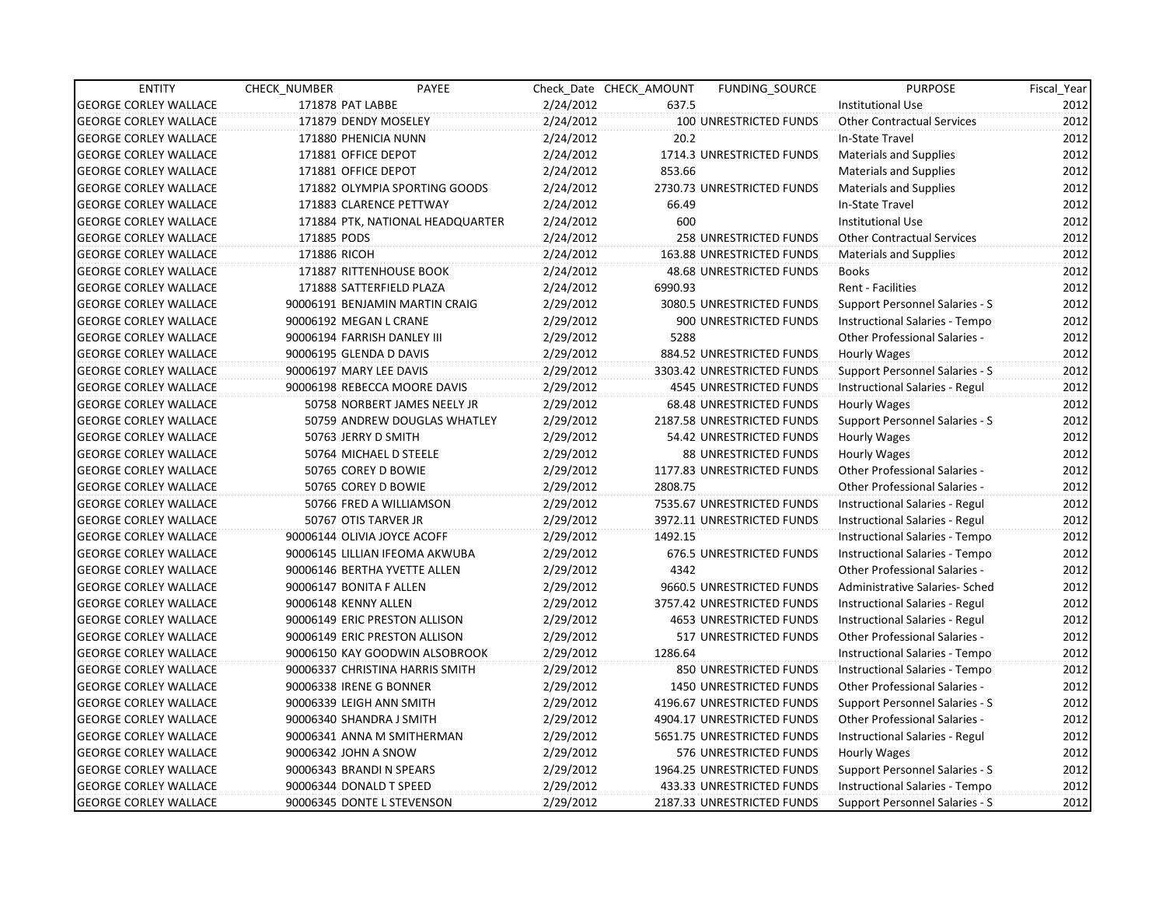| <b>ENTITY</b>                | CHECK NUMBER                    | PAYEE                            |           | Check_Date CHECK_AMOUNT | FUNDING SOURCE                 | <b>PURPOSE</b>                       | Fiscal Year |
|------------------------------|---------------------------------|----------------------------------|-----------|-------------------------|--------------------------------|--------------------------------------|-------------|
| <b>GEORGE CORLEY WALLACE</b> | 171878 PAT LABBE                |                                  | 2/24/2012 | 637.5                   |                                | <b>Institutional Use</b>             | 2012        |
| <b>GEORGE CORLEY WALLACE</b> | 171879 DENDY MOSELEY            |                                  | 2/24/2012 |                         | 100 UNRESTRICTED FUNDS         | <b>Other Contractual Services</b>    | 2012        |
| <b>GEORGE CORLEY WALLACE</b> | 171880 PHENICIA NUNN            |                                  | 2/24/2012 | 20.2                    |                                | In-State Travel                      | 2012        |
| <b>GEORGE CORLEY WALLACE</b> | 171881 OFFICE DEPOT             |                                  | 2/24/2012 |                         | 1714.3 UNRESTRICTED FUNDS      | <b>Materials and Supplies</b>        | 2012        |
| <b>GEORGE CORLEY WALLACE</b> | 171881 OFFICE DEPOT             |                                  | 2/24/2012 | 853.66                  |                                | <b>Materials and Supplies</b>        | 2012        |
| <b>GEORGE CORLEY WALLACE</b> |                                 | 171882 OLYMPIA SPORTING GOODS    | 2/24/2012 |                         | 2730.73 UNRESTRICTED FUNDS     | Materials and Supplies               | 2012        |
| <b>GEORGE CORLEY WALLACE</b> | 171883 CLARENCE PETTWAY         |                                  | 2/24/2012 | 66.49                   |                                | In-State Travel                      | 2012        |
| <b>GEORGE CORLEY WALLACE</b> |                                 | 171884 PTK, NATIONAL HEADQUARTER | 2/24/2012 | 600                     |                                | <b>Institutional Use</b>             | 2012        |
| <b>GEORGE CORLEY WALLACE</b> | 171885 PODS                     |                                  | 2/24/2012 |                         | 258 UNRESTRICTED FUNDS         | <b>Other Contractual Services</b>    | 2012        |
| <b>GEORGE CORLEY WALLACE</b> | 171886 RICOH                    |                                  | 2/24/2012 |                         | 163.88 UNRESTRICTED FUNDS      | <b>Materials and Supplies</b>        | 2012        |
| <b>GEORGE CORLEY WALLACE</b> | 171887 RITTENHOUSE BOOK         |                                  | 2/24/2012 |                         | 48.68 UNRESTRICTED FUNDS       | <b>Books</b>                         | 2012        |
| <b>GEORGE CORLEY WALLACE</b> | 171888 SATTERFIELD PLAZA        |                                  | 2/24/2012 | 6990.93                 |                                | Rent - Facilities                    | 2012        |
| <b>GEORGE CORLEY WALLACE</b> | 90006191 BENJAMIN MARTIN CRAIG  |                                  | 2/29/2012 |                         | 3080.5 UNRESTRICTED FUNDS      | Support Personnel Salaries - S       | 2012        |
| <b>GEORGE CORLEY WALLACE</b> | 90006192 MEGAN L CRANE          |                                  | 2/29/2012 |                         | 900 UNRESTRICTED FUNDS         | Instructional Salaries - Tempo       | 2012        |
| <b>GEORGE CORLEY WALLACE</b> | 90006194 FARRISH DANLEY III     |                                  | 2/29/2012 | 5288                    |                                | <b>Other Professional Salaries -</b> | 2012        |
| <b>GEORGE CORLEY WALLACE</b> | 90006195 GLENDA D DAVIS         |                                  | 2/29/2012 |                         | 884.52 UNRESTRICTED FUNDS      | Hourly Wages                         | 2012        |
| <b>GEORGE CORLEY WALLACE</b> | 90006197 MARY LEE DAVIS         |                                  | 2/29/2012 |                         | 3303.42 UNRESTRICTED FUNDS     | Support Personnel Salaries - S       | 2012        |
| <b>GEORGE CORLEY WALLACE</b> | 90006198 REBECCA MOORE DAVIS    |                                  | 2/29/2012 |                         | <b>4545 UNRESTRICTED FUNDS</b> | Instructional Salaries - Regul       | 2012        |
| <b>GEORGE CORLEY WALLACE</b> |                                 | 50758 NORBERT JAMES NEELY JR     | 2/29/2012 |                         | 68.48 UNRESTRICTED FUNDS       | Hourly Wages                         | 2012        |
| <b>GEORGE CORLEY WALLACE</b> |                                 | 50759 ANDREW DOUGLAS WHATLEY     | 2/29/2012 |                         | 2187.58 UNRESTRICTED FUNDS     | Support Personnel Salaries - S       | 2012        |
| <b>GEORGE CORLEY WALLACE</b> | 50763 JERRY D SMITH             |                                  | 2/29/2012 |                         | 54.42 UNRESTRICTED FUNDS       | Hourly Wages                         | 2012        |
| <b>GEORGE CORLEY WALLACE</b> | 50764 MICHAEL D STEELE          |                                  | 2/29/2012 |                         | 88 UNRESTRICTED FUNDS          | Hourly Wages                         | 2012        |
| <b>GEORGE CORLEY WALLACE</b> | 50765 COREY D BOWIE             |                                  | 2/29/2012 |                         | 1177.83 UNRESTRICTED FUNDS     | <b>Other Professional Salaries -</b> | 2012        |
| <b>GEORGE CORLEY WALLACE</b> | 50765 COREY D BOWIE             |                                  | 2/29/2012 | 2808.75                 |                                | <b>Other Professional Salaries -</b> | 2012        |
| <b>GEORGE CORLEY WALLACE</b> | 50766 FRED A WILLIAMSON         |                                  | 2/29/2012 |                         | 7535.67 UNRESTRICTED FUNDS     | Instructional Salaries - Regul       | 2012        |
| <b>GEORGE CORLEY WALLACE</b> | 50767 OTIS TARVER JR            |                                  | 2/29/2012 |                         | 3972.11 UNRESTRICTED FUNDS     | Instructional Salaries - Regul       | 2012        |
| <b>GEORGE CORLEY WALLACE</b> | 90006144 OLIVIA JOYCE ACOFF     |                                  | 2/29/2012 | 1492.15                 |                                | Instructional Salaries - Tempo       | 2012        |
| <b>GEORGE CORLEY WALLACE</b> | 90006145 LILLIAN IFEOMA AKWUBA  |                                  | 2/29/2012 |                         | 676.5 UNRESTRICTED FUNDS       | Instructional Salaries - Tempo       | 2012        |
| <b>GEORGE CORLEY WALLACE</b> | 90006146 BERTHA YVETTE ALLEN    |                                  | 2/29/2012 | 4342                    |                                | <b>Other Professional Salaries -</b> | 2012        |
| <b>GEORGE CORLEY WALLACE</b> | 90006147 BONITA F ALLEN         |                                  | 2/29/2012 |                         | 9660.5 UNRESTRICTED FUNDS      | Administrative Salaries- Sched       | 2012        |
| <b>GEORGE CORLEY WALLACE</b> | 90006148 KENNY ALLEN            |                                  | 2/29/2012 |                         | 3757.42 UNRESTRICTED FUNDS     | Instructional Salaries - Regul       | 2012        |
| <b>GEORGE CORLEY WALLACE</b> | 90006149 ERIC PRESTON ALLISON   |                                  | 2/29/2012 |                         | 4653 UNRESTRICTED FUNDS        | Instructional Salaries - Regul       | 2012        |
| <b>GEORGE CORLEY WALLACE</b> | 90006149 ERIC PRESTON ALLISON   |                                  | 2/29/2012 |                         | 517 UNRESTRICTED FUNDS         | Other Professional Salaries -        | 2012        |
| <b>GEORGE CORLEY WALLACE</b> |                                 | 90006150 KAY GOODWIN ALSOBROOK   | 2/29/2012 | 1286.64                 |                                | Instructional Salaries - Tempo       | 2012        |
| <b>GEORGE CORLEY WALLACE</b> | 90006337 CHRISTINA HARRIS SMITH |                                  | 2/29/2012 |                         | 850 UNRESTRICTED FUNDS         | Instructional Salaries - Tempo       | 2012        |
| <b>GEORGE CORLEY WALLACE</b> | 90006338 IRENE G BONNER         |                                  | 2/29/2012 |                         | <b>1450 UNRESTRICTED FUNDS</b> | <b>Other Professional Salaries -</b> | 2012        |
| <b>GEORGE CORLEY WALLACE</b> | 90006339 LEIGH ANN SMITH        |                                  | 2/29/2012 |                         | 4196.67 UNRESTRICTED FUNDS     | Support Personnel Salaries - S       | 2012        |
| <b>GEORGE CORLEY WALLACE</b> | 90006340 SHANDRA J SMITH        |                                  | 2/29/2012 |                         | 4904.17 UNRESTRICTED FUNDS     | <b>Other Professional Salaries -</b> | 2012        |
| <b>GEORGE CORLEY WALLACE</b> | 90006341 ANNA M SMITHERMAN      |                                  | 2/29/2012 |                         | 5651.75 UNRESTRICTED FUNDS     | Instructional Salaries - Regul       | 2012        |
| <b>GEORGE CORLEY WALLACE</b> | 90006342 JOHN A SNOW            |                                  | 2/29/2012 |                         | 576 UNRESTRICTED FUNDS         | Hourly Wages                         | 2012        |
| <b>GEORGE CORLEY WALLACE</b> | 90006343 BRANDI N SPEARS        |                                  | 2/29/2012 |                         | 1964.25 UNRESTRICTED FUNDS     | Support Personnel Salaries - S       | 2012        |
| <b>GEORGE CORLEY WALLACE</b> | 90006344 DONALD T SPEED         |                                  | 2/29/2012 |                         | 433.33 UNRESTRICTED FUNDS      | Instructional Salaries - Tempo       | 2012        |
| <b>GEORGE CORLEY WALLACE</b> | 90006345 DONTE L STEVENSON      |                                  | 2/29/2012 |                         | 2187.33 UNRESTRICTED FUNDS     | Support Personnel Salaries - S       | 2012        |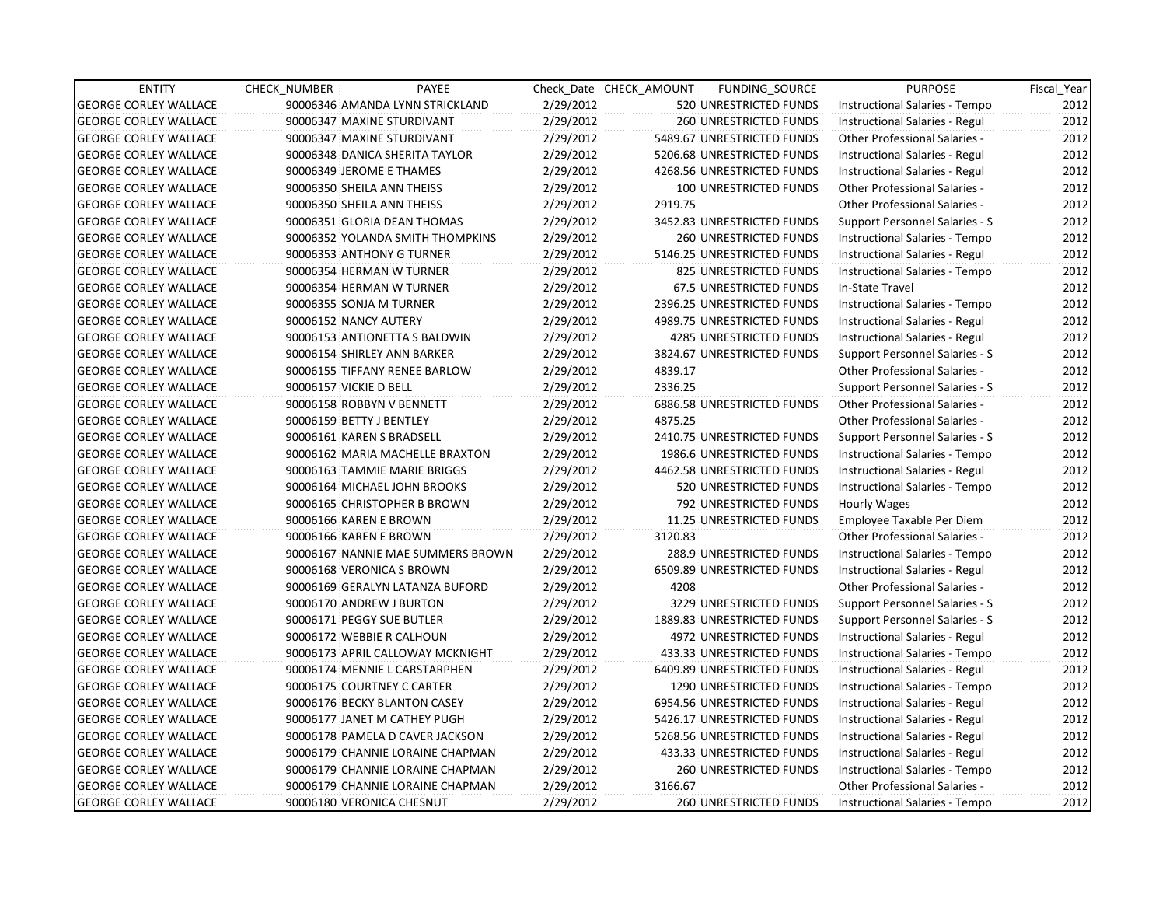| <b>ENTITY</b>                | <b>CHECK NUMBER</b>         | PAYEE                             |           | Check Date CHECK AMOUNT | FUNDING SOURCE                | <b>PURPOSE</b>                       | Fiscal_Year |
|------------------------------|-----------------------------|-----------------------------------|-----------|-------------------------|-------------------------------|--------------------------------------|-------------|
| <b>GEORGE CORLEY WALLACE</b> |                             | 90006346 AMANDA LYNN STRICKLAND   | 2/29/2012 |                         | 520 UNRESTRICTED FUNDS        | Instructional Salaries - Tempo       | 2012        |
| <b>GEORGE CORLEY WALLACE</b> | 90006347 MAXINE STURDIVANT  |                                   | 2/29/2012 |                         | 260 UNRESTRICTED FUNDS        | Instructional Salaries - Regul       | 2012        |
| <b>GEORGE CORLEY WALLACE</b> | 90006347 MAXINE STURDIVANT  |                                   | 2/29/2012 |                         | 5489.67 UNRESTRICTED FUNDS    | Other Professional Salaries -        | 2012        |
| <b>GEORGE CORLEY WALLACE</b> |                             | 90006348 DANICA SHERITA TAYLOR    | 2/29/2012 |                         | 5206.68 UNRESTRICTED FUNDS    | Instructional Salaries - Regul       | 2012        |
| <b>GEORGE CORLEY WALLACE</b> | 90006349 JEROME E THAMES    |                                   | 2/29/2012 |                         | 4268.56 UNRESTRICTED FUNDS    | Instructional Salaries - Regul       | 2012        |
| <b>GEORGE CORLEY WALLACE</b> | 90006350 SHEILA ANN THEISS  |                                   | 2/29/2012 |                         | 100 UNRESTRICTED FUNDS        | Other Professional Salaries -        | 2012        |
| <b>GEORGE CORLEY WALLACE</b> | 90006350 SHEILA ANN THEISS  |                                   | 2/29/2012 | 2919.75                 |                               | <b>Other Professional Salaries -</b> | 2012        |
| <b>GEORGE CORLEY WALLACE</b> |                             | 90006351 GLORIA DEAN THOMAS       | 2/29/2012 |                         | 3452.83 UNRESTRICTED FUNDS    | Support Personnel Salaries - S       | 2012        |
| <b>GEORGE CORLEY WALLACE</b> |                             | 90006352 YOLANDA SMITH THOMPKINS  | 2/29/2012 |                         | <b>260 UNRESTRICTED FUNDS</b> | Instructional Salaries - Tempo       | 2012        |
| <b>GEORGE CORLEY WALLACE</b> | 90006353 ANTHONY G TURNER   |                                   | 2/29/2012 |                         | 5146.25 UNRESTRICTED FUNDS    | Instructional Salaries - Regul       | 2012        |
| <b>GEORGE CORLEY WALLACE</b> | 90006354 HERMAN W TURNER    |                                   | 2/29/2012 |                         | 825 UNRESTRICTED FUNDS        | Instructional Salaries - Tempo       | 2012        |
| <b>GEORGE CORLEY WALLACE</b> | 90006354 HERMAN W TURNER    |                                   | 2/29/2012 |                         | 67.5 UNRESTRICTED FUNDS       | In-State Travel                      | 2012        |
| <b>GEORGE CORLEY WALLACE</b> | 90006355 SONJA M TURNER     |                                   | 2/29/2012 |                         | 2396.25 UNRESTRICTED FUNDS    | Instructional Salaries - Tempo       | 2012        |
| <b>GEORGE CORLEY WALLACE</b> | 90006152 NANCY AUTERY       |                                   | 2/29/2012 |                         | 4989.75 UNRESTRICTED FUNDS    | Instructional Salaries - Regul       | 2012        |
| <b>GEORGE CORLEY WALLACE</b> |                             | 90006153 ANTIONETTA S BALDWIN     | 2/29/2012 |                         | 4285 UNRESTRICTED FUNDS       | Instructional Salaries - Regul       | 2012        |
| <b>GEORGE CORLEY WALLACE</b> | 90006154 SHIRLEY ANN BARKER |                                   | 2/29/2012 |                         | 3824.67 UNRESTRICTED FUNDS    | Support Personnel Salaries - S       | 2012        |
| <b>GEORGE CORLEY WALLACE</b> |                             | 90006155 TIFFANY RENEE BARLOW     | 2/29/2012 | 4839.17                 |                               | Other Professional Salaries -        | 2012        |
| <b>GEORGE CORLEY WALLACE</b> | 90006157 VICKIE D BELL      |                                   | 2/29/2012 | 2336.25                 |                               | Support Personnel Salaries - S       | 2012        |
| <b>GEORGE CORLEY WALLACE</b> | 90006158 ROBBYN V BENNETT   |                                   | 2/29/2012 |                         | 6886.58 UNRESTRICTED FUNDS    | Other Professional Salaries -        | 2012        |
| <b>GEORGE CORLEY WALLACE</b> | 90006159 BETTY J BENTLEY    |                                   | 2/29/2012 | 4875.25                 |                               | Other Professional Salaries -        | 2012        |
| <b>GEORGE CORLEY WALLACE</b> | 90006161 KAREN S BRADSELL   |                                   | 2/29/2012 |                         | 2410.75 UNRESTRICTED FUNDS    | Support Personnel Salaries - S       | 2012        |
| <b>GEORGE CORLEY WALLACE</b> |                             | 90006162 MARIA MACHELLE BRAXTON   | 2/29/2012 |                         | 1986.6 UNRESTRICTED FUNDS     | Instructional Salaries - Tempo       | 2012        |
| <b>GEORGE CORLEY WALLACE</b> |                             | 90006163 TAMMIE MARIE BRIGGS      | 2/29/2012 |                         | 4462.58 UNRESTRICTED FUNDS    | Instructional Salaries - Regul       | 2012        |
| <b>GEORGE CORLEY WALLACE</b> |                             | 90006164 MICHAEL JOHN BROOKS      | 2/29/2012 |                         | 520 UNRESTRICTED FUNDS        | Instructional Salaries - Tempo       | 2012        |
| <b>GEORGE CORLEY WALLACE</b> |                             | 90006165 CHRISTOPHER B BROWN      | 2/29/2012 |                         | 792 UNRESTRICTED FUNDS        | Hourly Wages                         | 2012        |
| <b>GEORGE CORLEY WALLACE</b> | 90006166 KAREN E BROWN      |                                   | 2/29/2012 |                         | 11.25 UNRESTRICTED FUNDS      | Employee Taxable Per Diem            | 2012        |
| <b>GEORGE CORLEY WALLACE</b> | 90006166 KAREN E BROWN      |                                   | 2/29/2012 | 3120.83                 |                               | <b>Other Professional Salaries -</b> | 2012        |
| <b>GEORGE CORLEY WALLACE</b> |                             | 90006167 NANNIE MAE SUMMERS BROWN | 2/29/2012 |                         | 288.9 UNRESTRICTED FUNDS      | Instructional Salaries - Tempo       | 2012        |
| <b>GEORGE CORLEY WALLACE</b> | 90006168 VERONICA S BROWN   |                                   | 2/29/2012 |                         | 6509.89 UNRESTRICTED FUNDS    | Instructional Salaries - Regul       | 2012        |
| <b>GEORGE CORLEY WALLACE</b> |                             | 90006169 GERALYN LATANZA BUFORD   | 2/29/2012 | 4208                    |                               | Other Professional Salaries -        | 2012        |
| <b>GEORGE CORLEY WALLACE</b> | 90006170 ANDREW J BURTON    |                                   | 2/29/2012 |                         | 3229 UNRESTRICTED FUNDS       | Support Personnel Salaries - S       | 2012        |
| <b>GEORGE CORLEY WALLACE</b> | 90006171 PEGGY SUE BUTLER   |                                   | 2/29/2012 |                         | 1889.83 UNRESTRICTED FUNDS    | Support Personnel Salaries - S       | 2012        |
| <b>GEORGE CORLEY WALLACE</b> | 90006172 WEBBIE R CALHOUN   |                                   | 2/29/2012 |                         | 4972 UNRESTRICTED FUNDS       | Instructional Salaries - Regul       | 2012        |
| <b>GEORGE CORLEY WALLACE</b> |                             | 90006173 APRIL CALLOWAY MCKNIGHT  | 2/29/2012 |                         | 433.33 UNRESTRICTED FUNDS     | Instructional Salaries - Tempo       | 2012        |
| <b>GEORGE CORLEY WALLACE</b> |                             | 90006174 MENNIE L CARSTARPHEN     | 2/29/2012 |                         | 6409.89 UNRESTRICTED FUNDS    | Instructional Salaries - Regul       | 2012        |
| <b>GEORGE CORLEY WALLACE</b> | 90006175 COURTNEY C CARTER  |                                   | 2/29/2012 |                         | 1290 UNRESTRICTED FUNDS       | Instructional Salaries - Tempo       | 2012        |
| <b>GEORGE CORLEY WALLACE</b> |                             | 90006176 BECKY BLANTON CASEY      | 2/29/2012 |                         | 6954.56 UNRESTRICTED FUNDS    | Instructional Salaries - Regul       | 2012        |
| <b>GEORGE CORLEY WALLACE</b> |                             | 90006177 JANET M CATHEY PUGH      | 2/29/2012 |                         | 5426.17 UNRESTRICTED FUNDS    | Instructional Salaries - Regul       | 2012        |
| <b>GEORGE CORLEY WALLACE</b> |                             | 90006178 PAMELA D CAVER JACKSON   | 2/29/2012 |                         | 5268.56 UNRESTRICTED FUNDS    | Instructional Salaries - Regul       | 2012        |
| <b>GEORGE CORLEY WALLACE</b> |                             | 90006179 CHANNIE LORAINE CHAPMAN  | 2/29/2012 |                         | 433.33 UNRESTRICTED FUNDS     | Instructional Salaries - Regul       | 2012        |
| <b>GEORGE CORLEY WALLACE</b> |                             | 90006179 CHANNIE LORAINE CHAPMAN  | 2/29/2012 |                         | <b>260 UNRESTRICTED FUNDS</b> | Instructional Salaries - Tempo       | 2012        |
| <b>GEORGE CORLEY WALLACE</b> |                             | 90006179 CHANNIE LORAINE CHAPMAN  | 2/29/2012 | 3166.67                 |                               | Other Professional Salaries -        | 2012        |
| <b>GEORGE CORLEY WALLACE</b> | 90006180 VERONICA CHESNUT   |                                   | 2/29/2012 |                         | <b>260 UNRESTRICTED FUNDS</b> | Instructional Salaries - Tempo       | 2012        |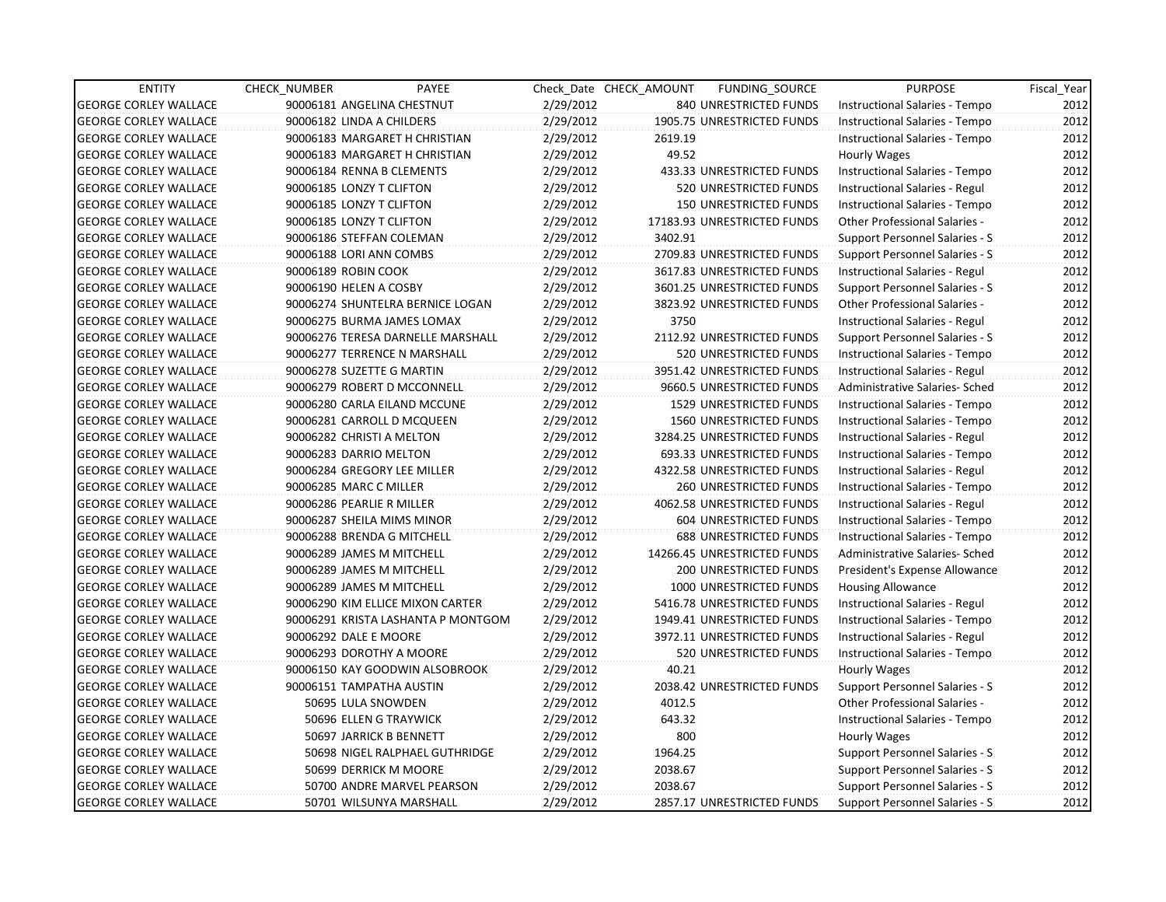| <b>ENTITY</b>                | <b>CHECK NUMBER</b>         | PAYEE                              |           | Check Date CHECK AMOUNT | FUNDING_SOURCE                 | <b>PURPOSE</b>                       | Fiscal Year |
|------------------------------|-----------------------------|------------------------------------|-----------|-------------------------|--------------------------------|--------------------------------------|-------------|
| <b>GEORGE CORLEY WALLACE</b> | 90006181 ANGELINA CHESTNUT  |                                    | 2/29/2012 |                         | 840 UNRESTRICTED FUNDS         | Instructional Salaries - Tempo       | 2012        |
| <b>GEORGE CORLEY WALLACE</b> | 90006182 LINDA A CHILDERS   |                                    | 2/29/2012 |                         | 1905.75 UNRESTRICTED FUNDS     | Instructional Salaries - Tempo       | 2012        |
| <b>GEORGE CORLEY WALLACE</b> |                             | 90006183 MARGARET H CHRISTIAN      | 2/29/2012 | 2619.19                 |                                | Instructional Salaries - Tempo       | 2012        |
| <b>GEORGE CORLEY WALLACE</b> |                             | 90006183 MARGARET H CHRISTIAN      | 2/29/2012 | 49.52                   |                                | Hourly Wages                         | 2012        |
| <b>GEORGE CORLEY WALLACE</b> | 90006184 RENNA B CLEMENTS   |                                    | 2/29/2012 |                         | 433.33 UNRESTRICTED FUNDS      | Instructional Salaries - Tempo       | 2012        |
| <b>GEORGE CORLEY WALLACE</b> | 90006185 LONZY T CLIFTON    |                                    | 2/29/2012 |                         | 520 UNRESTRICTED FUNDS         | Instructional Salaries - Regul       | 2012        |
| <b>GEORGE CORLEY WALLACE</b> | 90006185 LONZY T CLIFTON    |                                    | 2/29/2012 |                         | <b>150 UNRESTRICTED FUNDS</b>  | Instructional Salaries - Tempo       | 2012        |
| <b>GEORGE CORLEY WALLACE</b> | 90006185 LONZY T CLIFTON    |                                    | 2/29/2012 |                         | 17183.93 UNRESTRICTED FUNDS    | <b>Other Professional Salaries -</b> | 2012        |
| <b>GEORGE CORLEY WALLACE</b> | 90006186 STEFFAN COLEMAN    |                                    | 2/29/2012 | 3402.91                 |                                | Support Personnel Salaries - S       | 2012        |
| <b>GEORGE CORLEY WALLACE</b> | 90006188 LORI ANN COMBS     |                                    | 2/29/2012 |                         | 2709.83 UNRESTRICTED FUNDS     | Support Personnel Salaries - S       | 2012        |
| <b>GEORGE CORLEY WALLACE</b> | 90006189 ROBIN COOK         |                                    | 2/29/2012 |                         | 3617.83 UNRESTRICTED FUNDS     | Instructional Salaries - Regul       | 2012        |
| <b>GEORGE CORLEY WALLACE</b> | 90006190 HELEN A COSBY      |                                    | 2/29/2012 |                         | 3601.25 UNRESTRICTED FUNDS     | Support Personnel Salaries - S       | 2012        |
| <b>GEORGE CORLEY WALLACE</b> |                             | 90006274 SHUNTELRA BERNICE LOGAN   | 2/29/2012 |                         | 3823.92 UNRESTRICTED FUNDS     | Other Professional Salaries -        | 2012        |
| <b>GEORGE CORLEY WALLACE</b> |                             | 90006275 BURMA JAMES LOMAX         | 2/29/2012 | 3750                    |                                | Instructional Salaries - Regul       | 2012        |
| <b>GEORGE CORLEY WALLACE</b> |                             | 90006276 TERESA DARNELLE MARSHALL  | 2/29/2012 |                         | 2112.92 UNRESTRICTED FUNDS     | Support Personnel Salaries - S       | 2012        |
| <b>GEORGE CORLEY WALLACE</b> |                             | 90006277 TERRENCE N MARSHALL       | 2/29/2012 |                         | 520 UNRESTRICTED FUNDS         | Instructional Salaries - Tempo       | 2012        |
| <b>GEORGE CORLEY WALLACE</b> | 90006278 SUZETTE G MARTIN   |                                    | 2/29/2012 |                         | 3951.42 UNRESTRICTED FUNDS     | Instructional Salaries - Regul       | 2012        |
| <b>GEORGE CORLEY WALLACE</b> |                             | 90006279 ROBERT D MCCONNELL        | 2/29/2012 |                         | 9660.5 UNRESTRICTED FUNDS      | Administrative Salaries- Sched       | 2012        |
| <b>GEORGE CORLEY WALLACE</b> |                             | 90006280 CARLA EILAND MCCUNE       | 2/29/2012 |                         | <b>1529 UNRESTRICTED FUNDS</b> | Instructional Salaries - Tempo       | 2012        |
| <b>GEORGE CORLEY WALLACE</b> | 90006281 CARROLL D MCQUEEN  |                                    | 2/29/2012 |                         | <b>1560 UNRESTRICTED FUNDS</b> | Instructional Salaries - Tempo       | 2012        |
| <b>GEORGE CORLEY WALLACE</b> | 90006282 CHRISTI A MELTON   |                                    | 2/29/2012 |                         | 3284.25 UNRESTRICTED FUNDS     | Instructional Salaries - Regul       | 2012        |
| <b>GEORGE CORLEY WALLACE</b> | 90006283 DARRIO MELTON      |                                    | 2/29/2012 |                         | 693.33 UNRESTRICTED FUNDS      | Instructional Salaries - Tempo       | 2012        |
| <b>GEORGE CORLEY WALLACE</b> | 90006284 GREGORY LEE MILLER |                                    | 2/29/2012 |                         | 4322.58 UNRESTRICTED FUNDS     | Instructional Salaries - Regul       | 2012        |
| <b>GEORGE CORLEY WALLACE</b> | 90006285 MARC C MILLER      |                                    | 2/29/2012 |                         | <b>260 UNRESTRICTED FUNDS</b>  | Instructional Salaries - Tempo       | 2012        |
| <b>GEORGE CORLEY WALLACE</b> | 90006286 PEARLIE R MILLER   |                                    | 2/29/2012 |                         | 4062.58 UNRESTRICTED FUNDS     | Instructional Salaries - Regul       | 2012        |
| <b>GEORGE CORLEY WALLACE</b> | 90006287 SHEILA MIMS MINOR  |                                    | 2/29/2012 |                         | 604 UNRESTRICTED FUNDS         | Instructional Salaries - Tempo       | 2012        |
| <b>GEORGE CORLEY WALLACE</b> | 90006288 BRENDA G MITCHELL  |                                    | 2/29/2012 |                         | <b>688 UNRESTRICTED FUNDS</b>  | Instructional Salaries - Tempo       | 2012        |
| <b>GEORGE CORLEY WALLACE</b> | 90006289 JAMES M MITCHELL   |                                    | 2/29/2012 |                         | 14266.45 UNRESTRICTED FUNDS    | Administrative Salaries- Sched       | 2012        |
| <b>GEORGE CORLEY WALLACE</b> | 90006289 JAMES M MITCHELL   |                                    | 2/29/2012 |                         | 200 UNRESTRICTED FUNDS         | President's Expense Allowance        | 2012        |
| <b>GEORGE CORLEY WALLACE</b> | 90006289 JAMES M MITCHELL   |                                    | 2/29/2012 |                         | 1000 UNRESTRICTED FUNDS        | <b>Housing Allowance</b>             | 2012        |
| <b>GEORGE CORLEY WALLACE</b> |                             | 90006290 KIM ELLICE MIXON CARTER   | 2/29/2012 |                         | 5416.78 UNRESTRICTED FUNDS     | Instructional Salaries - Regul       | 2012        |
| <b>GEORGE CORLEY WALLACE</b> |                             | 90006291 KRISTA LASHANTA P MONTGOM | 2/29/2012 |                         | 1949.41 UNRESTRICTED FUNDS     | Instructional Salaries - Tempo       | 2012        |
| <b>GEORGE CORLEY WALLACE</b> | 90006292 DALE E MOORE       |                                    | 2/29/2012 |                         | 3972.11 UNRESTRICTED FUNDS     | Instructional Salaries - Regul       | 2012        |
| <b>GEORGE CORLEY WALLACE</b> | 90006293 DOROTHY A MOORE    |                                    | 2/29/2012 |                         | 520 UNRESTRICTED FUNDS         | Instructional Salaries - Tempo       | 2012        |
| <b>GEORGE CORLEY WALLACE</b> |                             | 90006150 KAY GOODWIN ALSOBROOK     | 2/29/2012 | 40.21                   |                                | Hourly Wages                         | 2012        |
| <b>GEORGE CORLEY WALLACE</b> | 90006151 TAMPATHA AUSTIN    |                                    | 2/29/2012 |                         | 2038.42 UNRESTRICTED FUNDS     | Support Personnel Salaries - S       | 2012        |
| <b>GEORGE CORLEY WALLACE</b> | 50695 LULA SNOWDEN          |                                    | 2/29/2012 | 4012.5                  |                                | <b>Other Professional Salaries -</b> | 2012        |
| <b>GEORGE CORLEY WALLACE</b> | 50696 ELLEN G TRAYWICK      |                                    | 2/29/2012 | 643.32                  |                                | Instructional Salaries - Tempo       | 2012        |
| <b>GEORGE CORLEY WALLACE</b> |                             | 50697 JARRICK B BENNETT            | 2/29/2012 | 800                     |                                | Hourly Wages                         | 2012        |
| <b>GEORGE CORLEY WALLACE</b> |                             | 50698 NIGEL RALPHAEL GUTHRIDGE     | 2/29/2012 | 1964.25                 |                                | Support Personnel Salaries - S       | 2012        |
| <b>GEORGE CORLEY WALLACE</b> |                             | 50699 DERRICK M MOORE              | 2/29/2012 | 2038.67                 |                                | Support Personnel Salaries - S       | 2012        |
| <b>GEORGE CORLEY WALLACE</b> |                             | 50700 ANDRE MARVEL PEARSON         | 2/29/2012 | 2038.67                 |                                | Support Personnel Salaries - S       | 2012        |
| <b>GEORGE CORLEY WALLACE</b> |                             | 50701 WILSUNYA MARSHALL            | 2/29/2012 |                         | 2857.17 UNRESTRICTED FUNDS     | Support Personnel Salaries - S       | 2012        |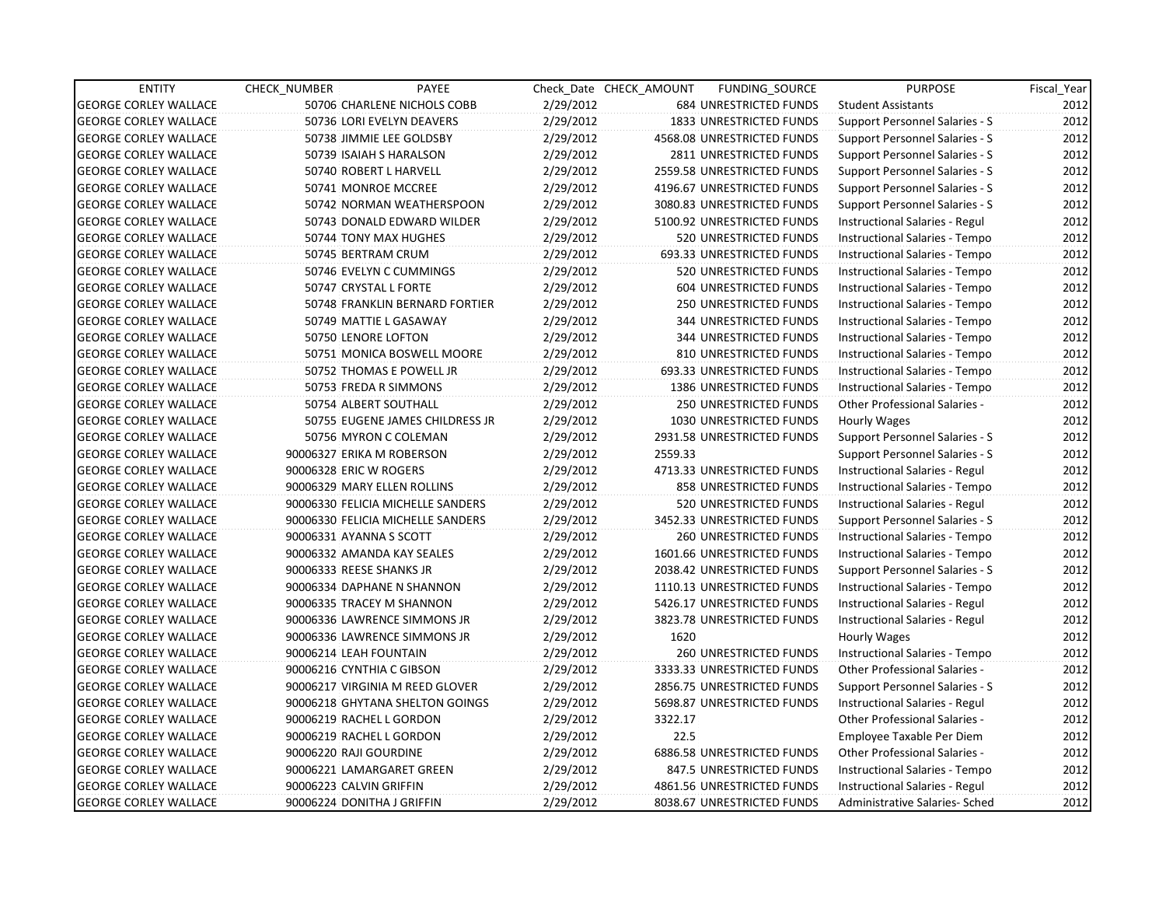| <b>ENTITY</b>                | <b>CHECK NUMBER</b>      | PAYEE                             |           | Check Date CHECK AMOUNT | FUNDING SOURCE                | <b>PURPOSE</b>                 | Fiscal_Year |
|------------------------------|--------------------------|-----------------------------------|-----------|-------------------------|-------------------------------|--------------------------------|-------------|
| <b>GEORGE CORLEY WALLACE</b> |                          | 50706 CHARLENE NICHOLS COBB       | 2/29/2012 |                         | 684 UNRESTRICTED FUNDS        | <b>Student Assistants</b>      | 2012        |
| <b>GEORGE CORLEY WALLACE</b> |                          | 50736 LORI EVELYN DEAVERS         | 2/29/2012 |                         | 1833 UNRESTRICTED FUNDS       | Support Personnel Salaries - S | 2012        |
| <b>GEORGE CORLEY WALLACE</b> |                          | 50738 JIMMIE LEE GOLDSBY          | 2/29/2012 |                         | 4568.08 UNRESTRICTED FUNDS    | Support Personnel Salaries - S | 2012        |
| <b>GEORGE CORLEY WALLACE</b> |                          | 50739 ISAIAH S HARALSON           | 2/29/2012 |                         | 2811 UNRESTRICTED FUNDS       | Support Personnel Salaries - S | 2012        |
| <b>GEORGE CORLEY WALLACE</b> |                          | 50740 ROBERT L HARVELL            | 2/29/2012 |                         | 2559.58 UNRESTRICTED FUNDS    | Support Personnel Salaries - S | 2012        |
| <b>GEORGE CORLEY WALLACE</b> |                          | 50741 MONROE MCCREE               | 2/29/2012 |                         | 4196.67 UNRESTRICTED FUNDS    | Support Personnel Salaries - S | 2012        |
| <b>GEORGE CORLEY WALLACE</b> |                          | 50742 NORMAN WEATHERSPOON         | 2/29/2012 |                         | 3080.83 UNRESTRICTED FUNDS    | Support Personnel Salaries - S | 2012        |
| <b>GEORGE CORLEY WALLACE</b> |                          | 50743 DONALD EDWARD WILDER        | 2/29/2012 |                         | 5100.92 UNRESTRICTED FUNDS    | Instructional Salaries - Regul | 2012        |
| <b>GEORGE CORLEY WALLACE</b> |                          | 50744 TONY MAX HUGHES             | 2/29/2012 |                         | 520 UNRESTRICTED FUNDS        | Instructional Salaries - Tempo | 2012        |
| <b>GEORGE CORLEY WALLACE</b> |                          | 50745 BERTRAM CRUM                | 2/29/2012 |                         | 693.33 UNRESTRICTED FUNDS     | Instructional Salaries - Tempo | 2012        |
| <b>GEORGE CORLEY WALLACE</b> |                          | 50746 EVELYN C CUMMINGS           | 2/29/2012 |                         | 520 UNRESTRICTED FUNDS        | Instructional Salaries - Tempo | 2012        |
| <b>GEORGE CORLEY WALLACE</b> |                          | 50747 CRYSTAL L FORTE             | 2/29/2012 |                         | 604 UNRESTRICTED FUNDS        | Instructional Salaries - Tempo | 2012        |
| <b>GEORGE CORLEY WALLACE</b> |                          | 50748 FRANKLIN BERNARD FORTIER    | 2/29/2012 |                         | 250 UNRESTRICTED FUNDS        | Instructional Salaries - Tempo | 2012        |
| <b>GEORGE CORLEY WALLACE</b> |                          | 50749 MATTIE L GASAWAY            | 2/29/2012 |                         | 344 UNRESTRICTED FUNDS        | Instructional Salaries - Tempo | 2012        |
| <b>GEORGE CORLEY WALLACE</b> |                          | 50750 LENORE LOFTON               | 2/29/2012 |                         | 344 UNRESTRICTED FUNDS        | Instructional Salaries - Tempo | 2012        |
| <b>GEORGE CORLEY WALLACE</b> |                          | 50751 MONICA BOSWELL MOORE        | 2/29/2012 |                         | 810 UNRESTRICTED FUNDS        | Instructional Salaries - Tempo | 2012        |
| <b>GEORGE CORLEY WALLACE</b> |                          | 50752 THOMAS E POWELL JR          | 2/29/2012 |                         | 693.33 UNRESTRICTED FUNDS     | Instructional Salaries - Tempo | 2012        |
| <b>GEORGE CORLEY WALLACE</b> |                          | 50753 FREDA R SIMMONS             | 2/29/2012 |                         | 1386 UNRESTRICTED FUNDS       | Instructional Salaries - Tempo | 2012        |
| <b>GEORGE CORLEY WALLACE</b> |                          | 50754 ALBERT SOUTHALL             | 2/29/2012 |                         | 250 UNRESTRICTED FUNDS        | Other Professional Salaries -  | 2012        |
| <b>GEORGE CORLEY WALLACE</b> |                          | 50755 EUGENE JAMES CHILDRESS JR   | 2/29/2012 |                         | 1030 UNRESTRICTED FUNDS       | Hourly Wages                   | 2012        |
| <b>GEORGE CORLEY WALLACE</b> |                          | 50756 MYRON C COLEMAN             | 2/29/2012 |                         | 2931.58 UNRESTRICTED FUNDS    | Support Personnel Salaries - S | 2012        |
| <b>GEORGE CORLEY WALLACE</b> |                          | 90006327 ERIKA M ROBERSON         | 2/29/2012 | 2559.33                 |                               | Support Personnel Salaries - S | 2012        |
| <b>GEORGE CORLEY WALLACE</b> | 90006328 ERIC W ROGERS   |                                   | 2/29/2012 |                         | 4713.33 UNRESTRICTED FUNDS    | Instructional Salaries - Regul | 2012        |
| <b>GEORGE CORLEY WALLACE</b> |                          | 90006329 MARY ELLEN ROLLINS       | 2/29/2012 |                         | 858 UNRESTRICTED FUNDS        | Instructional Salaries - Tempo | 2012        |
| <b>GEORGE CORLEY WALLACE</b> |                          | 90006330 FELICIA MICHELLE SANDERS | 2/29/2012 |                         | 520 UNRESTRICTED FUNDS        | Instructional Salaries - Regul | 2012        |
| <b>GEORGE CORLEY WALLACE</b> |                          | 90006330 FELICIA MICHELLE SANDERS | 2/29/2012 |                         | 3452.33 UNRESTRICTED FUNDS    | Support Personnel Salaries - S | 2012        |
| <b>GEORGE CORLEY WALLACE</b> | 90006331 AYANNA S SCOTT  |                                   | 2/29/2012 |                         | <b>260 UNRESTRICTED FUNDS</b> | Instructional Salaries - Tempo | 2012        |
| <b>GEORGE CORLEY WALLACE</b> |                          | 90006332 AMANDA KAY SEALES        | 2/29/2012 |                         | 1601.66 UNRESTRICTED FUNDS    | Instructional Salaries - Tempo | 2012        |
| <b>GEORGE CORLEY WALLACE</b> | 90006333 REESE SHANKS JR |                                   | 2/29/2012 |                         | 2038.42 UNRESTRICTED FUNDS    | Support Personnel Salaries - S | 2012        |
| <b>GEORGE CORLEY WALLACE</b> |                          | 90006334 DAPHANE N SHANNON        | 2/29/2012 |                         | 1110.13 UNRESTRICTED FUNDS    | Instructional Salaries - Tempo | 2012        |
| <b>GEORGE CORLEY WALLACE</b> |                          | 90006335 TRACEY M SHANNON         | 2/29/2012 |                         | 5426.17 UNRESTRICTED FUNDS    | Instructional Salaries - Regul | 2012        |
| <b>GEORGE CORLEY WALLACE</b> |                          | 90006336 LAWRENCE SIMMONS JR      | 2/29/2012 |                         | 3823.78 UNRESTRICTED FUNDS    | Instructional Salaries - Regul | 2012        |
| <b>GEORGE CORLEY WALLACE</b> |                          | 90006336 LAWRENCE SIMMONS JR      | 2/29/2012 | 1620                    |                               | Hourly Wages                   | 2012        |
| <b>GEORGE CORLEY WALLACE</b> | 90006214 LEAH FOUNTAIN   |                                   | 2/29/2012 |                         | <b>260 UNRESTRICTED FUNDS</b> | Instructional Salaries - Tempo | 2012        |
| <b>GEORGE CORLEY WALLACE</b> |                          | 90006216 CYNTHIA C GIBSON         | 2/29/2012 |                         | 3333.33 UNRESTRICTED FUNDS    | Other Professional Salaries -  | 2012        |
| <b>GEORGE CORLEY WALLACE</b> |                          | 90006217 VIRGINIA M REED GLOVER   | 2/29/2012 |                         | 2856.75 UNRESTRICTED FUNDS    | Support Personnel Salaries - S | 2012        |
| <b>GEORGE CORLEY WALLACE</b> |                          | 90006218 GHYTANA SHELTON GOINGS   | 2/29/2012 |                         | 5698.87 UNRESTRICTED FUNDS    | Instructional Salaries - Regul | 2012        |
| <b>GEORGE CORLEY WALLACE</b> |                          | 90006219 RACHEL L GORDON          | 2/29/2012 | 3322.17                 |                               | Other Professional Salaries -  | 2012        |
| <b>GEORGE CORLEY WALLACE</b> |                          | 90006219 RACHEL L GORDON          | 2/29/2012 | 22.5                    |                               | Employee Taxable Per Diem      | 2012        |
| <b>GEORGE CORLEY WALLACE</b> | 90006220 RAJI GOURDINE   |                                   | 2/29/2012 |                         | 6886.58 UNRESTRICTED FUNDS    | Other Professional Salaries -  | 2012        |
| <b>GEORGE CORLEY WALLACE</b> |                          | 90006221 LAMARGARET GREEN         | 2/29/2012 |                         | 847.5 UNRESTRICTED FUNDS      | Instructional Salaries - Tempo | 2012        |
| <b>GEORGE CORLEY WALLACE</b> | 90006223 CALVIN GRIFFIN  |                                   | 2/29/2012 |                         | 4861.56 UNRESTRICTED FUNDS    | Instructional Salaries - Regul | 2012        |
| <b>GEORGE CORLEY WALLACE</b> |                          | 90006224 DONITHA J GRIFFIN        | 2/29/2012 |                         | 8038.67 UNRESTRICTED FUNDS    | Administrative Salaries- Sched | 2012        |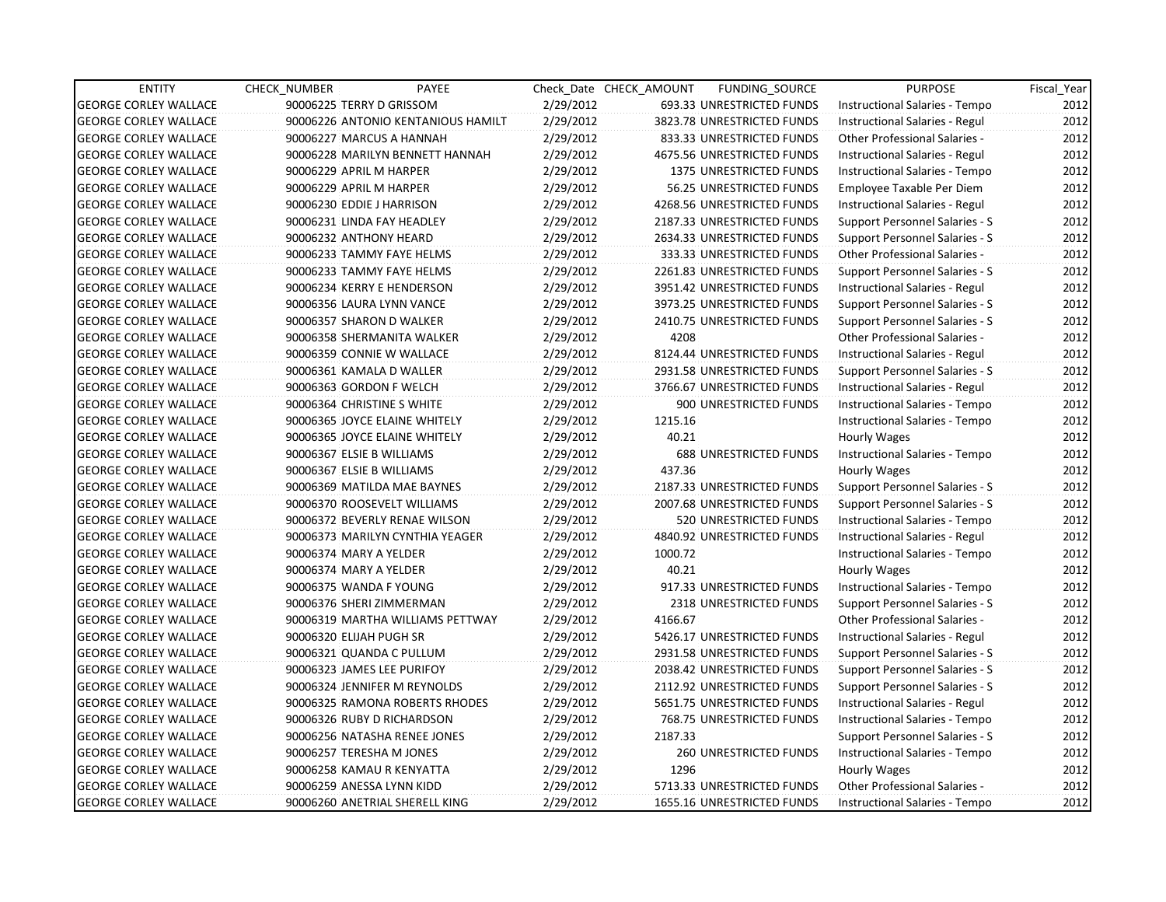| <b>ENTITY</b>                | CHECK_NUMBER            | PAYEE                              |           | Check Date CHECK AMOUNT | FUNDING_SOURCE                | <b>PURPOSE</b>                       | Fiscal_Year |
|------------------------------|-------------------------|------------------------------------|-----------|-------------------------|-------------------------------|--------------------------------------|-------------|
| <b>GEORGE CORLEY WALLACE</b> |                         | 90006225 TERRY D GRISSOM           | 2/29/2012 |                         | 693.33 UNRESTRICTED FUNDS     | Instructional Salaries - Tempo       | 2012        |
| <b>GEORGE CORLEY WALLACE</b> |                         | 90006226 ANTONIO KENTANIOUS HAMILT | 2/29/2012 |                         | 3823.78 UNRESTRICTED FUNDS    | Instructional Salaries - Regul       | 2012        |
| <b>GEORGE CORLEY WALLACE</b> |                         | 90006227 MARCUS A HANNAH           | 2/29/2012 |                         | 833.33 UNRESTRICTED FUNDS     | Other Professional Salaries -        | 2012        |
| <b>GEORGE CORLEY WALLACE</b> |                         | 90006228 MARILYN BENNETT HANNAH    | 2/29/2012 |                         | 4675.56 UNRESTRICTED FUNDS    | Instructional Salaries - Regul       | 2012        |
| <b>GEORGE CORLEY WALLACE</b> | 90006229 APRIL M HARPER |                                    | 2/29/2012 |                         | 1375 UNRESTRICTED FUNDS       | Instructional Salaries - Tempo       | 2012        |
| <b>GEORGE CORLEY WALLACE</b> | 90006229 APRIL M HARPER |                                    | 2/29/2012 |                         | 56.25 UNRESTRICTED FUNDS      | Employee Taxable Per Diem            | 2012        |
| <b>GEORGE CORLEY WALLACE</b> |                         | 90006230 EDDIE J HARRISON          | 2/29/2012 |                         | 4268.56 UNRESTRICTED FUNDS    | Instructional Salaries - Regul       | 2012        |
| <b>GEORGE CORLEY WALLACE</b> |                         | 90006231 LINDA FAY HEADLEY         | 2/29/2012 |                         | 2187.33 UNRESTRICTED FUNDS    | Support Personnel Salaries - S       | 2012        |
| <b>GEORGE CORLEY WALLACE</b> |                         | 90006232 ANTHONY HEARD             | 2/29/2012 |                         | 2634.33 UNRESTRICTED FUNDS    | Support Personnel Salaries - S       | 2012        |
| <b>GEORGE CORLEY WALLACE</b> |                         | 90006233 TAMMY FAYE HELMS          | 2/29/2012 |                         | 333.33 UNRESTRICTED FUNDS     | Other Professional Salaries -        | 2012        |
| <b>GEORGE CORLEY WALLACE</b> |                         | 90006233 TAMMY FAYE HELMS          | 2/29/2012 |                         | 2261.83 UNRESTRICTED FUNDS    | Support Personnel Salaries - S       | 2012        |
| <b>GEORGE CORLEY WALLACE</b> |                         | 90006234 KERRY E HENDERSON         | 2/29/2012 |                         | 3951.42 UNRESTRICTED FUNDS    | Instructional Salaries - Regul       | 2012        |
| <b>GEORGE CORLEY WALLACE</b> |                         | 90006356 LAURA LYNN VANCE          | 2/29/2012 |                         | 3973.25 UNRESTRICTED FUNDS    | Support Personnel Salaries - S       | 2012        |
| <b>GEORGE CORLEY WALLACE</b> |                         | 90006357 SHARON D WALKER           | 2/29/2012 |                         | 2410.75 UNRESTRICTED FUNDS    | Support Personnel Salaries - S       | 2012        |
| <b>GEORGE CORLEY WALLACE</b> |                         | 90006358 SHERMANITA WALKER         | 2/29/2012 | 4208                    |                               | <b>Other Professional Salaries -</b> | 2012        |
| <b>GEORGE CORLEY WALLACE</b> |                         | 90006359 CONNIE W WALLACE          | 2/29/2012 |                         | 8124.44 UNRESTRICTED FUNDS    | Instructional Salaries - Regul       | 2012        |
| <b>GEORGE CORLEY WALLACE</b> |                         | 90006361 KAMALA D WALLER           | 2/29/2012 |                         | 2931.58 UNRESTRICTED FUNDS    | Support Personnel Salaries - S       | 2012        |
| <b>GEORGE CORLEY WALLACE</b> |                         | 90006363 GORDON F WELCH            | 2/29/2012 |                         | 3766.67 UNRESTRICTED FUNDS    | Instructional Salaries - Regul       | 2012        |
| <b>GEORGE CORLEY WALLACE</b> |                         | 90006364 CHRISTINE S WHITE         | 2/29/2012 |                         | 900 UNRESTRICTED FUNDS        | Instructional Salaries - Tempo       | 2012        |
| <b>GEORGE CORLEY WALLACE</b> |                         | 90006365 JOYCE ELAINE WHITELY      | 2/29/2012 | 1215.16                 |                               | Instructional Salaries - Tempo       | 2012        |
| <b>GEORGE CORLEY WALLACE</b> |                         | 90006365 JOYCE ELAINE WHITELY      | 2/29/2012 | 40.21                   |                               | Hourly Wages                         | 2012        |
| <b>GEORGE CORLEY WALLACE</b> |                         | 90006367 ELSIE B WILLIAMS          | 2/29/2012 |                         | <b>688 UNRESTRICTED FUNDS</b> | Instructional Salaries - Tempo       | 2012        |
| <b>GEORGE CORLEY WALLACE</b> |                         | 90006367 ELSIE B WILLIAMS          | 2/29/2012 | 437.36                  |                               | Hourly Wages                         | 2012        |
| <b>GEORGE CORLEY WALLACE</b> |                         | 90006369 MATILDA MAE BAYNES        | 2/29/2012 |                         | 2187.33 UNRESTRICTED FUNDS    | Support Personnel Salaries - S       | 2012        |
| <b>GEORGE CORLEY WALLACE</b> |                         | 90006370 ROOSEVELT WILLIAMS        | 2/29/2012 |                         | 2007.68 UNRESTRICTED FUNDS    | Support Personnel Salaries - S       | 2012        |
| <b>GEORGE CORLEY WALLACE</b> |                         | 90006372 BEVERLY RENAE WILSON      | 2/29/2012 |                         | 520 UNRESTRICTED FUNDS        | Instructional Salaries - Tempo       | 2012        |
| <b>GEORGE CORLEY WALLACE</b> |                         | 90006373 MARILYN CYNTHIA YEAGER    | 2/29/2012 |                         | 4840.92 UNRESTRICTED FUNDS    | Instructional Salaries - Regul       | 2012        |
| <b>GEORGE CORLEY WALLACE</b> | 90006374 MARY A YELDER  |                                    | 2/29/2012 | 1000.72                 |                               | Instructional Salaries - Tempo       | 2012        |
| <b>GEORGE CORLEY WALLACE</b> | 90006374 MARY A YELDER  |                                    | 2/29/2012 | 40.21                   |                               | Hourly Wages                         | 2012        |
| <b>GEORGE CORLEY WALLACE</b> |                         | 90006375 WANDA F YOUNG             | 2/29/2012 |                         | 917.33 UNRESTRICTED FUNDS     | Instructional Salaries - Tempo       | 2012        |
| <b>GEORGE CORLEY WALLACE</b> |                         | 90006376 SHERI ZIMMERMAN           | 2/29/2012 |                         | 2318 UNRESTRICTED FUNDS       | Support Personnel Salaries - S       | 2012        |
| <b>GEORGE CORLEY WALLACE</b> |                         | 90006319 MARTHA WILLIAMS PETTWAY   | 2/29/2012 | 4166.67                 |                               | Other Professional Salaries -        | 2012        |
| <b>GEORGE CORLEY WALLACE</b> | 90006320 ELIJAH PUGH SR |                                    | 2/29/2012 |                         | 5426.17 UNRESTRICTED FUNDS    | Instructional Salaries - Regul       | 2012        |
| <b>GEORGE CORLEY WALLACE</b> |                         | 90006321 QUANDA C PULLUM           | 2/29/2012 |                         | 2931.58 UNRESTRICTED FUNDS    | Support Personnel Salaries - S       | 2012        |
| <b>GEORGE CORLEY WALLACE</b> |                         | 90006323 JAMES LEE PURIFOY         | 2/29/2012 |                         | 2038.42 UNRESTRICTED FUNDS    | Support Personnel Salaries - S       | 2012        |
| <b>GEORGE CORLEY WALLACE</b> |                         | 90006324 JENNIFER M REYNOLDS       | 2/29/2012 |                         | 2112.92 UNRESTRICTED FUNDS    | Support Personnel Salaries - S       | 2012        |
| <b>GEORGE CORLEY WALLACE</b> |                         | 90006325 RAMONA ROBERTS RHODES     | 2/29/2012 |                         | 5651.75 UNRESTRICTED FUNDS    | Instructional Salaries - Regul       | 2012        |
| <b>GEORGE CORLEY WALLACE</b> |                         | 90006326 RUBY D RICHARDSON         | 2/29/2012 |                         | 768.75 UNRESTRICTED FUNDS     | Instructional Salaries - Tempo       | 2012        |
| <b>GEORGE CORLEY WALLACE</b> |                         | 90006256 NATASHA RENEE JONES       | 2/29/2012 | 2187.33                 |                               | Support Personnel Salaries - S       | 2012        |
| <b>GEORGE CORLEY WALLACE</b> |                         | 90006257 TERESHA M JONES           | 2/29/2012 |                         | 260 UNRESTRICTED FUNDS        | Instructional Salaries - Tempo       | 2012        |
| <b>GEORGE CORLEY WALLACE</b> |                         | 90006258 KAMAU R KENYATTA          | 2/29/2012 | 1296                    |                               | Hourly Wages                         | 2012        |
| <b>GEORGE CORLEY WALLACE</b> |                         | 90006259 ANESSA LYNN KIDD          | 2/29/2012 |                         | 5713.33 UNRESTRICTED FUNDS    | Other Professional Salaries -        | 2012        |
| <b>GEORGE CORLEY WALLACE</b> |                         | 90006260 ANETRIAL SHERELL KING     | 2/29/2012 |                         | 1655.16 UNRESTRICTED FUNDS    | Instructional Salaries - Tempo       | 2012        |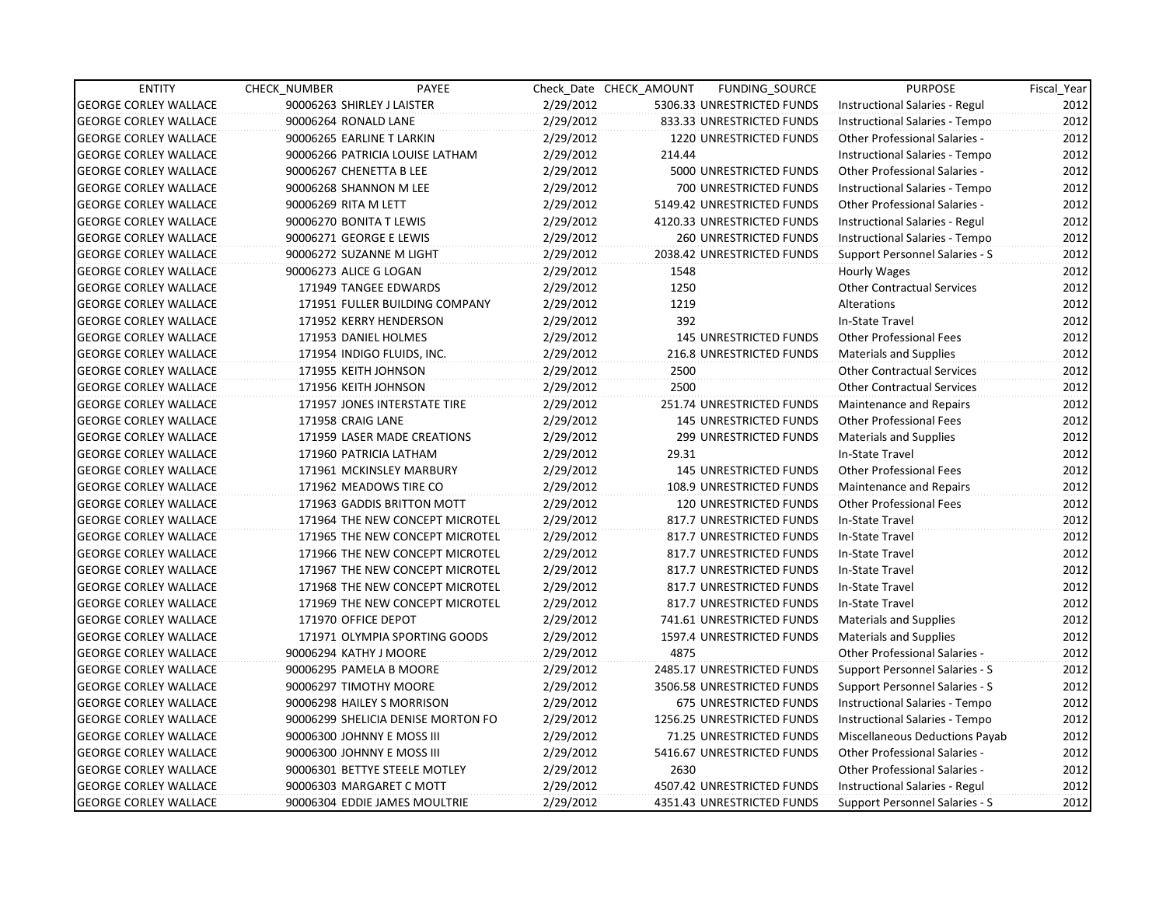| <b>ENTITY</b>                | CHECK_NUMBER               | PAYEE                              |           | Check Date CHECK AMOUNT | FUNDING_SOURCE                 | <b>PURPOSE</b>                       | Fiscal_Year |
|------------------------------|----------------------------|------------------------------------|-----------|-------------------------|--------------------------------|--------------------------------------|-------------|
| <b>GEORGE CORLEY WALLACE</b> | 90006263 SHIRLEY J LAISTER |                                    | 2/29/2012 |                         | 5306.33 UNRESTRICTED FUNDS     | Instructional Salaries - Regul       | 2012        |
| <b>GEORGE CORLEY WALLACE</b> | 90006264 RONALD LANE       |                                    | 2/29/2012 |                         | 833.33 UNRESTRICTED FUNDS      | Instructional Salaries - Tempo       | 2012        |
| <b>GEORGE CORLEY WALLACE</b> | 90006265 EARLINE T LARKIN  |                                    | 2/29/2012 |                         | <b>1220 UNRESTRICTED FUNDS</b> | Other Professional Salaries -        | 2012        |
| <b>GEORGE CORLEY WALLACE</b> |                            | 90006266 PATRICIA LOUISE LATHAM    | 2/29/2012 | 214.44                  |                                | Instructional Salaries - Tempo       | 2012        |
| <b>GEORGE CORLEY WALLACE</b> | 90006267 CHENETTA B LEE    |                                    | 2/29/2012 |                         | 5000 UNRESTRICTED FUNDS        | <b>Other Professional Salaries -</b> | 2012        |
| <b>GEORGE CORLEY WALLACE</b> | 90006268 SHANNON M LEE     |                                    | 2/29/2012 |                         | 700 UNRESTRICTED FUNDS         | Instructional Salaries - Tempo       | 2012        |
| <b>GEORGE CORLEY WALLACE</b> | 90006269 RITA M LETT       |                                    | 2/29/2012 |                         | 5149.42 UNRESTRICTED FUNDS     | <b>Other Professional Salaries -</b> | 2012        |
| <b>GEORGE CORLEY WALLACE</b> | 90006270 BONITA T LEWIS    |                                    | 2/29/2012 |                         | 4120.33 UNRESTRICTED FUNDS     | Instructional Salaries - Regul       | 2012        |
| <b>GEORGE CORLEY WALLACE</b> | 90006271 GEORGE E LEWIS    |                                    | 2/29/2012 |                         | <b>260 UNRESTRICTED FUNDS</b>  | Instructional Salaries - Tempo       | 2012        |
| <b>GEORGE CORLEY WALLACE</b> |                            | 90006272 SUZANNE M LIGHT           | 2/29/2012 |                         | 2038.42 UNRESTRICTED FUNDS     | Support Personnel Salaries - S       | 2012        |
| <b>GEORGE CORLEY WALLACE</b> | 90006273 ALICE G LOGAN     |                                    | 2/29/2012 | 1548                    |                                | Hourly Wages                         | 2012        |
| <b>GEORGE CORLEY WALLACE</b> |                            | 171949 TANGEE EDWARDS              | 2/29/2012 | 1250                    |                                | <b>Other Contractual Services</b>    | 2012        |
| <b>GEORGE CORLEY WALLACE</b> |                            | 171951 FULLER BUILDING COMPANY     | 2/29/2012 | 1219                    |                                | Alterations                          | 2012        |
| <b>GEORGE CORLEY WALLACE</b> |                            | 171952 KERRY HENDERSON             | 2/29/2012 | 392                     |                                | In-State Travel                      | 2012        |
| <b>GEORGE CORLEY WALLACE</b> |                            | 171953 DANIEL HOLMES               | 2/29/2012 |                         | <b>145 UNRESTRICTED FUNDS</b>  | <b>Other Professional Fees</b>       | 2012        |
| <b>GEORGE CORLEY WALLACE</b> |                            | 171954 INDIGO FLUIDS, INC.         | 2/29/2012 |                         | 216.8 UNRESTRICTED FUNDS       | <b>Materials and Supplies</b>        | 2012        |
| <b>GEORGE CORLEY WALLACE</b> |                            | 171955 KEITH JOHNSON               | 2/29/2012 | 2500                    |                                | <b>Other Contractual Services</b>    | 2012        |
| <b>GEORGE CORLEY WALLACE</b> |                            | 171956 KEITH JOHNSON               | 2/29/2012 | 2500                    |                                | <b>Other Contractual Services</b>    | 2012        |
| <b>GEORGE CORLEY WALLACE</b> |                            | 171957 JONES INTERSTATE TIRE       | 2/29/2012 |                         | 251.74 UNRESTRICTED FUNDS      | Maintenance and Repairs              | 2012        |
| <b>GEORGE CORLEY WALLACE</b> | 171958 CRAIG LANE          |                                    | 2/29/2012 |                         | 145 UNRESTRICTED FUNDS         | <b>Other Professional Fees</b>       | 2012        |
| <b>GEORGE CORLEY WALLACE</b> |                            | 171959 LASER MADE CREATIONS        | 2/29/2012 |                         | 299 UNRESTRICTED FUNDS         | <b>Materials and Supplies</b>        | 2012        |
| <b>GEORGE CORLEY WALLACE</b> |                            | 171960 PATRICIA LATHAM             | 2/29/2012 | 29.31                   |                                | In-State Travel                      | 2012        |
| <b>GEORGE CORLEY WALLACE</b> |                            | 171961 MCKINSLEY MARBURY           | 2/29/2012 |                         | 145 UNRESTRICTED FUNDS         | <b>Other Professional Fees</b>       | 2012        |
| <b>GEORGE CORLEY WALLACE</b> |                            | 171962 MEADOWS TIRE CO             | 2/29/2012 |                         | 108.9 UNRESTRICTED FUNDS       | Maintenance and Repairs              | 2012        |
| <b>GEORGE CORLEY WALLACE</b> |                            | 171963 GADDIS BRITTON MOTT         | 2/29/2012 |                         | <b>120 UNRESTRICTED FUNDS</b>  | <b>Other Professional Fees</b>       | 2012        |
| <b>GEORGE CORLEY WALLACE</b> |                            | 171964 THE NEW CONCEPT MICROTEL    | 2/29/2012 |                         | 817.7 UNRESTRICTED FUNDS       | In-State Travel                      | 2012        |
| <b>GEORGE CORLEY WALLACE</b> |                            | 171965 THE NEW CONCEPT MICROTEL    | 2/29/2012 |                         | 817.7 UNRESTRICTED FUNDS       | In-State Travel                      | 2012        |
| <b>GEORGE CORLEY WALLACE</b> |                            | 171966 THE NEW CONCEPT MICROTEL    | 2/29/2012 |                         | 817.7 UNRESTRICTED FUNDS       | In-State Travel                      | 2012        |
| <b>GEORGE CORLEY WALLACE</b> |                            | 171967 THE NEW CONCEPT MICROTEL    | 2/29/2012 |                         | 817.7 UNRESTRICTED FUNDS       | In-State Travel                      | 2012        |
| <b>GEORGE CORLEY WALLACE</b> |                            | 171968 THE NEW CONCEPT MICROTEL    | 2/29/2012 |                         | 817.7 UNRESTRICTED FUNDS       | In-State Travel                      | 2012        |
| <b>GEORGE CORLEY WALLACE</b> |                            | 171969 THE NEW CONCEPT MICROTEL    | 2/29/2012 |                         | 817.7 UNRESTRICTED FUNDS       | In-State Travel                      | 2012        |
| <b>GEORGE CORLEY WALLACE</b> | 171970 OFFICE DEPOT        |                                    | 2/29/2012 |                         | 741.61 UNRESTRICTED FUNDS      | <b>Materials and Supplies</b>        | 2012        |
| <b>GEORGE CORLEY WALLACE</b> |                            | 171971 OLYMPIA SPORTING GOODS      | 2/29/2012 |                         | 1597.4 UNRESTRICTED FUNDS      | <b>Materials and Supplies</b>        | 2012        |
| <b>GEORGE CORLEY WALLACE</b> | 90006294 KATHY J MOORE     |                                    | 2/29/2012 | 4875                    |                                | Other Professional Salaries -        | 2012        |
| <b>GEORGE CORLEY WALLACE</b> |                            | 90006295 PAMELA B MOORE            | 2/29/2012 |                         | 2485.17 UNRESTRICTED FUNDS     | Support Personnel Salaries - S       | 2012        |
| <b>GEORGE CORLEY WALLACE</b> | 90006297 TIMOTHY MOORE     |                                    | 2/29/2012 |                         | 3506.58 UNRESTRICTED FUNDS     | Support Personnel Salaries - S       | 2012        |
| <b>GEORGE CORLEY WALLACE</b> |                            | 90006298 HAILEY S MORRISON         | 2/29/2012 |                         | 675 UNRESTRICTED FUNDS         | Instructional Salaries - Tempo       | 2012        |
| <b>GEORGE CORLEY WALLACE</b> |                            | 90006299 SHELICIA DENISE MORTON FO | 2/29/2012 |                         | 1256.25 UNRESTRICTED FUNDS     | Instructional Salaries - Tempo       | 2012        |
| <b>GEORGE CORLEY WALLACE</b> |                            | 90006300 JOHNNY E MOSS III         | 2/29/2012 |                         | 71.25 UNRESTRICTED FUNDS       | Miscellaneous Deductions Payab       | 2012        |
| <b>GEORGE CORLEY WALLACE</b> |                            | 90006300 JOHNNY E MOSS III         | 2/29/2012 |                         | 5416.67 UNRESTRICTED FUNDS     | Other Professional Salaries -        | 2012        |
| <b>GEORGE CORLEY WALLACE</b> |                            | 90006301 BETTYE STEELE MOTLEY      | 2/29/2012 | 2630                    |                                | Other Professional Salaries -        | 2012        |
| <b>GEORGE CORLEY WALLACE</b> |                            | 90006303 MARGARET C MOTT           | 2/29/2012 |                         | 4507.42 UNRESTRICTED FUNDS     | Instructional Salaries - Regul       | 2012        |
| <b>GEORGE CORLEY WALLACE</b> |                            | 90006304 EDDIE JAMES MOULTRIE      | 2/29/2012 |                         | 4351.43 UNRESTRICTED FUNDS     | Support Personnel Salaries - S       | 2012        |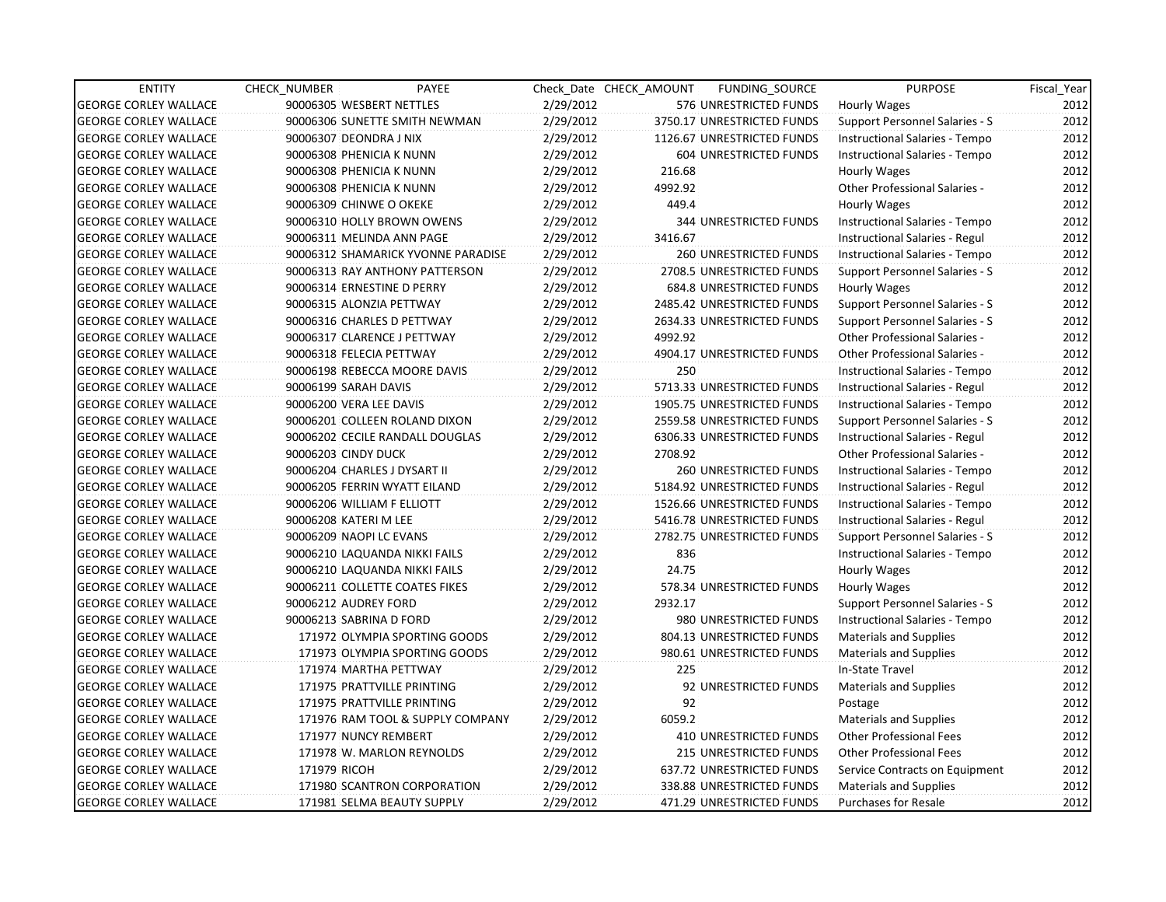| <b>ENTITY</b>                | CHECK NUMBER<br>PAYEE              |           | Check Date CHECK AMOUNT | FUNDING_SOURCE                | <b>PURPOSE</b>                        | Fiscal Year |
|------------------------------|------------------------------------|-----------|-------------------------|-------------------------------|---------------------------------------|-------------|
| <b>GEORGE CORLEY WALLACE</b> | 90006305 WESBERT NETTLES           | 2/29/2012 |                         | 576 UNRESTRICTED FUNDS        | Hourly Wages                          | 2012        |
| <b>GEORGE CORLEY WALLACE</b> | 90006306 SUNETTE SMITH NEWMAN      | 2/29/2012 |                         | 3750.17 UNRESTRICTED FUNDS    | <b>Support Personnel Salaries - S</b> | 2012        |
| <b>GEORGE CORLEY WALLACE</b> | 90006307 DEONDRA J NIX             | 2/29/2012 |                         | 1126.67 UNRESTRICTED FUNDS    | Instructional Salaries - Tempo        | 2012        |
| <b>GEORGE CORLEY WALLACE</b> | 90006308 PHENICIA K NUNN           | 2/29/2012 |                         | 604 UNRESTRICTED FUNDS        | Instructional Salaries - Tempo        | 2012        |
| <b>GEORGE CORLEY WALLACE</b> | 90006308 PHENICIA K NUNN           | 2/29/2012 | 216.68                  |                               | Hourly Wages                          | 2012        |
| <b>GEORGE CORLEY WALLACE</b> | 90006308 PHENICIA K NUNN           | 2/29/2012 | 4992.92                 |                               | Other Professional Salaries -         | 2012        |
| <b>GEORGE CORLEY WALLACE</b> | 90006309 CHINWE O OKEKE            | 2/29/2012 | 449.4                   |                               | Hourly Wages                          | 2012        |
| <b>GEORGE CORLEY WALLACE</b> | 90006310 HOLLY BROWN OWENS         | 2/29/2012 |                         | <b>344 UNRESTRICTED FUNDS</b> | Instructional Salaries - Tempo        | 2012        |
| <b>GEORGE CORLEY WALLACE</b> | 90006311 MELINDA ANN PAGE          | 2/29/2012 | 3416.67                 |                               | Instructional Salaries - Regul        | 2012        |
| <b>GEORGE CORLEY WALLACE</b> | 90006312 SHAMARICK YVONNE PARADISE | 2/29/2012 |                         | 260 UNRESTRICTED FUNDS        | Instructional Salaries - Tempo        | 2012        |
| <b>GEORGE CORLEY WALLACE</b> | 90006313 RAY ANTHONY PATTERSON     | 2/29/2012 |                         | 2708.5 UNRESTRICTED FUNDS     | Support Personnel Salaries - S        | 2012        |
| <b>GEORGE CORLEY WALLACE</b> | 90006314 ERNESTINE D PERRY         | 2/29/2012 |                         | 684.8 UNRESTRICTED FUNDS      | Hourly Wages                          | 2012        |
| <b>GEORGE CORLEY WALLACE</b> | 90006315 ALONZIA PETTWAY           | 2/29/2012 |                         | 2485.42 UNRESTRICTED FUNDS    | <b>Support Personnel Salaries - S</b> | 2012        |
| <b>GEORGE CORLEY WALLACE</b> | 90006316 CHARLES D PETTWAY         | 2/29/2012 |                         | 2634.33 UNRESTRICTED FUNDS    | <b>Support Personnel Salaries - S</b> | 2012        |
| <b>GEORGE CORLEY WALLACE</b> | 90006317 CLARENCE J PETTWAY        | 2/29/2012 | 4992.92                 |                               | Other Professional Salaries -         | 2012        |
| <b>GEORGE CORLEY WALLACE</b> | 90006318 FELECIA PETTWAY           | 2/29/2012 |                         | 4904.17 UNRESTRICTED FUNDS    | <b>Other Professional Salaries -</b>  | 2012        |
| <b>GEORGE CORLEY WALLACE</b> | 90006198 REBECCA MOORE DAVIS       | 2/29/2012 | 250                     |                               | Instructional Salaries - Tempo        | 2012        |
| <b>GEORGE CORLEY WALLACE</b> | 90006199 SARAH DAVIS               | 2/29/2012 |                         | 5713.33 UNRESTRICTED FUNDS    | Instructional Salaries - Regul        | 2012        |
| <b>GEORGE CORLEY WALLACE</b> | 90006200 VERA LEE DAVIS            | 2/29/2012 |                         | 1905.75 UNRESTRICTED FUNDS    | Instructional Salaries - Tempo        | 2012        |
| <b>GEORGE CORLEY WALLACE</b> | 90006201 COLLEEN ROLAND DIXON      | 2/29/2012 |                         | 2559.58 UNRESTRICTED FUNDS    | Support Personnel Salaries - S        | 2012        |
| <b>GEORGE CORLEY WALLACE</b> | 90006202 CECILE RANDALL DOUGLAS    | 2/29/2012 |                         | 6306.33 UNRESTRICTED FUNDS    | <b>Instructional Salaries - Regul</b> | 2012        |
| <b>GEORGE CORLEY WALLACE</b> | 90006203 CINDY DUCK                | 2/29/2012 | 2708.92                 |                               | Other Professional Salaries -         | 2012        |
| <b>GEORGE CORLEY WALLACE</b> | 90006204 CHARLES J DYSART II       | 2/29/2012 |                         | 260 UNRESTRICTED FUNDS        | Instructional Salaries - Tempo        | 2012        |
| <b>GEORGE CORLEY WALLACE</b> | 90006205 FERRIN WYATT EILAND       | 2/29/2012 |                         | 5184.92 UNRESTRICTED FUNDS    | Instructional Salaries - Regul        | 2012        |
| <b>GEORGE CORLEY WALLACE</b> | 90006206 WILLIAM F ELLIOTT         | 2/29/2012 |                         | 1526.66 UNRESTRICTED FUNDS    | Instructional Salaries - Tempo        | 2012        |
| <b>GEORGE CORLEY WALLACE</b> | 90006208 KATERI M LEE              | 2/29/2012 |                         | 5416.78 UNRESTRICTED FUNDS    | Instructional Salaries - Regul        | 2012        |
| <b>GEORGE CORLEY WALLACE</b> | 90006209 NAOPI LC EVANS            | 2/29/2012 |                         | 2782.75 UNRESTRICTED FUNDS    | Support Personnel Salaries - S        | 2012        |
| <b>GEORGE CORLEY WALLACE</b> | 90006210 LAQUANDA NIKKI FAILS      | 2/29/2012 | 836                     |                               | Instructional Salaries - Tempo        | 2012        |
| <b>GEORGE CORLEY WALLACE</b> | 90006210 LAQUANDA NIKKI FAILS      | 2/29/2012 | 24.75                   |                               | Hourly Wages                          | 2012        |
| <b>GEORGE CORLEY WALLACE</b> | 90006211 COLLETTE COATES FIKES     | 2/29/2012 |                         | 578.34 UNRESTRICTED FUNDS     | Hourly Wages                          | 2012        |
| <b>GEORGE CORLEY WALLACE</b> | 90006212 AUDREY FORD               | 2/29/2012 | 2932.17                 |                               | Support Personnel Salaries - S        | 2012        |
| <b>GEORGE CORLEY WALLACE</b> | 90006213 SABRINA D FORD            | 2/29/2012 |                         | 980 UNRESTRICTED FUNDS        | Instructional Salaries - Tempo        | 2012        |
| <b>GEORGE CORLEY WALLACE</b> | 171972 OLYMPIA SPORTING GOODS      | 2/29/2012 |                         | 804.13 UNRESTRICTED FUNDS     | <b>Materials and Supplies</b>         | 2012        |
| <b>GEORGE CORLEY WALLACE</b> | 171973 OLYMPIA SPORTING GOODS      | 2/29/2012 |                         | 980.61 UNRESTRICTED FUNDS     | <b>Materials and Supplies</b>         | 2012        |
| <b>GEORGE CORLEY WALLACE</b> | 171974 MARTHA PETTWAY              | 2/29/2012 | 225                     |                               | In-State Travel                       | 2012        |
| <b>GEORGE CORLEY WALLACE</b> | 171975 PRATTVILLE PRINTING         | 2/29/2012 |                         | 92 UNRESTRICTED FUNDS         | <b>Materials and Supplies</b>         | 2012        |
| <b>GEORGE CORLEY WALLACE</b> | 171975 PRATTVILLE PRINTING         | 2/29/2012 | 92                      |                               | Postage                               | 2012        |
| <b>GEORGE CORLEY WALLACE</b> | 171976 RAM TOOL & SUPPLY COMPANY   | 2/29/2012 | 6059.2                  |                               | <b>Materials and Supplies</b>         | 2012        |
| <b>GEORGE CORLEY WALLACE</b> | 171977 NUNCY REMBERT               | 2/29/2012 |                         | <b>410 UNRESTRICTED FUNDS</b> | <b>Other Professional Fees</b>        | 2012        |
| <b>GEORGE CORLEY WALLACE</b> | 171978 W. MARLON REYNOLDS          | 2/29/2012 |                         | 215 UNRESTRICTED FUNDS        | <b>Other Professional Fees</b>        | 2012        |
| <b>GEORGE CORLEY WALLACE</b> | 171979 RICOH                       | 2/29/2012 |                         | 637.72 UNRESTRICTED FUNDS     | Service Contracts on Equipment        | 2012        |
| <b>GEORGE CORLEY WALLACE</b> | 171980 SCANTRON CORPORATION        | 2/29/2012 |                         | 338.88 UNRESTRICTED FUNDS     | <b>Materials and Supplies</b>         | 2012        |
| <b>GEORGE CORLEY WALLACE</b> | 171981 SELMA BEAUTY SUPPLY         | 2/29/2012 |                         | 471.29 UNRESTRICTED FUNDS     | <b>Purchases for Resale</b>           | 2012        |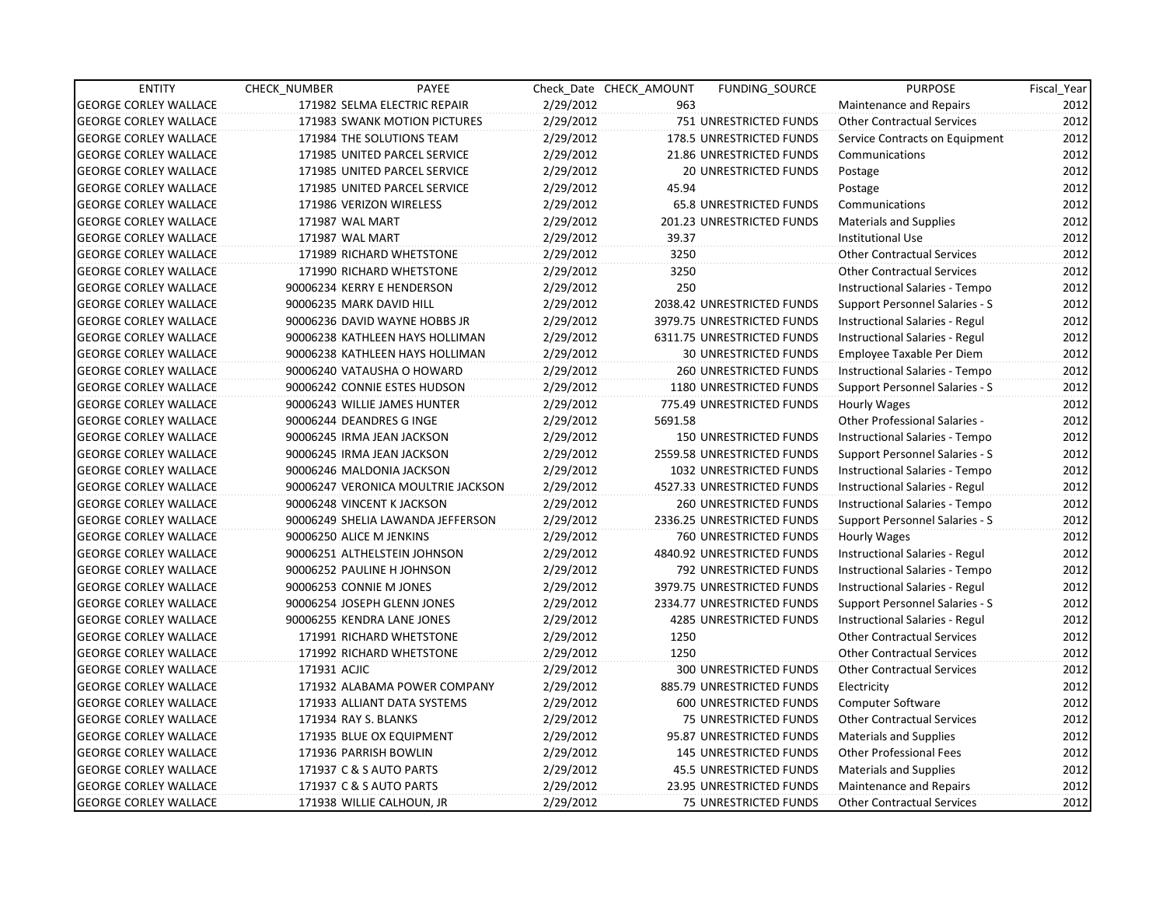| <b>ENTITY</b>                | CHECK_NUMBER             | PAYEE                              |           | Check Date CHECK AMOUNT | <b>FUNDING SOURCE</b>           | <b>PURPOSE</b>                        | Fiscal_Year |
|------------------------------|--------------------------|------------------------------------|-----------|-------------------------|---------------------------------|---------------------------------------|-------------|
| <b>GEORGE CORLEY WALLACE</b> |                          | 171982 SELMA ELECTRIC REPAIR       | 2/29/2012 | 963                     |                                 | Maintenance and Repairs               | 2012        |
| <b>GEORGE CORLEY WALLACE</b> |                          | 171983 SWANK MOTION PICTURES       | 2/29/2012 |                         | 751 UNRESTRICTED FUNDS          | <b>Other Contractual Services</b>     | 2012        |
| <b>GEORGE CORLEY WALLACE</b> |                          | 171984 THE SOLUTIONS TEAM          | 2/29/2012 |                         | <b>178.5 UNRESTRICTED FUNDS</b> | Service Contracts on Equipment        | 2012        |
| <b>GEORGE CORLEY WALLACE</b> |                          | 171985 UNITED PARCEL SERVICE       | 2/29/2012 |                         | 21.86 UNRESTRICTED FUNDS        | Communications                        | 2012        |
| <b>GEORGE CORLEY WALLACE</b> |                          | 171985 UNITED PARCEL SERVICE       | 2/29/2012 |                         | <b>20 UNRESTRICTED FUNDS</b>    | Postage                               | 2012        |
| <b>GEORGE CORLEY WALLACE</b> |                          | 171985 UNITED PARCEL SERVICE       | 2/29/2012 | 45.94                   |                                 | Postage                               | 2012        |
| <b>GEORGE CORLEY WALLACE</b> |                          | 171986 VERIZON WIRELESS            | 2/29/2012 |                         | 65.8 UNRESTRICTED FUNDS         | Communications                        | 2012        |
| <b>GEORGE CORLEY WALLACE</b> | 171987 WAL MART          |                                    | 2/29/2012 |                         | 201.23 UNRESTRICTED FUNDS       | <b>Materials and Supplies</b>         | 2012        |
| <b>GEORGE CORLEY WALLACE</b> | 171987 WAL MART          |                                    | 2/29/2012 | 39.37                   |                                 | Institutional Use                     | 2012        |
| <b>GEORGE CORLEY WALLACE</b> |                          | 171989 RICHARD WHETSTONE           | 2/29/2012 | 3250                    |                                 | <b>Other Contractual Services</b>     | 2012        |
| <b>GEORGE CORLEY WALLACE</b> |                          | 171990 RICHARD WHETSTONE           | 2/29/2012 | 3250                    |                                 | <b>Other Contractual Services</b>     | 2012        |
| <b>GEORGE CORLEY WALLACE</b> |                          | 90006234 KERRY E HENDERSON         | 2/29/2012 | 250                     |                                 | Instructional Salaries - Tempo        | 2012        |
| <b>GEORGE CORLEY WALLACE</b> | 90006235 MARK DAVID HILL |                                    | 2/29/2012 |                         | 2038.42 UNRESTRICTED FUNDS      | Support Personnel Salaries - S        | 2012        |
| <b>GEORGE CORLEY WALLACE</b> |                          | 90006236 DAVID WAYNE HOBBS JR      | 2/29/2012 |                         | 3979.75 UNRESTRICTED FUNDS      | Instructional Salaries - Regul        | 2012        |
| <b>GEORGE CORLEY WALLACE</b> |                          | 90006238 KATHLEEN HAYS HOLLIMAN    | 2/29/2012 |                         | 6311.75 UNRESTRICTED FUNDS      | Instructional Salaries - Regul        | 2012        |
| <b>GEORGE CORLEY WALLACE</b> |                          | 90006238 KATHLEEN HAYS HOLLIMAN    | 2/29/2012 |                         | <b>30 UNRESTRICTED FUNDS</b>    | Employee Taxable Per Diem             | 2012        |
| <b>GEORGE CORLEY WALLACE</b> |                          | 90006240 VATAUSHA O HOWARD         | 2/29/2012 |                         | <b>260 UNRESTRICTED FUNDS</b>   | Instructional Salaries - Tempo        | 2012        |
| <b>GEORGE CORLEY WALLACE</b> |                          | 90006242 CONNIE ESTES HUDSON       | 2/29/2012 |                         | 1180 UNRESTRICTED FUNDS         | Support Personnel Salaries - S        | 2012        |
| <b>GEORGE CORLEY WALLACE</b> |                          | 90006243 WILLIE JAMES HUNTER       | 2/29/2012 |                         | 775.49 UNRESTRICTED FUNDS       | Hourly Wages                          | 2012        |
| <b>GEORGE CORLEY WALLACE</b> | 90006244 DEANDRES G INGE |                                    | 2/29/2012 | 5691.58                 |                                 | Other Professional Salaries -         | 2012        |
| <b>GEORGE CORLEY WALLACE</b> |                          | 90006245 IRMA JEAN JACKSON         | 2/29/2012 |                         | 150 UNRESTRICTED FUNDS          | Instructional Salaries - Tempo        | 2012        |
| <b>GEORGE CORLEY WALLACE</b> |                          | 90006245 IRMA JEAN JACKSON         | 2/29/2012 |                         | 2559.58 UNRESTRICTED FUNDS      | Support Personnel Salaries - S        | 2012        |
| <b>GEORGE CORLEY WALLACE</b> |                          | 90006246 MALDONIA JACKSON          | 2/29/2012 |                         | 1032 UNRESTRICTED FUNDS         | Instructional Salaries - Tempo        | 2012        |
| <b>GEORGE CORLEY WALLACE</b> |                          | 90006247 VERONICA MOULTRIE JACKSON | 2/29/2012 |                         | 4527.33 UNRESTRICTED FUNDS      | Instructional Salaries - Regul        | 2012        |
| <b>GEORGE CORLEY WALLACE</b> |                          | 90006248 VINCENT K JACKSON         | 2/29/2012 |                         | <b>260 UNRESTRICTED FUNDS</b>   | Instructional Salaries - Tempo        | 2012        |
| <b>GEORGE CORLEY WALLACE</b> |                          | 90006249 SHELIA LAWANDA JEFFERSON  | 2/29/2012 |                         | 2336.25 UNRESTRICTED FUNDS      | Support Personnel Salaries - S        | 2012        |
| <b>GEORGE CORLEY WALLACE</b> | 90006250 ALICE M JENKINS |                                    | 2/29/2012 |                         | 760 UNRESTRICTED FUNDS          | Hourly Wages                          | 2012        |
| <b>GEORGE CORLEY WALLACE</b> |                          | 90006251 ALTHELSTEIN JOHNSON       | 2/29/2012 |                         | 4840.92 UNRESTRICTED FUNDS      | <b>Instructional Salaries - Regul</b> | 2012        |
| <b>GEORGE CORLEY WALLACE</b> |                          | 90006252 PAULINE H JOHNSON         | 2/29/2012 |                         | 792 UNRESTRICTED FUNDS          | Instructional Salaries - Tempo        | 2012        |
| <b>GEORGE CORLEY WALLACE</b> | 90006253 CONNIE M JONES  |                                    | 2/29/2012 |                         | 3979.75 UNRESTRICTED FUNDS      | Instructional Salaries - Regul        | 2012        |
| <b>GEORGE CORLEY WALLACE</b> |                          | 90006254 JOSEPH GLENN JONES        | 2/29/2012 |                         | 2334.77 UNRESTRICTED FUNDS      | Support Personnel Salaries - S        | 2012        |
| <b>GEORGE CORLEY WALLACE</b> |                          | 90006255 KENDRA LANE JONES         | 2/29/2012 |                         | 4285 UNRESTRICTED FUNDS         | Instructional Salaries - Regul        | 2012        |
| <b>GEORGE CORLEY WALLACE</b> |                          | 171991 RICHARD WHETSTONE           | 2/29/2012 | 1250                    |                                 | <b>Other Contractual Services</b>     | 2012        |
| <b>GEORGE CORLEY WALLACE</b> |                          | 171992 RICHARD WHETSTONE           | 2/29/2012 | 1250                    |                                 | Other Contractual Services            | 2012        |
| <b>GEORGE CORLEY WALLACE</b> | 171931 ACJIC             |                                    | 2/29/2012 |                         | <b>300 UNRESTRICTED FUNDS</b>   | <b>Other Contractual Services</b>     | 2012        |
| <b>GEORGE CORLEY WALLACE</b> |                          | 171932 ALABAMA POWER COMPANY       | 2/29/2012 |                         | 885.79 UNRESTRICTED FUNDS       | Electricity                           | 2012        |
| <b>GEORGE CORLEY WALLACE</b> |                          | 171933 ALLIANT DATA SYSTEMS        | 2/29/2012 |                         | 600 UNRESTRICTED FUNDS          | <b>Computer Software</b>              | 2012        |
| <b>GEORGE CORLEY WALLACE</b> | 171934 RAY S. BLANKS     |                                    | 2/29/2012 |                         | 75 UNRESTRICTED FUNDS           | <b>Other Contractual Services</b>     | 2012        |
| <b>GEORGE CORLEY WALLACE</b> |                          | 171935 BLUE OX EQUIPMENT           | 2/29/2012 |                         | 95.87 UNRESTRICTED FUNDS        | Materials and Supplies                | 2012        |
| <b>GEORGE CORLEY WALLACE</b> |                          | 171936 PARRISH BOWLIN              | 2/29/2012 |                         | 145 UNRESTRICTED FUNDS          | <b>Other Professional Fees</b>        | 2012        |
| <b>GEORGE CORLEY WALLACE</b> |                          | 171937 C & S AUTO PARTS            | 2/29/2012 |                         | 45.5 UNRESTRICTED FUNDS         | <b>Materials and Supplies</b>         | 2012        |
| <b>GEORGE CORLEY WALLACE</b> |                          | 171937 C & S AUTO PARTS            | 2/29/2012 |                         | 23.95 UNRESTRICTED FUNDS        | Maintenance and Repairs               | 2012        |
| <b>GEORGE CORLEY WALLACE</b> |                          | 171938 WILLIE CALHOUN, JR          | 2/29/2012 |                         | <b>75 UNRESTRICTED FUNDS</b>    | <b>Other Contractual Services</b>     | 2012        |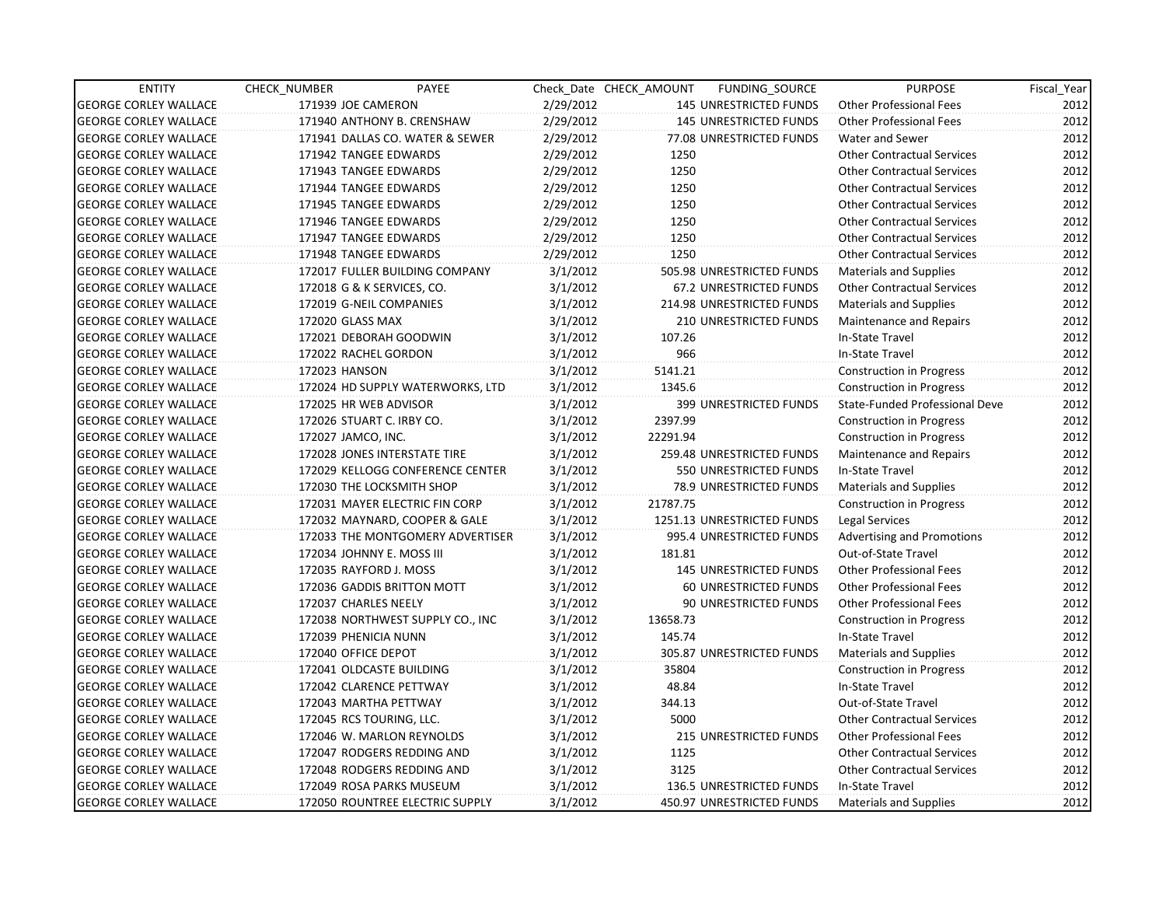| <b>ENTITY</b>                | CHECK_NUMBER              | PAYEE                            |           | Check Date CHECK AMOUNT | FUNDING_SOURCE                | <b>PURPOSE</b>                    | Fiscal_Year |
|------------------------------|---------------------------|----------------------------------|-----------|-------------------------|-------------------------------|-----------------------------------|-------------|
| <b>GEORGE CORLEY WALLACE</b> | 171939 JOE CAMERON        |                                  | 2/29/2012 |                         | 145 UNRESTRICTED FUNDS        | <b>Other Professional Fees</b>    | 2012        |
| <b>GEORGE CORLEY WALLACE</b> |                           | 171940 ANTHONY B. CRENSHAW       | 2/29/2012 |                         | 145 UNRESTRICTED FUNDS        | <b>Other Professional Fees</b>    | 2012        |
| <b>GEORGE CORLEY WALLACE</b> |                           | 171941 DALLAS CO. WATER & SEWER  | 2/29/2012 |                         | 77.08 UNRESTRICTED FUNDS      | Water and Sewer                   | 2012        |
| <b>GEORGE CORLEY WALLACE</b> | 171942 TANGEE EDWARDS     |                                  | 2/29/2012 | 1250                    |                               | <b>Other Contractual Services</b> | 2012        |
| <b>GEORGE CORLEY WALLACE</b> | 171943 TANGEE EDWARDS     |                                  | 2/29/2012 | 1250                    |                               | <b>Other Contractual Services</b> | 2012        |
| <b>GEORGE CORLEY WALLACE</b> | 171944 TANGEE EDWARDS     |                                  | 2/29/2012 | 1250                    |                               | <b>Other Contractual Services</b> | 2012        |
| <b>GEORGE CORLEY WALLACE</b> | 171945 TANGEE EDWARDS     |                                  | 2/29/2012 | 1250                    |                               | <b>Other Contractual Services</b> | 2012        |
| <b>GEORGE CORLEY WALLACE</b> | 171946 TANGEE EDWARDS     |                                  | 2/29/2012 | 1250                    |                               | <b>Other Contractual Services</b> | 2012        |
| <b>GEORGE CORLEY WALLACE</b> | 171947 TANGEE EDWARDS     |                                  | 2/29/2012 | 1250                    |                               | <b>Other Contractual Services</b> | 2012        |
| <b>GEORGE CORLEY WALLACE</b> | 171948 TANGEE EDWARDS     |                                  | 2/29/2012 | 1250                    |                               | <b>Other Contractual Services</b> | 2012        |
| <b>GEORGE CORLEY WALLACE</b> |                           | 172017 FULLER BUILDING COMPANY   | 3/1/2012  |                         | 505.98 UNRESTRICTED FUNDS     | <b>Materials and Supplies</b>     | 2012        |
| <b>GEORGE CORLEY WALLACE</b> |                           | 172018 G & K SERVICES, CO.       | 3/1/2012  |                         | 67.2 UNRESTRICTED FUNDS       | <b>Other Contractual Services</b> | 2012        |
| <b>GEORGE CORLEY WALLACE</b> | 172019 G-NEIL COMPANIES   |                                  | 3/1/2012  |                         | 214.98 UNRESTRICTED FUNDS     | <b>Materials and Supplies</b>     | 2012        |
| <b>GEORGE CORLEY WALLACE</b> | 172020 GLASS MAX          |                                  | 3/1/2012  |                         | <b>210 UNRESTRICTED FUNDS</b> | <b>Maintenance and Repairs</b>    | 2012        |
| <b>GEORGE CORLEY WALLACE</b> |                           | 172021 DEBORAH GOODWIN           | 3/1/2012  | 107.26                  |                               | In-State Travel                   | 2012        |
| <b>GEORGE CORLEY WALLACE</b> | 172022 RACHEL GORDON      |                                  | 3/1/2012  | 966                     |                               | In-State Travel                   | 2012        |
| <b>GEORGE CORLEY WALLACE</b> | 172023 HANSON             |                                  | 3/1/2012  | 5141.21                 |                               | <b>Construction in Progress</b>   | 2012        |
| <b>GEORGE CORLEY WALLACE</b> |                           | 172024 HD SUPPLY WATERWORKS, LTD | 3/1/2012  | 1345.6                  |                               | <b>Construction in Progress</b>   | 2012        |
| <b>GEORGE CORLEY WALLACE</b> | 172025 HR WEB ADVISOR     |                                  | 3/1/2012  |                         | 399 UNRESTRICTED FUNDS        | State-Funded Professional Deve    | 2012        |
| <b>GEORGE CORLEY WALLACE</b> | 172026 STUART C. IRBY CO. |                                  | 3/1/2012  | 2397.99                 |                               | <b>Construction in Progress</b>   | 2012        |
| <b>GEORGE CORLEY WALLACE</b> | 172027 JAMCO, INC.        |                                  | 3/1/2012  | 22291.94                |                               | Construction in Progress          | 2012        |
| <b>GEORGE CORLEY WALLACE</b> |                           | 172028 JONES INTERSTATE TIRE     | 3/1/2012  |                         | 259.48 UNRESTRICTED FUNDS     | Maintenance and Repairs           | 2012        |
| <b>GEORGE CORLEY WALLACE</b> |                           | 172029 KELLOGG CONFERENCE CENTER | 3/1/2012  |                         | 550 UNRESTRICTED FUNDS        | In-State Travel                   | 2012        |
| <b>GEORGE CORLEY WALLACE</b> |                           | 172030 THE LOCKSMITH SHOP        | 3/1/2012  |                         | 78.9 UNRESTRICTED FUNDS       | Materials and Supplies            | 2012        |
| <b>GEORGE CORLEY WALLACE</b> |                           | 172031 MAYER ELECTRIC FIN CORP   | 3/1/2012  | 21787.75                |                               | <b>Construction in Progress</b>   | 2012        |
| <b>GEORGE CORLEY WALLACE</b> |                           | 172032 MAYNARD, COOPER & GALE    | 3/1/2012  |                         | 1251.13 UNRESTRICTED FUNDS    | Legal Services                    | 2012        |
| <b>GEORGE CORLEY WALLACE</b> |                           | 172033 THE MONTGOMERY ADVERTISER | 3/1/2012  |                         | 995.4 UNRESTRICTED FUNDS      | <b>Advertising and Promotions</b> | 2012        |
| <b>GEORGE CORLEY WALLACE</b> | 172034 JOHNNY E. MOSS III |                                  | 3/1/2012  | 181.81                  |                               | Out-of-State Travel               | 2012        |
| <b>GEORGE CORLEY WALLACE</b> | 172035 RAYFORD J. MOSS    |                                  | 3/1/2012  |                         | <b>145 UNRESTRICTED FUNDS</b> | <b>Other Professional Fees</b>    | 2012        |
| <b>GEORGE CORLEY WALLACE</b> |                           | 172036 GADDIS BRITTON MOTT       | 3/1/2012  |                         | 60 UNRESTRICTED FUNDS         | <b>Other Professional Fees</b>    | 2012        |
| <b>GEORGE CORLEY WALLACE</b> | 172037 CHARLES NEELY      |                                  | 3/1/2012  |                         | 90 UNRESTRICTED FUNDS         | <b>Other Professional Fees</b>    | 2012        |
| <b>GEORGE CORLEY WALLACE</b> |                           | 172038 NORTHWEST SUPPLY CO., INC | 3/1/2012  | 13658.73                |                               | Construction in Progress          | 2012        |
| <b>GEORGE CORLEY WALLACE</b> | 172039 PHENICIA NUNN      |                                  | 3/1/2012  | 145.74                  |                               | In-State Travel                   | 2012        |
| <b>GEORGE CORLEY WALLACE</b> | 172040 OFFICE DEPOT       |                                  | 3/1/2012  |                         | 305.87 UNRESTRICTED FUNDS     | Materials and Supplies            | 2012        |
| <b>GEORGE CORLEY WALLACE</b> |                           | 172041 OLDCASTE BUILDING         | 3/1/2012  | 35804                   |                               | <b>Construction in Progress</b>   | 2012        |
| <b>GEORGE CORLEY WALLACE</b> |                           | 172042 CLARENCE PETTWAY          | 3/1/2012  | 48.84                   |                               | In-State Travel                   | 2012        |
| <b>GEORGE CORLEY WALLACE</b> | 172043 MARTHA PETTWAY     |                                  | 3/1/2012  | 344.13                  |                               | Out-of-State Travel               | 2012        |
| <b>GEORGE CORLEY WALLACE</b> | 172045 RCS TOURING, LLC.  |                                  | 3/1/2012  | 5000                    |                               | <b>Other Contractual Services</b> | 2012        |
| <b>GEORGE CORLEY WALLACE</b> |                           | 172046 W. MARLON REYNOLDS        | 3/1/2012  |                         | 215 UNRESTRICTED FUNDS        | <b>Other Professional Fees</b>    | 2012        |
| <b>GEORGE CORLEY WALLACE</b> |                           | 172047 RODGERS REDDING AND       | 3/1/2012  | 1125                    |                               | <b>Other Contractual Services</b> | 2012        |
| <b>GEORGE CORLEY WALLACE</b> |                           | 172048 RODGERS REDDING AND       | 3/1/2012  | 3125                    |                               | <b>Other Contractual Services</b> | 2012        |
| <b>GEORGE CORLEY WALLACE</b> |                           | 172049 ROSA PARKS MUSEUM         | 3/1/2012  |                         | 136.5 UNRESTRICTED FUNDS      | In-State Travel                   | 2012        |
| <b>GEORGE CORLEY WALLACE</b> |                           | 172050 ROUNTREE ELECTRIC SUPPLY  | 3/1/2012  |                         | 450.97 UNRESTRICTED FUNDS     | <b>Materials and Supplies</b>     | 2012        |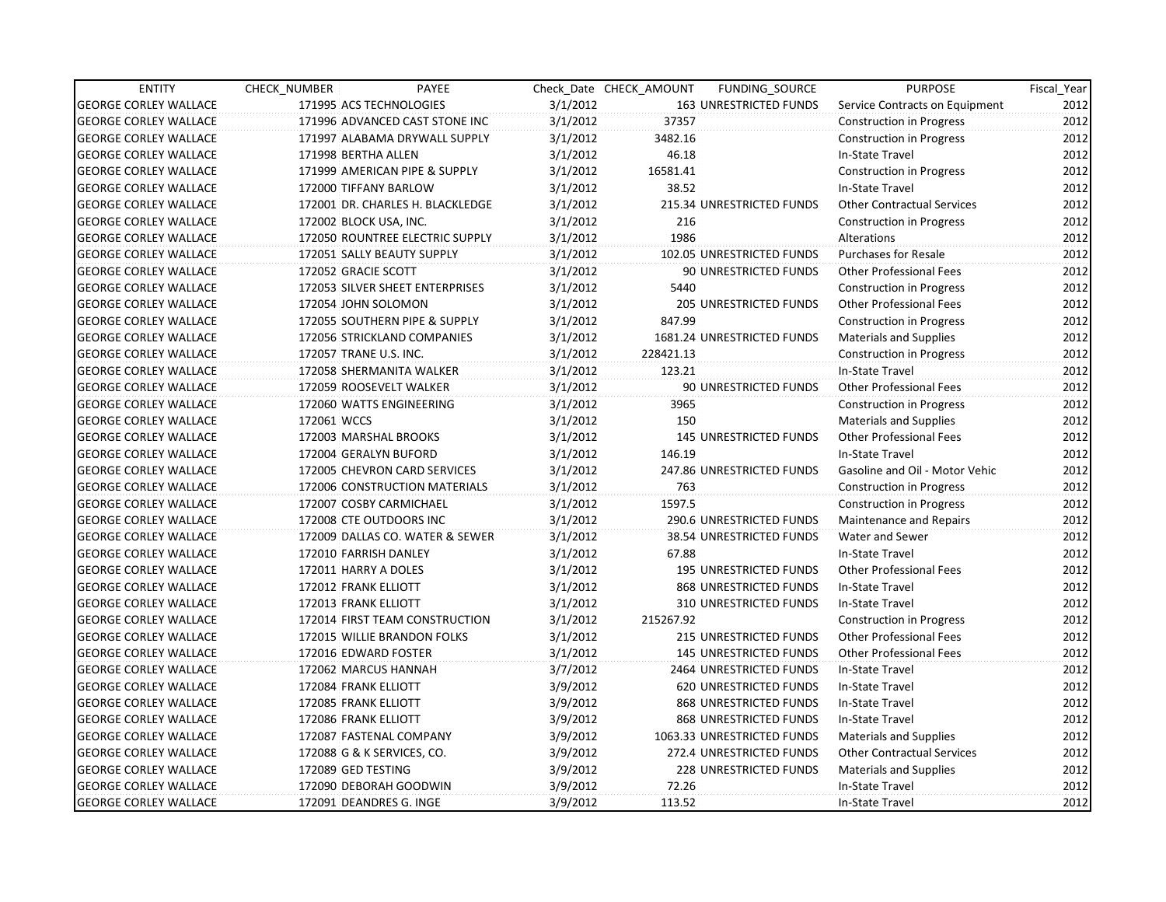| <b>ENTITY</b>                | CHECK NUMBER               | PAYEE                            |          | Check Date CHECK AMOUNT | FUNDING_SOURCE                | <b>PURPOSE</b>                    | Fiscal_Year |
|------------------------------|----------------------------|----------------------------------|----------|-------------------------|-------------------------------|-----------------------------------|-------------|
| <b>GEORGE CORLEY WALLACE</b> | 171995 ACS TECHNOLOGIES    |                                  | 3/1/2012 |                         | 163 UNRESTRICTED FUNDS        | Service Contracts on Equipment    | 2012        |
| <b>GEORGE CORLEY WALLACE</b> |                            | 171996 ADVANCED CAST STONE INC   | 3/1/2012 | 37357                   |                               | Construction in Progress          | 2012        |
| <b>GEORGE CORLEY WALLACE</b> |                            | 171997 ALABAMA DRYWALL SUPPLY    | 3/1/2012 | 3482.16                 |                               | <b>Construction in Progress</b>   | 2012        |
| <b>GEORGE CORLEY WALLACE</b> | 171998 BERTHA ALLEN        |                                  | 3/1/2012 | 46.18                   |                               | In-State Travel                   | 2012        |
| <b>GEORGE CORLEY WALLACE</b> |                            | 171999 AMERICAN PIPE & SUPPLY    | 3/1/2012 | 16581.41                |                               | <b>Construction in Progress</b>   | 2012        |
| <b>GEORGE CORLEY WALLACE</b> | 172000 TIFFANY BARLOW      |                                  | 3/1/2012 | 38.52                   |                               | In-State Travel                   | 2012        |
| <b>GEORGE CORLEY WALLACE</b> |                            | 172001 DR. CHARLES H. BLACKLEDGE | 3/1/2012 |                         | 215.34 UNRESTRICTED FUNDS     | <b>Other Contractual Services</b> | 2012        |
| <b>GEORGE CORLEY WALLACE</b> | 172002 BLOCK USA, INC.     |                                  | 3/1/2012 | 216                     |                               | Construction in Progress          | 2012        |
| <b>GEORGE CORLEY WALLACE</b> |                            | 172050 ROUNTREE ELECTRIC SUPPLY  | 3/1/2012 | 1986                    |                               | Alterations                       | 2012        |
| <b>GEORGE CORLEY WALLACE</b> |                            | 172051 SALLY BEAUTY SUPPLY       | 3/1/2012 |                         | 102.05 UNRESTRICTED FUNDS     | <b>Purchases for Resale</b>       | 2012        |
| <b>GEORGE CORLEY WALLACE</b> | 172052 GRACIE SCOTT        |                                  | 3/1/2012 |                         | 90 UNRESTRICTED FUNDS         | <b>Other Professional Fees</b>    | 2012        |
| <b>GEORGE CORLEY WALLACE</b> |                            | 172053 SILVER SHEET ENTERPRISES  | 3/1/2012 | 5440                    |                               | <b>Construction in Progress</b>   | 2012        |
| <b>GEORGE CORLEY WALLACE</b> | 172054 JOHN SOLOMON        |                                  | 3/1/2012 |                         | 205 UNRESTRICTED FUNDS        | <b>Other Professional Fees</b>    | 2012        |
| <b>GEORGE CORLEY WALLACE</b> |                            | 172055 SOUTHERN PIPE & SUPPLY    | 3/1/2012 | 847.99                  |                               | <b>Construction in Progress</b>   | 2012        |
| <b>GEORGE CORLEY WALLACE</b> |                            | 172056 STRICKLAND COMPANIES      | 3/1/2012 |                         | 1681.24 UNRESTRICTED FUNDS    | <b>Materials and Supplies</b>     | 2012        |
| <b>GEORGE CORLEY WALLACE</b> | 172057 TRANE U.S. INC.     |                                  | 3/1/2012 | 228421.13               |                               | <b>Construction in Progress</b>   | 2012        |
| <b>GEORGE CORLEY WALLACE</b> |                            | 172058 SHERMANITA WALKER         | 3/1/2012 | 123.21                  |                               | In-State Travel                   | 2012        |
| <b>GEORGE CORLEY WALLACE</b> | 172059 ROOSEVELT WALKER    |                                  | 3/1/2012 |                         | 90 UNRESTRICTED FUNDS         | <b>Other Professional Fees</b>    | 2012        |
| <b>GEORGE CORLEY WALLACE</b> | 172060 WATTS ENGINEERING   |                                  | 3/1/2012 | 3965                    |                               | <b>Construction in Progress</b>   | 2012        |
| <b>GEORGE CORLEY WALLACE</b> | 172061 WCCS                |                                  | 3/1/2012 | 150                     |                               | <b>Materials and Supplies</b>     | 2012        |
| <b>GEORGE CORLEY WALLACE</b> | 172003 MARSHAL BROOKS      |                                  | 3/1/2012 |                         | <b>145 UNRESTRICTED FUNDS</b> | <b>Other Professional Fees</b>    | 2012        |
| <b>GEORGE CORLEY WALLACE</b> | 172004 GERALYN BUFORD      |                                  | 3/1/2012 | 146.19                  |                               | In-State Travel                   | 2012        |
| <b>GEORGE CORLEY WALLACE</b> |                            | 172005 CHEVRON CARD SERVICES     | 3/1/2012 |                         | 247.86 UNRESTRICTED FUNDS     | Gasoline and Oil - Motor Vehic    | 2012        |
| <b>GEORGE CORLEY WALLACE</b> |                            | 172006 CONSTRUCTION MATERIALS    | 3/1/2012 | 763                     |                               | <b>Construction in Progress</b>   | 2012        |
| <b>GEORGE CORLEY WALLACE</b> | 172007 COSBY CARMICHAEL    |                                  | 3/1/2012 | 1597.5                  |                               | <b>Construction in Progress</b>   | 2012        |
| <b>GEORGE CORLEY WALLACE</b> | 172008 CTE OUTDOORS INC    |                                  | 3/1/2012 |                         | 290.6 UNRESTRICTED FUNDS      | Maintenance and Repairs           | 2012        |
| <b>GEORGE CORLEY WALLACE</b> |                            | 172009 DALLAS CO. WATER & SEWER  | 3/1/2012 |                         | 38.54 UNRESTRICTED FUNDS      | Water and Sewer                   | 2012        |
| <b>GEORGE CORLEY WALLACE</b> | 172010 FARRISH DANLEY      |                                  | 3/1/2012 | 67.88                   |                               | In-State Travel                   | 2012        |
| <b>GEORGE CORLEY WALLACE</b> | 172011 HARRY A DOLES       |                                  | 3/1/2012 |                         | <b>195 UNRESTRICTED FUNDS</b> | <b>Other Professional Fees</b>    | 2012        |
| <b>GEORGE CORLEY WALLACE</b> | 172012 FRANK ELLIOTT       |                                  | 3/1/2012 |                         | 868 UNRESTRICTED FUNDS        | In-State Travel                   | 2012        |
| <b>GEORGE CORLEY WALLACE</b> | 172013 FRANK ELLIOTT       |                                  | 3/1/2012 |                         | 310 UNRESTRICTED FUNDS        | In-State Travel                   | 2012        |
| <b>GEORGE CORLEY WALLACE</b> |                            | 172014 FIRST TEAM CONSTRUCTION   | 3/1/2012 | 215267.92               |                               | Construction in Progress          | 2012        |
| <b>GEORGE CORLEY WALLACE</b> |                            | 172015 WILLIE BRANDON FOLKS      | 3/1/2012 |                         | 215 UNRESTRICTED FUNDS        | <b>Other Professional Fees</b>    | 2012        |
| <b>GEORGE CORLEY WALLACE</b> | 172016 EDWARD FOSTER       |                                  | 3/1/2012 |                         | <b>145 UNRESTRICTED FUNDS</b> | <b>Other Professional Fees</b>    | 2012        |
| <b>GEORGE CORLEY WALLACE</b> | 172062 MARCUS HANNAH       |                                  | 3/7/2012 |                         | 2464 UNRESTRICTED FUNDS       | In-State Travel                   | 2012        |
| <b>GEORGE CORLEY WALLACE</b> | 172084 FRANK ELLIOTT       |                                  | 3/9/2012 |                         | <b>620 UNRESTRICTED FUNDS</b> | In-State Travel                   | 2012        |
| <b>GEORGE CORLEY WALLACE</b> | 172085 FRANK ELLIOTT       |                                  | 3/9/2012 |                         | 868 UNRESTRICTED FUNDS        | In-State Travel                   | 2012        |
| <b>GEORGE CORLEY WALLACE</b> | 172086 FRANK ELLIOTT       |                                  | 3/9/2012 |                         | 868 UNRESTRICTED FUNDS        | In-State Travel                   | 2012        |
| <b>GEORGE CORLEY WALLACE</b> | 172087 FASTENAL COMPANY    |                                  | 3/9/2012 |                         | 1063.33 UNRESTRICTED FUNDS    | <b>Materials and Supplies</b>     | 2012        |
| <b>GEORGE CORLEY WALLACE</b> | 172088 G & K SERVICES, CO. |                                  | 3/9/2012 |                         | 272.4 UNRESTRICTED FUNDS      | <b>Other Contractual Services</b> | 2012        |
| <b>GEORGE CORLEY WALLACE</b> | 172089 GED TESTING         |                                  | 3/9/2012 |                         | 228 UNRESTRICTED FUNDS        | <b>Materials and Supplies</b>     | 2012        |
| <b>GEORGE CORLEY WALLACE</b> | 172090 DEBORAH GOODWIN     |                                  | 3/9/2012 | 72.26                   |                               | In-State Travel                   | 2012        |
| <b>GEORGE CORLEY WALLACE</b> | 172091 DEANDRES G. INGE    |                                  | 3/9/2012 | 113.52                  |                               | In-State Travel                   | 2012        |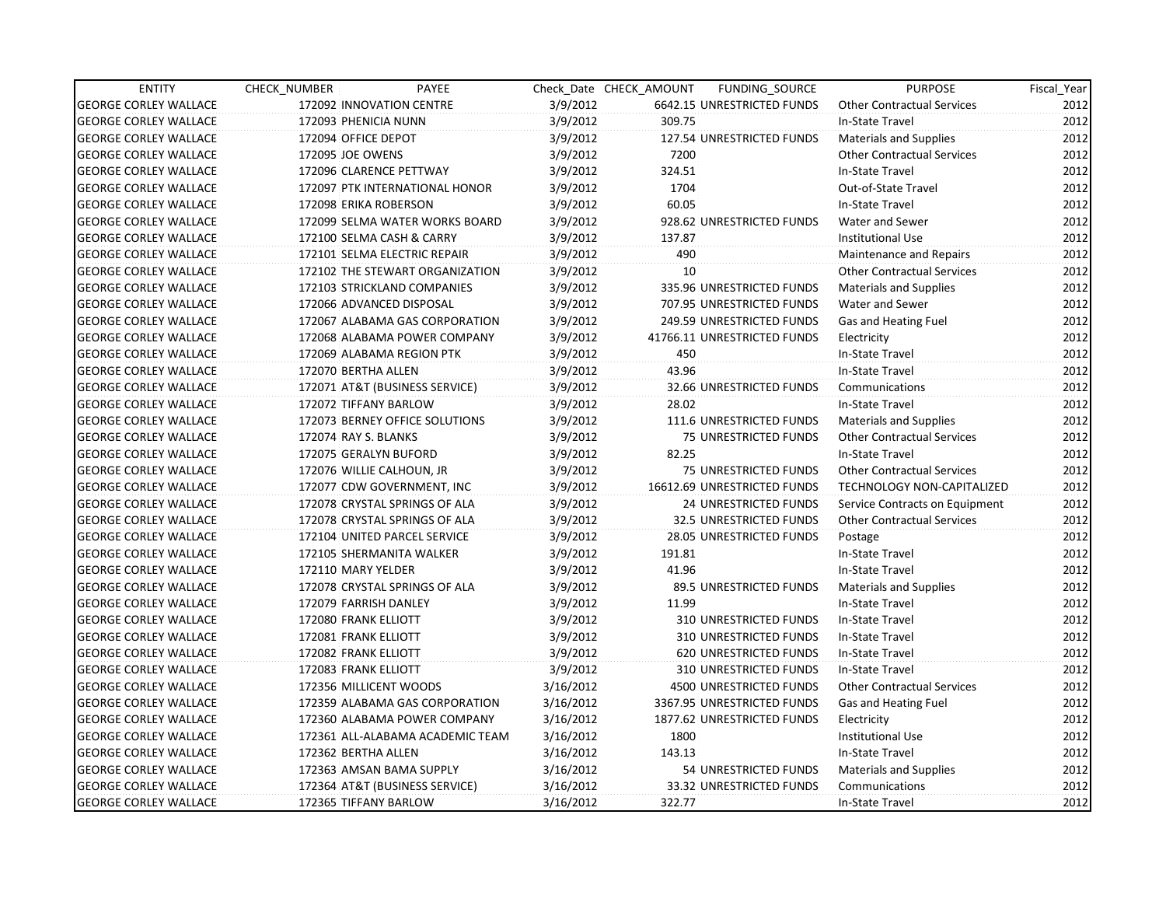| <b>ENTITY</b>                | CHECK_NUMBER              | PAYEE                            |           | Check Date CHECK AMOUNT | FUNDING_SOURCE                 | <b>PURPOSE</b>                    | Fiscal_Year |
|------------------------------|---------------------------|----------------------------------|-----------|-------------------------|--------------------------------|-----------------------------------|-------------|
| <b>GEORGE CORLEY WALLACE</b> | 172092 INNOVATION CENTRE  |                                  | 3/9/2012  |                         | 6642.15 UNRESTRICTED FUNDS     | <b>Other Contractual Services</b> | 2012        |
| <b>GEORGE CORLEY WALLACE</b> | 172093 PHENICIA NUNN      |                                  | 3/9/2012  | 309.75                  |                                | In-State Travel                   | 2012        |
| <b>GEORGE CORLEY WALLACE</b> | 172094 OFFICE DEPOT       |                                  | 3/9/2012  |                         | 127.54 UNRESTRICTED FUNDS      | Materials and Supplies            | 2012        |
| <b>GEORGE CORLEY WALLACE</b> | 172095 JOE OWENS          |                                  | 3/9/2012  | 7200                    |                                | <b>Other Contractual Services</b> | 2012        |
| <b>GEORGE CORLEY WALLACE</b> | 172096 CLARENCE PETTWAY   |                                  | 3/9/2012  | 324.51                  |                                | In-State Travel                   | 2012        |
| <b>GEORGE CORLEY WALLACE</b> |                           | 172097 PTK INTERNATIONAL HONOR   | 3/9/2012  | 1704                    |                                | Out-of-State Travel               | 2012        |
| <b>GEORGE CORLEY WALLACE</b> | 172098 ERIKA ROBERSON     |                                  | 3/9/2012  | 60.05                   |                                | In-State Travel                   | 2012        |
| <b>GEORGE CORLEY WALLACE</b> |                           | 172099 SELMA WATER WORKS BOARD   | 3/9/2012  |                         | 928.62 UNRESTRICTED FUNDS      | Water and Sewer                   | 2012        |
| <b>GEORGE CORLEY WALLACE</b> |                           | 172100 SELMA CASH & CARRY        | 3/9/2012  | 137.87                  |                                | <b>Institutional Use</b>          | 2012        |
| <b>GEORGE CORLEY WALLACE</b> |                           | 172101 SELMA ELECTRIC REPAIR     | 3/9/2012  | 490                     |                                | Maintenance and Repairs           | 2012        |
| <b>GEORGE CORLEY WALLACE</b> |                           | 172102 THE STEWART ORGANIZATION  | 3/9/2012  | 10 <sup>1</sup>         |                                | <b>Other Contractual Services</b> | 2012        |
| <b>GEORGE CORLEY WALLACE</b> |                           | 172103 STRICKLAND COMPANIES      | 3/9/2012  |                         | 335.96 UNRESTRICTED FUNDS      | <b>Materials and Supplies</b>     | 2012        |
| <b>GEORGE CORLEY WALLACE</b> | 172066 ADVANCED DISPOSAL  |                                  | 3/9/2012  |                         | 707.95 UNRESTRICTED FUNDS      | Water and Sewer                   | 2012        |
| <b>GEORGE CORLEY WALLACE</b> |                           | 172067 ALABAMA GAS CORPORATION   | 3/9/2012  |                         | 249.59 UNRESTRICTED FUNDS      | Gas and Heating Fuel              | 2012        |
| <b>GEORGE CORLEY WALLACE</b> |                           | 172068 ALABAMA POWER COMPANY     | 3/9/2012  |                         | 41766.11 UNRESTRICTED FUNDS    | Electricity                       | 2012        |
| <b>GEORGE CORLEY WALLACE</b> |                           | 172069 ALABAMA REGION PTK        | 3/9/2012  | 450                     |                                | In-State Travel                   | 2012        |
| <b>GEORGE CORLEY WALLACE</b> | 172070 BERTHA ALLEN       |                                  | 3/9/2012  | 43.96                   |                                | In-State Travel                   | 2012        |
| <b>GEORGE CORLEY WALLACE</b> |                           | 172071 AT&T (BUSINESS SERVICE)   | 3/9/2012  |                         | 32.66 UNRESTRICTED FUNDS       | Communications                    | 2012        |
| <b>GEORGE CORLEY WALLACE</b> | 172072 TIFFANY BARLOW     |                                  | 3/9/2012  | 28.02                   |                                | In-State Travel                   | 2012        |
| <b>GEORGE CORLEY WALLACE</b> |                           | 172073 BERNEY OFFICE SOLUTIONS   | 3/9/2012  |                         | 111.6 UNRESTRICTED FUNDS       | <b>Materials and Supplies</b>     | 2012        |
| <b>GEORGE CORLEY WALLACE</b> | 172074 RAY S. BLANKS      |                                  | 3/9/2012  |                         | 75 UNRESTRICTED FUNDS          | <b>Other Contractual Services</b> | 2012        |
| <b>GEORGE CORLEY WALLACE</b> | 172075 GERALYN BUFORD     |                                  | 3/9/2012  | 82.25                   |                                | In-State Travel                   | 2012        |
| <b>GEORGE CORLEY WALLACE</b> | 172076 WILLIE CALHOUN, JR |                                  | 3/9/2012  |                         | 75 UNRESTRICTED FUNDS          | <b>Other Contractual Services</b> | 2012        |
| <b>GEORGE CORLEY WALLACE</b> |                           | 172077 CDW GOVERNMENT, INC       | 3/9/2012  |                         | 16612.69 UNRESTRICTED FUNDS    | <b>TECHNOLOGY NON-CAPITALIZED</b> | 2012        |
| <b>GEORGE CORLEY WALLACE</b> |                           | 172078 CRYSTAL SPRINGS OF ALA    | 3/9/2012  |                         | <b>24 UNRESTRICTED FUNDS</b>   | Service Contracts on Equipment    | 2012        |
| <b>GEORGE CORLEY WALLACE</b> |                           | 172078 CRYSTAL SPRINGS OF ALA    | 3/9/2012  |                         | 32.5 UNRESTRICTED FUNDS        | <b>Other Contractual Services</b> | 2012        |
| <b>GEORGE CORLEY WALLACE</b> |                           | 172104 UNITED PARCEL SERVICE     | 3/9/2012  |                         | 28.05 UNRESTRICTED FUNDS       | Postage                           | 2012        |
| <b>GEORGE CORLEY WALLACE</b> |                           | 172105 SHERMANITA WALKER         | 3/9/2012  | 191.81                  |                                | In-State Travel                   | 2012        |
| <b>GEORGE CORLEY WALLACE</b> | 172110 MARY YELDER        |                                  | 3/9/2012  | 41.96                   |                                | In-State Travel                   | 2012        |
| <b>GEORGE CORLEY WALLACE</b> |                           | 172078 CRYSTAL SPRINGS OF ALA    | 3/9/2012  |                         | 89.5 UNRESTRICTED FUNDS        | Materials and Supplies            | 2012        |
| <b>GEORGE CORLEY WALLACE</b> | 172079 FARRISH DANLEY     |                                  | 3/9/2012  | 11.99                   |                                | In-State Travel                   | 2012        |
| <b>GEORGE CORLEY WALLACE</b> | 172080 FRANK ELLIOTT      |                                  | 3/9/2012  |                         | 310 UNRESTRICTED FUNDS         | In-State Travel                   | 2012        |
| <b>GEORGE CORLEY WALLACE</b> | 172081 FRANK ELLIOTT      |                                  | 3/9/2012  |                         | 310 UNRESTRICTED FUNDS         | In-State Travel                   | 2012        |
| <b>GEORGE CORLEY WALLACE</b> | 172082 FRANK ELLIOTT      |                                  | 3/9/2012  |                         | <b>620 UNRESTRICTED FUNDS</b>  | In-State Travel                   | 2012        |
| <b>GEORGE CORLEY WALLACE</b> | 172083 FRANK ELLIOTT      |                                  | 3/9/2012  |                         | 310 UNRESTRICTED FUNDS         | In-State Travel                   | 2012        |
| <b>GEORGE CORLEY WALLACE</b> | 172356 MILLICENT WOODS    |                                  | 3/16/2012 |                         | <b>4500 UNRESTRICTED FUNDS</b> | <b>Other Contractual Services</b> | 2012        |
| <b>GEORGE CORLEY WALLACE</b> |                           | 172359 ALABAMA GAS CORPORATION   | 3/16/2012 |                         | 3367.95 UNRESTRICTED FUNDS     | Gas and Heating Fuel              | 2012        |
| <b>GEORGE CORLEY WALLACE</b> |                           | 172360 ALABAMA POWER COMPANY     | 3/16/2012 |                         | 1877.62 UNRESTRICTED FUNDS     | Electricity                       | 2012        |
| <b>GEORGE CORLEY WALLACE</b> |                           | 172361 ALL-ALABAMA ACADEMIC TEAM | 3/16/2012 | 1800                    |                                | <b>Institutional Use</b>          | 2012        |
| <b>GEORGE CORLEY WALLACE</b> | 172362 BERTHA ALLEN       |                                  | 3/16/2012 | 143.13                  |                                | In-State Travel                   | 2012        |
| <b>GEORGE CORLEY WALLACE</b> |                           | 172363 AMSAN BAMA SUPPLY         | 3/16/2012 |                         | 54 UNRESTRICTED FUNDS          | Materials and Supplies            | 2012        |
| <b>GEORGE CORLEY WALLACE</b> |                           | 172364 AT&T (BUSINESS SERVICE)   | 3/16/2012 |                         | 33.32 UNRESTRICTED FUNDS       | Communications                    | 2012        |
| <b>GEORGE CORLEY WALLACE</b> | 172365 TIFFANY BARLOW     |                                  | 3/16/2012 | 322.77                  |                                | In-State Travel                   | 2012        |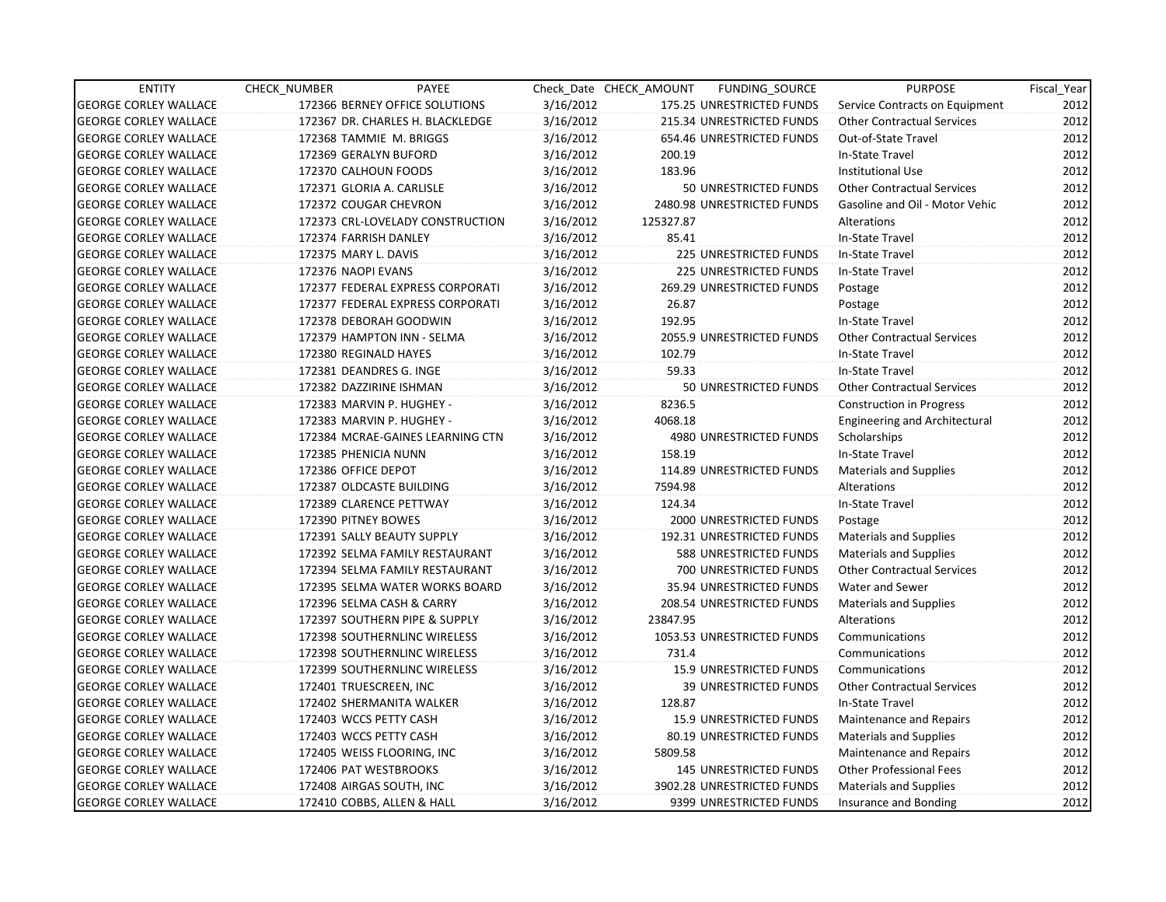| <b>ENTITY</b>                | CHECK_NUMBER               | PAYEE                            |           | Check Date CHECK AMOUNT | FUNDING_SOURCE                 | <b>PURPOSE</b>                       | Fiscal Year |
|------------------------------|----------------------------|----------------------------------|-----------|-------------------------|--------------------------------|--------------------------------------|-------------|
| <b>GEORGE CORLEY WALLACE</b> |                            | 172366 BERNEY OFFICE SOLUTIONS   | 3/16/2012 |                         | 175.25 UNRESTRICTED FUNDS      | Service Contracts on Equipment       | 2012        |
| <b>GEORGE CORLEY WALLACE</b> |                            | 172367 DR. CHARLES H. BLACKLEDGE | 3/16/2012 |                         | 215.34 UNRESTRICTED FUNDS      | <b>Other Contractual Services</b>    | 2012        |
| <b>GEORGE CORLEY WALLACE</b> | 172368 TAMMIE M. BRIGGS    |                                  | 3/16/2012 |                         | 654.46 UNRESTRICTED FUNDS      | Out-of-State Travel                  | 2012        |
| <b>GEORGE CORLEY WALLACE</b> | 172369 GERALYN BUFORD      |                                  | 3/16/2012 | 200.19                  |                                | In-State Travel                      | 2012        |
| <b>GEORGE CORLEY WALLACE</b> | 172370 CALHOUN FOODS       |                                  | 3/16/2012 | 183.96                  |                                | <b>Institutional Use</b>             | 2012        |
| <b>GEORGE CORLEY WALLACE</b> | 172371 GLORIA A. CARLISLE  |                                  | 3/16/2012 |                         | 50 UNRESTRICTED FUNDS          | <b>Other Contractual Services</b>    | 2012        |
| <b>GEORGE CORLEY WALLACE</b> | 172372 COUGAR CHEVRON      |                                  | 3/16/2012 |                         | 2480.98 UNRESTRICTED FUNDS     | Gasoline and Oil - Motor Vehic       | 2012        |
| <b>GEORGE CORLEY WALLACE</b> |                            | 172373 CRL-LOVELADY CONSTRUCTION | 3/16/2012 | 125327.87               |                                | Alterations                          | 2012        |
| <b>GEORGE CORLEY WALLACE</b> | 172374 FARRISH DANLEY      |                                  | 3/16/2012 | 85.41                   |                                | In-State Travel                      | 2012        |
| <b>GEORGE CORLEY WALLACE</b> | 172375 MARY L. DAVIS       |                                  | 3/16/2012 |                         | 225 UNRESTRICTED FUNDS         | In-State Travel                      | 2012        |
| <b>GEORGE CORLEY WALLACE</b> | 172376 NAOPI EVANS         |                                  | 3/16/2012 |                         | <b>225 UNRESTRICTED FUNDS</b>  | In-State Travel                      | 2012        |
| <b>GEORGE CORLEY WALLACE</b> |                            | 172377 FEDERAL EXPRESS CORPORATI | 3/16/2012 |                         | 269.29 UNRESTRICTED FUNDS      | Postage                              | 2012        |
| <b>GEORGE CORLEY WALLACE</b> |                            | 172377 FEDERAL EXPRESS CORPORATI | 3/16/2012 | 26.87                   |                                | Postage                              | 2012        |
| <b>GEORGE CORLEY WALLACE</b> | 172378 DEBORAH GOODWIN     |                                  | 3/16/2012 | 192.95                  |                                | In-State Travel                      | 2012        |
| <b>GEORGE CORLEY WALLACE</b> |                            | 172379 HAMPTON INN - SELMA       | 3/16/2012 |                         | 2055.9 UNRESTRICTED FUNDS      | <b>Other Contractual Services</b>    | 2012        |
| <b>GEORGE CORLEY WALLACE</b> | 172380 REGINALD HAYES      |                                  | 3/16/2012 | 102.79                  |                                | In-State Travel                      | 2012        |
| <b>GEORGE CORLEY WALLACE</b> | 172381 DEANDRES G. INGE    |                                  | 3/16/2012 | 59.33                   |                                | In-State Travel                      | 2012        |
| <b>GEORGE CORLEY WALLACE</b> | 172382 DAZZIRINE ISHMAN    |                                  | 3/16/2012 |                         | 50 UNRESTRICTED FUNDS          | <b>Other Contractual Services</b>    | 2012        |
| <b>GEORGE CORLEY WALLACE</b> | 172383 MARVIN P. HUGHEY -  |                                  | 3/16/2012 | 8236.5                  |                                | <b>Construction in Progress</b>      | 2012        |
| <b>GEORGE CORLEY WALLACE</b> | 172383 MARVIN P. HUGHEY -  |                                  | 3/16/2012 | 4068.18                 |                                | <b>Engineering and Architectural</b> | 2012        |
| <b>GEORGE CORLEY WALLACE</b> |                            | 172384 MCRAE-GAINES LEARNING CTN | 3/16/2012 |                         | 4980 UNRESTRICTED FUNDS        | Scholarships                         | 2012        |
| <b>GEORGE CORLEY WALLACE</b> | 172385 PHENICIA NUNN       |                                  | 3/16/2012 | 158.19                  |                                | In-State Travel                      | 2012        |
| <b>GEORGE CORLEY WALLACE</b> | 172386 OFFICE DEPOT        |                                  | 3/16/2012 |                         | 114.89 UNRESTRICTED FUNDS      | <b>Materials and Supplies</b>        | 2012        |
| <b>GEORGE CORLEY WALLACE</b> | 172387 OLDCASTE BUILDING   |                                  | 3/16/2012 | 7594.98                 |                                | Alterations                          | 2012        |
| <b>GEORGE CORLEY WALLACE</b> | 172389 CLARENCE PETTWAY    |                                  | 3/16/2012 | 124.34                  |                                | In-State Travel                      | 2012        |
| <b>GEORGE CORLEY WALLACE</b> | 172390 PITNEY BOWES        |                                  | 3/16/2012 |                         | 2000 UNRESTRICTED FUNDS        | Postage                              | 2012        |
| <b>GEORGE CORLEY WALLACE</b> |                            | 172391 SALLY BEAUTY SUPPLY       | 3/16/2012 |                         | 192.31 UNRESTRICTED FUNDS      | Materials and Supplies               | 2012        |
| <b>GEORGE CORLEY WALLACE</b> |                            | 172392 SELMA FAMILY RESTAURANT   | 3/16/2012 |                         | 588 UNRESTRICTED FUNDS         | <b>Materials and Supplies</b>        | 2012        |
| <b>GEORGE CORLEY WALLACE</b> |                            | 172394 SELMA FAMILY RESTAURANT   | 3/16/2012 |                         | 700 UNRESTRICTED FUNDS         | <b>Other Contractual Services</b>    | 2012        |
| <b>GEORGE CORLEY WALLACE</b> |                            | 172395 SELMA WATER WORKS BOARD   | 3/16/2012 |                         | 35.94 UNRESTRICTED FUNDS       | Water and Sewer                      | 2012        |
| <b>GEORGE CORLEY WALLACE</b> |                            | 172396 SELMA CASH & CARRY        | 3/16/2012 |                         | 208.54 UNRESTRICTED FUNDS      | <b>Materials and Supplies</b>        | 2012        |
| <b>GEORGE CORLEY WALLACE</b> |                            | 172397 SOUTHERN PIPE & SUPPLY    | 3/16/2012 | 23847.95                |                                | Alterations                          | 2012        |
| <b>GEORGE CORLEY WALLACE</b> |                            | 172398 SOUTHERNLINC WIRELESS     | 3/16/2012 |                         | 1053.53 UNRESTRICTED FUNDS     | Communications                       | 2012        |
| <b>GEORGE CORLEY WALLACE</b> |                            | 172398 SOUTHERNLINC WIRELESS     | 3/16/2012 | 731.4                   |                                | Communications                       | 2012        |
| <b>GEORGE CORLEY WALLACE</b> |                            | 172399 SOUTHERNLINC WIRELESS     | 3/16/2012 |                         | 15.9 UNRESTRICTED FUNDS        | Communications                       | 2012        |
| <b>GEORGE CORLEY WALLACE</b> | 172401 TRUESCREEN, INC     |                                  | 3/16/2012 |                         | <b>39 UNRESTRICTED FUNDS</b>   | <b>Other Contractual Services</b>    | 2012        |
| <b>GEORGE CORLEY WALLACE</b> |                            | 172402 SHERMANITA WALKER         | 3/16/2012 | 128.87                  |                                | In-State Travel                      | 2012        |
| <b>GEORGE CORLEY WALLACE</b> | 172403 WCCS PETTY CASH     |                                  | 3/16/2012 |                         | <b>15.9 UNRESTRICTED FUNDS</b> | <b>Maintenance and Repairs</b>       | 2012        |
| <b>GEORGE CORLEY WALLACE</b> | 172403 WCCS PETTY CASH     |                                  | 3/16/2012 |                         | 80.19 UNRESTRICTED FUNDS       | Materials and Supplies               | 2012        |
| <b>GEORGE CORLEY WALLACE</b> |                            | 172405 WEISS FLOORING, INC       | 3/16/2012 | 5809.58                 |                                | <b>Maintenance and Repairs</b>       | 2012        |
| <b>GEORGE CORLEY WALLACE</b> | 172406 PAT WESTBROOKS      |                                  | 3/16/2012 |                         | 145 UNRESTRICTED FUNDS         | <b>Other Professional Fees</b>       | 2012        |
| <b>GEORGE CORLEY WALLACE</b> | 172408 AIRGAS SOUTH, INC   |                                  | 3/16/2012 |                         | 3902.28 UNRESTRICTED FUNDS     | Materials and Supplies               | 2012        |
| <b>GEORGE CORLEY WALLACE</b> | 172410 COBBS, ALLEN & HALL |                                  | 3/16/2012 |                         | 9399 UNRESTRICTED FUNDS        | Insurance and Bonding                | 2012        |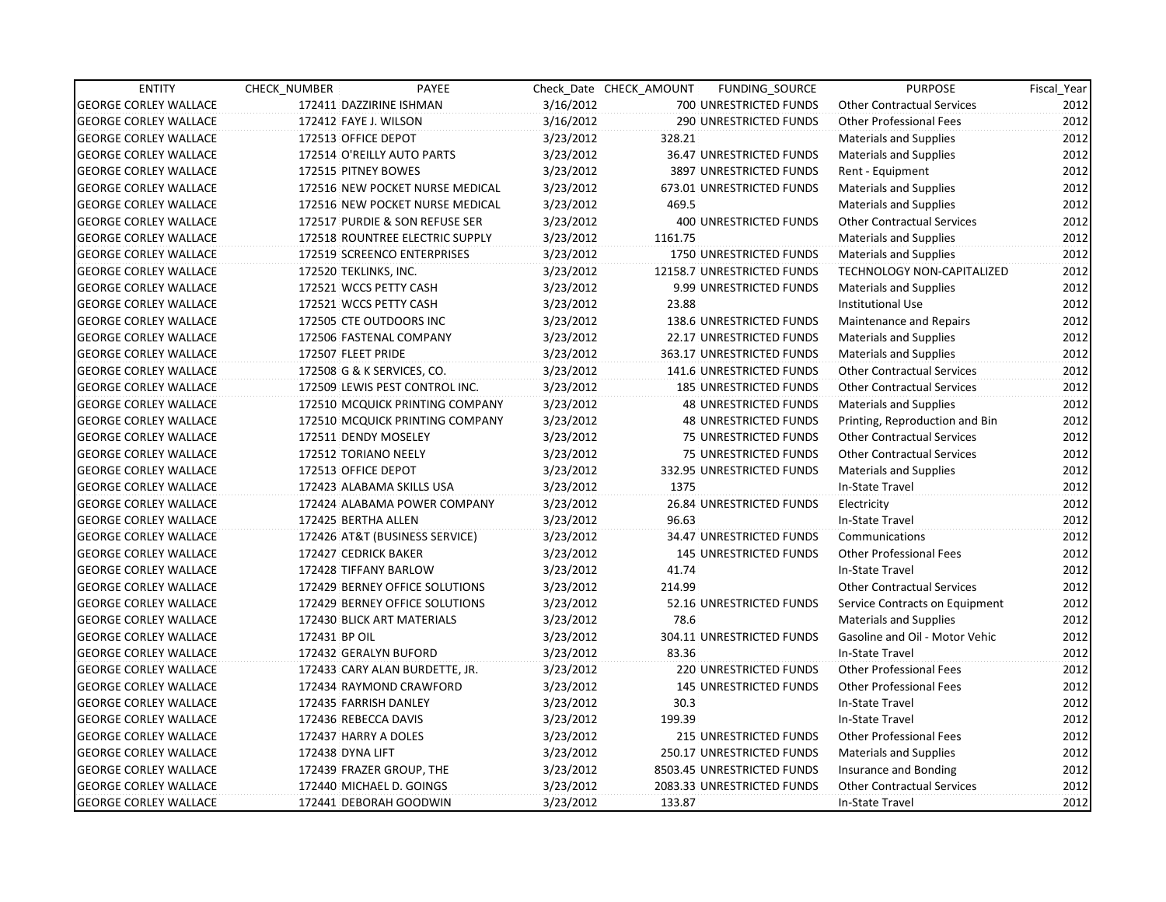| <b>ENTITY</b>                | CHECK_NUMBER               | PAYEE                           |           | Check Date CHECK AMOUNT | FUNDING_SOURCE                | <b>PURPOSE</b>                    | Fiscal Year |
|------------------------------|----------------------------|---------------------------------|-----------|-------------------------|-------------------------------|-----------------------------------|-------------|
| <b>GEORGE CORLEY WALLACE</b> | 172411 DAZZIRINE ISHMAN    |                                 | 3/16/2012 |                         | 700 UNRESTRICTED FUNDS        | <b>Other Contractual Services</b> | 2012        |
| <b>GEORGE CORLEY WALLACE</b> | 172412 FAYE J. WILSON      |                                 | 3/16/2012 |                         | <b>290 UNRESTRICTED FUNDS</b> | <b>Other Professional Fees</b>    | 2012        |
| <b>GEORGE CORLEY WALLACE</b> | 172513 OFFICE DEPOT        |                                 | 3/23/2012 | 328.21                  |                               | <b>Materials and Supplies</b>     | 2012        |
| <b>GEORGE CORLEY WALLACE</b> | 172514 O'REILLY AUTO PARTS |                                 | 3/23/2012 |                         | 36.47 UNRESTRICTED FUNDS      | <b>Materials and Supplies</b>     | 2012        |
| <b>GEORGE CORLEY WALLACE</b> | 172515 PITNEY BOWES        |                                 | 3/23/2012 |                         | 3897 UNRESTRICTED FUNDS       | Rent - Equipment                  | 2012        |
| <b>GEORGE CORLEY WALLACE</b> |                            | 172516 NEW POCKET NURSE MEDICAL | 3/23/2012 |                         | 673.01 UNRESTRICTED FUNDS     | Materials and Supplies            | 2012        |
| <b>GEORGE CORLEY WALLACE</b> |                            | 172516 NEW POCKET NURSE MEDICAL | 3/23/2012 | 469.5                   |                               | <b>Materials and Supplies</b>     | 2012        |
| <b>GEORGE CORLEY WALLACE</b> |                            | 172517 PURDIE & SON REFUSE SER  | 3/23/2012 |                         | <b>400 UNRESTRICTED FUNDS</b> | <b>Other Contractual Services</b> | 2012        |
| <b>GEORGE CORLEY WALLACE</b> |                            | 172518 ROUNTREE ELECTRIC SUPPLY | 3/23/2012 | 1161.75                 |                               | <b>Materials and Supplies</b>     | 2012        |
| <b>GEORGE CORLEY WALLACE</b> |                            | 172519 SCREENCO ENTERPRISES     | 3/23/2012 |                         | 1750 UNRESTRICTED FUNDS       | <b>Materials and Supplies</b>     | 2012        |
| <b>GEORGE CORLEY WALLACE</b> | 172520 TEKLINKS, INC.      |                                 | 3/23/2012 |                         | 12158.7 UNRESTRICTED FUNDS    | TECHNOLOGY NON-CAPITALIZED        | 2012        |
| <b>GEORGE CORLEY WALLACE</b> | 172521 WCCS PETTY CASH     |                                 | 3/23/2012 |                         | 9.99 UNRESTRICTED FUNDS       | <b>Materials and Supplies</b>     | 2012        |
| <b>GEORGE CORLEY WALLACE</b> | 172521 WCCS PETTY CASH     |                                 | 3/23/2012 | 23.88                   |                               | <b>Institutional Use</b>          | 2012        |
| <b>GEORGE CORLEY WALLACE</b> | 172505 CTE OUTDOORS INC    |                                 | 3/23/2012 |                         | 138.6 UNRESTRICTED FUNDS      | Maintenance and Repairs           | 2012        |
| <b>GEORGE CORLEY WALLACE</b> | 172506 FASTENAL COMPANY    |                                 | 3/23/2012 |                         | 22.17 UNRESTRICTED FUNDS      | <b>Materials and Supplies</b>     | 2012        |
| <b>GEORGE CORLEY WALLACE</b> | 172507 FLEET PRIDE         |                                 | 3/23/2012 |                         | 363.17 UNRESTRICTED FUNDS     | <b>Materials and Supplies</b>     | 2012        |
| <b>GEORGE CORLEY WALLACE</b> | 172508 G & K SERVICES, CO. |                                 | 3/23/2012 |                         | 141.6 UNRESTRICTED FUNDS      | <b>Other Contractual Services</b> | 2012        |
| <b>GEORGE CORLEY WALLACE</b> |                            | 172509 LEWIS PEST CONTROL INC.  | 3/23/2012 |                         | 185 UNRESTRICTED FUNDS        | <b>Other Contractual Services</b> | 2012        |
| <b>GEORGE CORLEY WALLACE</b> |                            | 172510 MCQUICK PRINTING COMPANY | 3/23/2012 |                         | <b>48 UNRESTRICTED FUNDS</b>  | Materials and Supplies            | 2012        |
| <b>GEORGE CORLEY WALLACE</b> |                            | 172510 MCQUICK PRINTING COMPANY | 3/23/2012 |                         | <b>48 UNRESTRICTED FUNDS</b>  | Printing, Reproduction and Bin    | 2012        |
| <b>GEORGE CORLEY WALLACE</b> | 172511 DENDY MOSELEY       |                                 | 3/23/2012 |                         | 75 UNRESTRICTED FUNDS         | <b>Other Contractual Services</b> | 2012        |
| <b>GEORGE CORLEY WALLACE</b> | 172512 TORIANO NEELY       |                                 | 3/23/2012 |                         | 75 UNRESTRICTED FUNDS         | <b>Other Contractual Services</b> | 2012        |
| <b>GEORGE CORLEY WALLACE</b> | 172513 OFFICE DEPOT        |                                 | 3/23/2012 |                         | 332.95 UNRESTRICTED FUNDS     | Materials and Supplies            | 2012        |
| <b>GEORGE CORLEY WALLACE</b> | 172423 ALABAMA SKILLS USA  |                                 | 3/23/2012 | 1375                    |                               | In-State Travel                   | 2012        |
| <b>GEORGE CORLEY WALLACE</b> |                            | 172424 ALABAMA POWER COMPANY    | 3/23/2012 |                         | 26.84 UNRESTRICTED FUNDS      | Electricity                       | 2012        |
| <b>GEORGE CORLEY WALLACE</b> | 172425 BERTHA ALLEN        |                                 | 3/23/2012 | 96.63                   |                               | In-State Travel                   | 2012        |
| <b>GEORGE CORLEY WALLACE</b> |                            | 172426 AT&T (BUSINESS SERVICE)  | 3/23/2012 |                         | 34.47 UNRESTRICTED FUNDS      | Communications                    | 2012        |
| <b>GEORGE CORLEY WALLACE</b> | 172427 CEDRICK BAKER       |                                 | 3/23/2012 |                         | <b>145 UNRESTRICTED FUNDS</b> | <b>Other Professional Fees</b>    | 2012        |
| <b>GEORGE CORLEY WALLACE</b> | 172428 TIFFANY BARLOW      |                                 | 3/23/2012 | 41.74                   |                               | In-State Travel                   | 2012        |
| <b>GEORGE CORLEY WALLACE</b> |                            | 172429 BERNEY OFFICE SOLUTIONS  | 3/23/2012 | 214.99                  |                               | <b>Other Contractual Services</b> | 2012        |
| <b>GEORGE CORLEY WALLACE</b> |                            | 172429 BERNEY OFFICE SOLUTIONS  | 3/23/2012 |                         | 52.16 UNRESTRICTED FUNDS      | Service Contracts on Equipment    | 2012        |
| <b>GEORGE CORLEY WALLACE</b> | 172430 BLICK ART MATERIALS |                                 | 3/23/2012 | 78.6                    |                               | Materials and Supplies            | 2012        |
| <b>GEORGE CORLEY WALLACE</b> | 172431 BP OIL              |                                 | 3/23/2012 |                         | 304.11 UNRESTRICTED FUNDS     | Gasoline and Oil - Motor Vehic    | 2012        |
| <b>GEORGE CORLEY WALLACE</b> | 172432 GERALYN BUFORD      |                                 | 3/23/2012 | 83.36                   |                               | In-State Travel                   | 2012        |
| <b>GEORGE CORLEY WALLACE</b> |                            | 172433 CARY ALAN BURDETTE, JR.  | 3/23/2012 |                         | 220 UNRESTRICTED FUNDS        | <b>Other Professional Fees</b>    | 2012        |
| <b>GEORGE CORLEY WALLACE</b> |                            | 172434 RAYMOND CRAWFORD         | 3/23/2012 |                         | <b>145 UNRESTRICTED FUNDS</b> | <b>Other Professional Fees</b>    | 2012        |
| <b>GEORGE CORLEY WALLACE</b> | 172435 FARRISH DANLEY      |                                 | 3/23/2012 | 30.3                    |                               | In-State Travel                   | 2012        |
| <b>GEORGE CORLEY WALLACE</b> | 172436 REBECCA DAVIS       |                                 | 3/23/2012 | 199.39                  |                               | In-State Travel                   | 2012        |
| <b>GEORGE CORLEY WALLACE</b> | 172437 HARRY A DOLES       |                                 | 3/23/2012 |                         | 215 UNRESTRICTED FUNDS        | <b>Other Professional Fees</b>    | 2012        |
| <b>GEORGE CORLEY WALLACE</b> | 172438 DYNA LIFT           |                                 | 3/23/2012 |                         | 250.17 UNRESTRICTED FUNDS     | Materials and Supplies            | 2012        |
| <b>GEORGE CORLEY WALLACE</b> | 172439 FRAZER GROUP, THE   |                                 | 3/23/2012 |                         | 8503.45 UNRESTRICTED FUNDS    | Insurance and Bonding             | 2012        |
| <b>GEORGE CORLEY WALLACE</b> | 172440 MICHAEL D. GOINGS   |                                 | 3/23/2012 |                         | 2083.33 UNRESTRICTED FUNDS    | <b>Other Contractual Services</b> | 2012        |
| <b>GEORGE CORLEY WALLACE</b> | 172441 DEBORAH GOODWIN     |                                 | 3/23/2012 | 133.87                  |                               | In-State Travel                   | 2012        |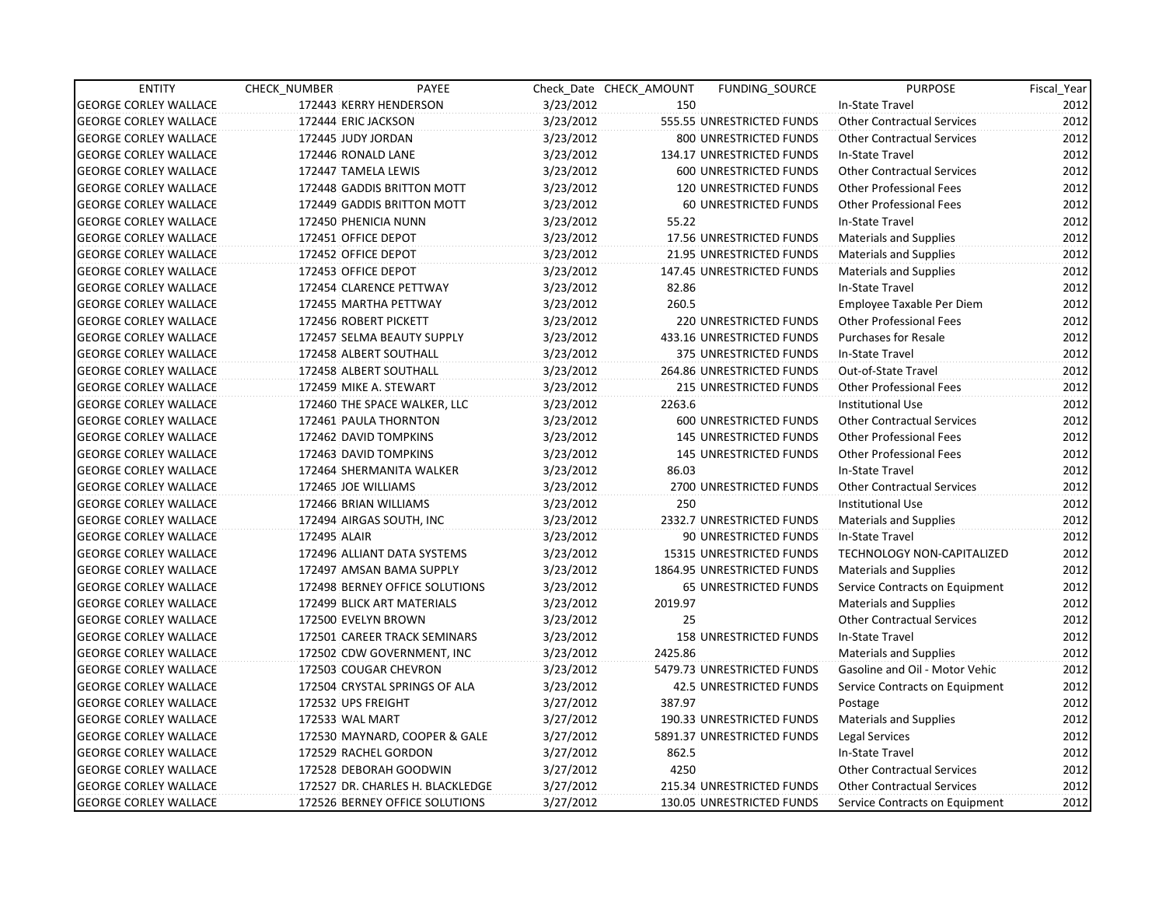| <b>ENTITY</b>                | CHECK_NUMBER             | PAYEE                            |           | Check Date CHECK AMOUNT | <b>FUNDING SOURCE</b>         | <b>PURPOSE</b>                    | Fiscal_Year |
|------------------------------|--------------------------|----------------------------------|-----------|-------------------------|-------------------------------|-----------------------------------|-------------|
| <b>GEORGE CORLEY WALLACE</b> | 172443 KERRY HENDERSON   |                                  | 3/23/2012 | 150                     |                               | In-State Travel                   | 2012        |
| <b>GEORGE CORLEY WALLACE</b> | 172444 ERIC JACKSON      |                                  | 3/23/2012 |                         | 555.55 UNRESTRICTED FUNDS     | <b>Other Contractual Services</b> | 2012        |
| <b>GEORGE CORLEY WALLACE</b> | 172445 JUDY JORDAN       |                                  | 3/23/2012 |                         | 800 UNRESTRICTED FUNDS        | <b>Other Contractual Services</b> | 2012        |
| <b>GEORGE CORLEY WALLACE</b> | 172446 RONALD LANE       |                                  | 3/23/2012 |                         | 134.17 UNRESTRICTED FUNDS     | In-State Travel                   | 2012        |
| <b>GEORGE CORLEY WALLACE</b> | 172447 TAMELA LEWIS      |                                  | 3/23/2012 |                         | 600 UNRESTRICTED FUNDS        | <b>Other Contractual Services</b> | 2012        |
| <b>GEORGE CORLEY WALLACE</b> |                          | 172448 GADDIS BRITTON MOTT       | 3/23/2012 |                         | <b>120 UNRESTRICTED FUNDS</b> | <b>Other Professional Fees</b>    | 2012        |
| <b>GEORGE CORLEY WALLACE</b> |                          | 172449 GADDIS BRITTON MOTT       | 3/23/2012 |                         | 60 UNRESTRICTED FUNDS         | <b>Other Professional Fees</b>    | 2012        |
| <b>GEORGE CORLEY WALLACE</b> | 172450 PHENICIA NUNN     |                                  | 3/23/2012 | 55.22                   |                               | In-State Travel                   | 2012        |
| <b>GEORGE CORLEY WALLACE</b> | 172451 OFFICE DEPOT      |                                  | 3/23/2012 |                         | 17.56 UNRESTRICTED FUNDS      | Materials and Supplies            | 2012        |
| <b>GEORGE CORLEY WALLACE</b> | 172452 OFFICE DEPOT      |                                  | 3/23/2012 |                         | 21.95 UNRESTRICTED FUNDS      | Materials and Supplies            | 2012        |
| <b>GEORGE CORLEY WALLACE</b> | 172453 OFFICE DEPOT      |                                  | 3/23/2012 |                         | 147.45 UNRESTRICTED FUNDS     | <b>Materials and Supplies</b>     | 2012        |
| <b>GEORGE CORLEY WALLACE</b> | 172454 CLARENCE PETTWAY  |                                  | 3/23/2012 | 82.86                   |                               | In-State Travel                   | 2012        |
| <b>GEORGE CORLEY WALLACE</b> | 172455 MARTHA PETTWAY    |                                  | 3/23/2012 | 260.5                   |                               | Employee Taxable Per Diem         | 2012        |
| <b>GEORGE CORLEY WALLACE</b> | 172456 ROBERT PICKETT    |                                  | 3/23/2012 |                         | <b>220 UNRESTRICTED FUNDS</b> | <b>Other Professional Fees</b>    | 2012        |
| <b>GEORGE CORLEY WALLACE</b> |                          | 172457 SELMA BEAUTY SUPPLY       | 3/23/2012 |                         | 433.16 UNRESTRICTED FUNDS     | <b>Purchases for Resale</b>       | 2012        |
| <b>GEORGE CORLEY WALLACE</b> | 172458 ALBERT SOUTHALL   |                                  | 3/23/2012 |                         | 375 UNRESTRICTED FUNDS        | In-State Travel                   | 2012        |
| <b>GEORGE CORLEY WALLACE</b> | 172458 ALBERT SOUTHALL   |                                  | 3/23/2012 |                         | 264.86 UNRESTRICTED FUNDS     | Out-of-State Travel               | 2012        |
| <b>GEORGE CORLEY WALLACE</b> | 172459 MIKE A. STEWART   |                                  | 3/23/2012 |                         | 215 UNRESTRICTED FUNDS        | <b>Other Professional Fees</b>    | 2012        |
| <b>GEORGE CORLEY WALLACE</b> |                          | 172460 THE SPACE WALKER, LLC     | 3/23/2012 | 2263.6                  |                               | <b>Institutional Use</b>          | 2012        |
| <b>GEORGE CORLEY WALLACE</b> | 172461 PAULA THORNTON    |                                  | 3/23/2012 |                         | 600 UNRESTRICTED FUNDS        | <b>Other Contractual Services</b> | 2012        |
| <b>GEORGE CORLEY WALLACE</b> | 172462 DAVID TOMPKINS    |                                  | 3/23/2012 |                         | <b>145 UNRESTRICTED FUNDS</b> | <b>Other Professional Fees</b>    | 2012        |
| <b>GEORGE CORLEY WALLACE</b> | 172463 DAVID TOMPKINS    |                                  | 3/23/2012 |                         | <b>145 UNRESTRICTED FUNDS</b> | <b>Other Professional Fees</b>    | 2012        |
| <b>GEORGE CORLEY WALLACE</b> |                          | 172464 SHERMANITA WALKER         | 3/23/2012 | 86.03                   |                               | In-State Travel                   | 2012        |
| <b>GEORGE CORLEY WALLACE</b> | 172465 JOE WILLIAMS      |                                  | 3/23/2012 |                         | 2700 UNRESTRICTED FUNDS       | <b>Other Contractual Services</b> | 2012        |
| <b>GEORGE CORLEY WALLACE</b> | 172466 BRIAN WILLIAMS    |                                  | 3/23/2012 | 250                     |                               | <b>Institutional Use</b>          | 2012        |
| <b>GEORGE CORLEY WALLACE</b> | 172494 AIRGAS SOUTH, INC |                                  | 3/23/2012 |                         | 2332.7 UNRESTRICTED FUNDS     | <b>Materials and Supplies</b>     | 2012        |
| <b>GEORGE CORLEY WALLACE</b> | 172495 ALAIR             |                                  | 3/23/2012 |                         | 90 UNRESTRICTED FUNDS         | In-State Travel                   | 2012        |
| <b>GEORGE CORLEY WALLACE</b> |                          | 172496 ALLIANT DATA SYSTEMS      | 3/23/2012 |                         | 15315 UNRESTRICTED FUNDS      | TECHNOLOGY NON-CAPITALIZED        | 2012        |
| <b>GEORGE CORLEY WALLACE</b> |                          | 172497 AMSAN BAMA SUPPLY         | 3/23/2012 |                         | 1864.95 UNRESTRICTED FUNDS    | <b>Materials and Supplies</b>     | 2012        |
| <b>GEORGE CORLEY WALLACE</b> |                          | 172498 BERNEY OFFICE SOLUTIONS   | 3/23/2012 |                         | 65 UNRESTRICTED FUNDS         | Service Contracts on Equipment    | 2012        |
| <b>GEORGE CORLEY WALLACE</b> |                          | 172499 BLICK ART MATERIALS       | 3/23/2012 | 2019.97                 |                               | Materials and Supplies            | 2012        |
| <b>GEORGE CORLEY WALLACE</b> | 172500 EVELYN BROWN      |                                  | 3/23/2012 | 25                      |                               | <b>Other Contractual Services</b> | 2012        |
| <b>GEORGE CORLEY WALLACE</b> |                          | 172501 CAREER TRACK SEMINARS     | 3/23/2012 |                         | <b>158 UNRESTRICTED FUNDS</b> | In-State Travel                   | 2012        |
| <b>GEORGE CORLEY WALLACE</b> |                          | 172502 CDW GOVERNMENT, INC       | 3/23/2012 | 2425.86                 |                               | Materials and Supplies            | 2012        |
| <b>GEORGE CORLEY WALLACE</b> | 172503 COUGAR CHEVRON    |                                  | 3/23/2012 |                         | 5479.73 UNRESTRICTED FUNDS    | Gasoline and Oil - Motor Vehic    | 2012        |
| <b>GEORGE CORLEY WALLACE</b> |                          | 172504 CRYSTAL SPRINGS OF ALA    | 3/23/2012 |                         | 42.5 UNRESTRICTED FUNDS       | Service Contracts on Equipment    | 2012        |
| <b>GEORGE CORLEY WALLACE</b> | 172532 UPS FREIGHT       |                                  | 3/27/2012 | 387.97                  |                               | Postage                           | 2012        |
| <b>GEORGE CORLEY WALLACE</b> | 172533 WAL MART          |                                  | 3/27/2012 |                         | 190.33 UNRESTRICTED FUNDS     | <b>Materials and Supplies</b>     | 2012        |
| <b>GEORGE CORLEY WALLACE</b> |                          | 172530 MAYNARD, COOPER & GALE    | 3/27/2012 |                         | 5891.37 UNRESTRICTED FUNDS    | Legal Services                    | 2012        |
| <b>GEORGE CORLEY WALLACE</b> | 172529 RACHEL GORDON     |                                  | 3/27/2012 | 862.5                   |                               | In-State Travel                   | 2012        |
| <b>GEORGE CORLEY WALLACE</b> | 172528 DEBORAH GOODWIN   |                                  | 3/27/2012 | 4250                    |                               | <b>Other Contractual Services</b> | 2012        |
| <b>GEORGE CORLEY WALLACE</b> |                          | 172527 DR. CHARLES H. BLACKLEDGE | 3/27/2012 |                         | 215.34 UNRESTRICTED FUNDS     | <b>Other Contractual Services</b> | 2012        |
| <b>GEORGE CORLEY WALLACE</b> |                          | 172526 BERNEY OFFICE SOLUTIONS   | 3/27/2012 |                         | 130.05 UNRESTRICTED FUNDS     | Service Contracts on Equipment    | 2012        |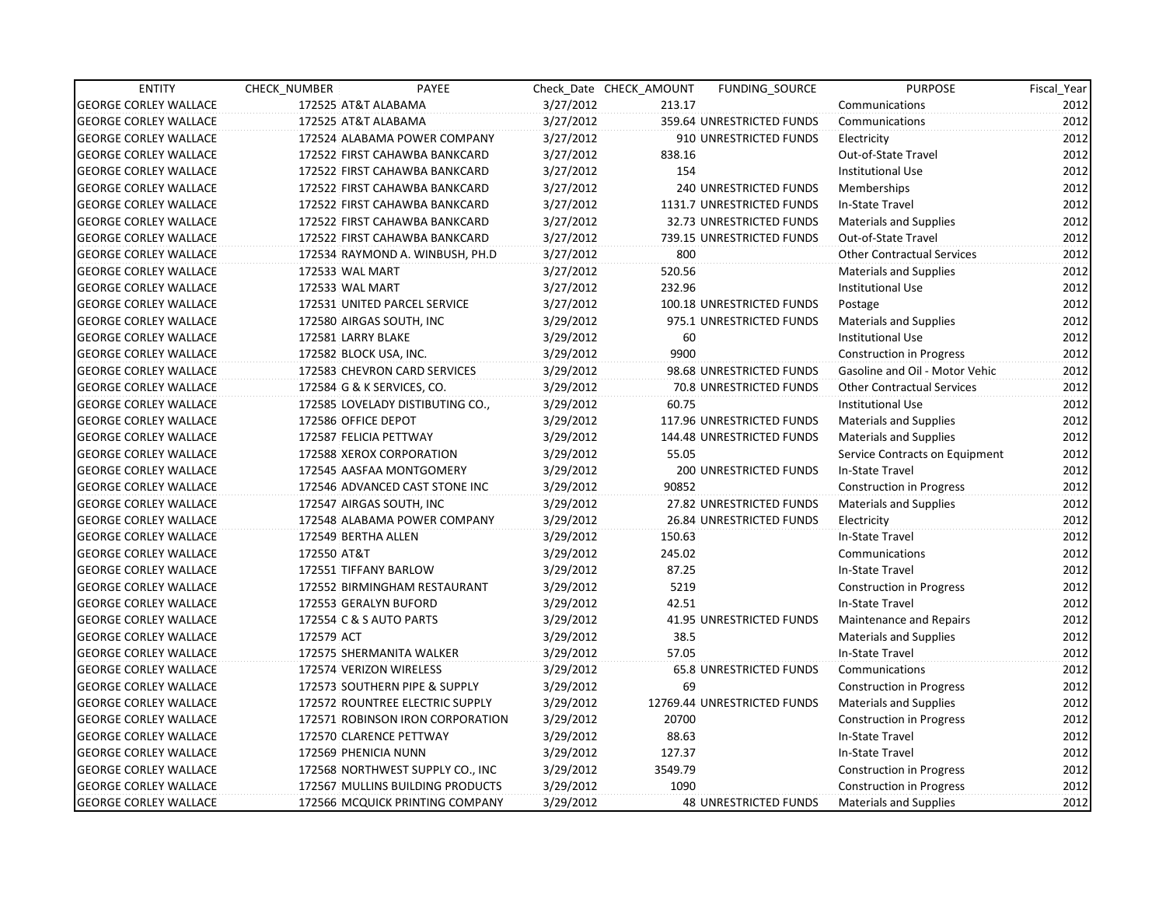| <b>ENTITY</b>                | CHECK_NUMBER             | PAYEE                            |           | Check Date CHECK AMOUNT | FUNDING SOURCE                 | <b>PURPOSE</b>                    | Fiscal_Year |
|------------------------------|--------------------------|----------------------------------|-----------|-------------------------|--------------------------------|-----------------------------------|-------------|
| <b>GEORGE CORLEY WALLACE</b> | 172525 AT&T ALABAMA      |                                  | 3/27/2012 | 213.17                  |                                | Communications                    | 2012        |
| <b>GEORGE CORLEY WALLACE</b> | 172525 AT&T ALABAMA      |                                  | 3/27/2012 |                         | 359.64 UNRESTRICTED FUNDS      | Communications                    | 2012        |
| <b>GEORGE CORLEY WALLACE</b> |                          | 172524 ALABAMA POWER COMPANY     | 3/27/2012 |                         | 910 UNRESTRICTED FUNDS         | Electricity                       | 2012        |
| <b>GEORGE CORLEY WALLACE</b> |                          | 172522 FIRST CAHAWBA BANKCARD    | 3/27/2012 | 838.16                  |                                | Out-of-State Travel               | 2012        |
| <b>GEORGE CORLEY WALLACE</b> |                          | 172522 FIRST CAHAWBA BANKCARD    | 3/27/2012 | 154                     |                                | <b>Institutional Use</b>          | 2012        |
| <b>GEORGE CORLEY WALLACE</b> |                          | 172522 FIRST CAHAWBA BANKCARD    | 3/27/2012 |                         | <b>240 UNRESTRICTED FUNDS</b>  | Memberships                       | 2012        |
| <b>GEORGE CORLEY WALLACE</b> |                          | 172522 FIRST CAHAWBA BANKCARD    | 3/27/2012 |                         | 1131.7 UNRESTRICTED FUNDS      | In-State Travel                   | 2012        |
| <b>GEORGE CORLEY WALLACE</b> |                          | 172522 FIRST CAHAWBA BANKCARD    | 3/27/2012 |                         | 32.73 UNRESTRICTED FUNDS       | <b>Materials and Supplies</b>     | 2012        |
| <b>GEORGE CORLEY WALLACE</b> |                          | 172522 FIRST CAHAWBA BANKCARD    | 3/27/2012 |                         | 739.15 UNRESTRICTED FUNDS      | Out-of-State Travel               | 2012        |
| <b>GEORGE CORLEY WALLACE</b> |                          | 172534 RAYMOND A. WINBUSH, PH.D  | 3/27/2012 | 800                     |                                | <b>Other Contractual Services</b> | 2012        |
| <b>GEORGE CORLEY WALLACE</b> | 172533 WAL MART          |                                  | 3/27/2012 | 520.56                  |                                | <b>Materials and Supplies</b>     | 2012        |
| <b>GEORGE CORLEY WALLACE</b> | 172533 WAL MART          |                                  | 3/27/2012 | 232.96                  |                                | Institutional Use                 | 2012        |
| <b>GEORGE CORLEY WALLACE</b> |                          | 172531 UNITED PARCEL SERVICE     | 3/27/2012 |                         | 100.18 UNRESTRICTED FUNDS      | Postage                           | 2012        |
| <b>GEORGE CORLEY WALLACE</b> | 172580 AIRGAS SOUTH, INC |                                  | 3/29/2012 |                         | 975.1 UNRESTRICTED FUNDS       | Materials and Supplies            | 2012        |
| <b>GEORGE CORLEY WALLACE</b> | 172581 LARRY BLAKE       |                                  | 3/29/2012 | 60                      |                                | <b>Institutional Use</b>          | 2012        |
| <b>GEORGE CORLEY WALLACE</b> | 172582 BLOCK USA, INC.   |                                  | 3/29/2012 | 9900                    |                                | <b>Construction in Progress</b>   | 2012        |
| <b>GEORGE CORLEY WALLACE</b> |                          | 172583 CHEVRON CARD SERVICES     | 3/29/2012 |                         | 98.68 UNRESTRICTED FUNDS       | Gasoline and Oil - Motor Vehic    | 2012        |
| <b>GEORGE CORLEY WALLACE</b> |                          | 172584 G & K SERVICES, CO.       | 3/29/2012 |                         | 70.8 UNRESTRICTED FUNDS        | <b>Other Contractual Services</b> | 2012        |
| <b>GEORGE CORLEY WALLACE</b> |                          | 172585 LOVELADY DISTIBUTING CO., | 3/29/2012 | 60.75                   |                                | <b>Institutional Use</b>          | 2012        |
| <b>GEORGE CORLEY WALLACE</b> | 172586 OFFICE DEPOT      |                                  | 3/29/2012 |                         | 117.96 UNRESTRICTED FUNDS      | Materials and Supplies            | 2012        |
| <b>GEORGE CORLEY WALLACE</b> | 172587 FELICIA PETTWAY   |                                  | 3/29/2012 |                         | 144.48 UNRESTRICTED FUNDS      | Materials and Supplies            | 2012        |
| <b>GEORGE CORLEY WALLACE</b> |                          | 172588 XEROX CORPORATION         | 3/29/2012 | 55.05                   |                                | Service Contracts on Equipment    | 2012        |
| <b>GEORGE CORLEY WALLACE</b> |                          | 172545 AASFAA MONTGOMERY         | 3/29/2012 |                         | <b>200 UNRESTRICTED FUNDS</b>  | In-State Travel                   | 2012        |
| <b>GEORGE CORLEY WALLACE</b> |                          | 172546 ADVANCED CAST STONE INC   | 3/29/2012 | 90852                   |                                | Construction in Progress          | 2012        |
| <b>GEORGE CORLEY WALLACE</b> | 172547 AIRGAS SOUTH, INC |                                  | 3/29/2012 |                         | 27.82 UNRESTRICTED FUNDS       | <b>Materials and Supplies</b>     | 2012        |
| <b>GEORGE CORLEY WALLACE</b> |                          | 172548 ALABAMA POWER COMPANY     | 3/29/2012 |                         | 26.84 UNRESTRICTED FUNDS       | Electricity                       | 2012        |
| <b>GEORGE CORLEY WALLACE</b> | 172549 BERTHA ALLEN      |                                  | 3/29/2012 | 150.63                  |                                | In-State Travel                   | 2012        |
| <b>GEORGE CORLEY WALLACE</b> | 172550 AT&T              |                                  | 3/29/2012 | 245.02                  |                                | Communications                    | 2012        |
| <b>GEORGE CORLEY WALLACE</b> | 172551 TIFFANY BARLOW    |                                  | 3/29/2012 | 87.25                   |                                | In-State Travel                   | 2012        |
| <b>GEORGE CORLEY WALLACE</b> |                          | 172552 BIRMINGHAM RESTAURANT     | 3/29/2012 | 5219                    |                                | Construction in Progress          | 2012        |
| <b>GEORGE CORLEY WALLACE</b> | 172553 GERALYN BUFORD    |                                  | 3/29/2012 | 42.51                   |                                | In-State Travel                   | 2012        |
| <b>GEORGE CORLEY WALLACE</b> | 172554 C & S AUTO PARTS  |                                  | 3/29/2012 |                         | 41.95 UNRESTRICTED FUNDS       | <b>Maintenance and Repairs</b>    | 2012        |
| <b>GEORGE CORLEY WALLACE</b> | 172579 ACT               |                                  | 3/29/2012 | 38.5                    |                                | Materials and Supplies            | 2012        |
| <b>GEORGE CORLEY WALLACE</b> |                          | 172575 SHERMANITA WALKER         | 3/29/2012 | 57.05                   |                                | In-State Travel                   | 2012        |
| <b>GEORGE CORLEY WALLACE</b> | 172574 VERIZON WIRELESS  |                                  | 3/29/2012 |                         | <b>65.8 UNRESTRICTED FUNDS</b> | Communications                    | 2012        |
| <b>GEORGE CORLEY WALLACE</b> |                          | 172573 SOUTHERN PIPE & SUPPLY    | 3/29/2012 | 69                      |                                | <b>Construction in Progress</b>   | 2012        |
| <b>GEORGE CORLEY WALLACE</b> |                          | 172572 ROUNTREE ELECTRIC SUPPLY  | 3/29/2012 |                         | 12769.44 UNRESTRICTED FUNDS    | <b>Materials and Supplies</b>     | 2012        |
| <b>GEORGE CORLEY WALLACE</b> |                          | 172571 ROBINSON IRON CORPORATION | 3/29/2012 | 20700                   |                                | Construction in Progress          | 2012        |
| <b>GEORGE CORLEY WALLACE</b> |                          | 172570 CLARENCE PETTWAY          | 3/29/2012 | 88.63                   |                                | In-State Travel                   | 2012        |
| <b>GEORGE CORLEY WALLACE</b> | 172569 PHENICIA NUNN     |                                  | 3/29/2012 | 127.37                  |                                | In-State Travel                   | 2012        |
| <b>GEORGE CORLEY WALLACE</b> |                          | 172568 NORTHWEST SUPPLY CO., INC | 3/29/2012 | 3549.79                 |                                | Construction in Progress          | 2012        |
| <b>GEORGE CORLEY WALLACE</b> |                          | 172567 MULLINS BUILDING PRODUCTS | 3/29/2012 | 1090                    |                                | Construction in Progress          | 2012        |
| <b>GEORGE CORLEY WALLACE</b> |                          | 172566 MCQUICK PRINTING COMPANY  | 3/29/2012 |                         | <b>48 UNRESTRICTED FUNDS</b>   | <b>Materials and Supplies</b>     | 2012        |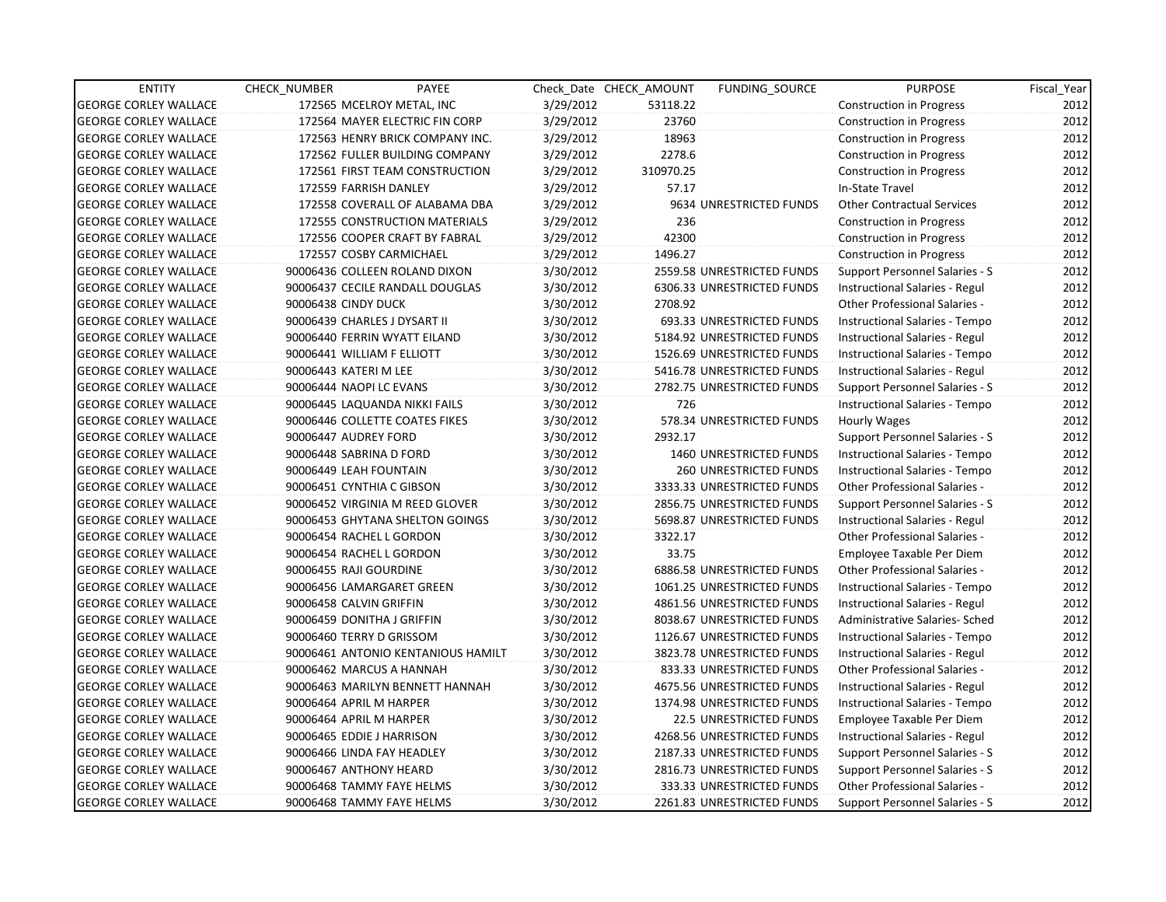| <b>ENTITY</b>                | CHECK NUMBER                  | PAYEE                              |           | Check Date CHECK AMOUNT | FUNDING SOURCE                | <b>PURPOSE</b>                       | Fiscal_Year |
|------------------------------|-------------------------------|------------------------------------|-----------|-------------------------|-------------------------------|--------------------------------------|-------------|
| <b>GEORGE CORLEY WALLACE</b> |                               | 172565 MCELROY METAL, INC          | 3/29/2012 | 53118.22                |                               | <b>Construction in Progress</b>      | 2012        |
| <b>GEORGE CORLEY WALLACE</b> |                               | 172564 MAYER ELECTRIC FIN CORP     | 3/29/2012 | 23760                   |                               | Construction in Progress             | 2012        |
| <b>GEORGE CORLEY WALLACE</b> |                               | 172563 HENRY BRICK COMPANY INC.    | 3/29/2012 | 18963                   |                               | <b>Construction in Progress</b>      | 2012        |
| <b>GEORGE CORLEY WALLACE</b> |                               | 172562 FULLER BUILDING COMPANY     | 3/29/2012 | 2278.6                  |                               | Construction in Progress             | 2012        |
| <b>GEORGE CORLEY WALLACE</b> |                               | 172561 FIRST TEAM CONSTRUCTION     | 3/29/2012 | 310970.25               |                               | <b>Construction in Progress</b>      | 2012        |
| <b>GEORGE CORLEY WALLACE</b> | 172559 FARRISH DANLEY         |                                    | 3/29/2012 | 57.17                   |                               | In-State Travel                      | 2012        |
| <b>GEORGE CORLEY WALLACE</b> |                               | 172558 COVERALL OF ALABAMA DBA     | 3/29/2012 |                         | 9634 UNRESTRICTED FUNDS       | <b>Other Contractual Services</b>    | 2012        |
| <b>GEORGE CORLEY WALLACE</b> |                               | 172555 CONSTRUCTION MATERIALS      | 3/29/2012 | 236                     |                               | Construction in Progress             | 2012        |
| <b>GEORGE CORLEY WALLACE</b> |                               | 172556 COOPER CRAFT BY FABRAL      | 3/29/2012 | 42300                   |                               | <b>Construction in Progress</b>      | 2012        |
| <b>GEORGE CORLEY WALLACE</b> | 172557 COSBY CARMICHAEL       |                                    | 3/29/2012 | 1496.27                 |                               | <b>Construction in Progress</b>      | 2012        |
| <b>GEORGE CORLEY WALLACE</b> |                               | 90006436 COLLEEN ROLAND DIXON      | 3/30/2012 |                         | 2559.58 UNRESTRICTED FUNDS    | Support Personnel Salaries - S       | 2012        |
| <b>GEORGE CORLEY WALLACE</b> |                               | 90006437 CECILE RANDALL DOUGLAS    | 3/30/2012 |                         | 6306.33 UNRESTRICTED FUNDS    | Instructional Salaries - Regul       | 2012        |
| <b>GEORGE CORLEY WALLACE</b> | 90006438 CINDY DUCK           |                                    | 3/30/2012 | 2708.92                 |                               | Other Professional Salaries -        | 2012        |
| <b>GEORGE CORLEY WALLACE</b> | 90006439 CHARLES J DYSART II  |                                    | 3/30/2012 |                         | 693.33 UNRESTRICTED FUNDS     | Instructional Salaries - Tempo       | 2012        |
| <b>GEORGE CORLEY WALLACE</b> | 90006440 FERRIN WYATT EILAND  |                                    | 3/30/2012 |                         | 5184.92 UNRESTRICTED FUNDS    | Instructional Salaries - Regul       | 2012        |
| <b>GEORGE CORLEY WALLACE</b> | 90006441 WILLIAM F ELLIOTT    |                                    | 3/30/2012 |                         | 1526.69 UNRESTRICTED FUNDS    | Instructional Salaries - Tempo       | 2012        |
| <b>GEORGE CORLEY WALLACE</b> | 90006443 KATERI M LEE         |                                    | 3/30/2012 |                         | 5416.78 UNRESTRICTED FUNDS    | Instructional Salaries - Regul       | 2012        |
| <b>GEORGE CORLEY WALLACE</b> | 90006444 NAOPI LC EVANS       |                                    | 3/30/2012 |                         | 2782.75 UNRESTRICTED FUNDS    | Support Personnel Salaries - S       | 2012        |
| <b>GEORGE CORLEY WALLACE</b> | 90006445 LAQUANDA NIKKI FAILS |                                    | 3/30/2012 | 726                     |                               | Instructional Salaries - Tempo       | 2012        |
| <b>GEORGE CORLEY WALLACE</b> |                               | 90006446 COLLETTE COATES FIKES     | 3/30/2012 |                         | 578.34 UNRESTRICTED FUNDS     | Hourly Wages                         | 2012        |
| <b>GEORGE CORLEY WALLACE</b> | 90006447 AUDREY FORD          |                                    | 3/30/2012 | 2932.17                 |                               | Support Personnel Salaries - S       | 2012        |
| <b>GEORGE CORLEY WALLACE</b> | 90006448 SABRINA D FORD       |                                    | 3/30/2012 |                         | 1460 UNRESTRICTED FUNDS       | Instructional Salaries - Tempo       | 2012        |
| <b>GEORGE CORLEY WALLACE</b> | 90006449 LEAH FOUNTAIN        |                                    | 3/30/2012 |                         | <b>260 UNRESTRICTED FUNDS</b> | Instructional Salaries - Tempo       | 2012        |
| <b>GEORGE CORLEY WALLACE</b> | 90006451 CYNTHIA C GIBSON     |                                    | 3/30/2012 |                         | 3333.33 UNRESTRICTED FUNDS    | <b>Other Professional Salaries -</b> | 2012        |
| <b>GEORGE CORLEY WALLACE</b> |                               | 90006452 VIRGINIA M REED GLOVER    | 3/30/2012 |                         | 2856.75 UNRESTRICTED FUNDS    | Support Personnel Salaries - S       | 2012        |
| <b>GEORGE CORLEY WALLACE</b> |                               | 90006453 GHYTANA SHELTON GOINGS    | 3/30/2012 |                         | 5698.87 UNRESTRICTED FUNDS    | Instructional Salaries - Regul       | 2012        |
| <b>GEORGE CORLEY WALLACE</b> | 90006454 RACHEL L GORDON      |                                    | 3/30/2012 | 3322.17                 |                               | Other Professional Salaries -        | 2012        |
| <b>GEORGE CORLEY WALLACE</b> | 90006454 RACHEL L GORDON      |                                    | 3/30/2012 | 33.75                   |                               | Employee Taxable Per Diem            | 2012        |
| <b>GEORGE CORLEY WALLACE</b> | 90006455 RAJI GOURDINE        |                                    | 3/30/2012 |                         | 6886.58 UNRESTRICTED FUNDS    | <b>Other Professional Salaries -</b> | 2012        |
| <b>GEORGE CORLEY WALLACE</b> | 90006456 LAMARGARET GREEN     |                                    | 3/30/2012 |                         | 1061.25 UNRESTRICTED FUNDS    | Instructional Salaries - Tempo       | 2012        |
| <b>GEORGE CORLEY WALLACE</b> | 90006458 CALVIN GRIFFIN       |                                    | 3/30/2012 |                         | 4861.56 UNRESTRICTED FUNDS    | Instructional Salaries - Regul       | 2012        |
| <b>GEORGE CORLEY WALLACE</b> | 90006459 DONITHA J GRIFFIN    |                                    | 3/30/2012 |                         | 8038.67 UNRESTRICTED FUNDS    | Administrative Salaries- Sched       | 2012        |
| <b>GEORGE CORLEY WALLACE</b> | 90006460 TERRY D GRISSOM      |                                    | 3/30/2012 |                         | 1126.67 UNRESTRICTED FUNDS    | Instructional Salaries - Tempo       | 2012        |
| <b>GEORGE CORLEY WALLACE</b> |                               | 90006461 ANTONIO KENTANIOUS HAMILT | 3/30/2012 |                         | 3823.78 UNRESTRICTED FUNDS    | Instructional Salaries - Regul       | 2012        |
| <b>GEORGE CORLEY WALLACE</b> | 90006462 MARCUS A HANNAH      |                                    | 3/30/2012 |                         | 833.33 UNRESTRICTED FUNDS     | <b>Other Professional Salaries -</b> | 2012        |
| <b>GEORGE CORLEY WALLACE</b> |                               | 90006463 MARILYN BENNETT HANNAH    | 3/30/2012 |                         | 4675.56 UNRESTRICTED FUNDS    | Instructional Salaries - Regul       | 2012        |
| <b>GEORGE CORLEY WALLACE</b> | 90006464 APRIL M HARPER       |                                    | 3/30/2012 |                         | 1374.98 UNRESTRICTED FUNDS    | Instructional Salaries - Tempo       | 2012        |
| <b>GEORGE CORLEY WALLACE</b> | 90006464 APRIL M HARPER       |                                    | 3/30/2012 |                         | 22.5 UNRESTRICTED FUNDS       | Employee Taxable Per Diem            | 2012        |
| <b>GEORGE CORLEY WALLACE</b> | 90006465 EDDIE J HARRISON     |                                    | 3/30/2012 |                         | 4268.56 UNRESTRICTED FUNDS    | Instructional Salaries - Regul       | 2012        |
| <b>GEORGE CORLEY WALLACE</b> | 90006466 LINDA FAY HEADLEY    |                                    | 3/30/2012 |                         | 2187.33 UNRESTRICTED FUNDS    | Support Personnel Salaries - S       | 2012        |
| <b>GEORGE CORLEY WALLACE</b> | 90006467 ANTHONY HEARD        |                                    | 3/30/2012 |                         | 2816.73 UNRESTRICTED FUNDS    | Support Personnel Salaries - S       | 2012        |
| <b>GEORGE CORLEY WALLACE</b> | 90006468 TAMMY FAYE HELMS     |                                    | 3/30/2012 |                         | 333.33 UNRESTRICTED FUNDS     | <b>Other Professional Salaries -</b> | 2012        |
| <b>GEORGE CORLEY WALLACE</b> | 90006468 TAMMY FAYE HELMS     |                                    | 3/30/2012 |                         | 2261.83 UNRESTRICTED FUNDS    | Support Personnel Salaries - S       | 2012        |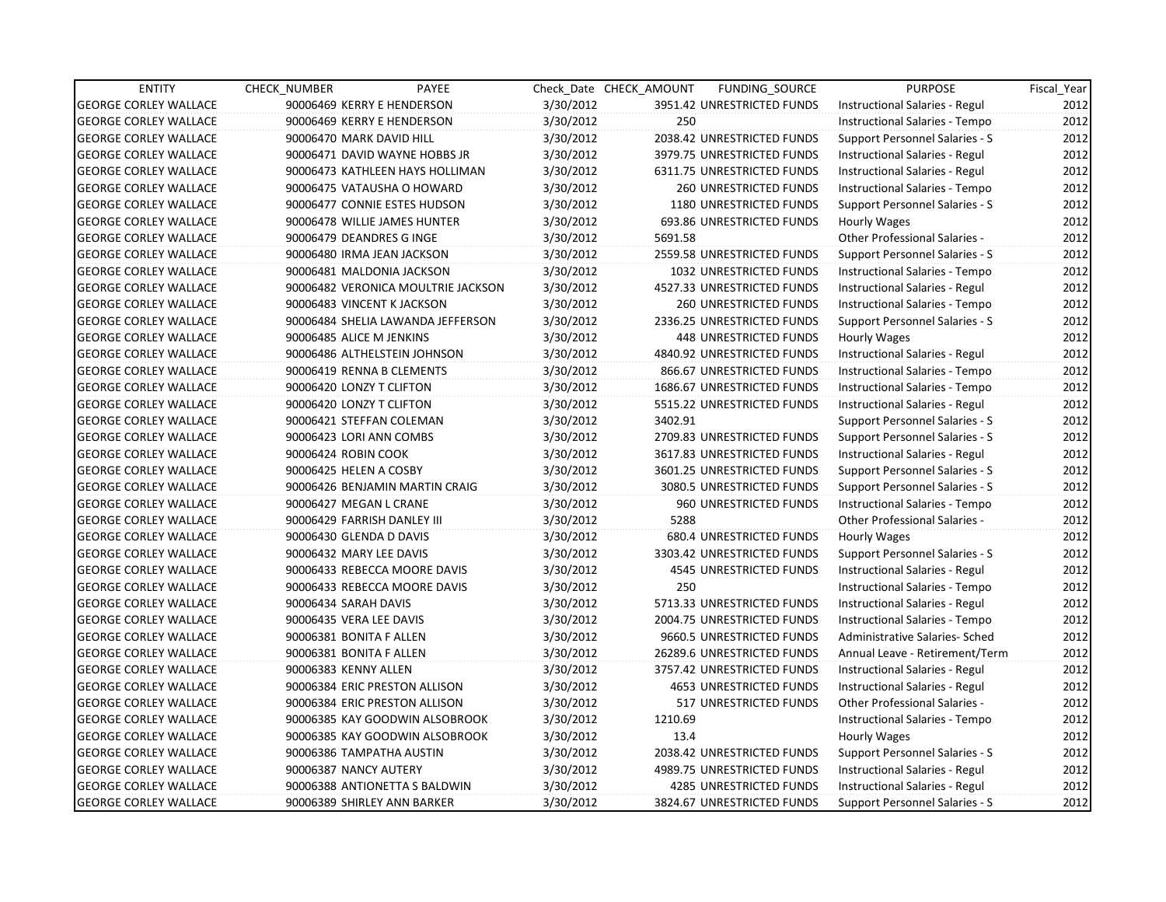| <b>ENTITY</b>                | <b>CHECK NUMBER</b>           | <b>PAYEE</b>                       |           | Check Date CHECK AMOUNT | FUNDING SOURCE                 | <b>PURPOSE</b>                        | Fiscal Year |
|------------------------------|-------------------------------|------------------------------------|-----------|-------------------------|--------------------------------|---------------------------------------|-------------|
| <b>GEORGE CORLEY WALLACE</b> | 90006469 KERRY E HENDERSON    |                                    | 3/30/2012 |                         | 3951.42 UNRESTRICTED FUNDS     | Instructional Salaries - Regul        | 2012        |
| <b>GEORGE CORLEY WALLACE</b> | 90006469 KERRY E HENDERSON    |                                    | 3/30/2012 | 250                     |                                | Instructional Salaries - Tempo        | 2012        |
| <b>GEORGE CORLEY WALLACE</b> | 90006470 MARK DAVID HILL      |                                    | 3/30/2012 |                         | 2038.42 UNRESTRICTED FUNDS     | Support Personnel Salaries - S        | 2012        |
| <b>GEORGE CORLEY WALLACE</b> | 90006471 DAVID WAYNE HOBBS JR |                                    | 3/30/2012 |                         | 3979.75 UNRESTRICTED FUNDS     | Instructional Salaries - Regul        | 2012        |
| <b>GEORGE CORLEY WALLACE</b> |                               | 90006473 KATHLEEN HAYS HOLLIMAN    | 3/30/2012 |                         | 6311.75 UNRESTRICTED FUNDS     | Instructional Salaries - Regul        | 2012        |
| <b>GEORGE CORLEY WALLACE</b> | 90006475 VATAUSHA O HOWARD    |                                    | 3/30/2012 |                         | <b>260 UNRESTRICTED FUNDS</b>  | Instructional Salaries - Tempo        | 2012        |
| <b>GEORGE CORLEY WALLACE</b> | 90006477 CONNIE ESTES HUDSON  |                                    | 3/30/2012 |                         | 1180 UNRESTRICTED FUNDS        | Support Personnel Salaries - S        | 2012        |
| <b>GEORGE CORLEY WALLACE</b> | 90006478 WILLIE JAMES HUNTER  |                                    | 3/30/2012 |                         | 693.86 UNRESTRICTED FUNDS      | Hourly Wages                          | 2012        |
| <b>GEORGE CORLEY WALLACE</b> | 90006479 DEANDRES G INGE      |                                    | 3/30/2012 | 5691.58                 |                                | Other Professional Salaries -         | 2012        |
| <b>GEORGE CORLEY WALLACE</b> | 90006480 IRMA JEAN JACKSON    |                                    | 3/30/2012 |                         | 2559.58 UNRESTRICTED FUNDS     | Support Personnel Salaries - S        | 2012        |
| <b>GEORGE CORLEY WALLACE</b> | 90006481 MALDONIA JACKSON     |                                    | 3/30/2012 |                         | 1032 UNRESTRICTED FUNDS        | Instructional Salaries - Tempo        | 2012        |
| <b>GEORGE CORLEY WALLACE</b> |                               | 90006482 VERONICA MOULTRIE JACKSON | 3/30/2012 |                         | 4527.33 UNRESTRICTED FUNDS     | Instructional Salaries - Regul        | 2012        |
| <b>GEORGE CORLEY WALLACE</b> | 90006483 VINCENT K JACKSON    |                                    | 3/30/2012 |                         | 260 UNRESTRICTED FUNDS         | Instructional Salaries - Tempo        | 2012        |
| <b>GEORGE CORLEY WALLACE</b> |                               | 90006484 SHELIA LAWANDA JEFFERSON  | 3/30/2012 |                         | 2336.25 UNRESTRICTED FUNDS     | Support Personnel Salaries - S        | 2012        |
| <b>GEORGE CORLEY WALLACE</b> | 90006485 ALICE M JENKINS      |                                    | 3/30/2012 |                         | 448 UNRESTRICTED FUNDS         | Hourly Wages                          | 2012        |
| <b>GEORGE CORLEY WALLACE</b> | 90006486 ALTHELSTEIN JOHNSON  |                                    | 3/30/2012 |                         | 4840.92 UNRESTRICTED FUNDS     | Instructional Salaries - Regul        | 2012        |
| <b>GEORGE CORLEY WALLACE</b> | 90006419 RENNA B CLEMENTS     |                                    | 3/30/2012 |                         | 866.67 UNRESTRICTED FUNDS      | Instructional Salaries - Tempo        | 2012        |
| <b>GEORGE CORLEY WALLACE</b> | 90006420 LONZY T CLIFTON      |                                    | 3/30/2012 |                         | 1686.67 UNRESTRICTED FUNDS     | Instructional Salaries - Tempo        | 2012        |
| <b>GEORGE CORLEY WALLACE</b> | 90006420 LONZY T CLIFTON      |                                    | 3/30/2012 |                         | 5515.22 UNRESTRICTED FUNDS     | Instructional Salaries - Regul        | 2012        |
| <b>GEORGE CORLEY WALLACE</b> | 90006421 STEFFAN COLEMAN      |                                    | 3/30/2012 | 3402.91                 |                                | Support Personnel Salaries - S        | 2012        |
| <b>GEORGE CORLEY WALLACE</b> | 90006423 LORI ANN COMBS       |                                    | 3/30/2012 |                         | 2709.83 UNRESTRICTED FUNDS     | Support Personnel Salaries - S        | 2012        |
| <b>GEORGE CORLEY WALLACE</b> | 90006424 ROBIN COOK           |                                    | 3/30/2012 |                         | 3617.83 UNRESTRICTED FUNDS     | Instructional Salaries - Regul        | 2012        |
| <b>GEORGE CORLEY WALLACE</b> | 90006425 HELEN A COSBY        |                                    | 3/30/2012 |                         | 3601.25 UNRESTRICTED FUNDS     | Support Personnel Salaries - S        | 2012        |
| <b>GEORGE CORLEY WALLACE</b> |                               | 90006426 BENJAMIN MARTIN CRAIG     | 3/30/2012 |                         | 3080.5 UNRESTRICTED FUNDS      | <b>Support Personnel Salaries - S</b> | 2012        |
| <b>GEORGE CORLEY WALLACE</b> | 90006427 MEGAN L CRANE        |                                    | 3/30/2012 |                         | 960 UNRESTRICTED FUNDS         | Instructional Salaries - Tempo        | 2012        |
| <b>GEORGE CORLEY WALLACE</b> | 90006429 FARRISH DANLEY III   |                                    | 3/30/2012 | 5288                    |                                | Other Professional Salaries -         | 2012        |
| <b>GEORGE CORLEY WALLACE</b> | 90006430 GLENDA D DAVIS       |                                    | 3/30/2012 |                         | 680.4 UNRESTRICTED FUNDS       | <b>Hourly Wages</b>                   | 2012        |
| <b>GEORGE CORLEY WALLACE</b> | 90006432 MARY LEE DAVIS       |                                    | 3/30/2012 |                         | 3303.42 UNRESTRICTED FUNDS     | Support Personnel Salaries - S        | 2012        |
| <b>GEORGE CORLEY WALLACE</b> | 90006433 REBECCA MOORE DAVIS  |                                    | 3/30/2012 |                         | 4545 UNRESTRICTED FUNDS        | Instructional Salaries - Regul        | 2012        |
| <b>GEORGE CORLEY WALLACE</b> | 90006433 REBECCA MOORE DAVIS  |                                    | 3/30/2012 | 250                     |                                | Instructional Salaries - Tempo        | 2012        |
| <b>GEORGE CORLEY WALLACE</b> | 90006434 SARAH DAVIS          |                                    | 3/30/2012 |                         | 5713.33 UNRESTRICTED FUNDS     | Instructional Salaries - Regul        | 2012        |
| <b>GEORGE CORLEY WALLACE</b> | 90006435 VERA LEE DAVIS       |                                    | 3/30/2012 |                         | 2004.75 UNRESTRICTED FUNDS     | Instructional Salaries - Tempo        | 2012        |
| <b>GEORGE CORLEY WALLACE</b> | 90006381 BONITA F ALLEN       |                                    | 3/30/2012 |                         | 9660.5 UNRESTRICTED FUNDS      | Administrative Salaries- Sched        | 2012        |
| <b>GEORGE CORLEY WALLACE</b> | 90006381 BONITA F ALLEN       |                                    | 3/30/2012 |                         | 26289.6 UNRESTRICTED FUNDS     | Annual Leave - Retirement/Term        | 2012        |
| <b>GEORGE CORLEY WALLACE</b> | 90006383 KENNY ALLEN          |                                    | 3/30/2012 |                         | 3757.42 UNRESTRICTED FUNDS     | Instructional Salaries - Regul        | 2012        |
| <b>GEORGE CORLEY WALLACE</b> | 90006384 ERIC PRESTON ALLISON |                                    | 3/30/2012 |                         | <b>4653 UNRESTRICTED FUNDS</b> | Instructional Salaries - Regul        | 2012        |
| <b>GEORGE CORLEY WALLACE</b> | 90006384 ERIC PRESTON ALLISON |                                    | 3/30/2012 |                         | 517 UNRESTRICTED FUNDS         | Other Professional Salaries -         | 2012        |
| <b>GEORGE CORLEY WALLACE</b> |                               | 90006385 KAY GOODWIN ALSOBROOK     | 3/30/2012 | 1210.69                 |                                | Instructional Salaries - Tempo        | 2012        |
| <b>GEORGE CORLEY WALLACE</b> |                               | 90006385 KAY GOODWIN ALSOBROOK     | 3/30/2012 | 13.4                    |                                | Hourly Wages                          | 2012        |
| <b>GEORGE CORLEY WALLACE</b> | 90006386 TAMPATHA AUSTIN      |                                    | 3/30/2012 |                         | 2038.42 UNRESTRICTED FUNDS     | Support Personnel Salaries - S        | 2012        |
| <b>GEORGE CORLEY WALLACE</b> | 90006387 NANCY AUTERY         |                                    | 3/30/2012 |                         | 4989.75 UNRESTRICTED FUNDS     | Instructional Salaries - Regul        | 2012        |
| <b>GEORGE CORLEY WALLACE</b> |                               | 90006388 ANTIONETTA S BALDWIN      | 3/30/2012 |                         | 4285 UNRESTRICTED FUNDS        | Instructional Salaries - Regul        | 2012        |
| <b>GEORGE CORLEY WALLACE</b> | 90006389 SHIRLEY ANN BARKER   |                                    | 3/30/2012 |                         | 3824.67 UNRESTRICTED FUNDS     | Support Personnel Salaries - S        | 2012        |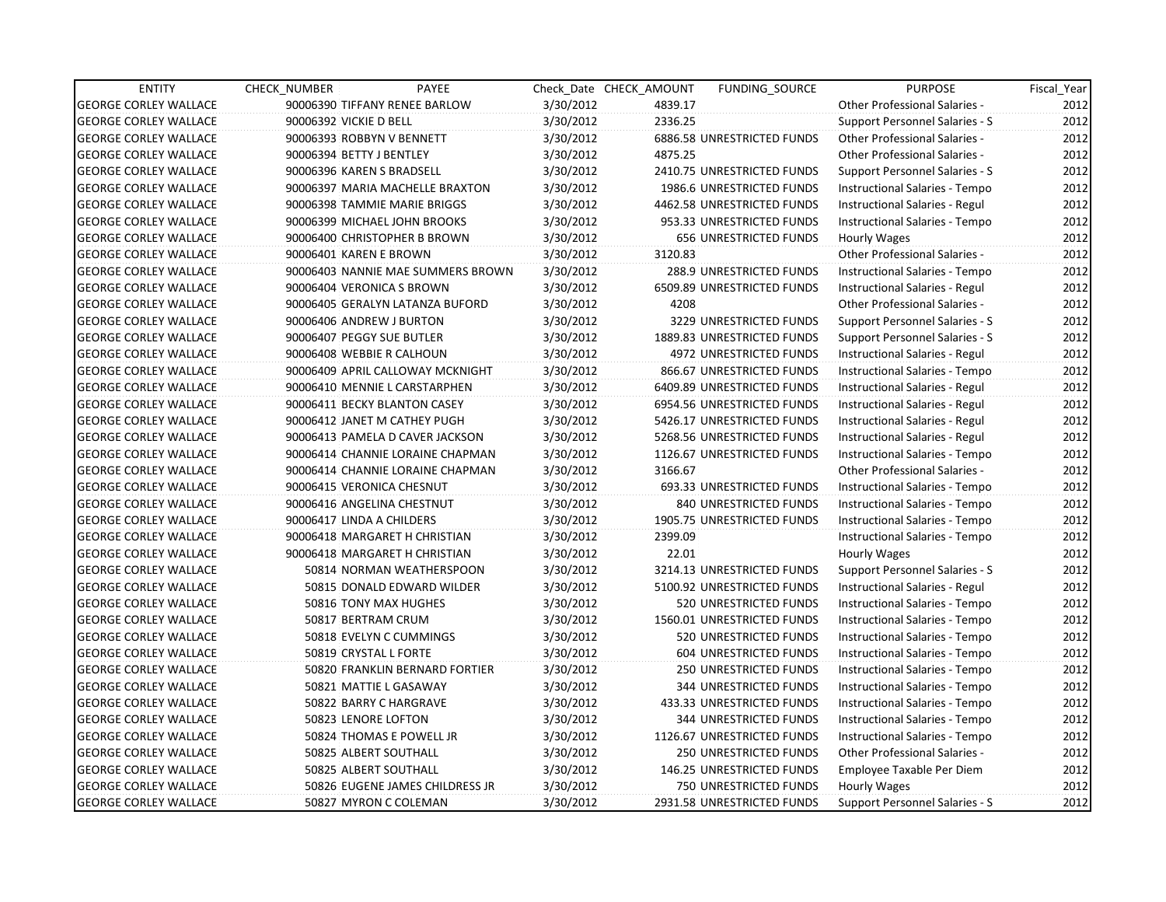| <b>ENTITY</b>                | <b>CHECK NUMBER</b>    | PAYEE                             |           | Check Date CHECK AMOUNT | FUNDING_SOURCE                | <b>PURPOSE</b>                        | Fiscal_Year |
|------------------------------|------------------------|-----------------------------------|-----------|-------------------------|-------------------------------|---------------------------------------|-------------|
| <b>GEORGE CORLEY WALLACE</b> |                        | 90006390 TIFFANY RENEE BARLOW     | 3/30/2012 | 4839.17                 |                               | <b>Other Professional Salaries -</b>  | 2012        |
| <b>GEORGE CORLEY WALLACE</b> | 90006392 VICKIE D BELL |                                   | 3/30/2012 | 2336.25                 |                               | Support Personnel Salaries - S        | 2012        |
| <b>GEORGE CORLEY WALLACE</b> |                        | 90006393 ROBBYN V BENNETT         | 3/30/2012 |                         | 6886.58 UNRESTRICTED FUNDS    | Other Professional Salaries -         | 2012        |
| <b>GEORGE CORLEY WALLACE</b> |                        | 90006394 BETTY J BENTLEY          | 3/30/2012 | 4875.25                 |                               | <b>Other Professional Salaries -</b>  | 2012        |
| <b>GEORGE CORLEY WALLACE</b> |                        | 90006396 KAREN S BRADSELL         | 3/30/2012 |                         | 2410.75 UNRESTRICTED FUNDS    | Support Personnel Salaries - S        | 2012        |
| <b>GEORGE CORLEY WALLACE</b> |                        | 90006397 MARIA MACHELLE BRAXTON   | 3/30/2012 |                         | 1986.6 UNRESTRICTED FUNDS     | Instructional Salaries - Tempo        | 2012        |
| GEORGE CORLEY WALLACE        |                        | 90006398 TAMMIE MARIE BRIGGS      | 3/30/2012 |                         | 4462.58 UNRESTRICTED FUNDS    | Instructional Salaries - Regul        | 2012        |
| <b>GEORGE CORLEY WALLACE</b> |                        | 90006399 MICHAEL JOHN BROOKS      | 3/30/2012 |                         | 953.33 UNRESTRICTED FUNDS     | Instructional Salaries - Tempo        | 2012        |
| <b>GEORGE CORLEY WALLACE</b> |                        | 90006400 CHRISTOPHER B BROWN      | 3/30/2012 |                         | <b>656 UNRESTRICTED FUNDS</b> | Hourly Wages                          | 2012        |
| <b>GEORGE CORLEY WALLACE</b> |                        | 90006401 KAREN E BROWN            | 3/30/2012 | 3120.83                 |                               | Other Professional Salaries -         | 2012        |
| <b>GEORGE CORLEY WALLACE</b> |                        | 90006403 NANNIE MAE SUMMERS BROWN | 3/30/2012 |                         | 288.9 UNRESTRICTED FUNDS      | Instructional Salaries - Tempo        | 2012        |
| <b>GEORGE CORLEY WALLACE</b> |                        | 90006404 VERONICA S BROWN         | 3/30/2012 |                         | 6509.89 UNRESTRICTED FUNDS    | Instructional Salaries - Regul        | 2012        |
| <b>GEORGE CORLEY WALLACE</b> |                        | 90006405 GERALYN LATANZA BUFORD   | 3/30/2012 | 4208                    |                               | Other Professional Salaries -         | 2012        |
| <b>GEORGE CORLEY WALLACE</b> |                        | 90006406 ANDREW J BURTON          | 3/30/2012 |                         | 3229 UNRESTRICTED FUNDS       | Support Personnel Salaries - S        | 2012        |
| <b>GEORGE CORLEY WALLACE</b> |                        | 90006407 PEGGY SUE BUTLER         | 3/30/2012 |                         | 1889.83 UNRESTRICTED FUNDS    | Support Personnel Salaries - S        | 2012        |
| <b>GEORGE CORLEY WALLACE</b> |                        | 90006408 WEBBIE R CALHOUN         | 3/30/2012 |                         | 4972 UNRESTRICTED FUNDS       | Instructional Salaries - Regul        | 2012        |
| GEORGE CORLEY WALLACE        |                        | 90006409 APRIL CALLOWAY MCKNIGHT  | 3/30/2012 |                         | 866.67 UNRESTRICTED FUNDS     | Instructional Salaries - Tempo        | 2012        |
| <b>GEORGE CORLEY WALLACE</b> |                        | 90006410 MENNIE L CARSTARPHEN     | 3/30/2012 |                         | 6409.89 UNRESTRICTED FUNDS    | Instructional Salaries - Regul        | 2012        |
| <b>GEORGE CORLEY WALLACE</b> |                        | 90006411 BECKY BLANTON CASEY      | 3/30/2012 |                         | 6954.56 UNRESTRICTED FUNDS    | Instructional Salaries - Regul        | 2012        |
| <b>GEORGE CORLEY WALLACE</b> |                        | 90006412 JANET M CATHEY PUGH      | 3/30/2012 |                         | 5426.17 UNRESTRICTED FUNDS    | Instructional Salaries - Regul        | 2012        |
| <b>GEORGE CORLEY WALLACE</b> |                        | 90006413 PAMELA D CAVER JACKSON   | 3/30/2012 |                         | 5268.56 UNRESTRICTED FUNDS    | Instructional Salaries - Regul        | 2012        |
| <b>GEORGE CORLEY WALLACE</b> |                        | 90006414 CHANNIE LORAINE CHAPMAN  | 3/30/2012 |                         | 1126.67 UNRESTRICTED FUNDS    | Instructional Salaries - Tempo        | 2012        |
| <b>GEORGE CORLEY WALLACE</b> |                        | 90006414 CHANNIE LORAINE CHAPMAN  | 3/30/2012 | 3166.67                 |                               | <b>Other Professional Salaries -</b>  | 2012        |
| <b>GEORGE CORLEY WALLACE</b> |                        | 90006415 VERONICA CHESNUT         | 3/30/2012 |                         | 693.33 UNRESTRICTED FUNDS     | Instructional Salaries - Tempo        | 2012        |
| <b>GEORGE CORLEY WALLACE</b> |                        | 90006416 ANGELINA CHESTNUT        | 3/30/2012 |                         | 840 UNRESTRICTED FUNDS        | Instructional Salaries - Tempo        | 2012        |
| <b>GEORGE CORLEY WALLACE</b> |                        | 90006417 LINDA A CHILDERS         | 3/30/2012 |                         | 1905.75 UNRESTRICTED FUNDS    | Instructional Salaries - Tempo        | 2012        |
| <b>GEORGE CORLEY WALLACE</b> |                        | 90006418 MARGARET H CHRISTIAN     | 3/30/2012 | 2399.09                 |                               | Instructional Salaries - Tempo        | 2012        |
| <b>GEORGE CORLEY WALLACE</b> |                        | 90006418 MARGARET H CHRISTIAN     | 3/30/2012 | 22.01                   |                               | Hourly Wages                          | 2012        |
| <b>GEORGE CORLEY WALLACE</b> |                        | 50814 NORMAN WEATHERSPOON         | 3/30/2012 |                         | 3214.13 UNRESTRICTED FUNDS    | <b>Support Personnel Salaries - S</b> | 2012        |
| <b>GEORGE CORLEY WALLACE</b> |                        | 50815 DONALD EDWARD WILDER        | 3/30/2012 |                         | 5100.92 UNRESTRICTED FUNDS    | Instructional Salaries - Regul        | 2012        |
| <b>GEORGE CORLEY WALLACE</b> |                        | 50816 TONY MAX HUGHES             | 3/30/2012 |                         | 520 UNRESTRICTED FUNDS        | Instructional Salaries - Tempo        | 2012        |
| <b>GEORGE CORLEY WALLACE</b> |                        | 50817 BERTRAM CRUM                | 3/30/2012 |                         | 1560.01 UNRESTRICTED FUNDS    | Instructional Salaries - Tempo        | 2012        |
| <b>GEORGE CORLEY WALLACE</b> |                        | 50818 EVELYN C CUMMINGS           | 3/30/2012 |                         | 520 UNRESTRICTED FUNDS        | Instructional Salaries - Tempo        | 2012        |
| <b>GEORGE CORLEY WALLACE</b> |                        | 50819 CRYSTAL L FORTE             | 3/30/2012 |                         | <b>604 UNRESTRICTED FUNDS</b> | Instructional Salaries - Tempo        | 2012        |
| <b>GEORGE CORLEY WALLACE</b> |                        | 50820 FRANKLIN BERNARD FORTIER    | 3/30/2012 |                         | <b>250 UNRESTRICTED FUNDS</b> | Instructional Salaries - Tempo        | 2012        |
| <b>GEORGE CORLEY WALLACE</b> |                        | 50821 MATTIE L GASAWAY            | 3/30/2012 |                         | <b>344 UNRESTRICTED FUNDS</b> | Instructional Salaries - Tempo        | 2012        |
| <b>GEORGE CORLEY WALLACE</b> |                        | 50822 BARRY C HARGRAVE            | 3/30/2012 |                         | 433.33 UNRESTRICTED FUNDS     | Instructional Salaries - Tempo        | 2012        |
| <b>GEORGE CORLEY WALLACE</b> |                        | 50823 LENORE LOFTON               | 3/30/2012 |                         | 344 UNRESTRICTED FUNDS        | Instructional Salaries - Tempo        | 2012        |
| <b>GEORGE CORLEY WALLACE</b> |                        | 50824 THOMAS E POWELL JR          | 3/30/2012 |                         | 1126.67 UNRESTRICTED FUNDS    | Instructional Salaries - Tempo        | 2012        |
| <b>GEORGE CORLEY WALLACE</b> |                        | 50825 ALBERT SOUTHALL             | 3/30/2012 |                         | <b>250 UNRESTRICTED FUNDS</b> | Other Professional Salaries -         | 2012        |
| <b>GEORGE CORLEY WALLACE</b> |                        | 50825 ALBERT SOUTHALL             | 3/30/2012 |                         | 146.25 UNRESTRICTED FUNDS     | Employee Taxable Per Diem             | 2012        |
| <b>GEORGE CORLEY WALLACE</b> |                        | 50826 EUGENE JAMES CHILDRESS JR   | 3/30/2012 |                         | 750 UNRESTRICTED FUNDS        | Hourly Wages                          | 2012        |
| <b>GEORGE CORLEY WALLACE</b> |                        | 50827 MYRON C COLEMAN             | 3/30/2012 |                         | 2931.58 UNRESTRICTED FUNDS    | Support Personnel Salaries - S        | 2012        |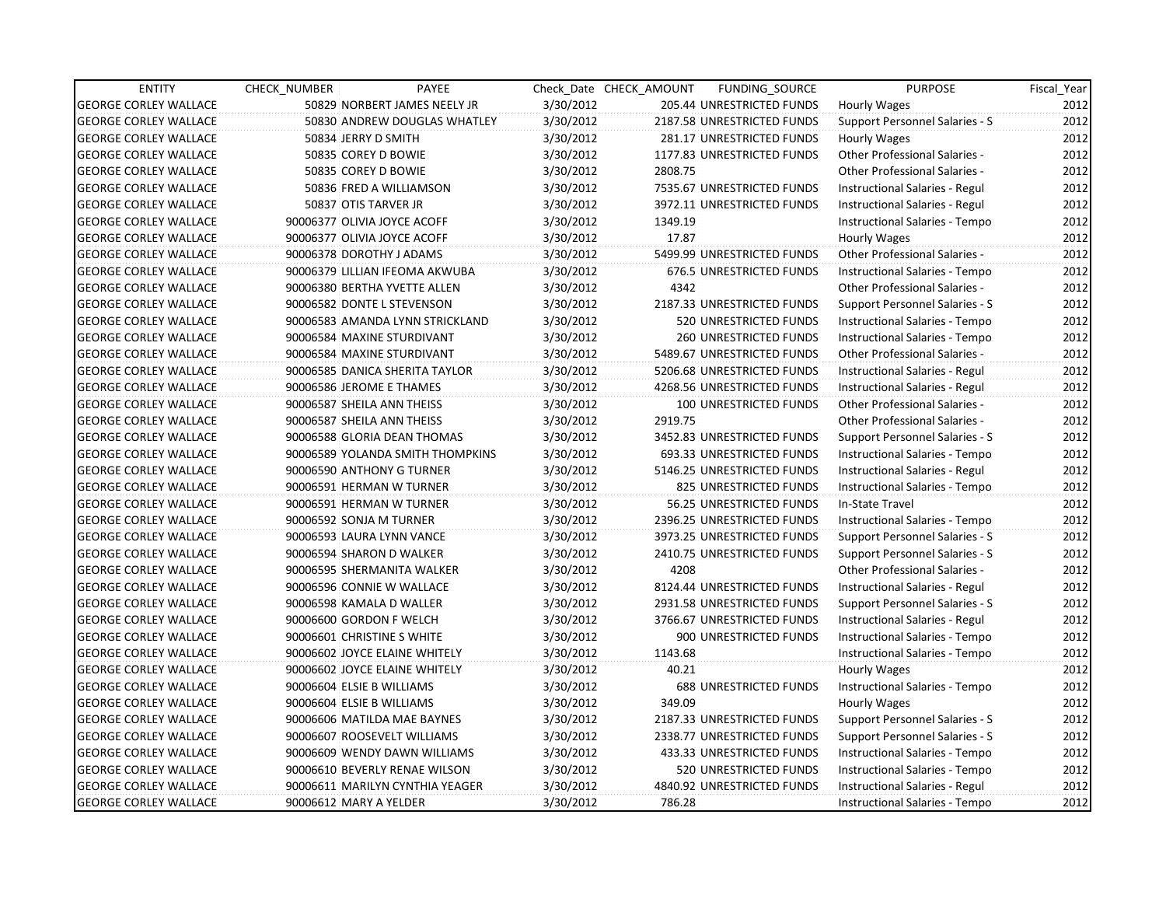| <b>ENTITY</b>                | <b>CHECK NUMBER</b>        | PAYEE                            |           | Check Date CHECK AMOUNT | FUNDING SOURCE                | <b>PURPOSE</b>                        | Fiscal_Year |
|------------------------------|----------------------------|----------------------------------|-----------|-------------------------|-------------------------------|---------------------------------------|-------------|
| <b>GEORGE CORLEY WALLACE</b> |                            | 50829 NORBERT JAMES NEELY JR     | 3/30/2012 |                         | 205.44 UNRESTRICTED FUNDS     | <b>Hourly Wages</b>                   | 2012        |
| <b>GEORGE CORLEY WALLACE</b> |                            | 50830 ANDREW DOUGLAS WHATLEY     | 3/30/2012 |                         | 2187.58 UNRESTRICTED FUNDS    | Support Personnel Salaries - S        | 2012        |
| <b>GEORGE CORLEY WALLACE</b> | 50834 JERRY D SMITH        |                                  | 3/30/2012 |                         | 281.17 UNRESTRICTED FUNDS     | Hourly Wages                          | 2012        |
| <b>GEORGE CORLEY WALLACE</b> |                            | 50835 COREY D BOWIE              | 3/30/2012 |                         | 1177.83 UNRESTRICTED FUNDS    | <b>Other Professional Salaries -</b>  | 2012        |
| <b>GEORGE CORLEY WALLACE</b> |                            | 50835 COREY D BOWIE              | 3/30/2012 | 2808.75                 |                               | <b>Other Professional Salaries -</b>  | 2012        |
| <b>GEORGE CORLEY WALLACE</b> |                            | 50836 FRED A WILLIAMSON          | 3/30/2012 |                         | 7535.67 UNRESTRICTED FUNDS    | Instructional Salaries - Regul        | 2012        |
| <b>GEORGE CORLEY WALLACE</b> | 50837 OTIS TARVER JR       |                                  | 3/30/2012 |                         | 3972.11 UNRESTRICTED FUNDS    | Instructional Salaries - Regul        | 2012        |
| <b>GEORGE CORLEY WALLACE</b> |                            | 90006377 OLIVIA JOYCE ACOFF      | 3/30/2012 | 1349.19                 |                               | Instructional Salaries - Tempo        | 2012        |
| <b>GEORGE CORLEY WALLACE</b> |                            | 90006377 OLIVIA JOYCE ACOFF      | 3/30/2012 | 17.87                   |                               | Hourly Wages                          | 2012        |
| <b>GEORGE CORLEY WALLACE</b> | 90006378 DOROTHY J ADAMS   |                                  | 3/30/2012 |                         | 5499.99 UNRESTRICTED FUNDS    | Other Professional Salaries -         | 2012        |
| <b>GEORGE CORLEY WALLACE</b> |                            | 90006379 LILLIAN IFEOMA AKWUBA   | 3/30/2012 |                         | 676.5 UNRESTRICTED FUNDS      | Instructional Salaries - Tempo        | 2012        |
| <b>GEORGE CORLEY WALLACE</b> |                            | 90006380 BERTHA YVETTE ALLEN     | 3/30/2012 | 4342                    |                               | Other Professional Salaries -         | 2012        |
| <b>GEORGE CORLEY WALLACE</b> |                            | 90006582 DONTE L STEVENSON       | 3/30/2012 |                         | 2187.33 UNRESTRICTED FUNDS    | Support Personnel Salaries - S        | 2012        |
| <b>GEORGE CORLEY WALLACE</b> |                            | 90006583 AMANDA LYNN STRICKLAND  | 3/30/2012 |                         | 520 UNRESTRICTED FUNDS        | Instructional Salaries - Tempo        | 2012        |
| <b>GEORGE CORLEY WALLACE</b> |                            | 90006584 MAXINE STURDIVANT       | 3/30/2012 |                         | <b>260 UNRESTRICTED FUNDS</b> | Instructional Salaries - Tempo        | 2012        |
| <b>GEORGE CORLEY WALLACE</b> |                            | 90006584 MAXINE STURDIVANT       | 3/30/2012 |                         | 5489.67 UNRESTRICTED FUNDS    | Other Professional Salaries -         | 2012        |
| <b>GEORGE CORLEY WALLACE</b> |                            | 90006585 DANICA SHERITA TAYLOR   | 3/30/2012 |                         | 5206.68 UNRESTRICTED FUNDS    | Instructional Salaries - Regul        | 2012        |
| <b>GEORGE CORLEY WALLACE</b> | 90006586 JEROME E THAMES   |                                  | 3/30/2012 |                         | 4268.56 UNRESTRICTED FUNDS    | Instructional Salaries - Regul        | 2012        |
| <b>GEORGE CORLEY WALLACE</b> | 90006587 SHEILA ANN THEISS |                                  | 3/30/2012 |                         | 100 UNRESTRICTED FUNDS        | Other Professional Salaries -         | 2012        |
| <b>GEORGE CORLEY WALLACE</b> | 90006587 SHEILA ANN THEISS |                                  | 3/30/2012 | 2919.75                 |                               | <b>Other Professional Salaries -</b>  | 2012        |
| <b>GEORGE CORLEY WALLACE</b> |                            | 90006588 GLORIA DEAN THOMAS      | 3/30/2012 |                         | 3452.83 UNRESTRICTED FUNDS    | Support Personnel Salaries - S        | 2012        |
| <b>GEORGE CORLEY WALLACE</b> |                            | 90006589 YOLANDA SMITH THOMPKINS | 3/30/2012 |                         | 693.33 UNRESTRICTED FUNDS     | Instructional Salaries - Tempo        | 2012        |
| <b>GEORGE CORLEY WALLACE</b> |                            | 90006590 ANTHONY G TURNER        | 3/30/2012 |                         | 5146.25 UNRESTRICTED FUNDS    | Instructional Salaries - Regul        | 2012        |
| <b>GEORGE CORLEY WALLACE</b> |                            | 90006591 HERMAN W TURNER         | 3/30/2012 |                         | 825 UNRESTRICTED FUNDS        | Instructional Salaries - Tempo        | 2012        |
| <b>GEORGE CORLEY WALLACE</b> |                            | 90006591 HERMAN W TURNER         | 3/30/2012 |                         | 56.25 UNRESTRICTED FUNDS      | In-State Travel                       | 2012        |
| <b>GEORGE CORLEY WALLACE</b> | 90006592 SONJA M TURNER    |                                  | 3/30/2012 |                         | 2396.25 UNRESTRICTED FUNDS    | Instructional Salaries - Tempo        | 2012        |
| <b>GEORGE CORLEY WALLACE</b> |                            | 90006593 LAURA LYNN VANCE        | 3/30/2012 |                         | 3973.25 UNRESTRICTED FUNDS    | Support Personnel Salaries - S        | 2012        |
| <b>GEORGE CORLEY WALLACE</b> | 90006594 SHARON D WALKER   |                                  | 3/30/2012 |                         | 2410.75 UNRESTRICTED FUNDS    | Support Personnel Salaries - S        | 2012        |
| <b>GEORGE CORLEY WALLACE</b> |                            | 90006595 SHERMANITA WALKER       | 3/30/2012 | 4208                    |                               | <b>Other Professional Salaries -</b>  | 2012        |
| <b>GEORGE CORLEY WALLACE</b> |                            | 90006596 CONNIE W WALLACE        | 3/30/2012 |                         | 8124.44 UNRESTRICTED FUNDS    | Instructional Salaries - Regul        | 2012        |
| <b>GEORGE CORLEY WALLACE</b> | 90006598 KAMALA D WALLER   |                                  | 3/30/2012 |                         | 2931.58 UNRESTRICTED FUNDS    | Support Personnel Salaries - S        | 2012        |
| <b>GEORGE CORLEY WALLACE</b> | 90006600 GORDON F WELCH    |                                  | 3/30/2012 |                         | 3766.67 UNRESTRICTED FUNDS    | Instructional Salaries - Regul        | 2012        |
| <b>GEORGE CORLEY WALLACE</b> | 90006601 CHRISTINE S WHITE |                                  | 3/30/2012 |                         | 900 UNRESTRICTED FUNDS        | Instructional Salaries - Tempo        | 2012        |
| <b>GEORGE CORLEY WALLACE</b> |                            | 90006602 JOYCE ELAINE WHITELY    | 3/30/2012 | 1143.68                 |                               | Instructional Salaries - Tempo        | 2012        |
| <b>GEORGE CORLEY WALLACE</b> |                            | 90006602 JOYCE ELAINE WHITELY    | 3/30/2012 | 40.21                   |                               | Hourly Wages                          | 2012        |
| <b>GEORGE CORLEY WALLACE</b> | 90006604 ELSIE B WILLIAMS  |                                  | 3/30/2012 |                         | <b>688 UNRESTRICTED FUNDS</b> | Instructional Salaries - Tempo        | 2012        |
| <b>GEORGE CORLEY WALLACE</b> | 90006604 ELSIE B WILLIAMS  |                                  | 3/30/2012 | 349.09                  |                               | Hourly Wages                          | 2012        |
| <b>GEORGE CORLEY WALLACE</b> |                            | 90006606 MATILDA MAE BAYNES      | 3/30/2012 |                         | 2187.33 UNRESTRICTED FUNDS    | <b>Support Personnel Salaries - S</b> | 2012        |
| <b>GEORGE CORLEY WALLACE</b> |                            | 90006607 ROOSEVELT WILLIAMS      | 3/30/2012 |                         | 2338.77 UNRESTRICTED FUNDS    | Support Personnel Salaries - S        | 2012        |
| <b>GEORGE CORLEY WALLACE</b> |                            | 90006609 WENDY DAWN WILLIAMS     | 3/30/2012 |                         | 433.33 UNRESTRICTED FUNDS     | Instructional Salaries - Tempo        | 2012        |
| <b>GEORGE CORLEY WALLACE</b> |                            | 90006610 BEVERLY RENAE WILSON    | 3/30/2012 |                         | 520 UNRESTRICTED FUNDS        | Instructional Salaries - Tempo        | 2012        |
| <b>GEORGE CORLEY WALLACE</b> |                            | 90006611 MARILYN CYNTHIA YEAGER  | 3/30/2012 |                         | 4840.92 UNRESTRICTED FUNDS    | Instructional Salaries - Regul        | 2012        |
| <b>GEORGE CORLEY WALLACE</b> | 90006612 MARY A YELDER     |                                  | 3/30/2012 | 786.28                  |                               | Instructional Salaries - Tempo        | 2012        |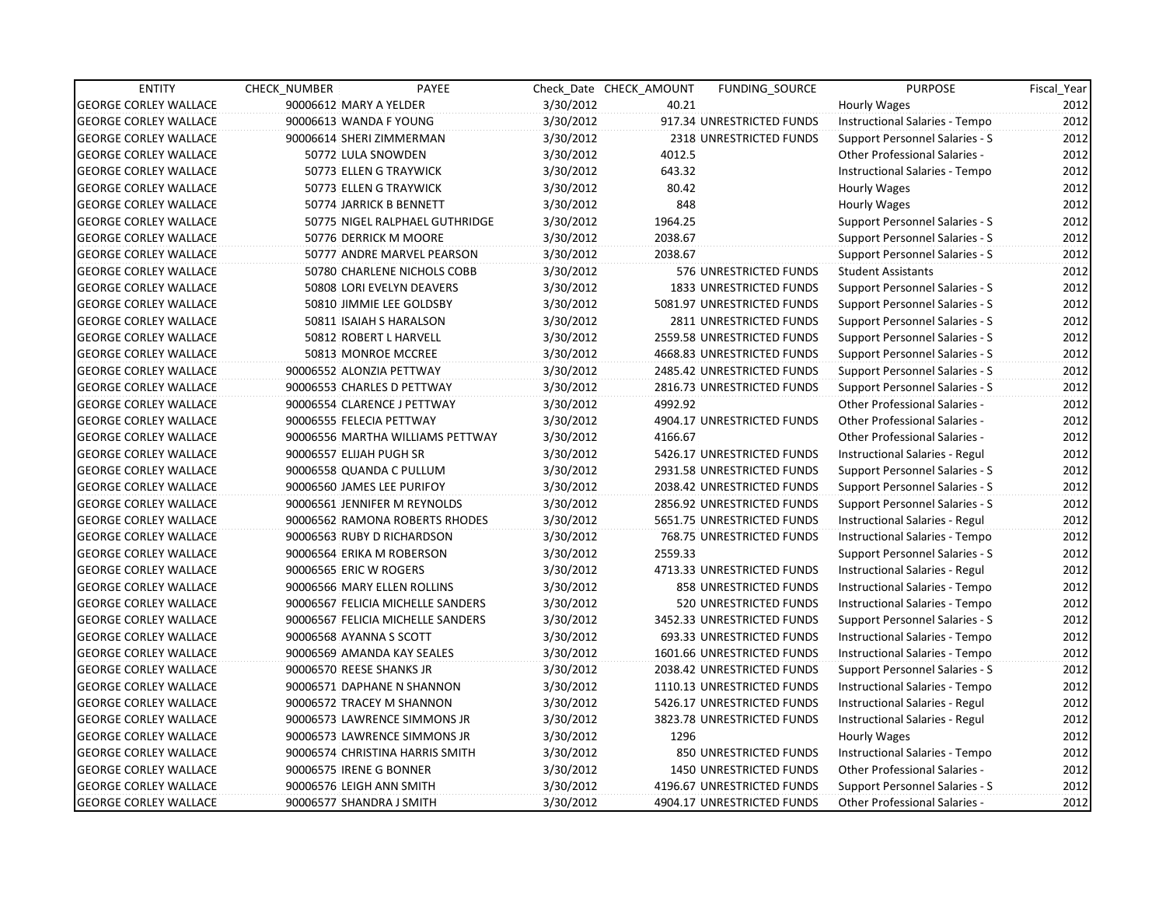| <b>ENTITY</b>                | CHECK NUMBER               | PAYEE                             |           | Check Date CHECK AMOUNT | <b>FUNDING SOURCE</b>          | <b>PURPOSE</b>                        | Fiscal Year |
|------------------------------|----------------------------|-----------------------------------|-----------|-------------------------|--------------------------------|---------------------------------------|-------------|
| <b>GEORGE CORLEY WALLACE</b> | 90006612 MARY A YELDER     |                                   | 3/30/2012 | 40.21                   |                                | <b>Hourly Wages</b>                   | 2012        |
| <b>GEORGE CORLEY WALLACE</b> | 90006613 WANDA F YOUNG     |                                   | 3/30/2012 |                         | 917.34 UNRESTRICTED FUNDS      | Instructional Salaries - Tempo        | 2012        |
| <b>GEORGE CORLEY WALLACE</b> | 90006614 SHERI ZIMMERMAN   |                                   | 3/30/2012 |                         | <b>2318 UNRESTRICTED FUNDS</b> | Support Personnel Salaries - S        | 2012        |
| <b>GEORGE CORLEY WALLACE</b> | 50772 LULA SNOWDEN         |                                   | 3/30/2012 | 4012.5                  |                                | <b>Other Professional Salaries -</b>  | 2012        |
| <b>GEORGE CORLEY WALLACE</b> |                            | 50773 ELLEN G TRAYWICK            | 3/30/2012 | 643.32                  |                                | Instructional Salaries - Tempo        | 2012        |
| <b>GEORGE CORLEY WALLACE</b> |                            | 50773 ELLEN G TRAYWICK            | 3/30/2012 | 80.42                   |                                | Hourly Wages                          | 2012        |
| <b>GEORGE CORLEY WALLACE</b> |                            | 50774 JARRICK B BENNETT           | 3/30/2012 | 848                     |                                | Hourly Wages                          | 2012        |
| <b>GEORGE CORLEY WALLACE</b> |                            | 50775 NIGEL RALPHAEL GUTHRIDGE    | 3/30/2012 | 1964.25                 |                                | Support Personnel Salaries - S        | 2012        |
| <b>GEORGE CORLEY WALLACE</b> |                            | 50776 DERRICK M MOORE             | 3/30/2012 | 2038.67                 |                                | Support Personnel Salaries - S        | 2012        |
| <b>GEORGE CORLEY WALLACE</b> |                            | 50777 ANDRE MARVEL PEARSON        | 3/30/2012 | 2038.67                 |                                | Support Personnel Salaries - S        | 2012        |
| <b>GEORGE CORLEY WALLACE</b> |                            | 50780 CHARLENE NICHOLS COBB       | 3/30/2012 |                         | 576 UNRESTRICTED FUNDS         | <b>Student Assistants</b>             | 2012        |
| <b>GEORGE CORLEY WALLACE</b> |                            | 50808 LORI EVELYN DEAVERS         | 3/30/2012 |                         | <b>1833 UNRESTRICTED FUNDS</b> | Support Personnel Salaries - S        | 2012        |
| <b>GEORGE CORLEY WALLACE</b> |                            | 50810 JIMMIE LEE GOLDSBY          | 3/30/2012 |                         | 5081.97 UNRESTRICTED FUNDS     | Support Personnel Salaries - S        | 2012        |
| <b>GEORGE CORLEY WALLACE</b> |                            | 50811 ISAIAH S HARALSON           | 3/30/2012 |                         | 2811 UNRESTRICTED FUNDS        | <b>Support Personnel Salaries - S</b> | 2012        |
| <b>GEORGE CORLEY WALLACE</b> |                            | 50812 ROBERT L HARVELL            | 3/30/2012 |                         | 2559.58 UNRESTRICTED FUNDS     | Support Personnel Salaries - S        | 2012        |
| <b>GEORGE CORLEY WALLACE</b> |                            | 50813 MONROE MCCREE               | 3/30/2012 |                         | 4668.83 UNRESTRICTED FUNDS     | Support Personnel Salaries - S        | 2012        |
| <b>GEORGE CORLEY WALLACE</b> | 90006552 ALONZIA PETTWAY   |                                   | 3/30/2012 |                         | 2485.42 UNRESTRICTED FUNDS     | Support Personnel Salaries - S        | 2012        |
| <b>GEORGE CORLEY WALLACE</b> | 90006553 CHARLES D PETTWAY |                                   | 3/30/2012 |                         | 2816.73 UNRESTRICTED FUNDS     | Support Personnel Salaries - S        | 2012        |
| <b>GEORGE CORLEY WALLACE</b> |                            | 90006554 CLARENCE J PETTWAY       | 3/30/2012 | 4992.92                 |                                | <b>Other Professional Salaries -</b>  | 2012        |
| <b>GEORGE CORLEY WALLACE</b> | 90006555 FELECIA PETTWAY   |                                   | 3/30/2012 |                         | 4904.17 UNRESTRICTED FUNDS     | <b>Other Professional Salaries -</b>  | 2012        |
| <b>GEORGE CORLEY WALLACE</b> |                            | 90006556 MARTHA WILLIAMS PETTWAY  | 3/30/2012 | 4166.67                 |                                | Other Professional Salaries -         | 2012        |
| <b>GEORGE CORLEY WALLACE</b> | 90006557 ELIJAH PUGH SR    |                                   | 3/30/2012 |                         | 5426.17 UNRESTRICTED FUNDS     | Instructional Salaries - Regul        | 2012        |
| <b>GEORGE CORLEY WALLACE</b> | 90006558 QUANDA C PULLUM   |                                   | 3/30/2012 |                         | 2931.58 UNRESTRICTED FUNDS     | <b>Support Personnel Salaries - S</b> | 2012        |
| <b>GEORGE CORLEY WALLACE</b> | 90006560 JAMES LEE PURIFOY |                                   | 3/30/2012 |                         | 2038.42 UNRESTRICTED FUNDS     | <b>Support Personnel Salaries - S</b> | 2012        |
| <b>GEORGE CORLEY WALLACE</b> |                            | 90006561 JENNIFER M REYNOLDS      | 3/30/2012 |                         | 2856.92 UNRESTRICTED FUNDS     | Support Personnel Salaries - S        | 2012        |
| <b>GEORGE CORLEY WALLACE</b> |                            | 90006562 RAMONA ROBERTS RHODES    | 3/30/2012 |                         | 5651.75 UNRESTRICTED FUNDS     | Instructional Salaries - Regul        | 2012        |
| <b>GEORGE CORLEY WALLACE</b> | 90006563 RUBY D RICHARDSON |                                   | 3/30/2012 |                         | 768.75 UNRESTRICTED FUNDS      | Instructional Salaries - Tempo        | 2012        |
| <b>GEORGE CORLEY WALLACE</b> | 90006564 ERIKA M ROBERSON  |                                   | 3/30/2012 | 2559.33                 |                                | Support Personnel Salaries - S        | 2012        |
| <b>GEORGE CORLEY WALLACE</b> | 90006565 ERIC W ROGERS     |                                   | 3/30/2012 |                         | 4713.33 UNRESTRICTED FUNDS     | Instructional Salaries - Regul        | 2012        |
| <b>GEORGE CORLEY WALLACE</b> |                            | 90006566 MARY ELLEN ROLLINS       | 3/30/2012 |                         | 858 UNRESTRICTED FUNDS         | Instructional Salaries - Tempo        | 2012        |
| <b>GEORGE CORLEY WALLACE</b> |                            | 90006567 FELICIA MICHELLE SANDERS | 3/30/2012 |                         | 520 UNRESTRICTED FUNDS         | Instructional Salaries - Tempo        | 2012        |
| <b>GEORGE CORLEY WALLACE</b> |                            | 90006567 FELICIA MICHELLE SANDERS | 3/30/2012 |                         | 3452.33 UNRESTRICTED FUNDS     | Support Personnel Salaries - S        | 2012        |
| <b>GEORGE CORLEY WALLACE</b> | 90006568 AYANNA S SCOTT    |                                   | 3/30/2012 |                         | 693.33 UNRESTRICTED FUNDS      | Instructional Salaries - Tempo        | 2012        |
| <b>GEORGE CORLEY WALLACE</b> |                            | 90006569 AMANDA KAY SEALES        | 3/30/2012 |                         | 1601.66 UNRESTRICTED FUNDS     | Instructional Salaries - Tempo        | 2012        |
| <b>GEORGE CORLEY WALLACE</b> | 90006570 REESE SHANKS JR   |                                   | 3/30/2012 |                         | 2038.42 UNRESTRICTED FUNDS     | Support Personnel Salaries - S        | 2012        |
| <b>GEORGE CORLEY WALLACE</b> |                            | 90006571 DAPHANE N SHANNON        | 3/30/2012 |                         | 1110.13 UNRESTRICTED FUNDS     | Instructional Salaries - Tempo        | 2012        |
| <b>GEORGE CORLEY WALLACE</b> | 90006572 TRACEY M SHANNON  |                                   | 3/30/2012 |                         | 5426.17 UNRESTRICTED FUNDS     | Instructional Salaries - Regul        | 2012        |
| <b>GEORGE CORLEY WALLACE</b> |                            | 90006573 LAWRENCE SIMMONS JR      | 3/30/2012 |                         | 3823.78 UNRESTRICTED FUNDS     | <b>Instructional Salaries - Regul</b> | 2012        |
| <b>GEORGE CORLEY WALLACE</b> |                            | 90006573 LAWRENCE SIMMONS JR      | 3/30/2012 | 1296                    |                                | Hourly Wages                          | 2012        |
| <b>GEORGE CORLEY WALLACE</b> |                            | 90006574 CHRISTINA HARRIS SMITH   | 3/30/2012 |                         | 850 UNRESTRICTED FUNDS         | Instructional Salaries - Tempo        | 2012        |
| <b>GEORGE CORLEY WALLACE</b> | 90006575 IRENE G BONNER    |                                   | 3/30/2012 |                         | <b>1450 UNRESTRICTED FUNDS</b> | Other Professional Salaries -         | 2012        |
| <b>GEORGE CORLEY WALLACE</b> | 90006576 LEIGH ANN SMITH   |                                   | 3/30/2012 |                         | 4196.67 UNRESTRICTED FUNDS     | Support Personnel Salaries - S        | 2012        |
| <b>GEORGE CORLEY WALLACE</b> | 90006577 SHANDRA J SMITH   |                                   | 3/30/2012 |                         | 4904.17 UNRESTRICTED FUNDS     | <b>Other Professional Salaries -</b>  | 2012        |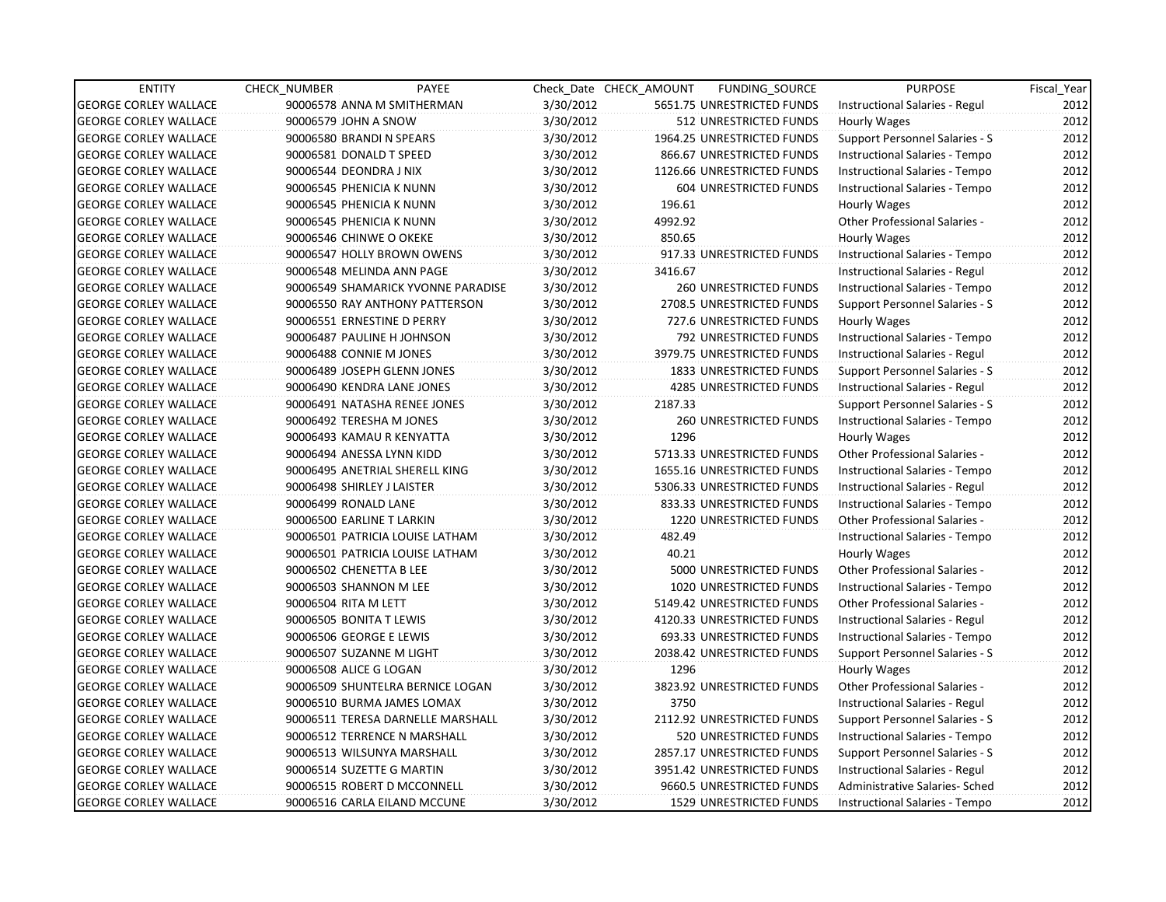| <b>ENTITY</b>                | <b>CHECK NUMBER</b> | PAYEE                              |           | Check Date CHECK AMOUNT | FUNDING SOURCE                 | <b>PURPOSE</b>                        | Fiscal_Year |
|------------------------------|---------------------|------------------------------------|-----------|-------------------------|--------------------------------|---------------------------------------|-------------|
| <b>GEORGE CORLEY WALLACE</b> |                     | 90006578 ANNA M SMITHERMAN         | 3/30/2012 |                         | 5651.75 UNRESTRICTED FUNDS     | Instructional Salaries - Regul        | 2012        |
| <b>GEORGE CORLEY WALLACE</b> |                     | 90006579 JOHN A SNOW               | 3/30/2012 |                         | 512 UNRESTRICTED FUNDS         | Hourly Wages                          | 2012        |
| <b>GEORGE CORLEY WALLACE</b> |                     | 90006580 BRANDI N SPEARS           | 3/30/2012 |                         | 1964.25 UNRESTRICTED FUNDS     | Support Personnel Salaries - S        | 2012        |
| <b>GEORGE CORLEY WALLACE</b> |                     | 90006581 DONALD T SPEED            | 3/30/2012 |                         | 866.67 UNRESTRICTED FUNDS      | Instructional Salaries - Tempo        | 2012        |
| <b>GEORGE CORLEY WALLACE</b> |                     | 90006544 DEONDRA J NIX             | 3/30/2012 |                         | 1126.66 UNRESTRICTED FUNDS     | Instructional Salaries - Tempo        | 2012        |
| <b>GEORGE CORLEY WALLACE</b> |                     | 90006545 PHENICIA K NUNN           | 3/30/2012 |                         | 604 UNRESTRICTED FUNDS         | Instructional Salaries - Tempo        | 2012        |
| GEORGE CORLEY WALLACE        |                     | 90006545 PHENICIA K NUNN           | 3/30/2012 | 196.61                  |                                | Hourly Wages                          | 2012        |
| <b>GEORGE CORLEY WALLACE</b> |                     | 90006545 PHENICIA K NUNN           | 3/30/2012 | 4992.92                 |                                | Other Professional Salaries -         | 2012        |
| <b>GEORGE CORLEY WALLACE</b> |                     | 90006546 CHINWE O OKEKE            | 3/30/2012 | 850.65                  |                                | Hourly Wages                          | 2012        |
| <b>GEORGE CORLEY WALLACE</b> |                     | 90006547 HOLLY BROWN OWENS         | 3/30/2012 |                         | 917.33 UNRESTRICTED FUNDS      | Instructional Salaries - Tempo        | 2012        |
| <b>GEORGE CORLEY WALLACE</b> |                     | 90006548 MELINDA ANN PAGE          | 3/30/2012 | 3416.67                 |                                | Instructional Salaries - Regul        | 2012        |
| <b>GEORGE CORLEY WALLACE</b> |                     | 90006549 SHAMARICK YVONNE PARADISE | 3/30/2012 |                         | 260 UNRESTRICTED FUNDS         | Instructional Salaries - Tempo        | 2012        |
| <b>GEORGE CORLEY WALLACE</b> |                     | 90006550 RAY ANTHONY PATTERSON     | 3/30/2012 |                         | 2708.5 UNRESTRICTED FUNDS      | Support Personnel Salaries - S        | 2012        |
| <b>GEORGE CORLEY WALLACE</b> |                     | 90006551 ERNESTINE D PERRY         | 3/30/2012 |                         | 727.6 UNRESTRICTED FUNDS       | Hourly Wages                          | 2012        |
| <b>GEORGE CORLEY WALLACE</b> |                     | 90006487 PAULINE H JOHNSON         | 3/30/2012 |                         | 792 UNRESTRICTED FUNDS         | Instructional Salaries - Tempo        | 2012        |
| <b>GEORGE CORLEY WALLACE</b> |                     | 90006488 CONNIE M JONES            | 3/30/2012 |                         | 3979.75 UNRESTRICTED FUNDS     | Instructional Salaries - Regul        | 2012        |
| <b>GEORGE CORLEY WALLACE</b> |                     | 90006489 JOSEPH GLENN JONES        | 3/30/2012 |                         | 1833 UNRESTRICTED FUNDS        | Support Personnel Salaries - S        | 2012        |
| <b>GEORGE CORLEY WALLACE</b> |                     | 90006490 KENDRA LANE JONES         | 3/30/2012 |                         | <b>4285 UNRESTRICTED FUNDS</b> | Instructional Salaries - Regul        | 2012        |
| <b>GEORGE CORLEY WALLACE</b> |                     | 90006491 NATASHA RENEE JONES       | 3/30/2012 | 2187.33                 |                                | <b>Support Personnel Salaries - S</b> | 2012        |
| <b>GEORGE CORLEY WALLACE</b> |                     | 90006492 TERESHA M JONES           | 3/30/2012 |                         | <b>260 UNRESTRICTED FUNDS</b>  | Instructional Salaries - Tempo        | 2012        |
| <b>GEORGE CORLEY WALLACE</b> |                     | 90006493 KAMAU R KENYATTA          | 3/30/2012 | 1296                    |                                | Hourly Wages                          | 2012        |
| <b>GEORGE CORLEY WALLACE</b> |                     | 90006494 ANESSA LYNN KIDD          | 3/30/2012 |                         | 5713.33 UNRESTRICTED FUNDS     | Other Professional Salaries -         | 2012        |
| <b>GEORGE CORLEY WALLACE</b> |                     | 90006495 ANETRIAL SHERELL KING     | 3/30/2012 |                         | 1655.16 UNRESTRICTED FUNDS     | Instructional Salaries - Tempo        | 2012        |
| <b>GEORGE CORLEY WALLACE</b> |                     | 90006498 SHIRLEY J LAISTER         | 3/30/2012 |                         | 5306.33 UNRESTRICTED FUNDS     | Instructional Salaries - Regul        | 2012        |
| <b>GEORGE CORLEY WALLACE</b> |                     | 90006499 RONALD LANE               | 3/30/2012 |                         | 833.33 UNRESTRICTED FUNDS      | Instructional Salaries - Tempo        | 2012        |
| <b>GEORGE CORLEY WALLACE</b> |                     | 90006500 EARLINE T LARKIN          | 3/30/2012 |                         | 1220 UNRESTRICTED FUNDS        | <b>Other Professional Salaries -</b>  | 2012        |
| <b>GEORGE CORLEY WALLACE</b> |                     | 90006501 PATRICIA LOUISE LATHAM    | 3/30/2012 | 482.49                  |                                | Instructional Salaries - Tempo        | 2012        |
| <b>GEORGE CORLEY WALLACE</b> |                     | 90006501 PATRICIA LOUISE LATHAM    | 3/30/2012 | 40.21                   |                                | Hourly Wages                          | 2012        |
| <b>GEORGE CORLEY WALLACE</b> |                     | 90006502 CHENETTA B LEE            | 3/30/2012 |                         | 5000 UNRESTRICTED FUNDS        | Other Professional Salaries -         | 2012        |
| <b>GEORGE CORLEY WALLACE</b> |                     | 90006503 SHANNON M LEE             | 3/30/2012 |                         | 1020 UNRESTRICTED FUNDS        | Instructional Salaries - Tempo        | 2012        |
| <b>GEORGE CORLEY WALLACE</b> |                     | 90006504 RITA M LETT               | 3/30/2012 |                         | 5149.42 UNRESTRICTED FUNDS     | <b>Other Professional Salaries -</b>  | 2012        |
| <b>GEORGE CORLEY WALLACE</b> |                     | 90006505 BONITA T LEWIS            | 3/30/2012 |                         | 4120.33 UNRESTRICTED FUNDS     | Instructional Salaries - Regul        | 2012        |
| <b>GEORGE CORLEY WALLACE</b> |                     | 90006506 GEORGE E LEWIS            | 3/30/2012 |                         | 693.33 UNRESTRICTED FUNDS      | Instructional Salaries - Tempo        | 2012        |
| <b>GEORGE CORLEY WALLACE</b> |                     | 90006507 SUZANNE M LIGHT           | 3/30/2012 |                         | 2038.42 UNRESTRICTED FUNDS     | Support Personnel Salaries - S        | 2012        |
| <b>GEORGE CORLEY WALLACE</b> |                     | 90006508 ALICE G LOGAN             | 3/30/2012 | 1296                    |                                | Hourly Wages                          | 2012        |
| <b>GEORGE CORLEY WALLACE</b> |                     | 90006509 SHUNTELRA BERNICE LOGAN   | 3/30/2012 |                         | 3823.92 UNRESTRICTED FUNDS     | <b>Other Professional Salaries -</b>  | 2012        |
| <b>GEORGE CORLEY WALLACE</b> |                     | 90006510 BURMA JAMES LOMAX         | 3/30/2012 | 3750                    |                                | Instructional Salaries - Regul        | 2012        |
| <b>GEORGE CORLEY WALLACE</b> |                     | 90006511 TERESA DARNELLE MARSHALL  | 3/30/2012 |                         | 2112.92 UNRESTRICTED FUNDS     | <b>Support Personnel Salaries - S</b> | 2012        |
| <b>GEORGE CORLEY WALLACE</b> |                     | 90006512 TERRENCE N MARSHALL       | 3/30/2012 |                         | 520 UNRESTRICTED FUNDS         | Instructional Salaries - Tempo        | 2012        |
| <b>GEORGE CORLEY WALLACE</b> |                     | 90006513 WILSUNYA MARSHALL         | 3/30/2012 |                         | 2857.17 UNRESTRICTED FUNDS     | Support Personnel Salaries - S        | 2012        |
| <b>GEORGE CORLEY WALLACE</b> |                     | 90006514 SUZETTE G MARTIN          | 3/30/2012 |                         | 3951.42 UNRESTRICTED FUNDS     | Instructional Salaries - Regul        | 2012        |
| <b>GEORGE CORLEY WALLACE</b> |                     | 90006515 ROBERT D MCCONNELL        | 3/30/2012 |                         | 9660.5 UNRESTRICTED FUNDS      | Administrative Salaries- Sched        | 2012        |
| <b>GEORGE CORLEY WALLACE</b> |                     | 90006516 CARLA EILAND MCCUNE       | 3/30/2012 |                         | <b>1529 UNRESTRICTED FUNDS</b> | Instructional Salaries - Tempo        | 2012        |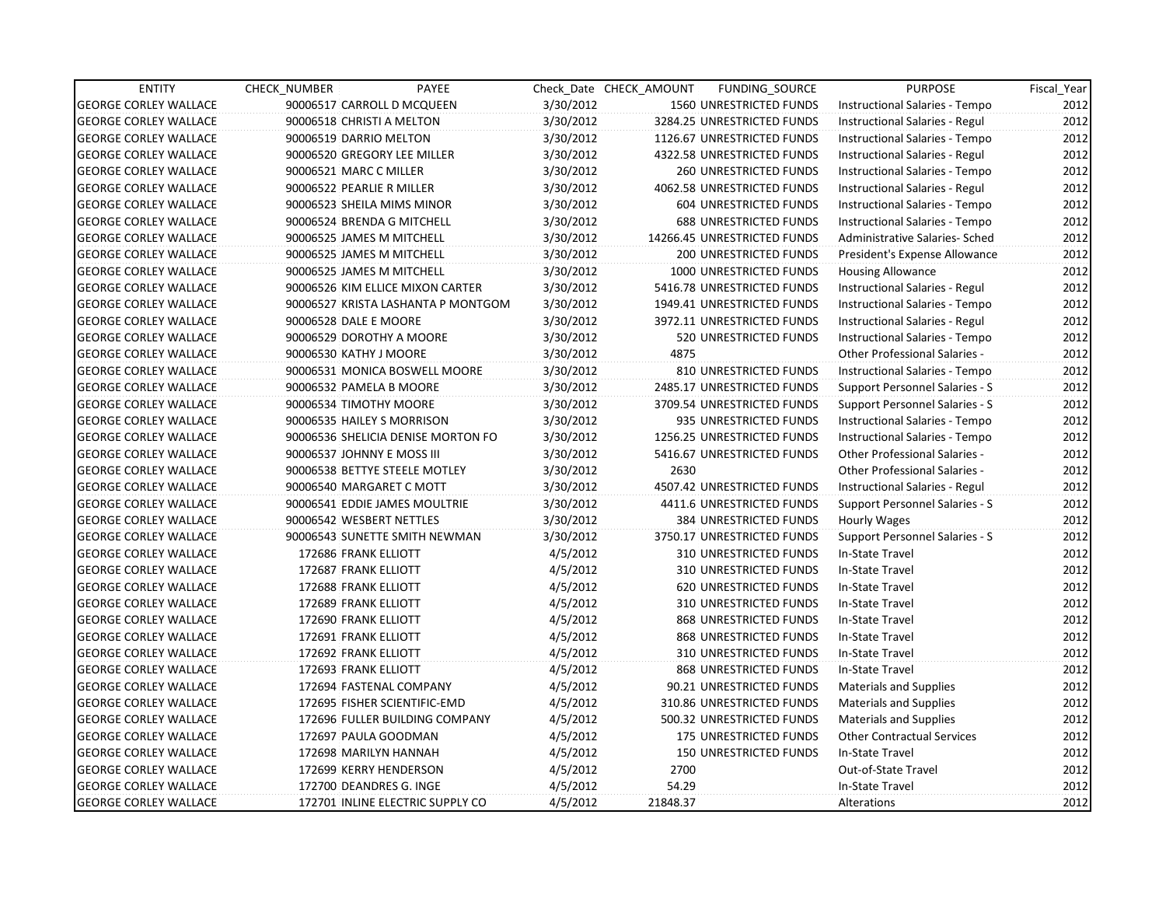| <b>ENTITY</b>                | <b>CHECK NUMBER</b>    | PAYEE                              |           | Check Date CHECK AMOUNT | FUNDING SOURCE                | <b>PURPOSE</b>                        | Fiscal_Year |
|------------------------------|------------------------|------------------------------------|-----------|-------------------------|-------------------------------|---------------------------------------|-------------|
| <b>GEORGE CORLEY WALLACE</b> |                        | 90006517 CARROLL D MCQUEEN         | 3/30/2012 |                         | 1560 UNRESTRICTED FUNDS       | Instructional Salaries - Tempo        | 2012        |
| <b>GEORGE CORLEY WALLACE</b> |                        | 90006518 CHRISTI A MELTON          | 3/30/2012 |                         | 3284.25 UNRESTRICTED FUNDS    | Instructional Salaries - Regul        | 2012        |
| <b>GEORGE CORLEY WALLACE</b> |                        | 90006519 DARRIO MELTON             | 3/30/2012 |                         | 1126.67 UNRESTRICTED FUNDS    | Instructional Salaries - Tempo        | 2012        |
| <b>GEORGE CORLEY WALLACE</b> |                        | 90006520 GREGORY LEE MILLER        | 3/30/2012 |                         | 4322.58 UNRESTRICTED FUNDS    | Instructional Salaries - Regul        | 2012        |
| <b>GEORGE CORLEY WALLACE</b> | 90006521 MARC C MILLER |                                    | 3/30/2012 |                         | <b>260 UNRESTRICTED FUNDS</b> | Instructional Salaries - Tempo        | 2012        |
| <b>GEORGE CORLEY WALLACE</b> |                        | 90006522 PEARLIE R MILLER          | 3/30/2012 |                         | 4062.58 UNRESTRICTED FUNDS    | Instructional Salaries - Regul        | 2012        |
| <b>GEORGE CORLEY WALLACE</b> |                        | 90006523 SHEILA MIMS MINOR         | 3/30/2012 |                         | <b>604 UNRESTRICTED FUNDS</b> | Instructional Salaries - Tempo        | 2012        |
| <b>GEORGE CORLEY WALLACE</b> |                        | 90006524 BRENDA G MITCHELL         | 3/30/2012 |                         | <b>688 UNRESTRICTED FUNDS</b> | Instructional Salaries - Tempo        | 2012        |
| <b>GEORGE CORLEY WALLACE</b> |                        | 90006525 JAMES M MITCHELL          | 3/30/2012 |                         | 14266.45 UNRESTRICTED FUNDS   | Administrative Salaries- Sched        | 2012        |
| <b>GEORGE CORLEY WALLACE</b> |                        | 90006525 JAMES M MITCHELL          | 3/30/2012 |                         | 200 UNRESTRICTED FUNDS        | President's Expense Allowance         | 2012        |
| <b>GEORGE CORLEY WALLACE</b> |                        | 90006525 JAMES M MITCHELL          | 3/30/2012 |                         | 1000 UNRESTRICTED FUNDS       | <b>Housing Allowance</b>              | 2012        |
| <b>GEORGE CORLEY WALLACE</b> |                        | 90006526 KIM ELLICE MIXON CARTER   | 3/30/2012 |                         | 5416.78 UNRESTRICTED FUNDS    | Instructional Salaries - Regul        | 2012        |
| <b>GEORGE CORLEY WALLACE</b> |                        | 90006527 KRISTA LASHANTA P MONTGOM | 3/30/2012 |                         | 1949.41 UNRESTRICTED FUNDS    | Instructional Salaries - Tempo        | 2012        |
| <b>GEORGE CORLEY WALLACE</b> | 90006528 DALE E MOORE  |                                    | 3/30/2012 |                         | 3972.11 UNRESTRICTED FUNDS    | Instructional Salaries - Regul        | 2012        |
| <b>GEORGE CORLEY WALLACE</b> |                        | 90006529 DOROTHY A MOORE           | 3/30/2012 |                         | 520 UNRESTRICTED FUNDS        | Instructional Salaries - Tempo        | 2012        |
| <b>GEORGE CORLEY WALLACE</b> | 90006530 KATHY J MOORE |                                    | 3/30/2012 | 4875                    |                               | <b>Other Professional Salaries -</b>  | 2012        |
| GEORGE CORLEY WALLACE        |                        | 90006531 MONICA BOSWELL MOORE      | 3/30/2012 |                         | 810 UNRESTRICTED FUNDS        | Instructional Salaries - Tempo        | 2012        |
| <b>GEORGE CORLEY WALLACE</b> |                        | 90006532 PAMELA B MOORE            | 3/30/2012 |                         | 2485.17 UNRESTRICTED FUNDS    | <b>Support Personnel Salaries - S</b> | 2012        |
| <b>GEORGE CORLEY WALLACE</b> |                        | 90006534 TIMOTHY MOORE             | 3/30/2012 |                         | 3709.54 UNRESTRICTED FUNDS    | <b>Support Personnel Salaries - S</b> | 2012        |
| <b>GEORGE CORLEY WALLACE</b> |                        | 90006535 HAILEY S MORRISON         | 3/30/2012 |                         | 935 UNRESTRICTED FUNDS        | Instructional Salaries - Tempo        | 2012        |
| <b>GEORGE CORLEY WALLACE</b> |                        | 90006536 SHELICIA DENISE MORTON FO | 3/30/2012 |                         | 1256.25 UNRESTRICTED FUNDS    | Instructional Salaries - Tempo        | 2012        |
| <b>GEORGE CORLEY WALLACE</b> |                        | 90006537 JOHNNY E MOSS III         | 3/30/2012 |                         | 5416.67 UNRESTRICTED FUNDS    | Other Professional Salaries -         | 2012        |
| <b>GEORGE CORLEY WALLACE</b> |                        | 90006538 BETTYE STEELE MOTLEY      | 3/30/2012 | 2630                    |                               | <b>Other Professional Salaries -</b>  | 2012        |
| <b>GEORGE CORLEY WALLACE</b> |                        | 90006540 MARGARET C MOTT           | 3/30/2012 |                         | 4507.42 UNRESTRICTED FUNDS    | Instructional Salaries - Regul        | 2012        |
| <b>GEORGE CORLEY WALLACE</b> |                        | 90006541 EDDIE JAMES MOULTRIE      | 3/30/2012 |                         | 4411.6 UNRESTRICTED FUNDS     | Support Personnel Salaries - S        | 2012        |
| <b>GEORGE CORLEY WALLACE</b> |                        | 90006542 WESBERT NETTLES           | 3/30/2012 |                         | 384 UNRESTRICTED FUNDS        | Hourly Wages                          | 2012        |
| <b>GEORGE CORLEY WALLACE</b> |                        | 90006543 SUNETTE SMITH NEWMAN      | 3/30/2012 |                         | 3750.17 UNRESTRICTED FUNDS    | Support Personnel Salaries - S        | 2012        |
| <b>GEORGE CORLEY WALLACE</b> |                        | 172686 FRANK ELLIOTT               | 4/5/2012  |                         | 310 UNRESTRICTED FUNDS        | In-State Travel                       | 2012        |
| <b>GEORGE CORLEY WALLACE</b> |                        | 172687 FRANK ELLIOTT               | 4/5/2012  |                         | <b>310 UNRESTRICTED FUNDS</b> | In-State Travel                       | 2012        |
| <b>GEORGE CORLEY WALLACE</b> |                        | 172688 FRANK ELLIOTT               | 4/5/2012  |                         | 620 UNRESTRICTED FUNDS        | In-State Travel                       | 2012        |
| <b>GEORGE CORLEY WALLACE</b> |                        | 172689 FRANK ELLIOTT               | 4/5/2012  |                         | 310 UNRESTRICTED FUNDS        | In-State Travel                       | 2012        |
| <b>GEORGE CORLEY WALLACE</b> |                        | 172690 FRANK ELLIOTT               | 4/5/2012  |                         | 868 UNRESTRICTED FUNDS        | In-State Travel                       | 2012        |
| <b>GEORGE CORLEY WALLACE</b> |                        | 172691 FRANK ELLIOTT               | 4/5/2012  |                         | 868 UNRESTRICTED FUNDS        | In-State Travel                       | 2012        |
| <b>GEORGE CORLEY WALLACE</b> |                        | 172692 FRANK ELLIOTT               | 4/5/2012  |                         | <b>310 UNRESTRICTED FUNDS</b> | In-State Travel                       | 2012        |
| <b>GEORGE CORLEY WALLACE</b> |                        | 172693 FRANK ELLIOTT               | 4/5/2012  |                         | 868 UNRESTRICTED FUNDS        | In-State Travel                       | 2012        |
| <b>GEORGE CORLEY WALLACE</b> |                        | 172694 FASTENAL COMPANY            | 4/5/2012  |                         | 90.21 UNRESTRICTED FUNDS      | <b>Materials and Supplies</b>         | 2012        |
| <b>GEORGE CORLEY WALLACE</b> |                        | 172695 FISHER SCIENTIFIC-EMD       | 4/5/2012  |                         | 310.86 UNRESTRICTED FUNDS     | <b>Materials and Supplies</b>         | 2012        |
| <b>GEORGE CORLEY WALLACE</b> |                        | 172696 FULLER BUILDING COMPANY     | 4/5/2012  |                         | 500.32 UNRESTRICTED FUNDS     | <b>Materials and Supplies</b>         | 2012        |
| <b>GEORGE CORLEY WALLACE</b> |                        | 172697 PAULA GOODMAN               | 4/5/2012  |                         | 175 UNRESTRICTED FUNDS        | <b>Other Contractual Services</b>     | 2012        |
| <b>GEORGE CORLEY WALLACE</b> |                        | 172698 MARILYN HANNAH              | 4/5/2012  |                         | <b>150 UNRESTRICTED FUNDS</b> | In-State Travel                       | 2012        |
| <b>GEORGE CORLEY WALLACE</b> |                        | 172699 KERRY HENDERSON             | 4/5/2012  | 2700                    |                               | Out-of-State Travel                   | 2012        |
| <b>GEORGE CORLEY WALLACE</b> |                        | 172700 DEANDRES G. INGE            | 4/5/2012  | 54.29                   |                               | In-State Travel                       | 2012        |
| <b>GEORGE CORLEY WALLACE</b> |                        | 172701 INLINE ELECTRIC SUPPLY CO   | 4/5/2012  | 21848.37                |                               | Alterations                           | 2012        |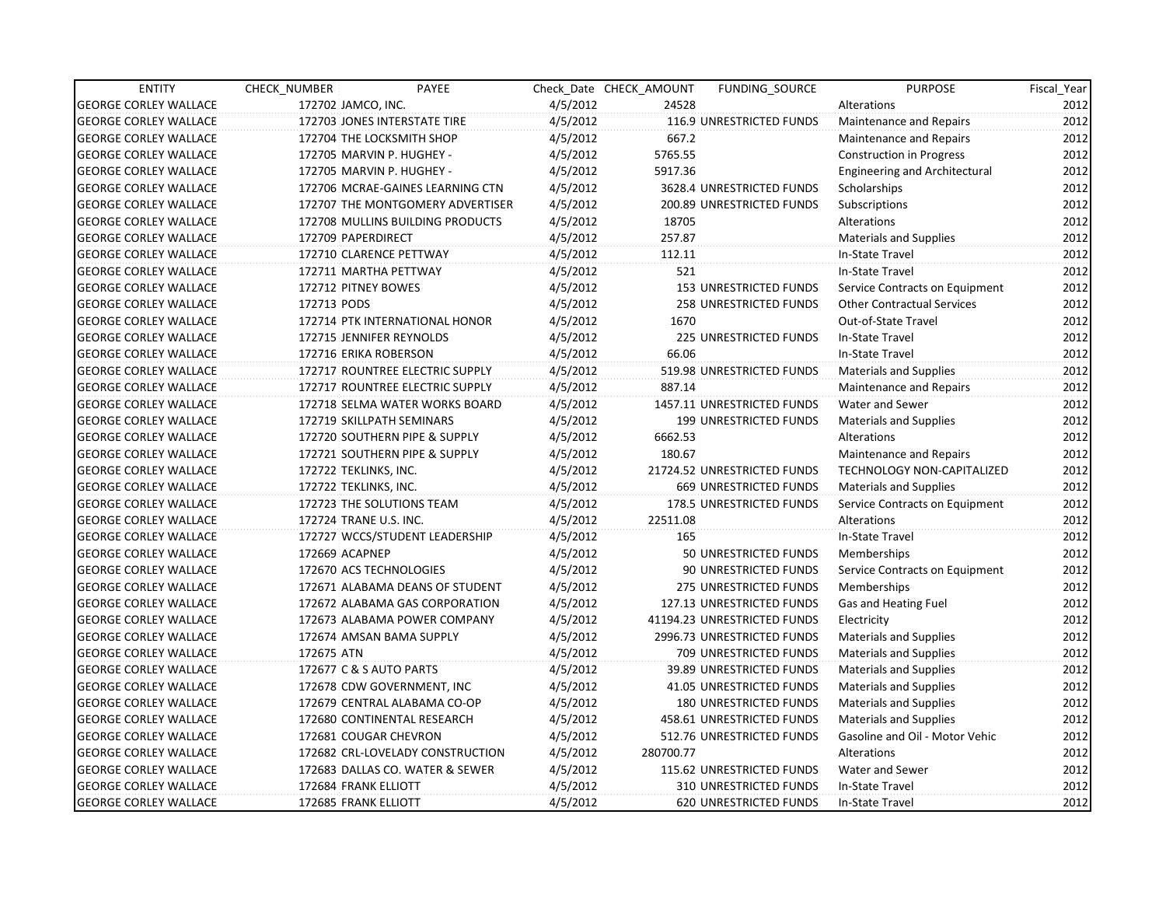| <b>ENTITY</b>                | CHECK NUMBER                 | PAYEE                            |          | Check Date CHECK AMOUNT | <b>FUNDING SOURCE</b>         | <b>PURPOSE</b>                       | Fiscal_Year |
|------------------------------|------------------------------|----------------------------------|----------|-------------------------|-------------------------------|--------------------------------------|-------------|
| <b>GEORGE CORLEY WALLACE</b> | 172702 JAMCO, INC.           |                                  | 4/5/2012 | 24528                   |                               | Alterations                          | 2012        |
| <b>GEORGE CORLEY WALLACE</b> | 172703 JONES INTERSTATE TIRE |                                  | 4/5/2012 |                         | 116.9 UNRESTRICTED FUNDS      | Maintenance and Repairs              | 2012        |
| <b>GEORGE CORLEY WALLACE</b> | 172704 THE LOCKSMITH SHOP    |                                  | 4/5/2012 | 667.2                   |                               | Maintenance and Repairs              | 2012        |
| <b>GEORGE CORLEY WALLACE</b> | 172705 MARVIN P. HUGHEY -    |                                  | 4/5/2012 | 5765.55                 |                               | Construction in Progress             | 2012        |
| <b>GEORGE CORLEY WALLACE</b> | 172705 MARVIN P. HUGHEY -    |                                  | 4/5/2012 | 5917.36                 |                               | <b>Engineering and Architectural</b> | 2012        |
| <b>GEORGE CORLEY WALLACE</b> |                              | 172706 MCRAE-GAINES LEARNING CTN | 4/5/2012 |                         | 3628.4 UNRESTRICTED FUNDS     | Scholarships                         | 2012        |
| <b>GEORGE CORLEY WALLACE</b> |                              | 172707 THE MONTGOMERY ADVERTISER | 4/5/2012 |                         | 200.89 UNRESTRICTED FUNDS     | Subscriptions                        | 2012        |
| <b>GEORGE CORLEY WALLACE</b> |                              | 172708 MULLINS BUILDING PRODUCTS | 4/5/2012 | 18705                   |                               | Alterations                          | 2012        |
| <b>GEORGE CORLEY WALLACE</b> | 172709 PAPERDIRECT           |                                  | 4/5/2012 | 257.87                  |                               | Materials and Supplies               | 2012        |
| <b>GEORGE CORLEY WALLACE</b> | 172710 CLARENCE PETTWAY      |                                  | 4/5/2012 | 112.11                  |                               | In-State Travel                      | 2012        |
| <b>GEORGE CORLEY WALLACE</b> | 172711 MARTHA PETTWAY        |                                  | 4/5/2012 | 521                     |                               | In-State Travel                      | 2012        |
| <b>GEORGE CORLEY WALLACE</b> | 172712 PITNEY BOWES          |                                  | 4/5/2012 |                         | 153 UNRESTRICTED FUNDS        | Service Contracts on Equipment       | 2012        |
| <b>GEORGE CORLEY WALLACE</b> | 172713 PODS                  |                                  | 4/5/2012 |                         | <b>258 UNRESTRICTED FUNDS</b> | <b>Other Contractual Services</b>    | 2012        |
| <b>GEORGE CORLEY WALLACE</b> |                              | 172714 PTK INTERNATIONAL HONOR   | 4/5/2012 | 1670                    |                               | Out-of-State Travel                  | 2012        |
| <b>GEORGE CORLEY WALLACE</b> | 172715 JENNIFER REYNOLDS     |                                  | 4/5/2012 |                         | 225 UNRESTRICTED FUNDS        | In-State Travel                      | 2012        |
| <b>GEORGE CORLEY WALLACE</b> | 172716 ERIKA ROBERSON        |                                  | 4/5/2012 | 66.06                   |                               | In-State Travel                      | 2012        |
| <b>GEORGE CORLEY WALLACE</b> |                              | 172717 ROUNTREE ELECTRIC SUPPLY  | 4/5/2012 |                         | 519.98 UNRESTRICTED FUNDS     | Materials and Supplies               | 2012        |
| <b>GEORGE CORLEY WALLACE</b> |                              | 172717 ROUNTREE ELECTRIC SUPPLY  | 4/5/2012 | 887.14                  |                               | Maintenance and Repairs              | 2012        |
| <b>GEORGE CORLEY WALLACE</b> |                              | 172718 SELMA WATER WORKS BOARD   | 4/5/2012 |                         | 1457.11 UNRESTRICTED FUNDS    | Water and Sewer                      | 2012        |
| <b>GEORGE CORLEY WALLACE</b> | 172719 SKILLPATH SEMINARS    |                                  | 4/5/2012 |                         | 199 UNRESTRICTED FUNDS        | <b>Materials and Supplies</b>        | 2012        |
| <b>GEORGE CORLEY WALLACE</b> |                              | 172720 SOUTHERN PIPE & SUPPLY    | 4/5/2012 | 6662.53                 |                               | Alterations                          | 2012        |
| <b>GEORGE CORLEY WALLACE</b> |                              | 172721 SOUTHERN PIPE & SUPPLY    | 4/5/2012 | 180.67                  |                               | Maintenance and Repairs              | 2012        |
| <b>GEORGE CORLEY WALLACE</b> | 172722 TEKLINKS, INC.        |                                  | 4/5/2012 |                         | 21724.52 UNRESTRICTED FUNDS   | TECHNOLOGY NON-CAPITALIZED           | 2012        |
| <b>GEORGE CORLEY WALLACE</b> | 172722 TEKLINKS, INC.        |                                  | 4/5/2012 |                         | <b>669 UNRESTRICTED FUNDS</b> | Materials and Supplies               | 2012        |
| <b>GEORGE CORLEY WALLACE</b> | 172723 THE SOLUTIONS TEAM    |                                  | 4/5/2012 |                         | 178.5 UNRESTRICTED FUNDS      | Service Contracts on Equipment       | 2012        |
| <b>GEORGE CORLEY WALLACE</b> | 172724 TRANE U.S. INC.       |                                  | 4/5/2012 | 22511.08                |                               | Alterations                          | 2012        |
| <b>GEORGE CORLEY WALLACE</b> |                              | 172727 WCCS/STUDENT LEADERSHIP   | 4/5/2012 | 165                     |                               | In-State Travel                      | 2012        |
| <b>GEORGE CORLEY WALLACE</b> | 172669 ACAPNEP               |                                  | 4/5/2012 |                         | 50 UNRESTRICTED FUNDS         | Memberships                          | 2012        |
| <b>GEORGE CORLEY WALLACE</b> | 172670 ACS TECHNOLOGIES      |                                  | 4/5/2012 |                         | 90 UNRESTRICTED FUNDS         | Service Contracts on Equipment       | 2012        |
| <b>GEORGE CORLEY WALLACE</b> |                              | 172671 ALABAMA DEANS OF STUDENT  | 4/5/2012 |                         | 275 UNRESTRICTED FUNDS        | Memberships                          | 2012        |
| <b>GEORGE CORLEY WALLACE</b> |                              | 172672 ALABAMA GAS CORPORATION   | 4/5/2012 |                         | 127.13 UNRESTRICTED FUNDS     | Gas and Heating Fuel                 | 2012        |
| <b>GEORGE CORLEY WALLACE</b> |                              | 172673 ALABAMA POWER COMPANY     | 4/5/2012 |                         | 41194.23 UNRESTRICTED FUNDS   | Electricity                          | 2012        |
| <b>GEORGE CORLEY WALLACE</b> | 172674 AMSAN BAMA SUPPLY     |                                  | 4/5/2012 |                         | 2996.73 UNRESTRICTED FUNDS    | Materials and Supplies               | 2012        |
| <b>GEORGE CORLEY WALLACE</b> | 172675 ATN                   |                                  | 4/5/2012 |                         | 709 UNRESTRICTED FUNDS        | Materials and Supplies               | 2012        |
| <b>GEORGE CORLEY WALLACE</b> | 172677 C & S AUTO PARTS      |                                  | 4/5/2012 |                         | 39.89 UNRESTRICTED FUNDS      | Materials and Supplies               | 2012        |
| <b>GEORGE CORLEY WALLACE</b> | 172678 CDW GOVERNMENT, INC   |                                  | 4/5/2012 |                         | 41.05 UNRESTRICTED FUNDS      | <b>Materials and Supplies</b>        | 2012        |
| <b>GEORGE CORLEY WALLACE</b> |                              | 172679 CENTRAL ALABAMA CO-OP     | 4/5/2012 |                         | 180 UNRESTRICTED FUNDS        | <b>Materials and Supplies</b>        | 2012        |
| <b>GEORGE CORLEY WALLACE</b> | 172680 CONTINENTAL RESEARCH  |                                  | 4/5/2012 |                         | 458.61 UNRESTRICTED FUNDS     | <b>Materials and Supplies</b>        | 2012        |
| <b>GEORGE CORLEY WALLACE</b> | 172681 COUGAR CHEVRON        |                                  | 4/5/2012 |                         | 512.76 UNRESTRICTED FUNDS     | Gasoline and Oil - Motor Vehic       | 2012        |
| <b>GEORGE CORLEY WALLACE</b> |                              | 172682 CRL-LOVELADY CONSTRUCTION | 4/5/2012 | 280700.77               |                               | Alterations                          | 2012        |
| <b>GEORGE CORLEY WALLACE</b> |                              | 172683 DALLAS CO. WATER & SEWER  | 4/5/2012 |                         | 115.62 UNRESTRICTED FUNDS     | Water and Sewer                      | 2012        |
| <b>GEORGE CORLEY WALLACE</b> | 172684 FRANK ELLIOTT         |                                  | 4/5/2012 |                         | 310 UNRESTRICTED FUNDS        | In-State Travel                      | 2012        |
| <b>GEORGE CORLEY WALLACE</b> | 172685 FRANK ELLIOTT         |                                  | 4/5/2012 |                         | <b>620 UNRESTRICTED FUNDS</b> | In-State Travel                      | 2012        |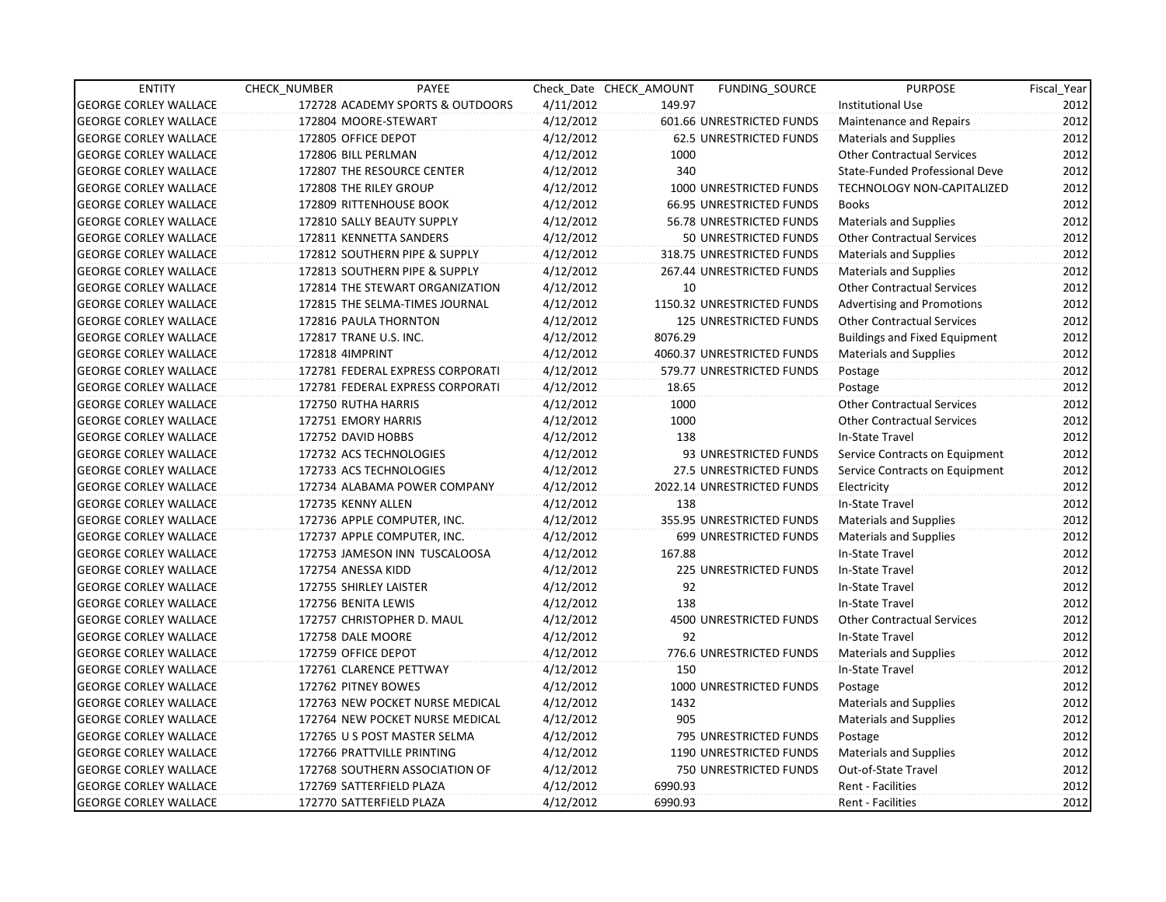| <b>ENTITY</b>                | CHECK_NUMBER    | PAYEE                            |           | Check Date CHECK AMOUNT | <b>FUNDING SOURCE</b>           | <b>PURPOSE</b>                       | Fiscal_Year |
|------------------------------|-----------------|----------------------------------|-----------|-------------------------|---------------------------------|--------------------------------------|-------------|
| <b>GEORGE CORLEY WALLACE</b> |                 | 172728 ACADEMY SPORTS & OUTDOORS | 4/11/2012 | 149.97                  |                                 | Institutional Use                    | 2012        |
| <b>GEORGE CORLEY WALLACE</b> |                 | 172804 MOORE-STEWART             | 4/12/2012 |                         | 601.66 UNRESTRICTED FUNDS       | Maintenance and Repairs              | 2012        |
| <b>GEORGE CORLEY WALLACE</b> |                 | 172805 OFFICE DEPOT              | 4/12/2012 |                         | <b>62.5 UNRESTRICTED FUNDS</b>  | <b>Materials and Supplies</b>        | 2012        |
| <b>GEORGE CORLEY WALLACE</b> |                 | 172806 BILL PERLMAN              | 4/12/2012 | 1000                    |                                 | <b>Other Contractual Services</b>    | 2012        |
| <b>GEORGE CORLEY WALLACE</b> |                 | 172807 THE RESOURCE CENTER       | 4/12/2012 | 340                     |                                 | State-Funded Professional Deve       | 2012        |
| <b>GEORGE CORLEY WALLACE</b> |                 | 172808 THE RILEY GROUP           | 4/12/2012 |                         | 1000 UNRESTRICTED FUNDS         | <b>TECHNOLOGY NON-CAPITALIZED</b>    | 2012        |
| <b>GEORGE CORLEY WALLACE</b> |                 | 172809 RITTENHOUSE BOOK          | 4/12/2012 |                         | <b>66.95 UNRESTRICTED FUNDS</b> | <b>Books</b>                         | 2012        |
| <b>GEORGE CORLEY WALLACE</b> |                 | 172810 SALLY BEAUTY SUPPLY       | 4/12/2012 |                         | 56.78 UNRESTRICTED FUNDS        | <b>Materials and Supplies</b>        | 2012        |
| <b>GEORGE CORLEY WALLACE</b> |                 | 172811 KENNETTA SANDERS          | 4/12/2012 |                         | 50 UNRESTRICTED FUNDS           | <b>Other Contractual Services</b>    | 2012        |
| <b>GEORGE CORLEY WALLACE</b> |                 | 172812 SOUTHERN PIPE & SUPPLY    | 4/12/2012 |                         | 318.75 UNRESTRICTED FUNDS       | <b>Materials and Supplies</b>        | 2012        |
| <b>GEORGE CORLEY WALLACE</b> |                 | 172813 SOUTHERN PIPE & SUPPLY    | 4/12/2012 |                         | 267.44 UNRESTRICTED FUNDS       | <b>Materials and Supplies</b>        | 2012        |
| <b>GEORGE CORLEY WALLACE</b> |                 | 172814 THE STEWART ORGANIZATION  | 4/12/2012 | 10                      |                                 | <b>Other Contractual Services</b>    | 2012        |
| <b>GEORGE CORLEY WALLACE</b> |                 | 172815 THE SELMA-TIMES JOURNAL   | 4/12/2012 |                         | 1150.32 UNRESTRICTED FUNDS      | <b>Advertising and Promotions</b>    | 2012        |
| <b>GEORGE CORLEY WALLACE</b> |                 | 172816 PAULA THORNTON            | 4/12/2012 |                         | <b>125 UNRESTRICTED FUNDS</b>   | <b>Other Contractual Services</b>    | 2012        |
| <b>GEORGE CORLEY WALLACE</b> |                 | 172817 TRANE U.S. INC.           | 4/12/2012 | 8076.29                 |                                 | <b>Buildings and Fixed Equipment</b> | 2012        |
| <b>GEORGE CORLEY WALLACE</b> | 172818 4IMPRINT |                                  | 4/12/2012 |                         | 4060.37 UNRESTRICTED FUNDS      | <b>Materials and Supplies</b>        | 2012        |
| <b>GEORGE CORLEY WALLACE</b> |                 | 172781 FEDERAL EXPRESS CORPORATI | 4/12/2012 |                         | 579.77 UNRESTRICTED FUNDS       | Postage                              | 2012        |
| <b>GEORGE CORLEY WALLACE</b> |                 | 172781 FEDERAL EXPRESS CORPORATI | 4/12/2012 | 18.65                   |                                 | Postage                              | 2012        |
| <b>GEORGE CORLEY WALLACE</b> |                 | 172750 RUTHA HARRIS              | 4/12/2012 | 1000                    |                                 | <b>Other Contractual Services</b>    | 2012        |
| <b>GEORGE CORLEY WALLACE</b> |                 | 172751 EMORY HARRIS              | 4/12/2012 | 1000                    |                                 | <b>Other Contractual Services</b>    | 2012        |
| <b>GEORGE CORLEY WALLACE</b> |                 | 172752 DAVID HOBBS               | 4/12/2012 | 138                     |                                 | In-State Travel                      | 2012        |
| <b>GEORGE CORLEY WALLACE</b> |                 | 172732 ACS TECHNOLOGIES          | 4/12/2012 |                         | 93 UNRESTRICTED FUNDS           | Service Contracts on Equipment       | 2012        |
| <b>GEORGE CORLEY WALLACE</b> |                 | 172733 ACS TECHNOLOGIES          | 4/12/2012 |                         | 27.5 UNRESTRICTED FUNDS         | Service Contracts on Equipment       | 2012        |
| <b>GEORGE CORLEY WALLACE</b> |                 | 172734 ALABAMA POWER COMPANY     | 4/12/2012 |                         | 2022.14 UNRESTRICTED FUNDS      | Electricity                          | 2012        |
| <b>GEORGE CORLEY WALLACE</b> |                 | 172735 KENNY ALLEN               | 4/12/2012 | 138                     |                                 | In-State Travel                      | 2012        |
| <b>GEORGE CORLEY WALLACE</b> |                 | 172736 APPLE COMPUTER, INC.      | 4/12/2012 |                         | 355.95 UNRESTRICTED FUNDS       | <b>Materials and Supplies</b>        | 2012        |
| <b>GEORGE CORLEY WALLACE</b> |                 | 172737 APPLE COMPUTER, INC.      | 4/12/2012 |                         | 699 UNRESTRICTED FUNDS          | <b>Materials and Supplies</b>        | 2012        |
| <b>GEORGE CORLEY WALLACE</b> |                 | 172753 JAMESON INN TUSCALOOSA    | 4/12/2012 | 167.88                  |                                 | In-State Travel                      | 2012        |
| <b>GEORGE CORLEY WALLACE</b> |                 | 172754 ANESSA KIDD               | 4/12/2012 |                         | 225 UNRESTRICTED FUNDS          | In-State Travel                      | 2012        |
| <b>GEORGE CORLEY WALLACE</b> |                 | 172755 SHIRLEY LAISTER           | 4/12/2012 | 92                      |                                 | In-State Travel                      | 2012        |
| <b>GEORGE CORLEY WALLACE</b> |                 | 172756 BENITA LEWIS              | 4/12/2012 | 138                     |                                 | In-State Travel                      | 2012        |
| <b>GEORGE CORLEY WALLACE</b> |                 | 172757 CHRISTOPHER D. MAUL       | 4/12/2012 |                         | 4500 UNRESTRICTED FUNDS         | <b>Other Contractual Services</b>    | 2012        |
| <b>GEORGE CORLEY WALLACE</b> |                 | 172758 DALE MOORE                | 4/12/2012 | 92                      |                                 | In-State Travel                      | 2012        |
| <b>GEORGE CORLEY WALLACE</b> |                 | 172759 OFFICE DEPOT              | 4/12/2012 |                         | 776.6 UNRESTRICTED FUNDS        | <b>Materials and Supplies</b>        | 2012        |
| <b>GEORGE CORLEY WALLACE</b> |                 | 172761 CLARENCE PETTWAY          | 4/12/2012 | 150                     |                                 | In-State Travel                      | 2012        |
| <b>GEORGE CORLEY WALLACE</b> |                 | 172762 PITNEY BOWES              | 4/12/2012 |                         | 1000 UNRESTRICTED FUNDS         | Postage                              | 2012        |
| <b>GEORGE CORLEY WALLACE</b> |                 | 172763 NEW POCKET NURSE MEDICAL  | 4/12/2012 | 1432                    |                                 | <b>Materials and Supplies</b>        | 2012        |
| <b>GEORGE CORLEY WALLACE</b> |                 | 172764 NEW POCKET NURSE MEDICAL  | 4/12/2012 | 905                     |                                 | <b>Materials and Supplies</b>        | 2012        |
| <b>GEORGE CORLEY WALLACE</b> |                 | 172765 U S POST MASTER SELMA     | 4/12/2012 |                         | 795 UNRESTRICTED FUNDS          | Postage                              | 2012        |
| <b>GEORGE CORLEY WALLACE</b> |                 | 172766 PRATTVILLE PRINTING       | 4/12/2012 |                         | 1190 UNRESTRICTED FUNDS         | <b>Materials and Supplies</b>        | 2012        |
| <b>GEORGE CORLEY WALLACE</b> |                 | 172768 SOUTHERN ASSOCIATION OF   | 4/12/2012 |                         | 750 UNRESTRICTED FUNDS          | Out-of-State Travel                  | 2012        |
| <b>GEORGE CORLEY WALLACE</b> |                 | 172769 SATTERFIELD PLAZA         | 4/12/2012 | 6990.93                 |                                 | Rent - Facilities                    | 2012        |
| <b>GEORGE CORLEY WALLACE</b> |                 | 172770 SATTERFIELD PLAZA         | 4/12/2012 | 6990.93                 |                                 | Rent - Facilities                    | 2012        |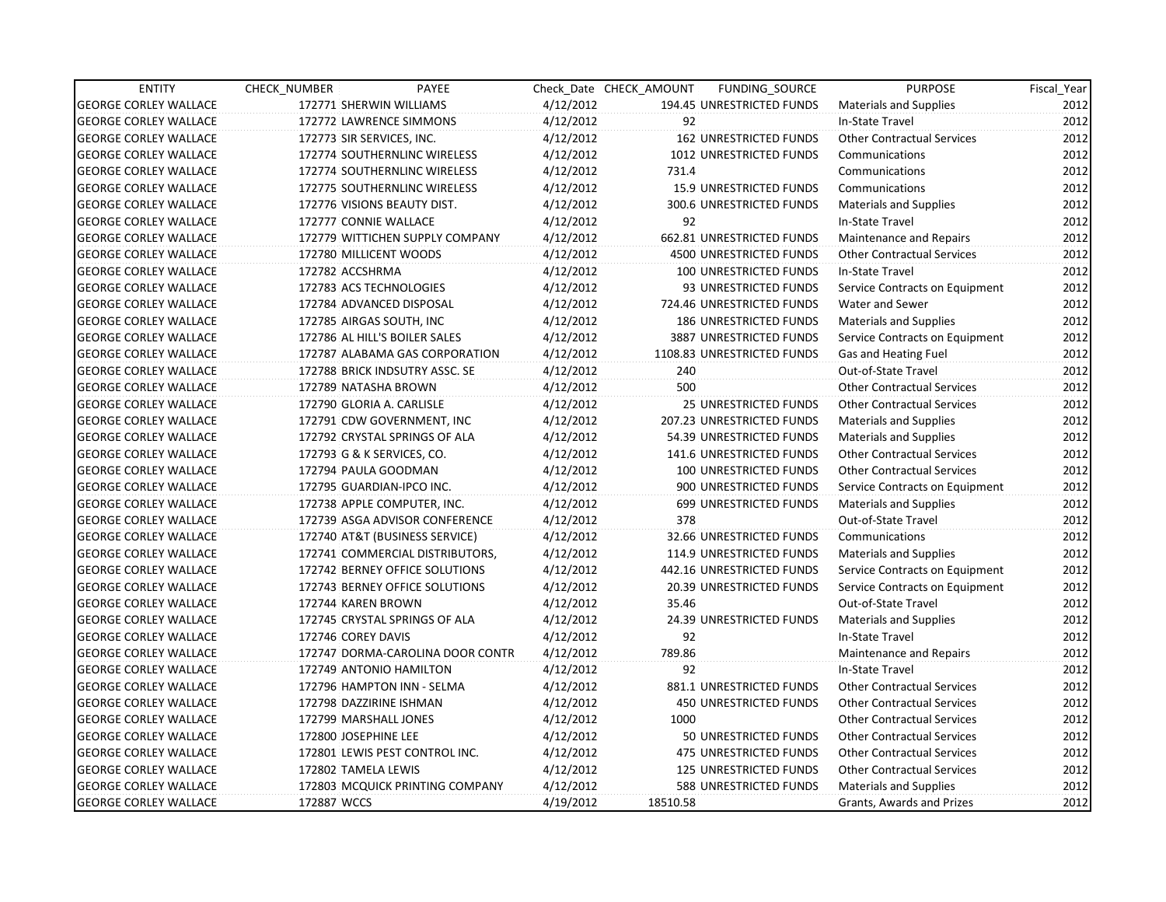| <b>ENTITY</b>                | CHECK_NUMBER         | <b>PAYEE</b>                     |           | Check Date CHECK AMOUNT | FUNDING_SOURCE                 | <b>PURPOSE</b>                    | Fiscal Year |
|------------------------------|----------------------|----------------------------------|-----------|-------------------------|--------------------------------|-----------------------------------|-------------|
| <b>GEORGE CORLEY WALLACE</b> |                      | 172771 SHERWIN WILLIAMS          | 4/12/2012 |                         | 194.45 UNRESTRICTED FUNDS      | Materials and Supplies            | 2012        |
| <b>GEORGE CORLEY WALLACE</b> |                      | 172772 LAWRENCE SIMMONS          | 4/12/2012 | 92                      |                                | In-State Travel                   | 2012        |
| <b>GEORGE CORLEY WALLACE</b> |                      | 172773 SIR SERVICES, INC.        | 4/12/2012 |                         | <b>162 UNRESTRICTED FUNDS</b>  | <b>Other Contractual Services</b> | 2012        |
| <b>GEORGE CORLEY WALLACE</b> |                      | 172774 SOUTHERNLINC WIRELESS     | 4/12/2012 |                         | 1012 UNRESTRICTED FUNDS        | Communications                    | 2012        |
| <b>GEORGE CORLEY WALLACE</b> |                      | 172774 SOUTHERNLINC WIRELESS     | 4/12/2012 | 731.4                   |                                | Communications                    | 2012        |
| <b>GEORGE CORLEY WALLACE</b> |                      | 172775 SOUTHERNLINC WIRELESS     | 4/12/2012 |                         | <b>15.9 UNRESTRICTED FUNDS</b> | Communications                    | 2012        |
| <b>GEORGE CORLEY WALLACE</b> |                      | 172776 VISIONS BEAUTY DIST.      | 4/12/2012 |                         | 300.6 UNRESTRICTED FUNDS       | <b>Materials and Supplies</b>     | 2012        |
| <b>GEORGE CORLEY WALLACE</b> |                      | 172777 CONNIE WALLACE            | 4/12/2012 | 92                      |                                | In-State Travel                   | 2012        |
| <b>GEORGE CORLEY WALLACE</b> |                      | 172779 WITTICHEN SUPPLY COMPANY  | 4/12/2012 |                         | 662.81 UNRESTRICTED FUNDS      | Maintenance and Repairs           | 2012        |
| <b>GEORGE CORLEY WALLACE</b> |                      | 172780 MILLICENT WOODS           | 4/12/2012 |                         | <b>4500 UNRESTRICTED FUNDS</b> | <b>Other Contractual Services</b> | 2012        |
| <b>GEORGE CORLEY WALLACE</b> | 172782 ACCSHRMA      |                                  | 4/12/2012 |                         | 100 UNRESTRICTED FUNDS         | In-State Travel                   | 2012        |
| <b>GEORGE CORLEY WALLACE</b> |                      | 172783 ACS TECHNOLOGIES          | 4/12/2012 |                         | 93 UNRESTRICTED FUNDS          | Service Contracts on Equipment    | 2012        |
| <b>GEORGE CORLEY WALLACE</b> |                      | 172784 ADVANCED DISPOSAL         | 4/12/2012 |                         | 724.46 UNRESTRICTED FUNDS      | Water and Sewer                   | 2012        |
| <b>GEORGE CORLEY WALLACE</b> |                      | 172785 AIRGAS SOUTH, INC         | 4/12/2012 |                         | 186 UNRESTRICTED FUNDS         | Materials and Supplies            | 2012        |
| <b>GEORGE CORLEY WALLACE</b> |                      | 172786 AL HILL'S BOILER SALES    | 4/12/2012 |                         | 3887 UNRESTRICTED FUNDS        | Service Contracts on Equipment    | 2012        |
| <b>GEORGE CORLEY WALLACE</b> |                      | 172787 ALABAMA GAS CORPORATION   | 4/12/2012 |                         | 1108.83 UNRESTRICTED FUNDS     | Gas and Heating Fuel              | 2012        |
| <b>GEORGE CORLEY WALLACE</b> |                      | 172788 BRICK INDSUTRY ASSC. SE   | 4/12/2012 | 240                     |                                | Out-of-State Travel               | 2012        |
| <b>GEORGE CORLEY WALLACE</b> |                      | 172789 NATASHA BROWN             | 4/12/2012 | 500                     |                                | <b>Other Contractual Services</b> | 2012        |
| <b>GEORGE CORLEY WALLACE</b> |                      | 172790 GLORIA A. CARLISLE        | 4/12/2012 |                         | <b>25 UNRESTRICTED FUNDS</b>   | <b>Other Contractual Services</b> | 2012        |
| <b>GEORGE CORLEY WALLACE</b> |                      | 172791 CDW GOVERNMENT, INC       | 4/12/2012 |                         | 207.23 UNRESTRICTED FUNDS      | <b>Materials and Supplies</b>     | 2012        |
| <b>GEORGE CORLEY WALLACE</b> |                      | 172792 CRYSTAL SPRINGS OF ALA    | 4/12/2012 |                         | 54.39 UNRESTRICTED FUNDS       | <b>Materials and Supplies</b>     | 2012        |
| <b>GEORGE CORLEY WALLACE</b> |                      | 172793 G & K SERVICES, CO.       | 4/12/2012 |                         | 141.6 UNRESTRICTED FUNDS       | <b>Other Contractual Services</b> | 2012        |
| <b>GEORGE CORLEY WALLACE</b> |                      | 172794 PAULA GOODMAN             | 4/12/2012 |                         | 100 UNRESTRICTED FUNDS         | <b>Other Contractual Services</b> | 2012        |
| <b>GEORGE CORLEY WALLACE</b> |                      | 172795 GUARDIAN-IPCO INC.        | 4/12/2012 |                         | 900 UNRESTRICTED FUNDS         | Service Contracts on Equipment    | 2012        |
| <b>GEORGE CORLEY WALLACE</b> |                      | 172738 APPLE COMPUTER, INC.      | 4/12/2012 |                         | 699 UNRESTRICTED FUNDS         | <b>Materials and Supplies</b>     | 2012        |
| <b>GEORGE CORLEY WALLACE</b> |                      | 172739 ASGA ADVISOR CONFERENCE   | 4/12/2012 | 378                     |                                | Out-of-State Travel               | 2012        |
| <b>GEORGE CORLEY WALLACE</b> |                      | 172740 AT&T (BUSINESS SERVICE)   | 4/12/2012 |                         | 32.66 UNRESTRICTED FUNDS       | Communications                    | 2012        |
| <b>GEORGE CORLEY WALLACE</b> |                      | 172741 COMMERCIAL DISTRIBUTORS,  | 4/12/2012 |                         | 114.9 UNRESTRICTED FUNDS       | <b>Materials and Supplies</b>     | 2012        |
| <b>GEORGE CORLEY WALLACE</b> |                      | 172742 BERNEY OFFICE SOLUTIONS   | 4/12/2012 |                         | 442.16 UNRESTRICTED FUNDS      | Service Contracts on Equipment    | 2012        |
| <b>GEORGE CORLEY WALLACE</b> |                      | 172743 BERNEY OFFICE SOLUTIONS   | 4/12/2012 |                         | 20.39 UNRESTRICTED FUNDS       | Service Contracts on Equipment    | 2012        |
| <b>GEORGE CORLEY WALLACE</b> | 172744 KAREN BROWN   |                                  | 4/12/2012 | 35.46                   |                                | Out-of-State Travel               | 2012        |
| <b>GEORGE CORLEY WALLACE</b> |                      | 172745 CRYSTAL SPRINGS OF ALA    | 4/12/2012 |                         | 24.39 UNRESTRICTED FUNDS       | <b>Materials and Supplies</b>     | 2012        |
| <b>GEORGE CORLEY WALLACE</b> | 172746 COREY DAVIS   |                                  | 4/12/2012 | 92                      |                                | In-State Travel                   | 2012        |
| <b>GEORGE CORLEY WALLACE</b> |                      | 172747 DORMA-CAROLINA DOOR CONTR | 4/12/2012 | 789.86                  |                                | Maintenance and Repairs           | 2012        |
| <b>GEORGE CORLEY WALLACE</b> |                      | 172749 ANTONIO HAMILTON          | 4/12/2012 | 92                      |                                | In-State Travel                   | 2012        |
| <b>GEORGE CORLEY WALLACE</b> |                      | 172796 HAMPTON INN - SELMA       | 4/12/2012 |                         | 881.1 UNRESTRICTED FUNDS       | <b>Other Contractual Services</b> | 2012        |
| <b>GEORGE CORLEY WALLACE</b> |                      | 172798 DAZZIRINE ISHMAN          | 4/12/2012 |                         | <b>450 UNRESTRICTED FUNDS</b>  | <b>Other Contractual Services</b> | 2012        |
| <b>GEORGE CORLEY WALLACE</b> |                      | 172799 MARSHALL JONES            | 4/12/2012 | 1000                    |                                | <b>Other Contractual Services</b> | 2012        |
| <b>GEORGE CORLEY WALLACE</b> | 172800 JOSEPHINE LEE |                                  | 4/12/2012 |                         | 50 UNRESTRICTED FUNDS          | <b>Other Contractual Services</b> | 2012        |
| <b>GEORGE CORLEY WALLACE</b> |                      | 172801 LEWIS PEST CONTROL INC.   | 4/12/2012 |                         | 475 UNRESTRICTED FUNDS         | <b>Other Contractual Services</b> | 2012        |
| <b>GEORGE CORLEY WALLACE</b> | 172802 TAMELA LEWIS  |                                  | 4/12/2012 |                         | 125 UNRESTRICTED FUNDS         | <b>Other Contractual Services</b> | 2012        |
| <b>GEORGE CORLEY WALLACE</b> |                      | 172803 MCQUICK PRINTING COMPANY  | 4/12/2012 |                         | 588 UNRESTRICTED FUNDS         | <b>Materials and Supplies</b>     | 2012        |
| <b>GEORGE CORLEY WALLACE</b> | 172887 WCCS          |                                  | 4/19/2012 | 18510.58                |                                | Grants, Awards and Prizes         | 2012        |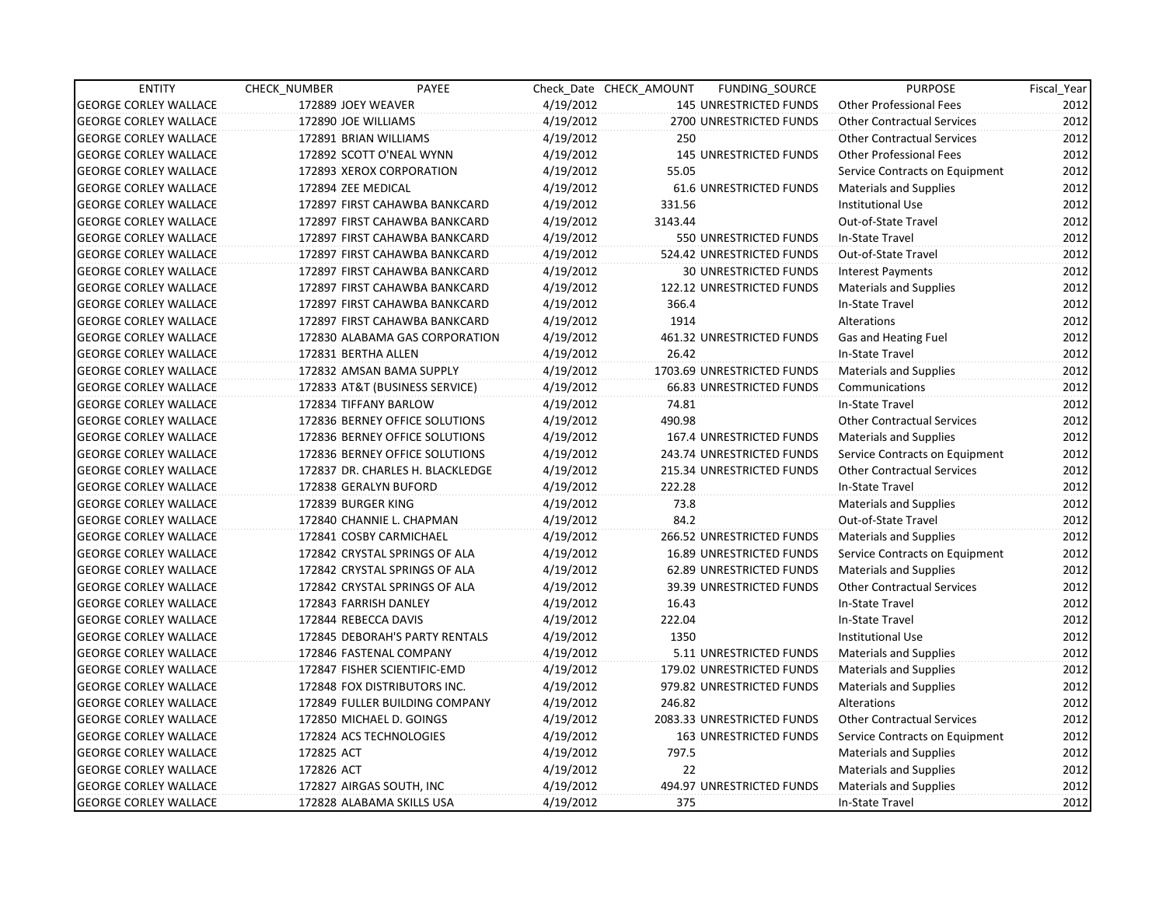| <b>ENTITY</b>                | CHECK_NUMBER             | PAYEE                            |           | Check Date CHECK AMOUNT | FUNDING_SOURCE                  | <b>PURPOSE</b>                    | Fiscal Year |
|------------------------------|--------------------------|----------------------------------|-----------|-------------------------|---------------------------------|-----------------------------------|-------------|
| <b>GEORGE CORLEY WALLACE</b> | 172889 JOEY WEAVER       |                                  | 4/19/2012 |                         | <b>145 UNRESTRICTED FUNDS</b>   | <b>Other Professional Fees</b>    | 2012        |
| <b>GEORGE CORLEY WALLACE</b> | 172890 JOE WILLIAMS      |                                  | 4/19/2012 |                         | 2700 UNRESTRICTED FUNDS         | <b>Other Contractual Services</b> | 2012        |
| <b>GEORGE CORLEY WALLACE</b> | 172891 BRIAN WILLIAMS    |                                  | 4/19/2012 | 250                     |                                 | <b>Other Contractual Services</b> | 2012        |
| <b>GEORGE CORLEY WALLACE</b> |                          | 172892 SCOTT O'NEAL WYNN         | 4/19/2012 |                         | <b>145 UNRESTRICTED FUNDS</b>   | <b>Other Professional Fees</b>    | 2012        |
| <b>GEORGE CORLEY WALLACE</b> |                          | 172893 XEROX CORPORATION         | 4/19/2012 | 55.05                   |                                 | Service Contracts on Equipment    | 2012        |
| <b>GEORGE CORLEY WALLACE</b> | 172894 ZEE MEDICAL       |                                  | 4/19/2012 |                         | <b>61.6 UNRESTRICTED FUNDS</b>  | Materials and Supplies            | 2012        |
| <b>GEORGE CORLEY WALLACE</b> |                          | 172897 FIRST CAHAWBA BANKCARD    | 4/19/2012 | 331.56                  |                                 | <b>Institutional Use</b>          | 2012        |
| <b>GEORGE CORLEY WALLACE</b> |                          | 172897 FIRST CAHAWBA BANKCARD    | 4/19/2012 | 3143.44                 |                                 | Out-of-State Travel               | 2012        |
| <b>GEORGE CORLEY WALLACE</b> |                          | 172897 FIRST CAHAWBA BANKCARD    | 4/19/2012 |                         | 550 UNRESTRICTED FUNDS          | In-State Travel                   | 2012        |
| <b>GEORGE CORLEY WALLACE</b> |                          | 172897 FIRST CAHAWBA BANKCARD    | 4/19/2012 |                         | 524.42 UNRESTRICTED FUNDS       | Out-of-State Travel               | 2012        |
| <b>GEORGE CORLEY WALLACE</b> |                          | 172897 FIRST CAHAWBA BANKCARD    | 4/19/2012 |                         | <b>30 UNRESTRICTED FUNDS</b>    | <b>Interest Payments</b>          | 2012        |
| <b>GEORGE CORLEY WALLACE</b> |                          | 172897 FIRST CAHAWBA BANKCARD    | 4/19/2012 |                         | 122.12 UNRESTRICTED FUNDS       | <b>Materials and Supplies</b>     | 2012        |
| <b>GEORGE CORLEY WALLACE</b> |                          | 172897 FIRST CAHAWBA BANKCARD    | 4/19/2012 | 366.4                   |                                 | In-State Travel                   | 2012        |
| <b>GEORGE CORLEY WALLACE</b> |                          | 172897 FIRST CAHAWBA BANKCARD    | 4/19/2012 | 1914                    |                                 | Alterations                       | 2012        |
| <b>GEORGE CORLEY WALLACE</b> |                          | 172830 ALABAMA GAS CORPORATION   | 4/19/2012 |                         | 461.32 UNRESTRICTED FUNDS       | Gas and Heating Fuel              | 2012        |
| <b>GEORGE CORLEY WALLACE</b> | 172831 BERTHA ALLEN      |                                  | 4/19/2012 | 26.42                   |                                 | In-State Travel                   | 2012        |
| <b>GEORGE CORLEY WALLACE</b> |                          | 172832 AMSAN BAMA SUPPLY         | 4/19/2012 |                         | 1703.69 UNRESTRICTED FUNDS      | <b>Materials and Supplies</b>     | 2012        |
| <b>GEORGE CORLEY WALLACE</b> |                          | 172833 AT&T (BUSINESS SERVICE)   | 4/19/2012 |                         | <b>66.83 UNRESTRICTED FUNDS</b> | Communications                    | 2012        |
| <b>GEORGE CORLEY WALLACE</b> | 172834 TIFFANY BARLOW    |                                  | 4/19/2012 | 74.81                   |                                 | In-State Travel                   | 2012        |
| <b>GEORGE CORLEY WALLACE</b> |                          | 172836 BERNEY OFFICE SOLUTIONS   | 4/19/2012 | 490.98                  |                                 | <b>Other Contractual Services</b> | 2012        |
| <b>GEORGE CORLEY WALLACE</b> |                          | 172836 BERNEY OFFICE SOLUTIONS   | 4/19/2012 |                         | 167.4 UNRESTRICTED FUNDS        | <b>Materials and Supplies</b>     | 2012        |
| <b>GEORGE CORLEY WALLACE</b> |                          | 172836 BERNEY OFFICE SOLUTIONS   | 4/19/2012 |                         | 243.74 UNRESTRICTED FUNDS       | Service Contracts on Equipment    | 2012        |
| <b>GEORGE CORLEY WALLACE</b> |                          | 172837 DR. CHARLES H. BLACKLEDGE | 4/19/2012 |                         | 215.34 UNRESTRICTED FUNDS       | <b>Other Contractual Services</b> | 2012        |
| <b>GEORGE CORLEY WALLACE</b> | 172838 GERALYN BUFORD    |                                  | 4/19/2012 | 222.28                  |                                 | In-State Travel                   | 2012        |
| <b>GEORGE CORLEY WALLACE</b> | 172839 BURGER KING       |                                  | 4/19/2012 | 73.8                    |                                 | Materials and Supplies            | 2012        |
| <b>GEORGE CORLEY WALLACE</b> |                          | 172840 CHANNIE L. CHAPMAN        | 4/19/2012 | 84.2                    |                                 | Out-of-State Travel               | 2012        |
| <b>GEORGE CORLEY WALLACE</b> | 172841 COSBY CARMICHAEL  |                                  | 4/19/2012 |                         | 266.52 UNRESTRICTED FUNDS       | <b>Materials and Supplies</b>     | 2012        |
| <b>GEORGE CORLEY WALLACE</b> |                          | 172842 CRYSTAL SPRINGS OF ALA    | 4/19/2012 |                         | 16.89 UNRESTRICTED FUNDS        | Service Contracts on Equipment    | 2012        |
| <b>GEORGE CORLEY WALLACE</b> |                          | 172842 CRYSTAL SPRINGS OF ALA    | 4/19/2012 |                         | 62.89 UNRESTRICTED FUNDS        | <b>Materials and Supplies</b>     | 2012        |
| <b>GEORGE CORLEY WALLACE</b> |                          | 172842 CRYSTAL SPRINGS OF ALA    | 4/19/2012 |                         | <b>39.39 UNRESTRICTED FUNDS</b> | <b>Other Contractual Services</b> | 2012        |
| <b>GEORGE CORLEY WALLACE</b> | 172843 FARRISH DANLEY    |                                  | 4/19/2012 | 16.43                   |                                 | In-State Travel                   | 2012        |
| <b>GEORGE CORLEY WALLACE</b> | 172844 REBECCA DAVIS     |                                  | 4/19/2012 | 222.04                  |                                 | In-State Travel                   | 2012        |
| <b>GEORGE CORLEY WALLACE</b> |                          | 172845 DEBORAH'S PARTY RENTALS   | 4/19/2012 | 1350                    |                                 | <b>Institutional Use</b>          | 2012        |
| <b>GEORGE CORLEY WALLACE</b> |                          | 172846 FASTENAL COMPANY          | 4/19/2012 |                         | 5.11 UNRESTRICTED FUNDS         | Materials and Supplies            | 2012        |
| <b>GEORGE CORLEY WALLACE</b> |                          | 172847 FISHER SCIENTIFIC-EMD     | 4/19/2012 |                         | 179.02 UNRESTRICTED FUNDS       | <b>Materials and Supplies</b>     | 2012        |
| <b>GEORGE CORLEY WALLACE</b> |                          | 172848 FOX DISTRIBUTORS INC.     | 4/19/2012 |                         | 979.82 UNRESTRICTED FUNDS       | <b>Materials and Supplies</b>     | 2012        |
| <b>GEORGE CORLEY WALLACE</b> |                          | 172849 FULLER BUILDING COMPANY   | 4/19/2012 | 246.82                  |                                 | Alterations                       | 2012        |
| <b>GEORGE CORLEY WALLACE</b> | 172850 MICHAEL D. GOINGS |                                  | 4/19/2012 |                         | 2083.33 UNRESTRICTED FUNDS      | <b>Other Contractual Services</b> | 2012        |
| <b>GEORGE CORLEY WALLACE</b> | 172824 ACS TECHNOLOGIES  |                                  | 4/19/2012 |                         | 163 UNRESTRICTED FUNDS          | Service Contracts on Equipment    | 2012        |
| <b>GEORGE CORLEY WALLACE</b> | 172825 ACT               |                                  | 4/19/2012 | 797.5                   |                                 | Materials and Supplies            | 2012        |
| <b>GEORGE CORLEY WALLACE</b> | 172826 ACT               |                                  | 4/19/2012 | 22                      |                                 | Materials and Supplies            | 2012        |
| <b>GEORGE CORLEY WALLACE</b> | 172827 AIRGAS SOUTH, INC |                                  | 4/19/2012 |                         | 494.97 UNRESTRICTED FUNDS       | Materials and Supplies            | 2012        |
| <b>GEORGE CORLEY WALLACE</b> |                          | 172828 ALABAMA SKILLS USA        | 4/19/2012 | 375                     |                                 | In-State Travel                   | 2012        |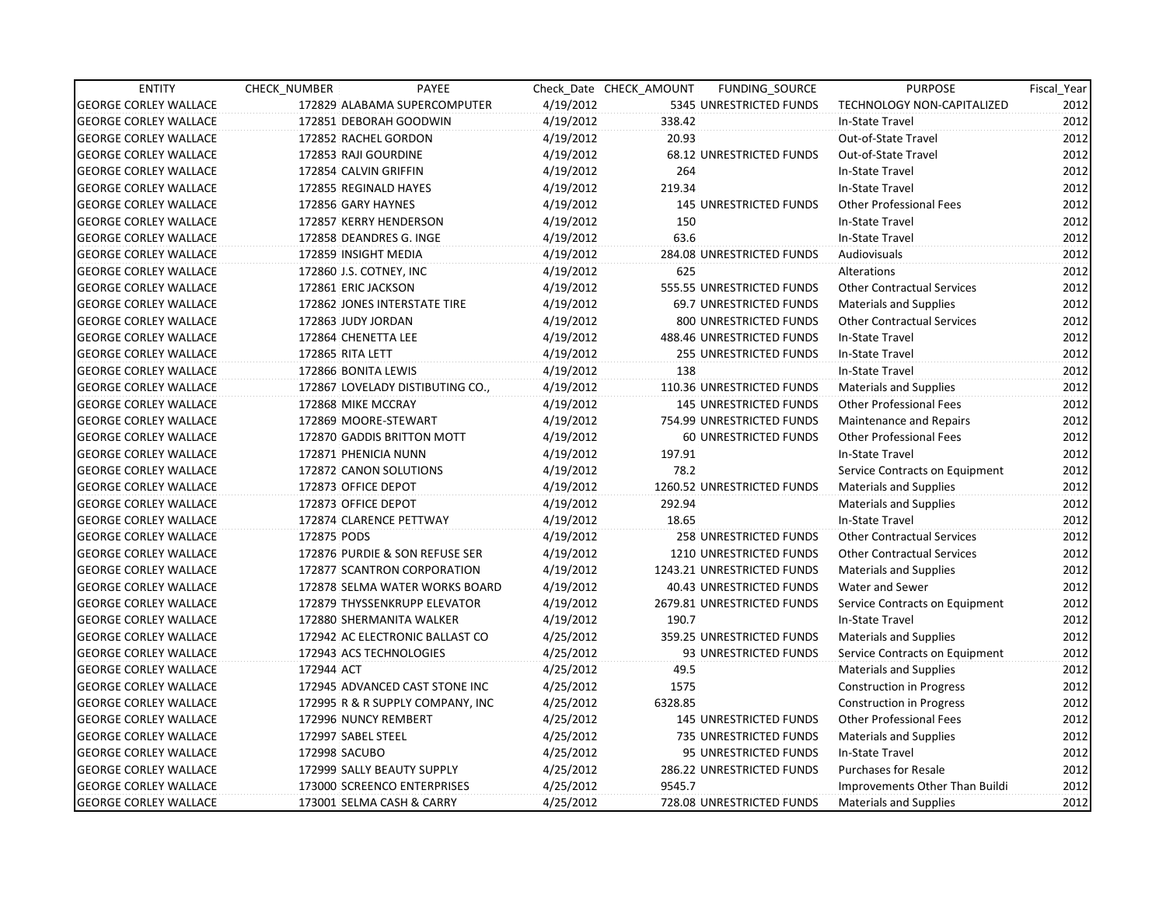| <b>ENTITY</b>                | CHECK_NUMBER               | PAYEE                            |           | Check Date CHECK AMOUNT | FUNDING_SOURCE                | <b>PURPOSE</b>                    | Fiscal_Year |
|------------------------------|----------------------------|----------------------------------|-----------|-------------------------|-------------------------------|-----------------------------------|-------------|
| <b>GEORGE CORLEY WALLACE</b> |                            | 172829 ALABAMA SUPERCOMPUTER     | 4/19/2012 |                         | 5345 UNRESTRICTED FUNDS       | TECHNOLOGY NON-CAPITALIZED        | 2012        |
| <b>GEORGE CORLEY WALLACE</b> | 172851 DEBORAH GOODWIN     |                                  | 4/19/2012 | 338.42                  |                               | In-State Travel                   | 2012        |
| <b>GEORGE CORLEY WALLACE</b> | 172852 RACHEL GORDON       |                                  | 4/19/2012 | 20.93                   |                               | Out-of-State Travel               | 2012        |
| <b>GEORGE CORLEY WALLACE</b> | 172853 RAJI GOURDINE       |                                  | 4/19/2012 |                         | 68.12 UNRESTRICTED FUNDS      | Out-of-State Travel               | 2012        |
| <b>GEORGE CORLEY WALLACE</b> | 172854 CALVIN GRIFFIN      |                                  | 4/19/2012 | 264                     |                               | In-State Travel                   | 2012        |
| <b>GEORGE CORLEY WALLACE</b> | 172855 REGINALD HAYES      |                                  | 4/19/2012 | 219.34                  |                               | In-State Travel                   | 2012        |
| <b>GEORGE CORLEY WALLACE</b> | 172856 GARY HAYNES         |                                  | 4/19/2012 |                         | <b>145 UNRESTRICTED FUNDS</b> | <b>Other Professional Fees</b>    | 2012        |
| <b>GEORGE CORLEY WALLACE</b> | 172857 KERRY HENDERSON     |                                  | 4/19/2012 | 150                     |                               | In-State Travel                   | 2012        |
| <b>GEORGE CORLEY WALLACE</b> | 172858 DEANDRES G. INGE    |                                  | 4/19/2012 | 63.6                    |                               | In-State Travel                   | 2012        |
| <b>GEORGE CORLEY WALLACE</b> | 172859 INSIGHT MEDIA       |                                  | 4/19/2012 |                         | 284.08 UNRESTRICTED FUNDS     | Audiovisuals                      | 2012        |
| <b>GEORGE CORLEY WALLACE</b> | 172860 J.S. COTNEY, INC    |                                  | 4/19/2012 | 625                     |                               | Alterations                       | 2012        |
| <b>GEORGE CORLEY WALLACE</b> | 172861 ERIC JACKSON        |                                  | 4/19/2012 |                         | 555.55 UNRESTRICTED FUNDS     | <b>Other Contractual Services</b> | 2012        |
| <b>GEORGE CORLEY WALLACE</b> |                            | 172862 JONES INTERSTATE TIRE     | 4/19/2012 |                         | 69.7 UNRESTRICTED FUNDS       | <b>Materials and Supplies</b>     | 2012        |
| <b>GEORGE CORLEY WALLACE</b> | 172863 JUDY JORDAN         |                                  | 4/19/2012 |                         | 800 UNRESTRICTED FUNDS        | <b>Other Contractual Services</b> | 2012        |
| <b>GEORGE CORLEY WALLACE</b> | 172864 CHENETTA LEE        |                                  | 4/19/2012 |                         | 488.46 UNRESTRICTED FUNDS     | In-State Travel                   | 2012        |
| <b>GEORGE CORLEY WALLACE</b> | <b>172865 RITA LETT</b>    |                                  | 4/19/2012 |                         | <b>255 UNRESTRICTED FUNDS</b> | In-State Travel                   | 2012        |
| <b>GEORGE CORLEY WALLACE</b> | 172866 BONITA LEWIS        |                                  | 4/19/2012 | 138                     |                               | In-State Travel                   | 2012        |
| <b>GEORGE CORLEY WALLACE</b> |                            | 172867 LOVELADY DISTIBUTING CO., | 4/19/2012 |                         | 110.36 UNRESTRICTED FUNDS     | <b>Materials and Supplies</b>     | 2012        |
| <b>GEORGE CORLEY WALLACE</b> | 172868 MIKE MCCRAY         |                                  | 4/19/2012 |                         | <b>145 UNRESTRICTED FUNDS</b> | Other Professional Fees           | 2012        |
| <b>GEORGE CORLEY WALLACE</b> | 172869 MOORE-STEWART       |                                  | 4/19/2012 |                         | 754.99 UNRESTRICTED FUNDS     | <b>Maintenance and Repairs</b>    | 2012        |
| <b>GEORGE CORLEY WALLACE</b> |                            | 172870 GADDIS BRITTON MOTT       | 4/19/2012 |                         | 60 UNRESTRICTED FUNDS         | <b>Other Professional Fees</b>    | 2012        |
| <b>GEORGE CORLEY WALLACE</b> | 172871 PHENICIA NUNN       |                                  | 4/19/2012 | 197.91                  |                               | In-State Travel                   | 2012        |
| <b>GEORGE CORLEY WALLACE</b> | 172872 CANON SOLUTIONS     |                                  | 4/19/2012 | 78.2                    |                               | Service Contracts on Equipment    | 2012        |
| <b>GEORGE CORLEY WALLACE</b> | 172873 OFFICE DEPOT        |                                  | 4/19/2012 |                         | 1260.52 UNRESTRICTED FUNDS    | Materials and Supplies            | 2012        |
| <b>GEORGE CORLEY WALLACE</b> | 172873 OFFICE DEPOT        |                                  | 4/19/2012 | 292.94                  |                               | <b>Materials and Supplies</b>     | 2012        |
| <b>GEORGE CORLEY WALLACE</b> | 172874 CLARENCE PETTWAY    |                                  | 4/19/2012 | 18.65                   |                               | In-State Travel                   | 2012        |
| <b>GEORGE CORLEY WALLACE</b> | 172875 PODS                |                                  | 4/19/2012 |                         | 258 UNRESTRICTED FUNDS        | <b>Other Contractual Services</b> | 2012        |
| <b>GEORGE CORLEY WALLACE</b> |                            | 172876 PURDIE & SON REFUSE SER   | 4/19/2012 |                         | 1210 UNRESTRICTED FUNDS       | <b>Other Contractual Services</b> | 2012        |
| <b>GEORGE CORLEY WALLACE</b> |                            | 172877 SCANTRON CORPORATION      | 4/19/2012 |                         | 1243.21 UNRESTRICTED FUNDS    | <b>Materials and Supplies</b>     | 2012        |
| <b>GEORGE CORLEY WALLACE</b> |                            | 172878 SELMA WATER WORKS BOARD   | 4/19/2012 |                         | 40.43 UNRESTRICTED FUNDS      | Water and Sewer                   | 2012        |
| <b>GEORGE CORLEY WALLACE</b> |                            | 172879 THYSSENKRUPP ELEVATOR     | 4/19/2012 |                         | 2679.81 UNRESTRICTED FUNDS    | Service Contracts on Equipment    | 2012        |
| <b>GEORGE CORLEY WALLACE</b> | 172880 SHERMANITA WALKER   |                                  | 4/19/2012 | 190.7                   |                               | In-State Travel                   | 2012        |
| <b>GEORGE CORLEY WALLACE</b> |                            | 172942 AC ELECTRONIC BALLAST CO  | 4/25/2012 |                         | 359.25 UNRESTRICTED FUNDS     | <b>Materials and Supplies</b>     | 2012        |
| <b>GEORGE CORLEY WALLACE</b> | 172943 ACS TECHNOLOGIES    |                                  | 4/25/2012 |                         | 93 UNRESTRICTED FUNDS         | Service Contracts on Equipment    | 2012        |
| <b>GEORGE CORLEY WALLACE</b> | 172944 ACT                 |                                  | 4/25/2012 | 49.5                    |                               | Materials and Supplies            | 2012        |
| <b>GEORGE CORLEY WALLACE</b> |                            | 172945 ADVANCED CAST STONE INC   | 4/25/2012 | 1575                    |                               | <b>Construction in Progress</b>   | 2012        |
| <b>GEORGE CORLEY WALLACE</b> |                            | 172995 R & R SUPPLY COMPANY, INC | 4/25/2012 | 6328.85                 |                               | <b>Construction in Progress</b>   | 2012        |
| <b>GEORGE CORLEY WALLACE</b> | 172996 NUNCY REMBERT       |                                  | 4/25/2012 |                         | <b>145 UNRESTRICTED FUNDS</b> | <b>Other Professional Fees</b>    | 2012        |
| <b>GEORGE CORLEY WALLACE</b> | 172997 SABEL STEEL         |                                  | 4/25/2012 |                         | 735 UNRESTRICTED FUNDS        | Materials and Supplies            | 2012        |
| <b>GEORGE CORLEY WALLACE</b> | 172998 SACUBO              |                                  | 4/25/2012 |                         | 95 UNRESTRICTED FUNDS         | In-State Travel                   | 2012        |
| <b>GEORGE CORLEY WALLACE</b> | 172999 SALLY BEAUTY SUPPLY |                                  | 4/25/2012 |                         | 286.22 UNRESTRICTED FUNDS     | <b>Purchases for Resale</b>       | 2012        |
| <b>GEORGE CORLEY WALLACE</b> |                            | 173000 SCREENCO ENTERPRISES      | 4/25/2012 | 9545.7                  |                               | Improvements Other Than Buildi    | 2012        |
| <b>GEORGE CORLEY WALLACE</b> | 173001 SELMA CASH & CARRY  |                                  | 4/25/2012 |                         | 728.08 UNRESTRICTED FUNDS     | <b>Materials and Supplies</b>     | 2012        |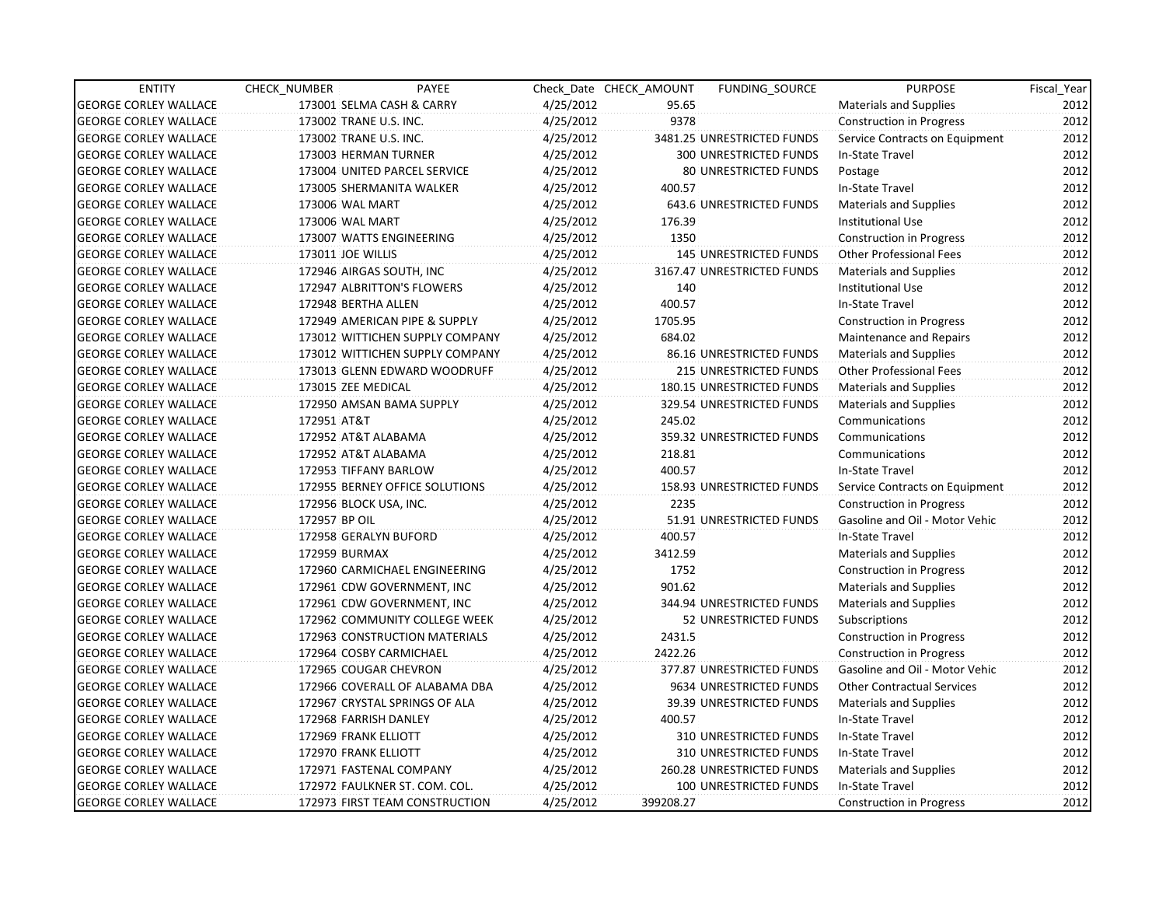| <b>ENTITY</b>                | CHECK NUMBER             | PAYEE                           |           | Check Date CHECK AMOUNT | FUNDING_SOURCE                | <b>PURPOSE</b>                    | Fiscal_Year |
|------------------------------|--------------------------|---------------------------------|-----------|-------------------------|-------------------------------|-----------------------------------|-------------|
| <b>GEORGE CORLEY WALLACE</b> |                          | 173001 SELMA CASH & CARRY       | 4/25/2012 | 95.65                   |                               | <b>Materials and Supplies</b>     | 2012        |
| <b>GEORGE CORLEY WALLACE</b> | 173002 TRANE U.S. INC.   |                                 | 4/25/2012 | 9378                    |                               | <b>Construction in Progress</b>   | 2012        |
| <b>GEORGE CORLEY WALLACE</b> | 173002 TRANE U.S. INC.   |                                 | 4/25/2012 |                         | 3481.25 UNRESTRICTED FUNDS    | Service Contracts on Equipment    | 2012        |
| <b>GEORGE CORLEY WALLACE</b> | 173003 HERMAN TURNER     |                                 | 4/25/2012 |                         | <b>300 UNRESTRICTED FUNDS</b> | In-State Travel                   | 2012        |
| <b>GEORGE CORLEY WALLACE</b> |                          | 173004 UNITED PARCEL SERVICE    | 4/25/2012 |                         | 80 UNRESTRICTED FUNDS         | Postage                           | 2012        |
| <b>GEORGE CORLEY WALLACE</b> |                          | 173005 SHERMANITA WALKER        | 4/25/2012 | 400.57                  |                               | In-State Travel                   | 2012        |
| <b>GEORGE CORLEY WALLACE</b> | 173006 WAL MART          |                                 | 4/25/2012 |                         | 643.6 UNRESTRICTED FUNDS      | Materials and Supplies            | 2012        |
| <b>GEORGE CORLEY WALLACE</b> | 173006 WAL MART          |                                 | 4/25/2012 | 176.39                  |                               | <b>Institutional Use</b>          | 2012        |
| <b>GEORGE CORLEY WALLACE</b> | 173007 WATTS ENGINEERING |                                 | 4/25/2012 | 1350                    |                               | <b>Construction in Progress</b>   | 2012        |
| <b>GEORGE CORLEY WALLACE</b> | 173011 JOE WILLIS        |                                 | 4/25/2012 |                         | <b>145 UNRESTRICTED FUNDS</b> | <b>Other Professional Fees</b>    | 2012        |
| <b>GEORGE CORLEY WALLACE</b> | 172946 AIRGAS SOUTH, INC |                                 | 4/25/2012 |                         | 3167.47 UNRESTRICTED FUNDS    | <b>Materials and Supplies</b>     | 2012        |
| <b>GEORGE CORLEY WALLACE</b> |                          | 172947 ALBRITTON'S FLOWERS      | 4/25/2012 | 140                     |                               | <b>Institutional Use</b>          | 2012        |
| <b>GEORGE CORLEY WALLACE</b> | 172948 BERTHA ALLEN      |                                 | 4/25/2012 | 400.57                  |                               | In-State Travel                   | 2012        |
| <b>GEORGE CORLEY WALLACE</b> |                          | 172949 AMERICAN PIPE & SUPPLY   | 4/25/2012 | 1705.95                 |                               | <b>Construction in Progress</b>   | 2012        |
| <b>GEORGE CORLEY WALLACE</b> |                          | 173012 WITTICHEN SUPPLY COMPANY | 4/25/2012 | 684.02                  |                               | <b>Maintenance and Repairs</b>    | 2012        |
| <b>GEORGE CORLEY WALLACE</b> |                          | 173012 WITTICHEN SUPPLY COMPANY | 4/25/2012 |                         | 86.16 UNRESTRICTED FUNDS      | <b>Materials and Supplies</b>     | 2012        |
| <b>GEORGE CORLEY WALLACE</b> |                          | 173013 GLENN EDWARD WOODRUFF    | 4/25/2012 |                         | 215 UNRESTRICTED FUNDS        | <b>Other Professional Fees</b>    | 2012        |
| <b>GEORGE CORLEY WALLACE</b> | 173015 ZEE MEDICAL       |                                 | 4/25/2012 |                         | 180.15 UNRESTRICTED FUNDS     | <b>Materials and Supplies</b>     | 2012        |
| <b>GEORGE CORLEY WALLACE</b> |                          | 172950 AMSAN BAMA SUPPLY        | 4/25/2012 |                         | 329.54 UNRESTRICTED FUNDS     | <b>Materials and Supplies</b>     | 2012        |
| <b>GEORGE CORLEY WALLACE</b> | 172951 AT&T              |                                 | 4/25/2012 | 245.02                  |                               | Communications                    | 2012        |
| <b>GEORGE CORLEY WALLACE</b> | 172952 AT&T ALABAMA      |                                 | 4/25/2012 |                         | 359.32 UNRESTRICTED FUNDS     | Communications                    | 2012        |
| <b>GEORGE CORLEY WALLACE</b> | 172952 AT&T ALABAMA      |                                 | 4/25/2012 | 218.81                  |                               | Communications                    | 2012        |
| <b>GEORGE CORLEY WALLACE</b> | 172953 TIFFANY BARLOW    |                                 | 4/25/2012 | 400.57                  |                               | In-State Travel                   | 2012        |
| <b>GEORGE CORLEY WALLACE</b> |                          | 172955 BERNEY OFFICE SOLUTIONS  | 4/25/2012 |                         | 158.93 UNRESTRICTED FUNDS     | Service Contracts on Equipment    | 2012        |
| <b>GEORGE CORLEY WALLACE</b> | 172956 BLOCK USA, INC.   |                                 | 4/25/2012 | 2235                    |                               | <b>Construction in Progress</b>   | 2012        |
| <b>GEORGE CORLEY WALLACE</b> | 172957 BP OIL            |                                 | 4/25/2012 |                         | 51.91 UNRESTRICTED FUNDS      | Gasoline and Oil - Motor Vehic    | 2012        |
| <b>GEORGE CORLEY WALLACE</b> | 172958 GERALYN BUFORD    |                                 | 4/25/2012 | 400.57                  |                               | In-State Travel                   | 2012        |
| <b>GEORGE CORLEY WALLACE</b> | 172959 BURMAX            |                                 | 4/25/2012 | 3412.59                 |                               | <b>Materials and Supplies</b>     | 2012        |
| <b>GEORGE CORLEY WALLACE</b> |                          | 172960 CARMICHAEL ENGINEERING   | 4/25/2012 | 1752                    |                               | <b>Construction in Progress</b>   | 2012        |
| <b>GEORGE CORLEY WALLACE</b> |                          | 172961 CDW GOVERNMENT, INC      | 4/25/2012 | 901.62                  |                               | <b>Materials and Supplies</b>     | 2012        |
| <b>GEORGE CORLEY WALLACE</b> |                          | 172961 CDW GOVERNMENT, INC      | 4/25/2012 |                         | 344.94 UNRESTRICTED FUNDS     | Materials and Supplies            | 2012        |
| <b>GEORGE CORLEY WALLACE</b> |                          | 172962 COMMUNITY COLLEGE WEEK   | 4/25/2012 |                         | 52 UNRESTRICTED FUNDS         | Subscriptions                     | 2012        |
| <b>GEORGE CORLEY WALLACE</b> |                          | 172963 CONSTRUCTION MATERIALS   | 4/25/2012 | 2431.5                  |                               | <b>Construction in Progress</b>   | 2012        |
| <b>GEORGE CORLEY WALLACE</b> | 172964 COSBY CARMICHAEL  |                                 | 4/25/2012 | 2422.26                 |                               | <b>Construction in Progress</b>   | 2012        |
| <b>GEORGE CORLEY WALLACE</b> | 172965 COUGAR CHEVRON    |                                 | 4/25/2012 |                         | 377.87 UNRESTRICTED FUNDS     | Gasoline and Oil - Motor Vehic    | 2012        |
| <b>GEORGE CORLEY WALLACE</b> |                          | 172966 COVERALL OF ALABAMA DBA  | 4/25/2012 |                         | 9634 UNRESTRICTED FUNDS       | <b>Other Contractual Services</b> | 2012        |
| <b>GEORGE CORLEY WALLACE</b> |                          | 172967 CRYSTAL SPRINGS OF ALA   | 4/25/2012 |                         | 39.39 UNRESTRICTED FUNDS      | Materials and Supplies            | 2012        |
| <b>GEORGE CORLEY WALLACE</b> | 172968 FARRISH DANLEY    |                                 | 4/25/2012 | 400.57                  |                               | In-State Travel                   | 2012        |
| <b>GEORGE CORLEY WALLACE</b> | 172969 FRANK ELLIOTT     |                                 | 4/25/2012 |                         | 310 UNRESTRICTED FUNDS        | In-State Travel                   | 2012        |
| <b>GEORGE CORLEY WALLACE</b> | 172970 FRANK ELLIOTT     |                                 | 4/25/2012 |                         | 310 UNRESTRICTED FUNDS        | In-State Travel                   | 2012        |
| <b>GEORGE CORLEY WALLACE</b> | 172971 FASTENAL COMPANY  |                                 | 4/25/2012 |                         | 260.28 UNRESTRICTED FUNDS     | <b>Materials and Supplies</b>     | 2012        |
| <b>GEORGE CORLEY WALLACE</b> |                          | 172972 FAULKNER ST. COM. COL.   | 4/25/2012 |                         | 100 UNRESTRICTED FUNDS        | In-State Travel                   | 2012        |
| <b>GEORGE CORLEY WALLACE</b> |                          | 172973 FIRST TEAM CONSTRUCTION  | 4/25/2012 | 399208.27               |                               | Construction in Progress          | 2012        |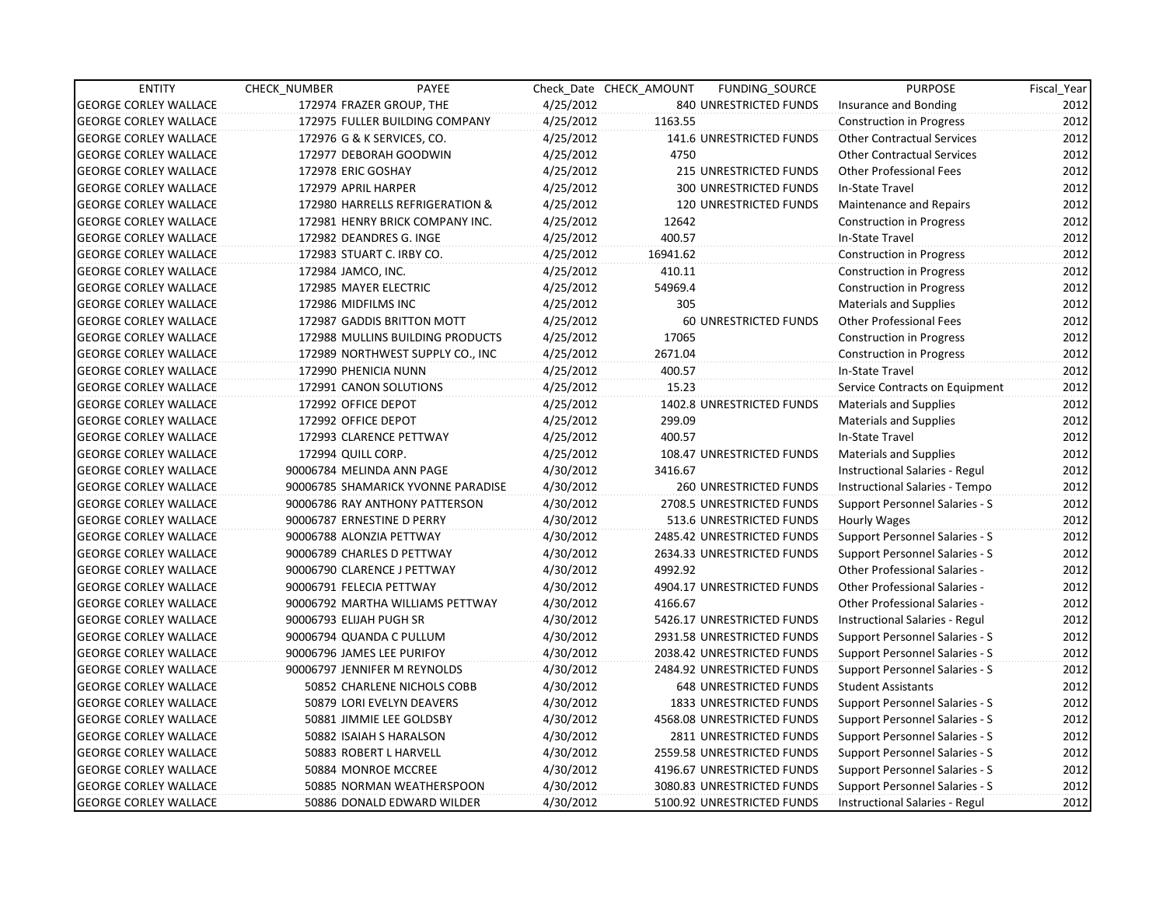| <b>ENTITY</b>                | CHECK_NUMBER             | PAYEE                              |           | Check Date CHECK AMOUNT | FUNDING_SOURCE                | <b>PURPOSE</b>                        | Fiscal Year |
|------------------------------|--------------------------|------------------------------------|-----------|-------------------------|-------------------------------|---------------------------------------|-------------|
| <b>GEORGE CORLEY WALLACE</b> |                          | 172974 FRAZER GROUP, THE           | 4/25/2012 |                         | 840 UNRESTRICTED FUNDS        | Insurance and Bonding                 | 2012        |
| <b>GEORGE CORLEY WALLACE</b> |                          | 172975 FULLER BUILDING COMPANY     | 4/25/2012 | 1163.55                 |                               | <b>Construction in Progress</b>       | 2012        |
| <b>GEORGE CORLEY WALLACE</b> |                          | 172976 G & K SERVICES, CO.         | 4/25/2012 |                         | 141.6 UNRESTRICTED FUNDS      | <b>Other Contractual Services</b>     | 2012        |
| <b>GEORGE CORLEY WALLACE</b> |                          | 172977 DEBORAH GOODWIN             | 4/25/2012 | 4750                    |                               | <b>Other Contractual Services</b>     | 2012        |
| <b>GEORGE CORLEY WALLACE</b> | 172978 ERIC GOSHAY       |                                    | 4/25/2012 |                         | 215 UNRESTRICTED FUNDS        | <b>Other Professional Fees</b>        | 2012        |
| <b>GEORGE CORLEY WALLACE</b> | 172979 APRIL HARPER      |                                    | 4/25/2012 |                         | 300 UNRESTRICTED FUNDS        | In-State Travel                       | 2012        |
| <b>GEORGE CORLEY WALLACE</b> |                          | 172980 HARRELLS REFRIGERATION &    | 4/25/2012 |                         | <b>120 UNRESTRICTED FUNDS</b> | Maintenance and Repairs               | 2012        |
| <b>GEORGE CORLEY WALLACE</b> |                          | 172981 HENRY BRICK COMPANY INC.    | 4/25/2012 | 12642                   |                               | <b>Construction in Progress</b>       | 2012        |
| <b>GEORGE CORLEY WALLACE</b> |                          | 172982 DEANDRES G. INGE            | 4/25/2012 | 400.57                  |                               | In-State Travel                       | 2012        |
| <b>GEORGE CORLEY WALLACE</b> |                          | 172983 STUART C. IRBY CO.          | 4/25/2012 | 16941.62                |                               | <b>Construction in Progress</b>       | 2012        |
| <b>GEORGE CORLEY WALLACE</b> | 172984 JAMCO, INC.       |                                    | 4/25/2012 | 410.11                  |                               | <b>Construction in Progress</b>       | 2012        |
| <b>GEORGE CORLEY WALLACE</b> |                          | 172985 MAYER ELECTRIC              | 4/25/2012 | 54969.4                 |                               | <b>Construction in Progress</b>       | 2012        |
| <b>GEORGE CORLEY WALLACE</b> | 172986 MIDFILMS INC      |                                    | 4/25/2012 | 305                     |                               | <b>Materials and Supplies</b>         | 2012        |
| <b>GEORGE CORLEY WALLACE</b> |                          | 172987 GADDIS BRITTON MOTT         | 4/25/2012 |                         | 60 UNRESTRICTED FUNDS         | <b>Other Professional Fees</b>        | 2012        |
| <b>GEORGE CORLEY WALLACE</b> |                          | 172988 MULLINS BUILDING PRODUCTS   | 4/25/2012 | 17065                   |                               | <b>Construction in Progress</b>       | 2012        |
| <b>GEORGE CORLEY WALLACE</b> |                          | 172989 NORTHWEST SUPPLY CO., INC   | 4/25/2012 | 2671.04                 |                               | <b>Construction in Progress</b>       | 2012        |
| <b>GEORGE CORLEY WALLACE</b> | 172990 PHENICIA NUNN     |                                    | 4/25/2012 | 400.57                  |                               | In-State Travel                       | 2012        |
| <b>GEORGE CORLEY WALLACE</b> |                          | 172991 CANON SOLUTIONS             | 4/25/2012 | 15.23                   |                               | Service Contracts on Equipment        | 2012        |
| <b>GEORGE CORLEY WALLACE</b> | 172992 OFFICE DEPOT      |                                    | 4/25/2012 |                         | 1402.8 UNRESTRICTED FUNDS     | <b>Materials and Supplies</b>         | 2012        |
| <b>GEORGE CORLEY WALLACE</b> | 172992 OFFICE DEPOT      |                                    | 4/25/2012 | 299.09                  |                               | <b>Materials and Supplies</b>         | 2012        |
| <b>GEORGE CORLEY WALLACE</b> |                          | 172993 CLARENCE PETTWAY            | 4/25/2012 | 400.57                  |                               | In-State Travel                       | 2012        |
| <b>GEORGE CORLEY WALLACE</b> | 172994 QUILL CORP.       |                                    | 4/25/2012 |                         | 108.47 UNRESTRICTED FUNDS     | <b>Materials and Supplies</b>         | 2012        |
| <b>GEORGE CORLEY WALLACE</b> |                          | 90006784 MELINDA ANN PAGE          | 4/30/2012 | 3416.67                 |                               | Instructional Salaries - Regul        | 2012        |
| <b>GEORGE CORLEY WALLACE</b> |                          | 90006785 SHAMARICK YVONNE PARADISE | 4/30/2012 |                         | 260 UNRESTRICTED FUNDS        | Instructional Salaries - Tempo        | 2012        |
| <b>GEORGE CORLEY WALLACE</b> |                          | 90006786 RAY ANTHONY PATTERSON     | 4/30/2012 |                         | 2708.5 UNRESTRICTED FUNDS     | <b>Support Personnel Salaries - S</b> | 2012        |
| <b>GEORGE CORLEY WALLACE</b> |                          | 90006787 ERNESTINE D PERRY         | 4/30/2012 |                         | 513.6 UNRESTRICTED FUNDS      | Hourly Wages                          | 2012        |
| <b>GEORGE CORLEY WALLACE</b> | 90006788 ALONZIA PETTWAY |                                    | 4/30/2012 |                         | 2485.42 UNRESTRICTED FUNDS    | Support Personnel Salaries - S        | 2012        |
| <b>GEORGE CORLEY WALLACE</b> |                          | 90006789 CHARLES D PETTWAY         | 4/30/2012 |                         | 2634.33 UNRESTRICTED FUNDS    | Support Personnel Salaries - S        | 2012        |
| <b>GEORGE CORLEY WALLACE</b> |                          | 90006790 CLARENCE J PETTWAY        | 4/30/2012 | 4992.92                 |                               | <b>Other Professional Salaries -</b>  | 2012        |
| <b>GEORGE CORLEY WALLACE</b> | 90006791 FELECIA PETTWAY |                                    | 4/30/2012 |                         | 4904.17 UNRESTRICTED FUNDS    | <b>Other Professional Salaries -</b>  | 2012        |
| <b>GEORGE CORLEY WALLACE</b> |                          | 90006792 MARTHA WILLIAMS PETTWAY   | 4/30/2012 | 4166.67                 |                               | <b>Other Professional Salaries -</b>  | 2012        |
| <b>GEORGE CORLEY WALLACE</b> | 90006793 ELIJAH PUGH SR  |                                    | 4/30/2012 |                         | 5426.17 UNRESTRICTED FUNDS    | Instructional Salaries - Regul        | 2012        |
| <b>GEORGE CORLEY WALLACE</b> |                          | 90006794 QUANDA C PULLUM           | 4/30/2012 |                         | 2931.58 UNRESTRICTED FUNDS    | Support Personnel Salaries - S        | 2012        |
| <b>GEORGE CORLEY WALLACE</b> |                          | 90006796 JAMES LEE PURIFOY         | 4/30/2012 |                         | 2038.42 UNRESTRICTED FUNDS    | Support Personnel Salaries - S        | 2012        |
| <b>GEORGE CORLEY WALLACE</b> |                          | 90006797 JENNIFER M REYNOLDS       | 4/30/2012 |                         | 2484.92 UNRESTRICTED FUNDS    | Support Personnel Salaries - S        | 2012        |
| <b>GEORGE CORLEY WALLACE</b> |                          | 50852 CHARLENE NICHOLS COBB        | 4/30/2012 |                         | <b>648 UNRESTRICTED FUNDS</b> | <b>Student Assistants</b>             | 2012        |
| <b>GEORGE CORLEY WALLACE</b> |                          | 50879 LORI EVELYN DEAVERS          | 4/30/2012 |                         | 1833 UNRESTRICTED FUNDS       | Support Personnel Salaries - S        | 2012        |
| <b>GEORGE CORLEY WALLACE</b> |                          | 50881 JIMMIE LEE GOLDSBY           | 4/30/2012 |                         | 4568.08 UNRESTRICTED FUNDS    | <b>Support Personnel Salaries - S</b> | 2012        |
| <b>GEORGE CORLEY WALLACE</b> |                          | 50882 ISAIAH S HARALSON            | 4/30/2012 |                         | 2811 UNRESTRICTED FUNDS       | Support Personnel Salaries - S        | 2012        |
| <b>GEORGE CORLEY WALLACE</b> |                          | 50883 ROBERT L HARVELL             | 4/30/2012 |                         | 2559.58 UNRESTRICTED FUNDS    | Support Personnel Salaries - S        | 2012        |
| <b>GEORGE CORLEY WALLACE</b> |                          | 50884 MONROE MCCREE                | 4/30/2012 |                         | 4196.67 UNRESTRICTED FUNDS    | Support Personnel Salaries - S        | 2012        |
| <b>GEORGE CORLEY WALLACE</b> |                          | 50885 NORMAN WEATHERSPOON          | 4/30/2012 |                         | 3080.83 UNRESTRICTED FUNDS    | Support Personnel Salaries - S        | 2012        |
| <b>GEORGE CORLEY WALLACE</b> |                          | 50886 DONALD EDWARD WILDER         | 4/30/2012 |                         | 5100.92 UNRESTRICTED FUNDS    | Instructional Salaries - Regul        | 2012        |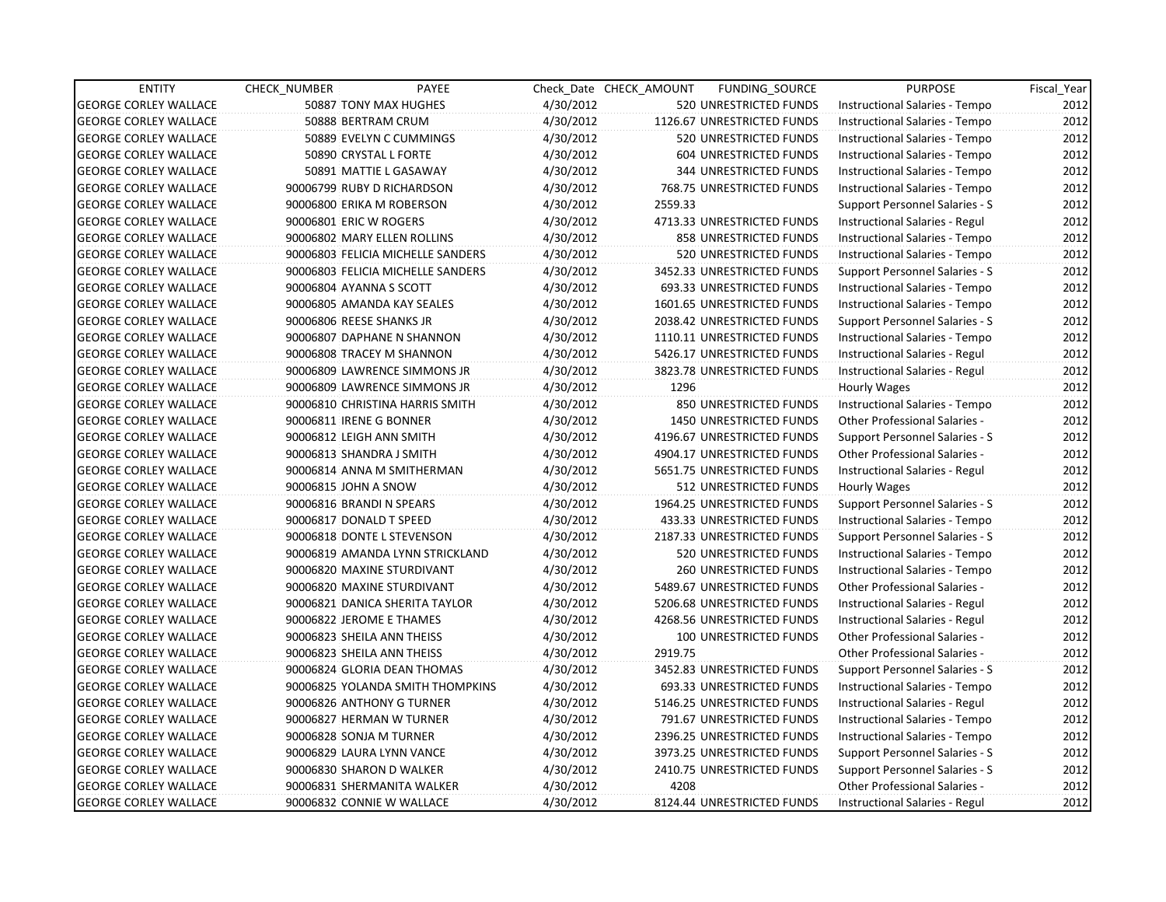| <b>ENTITY</b>                | CHECK_NUMBER         | PAYEE                             |           | Check Date CHECK AMOUNT | FUNDING SOURCE             | <b>PURPOSE</b>                 | Fiscal_Year |
|------------------------------|----------------------|-----------------------------------|-----------|-------------------------|----------------------------|--------------------------------|-------------|
| <b>GEORGE CORLEY WALLACE</b> |                      | 50887 TONY MAX HUGHES             | 4/30/2012 |                         | 520 UNRESTRICTED FUNDS     | Instructional Salaries - Tempo | 2012        |
| <b>GEORGE CORLEY WALLACE</b> |                      | 50888 BERTRAM CRUM                | 4/30/2012 |                         | 1126.67 UNRESTRICTED FUNDS | Instructional Salaries - Tempo | 2012        |
| <b>GEORGE CORLEY WALLACE</b> |                      | 50889 EVELYN C CUMMINGS           | 4/30/2012 |                         | 520 UNRESTRICTED FUNDS     | Instructional Salaries - Tempo | 2012        |
| <b>GEORGE CORLEY WALLACE</b> |                      | 50890 CRYSTAL L FORTE             | 4/30/2012 |                         | 604 UNRESTRICTED FUNDS     | Instructional Salaries - Tempo | 2012        |
| <b>GEORGE CORLEY WALLACE</b> |                      | 50891 MATTIE L GASAWAY            | 4/30/2012 |                         | 344 UNRESTRICTED FUNDS     | Instructional Salaries - Tempo | 2012        |
| <b>GEORGE CORLEY WALLACE</b> |                      | 90006799 RUBY D RICHARDSON        | 4/30/2012 |                         | 768.75 UNRESTRICTED FUNDS  | Instructional Salaries - Tempo | 2012        |
| <b>GEORGE CORLEY WALLACE</b> |                      | 90006800 ERIKA M ROBERSON         | 4/30/2012 | 2559.33                 |                            | Support Personnel Salaries - S | 2012        |
| <b>GEORGE CORLEY WALLACE</b> |                      | 90006801 ERIC W ROGERS            | 4/30/2012 |                         | 4713.33 UNRESTRICTED FUNDS | Instructional Salaries - Regul | 2012        |
| <b>GEORGE CORLEY WALLACE</b> |                      | 90006802 MARY ELLEN ROLLINS       | 4/30/2012 |                         | 858 UNRESTRICTED FUNDS     | Instructional Salaries - Tempo | 2012        |
| <b>GEORGE CORLEY WALLACE</b> |                      | 90006803 FELICIA MICHELLE SANDERS | 4/30/2012 |                         | 520 UNRESTRICTED FUNDS     | Instructional Salaries - Tempo | 2012        |
| <b>GEORGE CORLEY WALLACE</b> |                      | 90006803 FELICIA MICHELLE SANDERS | 4/30/2012 |                         | 3452.33 UNRESTRICTED FUNDS | Support Personnel Salaries - S | 2012        |
| <b>GEORGE CORLEY WALLACE</b> |                      | 90006804 AYANNA S SCOTT           | 4/30/2012 |                         | 693.33 UNRESTRICTED FUNDS  | Instructional Salaries - Tempo | 2012        |
| <b>GEORGE CORLEY WALLACE</b> |                      | 90006805 AMANDA KAY SEALES        | 4/30/2012 |                         | 1601.65 UNRESTRICTED FUNDS | Instructional Salaries - Tempo | 2012        |
| <b>GEORGE CORLEY WALLACE</b> |                      | 90006806 REESE SHANKS JR          | 4/30/2012 |                         | 2038.42 UNRESTRICTED FUNDS | Support Personnel Salaries - S | 2012        |
| <b>GEORGE CORLEY WALLACE</b> |                      | 90006807 DAPHANE N SHANNON        | 4/30/2012 |                         | 1110.11 UNRESTRICTED FUNDS | Instructional Salaries - Tempo | 2012        |
| <b>GEORGE CORLEY WALLACE</b> |                      | 90006808 TRACEY M SHANNON         | 4/30/2012 |                         | 5426.17 UNRESTRICTED FUNDS | Instructional Salaries - Regul | 2012        |
| <b>GEORGE CORLEY WALLACE</b> |                      | 90006809 LAWRENCE SIMMONS JR      | 4/30/2012 |                         | 3823.78 UNRESTRICTED FUNDS | Instructional Salaries - Regul | 2012        |
| <b>GEORGE CORLEY WALLACE</b> |                      | 90006809 LAWRENCE SIMMONS JR      | 4/30/2012 | 1296                    |                            | Hourly Wages                   | 2012        |
| <b>GEORGE CORLEY WALLACE</b> |                      | 90006810 CHRISTINA HARRIS SMITH   | 4/30/2012 |                         | 850 UNRESTRICTED FUNDS     | Instructional Salaries - Tempo | 2012        |
| <b>GEORGE CORLEY WALLACE</b> |                      | 90006811 IRENE G BONNER           | 4/30/2012 |                         | 1450 UNRESTRICTED FUNDS    | Other Professional Salaries -  | 2012        |
| <b>GEORGE CORLEY WALLACE</b> |                      | 90006812 LEIGH ANN SMITH          | 4/30/2012 |                         | 4196.67 UNRESTRICTED FUNDS | Support Personnel Salaries - S | 2012        |
| <b>GEORGE CORLEY WALLACE</b> |                      | 90006813 SHANDRA J SMITH          | 4/30/2012 |                         | 4904.17 UNRESTRICTED FUNDS | Other Professional Salaries -  | 2012        |
| <b>GEORGE CORLEY WALLACE</b> |                      | 90006814 ANNA M SMITHERMAN        | 4/30/2012 |                         | 5651.75 UNRESTRICTED FUNDS | Instructional Salaries - Regul | 2012        |
| <b>GEORGE CORLEY WALLACE</b> | 90006815 JOHN A SNOW |                                   | 4/30/2012 |                         | 512 UNRESTRICTED FUNDS     | Hourly Wages                   | 2012        |
| <b>GEORGE CORLEY WALLACE</b> |                      | 90006816 BRANDI N SPEARS          | 4/30/2012 |                         | 1964.25 UNRESTRICTED FUNDS | Support Personnel Salaries - S | 2012        |
| <b>GEORGE CORLEY WALLACE</b> |                      | 90006817 DONALD T SPEED           | 4/30/2012 |                         | 433.33 UNRESTRICTED FUNDS  | Instructional Salaries - Tempo | 2012        |
| <b>GEORGE CORLEY WALLACE</b> |                      | 90006818 DONTE L STEVENSON        | 4/30/2012 |                         | 2187.33 UNRESTRICTED FUNDS | Support Personnel Salaries - S | 2012        |
| <b>GEORGE CORLEY WALLACE</b> |                      | 90006819 AMANDA LYNN STRICKLAND   | 4/30/2012 |                         | 520 UNRESTRICTED FUNDS     | Instructional Salaries - Tempo | 2012        |
| <b>GEORGE CORLEY WALLACE</b> |                      | 90006820 MAXINE STURDIVANT        | 4/30/2012 |                         | 260 UNRESTRICTED FUNDS     | Instructional Salaries - Tempo | 2012        |
| <b>GEORGE CORLEY WALLACE</b> |                      | 90006820 MAXINE STURDIVANT        | 4/30/2012 |                         | 5489.67 UNRESTRICTED FUNDS | Other Professional Salaries -  | 2012        |
| <b>GEORGE CORLEY WALLACE</b> |                      | 90006821 DANICA SHERITA TAYLOR    | 4/30/2012 |                         | 5206.68 UNRESTRICTED FUNDS | Instructional Salaries - Regul | 2012        |
| <b>GEORGE CORLEY WALLACE</b> |                      | 90006822 JEROME E THAMES          | 4/30/2012 |                         | 4268.56 UNRESTRICTED FUNDS | Instructional Salaries - Regul | 2012        |
| <b>GEORGE CORLEY WALLACE</b> |                      | 90006823 SHEILA ANN THEISS        | 4/30/2012 |                         | 100 UNRESTRICTED FUNDS     | Other Professional Salaries -  | 2012        |
| <b>GEORGE CORLEY WALLACE</b> |                      | 90006823 SHEILA ANN THEISS        | 4/30/2012 | 2919.75                 |                            | Other Professional Salaries -  | 2012        |
| <b>GEORGE CORLEY WALLACE</b> |                      | 90006824 GLORIA DEAN THOMAS       | 4/30/2012 |                         | 3452.83 UNRESTRICTED FUNDS | Support Personnel Salaries - S | 2012        |
| <b>GEORGE CORLEY WALLACE</b> |                      | 90006825 YOLANDA SMITH THOMPKINS  | 4/30/2012 |                         | 693.33 UNRESTRICTED FUNDS  | Instructional Salaries - Tempo | 2012        |
| <b>GEORGE CORLEY WALLACE</b> |                      | 90006826 ANTHONY G TURNER         | 4/30/2012 |                         | 5146.25 UNRESTRICTED FUNDS | Instructional Salaries - Regul | 2012        |
| <b>GEORGE CORLEY WALLACE</b> |                      | 90006827 HERMAN W TURNER          | 4/30/2012 |                         | 791.67 UNRESTRICTED FUNDS  | Instructional Salaries - Tempo | 2012        |
| <b>GEORGE CORLEY WALLACE</b> |                      | 90006828 SONJA M TURNER           | 4/30/2012 |                         | 2396.25 UNRESTRICTED FUNDS | Instructional Salaries - Tempo | 2012        |
| <b>GEORGE CORLEY WALLACE</b> |                      | 90006829 LAURA LYNN VANCE         | 4/30/2012 |                         | 3973.25 UNRESTRICTED FUNDS | Support Personnel Salaries - S | 2012        |
| <b>GEORGE CORLEY WALLACE</b> |                      | 90006830 SHARON D WALKER          | 4/30/2012 |                         | 2410.75 UNRESTRICTED FUNDS | Support Personnel Salaries - S | 2012        |
| <b>GEORGE CORLEY WALLACE</b> |                      | 90006831 SHERMANITA WALKER        | 4/30/2012 | 4208                    |                            | Other Professional Salaries -  | 2012        |
| <b>GEORGE CORLEY WALLACE</b> |                      | 90006832 CONNIE W WALLACE         | 4/30/2012 |                         | 8124.44 UNRESTRICTED FUNDS | Instructional Salaries - Regul | 2012        |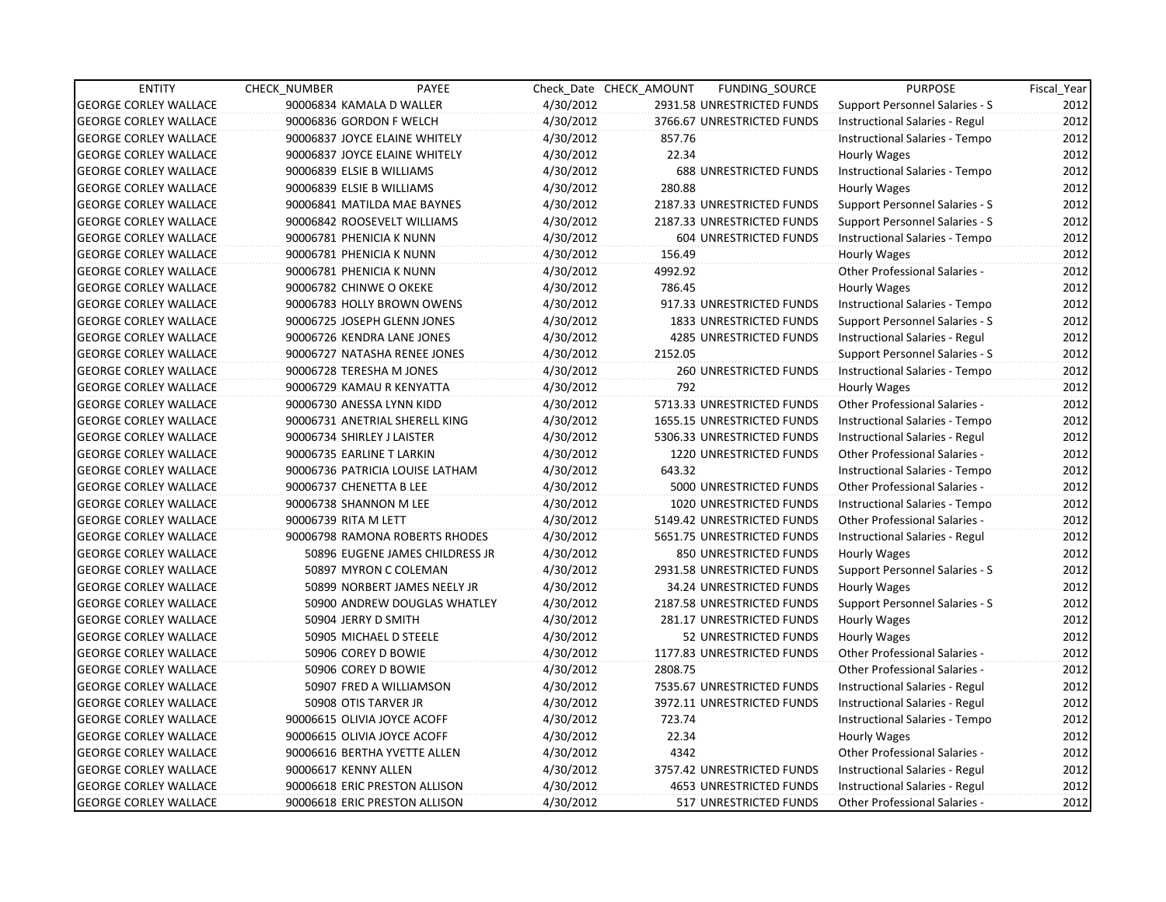| <b>ENTITY</b>                | <b>CHECK NUMBER</b>            | PAYEE                           |           | Check Date CHECK AMOUNT | FUNDING_SOURCE                 | <b>PURPOSE</b>                       | Fiscal Year |
|------------------------------|--------------------------------|---------------------------------|-----------|-------------------------|--------------------------------|--------------------------------------|-------------|
| <b>GEORGE CORLEY WALLACE</b> | 90006834 KAMALA D WALLER       |                                 | 4/30/2012 |                         | 2931.58 UNRESTRICTED FUNDS     | Support Personnel Salaries - S       | 2012        |
| <b>GEORGE CORLEY WALLACE</b> | 90006836 GORDON F WELCH        |                                 | 4/30/2012 |                         | 3766.67 UNRESTRICTED FUNDS     | Instructional Salaries - Regul       | 2012        |
| <b>GEORGE CORLEY WALLACE</b> | 90006837 JOYCE ELAINE WHITELY  |                                 | 4/30/2012 | 857.76                  |                                | Instructional Salaries - Tempo       | 2012        |
| <b>GEORGE CORLEY WALLACE</b> | 90006837 JOYCE ELAINE WHITELY  |                                 | 4/30/2012 | 22.34                   |                                | Hourly Wages                         | 2012        |
| <b>GEORGE CORLEY WALLACE</b> | 90006839 ELSIE B WILLIAMS      |                                 | 4/30/2012 |                         | <b>688 UNRESTRICTED FUNDS</b>  | Instructional Salaries - Tempo       | 2012        |
| <b>GEORGE CORLEY WALLACE</b> | 90006839 ELSIE B WILLIAMS      |                                 | 4/30/2012 | 280.88                  |                                | Hourly Wages                         | 2012        |
| <b>GEORGE CORLEY WALLACE</b> | 90006841 MATILDA MAE BAYNES    |                                 | 4/30/2012 |                         | 2187.33 UNRESTRICTED FUNDS     | Support Personnel Salaries - S       | 2012        |
| <b>GEORGE CORLEY WALLACE</b> | 90006842 ROOSEVELT WILLIAMS    |                                 | 4/30/2012 |                         | 2187.33 UNRESTRICTED FUNDS     | Support Personnel Salaries - S       | 2012        |
| <b>GEORGE CORLEY WALLACE</b> | 90006781 PHENICIA K NUNN       |                                 | 4/30/2012 |                         | 604 UNRESTRICTED FUNDS         | Instructional Salaries - Tempo       | 2012        |
| <b>GEORGE CORLEY WALLACE</b> | 90006781 PHENICIA K NUNN       |                                 | 4/30/2012 | 156.49                  |                                | Hourly Wages                         | 2012        |
| <b>GEORGE CORLEY WALLACE</b> | 90006781 PHENICIA K NUNN       |                                 | 4/30/2012 | 4992.92                 |                                | Other Professional Salaries -        | 2012        |
| <b>GEORGE CORLEY WALLACE</b> | 90006782 CHINWE O OKEKE        |                                 | 4/30/2012 | 786.45                  |                                | Hourly Wages                         | 2012        |
| <b>GEORGE CORLEY WALLACE</b> | 90006783 HOLLY BROWN OWENS     |                                 | 4/30/2012 |                         | 917.33 UNRESTRICTED FUNDS      | Instructional Salaries - Tempo       | 2012        |
| <b>GEORGE CORLEY WALLACE</b> | 90006725 JOSEPH GLENN JONES    |                                 | 4/30/2012 |                         | 1833 UNRESTRICTED FUNDS        | Support Personnel Salaries - S       | 2012        |
| <b>GEORGE CORLEY WALLACE</b> | 90006726 KENDRA LANE JONES     |                                 | 4/30/2012 |                         | <b>4285 UNRESTRICTED FUNDS</b> | Instructional Salaries - Regul       | 2012        |
| <b>GEORGE CORLEY WALLACE</b> | 90006727 NATASHA RENEE JONES   |                                 | 4/30/2012 | 2152.05                 |                                | Support Personnel Salaries - S       | 2012        |
| <b>GEORGE CORLEY WALLACE</b> | 90006728 TERESHA M JONES       |                                 | 4/30/2012 |                         | 260 UNRESTRICTED FUNDS         | Instructional Salaries - Tempo       | 2012        |
| <b>GEORGE CORLEY WALLACE</b> | 90006729 KAMAU R KENYATTA      |                                 | 4/30/2012 | 792                     |                                | Hourly Wages                         | 2012        |
| <b>GEORGE CORLEY WALLACE</b> | 90006730 ANESSA LYNN KIDD      |                                 | 4/30/2012 |                         | 5713.33 UNRESTRICTED FUNDS     | <b>Other Professional Salaries -</b> | 2012        |
| <b>GEORGE CORLEY WALLACE</b> | 90006731 ANETRIAL SHERELL KING |                                 | 4/30/2012 |                         | 1655.15 UNRESTRICTED FUNDS     | Instructional Salaries - Tempo       | 2012        |
| <b>GEORGE CORLEY WALLACE</b> | 90006734 SHIRLEY J LAISTER     |                                 | 4/30/2012 |                         | 5306.33 UNRESTRICTED FUNDS     | Instructional Salaries - Regul       | 2012        |
| <b>GEORGE CORLEY WALLACE</b> | 90006735 EARLINE T LARKIN      |                                 | 4/30/2012 |                         | 1220 UNRESTRICTED FUNDS        | Other Professional Salaries -        | 2012        |
| <b>GEORGE CORLEY WALLACE</b> |                                | 90006736 PATRICIA LOUISE LATHAM | 4/30/2012 | 643.32                  |                                | Instructional Salaries - Tempo       | 2012        |
| <b>GEORGE CORLEY WALLACE</b> | 90006737 CHENETTA B LEE        |                                 | 4/30/2012 |                         | 5000 UNRESTRICTED FUNDS        | Other Professional Salaries -        | 2012        |
| <b>GEORGE CORLEY WALLACE</b> | 90006738 SHANNON M LEE         |                                 | 4/30/2012 |                         | 1020 UNRESTRICTED FUNDS        | Instructional Salaries - Tempo       | 2012        |
| <b>GEORGE CORLEY WALLACE</b> | 90006739 RITA M LETT           |                                 | 4/30/2012 |                         | 5149.42 UNRESTRICTED FUNDS     | Other Professional Salaries -        | 2012        |
| <b>GEORGE CORLEY WALLACE</b> |                                | 90006798 RAMONA ROBERTS RHODES  | 4/30/2012 |                         | 5651.75 UNRESTRICTED FUNDS     | Instructional Salaries - Regul       | 2012        |
| <b>GEORGE CORLEY WALLACE</b> |                                | 50896 EUGENE JAMES CHILDRESS JR | 4/30/2012 |                         | 850 UNRESTRICTED FUNDS         | Hourly Wages                         | 2012        |
| <b>GEORGE CORLEY WALLACE</b> | 50897 MYRON C COLEMAN          |                                 | 4/30/2012 |                         | 2931.58 UNRESTRICTED FUNDS     | Support Personnel Salaries - S       | 2012        |
| <b>GEORGE CORLEY WALLACE</b> |                                | 50899 NORBERT JAMES NEELY JR    | 4/30/2012 |                         | 34.24 UNRESTRICTED FUNDS       | Hourly Wages                         | 2012        |
| <b>GEORGE CORLEY WALLACE</b> |                                | 50900 ANDREW DOUGLAS WHATLEY    | 4/30/2012 |                         | 2187.58 UNRESTRICTED FUNDS     | Support Personnel Salaries - S       | 2012        |
| <b>GEORGE CORLEY WALLACE</b> | 50904 JERRY D SMITH            |                                 | 4/30/2012 |                         | 281.17 UNRESTRICTED FUNDS      | Hourly Wages                         | 2012        |
| <b>GEORGE CORLEY WALLACE</b> | 50905 MICHAEL D STEELE         |                                 | 4/30/2012 |                         | 52 UNRESTRICTED FUNDS          | Hourly Wages                         | 2012        |
| <b>GEORGE CORLEY WALLACE</b> | 50906 COREY D BOWIE            |                                 | 4/30/2012 |                         | 1177.83 UNRESTRICTED FUNDS     | Other Professional Salaries -        | 2012        |
| <b>GEORGE CORLEY WALLACE</b> | 50906 COREY D BOWIE            |                                 | 4/30/2012 | 2808.75                 |                                | Other Professional Salaries -        | 2012        |
| <b>GEORGE CORLEY WALLACE</b> | 50907 FRED A WILLIAMSON        |                                 | 4/30/2012 |                         | 7535.67 UNRESTRICTED FUNDS     | Instructional Salaries - Regul       | 2012        |
| <b>GEORGE CORLEY WALLACE</b> | 50908 OTIS TARVER JR           |                                 | 4/30/2012 |                         | 3972.11 UNRESTRICTED FUNDS     | Instructional Salaries - Regul       | 2012        |
| <b>GEORGE CORLEY WALLACE</b> | 90006615 OLIVIA JOYCE ACOFF    |                                 | 4/30/2012 | 723.74                  |                                | Instructional Salaries - Tempo       | 2012        |
| <b>GEORGE CORLEY WALLACE</b> | 90006615 OLIVIA JOYCE ACOFF    |                                 | 4/30/2012 | 22.34                   |                                | Hourly Wages                         | 2012        |
| <b>GEORGE CORLEY WALLACE</b> | 90006616 BERTHA YVETTE ALLEN   |                                 | 4/30/2012 | 4342                    |                                | Other Professional Salaries -        | 2012        |
| <b>GEORGE CORLEY WALLACE</b> | 90006617 KENNY ALLEN           |                                 | 4/30/2012 |                         | 3757.42 UNRESTRICTED FUNDS     | Instructional Salaries - Regul       | 2012        |
| <b>GEORGE CORLEY WALLACE</b> | 90006618 ERIC PRESTON ALLISON  |                                 | 4/30/2012 |                         | <b>4653 UNRESTRICTED FUNDS</b> | Instructional Salaries - Regul       | 2012        |
| <b>GEORGE CORLEY WALLACE</b> | 90006618 ERIC PRESTON ALLISON  |                                 | 4/30/2012 |                         | 517 UNRESTRICTED FUNDS         | <b>Other Professional Salaries -</b> | 2012        |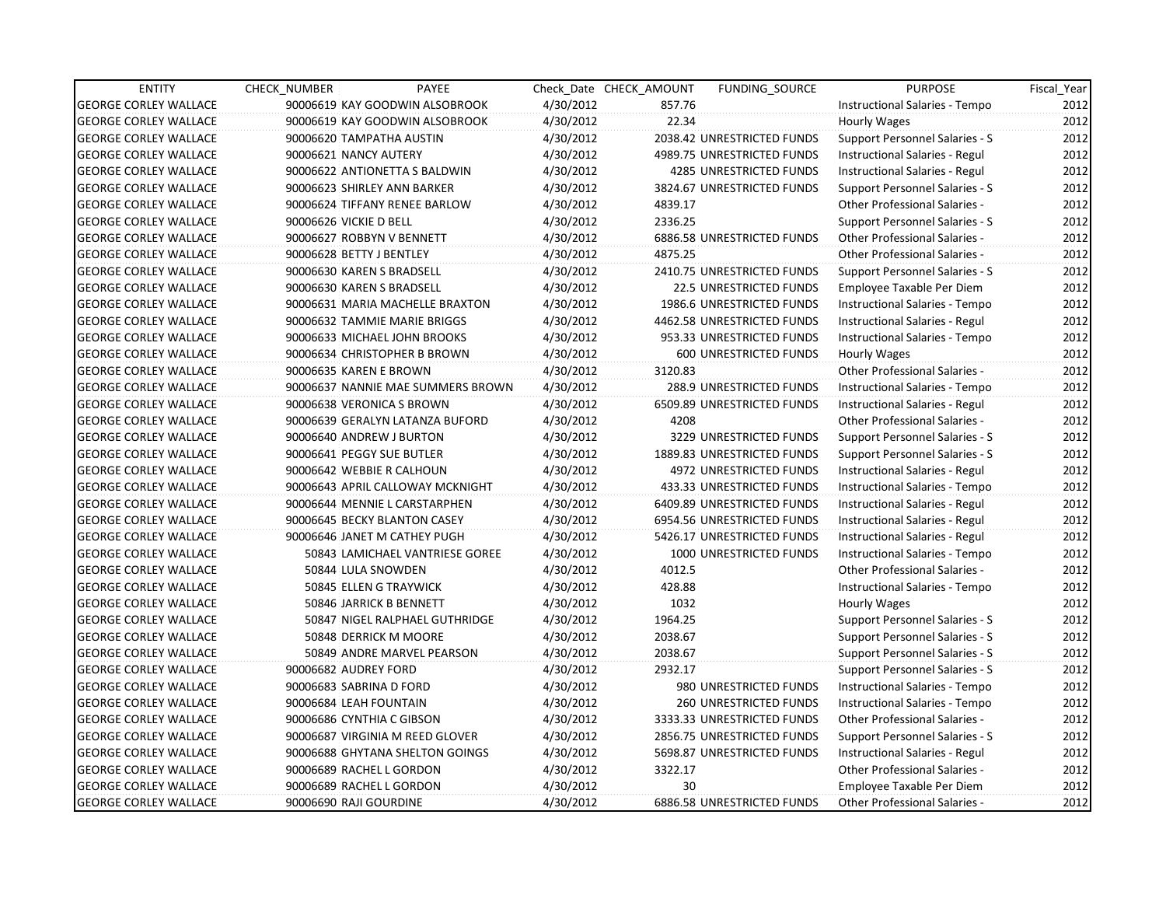| <b>ENTITY</b>                | <b>CHECK NUMBER</b>      | PAYEE                             |           | Check Date CHECK AMOUNT | <b>FUNDING SOURCE</b>      | <b>PURPOSE</b>                       | Fiscal_Year |
|------------------------------|--------------------------|-----------------------------------|-----------|-------------------------|----------------------------|--------------------------------------|-------------|
| <b>GEORGE CORLEY WALLACE</b> |                          | 90006619 KAY GOODWIN ALSOBROOK    | 4/30/2012 | 857.76                  |                            | Instructional Salaries - Tempo       | 2012        |
| <b>GEORGE CORLEY WALLACE</b> |                          | 90006619 KAY GOODWIN ALSOBROOK    | 4/30/2012 | 22.34                   |                            | Hourly Wages                         | 2012        |
| <b>GEORGE CORLEY WALLACE</b> |                          | 90006620 TAMPATHA AUSTIN          | 4/30/2012 |                         | 2038.42 UNRESTRICTED FUNDS | Support Personnel Salaries - S       | 2012        |
| <b>GEORGE CORLEY WALLACE</b> | 90006621 NANCY AUTERY    |                                   | 4/30/2012 |                         | 4989.75 UNRESTRICTED FUNDS | Instructional Salaries - Regul       | 2012        |
| <b>GEORGE CORLEY WALLACE</b> |                          | 90006622 ANTIONETTA S BALDWIN     | 4/30/2012 |                         | 4285 UNRESTRICTED FUNDS    | Instructional Salaries - Regul       | 2012        |
| <b>GEORGE CORLEY WALLACE</b> |                          | 90006623 SHIRLEY ANN BARKER       | 4/30/2012 |                         | 3824.67 UNRESTRICTED FUNDS | Support Personnel Salaries - S       | 2012        |
| GEORGE CORLEY WALLACE        |                          | 90006624 TIFFANY RENEE BARLOW     | 4/30/2012 | 4839.17                 |                            | Other Professional Salaries -        | 2012        |
| <b>GEORGE CORLEY WALLACE</b> | 90006626 VICKIE D BELL   |                                   | 4/30/2012 | 2336.25                 |                            | Support Personnel Salaries - S       | 2012        |
| <b>GEORGE CORLEY WALLACE</b> |                          | 90006627 ROBBYN V BENNETT         | 4/30/2012 |                         | 6886.58 UNRESTRICTED FUNDS | <b>Other Professional Salaries -</b> | 2012        |
| <b>GEORGE CORLEY WALLACE</b> | 90006628 BETTY J BENTLEY |                                   | 4/30/2012 | 4875.25                 |                            | <b>Other Professional Salaries -</b> | 2012        |
| <b>GEORGE CORLEY WALLACE</b> |                          | 90006630 KAREN S BRADSELL         | 4/30/2012 |                         | 2410.75 UNRESTRICTED FUNDS | Support Personnel Salaries - S       | 2012        |
| <b>GEORGE CORLEY WALLACE</b> |                          | 90006630 KAREN S BRADSELL         | 4/30/2012 |                         | 22.5 UNRESTRICTED FUNDS    | Employee Taxable Per Diem            | 2012        |
| <b>GEORGE CORLEY WALLACE</b> |                          | 90006631 MARIA MACHELLE BRAXTON   | 4/30/2012 |                         | 1986.6 UNRESTRICTED FUNDS  | Instructional Salaries - Tempo       | 2012        |
| <b>GEORGE CORLEY WALLACE</b> |                          | 90006632 TAMMIE MARIE BRIGGS      | 4/30/2012 |                         | 4462.58 UNRESTRICTED FUNDS | Instructional Salaries - Regul       | 2012        |
| <b>GEORGE CORLEY WALLACE</b> |                          | 90006633 MICHAEL JOHN BROOKS      | 4/30/2012 |                         | 953.33 UNRESTRICTED FUNDS  | Instructional Salaries - Tempo       | 2012        |
| <b>GEORGE CORLEY WALLACE</b> |                          | 90006634 CHRISTOPHER B BROWN      | 4/30/2012 |                         | 600 UNRESTRICTED FUNDS     | Hourly Wages                         | 2012        |
| GEORGE CORLEY WALLACE        | 90006635 KAREN E BROWN   |                                   | 4/30/2012 | 3120.83                 |                            | Other Professional Salaries -        | 2012        |
| <b>GEORGE CORLEY WALLACE</b> |                          | 90006637 NANNIE MAE SUMMERS BROWN | 4/30/2012 |                         | 288.9 UNRESTRICTED FUNDS   | Instructional Salaries - Tempo       | 2012        |
| <b>GEORGE CORLEY WALLACE</b> |                          | 90006638 VERONICA S BROWN         | 4/30/2012 |                         | 6509.89 UNRESTRICTED FUNDS | Instructional Salaries - Regul       | 2012        |
| <b>GEORGE CORLEY WALLACE</b> |                          | 90006639 GERALYN LATANZA BUFORD   | 4/30/2012 | 4208                    |                            | Other Professional Salaries -        | 2012        |
| <b>GEORGE CORLEY WALLACE</b> |                          | 90006640 ANDREW J BURTON          | 4/30/2012 |                         | 3229 UNRESTRICTED FUNDS    | Support Personnel Salaries - S       | 2012        |
| <b>GEORGE CORLEY WALLACE</b> |                          | 90006641 PEGGY SUE BUTLER         | 4/30/2012 |                         | 1889.83 UNRESTRICTED FUNDS | Support Personnel Salaries - S       | 2012        |
| <b>GEORGE CORLEY WALLACE</b> |                          | 90006642 WEBBIE R CALHOUN         | 4/30/2012 |                         | 4972 UNRESTRICTED FUNDS    | Instructional Salaries - Regul       | 2012        |
| <b>GEORGE CORLEY WALLACE</b> |                          | 90006643 APRIL CALLOWAY MCKNIGHT  | 4/30/2012 |                         | 433.33 UNRESTRICTED FUNDS  | Instructional Salaries - Tempo       | 2012        |
| <b>GEORGE CORLEY WALLACE</b> |                          | 90006644 MENNIE L CARSTARPHEN     | 4/30/2012 |                         | 6409.89 UNRESTRICTED FUNDS | Instructional Salaries - Regul       | 2012        |
| <b>GEORGE CORLEY WALLACE</b> |                          | 90006645 BECKY BLANTON CASEY      | 4/30/2012 |                         | 6954.56 UNRESTRICTED FUNDS | Instructional Salaries - Regul       | 2012        |
| <b>GEORGE CORLEY WALLACE</b> |                          | 90006646 JANET M CATHEY PUGH      | 4/30/2012 |                         | 5426.17 UNRESTRICTED FUNDS | Instructional Salaries - Regul       | 2012        |
| <b>GEORGE CORLEY WALLACE</b> |                          | 50843 LAMICHAEL VANTRIESE GOREE   | 4/30/2012 |                         | 1000 UNRESTRICTED FUNDS    | Instructional Salaries - Tempo       | 2012        |
| <b>GEORGE CORLEY WALLACE</b> |                          | 50844 LULA SNOWDEN                | 4/30/2012 | 4012.5                  |                            | Other Professional Salaries -        | 2012        |
| <b>GEORGE CORLEY WALLACE</b> |                          | 50845 ELLEN G TRAYWICK            | 4/30/2012 | 428.88                  |                            | Instructional Salaries - Tempo       | 2012        |
| <b>GEORGE CORLEY WALLACE</b> |                          | 50846 JARRICK B BENNETT           | 4/30/2012 | 1032                    |                            | Hourly Wages                         | 2012        |
| <b>GEORGE CORLEY WALLACE</b> |                          | 50847 NIGEL RALPHAEL GUTHRIDGE    | 4/30/2012 | 1964.25                 |                            | Support Personnel Salaries - S       | 2012        |
| <b>GEORGE CORLEY WALLACE</b> |                          | 50848 DERRICK M MOORE             | 4/30/2012 | 2038.67                 |                            | Support Personnel Salaries - S       | 2012        |
| <b>GEORGE CORLEY WALLACE</b> |                          | 50849 ANDRE MARVEL PEARSON        | 4/30/2012 | 2038.67                 |                            | Support Personnel Salaries - S       | 2012        |
| <b>GEORGE CORLEY WALLACE</b> | 90006682 AUDREY FORD     |                                   | 4/30/2012 | 2932.17                 |                            | Support Personnel Salaries - S       | 2012        |
| <b>GEORGE CORLEY WALLACE</b> | 90006683 SABRINA D FORD  |                                   | 4/30/2012 |                         | 980 UNRESTRICTED FUNDS     | Instructional Salaries - Tempo       | 2012        |
| <b>GEORGE CORLEY WALLACE</b> | 90006684 LEAH FOUNTAIN   |                                   | 4/30/2012 |                         | 260 UNRESTRICTED FUNDS     | Instructional Salaries - Tempo       | 2012        |
| <b>GEORGE CORLEY WALLACE</b> |                          | 90006686 CYNTHIA C GIBSON         | 4/30/2012 |                         | 3333.33 UNRESTRICTED FUNDS | Other Professional Salaries -        | 2012        |
| <b>GEORGE CORLEY WALLACE</b> |                          | 90006687 VIRGINIA M REED GLOVER   | 4/30/2012 |                         | 2856.75 UNRESTRICTED FUNDS | Support Personnel Salaries - S       | 2012        |
| <b>GEORGE CORLEY WALLACE</b> |                          | 90006688 GHYTANA SHELTON GOINGS   | 4/30/2012 |                         | 5698.87 UNRESTRICTED FUNDS | Instructional Salaries - Regul       | 2012        |
| <b>GEORGE CORLEY WALLACE</b> |                          | 90006689 RACHEL L GORDON          | 4/30/2012 | 3322.17                 |                            | Other Professional Salaries -        | 2012        |
| <b>GEORGE CORLEY WALLACE</b> |                          | 90006689 RACHEL L GORDON          | 4/30/2012 | 30 <sup>°</sup>         |                            | Employee Taxable Per Diem            | 2012        |
| <b>GEORGE CORLEY WALLACE</b> | 90006690 RAJI GOURDINE   |                                   | 4/30/2012 |                         | 6886.58 UNRESTRICTED FUNDS | <b>Other Professional Salaries -</b> | 2012        |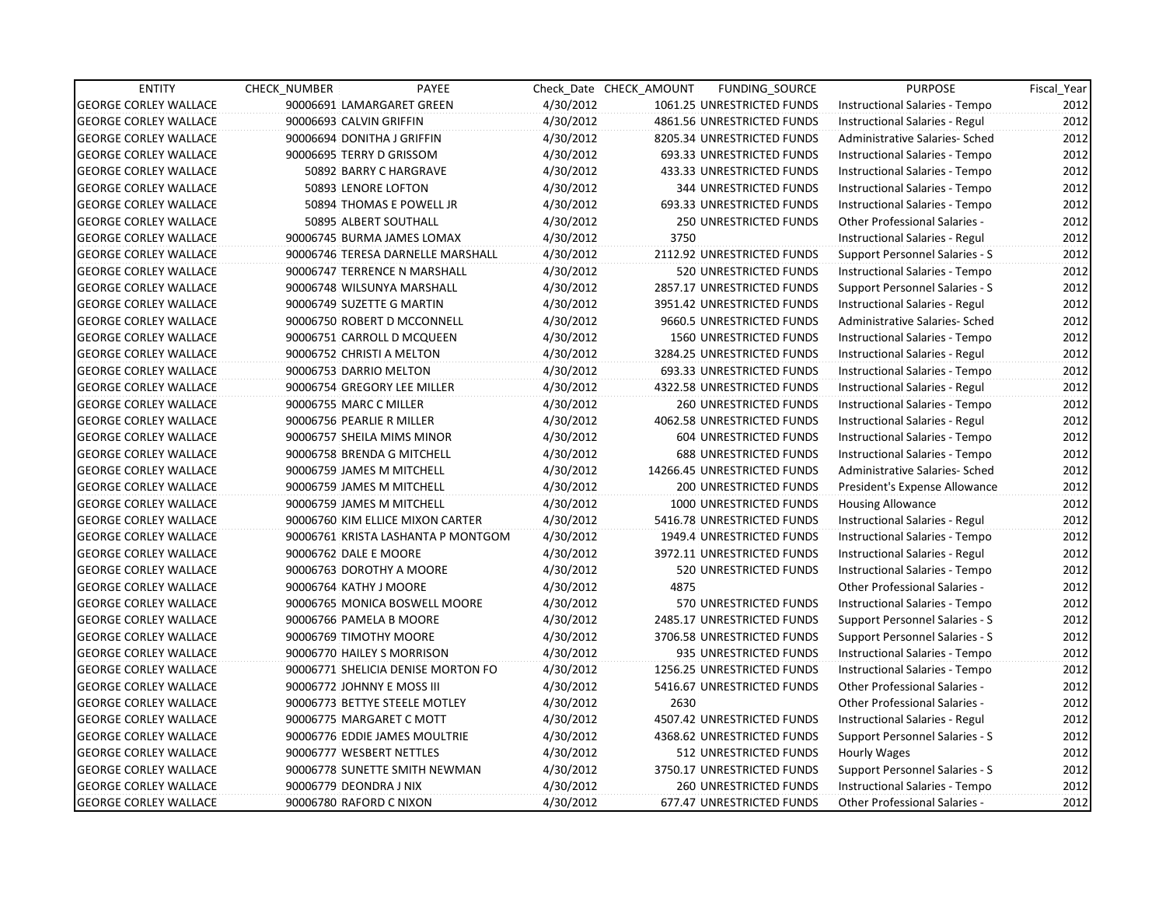| <b>ENTITY</b>                | PAYEE<br><b>CHECK NUMBER</b>       |           | Check Date CHECK AMOUNT | FUNDING_SOURCE                | <b>PURPOSE</b>                       | Fiscal Year |
|------------------------------|------------------------------------|-----------|-------------------------|-------------------------------|--------------------------------------|-------------|
| <b>GEORGE CORLEY WALLACE</b> | 90006691 LAMARGARET GREEN          | 4/30/2012 |                         | 1061.25 UNRESTRICTED FUNDS    | Instructional Salaries - Tempo       | 2012        |
| <b>GEORGE CORLEY WALLACE</b> | 90006693 CALVIN GRIFFIN            | 4/30/2012 |                         | 4861.56 UNRESTRICTED FUNDS    | Instructional Salaries - Regul       | 2012        |
| <b>GEORGE CORLEY WALLACE</b> | 90006694 DONITHA J GRIFFIN         | 4/30/2012 |                         | 8205.34 UNRESTRICTED FUNDS    | Administrative Salaries- Sched       | 2012        |
| <b>GEORGE CORLEY WALLACE</b> | 90006695 TERRY D GRISSOM           | 4/30/2012 |                         | 693.33 UNRESTRICTED FUNDS     | Instructional Salaries - Tempo       | 2012        |
| <b>GEORGE CORLEY WALLACE</b> | 50892 BARRY C HARGRAVE             | 4/30/2012 |                         | 433.33 UNRESTRICTED FUNDS     | Instructional Salaries - Tempo       | 2012        |
| <b>GEORGE CORLEY WALLACE</b> | 50893 LENORE LOFTON                | 4/30/2012 |                         | <b>344 UNRESTRICTED FUNDS</b> | Instructional Salaries - Tempo       | 2012        |
| <b>GEORGE CORLEY WALLACE</b> | 50894 THOMAS E POWELL JR           | 4/30/2012 |                         | 693.33 UNRESTRICTED FUNDS     | Instructional Salaries - Tempo       | 2012        |
| <b>GEORGE CORLEY WALLACE</b> | 50895 ALBERT SOUTHALL              | 4/30/2012 |                         | <b>250 UNRESTRICTED FUNDS</b> | <b>Other Professional Salaries -</b> | 2012        |
| <b>GEORGE CORLEY WALLACE</b> | 90006745 BURMA JAMES LOMAX         | 4/30/2012 | 3750                    |                               | Instructional Salaries - Regul       | 2012        |
| <b>GEORGE CORLEY WALLACE</b> | 90006746 TERESA DARNELLE MARSHALL  | 4/30/2012 |                         | 2112.92 UNRESTRICTED FUNDS    | Support Personnel Salaries - S       | 2012        |
| <b>GEORGE CORLEY WALLACE</b> | 90006747 TERRENCE N MARSHALL       | 4/30/2012 |                         | 520 UNRESTRICTED FUNDS        | Instructional Salaries - Tempo       | 2012        |
| <b>GEORGE CORLEY WALLACE</b> | 90006748 WILSUNYA MARSHALL         | 4/30/2012 |                         | 2857.17 UNRESTRICTED FUNDS    | Support Personnel Salaries - S       | 2012        |
| <b>GEORGE CORLEY WALLACE</b> | 90006749 SUZETTE G MARTIN          | 4/30/2012 |                         | 3951.42 UNRESTRICTED FUNDS    | Instructional Salaries - Regul       | 2012        |
| <b>GEORGE CORLEY WALLACE</b> | 90006750 ROBERT D MCCONNELL        | 4/30/2012 |                         | 9660.5 UNRESTRICTED FUNDS     | Administrative Salaries- Sched       | 2012        |
| <b>GEORGE CORLEY WALLACE</b> | 90006751 CARROLL D MCQUEEN         | 4/30/2012 |                         | 1560 UNRESTRICTED FUNDS       | Instructional Salaries - Tempo       | 2012        |
| <b>GEORGE CORLEY WALLACE</b> | 90006752 CHRISTI A MELTON          | 4/30/2012 |                         | 3284.25 UNRESTRICTED FUNDS    | Instructional Salaries - Regul       | 2012        |
| <b>GEORGE CORLEY WALLACE</b> | 90006753 DARRIO MELTON             | 4/30/2012 |                         | 693.33 UNRESTRICTED FUNDS     | Instructional Salaries - Tempo       | 2012        |
| <b>GEORGE CORLEY WALLACE</b> | 90006754 GREGORY LEE MILLER        | 4/30/2012 |                         | 4322.58 UNRESTRICTED FUNDS    | Instructional Salaries - Regul       | 2012        |
| <b>GEORGE CORLEY WALLACE</b> | 90006755 MARC C MILLER             | 4/30/2012 |                         | <b>260 UNRESTRICTED FUNDS</b> | Instructional Salaries - Tempo       | 2012        |
| <b>GEORGE CORLEY WALLACE</b> | 90006756 PEARLIE R MILLER          | 4/30/2012 |                         | 4062.58 UNRESTRICTED FUNDS    | Instructional Salaries - Regul       | 2012        |
| <b>GEORGE CORLEY WALLACE</b> | 90006757 SHEILA MIMS MINOR         | 4/30/2012 |                         | 604 UNRESTRICTED FUNDS        | Instructional Salaries - Tempo       | 2012        |
| <b>GEORGE CORLEY WALLACE</b> | 90006758 BRENDA G MITCHELL         | 4/30/2012 |                         | <b>688 UNRESTRICTED FUNDS</b> | Instructional Salaries - Tempo       | 2012        |
| <b>GEORGE CORLEY WALLACE</b> | 90006759 JAMES M MITCHELL          | 4/30/2012 |                         | 14266.45 UNRESTRICTED FUNDS   | Administrative Salaries- Sched       | 2012        |
| <b>GEORGE CORLEY WALLACE</b> | 90006759 JAMES M MITCHELL          | 4/30/2012 |                         | 200 UNRESTRICTED FUNDS        | President's Expense Allowance        | 2012        |
| <b>GEORGE CORLEY WALLACE</b> | 90006759 JAMES M MITCHELL          | 4/30/2012 |                         | 1000 UNRESTRICTED FUNDS       | <b>Housing Allowance</b>             | 2012        |
| <b>GEORGE CORLEY WALLACE</b> | 90006760 KIM ELLICE MIXON CARTER   | 4/30/2012 |                         | 5416.78 UNRESTRICTED FUNDS    | Instructional Salaries - Regul       | 2012        |
| <b>GEORGE CORLEY WALLACE</b> | 90006761 KRISTA LASHANTA P MONTGOM | 4/30/2012 |                         | 1949.4 UNRESTRICTED FUNDS     | Instructional Salaries - Tempo       | 2012        |
| <b>GEORGE CORLEY WALLACE</b> | 90006762 DALE E MOORE              | 4/30/2012 |                         | 3972.11 UNRESTRICTED FUNDS    | Instructional Salaries - Regul       | 2012        |
| <b>GEORGE CORLEY WALLACE</b> | 90006763 DOROTHY A MOORE           | 4/30/2012 |                         | 520 UNRESTRICTED FUNDS        | Instructional Salaries - Tempo       | 2012        |
| <b>GEORGE CORLEY WALLACE</b> | 90006764 KATHY J MOORE             | 4/30/2012 | 4875                    |                               | Other Professional Salaries -        | 2012        |
| <b>GEORGE CORLEY WALLACE</b> | 90006765 MONICA BOSWELL MOORE      | 4/30/2012 |                         | 570 UNRESTRICTED FUNDS        | Instructional Salaries - Tempo       | 2012        |
| <b>GEORGE CORLEY WALLACE</b> | 90006766 PAMELA B MOORE            | 4/30/2012 |                         | 2485.17 UNRESTRICTED FUNDS    | Support Personnel Salaries - S       | 2012        |
| <b>GEORGE CORLEY WALLACE</b> | 90006769 TIMOTHY MOORE             | 4/30/2012 |                         | 3706.58 UNRESTRICTED FUNDS    | Support Personnel Salaries - S       | 2012        |
| <b>GEORGE CORLEY WALLACE</b> | 90006770 HAILEY S MORRISON         | 4/30/2012 |                         | 935 UNRESTRICTED FUNDS        | Instructional Salaries - Tempo       | 2012        |
| <b>GEORGE CORLEY WALLACE</b> | 90006771 SHELICIA DENISE MORTON FO | 4/30/2012 |                         | 1256.25 UNRESTRICTED FUNDS    | Instructional Salaries - Tempo       | 2012        |
| <b>GEORGE CORLEY WALLACE</b> | 90006772 JOHNNY E MOSS III         | 4/30/2012 |                         | 5416.67 UNRESTRICTED FUNDS    | Other Professional Salaries -        | 2012        |
| <b>GEORGE CORLEY WALLACE</b> | 90006773 BETTYE STEELE MOTLEY      | 4/30/2012 | 2630                    |                               | <b>Other Professional Salaries -</b> | 2012        |
| <b>GEORGE CORLEY WALLACE</b> | 90006775 MARGARET C MOTT           | 4/30/2012 |                         | 4507.42 UNRESTRICTED FUNDS    | Instructional Salaries - Regul       | 2012        |
| <b>GEORGE CORLEY WALLACE</b> | 90006776 EDDIE JAMES MOULTRIE      | 4/30/2012 |                         | 4368.62 UNRESTRICTED FUNDS    | Support Personnel Salaries - S       | 2012        |
| <b>GEORGE CORLEY WALLACE</b> | 90006777 WESBERT NETTLES           | 4/30/2012 |                         | 512 UNRESTRICTED FUNDS        | <b>Hourly Wages</b>                  | 2012        |
| <b>GEORGE CORLEY WALLACE</b> | 90006778 SUNETTE SMITH NEWMAN      | 4/30/2012 |                         | 3750.17 UNRESTRICTED FUNDS    | Support Personnel Salaries - S       | 2012        |
| <b>GEORGE CORLEY WALLACE</b> | 90006779 DEONDRA J NIX             | 4/30/2012 |                         | 260 UNRESTRICTED FUNDS        | Instructional Salaries - Tempo       | 2012        |
| <b>GEORGE CORLEY WALLACE</b> | 90006780 RAFORD C NIXON            | 4/30/2012 |                         | 677.47 UNRESTRICTED FUNDS     | <b>Other Professional Salaries -</b> | 2012        |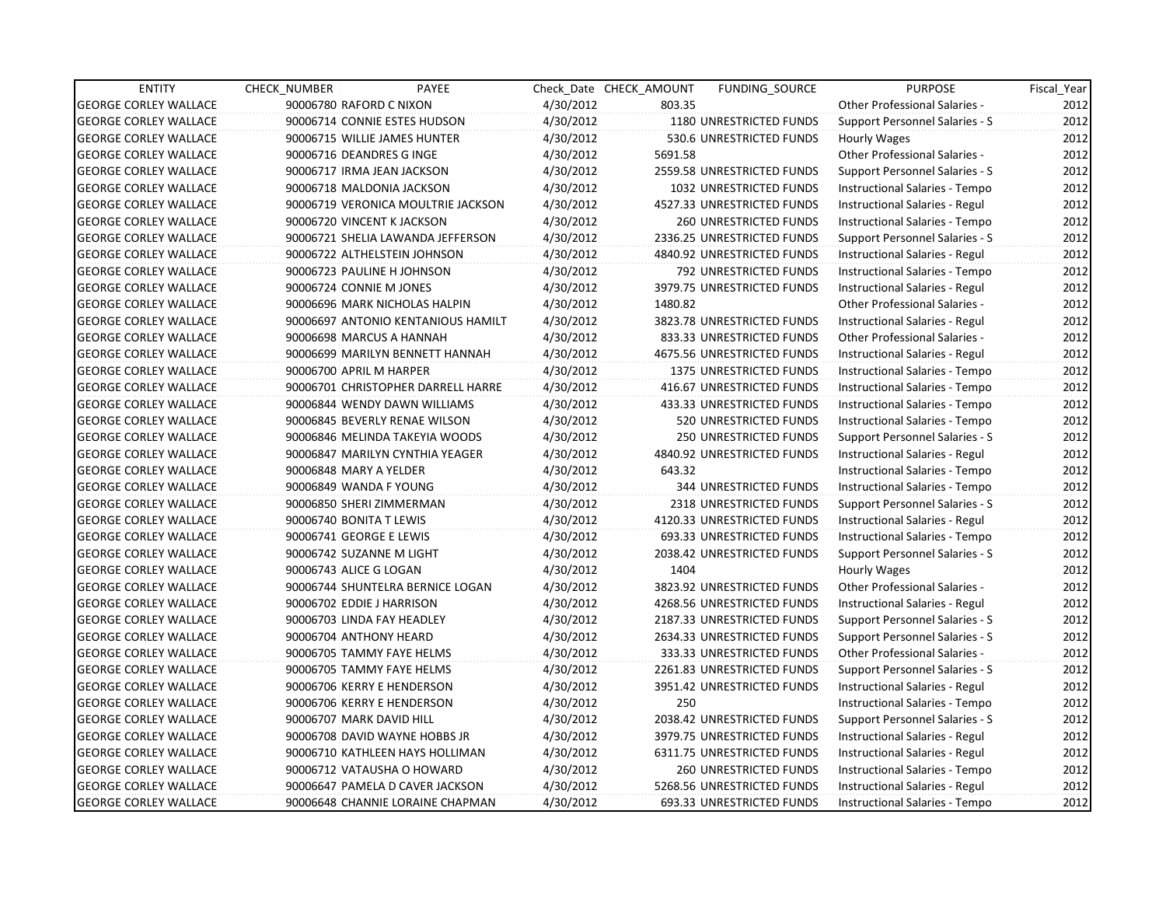| <b>ENTITY</b>                | <b>CHECK NUMBER</b>        | PAYEE                              |           | Check Date CHECK AMOUNT | <b>FUNDING SOURCE</b>          | <b>PURPOSE</b>                        | Fiscal_Year |
|------------------------------|----------------------------|------------------------------------|-----------|-------------------------|--------------------------------|---------------------------------------|-------------|
| <b>GEORGE CORLEY WALLACE</b> | 90006780 RAFORD C NIXON    |                                    | 4/30/2012 | 803.35                  |                                | <b>Other Professional Salaries -</b>  | 2012        |
| <b>GEORGE CORLEY WALLACE</b> |                            | 90006714 CONNIE ESTES HUDSON       | 4/30/2012 |                         | 1180 UNRESTRICTED FUNDS        | Support Personnel Salaries - S        | 2012        |
| <b>GEORGE CORLEY WALLACE</b> |                            | 90006715 WILLIE JAMES HUNTER       | 4/30/2012 |                         | 530.6 UNRESTRICTED FUNDS       | Hourly Wages                          | 2012        |
| <b>GEORGE CORLEY WALLACE</b> | 90006716 DEANDRES G INGE   |                                    | 4/30/2012 | 5691.58                 |                                | <b>Other Professional Salaries -</b>  | 2012        |
| <b>GEORGE CORLEY WALLACE</b> | 90006717 IRMA JEAN JACKSON |                                    | 4/30/2012 |                         | 2559.58 UNRESTRICTED FUNDS     | Support Personnel Salaries - S        | 2012        |
| <b>GEORGE CORLEY WALLACE</b> | 90006718 MALDONIA JACKSON  |                                    | 4/30/2012 |                         | 1032 UNRESTRICTED FUNDS        | Instructional Salaries - Tempo        | 2012        |
| <b>GEORGE CORLEY WALLACE</b> |                            | 90006719 VERONICA MOULTRIE JACKSON | 4/30/2012 |                         | 4527.33 UNRESTRICTED FUNDS     | Instructional Salaries - Regul        | 2012        |
| <b>GEORGE CORLEY WALLACE</b> | 90006720 VINCENT K JACKSON |                                    | 4/30/2012 |                         | <b>260 UNRESTRICTED FUNDS</b>  | Instructional Salaries - Tempo        | 2012        |
| <b>GEORGE CORLEY WALLACE</b> |                            | 90006721 SHELIA LAWANDA JEFFERSON  | 4/30/2012 |                         | 2336.25 UNRESTRICTED FUNDS     | Support Personnel Salaries - S        | 2012        |
| <b>GEORGE CORLEY WALLACE</b> |                            | 90006722 ALTHELSTEIN JOHNSON       | 4/30/2012 |                         | 4840.92 UNRESTRICTED FUNDS     | Instructional Salaries - Regul        | 2012        |
| <b>GEORGE CORLEY WALLACE</b> | 90006723 PAULINE H JOHNSON |                                    | 4/30/2012 |                         | 792 UNRESTRICTED FUNDS         | Instructional Salaries - Tempo        | 2012        |
| <b>GEORGE CORLEY WALLACE</b> | 90006724 CONNIE M JONES    |                                    | 4/30/2012 |                         | 3979.75 UNRESTRICTED FUNDS     | Instructional Salaries - Regul        | 2012        |
| <b>GEORGE CORLEY WALLACE</b> |                            | 90006696 MARK NICHOLAS HALPIN      | 4/30/2012 | 1480.82                 |                                | Other Professional Salaries -         | 2012        |
| <b>GEORGE CORLEY WALLACE</b> |                            | 90006697 ANTONIO KENTANIOUS HAMILT | 4/30/2012 |                         | 3823.78 UNRESTRICTED FUNDS     | Instructional Salaries - Regul        | 2012        |
| <b>GEORGE CORLEY WALLACE</b> | 90006698 MARCUS A HANNAH   |                                    | 4/30/2012 |                         | 833.33 UNRESTRICTED FUNDS      | <b>Other Professional Salaries -</b>  | 2012        |
| <b>GEORGE CORLEY WALLACE</b> |                            | 90006699 MARILYN BENNETT HANNAH    | 4/30/2012 |                         | 4675.56 UNRESTRICTED FUNDS     | Instructional Salaries - Regul        | 2012        |
| <b>GEORGE CORLEY WALLACE</b> | 90006700 APRIL M HARPER    |                                    | 4/30/2012 |                         | <b>1375 UNRESTRICTED FUNDS</b> | Instructional Salaries - Tempo        | 2012        |
| <b>GEORGE CORLEY WALLACE</b> |                            | 90006701 CHRISTOPHER DARRELL HARRE | 4/30/2012 |                         | 416.67 UNRESTRICTED FUNDS      | Instructional Salaries - Tempo        | 2012        |
| <b>GEORGE CORLEY WALLACE</b> |                            | 90006844 WENDY DAWN WILLIAMS       | 4/30/2012 |                         | 433.33 UNRESTRICTED FUNDS      | Instructional Salaries - Tempo        | 2012        |
| <b>GEORGE CORLEY WALLACE</b> |                            | 90006845 BEVERLY RENAE WILSON      | 4/30/2012 |                         | 520 UNRESTRICTED FUNDS         | Instructional Salaries - Tempo        | 2012        |
| <b>GEORGE CORLEY WALLACE</b> |                            | 90006846 MELINDA TAKEYIA WOODS     | 4/30/2012 |                         | 250 UNRESTRICTED FUNDS         | Support Personnel Salaries - S        | 2012        |
| <b>GEORGE CORLEY WALLACE</b> |                            | 90006847 MARILYN CYNTHIA YEAGER    | 4/30/2012 |                         | 4840.92 UNRESTRICTED FUNDS     | Instructional Salaries - Regul        | 2012        |
| <b>GEORGE CORLEY WALLACE</b> | 90006848 MARY A YELDER     |                                    | 4/30/2012 | 643.32                  |                                | Instructional Salaries - Tempo        | 2012        |
| <b>GEORGE CORLEY WALLACE</b> | 90006849 WANDA F YOUNG     |                                    | 4/30/2012 |                         | 344 UNRESTRICTED FUNDS         | Instructional Salaries - Tempo        | 2012        |
| <b>GEORGE CORLEY WALLACE</b> | 90006850 SHERI ZIMMERMAN   |                                    | 4/30/2012 |                         | 2318 UNRESTRICTED FUNDS        | Support Personnel Salaries - S        | 2012        |
| <b>GEORGE CORLEY WALLACE</b> | 90006740 BONITA T LEWIS    |                                    | 4/30/2012 |                         | 4120.33 UNRESTRICTED FUNDS     | Instructional Salaries - Regul        | 2012        |
| <b>GEORGE CORLEY WALLACE</b> | 90006741 GEORGE E LEWIS    |                                    | 4/30/2012 |                         | 693.33 UNRESTRICTED FUNDS      | Instructional Salaries - Tempo        | 2012        |
| <b>GEORGE CORLEY WALLACE</b> | 90006742 SUZANNE M LIGHT   |                                    | 4/30/2012 |                         | 2038.42 UNRESTRICTED FUNDS     | Support Personnel Salaries - S        | 2012        |
| <b>GEORGE CORLEY WALLACE</b> | 90006743 ALICE G LOGAN     |                                    | 4/30/2012 | 1404                    |                                | Hourly Wages                          | 2012        |
| <b>GEORGE CORLEY WALLACE</b> |                            | 90006744 SHUNTELRA BERNICE LOGAN   | 4/30/2012 |                         | 3823.92 UNRESTRICTED FUNDS     | Other Professional Salaries -         | 2012        |
| <b>GEORGE CORLEY WALLACE</b> | 90006702 EDDIE J HARRISON  |                                    | 4/30/2012 |                         | 4268.56 UNRESTRICTED FUNDS     | Instructional Salaries - Regul        | 2012        |
| <b>GEORGE CORLEY WALLACE</b> | 90006703 LINDA FAY HEADLEY |                                    | 4/30/2012 |                         | 2187.33 UNRESTRICTED FUNDS     | Support Personnel Salaries - S        | 2012        |
| <b>GEORGE CORLEY WALLACE</b> | 90006704 ANTHONY HEARD     |                                    | 4/30/2012 |                         | 2634.33 UNRESTRICTED FUNDS     | Support Personnel Salaries - S        | 2012        |
| <b>GEORGE CORLEY WALLACE</b> | 90006705 TAMMY FAYE HELMS  |                                    | 4/30/2012 |                         | 333.33 UNRESTRICTED FUNDS      | Other Professional Salaries -         | 2012        |
| <b>GEORGE CORLEY WALLACE</b> | 90006705 TAMMY FAYE HELMS  |                                    | 4/30/2012 |                         | 2261.83 UNRESTRICTED FUNDS     | Support Personnel Salaries - S        | 2012        |
| <b>GEORGE CORLEY WALLACE</b> | 90006706 KERRY E HENDERSON |                                    | 4/30/2012 |                         | 3951.42 UNRESTRICTED FUNDS     | Instructional Salaries - Regul        | 2012        |
| <b>GEORGE CORLEY WALLACE</b> | 90006706 KERRY E HENDERSON |                                    | 4/30/2012 | 250                     |                                | Instructional Salaries - Tempo        | 2012        |
| <b>GEORGE CORLEY WALLACE</b> | 90006707 MARK DAVID HILL   |                                    | 4/30/2012 |                         | 2038.42 UNRESTRICTED FUNDS     | <b>Support Personnel Salaries - S</b> | 2012        |
| <b>GEORGE CORLEY WALLACE</b> |                            | 90006708 DAVID WAYNE HOBBS JR      | 4/30/2012 |                         | 3979.75 UNRESTRICTED FUNDS     | Instructional Salaries - Regul        | 2012        |
| <b>GEORGE CORLEY WALLACE</b> |                            | 90006710 KATHLEEN HAYS HOLLIMAN    | 4/30/2012 |                         | 6311.75 UNRESTRICTED FUNDS     | Instructional Salaries - Regul        | 2012        |
| <b>GEORGE CORLEY WALLACE</b> |                            | 90006712 VATAUSHA O HOWARD         | 4/30/2012 |                         | 260 UNRESTRICTED FUNDS         | Instructional Salaries - Tempo        | 2012        |
| <b>GEORGE CORLEY WALLACE</b> |                            | 90006647 PAMELA D CAVER JACKSON    | 4/30/2012 |                         | 5268.56 UNRESTRICTED FUNDS     | Instructional Salaries - Regul        | 2012        |
| <b>GEORGE CORLEY WALLACE</b> |                            | 90006648 CHANNIE LORAINE CHAPMAN   | 4/30/2012 |                         | 693.33 UNRESTRICTED FUNDS      | Instructional Salaries - Tempo        | 2012        |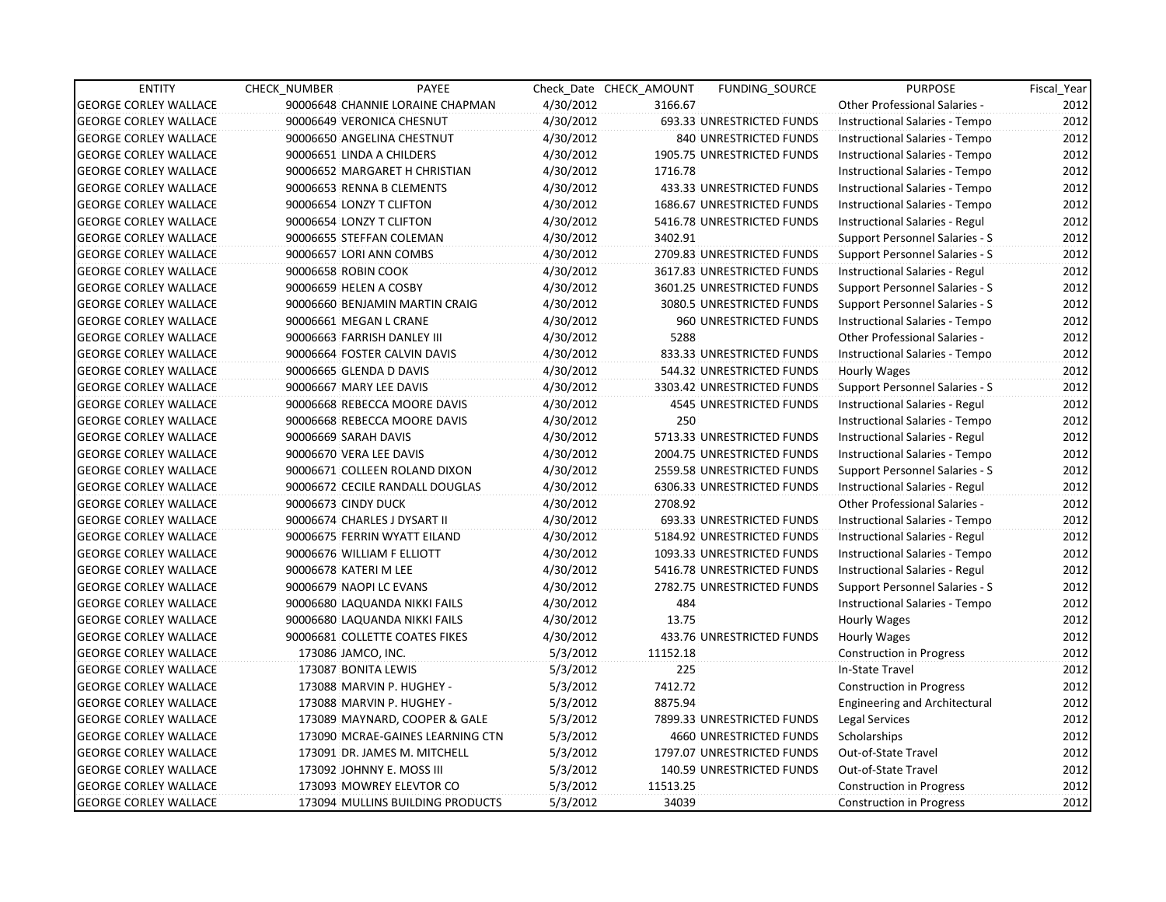| <b>ENTITY</b>                | <b>CHECK NUMBER</b>              | PAYEE                            |           | Check Date CHECK AMOUNT | <b>FUNDING SOURCE</b>          | <b>PURPOSE</b>                        | Fiscal_Year |
|------------------------------|----------------------------------|----------------------------------|-----------|-------------------------|--------------------------------|---------------------------------------|-------------|
| <b>GEORGE CORLEY WALLACE</b> | 90006648 CHANNIE LORAINE CHAPMAN |                                  | 4/30/2012 | 3166.67                 |                                | <b>Other Professional Salaries -</b>  | 2012        |
| <b>GEORGE CORLEY WALLACE</b> | 90006649 VERONICA CHESNUT        |                                  | 4/30/2012 |                         | 693.33 UNRESTRICTED FUNDS      | Instructional Salaries - Tempo        | 2012        |
| <b>GEORGE CORLEY WALLACE</b> | 90006650 ANGELINA CHESTNUT       |                                  | 4/30/2012 |                         | <b>840 UNRESTRICTED FUNDS</b>  | Instructional Salaries - Tempo        | 2012        |
| <b>GEORGE CORLEY WALLACE</b> | 90006651 LINDA A CHILDERS        |                                  | 4/30/2012 |                         | 1905.75 UNRESTRICTED FUNDS     | Instructional Salaries - Tempo        | 2012        |
| <b>GEORGE CORLEY WALLACE</b> | 90006652 MARGARET H CHRISTIAN    |                                  | 4/30/2012 | 1716.78                 |                                | Instructional Salaries - Tempo        | 2012        |
| <b>GEORGE CORLEY WALLACE</b> | 90006653 RENNA B CLEMENTS        |                                  | 4/30/2012 |                         | 433.33 UNRESTRICTED FUNDS      | Instructional Salaries - Tempo        | 2012        |
| <b>GEORGE CORLEY WALLACE</b> | 90006654 LONZY T CLIFTON         |                                  | 4/30/2012 |                         | 1686.67 UNRESTRICTED FUNDS     | Instructional Salaries - Tempo        | 2012        |
| <b>GEORGE CORLEY WALLACE</b> | 90006654 LONZY T CLIFTON         |                                  | 4/30/2012 |                         | 5416.78 UNRESTRICTED FUNDS     | Instructional Salaries - Regul        | 2012        |
| <b>GEORGE CORLEY WALLACE</b> | 90006655 STEFFAN COLEMAN         |                                  | 4/30/2012 | 3402.91                 |                                | Support Personnel Salaries - S        | 2012        |
| <b>GEORGE CORLEY WALLACE</b> | 90006657 LORI ANN COMBS          |                                  | 4/30/2012 |                         | 2709.83 UNRESTRICTED FUNDS     | Support Personnel Salaries - S        | 2012        |
| <b>GEORGE CORLEY WALLACE</b> | 90006658 ROBIN COOK              |                                  | 4/30/2012 |                         | 3617.83 UNRESTRICTED FUNDS     | Instructional Salaries - Regul        | 2012        |
| <b>GEORGE CORLEY WALLACE</b> | 90006659 HELEN A COSBY           |                                  | 4/30/2012 |                         | 3601.25 UNRESTRICTED FUNDS     | Support Personnel Salaries - S        | 2012        |
| <b>GEORGE CORLEY WALLACE</b> | 90006660 BENJAMIN MARTIN CRAIG   |                                  | 4/30/2012 |                         | 3080.5 UNRESTRICTED FUNDS      | Support Personnel Salaries - S        | 2012        |
| <b>GEORGE CORLEY WALLACE</b> | 90006661 MEGAN L CRANE           |                                  | 4/30/2012 |                         | <b>960 UNRESTRICTED FUNDS</b>  | Instructional Salaries - Tempo        | 2012        |
| <b>GEORGE CORLEY WALLACE</b> | 90006663 FARRISH DANLEY III      |                                  | 4/30/2012 | 5288                    |                                | <b>Other Professional Salaries -</b>  | 2012        |
| <b>GEORGE CORLEY WALLACE</b> | 90006664 FOSTER CALVIN DAVIS     |                                  | 4/30/2012 |                         | 833.33 UNRESTRICTED FUNDS      | Instructional Salaries - Tempo        | 2012        |
| <b>GEORGE CORLEY WALLACE</b> | 90006665 GLENDA D DAVIS          |                                  | 4/30/2012 |                         | 544.32 UNRESTRICTED FUNDS      | Hourly Wages                          | 2012        |
| <b>GEORGE CORLEY WALLACE</b> | 90006667 MARY LEE DAVIS          |                                  | 4/30/2012 |                         | 3303.42 UNRESTRICTED FUNDS     | <b>Support Personnel Salaries - S</b> | 2012        |
| <b>GEORGE CORLEY WALLACE</b> | 90006668 REBECCA MOORE DAVIS     |                                  | 4/30/2012 |                         | 4545 UNRESTRICTED FUNDS        | Instructional Salaries - Regul        | 2012        |
| <b>GEORGE CORLEY WALLACE</b> | 90006668 REBECCA MOORE DAVIS     |                                  | 4/30/2012 | 250                     |                                | Instructional Salaries - Tempo        | 2012        |
| <b>GEORGE CORLEY WALLACE</b> | 90006669 SARAH DAVIS             |                                  | 4/30/2012 |                         | 5713.33 UNRESTRICTED FUNDS     | Instructional Salaries - Regul        | 2012        |
| <b>GEORGE CORLEY WALLACE</b> | 90006670 VERA LEE DAVIS          |                                  | 4/30/2012 |                         | 2004.75 UNRESTRICTED FUNDS     | Instructional Salaries - Tempo        | 2012        |
| <b>GEORGE CORLEY WALLACE</b> | 90006671 COLLEEN ROLAND DIXON    |                                  | 4/30/2012 |                         | 2559.58 UNRESTRICTED FUNDS     | <b>Support Personnel Salaries - S</b> | 2012        |
| <b>GEORGE CORLEY WALLACE</b> | 90006672 CECILE RANDALL DOUGLAS  |                                  | 4/30/2012 |                         | 6306.33 UNRESTRICTED FUNDS     | Instructional Salaries - Regul        | 2012        |
| <b>GEORGE CORLEY WALLACE</b> | 90006673 CINDY DUCK              |                                  | 4/30/2012 | 2708.92                 |                                | <b>Other Professional Salaries -</b>  | 2012        |
| <b>GEORGE CORLEY WALLACE</b> | 90006674 CHARLES J DYSART II     |                                  | 4/30/2012 |                         | 693.33 UNRESTRICTED FUNDS      | Instructional Salaries - Tempo        | 2012        |
| <b>GEORGE CORLEY WALLACE</b> | 90006675 FERRIN WYATT EILAND     |                                  | 4/30/2012 |                         | 5184.92 UNRESTRICTED FUNDS     | Instructional Salaries - Regul        | 2012        |
| <b>GEORGE CORLEY WALLACE</b> | 90006676 WILLIAM F ELLIOTT       |                                  | 4/30/2012 |                         | 1093.33 UNRESTRICTED FUNDS     | Instructional Salaries - Tempo        | 2012        |
| <b>GEORGE CORLEY WALLACE</b> | 90006678 KATERI M LEE            |                                  | 4/30/2012 |                         | 5416.78 UNRESTRICTED FUNDS     | Instructional Salaries - Regul        | 2012        |
| <b>GEORGE CORLEY WALLACE</b> | 90006679 NAOPI LC EVANS          |                                  | 4/30/2012 |                         | 2782.75 UNRESTRICTED FUNDS     | Support Personnel Salaries - S        | 2012        |
| <b>GEORGE CORLEY WALLACE</b> | 90006680 LAQUANDA NIKKI FAILS    |                                  | 4/30/2012 | 484                     |                                | Instructional Salaries - Tempo        | 2012        |
| <b>GEORGE CORLEY WALLACE</b> | 90006680 LAQUANDA NIKKI FAILS    |                                  | 4/30/2012 | 13.75                   |                                | Hourly Wages                          | 2012        |
| <b>GEORGE CORLEY WALLACE</b> | 90006681 COLLETTE COATES FIKES   |                                  | 4/30/2012 |                         | 433.76 UNRESTRICTED FUNDS      | Hourly Wages                          | 2012        |
| <b>GEORGE CORLEY WALLACE</b> | 173086 JAMCO, INC.               |                                  | 5/3/2012  | 11152.18                |                                | Construction in Progress              | 2012        |
| <b>GEORGE CORLEY WALLACE</b> | 173087 BONITA LEWIS              |                                  | 5/3/2012  | 225                     |                                | In-State Travel                       | 2012        |
| <b>GEORGE CORLEY WALLACE</b> | 173088 MARVIN P. HUGHEY -        |                                  | 5/3/2012  | 7412.72                 |                                | <b>Construction in Progress</b>       | 2012        |
| <b>GEORGE CORLEY WALLACE</b> | 173088 MARVIN P. HUGHEY -        |                                  | 5/3/2012  | 8875.94                 |                                | <b>Engineering and Architectural</b>  | 2012        |
| <b>GEORGE CORLEY WALLACE</b> | 173089 MAYNARD, COOPER & GALE    |                                  | 5/3/2012  |                         | 7899.33 UNRESTRICTED FUNDS     | Legal Services                        | 2012        |
| <b>GEORGE CORLEY WALLACE</b> |                                  | 173090 MCRAE-GAINES LEARNING CTN | 5/3/2012  |                         | <b>4660 UNRESTRICTED FUNDS</b> | Scholarships                          | 2012        |
| <b>GEORGE CORLEY WALLACE</b> | 173091 DR. JAMES M. MITCHELL     |                                  | 5/3/2012  |                         | 1797.07 UNRESTRICTED FUNDS     | Out-of-State Travel                   | 2012        |
| <b>GEORGE CORLEY WALLACE</b> | 173092 JOHNNY E. MOSS III        |                                  | 5/3/2012  |                         | 140.59 UNRESTRICTED FUNDS      | Out-of-State Travel                   | 2012        |
| <b>GEORGE CORLEY WALLACE</b> | 173093 MOWREY ELEVTOR CO         |                                  | 5/3/2012  | 11513.25                |                                | <b>Construction in Progress</b>       | 2012        |
| <b>GEORGE CORLEY WALLACE</b> |                                  | 173094 MULLINS BUILDING PRODUCTS | 5/3/2012  | 34039                   |                                | <b>Construction in Progress</b>       | 2012        |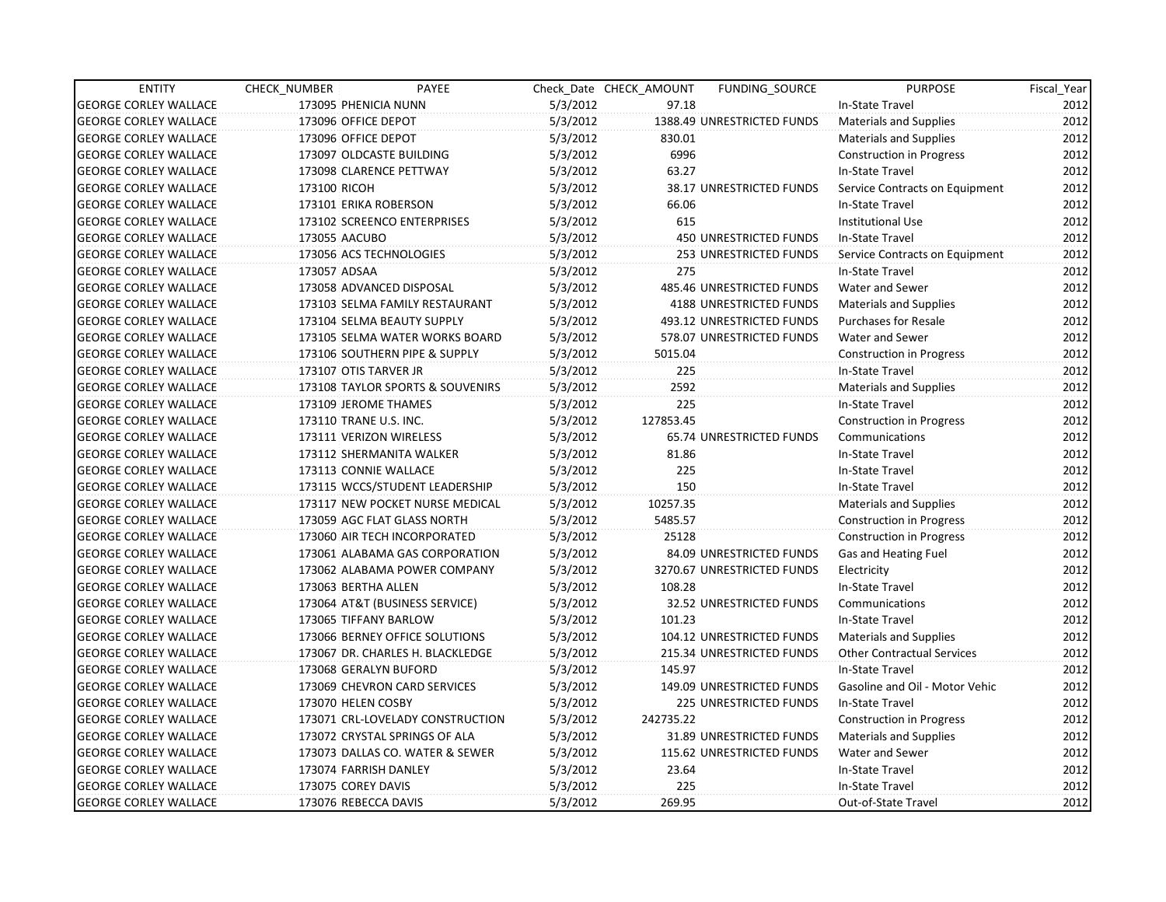| <b>ENTITY</b>                | CHECK_NUMBER           | PAYEE                            |          | Check Date CHECK AMOUNT | <b>FUNDING SOURCE</b>         | <b>PURPOSE</b>                    | Fiscal_Year |
|------------------------------|------------------------|----------------------------------|----------|-------------------------|-------------------------------|-----------------------------------|-------------|
| <b>GEORGE CORLEY WALLACE</b> | 173095 PHENICIA NUNN   |                                  | 5/3/2012 | 97.18                   |                               | In-State Travel                   | 2012        |
| <b>GEORGE CORLEY WALLACE</b> | 173096 OFFICE DEPOT    |                                  | 5/3/2012 |                         | 1388.49 UNRESTRICTED FUNDS    | Materials and Supplies            | 2012        |
| <b>GEORGE CORLEY WALLACE</b> | 173096 OFFICE DEPOT    |                                  | 5/3/2012 | 830.01                  |                               | Materials and Supplies            | 2012        |
| <b>GEORGE CORLEY WALLACE</b> |                        | 173097 OLDCASTE BUILDING         | 5/3/2012 | 6996                    |                               | <b>Construction in Progress</b>   | 2012        |
| <b>GEORGE CORLEY WALLACE</b> |                        | 173098 CLARENCE PETTWAY          | 5/3/2012 | 63.27                   |                               | In-State Travel                   | 2012        |
| <b>GEORGE CORLEY WALLACE</b> | 173100 RICOH           |                                  | 5/3/2012 |                         | 38.17 UNRESTRICTED FUNDS      | Service Contracts on Equipment    | 2012        |
| <b>GEORGE CORLEY WALLACE</b> |                        | 173101 ERIKA ROBERSON            | 5/3/2012 | 66.06                   |                               | In-State Travel                   | 2012        |
| <b>GEORGE CORLEY WALLACE</b> |                        | 173102 SCREENCO ENTERPRISES      | 5/3/2012 | 615                     |                               | <b>Institutional Use</b>          | 2012        |
| <b>GEORGE CORLEY WALLACE</b> | 173055 AACUBO          |                                  | 5/3/2012 |                         | <b>450 UNRESTRICTED FUNDS</b> | In-State Travel                   | 2012        |
| <b>GEORGE CORLEY WALLACE</b> |                        | 173056 ACS TECHNOLOGIES          | 5/3/2012 |                         | 253 UNRESTRICTED FUNDS        | Service Contracts on Equipment    | 2012        |
| <b>GEORGE CORLEY WALLACE</b> | 173057 ADSAA           |                                  | 5/3/2012 | 275                     |                               | In-State Travel                   | 2012        |
| <b>GEORGE CORLEY WALLACE</b> |                        | 173058 ADVANCED DISPOSAL         | 5/3/2012 |                         | 485.46 UNRESTRICTED FUNDS     | Water and Sewer                   | 2012        |
| <b>GEORGE CORLEY WALLACE</b> |                        | 173103 SELMA FAMILY RESTAURANT   | 5/3/2012 |                         | 4188 UNRESTRICTED FUNDS       | <b>Materials and Supplies</b>     | 2012        |
| <b>GEORGE CORLEY WALLACE</b> |                        | 173104 SELMA BEAUTY SUPPLY       | 5/3/2012 |                         | 493.12 UNRESTRICTED FUNDS     | <b>Purchases for Resale</b>       | 2012        |
| <b>GEORGE CORLEY WALLACE</b> |                        | 173105 SELMA WATER WORKS BOARD   | 5/3/2012 |                         | 578.07 UNRESTRICTED FUNDS     | Water and Sewer                   | 2012        |
| <b>GEORGE CORLEY WALLACE</b> |                        | 173106 SOUTHERN PIPE & SUPPLY    | 5/3/2012 | 5015.04                 |                               | <b>Construction in Progress</b>   | 2012        |
| <b>GEORGE CORLEY WALLACE</b> | 173107 OTIS TARVER JR  |                                  | 5/3/2012 | 225                     |                               | In-State Travel                   | 2012        |
| <b>GEORGE CORLEY WALLACE</b> |                        | 173108 TAYLOR SPORTS & SOUVENIRS | 5/3/2012 | 2592                    |                               | <b>Materials and Supplies</b>     | 2012        |
| <b>GEORGE CORLEY WALLACE</b> |                        | 173109 JEROME THAMES             | 5/3/2012 | 225                     |                               | In-State Travel                   | 2012        |
| <b>GEORGE CORLEY WALLACE</b> | 173110 TRANE U.S. INC. |                                  | 5/3/2012 | 127853.45               |                               | <b>Construction in Progress</b>   | 2012        |
| <b>GEORGE CORLEY WALLACE</b> |                        | 173111 VERIZON WIRELESS          | 5/3/2012 |                         | 65.74 UNRESTRICTED FUNDS      | Communications                    | 2012        |
| <b>GEORGE CORLEY WALLACE</b> |                        | 173112 SHERMANITA WALKER         | 5/3/2012 | 81.86                   |                               | In-State Travel                   | 2012        |
| <b>GEORGE CORLEY WALLACE</b> |                        | 173113 CONNIE WALLACE            | 5/3/2012 | 225                     |                               | In-State Travel                   | 2012        |
| <b>GEORGE CORLEY WALLACE</b> |                        | 173115 WCCS/STUDENT LEADERSHIP   | 5/3/2012 | 150                     |                               | In-State Travel                   | 2012        |
| <b>GEORGE CORLEY WALLACE</b> |                        | 173117 NEW POCKET NURSE MEDICAL  | 5/3/2012 | 10257.35                |                               | <b>Materials and Supplies</b>     | 2012        |
| <b>GEORGE CORLEY WALLACE</b> |                        | 173059 AGC FLAT GLASS NORTH      | 5/3/2012 | 5485.57                 |                               | <b>Construction in Progress</b>   | 2012        |
| <b>GEORGE CORLEY WALLACE</b> |                        | 173060 AIR TECH INCORPORATED     | 5/3/2012 | 25128                   |                               | <b>Construction in Progress</b>   | 2012        |
| <b>GEORGE CORLEY WALLACE</b> |                        | 173061 ALABAMA GAS CORPORATION   | 5/3/2012 |                         | 84.09 UNRESTRICTED FUNDS      | Gas and Heating Fuel              | 2012        |
| <b>GEORGE CORLEY WALLACE</b> |                        | 173062 ALABAMA POWER COMPANY     | 5/3/2012 |                         | 3270.67 UNRESTRICTED FUNDS    | Electricity                       | 2012        |
| <b>GEORGE CORLEY WALLACE</b> | 173063 BERTHA ALLEN    |                                  | 5/3/2012 | 108.28                  |                               | In-State Travel                   | 2012        |
| <b>GEORGE CORLEY WALLACE</b> |                        | 173064 AT&T (BUSINESS SERVICE)   | 5/3/2012 |                         | 32.52 UNRESTRICTED FUNDS      | Communications                    | 2012        |
| <b>GEORGE CORLEY WALLACE</b> |                        | 173065 TIFFANY BARLOW            | 5/3/2012 | 101.23                  |                               | In-State Travel                   | 2012        |
| <b>GEORGE CORLEY WALLACE</b> |                        | 173066 BERNEY OFFICE SOLUTIONS   | 5/3/2012 |                         | 104.12 UNRESTRICTED FUNDS     | <b>Materials and Supplies</b>     | 2012        |
| <b>GEORGE CORLEY WALLACE</b> |                        | 173067 DR. CHARLES H. BLACKLEDGE | 5/3/2012 |                         | 215.34 UNRESTRICTED FUNDS     | <b>Other Contractual Services</b> | 2012        |
| <b>GEORGE CORLEY WALLACE</b> |                        | 173068 GERALYN BUFORD            | 5/3/2012 | 145.97                  |                               | In-State Travel                   | 2012        |
| <b>GEORGE CORLEY WALLACE</b> |                        | 173069 CHEVRON CARD SERVICES     | 5/3/2012 |                         | 149.09 UNRESTRICTED FUNDS     | Gasoline and Oil - Motor Vehic    | 2012        |
| <b>GEORGE CORLEY WALLACE</b> | 173070 HELEN COSBY     |                                  | 5/3/2012 |                         | <b>225 UNRESTRICTED FUNDS</b> | In-State Travel                   | 2012        |
| <b>GEORGE CORLEY WALLACE</b> |                        | 173071 CRL-LOVELADY CONSTRUCTION | 5/3/2012 | 242735.22               |                               | <b>Construction in Progress</b>   | 2012        |
| <b>GEORGE CORLEY WALLACE</b> |                        | 173072 CRYSTAL SPRINGS OF ALA    | 5/3/2012 |                         | 31.89 UNRESTRICTED FUNDS      | <b>Materials and Supplies</b>     | 2012        |
| <b>GEORGE CORLEY WALLACE</b> |                        | 173073 DALLAS CO. WATER & SEWER  | 5/3/2012 |                         | 115.62 UNRESTRICTED FUNDS     | Water and Sewer                   | 2012        |
| <b>GEORGE CORLEY WALLACE</b> |                        | 173074 FARRISH DANLEY            | 5/3/2012 | 23.64                   |                               | In-State Travel                   | 2012        |
| <b>GEORGE CORLEY WALLACE</b> | 173075 COREY DAVIS     |                                  | 5/3/2012 | 225                     |                               | In-State Travel                   | 2012        |
| <b>GEORGE CORLEY WALLACE</b> | 173076 REBECCA DAVIS   |                                  | 5/3/2012 | 269.95                  |                               | Out-of-State Travel               | 2012        |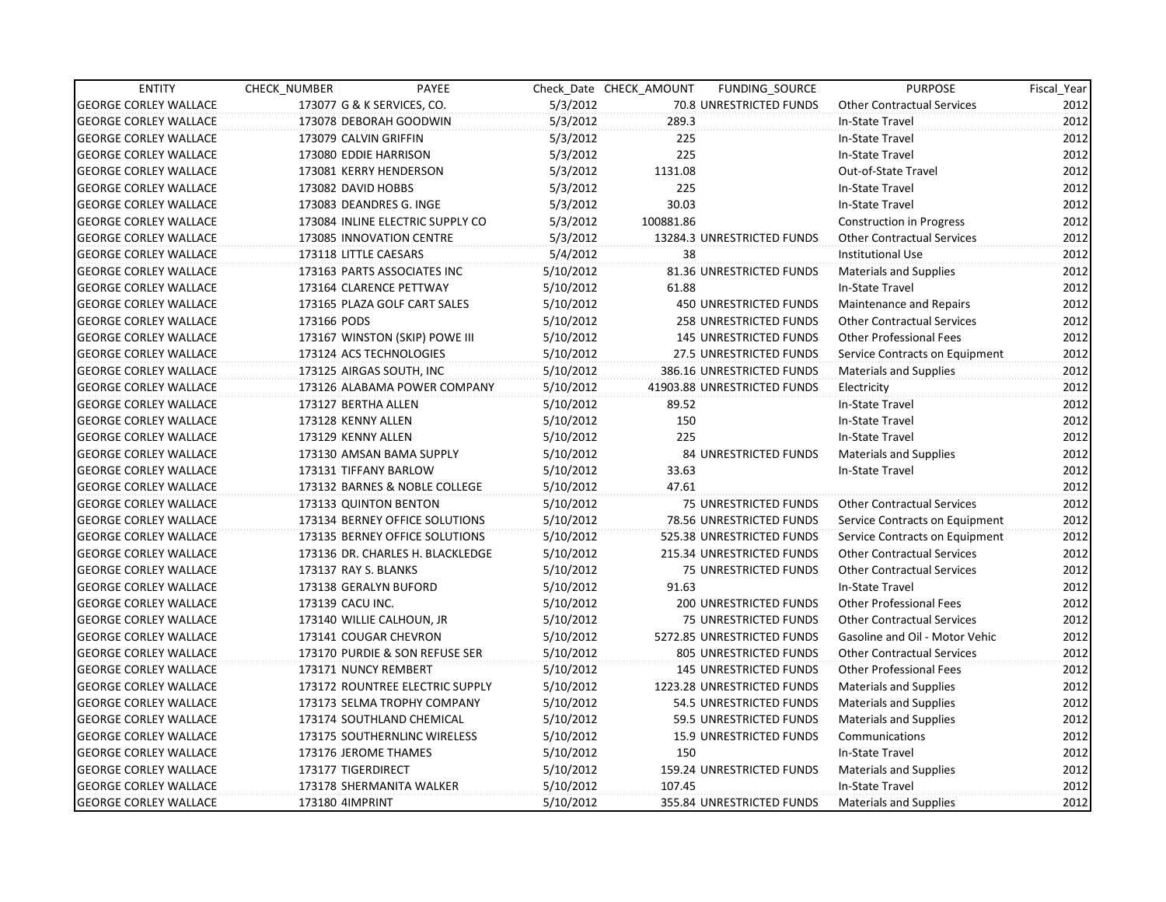| <b>ENTITY</b>                | CHECK_NUMBER          | PAYEE                            |           | Check Date CHECK AMOUNT | FUNDING_SOURCE                 | <b>PURPOSE</b>                    | Fiscal_Year |
|------------------------------|-----------------------|----------------------------------|-----------|-------------------------|--------------------------------|-----------------------------------|-------------|
| <b>GEORGE CORLEY WALLACE</b> |                       | 173077 G & K SERVICES, CO.       | 5/3/2012  |                         | 70.8 UNRESTRICTED FUNDS        | <b>Other Contractual Services</b> | 2012        |
| <b>GEORGE CORLEY WALLACE</b> |                       | 173078 DEBORAH GOODWIN           | 5/3/2012  | 289.3                   |                                | In-State Travel                   | 2012        |
| <b>GEORGE CORLEY WALLACE</b> | 173079 CALVIN GRIFFIN |                                  | 5/3/2012  | 225                     |                                | In-State Travel                   | 2012        |
| <b>GEORGE CORLEY WALLACE</b> | 173080 EDDIE HARRISON |                                  | 5/3/2012  | 225                     |                                | In-State Travel                   | 2012        |
| <b>GEORGE CORLEY WALLACE</b> |                       | 173081 KERRY HENDERSON           | 5/3/2012  | 1131.08                 |                                | Out-of-State Travel               | 2012        |
| <b>GEORGE CORLEY WALLACE</b> | 173082 DAVID HOBBS    |                                  | 5/3/2012  | 225                     |                                | In-State Travel                   | 2012        |
| <b>GEORGE CORLEY WALLACE</b> |                       | 173083 DEANDRES G. INGE          | 5/3/2012  | 30.03                   |                                | In-State Travel                   | 2012        |
| <b>GEORGE CORLEY WALLACE</b> |                       | 173084 INLINE ELECTRIC SUPPLY CO | 5/3/2012  | 100881.86               |                                | Construction in Progress          | 2012        |
| <b>GEORGE CORLEY WALLACE</b> |                       | 173085 INNOVATION CENTRE         | 5/3/2012  |                         | 13284.3 UNRESTRICTED FUNDS     | <b>Other Contractual Services</b> | 2012        |
| <b>GEORGE CORLEY WALLACE</b> | 173118 LITTLE CAESARS |                                  | 5/4/2012  | 38                      |                                | <b>Institutional Use</b>          | 2012        |
| <b>GEORGE CORLEY WALLACE</b> |                       | 173163 PARTS ASSOCIATES INC      | 5/10/2012 |                         | 81.36 UNRESTRICTED FUNDS       | Materials and Supplies            | 2012        |
| <b>GEORGE CORLEY WALLACE</b> |                       | 173164 CLARENCE PETTWAY          | 5/10/2012 | 61.88                   |                                | In-State Travel                   | 2012        |
| <b>GEORGE CORLEY WALLACE</b> |                       | 173165 PLAZA GOLF CART SALES     | 5/10/2012 |                         | 450 UNRESTRICTED FUNDS         | Maintenance and Repairs           | 2012        |
| <b>GEORGE CORLEY WALLACE</b> | 173166 PODS           |                                  | 5/10/2012 |                         | 258 UNRESTRICTED FUNDS         | <b>Other Contractual Services</b> | 2012        |
| <b>GEORGE CORLEY WALLACE</b> |                       | 173167 WINSTON (SKIP) POWE III   | 5/10/2012 |                         | <b>145 UNRESTRICTED FUNDS</b>  | <b>Other Professional Fees</b>    | 2012        |
| <b>GEORGE CORLEY WALLACE</b> |                       | 173124 ACS TECHNOLOGIES          | 5/10/2012 |                         | 27.5 UNRESTRICTED FUNDS        | Service Contracts on Equipment    | 2012        |
| <b>GEORGE CORLEY WALLACE</b> |                       | 173125 AIRGAS SOUTH, INC         | 5/10/2012 |                         | 386.16 UNRESTRICTED FUNDS      | Materials and Supplies            | 2012        |
| <b>GEORGE CORLEY WALLACE</b> |                       | 173126 ALABAMA POWER COMPANY     | 5/10/2012 |                         | 41903.88 UNRESTRICTED FUNDS    | Electricity                       | 2012        |
| <b>GEORGE CORLEY WALLACE</b> | 173127 BERTHA ALLEN   |                                  | 5/10/2012 | 89.52                   |                                | In-State Travel                   | 2012        |
| <b>GEORGE CORLEY WALLACE</b> | 173128 KENNY ALLEN    |                                  | 5/10/2012 | 150                     |                                | In-State Travel                   | 2012        |
| <b>GEORGE CORLEY WALLACE</b> | 173129 KENNY ALLEN    |                                  | 5/10/2012 | 225                     |                                | In-State Travel                   | 2012        |
| <b>GEORGE CORLEY WALLACE</b> |                       | 173130 AMSAN BAMA SUPPLY         | 5/10/2012 |                         | <b>84 UNRESTRICTED FUNDS</b>   | Materials and Supplies            | 2012        |
| <b>GEORGE CORLEY WALLACE</b> | 173131 TIFFANY BARLOW |                                  | 5/10/2012 | 33.63                   |                                | In-State Travel                   | 2012        |
| <b>GEORGE CORLEY WALLACE</b> |                       | 173132 BARNES & NOBLE COLLEGE    | 5/10/2012 | 47.61                   |                                |                                   | 2012        |
| <b>GEORGE CORLEY WALLACE</b> |                       | 173133 QUINTON BENTON            | 5/10/2012 |                         | 75 UNRESTRICTED FUNDS          | <b>Other Contractual Services</b> | 2012        |
| <b>GEORGE CORLEY WALLACE</b> |                       | 173134 BERNEY OFFICE SOLUTIONS   | 5/10/2012 |                         | 78.56 UNRESTRICTED FUNDS       | Service Contracts on Equipment    | 2012        |
| <b>GEORGE CORLEY WALLACE</b> |                       | 173135 BERNEY OFFICE SOLUTIONS   | 5/10/2012 |                         | 525.38 UNRESTRICTED FUNDS      | Service Contracts on Equipment    | 2012        |
| <b>GEORGE CORLEY WALLACE</b> |                       | 173136 DR. CHARLES H. BLACKLEDGE | 5/10/2012 |                         | 215.34 UNRESTRICTED FUNDS      | <b>Other Contractual Services</b> | 2012        |
| <b>GEORGE CORLEY WALLACE</b> | 173137 RAY S. BLANKS  |                                  | 5/10/2012 |                         | <b>75 UNRESTRICTED FUNDS</b>   | <b>Other Contractual Services</b> | 2012        |
| <b>GEORGE CORLEY WALLACE</b> |                       | 173138 GERALYN BUFORD            | 5/10/2012 | 91.63                   |                                | In-State Travel                   | 2012        |
| <b>GEORGE CORLEY WALLACE</b> | 173139 CACU INC.      |                                  | 5/10/2012 |                         | 200 UNRESTRICTED FUNDS         | <b>Other Professional Fees</b>    | 2012        |
| <b>GEORGE CORLEY WALLACE</b> |                       | 173140 WILLIE CALHOUN, JR        | 5/10/2012 |                         | <b>75 UNRESTRICTED FUNDS</b>   | <b>Other Contractual Services</b> | 2012        |
| <b>GEORGE CORLEY WALLACE</b> |                       | 173141 COUGAR CHEVRON            | 5/10/2012 |                         | 5272.85 UNRESTRICTED FUNDS     | Gasoline and Oil - Motor Vehic    | 2012        |
| <b>GEORGE CORLEY WALLACE</b> |                       | 173170 PURDIE & SON REFUSE SER   | 5/10/2012 |                         | 805 UNRESTRICTED FUNDS         | <b>Other Contractual Services</b> | 2012        |
| <b>GEORGE CORLEY WALLACE</b> | 173171 NUNCY REMBERT  |                                  | 5/10/2012 |                         | <b>145 UNRESTRICTED FUNDS</b>  | <b>Other Professional Fees</b>    | 2012        |
| <b>GEORGE CORLEY WALLACE</b> |                       | 173172 ROUNTREE ELECTRIC SUPPLY  | 5/10/2012 |                         | 1223.28 UNRESTRICTED FUNDS     | <b>Materials and Supplies</b>     | 2012        |
| <b>GEORGE CORLEY WALLACE</b> |                       | 173173 SELMA TROPHY COMPANY      | 5/10/2012 |                         | 54.5 UNRESTRICTED FUNDS        | Materials and Supplies            | 2012        |
| <b>GEORGE CORLEY WALLACE</b> |                       | 173174 SOUTHLAND CHEMICAL        | 5/10/2012 |                         | 59.5 UNRESTRICTED FUNDS        | <b>Materials and Supplies</b>     | 2012        |
| <b>GEORGE CORLEY WALLACE</b> |                       | 173175 SOUTHERNLINC WIRELESS     | 5/10/2012 |                         | <b>15.9 UNRESTRICTED FUNDS</b> | Communications                    | 2012        |
| <b>GEORGE CORLEY WALLACE</b> | 173176 JEROME THAMES  |                                  | 5/10/2012 | 150                     |                                | In-State Travel                   | 2012        |
| <b>GEORGE CORLEY WALLACE</b> | 173177 TIGERDIRECT    |                                  | 5/10/2012 |                         | 159.24 UNRESTRICTED FUNDS      | Materials and Supplies            | 2012        |
| <b>GEORGE CORLEY WALLACE</b> |                       | 173178 SHERMANITA WALKER         | 5/10/2012 | 107.45                  |                                | In-State Travel                   | 2012        |
| <b>GEORGE CORLEY WALLACE</b> | 173180 4IMPRINT       |                                  | 5/10/2012 |                         | 355.84 UNRESTRICTED FUNDS      | Materials and Supplies            | 2012        |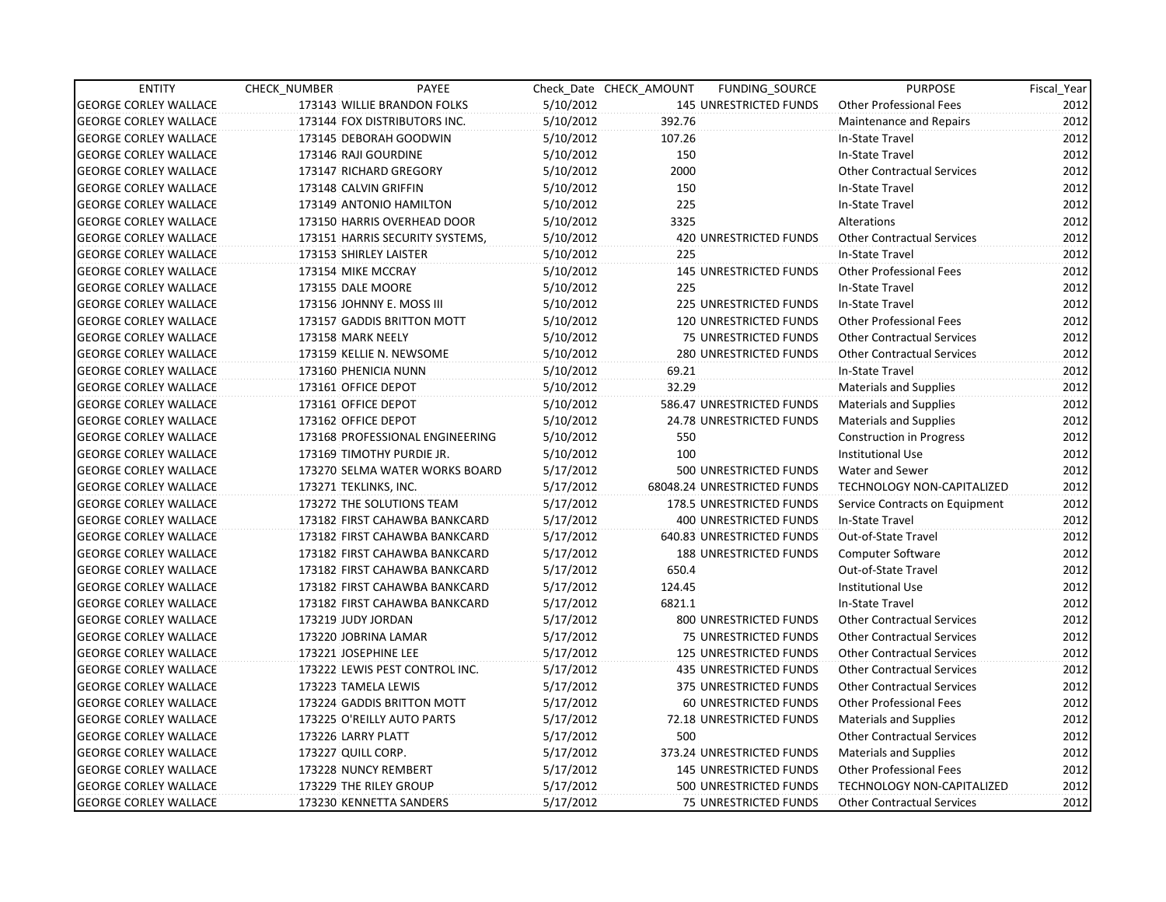| <b>ENTITY</b>                | CHECK_NUMBER               | PAYEE                           |           | Check Date CHECK AMOUNT | FUNDING SOURCE                | <b>PURPOSE</b>                    | Fiscal Year |
|------------------------------|----------------------------|---------------------------------|-----------|-------------------------|-------------------------------|-----------------------------------|-------------|
| <b>GEORGE CORLEY WALLACE</b> |                            | 173143 WILLIE BRANDON FOLKS     | 5/10/2012 |                         | <b>145 UNRESTRICTED FUNDS</b> | <b>Other Professional Fees</b>    | 2012        |
| <b>GEORGE CORLEY WALLACE</b> |                            | 173144 FOX DISTRIBUTORS INC.    | 5/10/2012 | 392.76                  |                               | Maintenance and Repairs           | 2012        |
| <b>GEORGE CORLEY WALLACE</b> | 173145 DEBORAH GOODWIN     |                                 | 5/10/2012 | 107.26                  |                               | In-State Travel                   | 2012        |
| <b>GEORGE CORLEY WALLACE</b> | 173146 RAJI GOURDINE       |                                 | 5/10/2012 | 150                     |                               | In-State Travel                   | 2012        |
| <b>GEORGE CORLEY WALLACE</b> | 173147 RICHARD GREGORY     |                                 | 5/10/2012 | 2000                    |                               | <b>Other Contractual Services</b> | 2012        |
| <b>GEORGE CORLEY WALLACE</b> | 173148 CALVIN GRIFFIN      |                                 | 5/10/2012 | 150                     |                               | In-State Travel                   | 2012        |
| <b>GEORGE CORLEY WALLACE</b> | 173149 ANTONIO HAMILTON    |                                 | 5/10/2012 | 225                     |                               | In-State Travel                   | 2012        |
| <b>GEORGE CORLEY WALLACE</b> |                            | 173150 HARRIS OVERHEAD DOOR     | 5/10/2012 | 3325                    |                               | Alterations                       | 2012        |
| <b>GEORGE CORLEY WALLACE</b> |                            | 173151 HARRIS SECURITY SYSTEMS, | 5/10/2012 |                         | <b>420 UNRESTRICTED FUNDS</b> | <b>Other Contractual Services</b> | 2012        |
| <b>GEORGE CORLEY WALLACE</b> | 173153 SHIRLEY LAISTER     |                                 | 5/10/2012 | 225                     |                               | In-State Travel                   | 2012        |
| <b>GEORGE CORLEY WALLACE</b> | 173154 MIKE MCCRAY         |                                 | 5/10/2012 |                         | <b>145 UNRESTRICTED FUNDS</b> | <b>Other Professional Fees</b>    | 2012        |
| <b>GEORGE CORLEY WALLACE</b> | 173155 DALE MOORE          |                                 | 5/10/2012 | 225                     |                               | In-State Travel                   | 2012        |
| <b>GEORGE CORLEY WALLACE</b> | 173156 JOHNNY E. MOSS III  |                                 | 5/10/2012 |                         | 225 UNRESTRICTED FUNDS        | In-State Travel                   | 2012        |
| <b>GEORGE CORLEY WALLACE</b> |                            | 173157 GADDIS BRITTON MOTT      | 5/10/2012 |                         | 120 UNRESTRICTED FUNDS        | <b>Other Professional Fees</b>    | 2012        |
| <b>GEORGE CORLEY WALLACE</b> | 173158 MARK NEELY          |                                 | 5/10/2012 |                         | 75 UNRESTRICTED FUNDS         | <b>Other Contractual Services</b> | 2012        |
| <b>GEORGE CORLEY WALLACE</b> | 173159 KELLIE N. NEWSOME   |                                 | 5/10/2012 |                         | 280 UNRESTRICTED FUNDS        | <b>Other Contractual Services</b> | 2012        |
| <b>GEORGE CORLEY WALLACE</b> | 173160 PHENICIA NUNN       |                                 | 5/10/2012 | 69.21                   |                               | In-State Travel                   | 2012        |
| <b>GEORGE CORLEY WALLACE</b> | 173161 OFFICE DEPOT        |                                 | 5/10/2012 | 32.29                   |                               | <b>Materials and Supplies</b>     | 2012        |
| <b>GEORGE CORLEY WALLACE</b> | 173161 OFFICE DEPOT        |                                 | 5/10/2012 |                         | 586.47 UNRESTRICTED FUNDS     | <b>Materials and Supplies</b>     | 2012        |
| <b>GEORGE CORLEY WALLACE</b> | 173162 OFFICE DEPOT        |                                 | 5/10/2012 |                         | 24.78 UNRESTRICTED FUNDS      | <b>Materials and Supplies</b>     | 2012        |
| <b>GEORGE CORLEY WALLACE</b> |                            | 173168 PROFESSIONAL ENGINEERING | 5/10/2012 | 550                     |                               | <b>Construction in Progress</b>   | 2012        |
| <b>GEORGE CORLEY WALLACE</b> | 173169 TIMOTHY PURDIE JR.  |                                 | 5/10/2012 | 100                     |                               | Institutional Use                 | 2012        |
| <b>GEORGE CORLEY WALLACE</b> |                            | 173270 SELMA WATER WORKS BOARD  | 5/17/2012 |                         | 500 UNRESTRICTED FUNDS        | Water and Sewer                   | 2012        |
| <b>GEORGE CORLEY WALLACE</b> | 173271 TEKLINKS, INC.      |                                 | 5/17/2012 |                         | 68048.24 UNRESTRICTED FUNDS   | TECHNOLOGY NON-CAPITALIZED        | 2012        |
| <b>GEORGE CORLEY WALLACE</b> | 173272 THE SOLUTIONS TEAM  |                                 | 5/17/2012 |                         | 178.5 UNRESTRICTED FUNDS      | Service Contracts on Equipment    | 2012        |
| <b>GEORGE CORLEY WALLACE</b> |                            | 173182 FIRST CAHAWBA BANKCARD   | 5/17/2012 |                         | <b>400 UNRESTRICTED FUNDS</b> | In-State Travel                   | 2012        |
| <b>GEORGE CORLEY WALLACE</b> |                            | 173182 FIRST CAHAWBA BANKCARD   | 5/17/2012 |                         | 640.83 UNRESTRICTED FUNDS     | Out-of-State Travel               | 2012        |
| <b>GEORGE CORLEY WALLACE</b> |                            | 173182 FIRST CAHAWBA BANKCARD   | 5/17/2012 |                         | 188 UNRESTRICTED FUNDS        | Computer Software                 | 2012        |
| <b>GEORGE CORLEY WALLACE</b> |                            | 173182 FIRST CAHAWBA BANKCARD   | 5/17/2012 | 650.4                   |                               | Out-of-State Travel               | 2012        |
| <b>GEORGE CORLEY WALLACE</b> |                            | 173182 FIRST CAHAWBA BANKCARD   | 5/17/2012 | 124.45                  |                               | <b>Institutional Use</b>          | 2012        |
| <b>GEORGE CORLEY WALLACE</b> |                            | 173182 FIRST CAHAWBA BANKCARD   | 5/17/2012 | 6821.1                  |                               | In-State Travel                   | 2012        |
| <b>GEORGE CORLEY WALLACE</b> | 173219 JUDY JORDAN         |                                 | 5/17/2012 |                         | 800 UNRESTRICTED FUNDS        | <b>Other Contractual Services</b> | 2012        |
| <b>GEORGE CORLEY WALLACE</b> | 173220 JOBRINA LAMAR       |                                 | 5/17/2012 |                         | <b>75 UNRESTRICTED FUNDS</b>  | <b>Other Contractual Services</b> | 2012        |
| <b>GEORGE CORLEY WALLACE</b> | 173221 JOSEPHINE LEE       |                                 | 5/17/2012 |                         | <b>125 UNRESTRICTED FUNDS</b> | <b>Other Contractual Services</b> | 2012        |
| <b>GEORGE CORLEY WALLACE</b> |                            | 173222 LEWIS PEST CONTROL INC.  | 5/17/2012 |                         | 435 UNRESTRICTED FUNDS        | <b>Other Contractual Services</b> | 2012        |
| <b>GEORGE CORLEY WALLACE</b> | 173223 TAMELA LEWIS        |                                 | 5/17/2012 |                         | 375 UNRESTRICTED FUNDS        | <b>Other Contractual Services</b> | 2012        |
| <b>GEORGE CORLEY WALLACE</b> |                            | 173224 GADDIS BRITTON MOTT      | 5/17/2012 |                         | 60 UNRESTRICTED FUNDS         | <b>Other Professional Fees</b>    | 2012        |
| <b>GEORGE CORLEY WALLACE</b> | 173225 O'REILLY AUTO PARTS |                                 | 5/17/2012 |                         | 72.18 UNRESTRICTED FUNDS      | <b>Materials and Supplies</b>     | 2012        |
| <b>GEORGE CORLEY WALLACE</b> | 173226 LARRY PLATT         |                                 | 5/17/2012 | 500                     |                               | <b>Other Contractual Services</b> | 2012        |
| <b>GEORGE CORLEY WALLACE</b> | 173227 QUILL CORP.         |                                 | 5/17/2012 |                         | 373.24 UNRESTRICTED FUNDS     | Materials and Supplies            | 2012        |
| <b>GEORGE CORLEY WALLACE</b> | 173228 NUNCY REMBERT       |                                 | 5/17/2012 |                         | 145 UNRESTRICTED FUNDS        | <b>Other Professional Fees</b>    | 2012        |
| <b>GEORGE CORLEY WALLACE</b> | 173229 THE RILEY GROUP     |                                 | 5/17/2012 |                         | 500 UNRESTRICTED FUNDS        | <b>TECHNOLOGY NON-CAPITALIZED</b> | 2012        |
| <b>GEORGE CORLEY WALLACE</b> | 173230 KENNETTA SANDERS    |                                 | 5/17/2012 |                         | <b>75 UNRESTRICTED FUNDS</b>  | <b>Other Contractual Services</b> | 2012        |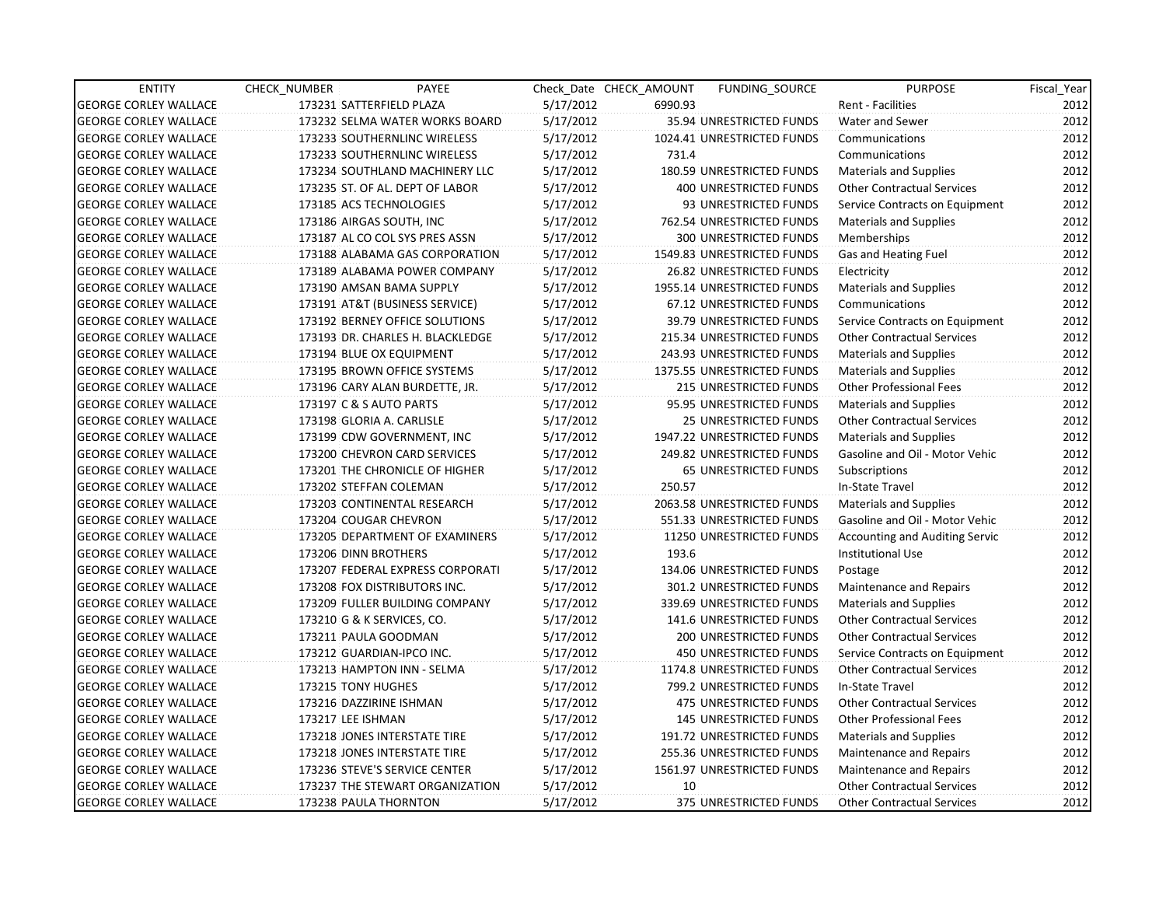| <b>ENTITY</b>                | CHECK_NUMBER         | PAYEE                            |           | Check Date CHECK AMOUNT | <b>FUNDING SOURCE</b>         | <b>PURPOSE</b>                        | Fiscal_Year |
|------------------------------|----------------------|----------------------------------|-----------|-------------------------|-------------------------------|---------------------------------------|-------------|
| <b>GEORGE CORLEY WALLACE</b> |                      | 173231 SATTERFIELD PLAZA         | 5/17/2012 | 6990.93                 |                               | Rent - Facilities                     | 2012        |
| <b>GEORGE CORLEY WALLACE</b> |                      | 173232 SELMA WATER WORKS BOARD   | 5/17/2012 |                         | 35.94 UNRESTRICTED FUNDS      | Water and Sewer                       | 2012        |
| <b>GEORGE CORLEY WALLACE</b> |                      | 173233 SOUTHERNLINC WIRELESS     | 5/17/2012 |                         | 1024.41 UNRESTRICTED FUNDS    | Communications                        | 2012        |
| <b>GEORGE CORLEY WALLACE</b> |                      | 173233 SOUTHERNLINC WIRELESS     | 5/17/2012 | 731.4                   |                               | Communications                        | 2012        |
| <b>GEORGE CORLEY WALLACE</b> |                      | 173234 SOUTHLAND MACHINERY LLC   | 5/17/2012 |                         | 180.59 UNRESTRICTED FUNDS     | <b>Materials and Supplies</b>         | 2012        |
| <b>GEORGE CORLEY WALLACE</b> |                      | 173235 ST. OF AL. DEPT OF LABOR  | 5/17/2012 |                         | 400 UNRESTRICTED FUNDS        | <b>Other Contractual Services</b>     | 2012        |
| <b>GEORGE CORLEY WALLACE</b> |                      | 173185 ACS TECHNOLOGIES          | 5/17/2012 |                         | 93 UNRESTRICTED FUNDS         | Service Contracts on Equipment        | 2012        |
| <b>GEORGE CORLEY WALLACE</b> |                      | 173186 AIRGAS SOUTH, INC         | 5/17/2012 |                         | 762.54 UNRESTRICTED FUNDS     | <b>Materials and Supplies</b>         | 2012        |
| <b>GEORGE CORLEY WALLACE</b> |                      | 173187 AL CO COL SYS PRES ASSN   | 5/17/2012 |                         | <b>300 UNRESTRICTED FUNDS</b> | Memberships                           | 2012        |
| <b>GEORGE CORLEY WALLACE</b> |                      | 173188 ALABAMA GAS CORPORATION   | 5/17/2012 |                         | 1549.83 UNRESTRICTED FUNDS    | Gas and Heating Fuel                  | 2012        |
| <b>GEORGE CORLEY WALLACE</b> |                      | 173189 ALABAMA POWER COMPANY     | 5/17/2012 |                         | 26.82 UNRESTRICTED FUNDS      | Electricity                           | 2012        |
| <b>GEORGE CORLEY WALLACE</b> |                      | 173190 AMSAN BAMA SUPPLY         | 5/17/2012 |                         | 1955.14 UNRESTRICTED FUNDS    | <b>Materials and Supplies</b>         | 2012        |
| <b>GEORGE CORLEY WALLACE</b> |                      | 173191 AT&T (BUSINESS SERVICE)   | 5/17/2012 |                         | 67.12 UNRESTRICTED FUNDS      | Communications                        | 2012        |
| <b>GEORGE CORLEY WALLACE</b> |                      | 173192 BERNEY OFFICE SOLUTIONS   | 5/17/2012 |                         | 39.79 UNRESTRICTED FUNDS      | Service Contracts on Equipment        | 2012        |
| <b>GEORGE CORLEY WALLACE</b> |                      | 173193 DR. CHARLES H. BLACKLEDGE | 5/17/2012 |                         | 215.34 UNRESTRICTED FUNDS     | <b>Other Contractual Services</b>     | 2012        |
| <b>GEORGE CORLEY WALLACE</b> |                      | 173194 BLUE OX EQUIPMENT         | 5/17/2012 |                         | 243.93 UNRESTRICTED FUNDS     | Materials and Supplies                | 2012        |
| <b>GEORGE CORLEY WALLACE</b> |                      | 173195 BROWN OFFICE SYSTEMS      | 5/17/2012 |                         | 1375.55 UNRESTRICTED FUNDS    | <b>Materials and Supplies</b>         | 2012        |
| <b>GEORGE CORLEY WALLACE</b> |                      | 173196 CARY ALAN BURDETTE, JR.   | 5/17/2012 |                         | 215 UNRESTRICTED FUNDS        | <b>Other Professional Fees</b>        | 2012        |
| <b>GEORGE CORLEY WALLACE</b> |                      | 173197 C & S AUTO PARTS          | 5/17/2012 |                         | 95.95 UNRESTRICTED FUNDS      | Materials and Supplies                | 2012        |
| <b>GEORGE CORLEY WALLACE</b> |                      | 173198 GLORIA A. CARLISLE        | 5/17/2012 |                         | 25 UNRESTRICTED FUNDS         | <b>Other Contractual Services</b>     | 2012        |
| <b>GEORGE CORLEY WALLACE</b> |                      | 173199 CDW GOVERNMENT, INC       | 5/17/2012 |                         | 1947.22 UNRESTRICTED FUNDS    | <b>Materials and Supplies</b>         | 2012        |
| <b>GEORGE CORLEY WALLACE</b> |                      | 173200 CHEVRON CARD SERVICES     | 5/17/2012 |                         | 249.82 UNRESTRICTED FUNDS     | Gasoline and Oil - Motor Vehic        | 2012        |
| <b>GEORGE CORLEY WALLACE</b> |                      | 173201 THE CHRONICLE OF HIGHER   | 5/17/2012 |                         | 65 UNRESTRICTED FUNDS         | Subscriptions                         | 2012        |
| <b>GEORGE CORLEY WALLACE</b> |                      | 173202 STEFFAN COLEMAN           | 5/17/2012 | 250.57                  |                               | In-State Travel                       | 2012        |
| <b>GEORGE CORLEY WALLACE</b> |                      | 173203 CONTINENTAL RESEARCH      | 5/17/2012 |                         | 2063.58 UNRESTRICTED FUNDS    | <b>Materials and Supplies</b>         | 2012        |
| <b>GEORGE CORLEY WALLACE</b> |                      | 173204 COUGAR CHEVRON            | 5/17/2012 |                         | 551.33 UNRESTRICTED FUNDS     | Gasoline and Oil - Motor Vehic        | 2012        |
| <b>GEORGE CORLEY WALLACE</b> |                      | 173205 DEPARTMENT OF EXAMINERS   | 5/17/2012 |                         | 11250 UNRESTRICTED FUNDS      | <b>Accounting and Auditing Servic</b> | 2012        |
| <b>GEORGE CORLEY WALLACE</b> | 173206 DINN BROTHERS |                                  | 5/17/2012 | 193.6                   |                               | Institutional Use                     | 2012        |
| <b>GEORGE CORLEY WALLACE</b> |                      | 173207 FEDERAL EXPRESS CORPORATI | 5/17/2012 |                         | 134.06 UNRESTRICTED FUNDS     | Postage                               | 2012        |
| <b>GEORGE CORLEY WALLACE</b> |                      | 173208 FOX DISTRIBUTORS INC.     | 5/17/2012 |                         | 301.2 UNRESTRICTED FUNDS      | Maintenance and Repairs               | 2012        |
| <b>GEORGE CORLEY WALLACE</b> |                      | 173209 FULLER BUILDING COMPANY   | 5/17/2012 |                         | 339.69 UNRESTRICTED FUNDS     | <b>Materials and Supplies</b>         | 2012        |
| <b>GEORGE CORLEY WALLACE</b> |                      | 173210 G & K SERVICES, CO.       | 5/17/2012 |                         | 141.6 UNRESTRICTED FUNDS      | <b>Other Contractual Services</b>     | 2012        |
| <b>GEORGE CORLEY WALLACE</b> |                      | 173211 PAULA GOODMAN             | 5/17/2012 |                         | 200 UNRESTRICTED FUNDS        | <b>Other Contractual Services</b>     | 2012        |
| <b>GEORGE CORLEY WALLACE</b> |                      | 173212 GUARDIAN-IPCO INC.        | 5/17/2012 |                         | <b>450 UNRESTRICTED FUNDS</b> | Service Contracts on Equipment        | 2012        |
| <b>GEORGE CORLEY WALLACE</b> |                      | 173213 HAMPTON INN - SELMA       | 5/17/2012 |                         | 1174.8 UNRESTRICTED FUNDS     | <b>Other Contractual Services</b>     | 2012        |
| <b>GEORGE CORLEY WALLACE</b> | 173215 TONY HUGHES   |                                  | 5/17/2012 |                         | 799.2 UNRESTRICTED FUNDS      | In-State Travel                       | 2012        |
| <b>GEORGE CORLEY WALLACE</b> |                      | 173216 DAZZIRINE ISHMAN          | 5/17/2012 |                         | <b>475 UNRESTRICTED FUNDS</b> | <b>Other Contractual Services</b>     | 2012        |
| <b>GEORGE CORLEY WALLACE</b> | 173217 LEE ISHMAN    |                                  | 5/17/2012 |                         | <b>145 UNRESTRICTED FUNDS</b> | <b>Other Professional Fees</b>        | 2012        |
| <b>GEORGE CORLEY WALLACE</b> |                      | 173218 JONES INTERSTATE TIRE     | 5/17/2012 |                         | 191.72 UNRESTRICTED FUNDS     | <b>Materials and Supplies</b>         | 2012        |
| <b>GEORGE CORLEY WALLACE</b> |                      | 173218 JONES INTERSTATE TIRE     | 5/17/2012 |                         | 255.36 UNRESTRICTED FUNDS     | Maintenance and Repairs               | 2012        |
| <b>GEORGE CORLEY WALLACE</b> |                      | 173236 STEVE'S SERVICE CENTER    | 5/17/2012 |                         | 1561.97 UNRESTRICTED FUNDS    | Maintenance and Repairs               | 2012        |
| <b>GEORGE CORLEY WALLACE</b> |                      | 173237 THE STEWART ORGANIZATION  | 5/17/2012 | 10                      |                               | <b>Other Contractual Services</b>     | 2012        |
| <b>GEORGE CORLEY WALLACE</b> |                      | 173238 PAULA THORNTON            | 5/17/2012 |                         | 375 UNRESTRICTED FUNDS        | <b>Other Contractual Services</b>     | 2012        |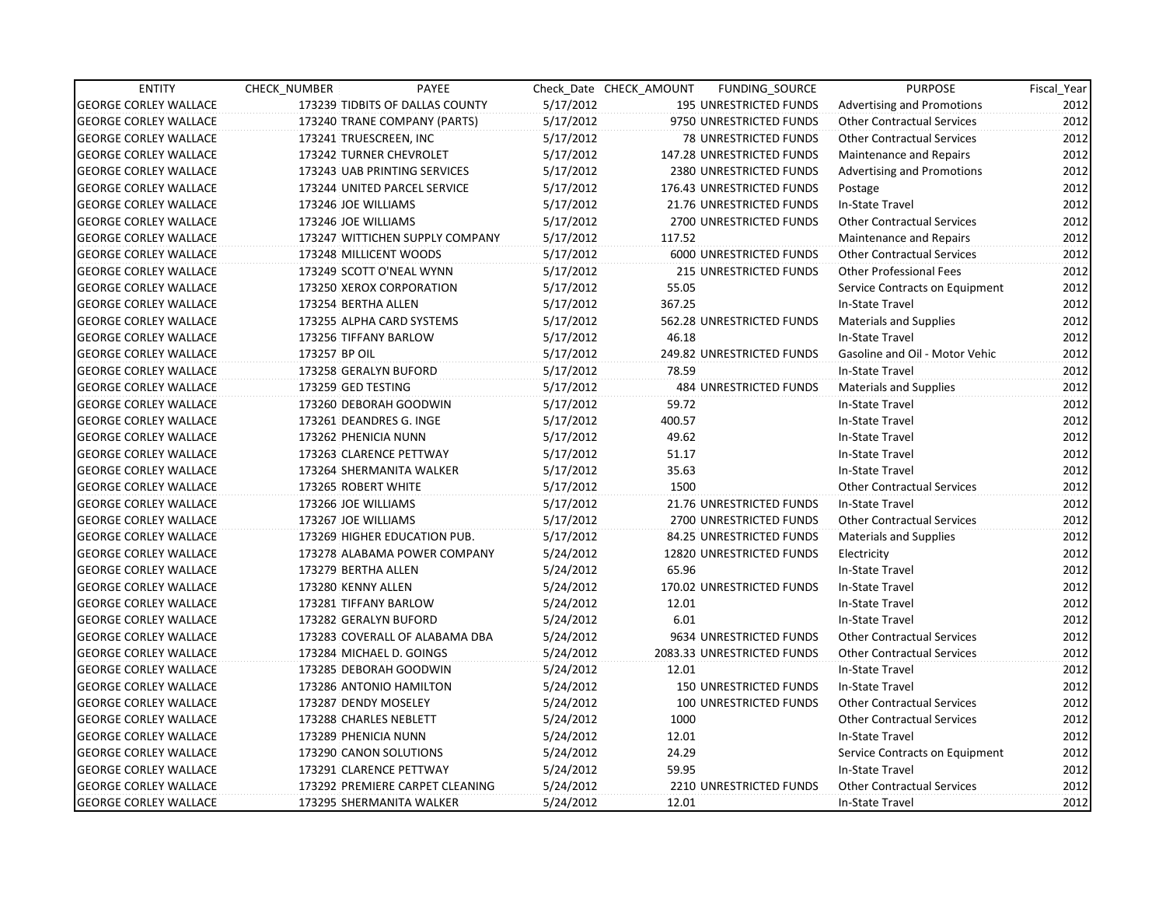| <b>ENTITY</b>                | CHECK NUMBER              | PAYEE                           |           | Check Date CHECK AMOUNT | <b>FUNDING SOURCE</b>         | <b>PURPOSE</b>                    | Fiscal_Year |
|------------------------------|---------------------------|---------------------------------|-----------|-------------------------|-------------------------------|-----------------------------------|-------------|
| <b>GEORGE CORLEY WALLACE</b> |                           | 173239 TIDBITS OF DALLAS COUNTY | 5/17/2012 |                         | 195 UNRESTRICTED FUNDS        | Advertising and Promotions        | 2012        |
| <b>GEORGE CORLEY WALLACE</b> |                           | 173240 TRANE COMPANY (PARTS)    | 5/17/2012 |                         | 9750 UNRESTRICTED FUNDS       | <b>Other Contractual Services</b> | 2012        |
| <b>GEORGE CORLEY WALLACE</b> | 173241 TRUESCREEN, INC    |                                 | 5/17/2012 |                         | <b>78 UNRESTRICTED FUNDS</b>  | <b>Other Contractual Services</b> | 2012        |
| <b>GEORGE CORLEY WALLACE</b> | 173242 TURNER CHEVROLET   |                                 | 5/17/2012 |                         | 147.28 UNRESTRICTED FUNDS     | Maintenance and Repairs           | 2012        |
| <b>GEORGE CORLEY WALLACE</b> |                           | 173243 UAB PRINTING SERVICES    | 5/17/2012 |                         | 2380 UNRESTRICTED FUNDS       | <b>Advertising and Promotions</b> | 2012        |
| <b>GEORGE CORLEY WALLACE</b> |                           | 173244 UNITED PARCEL SERVICE    | 5/17/2012 |                         | 176.43 UNRESTRICTED FUNDS     | Postage                           | 2012        |
| <b>GEORGE CORLEY WALLACE</b> | 173246 JOE WILLIAMS       |                                 | 5/17/2012 |                         | 21.76 UNRESTRICTED FUNDS      | In-State Travel                   | 2012        |
| <b>GEORGE CORLEY WALLACE</b> | 173246 JOE WILLIAMS       |                                 | 5/17/2012 |                         | 2700 UNRESTRICTED FUNDS       | <b>Other Contractual Services</b> | 2012        |
| <b>GEORGE CORLEY WALLACE</b> |                           | 173247 WITTICHEN SUPPLY COMPANY | 5/17/2012 | 117.52                  |                               | Maintenance and Repairs           | 2012        |
| <b>GEORGE CORLEY WALLACE</b> | 173248 MILLICENT WOODS    |                                 | 5/17/2012 |                         | 6000 UNRESTRICTED FUNDS       | <b>Other Contractual Services</b> | 2012        |
| <b>GEORGE CORLEY WALLACE</b> | 173249 SCOTT O'NEAL WYNN  |                                 | 5/17/2012 |                         | <b>215 UNRESTRICTED FUNDS</b> | <b>Other Professional Fees</b>    | 2012        |
| <b>GEORGE CORLEY WALLACE</b> | 173250 XEROX CORPORATION  |                                 | 5/17/2012 | 55.05                   |                               | Service Contracts on Equipment    | 2012        |
| <b>GEORGE CORLEY WALLACE</b> | 173254 BERTHA ALLEN       |                                 | 5/17/2012 | 367.25                  |                               | In-State Travel                   | 2012        |
| <b>GEORGE CORLEY WALLACE</b> | 173255 ALPHA CARD SYSTEMS |                                 | 5/17/2012 |                         | 562.28 UNRESTRICTED FUNDS     | <b>Materials and Supplies</b>     | 2012        |
| <b>GEORGE CORLEY WALLACE</b> | 173256 TIFFANY BARLOW     |                                 | 5/17/2012 | 46.18                   |                               | In-State Travel                   | 2012        |
| <b>GEORGE CORLEY WALLACE</b> | 173257 BP OIL             |                                 | 5/17/2012 |                         | 249.82 UNRESTRICTED FUNDS     | Gasoline and Oil - Motor Vehic    | 2012        |
| <b>GEORGE CORLEY WALLACE</b> | 173258 GERALYN BUFORD     |                                 | 5/17/2012 | 78.59                   |                               | In-State Travel                   | 2012        |
| <b>GEORGE CORLEY WALLACE</b> | 173259 GED TESTING        |                                 | 5/17/2012 |                         | <b>484 UNRESTRICTED FUNDS</b> | <b>Materials and Supplies</b>     | 2012        |
| <b>GEORGE CORLEY WALLACE</b> | 173260 DEBORAH GOODWIN    |                                 | 5/17/2012 | 59.72                   |                               | In-State Travel                   | 2012        |
| <b>GEORGE CORLEY WALLACE</b> | 173261 DEANDRES G. INGE   |                                 | 5/17/2012 | 400.57                  |                               | In-State Travel                   | 2012        |
| <b>GEORGE CORLEY WALLACE</b> | 173262 PHENICIA NUNN      |                                 | 5/17/2012 | 49.62                   |                               | In-State Travel                   | 2012        |
| <b>GEORGE CORLEY WALLACE</b> | 173263 CLARENCE PETTWAY   |                                 | 5/17/2012 | 51.17                   |                               | In-State Travel                   | 2012        |
| <b>GEORGE CORLEY WALLACE</b> | 173264 SHERMANITA WALKER  |                                 | 5/17/2012 | 35.63                   |                               | In-State Travel                   | 2012        |
| <b>GEORGE CORLEY WALLACE</b> | 173265 ROBERT WHITE       |                                 | 5/17/2012 | 1500                    |                               | <b>Other Contractual Services</b> | 2012        |
| <b>GEORGE CORLEY WALLACE</b> | 173266 JOE WILLIAMS       |                                 | 5/17/2012 |                         | 21.76 UNRESTRICTED FUNDS      | In-State Travel                   | 2012        |
| <b>GEORGE CORLEY WALLACE</b> | 173267 JOE WILLIAMS       |                                 | 5/17/2012 |                         | 2700 UNRESTRICTED FUNDS       | <b>Other Contractual Services</b> | 2012        |
| <b>GEORGE CORLEY WALLACE</b> |                           | 173269 HIGHER EDUCATION PUB.    | 5/17/2012 |                         | 84.25 UNRESTRICTED FUNDS      | <b>Materials and Supplies</b>     | 2012        |
| <b>GEORGE CORLEY WALLACE</b> |                           | 173278 ALABAMA POWER COMPANY    | 5/24/2012 |                         | 12820 UNRESTRICTED FUNDS      | Electricity                       | 2012        |
| <b>GEORGE CORLEY WALLACE</b> | 173279 BERTHA ALLEN       |                                 | 5/24/2012 | 65.96                   |                               | In-State Travel                   | 2012        |
| <b>GEORGE CORLEY WALLACE</b> | 173280 KENNY ALLEN        |                                 | 5/24/2012 |                         | 170.02 UNRESTRICTED FUNDS     | In-State Travel                   | 2012        |
| <b>GEORGE CORLEY WALLACE</b> | 173281 TIFFANY BARLOW     |                                 | 5/24/2012 | 12.01                   |                               | In-State Travel                   | 2012        |
| <b>GEORGE CORLEY WALLACE</b> | 173282 GERALYN BUFORD     |                                 | 5/24/2012 | 6.01                    |                               | In-State Travel                   | 2012        |
| <b>GEORGE CORLEY WALLACE</b> |                           | 173283 COVERALL OF ALABAMA DBA  | 5/24/2012 |                         | 9634 UNRESTRICTED FUNDS       | <b>Other Contractual Services</b> | 2012        |
| <b>GEORGE CORLEY WALLACE</b> | 173284 MICHAEL D. GOINGS  |                                 | 5/24/2012 |                         | 2083.33 UNRESTRICTED FUNDS    | <b>Other Contractual Services</b> | 2012        |
| <b>GEORGE CORLEY WALLACE</b> | 173285 DEBORAH GOODWIN    |                                 | 5/24/2012 | 12.01                   |                               | In-State Travel                   | 2012        |
| <b>GEORGE CORLEY WALLACE</b> | 173286 ANTONIO HAMILTON   |                                 | 5/24/2012 |                         | <b>150 UNRESTRICTED FUNDS</b> | In-State Travel                   | 2012        |
| <b>GEORGE CORLEY WALLACE</b> | 173287 DENDY MOSELEY      |                                 | 5/24/2012 |                         | 100 UNRESTRICTED FUNDS        | <b>Other Contractual Services</b> | 2012        |
| <b>GEORGE CORLEY WALLACE</b> | 173288 CHARLES NEBLETT    |                                 | 5/24/2012 | 1000                    |                               | <b>Other Contractual Services</b> | 2012        |
| <b>GEORGE CORLEY WALLACE</b> | 173289 PHENICIA NUNN      |                                 | 5/24/2012 | 12.01                   |                               | In-State Travel                   | 2012        |
| <b>GEORGE CORLEY WALLACE</b> | 173290 CANON SOLUTIONS    |                                 | 5/24/2012 | 24.29                   |                               | Service Contracts on Equipment    | 2012        |
| <b>GEORGE CORLEY WALLACE</b> | 173291 CLARENCE PETTWAY   |                                 | 5/24/2012 | 59.95                   |                               | In-State Travel                   | 2012        |
| <b>GEORGE CORLEY WALLACE</b> |                           | 173292 PREMIERE CARPET CLEANING | 5/24/2012 |                         | 2210 UNRESTRICTED FUNDS       | <b>Other Contractual Services</b> | 2012        |
| <b>GEORGE CORLEY WALLACE</b> | 173295 SHERMANITA WALKER  |                                 | 5/24/2012 | 12.01                   |                               | In-State Travel                   | 2012        |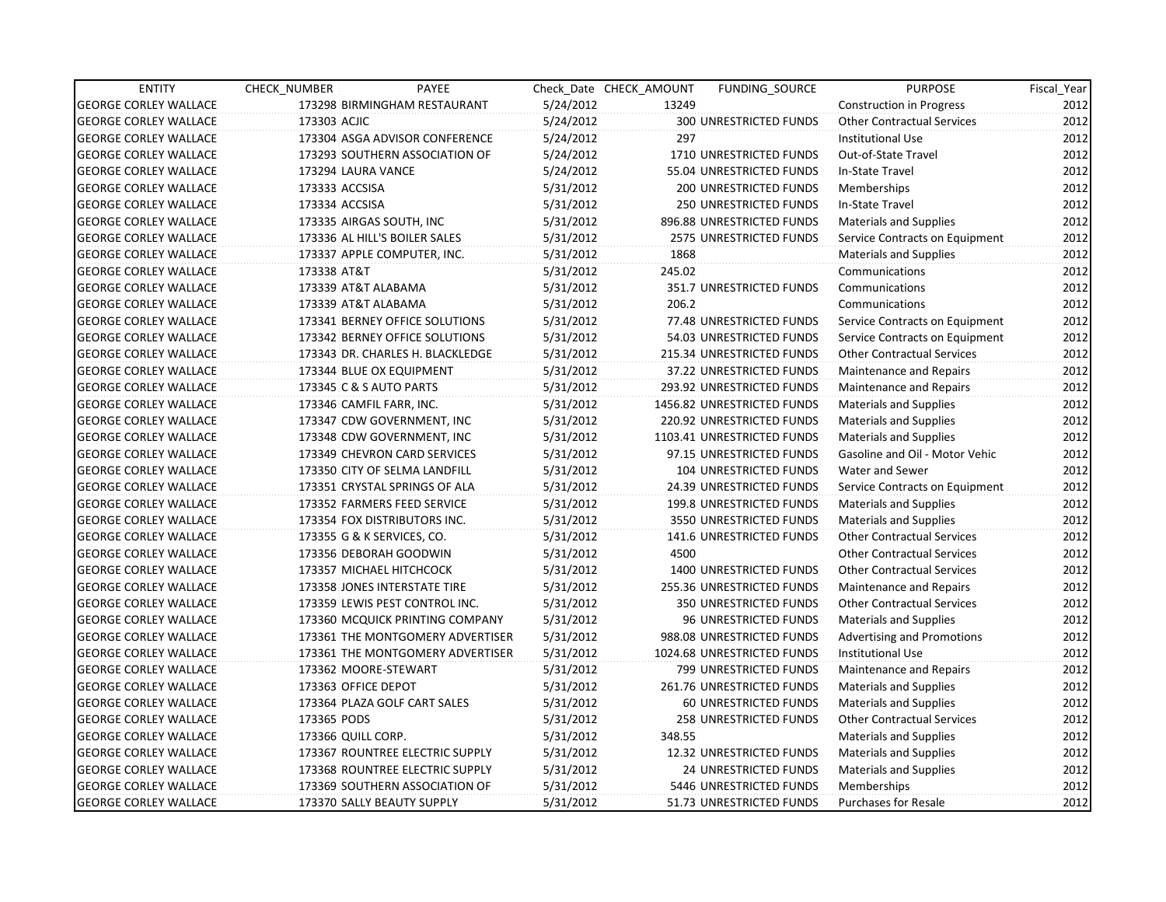| <b>ENTITY</b>                | CHECK_NUMBER        | PAYEE                            |           | Check Date CHECK AMOUNT | FUNDING_SOURCE                | <b>PURPOSE</b>                    | Fiscal Year |
|------------------------------|---------------------|----------------------------------|-----------|-------------------------|-------------------------------|-----------------------------------|-------------|
| <b>GEORGE CORLEY WALLACE</b> |                     | 173298 BIRMINGHAM RESTAURANT     | 5/24/2012 | 13249                   |                               | Construction in Progress          | 2012        |
| <b>GEORGE CORLEY WALLACE</b> | 173303 ACJIC        |                                  | 5/24/2012 |                         | 300 UNRESTRICTED FUNDS        | <b>Other Contractual Services</b> | 2012        |
| <b>GEORGE CORLEY WALLACE</b> |                     | 173304 ASGA ADVISOR CONFERENCE   | 5/24/2012 | 297                     |                               | <b>Institutional Use</b>          | 2012        |
| <b>GEORGE CORLEY WALLACE</b> |                     | 173293 SOUTHERN ASSOCIATION OF   | 5/24/2012 |                         | 1710 UNRESTRICTED FUNDS       | Out-of-State Travel               | 2012        |
| <b>GEORGE CORLEY WALLACE</b> | 173294 LAURA VANCE  |                                  | 5/24/2012 |                         | 55.04 UNRESTRICTED FUNDS      | In-State Travel                   | 2012        |
| <b>GEORGE CORLEY WALLACE</b> | 173333 ACCSISA      |                                  | 5/31/2012 |                         | 200 UNRESTRICTED FUNDS        | Memberships                       | 2012        |
| <b>GEORGE CORLEY WALLACE</b> | 173334 ACCSISA      |                                  | 5/31/2012 |                         | <b>250 UNRESTRICTED FUNDS</b> | In-State Travel                   | 2012        |
| <b>GEORGE CORLEY WALLACE</b> |                     | 173335 AIRGAS SOUTH, INC         | 5/31/2012 |                         | 896.88 UNRESTRICTED FUNDS     | <b>Materials and Supplies</b>     | 2012        |
| <b>GEORGE CORLEY WALLACE</b> |                     | 173336 AL HILL'S BOILER SALES    | 5/31/2012 |                         | 2575 UNRESTRICTED FUNDS       | Service Contracts on Equipment    | 2012        |
| <b>GEORGE CORLEY WALLACE</b> |                     | 173337 APPLE COMPUTER, INC.      | 5/31/2012 | 1868                    |                               | <b>Materials and Supplies</b>     | 2012        |
| <b>GEORGE CORLEY WALLACE</b> | 173338 AT&T         |                                  | 5/31/2012 | 245.02                  |                               | Communications                    | 2012        |
| <b>GEORGE CORLEY WALLACE</b> |                     | 173339 AT&T ALABAMA              | 5/31/2012 |                         | 351.7 UNRESTRICTED FUNDS      | Communications                    | 2012        |
| <b>GEORGE CORLEY WALLACE</b> |                     | 173339 AT&T ALABAMA              | 5/31/2012 | 206.2                   |                               | Communications                    | 2012        |
| <b>GEORGE CORLEY WALLACE</b> |                     | 173341 BERNEY OFFICE SOLUTIONS   | 5/31/2012 |                         | 77.48 UNRESTRICTED FUNDS      | Service Contracts on Equipment    | 2012        |
| <b>GEORGE CORLEY WALLACE</b> |                     | 173342 BERNEY OFFICE SOLUTIONS   | 5/31/2012 |                         | 54.03 UNRESTRICTED FUNDS      | Service Contracts on Equipment    | 2012        |
| <b>GEORGE CORLEY WALLACE</b> |                     | 173343 DR. CHARLES H. BLACKLEDGE | 5/31/2012 |                         | 215.34 UNRESTRICTED FUNDS     | <b>Other Contractual Services</b> | 2012        |
| <b>GEORGE CORLEY WALLACE</b> |                     | 173344 BLUE OX EQUIPMENT         | 5/31/2012 |                         | 37.22 UNRESTRICTED FUNDS      | Maintenance and Repairs           | 2012        |
| <b>GEORGE CORLEY WALLACE</b> |                     | 173345 C & S AUTO PARTS          | 5/31/2012 |                         | 293.92 UNRESTRICTED FUNDS     | Maintenance and Repairs           | 2012        |
| <b>GEORGE CORLEY WALLACE</b> |                     | 173346 CAMFIL FARR, INC.         | 5/31/2012 |                         | 1456.82 UNRESTRICTED FUNDS    | <b>Materials and Supplies</b>     | 2012        |
| <b>GEORGE CORLEY WALLACE</b> |                     | 173347 CDW GOVERNMENT, INC       | 5/31/2012 |                         | 220.92 UNRESTRICTED FUNDS     | <b>Materials and Supplies</b>     | 2012        |
| <b>GEORGE CORLEY WALLACE</b> |                     | 173348 CDW GOVERNMENT, INC       | 5/31/2012 |                         | 1103.41 UNRESTRICTED FUNDS    | <b>Materials and Supplies</b>     | 2012        |
| <b>GEORGE CORLEY WALLACE</b> |                     | 173349 CHEVRON CARD SERVICES     | 5/31/2012 |                         | 97.15 UNRESTRICTED FUNDS      | Gasoline and Oil - Motor Vehic    | 2012        |
| <b>GEORGE CORLEY WALLACE</b> |                     | 173350 CITY OF SELMA LANDFILL    | 5/31/2012 |                         | 104 UNRESTRICTED FUNDS        | Water and Sewer                   | 2012        |
| <b>GEORGE CORLEY WALLACE</b> |                     | 173351 CRYSTAL SPRINGS OF ALA    | 5/31/2012 |                         | 24.39 UNRESTRICTED FUNDS      | Service Contracts on Equipment    | 2012        |
| <b>GEORGE CORLEY WALLACE</b> |                     | 173352 FARMERS FEED SERVICE      | 5/31/2012 |                         | 199.8 UNRESTRICTED FUNDS      | <b>Materials and Supplies</b>     | 2012        |
| <b>GEORGE CORLEY WALLACE</b> |                     | 173354 FOX DISTRIBUTORS INC.     | 5/31/2012 |                         | 3550 UNRESTRICTED FUNDS       | <b>Materials and Supplies</b>     | 2012        |
| <b>GEORGE CORLEY WALLACE</b> |                     | 173355 G & K SERVICES, CO.       | 5/31/2012 |                         | 141.6 UNRESTRICTED FUNDS      | <b>Other Contractual Services</b> | 2012        |
| <b>GEORGE CORLEY WALLACE</b> |                     | 173356 DEBORAH GOODWIN           | 5/31/2012 | 4500                    |                               | <b>Other Contractual Services</b> | 2012        |
| <b>GEORGE CORLEY WALLACE</b> |                     | 173357 MICHAEL HITCHCOCK         | 5/31/2012 |                         | 1400 UNRESTRICTED FUNDS       | <b>Other Contractual Services</b> | 2012        |
| <b>GEORGE CORLEY WALLACE</b> |                     | 173358 JONES INTERSTATE TIRE     | 5/31/2012 |                         | 255.36 UNRESTRICTED FUNDS     | Maintenance and Repairs           | 2012        |
| <b>GEORGE CORLEY WALLACE</b> |                     | 173359 LEWIS PEST CONTROL INC.   | 5/31/2012 |                         | <b>350 UNRESTRICTED FUNDS</b> | <b>Other Contractual Services</b> | 2012        |
| <b>GEORGE CORLEY WALLACE</b> |                     | 173360 MCQUICK PRINTING COMPANY  | 5/31/2012 |                         | 96 UNRESTRICTED FUNDS         | <b>Materials and Supplies</b>     | 2012        |
| <b>GEORGE CORLEY WALLACE</b> |                     | 173361 THE MONTGOMERY ADVERTISER | 5/31/2012 |                         | 988.08 UNRESTRICTED FUNDS     | <b>Advertising and Promotions</b> | 2012        |
| <b>GEORGE CORLEY WALLACE</b> |                     | 173361 THE MONTGOMERY ADVERTISER | 5/31/2012 |                         | 1024.68 UNRESTRICTED FUNDS    | Institutional Use                 | 2012        |
| <b>GEORGE CORLEY WALLACE</b> |                     | 173362 MOORE-STEWART             | 5/31/2012 |                         | 799 UNRESTRICTED FUNDS        | <b>Maintenance and Repairs</b>    | 2012        |
| <b>GEORGE CORLEY WALLACE</b> | 173363 OFFICE DEPOT |                                  | 5/31/2012 |                         | 261.76 UNRESTRICTED FUNDS     | <b>Materials and Supplies</b>     | 2012        |
| <b>GEORGE CORLEY WALLACE</b> |                     | 173364 PLAZA GOLF CART SALES     | 5/31/2012 |                         | <b>60 UNRESTRICTED FUNDS</b>  | <b>Materials and Supplies</b>     | 2012        |
| <b>GEORGE CORLEY WALLACE</b> | 173365 PODS         |                                  | 5/31/2012 |                         | 258 UNRESTRICTED FUNDS        | <b>Other Contractual Services</b> | 2012        |
| <b>GEORGE CORLEY WALLACE</b> | 173366 QUILL CORP.  |                                  | 5/31/2012 | 348.55                  |                               | <b>Materials and Supplies</b>     | 2012        |
| <b>GEORGE CORLEY WALLACE</b> |                     | 173367 ROUNTREE ELECTRIC SUPPLY  | 5/31/2012 |                         | 12.32 UNRESTRICTED FUNDS      | <b>Materials and Supplies</b>     | 2012        |
| <b>GEORGE CORLEY WALLACE</b> |                     | 173368 ROUNTREE ELECTRIC SUPPLY  | 5/31/2012 |                         | 24 UNRESTRICTED FUNDS         | <b>Materials and Supplies</b>     | 2012        |
| <b>GEORGE CORLEY WALLACE</b> |                     | 173369 SOUTHERN ASSOCIATION OF   | 5/31/2012 |                         | 5446 UNRESTRICTED FUNDS       | Memberships                       | 2012        |
| <b>GEORGE CORLEY WALLACE</b> |                     | 173370 SALLY BEAUTY SUPPLY       | 5/31/2012 |                         | 51.73 UNRESTRICTED FUNDS      | <b>Purchases for Resale</b>       | 2012        |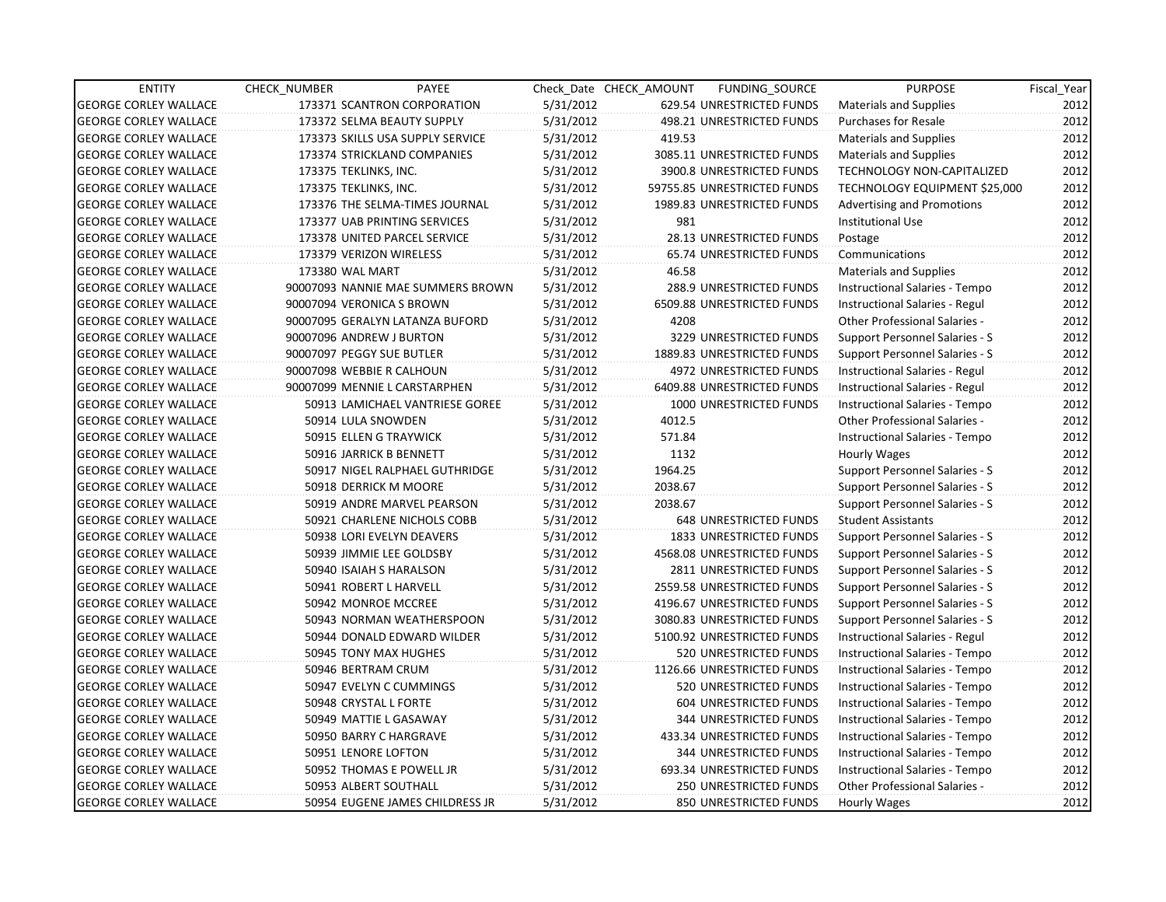| <b>ENTITY</b>                | CHECK NUMBER              | PAYEE                             |           | Check Date CHECK AMOUNT | FUNDING_SOURCE                | <b>PURPOSE</b>                        | Fiscal Year |
|------------------------------|---------------------------|-----------------------------------|-----------|-------------------------|-------------------------------|---------------------------------------|-------------|
| <b>GEORGE CORLEY WALLACE</b> |                           | 173371 SCANTRON CORPORATION       | 5/31/2012 |                         | 629.54 UNRESTRICTED FUNDS     | <b>Materials and Supplies</b>         | 2012        |
| <b>GEORGE CORLEY WALLACE</b> |                           | 173372 SELMA BEAUTY SUPPLY        | 5/31/2012 |                         | 498.21 UNRESTRICTED FUNDS     | <b>Purchases for Resale</b>           | 2012        |
| <b>GEORGE CORLEY WALLACE</b> |                           | 173373 SKILLS USA SUPPLY SERVICE  | 5/31/2012 | 419.53                  |                               | <b>Materials and Supplies</b>         | 2012        |
| <b>GEORGE CORLEY WALLACE</b> |                           | 173374 STRICKLAND COMPANIES       | 5/31/2012 |                         | 3085.11 UNRESTRICTED FUNDS    | <b>Materials and Supplies</b>         | 2012        |
| <b>GEORGE CORLEY WALLACE</b> | 173375 TEKLINKS, INC.     |                                   | 5/31/2012 |                         | 3900.8 UNRESTRICTED FUNDS     | TECHNOLOGY NON-CAPITALIZED            | 2012        |
| <b>GEORGE CORLEY WALLACE</b> | 173375 TEKLINKS, INC.     |                                   | 5/31/2012 |                         | 59755.85 UNRESTRICTED FUNDS   | TECHNOLOGY EQUIPMENT \$25,000         | 2012        |
| <b>GEORGE CORLEY WALLACE</b> |                           | 173376 THE SELMA-TIMES JOURNAL    | 5/31/2012 |                         | 1989.83 UNRESTRICTED FUNDS    | Advertising and Promotions            | 2012        |
| <b>GEORGE CORLEY WALLACE</b> |                           | 173377 UAB PRINTING SERVICES      | 5/31/2012 | 981                     |                               | <b>Institutional Use</b>              | 2012        |
| <b>GEORGE CORLEY WALLACE</b> |                           | 173378 UNITED PARCEL SERVICE      | 5/31/2012 |                         | 28.13 UNRESTRICTED FUNDS      | Postage                               | 2012        |
| <b>GEORGE CORLEY WALLACE</b> | 173379 VERIZON WIRELESS   |                                   | 5/31/2012 |                         | 65.74 UNRESTRICTED FUNDS      | Communications                        | 2012        |
| <b>GEORGE CORLEY WALLACE</b> | 173380 WAL MART           |                                   | 5/31/2012 | 46.58                   |                               | <b>Materials and Supplies</b>         | 2012        |
| <b>GEORGE CORLEY WALLACE</b> |                           | 90007093 NANNIE MAE SUMMERS BROWN | 5/31/2012 |                         | 288.9 UNRESTRICTED FUNDS      | Instructional Salaries - Tempo        | 2012        |
| <b>GEORGE CORLEY WALLACE</b> | 90007094 VERONICA S BROWN |                                   | 5/31/2012 |                         | 6509.88 UNRESTRICTED FUNDS    | Instructional Salaries - Regul        | 2012        |
| <b>GEORGE CORLEY WALLACE</b> |                           | 90007095 GERALYN LATANZA BUFORD   | 5/31/2012 | 4208                    |                               | Other Professional Salaries -         | 2012        |
| <b>GEORGE CORLEY WALLACE</b> | 90007096 ANDREW J BURTON  |                                   | 5/31/2012 |                         | 3229 UNRESTRICTED FUNDS       | Support Personnel Salaries - S        | 2012        |
| <b>GEORGE CORLEY WALLACE</b> | 90007097 PEGGY SUE BUTLER |                                   | 5/31/2012 |                         | 1889.83 UNRESTRICTED FUNDS    | Support Personnel Salaries - S        | 2012        |
| <b>GEORGE CORLEY WALLACE</b> | 90007098 WEBBIE R CALHOUN |                                   | 5/31/2012 |                         | 4972 UNRESTRICTED FUNDS       | Instructional Salaries - Regul        | 2012        |
| <b>GEORGE CORLEY WALLACE</b> |                           | 90007099 MENNIE L CARSTARPHEN     | 5/31/2012 |                         | 6409.88 UNRESTRICTED FUNDS    | Instructional Salaries - Regul        | 2012        |
| <b>GEORGE CORLEY WALLACE</b> |                           | 50913 LAMICHAEL VANTRIESE GOREE   | 5/31/2012 |                         | 1000 UNRESTRICTED FUNDS       | Instructional Salaries - Tempo        | 2012        |
| <b>GEORGE CORLEY WALLACE</b> | 50914 LULA SNOWDEN        |                                   | 5/31/2012 | 4012.5                  |                               | <b>Other Professional Salaries -</b>  | 2012        |
| <b>GEORGE CORLEY WALLACE</b> |                           | 50915 ELLEN G TRAYWICK            | 5/31/2012 | 571.84                  |                               | <b>Instructional Salaries - Tempo</b> | 2012        |
| <b>GEORGE CORLEY WALLACE</b> |                           | 50916 JARRICK B BENNETT           | 5/31/2012 | 1132                    |                               | Hourly Wages                          | 2012        |
| <b>GEORGE CORLEY WALLACE</b> |                           | 50917 NIGEL RALPHAEL GUTHRIDGE    | 5/31/2012 | 1964.25                 |                               | Support Personnel Salaries - S        | 2012        |
| <b>GEORGE CORLEY WALLACE</b> |                           | 50918 DERRICK M MOORE             | 5/31/2012 | 2038.67                 |                               | Support Personnel Salaries - S        | 2012        |
| <b>GEORGE CORLEY WALLACE</b> |                           | 50919 ANDRE MARVEL PEARSON        | 5/31/2012 | 2038.67                 |                               | Support Personnel Salaries - S        | 2012        |
| <b>GEORGE CORLEY WALLACE</b> |                           | 50921 CHARLENE NICHOLS COBB       | 5/31/2012 |                         | 648 UNRESTRICTED FUNDS        | <b>Student Assistants</b>             | 2012        |
| <b>GEORGE CORLEY WALLACE</b> |                           | 50938 LORI EVELYN DEAVERS         | 5/31/2012 |                         | 1833 UNRESTRICTED FUNDS       | Support Personnel Salaries - S        | 2012        |
| <b>GEORGE CORLEY WALLACE</b> |                           | 50939 JIMMIE LEE GOLDSBY          | 5/31/2012 |                         | 4568.08 UNRESTRICTED FUNDS    | Support Personnel Salaries - S        | 2012        |
| <b>GEORGE CORLEY WALLACE</b> |                           | 50940 ISAIAH S HARALSON           | 5/31/2012 |                         | 2811 UNRESTRICTED FUNDS       | Support Personnel Salaries - S        | 2012        |
| <b>GEORGE CORLEY WALLACE</b> |                           | 50941 ROBERT L HARVELL            | 5/31/2012 |                         | 2559.58 UNRESTRICTED FUNDS    | Support Personnel Salaries - S        | 2012        |
| <b>GEORGE CORLEY WALLACE</b> |                           | 50942 MONROE MCCREE               | 5/31/2012 |                         | 4196.67 UNRESTRICTED FUNDS    | Support Personnel Salaries - S        | 2012        |
| <b>GEORGE CORLEY WALLACE</b> |                           | 50943 NORMAN WEATHERSPOON         | 5/31/2012 |                         | 3080.83 UNRESTRICTED FUNDS    | Support Personnel Salaries - S        | 2012        |
| <b>GEORGE CORLEY WALLACE</b> |                           | 50944 DONALD EDWARD WILDER        | 5/31/2012 |                         | 5100.92 UNRESTRICTED FUNDS    | Instructional Salaries - Regul        | 2012        |
| <b>GEORGE CORLEY WALLACE</b> |                           | 50945 TONY MAX HUGHES             | 5/31/2012 |                         | 520 UNRESTRICTED FUNDS        | Instructional Salaries - Tempo        | 2012        |
| <b>GEORGE CORLEY WALLACE</b> | 50946 BERTRAM CRUM        |                                   | 5/31/2012 |                         | 1126.66 UNRESTRICTED FUNDS    | Instructional Salaries - Tempo        | 2012        |
| <b>GEORGE CORLEY WALLACE</b> |                           | 50947 EVELYN C CUMMINGS           | 5/31/2012 |                         | 520 UNRESTRICTED FUNDS        | Instructional Salaries - Tempo        | 2012        |
| <b>GEORGE CORLEY WALLACE</b> | 50948 CRYSTAL L FORTE     |                                   | 5/31/2012 |                         | 604 UNRESTRICTED FUNDS        | Instructional Salaries - Tempo        | 2012        |
| <b>GEORGE CORLEY WALLACE</b> |                           | 50949 MATTIE L GASAWAY            | 5/31/2012 |                         | <b>344 UNRESTRICTED FUNDS</b> | Instructional Salaries - Tempo        | 2012        |
| <b>GEORGE CORLEY WALLACE</b> |                           | 50950 BARRY C HARGRAVE            | 5/31/2012 |                         | 433.34 UNRESTRICTED FUNDS     | Instructional Salaries - Tempo        | 2012        |
| <b>GEORGE CORLEY WALLACE</b> | 50951 LENORE LOFTON       |                                   | 5/31/2012 |                         | 344 UNRESTRICTED FUNDS        | Instructional Salaries - Tempo        | 2012        |
| <b>GEORGE CORLEY WALLACE</b> |                           | 50952 THOMAS E POWELL JR          | 5/31/2012 |                         | 693.34 UNRESTRICTED FUNDS     | Instructional Salaries - Tempo        | 2012        |
| <b>GEORGE CORLEY WALLACE</b> |                           | 50953 ALBERT SOUTHALL             | 5/31/2012 |                         | 250 UNRESTRICTED FUNDS        | <b>Other Professional Salaries -</b>  | 2012        |
| <b>GEORGE CORLEY WALLACE</b> |                           | 50954 EUGENE JAMES CHILDRESS JR   | 5/31/2012 |                         | 850 UNRESTRICTED FUNDS        | Hourly Wages                          | 2012        |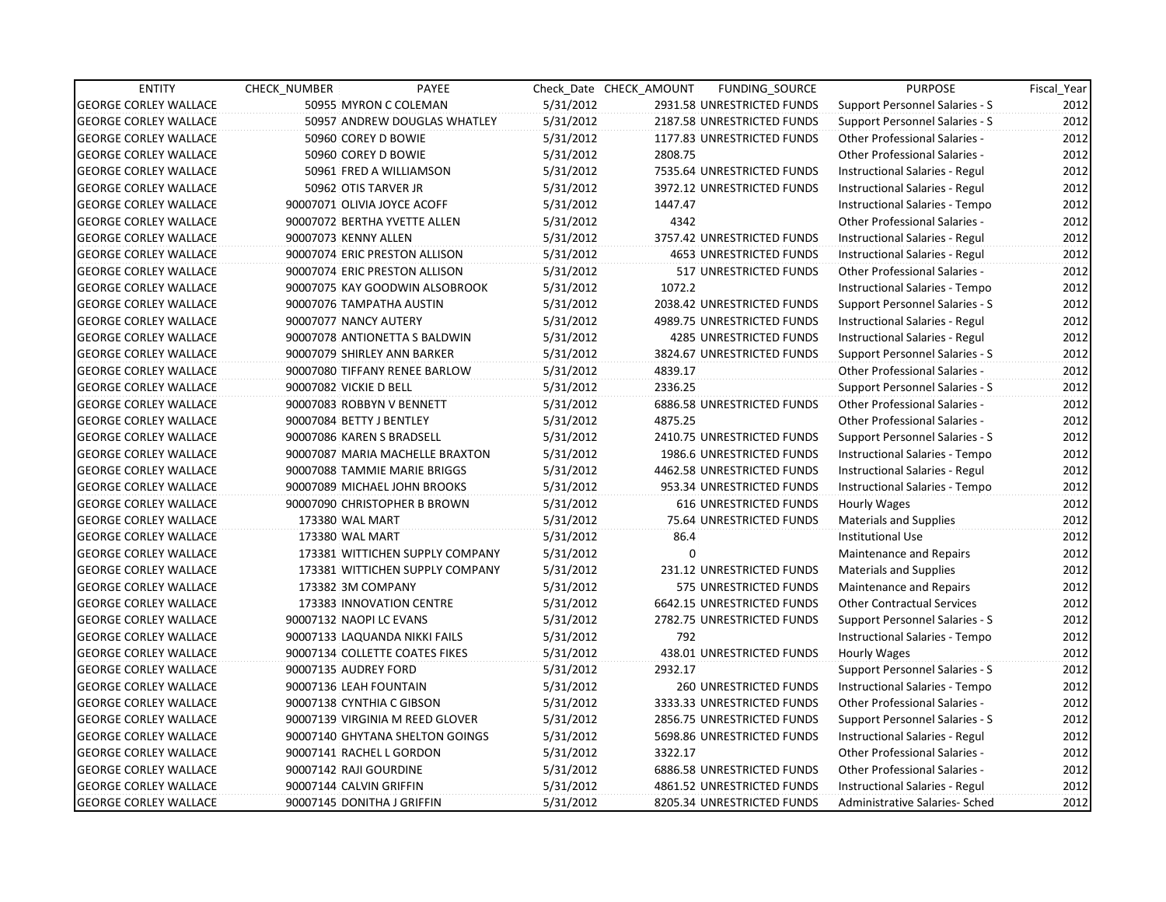| <b>ENTITY</b>                | CHECK_NUMBER               | PAYEE                           |           | Check Date CHECK AMOUNT | FUNDING_SOURCE                | <b>PURPOSE</b>                        | Fiscal_Year |
|------------------------------|----------------------------|---------------------------------|-----------|-------------------------|-------------------------------|---------------------------------------|-------------|
| <b>GEORGE CORLEY WALLACE</b> |                            | 50955 MYRON C COLEMAN           | 5/31/2012 |                         | 2931.58 UNRESTRICTED FUNDS    | Support Personnel Salaries - S        | 2012        |
| <b>GEORGE CORLEY WALLACE</b> |                            | 50957 ANDREW DOUGLAS WHATLEY    | 5/31/2012 |                         | 2187.58 UNRESTRICTED FUNDS    | Support Personnel Salaries - S        | 2012        |
| <b>GEORGE CORLEY WALLACE</b> | 50960 COREY D BOWIE        |                                 | 5/31/2012 |                         | 1177.83 UNRESTRICTED FUNDS    | Other Professional Salaries -         | 2012        |
| <b>GEORGE CORLEY WALLACE</b> | 50960 COREY D BOWIE        |                                 | 5/31/2012 | 2808.75                 |                               | <b>Other Professional Salaries -</b>  | 2012        |
| <b>GEORGE CORLEY WALLACE</b> |                            | 50961 FRED A WILLIAMSON         | 5/31/2012 |                         | 7535.64 UNRESTRICTED FUNDS    | Instructional Salaries - Regul        | 2012        |
| <b>GEORGE CORLEY WALLACE</b> | 50962 OTIS TARVER JR       |                                 | 5/31/2012 |                         | 3972.12 UNRESTRICTED FUNDS    | Instructional Salaries - Regul        | 2012        |
| <b>GEORGE CORLEY WALLACE</b> |                            | 90007071 OLIVIA JOYCE ACOFF     | 5/31/2012 | 1447.47                 |                               | Instructional Salaries - Tempo        | 2012        |
| <b>GEORGE CORLEY WALLACE</b> |                            | 90007072 BERTHA YVETTE ALLEN    | 5/31/2012 | 4342                    |                               | Other Professional Salaries -         | 2012        |
| <b>GEORGE CORLEY WALLACE</b> | 90007073 KENNY ALLEN       |                                 | 5/31/2012 |                         | 3757.42 UNRESTRICTED FUNDS    | Instructional Salaries - Regul        | 2012        |
| <b>GEORGE CORLEY WALLACE</b> |                            | 90007074 ERIC PRESTON ALLISON   | 5/31/2012 |                         | 4653 UNRESTRICTED FUNDS       | Instructional Salaries - Regul        | 2012        |
| <b>GEORGE CORLEY WALLACE</b> |                            | 90007074 ERIC PRESTON ALLISON   | 5/31/2012 |                         | 517 UNRESTRICTED FUNDS        | Other Professional Salaries -         | 2012        |
| <b>GEORGE CORLEY WALLACE</b> |                            | 90007075 KAY GOODWIN ALSOBROOK  | 5/31/2012 | 1072.2                  |                               | Instructional Salaries - Tempo        | 2012        |
| <b>GEORGE CORLEY WALLACE</b> | 90007076 TAMPATHA AUSTIN   |                                 | 5/31/2012 |                         | 2038.42 UNRESTRICTED FUNDS    | Support Personnel Salaries - S        | 2012        |
| <b>GEORGE CORLEY WALLACE</b> | 90007077 NANCY AUTERY      |                                 | 5/31/2012 |                         | 4989.75 UNRESTRICTED FUNDS    | Instructional Salaries - Regul        | 2012        |
| <b>GEORGE CORLEY WALLACE</b> |                            | 90007078 ANTIONETTA S BALDWIN   | 5/31/2012 |                         | 4285 UNRESTRICTED FUNDS       | Instructional Salaries - Regul        | 2012        |
| <b>GEORGE CORLEY WALLACE</b> |                            | 90007079 SHIRLEY ANN BARKER     | 5/31/2012 |                         | 3824.67 UNRESTRICTED FUNDS    | Support Personnel Salaries - S        | 2012        |
| <b>GEORGE CORLEY WALLACE</b> |                            | 90007080 TIFFANY RENEE BARLOW   | 5/31/2012 | 4839.17                 |                               | Other Professional Salaries -         | 2012        |
| <b>GEORGE CORLEY WALLACE</b> | 90007082 VICKIE D BELL     |                                 | 5/31/2012 | 2336.25                 |                               | Support Personnel Salaries - S        | 2012        |
| <b>GEORGE CORLEY WALLACE</b> | 90007083 ROBBYN V BENNETT  |                                 | 5/31/2012 |                         | 6886.58 UNRESTRICTED FUNDS    | <b>Other Professional Salaries -</b>  | 2012        |
| <b>GEORGE CORLEY WALLACE</b> | 90007084 BETTY J BENTLEY   |                                 | 5/31/2012 | 4875.25                 |                               | <b>Other Professional Salaries -</b>  | 2012        |
| <b>GEORGE CORLEY WALLACE</b> | 90007086 KAREN S BRADSELL  |                                 | 5/31/2012 |                         | 2410.75 UNRESTRICTED FUNDS    | Support Personnel Salaries - S        | 2012        |
| <b>GEORGE CORLEY WALLACE</b> |                            | 90007087 MARIA MACHELLE BRAXTON | 5/31/2012 |                         | 1986.6 UNRESTRICTED FUNDS     | Instructional Salaries - Tempo        | 2012        |
| <b>GEORGE CORLEY WALLACE</b> |                            | 90007088 TAMMIE MARIE BRIGGS    | 5/31/2012 |                         | 4462.58 UNRESTRICTED FUNDS    | Instructional Salaries - Regul        | 2012        |
| <b>GEORGE CORLEY WALLACE</b> |                            | 90007089 MICHAEL JOHN BROOKS    | 5/31/2012 |                         | 953.34 UNRESTRICTED FUNDS     | Instructional Salaries - Tempo        | 2012        |
| <b>GEORGE CORLEY WALLACE</b> |                            | 90007090 CHRISTOPHER B BROWN    | 5/31/2012 |                         | <b>616 UNRESTRICTED FUNDS</b> | Hourly Wages                          | 2012        |
| <b>GEORGE CORLEY WALLACE</b> | 173380 WAL MART            |                                 | 5/31/2012 |                         | 75.64 UNRESTRICTED FUNDS      | <b>Materials and Supplies</b>         | 2012        |
| <b>GEORGE CORLEY WALLACE</b> | 173380 WAL MART            |                                 | 5/31/2012 | 86.4                    |                               | <b>Institutional Use</b>              | 2012        |
| <b>GEORGE CORLEY WALLACE</b> |                            | 173381 WITTICHEN SUPPLY COMPANY | 5/31/2012 | $\mathbf 0$             |                               | Maintenance and Repairs               | 2012        |
| <b>GEORGE CORLEY WALLACE</b> |                            | 173381 WITTICHEN SUPPLY COMPANY | 5/31/2012 |                         | 231.12 UNRESTRICTED FUNDS     | <b>Materials and Supplies</b>         | 2012        |
| <b>GEORGE CORLEY WALLACE</b> | 173382 3M COMPANY          |                                 | 5/31/2012 |                         | 575 UNRESTRICTED FUNDS        | Maintenance and Repairs               | 2012        |
| <b>GEORGE CORLEY WALLACE</b> |                            | 173383 INNOVATION CENTRE        | 5/31/2012 |                         | 6642.15 UNRESTRICTED FUNDS    | <b>Other Contractual Services</b>     | 2012        |
| <b>GEORGE CORLEY WALLACE</b> | 90007132 NAOPI LC EVANS    |                                 | 5/31/2012 |                         | 2782.75 UNRESTRICTED FUNDS    | Support Personnel Salaries - S        | 2012        |
| <b>GEORGE CORLEY WALLACE</b> |                            | 90007133 LAQUANDA NIKKI FAILS   | 5/31/2012 | 792                     |                               | Instructional Salaries - Tempo        | 2012        |
| <b>GEORGE CORLEY WALLACE</b> |                            | 90007134 COLLETTE COATES FIKES  | 5/31/2012 |                         | 438.01 UNRESTRICTED FUNDS     | Hourly Wages                          | 2012        |
| <b>GEORGE CORLEY WALLACE</b> | 90007135 AUDREY FORD       |                                 | 5/31/2012 | 2932.17                 |                               | Support Personnel Salaries - S        | 2012        |
| <b>GEORGE CORLEY WALLACE</b> | 90007136 LEAH FOUNTAIN     |                                 | 5/31/2012 |                         | <b>260 UNRESTRICTED FUNDS</b> | Instructional Salaries - Tempo        | 2012        |
| <b>GEORGE CORLEY WALLACE</b> | 90007138 CYNTHIA C GIBSON  |                                 | 5/31/2012 |                         | 3333.33 UNRESTRICTED FUNDS    | Other Professional Salaries -         | 2012        |
| <b>GEORGE CORLEY WALLACE</b> |                            | 90007139 VIRGINIA M REED GLOVER | 5/31/2012 |                         | 2856.75 UNRESTRICTED FUNDS    | <b>Support Personnel Salaries - S</b> | 2012        |
| <b>GEORGE CORLEY WALLACE</b> |                            | 90007140 GHYTANA SHELTON GOINGS | 5/31/2012 |                         | 5698.86 UNRESTRICTED FUNDS    | Instructional Salaries - Regul        | 2012        |
| <b>GEORGE CORLEY WALLACE</b> | 90007141 RACHEL L GORDON   |                                 | 5/31/2012 | 3322.17                 |                               | Other Professional Salaries -         | 2012        |
| <b>GEORGE CORLEY WALLACE</b> | 90007142 RAJI GOURDINE     |                                 | 5/31/2012 |                         | 6886.58 UNRESTRICTED FUNDS    | Other Professional Salaries -         | 2012        |
| <b>GEORGE CORLEY WALLACE</b> | 90007144 CALVIN GRIFFIN    |                                 | 5/31/2012 |                         | 4861.52 UNRESTRICTED FUNDS    | Instructional Salaries - Regul        | 2012        |
| <b>GEORGE CORLEY WALLACE</b> | 90007145 DONITHA J GRIFFIN |                                 | 5/31/2012 |                         | 8205.34 UNRESTRICTED FUNDS    | Administrative Salaries- Sched        | 2012        |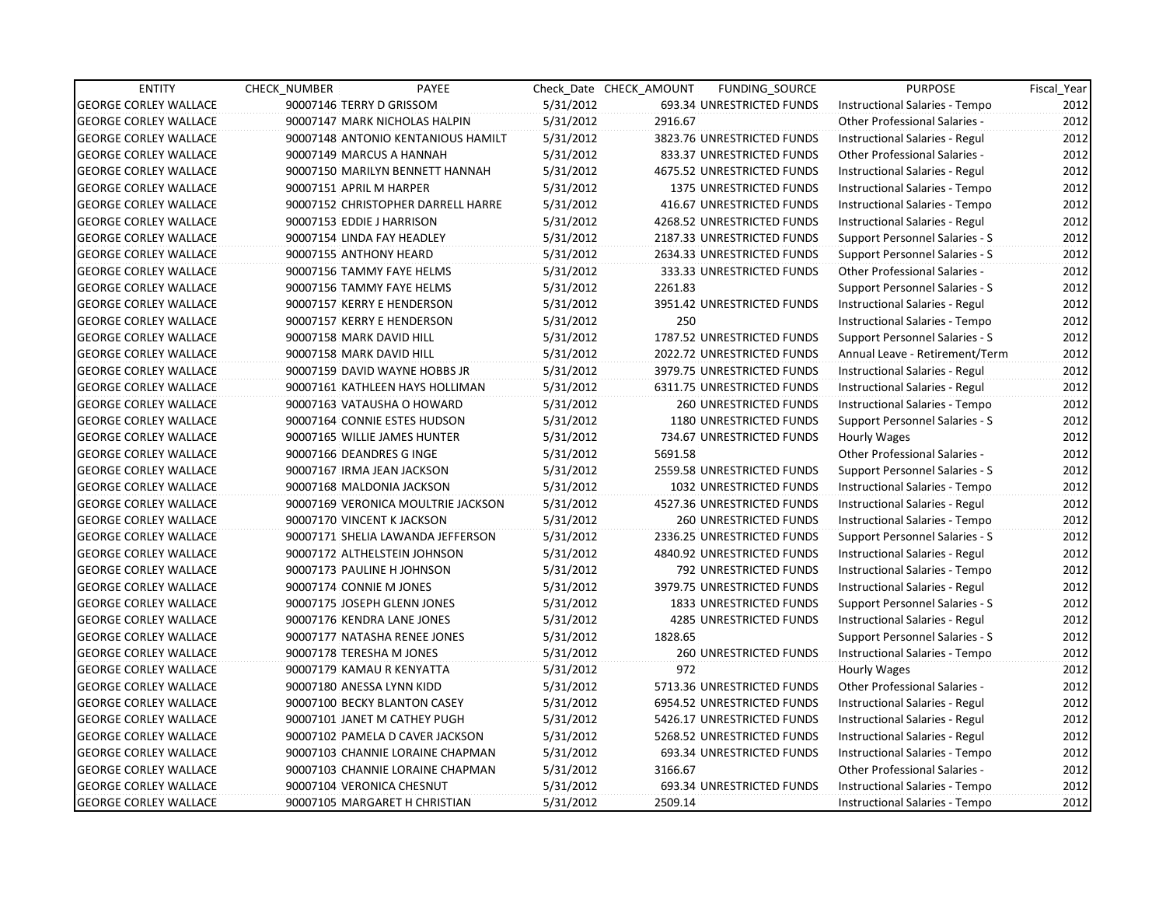| <b>ENTITY</b>                | <b>CHECK NUMBER</b> | PAYEE                              |           | Check Date CHECK AMOUNT | FUNDING_SOURCE                | <b>PURPOSE</b>                       | Fiscal_Year |
|------------------------------|---------------------|------------------------------------|-----------|-------------------------|-------------------------------|--------------------------------------|-------------|
| <b>GEORGE CORLEY WALLACE</b> |                     | 90007146 TERRY D GRISSOM           | 5/31/2012 |                         | 693.34 UNRESTRICTED FUNDS     | Instructional Salaries - Tempo       | 2012        |
| <b>GEORGE CORLEY WALLACE</b> |                     | 90007147 MARK NICHOLAS HALPIN      | 5/31/2012 | 2916.67                 |                               | Other Professional Salaries -        | 2012        |
| <b>GEORGE CORLEY WALLACE</b> |                     | 90007148 ANTONIO KENTANIOUS HAMILT | 5/31/2012 |                         | 3823.76 UNRESTRICTED FUNDS    | Instructional Salaries - Regul       | 2012        |
| <b>GEORGE CORLEY WALLACE</b> |                     | 90007149 MARCUS A HANNAH           | 5/31/2012 |                         | 833.37 UNRESTRICTED FUNDS     | <b>Other Professional Salaries -</b> | 2012        |
| <b>GEORGE CORLEY WALLACE</b> |                     | 90007150 MARILYN BENNETT HANNAH    | 5/31/2012 |                         | 4675.52 UNRESTRICTED FUNDS    | Instructional Salaries - Regul       | 2012        |
| <b>GEORGE CORLEY WALLACE</b> |                     | 90007151 APRIL M HARPER            | 5/31/2012 |                         | 1375 UNRESTRICTED FUNDS       | Instructional Salaries - Tempo       | 2012        |
| <b>GEORGE CORLEY WALLACE</b> |                     | 90007152 CHRISTOPHER DARRELL HARRE | 5/31/2012 |                         | 416.67 UNRESTRICTED FUNDS     | Instructional Salaries - Tempo       | 2012        |
| <b>GEORGE CORLEY WALLACE</b> |                     | 90007153 EDDIE J HARRISON          | 5/31/2012 |                         | 4268.52 UNRESTRICTED FUNDS    | Instructional Salaries - Regul       | 2012        |
| <b>GEORGE CORLEY WALLACE</b> |                     | 90007154 LINDA FAY HEADLEY         | 5/31/2012 |                         | 2187.33 UNRESTRICTED FUNDS    | Support Personnel Salaries - S       | 2012        |
| <b>GEORGE CORLEY WALLACE</b> |                     | 90007155 ANTHONY HEARD             | 5/31/2012 |                         | 2634.33 UNRESTRICTED FUNDS    | Support Personnel Salaries - S       | 2012        |
| <b>GEORGE CORLEY WALLACE</b> |                     | 90007156 TAMMY FAYE HELMS          | 5/31/2012 |                         | 333.33 UNRESTRICTED FUNDS     | Other Professional Salaries -        | 2012        |
| <b>GEORGE CORLEY WALLACE</b> |                     | 90007156 TAMMY FAYE HELMS          | 5/31/2012 | 2261.83                 |                               | Support Personnel Salaries - S       | 2012        |
| <b>GEORGE CORLEY WALLACE</b> |                     | 90007157 KERRY E HENDERSON         | 5/31/2012 |                         | 3951.42 UNRESTRICTED FUNDS    | Instructional Salaries - Regul       | 2012        |
| <b>GEORGE CORLEY WALLACE</b> |                     | 90007157 KERRY E HENDERSON         | 5/31/2012 | 250                     |                               | Instructional Salaries - Tempo       | 2012        |
| <b>GEORGE CORLEY WALLACE</b> |                     | 90007158 MARK DAVID HILL           | 5/31/2012 |                         | 1787.52 UNRESTRICTED FUNDS    | Support Personnel Salaries - S       | 2012        |
| <b>GEORGE CORLEY WALLACE</b> |                     | 90007158 MARK DAVID HILL           | 5/31/2012 |                         | 2022.72 UNRESTRICTED FUNDS    | Annual Leave - Retirement/Term       | 2012        |
| <b>GEORGE CORLEY WALLACE</b> |                     | 90007159 DAVID WAYNE HOBBS JR      | 5/31/2012 |                         | 3979.75 UNRESTRICTED FUNDS    | Instructional Salaries - Regul       | 2012        |
| <b>GEORGE CORLEY WALLACE</b> |                     | 90007161 KATHLEEN HAYS HOLLIMAN    | 5/31/2012 |                         | 6311.75 UNRESTRICTED FUNDS    | Instructional Salaries - Regul       | 2012        |
| <b>GEORGE CORLEY WALLACE</b> |                     | 90007163 VATAUSHA O HOWARD         | 5/31/2012 |                         | 260 UNRESTRICTED FUNDS        | Instructional Salaries - Tempo       | 2012        |
| <b>GEORGE CORLEY WALLACE</b> |                     | 90007164 CONNIE ESTES HUDSON       | 5/31/2012 |                         | 1180 UNRESTRICTED FUNDS       | Support Personnel Salaries - S       | 2012        |
| <b>GEORGE CORLEY WALLACE</b> |                     | 90007165 WILLIE JAMES HUNTER       | 5/31/2012 |                         | 734.67 UNRESTRICTED FUNDS     | Hourly Wages                         | 2012        |
| <b>GEORGE CORLEY WALLACE</b> |                     | 90007166 DEANDRES G INGE           | 5/31/2012 | 5691.58                 |                               | Other Professional Salaries -        | 2012        |
| <b>GEORGE CORLEY WALLACE</b> |                     | 90007167 IRMA JEAN JACKSON         | 5/31/2012 |                         | 2559.58 UNRESTRICTED FUNDS    | Support Personnel Salaries - S       | 2012        |
| <b>GEORGE CORLEY WALLACE</b> |                     | 90007168 MALDONIA JACKSON          | 5/31/2012 |                         | 1032 UNRESTRICTED FUNDS       | Instructional Salaries - Tempo       | 2012        |
| <b>GEORGE CORLEY WALLACE</b> |                     | 90007169 VERONICA MOULTRIE JACKSON | 5/31/2012 |                         | 4527.36 UNRESTRICTED FUNDS    | Instructional Salaries - Regul       | 2012        |
| <b>GEORGE CORLEY WALLACE</b> |                     | 90007170 VINCENT K JACKSON         | 5/31/2012 |                         | <b>260 UNRESTRICTED FUNDS</b> | Instructional Salaries - Tempo       | 2012        |
| <b>GEORGE CORLEY WALLACE</b> |                     | 90007171 SHELIA LAWANDA JEFFERSON  | 5/31/2012 |                         | 2336.25 UNRESTRICTED FUNDS    | Support Personnel Salaries - S       | 2012        |
| <b>GEORGE CORLEY WALLACE</b> |                     | 90007172 ALTHELSTEIN JOHNSON       | 5/31/2012 |                         | 4840.92 UNRESTRICTED FUNDS    | Instructional Salaries - Regul       | 2012        |
| <b>GEORGE CORLEY WALLACE</b> |                     | 90007173 PAULINE H JOHNSON         | 5/31/2012 |                         | 792 UNRESTRICTED FUNDS        | Instructional Salaries - Tempo       | 2012        |
| <b>GEORGE CORLEY WALLACE</b> |                     | 90007174 CONNIE M JONES            | 5/31/2012 |                         | 3979.75 UNRESTRICTED FUNDS    | Instructional Salaries - Regul       | 2012        |
| <b>GEORGE CORLEY WALLACE</b> |                     | 90007175 JOSEPH GLENN JONES        | 5/31/2012 |                         | 1833 UNRESTRICTED FUNDS       | Support Personnel Salaries - S       | 2012        |
| <b>GEORGE CORLEY WALLACE</b> |                     | 90007176 KENDRA LANE JONES         | 5/31/2012 |                         | 4285 UNRESTRICTED FUNDS       | Instructional Salaries - Regul       | 2012        |
| <b>GEORGE CORLEY WALLACE</b> |                     | 90007177 NATASHA RENEE JONES       | 5/31/2012 | 1828.65                 |                               | Support Personnel Salaries - S       | 2012        |
| <b>GEORGE CORLEY WALLACE</b> |                     | 90007178 TERESHA M JONES           | 5/31/2012 |                         | <b>260 UNRESTRICTED FUNDS</b> | Instructional Salaries - Tempo       | 2012        |
| <b>GEORGE CORLEY WALLACE</b> |                     | 90007179 KAMAU R KENYATTA          | 5/31/2012 | 972                     |                               | Hourly Wages                         | 2012        |
| <b>GEORGE CORLEY WALLACE</b> |                     | 90007180 ANESSA LYNN KIDD          | 5/31/2012 |                         | 5713.36 UNRESTRICTED FUNDS    | Other Professional Salaries -        | 2012        |
| <b>GEORGE CORLEY WALLACE</b> |                     | 90007100 BECKY BLANTON CASEY       | 5/31/2012 |                         | 6954.52 UNRESTRICTED FUNDS    | Instructional Salaries - Regul       | 2012        |
| <b>GEORGE CORLEY WALLACE</b> |                     | 90007101 JANET M CATHEY PUGH       | 5/31/2012 |                         | 5426.17 UNRESTRICTED FUNDS    | Instructional Salaries - Regul       | 2012        |
| <b>GEORGE CORLEY WALLACE</b> |                     | 90007102 PAMELA D CAVER JACKSON    | 5/31/2012 |                         | 5268.52 UNRESTRICTED FUNDS    | Instructional Salaries - Regul       | 2012        |
| <b>GEORGE CORLEY WALLACE</b> |                     | 90007103 CHANNIE LORAINE CHAPMAN   | 5/31/2012 |                         | 693.34 UNRESTRICTED FUNDS     | Instructional Salaries - Tempo       | 2012        |
| <b>GEORGE CORLEY WALLACE</b> |                     | 90007103 CHANNIE LORAINE CHAPMAN   | 5/31/2012 | 3166.67                 |                               | Other Professional Salaries -        | 2012        |
| <b>GEORGE CORLEY WALLACE</b> |                     | 90007104 VERONICA CHESNUT          | 5/31/2012 |                         | 693.34 UNRESTRICTED FUNDS     | Instructional Salaries - Tempo       | 2012        |
| <b>GEORGE CORLEY WALLACE</b> |                     | 90007105 MARGARET H CHRISTIAN      | 5/31/2012 | 2509.14                 |                               | Instructional Salaries - Tempo       | 2012        |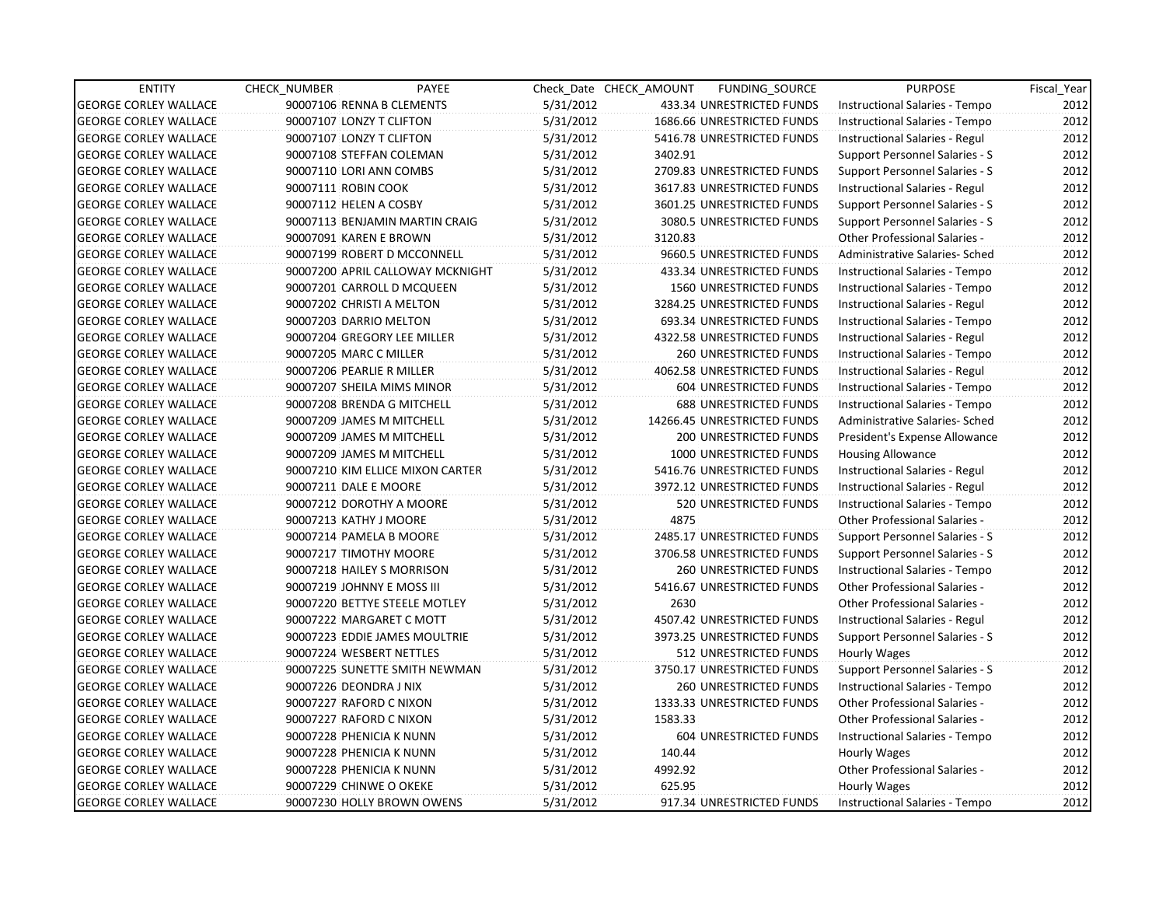| <b>ENTITY</b>                | <b>CHECK NUMBER</b>            | PAYEE                            |           | Check Date CHECK AMOUNT | FUNDING_SOURCE                 | <b>PURPOSE</b>                        | Fiscal Year |
|------------------------------|--------------------------------|----------------------------------|-----------|-------------------------|--------------------------------|---------------------------------------|-------------|
| <b>GEORGE CORLEY WALLACE</b> | 90007106 RENNA B CLEMENTS      |                                  | 5/31/2012 |                         | 433.34 UNRESTRICTED FUNDS      | Instructional Salaries - Tempo        | 2012        |
| <b>GEORGE CORLEY WALLACE</b> | 90007107 LONZY T CLIFTON       |                                  | 5/31/2012 |                         | 1686.66 UNRESTRICTED FUNDS     | Instructional Salaries - Tempo        | 2012        |
| <b>GEORGE CORLEY WALLACE</b> | 90007107 LONZY T CLIFTON       |                                  | 5/31/2012 |                         | 5416.78 UNRESTRICTED FUNDS     | Instructional Salaries - Regul        | 2012        |
| <b>GEORGE CORLEY WALLACE</b> | 90007108 STEFFAN COLEMAN       |                                  | 5/31/2012 | 3402.91                 |                                | Support Personnel Salaries - S        | 2012        |
| <b>GEORGE CORLEY WALLACE</b> | 90007110 LORI ANN COMBS        |                                  | 5/31/2012 |                         | 2709.83 UNRESTRICTED FUNDS     | Support Personnel Salaries - S        | 2012        |
| <b>GEORGE CORLEY WALLACE</b> | 90007111 ROBIN COOK            |                                  | 5/31/2012 |                         | 3617.83 UNRESTRICTED FUNDS     | Instructional Salaries - Regul        | 2012        |
| <b>GEORGE CORLEY WALLACE</b> | 90007112 HELEN A COSBY         |                                  | 5/31/2012 |                         | 3601.25 UNRESTRICTED FUNDS     | Support Personnel Salaries - S        | 2012        |
| <b>GEORGE CORLEY WALLACE</b> | 90007113 BENJAMIN MARTIN CRAIG |                                  | 5/31/2012 |                         | 3080.5 UNRESTRICTED FUNDS      | Support Personnel Salaries - S        | 2012        |
| <b>GEORGE CORLEY WALLACE</b> | 90007091 KAREN E BROWN         |                                  | 5/31/2012 | 3120.83                 |                                | <b>Other Professional Salaries -</b>  | 2012        |
| <b>GEORGE CORLEY WALLACE</b> | 90007199 ROBERT D MCCONNELL    |                                  | 5/31/2012 |                         | 9660.5 UNRESTRICTED FUNDS      | Administrative Salaries- Sched        | 2012        |
| <b>GEORGE CORLEY WALLACE</b> |                                | 90007200 APRIL CALLOWAY MCKNIGHT | 5/31/2012 |                         | 433.34 UNRESTRICTED FUNDS      | Instructional Salaries - Tempo        | 2012        |
| <b>GEORGE CORLEY WALLACE</b> | 90007201 CARROLL D MCQUEEN     |                                  | 5/31/2012 |                         | <b>1560 UNRESTRICTED FUNDS</b> | Instructional Salaries - Tempo        | 2012        |
| <b>GEORGE CORLEY WALLACE</b> | 90007202 CHRISTI A MELTON      |                                  | 5/31/2012 |                         | 3284.25 UNRESTRICTED FUNDS     | Instructional Salaries - Regul        | 2012        |
| <b>GEORGE CORLEY WALLACE</b> | 90007203 DARRIO MELTON         |                                  | 5/31/2012 |                         | 693.34 UNRESTRICTED FUNDS      | Instructional Salaries - Tempo        | 2012        |
| <b>GEORGE CORLEY WALLACE</b> | 90007204 GREGORY LEE MILLER    |                                  | 5/31/2012 |                         | 4322.58 UNRESTRICTED FUNDS     | Instructional Salaries - Regul        | 2012        |
| <b>GEORGE CORLEY WALLACE</b> | 90007205 MARC C MILLER         |                                  | 5/31/2012 |                         | <b>260 UNRESTRICTED FUNDS</b>  | Instructional Salaries - Tempo        | 2012        |
| <b>GEORGE CORLEY WALLACE</b> | 90007206 PEARLIE R MILLER      |                                  | 5/31/2012 |                         | 4062.58 UNRESTRICTED FUNDS     | Instructional Salaries - Regul        | 2012        |
| <b>GEORGE CORLEY WALLACE</b> | 90007207 SHEILA MIMS MINOR     |                                  | 5/31/2012 |                         | 604 UNRESTRICTED FUNDS         | Instructional Salaries - Tempo        | 2012        |
| <b>GEORGE CORLEY WALLACE</b> | 90007208 BRENDA G MITCHELL     |                                  | 5/31/2012 |                         | <b>688 UNRESTRICTED FUNDS</b>  | Instructional Salaries - Tempo        | 2012        |
| <b>GEORGE CORLEY WALLACE</b> | 90007209 JAMES M MITCHELL      |                                  | 5/31/2012 |                         | 14266.45 UNRESTRICTED FUNDS    | Administrative Salaries- Sched        | 2012        |
| <b>GEORGE CORLEY WALLACE</b> | 90007209 JAMES M MITCHELL      |                                  | 5/31/2012 |                         | <b>200 UNRESTRICTED FUNDS</b>  | President's Expense Allowance         | 2012        |
| <b>GEORGE CORLEY WALLACE</b> | 90007209 JAMES M MITCHELL      |                                  | 5/31/2012 |                         | 1000 UNRESTRICTED FUNDS        | <b>Housing Allowance</b>              | 2012        |
| <b>GEORGE CORLEY WALLACE</b> |                                | 90007210 KIM ELLICE MIXON CARTER | 5/31/2012 |                         | 5416.76 UNRESTRICTED FUNDS     | <b>Instructional Salaries - Regul</b> | 2012        |
| <b>GEORGE CORLEY WALLACE</b> | 90007211 DALE E MOORE          |                                  | 5/31/2012 |                         | 3972.12 UNRESTRICTED FUNDS     | Instructional Salaries - Regul        | 2012        |
| <b>GEORGE CORLEY WALLACE</b> | 90007212 DOROTHY A MOORE       |                                  | 5/31/2012 |                         | 520 UNRESTRICTED FUNDS         | Instructional Salaries - Tempo        | 2012        |
| <b>GEORGE CORLEY WALLACE</b> | 90007213 KATHY J MOORE         |                                  | 5/31/2012 | 4875                    |                                | Other Professional Salaries -         | 2012        |
| <b>GEORGE CORLEY WALLACE</b> | 90007214 PAMELA B MOORE        |                                  | 5/31/2012 |                         | 2485.17 UNRESTRICTED FUNDS     | Support Personnel Salaries - S        | 2012        |
| <b>GEORGE CORLEY WALLACE</b> | 90007217 TIMOTHY MOORE         |                                  | 5/31/2012 |                         | 3706.58 UNRESTRICTED FUNDS     | Support Personnel Salaries - S        | 2012        |
| <b>GEORGE CORLEY WALLACE</b> | 90007218 HAILEY S MORRISON     |                                  | 5/31/2012 |                         | <b>260 UNRESTRICTED FUNDS</b>  | Instructional Salaries - Tempo        | 2012        |
| <b>GEORGE CORLEY WALLACE</b> | 90007219 JOHNNY E MOSS III     |                                  | 5/31/2012 |                         | 5416.67 UNRESTRICTED FUNDS     | Other Professional Salaries -         | 2012        |
| <b>GEORGE CORLEY WALLACE</b> | 90007220 BETTYE STEELE MOTLEY  |                                  | 5/31/2012 | 2630                    |                                | <b>Other Professional Salaries -</b>  | 2012        |
| <b>GEORGE CORLEY WALLACE</b> | 90007222 MARGARET C MOTT       |                                  | 5/31/2012 |                         | 4507.42 UNRESTRICTED FUNDS     | Instructional Salaries - Regul        | 2012        |
| <b>GEORGE CORLEY WALLACE</b> | 90007223 EDDIE JAMES MOULTRIE  |                                  | 5/31/2012 |                         | 3973.25 UNRESTRICTED FUNDS     | <b>Support Personnel Salaries - S</b> | 2012        |
| <b>GEORGE CORLEY WALLACE</b> | 90007224 WESBERT NETTLES       |                                  | 5/31/2012 |                         | 512 UNRESTRICTED FUNDS         | Hourly Wages                          | 2012        |
| <b>GEORGE CORLEY WALLACE</b> | 90007225 SUNETTE SMITH NEWMAN  |                                  | 5/31/2012 |                         | 3750.17 UNRESTRICTED FUNDS     | Support Personnel Salaries - S        | 2012        |
| <b>GEORGE CORLEY WALLACE</b> | 90007226 DEONDRA J NIX         |                                  | 5/31/2012 |                         | <b>260 UNRESTRICTED FUNDS</b>  | Instructional Salaries - Tempo        | 2012        |
| <b>GEORGE CORLEY WALLACE</b> | 90007227 RAFORD C NIXON        |                                  | 5/31/2012 |                         | 1333.33 UNRESTRICTED FUNDS     | Other Professional Salaries -         | 2012        |
| <b>GEORGE CORLEY WALLACE</b> | 90007227 RAFORD C NIXON        |                                  | 5/31/2012 | 1583.33                 |                                | <b>Other Professional Salaries -</b>  | 2012        |
| <b>GEORGE CORLEY WALLACE</b> | 90007228 PHENICIA K NUNN       |                                  | 5/31/2012 |                         | 604 UNRESTRICTED FUNDS         | Instructional Salaries - Tempo        | 2012        |
| <b>GEORGE CORLEY WALLACE</b> | 90007228 PHENICIA K NUNN       |                                  | 5/31/2012 | 140.44                  |                                | Hourly Wages                          | 2012        |
| <b>GEORGE CORLEY WALLACE</b> | 90007228 PHENICIA K NUNN       |                                  | 5/31/2012 | 4992.92                 |                                | Other Professional Salaries -         | 2012        |
| <b>GEORGE CORLEY WALLACE</b> | 90007229 CHINWE O OKEKE        |                                  | 5/31/2012 | 625.95                  |                                | Hourly Wages                          | 2012        |
| <b>GEORGE CORLEY WALLACE</b> | 90007230 HOLLY BROWN OWENS     |                                  | 5/31/2012 |                         | 917.34 UNRESTRICTED FUNDS      | Instructional Salaries - Tempo        | 2012        |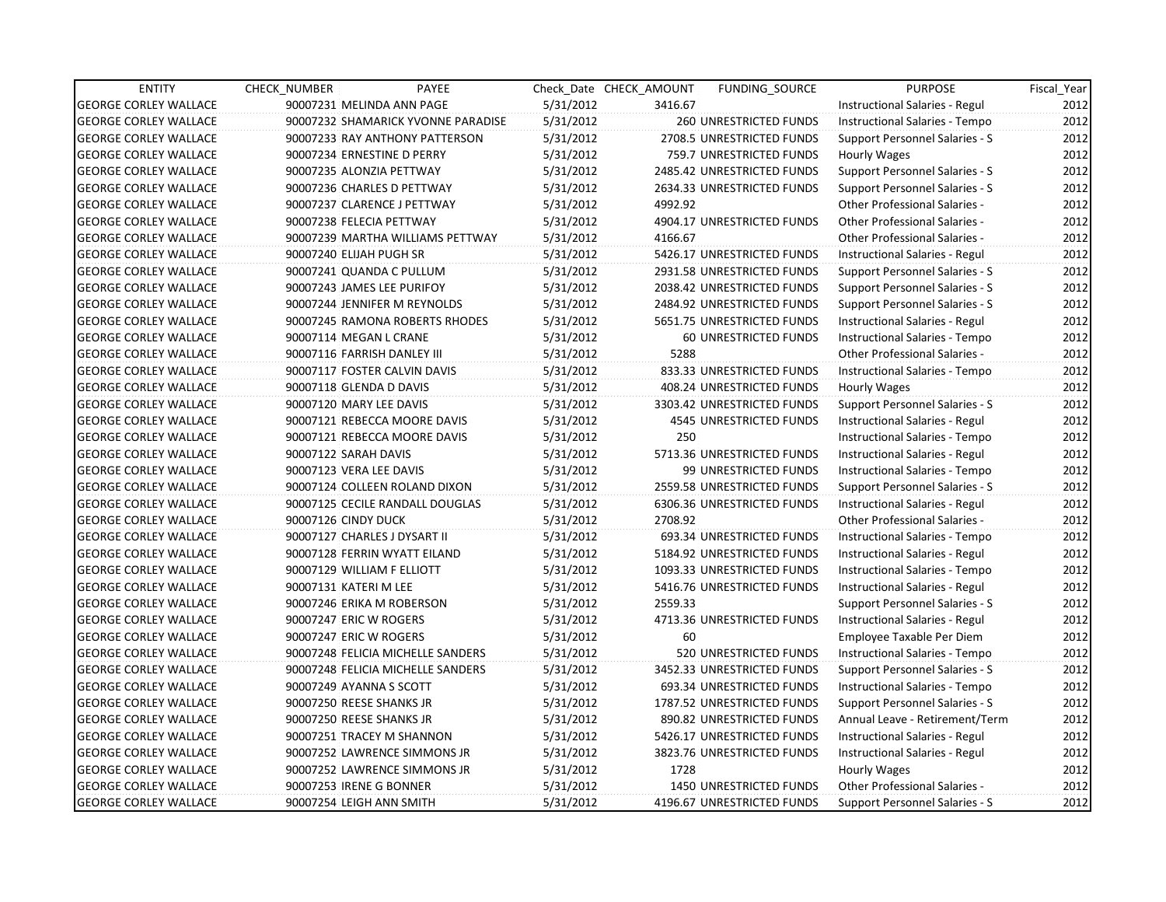| <b>ENTITY</b>                | <b>CHECK NUMBER</b>          | PAYEE                              |           | Check Date CHECK AMOUNT | <b>FUNDING SOURCE</b>          | <b>PURPOSE</b>                        | Fiscal_Year |
|------------------------------|------------------------------|------------------------------------|-----------|-------------------------|--------------------------------|---------------------------------------|-------------|
| <b>GEORGE CORLEY WALLACE</b> | 90007231 MELINDA ANN PAGE    |                                    | 5/31/2012 | 3416.67                 |                                | Instructional Salaries - Regul        | 2012        |
| <b>GEORGE CORLEY WALLACE</b> |                              | 90007232 SHAMARICK YVONNE PARADISE | 5/31/2012 |                         | 260 UNRESTRICTED FUNDS         | Instructional Salaries - Tempo        | 2012        |
| <b>GEORGE CORLEY WALLACE</b> |                              | 90007233 RAY ANTHONY PATTERSON     | 5/31/2012 |                         | 2708.5 UNRESTRICTED FUNDS      | Support Personnel Salaries - S        | 2012        |
| <b>GEORGE CORLEY WALLACE</b> | 90007234 ERNESTINE D PERRY   |                                    | 5/31/2012 |                         | 759.7 UNRESTRICTED FUNDS       | Hourly Wages                          | 2012        |
| <b>GEORGE CORLEY WALLACE</b> | 90007235 ALONZIA PETTWAY     |                                    | 5/31/2012 |                         | 2485.42 UNRESTRICTED FUNDS     | Support Personnel Salaries - S        | 2012        |
| <b>GEORGE CORLEY WALLACE</b> | 90007236 CHARLES D PETTWAY   |                                    | 5/31/2012 |                         | 2634.33 UNRESTRICTED FUNDS     | Support Personnel Salaries - S        | 2012        |
| <b>GEORGE CORLEY WALLACE</b> | 90007237 CLARENCE J PETTWAY  |                                    | 5/31/2012 | 4992.92                 |                                | <b>Other Professional Salaries -</b>  | 2012        |
| <b>GEORGE CORLEY WALLACE</b> | 90007238 FELECIA PETTWAY     |                                    | 5/31/2012 |                         | 4904.17 UNRESTRICTED FUNDS     | <b>Other Professional Salaries -</b>  | 2012        |
| <b>GEORGE CORLEY WALLACE</b> |                              | 90007239 MARTHA WILLIAMS PETTWAY   | 5/31/2012 | 4166.67                 |                                | <b>Other Professional Salaries -</b>  | 2012        |
| <b>GEORGE CORLEY WALLACE</b> | 90007240 ELIJAH PUGH SR      |                                    | 5/31/2012 |                         | 5426.17 UNRESTRICTED FUNDS     | Instructional Salaries - Regul        | 2012        |
| <b>GEORGE CORLEY WALLACE</b> | 90007241 QUANDA C PULLUM     |                                    | 5/31/2012 |                         | 2931.58 UNRESTRICTED FUNDS     | Support Personnel Salaries - S        | 2012        |
| <b>GEORGE CORLEY WALLACE</b> | 90007243 JAMES LEE PURIFOY   |                                    | 5/31/2012 |                         | 2038.42 UNRESTRICTED FUNDS     | Support Personnel Salaries - S        | 2012        |
| <b>GEORGE CORLEY WALLACE</b> | 90007244 JENNIFER M REYNOLDS |                                    | 5/31/2012 |                         | 2484.92 UNRESTRICTED FUNDS     | Support Personnel Salaries - S        | 2012        |
| <b>GEORGE CORLEY WALLACE</b> |                              | 90007245 RAMONA ROBERTS RHODES     | 5/31/2012 |                         | 5651.75 UNRESTRICTED FUNDS     | Instructional Salaries - Regul        | 2012        |
| <b>GEORGE CORLEY WALLACE</b> | 90007114 MEGAN L CRANE       |                                    | 5/31/2012 |                         | 60 UNRESTRICTED FUNDS          | Instructional Salaries - Tempo        | 2012        |
| <b>GEORGE CORLEY WALLACE</b> | 90007116 FARRISH DANLEY III  |                                    | 5/31/2012 | 5288                    |                                | <b>Other Professional Salaries -</b>  | 2012        |
| <b>GEORGE CORLEY WALLACE</b> | 90007117 FOSTER CALVIN DAVIS |                                    | 5/31/2012 |                         | 833.33 UNRESTRICTED FUNDS      | Instructional Salaries - Tempo        | 2012        |
| <b>GEORGE CORLEY WALLACE</b> | 90007118 GLENDA D DAVIS      |                                    | 5/31/2012 |                         | 408.24 UNRESTRICTED FUNDS      | Hourly Wages                          | 2012        |
| <b>GEORGE CORLEY WALLACE</b> | 90007120 MARY LEE DAVIS      |                                    | 5/31/2012 |                         | 3303.42 UNRESTRICTED FUNDS     | Support Personnel Salaries - S        | 2012        |
| <b>GEORGE CORLEY WALLACE</b> |                              | 90007121 REBECCA MOORE DAVIS       | 5/31/2012 |                         | 4545 UNRESTRICTED FUNDS        | Instructional Salaries - Regul        | 2012        |
| <b>GEORGE CORLEY WALLACE</b> |                              | 90007121 REBECCA MOORE DAVIS       | 5/31/2012 | 250                     |                                | Instructional Salaries - Tempo        | 2012        |
| <b>GEORGE CORLEY WALLACE</b> | 90007122 SARAH DAVIS         |                                    | 5/31/2012 |                         | 5713.36 UNRESTRICTED FUNDS     | Instructional Salaries - Regul        | 2012        |
| <b>GEORGE CORLEY WALLACE</b> | 90007123 VERA LEE DAVIS      |                                    | 5/31/2012 |                         | 99 UNRESTRICTED FUNDS          | Instructional Salaries - Tempo        | 2012        |
| <b>GEORGE CORLEY WALLACE</b> |                              | 90007124 COLLEEN ROLAND DIXON      | 5/31/2012 |                         | 2559.58 UNRESTRICTED FUNDS     | Support Personnel Salaries - S        | 2012        |
| <b>GEORGE CORLEY WALLACE</b> |                              | 90007125 CECILE RANDALL DOUGLAS    | 5/31/2012 |                         | 6306.36 UNRESTRICTED FUNDS     | Instructional Salaries - Regul        | 2012        |
| <b>GEORGE CORLEY WALLACE</b> | 90007126 CINDY DUCK          |                                    | 5/31/2012 | 2708.92                 |                                | <b>Other Professional Salaries -</b>  | 2012        |
| <b>GEORGE CORLEY WALLACE</b> | 90007127 CHARLES J DYSART II |                                    | 5/31/2012 |                         | 693.34 UNRESTRICTED FUNDS      | Instructional Salaries - Tempo        | 2012        |
| <b>GEORGE CORLEY WALLACE</b> | 90007128 FERRIN WYATT EILAND |                                    | 5/31/2012 |                         | 5184.92 UNRESTRICTED FUNDS     | Instructional Salaries - Regul        | 2012        |
| <b>GEORGE CORLEY WALLACE</b> | 90007129 WILLIAM F ELLIOTT   |                                    | 5/31/2012 |                         | 1093.33 UNRESTRICTED FUNDS     | Instructional Salaries - Tempo        | 2012        |
| <b>GEORGE CORLEY WALLACE</b> | 90007131 KATERI M LEE        |                                    | 5/31/2012 |                         | 5416.76 UNRESTRICTED FUNDS     | Instructional Salaries - Regul        | 2012        |
| <b>GEORGE CORLEY WALLACE</b> | 90007246 ERIKA M ROBERSON    |                                    | 5/31/2012 | 2559.33                 |                                | Support Personnel Salaries - S        | 2012        |
| <b>GEORGE CORLEY WALLACE</b> | 90007247 ERIC W ROGERS       |                                    | 5/31/2012 |                         | 4713.36 UNRESTRICTED FUNDS     | Instructional Salaries - Regul        | 2012        |
| <b>GEORGE CORLEY WALLACE</b> | 90007247 ERIC W ROGERS       |                                    | 5/31/2012 | 60                      |                                | Employee Taxable Per Diem             | 2012        |
| <b>GEORGE CORLEY WALLACE</b> |                              | 90007248 FELICIA MICHELLE SANDERS  | 5/31/2012 |                         | 520 UNRESTRICTED FUNDS         | Instructional Salaries - Tempo        | 2012        |
| <b>GEORGE CORLEY WALLACE</b> |                              | 90007248 FELICIA MICHELLE SANDERS  | 5/31/2012 |                         | 3452.33 UNRESTRICTED FUNDS     | Support Personnel Salaries - S        | 2012        |
| <b>GEORGE CORLEY WALLACE</b> | 90007249 AYANNA S SCOTT      |                                    | 5/31/2012 |                         | 693.34 UNRESTRICTED FUNDS      | Instructional Salaries - Tempo        | 2012        |
| <b>GEORGE CORLEY WALLACE</b> | 90007250 REESE SHANKS JR     |                                    | 5/31/2012 |                         | 1787.52 UNRESTRICTED FUNDS     | <b>Support Personnel Salaries - S</b> | 2012        |
| <b>GEORGE CORLEY WALLACE</b> | 90007250 REESE SHANKS JR     |                                    | 5/31/2012 |                         | 890.82 UNRESTRICTED FUNDS      | Annual Leave - Retirement/Term        | 2012        |
| <b>GEORGE CORLEY WALLACE</b> | 90007251 TRACEY M SHANNON    |                                    | 5/31/2012 |                         | 5426.17 UNRESTRICTED FUNDS     | Instructional Salaries - Regul        | 2012        |
| <b>GEORGE CORLEY WALLACE</b> |                              | 90007252 LAWRENCE SIMMONS JR       | 5/31/2012 |                         | 3823.76 UNRESTRICTED FUNDS     | Instructional Salaries - Regul        | 2012        |
| <b>GEORGE CORLEY WALLACE</b> |                              | 90007252 LAWRENCE SIMMONS JR       | 5/31/2012 | 1728                    |                                | Hourly Wages                          | 2012        |
| <b>GEORGE CORLEY WALLACE</b> | 90007253 IRENE G BONNER      |                                    | 5/31/2012 |                         | <b>1450 UNRESTRICTED FUNDS</b> | Other Professional Salaries -         | 2012        |
| <b>GEORGE CORLEY WALLACE</b> | 90007254 LEIGH ANN SMITH     |                                    | 5/31/2012 |                         | 4196.67 UNRESTRICTED FUNDS     | Support Personnel Salaries - S        | 2012        |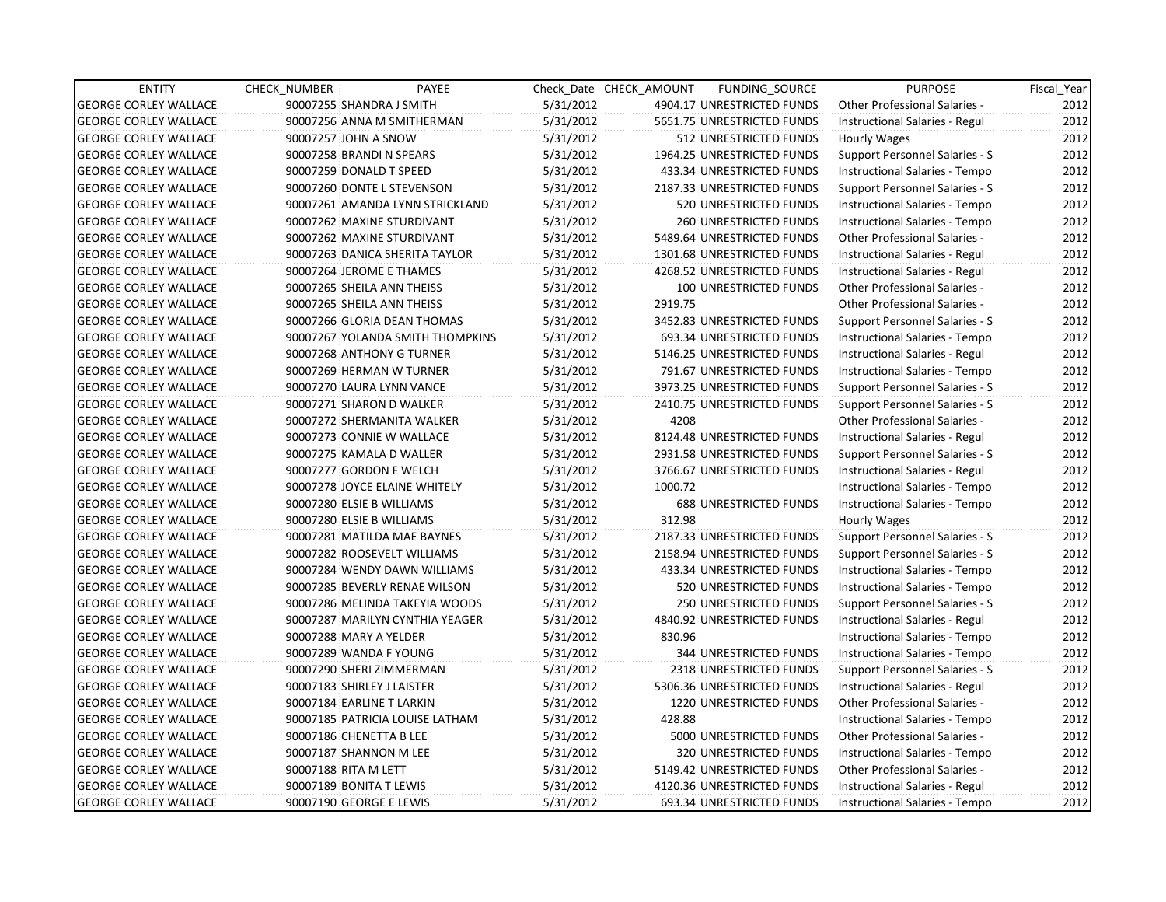| <b>ENTITY</b>                | <b>CHECK NUMBER</b>        | PAYEE                            |           | Check Date CHECK AMOUNT | FUNDING SOURCE                | <b>PURPOSE</b>                       | Fiscal_Year |
|------------------------------|----------------------------|----------------------------------|-----------|-------------------------|-------------------------------|--------------------------------------|-------------|
| <b>GEORGE CORLEY WALLACE</b> | 90007255 SHANDRA J SMITH   |                                  | 5/31/2012 |                         | 4904.17 UNRESTRICTED FUNDS    | Other Professional Salaries -        | 2012        |
| <b>GEORGE CORLEY WALLACE</b> |                            | 90007256 ANNA M SMITHERMAN       | 5/31/2012 |                         | 5651.75 UNRESTRICTED FUNDS    | Instructional Salaries - Regul       | 2012        |
| <b>GEORGE CORLEY WALLACE</b> | 90007257 JOHN A SNOW       |                                  | 5/31/2012 |                         | 512 UNRESTRICTED FUNDS        | Hourly Wages                         | 2012        |
| <b>GEORGE CORLEY WALLACE</b> | 90007258 BRANDI N SPEARS   |                                  | 5/31/2012 |                         | 1964.25 UNRESTRICTED FUNDS    | Support Personnel Salaries - S       | 2012        |
| <b>GEORGE CORLEY WALLACE</b> | 90007259 DONALD T SPEED    |                                  | 5/31/2012 |                         | 433.34 UNRESTRICTED FUNDS     | Instructional Salaries - Tempo       | 2012        |
| <b>GEORGE CORLEY WALLACE</b> |                            | 90007260 DONTE L STEVENSON       | 5/31/2012 |                         | 2187.33 UNRESTRICTED FUNDS    | Support Personnel Salaries - S       | 2012        |
| <b>GEORGE CORLEY WALLACE</b> |                            | 90007261 AMANDA LYNN STRICKLAND  | 5/31/2012 |                         | 520 UNRESTRICTED FUNDS        | Instructional Salaries - Tempo       | 2012        |
| <b>GEORGE CORLEY WALLACE</b> |                            | 90007262 MAXINE STURDIVANT       | 5/31/2012 |                         | <b>260 UNRESTRICTED FUNDS</b> | Instructional Salaries - Tempo       | 2012        |
| <b>GEORGE CORLEY WALLACE</b> |                            | 90007262 MAXINE STURDIVANT       | 5/31/2012 |                         | 5489.64 UNRESTRICTED FUNDS    | Other Professional Salaries -        | 2012        |
| <b>GEORGE CORLEY WALLACE</b> |                            | 90007263 DANICA SHERITA TAYLOR   | 5/31/2012 |                         | 1301.68 UNRESTRICTED FUNDS    | Instructional Salaries - Regul       | 2012        |
| <b>GEORGE CORLEY WALLACE</b> |                            | 90007264 JEROME E THAMES         | 5/31/2012 |                         | 4268.52 UNRESTRICTED FUNDS    | Instructional Salaries - Regul       | 2012        |
| <b>GEORGE CORLEY WALLACE</b> |                            | 90007265 SHEILA ANN THEISS       | 5/31/2012 |                         | 100 UNRESTRICTED FUNDS        | Other Professional Salaries -        | 2012        |
| <b>GEORGE CORLEY WALLACE</b> |                            | 90007265 SHEILA ANN THEISS       | 5/31/2012 | 2919.75                 |                               | <b>Other Professional Salaries -</b> | 2012        |
| <b>GEORGE CORLEY WALLACE</b> |                            | 90007266 GLORIA DEAN THOMAS      | 5/31/2012 |                         | 3452.83 UNRESTRICTED FUNDS    | Support Personnel Salaries - S       | 2012        |
| <b>GEORGE CORLEY WALLACE</b> |                            | 90007267 YOLANDA SMITH THOMPKINS | 5/31/2012 |                         | 693.34 UNRESTRICTED FUNDS     | Instructional Salaries - Tempo       | 2012        |
| <b>GEORGE CORLEY WALLACE</b> |                            | 90007268 ANTHONY G TURNER        | 5/31/2012 |                         | 5146.25 UNRESTRICTED FUNDS    | Instructional Salaries - Regul       | 2012        |
| <b>GEORGE CORLEY WALLACE</b> |                            | 90007269 HERMAN W TURNER         | 5/31/2012 |                         | 791.67 UNRESTRICTED FUNDS     | Instructional Salaries - Tempo       | 2012        |
| <b>GEORGE CORLEY WALLACE</b> |                            | 90007270 LAURA LYNN VANCE        | 5/31/2012 |                         | 3973.25 UNRESTRICTED FUNDS    | Support Personnel Salaries - S       | 2012        |
| <b>GEORGE CORLEY WALLACE</b> |                            | 90007271 SHARON D WALKER         | 5/31/2012 |                         | 2410.75 UNRESTRICTED FUNDS    | Support Personnel Salaries - S       | 2012        |
| <b>GEORGE CORLEY WALLACE</b> |                            | 90007272 SHERMANITA WALKER       | 5/31/2012 | 4208                    |                               | Other Professional Salaries -        | 2012        |
| <b>GEORGE CORLEY WALLACE</b> |                            | 90007273 CONNIE W WALLACE        | 5/31/2012 |                         | 8124.48 UNRESTRICTED FUNDS    | Instructional Salaries - Regul       | 2012        |
| <b>GEORGE CORLEY WALLACE</b> |                            | 90007275 KAMALA D WALLER         | 5/31/2012 |                         | 2931.58 UNRESTRICTED FUNDS    | Support Personnel Salaries - S       | 2012        |
| <b>GEORGE CORLEY WALLACE</b> |                            | 90007277 GORDON F WELCH          | 5/31/2012 |                         | 3766.67 UNRESTRICTED FUNDS    | Instructional Salaries - Regul       | 2012        |
| <b>GEORGE CORLEY WALLACE</b> |                            | 90007278 JOYCE ELAINE WHITELY    | 5/31/2012 | 1000.72                 |                               | Instructional Salaries - Tempo       | 2012        |
| <b>GEORGE CORLEY WALLACE</b> | 90007280 ELSIE B WILLIAMS  |                                  | 5/31/2012 |                         | <b>688 UNRESTRICTED FUNDS</b> | Instructional Salaries - Tempo       | 2012        |
| <b>GEORGE CORLEY WALLACE</b> | 90007280 ELSIE B WILLIAMS  |                                  | 5/31/2012 | 312.98                  |                               | Hourly Wages                         | 2012        |
| <b>GEORGE CORLEY WALLACE</b> |                            | 90007281 MATILDA MAE BAYNES      | 5/31/2012 |                         | 2187.33 UNRESTRICTED FUNDS    | Support Personnel Salaries - S       | 2012        |
| <b>GEORGE CORLEY WALLACE</b> |                            | 90007282 ROOSEVELT WILLIAMS      | 5/31/2012 |                         | 2158.94 UNRESTRICTED FUNDS    | Support Personnel Salaries - S       | 2012        |
| <b>GEORGE CORLEY WALLACE</b> |                            | 90007284 WENDY DAWN WILLIAMS     | 5/31/2012 |                         | 433.34 UNRESTRICTED FUNDS     | Instructional Salaries - Tempo       | 2012        |
| <b>GEORGE CORLEY WALLACE</b> |                            | 90007285 BEVERLY RENAE WILSON    | 5/31/2012 |                         | 520 UNRESTRICTED FUNDS        | Instructional Salaries - Tempo       | 2012        |
| <b>GEORGE CORLEY WALLACE</b> |                            | 90007286 MELINDA TAKEYIA WOODS   | 5/31/2012 |                         | 250 UNRESTRICTED FUNDS        | Support Personnel Salaries - S       | 2012        |
| <b>GEORGE CORLEY WALLACE</b> |                            | 90007287 MARILYN CYNTHIA YEAGER  | 5/31/2012 |                         | 4840.92 UNRESTRICTED FUNDS    | Instructional Salaries - Regul       | 2012        |
| <b>GEORGE CORLEY WALLACE</b> | 90007288 MARY A YELDER     |                                  | 5/31/2012 | 830.96                  |                               | Instructional Salaries - Tempo       | 2012        |
| <b>GEORGE CORLEY WALLACE</b> | 90007289 WANDA F YOUNG     |                                  | 5/31/2012 |                         | <b>344 UNRESTRICTED FUNDS</b> | Instructional Salaries - Tempo       | 2012        |
| <b>GEORGE CORLEY WALLACE</b> |                            | 90007290 SHERI ZIMMERMAN         | 5/31/2012 |                         | 2318 UNRESTRICTED FUNDS       | Support Personnel Salaries - S       | 2012        |
| <b>GEORGE CORLEY WALLACE</b> | 90007183 SHIRLEY J LAISTER |                                  | 5/31/2012 |                         | 5306.36 UNRESTRICTED FUNDS    | Instructional Salaries - Regul       | 2012        |
| <b>GEORGE CORLEY WALLACE</b> | 90007184 EARLINE T LARKIN  |                                  | 5/31/2012 |                         | 1220 UNRESTRICTED FUNDS       | <b>Other Professional Salaries -</b> | 2012        |
| <b>GEORGE CORLEY WALLACE</b> |                            | 90007185 PATRICIA LOUISE LATHAM  | 5/31/2012 | 428.88                  |                               | Instructional Salaries - Tempo       | 2012        |
| <b>GEORGE CORLEY WALLACE</b> | 90007186 CHENETTA B LEE    |                                  | 5/31/2012 |                         | 5000 UNRESTRICTED FUNDS       | Other Professional Salaries -        | 2012        |
| <b>GEORGE CORLEY WALLACE</b> | 90007187 SHANNON M LEE     |                                  | 5/31/2012 |                         | 320 UNRESTRICTED FUNDS        | Instructional Salaries - Tempo       | 2012        |
| <b>GEORGE CORLEY WALLACE</b> | 90007188 RITA M LETT       |                                  | 5/31/2012 |                         | 5149.42 UNRESTRICTED FUNDS    | Other Professional Salaries -        | 2012        |
| <b>GEORGE CORLEY WALLACE</b> | 90007189 BONITA T LEWIS    |                                  | 5/31/2012 |                         | 4120.36 UNRESTRICTED FUNDS    | Instructional Salaries - Regul       | 2012        |
| <b>GEORGE CORLEY WALLACE</b> | 90007190 GEORGE E LEWIS    |                                  | 5/31/2012 |                         | 693.34 UNRESTRICTED FUNDS     | Instructional Salaries - Tempo       | 2012        |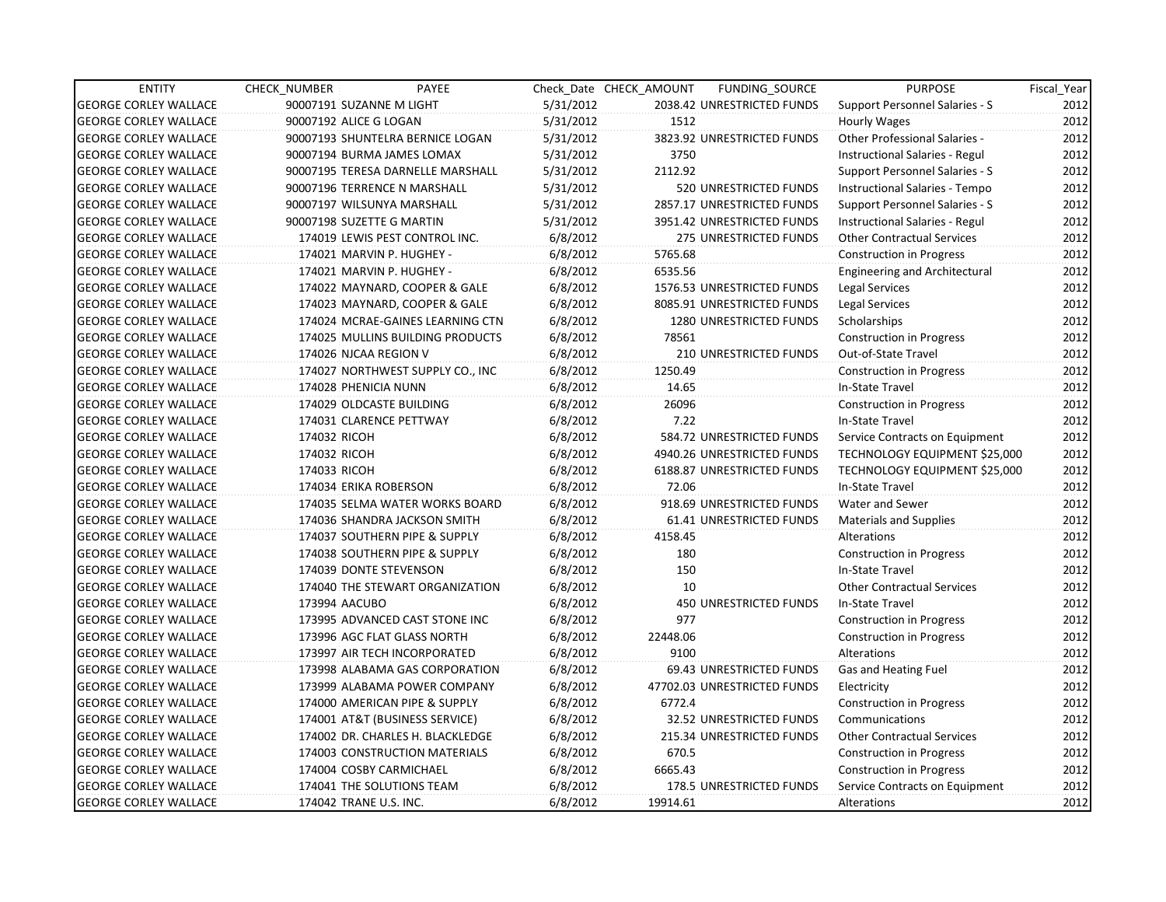| <b>ENTITY</b>                | CHECK_NUMBER                 | PAYEE                             |           | Check Date CHECK AMOUNT | FUNDING_SOURCE                | <b>PURPOSE</b>                        | Fiscal_Year |
|------------------------------|------------------------------|-----------------------------------|-----------|-------------------------|-------------------------------|---------------------------------------|-------------|
| <b>GEORGE CORLEY WALLACE</b> | 90007191 SUZANNE M LIGHT     |                                   | 5/31/2012 |                         | 2038.42 UNRESTRICTED FUNDS    | Support Personnel Salaries - S        | 2012        |
| <b>GEORGE CORLEY WALLACE</b> | 90007192 ALICE G LOGAN       |                                   | 5/31/2012 | 1512                    |                               | Hourly Wages                          | 2012        |
| <b>GEORGE CORLEY WALLACE</b> |                              | 90007193 SHUNTELRA BERNICE LOGAN  | 5/31/2012 |                         | 3823.92 UNRESTRICTED FUNDS    | Other Professional Salaries -         | 2012        |
| <b>GEORGE CORLEY WALLACE</b> | 90007194 BURMA JAMES LOMAX   |                                   | 5/31/2012 | 3750                    |                               | Instructional Salaries - Regul        | 2012        |
| <b>GEORGE CORLEY WALLACE</b> |                              | 90007195 TERESA DARNELLE MARSHALL | 5/31/2012 | 2112.92                 |                               | Support Personnel Salaries - S        | 2012        |
| <b>GEORGE CORLEY WALLACE</b> | 90007196 TERRENCE N MARSHALL |                                   | 5/31/2012 |                         | 520 UNRESTRICTED FUNDS        | Instructional Salaries - Tempo        | 2012        |
| <b>GEORGE CORLEY WALLACE</b> | 90007197 WILSUNYA MARSHALL   |                                   | 5/31/2012 |                         | 2857.17 UNRESTRICTED FUNDS    | Support Personnel Salaries - S        | 2012        |
| <b>GEORGE CORLEY WALLACE</b> | 90007198 SUZETTE G MARTIN    |                                   | 5/31/2012 |                         | 3951.42 UNRESTRICTED FUNDS    | <b>Instructional Salaries - Regul</b> | 2012        |
| <b>GEORGE CORLEY WALLACE</b> |                              | 174019 LEWIS PEST CONTROL INC.    | 6/8/2012  |                         | 275 UNRESTRICTED FUNDS        | <b>Other Contractual Services</b>     | 2012        |
| <b>GEORGE CORLEY WALLACE</b> | 174021 MARVIN P. HUGHEY -    |                                   | 6/8/2012  | 5765.68                 |                               | Construction in Progress              | 2012        |
| <b>GEORGE CORLEY WALLACE</b> | 174021 MARVIN P. HUGHEY -    |                                   | 6/8/2012  | 6535.56                 |                               | <b>Engineering and Architectural</b>  | 2012        |
| <b>GEORGE CORLEY WALLACE</b> |                              | 174022 MAYNARD, COOPER & GALE     | 6/8/2012  |                         | 1576.53 UNRESTRICTED FUNDS    | Legal Services                        | 2012        |
| <b>GEORGE CORLEY WALLACE</b> |                              | 174023 MAYNARD, COOPER & GALE     | 6/8/2012  |                         | 8085.91 UNRESTRICTED FUNDS    | Legal Services                        | 2012        |
| <b>GEORGE CORLEY WALLACE</b> |                              | 174024 MCRAE-GAINES LEARNING CTN  | 6/8/2012  |                         | 1280 UNRESTRICTED FUNDS       | Scholarships                          | 2012        |
| <b>GEORGE CORLEY WALLACE</b> |                              | 174025 MULLINS BUILDING PRODUCTS  | 6/8/2012  | 78561                   |                               | <b>Construction in Progress</b>       | 2012        |
| <b>GEORGE CORLEY WALLACE</b> | 174026 NJCAA REGION V        |                                   | 6/8/2012  |                         | <b>210 UNRESTRICTED FUNDS</b> | Out-of-State Travel                   | 2012        |
| <b>GEORGE CORLEY WALLACE</b> |                              | 174027 NORTHWEST SUPPLY CO., INC  | 6/8/2012  | 1250.49                 |                               | <b>Construction in Progress</b>       | 2012        |
| <b>GEORGE CORLEY WALLACE</b> | 174028 PHENICIA NUNN         |                                   | 6/8/2012  | 14.65                   |                               | In-State Travel                       | 2012        |
| <b>GEORGE CORLEY WALLACE</b> | 174029 OLDCASTE BUILDING     |                                   | 6/8/2012  | 26096                   |                               | Construction in Progress              | 2012        |
| <b>GEORGE CORLEY WALLACE</b> | 174031 CLARENCE PETTWAY      |                                   | 6/8/2012  | 7.22                    |                               | In-State Travel                       | 2012        |
| <b>GEORGE CORLEY WALLACE</b> | 174032 RICOH                 |                                   | 6/8/2012  |                         | 584.72 UNRESTRICTED FUNDS     | Service Contracts on Equipment        | 2012        |
| <b>GEORGE CORLEY WALLACE</b> | 174032 RICOH                 |                                   | 6/8/2012  |                         | 4940.26 UNRESTRICTED FUNDS    | TECHNOLOGY EQUIPMENT \$25,000         | 2012        |
| <b>GEORGE CORLEY WALLACE</b> | 174033 RICOH                 |                                   | 6/8/2012  |                         | 6188.87 UNRESTRICTED FUNDS    | TECHNOLOGY EQUIPMENT \$25,000         | 2012        |
| <b>GEORGE CORLEY WALLACE</b> | 174034 ERIKA ROBERSON        |                                   | 6/8/2012  | 72.06                   |                               | In-State Travel                       | 2012        |
| <b>GEORGE CORLEY WALLACE</b> |                              | 174035 SELMA WATER WORKS BOARD    | 6/8/2012  |                         | 918.69 UNRESTRICTED FUNDS     | Water and Sewer                       | 2012        |
| <b>GEORGE CORLEY WALLACE</b> |                              | 174036 SHANDRA JACKSON SMITH      | 6/8/2012  |                         | 61.41 UNRESTRICTED FUNDS      | Materials and Supplies                | 2012        |
| <b>GEORGE CORLEY WALLACE</b> |                              | 174037 SOUTHERN PIPE & SUPPLY     | 6/8/2012  | 4158.45                 |                               | Alterations                           | 2012        |
| <b>GEORGE CORLEY WALLACE</b> |                              | 174038 SOUTHERN PIPE & SUPPLY     | 6/8/2012  | 180                     |                               | <b>Construction in Progress</b>       | 2012        |
| <b>GEORGE CORLEY WALLACE</b> | 174039 DONTE STEVENSON       |                                   | 6/8/2012  | 150                     |                               | In-State Travel                       | 2012        |
| <b>GEORGE CORLEY WALLACE</b> |                              | 174040 THE STEWART ORGANIZATION   | 6/8/2012  | 10                      |                               | <b>Other Contractual Services</b>     | 2012        |
| <b>GEORGE CORLEY WALLACE</b> | 173994 AACUBO                |                                   | 6/8/2012  |                         | 450 UNRESTRICTED FUNDS        | In-State Travel                       | 2012        |
| <b>GEORGE CORLEY WALLACE</b> |                              | 173995 ADVANCED CAST STONE INC    | 6/8/2012  | 977                     |                               | Construction in Progress              | 2012        |
| <b>GEORGE CORLEY WALLACE</b> |                              | 173996 AGC FLAT GLASS NORTH       | 6/8/2012  | 22448.06                |                               | Construction in Progress              | 2012        |
| <b>GEORGE CORLEY WALLACE</b> |                              | 173997 AIR TECH INCORPORATED      | 6/8/2012  | 9100                    |                               | Alterations                           | 2012        |
| <b>GEORGE CORLEY WALLACE</b> |                              | 173998 ALABAMA GAS CORPORATION    | 6/8/2012  |                         | 69.43 UNRESTRICTED FUNDS      | Gas and Heating Fuel                  | 2012        |
| <b>GEORGE CORLEY WALLACE</b> |                              | 173999 ALABAMA POWER COMPANY      | 6/8/2012  |                         | 47702.03 UNRESTRICTED FUNDS   | Electricity                           | 2012        |
| <b>GEORGE CORLEY WALLACE</b> |                              | 174000 AMERICAN PIPE & SUPPLY     | 6/8/2012  | 6772.4                  |                               | <b>Construction in Progress</b>       | 2012        |
| <b>GEORGE CORLEY WALLACE</b> |                              | 174001 AT&T (BUSINESS SERVICE)    | 6/8/2012  |                         | 32.52 UNRESTRICTED FUNDS      | Communications                        | 2012        |
| <b>GEORGE CORLEY WALLACE</b> |                              | 174002 DR. CHARLES H. BLACKLEDGE  | 6/8/2012  |                         | 215.34 UNRESTRICTED FUNDS     | <b>Other Contractual Services</b>     | 2012        |
| <b>GEORGE CORLEY WALLACE</b> |                              | 174003 CONSTRUCTION MATERIALS     | 6/8/2012  | 670.5                   |                               | Construction in Progress              | 2012        |
| <b>GEORGE CORLEY WALLACE</b> | 174004 COSBY CARMICHAEL      |                                   | 6/8/2012  | 6665.43                 |                               | Construction in Progress              | 2012        |
| <b>GEORGE CORLEY WALLACE</b> | 174041 THE SOLUTIONS TEAM    |                                   | 6/8/2012  |                         | 178.5 UNRESTRICTED FUNDS      | Service Contracts on Equipment        | 2012        |
| <b>GEORGE CORLEY WALLACE</b> | 174042 TRANE U.S. INC.       |                                   | 6/8/2012  | 19914.61                |                               | Alterations                           | 2012        |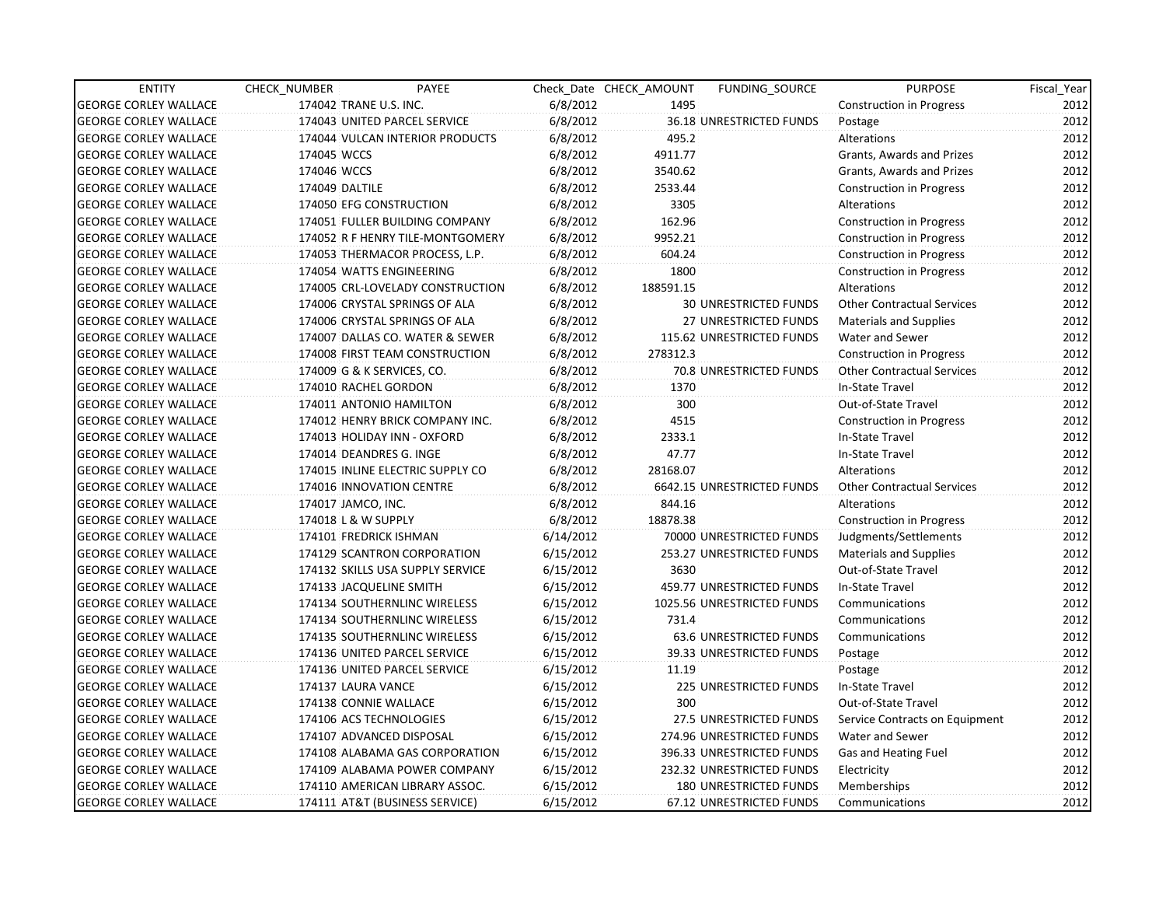| <b>ENTITY</b>                | CHECK NUMBER        | PAYEE                            |           | Check Date CHECK AMOUNT | FUNDING_SOURCE                 | <b>PURPOSE</b>                    | Fiscal_Year |
|------------------------------|---------------------|----------------------------------|-----------|-------------------------|--------------------------------|-----------------------------------|-------------|
| <b>GEORGE CORLEY WALLACE</b> |                     | 174042 TRANE U.S. INC.           | 6/8/2012  | 1495                    |                                | <b>Construction in Progress</b>   | 2012        |
| <b>GEORGE CORLEY WALLACE</b> |                     | 174043 UNITED PARCEL SERVICE     | 6/8/2012  |                         | 36.18 UNRESTRICTED FUNDS       | Postage                           | 2012        |
| <b>GEORGE CORLEY WALLACE</b> |                     | 174044 VULCAN INTERIOR PRODUCTS  | 6/8/2012  | 495.2                   |                                | Alterations                       | 2012        |
| <b>GEORGE CORLEY WALLACE</b> | 174045 WCCS         |                                  | 6/8/2012  | 4911.77                 |                                | Grants, Awards and Prizes         | 2012        |
| <b>GEORGE CORLEY WALLACE</b> | 174046 WCCS         |                                  | 6/8/2012  | 3540.62                 |                                | Grants, Awards and Prizes         | 2012        |
| <b>GEORGE CORLEY WALLACE</b> | 174049 DALTILE      |                                  | 6/8/2012  | 2533.44                 |                                | <b>Construction in Progress</b>   | 2012        |
| <b>GEORGE CORLEY WALLACE</b> |                     | 174050 EFG CONSTRUCTION          | 6/8/2012  | 3305                    |                                | Alterations                       | 2012        |
| <b>GEORGE CORLEY WALLACE</b> |                     | 174051 FULLER BUILDING COMPANY   | 6/8/2012  | 162.96                  |                                | <b>Construction in Progress</b>   | 2012        |
| <b>GEORGE CORLEY WALLACE</b> |                     | 174052 R F HENRY TILE-MONTGOMERY | 6/8/2012  | 9952.21                 |                                | <b>Construction in Progress</b>   | 2012        |
| <b>GEORGE CORLEY WALLACE</b> |                     | 174053 THERMACOR PROCESS, L.P.   | 6/8/2012  | 604.24                  |                                | <b>Construction in Progress</b>   | 2012        |
| <b>GEORGE CORLEY WALLACE</b> |                     | 174054 WATTS ENGINEERING         | 6/8/2012  | 1800                    |                                | <b>Construction in Progress</b>   | 2012        |
| <b>GEORGE CORLEY WALLACE</b> |                     | 174005 CRL-LOVELADY CONSTRUCTION | 6/8/2012  | 188591.15               |                                | Alterations                       | 2012        |
| <b>GEORGE CORLEY WALLACE</b> |                     | 174006 CRYSTAL SPRINGS OF ALA    | 6/8/2012  |                         | <b>30 UNRESTRICTED FUNDS</b>   | <b>Other Contractual Services</b> | 2012        |
| <b>GEORGE CORLEY WALLACE</b> |                     | 174006 CRYSTAL SPRINGS OF ALA    | 6/8/2012  |                         | <b>27 UNRESTRICTED FUNDS</b>   | <b>Materials and Supplies</b>     | 2012        |
| <b>GEORGE CORLEY WALLACE</b> |                     | 174007 DALLAS CO. WATER & SEWER  | 6/8/2012  |                         | 115.62 UNRESTRICTED FUNDS      | Water and Sewer                   | 2012        |
| <b>GEORGE CORLEY WALLACE</b> |                     | 174008 FIRST TEAM CONSTRUCTION   | 6/8/2012  | 278312.3                |                                | <b>Construction in Progress</b>   | 2012        |
| <b>GEORGE CORLEY WALLACE</b> |                     | 174009 G & K SERVICES, CO.       | 6/8/2012  |                         | 70.8 UNRESTRICTED FUNDS        | <b>Other Contractual Services</b> | 2012        |
| <b>GEORGE CORLEY WALLACE</b> |                     | 174010 RACHEL GORDON             | 6/8/2012  | 1370                    |                                | In-State Travel                   | 2012        |
| <b>GEORGE CORLEY WALLACE</b> |                     | 174011 ANTONIO HAMILTON          | 6/8/2012  | 300                     |                                | Out-of-State Travel               | 2012        |
| <b>GEORGE CORLEY WALLACE</b> |                     | 174012 HENRY BRICK COMPANY INC.  | 6/8/2012  | 4515                    |                                | <b>Construction in Progress</b>   | 2012        |
| <b>GEORGE CORLEY WALLACE</b> |                     | 174013 HOLIDAY INN - OXFORD      | 6/8/2012  | 2333.1                  |                                | In-State Travel                   | 2012        |
| <b>GEORGE CORLEY WALLACE</b> |                     | 174014 DEANDRES G. INGE          | 6/8/2012  | 47.77                   |                                | In-State Travel                   | 2012        |
| <b>GEORGE CORLEY WALLACE</b> |                     | 174015 INLINE ELECTRIC SUPPLY CO | 6/8/2012  | 28168.07                |                                | Alterations                       | 2012        |
| <b>GEORGE CORLEY WALLACE</b> |                     | 174016 INNOVATION CENTRE         | 6/8/2012  |                         | 6642.15 UNRESTRICTED FUNDS     | <b>Other Contractual Services</b> | 2012        |
| <b>GEORGE CORLEY WALLACE</b> | 174017 JAMCO, INC.  |                                  | 6/8/2012  | 844.16                  |                                | Alterations                       | 2012        |
| <b>GEORGE CORLEY WALLACE</b> | 174018 L & W SUPPLY |                                  | 6/8/2012  | 18878.38                |                                | <b>Construction in Progress</b>   | 2012        |
| <b>GEORGE CORLEY WALLACE</b> |                     | 174101 FREDRICK ISHMAN           | 6/14/2012 |                         | 70000 UNRESTRICTED FUNDS       | Judgments/Settlements             | 2012        |
| <b>GEORGE CORLEY WALLACE</b> |                     | 174129 SCANTRON CORPORATION      | 6/15/2012 |                         | 253.27 UNRESTRICTED FUNDS      | <b>Materials and Supplies</b>     | 2012        |
| <b>GEORGE CORLEY WALLACE</b> |                     | 174132 SKILLS USA SUPPLY SERVICE | 6/15/2012 | 3630                    |                                | Out-of-State Travel               | 2012        |
| <b>GEORGE CORLEY WALLACE</b> |                     | 174133 JACQUELINE SMITH          | 6/15/2012 |                         | 459.77 UNRESTRICTED FUNDS      | In-State Travel                   | 2012        |
| <b>GEORGE CORLEY WALLACE</b> |                     | 174134 SOUTHERNLINC WIRELESS     | 6/15/2012 |                         | 1025.56 UNRESTRICTED FUNDS     | Communications                    | 2012        |
| <b>GEORGE CORLEY WALLACE</b> |                     | 174134 SOUTHERNLINC WIRELESS     | 6/15/2012 | 731.4                   |                                | Communications                    | 2012        |
| <b>GEORGE CORLEY WALLACE</b> |                     | 174135 SOUTHERNLINC WIRELESS     | 6/15/2012 |                         | <b>63.6 UNRESTRICTED FUNDS</b> | Communications                    | 2012        |
| <b>GEORGE CORLEY WALLACE</b> |                     | 174136 UNITED PARCEL SERVICE     | 6/15/2012 |                         | 39.33 UNRESTRICTED FUNDS       | Postage                           | 2012        |
| <b>GEORGE CORLEY WALLACE</b> |                     | 174136 UNITED PARCEL SERVICE     | 6/15/2012 | 11.19                   |                                | Postage                           | 2012        |
| <b>GEORGE CORLEY WALLACE</b> | 174137 LAURA VANCE  |                                  | 6/15/2012 |                         | <b>225 UNRESTRICTED FUNDS</b>  | In-State Travel                   | 2012        |
| <b>GEORGE CORLEY WALLACE</b> |                     | 174138 CONNIE WALLACE            | 6/15/2012 | 300                     |                                | Out-of-State Travel               | 2012        |
| <b>GEORGE CORLEY WALLACE</b> |                     | 174106 ACS TECHNOLOGIES          | 6/15/2012 |                         | 27.5 UNRESTRICTED FUNDS        | Service Contracts on Equipment    | 2012        |
| <b>GEORGE CORLEY WALLACE</b> |                     | 174107 ADVANCED DISPOSAL         | 6/15/2012 |                         | 274.96 UNRESTRICTED FUNDS      | Water and Sewer                   | 2012        |
| <b>GEORGE CORLEY WALLACE</b> |                     | 174108 ALABAMA GAS CORPORATION   | 6/15/2012 |                         | 396.33 UNRESTRICTED FUNDS      | Gas and Heating Fuel              | 2012        |
| <b>GEORGE CORLEY WALLACE</b> |                     | 174109 ALABAMA POWER COMPANY     | 6/15/2012 |                         | 232.32 UNRESTRICTED FUNDS      | Electricity                       | 2012        |
| <b>GEORGE CORLEY WALLACE</b> |                     | 174110 AMERICAN LIBRARY ASSOC.   | 6/15/2012 |                         | 180 UNRESTRICTED FUNDS         | Memberships                       | 2012        |
| <b>GEORGE CORLEY WALLACE</b> |                     | 174111 AT&T (BUSINESS SERVICE)   | 6/15/2012 |                         | 67.12 UNRESTRICTED FUNDS       | Communications                    | 2012        |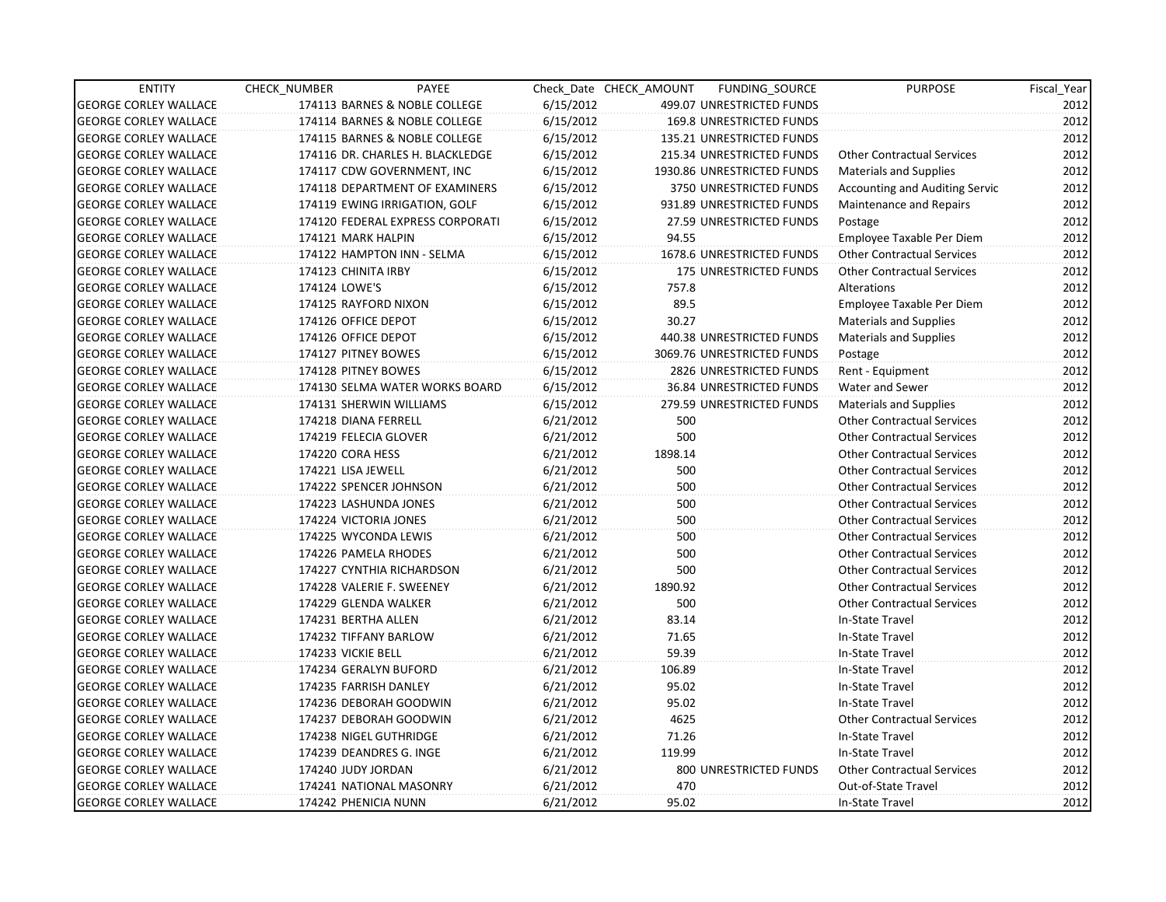| <b>ENTITY</b>                | CHECK_NUMBER              | PAYEE                            |           | Check Date CHECK AMOUNT | FUNDING SOURCE                | <b>PURPOSE</b>                        | Fiscal_Year |
|------------------------------|---------------------------|----------------------------------|-----------|-------------------------|-------------------------------|---------------------------------------|-------------|
| <b>GEORGE CORLEY WALLACE</b> |                           | 174113 BARNES & NOBLE COLLEGE    | 6/15/2012 |                         | 499.07 UNRESTRICTED FUNDS     |                                       | 2012        |
| <b>GEORGE CORLEY WALLACE</b> |                           | 174114 BARNES & NOBLE COLLEGE    | 6/15/2012 |                         | 169.8 UNRESTRICTED FUNDS      |                                       | 2012        |
| <b>GEORGE CORLEY WALLACE</b> |                           | 174115 BARNES & NOBLE COLLEGE    | 6/15/2012 |                         | 135.21 UNRESTRICTED FUNDS     |                                       | 2012        |
| <b>GEORGE CORLEY WALLACE</b> |                           | 174116 DR. CHARLES H. BLACKLEDGE | 6/15/2012 |                         | 215.34 UNRESTRICTED FUNDS     | <b>Other Contractual Services</b>     | 2012        |
| <b>GEORGE CORLEY WALLACE</b> |                           | 174117 CDW GOVERNMENT, INC       | 6/15/2012 |                         | 1930.86 UNRESTRICTED FUNDS    | <b>Materials and Supplies</b>         | 2012        |
| <b>GEORGE CORLEY WALLACE</b> |                           | 174118 DEPARTMENT OF EXAMINERS   | 6/15/2012 |                         | 3750 UNRESTRICTED FUNDS       | <b>Accounting and Auditing Servic</b> | 2012        |
| <b>GEORGE CORLEY WALLACE</b> |                           | 174119 EWING IRRIGATION, GOLF    | 6/15/2012 |                         | 931.89 UNRESTRICTED FUNDS     | <b>Maintenance and Repairs</b>        | 2012        |
| <b>GEORGE CORLEY WALLACE</b> |                           | 174120 FEDERAL EXPRESS CORPORATI | 6/15/2012 |                         | 27.59 UNRESTRICTED FUNDS      | Postage                               | 2012        |
| <b>GEORGE CORLEY WALLACE</b> | 174121 MARK HALPIN        |                                  | 6/15/2012 | 94.55                   |                               | Employee Taxable Per Diem             | 2012        |
| <b>GEORGE CORLEY WALLACE</b> |                           | 174122 HAMPTON INN - SELMA       | 6/15/2012 |                         | 1678.6 UNRESTRICTED FUNDS     | Other Contractual Services            | 2012        |
| <b>GEORGE CORLEY WALLACE</b> | 174123 CHINITA IRBY       |                                  | 6/15/2012 |                         | <b>175 UNRESTRICTED FUNDS</b> | <b>Other Contractual Services</b>     | 2012        |
| <b>GEORGE CORLEY WALLACE</b> | 174124 LOWE'S             |                                  | 6/15/2012 | 757.8                   |                               | Alterations                           | 2012        |
| <b>GEORGE CORLEY WALLACE</b> | 174125 RAYFORD NIXON      |                                  | 6/15/2012 | 89.5                    |                               | Employee Taxable Per Diem             | 2012        |
| <b>GEORGE CORLEY WALLACE</b> | 174126 OFFICE DEPOT       |                                  | 6/15/2012 | 30.27                   |                               | <b>Materials and Supplies</b>         | 2012        |
| <b>GEORGE CORLEY WALLACE</b> | 174126 OFFICE DEPOT       |                                  | 6/15/2012 |                         | 440.38 UNRESTRICTED FUNDS     | <b>Materials and Supplies</b>         | 2012        |
| <b>GEORGE CORLEY WALLACE</b> | 174127 PITNEY BOWES       |                                  | 6/15/2012 |                         | 3069.76 UNRESTRICTED FUNDS    | Postage                               | 2012        |
| <b>GEORGE CORLEY WALLACE</b> | 174128 PITNEY BOWES       |                                  | 6/15/2012 |                         | 2826 UNRESTRICTED FUNDS       | Rent - Equipment                      | 2012        |
| <b>GEORGE CORLEY WALLACE</b> |                           | 174130 SELMA WATER WORKS BOARD   | 6/15/2012 |                         | 36.84 UNRESTRICTED FUNDS      | Water and Sewer                       | 2012        |
| <b>GEORGE CORLEY WALLACE</b> | 174131 SHERWIN WILLIAMS   |                                  | 6/15/2012 |                         | 279.59 UNRESTRICTED FUNDS     | <b>Materials and Supplies</b>         | 2012        |
| <b>GEORGE CORLEY WALLACE</b> | 174218 DIANA FERRELL      |                                  | 6/21/2012 | 500                     |                               | <b>Other Contractual Services</b>     | 2012        |
| <b>GEORGE CORLEY WALLACE</b> | 174219 FELECIA GLOVER     |                                  | 6/21/2012 | 500                     |                               | <b>Other Contractual Services</b>     | 2012        |
| <b>GEORGE CORLEY WALLACE</b> | 174220 CORA HESS          |                                  | 6/21/2012 | 1898.14                 |                               | <b>Other Contractual Services</b>     | 2012        |
| <b>GEORGE CORLEY WALLACE</b> | 174221 LISA JEWELL        |                                  | 6/21/2012 | 500                     |                               | <b>Other Contractual Services</b>     | 2012        |
| <b>GEORGE CORLEY WALLACE</b> | 174222 SPENCER JOHNSON    |                                  | 6/21/2012 | 500                     |                               | <b>Other Contractual Services</b>     | 2012        |
| <b>GEORGE CORLEY WALLACE</b> | 174223 LASHUNDA JONES     |                                  | 6/21/2012 | 500                     |                               | <b>Other Contractual Services</b>     | 2012        |
| <b>GEORGE CORLEY WALLACE</b> | 174224 VICTORIA JONES     |                                  | 6/21/2012 | 500                     |                               | <b>Other Contractual Services</b>     | 2012        |
| <b>GEORGE CORLEY WALLACE</b> | 174225 WYCONDA LEWIS      |                                  | 6/21/2012 | 500                     |                               | <b>Other Contractual Services</b>     | 2012        |
| <b>GEORGE CORLEY WALLACE</b> | 174226 PAMELA RHODES      |                                  | 6/21/2012 | 500                     |                               | <b>Other Contractual Services</b>     | 2012        |
| <b>GEORGE CORLEY WALLACE</b> |                           | 174227 CYNTHIA RICHARDSON        | 6/21/2012 | 500                     |                               | <b>Other Contractual Services</b>     | 2012        |
| <b>GEORGE CORLEY WALLACE</b> | 174228 VALERIE F. SWEENEY |                                  | 6/21/2012 | 1890.92                 |                               | <b>Other Contractual Services</b>     | 2012        |
| <b>GEORGE CORLEY WALLACE</b> | 174229 GLENDA WALKER      |                                  | 6/21/2012 | 500                     |                               | <b>Other Contractual Services</b>     | 2012        |
| <b>GEORGE CORLEY WALLACE</b> | 174231 BERTHA ALLEN       |                                  | 6/21/2012 | 83.14                   |                               | In-State Travel                       | 2012        |
| <b>GEORGE CORLEY WALLACE</b> | 174232 TIFFANY BARLOW     |                                  | 6/21/2012 | 71.65                   |                               | In-State Travel                       | 2012        |
| <b>GEORGE CORLEY WALLACE</b> | 174233 VICKIE BELL        |                                  | 6/21/2012 | 59.39                   |                               | In-State Travel                       | 2012        |
| <b>GEORGE CORLEY WALLACE</b> | 174234 GERALYN BUFORD     |                                  | 6/21/2012 | 106.89                  |                               | In-State Travel                       | 2012        |
| <b>GEORGE CORLEY WALLACE</b> | 174235 FARRISH DANLEY     |                                  | 6/21/2012 | 95.02                   |                               | In-State Travel                       | 2012        |
| <b>GEORGE CORLEY WALLACE</b> | 174236 DEBORAH GOODWIN    |                                  | 6/21/2012 | 95.02                   |                               | In-State Travel                       | 2012        |
| <b>GEORGE CORLEY WALLACE</b> | 174237 DEBORAH GOODWIN    |                                  | 6/21/2012 | 4625                    |                               | <b>Other Contractual Services</b>     | 2012        |
| <b>GEORGE CORLEY WALLACE</b> | 174238 NIGEL GUTHRIDGE    |                                  | 6/21/2012 | 71.26                   |                               | In-State Travel                       | 2012        |
| <b>GEORGE CORLEY WALLACE</b> | 174239 DEANDRES G. INGE   |                                  | 6/21/2012 | 119.99                  |                               | In-State Travel                       | 2012        |
| <b>GEORGE CORLEY WALLACE</b> | 174240 JUDY JORDAN        |                                  | 6/21/2012 |                         | 800 UNRESTRICTED FUNDS        | <b>Other Contractual Services</b>     | 2012        |
| <b>GEORGE CORLEY WALLACE</b> | 174241 NATIONAL MASONRY   |                                  | 6/21/2012 | 470                     |                               | Out-of-State Travel                   | 2012        |
| <b>GEORGE CORLEY WALLACE</b> | 174242 PHENICIA NUNN      |                                  | 6/21/2012 | 95.02                   |                               | In-State Travel                       | 2012        |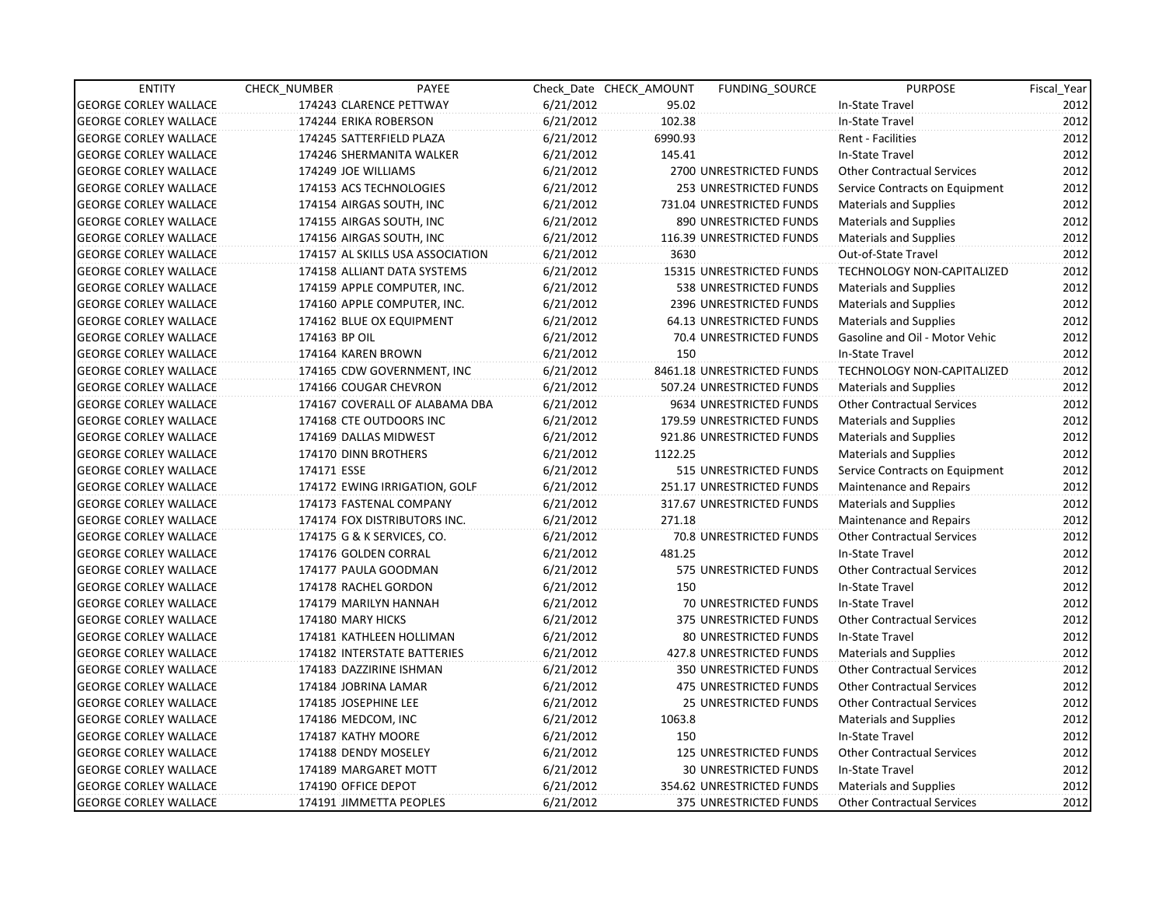| <b>ENTITY</b>                | CHECK NUMBER               | PAYEE                            |           | Check Date CHECK AMOUNT | FUNDING SOURCE                  | <b>PURPOSE</b>                    | Fiscal_Year |
|------------------------------|----------------------------|----------------------------------|-----------|-------------------------|---------------------------------|-----------------------------------|-------------|
| <b>GEORGE CORLEY WALLACE</b> | 174243 CLARENCE PETTWAY    |                                  | 6/21/2012 | 95.02                   |                                 | In-State Travel                   | 2012        |
| <b>GEORGE CORLEY WALLACE</b> | 174244 ERIKA ROBERSON      |                                  | 6/21/2012 | 102.38                  |                                 | In-State Travel                   | 2012        |
| <b>GEORGE CORLEY WALLACE</b> | 174245 SATTERFIELD PLAZA   |                                  | 6/21/2012 | 6990.93                 |                                 | <b>Rent - Facilities</b>          | 2012        |
| <b>GEORGE CORLEY WALLACE</b> |                            | 174246 SHERMANITA WALKER         | 6/21/2012 | 145.41                  |                                 | In-State Travel                   | 2012        |
| <b>GEORGE CORLEY WALLACE</b> | 174249 JOE WILLIAMS        |                                  | 6/21/2012 |                         | 2700 UNRESTRICTED FUNDS         | <b>Other Contractual Services</b> | 2012        |
| <b>GEORGE CORLEY WALLACE</b> | 174153 ACS TECHNOLOGIES    |                                  | 6/21/2012 |                         | 253 UNRESTRICTED FUNDS          | Service Contracts on Equipment    | 2012        |
| <b>GEORGE CORLEY WALLACE</b> | 174154 AIRGAS SOUTH, INC   |                                  | 6/21/2012 |                         | 731.04 UNRESTRICTED FUNDS       | Materials and Supplies            | 2012        |
| <b>GEORGE CORLEY WALLACE</b> | 174155 AIRGAS SOUTH, INC   |                                  | 6/21/2012 |                         | 890 UNRESTRICTED FUNDS          | <b>Materials and Supplies</b>     | 2012        |
| <b>GEORGE CORLEY WALLACE</b> | 174156 AIRGAS SOUTH, INC   |                                  | 6/21/2012 |                         | 116.39 UNRESTRICTED FUNDS       | <b>Materials and Supplies</b>     | 2012        |
| <b>GEORGE CORLEY WALLACE</b> |                            | 174157 AL SKILLS USA ASSOCIATION | 6/21/2012 | 3630                    |                                 | Out-of-State Travel               | 2012        |
| <b>GEORGE CORLEY WALLACE</b> |                            | 174158 ALLIANT DATA SYSTEMS      | 6/21/2012 |                         | 15315 UNRESTRICTED FUNDS        | TECHNOLOGY NON-CAPITALIZED        | 2012        |
| <b>GEORGE CORLEY WALLACE</b> |                            | 174159 APPLE COMPUTER, INC.      | 6/21/2012 |                         | 538 UNRESTRICTED FUNDS          | <b>Materials and Supplies</b>     | 2012        |
| <b>GEORGE CORLEY WALLACE</b> |                            | 174160 APPLE COMPUTER, INC.      | 6/21/2012 |                         | 2396 UNRESTRICTED FUNDS         | Materials and Supplies            | 2012        |
| <b>GEORGE CORLEY WALLACE</b> | 174162 BLUE OX EQUIPMENT   |                                  | 6/21/2012 |                         | <b>64.13 UNRESTRICTED FUNDS</b> | <b>Materials and Supplies</b>     | 2012        |
| <b>GEORGE CORLEY WALLACE</b> | 174163 BP OIL              |                                  | 6/21/2012 |                         | 70.4 UNRESTRICTED FUNDS         | Gasoline and Oil - Motor Vehic    | 2012        |
| <b>GEORGE CORLEY WALLACE</b> | 174164 KAREN BROWN         |                                  | 6/21/2012 | 150                     |                                 | In-State Travel                   | 2012        |
| <b>GEORGE CORLEY WALLACE</b> |                            | 174165 CDW GOVERNMENT, INC       | 6/21/2012 |                         | 8461.18 UNRESTRICTED FUNDS      | TECHNOLOGY NON-CAPITALIZED        | 2012        |
| <b>GEORGE CORLEY WALLACE</b> | 174166 COUGAR CHEVRON      |                                  | 6/21/2012 |                         | 507.24 UNRESTRICTED FUNDS       | <b>Materials and Supplies</b>     | 2012        |
| <b>GEORGE CORLEY WALLACE</b> |                            | 174167 COVERALL OF ALABAMA DBA   | 6/21/2012 |                         | 9634 UNRESTRICTED FUNDS         | <b>Other Contractual Services</b> | 2012        |
| <b>GEORGE CORLEY WALLACE</b> | 174168 CTE OUTDOORS INC    |                                  | 6/21/2012 |                         | 179.59 UNRESTRICTED FUNDS       | <b>Materials and Supplies</b>     | 2012        |
| <b>GEORGE CORLEY WALLACE</b> | 174169 DALLAS MIDWEST      |                                  | 6/21/2012 |                         | 921.86 UNRESTRICTED FUNDS       | Materials and Supplies            | 2012        |
| <b>GEORGE CORLEY WALLACE</b> | 174170 DINN BROTHERS       |                                  | 6/21/2012 | 1122.25                 |                                 | <b>Materials and Supplies</b>     | 2012        |
| <b>GEORGE CORLEY WALLACE</b> | 174171 ESSE                |                                  | 6/21/2012 |                         | 515 UNRESTRICTED FUNDS          | Service Contracts on Equipment    | 2012        |
| <b>GEORGE CORLEY WALLACE</b> |                            | 174172 EWING IRRIGATION, GOLF    | 6/21/2012 |                         | 251.17 UNRESTRICTED FUNDS       | Maintenance and Repairs           | 2012        |
| <b>GEORGE CORLEY WALLACE</b> | 174173 FASTENAL COMPANY    |                                  | 6/21/2012 |                         | 317.67 UNRESTRICTED FUNDS       | <b>Materials and Supplies</b>     | 2012        |
| <b>GEORGE CORLEY WALLACE</b> |                            | 174174 FOX DISTRIBUTORS INC.     | 6/21/2012 | 271.18                  |                                 | Maintenance and Repairs           | 2012        |
| <b>GEORGE CORLEY WALLACE</b> | 174175 G & K SERVICES, CO. |                                  | 6/21/2012 |                         | 70.8 UNRESTRICTED FUNDS         | <b>Other Contractual Services</b> | 2012        |
| <b>GEORGE CORLEY WALLACE</b> | 174176 GOLDEN CORRAL       |                                  | 6/21/2012 | 481.25                  |                                 | In-State Travel                   | 2012        |
| <b>GEORGE CORLEY WALLACE</b> | 174177 PAULA GOODMAN       |                                  | 6/21/2012 |                         | 575 UNRESTRICTED FUNDS          | <b>Other Contractual Services</b> | 2012        |
| <b>GEORGE CORLEY WALLACE</b> | 174178 RACHEL GORDON       |                                  | 6/21/2012 | 150                     |                                 | In-State Travel                   | 2012        |
| <b>GEORGE CORLEY WALLACE</b> | 174179 MARILYN HANNAH      |                                  | 6/21/2012 |                         | 70 UNRESTRICTED FUNDS           | In-State Travel                   | 2012        |
| <b>GEORGE CORLEY WALLACE</b> | 174180 MARY HICKS          |                                  | 6/21/2012 |                         | 375 UNRESTRICTED FUNDS          | <b>Other Contractual Services</b> | 2012        |
| <b>GEORGE CORLEY WALLACE</b> | 174181 KATHLEEN HOLLIMAN   |                                  | 6/21/2012 |                         | <b>80 UNRESTRICTED FUNDS</b>    | In-State Travel                   | 2012        |
| <b>GEORGE CORLEY WALLACE</b> |                            | 174182 INTERSTATE BATTERIES      | 6/21/2012 |                         | 427.8 UNRESTRICTED FUNDS        | Materials and Supplies            | 2012        |
| <b>GEORGE CORLEY WALLACE</b> | 174183 DAZZIRINE ISHMAN    |                                  | 6/21/2012 |                         | <b>350 UNRESTRICTED FUNDS</b>   | <b>Other Contractual Services</b> | 2012        |
| <b>GEORGE CORLEY WALLACE</b> | 174184 JOBRINA LAMAR       |                                  | 6/21/2012 |                         | <b>475 UNRESTRICTED FUNDS</b>   | <b>Other Contractual Services</b> | 2012        |
| <b>GEORGE CORLEY WALLACE</b> | 174185 JOSEPHINE LEE       |                                  | 6/21/2012 |                         | <b>25 UNRESTRICTED FUNDS</b>    | <b>Other Contractual Services</b> | 2012        |
| <b>GEORGE CORLEY WALLACE</b> | 174186 MEDCOM, INC         |                                  | 6/21/2012 | 1063.8                  |                                 | <b>Materials and Supplies</b>     | 2012        |
| <b>GEORGE CORLEY WALLACE</b> | 174187 KATHY MOORE         |                                  | 6/21/2012 | 150                     |                                 | In-State Travel                   | 2012        |
| <b>GEORGE CORLEY WALLACE</b> | 174188 DENDY MOSELEY       |                                  | 6/21/2012 |                         | 125 UNRESTRICTED FUNDS          | <b>Other Contractual Services</b> | 2012        |
| <b>GEORGE CORLEY WALLACE</b> | 174189 MARGARET MOTT       |                                  | 6/21/2012 |                         | <b>30 UNRESTRICTED FUNDS</b>    | In-State Travel                   | 2012        |
| <b>GEORGE CORLEY WALLACE</b> | 174190 OFFICE DEPOT        |                                  | 6/21/2012 |                         | 354.62 UNRESTRICTED FUNDS       | Materials and Supplies            | 2012        |
| <b>GEORGE CORLEY WALLACE</b> | 174191 JIMMETTA PEOPLES    |                                  | 6/21/2012 |                         | 375 UNRESTRICTED FUNDS          | <b>Other Contractual Services</b> | 2012        |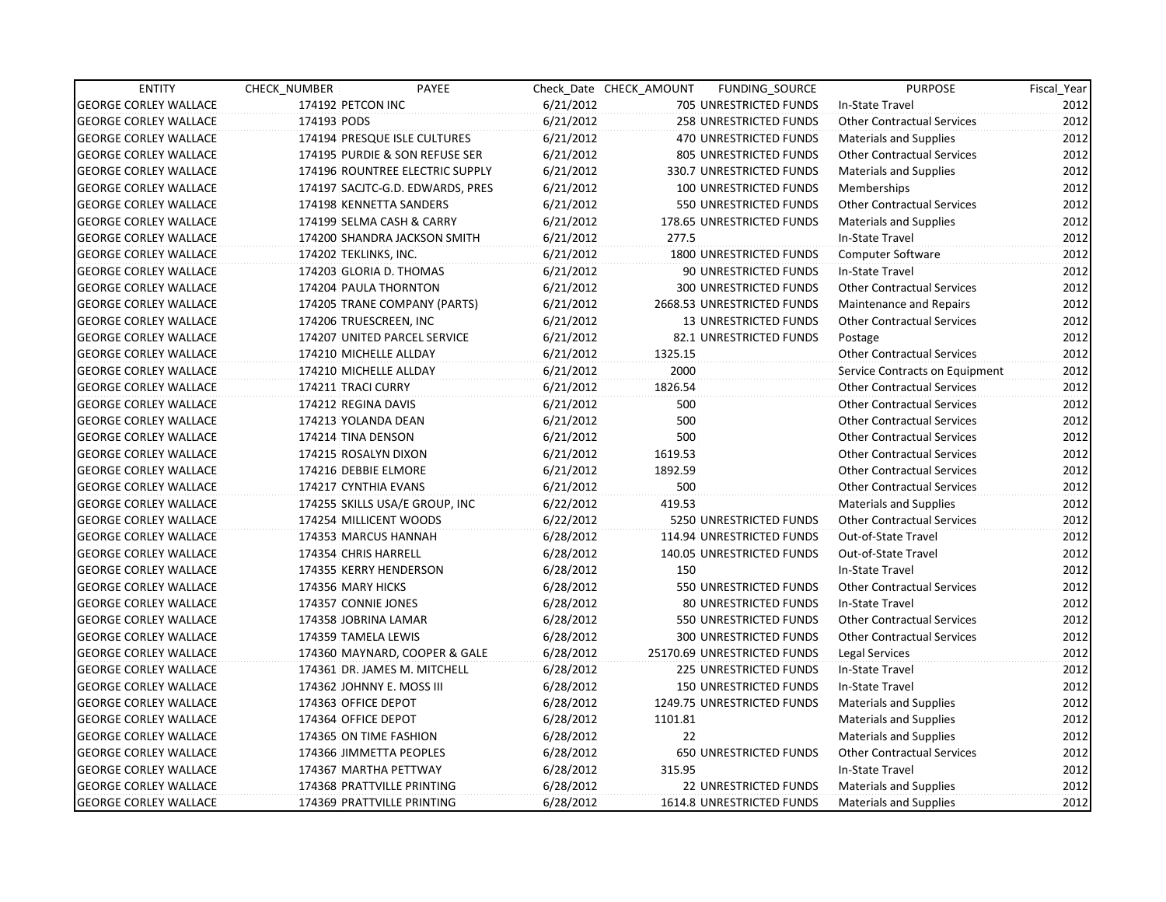| <b>ENTITY</b>                | CHECK_NUMBER              | PAYEE                            |           | Check Date CHECK AMOUNT | FUNDING_SOURCE                | <b>PURPOSE</b>                    | Fiscal_Year |
|------------------------------|---------------------------|----------------------------------|-----------|-------------------------|-------------------------------|-----------------------------------|-------------|
| <b>GEORGE CORLEY WALLACE</b> | 174192 PETCON INC         |                                  | 6/21/2012 |                         | 705 UNRESTRICTED FUNDS        | In-State Travel                   | 2012        |
| <b>GEORGE CORLEY WALLACE</b> | 174193 PODS               |                                  | 6/21/2012 |                         | 258 UNRESTRICTED FUNDS        | <b>Other Contractual Services</b> | 2012        |
| <b>GEORGE CORLEY WALLACE</b> |                           | 174194 PRESQUE ISLE CULTURES     | 6/21/2012 |                         | 470 UNRESTRICTED FUNDS        | <b>Materials and Supplies</b>     | 2012        |
| <b>GEORGE CORLEY WALLACE</b> |                           | 174195 PURDIE & SON REFUSE SER   | 6/21/2012 |                         | 805 UNRESTRICTED FUNDS        | <b>Other Contractual Services</b> | 2012        |
| <b>GEORGE CORLEY WALLACE</b> |                           | 174196 ROUNTREE ELECTRIC SUPPLY  | 6/21/2012 |                         | 330.7 UNRESTRICTED FUNDS      | <b>Materials and Supplies</b>     | 2012        |
| <b>GEORGE CORLEY WALLACE</b> |                           | 174197 SACJTC-G.D. EDWARDS, PRES | 6/21/2012 |                         | 100 UNRESTRICTED FUNDS        | Memberships                       | 2012        |
| <b>GEORGE CORLEY WALLACE</b> |                           | 174198 KENNETTA SANDERS          | 6/21/2012 |                         | 550 UNRESTRICTED FUNDS        | <b>Other Contractual Services</b> | 2012        |
| <b>GEORGE CORLEY WALLACE</b> |                           | 174199 SELMA CASH & CARRY        | 6/21/2012 |                         | 178.65 UNRESTRICTED FUNDS     | <b>Materials and Supplies</b>     | 2012        |
| <b>GEORGE CORLEY WALLACE</b> |                           | 174200 SHANDRA JACKSON SMITH     | 6/21/2012 | 277.5                   |                               | In-State Travel                   | 2012        |
| <b>GEORGE CORLEY WALLACE</b> | 174202 TEKLINKS, INC.     |                                  | 6/21/2012 |                         | 1800 UNRESTRICTED FUNDS       | Computer Software                 | 2012        |
| <b>GEORGE CORLEY WALLACE</b> | 174203 GLORIA D. THOMAS   |                                  | 6/21/2012 |                         | 90 UNRESTRICTED FUNDS         | In-State Travel                   | 2012        |
| <b>GEORGE CORLEY WALLACE</b> | 174204 PAULA THORNTON     |                                  | 6/21/2012 |                         | 300 UNRESTRICTED FUNDS        | <b>Other Contractual Services</b> | 2012        |
| <b>GEORGE CORLEY WALLACE</b> |                           | 174205 TRANE COMPANY (PARTS)     | 6/21/2012 |                         | 2668.53 UNRESTRICTED FUNDS    | Maintenance and Repairs           | 2012        |
| <b>GEORGE CORLEY WALLACE</b> | 174206 TRUESCREEN, INC    |                                  | 6/21/2012 |                         | <b>13 UNRESTRICTED FUNDS</b>  | <b>Other Contractual Services</b> | 2012        |
| <b>GEORGE CORLEY WALLACE</b> |                           | 174207 UNITED PARCEL SERVICE     | 6/21/2012 |                         | 82.1 UNRESTRICTED FUNDS       | Postage                           | 2012        |
| <b>GEORGE CORLEY WALLACE</b> | 174210 MICHELLE ALLDAY    |                                  | 6/21/2012 | 1325.15                 |                               | <b>Other Contractual Services</b> | 2012        |
| <b>GEORGE CORLEY WALLACE</b> | 174210 MICHELLE ALLDAY    |                                  | 6/21/2012 | 2000                    |                               | Service Contracts on Equipment    | 2012        |
| <b>GEORGE CORLEY WALLACE</b> | 174211 TRACI CURRY        |                                  | 6/21/2012 | 1826.54                 |                               | <b>Other Contractual Services</b> | 2012        |
| <b>GEORGE CORLEY WALLACE</b> | 174212 REGINA DAVIS       |                                  | 6/21/2012 | 500                     |                               | <b>Other Contractual Services</b> | 2012        |
| <b>GEORGE CORLEY WALLACE</b> | 174213 YOLANDA DEAN       |                                  | 6/21/2012 | 500                     |                               | <b>Other Contractual Services</b> | 2012        |
| <b>GEORGE CORLEY WALLACE</b> | 174214 TINA DENSON        |                                  | 6/21/2012 | 500                     |                               | <b>Other Contractual Services</b> | 2012        |
| <b>GEORGE CORLEY WALLACE</b> | 174215 ROSALYN DIXON      |                                  | 6/21/2012 | 1619.53                 |                               | <b>Other Contractual Services</b> | 2012        |
| <b>GEORGE CORLEY WALLACE</b> | 174216 DEBBIE ELMORE      |                                  | 6/21/2012 | 1892.59                 |                               | <b>Other Contractual Services</b> | 2012        |
| <b>GEORGE CORLEY WALLACE</b> | 174217 CYNTHIA EVANS      |                                  | 6/21/2012 | 500                     |                               | <b>Other Contractual Services</b> | 2012        |
| <b>GEORGE CORLEY WALLACE</b> |                           | 174255 SKILLS USA/E GROUP, INC   | 6/22/2012 | 419.53                  |                               | <b>Materials and Supplies</b>     | 2012        |
| <b>GEORGE CORLEY WALLACE</b> | 174254 MILLICENT WOODS    |                                  | 6/22/2012 |                         | 5250 UNRESTRICTED FUNDS       | <b>Other Contractual Services</b> | 2012        |
| <b>GEORGE CORLEY WALLACE</b> | 174353 MARCUS HANNAH      |                                  | 6/28/2012 |                         | 114.94 UNRESTRICTED FUNDS     | Out-of-State Travel               | 2012        |
| <b>GEORGE CORLEY WALLACE</b> | 174354 CHRIS HARRELL      |                                  | 6/28/2012 |                         | 140.05 UNRESTRICTED FUNDS     | Out-of-State Travel               | 2012        |
| <b>GEORGE CORLEY WALLACE</b> | 174355 KERRY HENDERSON    |                                  | 6/28/2012 | 150                     |                               | In-State Travel                   | 2012        |
| <b>GEORGE CORLEY WALLACE</b> | 174356 MARY HICKS         |                                  | 6/28/2012 |                         | 550 UNRESTRICTED FUNDS        | <b>Other Contractual Services</b> | 2012        |
| <b>GEORGE CORLEY WALLACE</b> | 174357 CONNIE JONES       |                                  | 6/28/2012 |                         | 80 UNRESTRICTED FUNDS         | In-State Travel                   | 2012        |
| <b>GEORGE CORLEY WALLACE</b> | 174358 JOBRINA LAMAR      |                                  | 6/28/2012 |                         | 550 UNRESTRICTED FUNDS        | <b>Other Contractual Services</b> | 2012        |
| <b>GEORGE CORLEY WALLACE</b> | 174359 TAMELA LEWIS       |                                  | 6/28/2012 |                         | <b>300 UNRESTRICTED FUNDS</b> | <b>Other Contractual Services</b> | 2012        |
| <b>GEORGE CORLEY WALLACE</b> |                           | 174360 MAYNARD, COOPER & GALE    | 6/28/2012 |                         | 25170.69 UNRESTRICTED FUNDS   | Legal Services                    | 2012        |
| <b>GEORGE CORLEY WALLACE</b> |                           | 174361 DR. JAMES M. MITCHELL     | 6/28/2012 |                         | 225 UNRESTRICTED FUNDS        | In-State Travel                   | 2012        |
| <b>GEORGE CORLEY WALLACE</b> | 174362 JOHNNY E. MOSS III |                                  | 6/28/2012 |                         | <b>150 UNRESTRICTED FUNDS</b> | In-State Travel                   | 2012        |
| <b>GEORGE CORLEY WALLACE</b> | 174363 OFFICE DEPOT       |                                  | 6/28/2012 |                         | 1249.75 UNRESTRICTED FUNDS    | <b>Materials and Supplies</b>     | 2012        |
| <b>GEORGE CORLEY WALLACE</b> | 174364 OFFICE DEPOT       |                                  | 6/28/2012 | 1101.81                 |                               | <b>Materials and Supplies</b>     | 2012        |
| <b>GEORGE CORLEY WALLACE</b> | 174365 ON TIME FASHION    |                                  | 6/28/2012 | 22                      |                               | <b>Materials and Supplies</b>     | 2012        |
| <b>GEORGE CORLEY WALLACE</b> | 174366 JIMMETTA PEOPLES   |                                  | 6/28/2012 |                         | 650 UNRESTRICTED FUNDS        | <b>Other Contractual Services</b> | 2012        |
| <b>GEORGE CORLEY WALLACE</b> | 174367 MARTHA PETTWAY     |                                  | 6/28/2012 | 315.95                  |                               | In-State Travel                   | 2012        |
| <b>GEORGE CORLEY WALLACE</b> |                           | 174368 PRATTVILLE PRINTING       | 6/28/2012 |                         | 22 UNRESTRICTED FUNDS         | <b>Materials and Supplies</b>     | 2012        |
| <b>GEORGE CORLEY WALLACE</b> |                           | 174369 PRATTVILLE PRINTING       | 6/28/2012 |                         | 1614.8 UNRESTRICTED FUNDS     | <b>Materials and Supplies</b>     | 2012        |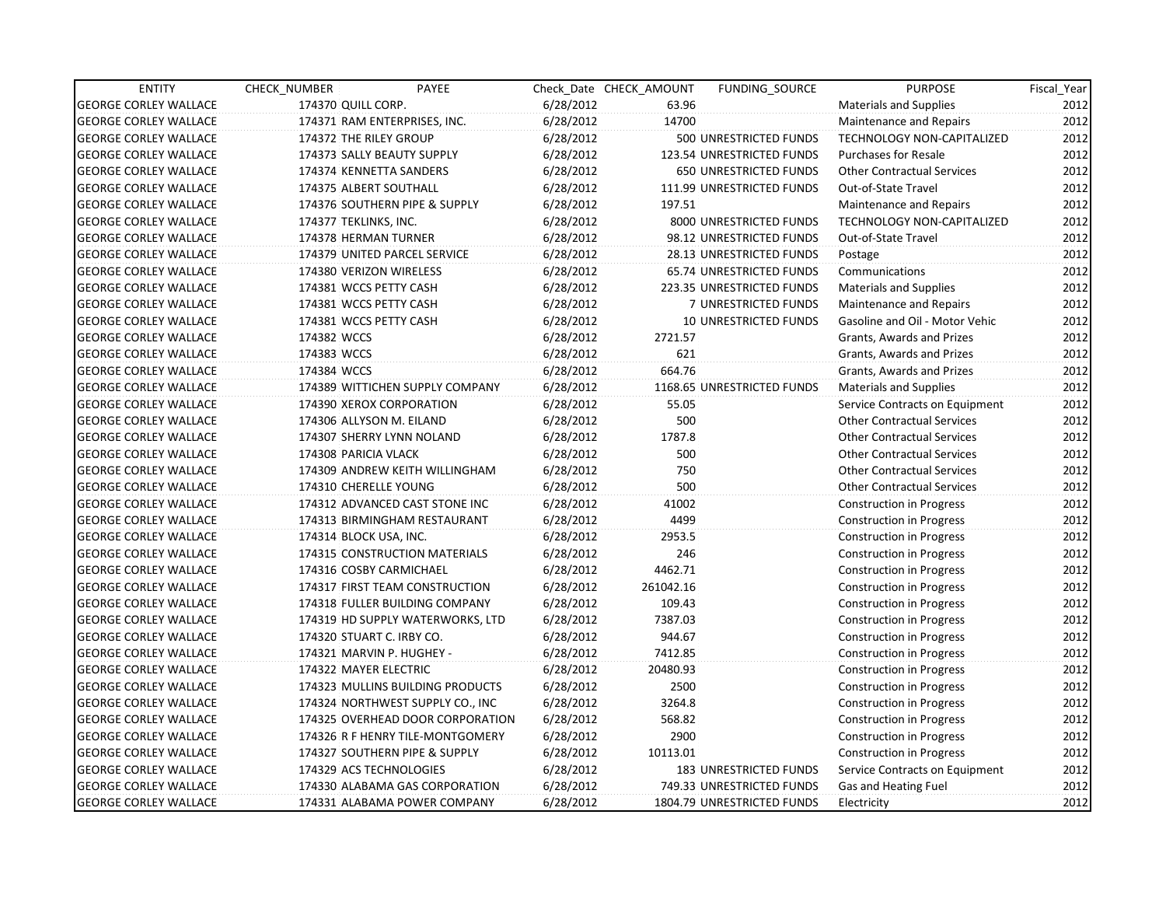| <b>ENTITY</b>                | CHECK_NUMBER              | PAYEE                            |           | Check Date CHECK AMOUNT | FUNDING SOURCE             | <b>PURPOSE</b>                    | Fiscal Year |
|------------------------------|---------------------------|----------------------------------|-----------|-------------------------|----------------------------|-----------------------------------|-------------|
| <b>GEORGE CORLEY WALLACE</b> | 174370 QUILL CORP.        |                                  | 6/28/2012 | 63.96                   |                            | <b>Materials and Supplies</b>     | 2012        |
| <b>GEORGE CORLEY WALLACE</b> |                           | 174371 RAM ENTERPRISES, INC.     | 6/28/2012 | 14700                   |                            | Maintenance and Repairs           | 2012        |
| <b>GEORGE CORLEY WALLACE</b> | 174372 THE RILEY GROUP    |                                  | 6/28/2012 |                         | 500 UNRESTRICTED FUNDS     | <b>TECHNOLOGY NON-CAPITALIZED</b> | 2012        |
| <b>GEORGE CORLEY WALLACE</b> |                           | 174373 SALLY BEAUTY SUPPLY       | 6/28/2012 |                         | 123.54 UNRESTRICTED FUNDS  | <b>Purchases for Resale</b>       | 2012        |
| <b>GEORGE CORLEY WALLACE</b> | 174374 KENNETTA SANDERS   |                                  | 6/28/2012 |                         | 650 UNRESTRICTED FUNDS     | <b>Other Contractual Services</b> | 2012        |
| <b>GEORGE CORLEY WALLACE</b> | 174375 ALBERT SOUTHALL    |                                  | 6/28/2012 |                         | 111.99 UNRESTRICTED FUNDS  | Out-of-State Travel               | 2012        |
| <b>GEORGE CORLEY WALLACE</b> |                           | 174376 SOUTHERN PIPE & SUPPLY    | 6/28/2012 | 197.51                  |                            | Maintenance and Repairs           | 2012        |
| <b>GEORGE CORLEY WALLACE</b> | 174377 TEKLINKS, INC.     |                                  | 6/28/2012 |                         | 8000 UNRESTRICTED FUNDS    | TECHNOLOGY NON-CAPITALIZED        | 2012        |
| <b>GEORGE CORLEY WALLACE</b> | 174378 HERMAN TURNER      |                                  | 6/28/2012 |                         | 98.12 UNRESTRICTED FUNDS   | Out-of-State Travel               | 2012        |
| <b>GEORGE CORLEY WALLACE</b> |                           | 174379 UNITED PARCEL SERVICE     | 6/28/2012 |                         | 28.13 UNRESTRICTED FUNDS   | Postage                           | 2012        |
| <b>GEORGE CORLEY WALLACE</b> | 174380 VERIZON WIRELESS   |                                  | 6/28/2012 |                         | 65.74 UNRESTRICTED FUNDS   | Communications                    | 2012        |
| <b>GEORGE CORLEY WALLACE</b> | 174381 WCCS PETTY CASH    |                                  | 6/28/2012 |                         | 223.35 UNRESTRICTED FUNDS  | <b>Materials and Supplies</b>     | 2012        |
| <b>GEORGE CORLEY WALLACE</b> | 174381 WCCS PETTY CASH    |                                  | 6/28/2012 |                         | 7 UNRESTRICTED FUNDS       | Maintenance and Repairs           | 2012        |
| <b>GEORGE CORLEY WALLACE</b> | 174381 WCCS PETTY CASH    |                                  | 6/28/2012 |                         | 10 UNRESTRICTED FUNDS      | Gasoline and Oil - Motor Vehic    | 2012        |
| <b>GEORGE CORLEY WALLACE</b> | 174382 WCCS               |                                  | 6/28/2012 | 2721.57                 |                            | Grants, Awards and Prizes         | 2012        |
| <b>GEORGE CORLEY WALLACE</b> | 174383 WCCS               |                                  | 6/28/2012 | 621                     |                            | Grants, Awards and Prizes         | 2012        |
| <b>GEORGE CORLEY WALLACE</b> | 174384 WCCS               |                                  | 6/28/2012 | 664.76                  |                            | Grants, Awards and Prizes         | 2012        |
| <b>GEORGE CORLEY WALLACE</b> |                           | 174389 WITTICHEN SUPPLY COMPANY  | 6/28/2012 |                         | 1168.65 UNRESTRICTED FUNDS | <b>Materials and Supplies</b>     | 2012        |
| <b>GEORGE CORLEY WALLACE</b> |                           | 174390 XEROX CORPORATION         | 6/28/2012 | 55.05                   |                            | Service Contracts on Equipment    | 2012        |
| <b>GEORGE CORLEY WALLACE</b> | 174306 ALLYSON M. EILAND  |                                  | 6/28/2012 | 500                     |                            | <b>Other Contractual Services</b> | 2012        |
| <b>GEORGE CORLEY WALLACE</b> |                           | 174307 SHERRY LYNN NOLAND        | 6/28/2012 | 1787.8                  |                            | <b>Other Contractual Services</b> | 2012        |
| <b>GEORGE CORLEY WALLACE</b> | 174308 PARICIA VLACK      |                                  | 6/28/2012 | 500                     |                            | <b>Other Contractual Services</b> | 2012        |
| <b>GEORGE CORLEY WALLACE</b> |                           | 174309 ANDREW KEITH WILLINGHAM   | 6/28/2012 | 750                     |                            | <b>Other Contractual Services</b> | 2012        |
| <b>GEORGE CORLEY WALLACE</b> | 174310 CHERELLE YOUNG     |                                  | 6/28/2012 | 500                     |                            | <b>Other Contractual Services</b> | 2012        |
| <b>GEORGE CORLEY WALLACE</b> |                           | 174312 ADVANCED CAST STONE INC   | 6/28/2012 | 41002                   |                            | <b>Construction in Progress</b>   | 2012        |
| <b>GEORGE CORLEY WALLACE</b> |                           | 174313 BIRMINGHAM RESTAURANT     | 6/28/2012 | 4499                    |                            | Construction in Progress          | 2012        |
| <b>GEORGE CORLEY WALLACE</b> | 174314 BLOCK USA, INC.    |                                  | 6/28/2012 | 2953.5                  |                            | Construction in Progress          | 2012        |
| <b>GEORGE CORLEY WALLACE</b> |                           | 174315 CONSTRUCTION MATERIALS    | 6/28/2012 | 246                     |                            | <b>Construction in Progress</b>   | 2012        |
| <b>GEORGE CORLEY WALLACE</b> | 174316 COSBY CARMICHAEL   |                                  | 6/28/2012 | 4462.71                 |                            | <b>Construction in Progress</b>   | 2012        |
| <b>GEORGE CORLEY WALLACE</b> |                           | 174317 FIRST TEAM CONSTRUCTION   | 6/28/2012 | 261042.16               |                            | <b>Construction in Progress</b>   | 2012        |
| <b>GEORGE CORLEY WALLACE</b> |                           | 174318 FULLER BUILDING COMPANY   | 6/28/2012 | 109.43                  |                            | <b>Construction in Progress</b>   | 2012        |
| <b>GEORGE CORLEY WALLACE</b> |                           | 174319 HD SUPPLY WATERWORKS, LTD | 6/28/2012 | 7387.03                 |                            | <b>Construction in Progress</b>   | 2012        |
| <b>GEORGE CORLEY WALLACE</b> | 174320 STUART C. IRBY CO. |                                  | 6/28/2012 | 944.67                  |                            | Construction in Progress          | 2012        |
| <b>GEORGE CORLEY WALLACE</b> |                           | 174321 MARVIN P. HUGHEY -        | 6/28/2012 | 7412.85                 |                            | Construction in Progress          | 2012        |
| <b>GEORGE CORLEY WALLACE</b> | 174322 MAYER ELECTRIC     |                                  | 6/28/2012 | 20480.93                |                            | Construction in Progress          | 2012        |
| <b>GEORGE CORLEY WALLACE</b> |                           | 174323 MULLINS BUILDING PRODUCTS | 6/28/2012 | 2500                    |                            | <b>Construction in Progress</b>   | 2012        |
| <b>GEORGE CORLEY WALLACE</b> |                           | 174324 NORTHWEST SUPPLY CO., INC | 6/28/2012 | 3264.8                  |                            | <b>Construction in Progress</b>   | 2012        |
| <b>GEORGE CORLEY WALLACE</b> |                           | 174325 OVERHEAD DOOR CORPORATION | 6/28/2012 | 568.82                  |                            | <b>Construction in Progress</b>   | 2012        |
| <b>GEORGE CORLEY WALLACE</b> |                           | 174326 R F HENRY TILE-MONTGOMERY | 6/28/2012 | 2900                    |                            | <b>Construction in Progress</b>   | 2012        |
| <b>GEORGE CORLEY WALLACE</b> |                           | 174327 SOUTHERN PIPE & SUPPLY    | 6/28/2012 | 10113.01                |                            | <b>Construction in Progress</b>   | 2012        |
| <b>GEORGE CORLEY WALLACE</b> | 174329 ACS TECHNOLOGIES   |                                  | 6/28/2012 |                         | 183 UNRESTRICTED FUNDS     | Service Contracts on Equipment    | 2012        |
| <b>GEORGE CORLEY WALLACE</b> |                           | 174330 ALABAMA GAS CORPORATION   | 6/28/2012 |                         | 749.33 UNRESTRICTED FUNDS  | Gas and Heating Fuel              | 2012        |
| <b>GEORGE CORLEY WALLACE</b> |                           | 174331 ALABAMA POWER COMPANY     | 6/28/2012 |                         | 1804.79 UNRESTRICTED FUNDS | Electricity                       | 2012        |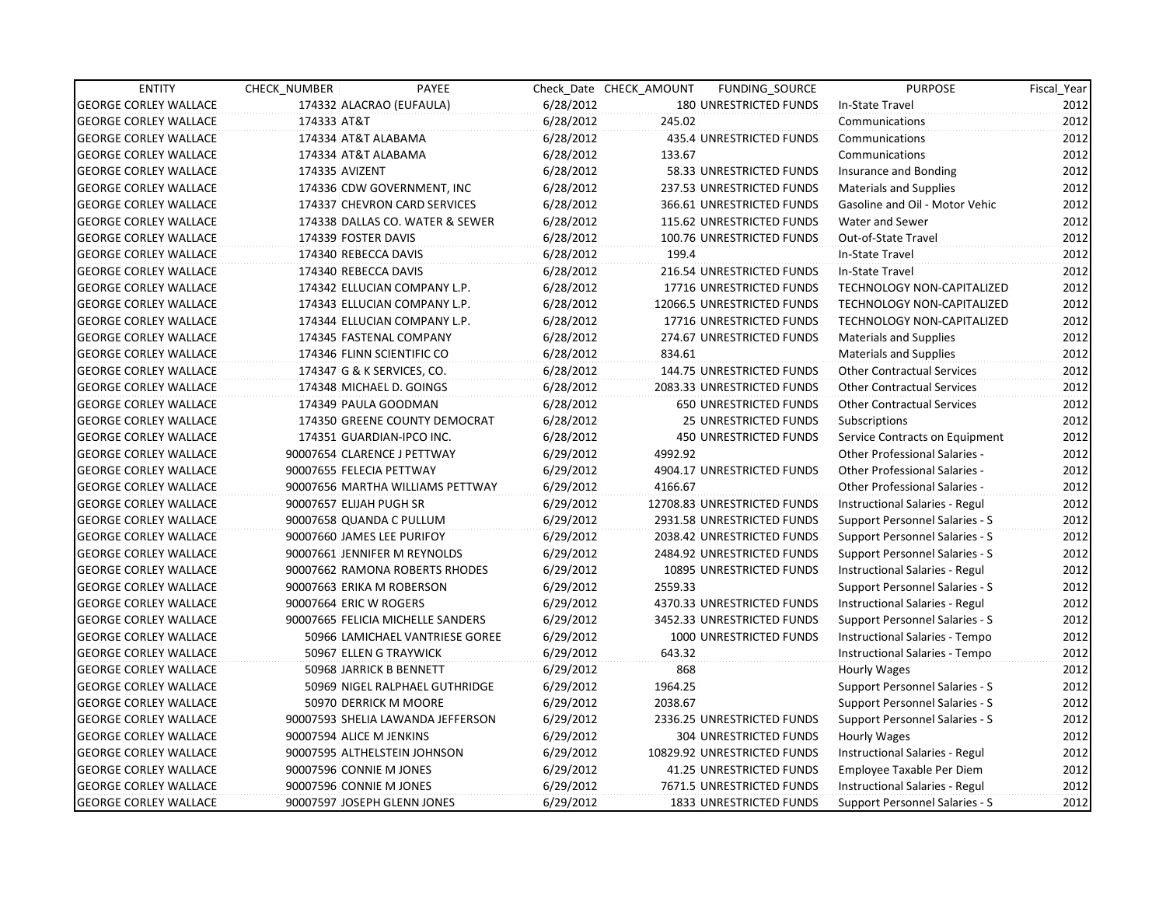| <b>ENTITY</b>                | CHECK_NUMBER               | PAYEE                             |           | Check Date CHECK AMOUNT | FUNDING_SOURCE                 | <b>PURPOSE</b>                        | Fiscal_Year |
|------------------------------|----------------------------|-----------------------------------|-----------|-------------------------|--------------------------------|---------------------------------------|-------------|
| <b>GEORGE CORLEY WALLACE</b> |                            | 174332 ALACRAO (EUFAULA)          | 6/28/2012 |                         | 180 UNRESTRICTED FUNDS         | In-State Travel                       | 2012        |
| <b>GEORGE CORLEY WALLACE</b> | 174333 AT&T                |                                   | 6/28/2012 | 245.02                  |                                | Communications                        | 2012        |
| <b>GEORGE CORLEY WALLACE</b> | 174334 AT&T ALABAMA        |                                   | 6/28/2012 |                         | 435.4 UNRESTRICTED FUNDS       | Communications                        | 2012        |
| <b>GEORGE CORLEY WALLACE</b> | 174334 AT&T ALABAMA        |                                   | 6/28/2012 | 133.67                  |                                | Communications                        | 2012        |
| <b>GEORGE CORLEY WALLACE</b> | 174335 AVIZENT             |                                   | 6/28/2012 |                         | 58.33 UNRESTRICTED FUNDS       | Insurance and Bonding                 | 2012        |
| <b>GEORGE CORLEY WALLACE</b> |                            | 174336 CDW GOVERNMENT, INC        | 6/28/2012 |                         | 237.53 UNRESTRICTED FUNDS      | Materials and Supplies                | 2012        |
| <b>GEORGE CORLEY WALLACE</b> |                            | 174337 CHEVRON CARD SERVICES      | 6/28/2012 |                         | 366.61 UNRESTRICTED FUNDS      | Gasoline and Oil - Motor Vehic        | 2012        |
| <b>GEORGE CORLEY WALLACE</b> |                            | 174338 DALLAS CO. WATER & SEWER   | 6/28/2012 |                         | 115.62 UNRESTRICTED FUNDS      | Water and Sewer                       | 2012        |
| <b>GEORGE CORLEY WALLACE</b> | 174339 FOSTER DAVIS        |                                   | 6/28/2012 |                         | 100.76 UNRESTRICTED FUNDS      | Out-of-State Travel                   | 2012        |
| <b>GEORGE CORLEY WALLACE</b> | 174340 REBECCA DAVIS       |                                   | 6/28/2012 | 199.4                   |                                | In-State Travel                       | 2012        |
| <b>GEORGE CORLEY WALLACE</b> | 174340 REBECCA DAVIS       |                                   | 6/28/2012 |                         | 216.54 UNRESTRICTED FUNDS      | In-State Travel                       | 2012        |
| <b>GEORGE CORLEY WALLACE</b> |                            | 174342 ELLUCIAN COMPANY L.P.      | 6/28/2012 |                         | 17716 UNRESTRICTED FUNDS       | TECHNOLOGY NON-CAPITALIZED            | 2012        |
| <b>GEORGE CORLEY WALLACE</b> |                            | 174343 ELLUCIAN COMPANY L.P.      | 6/28/2012 |                         | 12066.5 UNRESTRICTED FUNDS     | TECHNOLOGY NON-CAPITALIZED            | 2012        |
| <b>GEORGE CORLEY WALLACE</b> |                            | 174344 ELLUCIAN COMPANY L.P.      | 6/28/2012 |                         | 17716 UNRESTRICTED FUNDS       | TECHNOLOGY NON-CAPITALIZED            | 2012        |
| <b>GEORGE CORLEY WALLACE</b> |                            | 174345 FASTENAL COMPANY           | 6/28/2012 |                         | 274.67 UNRESTRICTED FUNDS      | Materials and Supplies                | 2012        |
| <b>GEORGE CORLEY WALLACE</b> |                            | 174346 FLINN SCIENTIFIC CO        | 6/28/2012 | 834.61                  |                                | <b>Materials and Supplies</b>         | 2012        |
| <b>GEORGE CORLEY WALLACE</b> |                            | 174347 G & K SERVICES, CO.        | 6/28/2012 |                         | 144.75 UNRESTRICTED FUNDS      | <b>Other Contractual Services</b>     | 2012        |
| <b>GEORGE CORLEY WALLACE</b> |                            | 174348 MICHAEL D. GOINGS          | 6/28/2012 |                         | 2083.33 UNRESTRICTED FUNDS     | <b>Other Contractual Services</b>     | 2012        |
| <b>GEORGE CORLEY WALLACE</b> |                            | 174349 PAULA GOODMAN              | 6/28/2012 |                         | <b>650 UNRESTRICTED FUNDS</b>  | <b>Other Contractual Services</b>     | 2012        |
| <b>GEORGE CORLEY WALLACE</b> |                            | 174350 GREENE COUNTY DEMOCRAT     | 6/28/2012 |                         | <b>25 UNRESTRICTED FUNDS</b>   | Subscriptions                         | 2012        |
| <b>GEORGE CORLEY WALLACE</b> |                            | 174351 GUARDIAN-IPCO INC.         | 6/28/2012 |                         | <b>450 UNRESTRICTED FUNDS</b>  | Service Contracts on Equipment        | 2012        |
| <b>GEORGE CORLEY WALLACE</b> |                            | 90007654 CLARENCE J PETTWAY       | 6/29/2012 | 4992.92                 |                                | <b>Other Professional Salaries -</b>  | 2012        |
| <b>GEORGE CORLEY WALLACE</b> | 90007655 FELECIA PETTWAY   |                                   | 6/29/2012 |                         | 4904.17 UNRESTRICTED FUNDS     | <b>Other Professional Salaries -</b>  | 2012        |
| <b>GEORGE CORLEY WALLACE</b> |                            | 90007656 MARTHA WILLIAMS PETTWAY  | 6/29/2012 | 4166.67                 |                                | <b>Other Professional Salaries -</b>  | 2012        |
| <b>GEORGE CORLEY WALLACE</b> | 90007657 ELIJAH PUGH SR    |                                   | 6/29/2012 |                         | 12708.83 UNRESTRICTED FUNDS    | Instructional Salaries - Regul        | 2012        |
| <b>GEORGE CORLEY WALLACE</b> | 90007658 QUANDA C PULLUM   |                                   | 6/29/2012 |                         | 2931.58 UNRESTRICTED FUNDS     | Support Personnel Salaries - S        | 2012        |
| <b>GEORGE CORLEY WALLACE</b> | 90007660 JAMES LEE PURIFOY |                                   | 6/29/2012 |                         | 2038.42 UNRESTRICTED FUNDS     | Support Personnel Salaries - S        | 2012        |
| <b>GEORGE CORLEY WALLACE</b> |                            | 90007661 JENNIFER M REYNOLDS      | 6/29/2012 |                         | 2484.92 UNRESTRICTED FUNDS     | Support Personnel Salaries - S        | 2012        |
| <b>GEORGE CORLEY WALLACE</b> |                            | 90007662 RAMONA ROBERTS RHODES    | 6/29/2012 |                         | 10895 UNRESTRICTED FUNDS       | Instructional Salaries - Regul        | 2012        |
| <b>GEORGE CORLEY WALLACE</b> | 90007663 ERIKA M ROBERSON  |                                   | 6/29/2012 | 2559.33                 |                                | Support Personnel Salaries - S        | 2012        |
| <b>GEORGE CORLEY WALLACE</b> | 90007664 ERIC W ROGERS     |                                   | 6/29/2012 |                         | 4370.33 UNRESTRICTED FUNDS     | Instructional Salaries - Regul        | 2012        |
| <b>GEORGE CORLEY WALLACE</b> |                            | 90007665 FELICIA MICHELLE SANDERS | 6/29/2012 |                         | 3452.33 UNRESTRICTED FUNDS     | Support Personnel Salaries - S        | 2012        |
| <b>GEORGE CORLEY WALLACE</b> |                            | 50966 LAMICHAEL VANTRIESE GOREE   | 6/29/2012 |                         | <b>1000 UNRESTRICTED FUNDS</b> | Instructional Salaries - Tempo        | 2012        |
| <b>GEORGE CORLEY WALLACE</b> |                            | 50967 ELLEN G TRAYWICK            | 6/29/2012 | 643.32                  |                                | Instructional Salaries - Tempo        | 2012        |
| <b>GEORGE CORLEY WALLACE</b> |                            | 50968 JARRICK B BENNETT           | 6/29/2012 | 868                     |                                | Hourly Wages                          | 2012        |
| <b>GEORGE CORLEY WALLACE</b> |                            | 50969 NIGEL RALPHAEL GUTHRIDGE    | 6/29/2012 | 1964.25                 |                                | Support Personnel Salaries - S        | 2012        |
| <b>GEORGE CORLEY WALLACE</b> |                            | 50970 DERRICK M MOORE             | 6/29/2012 | 2038.67                 |                                | Support Personnel Salaries - S        | 2012        |
| <b>GEORGE CORLEY WALLACE</b> |                            | 90007593 SHELIA LAWANDA JEFFERSON | 6/29/2012 |                         | 2336.25 UNRESTRICTED FUNDS     | <b>Support Personnel Salaries - S</b> | 2012        |
| <b>GEORGE CORLEY WALLACE</b> | 90007594 ALICE M JENKINS   |                                   | 6/29/2012 |                         | 304 UNRESTRICTED FUNDS         | Hourly Wages                          | 2012        |
| <b>GEORGE CORLEY WALLACE</b> |                            | 90007595 ALTHELSTEIN JOHNSON      | 6/29/2012 |                         | 10829.92 UNRESTRICTED FUNDS    | Instructional Salaries - Regul        | 2012        |
| <b>GEORGE CORLEY WALLACE</b> | 90007596 CONNIE M JONES    |                                   | 6/29/2012 |                         | 41.25 UNRESTRICTED FUNDS       | Employee Taxable Per Diem             | 2012        |
| <b>GEORGE CORLEY WALLACE</b> | 90007596 CONNIE M JONES    |                                   | 6/29/2012 |                         | 7671.5 UNRESTRICTED FUNDS      | Instructional Salaries - Regul        | 2012        |
| <b>GEORGE CORLEY WALLACE</b> |                            | 90007597 JOSEPH GLENN JONES       | 6/29/2012 |                         | <b>1833 UNRESTRICTED FUNDS</b> | Support Personnel Salaries - S        | 2012        |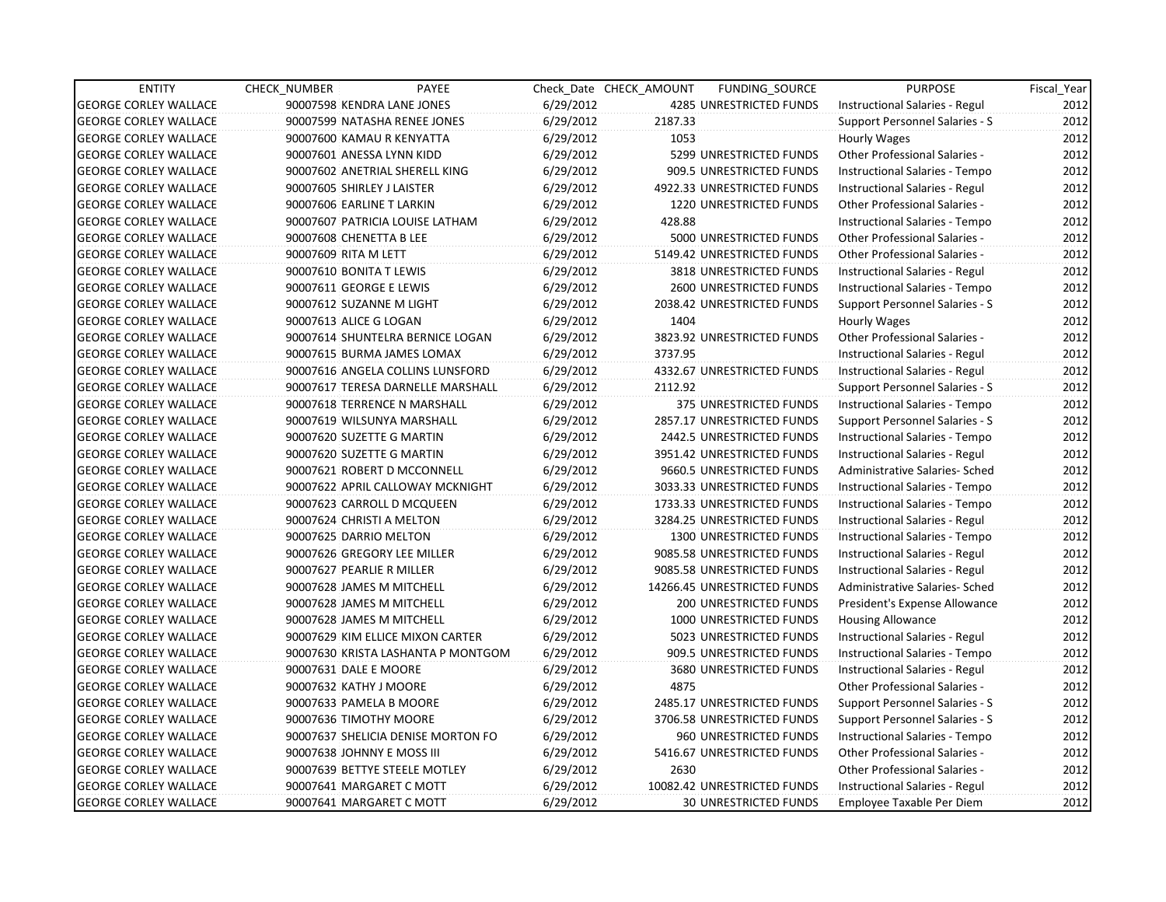| <b>ENTITY</b>                | CHECK_NUMBER                | PAYEE                              |           | Check Date CHECK AMOUNT | FUNDING_SOURCE               | <b>PURPOSE</b>                        | Fiscal_Year |
|------------------------------|-----------------------------|------------------------------------|-----------|-------------------------|------------------------------|---------------------------------------|-------------|
| <b>GEORGE CORLEY WALLACE</b> | 90007598 KENDRA LANE JONES  |                                    | 6/29/2012 |                         | 4285 UNRESTRICTED FUNDS      | Instructional Salaries - Regul        | 2012        |
| <b>GEORGE CORLEY WALLACE</b> |                             | 90007599 NATASHA RENEE JONES       | 6/29/2012 | 2187.33                 |                              | Support Personnel Salaries - S        | 2012        |
| <b>GEORGE CORLEY WALLACE</b> | 90007600 KAMAU R KENYATTA   |                                    | 6/29/2012 | 1053                    |                              | Hourly Wages                          | 2012        |
| <b>GEORGE CORLEY WALLACE</b> | 90007601 ANESSA LYNN KIDD   |                                    | 6/29/2012 |                         | 5299 UNRESTRICTED FUNDS      | <b>Other Professional Salaries -</b>  | 2012        |
| <b>GEORGE CORLEY WALLACE</b> |                             | 90007602 ANETRIAL SHERELL KING     | 6/29/2012 |                         | 909.5 UNRESTRICTED FUNDS     | Instructional Salaries - Tempo        | 2012        |
| <b>GEORGE CORLEY WALLACE</b> | 90007605 SHIRLEY J LAISTER  |                                    | 6/29/2012 |                         | 4922.33 UNRESTRICTED FUNDS   | Instructional Salaries - Regul        | 2012        |
| <b>GEORGE CORLEY WALLACE</b> | 90007606 EARLINE T LARKIN   |                                    | 6/29/2012 |                         | 1220 UNRESTRICTED FUNDS      | <b>Other Professional Salaries -</b>  | 2012        |
| <b>GEORGE CORLEY WALLACE</b> |                             | 90007607 PATRICIA LOUISE LATHAM    | 6/29/2012 | 428.88                  |                              | Instructional Salaries - Tempo        | 2012        |
| <b>GEORGE CORLEY WALLACE</b> | 90007608 CHENETTA B LEE     |                                    | 6/29/2012 |                         | 5000 UNRESTRICTED FUNDS      | Other Professional Salaries -         | 2012        |
| <b>GEORGE CORLEY WALLACE</b> | 90007609 RITA M LETT        |                                    | 6/29/2012 |                         | 5149.42 UNRESTRICTED FUNDS   | Other Professional Salaries -         | 2012        |
| <b>GEORGE CORLEY WALLACE</b> | 90007610 BONITA T LEWIS     |                                    | 6/29/2012 |                         | 3818 UNRESTRICTED FUNDS      | Instructional Salaries - Regul        | 2012        |
| <b>GEORGE CORLEY WALLACE</b> | 90007611 GEORGE E LEWIS     |                                    | 6/29/2012 |                         | 2600 UNRESTRICTED FUNDS      | Instructional Salaries - Tempo        | 2012        |
| <b>GEORGE CORLEY WALLACE</b> | 90007612 SUZANNE M LIGHT    |                                    | 6/29/2012 |                         | 2038.42 UNRESTRICTED FUNDS   | Support Personnel Salaries - S        | 2012        |
| <b>GEORGE CORLEY WALLACE</b> | 90007613 ALICE G LOGAN      |                                    | 6/29/2012 | 1404                    |                              | Hourly Wages                          | 2012        |
| <b>GEORGE CORLEY WALLACE</b> |                             | 90007614 SHUNTELRA BERNICE LOGAN   | 6/29/2012 |                         | 3823.92 UNRESTRICTED FUNDS   | <b>Other Professional Salaries -</b>  | 2012        |
| <b>GEORGE CORLEY WALLACE</b> |                             | 90007615 BURMA JAMES LOMAX         | 6/29/2012 | 3737.95                 |                              | Instructional Salaries - Regul        | 2012        |
| <b>GEORGE CORLEY WALLACE</b> |                             | 90007616 ANGELA COLLINS LUNSFORD   | 6/29/2012 |                         | 4332.67 UNRESTRICTED FUNDS   | Instructional Salaries - Regul        | 2012        |
| <b>GEORGE CORLEY WALLACE</b> |                             | 90007617 TERESA DARNELLE MARSHALL  | 6/29/2012 | 2112.92                 |                              | Support Personnel Salaries - S        | 2012        |
| <b>GEORGE CORLEY WALLACE</b> |                             | 90007618 TERRENCE N MARSHALL       | 6/29/2012 |                         | 375 UNRESTRICTED FUNDS       | Instructional Salaries - Tempo        | 2012        |
| <b>GEORGE CORLEY WALLACE</b> |                             | 90007619 WILSUNYA MARSHALL         | 6/29/2012 |                         | 2857.17 UNRESTRICTED FUNDS   | Support Personnel Salaries - S        | 2012        |
| <b>GEORGE CORLEY WALLACE</b> | 90007620 SUZETTE G MARTIN   |                                    | 6/29/2012 |                         | 2442.5 UNRESTRICTED FUNDS    | Instructional Salaries - Tempo        | 2012        |
| <b>GEORGE CORLEY WALLACE</b> | 90007620 SUZETTE G MARTIN   |                                    | 6/29/2012 |                         | 3951.42 UNRESTRICTED FUNDS   | Instructional Salaries - Regul        | 2012        |
| <b>GEORGE CORLEY WALLACE</b> |                             | 90007621 ROBERT D MCCONNELL        | 6/29/2012 |                         | 9660.5 UNRESTRICTED FUNDS    | Administrative Salaries- Sched        | 2012        |
| <b>GEORGE CORLEY WALLACE</b> |                             | 90007622 APRIL CALLOWAY MCKNIGHT   | 6/29/2012 |                         | 3033.33 UNRESTRICTED FUNDS   | Instructional Salaries - Tempo        | 2012        |
| <b>GEORGE CORLEY WALLACE</b> |                             | 90007623 CARROLL D MCQUEEN         | 6/29/2012 |                         | 1733.33 UNRESTRICTED FUNDS   | Instructional Salaries - Tempo        | 2012        |
| <b>GEORGE CORLEY WALLACE</b> | 90007624 CHRISTI A MELTON   |                                    | 6/29/2012 |                         | 3284.25 UNRESTRICTED FUNDS   | Instructional Salaries - Regul        | 2012        |
| <b>GEORGE CORLEY WALLACE</b> | 90007625 DARRIO MELTON      |                                    | 6/29/2012 |                         | 1300 UNRESTRICTED FUNDS      | Instructional Salaries - Tempo        | 2012        |
| <b>GEORGE CORLEY WALLACE</b> | 90007626 GREGORY LEE MILLER |                                    | 6/29/2012 |                         | 9085.58 UNRESTRICTED FUNDS   | Instructional Salaries - Regul        | 2012        |
| <b>GEORGE CORLEY WALLACE</b> | 90007627 PEARLIE R MILLER   |                                    | 6/29/2012 |                         | 9085.58 UNRESTRICTED FUNDS   | Instructional Salaries - Regul        | 2012        |
| <b>GEORGE CORLEY WALLACE</b> | 90007628 JAMES M MITCHELL   |                                    | 6/29/2012 |                         | 14266.45 UNRESTRICTED FUNDS  | Administrative Salaries- Sched        | 2012        |
| <b>GEORGE CORLEY WALLACE</b> | 90007628 JAMES M MITCHELL   |                                    | 6/29/2012 |                         | 200 UNRESTRICTED FUNDS       | President's Expense Allowance         | 2012        |
| <b>GEORGE CORLEY WALLACE</b> | 90007628 JAMES M MITCHELL   |                                    | 6/29/2012 |                         | 1000 UNRESTRICTED FUNDS      | <b>Housing Allowance</b>              | 2012        |
| <b>GEORGE CORLEY WALLACE</b> |                             | 90007629 KIM ELLICE MIXON CARTER   | 6/29/2012 |                         | 5023 UNRESTRICTED FUNDS      | Instructional Salaries - Regul        | 2012        |
| <b>GEORGE CORLEY WALLACE</b> |                             | 90007630 KRISTA LASHANTA P MONTGOM | 6/29/2012 |                         | 909.5 UNRESTRICTED FUNDS     | Instructional Salaries - Tempo        | 2012        |
| <b>GEORGE CORLEY WALLACE</b> | 90007631 DALE E MOORE       |                                    | 6/29/2012 |                         | 3680 UNRESTRICTED FUNDS      | Instructional Salaries - Regul        | 2012        |
| <b>GEORGE CORLEY WALLACE</b> | 90007632 KATHY J MOORE      |                                    | 6/29/2012 | 4875                    |                              | <b>Other Professional Salaries -</b>  | 2012        |
| <b>GEORGE CORLEY WALLACE</b> | 90007633 PAMELA B MOORE     |                                    | 6/29/2012 |                         | 2485.17 UNRESTRICTED FUNDS   | Support Personnel Salaries - S        | 2012        |
| <b>GEORGE CORLEY WALLACE</b> | 90007636 TIMOTHY MOORE      |                                    | 6/29/2012 |                         | 3706.58 UNRESTRICTED FUNDS   | <b>Support Personnel Salaries - S</b> | 2012        |
| <b>GEORGE CORLEY WALLACE</b> |                             | 90007637 SHELICIA DENISE MORTON FO | 6/29/2012 |                         | 960 UNRESTRICTED FUNDS       | Instructional Salaries - Tempo        | 2012        |
| <b>GEORGE CORLEY WALLACE</b> | 90007638 JOHNNY E MOSS III  |                                    | 6/29/2012 |                         | 5416.67 UNRESTRICTED FUNDS   | Other Professional Salaries -         | 2012        |
| <b>GEORGE CORLEY WALLACE</b> |                             | 90007639 BETTYE STEELE MOTLEY      | 6/29/2012 | 2630                    |                              | Other Professional Salaries -         | 2012        |
| <b>GEORGE CORLEY WALLACE</b> | 90007641 MARGARET C MOTT    |                                    | 6/29/2012 |                         | 10082.42 UNRESTRICTED FUNDS  | Instructional Salaries - Regul        | 2012        |
| <b>GEORGE CORLEY WALLACE</b> | 90007641 MARGARET C MOTT    |                                    | 6/29/2012 |                         | <b>30 UNRESTRICTED FUNDS</b> | Employee Taxable Per Diem             | 2012        |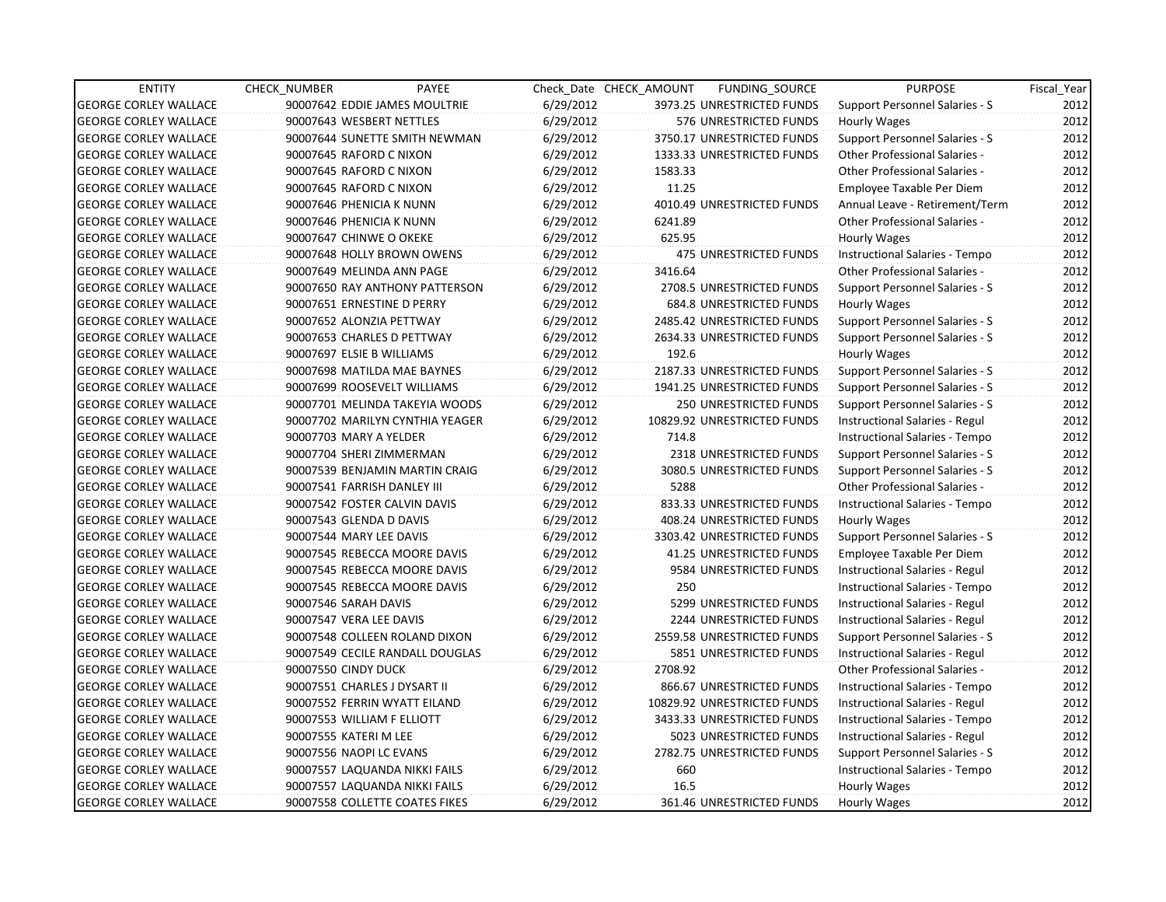| <b>ENTITY</b>                | <b>CHECK NUMBER</b>           | PAYEE                           |           | Check Date CHECK AMOUNT | FUNDING_SOURCE                | <b>PURPOSE</b>                        | Fiscal_Year |
|------------------------------|-------------------------------|---------------------------------|-----------|-------------------------|-------------------------------|---------------------------------------|-------------|
| <b>GEORGE CORLEY WALLACE</b> |                               | 90007642 EDDIE JAMES MOULTRIE   | 6/29/2012 |                         | 3973.25 UNRESTRICTED FUNDS    | Support Personnel Salaries - S        | 2012        |
| <b>GEORGE CORLEY WALLACE</b> | 90007643 WESBERT NETTLES      |                                 | 6/29/2012 |                         | 576 UNRESTRICTED FUNDS        | Hourly Wages                          | 2012        |
| <b>GEORGE CORLEY WALLACE</b> |                               | 90007644 SUNETTE SMITH NEWMAN   | 6/29/2012 |                         | 3750.17 UNRESTRICTED FUNDS    | Support Personnel Salaries - S        | 2012        |
| <b>GEORGE CORLEY WALLACE</b> | 90007645 RAFORD C NIXON       |                                 | 6/29/2012 |                         | 1333.33 UNRESTRICTED FUNDS    | <b>Other Professional Salaries -</b>  | 2012        |
| <b>GEORGE CORLEY WALLACE</b> | 90007645 RAFORD C NIXON       |                                 | 6/29/2012 | 1583.33                 |                               | <b>Other Professional Salaries -</b>  | 2012        |
| <b>GEORGE CORLEY WALLACE</b> | 90007645 RAFORD C NIXON       |                                 | 6/29/2012 | 11.25                   |                               | Employee Taxable Per Diem             | 2012        |
| <b>GEORGE CORLEY WALLACE</b> | 90007646 PHENICIA K NUNN      |                                 | 6/29/2012 |                         | 4010.49 UNRESTRICTED FUNDS    | Annual Leave - Retirement/Term        | 2012        |
| <b>GEORGE CORLEY WALLACE</b> | 90007646 PHENICIA K NUNN      |                                 | 6/29/2012 | 6241.89                 |                               | <b>Other Professional Salaries -</b>  | 2012        |
| <b>GEORGE CORLEY WALLACE</b> | 90007647 CHINWE O OKEKE       |                                 | 6/29/2012 | 625.95                  |                               | Hourly Wages                          | 2012        |
| <b>GEORGE CORLEY WALLACE</b> | 90007648 HOLLY BROWN OWENS    |                                 | 6/29/2012 |                         | <b>475 UNRESTRICTED FUNDS</b> | Instructional Salaries - Tempo        | 2012        |
| <b>GEORGE CORLEY WALLACE</b> | 90007649 MELINDA ANN PAGE     |                                 | 6/29/2012 | 3416.64                 |                               | Other Professional Salaries -         | 2012        |
| <b>GEORGE CORLEY WALLACE</b> |                               | 90007650 RAY ANTHONY PATTERSON  | 6/29/2012 |                         | 2708.5 UNRESTRICTED FUNDS     | Support Personnel Salaries - S        | 2012        |
| <b>GEORGE CORLEY WALLACE</b> | 90007651 ERNESTINE D PERRY    |                                 | 6/29/2012 |                         | 684.8 UNRESTRICTED FUNDS      | Hourly Wages                          | 2012        |
| <b>GEORGE CORLEY WALLACE</b> | 90007652 ALONZIA PETTWAY      |                                 | 6/29/2012 |                         | 2485.42 UNRESTRICTED FUNDS    | Support Personnel Salaries - S        | 2012        |
| <b>GEORGE CORLEY WALLACE</b> | 90007653 CHARLES D PETTWAY    |                                 | 6/29/2012 |                         | 2634.33 UNRESTRICTED FUNDS    | Support Personnel Salaries - S        | 2012        |
| <b>GEORGE CORLEY WALLACE</b> | 90007697 ELSIE B WILLIAMS     |                                 | 6/29/2012 | 192.6                   |                               | Hourly Wages                          | 2012        |
| <b>GEORGE CORLEY WALLACE</b> | 90007698 MATILDA MAE BAYNES   |                                 | 6/29/2012 |                         | 2187.33 UNRESTRICTED FUNDS    | Support Personnel Salaries - S        | 2012        |
| <b>GEORGE CORLEY WALLACE</b> | 90007699 ROOSEVELT WILLIAMS   |                                 | 6/29/2012 |                         | 1941.25 UNRESTRICTED FUNDS    | <b>Support Personnel Salaries - S</b> | 2012        |
| <b>GEORGE CORLEY WALLACE</b> |                               | 90007701 MELINDA TAKEYIA WOODS  | 6/29/2012 |                         | 250 UNRESTRICTED FUNDS        | Support Personnel Salaries - S        | 2012        |
| <b>GEORGE CORLEY WALLACE</b> |                               | 90007702 MARILYN CYNTHIA YEAGER | 6/29/2012 |                         | 10829.92 UNRESTRICTED FUNDS   | Instructional Salaries - Regul        | 2012        |
| <b>GEORGE CORLEY WALLACE</b> | 90007703 MARY A YELDER        |                                 | 6/29/2012 | 714.8                   |                               | Instructional Salaries - Tempo        | 2012        |
| <b>GEORGE CORLEY WALLACE</b> | 90007704 SHERI ZIMMERMAN      |                                 | 6/29/2012 |                         | 2318 UNRESTRICTED FUNDS       | Support Personnel Salaries - S        | 2012        |
| <b>GEORGE CORLEY WALLACE</b> |                               | 90007539 BENJAMIN MARTIN CRAIG  | 6/29/2012 |                         | 3080.5 UNRESTRICTED FUNDS     | Support Personnel Salaries - S        | 2012        |
| <b>GEORGE CORLEY WALLACE</b> | 90007541 FARRISH DANLEY III   |                                 | 6/29/2012 | 5288                    |                               | <b>Other Professional Salaries -</b>  | 2012        |
| <b>GEORGE CORLEY WALLACE</b> | 90007542 FOSTER CALVIN DAVIS  |                                 | 6/29/2012 |                         | 833.33 UNRESTRICTED FUNDS     | Instructional Salaries - Tempo        | 2012        |
| <b>GEORGE CORLEY WALLACE</b> | 90007543 GLENDA D DAVIS       |                                 | 6/29/2012 |                         | 408.24 UNRESTRICTED FUNDS     | Hourly Wages                          | 2012        |
| <b>GEORGE CORLEY WALLACE</b> | 90007544 MARY LEE DAVIS       |                                 | 6/29/2012 |                         | 3303.42 UNRESTRICTED FUNDS    | Support Personnel Salaries - S        | 2012        |
| <b>GEORGE CORLEY WALLACE</b> |                               | 90007545 REBECCA MOORE DAVIS    | 6/29/2012 |                         | 41.25 UNRESTRICTED FUNDS      | Employee Taxable Per Diem             | 2012        |
| <b>GEORGE CORLEY WALLACE</b> |                               | 90007545 REBECCA MOORE DAVIS    | 6/29/2012 |                         | 9584 UNRESTRICTED FUNDS       | Instructional Salaries - Regul        | 2012        |
| <b>GEORGE CORLEY WALLACE</b> |                               | 90007545 REBECCA MOORE DAVIS    | 6/29/2012 | 250                     |                               | Instructional Salaries - Tempo        | 2012        |
| <b>GEORGE CORLEY WALLACE</b> | 90007546 SARAH DAVIS          |                                 | 6/29/2012 |                         | 5299 UNRESTRICTED FUNDS       | Instructional Salaries - Regul        | 2012        |
| <b>GEORGE CORLEY WALLACE</b> | 90007547 VERA LEE DAVIS       |                                 | 6/29/2012 |                         | 2244 UNRESTRICTED FUNDS       | Instructional Salaries - Regul        | 2012        |
| <b>GEORGE CORLEY WALLACE</b> |                               | 90007548 COLLEEN ROLAND DIXON   | 6/29/2012 |                         | 2559.58 UNRESTRICTED FUNDS    | Support Personnel Salaries - S        | 2012        |
| <b>GEORGE CORLEY WALLACE</b> |                               | 90007549 CECILE RANDALL DOUGLAS | 6/29/2012 |                         | 5851 UNRESTRICTED FUNDS       | Instructional Salaries - Regul        | 2012        |
| <b>GEORGE CORLEY WALLACE</b> | 90007550 CINDY DUCK           |                                 | 6/29/2012 | 2708.92                 |                               | <b>Other Professional Salaries -</b>  | 2012        |
| <b>GEORGE CORLEY WALLACE</b> | 90007551 CHARLES J DYSART II  |                                 | 6/29/2012 |                         | 866.67 UNRESTRICTED FUNDS     | Instructional Salaries - Tempo        | 2012        |
| <b>GEORGE CORLEY WALLACE</b> | 90007552 FERRIN WYATT EILAND  |                                 | 6/29/2012 |                         | 10829.92 UNRESTRICTED FUNDS   | Instructional Salaries - Regul        | 2012        |
| <b>GEORGE CORLEY WALLACE</b> | 90007553 WILLIAM F ELLIOTT    |                                 | 6/29/2012 |                         | 3433.33 UNRESTRICTED FUNDS    | Instructional Salaries - Tempo        | 2012        |
| <b>GEORGE CORLEY WALLACE</b> | 90007555 KATERI M LEE         |                                 | 6/29/2012 |                         | 5023 UNRESTRICTED FUNDS       | Instructional Salaries - Regul        | 2012        |
| <b>GEORGE CORLEY WALLACE</b> | 90007556 NAOPI LC EVANS       |                                 | 6/29/2012 |                         | 2782.75 UNRESTRICTED FUNDS    | Support Personnel Salaries - S        | 2012        |
| <b>GEORGE CORLEY WALLACE</b> | 90007557 LAQUANDA NIKKI FAILS |                                 | 6/29/2012 | 660                     |                               | Instructional Salaries - Tempo        | 2012        |
| <b>GEORGE CORLEY WALLACE</b> | 90007557 LAQUANDA NIKKI FAILS |                                 | 6/29/2012 | 16.5                    |                               | Hourly Wages                          | 2012        |
| <b>GEORGE CORLEY WALLACE</b> |                               | 90007558 COLLETTE COATES FIKES  | 6/29/2012 |                         | 361.46 UNRESTRICTED FUNDS     | Hourly Wages                          | 2012        |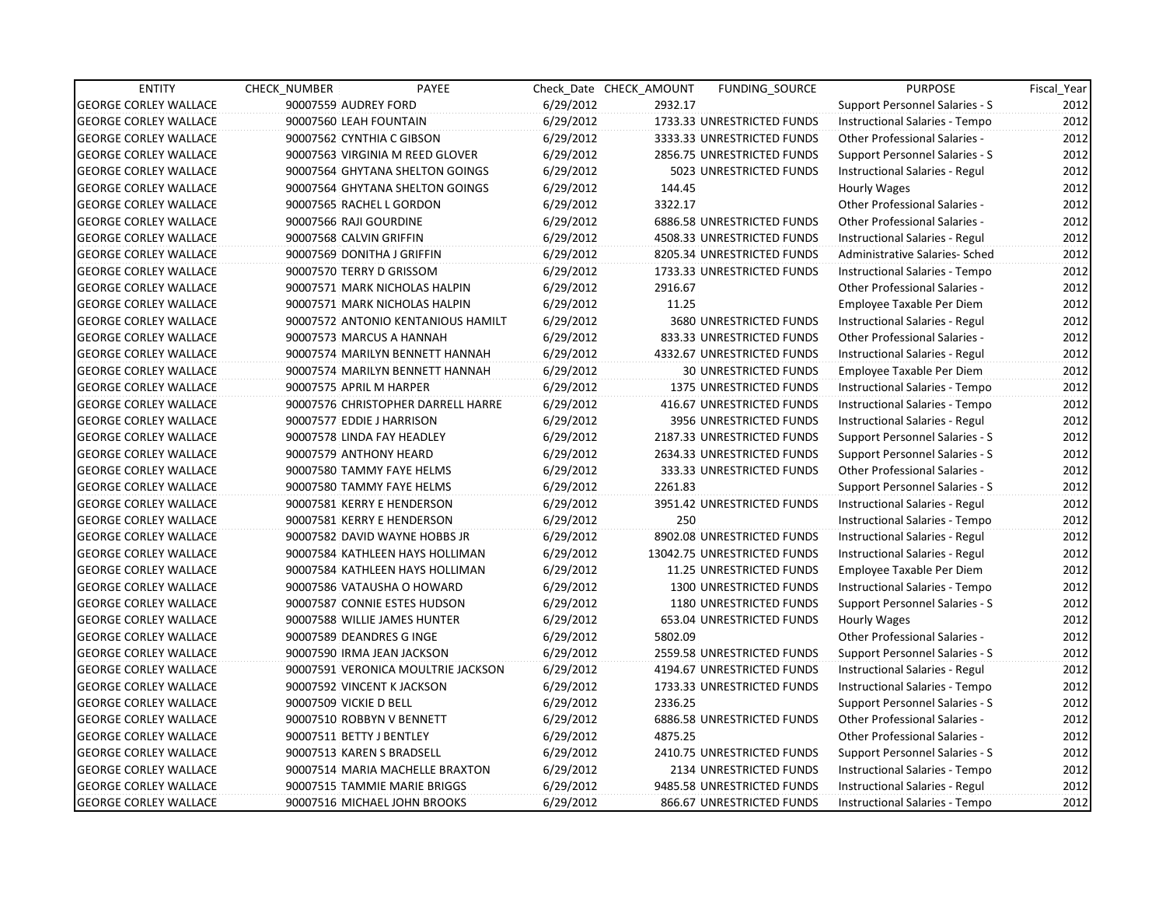| <b>ENTITY</b>                | <b>CHECK NUMBER</b> | PAYEE                              |           | Check Date CHECK AMOUNT | <b>FUNDING SOURCE</b>          | <b>PURPOSE</b>                       | Fiscal Year |
|------------------------------|---------------------|------------------------------------|-----------|-------------------------|--------------------------------|--------------------------------------|-------------|
| <b>GEORGE CORLEY WALLACE</b> |                     | 90007559 AUDREY FORD               | 6/29/2012 | 2932.17                 |                                | Support Personnel Salaries - S       | 2012        |
| <b>GEORGE CORLEY WALLACE</b> |                     | 90007560 LEAH FOUNTAIN             | 6/29/2012 |                         | 1733.33 UNRESTRICTED FUNDS     | Instructional Salaries - Tempo       | 2012        |
| <b>GEORGE CORLEY WALLACE</b> |                     | 90007562 CYNTHIA C GIBSON          | 6/29/2012 |                         | 3333.33 UNRESTRICTED FUNDS     | <b>Other Professional Salaries -</b> | 2012        |
| <b>GEORGE CORLEY WALLACE</b> |                     | 90007563 VIRGINIA M REED GLOVER    | 6/29/2012 |                         | 2856.75 UNRESTRICTED FUNDS     | Support Personnel Salaries - S       | 2012        |
| <b>GEORGE CORLEY WALLACE</b> |                     | 90007564 GHYTANA SHELTON GOINGS    | 6/29/2012 |                         | 5023 UNRESTRICTED FUNDS        | Instructional Salaries - Regul       | 2012        |
| <b>GEORGE CORLEY WALLACE</b> |                     | 90007564 GHYTANA SHELTON GOINGS    | 6/29/2012 | 144.45                  |                                | Hourly Wages                         | 2012        |
| <b>GEORGE CORLEY WALLACE</b> |                     | 90007565 RACHEL L GORDON           | 6/29/2012 | 3322.17                 |                                | <b>Other Professional Salaries -</b> | 2012        |
| <b>GEORGE CORLEY WALLACE</b> |                     | 90007566 RAJI GOURDINE             | 6/29/2012 |                         | 6886.58 UNRESTRICTED FUNDS     | <b>Other Professional Salaries -</b> | 2012        |
| <b>GEORGE CORLEY WALLACE</b> |                     | 90007568 CALVIN GRIFFIN            | 6/29/2012 |                         | 4508.33 UNRESTRICTED FUNDS     | Instructional Salaries - Regul       | 2012        |
| <b>GEORGE CORLEY WALLACE</b> |                     | 90007569 DONITHA J GRIFFIN         | 6/29/2012 |                         | 8205.34 UNRESTRICTED FUNDS     | Administrative Salaries- Sched       | 2012        |
| <b>GEORGE CORLEY WALLACE</b> |                     | 90007570 TERRY D GRISSOM           | 6/29/2012 |                         | 1733.33 UNRESTRICTED FUNDS     | Instructional Salaries - Tempo       | 2012        |
| <b>GEORGE CORLEY WALLACE</b> |                     | 90007571 MARK NICHOLAS HALPIN      | 6/29/2012 | 2916.67                 |                                | <b>Other Professional Salaries -</b> | 2012        |
| <b>GEORGE CORLEY WALLACE</b> |                     | 90007571 MARK NICHOLAS HALPIN      | 6/29/2012 | 11.25                   |                                | Employee Taxable Per Diem            | 2012        |
| <b>GEORGE CORLEY WALLACE</b> |                     | 90007572 ANTONIO KENTANIOUS HAMILT | 6/29/2012 |                         | 3680 UNRESTRICTED FUNDS        | Instructional Salaries - Regul       | 2012        |
| <b>GEORGE CORLEY WALLACE</b> |                     | 90007573 MARCUS A HANNAH           | 6/29/2012 |                         | 833.33 UNRESTRICTED FUNDS      | <b>Other Professional Salaries -</b> | 2012        |
| <b>GEORGE CORLEY WALLACE</b> |                     | 90007574 MARILYN BENNETT HANNAH    | 6/29/2012 |                         | 4332.67 UNRESTRICTED FUNDS     | Instructional Salaries - Regul       | 2012        |
| <b>GEORGE CORLEY WALLACE</b> |                     | 90007574 MARILYN BENNETT HANNAH    | 6/29/2012 |                         | <b>30 UNRESTRICTED FUNDS</b>   | Employee Taxable Per Diem            | 2012        |
| <b>GEORGE CORLEY WALLACE</b> |                     | 90007575 APRIL M HARPER            | 6/29/2012 |                         | <b>1375 UNRESTRICTED FUNDS</b> | Instructional Salaries - Tempo       | 2012        |
| <b>GEORGE CORLEY WALLACE</b> |                     | 90007576 CHRISTOPHER DARRELL HARRE | 6/29/2012 |                         | 416.67 UNRESTRICTED FUNDS      | Instructional Salaries - Tempo       | 2012        |
| <b>GEORGE CORLEY WALLACE</b> |                     | 90007577 EDDIE J HARRISON          | 6/29/2012 |                         | 3956 UNRESTRICTED FUNDS        | Instructional Salaries - Regul       | 2012        |
| <b>GEORGE CORLEY WALLACE</b> |                     | 90007578 LINDA FAY HEADLEY         | 6/29/2012 |                         | 2187.33 UNRESTRICTED FUNDS     | Support Personnel Salaries - S       | 2012        |
| <b>GEORGE CORLEY WALLACE</b> |                     | 90007579 ANTHONY HEARD             | 6/29/2012 |                         | 2634.33 UNRESTRICTED FUNDS     | Support Personnel Salaries - S       | 2012        |
| <b>GEORGE CORLEY WALLACE</b> |                     | 90007580 TAMMY FAYE HELMS          | 6/29/2012 |                         | 333.33 UNRESTRICTED FUNDS      | Other Professional Salaries -        | 2012        |
| <b>GEORGE CORLEY WALLACE</b> |                     | 90007580 TAMMY FAYE HELMS          | 6/29/2012 | 2261.83                 |                                | Support Personnel Salaries - S       | 2012        |
| <b>GEORGE CORLEY WALLACE</b> |                     | 90007581 KERRY E HENDERSON         | 6/29/2012 |                         | 3951.42 UNRESTRICTED FUNDS     | Instructional Salaries - Regul       | 2012        |
| <b>GEORGE CORLEY WALLACE</b> |                     | 90007581 KERRY E HENDERSON         | 6/29/2012 | 250                     |                                | Instructional Salaries - Tempo       | 2012        |
| <b>GEORGE CORLEY WALLACE</b> |                     | 90007582 DAVID WAYNE HOBBS JR      | 6/29/2012 |                         | 8902.08 UNRESTRICTED FUNDS     | Instructional Salaries - Regul       | 2012        |
| <b>GEORGE CORLEY WALLACE</b> |                     | 90007584 KATHLEEN HAYS HOLLIMAN    | 6/29/2012 |                         | 13042.75 UNRESTRICTED FUNDS    | Instructional Salaries - Regul       | 2012        |
| <b>GEORGE CORLEY WALLACE</b> |                     | 90007584 KATHLEEN HAYS HOLLIMAN    | 6/29/2012 |                         | 11.25 UNRESTRICTED FUNDS       | Employee Taxable Per Diem            | 2012        |
| <b>GEORGE CORLEY WALLACE</b> |                     | 90007586 VATAUSHA O HOWARD         | 6/29/2012 |                         | 1300 UNRESTRICTED FUNDS        | Instructional Salaries - Tempo       | 2012        |
| <b>GEORGE CORLEY WALLACE</b> |                     | 90007587 CONNIE ESTES HUDSON       | 6/29/2012 |                         | 1180 UNRESTRICTED FUNDS        | Support Personnel Salaries - S       | 2012        |
| <b>GEORGE CORLEY WALLACE</b> |                     | 90007588 WILLIE JAMES HUNTER       | 6/29/2012 |                         | 653.04 UNRESTRICTED FUNDS      | Hourly Wages                         | 2012        |
| <b>GEORGE CORLEY WALLACE</b> |                     | 90007589 DEANDRES G INGE           | 6/29/2012 | 5802.09                 |                                | Other Professional Salaries -        | 2012        |
| <b>GEORGE CORLEY WALLACE</b> |                     | 90007590 IRMA JEAN JACKSON         | 6/29/2012 |                         | 2559.58 UNRESTRICTED FUNDS     | Support Personnel Salaries - S       | 2012        |
| <b>GEORGE CORLEY WALLACE</b> |                     | 90007591 VERONICA MOULTRIE JACKSON | 6/29/2012 |                         | 4194.67 UNRESTRICTED FUNDS     | Instructional Salaries - Regul       | 2012        |
| <b>GEORGE CORLEY WALLACE</b> |                     | 90007592 VINCENT K JACKSON         | 6/29/2012 |                         | 1733.33 UNRESTRICTED FUNDS     | Instructional Salaries - Tempo       | 2012        |
| <b>GEORGE CORLEY WALLACE</b> |                     | 90007509 VICKIE D BELL             | 6/29/2012 | 2336.25                 |                                | Support Personnel Salaries - S       | 2012        |
| <b>GEORGE CORLEY WALLACE</b> |                     | 90007510 ROBBYN V BENNETT          | 6/29/2012 |                         | 6886.58 UNRESTRICTED FUNDS     | Other Professional Salaries -        | 2012        |
| <b>GEORGE CORLEY WALLACE</b> |                     | 90007511 BETTY J BENTLEY           | 6/29/2012 | 4875.25                 |                                | Other Professional Salaries -        | 2012        |
| <b>GEORGE CORLEY WALLACE</b> |                     | 90007513 KAREN S BRADSELL          | 6/29/2012 |                         | 2410.75 UNRESTRICTED FUNDS     | Support Personnel Salaries - S       | 2012        |
| <b>GEORGE CORLEY WALLACE</b> |                     | 90007514 MARIA MACHELLE BRAXTON    | 6/29/2012 |                         | 2134 UNRESTRICTED FUNDS        | Instructional Salaries - Tempo       | 2012        |
| <b>GEORGE CORLEY WALLACE</b> |                     | 90007515 TAMMIE MARIE BRIGGS       | 6/29/2012 |                         | 9485.58 UNRESTRICTED FUNDS     | Instructional Salaries - Regul       | 2012        |
| <b>GEORGE CORLEY WALLACE</b> |                     | 90007516 MICHAEL JOHN BROOKS       | 6/29/2012 |                         | 866.67 UNRESTRICTED FUNDS      | Instructional Salaries - Tempo       | 2012        |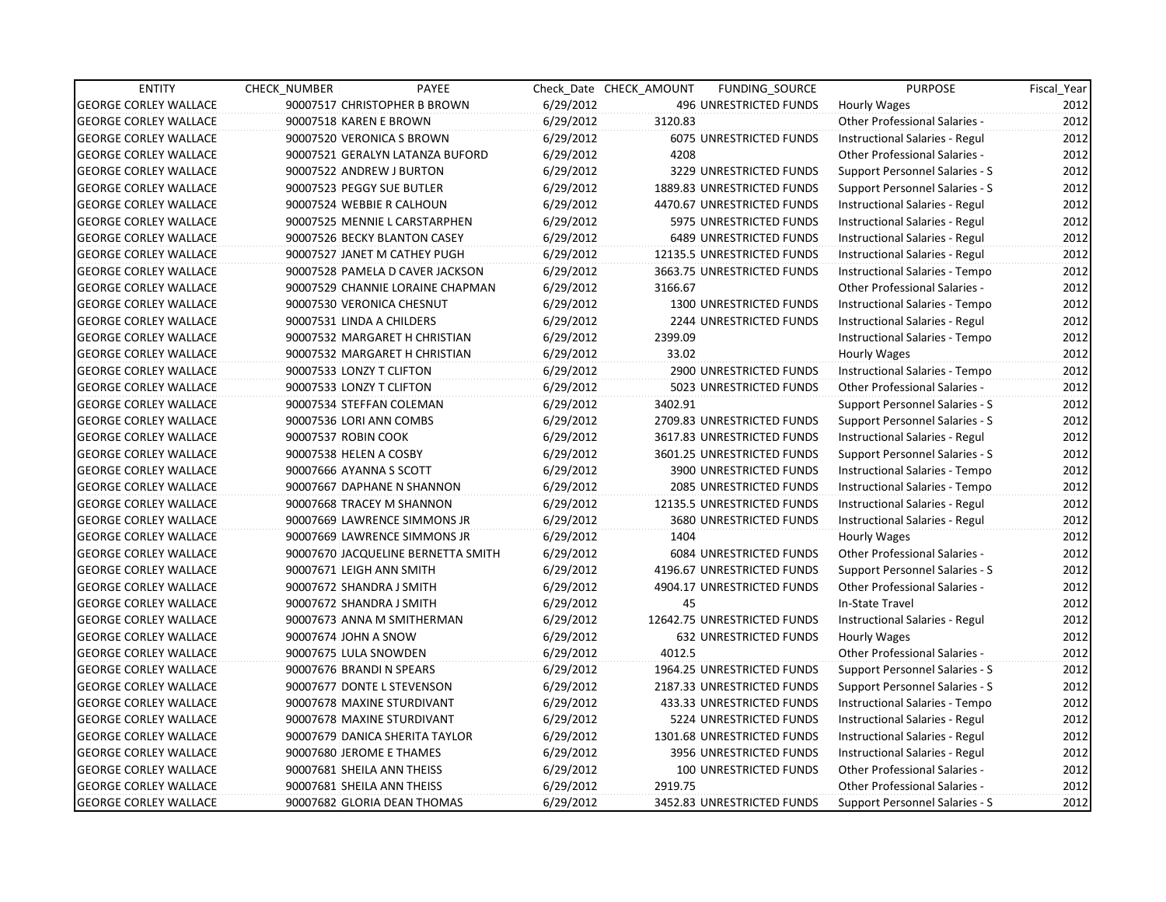| <b>ENTITY</b>                | <b>CHECK NUMBER</b>        | PAYEE                              |           | Check Date CHECK AMOUNT | FUNDING_SOURCE                 | <b>PURPOSE</b>                       | Fiscal_Year |
|------------------------------|----------------------------|------------------------------------|-----------|-------------------------|--------------------------------|--------------------------------------|-------------|
| <b>GEORGE CORLEY WALLACE</b> |                            | 90007517 CHRISTOPHER B BROWN       | 6/29/2012 |                         | 496 UNRESTRICTED FUNDS         | <b>Hourly Wages</b>                  | 2012        |
| <b>GEORGE CORLEY WALLACE</b> | 90007518 KAREN E BROWN     |                                    | 6/29/2012 | 3120.83                 |                                | Other Professional Salaries -        | 2012        |
| <b>GEORGE CORLEY WALLACE</b> | 90007520 VERONICA S BROWN  |                                    | 6/29/2012 |                         | <b>6075 UNRESTRICTED FUNDS</b> | Instructional Salaries - Regul       | 2012        |
| <b>GEORGE CORLEY WALLACE</b> |                            | 90007521 GERALYN LATANZA BUFORD    | 6/29/2012 | 4208                    |                                | Other Professional Salaries -        | 2012        |
| <b>GEORGE CORLEY WALLACE</b> | 90007522 ANDREW J BURTON   |                                    | 6/29/2012 |                         | 3229 UNRESTRICTED FUNDS        | Support Personnel Salaries - S       | 2012        |
| <b>GEORGE CORLEY WALLACE</b> | 90007523 PEGGY SUE BUTLER  |                                    | 6/29/2012 |                         | 1889.83 UNRESTRICTED FUNDS     | Support Personnel Salaries - S       | 2012        |
| <b>GEORGE CORLEY WALLACE</b> | 90007524 WEBBIE R CALHOUN  |                                    | 6/29/2012 |                         | 4470.67 UNRESTRICTED FUNDS     | Instructional Salaries - Regul       | 2012        |
| <b>GEORGE CORLEY WALLACE</b> |                            | 90007525 MENNIE L CARSTARPHEN      | 6/29/2012 |                         | 5975 UNRESTRICTED FUNDS        | Instructional Salaries - Regul       | 2012        |
| <b>GEORGE CORLEY WALLACE</b> |                            | 90007526 BECKY BLANTON CASEY       | 6/29/2012 |                         | <b>6489 UNRESTRICTED FUNDS</b> | Instructional Salaries - Regul       | 2012        |
| <b>GEORGE CORLEY WALLACE</b> |                            | 90007527 JANET M CATHEY PUGH       | 6/29/2012 |                         | 12135.5 UNRESTRICTED FUNDS     | Instructional Salaries - Regul       | 2012        |
| <b>GEORGE CORLEY WALLACE</b> |                            | 90007528 PAMELA D CAVER JACKSON    | 6/29/2012 |                         | 3663.75 UNRESTRICTED FUNDS     | Instructional Salaries - Tempo       | 2012        |
| <b>GEORGE CORLEY WALLACE</b> |                            | 90007529 CHANNIE LORAINE CHAPMAN   | 6/29/2012 | 3166.67                 |                                | Other Professional Salaries -        | 2012        |
| <b>GEORGE CORLEY WALLACE</b> | 90007530 VERONICA CHESNUT  |                                    | 6/29/2012 |                         | 1300 UNRESTRICTED FUNDS        | Instructional Salaries - Tempo       | 2012        |
| <b>GEORGE CORLEY WALLACE</b> | 90007531 LINDA A CHILDERS  |                                    | 6/29/2012 |                         | <b>2244 UNRESTRICTED FUNDS</b> | Instructional Salaries - Regul       | 2012        |
| <b>GEORGE CORLEY WALLACE</b> |                            | 90007532 MARGARET H CHRISTIAN      | 6/29/2012 | 2399.09                 |                                | Instructional Salaries - Tempo       | 2012        |
| <b>GEORGE CORLEY WALLACE</b> |                            | 90007532 MARGARET H CHRISTIAN      | 6/29/2012 | 33.02                   |                                | Hourly Wages                         | 2012        |
| <b>GEORGE CORLEY WALLACE</b> | 90007533 LONZY T CLIFTON   |                                    | 6/29/2012 |                         | 2900 UNRESTRICTED FUNDS        | Instructional Salaries - Tempo       | 2012        |
| <b>GEORGE CORLEY WALLACE</b> | 90007533 LONZY T CLIFTON   |                                    | 6/29/2012 |                         | 5023 UNRESTRICTED FUNDS        | <b>Other Professional Salaries -</b> | 2012        |
| <b>GEORGE CORLEY WALLACE</b> | 90007534 STEFFAN COLEMAN   |                                    | 6/29/2012 | 3402.91                 |                                | Support Personnel Salaries - S       | 2012        |
| <b>GEORGE CORLEY WALLACE</b> | 90007536 LORI ANN COMBS    |                                    | 6/29/2012 |                         | 2709.83 UNRESTRICTED FUNDS     | Support Personnel Salaries - S       | 2012        |
| <b>GEORGE CORLEY WALLACE</b> | 90007537 ROBIN COOK        |                                    | 6/29/2012 |                         | 3617.83 UNRESTRICTED FUNDS     | Instructional Salaries - Regul       | 2012        |
| <b>GEORGE CORLEY WALLACE</b> | 90007538 HELEN A COSBY     |                                    | 6/29/2012 |                         | 3601.25 UNRESTRICTED FUNDS     | Support Personnel Salaries - S       | 2012        |
| <b>GEORGE CORLEY WALLACE</b> | 90007666 AYANNA S SCOTT    |                                    | 6/29/2012 |                         | 3900 UNRESTRICTED FUNDS        | Instructional Salaries - Tempo       | 2012        |
| <b>GEORGE CORLEY WALLACE</b> |                            | 90007667 DAPHANE N SHANNON         | 6/29/2012 |                         | 2085 UNRESTRICTED FUNDS        | Instructional Salaries - Tempo       | 2012        |
| <b>GEORGE CORLEY WALLACE</b> |                            | 90007668 TRACEY M SHANNON          | 6/29/2012 |                         | 12135.5 UNRESTRICTED FUNDS     | Instructional Salaries - Regul       | 2012        |
| <b>GEORGE CORLEY WALLACE</b> |                            | 90007669 LAWRENCE SIMMONS JR       | 6/29/2012 |                         | 3680 UNRESTRICTED FUNDS        | Instructional Salaries - Regul       | 2012        |
| <b>GEORGE CORLEY WALLACE</b> |                            | 90007669 LAWRENCE SIMMONS JR       | 6/29/2012 | 1404                    |                                | Hourly Wages                         | 2012        |
| <b>GEORGE CORLEY WALLACE</b> |                            | 90007670 JACQUELINE BERNETTA SMITH | 6/29/2012 |                         | <b>6084 UNRESTRICTED FUNDS</b> | Other Professional Salaries -        | 2012        |
| <b>GEORGE CORLEY WALLACE</b> | 90007671 LEIGH ANN SMITH   |                                    | 6/29/2012 |                         | 4196.67 UNRESTRICTED FUNDS     | Support Personnel Salaries - S       | 2012        |
| <b>GEORGE CORLEY WALLACE</b> | 90007672 SHANDRA J SMITH   |                                    | 6/29/2012 |                         | 4904.17 UNRESTRICTED FUNDS     | <b>Other Professional Salaries -</b> | 2012        |
| <b>GEORGE CORLEY WALLACE</b> | 90007672 SHANDRA J SMITH   |                                    | 6/29/2012 | 45                      |                                | In-State Travel                      | 2012        |
| <b>GEORGE CORLEY WALLACE</b> |                            | 90007673 ANNA M SMITHERMAN         | 6/29/2012 |                         | 12642.75 UNRESTRICTED FUNDS    | Instructional Salaries - Regul       | 2012        |
| <b>GEORGE CORLEY WALLACE</b> | 90007674 JOHN A SNOW       |                                    | 6/29/2012 |                         | 632 UNRESTRICTED FUNDS         | Hourly Wages                         | 2012        |
| <b>GEORGE CORLEY WALLACE</b> | 90007675 LULA SNOWDEN      |                                    | 6/29/2012 | 4012.5                  |                                | <b>Other Professional Salaries -</b> | 2012        |
| <b>GEORGE CORLEY WALLACE</b> | 90007676 BRANDI N SPEARS   |                                    | 6/29/2012 |                         | 1964.25 UNRESTRICTED FUNDS     | Support Personnel Salaries - S       | 2012        |
| <b>GEORGE CORLEY WALLACE</b> |                            | 90007677 DONTE L STEVENSON         | 6/29/2012 |                         | 2187.33 UNRESTRICTED FUNDS     | Support Personnel Salaries - S       | 2012        |
| <b>GEORGE CORLEY WALLACE</b> |                            | 90007678 MAXINE STURDIVANT         | 6/29/2012 |                         | 433.33 UNRESTRICTED FUNDS      | Instructional Salaries - Tempo       | 2012        |
| <b>GEORGE CORLEY WALLACE</b> |                            | 90007678 MAXINE STURDIVANT         | 6/29/2012 |                         | 5224 UNRESTRICTED FUNDS        | Instructional Salaries - Regul       | 2012        |
| <b>GEORGE CORLEY WALLACE</b> |                            | 90007679 DANICA SHERITA TAYLOR     | 6/29/2012 |                         | 1301.68 UNRESTRICTED FUNDS     | Instructional Salaries - Regul       | 2012        |
| <b>GEORGE CORLEY WALLACE</b> | 90007680 JEROME E THAMES   |                                    | 6/29/2012 |                         | 3956 UNRESTRICTED FUNDS        | Instructional Salaries - Regul       | 2012        |
| <b>GEORGE CORLEY WALLACE</b> | 90007681 SHEILA ANN THEISS |                                    | 6/29/2012 |                         | 100 UNRESTRICTED FUNDS         | Other Professional Salaries -        | 2012        |
| <b>GEORGE CORLEY WALLACE</b> | 90007681 SHEILA ANN THEISS |                                    | 6/29/2012 | 2919.75                 |                                | <b>Other Professional Salaries -</b> | 2012        |
| <b>GEORGE CORLEY WALLACE</b> |                            | 90007682 GLORIA DEAN THOMAS        | 6/29/2012 |                         | 3452.83 UNRESTRICTED FUNDS     | Support Personnel Salaries - S       | 2012        |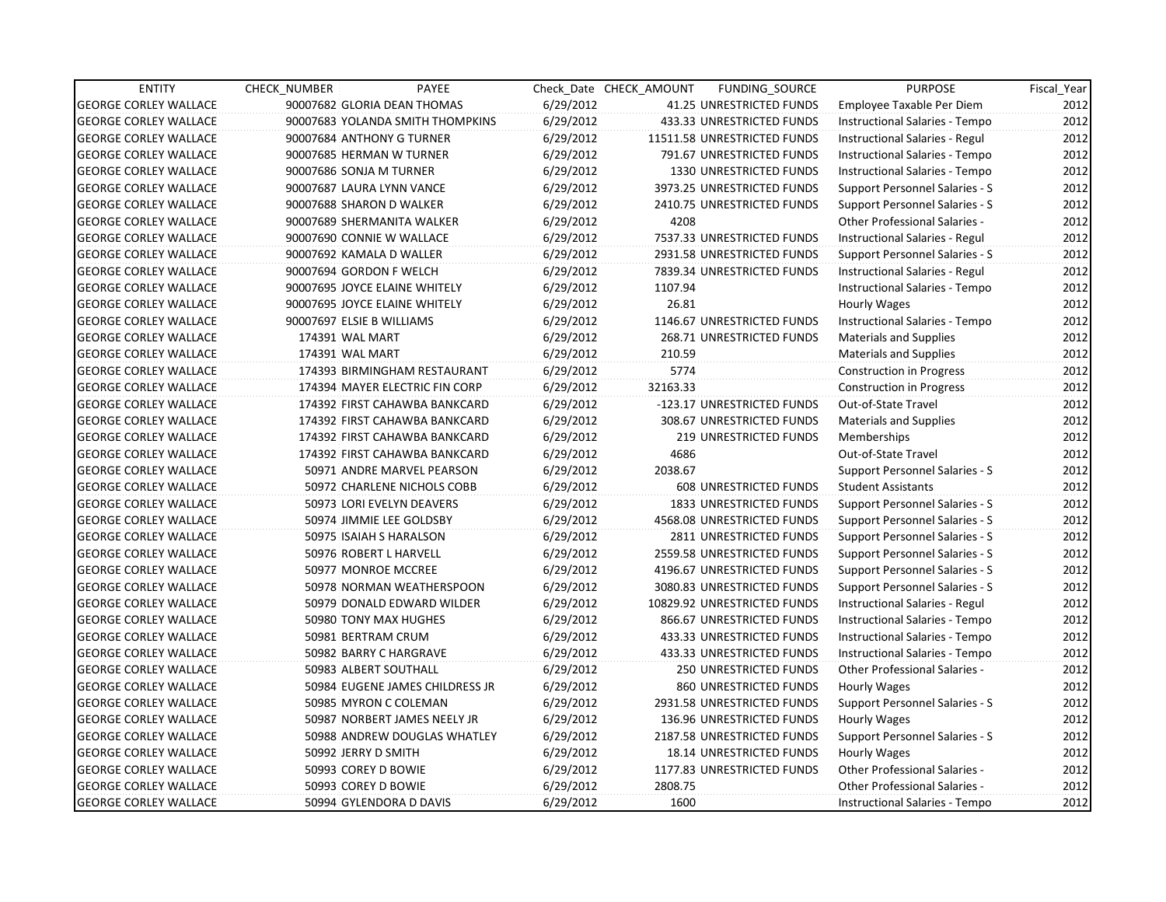| <b>ENTITY</b>                | <b>CHECK NUMBER</b>           | PAYEE                            |           | Check Date CHECK AMOUNT | FUNDING_SOURCE                | <b>PURPOSE</b>                        | Fiscal Year |
|------------------------------|-------------------------------|----------------------------------|-----------|-------------------------|-------------------------------|---------------------------------------|-------------|
| <b>GEORGE CORLEY WALLACE</b> | 90007682 GLORIA DEAN THOMAS   |                                  | 6/29/2012 |                         | 41.25 UNRESTRICTED FUNDS      | Employee Taxable Per Diem             | 2012        |
| <b>GEORGE CORLEY WALLACE</b> |                               | 90007683 YOLANDA SMITH THOMPKINS | 6/29/2012 |                         | 433.33 UNRESTRICTED FUNDS     | Instructional Salaries - Tempo        | 2012        |
| <b>GEORGE CORLEY WALLACE</b> | 90007684 ANTHONY G TURNER     |                                  | 6/29/2012 |                         | 11511.58 UNRESTRICTED FUNDS   | Instructional Salaries - Regul        | 2012        |
| <b>GEORGE CORLEY WALLACE</b> | 90007685 HERMAN W TURNER      |                                  | 6/29/2012 |                         | 791.67 UNRESTRICTED FUNDS     | Instructional Salaries - Tempo        | 2012        |
| <b>GEORGE CORLEY WALLACE</b> | 90007686 SONJA M TURNER       |                                  | 6/29/2012 |                         | 1330 UNRESTRICTED FUNDS       | Instructional Salaries - Tempo        | 2012        |
| <b>GEORGE CORLEY WALLACE</b> | 90007687 LAURA LYNN VANCE     |                                  | 6/29/2012 |                         | 3973.25 UNRESTRICTED FUNDS    | Support Personnel Salaries - S        | 2012        |
| <b>GEORGE CORLEY WALLACE</b> | 90007688 SHARON D WALKER      |                                  | 6/29/2012 |                         | 2410.75 UNRESTRICTED FUNDS    | Support Personnel Salaries - S        | 2012        |
| <b>GEORGE CORLEY WALLACE</b> | 90007689 SHERMANITA WALKER    |                                  | 6/29/2012 | 4208                    |                               | <b>Other Professional Salaries -</b>  | 2012        |
| <b>GEORGE CORLEY WALLACE</b> | 90007690 CONNIE W WALLACE     |                                  | 6/29/2012 |                         | 7537.33 UNRESTRICTED FUNDS    | Instructional Salaries - Regul        | 2012        |
| <b>GEORGE CORLEY WALLACE</b> | 90007692 KAMALA D WALLER      |                                  | 6/29/2012 |                         | 2931.58 UNRESTRICTED FUNDS    | Support Personnel Salaries - S        | 2012        |
| <b>GEORGE CORLEY WALLACE</b> | 90007694 GORDON F WELCH       |                                  | 6/29/2012 |                         | 7839.34 UNRESTRICTED FUNDS    | Instructional Salaries - Regul        | 2012        |
| <b>GEORGE CORLEY WALLACE</b> | 90007695 JOYCE ELAINE WHITELY |                                  | 6/29/2012 | 1107.94                 |                               | Instructional Salaries - Tempo        | 2012        |
| <b>GEORGE CORLEY WALLACE</b> | 90007695 JOYCE ELAINE WHITELY |                                  | 6/29/2012 | 26.81                   |                               | Hourly Wages                          | 2012        |
| <b>GEORGE CORLEY WALLACE</b> | 90007697 ELSIE B WILLIAMS     |                                  | 6/29/2012 |                         | 1146.67 UNRESTRICTED FUNDS    | Instructional Salaries - Tempo        | 2012        |
| <b>GEORGE CORLEY WALLACE</b> | 174391 WAL MART               |                                  | 6/29/2012 |                         | 268.71 UNRESTRICTED FUNDS     | <b>Materials and Supplies</b>         | 2012        |
| <b>GEORGE CORLEY WALLACE</b> | 174391 WAL MART               |                                  | 6/29/2012 | 210.59                  |                               | Materials and Supplies                | 2012        |
| <b>GEORGE CORLEY WALLACE</b> |                               | 174393 BIRMINGHAM RESTAURANT     | 6/29/2012 | 5774                    |                               | <b>Construction in Progress</b>       | 2012        |
| <b>GEORGE CORLEY WALLACE</b> |                               | 174394 MAYER ELECTRIC FIN CORP   | 6/29/2012 | 32163.33                |                               | Construction in Progress              | 2012        |
| <b>GEORGE CORLEY WALLACE</b> |                               | 174392 FIRST CAHAWBA BANKCARD    | 6/29/2012 |                         | -123.17 UNRESTRICTED FUNDS    | Out-of-State Travel                   | 2012        |
| <b>GEORGE CORLEY WALLACE</b> |                               | 174392 FIRST CAHAWBA BANKCARD    | 6/29/2012 |                         | 308.67 UNRESTRICTED FUNDS     | <b>Materials and Supplies</b>         | 2012        |
| <b>GEORGE CORLEY WALLACE</b> |                               | 174392 FIRST CAHAWBA BANKCARD    | 6/29/2012 |                         | <b>219 UNRESTRICTED FUNDS</b> | Memberships                           | 2012        |
| <b>GEORGE CORLEY WALLACE</b> |                               | 174392 FIRST CAHAWBA BANKCARD    | 6/29/2012 | 4686                    |                               | Out-of-State Travel                   | 2012        |
| <b>GEORGE CORLEY WALLACE</b> |                               | 50971 ANDRE MARVEL PEARSON       | 6/29/2012 | 2038.67                 |                               | <b>Support Personnel Salaries - S</b> | 2012        |
| <b>GEORGE CORLEY WALLACE</b> |                               | 50972 CHARLENE NICHOLS COBB      | 6/29/2012 |                         | 608 UNRESTRICTED FUNDS        | <b>Student Assistants</b>             | 2012        |
| <b>GEORGE CORLEY WALLACE</b> |                               | 50973 LORI EVELYN DEAVERS        | 6/29/2012 |                         | 1833 UNRESTRICTED FUNDS       | <b>Support Personnel Salaries - S</b> | 2012        |
| <b>GEORGE CORLEY WALLACE</b> |                               | 50974 JIMMIE LEE GOLDSBY         | 6/29/2012 |                         | 4568.08 UNRESTRICTED FUNDS    | Support Personnel Salaries - S        | 2012        |
| <b>GEORGE CORLEY WALLACE</b> | 50975 ISAIAH S HARALSON       |                                  | 6/29/2012 |                         | 2811 UNRESTRICTED FUNDS       | Support Personnel Salaries - S        | 2012        |
| <b>GEORGE CORLEY WALLACE</b> | 50976 ROBERT L HARVELL        |                                  | 6/29/2012 |                         | 2559.58 UNRESTRICTED FUNDS    | Support Personnel Salaries - S        | 2012        |
| <b>GEORGE CORLEY WALLACE</b> | 50977 MONROE MCCREE           |                                  | 6/29/2012 |                         | 4196.67 UNRESTRICTED FUNDS    | Support Personnel Salaries - S        | 2012        |
| <b>GEORGE CORLEY WALLACE</b> |                               | 50978 NORMAN WEATHERSPOON        | 6/29/2012 |                         | 3080.83 UNRESTRICTED FUNDS    | Support Personnel Salaries - S        | 2012        |
| <b>GEORGE CORLEY WALLACE</b> |                               | 50979 DONALD EDWARD WILDER       | 6/29/2012 |                         | 10829.92 UNRESTRICTED FUNDS   | Instructional Salaries - Regul        | 2012        |
| <b>GEORGE CORLEY WALLACE</b> | 50980 TONY MAX HUGHES         |                                  | 6/29/2012 |                         | 866.67 UNRESTRICTED FUNDS     | Instructional Salaries - Tempo        | 2012        |
| <b>GEORGE CORLEY WALLACE</b> | 50981 BERTRAM CRUM            |                                  | 6/29/2012 |                         | 433.33 UNRESTRICTED FUNDS     | Instructional Salaries - Tempo        | 2012        |
| <b>GEORGE CORLEY WALLACE</b> | 50982 BARRY C HARGRAVE        |                                  | 6/29/2012 |                         | 433.33 UNRESTRICTED FUNDS     | Instructional Salaries - Tempo        | 2012        |
| <b>GEORGE CORLEY WALLACE</b> | 50983 ALBERT SOUTHALL         |                                  | 6/29/2012 |                         | 250 UNRESTRICTED FUNDS        | Other Professional Salaries -         | 2012        |
| <b>GEORGE CORLEY WALLACE</b> |                               | 50984 EUGENE JAMES CHILDRESS JR  | 6/29/2012 |                         | 860 UNRESTRICTED FUNDS        | Hourly Wages                          | 2012        |
| <b>GEORGE CORLEY WALLACE</b> | 50985 MYRON C COLEMAN         |                                  | 6/29/2012 |                         | 2931.58 UNRESTRICTED FUNDS    | Support Personnel Salaries - S        | 2012        |
| <b>GEORGE CORLEY WALLACE</b> |                               | 50987 NORBERT JAMES NEELY JR     | 6/29/2012 |                         | 136.96 UNRESTRICTED FUNDS     | Hourly Wages                          | 2012        |
| <b>GEORGE CORLEY WALLACE</b> |                               | 50988 ANDREW DOUGLAS WHATLEY     | 6/29/2012 |                         | 2187.58 UNRESTRICTED FUNDS    | Support Personnel Salaries - S        | 2012        |
| <b>GEORGE CORLEY WALLACE</b> | 50992 JERRY D SMITH           |                                  | 6/29/2012 |                         | 18.14 UNRESTRICTED FUNDS      | Hourly Wages                          | 2012        |
| <b>GEORGE CORLEY WALLACE</b> | 50993 COREY D BOWIE           |                                  | 6/29/2012 |                         | 1177.83 UNRESTRICTED FUNDS    | Other Professional Salaries -         | 2012        |
| <b>GEORGE CORLEY WALLACE</b> | 50993 COREY D BOWIE           |                                  | 6/29/2012 | 2808.75                 |                               | <b>Other Professional Salaries -</b>  | 2012        |
| <b>GEORGE CORLEY WALLACE</b> |                               | 50994 GYLENDORA D DAVIS          | 6/29/2012 | 1600                    |                               | Instructional Salaries - Tempo        | 2012        |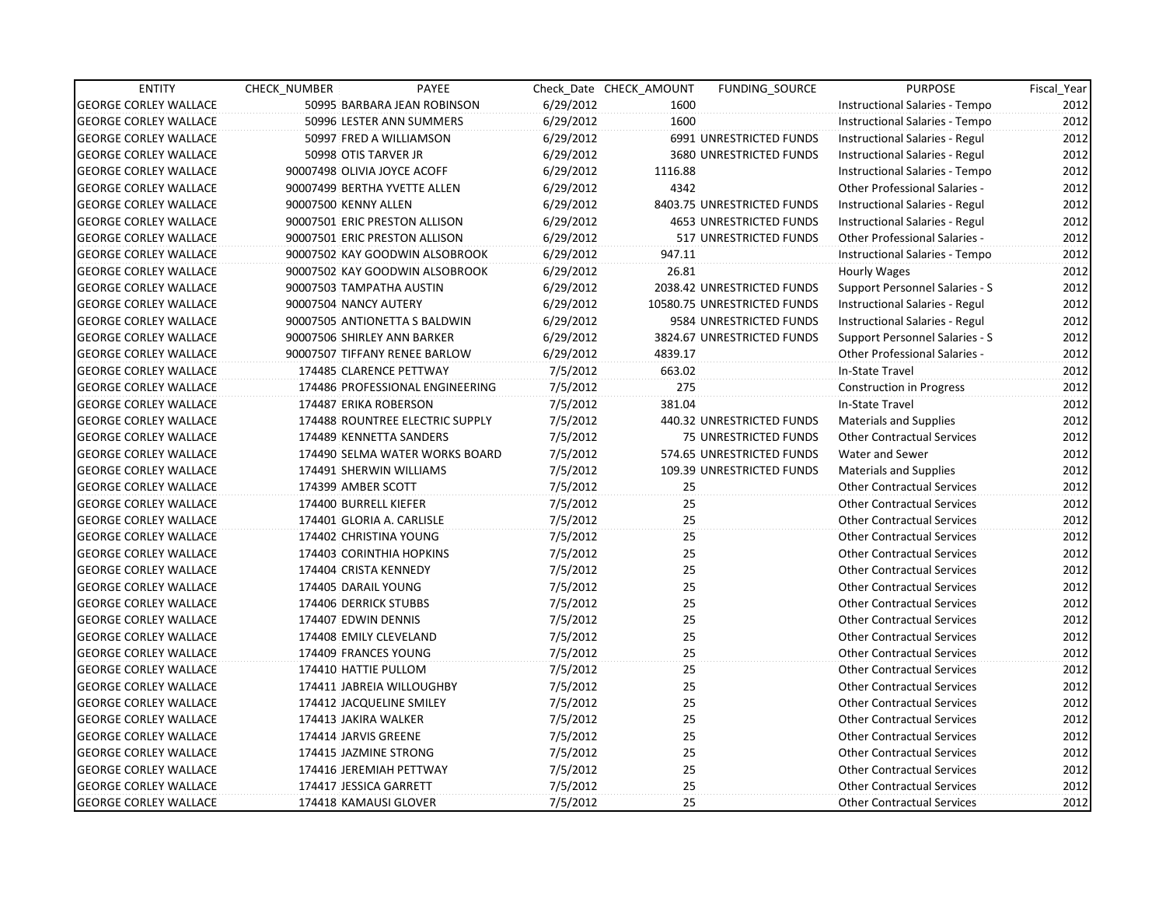| <b>ENTITY</b>                | <b>CHECK NUMBER</b>           | PAYEE                           |           | Check Date CHECK AMOUNT | FUNDING SOURCE                 | <b>PURPOSE</b>                       | Fiscal Year |
|------------------------------|-------------------------------|---------------------------------|-----------|-------------------------|--------------------------------|--------------------------------------|-------------|
| <b>GEORGE CORLEY WALLACE</b> |                               | 50995 BARBARA JEAN ROBINSON     | 6/29/2012 | 1600                    |                                | Instructional Salaries - Tempo       | 2012        |
| <b>GEORGE CORLEY WALLACE</b> |                               | 50996 LESTER ANN SUMMERS        | 6/29/2012 | 1600                    |                                | Instructional Salaries - Tempo       | 2012        |
| <b>GEORGE CORLEY WALLACE</b> |                               | 50997 FRED A WILLIAMSON         | 6/29/2012 |                         | 6991 UNRESTRICTED FUNDS        | Instructional Salaries - Regul       | 2012        |
| <b>GEORGE CORLEY WALLACE</b> | 50998 OTIS TARVER JR          |                                 | 6/29/2012 |                         | 3680 UNRESTRICTED FUNDS        | Instructional Salaries - Regul       | 2012        |
| <b>GEORGE CORLEY WALLACE</b> | 90007498 OLIVIA JOYCE ACOFF   |                                 | 6/29/2012 | 1116.88                 |                                | Instructional Salaries - Tempo       | 2012        |
| <b>GEORGE CORLEY WALLACE</b> | 90007499 BERTHA YVETTE ALLEN  |                                 | 6/29/2012 | 4342                    |                                | <b>Other Professional Salaries -</b> | 2012        |
| <b>GEORGE CORLEY WALLACE</b> | 90007500 KENNY ALLEN          |                                 | 6/29/2012 |                         | 8403.75 UNRESTRICTED FUNDS     | Instructional Salaries - Regul       | 2012        |
| <b>GEORGE CORLEY WALLACE</b> | 90007501 ERIC PRESTON ALLISON |                                 | 6/29/2012 |                         | <b>4653 UNRESTRICTED FUNDS</b> | Instructional Salaries - Regul       | 2012        |
| <b>GEORGE CORLEY WALLACE</b> | 90007501 ERIC PRESTON ALLISON |                                 | 6/29/2012 |                         | 517 UNRESTRICTED FUNDS         | Other Professional Salaries -        | 2012        |
| <b>GEORGE CORLEY WALLACE</b> |                               | 90007502 KAY GOODWIN ALSOBROOK  | 6/29/2012 | 947.11                  |                                | Instructional Salaries - Tempo       | 2012        |
| <b>GEORGE CORLEY WALLACE</b> |                               | 90007502 KAY GOODWIN ALSOBROOK  | 6/29/2012 | 26.81                   |                                | Hourly Wages                         | 2012        |
| <b>GEORGE CORLEY WALLACE</b> | 90007503 TAMPATHA AUSTIN      |                                 | 6/29/2012 |                         | 2038.42 UNRESTRICTED FUNDS     | Support Personnel Salaries - S       | 2012        |
| <b>GEORGE CORLEY WALLACE</b> | 90007504 NANCY AUTERY         |                                 | 6/29/2012 |                         | 10580.75 UNRESTRICTED FUNDS    | Instructional Salaries - Regul       | 2012        |
| <b>GEORGE CORLEY WALLACE</b> |                               | 90007505 ANTIONETTA S BALDWIN   | 6/29/2012 |                         | 9584 UNRESTRICTED FUNDS        | Instructional Salaries - Regul       | 2012        |
| <b>GEORGE CORLEY WALLACE</b> | 90007506 SHIRLEY ANN BARKER   |                                 | 6/29/2012 |                         | 3824.67 UNRESTRICTED FUNDS     | Support Personnel Salaries - S       | 2012        |
| <b>GEORGE CORLEY WALLACE</b> |                               | 90007507 TIFFANY RENEE BARLOW   | 6/29/2012 | 4839.17                 |                                | <b>Other Professional Salaries -</b> | 2012        |
| <b>GEORGE CORLEY WALLACE</b> | 174485 CLARENCE PETTWAY       |                                 | 7/5/2012  | 663.02                  |                                | In-State Travel                      | 2012        |
| <b>GEORGE CORLEY WALLACE</b> |                               | 174486 PROFESSIONAL ENGINEERING | 7/5/2012  | 275                     |                                | Construction in Progress             | 2012        |
| <b>GEORGE CORLEY WALLACE</b> | 174487 ERIKA ROBERSON         |                                 | 7/5/2012  | 381.04                  |                                | In-State Travel                      | 2012        |
| <b>GEORGE CORLEY WALLACE</b> |                               | 174488 ROUNTREE ELECTRIC SUPPLY | 7/5/2012  |                         | 440.32 UNRESTRICTED FUNDS      | <b>Materials and Supplies</b>        | 2012        |
| <b>GEORGE CORLEY WALLACE</b> | 174489 KENNETTA SANDERS       |                                 | 7/5/2012  |                         | 75 UNRESTRICTED FUNDS          | <b>Other Contractual Services</b>    | 2012        |
| <b>GEORGE CORLEY WALLACE</b> |                               | 174490 SELMA WATER WORKS BOARD  | 7/5/2012  |                         | 574.65 UNRESTRICTED FUNDS      | Water and Sewer                      | 2012        |
| <b>GEORGE CORLEY WALLACE</b> | 174491 SHERWIN WILLIAMS       |                                 | 7/5/2012  |                         | 109.39 UNRESTRICTED FUNDS      | <b>Materials and Supplies</b>        | 2012        |
| <b>GEORGE CORLEY WALLACE</b> | 174399 AMBER SCOTT            |                                 | 7/5/2012  | 25                      |                                | <b>Other Contractual Services</b>    | 2012        |
| <b>GEORGE CORLEY WALLACE</b> | 174400 BURRELL KIEFER         |                                 | 7/5/2012  | 25                      |                                | <b>Other Contractual Services</b>    | 2012        |
| <b>GEORGE CORLEY WALLACE</b> | 174401 GLORIA A. CARLISLE     |                                 | 7/5/2012  | 25                      |                                | <b>Other Contractual Services</b>    | 2012        |
| <b>GEORGE CORLEY WALLACE</b> | 174402 CHRISTINA YOUNG        |                                 | 7/5/2012  | 25                      |                                | <b>Other Contractual Services</b>    | 2012        |
| <b>GEORGE CORLEY WALLACE</b> | 174403 CORINTHIA HOPKINS      |                                 | 7/5/2012  | 25                      |                                | <b>Other Contractual Services</b>    | 2012        |
| <b>GEORGE CORLEY WALLACE</b> | 174404 CRISTA KENNEDY         |                                 | 7/5/2012  | 25                      |                                | <b>Other Contractual Services</b>    | 2012        |
| <b>GEORGE CORLEY WALLACE</b> | 174405 DARAIL YOUNG           |                                 | 7/5/2012  | 25                      |                                | <b>Other Contractual Services</b>    | 2012        |
| <b>GEORGE CORLEY WALLACE</b> | 174406 DERRICK STUBBS         |                                 | 7/5/2012  | 25                      |                                | <b>Other Contractual Services</b>    | 2012        |
| <b>GEORGE CORLEY WALLACE</b> | 174407 EDWIN DENNIS           |                                 | 7/5/2012  | 25                      |                                | <b>Other Contractual Services</b>    | 2012        |
| <b>GEORGE CORLEY WALLACE</b> | 174408 EMILY CLEVELAND        |                                 | 7/5/2012  | 25                      |                                | <b>Other Contractual Services</b>    | 2012        |
| <b>GEORGE CORLEY WALLACE</b> | 174409 FRANCES YOUNG          |                                 | 7/5/2012  | 25                      |                                | <b>Other Contractual Services</b>    | 2012        |
| <b>GEORGE CORLEY WALLACE</b> | 174410 HATTIE PULLOM          |                                 | 7/5/2012  | 25                      |                                | <b>Other Contractual Services</b>    | 2012        |
| <b>GEORGE CORLEY WALLACE</b> |                               | 174411 JABREIA WILLOUGHBY       | 7/5/2012  | 25 <sup>2</sup>         |                                | <b>Other Contractual Services</b>    | 2012        |
| <b>GEORGE CORLEY WALLACE</b> | 174412 JACQUELINE SMILEY      |                                 | 7/5/2012  | 25                      |                                | <b>Other Contractual Services</b>    | 2012        |
| <b>GEORGE CORLEY WALLACE</b> | 174413 JAKIRA WALKER          |                                 | 7/5/2012  | 25 <sup>2</sup>         |                                | <b>Other Contractual Services</b>    | 2012        |
| <b>GEORGE CORLEY WALLACE</b> | 174414 JARVIS GREENE          |                                 | 7/5/2012  | 25                      |                                | <b>Other Contractual Services</b>    | 2012        |
| <b>GEORGE CORLEY WALLACE</b> | 174415 JAZMINE STRONG         |                                 | 7/5/2012  | 25                      |                                | <b>Other Contractual Services</b>    | 2012        |
| <b>GEORGE CORLEY WALLACE</b> | 174416 JEREMIAH PETTWAY       |                                 | 7/5/2012  | 25                      |                                | <b>Other Contractual Services</b>    | 2012        |
| <b>GEORGE CORLEY WALLACE</b> | 174417 JESSICA GARRETT        |                                 | 7/5/2012  | 25                      |                                | <b>Other Contractual Services</b>    | 2012        |
| <b>GEORGE CORLEY WALLACE</b> | 174418 KAMAUSI GLOVER         |                                 | 7/5/2012  | 25                      |                                | <b>Other Contractual Services</b>    | 2012        |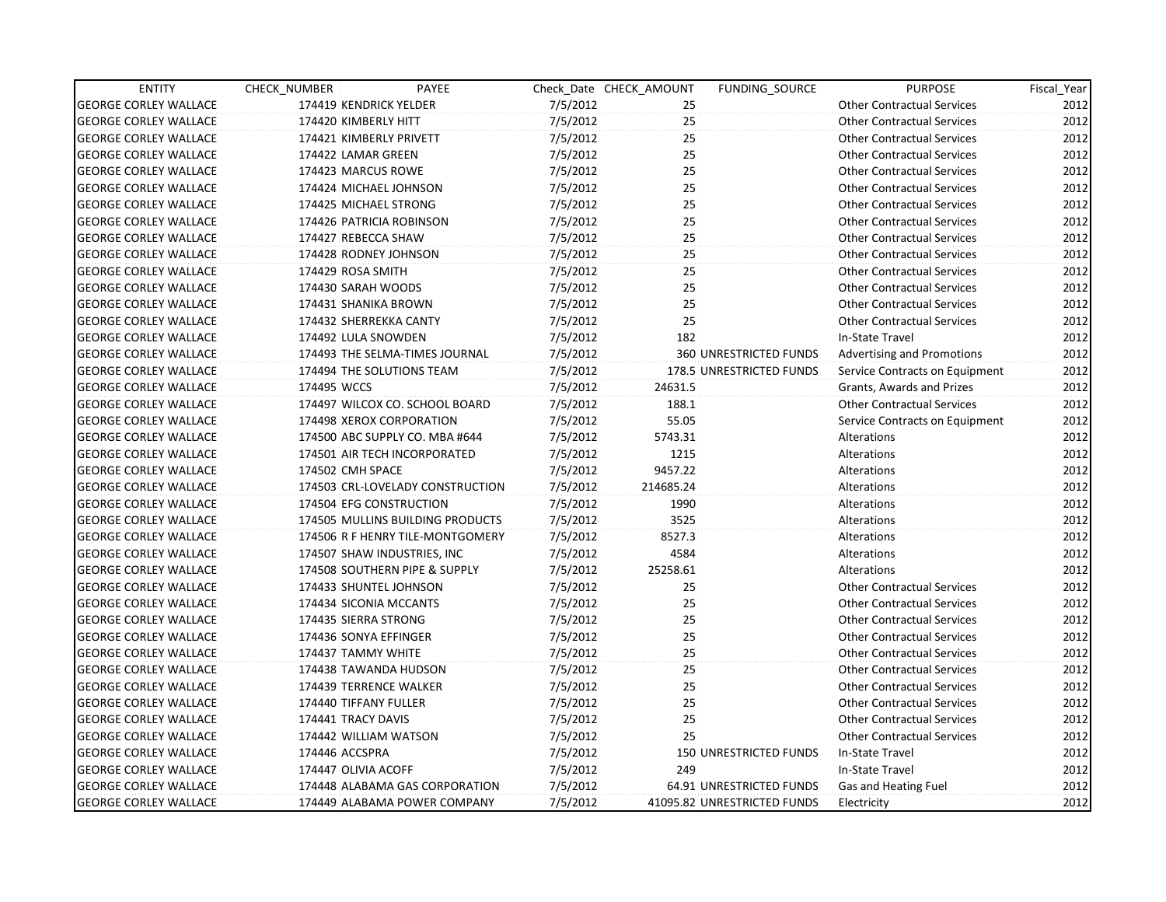| <b>ENTITY</b>                | CHECK NUMBER             | PAYEE                            |          | Check Date CHECK AMOUNT | FUNDING SOURCE                | <b>PURPOSE</b>                    | Fiscal Year |
|------------------------------|--------------------------|----------------------------------|----------|-------------------------|-------------------------------|-----------------------------------|-------------|
| <b>GEORGE CORLEY WALLACE</b> | 174419 KENDRICK YELDER   |                                  | 7/5/2012 | 25                      |                               | <b>Other Contractual Services</b> | 2012        |
| <b>GEORGE CORLEY WALLACE</b> | 174420 KIMBERLY HITT     |                                  | 7/5/2012 | 25                      |                               | <b>Other Contractual Services</b> | 2012        |
| <b>GEORGE CORLEY WALLACE</b> | 174421 KIMBERLY PRIVETT  |                                  | 7/5/2012 | 25                      |                               | <b>Other Contractual Services</b> | 2012        |
| <b>GEORGE CORLEY WALLACE</b> | 174422 LAMAR GREEN       |                                  | 7/5/2012 | 25                      |                               | <b>Other Contractual Services</b> | 2012        |
| <b>GEORGE CORLEY WALLACE</b> | 174423 MARCUS ROWE       |                                  | 7/5/2012 | 25                      |                               | <b>Other Contractual Services</b> | 2012        |
| <b>GEORGE CORLEY WALLACE</b> | 174424 MICHAEL JOHNSON   |                                  | 7/5/2012 | 25                      |                               | <b>Other Contractual Services</b> | 2012        |
| <b>GEORGE CORLEY WALLACE</b> | 174425 MICHAEL STRONG    |                                  | 7/5/2012 | 25                      |                               | <b>Other Contractual Services</b> | 2012        |
| <b>GEORGE CORLEY WALLACE</b> | 174426 PATRICIA ROBINSON |                                  | 7/5/2012 | 25 <sup>2</sup>         |                               | <b>Other Contractual Services</b> | 2012        |
| <b>GEORGE CORLEY WALLACE</b> | 174427 REBECCA SHAW      |                                  | 7/5/2012 | 25                      |                               | <b>Other Contractual Services</b> | 2012        |
| <b>GEORGE CORLEY WALLACE</b> | 174428 RODNEY JOHNSON    |                                  | 7/5/2012 | 25                      |                               | <b>Other Contractual Services</b> | 2012        |
| <b>GEORGE CORLEY WALLACE</b> | 174429 ROSA SMITH        |                                  | 7/5/2012 | 25                      |                               | <b>Other Contractual Services</b> | 2012        |
| <b>GEORGE CORLEY WALLACE</b> | 174430 SARAH WOODS       |                                  | 7/5/2012 | 25 <sub>1</sub>         |                               | <b>Other Contractual Services</b> | 2012        |
| <b>GEORGE CORLEY WALLACE</b> | 174431 SHANIKA BROWN     |                                  | 7/5/2012 | 25 <sup>°</sup>         |                               | <b>Other Contractual Services</b> | 2012        |
| <b>GEORGE CORLEY WALLACE</b> | 174432 SHERREKKA CANTY   |                                  | 7/5/2012 | 25                      |                               | <b>Other Contractual Services</b> | 2012        |
| <b>GEORGE CORLEY WALLACE</b> | 174492 LULA SNOWDEN      |                                  | 7/5/2012 | 182                     |                               | In-State Travel                   | 2012        |
| <b>GEORGE CORLEY WALLACE</b> |                          | 174493 THE SELMA-TIMES JOURNAL   | 7/5/2012 |                         | <b>360 UNRESTRICTED FUNDS</b> | Advertising and Promotions        | 2012        |
| <b>GEORGE CORLEY WALLACE</b> |                          | 174494 THE SOLUTIONS TEAM        | 7/5/2012 |                         | 178.5 UNRESTRICTED FUNDS      | Service Contracts on Equipment    | 2012        |
| <b>GEORGE CORLEY WALLACE</b> | 174495 WCCS              |                                  | 7/5/2012 | 24631.5                 |                               | Grants, Awards and Prizes         | 2012        |
| <b>GEORGE CORLEY WALLACE</b> |                          | 174497 WILCOX CO. SCHOOL BOARD   | 7/5/2012 | 188.1                   |                               | <b>Other Contractual Services</b> | 2012        |
| <b>GEORGE CORLEY WALLACE</b> | 174498 XEROX CORPORATION |                                  | 7/5/2012 | 55.05                   |                               | Service Contracts on Equipment    | 2012        |
| <b>GEORGE CORLEY WALLACE</b> |                          | 174500 ABC SUPPLY CO. MBA #644   | 7/5/2012 | 5743.31                 |                               | Alterations                       | 2012        |
| <b>GEORGE CORLEY WALLACE</b> |                          | 174501 AIR TECH INCORPORATED     | 7/5/2012 | 1215                    |                               | Alterations                       | 2012        |
| <b>GEORGE CORLEY WALLACE</b> | 174502 CMH SPACE         |                                  | 7/5/2012 | 9457.22                 |                               | Alterations                       | 2012        |
| <b>GEORGE CORLEY WALLACE</b> |                          | 174503 CRL-LOVELADY CONSTRUCTION | 7/5/2012 | 214685.24               |                               | Alterations                       | 2012        |
| <b>GEORGE CORLEY WALLACE</b> | 174504 EFG CONSTRUCTION  |                                  | 7/5/2012 | 1990                    |                               | Alterations                       | 2012        |
| <b>GEORGE CORLEY WALLACE</b> |                          | 174505 MULLINS BUILDING PRODUCTS | 7/5/2012 | 3525                    |                               | Alterations                       | 2012        |
| <b>GEORGE CORLEY WALLACE</b> |                          | 174506 R F HENRY TILE-MONTGOMERY | 7/5/2012 | 8527.3                  |                               | Alterations                       | 2012        |
| <b>GEORGE CORLEY WALLACE</b> |                          | 174507 SHAW INDUSTRIES, INC      | 7/5/2012 | 4584                    |                               | Alterations                       | 2012        |
| <b>GEORGE CORLEY WALLACE</b> |                          | 174508 SOUTHERN PIPE & SUPPLY    | 7/5/2012 | 25258.61                |                               | Alterations                       | 2012        |
| <b>GEORGE CORLEY WALLACE</b> | 174433 SHUNTEL JOHNSON   |                                  | 7/5/2012 | 25                      |                               | <b>Other Contractual Services</b> | 2012        |
| <b>GEORGE CORLEY WALLACE</b> | 174434 SICONIA MCCANTS   |                                  | 7/5/2012 | 25                      |                               | <b>Other Contractual Services</b> | 2012        |
| <b>GEORGE CORLEY WALLACE</b> | 174435 SIERRA STRONG     |                                  | 7/5/2012 | 25                      |                               | <b>Other Contractual Services</b> | 2012        |
| <b>GEORGE CORLEY WALLACE</b> | 174436 SONYA EFFINGER    |                                  | 7/5/2012 | 25                      |                               | <b>Other Contractual Services</b> | 2012        |
| <b>GEORGE CORLEY WALLACE</b> | 174437 TAMMY WHITE       |                                  | 7/5/2012 | 25                      |                               | <b>Other Contractual Services</b> | 2012        |
| <b>GEORGE CORLEY WALLACE</b> | 174438 TAWANDA HUDSON    |                                  | 7/5/2012 | 25                      |                               | <b>Other Contractual Services</b> | 2012        |
| <b>GEORGE CORLEY WALLACE</b> | 174439 TERRENCE WALKER   |                                  | 7/5/2012 | 25                      |                               | <b>Other Contractual Services</b> | 2012        |
| <b>GEORGE CORLEY WALLACE</b> | 174440 TIFFANY FULLER    |                                  | 7/5/2012 | 25                      |                               | <b>Other Contractual Services</b> | 2012        |
| <b>GEORGE CORLEY WALLACE</b> | 174441 TRACY DAVIS       |                                  | 7/5/2012 | 25 <sup>2</sup>         |                               | <b>Other Contractual Services</b> | 2012        |
| <b>GEORGE CORLEY WALLACE</b> | 174442 WILLIAM WATSON    |                                  | 7/5/2012 | 25                      |                               | <b>Other Contractual Services</b> | 2012        |
| <b>GEORGE CORLEY WALLACE</b> | 174446 ACCSPRA           |                                  | 7/5/2012 |                         | 150 UNRESTRICTED FUNDS        | In-State Travel                   | 2012        |
| <b>GEORGE CORLEY WALLACE</b> | 174447 OLIVIA ACOFF      |                                  | 7/5/2012 | 249                     |                               | In-State Travel                   | 2012        |
| <b>GEORGE CORLEY WALLACE</b> |                          | 174448 ALABAMA GAS CORPORATION   | 7/5/2012 |                         | 64.91 UNRESTRICTED FUNDS      | Gas and Heating Fuel              | 2012        |
| <b>GEORGE CORLEY WALLACE</b> |                          | 174449 ALABAMA POWER COMPANY     | 7/5/2012 |                         | 41095.82 UNRESTRICTED FUNDS   | Electricity                       | 2012        |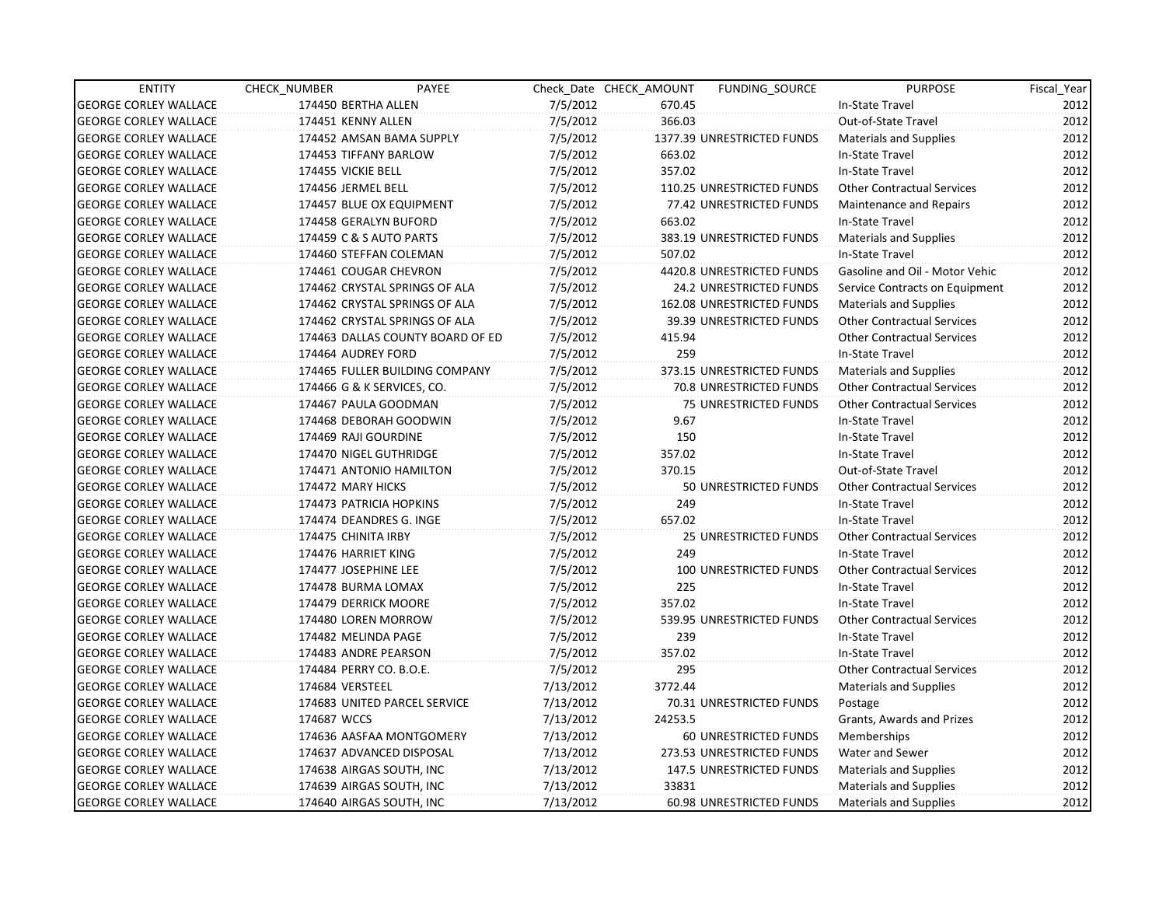| <b>ENTITY</b>                | CHECK NUMBER               | PAYEE                            |           | Check Date CHECK AMOUNT | FUNDING SOURCE                  | <b>PURPOSE</b>                    | Fiscal Year |
|------------------------------|----------------------------|----------------------------------|-----------|-------------------------|---------------------------------|-----------------------------------|-------------|
| <b>GEORGE CORLEY WALLACE</b> | 174450 BERTHA ALLEN        |                                  | 7/5/2012  | 670.45                  |                                 | In-State Travel                   | 2012        |
| <b>GEORGE CORLEY WALLACE</b> | 174451 KENNY ALLEN         |                                  | 7/5/2012  | 366.03                  |                                 | Out-of-State Travel               | 2012        |
| <b>GEORGE CORLEY WALLACE</b> |                            | 174452 AMSAN BAMA SUPPLY         | 7/5/2012  |                         | 1377.39 UNRESTRICTED FUNDS      | <b>Materials and Supplies</b>     | 2012        |
| <b>GEORGE CORLEY WALLACE</b> | 174453 TIFFANY BARLOW      |                                  | 7/5/2012  | 663.02                  |                                 | In-State Travel                   | 2012        |
| <b>GEORGE CORLEY WALLACE</b> | 174455 VICKIE BELL         |                                  | 7/5/2012  | 357.02                  |                                 | In-State Travel                   | 2012        |
| <b>GEORGE CORLEY WALLACE</b> | 174456 JERMEL BELL         |                                  | 7/5/2012  |                         | 110.25 UNRESTRICTED FUNDS       | <b>Other Contractual Services</b> | 2012        |
| <b>GEORGE CORLEY WALLACE</b> | 174457 BLUE OX EQUIPMENT   |                                  | 7/5/2012  |                         | 77.42 UNRESTRICTED FUNDS        | Maintenance and Repairs           | 2012        |
| <b>GEORGE CORLEY WALLACE</b> | 174458 GERALYN BUFORD      |                                  | 7/5/2012  | 663.02                  |                                 | In-State Travel                   | 2012        |
| <b>GEORGE CORLEY WALLACE</b> | 174459 C & S AUTO PARTS    |                                  | 7/5/2012  |                         | 383.19 UNRESTRICTED FUNDS       | Materials and Supplies            | 2012        |
| <b>GEORGE CORLEY WALLACE</b> | 174460 STEFFAN COLEMAN     |                                  | 7/5/2012  | 507.02                  |                                 | In-State Travel                   | 2012        |
| <b>GEORGE CORLEY WALLACE</b> | 174461 COUGAR CHEVRON      |                                  | 7/5/2012  |                         | 4420.8 UNRESTRICTED FUNDS       | Gasoline and Oil - Motor Vehic    | 2012        |
| <b>GEORGE CORLEY WALLACE</b> |                            | 174462 CRYSTAL SPRINGS OF ALA    | 7/5/2012  |                         | 24.2 UNRESTRICTED FUNDS         | Service Contracts on Equipment    | 2012        |
| <b>GEORGE CORLEY WALLACE</b> |                            | 174462 CRYSTAL SPRINGS OF ALA    | 7/5/2012  |                         | 162.08 UNRESTRICTED FUNDS       | <b>Materials and Supplies</b>     | 2012        |
| <b>GEORGE CORLEY WALLACE</b> |                            | 174462 CRYSTAL SPRINGS OF ALA    | 7/5/2012  |                         | <b>39.39 UNRESTRICTED FUNDS</b> | <b>Other Contractual Services</b> | 2012        |
| <b>GEORGE CORLEY WALLACE</b> |                            | 174463 DALLAS COUNTY BOARD OF ED | 7/5/2012  | 415.94                  |                                 | <b>Other Contractual Services</b> | 2012        |
| <b>GEORGE CORLEY WALLACE</b> | 174464 AUDREY FORD         |                                  | 7/5/2012  | 259                     |                                 | In-State Travel                   | 2012        |
| <b>GEORGE CORLEY WALLACE</b> |                            | 174465 FULLER BUILDING COMPANY   | 7/5/2012  |                         | 373.15 UNRESTRICTED FUNDS       | <b>Materials and Supplies</b>     | 2012        |
| <b>GEORGE CORLEY WALLACE</b> | 174466 G & K SERVICES, CO. |                                  | 7/5/2012  |                         | 70.8 UNRESTRICTED FUNDS         | <b>Other Contractual Services</b> | 2012        |
| <b>GEORGE CORLEY WALLACE</b> | 174467 PAULA GOODMAN       |                                  | 7/5/2012  |                         | <b>75 UNRESTRICTED FUNDS</b>    | <b>Other Contractual Services</b> | 2012        |
| <b>GEORGE CORLEY WALLACE</b> | 174468 DEBORAH GOODWIN     |                                  | 7/5/2012  | 9.67                    |                                 | In-State Travel                   | 2012        |
| <b>GEORGE CORLEY WALLACE</b> | 174469 RAJI GOURDINE       |                                  | 7/5/2012  | 150                     |                                 | In-State Travel                   | 2012        |
| <b>GEORGE CORLEY WALLACE</b> | 174470 NIGEL GUTHRIDGE     |                                  | 7/5/2012  | 357.02                  |                                 | In-State Travel                   | 2012        |
| <b>GEORGE CORLEY WALLACE</b> | 174471 ANTONIO HAMILTON    |                                  | 7/5/2012  | 370.15                  |                                 | Out-of-State Travel               | 2012        |
| <b>GEORGE CORLEY WALLACE</b> | 174472 MARY HICKS          |                                  | 7/5/2012  |                         | 50 UNRESTRICTED FUNDS           | <b>Other Contractual Services</b> | 2012        |
| <b>GEORGE CORLEY WALLACE</b> | 174473 PATRICIA HOPKINS    |                                  | 7/5/2012  | 249                     |                                 | In-State Travel                   | 2012        |
| <b>GEORGE CORLEY WALLACE</b> | 174474 DEANDRES G. INGE    |                                  | 7/5/2012  | 657.02                  |                                 | In-State Travel                   | 2012        |
| <b>GEORGE CORLEY WALLACE</b> | 174475 CHINITA IRBY        |                                  | 7/5/2012  |                         | <b>25 UNRESTRICTED FUNDS</b>    | <b>Other Contractual Services</b> | 2012        |
| <b>GEORGE CORLEY WALLACE</b> | 174476 HARRIET KING        |                                  | 7/5/2012  | 249                     |                                 | In-State Travel                   | 2012        |
| <b>GEORGE CORLEY WALLACE</b> | 174477 JOSEPHINE LEE       |                                  | 7/5/2012  |                         | 100 UNRESTRICTED FUNDS          | <b>Other Contractual Services</b> | 2012        |
| <b>GEORGE CORLEY WALLACE</b> | 174478 BURMA LOMAX         |                                  | 7/5/2012  | 225                     |                                 | In-State Travel                   | 2012        |
| <b>GEORGE CORLEY WALLACE</b> | 174479 DERRICK MOORE       |                                  | 7/5/2012  | 357.02                  |                                 | In-State Travel                   | 2012        |
| <b>GEORGE CORLEY WALLACE</b> | 174480 LOREN MORROW        |                                  | 7/5/2012  |                         | 539.95 UNRESTRICTED FUNDS       | <b>Other Contractual Services</b> | 2012        |
| <b>GEORGE CORLEY WALLACE</b> | 174482 MELINDA PAGE        |                                  | 7/5/2012  | 239                     |                                 | In-State Travel                   | 2012        |
| <b>GEORGE CORLEY WALLACE</b> | 174483 ANDRE PEARSON       |                                  | 7/5/2012  | 357.02                  |                                 | In-State Travel                   | 2012        |
| <b>GEORGE CORLEY WALLACE</b> | 174484 PERRY CO. B.O.E.    |                                  | 7/5/2012  | 295                     |                                 | <b>Other Contractual Services</b> | 2012        |
| <b>GEORGE CORLEY WALLACE</b> | 174684 VERSTEEL            |                                  | 7/13/2012 | 3772.44                 |                                 | Materials and Supplies            | 2012        |
| <b>GEORGE CORLEY WALLACE</b> |                            | 174683 UNITED PARCEL SERVICE     | 7/13/2012 |                         | 70.31 UNRESTRICTED FUNDS        | Postage                           | 2012        |
| <b>GEORGE CORLEY WALLACE</b> | 174687 WCCS                |                                  | 7/13/2012 | 24253.5                 |                                 | Grants, Awards and Prizes         | 2012        |
| <b>GEORGE CORLEY WALLACE</b> |                            | 174636 AASFAA MONTGOMERY         | 7/13/2012 |                         | 60 UNRESTRICTED FUNDS           | Memberships                       | 2012        |
| <b>GEORGE CORLEY WALLACE</b> | 174637 ADVANCED DISPOSAL   |                                  | 7/13/2012 |                         | 273.53 UNRESTRICTED FUNDS       | Water and Sewer                   | 2012        |
| <b>GEORGE CORLEY WALLACE</b> | 174638 AIRGAS SOUTH, INC   |                                  | 7/13/2012 |                         | 147.5 UNRESTRICTED FUNDS        | <b>Materials and Supplies</b>     | 2012        |
| <b>GEORGE CORLEY WALLACE</b> | 174639 AIRGAS SOUTH, INC   |                                  | 7/13/2012 | 33831                   |                                 | Materials and Supplies            | 2012        |
| <b>GEORGE CORLEY WALLACE</b> | 174640 AIRGAS SOUTH, INC   |                                  | 7/13/2012 |                         | 60.98 UNRESTRICTED FUNDS        | <b>Materials and Supplies</b>     | 2012        |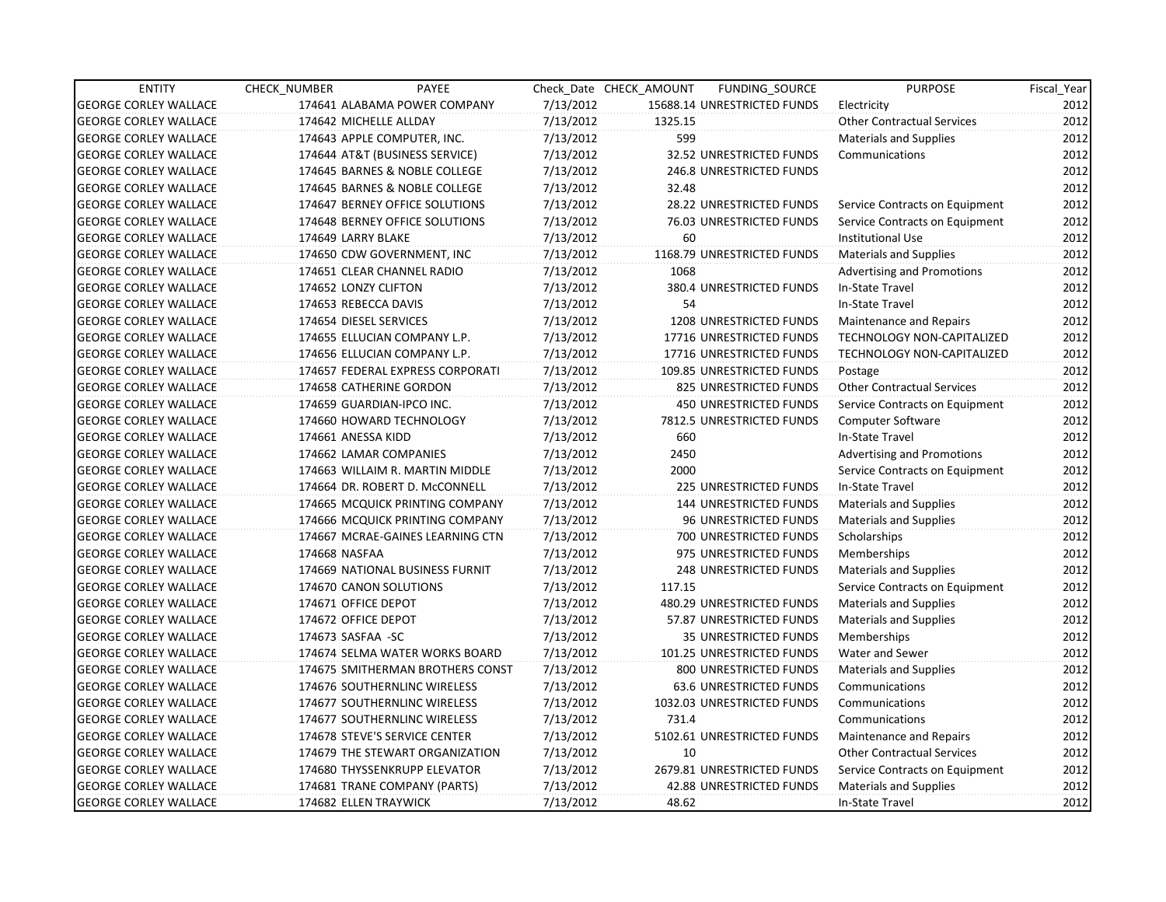| <b>ENTITY</b>                | CHECK NUMBER                | PAYEE                            |           | Check Date CHECK AMOUNT | FUNDING SOURCE                 | <b>PURPOSE</b>                    | Fiscal Year |
|------------------------------|-----------------------------|----------------------------------|-----------|-------------------------|--------------------------------|-----------------------------------|-------------|
| <b>GEORGE CORLEY WALLACE</b> |                             | 174641 ALABAMA POWER COMPANY     | 7/13/2012 |                         | 15688.14 UNRESTRICTED FUNDS    | Electricity                       | 2012        |
| <b>GEORGE CORLEY WALLACE</b> | 174642 MICHELLE ALLDAY      |                                  | 7/13/2012 | 1325.15                 |                                | <b>Other Contractual Services</b> | 2012        |
| <b>GEORGE CORLEY WALLACE</b> | 174643 APPLE COMPUTER, INC. |                                  | 7/13/2012 | 599                     |                                | <b>Materials and Supplies</b>     | 2012        |
| <b>GEORGE CORLEY WALLACE</b> |                             | 174644 AT&T (BUSINESS SERVICE)   | 7/13/2012 |                         | 32.52 UNRESTRICTED FUNDS       | Communications                    | 2012        |
| <b>GEORGE CORLEY WALLACE</b> |                             | 174645 BARNES & NOBLE COLLEGE    | 7/13/2012 |                         | 246.8 UNRESTRICTED FUNDS       |                                   | 2012        |
| <b>GEORGE CORLEY WALLACE</b> |                             | 174645 BARNES & NOBLE COLLEGE    | 7/13/2012 | 32.48                   |                                |                                   | 2012        |
| <b>GEORGE CORLEY WALLACE</b> |                             | 174647 BERNEY OFFICE SOLUTIONS   | 7/13/2012 |                         | 28.22 UNRESTRICTED FUNDS       | Service Contracts on Equipment    | 2012        |
| <b>GEORGE CORLEY WALLACE</b> |                             | 174648 BERNEY OFFICE SOLUTIONS   | 7/13/2012 |                         | 76.03 UNRESTRICTED FUNDS       | Service Contracts on Equipment    | 2012        |
| <b>GEORGE CORLEY WALLACE</b> | 174649 LARRY BLAKE          |                                  | 7/13/2012 | 60                      |                                | <b>Institutional Use</b>          | 2012        |
| <b>GEORGE CORLEY WALLACE</b> |                             | 174650 CDW GOVERNMENT, INC       | 7/13/2012 |                         | 1168.79 UNRESTRICTED FUNDS     | <b>Materials and Supplies</b>     | 2012        |
| <b>GEORGE CORLEY WALLACE</b> | 174651 CLEAR CHANNEL RADIO  |                                  | 7/13/2012 | 1068                    |                                | <b>Advertising and Promotions</b> | 2012        |
| <b>GEORGE CORLEY WALLACE</b> | 174652 LONZY CLIFTON        |                                  | 7/13/2012 |                         | 380.4 UNRESTRICTED FUNDS       | In-State Travel                   | 2012        |
| <b>GEORGE CORLEY WALLACE</b> | 174653 REBECCA DAVIS        |                                  | 7/13/2012 | 54                      |                                | In-State Travel                   | 2012        |
| <b>GEORGE CORLEY WALLACE</b> | 174654 DIESEL SERVICES      |                                  | 7/13/2012 |                         | <b>1208 UNRESTRICTED FUNDS</b> | Maintenance and Repairs           | 2012        |
| <b>GEORGE CORLEY WALLACE</b> |                             | 174655 ELLUCIAN COMPANY L.P.     | 7/13/2012 |                         | 17716 UNRESTRICTED FUNDS       | TECHNOLOGY NON-CAPITALIZED        | 2012        |
| <b>GEORGE CORLEY WALLACE</b> |                             | 174656 ELLUCIAN COMPANY L.P.     | 7/13/2012 |                         | 17716 UNRESTRICTED FUNDS       | <b>TECHNOLOGY NON-CAPITALIZED</b> | 2012        |
| <b>GEORGE CORLEY WALLACE</b> |                             | 174657 FEDERAL EXPRESS CORPORATI | 7/13/2012 |                         | 109.85 UNRESTRICTED FUNDS      | Postage                           | 2012        |
| <b>GEORGE CORLEY WALLACE</b> | 174658 CATHERINE GORDON     |                                  | 7/13/2012 |                         | 825 UNRESTRICTED FUNDS         | <b>Other Contractual Services</b> | 2012        |
| <b>GEORGE CORLEY WALLACE</b> | 174659 GUARDIAN-IPCO INC.   |                                  | 7/13/2012 |                         | <b>450 UNRESTRICTED FUNDS</b>  | Service Contracts on Equipment    | 2012        |
| <b>GEORGE CORLEY WALLACE</b> |                             | 174660 HOWARD TECHNOLOGY         | 7/13/2012 |                         | 7812.5 UNRESTRICTED FUNDS      | Computer Software                 | 2012        |
| <b>GEORGE CORLEY WALLACE</b> | 174661 ANESSA KIDD          |                                  | 7/13/2012 | 660                     |                                | In-State Travel                   | 2012        |
| <b>GEORGE CORLEY WALLACE</b> | 174662 LAMAR COMPANIES      |                                  | 7/13/2012 | 2450                    |                                | <b>Advertising and Promotions</b> | 2012        |
| <b>GEORGE CORLEY WALLACE</b> |                             | 174663 WILLAIM R. MARTIN MIDDLE  | 7/13/2012 | 2000                    |                                | Service Contracts on Equipment    | 2012        |
| <b>GEORGE CORLEY WALLACE</b> |                             | 174664 DR. ROBERT D. McCONNELL   | 7/13/2012 |                         | 225 UNRESTRICTED FUNDS         | In-State Travel                   | 2012        |
| <b>GEORGE CORLEY WALLACE</b> |                             | 174665 MCQUICK PRINTING COMPANY  | 7/13/2012 |                         | <b>144 UNRESTRICTED FUNDS</b>  | <b>Materials and Supplies</b>     | 2012        |
| <b>GEORGE CORLEY WALLACE</b> |                             | 174666 MCQUICK PRINTING COMPANY  | 7/13/2012 |                         | <b>96 UNRESTRICTED FUNDS</b>   | <b>Materials and Supplies</b>     | 2012        |
| <b>GEORGE CORLEY WALLACE</b> |                             | 174667 MCRAE-GAINES LEARNING CTN | 7/13/2012 |                         | 700 UNRESTRICTED FUNDS         | Scholarships                      | 2012        |
| <b>GEORGE CORLEY WALLACE</b> | 174668 NASFAA               |                                  | 7/13/2012 |                         | 975 UNRESTRICTED FUNDS         | Memberships                       | 2012        |
| <b>GEORGE CORLEY WALLACE</b> |                             | 174669 NATIONAL BUSINESS FURNIT  | 7/13/2012 |                         | <b>248 UNRESTRICTED FUNDS</b>  | <b>Materials and Supplies</b>     | 2012        |
| <b>GEORGE CORLEY WALLACE</b> | 174670 CANON SOLUTIONS      |                                  | 7/13/2012 | 117.15                  |                                | Service Contracts on Equipment    | 2012        |
| <b>GEORGE CORLEY WALLACE</b> | 174671 OFFICE DEPOT         |                                  | 7/13/2012 |                         | 480.29 UNRESTRICTED FUNDS      | Materials and Supplies            | 2012        |
| <b>GEORGE CORLEY WALLACE</b> | 174672 OFFICE DEPOT         |                                  | 7/13/2012 |                         | 57.87 UNRESTRICTED FUNDS       | Materials and Supplies            | 2012        |
| <b>GEORGE CORLEY WALLACE</b> | 174673 SASFAA -SC           |                                  | 7/13/2012 |                         | 35 UNRESTRICTED FUNDS          | Memberships                       | 2012        |
| <b>GEORGE CORLEY WALLACE</b> |                             | 174674 SELMA WATER WORKS BOARD   | 7/13/2012 |                         | 101.25 UNRESTRICTED FUNDS      | Water and Sewer                   | 2012        |
| <b>GEORGE CORLEY WALLACE</b> |                             | 174675 SMITHERMAN BROTHERS CONST | 7/13/2012 |                         | 800 UNRESTRICTED FUNDS         | <b>Materials and Supplies</b>     | 2012        |
| <b>GEORGE CORLEY WALLACE</b> |                             | 174676 SOUTHERNLINC WIRELESS     | 7/13/2012 |                         | <b>63.6 UNRESTRICTED FUNDS</b> | Communications                    | 2012        |
| <b>GEORGE CORLEY WALLACE</b> |                             | 174677 SOUTHERNLINC WIRELESS     | 7/13/2012 |                         | 1032.03 UNRESTRICTED FUNDS     | Communications                    | 2012        |
| <b>GEORGE CORLEY WALLACE</b> |                             | 174677 SOUTHERNLINC WIRELESS     | 7/13/2012 | 731.4                   |                                | Communications                    | 2012        |
| <b>GEORGE CORLEY WALLACE</b> |                             | 174678 STEVE'S SERVICE CENTER    | 7/13/2012 |                         | 5102.61 UNRESTRICTED FUNDS     | Maintenance and Repairs           | 2012        |
| <b>GEORGE CORLEY WALLACE</b> |                             | 174679 THE STEWART ORGANIZATION  | 7/13/2012 | 10                      |                                | <b>Other Contractual Services</b> | 2012        |
| <b>GEORGE CORLEY WALLACE</b> |                             | 174680 THYSSENKRUPP ELEVATOR     | 7/13/2012 |                         | 2679.81 UNRESTRICTED FUNDS     | Service Contracts on Equipment    | 2012        |
| <b>GEORGE CORLEY WALLACE</b> |                             | 174681 TRANE COMPANY (PARTS)     | 7/13/2012 |                         | 42.88 UNRESTRICTED FUNDS       | Materials and Supplies            | 2012        |
| <b>GEORGE CORLEY WALLACE</b> | 174682 ELLEN TRAYWICK       |                                  | 7/13/2012 | 48.62                   |                                | In-State Travel                   | 2012        |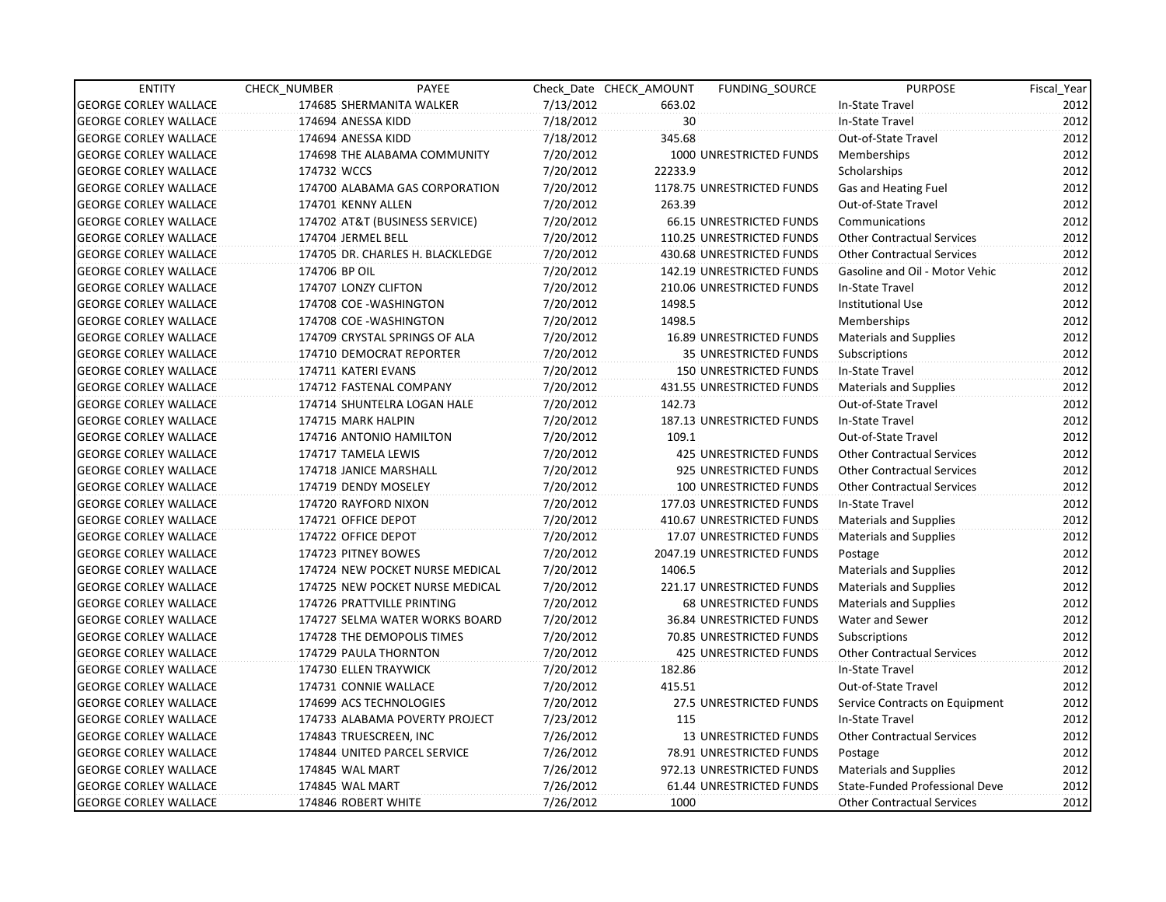| <b>ENTITY</b>                | CHECK_NUMBER               | PAYEE                            |           | Check Date CHECK AMOUNT | FUNDING SOURCE                  | <b>PURPOSE</b>                    | Fiscal_Year |
|------------------------------|----------------------------|----------------------------------|-----------|-------------------------|---------------------------------|-----------------------------------|-------------|
| <b>GEORGE CORLEY WALLACE</b> |                            | 174685 SHERMANITA WALKER         | 7/13/2012 | 663.02                  |                                 | In-State Travel                   | 2012        |
| <b>GEORGE CORLEY WALLACE</b> | 174694 ANESSA KIDD         |                                  | 7/18/2012 | 30                      |                                 | In-State Travel                   | 2012        |
| <b>GEORGE CORLEY WALLACE</b> | 174694 ANESSA KIDD         |                                  | 7/18/2012 | 345.68                  |                                 | Out-of-State Travel               | 2012        |
| <b>GEORGE CORLEY WALLACE</b> |                            | 174698 THE ALABAMA COMMUNITY     | 7/20/2012 |                         | 1000 UNRESTRICTED FUNDS         | Memberships                       | 2012        |
| <b>GEORGE CORLEY WALLACE</b> | 174732 WCCS                |                                  | 7/20/2012 | 22233.9                 |                                 | Scholarships                      | 2012        |
| <b>GEORGE CORLEY WALLACE</b> |                            | 174700 ALABAMA GAS CORPORATION   | 7/20/2012 |                         | 1178.75 UNRESTRICTED FUNDS      | Gas and Heating Fuel              | 2012        |
| <b>GEORGE CORLEY WALLACE</b> | 174701 KENNY ALLEN         |                                  | 7/20/2012 | 263.39                  |                                 | Out-of-State Travel               | 2012        |
| <b>GEORGE CORLEY WALLACE</b> |                            | 174702 AT&T (BUSINESS SERVICE)   | 7/20/2012 |                         | <b>66.15 UNRESTRICTED FUNDS</b> | Communications                    | 2012        |
| <b>GEORGE CORLEY WALLACE</b> | 174704 JERMEL BELL         |                                  | 7/20/2012 |                         | 110.25 UNRESTRICTED FUNDS       | <b>Other Contractual Services</b> | 2012        |
| <b>GEORGE CORLEY WALLACE</b> |                            | 174705 DR. CHARLES H. BLACKLEDGE | 7/20/2012 |                         | 430.68 UNRESTRICTED FUNDS       | <b>Other Contractual Services</b> | 2012        |
| <b>GEORGE CORLEY WALLACE</b> | 174706 BP OIL              |                                  | 7/20/2012 |                         | 142.19 UNRESTRICTED FUNDS       | Gasoline and Oil - Motor Vehic    | 2012        |
| <b>GEORGE CORLEY WALLACE</b> | 174707 LONZY CLIFTON       |                                  | 7/20/2012 |                         | 210.06 UNRESTRICTED FUNDS       | In-State Travel                   | 2012        |
| <b>GEORGE CORLEY WALLACE</b> | 174708 COE - WASHINGTON    |                                  | 7/20/2012 | 1498.5                  |                                 | <b>Institutional Use</b>          | 2012        |
| <b>GEORGE CORLEY WALLACE</b> | 174708 COE - WASHINGTON    |                                  | 7/20/2012 | 1498.5                  |                                 | Memberships                       | 2012        |
| <b>GEORGE CORLEY WALLACE</b> |                            | 174709 CRYSTAL SPRINGS OF ALA    | 7/20/2012 |                         | <b>16.89 UNRESTRICTED FUNDS</b> | <b>Materials and Supplies</b>     | 2012        |
| <b>GEORGE CORLEY WALLACE</b> |                            | 174710 DEMOCRAT REPORTER         | 7/20/2012 |                         | <b>35 UNRESTRICTED FUNDS</b>    | Subscriptions                     | 2012        |
| <b>GEORGE CORLEY WALLACE</b> | 174711 KATERI EVANS        |                                  | 7/20/2012 |                         | <b>150 UNRESTRICTED FUNDS</b>   | In-State Travel                   | 2012        |
| <b>GEORGE CORLEY WALLACE</b> | 174712 FASTENAL COMPANY    |                                  | 7/20/2012 |                         | 431.55 UNRESTRICTED FUNDS       | <b>Materials and Supplies</b>     | 2012        |
| <b>GEORGE CORLEY WALLACE</b> |                            | 174714 SHUNTELRA LOGAN HALE      | 7/20/2012 | 142.73                  |                                 | Out-of-State Travel               | 2012        |
| <b>GEORGE CORLEY WALLACE</b> | 174715 MARK HALPIN         |                                  | 7/20/2012 |                         | 187.13 UNRESTRICTED FUNDS       | In-State Travel                   | 2012        |
| <b>GEORGE CORLEY WALLACE</b> | 174716 ANTONIO HAMILTON    |                                  | 7/20/2012 | 109.1                   |                                 | Out-of-State Travel               | 2012        |
| <b>GEORGE CORLEY WALLACE</b> | 174717 TAMELA LEWIS        |                                  | 7/20/2012 |                         | 425 UNRESTRICTED FUNDS          | <b>Other Contractual Services</b> | 2012        |
| <b>GEORGE CORLEY WALLACE</b> | 174718 JANICE MARSHALL     |                                  | 7/20/2012 |                         | 925 UNRESTRICTED FUNDS          | <b>Other Contractual Services</b> | 2012        |
| <b>GEORGE CORLEY WALLACE</b> | 174719 DENDY MOSELEY       |                                  | 7/20/2012 |                         | <b>100 UNRESTRICTED FUNDS</b>   | <b>Other Contractual Services</b> | 2012        |
| <b>GEORGE CORLEY WALLACE</b> | 174720 RAYFORD NIXON       |                                  | 7/20/2012 |                         | 177.03 UNRESTRICTED FUNDS       | In-State Travel                   | 2012        |
| <b>GEORGE CORLEY WALLACE</b> | 174721 OFFICE DEPOT        |                                  | 7/20/2012 |                         | 410.67 UNRESTRICTED FUNDS       | Materials and Supplies            | 2012        |
| <b>GEORGE CORLEY WALLACE</b> | 174722 OFFICE DEPOT        |                                  | 7/20/2012 |                         | 17.07 UNRESTRICTED FUNDS        | Materials and Supplies            | 2012        |
| <b>GEORGE CORLEY WALLACE</b> | 174723 PITNEY BOWES        |                                  | 7/20/2012 |                         | 2047.19 UNRESTRICTED FUNDS      | Postage                           | 2012        |
| <b>GEORGE CORLEY WALLACE</b> |                            | 174724 NEW POCKET NURSE MEDICAL  | 7/20/2012 | 1406.5                  |                                 | <b>Materials and Supplies</b>     | 2012        |
| <b>GEORGE CORLEY WALLACE</b> |                            | 174725 NEW POCKET NURSE MEDICAL  | 7/20/2012 |                         | 221.17 UNRESTRICTED FUNDS       | <b>Materials and Supplies</b>     | 2012        |
| <b>GEORGE CORLEY WALLACE</b> | 174726 PRATTVILLE PRINTING |                                  | 7/20/2012 |                         | 68 UNRESTRICTED FUNDS           | Materials and Supplies            | 2012        |
| <b>GEORGE CORLEY WALLACE</b> |                            | 174727 SELMA WATER WORKS BOARD   | 7/20/2012 |                         | 36.84 UNRESTRICTED FUNDS        | Water and Sewer                   | 2012        |
| <b>GEORGE CORLEY WALLACE</b> |                            | 174728 THE DEMOPOLIS TIMES       | 7/20/2012 |                         | 70.85 UNRESTRICTED FUNDS        | Subscriptions                     | 2012        |
| <b>GEORGE CORLEY WALLACE</b> | 174729 PAULA THORNTON      |                                  | 7/20/2012 |                         | <b>425 UNRESTRICTED FUNDS</b>   | <b>Other Contractual Services</b> | 2012        |
| <b>GEORGE CORLEY WALLACE</b> | 174730 ELLEN TRAYWICK      |                                  | 7/20/2012 | 182.86                  |                                 | In-State Travel                   | 2012        |
| <b>GEORGE CORLEY WALLACE</b> | 174731 CONNIE WALLACE      |                                  | 7/20/2012 | 415.51                  |                                 | Out-of-State Travel               | 2012        |
| <b>GEORGE CORLEY WALLACE</b> | 174699 ACS TECHNOLOGIES    |                                  | 7/20/2012 |                         | 27.5 UNRESTRICTED FUNDS         | Service Contracts on Equipment    | 2012        |
| <b>GEORGE CORLEY WALLACE</b> |                            | 174733 ALABAMA POVERTY PROJECT   | 7/23/2012 | 115                     |                                 | In-State Travel                   | 2012        |
| <b>GEORGE CORLEY WALLACE</b> | 174843 TRUESCREEN, INC     |                                  | 7/26/2012 |                         | <b>13 UNRESTRICTED FUNDS</b>    | <b>Other Contractual Services</b> | 2012        |
| <b>GEORGE CORLEY WALLACE</b> |                            | 174844 UNITED PARCEL SERVICE     | 7/26/2012 |                         | 78.91 UNRESTRICTED FUNDS        | Postage                           | 2012        |
| <b>GEORGE CORLEY WALLACE</b> | 174845 WAL MART            |                                  | 7/26/2012 |                         | 972.13 UNRESTRICTED FUNDS       | <b>Materials and Supplies</b>     | 2012        |
| <b>GEORGE CORLEY WALLACE</b> | 174845 WAL MART            |                                  | 7/26/2012 |                         | 61.44 UNRESTRICTED FUNDS        | State-Funded Professional Deve    | 2012        |
| <b>GEORGE CORLEY WALLACE</b> | 174846 ROBERT WHITE        |                                  | 7/26/2012 | 1000                    |                                 | <b>Other Contractual Services</b> | 2012        |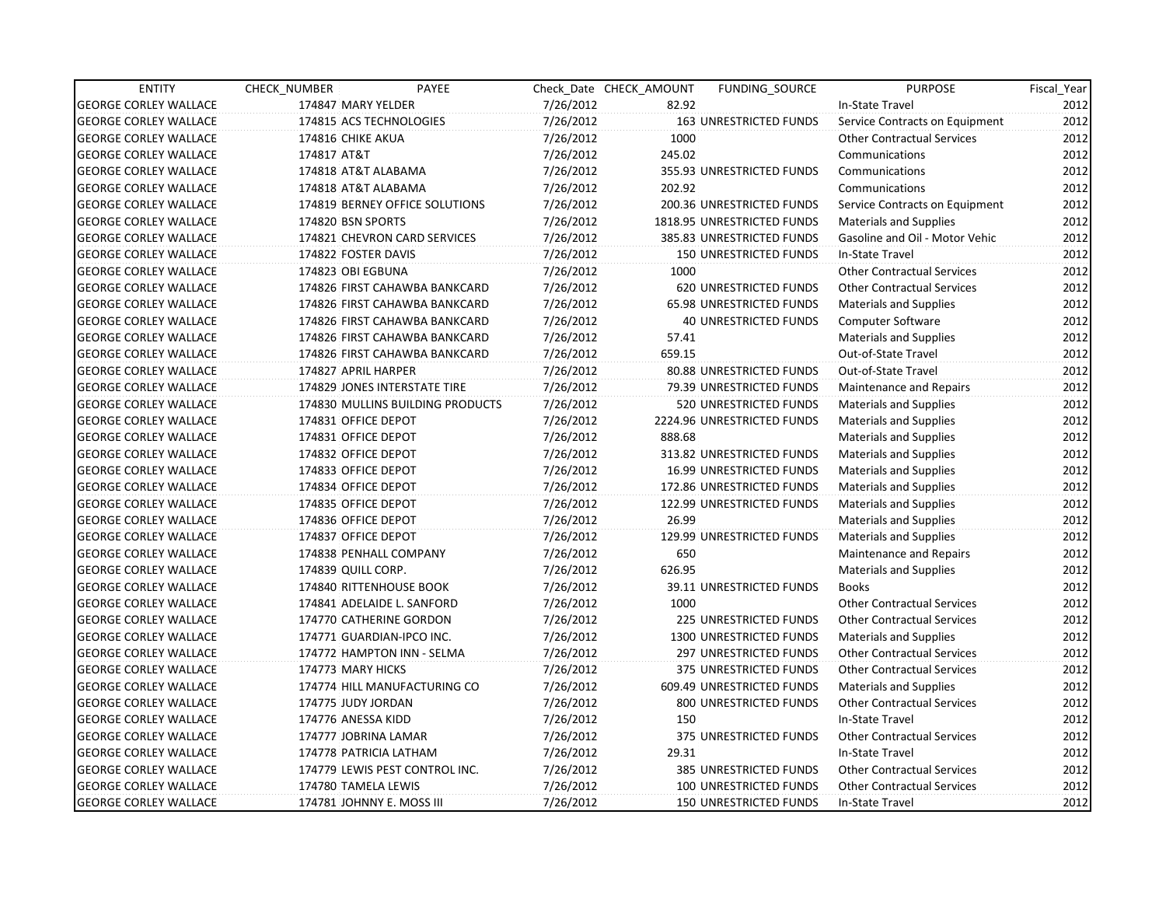| <b>ENTITY</b>                | CHECK NUMBER              | PAYEE                            |           | Check Date CHECK AMOUNT | FUNDING SOURCE                | <b>PURPOSE</b>                    | Fiscal Year |
|------------------------------|---------------------------|----------------------------------|-----------|-------------------------|-------------------------------|-----------------------------------|-------------|
| <b>GEORGE CORLEY WALLACE</b> | 174847 MARY YELDER        |                                  | 7/26/2012 | 82.92                   |                               | In-State Travel                   | 2012        |
| <b>GEORGE CORLEY WALLACE</b> | 174815 ACS TECHNOLOGIES   |                                  | 7/26/2012 |                         | 163 UNRESTRICTED FUNDS        | Service Contracts on Equipment    | 2012        |
| <b>GEORGE CORLEY WALLACE</b> | 174816 CHIKE AKUA         |                                  | 7/26/2012 | 1000                    |                               | <b>Other Contractual Services</b> | 2012        |
| <b>GEORGE CORLEY WALLACE</b> | 174817 AT&T               |                                  | 7/26/2012 | 245.02                  |                               | Communications                    | 2012        |
| <b>GEORGE CORLEY WALLACE</b> | 174818 AT&T ALABAMA       |                                  | 7/26/2012 |                         | 355.93 UNRESTRICTED FUNDS     | Communications                    | 2012        |
| <b>GEORGE CORLEY WALLACE</b> | 174818 AT&T ALABAMA       |                                  | 7/26/2012 | 202.92                  |                               | Communications                    | 2012        |
| <b>GEORGE CORLEY WALLACE</b> |                           | 174819 BERNEY OFFICE SOLUTIONS   | 7/26/2012 |                         | 200.36 UNRESTRICTED FUNDS     | Service Contracts on Equipment    | 2012        |
| <b>GEORGE CORLEY WALLACE</b> | 174820 BSN SPORTS         |                                  | 7/26/2012 |                         | 1818.95 UNRESTRICTED FUNDS    | <b>Materials and Supplies</b>     | 2012        |
| <b>GEORGE CORLEY WALLACE</b> |                           | 174821 CHEVRON CARD SERVICES     | 7/26/2012 |                         | 385.83 UNRESTRICTED FUNDS     | Gasoline and Oil - Motor Vehic    | 2012        |
| <b>GEORGE CORLEY WALLACE</b> | 174822 FOSTER DAVIS       |                                  | 7/26/2012 |                         | <b>150 UNRESTRICTED FUNDS</b> | In-State Travel                   | 2012        |
| <b>GEORGE CORLEY WALLACE</b> | 174823 OBI EGBUNA         |                                  | 7/26/2012 | 1000                    |                               | <b>Other Contractual Services</b> | 2012        |
| <b>GEORGE CORLEY WALLACE</b> |                           | 174826 FIRST CAHAWBA BANKCARD    | 7/26/2012 |                         | 620 UNRESTRICTED FUNDS        | <b>Other Contractual Services</b> | 2012        |
| <b>GEORGE CORLEY WALLACE</b> |                           | 174826 FIRST CAHAWBA BANKCARD    | 7/26/2012 |                         | 65.98 UNRESTRICTED FUNDS      | <b>Materials and Supplies</b>     | 2012        |
| <b>GEORGE CORLEY WALLACE</b> |                           | 174826 FIRST CAHAWBA BANKCARD    | 7/26/2012 |                         | <b>40 UNRESTRICTED FUNDS</b>  | <b>Computer Software</b>          | 2012        |
| <b>GEORGE CORLEY WALLACE</b> |                           | 174826 FIRST CAHAWBA BANKCARD    | 7/26/2012 | 57.41                   |                               | <b>Materials and Supplies</b>     | 2012        |
| <b>GEORGE CORLEY WALLACE</b> |                           | 174826 FIRST CAHAWBA BANKCARD    | 7/26/2012 | 659.15                  |                               | Out-of-State Travel               | 2012        |
| <b>GEORGE CORLEY WALLACE</b> | 174827 APRIL HARPER       |                                  | 7/26/2012 |                         | 80.88 UNRESTRICTED FUNDS      | Out-of-State Travel               | 2012        |
| <b>GEORGE CORLEY WALLACE</b> |                           | 174829 JONES INTERSTATE TIRE     | 7/26/2012 |                         | 79.39 UNRESTRICTED FUNDS      | <b>Maintenance and Repairs</b>    | 2012        |
| <b>GEORGE CORLEY WALLACE</b> |                           | 174830 MULLINS BUILDING PRODUCTS | 7/26/2012 |                         | 520 UNRESTRICTED FUNDS        | <b>Materials and Supplies</b>     | 2012        |
| <b>GEORGE CORLEY WALLACE</b> | 174831 OFFICE DEPOT       |                                  | 7/26/2012 |                         | 2224.96 UNRESTRICTED FUNDS    | Materials and Supplies            | 2012        |
| <b>GEORGE CORLEY WALLACE</b> | 174831 OFFICE DEPOT       |                                  | 7/26/2012 | 888.68                  |                               | Materials and Supplies            | 2012        |
| <b>GEORGE CORLEY WALLACE</b> | 174832 OFFICE DEPOT       |                                  | 7/26/2012 |                         | 313.82 UNRESTRICTED FUNDS     | Materials and Supplies            | 2012        |
| <b>GEORGE CORLEY WALLACE</b> | 174833 OFFICE DEPOT       |                                  | 7/26/2012 |                         | 16.99 UNRESTRICTED FUNDS      | <b>Materials and Supplies</b>     | 2012        |
| <b>GEORGE CORLEY WALLACE</b> | 174834 OFFICE DEPOT       |                                  | 7/26/2012 |                         | 172.86 UNRESTRICTED FUNDS     | Materials and Supplies            | 2012        |
| <b>GEORGE CORLEY WALLACE</b> | 174835 OFFICE DEPOT       |                                  | 7/26/2012 |                         | 122.99 UNRESTRICTED FUNDS     | <b>Materials and Supplies</b>     | 2012        |
| <b>GEORGE CORLEY WALLACE</b> | 174836 OFFICE DEPOT       |                                  | 7/26/2012 | 26.99                   |                               | <b>Materials and Supplies</b>     | 2012        |
| <b>GEORGE CORLEY WALLACE</b> | 174837 OFFICE DEPOT       |                                  | 7/26/2012 |                         | 129.99 UNRESTRICTED FUNDS     | Materials and Supplies            | 2012        |
| <b>GEORGE CORLEY WALLACE</b> | 174838 PENHALL COMPANY    |                                  | 7/26/2012 | 650                     |                               | <b>Maintenance and Repairs</b>    | 2012        |
| <b>GEORGE CORLEY WALLACE</b> | 174839 QUILL CORP.        |                                  | 7/26/2012 | 626.95                  |                               | <b>Materials and Supplies</b>     | 2012        |
| <b>GEORGE CORLEY WALLACE</b> | 174840 RITTENHOUSE BOOK   |                                  | 7/26/2012 |                         | 39.11 UNRESTRICTED FUNDS      | <b>Books</b>                      | 2012        |
| <b>GEORGE CORLEY WALLACE</b> |                           | 174841 ADELAIDE L. SANFORD       | 7/26/2012 | 1000                    |                               | <b>Other Contractual Services</b> | 2012        |
| <b>GEORGE CORLEY WALLACE</b> |                           | 174770 CATHERINE GORDON          | 7/26/2012 |                         | 225 UNRESTRICTED FUNDS        | <b>Other Contractual Services</b> | 2012        |
| <b>GEORGE CORLEY WALLACE</b> |                           | 174771 GUARDIAN-IPCO INC.        | 7/26/2012 |                         | 1300 UNRESTRICTED FUNDS       | <b>Materials and Supplies</b>     | 2012        |
| <b>GEORGE CORLEY WALLACE</b> |                           | 174772 HAMPTON INN - SELMA       | 7/26/2012 |                         | 297 UNRESTRICTED FUNDS        | <b>Other Contractual Services</b> | 2012        |
| <b>GEORGE CORLEY WALLACE</b> | 174773 MARY HICKS         |                                  | 7/26/2012 |                         | 375 UNRESTRICTED FUNDS        | <b>Other Contractual Services</b> | 2012        |
| <b>GEORGE CORLEY WALLACE</b> |                           | 174774 HILL MANUFACTURING CO     | 7/26/2012 |                         | 609.49 UNRESTRICTED FUNDS     | <b>Materials and Supplies</b>     | 2012        |
| <b>GEORGE CORLEY WALLACE</b> | 174775 JUDY JORDAN        |                                  | 7/26/2012 |                         | 800 UNRESTRICTED FUNDS        | <b>Other Contractual Services</b> | 2012        |
| <b>GEORGE CORLEY WALLACE</b> | 174776 ANESSA KIDD        |                                  | 7/26/2012 | 150                     |                               | In-State Travel                   | 2012        |
| <b>GEORGE CORLEY WALLACE</b> | 174777 JOBRINA LAMAR      |                                  | 7/26/2012 |                         | 375 UNRESTRICTED FUNDS        | <b>Other Contractual Services</b> | 2012        |
| <b>GEORGE CORLEY WALLACE</b> | 174778 PATRICIA LATHAM    |                                  | 7/26/2012 | 29.31                   |                               | In-State Travel                   | 2012        |
| <b>GEORGE CORLEY WALLACE</b> |                           | 174779 LEWIS PEST CONTROL INC.   | 7/26/2012 |                         | 385 UNRESTRICTED FUNDS        | <b>Other Contractual Services</b> | 2012        |
| <b>GEORGE CORLEY WALLACE</b> | 174780 TAMELA LEWIS       |                                  | 7/26/2012 |                         | 100 UNRESTRICTED FUNDS        | <b>Other Contractual Services</b> | 2012        |
| <b>GEORGE CORLEY WALLACE</b> | 174781 JOHNNY E. MOSS III |                                  | 7/26/2012 |                         | <b>150 UNRESTRICTED FUNDS</b> | In-State Travel                   | 2012        |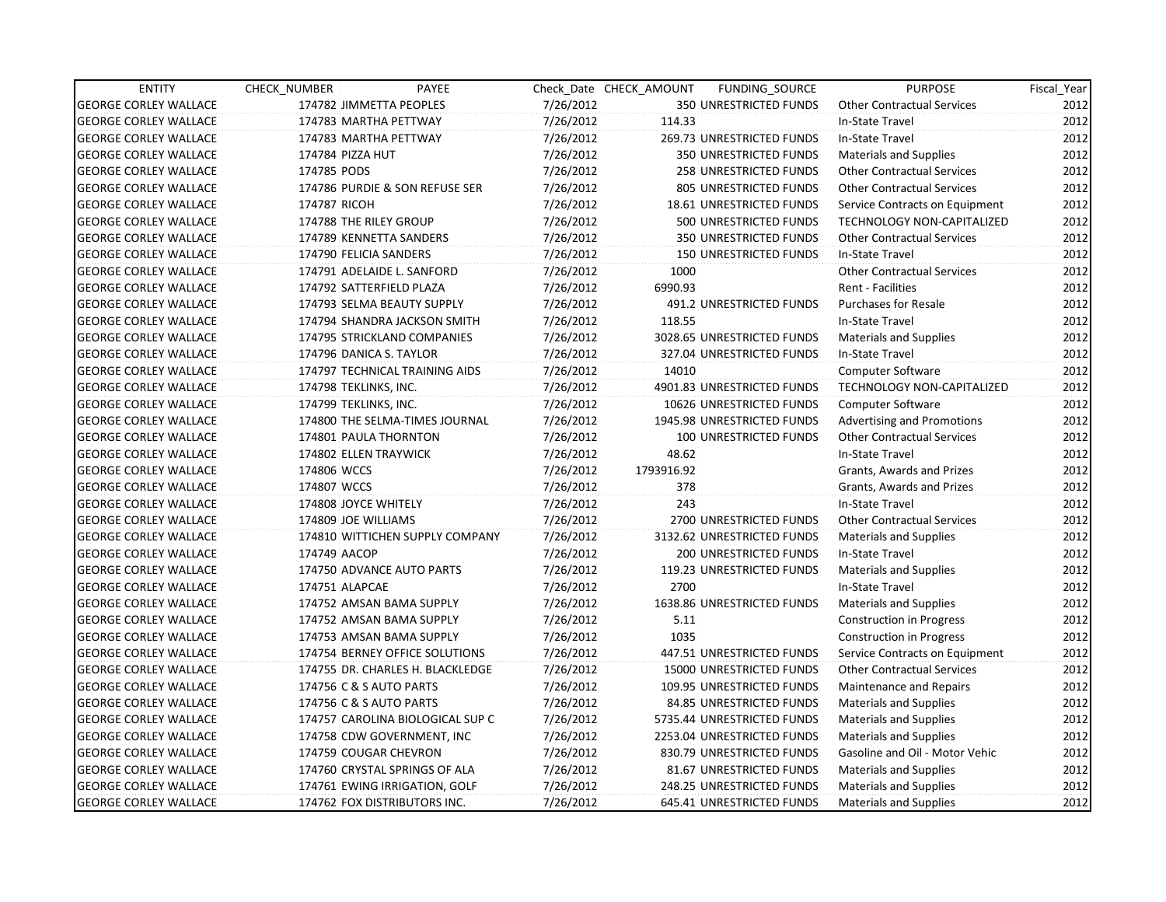| <b>ENTITY</b>                | CHECK_NUMBER             | PAYEE                            |           | Check Date CHECK AMOUNT | FUNDING_SOURCE                | <b>PURPOSE</b>                    | Fiscal Year |
|------------------------------|--------------------------|----------------------------------|-----------|-------------------------|-------------------------------|-----------------------------------|-------------|
| <b>GEORGE CORLEY WALLACE</b> | 174782 JIMMETTA PEOPLES  |                                  | 7/26/2012 |                         | <b>350 UNRESTRICTED FUNDS</b> | <b>Other Contractual Services</b> | 2012        |
| <b>GEORGE CORLEY WALLACE</b> | 174783 MARTHA PETTWAY    |                                  | 7/26/2012 | 114.33                  |                               | In-State Travel                   | 2012        |
| <b>GEORGE CORLEY WALLACE</b> | 174783 MARTHA PETTWAY    |                                  | 7/26/2012 |                         | 269.73 UNRESTRICTED FUNDS     | In-State Travel                   | 2012        |
| <b>GEORGE CORLEY WALLACE</b> | 174784 PIZZA HUT         |                                  | 7/26/2012 |                         | 350 UNRESTRICTED FUNDS        | Materials and Supplies            | 2012        |
| <b>GEORGE CORLEY WALLACE</b> | 174785 PODS              |                                  | 7/26/2012 |                         | 258 UNRESTRICTED FUNDS        | <b>Other Contractual Services</b> | 2012        |
| <b>GEORGE CORLEY WALLACE</b> |                          | 174786 PURDIE & SON REFUSE SER   | 7/26/2012 |                         | 805 UNRESTRICTED FUNDS        | <b>Other Contractual Services</b> | 2012        |
| <b>GEORGE CORLEY WALLACE</b> | 174787 RICOH             |                                  | 7/26/2012 |                         | 18.61 UNRESTRICTED FUNDS      | Service Contracts on Equipment    | 2012        |
| <b>GEORGE CORLEY WALLACE</b> | 174788 THE RILEY GROUP   |                                  | 7/26/2012 |                         | 500 UNRESTRICTED FUNDS        | <b>TECHNOLOGY NON-CAPITALIZED</b> | 2012        |
| <b>GEORGE CORLEY WALLACE</b> | 174789 KENNETTA SANDERS  |                                  | 7/26/2012 |                         | 350 UNRESTRICTED FUNDS        | <b>Other Contractual Services</b> | 2012        |
| <b>GEORGE CORLEY WALLACE</b> | 174790 FELICIA SANDERS   |                                  | 7/26/2012 |                         | <b>150 UNRESTRICTED FUNDS</b> | In-State Travel                   | 2012        |
| <b>GEORGE CORLEY WALLACE</b> |                          | 174791 ADELAIDE L. SANFORD       | 7/26/2012 | 1000                    |                               | <b>Other Contractual Services</b> | 2012        |
| <b>GEORGE CORLEY WALLACE</b> | 174792 SATTERFIELD PLAZA |                                  | 7/26/2012 | 6990.93                 |                               | Rent - Facilities                 | 2012        |
| <b>GEORGE CORLEY WALLACE</b> |                          | 174793 SELMA BEAUTY SUPPLY       | 7/26/2012 |                         | 491.2 UNRESTRICTED FUNDS      | <b>Purchases for Resale</b>       | 2012        |
| <b>GEORGE CORLEY WALLACE</b> |                          | 174794 SHANDRA JACKSON SMITH     | 7/26/2012 | 118.55                  |                               | In-State Travel                   | 2012        |
| <b>GEORGE CORLEY WALLACE</b> |                          | 174795 STRICKLAND COMPANIES      | 7/26/2012 |                         | 3028.65 UNRESTRICTED FUNDS    | Materials and Supplies            | 2012        |
| <b>GEORGE CORLEY WALLACE</b> | 174796 DANICA S. TAYLOR  |                                  | 7/26/2012 |                         | 327.04 UNRESTRICTED FUNDS     | In-State Travel                   | 2012        |
| <b>GEORGE CORLEY WALLACE</b> |                          | 174797 TECHNICAL TRAINING AIDS   | 7/26/2012 | 14010                   |                               | Computer Software                 | 2012        |
| <b>GEORGE CORLEY WALLACE</b> | 174798 TEKLINKS, INC.    |                                  | 7/26/2012 |                         | 4901.83 UNRESTRICTED FUNDS    | TECHNOLOGY NON-CAPITALIZED        | 2012        |
| <b>GEORGE CORLEY WALLACE</b> | 174799 TEKLINKS, INC.    |                                  | 7/26/2012 |                         | 10626 UNRESTRICTED FUNDS      | <b>Computer Software</b>          | 2012        |
| <b>GEORGE CORLEY WALLACE</b> |                          | 174800 THE SELMA-TIMES JOURNAL   | 7/26/2012 |                         | 1945.98 UNRESTRICTED FUNDS    | <b>Advertising and Promotions</b> | 2012        |
| <b>GEORGE CORLEY WALLACE</b> | 174801 PAULA THORNTON    |                                  | 7/26/2012 |                         | 100 UNRESTRICTED FUNDS        | <b>Other Contractual Services</b> | 2012        |
| <b>GEORGE CORLEY WALLACE</b> | 174802 ELLEN TRAYWICK    |                                  | 7/26/2012 | 48.62                   |                               | In-State Travel                   | 2012        |
| <b>GEORGE CORLEY WALLACE</b> | 174806 WCCS              |                                  | 7/26/2012 | 1793916.92              |                               | Grants, Awards and Prizes         | 2012        |
| <b>GEORGE CORLEY WALLACE</b> | 174807 WCCS              |                                  | 7/26/2012 | 378                     |                               | Grants, Awards and Prizes         | 2012        |
| <b>GEORGE CORLEY WALLACE</b> | 174808 JOYCE WHITELY     |                                  | 7/26/2012 | 243                     |                               | In-State Travel                   | 2012        |
| <b>GEORGE CORLEY WALLACE</b> | 174809 JOE WILLIAMS      |                                  | 7/26/2012 |                         | 2700 UNRESTRICTED FUNDS       | <b>Other Contractual Services</b> | 2012        |
| <b>GEORGE CORLEY WALLACE</b> |                          | 174810 WITTICHEN SUPPLY COMPANY  | 7/26/2012 |                         | 3132.62 UNRESTRICTED FUNDS    | <b>Materials and Supplies</b>     | 2012        |
| <b>GEORGE CORLEY WALLACE</b> | 174749 AACOP             |                                  | 7/26/2012 |                         | 200 UNRESTRICTED FUNDS        | In-State Travel                   | 2012        |
| <b>GEORGE CORLEY WALLACE</b> |                          | 174750 ADVANCE AUTO PARTS        | 7/26/2012 |                         | 119.23 UNRESTRICTED FUNDS     | Materials and Supplies            | 2012        |
| <b>GEORGE CORLEY WALLACE</b> | 174751 ALAPCAE           |                                  | 7/26/2012 | 2700                    |                               | In-State Travel                   | 2012        |
| <b>GEORGE CORLEY WALLACE</b> |                          | 174752 AMSAN BAMA SUPPLY         | 7/26/2012 |                         | 1638.86 UNRESTRICTED FUNDS    | Materials and Supplies            | 2012        |
| <b>GEORGE CORLEY WALLACE</b> |                          | 174752 AMSAN BAMA SUPPLY         | 7/26/2012 | 5.11                    |                               | <b>Construction in Progress</b>   | 2012        |
| <b>GEORGE CORLEY WALLACE</b> |                          | 174753 AMSAN BAMA SUPPLY         | 7/26/2012 | 1035                    |                               | <b>Construction in Progress</b>   | 2012        |
| <b>GEORGE CORLEY WALLACE</b> |                          | 174754 BERNEY OFFICE SOLUTIONS   | 7/26/2012 |                         | 447.51 UNRESTRICTED FUNDS     | Service Contracts on Equipment    | 2012        |
| <b>GEORGE CORLEY WALLACE</b> |                          | 174755 DR. CHARLES H. BLACKLEDGE | 7/26/2012 |                         | 15000 UNRESTRICTED FUNDS      | <b>Other Contractual Services</b> | 2012        |
| <b>GEORGE CORLEY WALLACE</b> | 174756 C & S AUTO PARTS  |                                  | 7/26/2012 |                         | 109.95 UNRESTRICTED FUNDS     | Maintenance and Repairs           | 2012        |
| <b>GEORGE CORLEY WALLACE</b> | 174756 C & S AUTO PARTS  |                                  | 7/26/2012 |                         | 84.85 UNRESTRICTED FUNDS      | <b>Materials and Supplies</b>     | 2012        |
| <b>GEORGE CORLEY WALLACE</b> |                          | 174757 CAROLINA BIOLOGICAL SUP C | 7/26/2012 |                         | 5735.44 UNRESTRICTED FUNDS    | <b>Materials and Supplies</b>     | 2012        |
| <b>GEORGE CORLEY WALLACE</b> |                          | 174758 CDW GOVERNMENT, INC       | 7/26/2012 |                         | 2253.04 UNRESTRICTED FUNDS    | Materials and Supplies            | 2012        |
| <b>GEORGE CORLEY WALLACE</b> | 174759 COUGAR CHEVRON    |                                  | 7/26/2012 |                         | 830.79 UNRESTRICTED FUNDS     | Gasoline and Oil - Motor Vehic    | 2012        |
| <b>GEORGE CORLEY WALLACE</b> |                          | 174760 CRYSTAL SPRINGS OF ALA    | 7/26/2012 |                         | 81.67 UNRESTRICTED FUNDS      | Materials and Supplies            | 2012        |
| <b>GEORGE CORLEY WALLACE</b> |                          | 174761 EWING IRRIGATION, GOLF    | 7/26/2012 |                         | 248.25 UNRESTRICTED FUNDS     | <b>Materials and Supplies</b>     | 2012        |
| <b>GEORGE CORLEY WALLACE</b> |                          | 174762 FOX DISTRIBUTORS INC.     | 7/26/2012 |                         | 645.41 UNRESTRICTED FUNDS     | <b>Materials and Supplies</b>     | 2012        |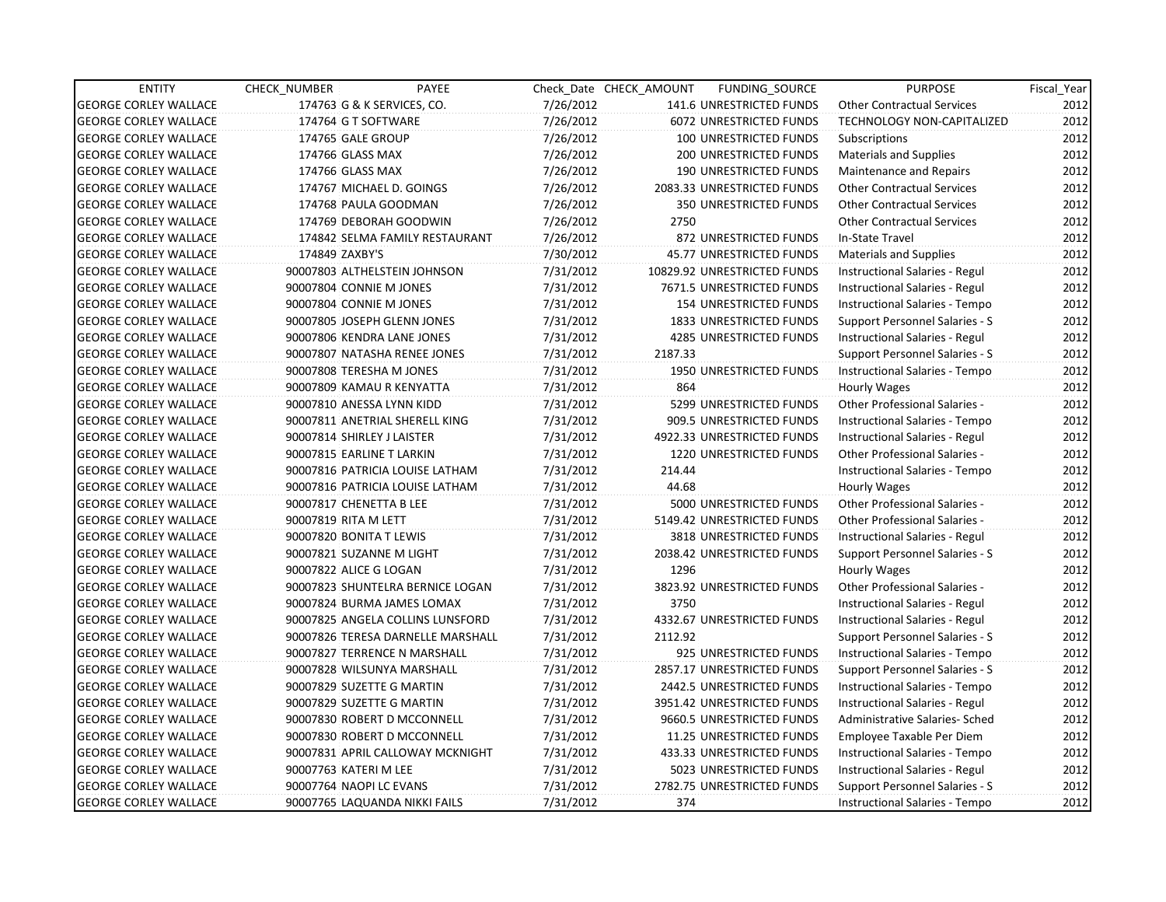| <b>ENTITY</b>                | CHECK NUMBER               | PAYEE                             |           | Check Date CHECK AMOUNT | FUNDING_SOURCE                 | <b>PURPOSE</b>                       | Fiscal_Year |
|------------------------------|----------------------------|-----------------------------------|-----------|-------------------------|--------------------------------|--------------------------------------|-------------|
| <b>GEORGE CORLEY WALLACE</b> |                            | 174763 G & K SERVICES, CO.        | 7/26/2012 |                         | 141.6 UNRESTRICTED FUNDS       | <b>Other Contractual Services</b>    | 2012        |
| <b>GEORGE CORLEY WALLACE</b> | 174764 G T SOFTWARE        |                                   | 7/26/2012 |                         | 6072 UNRESTRICTED FUNDS        | TECHNOLOGY NON-CAPITALIZED           | 2012        |
| <b>GEORGE CORLEY WALLACE</b> | 174765 GALE GROUP          |                                   | 7/26/2012 |                         | 100 UNRESTRICTED FUNDS         | Subscriptions                        | 2012        |
| <b>GEORGE CORLEY WALLACE</b> | 174766 GLASS MAX           |                                   | 7/26/2012 |                         | <b>200 UNRESTRICTED FUNDS</b>  | Materials and Supplies               | 2012        |
| <b>GEORGE CORLEY WALLACE</b> | 174766 GLASS MAX           |                                   | 7/26/2012 |                         | <b>190 UNRESTRICTED FUNDS</b>  | Maintenance and Repairs              | 2012        |
| <b>GEORGE CORLEY WALLACE</b> |                            | 174767 MICHAEL D. GOINGS          | 7/26/2012 |                         | 2083.33 UNRESTRICTED FUNDS     | <b>Other Contractual Services</b>    | 2012        |
| <b>GEORGE CORLEY WALLACE</b> |                            | 174768 PAULA GOODMAN              | 7/26/2012 |                         | <b>350 UNRESTRICTED FUNDS</b>  | <b>Other Contractual Services</b>    | 2012        |
| <b>GEORGE CORLEY WALLACE</b> |                            | 174769 DEBORAH GOODWIN            | 7/26/2012 | 2750                    |                                | <b>Other Contractual Services</b>    | 2012        |
| <b>GEORGE CORLEY WALLACE</b> |                            | 174842 SELMA FAMILY RESTAURANT    | 7/26/2012 |                         | 872 UNRESTRICTED FUNDS         | In-State Travel                      | 2012        |
| <b>GEORGE CORLEY WALLACE</b> | 174849 ZAXBY'S             |                                   | 7/30/2012 |                         | 45.77 UNRESTRICTED FUNDS       | <b>Materials and Supplies</b>        | 2012        |
| <b>GEORGE CORLEY WALLACE</b> |                            | 90007803 ALTHELSTEIN JOHNSON      | 7/31/2012 |                         | 10829.92 UNRESTRICTED FUNDS    | Instructional Salaries - Regul       | 2012        |
| <b>GEORGE CORLEY WALLACE</b> | 90007804 CONNIE M JONES    |                                   | 7/31/2012 |                         | 7671.5 UNRESTRICTED FUNDS      | Instructional Salaries - Regul       | 2012        |
| <b>GEORGE CORLEY WALLACE</b> | 90007804 CONNIE M JONES    |                                   | 7/31/2012 |                         | 154 UNRESTRICTED FUNDS         | Instructional Salaries - Tempo       | 2012        |
| <b>GEORGE CORLEY WALLACE</b> |                            | 90007805 JOSEPH GLENN JONES       | 7/31/2012 |                         | <b>1833 UNRESTRICTED FUNDS</b> | Support Personnel Salaries - S       | 2012        |
| <b>GEORGE CORLEY WALLACE</b> |                            | 90007806 KENDRA LANE JONES        | 7/31/2012 |                         | 4285 UNRESTRICTED FUNDS        | Instructional Salaries - Regul       | 2012        |
| <b>GEORGE CORLEY WALLACE</b> |                            | 90007807 NATASHA RENEE JONES      | 7/31/2012 | 2187.33                 |                                | Support Personnel Salaries - S       | 2012        |
| <b>GEORGE CORLEY WALLACE</b> |                            | 90007808 TERESHA M JONES          | 7/31/2012 |                         | 1950 UNRESTRICTED FUNDS        | Instructional Salaries - Tempo       | 2012        |
| <b>GEORGE CORLEY WALLACE</b> |                            | 90007809 KAMAU R KENYATTA         | 7/31/2012 | 864                     |                                | Hourly Wages                         | 2012        |
| <b>GEORGE CORLEY WALLACE</b> |                            | 90007810 ANESSA LYNN KIDD         | 7/31/2012 |                         | 5299 UNRESTRICTED FUNDS        | Other Professional Salaries -        | 2012        |
| <b>GEORGE CORLEY WALLACE</b> |                            | 90007811 ANETRIAL SHERELL KING    | 7/31/2012 |                         | 909.5 UNRESTRICTED FUNDS       | Instructional Salaries - Tempo       | 2012        |
| <b>GEORGE CORLEY WALLACE</b> | 90007814 SHIRLEY J LAISTER |                                   | 7/31/2012 |                         | 4922.33 UNRESTRICTED FUNDS     | Instructional Salaries - Regul       | 2012        |
| <b>GEORGE CORLEY WALLACE</b> | 90007815 EARLINE T LARKIN  |                                   | 7/31/2012 |                         | 1220 UNRESTRICTED FUNDS        | <b>Other Professional Salaries -</b> | 2012        |
| <b>GEORGE CORLEY WALLACE</b> |                            | 90007816 PATRICIA LOUISE LATHAM   | 7/31/2012 | 214.44                  |                                | Instructional Salaries - Tempo       | 2012        |
| <b>GEORGE CORLEY WALLACE</b> |                            | 90007816 PATRICIA LOUISE LATHAM   | 7/31/2012 | 44.68                   |                                | Hourly Wages                         | 2012        |
| <b>GEORGE CORLEY WALLACE</b> | 90007817 CHENETTA B LEE    |                                   | 7/31/2012 |                         | 5000 UNRESTRICTED FUNDS        | <b>Other Professional Salaries -</b> | 2012        |
| <b>GEORGE CORLEY WALLACE</b> | 90007819 RITA M LETT       |                                   | 7/31/2012 |                         | 5149.42 UNRESTRICTED FUNDS     | <b>Other Professional Salaries -</b> | 2012        |
| <b>GEORGE CORLEY WALLACE</b> | 90007820 BONITA T LEWIS    |                                   | 7/31/2012 |                         | 3818 UNRESTRICTED FUNDS        | Instructional Salaries - Regul       | 2012        |
| <b>GEORGE CORLEY WALLACE</b> |                            | 90007821 SUZANNE M LIGHT          | 7/31/2012 |                         | 2038.42 UNRESTRICTED FUNDS     | Support Personnel Salaries - S       | 2012        |
| <b>GEORGE CORLEY WALLACE</b> | 90007822 ALICE G LOGAN     |                                   | 7/31/2012 | 1296                    |                                | Hourly Wages                         | 2012        |
| <b>GEORGE CORLEY WALLACE</b> |                            | 90007823 SHUNTELRA BERNICE LOGAN  | 7/31/2012 |                         | 3823.92 UNRESTRICTED FUNDS     | <b>Other Professional Salaries -</b> | 2012        |
| <b>GEORGE CORLEY WALLACE</b> |                            | 90007824 BURMA JAMES LOMAX        | 7/31/2012 | 3750                    |                                | Instructional Salaries - Regul       | 2012        |
| <b>GEORGE CORLEY WALLACE</b> |                            | 90007825 ANGELA COLLINS LUNSFORD  | 7/31/2012 |                         | 4332.67 UNRESTRICTED FUNDS     | Instructional Salaries - Regul       | 2012        |
| <b>GEORGE CORLEY WALLACE</b> |                            | 90007826 TERESA DARNELLE MARSHALL | 7/31/2012 | 2112.92                 |                                | Support Personnel Salaries - S       | 2012        |
| <b>GEORGE CORLEY WALLACE</b> |                            | 90007827 TERRENCE N MARSHALL      | 7/31/2012 |                         | 925 UNRESTRICTED FUNDS         | Instructional Salaries - Tempo       | 2012        |
| <b>GEORGE CORLEY WALLACE</b> |                            | 90007828 WILSUNYA MARSHALL        | 7/31/2012 |                         | 2857.17 UNRESTRICTED FUNDS     | Support Personnel Salaries - S       | 2012        |
| <b>GEORGE CORLEY WALLACE</b> |                            | 90007829 SUZETTE G MARTIN         | 7/31/2012 |                         | 2442.5 UNRESTRICTED FUNDS      | Instructional Salaries - Tempo       | 2012        |
| <b>GEORGE CORLEY WALLACE</b> |                            | 90007829 SUZETTE G MARTIN         | 7/31/2012 |                         | 3951.42 UNRESTRICTED FUNDS     | Instructional Salaries - Regul       | 2012        |
| <b>GEORGE CORLEY WALLACE</b> |                            | 90007830 ROBERT D MCCONNELL       | 7/31/2012 |                         | 9660.5 UNRESTRICTED FUNDS      | Administrative Salaries- Sched       | 2012        |
| <b>GEORGE CORLEY WALLACE</b> |                            | 90007830 ROBERT D MCCONNELL       | 7/31/2012 |                         | 11.25 UNRESTRICTED FUNDS       | Employee Taxable Per Diem            | 2012        |
| <b>GEORGE CORLEY WALLACE</b> |                            | 90007831 APRIL CALLOWAY MCKNIGHT  | 7/31/2012 |                         | 433.33 UNRESTRICTED FUNDS      | Instructional Salaries - Tempo       | 2012        |
| <b>GEORGE CORLEY WALLACE</b> | 90007763 KATERI M LEE      |                                   | 7/31/2012 |                         | 5023 UNRESTRICTED FUNDS        | Instructional Salaries - Regul       | 2012        |
| <b>GEORGE CORLEY WALLACE</b> | 90007764 NAOPI LC EVANS    |                                   | 7/31/2012 |                         | 2782.75 UNRESTRICTED FUNDS     | Support Personnel Salaries - S       | 2012        |
| <b>GEORGE CORLEY WALLACE</b> |                            | 90007765 LAQUANDA NIKKI FAILS     | 7/31/2012 | 374                     |                                | Instructional Salaries - Tempo       | 2012        |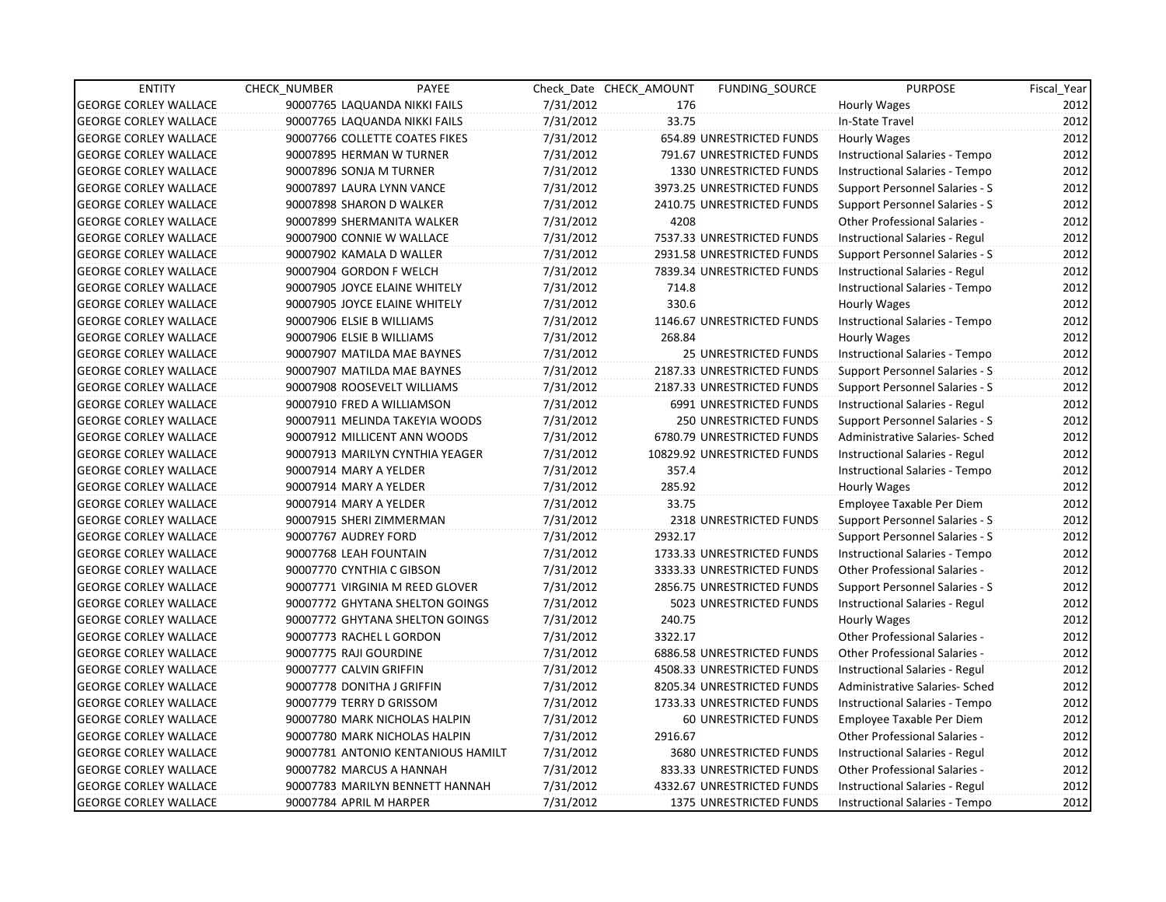| <b>ENTITY</b>                | <b>CHECK NUMBER</b> | PAYEE                              |           | Check Date CHECK AMOUNT | <b>FUNDING SOURCE</b>          | <b>PURPOSE</b>                        | Fiscal_Year |
|------------------------------|---------------------|------------------------------------|-----------|-------------------------|--------------------------------|---------------------------------------|-------------|
| <b>GEORGE CORLEY WALLACE</b> |                     | 90007765 LAQUANDA NIKKI FAILS      | 7/31/2012 | 176                     |                                | Hourly Wages                          | 2012        |
| <b>GEORGE CORLEY WALLACE</b> |                     | 90007765 LAQUANDA NIKKI FAILS      | 7/31/2012 | 33.75                   |                                | In-State Travel                       | 2012        |
| <b>GEORGE CORLEY WALLACE</b> |                     | 90007766 COLLETTE COATES FIKES     | 7/31/2012 |                         | 654.89 UNRESTRICTED FUNDS      | Hourly Wages                          | 2012        |
| <b>GEORGE CORLEY WALLACE</b> |                     | 90007895 HERMAN W TURNER           | 7/31/2012 |                         | 791.67 UNRESTRICTED FUNDS      | Instructional Salaries - Tempo        | 2012        |
| <b>GEORGE CORLEY WALLACE</b> |                     | 90007896 SONJA M TURNER            | 7/31/2012 |                         | 1330 UNRESTRICTED FUNDS        | Instructional Salaries - Tempo        | 2012        |
| <b>GEORGE CORLEY WALLACE</b> |                     | 90007897 LAURA LYNN VANCE          | 7/31/2012 |                         | 3973.25 UNRESTRICTED FUNDS     | Support Personnel Salaries - S        | 2012        |
| GEORGE CORLEY WALLACE        |                     | 90007898 SHARON D WALKER           | 7/31/2012 |                         | 2410.75 UNRESTRICTED FUNDS     | <b>Support Personnel Salaries - S</b> | 2012        |
| <b>GEORGE CORLEY WALLACE</b> |                     | 90007899 SHERMANITA WALKER         | 7/31/2012 | 4208                    |                                | Other Professional Salaries -         | 2012        |
| <b>GEORGE CORLEY WALLACE</b> |                     | 90007900 CONNIE W WALLACE          | 7/31/2012 |                         | 7537.33 UNRESTRICTED FUNDS     | Instructional Salaries - Regul        | 2012        |
| <b>GEORGE CORLEY WALLACE</b> |                     | 90007902 KAMALA D WALLER           | 7/31/2012 |                         | 2931.58 UNRESTRICTED FUNDS     | Support Personnel Salaries - S        | 2012        |
| <b>GEORGE CORLEY WALLACE</b> |                     | 90007904 GORDON F WELCH            | 7/31/2012 |                         | 7839.34 UNRESTRICTED FUNDS     | Instructional Salaries - Regul        | 2012        |
| <b>GEORGE CORLEY WALLACE</b> |                     | 90007905 JOYCE ELAINE WHITELY      | 7/31/2012 | 714.8                   |                                | Instructional Salaries - Tempo        | 2012        |
| <b>GEORGE CORLEY WALLACE</b> |                     | 90007905 JOYCE ELAINE WHITELY      | 7/31/2012 | 330.6                   |                                | Hourly Wages                          | 2012        |
| <b>GEORGE CORLEY WALLACE</b> |                     | 90007906 ELSIE B WILLIAMS          | 7/31/2012 |                         | 1146.67 UNRESTRICTED FUNDS     | Instructional Salaries - Tempo        | 2012        |
| <b>GEORGE CORLEY WALLACE</b> |                     | 90007906 ELSIE B WILLIAMS          | 7/31/2012 | 268.84                  |                                | Hourly Wages                          | 2012        |
| <b>GEORGE CORLEY WALLACE</b> |                     | 90007907 MATILDA MAE BAYNES        | 7/31/2012 |                         | 25 UNRESTRICTED FUNDS          | Instructional Salaries - Tempo        | 2012        |
| GEORGE CORLEY WALLACE        |                     | 90007907 MATILDA MAE BAYNES        | 7/31/2012 |                         | 2187.33 UNRESTRICTED FUNDS     | <b>Support Personnel Salaries - S</b> | 2012        |
| <b>GEORGE CORLEY WALLACE</b> |                     | 90007908 ROOSEVELT WILLIAMS        | 7/31/2012 |                         | 2187.33 UNRESTRICTED FUNDS     | <b>Support Personnel Salaries - S</b> | 2012        |
| <b>GEORGE CORLEY WALLACE</b> |                     | 90007910 FRED A WILLIAMSON         | 7/31/2012 |                         | 6991 UNRESTRICTED FUNDS        | Instructional Salaries - Regul        | 2012        |
| <b>GEORGE CORLEY WALLACE</b> |                     | 90007911 MELINDA TAKEYIA WOODS     | 7/31/2012 |                         | 250 UNRESTRICTED FUNDS         | Support Personnel Salaries - S        | 2012        |
| <b>GEORGE CORLEY WALLACE</b> |                     | 90007912 MILLICENT ANN WOODS       | 7/31/2012 |                         | 6780.79 UNRESTRICTED FUNDS     | Administrative Salaries- Sched        | 2012        |
| <b>GEORGE CORLEY WALLACE</b> |                     | 90007913 MARILYN CYNTHIA YEAGER    | 7/31/2012 |                         | 10829.92 UNRESTRICTED FUNDS    | Instructional Salaries - Regul        | 2012        |
| <b>GEORGE CORLEY WALLACE</b> |                     | 90007914 MARY A YELDER             | 7/31/2012 | 357.4                   |                                | Instructional Salaries - Tempo        | 2012        |
| <b>GEORGE CORLEY WALLACE</b> |                     | 90007914 MARY A YELDER             | 7/31/2012 | 285.92                  |                                | Hourly Wages                          | 2012        |
| <b>GEORGE CORLEY WALLACE</b> |                     | 90007914 MARY A YELDER             | 7/31/2012 | 33.75                   |                                | Employee Taxable Per Diem             | 2012        |
| <b>GEORGE CORLEY WALLACE</b> |                     | 90007915 SHERI ZIMMERMAN           | 7/31/2012 |                         | 2318 UNRESTRICTED FUNDS        | Support Personnel Salaries - S        | 2012        |
| <b>GEORGE CORLEY WALLACE</b> |                     | 90007767 AUDREY FORD               | 7/31/2012 | 2932.17                 |                                | Support Personnel Salaries - S        | 2012        |
| <b>GEORGE CORLEY WALLACE</b> |                     | 90007768 LEAH FOUNTAIN             | 7/31/2012 |                         | 1733.33 UNRESTRICTED FUNDS     | Instructional Salaries - Tempo        | 2012        |
| <b>GEORGE CORLEY WALLACE</b> |                     | 90007770 CYNTHIA C GIBSON          | 7/31/2012 |                         | 3333.33 UNRESTRICTED FUNDS     | Other Professional Salaries -         | 2012        |
| <b>GEORGE CORLEY WALLACE</b> |                     | 90007771 VIRGINIA M REED GLOVER    | 7/31/2012 |                         | 2856.75 UNRESTRICTED FUNDS     | Support Personnel Salaries - S        | 2012        |
| <b>GEORGE CORLEY WALLACE</b> |                     | 90007772 GHYTANA SHELTON GOINGS    | 7/31/2012 |                         | 5023 UNRESTRICTED FUNDS        | Instructional Salaries - Regul        | 2012        |
| <b>GEORGE CORLEY WALLACE</b> |                     | 90007772 GHYTANA SHELTON GOINGS    | 7/31/2012 | 240.75                  |                                | Hourly Wages                          | 2012        |
| <b>GEORGE CORLEY WALLACE</b> |                     | 90007773 RACHEL L GORDON           | 7/31/2012 | 3322.17                 |                                | Other Professional Salaries -         | 2012        |
| <b>GEORGE CORLEY WALLACE</b> |                     | 90007775 RAJI GOURDINE             | 7/31/2012 |                         | 6886.58 UNRESTRICTED FUNDS     | Other Professional Salaries -         | 2012        |
| <b>GEORGE CORLEY WALLACE</b> |                     | 90007777 CALVIN GRIFFIN            | 7/31/2012 |                         | 4508.33 UNRESTRICTED FUNDS     | Instructional Salaries - Regul        | 2012        |
| <b>GEORGE CORLEY WALLACE</b> |                     | 90007778 DONITHA J GRIFFIN         | 7/31/2012 |                         | 8205.34 UNRESTRICTED FUNDS     | Administrative Salaries- Sched        | 2012        |
| <b>GEORGE CORLEY WALLACE</b> |                     | 90007779 TERRY D GRISSOM           | 7/31/2012 |                         | 1733.33 UNRESTRICTED FUNDS     | Instructional Salaries - Tempo        | 2012        |
| <b>GEORGE CORLEY WALLACE</b> |                     | 90007780 MARK NICHOLAS HALPIN      | 7/31/2012 |                         | 60 UNRESTRICTED FUNDS          | Employee Taxable Per Diem             | 2012        |
| <b>GEORGE CORLEY WALLACE</b> |                     | 90007780 MARK NICHOLAS HALPIN      | 7/31/2012 | 2916.67                 |                                | Other Professional Salaries -         | 2012        |
| <b>GEORGE CORLEY WALLACE</b> |                     | 90007781 ANTONIO KENTANIOUS HAMILT | 7/31/2012 |                         | 3680 UNRESTRICTED FUNDS        | Instructional Salaries - Regul        | 2012        |
| <b>GEORGE CORLEY WALLACE</b> |                     | 90007782 MARCUS A HANNAH           | 7/31/2012 |                         | 833.33 UNRESTRICTED FUNDS      | Other Professional Salaries -         | 2012        |
| <b>GEORGE CORLEY WALLACE</b> |                     | 90007783 MARILYN BENNETT HANNAH    | 7/31/2012 |                         | 4332.67 UNRESTRICTED FUNDS     | Instructional Salaries - Regul        | 2012        |
| <b>GEORGE CORLEY WALLACE</b> |                     | 90007784 APRIL M HARPER            | 7/31/2012 |                         | <b>1375 UNRESTRICTED FUNDS</b> | Instructional Salaries - Tempo        | 2012        |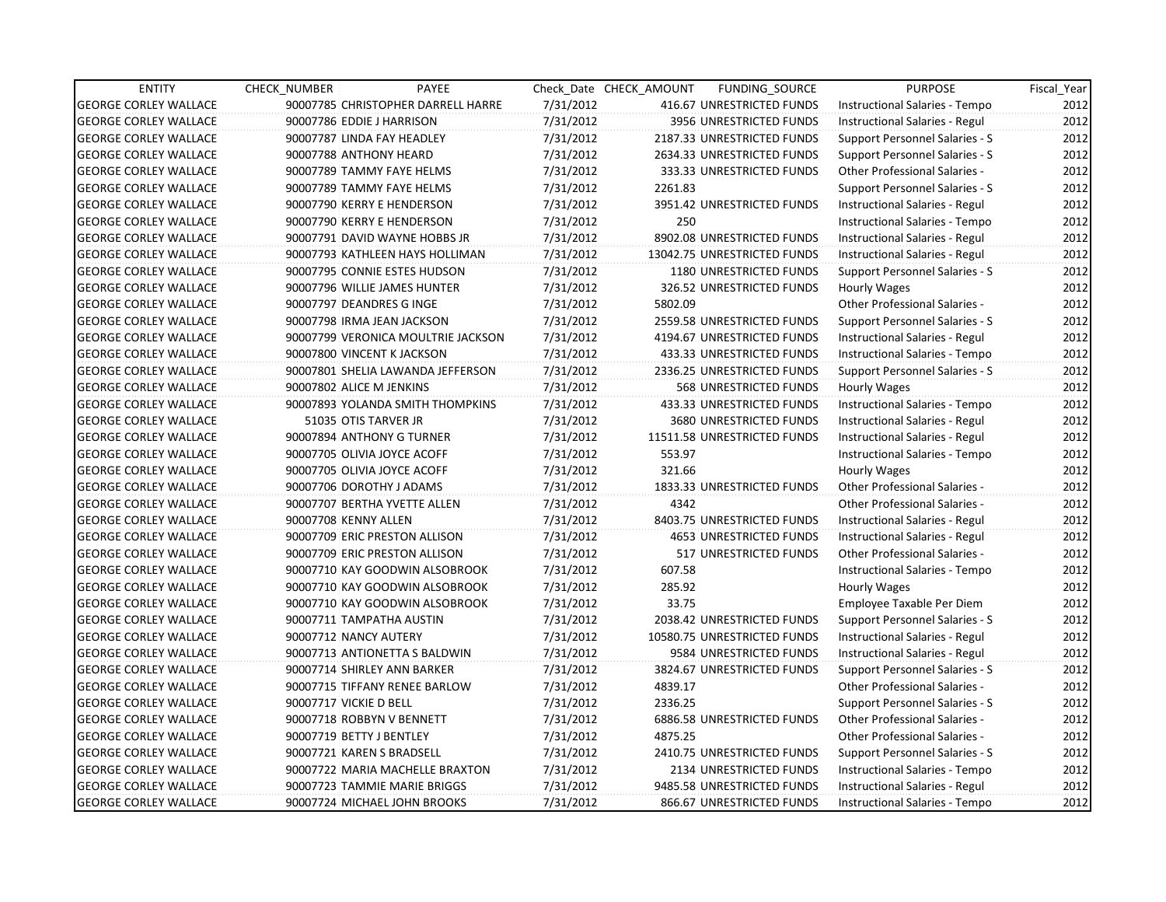| <b>ENTITY</b>                | <b>CHECK NUMBER</b>         | PAYEE                              |           | Check Date CHECK AMOUNT | FUNDING_SOURCE                 | <b>PURPOSE</b>                       | Fiscal_Year |
|------------------------------|-----------------------------|------------------------------------|-----------|-------------------------|--------------------------------|--------------------------------------|-------------|
| <b>GEORGE CORLEY WALLACE</b> |                             | 90007785 CHRISTOPHER DARRELL HARRE | 7/31/2012 |                         | 416.67 UNRESTRICTED FUNDS      | Instructional Salaries - Tempo       | 2012        |
| <b>GEORGE CORLEY WALLACE</b> | 90007786 EDDIE J HARRISON   |                                    | 7/31/2012 |                         | 3956 UNRESTRICTED FUNDS        | Instructional Salaries - Regul       | 2012        |
| <b>GEORGE CORLEY WALLACE</b> | 90007787 LINDA FAY HEADLEY  |                                    | 7/31/2012 |                         | 2187.33 UNRESTRICTED FUNDS     | Support Personnel Salaries - S       | 2012        |
| <b>GEORGE CORLEY WALLACE</b> | 90007788 ANTHONY HEARD      |                                    | 7/31/2012 |                         | 2634.33 UNRESTRICTED FUNDS     | Support Personnel Salaries - S       | 2012        |
| <b>GEORGE CORLEY WALLACE</b> | 90007789 TAMMY FAYE HELMS   |                                    | 7/31/2012 |                         | 333.33 UNRESTRICTED FUNDS      | <b>Other Professional Salaries -</b> | 2012        |
| <b>GEORGE CORLEY WALLACE</b> | 90007789 TAMMY FAYE HELMS   |                                    | 7/31/2012 | 2261.83                 |                                | Support Personnel Salaries - S       | 2012        |
| <b>GEORGE CORLEY WALLACE</b> |                             | 90007790 KERRY E HENDERSON         | 7/31/2012 |                         | 3951.42 UNRESTRICTED FUNDS     | Instructional Salaries - Regul       | 2012        |
| <b>GEORGE CORLEY WALLACE</b> |                             | 90007790 KERRY E HENDERSON         | 7/31/2012 | 250                     |                                | Instructional Salaries - Tempo       | 2012        |
| <b>GEORGE CORLEY WALLACE</b> |                             | 90007791 DAVID WAYNE HOBBS JR      | 7/31/2012 |                         | 8902.08 UNRESTRICTED FUNDS     | Instructional Salaries - Regul       | 2012        |
| <b>GEORGE CORLEY WALLACE</b> |                             | 90007793 KATHLEEN HAYS HOLLIMAN    | 7/31/2012 |                         | 13042.75 UNRESTRICTED FUNDS    | Instructional Salaries - Regul       | 2012        |
| <b>GEORGE CORLEY WALLACE</b> |                             | 90007795 CONNIE ESTES HUDSON       | 7/31/2012 |                         | 1180 UNRESTRICTED FUNDS        | Support Personnel Salaries - S       | 2012        |
| <b>GEORGE CORLEY WALLACE</b> |                             | 90007796 WILLIE JAMES HUNTER       | 7/31/2012 |                         | 326.52 UNRESTRICTED FUNDS      | Hourly Wages                         | 2012        |
| <b>GEORGE CORLEY WALLACE</b> | 90007797 DEANDRES G INGE    |                                    | 7/31/2012 | 5802.09                 |                                | Other Professional Salaries -        | 2012        |
| <b>GEORGE CORLEY WALLACE</b> | 90007798 IRMA JEAN JACKSON  |                                    | 7/31/2012 |                         | 2559.58 UNRESTRICTED FUNDS     | Support Personnel Salaries - S       | 2012        |
| <b>GEORGE CORLEY WALLACE</b> |                             | 90007799 VERONICA MOULTRIE JACKSON | 7/31/2012 |                         | 4194.67 UNRESTRICTED FUNDS     | Instructional Salaries - Regul       | 2012        |
| <b>GEORGE CORLEY WALLACE</b> | 90007800 VINCENT K JACKSON  |                                    | 7/31/2012 |                         | 433.33 UNRESTRICTED FUNDS      | Instructional Salaries - Tempo       | 2012        |
| <b>GEORGE CORLEY WALLACE</b> |                             | 90007801 SHELIA LAWANDA JEFFERSON  | 7/31/2012 |                         | 2336.25 UNRESTRICTED FUNDS     | Support Personnel Salaries - S       | 2012        |
| <b>GEORGE CORLEY WALLACE</b> | 90007802 ALICE M JENKINS    |                                    | 7/31/2012 |                         | 568 UNRESTRICTED FUNDS         | Hourly Wages                         | 2012        |
| <b>GEORGE CORLEY WALLACE</b> |                             | 90007893 YOLANDA SMITH THOMPKINS   | 7/31/2012 |                         | 433.33 UNRESTRICTED FUNDS      | Instructional Salaries - Tempo       | 2012        |
| <b>GEORGE CORLEY WALLACE</b> | 51035 OTIS TARVER JR        |                                    | 7/31/2012 |                         | 3680 UNRESTRICTED FUNDS        | Instructional Salaries - Regul       | 2012        |
| <b>GEORGE CORLEY WALLACE</b> | 90007894 ANTHONY G TURNER   |                                    | 7/31/2012 |                         | 11511.58 UNRESTRICTED FUNDS    | Instructional Salaries - Regul       | 2012        |
| <b>GEORGE CORLEY WALLACE</b> | 90007705 OLIVIA JOYCE ACOFF |                                    | 7/31/2012 | 553.97                  |                                | Instructional Salaries - Tempo       | 2012        |
| <b>GEORGE CORLEY WALLACE</b> | 90007705 OLIVIA JOYCE ACOFF |                                    | 7/31/2012 | 321.66                  |                                | Hourly Wages                         | 2012        |
| <b>GEORGE CORLEY WALLACE</b> | 90007706 DOROTHY J ADAMS    |                                    | 7/31/2012 |                         | 1833.33 UNRESTRICTED FUNDS     | <b>Other Professional Salaries -</b> | 2012        |
| <b>GEORGE CORLEY WALLACE</b> |                             | 90007707 BERTHA YVETTE ALLEN       | 7/31/2012 | 4342                    |                                | Other Professional Salaries -        | 2012        |
| <b>GEORGE CORLEY WALLACE</b> | 90007708 KENNY ALLEN        |                                    | 7/31/2012 |                         | 8403.75 UNRESTRICTED FUNDS     | Instructional Salaries - Regul       | 2012        |
| <b>GEORGE CORLEY WALLACE</b> |                             | 90007709 ERIC PRESTON ALLISON      | 7/31/2012 |                         | <b>4653 UNRESTRICTED FUNDS</b> | Instructional Salaries - Regul       | 2012        |
| <b>GEORGE CORLEY WALLACE</b> |                             | 90007709 ERIC PRESTON ALLISON      | 7/31/2012 |                         | 517 UNRESTRICTED FUNDS         | Other Professional Salaries -        | 2012        |
| <b>GEORGE CORLEY WALLACE</b> |                             | 90007710 KAY GOODWIN ALSOBROOK     | 7/31/2012 | 607.58                  |                                | Instructional Salaries - Tempo       | 2012        |
| <b>GEORGE CORLEY WALLACE</b> |                             | 90007710 KAY GOODWIN ALSOBROOK     | 7/31/2012 | 285.92                  |                                | Hourly Wages                         | 2012        |
| <b>GEORGE CORLEY WALLACE</b> |                             | 90007710 KAY GOODWIN ALSOBROOK     | 7/31/2012 | 33.75                   |                                | Employee Taxable Per Diem            | 2012        |
| <b>GEORGE CORLEY WALLACE</b> | 90007711 TAMPATHA AUSTIN    |                                    | 7/31/2012 |                         | 2038.42 UNRESTRICTED FUNDS     | Support Personnel Salaries - S       | 2012        |
| <b>GEORGE CORLEY WALLACE</b> | 90007712 NANCY AUTERY       |                                    | 7/31/2012 |                         | 10580.75 UNRESTRICTED FUNDS    | Instructional Salaries - Regul       | 2012        |
| <b>GEORGE CORLEY WALLACE</b> |                             | 90007713 ANTIONETTA S BALDWIN      | 7/31/2012 |                         | 9584 UNRESTRICTED FUNDS        | Instructional Salaries - Regul       | 2012        |
| <b>GEORGE CORLEY WALLACE</b> |                             | 90007714 SHIRLEY ANN BARKER        | 7/31/2012 |                         | 3824.67 UNRESTRICTED FUNDS     | Support Personnel Salaries - S       | 2012        |
| <b>GEORGE CORLEY WALLACE</b> |                             | 90007715 TIFFANY RENEE BARLOW      | 7/31/2012 | 4839.17                 |                                | <b>Other Professional Salaries -</b> | 2012        |
| <b>GEORGE CORLEY WALLACE</b> | 90007717 VICKIE D BELL      |                                    | 7/31/2012 | 2336.25                 |                                | Support Personnel Salaries - S       | 2012        |
| <b>GEORGE CORLEY WALLACE</b> | 90007718 ROBBYN V BENNETT   |                                    | 7/31/2012 |                         | 6886.58 UNRESTRICTED FUNDS     | Other Professional Salaries -        | 2012        |
| <b>GEORGE CORLEY WALLACE</b> | 90007719 BETTY J BENTLEY    |                                    | 7/31/2012 | 4875.25                 |                                | <b>Other Professional Salaries -</b> | 2012        |
| <b>GEORGE CORLEY WALLACE</b> | 90007721 KAREN S BRADSELL   |                                    | 7/31/2012 |                         | 2410.75 UNRESTRICTED FUNDS     | Support Personnel Salaries - S       | 2012        |
| <b>GEORGE CORLEY WALLACE</b> |                             | 90007722 MARIA MACHELLE BRAXTON    | 7/31/2012 |                         | 2134 UNRESTRICTED FUNDS        | Instructional Salaries - Tempo       | 2012        |
| <b>GEORGE CORLEY WALLACE</b> |                             | 90007723 TAMMIE MARIE BRIGGS       | 7/31/2012 |                         | 9485.58 UNRESTRICTED FUNDS     | Instructional Salaries - Regul       | 2012        |
| <b>GEORGE CORLEY WALLACE</b> |                             | 90007724 MICHAEL JOHN BROOKS       | 7/31/2012 |                         | 866.67 UNRESTRICTED FUNDS      | Instructional Salaries - Tempo       | 2012        |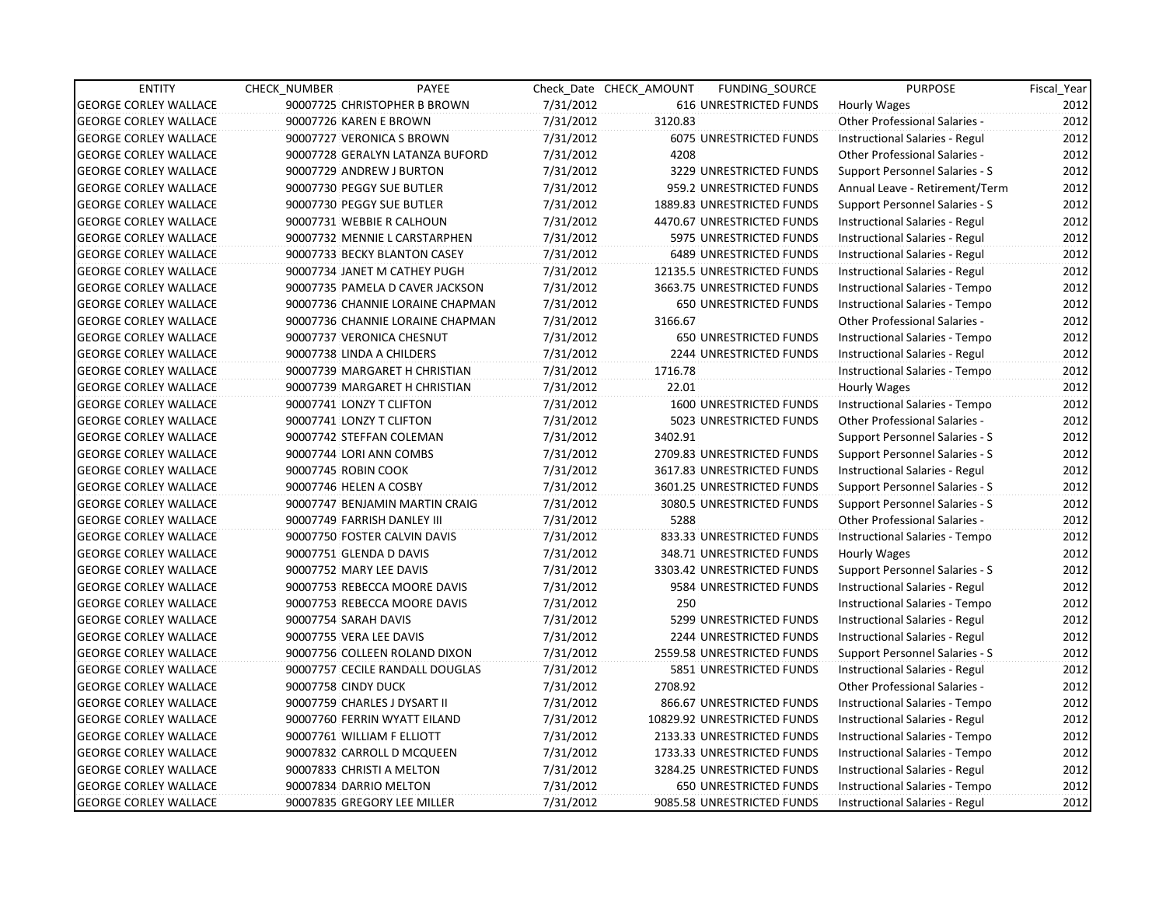| <b>ENTITY</b>                | <b>CHECK NUMBER</b>          | PAYEE                            |           | Check Date CHECK AMOUNT | FUNDING_SOURCE                 | <b>PURPOSE</b>                       | Fiscal_Year |
|------------------------------|------------------------------|----------------------------------|-----------|-------------------------|--------------------------------|--------------------------------------|-------------|
| <b>GEORGE CORLEY WALLACE</b> |                              | 90007725 CHRISTOPHER B BROWN     | 7/31/2012 |                         | 616 UNRESTRICTED FUNDS         | <b>Hourly Wages</b>                  | 2012        |
| <b>GEORGE CORLEY WALLACE</b> | 90007726 KAREN E BROWN       |                                  | 7/31/2012 | 3120.83                 |                                | Other Professional Salaries -        | 2012        |
| <b>GEORGE CORLEY WALLACE</b> | 90007727 VERONICA S BROWN    |                                  | 7/31/2012 |                         | <b>6075 UNRESTRICTED FUNDS</b> | Instructional Salaries - Regul       | 2012        |
| <b>GEORGE CORLEY WALLACE</b> |                              | 90007728 GERALYN LATANZA BUFORD  | 7/31/2012 | 4208                    |                                | Other Professional Salaries -        | 2012        |
| <b>GEORGE CORLEY WALLACE</b> | 90007729 ANDREW J BURTON     |                                  | 7/31/2012 |                         | 3229 UNRESTRICTED FUNDS        | Support Personnel Salaries - S       | 2012        |
| <b>GEORGE CORLEY WALLACE</b> | 90007730 PEGGY SUE BUTLER    |                                  | 7/31/2012 |                         | 959.2 UNRESTRICTED FUNDS       | Annual Leave - Retirement/Term       | 2012        |
| <b>GEORGE CORLEY WALLACE</b> | 90007730 PEGGY SUE BUTLER    |                                  | 7/31/2012 |                         | 1889.83 UNRESTRICTED FUNDS     | Support Personnel Salaries - S       | 2012        |
| <b>GEORGE CORLEY WALLACE</b> | 90007731 WEBBIE R CALHOUN    |                                  | 7/31/2012 |                         | 4470.67 UNRESTRICTED FUNDS     | Instructional Salaries - Regul       | 2012        |
| <b>GEORGE CORLEY WALLACE</b> |                              | 90007732 MENNIE L CARSTARPHEN    | 7/31/2012 |                         | 5975 UNRESTRICTED FUNDS        | Instructional Salaries - Regul       | 2012        |
| <b>GEORGE CORLEY WALLACE</b> |                              | 90007733 BECKY BLANTON CASEY     | 7/31/2012 |                         | <b>6489 UNRESTRICTED FUNDS</b> | Instructional Salaries - Regul       | 2012        |
| <b>GEORGE CORLEY WALLACE</b> |                              | 90007734 JANET M CATHEY PUGH     | 7/31/2012 |                         | 12135.5 UNRESTRICTED FUNDS     | Instructional Salaries - Regul       | 2012        |
| <b>GEORGE CORLEY WALLACE</b> |                              | 90007735 PAMELA D CAVER JACKSON  | 7/31/2012 |                         | 3663.75 UNRESTRICTED FUNDS     | Instructional Salaries - Tempo       | 2012        |
| <b>GEORGE CORLEY WALLACE</b> |                              | 90007736 CHANNIE LORAINE CHAPMAN | 7/31/2012 |                         | 650 UNRESTRICTED FUNDS         | Instructional Salaries - Tempo       | 2012        |
| <b>GEORGE CORLEY WALLACE</b> |                              | 90007736 CHANNIE LORAINE CHAPMAN | 7/31/2012 | 3166.67                 |                                | <b>Other Professional Salaries -</b> | 2012        |
| <b>GEORGE CORLEY WALLACE</b> | 90007737 VERONICA CHESNUT    |                                  | 7/31/2012 |                         | <b>650 UNRESTRICTED FUNDS</b>  | Instructional Salaries - Tempo       | 2012        |
| <b>GEORGE CORLEY WALLACE</b> | 90007738 LINDA A CHILDERS    |                                  | 7/31/2012 |                         | 2244 UNRESTRICTED FUNDS        | Instructional Salaries - Regul       | 2012        |
| <b>GEORGE CORLEY WALLACE</b> |                              | 90007739 MARGARET H CHRISTIAN    | 7/31/2012 | 1716.78                 |                                | Instructional Salaries - Tempo       | 2012        |
| <b>GEORGE CORLEY WALLACE</b> |                              | 90007739 MARGARET H CHRISTIAN    | 7/31/2012 | 22.01                   |                                | Hourly Wages                         | 2012        |
| <b>GEORGE CORLEY WALLACE</b> | 90007741 LONZY T CLIFTON     |                                  | 7/31/2012 |                         | 1600 UNRESTRICTED FUNDS        | Instructional Salaries - Tempo       | 2012        |
| <b>GEORGE CORLEY WALLACE</b> | 90007741 LONZY T CLIFTON     |                                  | 7/31/2012 |                         | 5023 UNRESTRICTED FUNDS        | Other Professional Salaries -        | 2012        |
| <b>GEORGE CORLEY WALLACE</b> | 90007742 STEFFAN COLEMAN     |                                  | 7/31/2012 | 3402.91                 |                                | Support Personnel Salaries - S       | 2012        |
| <b>GEORGE CORLEY WALLACE</b> | 90007744 LORI ANN COMBS      |                                  | 7/31/2012 |                         | 2709.83 UNRESTRICTED FUNDS     | Support Personnel Salaries - S       | 2012        |
| <b>GEORGE CORLEY WALLACE</b> | 90007745 ROBIN COOK          |                                  | 7/31/2012 |                         | 3617.83 UNRESTRICTED FUNDS     | Instructional Salaries - Regul       | 2012        |
| <b>GEORGE CORLEY WALLACE</b> | 90007746 HELEN A COSBY       |                                  | 7/31/2012 |                         | 3601.25 UNRESTRICTED FUNDS     | Support Personnel Salaries - S       | 2012        |
| <b>GEORGE CORLEY WALLACE</b> |                              | 90007747 BENJAMIN MARTIN CRAIG   | 7/31/2012 |                         | 3080.5 UNRESTRICTED FUNDS      | Support Personnel Salaries - S       | 2012        |
| <b>GEORGE CORLEY WALLACE</b> | 90007749 FARRISH DANLEY III  |                                  | 7/31/2012 | 5288                    |                                | <b>Other Professional Salaries -</b> | 2012        |
| <b>GEORGE CORLEY WALLACE</b> |                              | 90007750 FOSTER CALVIN DAVIS     | 7/31/2012 |                         | 833.33 UNRESTRICTED FUNDS      | Instructional Salaries - Tempo       | 2012        |
| <b>GEORGE CORLEY WALLACE</b> | 90007751 GLENDA D DAVIS      |                                  | 7/31/2012 |                         | 348.71 UNRESTRICTED FUNDS      | Hourly Wages                         | 2012        |
| <b>GEORGE CORLEY WALLACE</b> | 90007752 MARY LEE DAVIS      |                                  | 7/31/2012 |                         | 3303.42 UNRESTRICTED FUNDS     | Support Personnel Salaries - S       | 2012        |
| <b>GEORGE CORLEY WALLACE</b> |                              | 90007753 REBECCA MOORE DAVIS     | 7/31/2012 |                         | 9584 UNRESTRICTED FUNDS        | Instructional Salaries - Regul       | 2012        |
| <b>GEORGE CORLEY WALLACE</b> |                              | 90007753 REBECCA MOORE DAVIS     | 7/31/2012 | 250                     |                                | Instructional Salaries - Tempo       | 2012        |
| <b>GEORGE CORLEY WALLACE</b> | 90007754 SARAH DAVIS         |                                  | 7/31/2012 |                         | 5299 UNRESTRICTED FUNDS        | Instructional Salaries - Regul       | 2012        |
| <b>GEORGE CORLEY WALLACE</b> | 90007755 VERA LEE DAVIS      |                                  | 7/31/2012 |                         | <b>2244 UNRESTRICTED FUNDS</b> | Instructional Salaries - Regul       | 2012        |
| <b>GEORGE CORLEY WALLACE</b> |                              | 90007756 COLLEEN ROLAND DIXON    | 7/31/2012 |                         | 2559.58 UNRESTRICTED FUNDS     | Support Personnel Salaries - S       | 2012        |
| <b>GEORGE CORLEY WALLACE</b> |                              | 90007757 CECILE RANDALL DOUGLAS  | 7/31/2012 |                         | 5851 UNRESTRICTED FUNDS        | Instructional Salaries - Regul       | 2012        |
| <b>GEORGE CORLEY WALLACE</b> | 90007758 CINDY DUCK          |                                  | 7/31/2012 | 2708.92                 |                                | <b>Other Professional Salaries -</b> | 2012        |
| <b>GEORGE CORLEY WALLACE</b> | 90007759 CHARLES J DYSART II |                                  | 7/31/2012 |                         | 866.67 UNRESTRICTED FUNDS      | Instructional Salaries - Tempo       | 2012        |
| <b>GEORGE CORLEY WALLACE</b> |                              | 90007760 FERRIN WYATT EILAND     | 7/31/2012 |                         | 10829.92 UNRESTRICTED FUNDS    | Instructional Salaries - Regul       | 2012        |
| <b>GEORGE CORLEY WALLACE</b> | 90007761 WILLIAM F ELLIOTT   |                                  | 7/31/2012 |                         | 2133.33 UNRESTRICTED FUNDS     | Instructional Salaries - Tempo       | 2012        |
| <b>GEORGE CORLEY WALLACE</b> |                              | 90007832 CARROLL D MCQUEEN       | 7/31/2012 |                         | 1733.33 UNRESTRICTED FUNDS     | Instructional Salaries - Tempo       | 2012        |
| <b>GEORGE CORLEY WALLACE</b> | 90007833 CHRISTI A MELTON    |                                  | 7/31/2012 |                         | 3284.25 UNRESTRICTED FUNDS     | Instructional Salaries - Regul       | 2012        |
| <b>GEORGE CORLEY WALLACE</b> | 90007834 DARRIO MELTON       |                                  | 7/31/2012 |                         | 650 UNRESTRICTED FUNDS         | Instructional Salaries - Tempo       | 2012        |
| <b>GEORGE CORLEY WALLACE</b> |                              | 90007835 GREGORY LEE MILLER      | 7/31/2012 |                         | 9085.58 UNRESTRICTED FUNDS     | Instructional Salaries - Regul       | 2012        |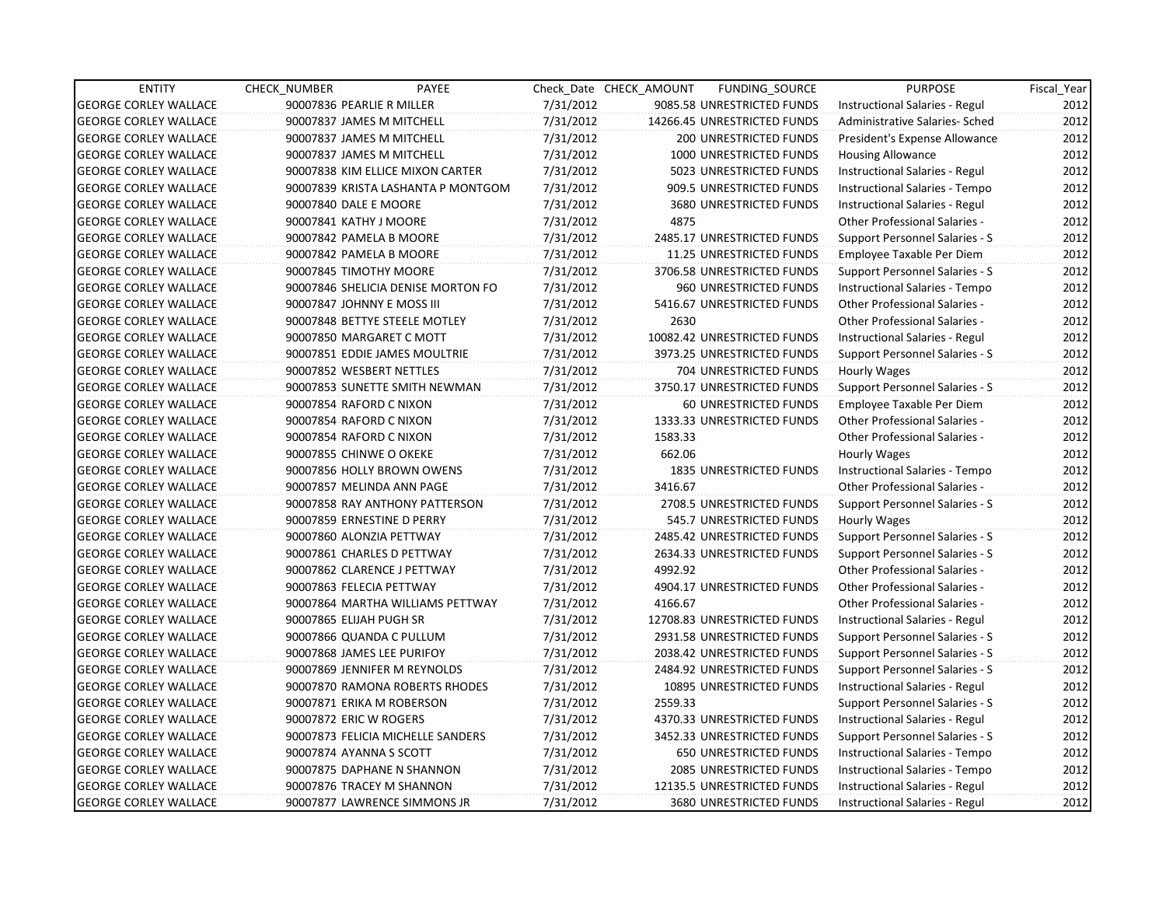| <b>ENTITY</b>                | <b>CHECK NUMBER</b>        | PAYEE                              |           | Check Date CHECK AMOUNT | FUNDING SOURCE                 | <b>PURPOSE</b>                        | Fiscal_Year |
|------------------------------|----------------------------|------------------------------------|-----------|-------------------------|--------------------------------|---------------------------------------|-------------|
| <b>GEORGE CORLEY WALLACE</b> | 90007836 PEARLIE R MILLER  |                                    | 7/31/2012 |                         | 9085.58 UNRESTRICTED FUNDS     | Instructional Salaries - Regul        | 2012        |
| <b>GEORGE CORLEY WALLACE</b> |                            | 90007837 JAMES M MITCHELL          | 7/31/2012 |                         | 14266.45 UNRESTRICTED FUNDS    | Administrative Salaries- Sched        | 2012        |
| <b>GEORGE CORLEY WALLACE</b> |                            | 90007837 JAMES M MITCHELL          | 7/31/2012 |                         | <b>200 UNRESTRICTED FUNDS</b>  | President's Expense Allowance         | 2012        |
| <b>GEORGE CORLEY WALLACE</b> |                            | 90007837 JAMES M MITCHELL          | 7/31/2012 |                         | 1000 UNRESTRICTED FUNDS        | <b>Housing Allowance</b>              | 2012        |
| <b>GEORGE CORLEY WALLACE</b> |                            | 90007838 KIM ELLICE MIXON CARTER   | 7/31/2012 |                         | 5023 UNRESTRICTED FUNDS        | Instructional Salaries - Regul        | 2012        |
| <b>GEORGE CORLEY WALLACE</b> |                            | 90007839 KRISTA LASHANTA P MONTGOM | 7/31/2012 |                         | 909.5 UNRESTRICTED FUNDS       | Instructional Salaries - Tempo        | 2012        |
| <b>GEORGE CORLEY WALLACE</b> | 90007840 DALE E MOORE      |                                    | 7/31/2012 |                         | 3680 UNRESTRICTED FUNDS        | Instructional Salaries - Regul        | 2012        |
| <b>GEORGE CORLEY WALLACE</b> | 90007841 KATHY J MOORE     |                                    | 7/31/2012 | 4875                    |                                | Other Professional Salaries -         | 2012        |
| <b>GEORGE CORLEY WALLACE</b> | 90007842 PAMELA B MOORE    |                                    | 7/31/2012 |                         | 2485.17 UNRESTRICTED FUNDS     | Support Personnel Salaries - S        | 2012        |
| <b>GEORGE CORLEY WALLACE</b> | 90007842 PAMELA B MOORE    |                                    | 7/31/2012 |                         | 11.25 UNRESTRICTED FUNDS       | Employee Taxable Per Diem             | 2012        |
| <b>GEORGE CORLEY WALLACE</b> | 90007845 TIMOTHY MOORE     |                                    | 7/31/2012 |                         | 3706.58 UNRESTRICTED FUNDS     | Support Personnel Salaries - S        | 2012        |
| <b>GEORGE CORLEY WALLACE</b> |                            | 90007846 SHELICIA DENISE MORTON FO | 7/31/2012 |                         | 960 UNRESTRICTED FUNDS         | Instructional Salaries - Tempo        | 2012        |
| <b>GEORGE CORLEY WALLACE</b> | 90007847 JOHNNY E MOSS III |                                    | 7/31/2012 |                         | 5416.67 UNRESTRICTED FUNDS     | <b>Other Professional Salaries -</b>  | 2012        |
| <b>GEORGE CORLEY WALLACE</b> |                            | 90007848 BETTYE STEELE MOTLEY      | 7/31/2012 | 2630                    |                                | <b>Other Professional Salaries -</b>  | 2012        |
| <b>GEORGE CORLEY WALLACE</b> |                            | 90007850 MARGARET C MOTT           | 7/31/2012 |                         | 10082.42 UNRESTRICTED FUNDS    | Instructional Salaries - Regul        | 2012        |
| <b>GEORGE CORLEY WALLACE</b> |                            | 90007851 EDDIE JAMES MOULTRIE      | 7/31/2012 |                         | 3973.25 UNRESTRICTED FUNDS     | Support Personnel Salaries - S        | 2012        |
| <b>GEORGE CORLEY WALLACE</b> | 90007852 WESBERT NETTLES   |                                    | 7/31/2012 |                         | 704 UNRESTRICTED FUNDS         | Hourly Wages                          | 2012        |
| <b>GEORGE CORLEY WALLACE</b> |                            | 90007853 SUNETTE SMITH NEWMAN      | 7/31/2012 |                         | 3750.17 UNRESTRICTED FUNDS     | <b>Support Personnel Salaries - S</b> | 2012        |
| <b>GEORGE CORLEY WALLACE</b> | 90007854 RAFORD C NIXON    |                                    | 7/31/2012 |                         | 60 UNRESTRICTED FUNDS          | Employee Taxable Per Diem             | 2012        |
| <b>GEORGE CORLEY WALLACE</b> | 90007854 RAFORD C NIXON    |                                    | 7/31/2012 |                         | 1333.33 UNRESTRICTED FUNDS     | <b>Other Professional Salaries -</b>  | 2012        |
| <b>GEORGE CORLEY WALLACE</b> | 90007854 RAFORD C NIXON    |                                    | 7/31/2012 | 1583.33                 |                                | <b>Other Professional Salaries -</b>  | 2012        |
| <b>GEORGE CORLEY WALLACE</b> | 90007855 CHINWE O OKEKE    |                                    | 7/31/2012 | 662.06                  |                                | Hourly Wages                          | 2012        |
| <b>GEORGE CORLEY WALLACE</b> |                            | 90007856 HOLLY BROWN OWENS         | 7/31/2012 |                         | <b>1835 UNRESTRICTED FUNDS</b> | Instructional Salaries - Tempo        | 2012        |
| <b>GEORGE CORLEY WALLACE</b> |                            | 90007857 MELINDA ANN PAGE          | 7/31/2012 | 3416.67                 |                                | <b>Other Professional Salaries -</b>  | 2012        |
| <b>GEORGE CORLEY WALLACE</b> |                            | 90007858 RAY ANTHONY PATTERSON     | 7/31/2012 |                         | 2708.5 UNRESTRICTED FUNDS      | Support Personnel Salaries - S        | 2012        |
| <b>GEORGE CORLEY WALLACE</b> |                            | 90007859 ERNESTINE D PERRY         | 7/31/2012 |                         | 545.7 UNRESTRICTED FUNDS       | Hourly Wages                          | 2012        |
| <b>GEORGE CORLEY WALLACE</b> | 90007860 ALONZIA PETTWAY   |                                    | 7/31/2012 |                         | 2485.42 UNRESTRICTED FUNDS     | <b>Support Personnel Salaries - S</b> | 2012        |
| <b>GEORGE CORLEY WALLACE</b> |                            | 90007861 CHARLES D PETTWAY         | 7/31/2012 |                         | 2634.33 UNRESTRICTED FUNDS     | Support Personnel Salaries - S        | 2012        |
| <b>GEORGE CORLEY WALLACE</b> |                            | 90007862 CLARENCE J PETTWAY        | 7/31/2012 | 4992.92                 |                                | <b>Other Professional Salaries -</b>  | 2012        |
| <b>GEORGE CORLEY WALLACE</b> | 90007863 FELECIA PETTWAY   |                                    | 7/31/2012 |                         | 4904.17 UNRESTRICTED FUNDS     | Other Professional Salaries -         | 2012        |
| <b>GEORGE CORLEY WALLACE</b> |                            | 90007864 MARTHA WILLIAMS PETTWAY   | 7/31/2012 | 4166.67                 |                                | <b>Other Professional Salaries -</b>  | 2012        |
| <b>GEORGE CORLEY WALLACE</b> | 90007865 ELIJAH PUGH SR    |                                    | 7/31/2012 |                         | 12708.83 UNRESTRICTED FUNDS    | Instructional Salaries - Regul        | 2012        |
| <b>GEORGE CORLEY WALLACE</b> |                            | 90007866 QUANDA C PULLUM           | 7/31/2012 |                         | 2931.58 UNRESTRICTED FUNDS     | Support Personnel Salaries - S        | 2012        |
| <b>GEORGE CORLEY WALLACE</b> |                            | 90007868 JAMES LEE PURIFOY         | 7/31/2012 |                         | 2038.42 UNRESTRICTED FUNDS     | Support Personnel Salaries - S        | 2012        |
| <b>GEORGE CORLEY WALLACE</b> |                            | 90007869 JENNIFER M REYNOLDS       | 7/31/2012 |                         | 2484.92 UNRESTRICTED FUNDS     | Support Personnel Salaries - S        | 2012        |
| <b>GEORGE CORLEY WALLACE</b> |                            | 90007870 RAMONA ROBERTS RHODES     | 7/31/2012 |                         | 10895 UNRESTRICTED FUNDS       | Instructional Salaries - Regul        | 2012        |
| <b>GEORGE CORLEY WALLACE</b> |                            | 90007871 ERIKA M ROBERSON          | 7/31/2012 | 2559.33                 |                                | Support Personnel Salaries - S        | 2012        |
| <b>GEORGE CORLEY WALLACE</b> | 90007872 ERIC W ROGERS     |                                    | 7/31/2012 |                         | 4370.33 UNRESTRICTED FUNDS     | Instructional Salaries - Regul        | 2012        |
| <b>GEORGE CORLEY WALLACE</b> |                            | 90007873 FELICIA MICHELLE SANDERS  | 7/31/2012 |                         | 3452.33 UNRESTRICTED FUNDS     | Support Personnel Salaries - S        | 2012        |
| <b>GEORGE CORLEY WALLACE</b> | 90007874 AYANNA S SCOTT    |                                    | 7/31/2012 |                         | 650 UNRESTRICTED FUNDS         | Instructional Salaries - Tempo        | 2012        |
| <b>GEORGE CORLEY WALLACE</b> |                            | 90007875 DAPHANE N SHANNON         | 7/31/2012 |                         | 2085 UNRESTRICTED FUNDS        | Instructional Salaries - Tempo        | 2012        |
| <b>GEORGE CORLEY WALLACE</b> |                            | 90007876 TRACEY M SHANNON          | 7/31/2012 |                         | 12135.5 UNRESTRICTED FUNDS     | Instructional Salaries - Regul        | 2012        |
| <b>GEORGE CORLEY WALLACE</b> |                            | 90007877 LAWRENCE SIMMONS JR       | 7/31/2012 |                         | <b>3680 UNRESTRICTED FUNDS</b> | Instructional Salaries - Regul        | 2012        |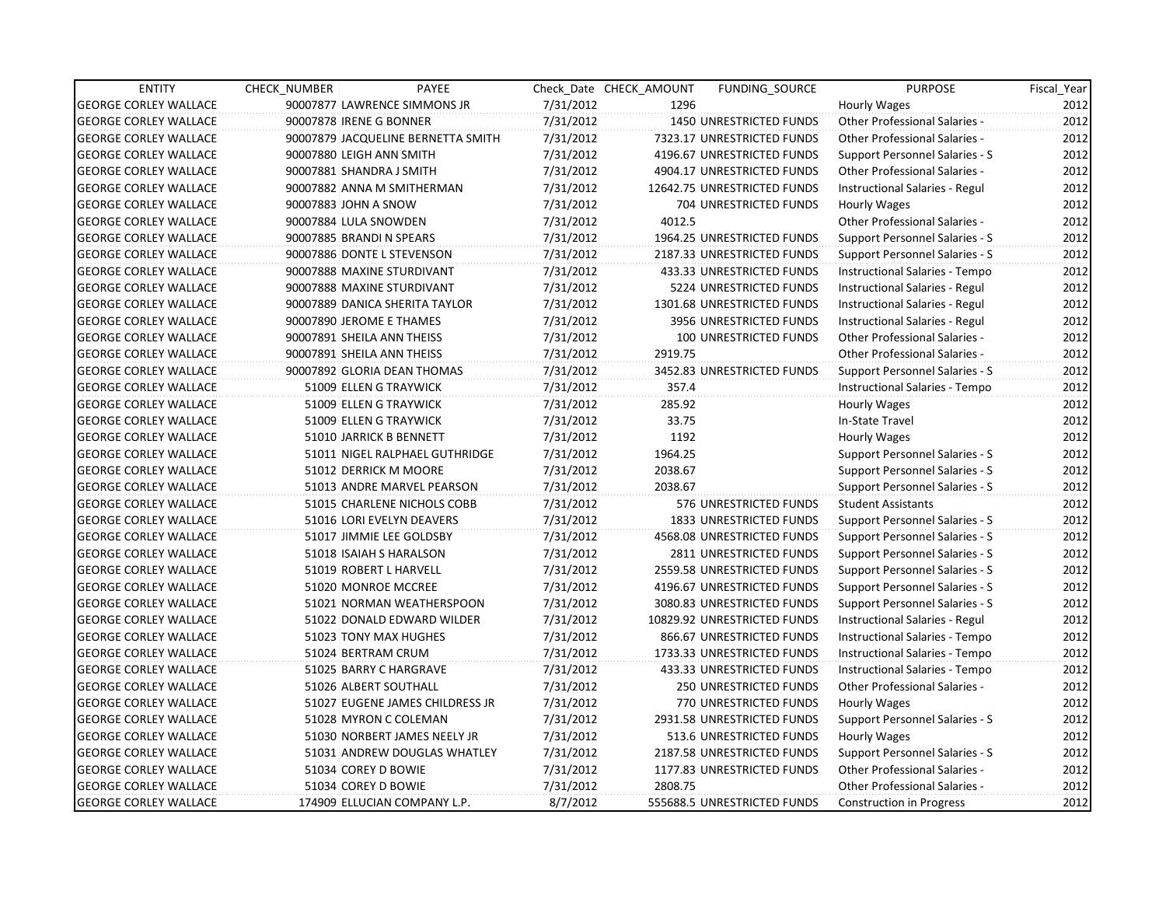| <b>ENTITY</b>                | <b>CHECK NUMBER</b> | PAYEE                              |           | Check Date CHECK AMOUNT | <b>FUNDING SOURCE</b>         | <b>PURPOSE</b>                        | Fiscal_Year |
|------------------------------|---------------------|------------------------------------|-----------|-------------------------|-------------------------------|---------------------------------------|-------------|
| <b>GEORGE CORLEY WALLACE</b> |                     | 90007877 LAWRENCE SIMMONS JR       | 7/31/2012 | 1296                    |                               | <b>Hourly Wages</b>                   | 2012        |
| <b>GEORGE CORLEY WALLACE</b> |                     | 90007878 IRENE G BONNER            | 7/31/2012 |                         | 1450 UNRESTRICTED FUNDS       | Other Professional Salaries -         | 2012        |
| <b>GEORGE CORLEY WALLACE</b> |                     | 90007879 JACQUELINE BERNETTA SMITH | 7/31/2012 |                         | 7323.17 UNRESTRICTED FUNDS    | <b>Other Professional Salaries -</b>  | 2012        |
| <b>GEORGE CORLEY WALLACE</b> |                     | 90007880 LEIGH ANN SMITH           | 7/31/2012 |                         | 4196.67 UNRESTRICTED FUNDS    | Support Personnel Salaries - S        | 2012        |
| <b>GEORGE CORLEY WALLACE</b> |                     | 90007881 SHANDRA J SMITH           | 7/31/2012 |                         | 4904.17 UNRESTRICTED FUNDS    | <b>Other Professional Salaries -</b>  | 2012        |
| <b>GEORGE CORLEY WALLACE</b> |                     | 90007882 ANNA M SMITHERMAN         | 7/31/2012 |                         | 12642.75 UNRESTRICTED FUNDS   | Instructional Salaries - Regul        | 2012        |
| <b>GEORGE CORLEY WALLACE</b> |                     | 90007883 JOHN A SNOW               | 7/31/2012 |                         | 704 UNRESTRICTED FUNDS        | Hourly Wages                          | 2012        |
| <b>GEORGE CORLEY WALLACE</b> |                     | 90007884 LULA SNOWDEN              | 7/31/2012 | 4012.5                  |                               | Other Professional Salaries -         | 2012        |
| <b>GEORGE CORLEY WALLACE</b> |                     | 90007885 BRANDI N SPEARS           | 7/31/2012 |                         | 1964.25 UNRESTRICTED FUNDS    | Support Personnel Salaries - S        | 2012        |
| <b>GEORGE CORLEY WALLACE</b> |                     | 90007886 DONTE L STEVENSON         | 7/31/2012 |                         | 2187.33 UNRESTRICTED FUNDS    | Support Personnel Salaries - S        | 2012        |
| <b>GEORGE CORLEY WALLACE</b> |                     | 90007888 MAXINE STURDIVANT         | 7/31/2012 |                         | 433.33 UNRESTRICTED FUNDS     | Instructional Salaries - Tempo        | 2012        |
| <b>GEORGE CORLEY WALLACE</b> |                     | 90007888 MAXINE STURDIVANT         | 7/31/2012 |                         | 5224 UNRESTRICTED FUNDS       | Instructional Salaries - Regul        | 2012        |
| <b>GEORGE CORLEY WALLACE</b> |                     | 90007889 DANICA SHERITA TAYLOR     | 7/31/2012 |                         | 1301.68 UNRESTRICTED FUNDS    | <b>Instructional Salaries - Regul</b> | 2012        |
| <b>GEORGE CORLEY WALLACE</b> |                     | 90007890 JEROME E THAMES           | 7/31/2012 |                         | 3956 UNRESTRICTED FUNDS       | Instructional Salaries - Regul        | 2012        |
| <b>GEORGE CORLEY WALLACE</b> |                     | 90007891 SHEILA ANN THEISS         | 7/31/2012 |                         | 100 UNRESTRICTED FUNDS        | Other Professional Salaries -         | 2012        |
| <b>GEORGE CORLEY WALLACE</b> |                     | 90007891 SHEILA ANN THEISS         | 7/31/2012 | 2919.75                 |                               | <b>Other Professional Salaries -</b>  | 2012        |
| <b>GEORGE CORLEY WALLACE</b> |                     | 90007892 GLORIA DEAN THOMAS        | 7/31/2012 |                         | 3452.83 UNRESTRICTED FUNDS    | Support Personnel Salaries - S        | 2012        |
| <b>GEORGE CORLEY WALLACE</b> |                     | 51009 ELLEN G TRAYWICK             | 7/31/2012 | 357.4                   |                               | Instructional Salaries - Tempo        | 2012        |
| <b>GEORGE CORLEY WALLACE</b> |                     | 51009 ELLEN G TRAYWICK             | 7/31/2012 | 285.92                  |                               | Hourly Wages                          | 2012        |
| <b>GEORGE CORLEY WALLACE</b> |                     | 51009 ELLEN G TRAYWICK             | 7/31/2012 | 33.75                   |                               | In-State Travel                       | 2012        |
| <b>GEORGE CORLEY WALLACE</b> |                     | 51010 JARRICK B BENNETT            | 7/31/2012 | 1192                    |                               | Hourly Wages                          | 2012        |
| <b>GEORGE CORLEY WALLACE</b> |                     | 51011 NIGEL RALPHAEL GUTHRIDGE     | 7/31/2012 | 1964.25                 |                               | Support Personnel Salaries - S        | 2012        |
| <b>GEORGE CORLEY WALLACE</b> |                     | 51012 DERRICK M MOORE              | 7/31/2012 | 2038.67                 |                               | Support Personnel Salaries - S        | 2012        |
| <b>GEORGE CORLEY WALLACE</b> |                     | 51013 ANDRE MARVEL PEARSON         | 7/31/2012 | 2038.67                 |                               | Support Personnel Salaries - S        | 2012        |
| <b>GEORGE CORLEY WALLACE</b> |                     | 51015 CHARLENE NICHOLS COBB        | 7/31/2012 |                         | 576 UNRESTRICTED FUNDS        | <b>Student Assistants</b>             | 2012        |
| <b>GEORGE CORLEY WALLACE</b> |                     | 51016 LORI EVELYN DEAVERS          | 7/31/2012 |                         | 1833 UNRESTRICTED FUNDS       | Support Personnel Salaries - S        | 2012        |
| <b>GEORGE CORLEY WALLACE</b> |                     | 51017 JIMMIE LEE GOLDSBY           | 7/31/2012 |                         | 4568.08 UNRESTRICTED FUNDS    | Support Personnel Salaries - S        | 2012        |
| <b>GEORGE CORLEY WALLACE</b> |                     | 51018 ISAIAH S HARALSON            | 7/31/2012 |                         | 2811 UNRESTRICTED FUNDS       | Support Personnel Salaries - S        | 2012        |
| <b>GEORGE CORLEY WALLACE</b> |                     | 51019 ROBERT L HARVELL             | 7/31/2012 |                         | 2559.58 UNRESTRICTED FUNDS    | Support Personnel Salaries - S        | 2012        |
| <b>GEORGE CORLEY WALLACE</b> |                     | 51020 MONROE MCCREE                | 7/31/2012 |                         | 4196.67 UNRESTRICTED FUNDS    | Support Personnel Salaries - S        | 2012        |
| <b>GEORGE CORLEY WALLACE</b> |                     | 51021 NORMAN WEATHERSPOON          | 7/31/2012 |                         | 3080.83 UNRESTRICTED FUNDS    | Support Personnel Salaries - S        | 2012        |
| <b>GEORGE CORLEY WALLACE</b> |                     | 51022 DONALD EDWARD WILDER         | 7/31/2012 |                         | 10829.92 UNRESTRICTED FUNDS   | Instructional Salaries - Regul        | 2012        |
| <b>GEORGE CORLEY WALLACE</b> |                     | 51023 TONY MAX HUGHES              | 7/31/2012 |                         | 866.67 UNRESTRICTED FUNDS     | Instructional Salaries - Tempo        | 2012        |
| <b>GEORGE CORLEY WALLACE</b> |                     | 51024 BERTRAM CRUM                 | 7/31/2012 |                         | 1733.33 UNRESTRICTED FUNDS    | Instructional Salaries - Tempo        | 2012        |
| <b>GEORGE CORLEY WALLACE</b> |                     | 51025 BARRY C HARGRAVE             | 7/31/2012 |                         | 433.33 UNRESTRICTED FUNDS     | Instructional Salaries - Tempo        | 2012        |
| <b>GEORGE CORLEY WALLACE</b> |                     | 51026 ALBERT SOUTHALL              | 7/31/2012 |                         | <b>250 UNRESTRICTED FUNDS</b> | <b>Other Professional Salaries -</b>  | 2012        |
| <b>GEORGE CORLEY WALLACE</b> |                     | 51027 EUGENE JAMES CHILDRESS JR    | 7/31/2012 |                         | 770 UNRESTRICTED FUNDS        | Hourly Wages                          | 2012        |
| <b>GEORGE CORLEY WALLACE</b> |                     | 51028 MYRON C COLEMAN              | 7/31/2012 |                         | 2931.58 UNRESTRICTED FUNDS    | <b>Support Personnel Salaries - S</b> | 2012        |
| <b>GEORGE CORLEY WALLACE</b> |                     | 51030 NORBERT JAMES NEELY JR       | 7/31/2012 |                         | 513.6 UNRESTRICTED FUNDS      | Hourly Wages                          | 2012        |
| <b>GEORGE CORLEY WALLACE</b> |                     | 51031 ANDREW DOUGLAS WHATLEY       | 7/31/2012 |                         | 2187.58 UNRESTRICTED FUNDS    | Support Personnel Salaries - S        | 2012        |
| <b>GEORGE CORLEY WALLACE</b> |                     | 51034 COREY D BOWIE                | 7/31/2012 |                         | 1177.83 UNRESTRICTED FUNDS    | <b>Other Professional Salaries -</b>  | 2012        |
| <b>GEORGE CORLEY WALLACE</b> |                     | 51034 COREY D BOWIE                | 7/31/2012 | 2808.75                 |                               | <b>Other Professional Salaries -</b>  | 2012        |
| <b>GEORGE CORLEY WALLACE</b> |                     | 174909 ELLUCIAN COMPANY L.P.       | 8/7/2012  |                         | 555688.5 UNRESTRICTED FUNDS   | Construction in Progress              | 2012        |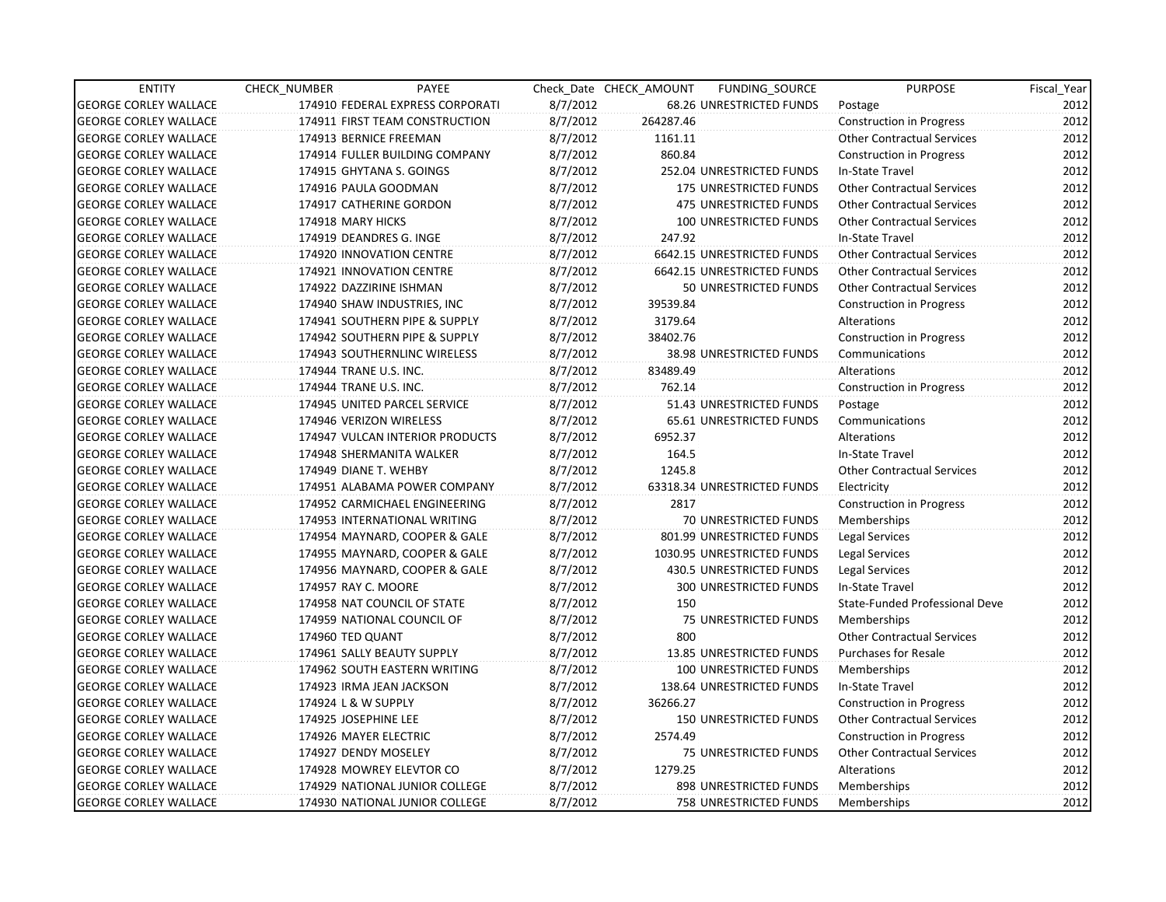| <b>ENTITY</b>                | CHECK_NUMBER               | PAYEE                            |          | Check Date CHECK AMOUNT | FUNDING SOURCE                | <b>PURPOSE</b>                    | Fiscal Year |
|------------------------------|----------------------------|----------------------------------|----------|-------------------------|-------------------------------|-----------------------------------|-------------|
| <b>GEORGE CORLEY WALLACE</b> |                            | 174910 FEDERAL EXPRESS CORPORATI | 8/7/2012 |                         | 68.26 UNRESTRICTED FUNDS      | Postage                           | 2012        |
| <b>GEORGE CORLEY WALLACE</b> |                            | 174911 FIRST TEAM CONSTRUCTION   | 8/7/2012 | 264287.46               |                               | <b>Construction in Progress</b>   | 2012        |
| <b>GEORGE CORLEY WALLACE</b> | 174913 BERNICE FREEMAN     |                                  | 8/7/2012 | 1161.11                 |                               | <b>Other Contractual Services</b> | 2012        |
| <b>GEORGE CORLEY WALLACE</b> |                            | 174914 FULLER BUILDING COMPANY   | 8/7/2012 | 860.84                  |                               | <b>Construction in Progress</b>   | 2012        |
| <b>GEORGE CORLEY WALLACE</b> | 174915 GHYTANA S. GOINGS   |                                  | 8/7/2012 |                         | 252.04 UNRESTRICTED FUNDS     | In-State Travel                   | 2012        |
| <b>GEORGE CORLEY WALLACE</b> | 174916 PAULA GOODMAN       |                                  | 8/7/2012 |                         | <b>175 UNRESTRICTED FUNDS</b> | <b>Other Contractual Services</b> | 2012        |
| <b>GEORGE CORLEY WALLACE</b> | 174917 CATHERINE GORDON    |                                  | 8/7/2012 |                         | 475 UNRESTRICTED FUNDS        | <b>Other Contractual Services</b> | 2012        |
| <b>GEORGE CORLEY WALLACE</b> | 174918 MARY HICKS          |                                  | 8/7/2012 |                         | <b>100 UNRESTRICTED FUNDS</b> | <b>Other Contractual Services</b> | 2012        |
| <b>GEORGE CORLEY WALLACE</b> | 174919 DEANDRES G. INGE    |                                  | 8/7/2012 | 247.92                  |                               | In-State Travel                   | 2012        |
| <b>GEORGE CORLEY WALLACE</b> | 174920 INNOVATION CENTRE   |                                  | 8/7/2012 |                         | 6642.15 UNRESTRICTED FUNDS    | <b>Other Contractual Services</b> | 2012        |
| <b>GEORGE CORLEY WALLACE</b> | 174921 INNOVATION CENTRE   |                                  | 8/7/2012 |                         | 6642.15 UNRESTRICTED FUNDS    | <b>Other Contractual Services</b> | 2012        |
| <b>GEORGE CORLEY WALLACE</b> | 174922 DAZZIRINE ISHMAN    |                                  | 8/7/2012 |                         | 50 UNRESTRICTED FUNDS         | <b>Other Contractual Services</b> | 2012        |
| <b>GEORGE CORLEY WALLACE</b> |                            | 174940 SHAW INDUSTRIES, INC      | 8/7/2012 | 39539.84                |                               | <b>Construction in Progress</b>   | 2012        |
| <b>GEORGE CORLEY WALLACE</b> |                            | 174941 SOUTHERN PIPE & SUPPLY    | 8/7/2012 | 3179.64                 |                               | Alterations                       | 2012        |
| <b>GEORGE CORLEY WALLACE</b> |                            | 174942 SOUTHERN PIPE & SUPPLY    | 8/7/2012 | 38402.76                |                               | <b>Construction in Progress</b>   | 2012        |
| <b>GEORGE CORLEY WALLACE</b> |                            | 174943 SOUTHERNLINC WIRELESS     | 8/7/2012 |                         | 38.98 UNRESTRICTED FUNDS      | Communications                    | 2012        |
| <b>GEORGE CORLEY WALLACE</b> | 174944 TRANE U.S. INC.     |                                  | 8/7/2012 | 83489.49                |                               | Alterations                       | 2012        |
| <b>GEORGE CORLEY WALLACE</b> | 174944 TRANE U.S. INC.     |                                  | 8/7/2012 | 762.14                  |                               | <b>Construction in Progress</b>   | 2012        |
| <b>GEORGE CORLEY WALLACE</b> |                            | 174945 UNITED PARCEL SERVICE     | 8/7/2012 |                         | 51.43 UNRESTRICTED FUNDS      | Postage                           | 2012        |
| <b>GEORGE CORLEY WALLACE</b> | 174946 VERIZON WIRELESS    |                                  | 8/7/2012 |                         | 65.61 UNRESTRICTED FUNDS      | Communications                    | 2012        |
| <b>GEORGE CORLEY WALLACE</b> |                            | 174947 VULCAN INTERIOR PRODUCTS  | 8/7/2012 | 6952.37                 |                               | Alterations                       | 2012        |
| <b>GEORGE CORLEY WALLACE</b> | 174948 SHERMANITA WALKER   |                                  | 8/7/2012 | 164.5                   |                               | In-State Travel                   | 2012        |
| <b>GEORGE CORLEY WALLACE</b> | 174949 DIANE T. WEHBY      |                                  | 8/7/2012 | 1245.8                  |                               | <b>Other Contractual Services</b> | 2012        |
| <b>GEORGE CORLEY WALLACE</b> |                            | 174951 ALABAMA POWER COMPANY     | 8/7/2012 |                         | 63318.34 UNRESTRICTED FUNDS   | Electricity                       | 2012        |
| <b>GEORGE CORLEY WALLACE</b> |                            | 174952 CARMICHAEL ENGINEERING    | 8/7/2012 | 2817                    |                               | Construction in Progress          | 2012        |
| <b>GEORGE CORLEY WALLACE</b> |                            | 174953 INTERNATIONAL WRITING     | 8/7/2012 |                         | 70 UNRESTRICTED FUNDS         | Memberships                       | 2012        |
| <b>GEORGE CORLEY WALLACE</b> |                            | 174954 MAYNARD, COOPER & GALE    | 8/7/2012 |                         | 801.99 UNRESTRICTED FUNDS     | Legal Services                    | 2012        |
| <b>GEORGE CORLEY WALLACE</b> |                            | 174955 MAYNARD, COOPER & GALE    | 8/7/2012 |                         | 1030.95 UNRESTRICTED FUNDS    | Legal Services                    | 2012        |
| <b>GEORGE CORLEY WALLACE</b> |                            | 174956 MAYNARD, COOPER & GALE    | 8/7/2012 |                         | 430.5 UNRESTRICTED FUNDS      | Legal Services                    | 2012        |
| <b>GEORGE CORLEY WALLACE</b> | 174957 RAY C. MOORE        |                                  | 8/7/2012 |                         | 300 UNRESTRICTED FUNDS        | In-State Travel                   | 2012        |
| <b>GEORGE CORLEY WALLACE</b> |                            | 174958 NAT COUNCIL OF STATE      | 8/7/2012 | 150                     |                               | State-Funded Professional Deve    | 2012        |
| <b>GEORGE CORLEY WALLACE</b> |                            | 174959 NATIONAL COUNCIL OF       | 8/7/2012 |                         | 75 UNRESTRICTED FUNDS         | Memberships                       | 2012        |
| <b>GEORGE CORLEY WALLACE</b> | 174960 TED QUANT           |                                  | 8/7/2012 | 800                     |                               | <b>Other Contractual Services</b> | 2012        |
| <b>GEORGE CORLEY WALLACE</b> | 174961 SALLY BEAUTY SUPPLY |                                  | 8/7/2012 |                         | 13.85 UNRESTRICTED FUNDS      | <b>Purchases for Resale</b>       | 2012        |
| <b>GEORGE CORLEY WALLACE</b> |                            | 174962 SOUTH EASTERN WRITING     | 8/7/2012 |                         | 100 UNRESTRICTED FUNDS        | Memberships                       | 2012        |
| <b>GEORGE CORLEY WALLACE</b> | 174923 IRMA JEAN JACKSON   |                                  | 8/7/2012 |                         | 138.64 UNRESTRICTED FUNDS     | In-State Travel                   | 2012        |
| <b>GEORGE CORLEY WALLACE</b> | 174924 L & W SUPPLY        |                                  | 8/7/2012 | 36266.27                |                               | Construction in Progress          | 2012        |
| <b>GEORGE CORLEY WALLACE</b> | 174925 JOSEPHINE LEE       |                                  | 8/7/2012 |                         | <b>150 UNRESTRICTED FUNDS</b> | <b>Other Contractual Services</b> | 2012        |
| <b>GEORGE CORLEY WALLACE</b> | 174926 MAYER ELECTRIC      |                                  | 8/7/2012 | 2574.49                 |                               | <b>Construction in Progress</b>   | 2012        |
| <b>GEORGE CORLEY WALLACE</b> | 174927 DENDY MOSELEY       |                                  | 8/7/2012 |                         | 75 UNRESTRICTED FUNDS         | <b>Other Contractual Services</b> | 2012        |
| <b>GEORGE CORLEY WALLACE</b> |                            | 174928 MOWREY ELEVTOR CO         | 8/7/2012 | 1279.25                 |                               | Alterations                       | 2012        |
| <b>GEORGE CORLEY WALLACE</b> |                            | 174929 NATIONAL JUNIOR COLLEGE   | 8/7/2012 |                         | 898 UNRESTRICTED FUNDS        | Memberships                       | 2012        |
| <b>GEORGE CORLEY WALLACE</b> |                            | 174930 NATIONAL JUNIOR COLLEGE   | 8/7/2012 |                         | <b>758 UNRESTRICTED FUNDS</b> | Memberships                       | 2012        |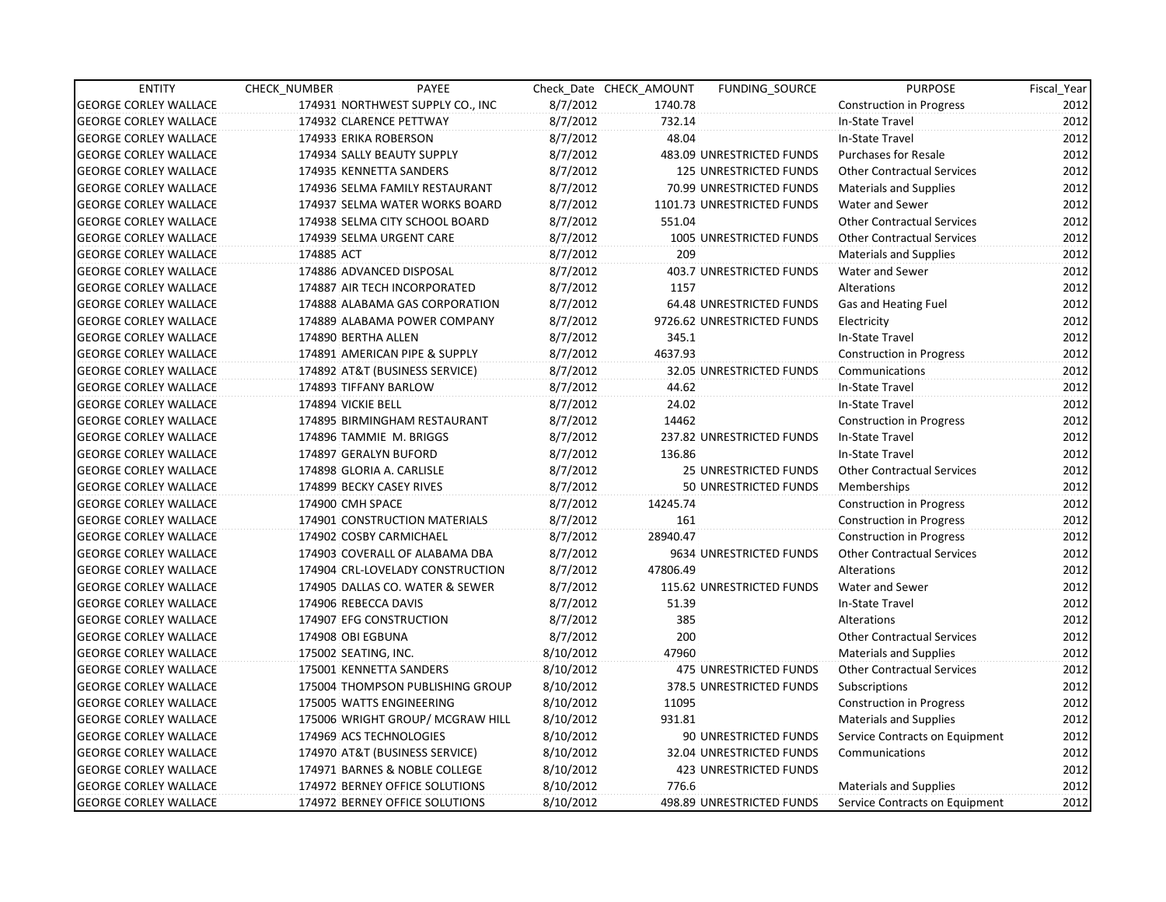| <b>ENTITY</b>                | CHECK NUMBER               | PAYEE                            |           | Check Date CHECK AMOUNT | FUNDING SOURCE               | <b>PURPOSE</b>                    | Fiscal_Year |
|------------------------------|----------------------------|----------------------------------|-----------|-------------------------|------------------------------|-----------------------------------|-------------|
| <b>GEORGE CORLEY WALLACE</b> |                            | 174931 NORTHWEST SUPPLY CO., INC | 8/7/2012  | 1740.78                 |                              | <b>Construction in Progress</b>   | 2012        |
| <b>GEORGE CORLEY WALLACE</b> | 174932 CLARENCE PETTWAY    |                                  | 8/7/2012  | 732.14                  |                              | In-State Travel                   | 2012        |
| <b>GEORGE CORLEY WALLACE</b> | 174933 ERIKA ROBERSON      |                                  | 8/7/2012  | 48.04                   |                              | In-State Travel                   | 2012        |
| <b>GEORGE CORLEY WALLACE</b> | 174934 SALLY BEAUTY SUPPLY |                                  | 8/7/2012  |                         | 483.09 UNRESTRICTED FUNDS    | <b>Purchases for Resale</b>       | 2012        |
| <b>GEORGE CORLEY WALLACE</b> | 174935 KENNETTA SANDERS    |                                  | 8/7/2012  |                         | 125 UNRESTRICTED FUNDS       | <b>Other Contractual Services</b> | 2012        |
| <b>GEORGE CORLEY WALLACE</b> |                            | 174936 SELMA FAMILY RESTAURANT   | 8/7/2012  |                         | 70.99 UNRESTRICTED FUNDS     | <b>Materials and Supplies</b>     | 2012        |
| <b>GEORGE CORLEY WALLACE</b> |                            | 174937 SELMA WATER WORKS BOARD   | 8/7/2012  |                         | 1101.73 UNRESTRICTED FUNDS   | Water and Sewer                   | 2012        |
| <b>GEORGE CORLEY WALLACE</b> |                            | 174938 SELMA CITY SCHOOL BOARD   | 8/7/2012  | 551.04                  |                              | <b>Other Contractual Services</b> | 2012        |
| <b>GEORGE CORLEY WALLACE</b> | 174939 SELMA URGENT CARE   |                                  | 8/7/2012  |                         | 1005 UNRESTRICTED FUNDS      | <b>Other Contractual Services</b> | 2012        |
| <b>GEORGE CORLEY WALLACE</b> | 174885 ACT                 |                                  | 8/7/2012  | 209                     |                              | <b>Materials and Supplies</b>     | 2012        |
| <b>GEORGE CORLEY WALLACE</b> | 174886 ADVANCED DISPOSAL   |                                  | 8/7/2012  |                         | 403.7 UNRESTRICTED FUNDS     | Water and Sewer                   | 2012        |
| <b>GEORGE CORLEY WALLACE</b> |                            | 174887 AIR TECH INCORPORATED     | 8/7/2012  | 1157                    |                              | Alterations                       | 2012        |
| <b>GEORGE CORLEY WALLACE</b> |                            | 174888 ALABAMA GAS CORPORATION   | 8/7/2012  |                         | 64.48 UNRESTRICTED FUNDS     | Gas and Heating Fuel              | 2012        |
| <b>GEORGE CORLEY WALLACE</b> |                            | 174889 ALABAMA POWER COMPANY     | 8/7/2012  |                         | 9726.62 UNRESTRICTED FUNDS   | Electricity                       | 2012        |
| <b>GEORGE CORLEY WALLACE</b> | 174890 BERTHA ALLEN        |                                  | 8/7/2012  | 345.1                   |                              | In-State Travel                   | 2012        |
| <b>GEORGE CORLEY WALLACE</b> |                            | 174891 AMERICAN PIPE & SUPPLY    | 8/7/2012  | 4637.93                 |                              | <b>Construction in Progress</b>   | 2012        |
| <b>GEORGE CORLEY WALLACE</b> |                            | 174892 AT&T (BUSINESS SERVICE)   | 8/7/2012  |                         | 32.05 UNRESTRICTED FUNDS     | Communications                    | 2012        |
| <b>GEORGE CORLEY WALLACE</b> | 174893 TIFFANY BARLOW      |                                  | 8/7/2012  | 44.62                   |                              | In-State Travel                   | 2012        |
| <b>GEORGE CORLEY WALLACE</b> | 174894 VICKIE BELL         |                                  | 8/7/2012  | 24.02                   |                              | In-State Travel                   | 2012        |
| <b>GEORGE CORLEY WALLACE</b> |                            | 174895 BIRMINGHAM RESTAURANT     | 8/7/2012  | 14462                   |                              | Construction in Progress          | 2012        |
| <b>GEORGE CORLEY WALLACE</b> | 174896 TAMMIE M. BRIGGS    |                                  | 8/7/2012  |                         | 237.82 UNRESTRICTED FUNDS    | In-State Travel                   | 2012        |
| <b>GEORGE CORLEY WALLACE</b> | 174897 GERALYN BUFORD      |                                  | 8/7/2012  | 136.86                  |                              | In-State Travel                   | 2012        |
| <b>GEORGE CORLEY WALLACE</b> | 174898 GLORIA A. CARLISLE  |                                  | 8/7/2012  |                         | <b>25 UNRESTRICTED FUNDS</b> | <b>Other Contractual Services</b> | 2012        |
| <b>GEORGE CORLEY WALLACE</b> | 174899 BECKY CASEY RIVES   |                                  | 8/7/2012  |                         | 50 UNRESTRICTED FUNDS        | Memberships                       | 2012        |
| <b>GEORGE CORLEY WALLACE</b> | 174900 CMH SPACE           |                                  | 8/7/2012  | 14245.74                |                              | <b>Construction in Progress</b>   | 2012        |
| <b>GEORGE CORLEY WALLACE</b> |                            | 174901 CONSTRUCTION MATERIALS    | 8/7/2012  | 161                     |                              | <b>Construction in Progress</b>   | 2012        |
| <b>GEORGE CORLEY WALLACE</b> | 174902 COSBY CARMICHAEL    |                                  | 8/7/2012  | 28940.47                |                              | <b>Construction in Progress</b>   | 2012        |
| <b>GEORGE CORLEY WALLACE</b> |                            | 174903 COVERALL OF ALABAMA DBA   | 8/7/2012  |                         | 9634 UNRESTRICTED FUNDS      | <b>Other Contractual Services</b> | 2012        |
| <b>GEORGE CORLEY WALLACE</b> |                            | 174904 CRL-LOVELADY CONSTRUCTION | 8/7/2012  | 47806.49                |                              | Alterations                       | 2012        |
| <b>GEORGE CORLEY WALLACE</b> |                            | 174905 DALLAS CO. WATER & SEWER  | 8/7/2012  |                         | 115.62 UNRESTRICTED FUNDS    | Water and Sewer                   | 2012        |
| <b>GEORGE CORLEY WALLACE</b> | 174906 REBECCA DAVIS       |                                  | 8/7/2012  | 51.39                   |                              | In-State Travel                   | 2012        |
| <b>GEORGE CORLEY WALLACE</b> | 174907 EFG CONSTRUCTION    |                                  | 8/7/2012  | 385                     |                              | Alterations                       | 2012        |
| <b>GEORGE CORLEY WALLACE</b> | 174908 OBI EGBUNA          |                                  | 8/7/2012  | 200                     |                              | <b>Other Contractual Services</b> | 2012        |
| <b>GEORGE CORLEY WALLACE</b> | 175002 SEATING, INC.       |                                  | 8/10/2012 | 47960                   |                              | <b>Materials and Supplies</b>     | 2012        |
| <b>GEORGE CORLEY WALLACE</b> | 175001 KENNETTA SANDERS    |                                  | 8/10/2012 |                         | 475 UNRESTRICTED FUNDS       | <b>Other Contractual Services</b> | 2012        |
| <b>GEORGE CORLEY WALLACE</b> |                            | 175004 THOMPSON PUBLISHING GROUP | 8/10/2012 |                         | 378.5 UNRESTRICTED FUNDS     | Subscriptions                     | 2012        |
| <b>GEORGE CORLEY WALLACE</b> | 175005 WATTS ENGINEERING   |                                  | 8/10/2012 | 11095                   |                              | <b>Construction in Progress</b>   | 2012        |
| <b>GEORGE CORLEY WALLACE</b> |                            | 175006 WRIGHT GROUP/ MCGRAW HILL | 8/10/2012 | 931.81                  |                              | <b>Materials and Supplies</b>     | 2012        |
| <b>GEORGE CORLEY WALLACE</b> | 174969 ACS TECHNOLOGIES    |                                  | 8/10/2012 |                         | 90 UNRESTRICTED FUNDS        | Service Contracts on Equipment    | 2012        |
| <b>GEORGE CORLEY WALLACE</b> |                            | 174970 AT&T (BUSINESS SERVICE)   | 8/10/2012 |                         | 32.04 UNRESTRICTED FUNDS     | Communications                    | 2012        |
| <b>GEORGE CORLEY WALLACE</b> |                            | 174971 BARNES & NOBLE COLLEGE    | 8/10/2012 |                         | 423 UNRESTRICTED FUNDS       |                                   | 2012        |
| <b>GEORGE CORLEY WALLACE</b> |                            | 174972 BERNEY OFFICE SOLUTIONS   | 8/10/2012 | 776.6                   |                              | <b>Materials and Supplies</b>     | 2012        |
| <b>GEORGE CORLEY WALLACE</b> |                            | 174972 BERNEY OFFICE SOLUTIONS   | 8/10/2012 |                         | 498.89 UNRESTRICTED FUNDS    | Service Contracts on Equipment    | 2012        |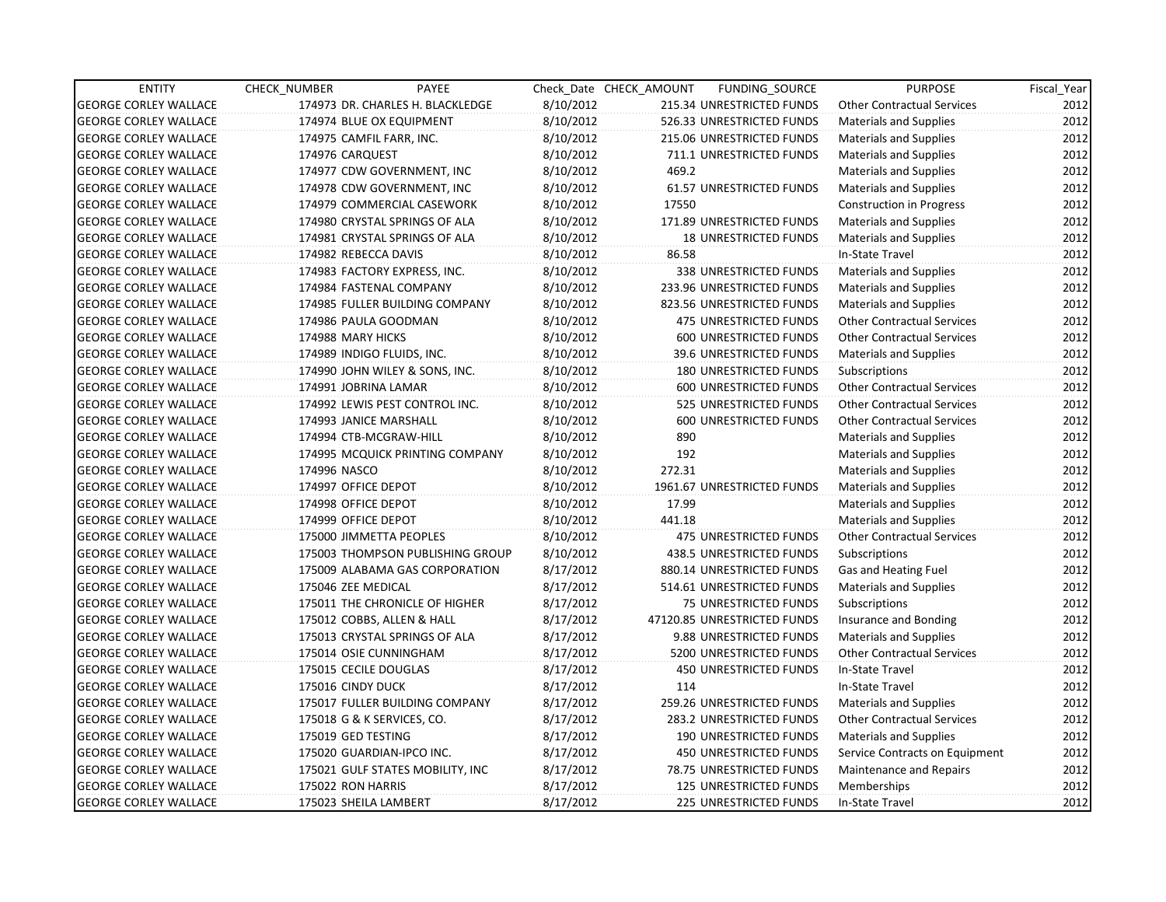| <b>ENTITY</b>                | CHECK NUMBER                   | PAYEE                            |           | Check Date CHECK AMOUNT | FUNDING_SOURCE                | <b>PURPOSE</b>                    | Fiscal_Year |
|------------------------------|--------------------------------|----------------------------------|-----------|-------------------------|-------------------------------|-----------------------------------|-------------|
| <b>GEORGE CORLEY WALLACE</b> |                                | 174973 DR. CHARLES H. BLACKLEDGE | 8/10/2012 |                         | 215.34 UNRESTRICTED FUNDS     | <b>Other Contractual Services</b> | 2012        |
| <b>GEORGE CORLEY WALLACE</b> | 174974 BLUE OX EQUIPMENT       |                                  | 8/10/2012 |                         | 526.33 UNRESTRICTED FUNDS     | Materials and Supplies            | 2012        |
| <b>GEORGE CORLEY WALLACE</b> | 174975 CAMFIL FARR, INC.       |                                  | 8/10/2012 |                         | 215.06 UNRESTRICTED FUNDS     | <b>Materials and Supplies</b>     | 2012        |
| <b>GEORGE CORLEY WALLACE</b> | 174976 CARQUEST                |                                  | 8/10/2012 |                         | 711.1 UNRESTRICTED FUNDS      | <b>Materials and Supplies</b>     | 2012        |
| <b>GEORGE CORLEY WALLACE</b> | 174977 CDW GOVERNMENT, INC     |                                  | 8/10/2012 | 469.2                   |                               | <b>Materials and Supplies</b>     | 2012        |
| <b>GEORGE CORLEY WALLACE</b> | 174978 CDW GOVERNMENT, INC     |                                  | 8/10/2012 |                         | 61.57 UNRESTRICTED FUNDS      | <b>Materials and Supplies</b>     | 2012        |
| <b>GEORGE CORLEY WALLACE</b> | 174979 COMMERCIAL CASEWORK     |                                  | 8/10/2012 | 17550                   |                               | <b>Construction in Progress</b>   | 2012        |
| <b>GEORGE CORLEY WALLACE</b> | 174980 CRYSTAL SPRINGS OF ALA  |                                  | 8/10/2012 |                         | 171.89 UNRESTRICTED FUNDS     | <b>Materials and Supplies</b>     | 2012        |
| <b>GEORGE CORLEY WALLACE</b> | 174981 CRYSTAL SPRINGS OF ALA  |                                  | 8/10/2012 |                         | <b>18 UNRESTRICTED FUNDS</b>  | <b>Materials and Supplies</b>     | 2012        |
| <b>GEORGE CORLEY WALLACE</b> | 174982 REBECCA DAVIS           |                                  | 8/10/2012 | 86.58                   |                               | In-State Travel                   | 2012        |
| <b>GEORGE CORLEY WALLACE</b> | 174983 FACTORY EXPRESS, INC.   |                                  | 8/10/2012 |                         | 338 UNRESTRICTED FUNDS        | <b>Materials and Supplies</b>     | 2012        |
| <b>GEORGE CORLEY WALLACE</b> | 174984 FASTENAL COMPANY        |                                  | 8/10/2012 |                         | 233.96 UNRESTRICTED FUNDS     | Materials and Supplies            | 2012        |
| <b>GEORGE CORLEY WALLACE</b> |                                | 174985 FULLER BUILDING COMPANY   | 8/10/2012 |                         | 823.56 UNRESTRICTED FUNDS     | <b>Materials and Supplies</b>     | 2012        |
| <b>GEORGE CORLEY WALLACE</b> | 174986 PAULA GOODMAN           |                                  | 8/10/2012 |                         | <b>475 UNRESTRICTED FUNDS</b> | <b>Other Contractual Services</b> | 2012        |
| <b>GEORGE CORLEY WALLACE</b> | 174988 MARY HICKS              |                                  | 8/10/2012 |                         | 600 UNRESTRICTED FUNDS        | <b>Other Contractual Services</b> | 2012        |
| <b>GEORGE CORLEY WALLACE</b> | 174989 INDIGO FLUIDS, INC.     |                                  | 8/10/2012 |                         | 39.6 UNRESTRICTED FUNDS       | Materials and Supplies            | 2012        |
| <b>GEORGE CORLEY WALLACE</b> | 174990 JOHN WILEY & SONS, INC. |                                  | 8/10/2012 |                         | <b>180 UNRESTRICTED FUNDS</b> | Subscriptions                     | 2012        |
| <b>GEORGE CORLEY WALLACE</b> | 174991 JOBRINA LAMAR           |                                  | 8/10/2012 |                         | 600 UNRESTRICTED FUNDS        | <b>Other Contractual Services</b> | 2012        |
| <b>GEORGE CORLEY WALLACE</b> | 174992 LEWIS PEST CONTROL INC. |                                  | 8/10/2012 |                         | 525 UNRESTRICTED FUNDS        | <b>Other Contractual Services</b> | 2012        |
| <b>GEORGE CORLEY WALLACE</b> | 174993 JANICE MARSHALL         |                                  | 8/10/2012 |                         | 600 UNRESTRICTED FUNDS        | <b>Other Contractual Services</b> | 2012        |
| <b>GEORGE CORLEY WALLACE</b> | 174994 CTB-MCGRAW-HILL         |                                  | 8/10/2012 | 890                     |                               | <b>Materials and Supplies</b>     | 2012        |
| <b>GEORGE CORLEY WALLACE</b> |                                | 174995 MCQUICK PRINTING COMPANY  | 8/10/2012 | 192                     |                               | Materials and Supplies            | 2012        |
| <b>GEORGE CORLEY WALLACE</b> | 174996 NASCO                   |                                  | 8/10/2012 | 272.31                  |                               | <b>Materials and Supplies</b>     | 2012        |
| <b>GEORGE CORLEY WALLACE</b> | 174997 OFFICE DEPOT            |                                  | 8/10/2012 |                         | 1961.67 UNRESTRICTED FUNDS    | Materials and Supplies            | 2012        |
| <b>GEORGE CORLEY WALLACE</b> | 174998 OFFICE DEPOT            |                                  | 8/10/2012 | 17.99                   |                               | <b>Materials and Supplies</b>     | 2012        |
| <b>GEORGE CORLEY WALLACE</b> | 174999 OFFICE DEPOT            |                                  | 8/10/2012 | 441.18                  |                               | <b>Materials and Supplies</b>     | 2012        |
| <b>GEORGE CORLEY WALLACE</b> | 175000 JIMMETTA PEOPLES        |                                  | 8/10/2012 |                         | <b>475 UNRESTRICTED FUNDS</b> | <b>Other Contractual Services</b> | 2012        |
| <b>GEORGE CORLEY WALLACE</b> |                                | 175003 THOMPSON PUBLISHING GROUP | 8/10/2012 |                         | 438.5 UNRESTRICTED FUNDS      | Subscriptions                     | 2012        |
| <b>GEORGE CORLEY WALLACE</b> |                                | 175009 ALABAMA GAS CORPORATION   | 8/17/2012 |                         | 880.14 UNRESTRICTED FUNDS     | Gas and Heating Fuel              | 2012        |
| <b>GEORGE CORLEY WALLACE</b> | 175046 ZEE MEDICAL             |                                  | 8/17/2012 |                         | 514.61 UNRESTRICTED FUNDS     | <b>Materials and Supplies</b>     | 2012        |
| <b>GEORGE CORLEY WALLACE</b> |                                | 175011 THE CHRONICLE OF HIGHER   | 8/17/2012 |                         | 75 UNRESTRICTED FUNDS         | Subscriptions                     | 2012        |
| <b>GEORGE CORLEY WALLACE</b> | 175012 COBBS, ALLEN & HALL     |                                  | 8/17/2012 |                         | 47120.85 UNRESTRICTED FUNDS   | Insurance and Bonding             | 2012        |
| <b>GEORGE CORLEY WALLACE</b> | 175013 CRYSTAL SPRINGS OF ALA  |                                  | 8/17/2012 |                         | 9.88 UNRESTRICTED FUNDS       | <b>Materials and Supplies</b>     | 2012        |
| <b>GEORGE CORLEY WALLACE</b> | 175014 OSIE CUNNINGHAM         |                                  | 8/17/2012 |                         | 5200 UNRESTRICTED FUNDS       | <b>Other Contractual Services</b> | 2012        |
| <b>GEORGE CORLEY WALLACE</b> | 175015 CECILE DOUGLAS          |                                  | 8/17/2012 |                         | <b>450 UNRESTRICTED FUNDS</b> | In-State Travel                   | 2012        |
| <b>GEORGE CORLEY WALLACE</b> | 175016 CINDY DUCK              |                                  | 8/17/2012 | 114                     |                               | In-State Travel                   | 2012        |
| <b>GEORGE CORLEY WALLACE</b> |                                | 175017 FULLER BUILDING COMPANY   | 8/17/2012 |                         | 259.26 UNRESTRICTED FUNDS     | Materials and Supplies            | 2012        |
| <b>GEORGE CORLEY WALLACE</b> | 175018 G & K SERVICES, CO.     |                                  | 8/17/2012 |                         | 283.2 UNRESTRICTED FUNDS      | <b>Other Contractual Services</b> | 2012        |
| <b>GEORGE CORLEY WALLACE</b> | 175019 GED TESTING             |                                  | 8/17/2012 |                         | 190 UNRESTRICTED FUNDS        | <b>Materials and Supplies</b>     | 2012        |
| <b>GEORGE CORLEY WALLACE</b> | 175020 GUARDIAN-IPCO INC.      |                                  | 8/17/2012 |                         | 450 UNRESTRICTED FUNDS        | Service Contracts on Equipment    | 2012        |
| <b>GEORGE CORLEY WALLACE</b> |                                | 175021 GULF STATES MOBILITY, INC | 8/17/2012 |                         | 78.75 UNRESTRICTED FUNDS      | Maintenance and Repairs           | 2012        |
| <b>GEORGE CORLEY WALLACE</b> | 175022 RON HARRIS              |                                  | 8/17/2012 |                         | 125 UNRESTRICTED FUNDS        | Memberships                       | 2012        |
| <b>GEORGE CORLEY WALLACE</b> | 175023 SHEILA LAMBERT          |                                  | 8/17/2012 |                         | <b>225 UNRESTRICTED FUNDS</b> | In-State Travel                   | 2012        |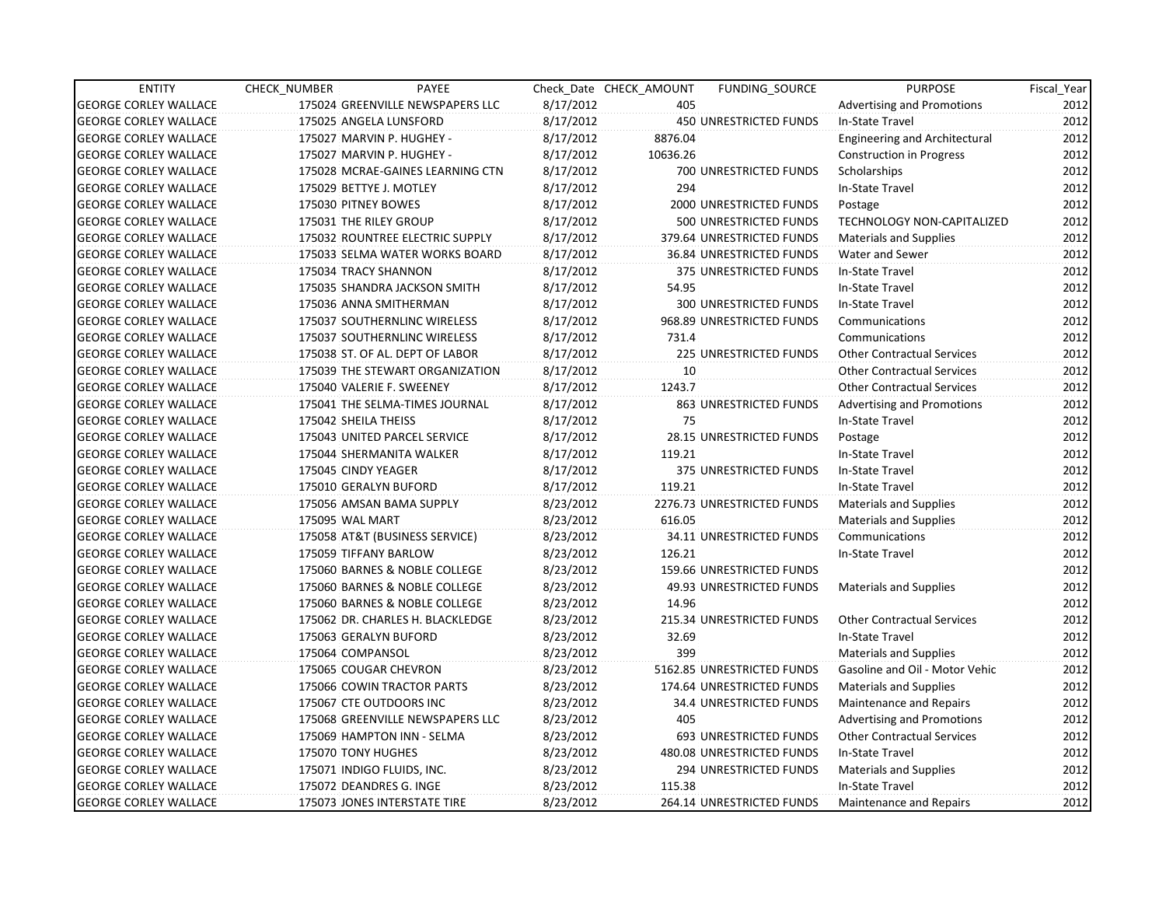| <b>ENTITY</b>                | CHECK NUMBER               | PAYEE                            |           | Check Date CHECK AMOUNT | FUNDING_SOURCE                | <b>PURPOSE</b>                       | Fiscal_Year |
|------------------------------|----------------------------|----------------------------------|-----------|-------------------------|-------------------------------|--------------------------------------|-------------|
| <b>GEORGE CORLEY WALLACE</b> |                            | 175024 GREENVILLE NEWSPAPERS LLC | 8/17/2012 | 405                     |                               | <b>Advertising and Promotions</b>    | 2012        |
| <b>GEORGE CORLEY WALLACE</b> | 175025 ANGELA LUNSFORD     |                                  | 8/17/2012 |                         | 450 UNRESTRICTED FUNDS        | In-State Travel                      | 2012        |
| <b>GEORGE CORLEY WALLACE</b> |                            | 175027 MARVIN P. HUGHEY -        | 8/17/2012 | 8876.04                 |                               | <b>Engineering and Architectural</b> | 2012        |
| <b>GEORGE CORLEY WALLACE</b> |                            | 175027 MARVIN P. HUGHEY -        | 8/17/2012 | 10636.26                |                               | <b>Construction in Progress</b>      | 2012        |
| <b>GEORGE CORLEY WALLACE</b> |                            | 175028 MCRAE-GAINES LEARNING CTN | 8/17/2012 |                         | 700 UNRESTRICTED FUNDS        | Scholarships                         | 2012        |
| <b>GEORGE CORLEY WALLACE</b> | 175029 BETTYE J. MOTLEY    |                                  | 8/17/2012 | 294                     |                               | In-State Travel                      | 2012        |
| <b>GEORGE CORLEY WALLACE</b> | 175030 PITNEY BOWES        |                                  | 8/17/2012 |                         | 2000 UNRESTRICTED FUNDS       | Postage                              | 2012        |
| <b>GEORGE CORLEY WALLACE</b> | 175031 THE RILEY GROUP     |                                  | 8/17/2012 |                         | 500 UNRESTRICTED FUNDS        | TECHNOLOGY NON-CAPITALIZED           | 2012        |
| <b>GEORGE CORLEY WALLACE</b> |                            | 175032 ROUNTREE ELECTRIC SUPPLY  | 8/17/2012 |                         | 379.64 UNRESTRICTED FUNDS     | <b>Materials and Supplies</b>        | 2012        |
| <b>GEORGE CORLEY WALLACE</b> |                            | 175033 SELMA WATER WORKS BOARD   | 8/17/2012 |                         | 36.84 UNRESTRICTED FUNDS      | Water and Sewer                      | 2012        |
| <b>GEORGE CORLEY WALLACE</b> | 175034 TRACY SHANNON       |                                  | 8/17/2012 |                         | 375 UNRESTRICTED FUNDS        | In-State Travel                      | 2012        |
| <b>GEORGE CORLEY WALLACE</b> |                            | 175035 SHANDRA JACKSON SMITH     | 8/17/2012 | 54.95                   |                               | In-State Travel                      | 2012        |
| <b>GEORGE CORLEY WALLACE</b> |                            | 175036 ANNA SMITHERMAN           | 8/17/2012 |                         | 300 UNRESTRICTED FUNDS        | In-State Travel                      | 2012        |
| <b>GEORGE CORLEY WALLACE</b> |                            | 175037 SOUTHERNLINC WIRELESS     | 8/17/2012 |                         | 968.89 UNRESTRICTED FUNDS     | Communications                       | 2012        |
| <b>GEORGE CORLEY WALLACE</b> |                            | 175037 SOUTHERNLINC WIRELESS     | 8/17/2012 | 731.4                   |                               | Communications                       | 2012        |
| <b>GEORGE CORLEY WALLACE</b> |                            | 175038 ST. OF AL. DEPT OF LABOR  | 8/17/2012 |                         | <b>225 UNRESTRICTED FUNDS</b> | <b>Other Contractual Services</b>    | 2012        |
| <b>GEORGE CORLEY WALLACE</b> |                            | 175039 THE STEWART ORGANIZATION  | 8/17/2012 | 10 <sup>1</sup>         |                               | <b>Other Contractual Services</b>    | 2012        |
| <b>GEORGE CORLEY WALLACE</b> |                            | 175040 VALERIE F. SWEENEY        | 8/17/2012 | 1243.7                  |                               | <b>Other Contractual Services</b>    | 2012        |
| <b>GEORGE CORLEY WALLACE</b> |                            | 175041 THE SELMA-TIMES JOURNAL   | 8/17/2012 |                         | 863 UNRESTRICTED FUNDS        | <b>Advertising and Promotions</b>    | 2012        |
| <b>GEORGE CORLEY WALLACE</b> | 175042 SHEILA THEISS       |                                  | 8/17/2012 | 75                      |                               | In-State Travel                      | 2012        |
| <b>GEORGE CORLEY WALLACE</b> |                            | 175043 UNITED PARCEL SERVICE     | 8/17/2012 |                         | 28.15 UNRESTRICTED FUNDS      | Postage                              | 2012        |
| <b>GEORGE CORLEY WALLACE</b> |                            | 175044 SHERMANITA WALKER         | 8/17/2012 | 119.21                  |                               | In-State Travel                      | 2012        |
| <b>GEORGE CORLEY WALLACE</b> | 175045 CINDY YEAGER        |                                  | 8/17/2012 |                         | 375 UNRESTRICTED FUNDS        | In-State Travel                      | 2012        |
| <b>GEORGE CORLEY WALLACE</b> | 175010 GERALYN BUFORD      |                                  | 8/17/2012 | 119.21                  |                               | In-State Travel                      | 2012        |
| <b>GEORGE CORLEY WALLACE</b> |                            | 175056 AMSAN BAMA SUPPLY         | 8/23/2012 |                         | 2276.73 UNRESTRICTED FUNDS    | Materials and Supplies               | 2012        |
| <b>GEORGE CORLEY WALLACE</b> | 175095 WAL MART            |                                  | 8/23/2012 | 616.05                  |                               | Materials and Supplies               | 2012        |
| <b>GEORGE CORLEY WALLACE</b> |                            | 175058 AT&T (BUSINESS SERVICE)   | 8/23/2012 |                         | 34.11 UNRESTRICTED FUNDS      | Communications                       | 2012        |
| <b>GEORGE CORLEY WALLACE</b> | 175059 TIFFANY BARLOW      |                                  | 8/23/2012 | 126.21                  |                               | In-State Travel                      | 2012        |
| <b>GEORGE CORLEY WALLACE</b> |                            | 175060 BARNES & NOBLE COLLEGE    | 8/23/2012 |                         | 159.66 UNRESTRICTED FUNDS     |                                      | 2012        |
| <b>GEORGE CORLEY WALLACE</b> |                            | 175060 BARNES & NOBLE COLLEGE    | 8/23/2012 |                         | 49.93 UNRESTRICTED FUNDS      | <b>Materials and Supplies</b>        | 2012        |
| <b>GEORGE CORLEY WALLACE</b> |                            | 175060 BARNES & NOBLE COLLEGE    | 8/23/2012 | 14.96                   |                               |                                      | 2012        |
| <b>GEORGE CORLEY WALLACE</b> |                            | 175062 DR. CHARLES H. BLACKLEDGE | 8/23/2012 |                         | 215.34 UNRESTRICTED FUNDS     | <b>Other Contractual Services</b>    | 2012        |
| <b>GEORGE CORLEY WALLACE</b> | 175063 GERALYN BUFORD      |                                  | 8/23/2012 | 32.69                   |                               | In-State Travel                      | 2012        |
| <b>GEORGE CORLEY WALLACE</b> | 175064 COMPANSOL           |                                  | 8/23/2012 | 399                     |                               | Materials and Supplies               | 2012        |
| <b>GEORGE CORLEY WALLACE</b> | 175065 COUGAR CHEVRON      |                                  | 8/23/2012 |                         | 5162.85 UNRESTRICTED FUNDS    | Gasoline and Oil - Motor Vehic       | 2012        |
| <b>GEORGE CORLEY WALLACE</b> |                            | 175066 COWIN TRACTOR PARTS       | 8/23/2012 |                         | 174.64 UNRESTRICTED FUNDS     | <b>Materials and Supplies</b>        | 2012        |
| <b>GEORGE CORLEY WALLACE</b> | 175067 CTE OUTDOORS INC    |                                  | 8/23/2012 |                         | 34.4 UNRESTRICTED FUNDS       | Maintenance and Repairs              | 2012        |
| <b>GEORGE CORLEY WALLACE</b> |                            | 175068 GREENVILLE NEWSPAPERS LLC | 8/23/2012 | 405                     |                               | <b>Advertising and Promotions</b>    | 2012        |
| <b>GEORGE CORLEY WALLACE</b> |                            | 175069 HAMPTON INN - SELMA       | 8/23/2012 |                         | 693 UNRESTRICTED FUNDS        | <b>Other Contractual Services</b>    | 2012        |
| <b>GEORGE CORLEY WALLACE</b> | 175070 TONY HUGHES         |                                  | 8/23/2012 |                         | 480.08 UNRESTRICTED FUNDS     | In-State Travel                      | 2012        |
| <b>GEORGE CORLEY WALLACE</b> | 175071 INDIGO FLUIDS, INC. |                                  | 8/23/2012 |                         | 294 UNRESTRICTED FUNDS        | <b>Materials and Supplies</b>        | 2012        |
| <b>GEORGE CORLEY WALLACE</b> | 175072 DEANDRES G. INGE    |                                  | 8/23/2012 | 115.38                  |                               | In-State Travel                      | 2012        |
| <b>GEORGE CORLEY WALLACE</b> |                            | 175073 JONES INTERSTATE TIRE     | 8/23/2012 |                         | 264.14 UNRESTRICTED FUNDS     | Maintenance and Repairs              | 2012        |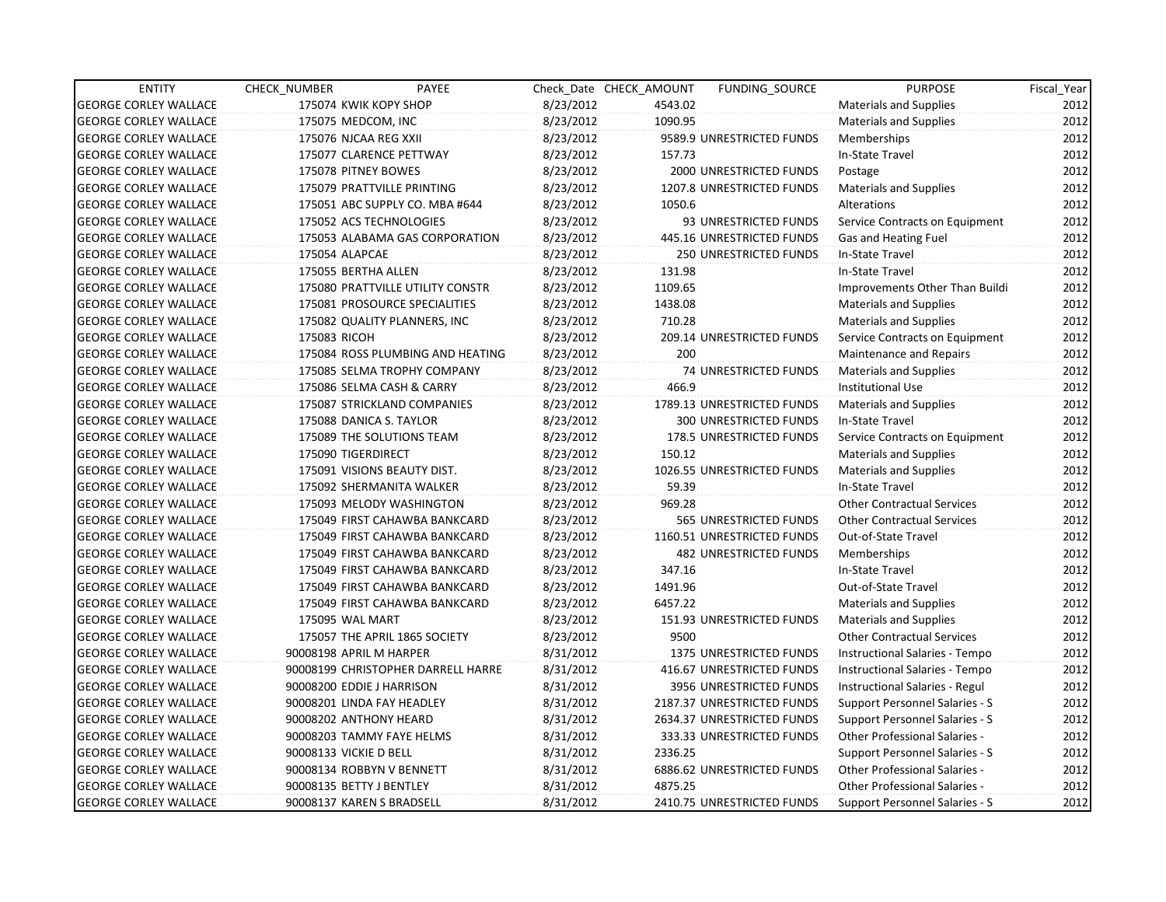| <b>ENTITY</b>                | CHECK NUMBER                | PAYEE                              |           | Check Date CHECK AMOUNT | FUNDING SOURCE                 | <b>PURPOSE</b>                        | Fiscal Year |
|------------------------------|-----------------------------|------------------------------------|-----------|-------------------------|--------------------------------|---------------------------------------|-------------|
| <b>GEORGE CORLEY WALLACE</b> | 175074 KWIK KOPY SHOP       |                                    | 8/23/2012 | 4543.02                 |                                | <b>Materials and Supplies</b>         | 2012        |
| <b>GEORGE CORLEY WALLACE</b> | 175075 MEDCOM, INC          |                                    | 8/23/2012 | 1090.95                 |                                | Materials and Supplies                | 2012        |
| <b>GEORGE CORLEY WALLACE</b> | 175076 NJCAA REG XXII       |                                    | 8/23/2012 |                         | 9589.9 UNRESTRICTED FUNDS      | Memberships                           | 2012        |
| <b>GEORGE CORLEY WALLACE</b> | 175077 CLARENCE PETTWAY     |                                    | 8/23/2012 | 157.73                  |                                | In-State Travel                       | 2012        |
| <b>GEORGE CORLEY WALLACE</b> | 175078 PITNEY BOWES         |                                    | 8/23/2012 |                         | 2000 UNRESTRICTED FUNDS        | Postage                               | 2012        |
| <b>GEORGE CORLEY WALLACE</b> | 175079 PRATTVILLE PRINTING  |                                    | 8/23/2012 |                         | 1207.8 UNRESTRICTED FUNDS      | Materials and Supplies                | 2012        |
| <b>GEORGE CORLEY WALLACE</b> |                             | 175051 ABC SUPPLY CO. MBA #644     | 8/23/2012 | 1050.6                  |                                | Alterations                           | 2012        |
| <b>GEORGE CORLEY WALLACE</b> | 175052 ACS TECHNOLOGIES     |                                    | 8/23/2012 |                         | 93 UNRESTRICTED FUNDS          | Service Contracts on Equipment        | 2012        |
| <b>GEORGE CORLEY WALLACE</b> |                             | 175053 ALABAMA GAS CORPORATION     | 8/23/2012 |                         | 445.16 UNRESTRICTED FUNDS      | Gas and Heating Fuel                  | 2012        |
| <b>GEORGE CORLEY WALLACE</b> | 175054 ALAPCAE              |                                    | 8/23/2012 |                         | <b>250 UNRESTRICTED FUNDS</b>  | In-State Travel                       | 2012        |
| <b>GEORGE CORLEY WALLACE</b> | 175055 BERTHA ALLEN         |                                    | 8/23/2012 | 131.98                  |                                | In-State Travel                       | 2012        |
| <b>GEORGE CORLEY WALLACE</b> |                             | 175080 PRATTVILLE UTILITY CONSTR   | 8/23/2012 | 1109.65                 |                                | Improvements Other Than Buildi        | 2012        |
| <b>GEORGE CORLEY WALLACE</b> |                             | 175081 PROSOURCE SPECIALITIES      | 8/23/2012 | 1438.08                 |                                | <b>Materials and Supplies</b>         | 2012        |
| <b>GEORGE CORLEY WALLACE</b> |                             | 175082 QUALITY PLANNERS, INC       | 8/23/2012 | 710.28                  |                                | <b>Materials and Supplies</b>         | 2012        |
| <b>GEORGE CORLEY WALLACE</b> | 175083 RICOH                |                                    | 8/23/2012 |                         | 209.14 UNRESTRICTED FUNDS      | Service Contracts on Equipment        | 2012        |
| <b>GEORGE CORLEY WALLACE</b> |                             | 175084 ROSS PLUMBING AND HEATING   | 8/23/2012 | 200                     |                                | Maintenance and Repairs               | 2012        |
| <b>GEORGE CORLEY WALLACE</b> |                             | 175085 SELMA TROPHY COMPANY        | 8/23/2012 |                         | <b>74 UNRESTRICTED FUNDS</b>   | Materials and Supplies                | 2012        |
| <b>GEORGE CORLEY WALLACE</b> | 175086 SELMA CASH & CARRY   |                                    | 8/23/2012 | 466.9                   |                                | <b>Institutional Use</b>              | 2012        |
| <b>GEORGE CORLEY WALLACE</b> |                             | 175087 STRICKLAND COMPANIES        | 8/23/2012 |                         | 1789.13 UNRESTRICTED FUNDS     | <b>Materials and Supplies</b>         | 2012        |
| <b>GEORGE CORLEY WALLACE</b> | 175088 DANICA S. TAYLOR     |                                    | 8/23/2012 |                         | 300 UNRESTRICTED FUNDS         | In-State Travel                       | 2012        |
| <b>GEORGE CORLEY WALLACE</b> | 175089 THE SOLUTIONS TEAM   |                                    | 8/23/2012 |                         | 178.5 UNRESTRICTED FUNDS       | Service Contracts on Equipment        | 2012        |
| <b>GEORGE CORLEY WALLACE</b> | 175090 TIGERDIRECT          |                                    | 8/23/2012 | 150.12                  |                                | <b>Materials and Supplies</b>         | 2012        |
| <b>GEORGE CORLEY WALLACE</b> | 175091 VISIONS BEAUTY DIST. |                                    | 8/23/2012 |                         | 1026.55 UNRESTRICTED FUNDS     | Materials and Supplies                | 2012        |
| <b>GEORGE CORLEY WALLACE</b> | 175092 SHERMANITA WALKER    |                                    | 8/23/2012 | 59.39                   |                                | In-State Travel                       | 2012        |
| <b>GEORGE CORLEY WALLACE</b> |                             | 175093 MELODY WASHINGTON           | 8/23/2012 | 969.28                  |                                | <b>Other Contractual Services</b>     | 2012        |
| <b>GEORGE CORLEY WALLACE</b> |                             | 175049 FIRST CAHAWBA BANKCARD      | 8/23/2012 |                         | 565 UNRESTRICTED FUNDS         | <b>Other Contractual Services</b>     | 2012        |
| <b>GEORGE CORLEY WALLACE</b> |                             | 175049 FIRST CAHAWBA BANKCARD      | 8/23/2012 |                         | 1160.51 UNRESTRICTED FUNDS     | Out-of-State Travel                   | 2012        |
| <b>GEORGE CORLEY WALLACE</b> |                             | 175049 FIRST CAHAWBA BANKCARD      | 8/23/2012 |                         | 482 UNRESTRICTED FUNDS         | Memberships                           | 2012        |
| <b>GEORGE CORLEY WALLACE</b> |                             | 175049 FIRST CAHAWBA BANKCARD      | 8/23/2012 | 347.16                  |                                | In-State Travel                       | 2012        |
| <b>GEORGE CORLEY WALLACE</b> |                             | 175049 FIRST CAHAWBA BANKCARD      | 8/23/2012 | 1491.96                 |                                | Out-of-State Travel                   | 2012        |
| <b>GEORGE CORLEY WALLACE</b> |                             | 175049 FIRST CAHAWBA BANKCARD      | 8/23/2012 | 6457.22                 |                                | <b>Materials and Supplies</b>         | 2012        |
| <b>GEORGE CORLEY WALLACE</b> | 175095 WAL MART             |                                    | 8/23/2012 |                         | 151.93 UNRESTRICTED FUNDS      | <b>Materials and Supplies</b>         | 2012        |
| <b>GEORGE CORLEY WALLACE</b> |                             | 175057 THE APRIL 1865 SOCIETY      | 8/23/2012 | 9500                    |                                | <b>Other Contractual Services</b>     | 2012        |
| <b>GEORGE CORLEY WALLACE</b> | 90008198 APRIL M HARPER     |                                    | 8/31/2012 |                         | <b>1375 UNRESTRICTED FUNDS</b> | Instructional Salaries - Tempo        | 2012        |
| <b>GEORGE CORLEY WALLACE</b> |                             | 90008199 CHRISTOPHER DARRELL HARRE | 8/31/2012 |                         | 416.67 UNRESTRICTED FUNDS      | Instructional Salaries - Tempo        | 2012        |
| <b>GEORGE CORLEY WALLACE</b> | 90008200 EDDIE J HARRISON   |                                    | 8/31/2012 |                         | 3956 UNRESTRICTED FUNDS        | Instructional Salaries - Regul        | 2012        |
| <b>GEORGE CORLEY WALLACE</b> | 90008201 LINDA FAY HEADLEY  |                                    | 8/31/2012 |                         | 2187.37 UNRESTRICTED FUNDS     | <b>Support Personnel Salaries - S</b> | 2012        |
| <b>GEORGE CORLEY WALLACE</b> | 90008202 ANTHONY HEARD      |                                    | 8/31/2012 |                         | 2634.37 UNRESTRICTED FUNDS     | Support Personnel Salaries - S        | 2012        |
| <b>GEORGE CORLEY WALLACE</b> | 90008203 TAMMY FAYE HELMS   |                                    | 8/31/2012 |                         | 333.33 UNRESTRICTED FUNDS      | Other Professional Salaries -         | 2012        |
| <b>GEORGE CORLEY WALLACE</b> | 90008133 VICKIE D BELL      |                                    | 8/31/2012 | 2336.25                 |                                | Support Personnel Salaries - S        | 2012        |
| <b>GEORGE CORLEY WALLACE</b> | 90008134 ROBBYN V BENNETT   |                                    | 8/31/2012 |                         | 6886.62 UNRESTRICTED FUNDS     | Other Professional Salaries -         | 2012        |
| <b>GEORGE CORLEY WALLACE</b> | 90008135 BETTY J BENTLEY    |                                    | 8/31/2012 | 4875.25                 |                                | <b>Other Professional Salaries -</b>  | 2012        |
| <b>GEORGE CORLEY WALLACE</b> | 90008137 KAREN S BRADSELL   |                                    | 8/31/2012 |                         | 2410.75 UNRESTRICTED FUNDS     | Support Personnel Salaries - S        | 2012        |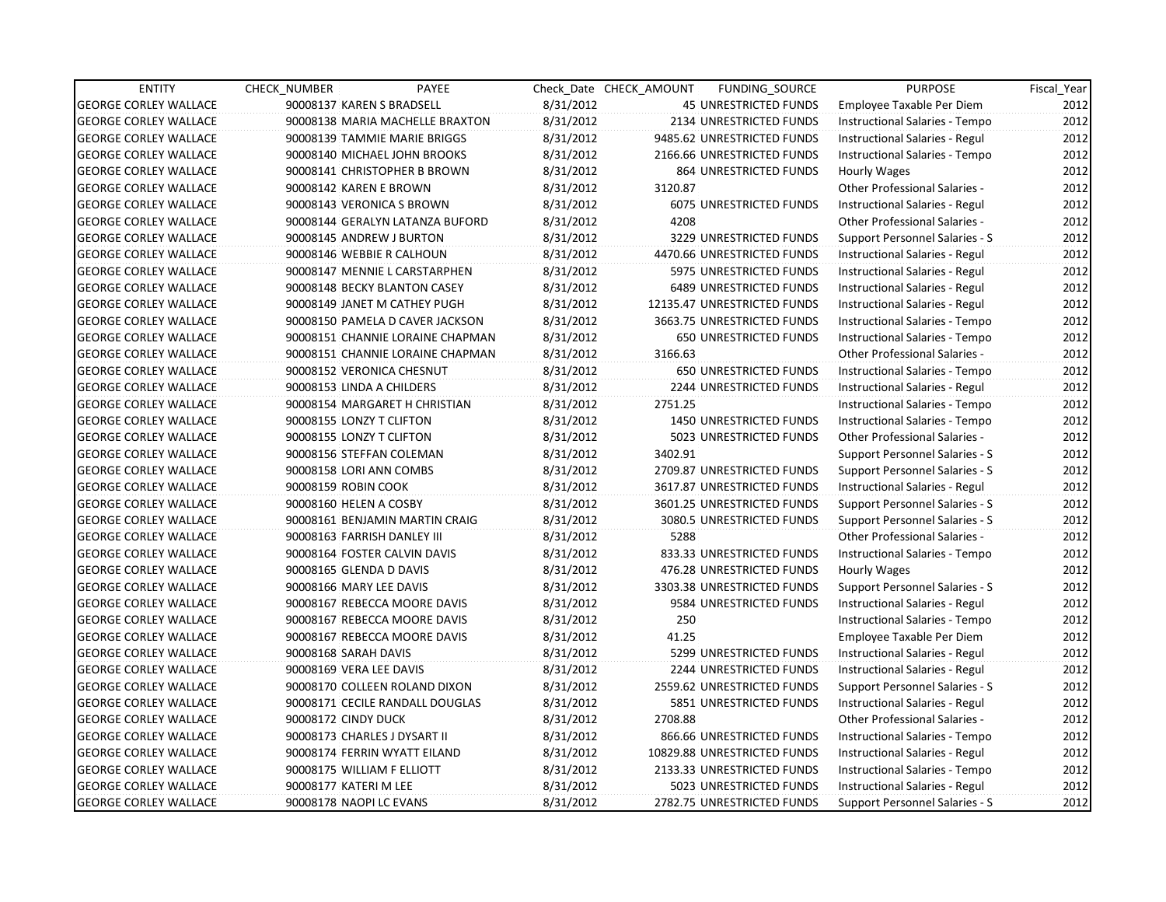| <b>ENTITY</b>                | CHECK_NUMBER             | PAYEE                            |           | Check Date CHECK AMOUNT | FUNDING SOURCE                 | <b>PURPOSE</b>                       | Fiscal_Year |
|------------------------------|--------------------------|----------------------------------|-----------|-------------------------|--------------------------------|--------------------------------------|-------------|
| <b>GEORGE CORLEY WALLACE</b> |                          | 90008137 KAREN S BRADSELL        | 8/31/2012 |                         | <b>45 UNRESTRICTED FUNDS</b>   | Employee Taxable Per Diem            | 2012        |
| <b>GEORGE CORLEY WALLACE</b> |                          | 90008138 MARIA MACHELLE BRAXTON  | 8/31/2012 |                         | 2134 UNRESTRICTED FUNDS        | Instructional Salaries - Tempo       | 2012        |
| <b>GEORGE CORLEY WALLACE</b> |                          | 90008139 TAMMIE MARIE BRIGGS     | 8/31/2012 |                         | 9485.62 UNRESTRICTED FUNDS     | Instructional Salaries - Regul       | 2012        |
| <b>GEORGE CORLEY WALLACE</b> |                          | 90008140 MICHAEL JOHN BROOKS     | 8/31/2012 |                         | 2166.66 UNRESTRICTED FUNDS     | Instructional Salaries - Tempo       | 2012        |
| <b>GEORGE CORLEY WALLACE</b> |                          | 90008141 CHRISTOPHER B BROWN     | 8/31/2012 |                         | 864 UNRESTRICTED FUNDS         | Hourly Wages                         | 2012        |
| <b>GEORGE CORLEY WALLACE</b> | 90008142 KAREN E BROWN   |                                  | 8/31/2012 | 3120.87                 |                                | <b>Other Professional Salaries -</b> | 2012        |
| <b>GEORGE CORLEY WALLACE</b> |                          | 90008143 VERONICA S BROWN        | 8/31/2012 |                         | 6075 UNRESTRICTED FUNDS        | Instructional Salaries - Regul       | 2012        |
| <b>GEORGE CORLEY WALLACE</b> |                          | 90008144 GERALYN LATANZA BUFORD  | 8/31/2012 | 4208                    |                                | Other Professional Salaries -        | 2012        |
| <b>GEORGE CORLEY WALLACE</b> |                          | 90008145 ANDREW J BURTON         | 8/31/2012 |                         | 3229 UNRESTRICTED FUNDS        | Support Personnel Salaries - S       | 2012        |
| <b>GEORGE CORLEY WALLACE</b> |                          | 90008146 WEBBIE R CALHOUN        | 8/31/2012 |                         | 4470.66 UNRESTRICTED FUNDS     | Instructional Salaries - Regul       | 2012        |
| <b>GEORGE CORLEY WALLACE</b> |                          | 90008147 MENNIE L CARSTARPHEN    | 8/31/2012 |                         | 5975 UNRESTRICTED FUNDS        | Instructional Salaries - Regul       | 2012        |
| <b>GEORGE CORLEY WALLACE</b> |                          | 90008148 BECKY BLANTON CASEY     | 8/31/2012 |                         | <b>6489 UNRESTRICTED FUNDS</b> | Instructional Salaries - Regul       | 2012        |
| <b>GEORGE CORLEY WALLACE</b> |                          | 90008149 JANET M CATHEY PUGH     | 8/31/2012 |                         | 12135.47 UNRESTRICTED FUNDS    | Instructional Salaries - Regul       | 2012        |
| <b>GEORGE CORLEY WALLACE</b> |                          | 90008150 PAMELA D CAVER JACKSON  | 8/31/2012 |                         | 3663.75 UNRESTRICTED FUNDS     | Instructional Salaries - Tempo       | 2012        |
| <b>GEORGE CORLEY WALLACE</b> |                          | 90008151 CHANNIE LORAINE CHAPMAN | 8/31/2012 |                         | <b>650 UNRESTRICTED FUNDS</b>  | Instructional Salaries - Tempo       | 2012        |
| <b>GEORGE CORLEY WALLACE</b> |                          | 90008151 CHANNIE LORAINE CHAPMAN | 8/31/2012 | 3166.63                 |                                | Other Professional Salaries -        | 2012        |
| <b>GEORGE CORLEY WALLACE</b> |                          | 90008152 VERONICA CHESNUT        | 8/31/2012 |                         | <b>650 UNRESTRICTED FUNDS</b>  | Instructional Salaries - Tempo       | 2012        |
| <b>GEORGE CORLEY WALLACE</b> |                          | 90008153 LINDA A CHILDERS        | 8/31/2012 |                         | 2244 UNRESTRICTED FUNDS        | Instructional Salaries - Regul       | 2012        |
| <b>GEORGE CORLEY WALLACE</b> |                          | 90008154 MARGARET H CHRISTIAN    | 8/31/2012 | 2751.25                 |                                | Instructional Salaries - Tempo       | 2012        |
| <b>GEORGE CORLEY WALLACE</b> | 90008155 LONZY T CLIFTON |                                  | 8/31/2012 |                         | 1450 UNRESTRICTED FUNDS        | Instructional Salaries - Tempo       | 2012        |
| <b>GEORGE CORLEY WALLACE</b> | 90008155 LONZY T CLIFTON |                                  | 8/31/2012 |                         | 5023 UNRESTRICTED FUNDS        | Other Professional Salaries -        | 2012        |
| <b>GEORGE CORLEY WALLACE</b> |                          | 90008156 STEFFAN COLEMAN         | 8/31/2012 | 3402.91                 |                                | Support Personnel Salaries - S       | 2012        |
| <b>GEORGE CORLEY WALLACE</b> |                          | 90008158 LORI ANN COMBS          | 8/31/2012 |                         | 2709.87 UNRESTRICTED FUNDS     | Support Personnel Salaries - S       | 2012        |
| <b>GEORGE CORLEY WALLACE</b> | 90008159 ROBIN COOK      |                                  | 8/31/2012 |                         | 3617.87 UNRESTRICTED FUNDS     | Instructional Salaries - Regul       | 2012        |
| <b>GEORGE CORLEY WALLACE</b> | 90008160 HELEN A COSBY   |                                  | 8/31/2012 |                         | 3601.25 UNRESTRICTED FUNDS     | Support Personnel Salaries - S       | 2012        |
| <b>GEORGE CORLEY WALLACE</b> |                          | 90008161 BENJAMIN MARTIN CRAIG   | 8/31/2012 |                         | 3080.5 UNRESTRICTED FUNDS      | Support Personnel Salaries - S       | 2012        |
| <b>GEORGE CORLEY WALLACE</b> |                          | 90008163 FARRISH DANLEY III      | 8/31/2012 | 5288                    |                                | <b>Other Professional Salaries -</b> | 2012        |
| <b>GEORGE CORLEY WALLACE</b> |                          | 90008164 FOSTER CALVIN DAVIS     | 8/31/2012 |                         | 833.33 UNRESTRICTED FUNDS      | Instructional Salaries - Tempo       | 2012        |
| <b>GEORGE CORLEY WALLACE</b> | 90008165 GLENDA D DAVIS  |                                  | 8/31/2012 |                         | 476.28 UNRESTRICTED FUNDS      | <b>Hourly Wages</b>                  | 2012        |
| <b>GEORGE CORLEY WALLACE</b> | 90008166 MARY LEE DAVIS  |                                  | 8/31/2012 |                         | 3303.38 UNRESTRICTED FUNDS     | Support Personnel Salaries - S       | 2012        |
| <b>GEORGE CORLEY WALLACE</b> |                          | 90008167 REBECCA MOORE DAVIS     | 8/31/2012 |                         | 9584 UNRESTRICTED FUNDS        | Instructional Salaries - Regul       | 2012        |
| <b>GEORGE CORLEY WALLACE</b> |                          | 90008167 REBECCA MOORE DAVIS     | 8/31/2012 | 250                     |                                | Instructional Salaries - Tempo       | 2012        |
| <b>GEORGE CORLEY WALLACE</b> |                          | 90008167 REBECCA MOORE DAVIS     | 8/31/2012 | 41.25                   |                                | Employee Taxable Per Diem            | 2012        |
| <b>GEORGE CORLEY WALLACE</b> | 90008168 SARAH DAVIS     |                                  | 8/31/2012 |                         | 5299 UNRESTRICTED FUNDS        | Instructional Salaries - Regul       | 2012        |
| <b>GEORGE CORLEY WALLACE</b> | 90008169 VERA LEE DAVIS  |                                  | 8/31/2012 |                         | 2244 UNRESTRICTED FUNDS        | Instructional Salaries - Regul       | 2012        |
| <b>GEORGE CORLEY WALLACE</b> |                          | 90008170 COLLEEN ROLAND DIXON    | 8/31/2012 |                         | 2559.62 UNRESTRICTED FUNDS     | Support Personnel Salaries - S       | 2012        |
| <b>GEORGE CORLEY WALLACE</b> |                          | 90008171 CECILE RANDALL DOUGLAS  | 8/31/2012 |                         | 5851 UNRESTRICTED FUNDS        | Instructional Salaries - Regul       | 2012        |
| <b>GEORGE CORLEY WALLACE</b> | 90008172 CINDY DUCK      |                                  | 8/31/2012 | 2708.88                 |                                | Other Professional Salaries -        | 2012        |
| <b>GEORGE CORLEY WALLACE</b> |                          | 90008173 CHARLES J DYSART II     | 8/31/2012 |                         | 866.66 UNRESTRICTED FUNDS      | Instructional Salaries - Tempo       | 2012        |
| <b>GEORGE CORLEY WALLACE</b> |                          | 90008174 FERRIN WYATT EILAND     | 8/31/2012 |                         | 10829.88 UNRESTRICTED FUNDS    | Instructional Salaries - Regul       | 2012        |
| <b>GEORGE CORLEY WALLACE</b> |                          | 90008175 WILLIAM F ELLIOTT       | 8/31/2012 |                         | 2133.33 UNRESTRICTED FUNDS     | Instructional Salaries - Tempo       | 2012        |
| <b>GEORGE CORLEY WALLACE</b> | 90008177 KATERI M LEE    |                                  | 8/31/2012 |                         | 5023 UNRESTRICTED FUNDS        | Instructional Salaries - Regul       | 2012        |
| <b>GEORGE CORLEY WALLACE</b> | 90008178 NAOPI LC EVANS  |                                  | 8/31/2012 |                         | 2782.75 UNRESTRICTED FUNDS     | Support Personnel Salaries - S       | 2012        |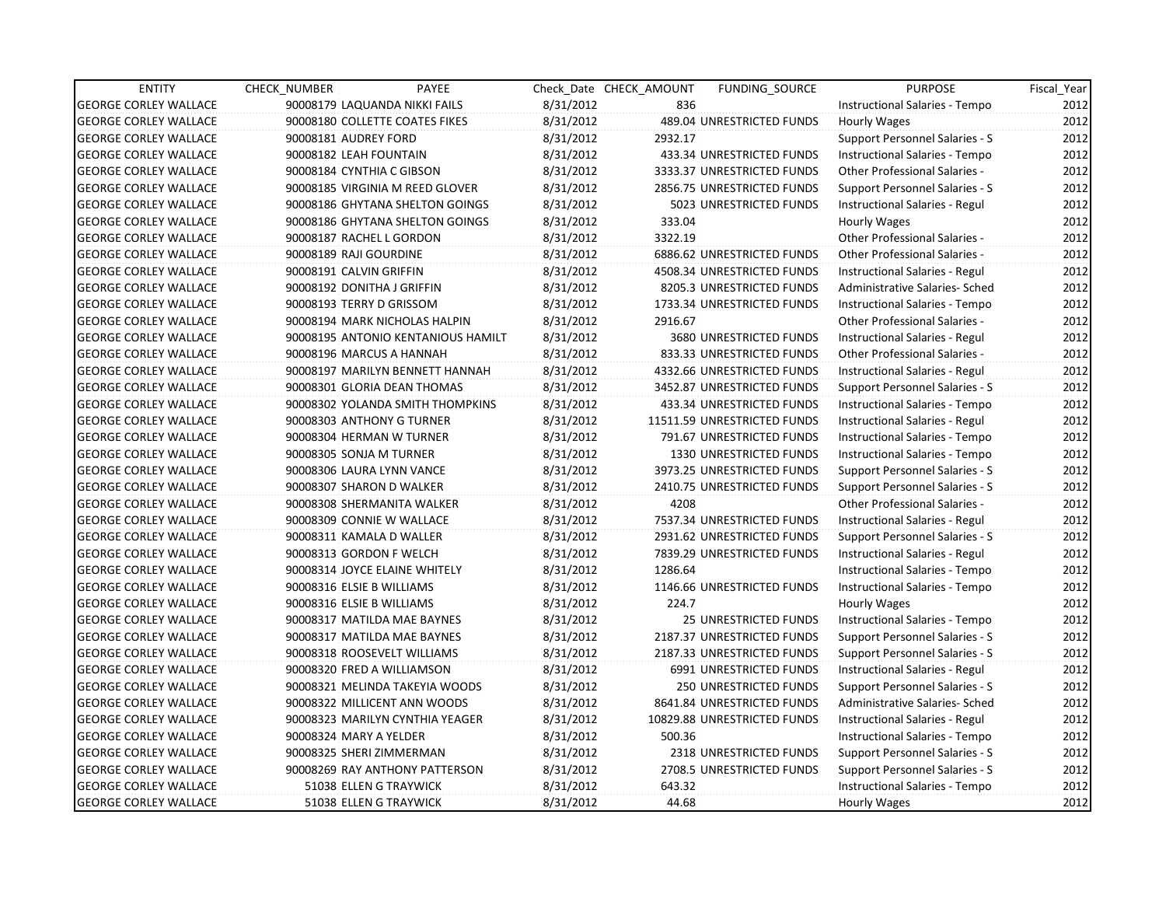| <b>ENTITY</b>                | PAYEE<br><b>CHECK NUMBER</b>       |           | Check Date CHECK AMOUNT | <b>FUNDING SOURCE</b>         | <b>PURPOSE</b>                        | Fiscal Year |
|------------------------------|------------------------------------|-----------|-------------------------|-------------------------------|---------------------------------------|-------------|
| <b>GEORGE CORLEY WALLACE</b> | 90008179 LAQUANDA NIKKI FAILS      | 8/31/2012 | 836                     |                               | Instructional Salaries - Tempo        | 2012        |
| <b>GEORGE CORLEY WALLACE</b> | 90008180 COLLETTE COATES FIKES     | 8/31/2012 |                         | 489.04 UNRESTRICTED FUNDS     | <b>Hourly Wages</b>                   | 2012        |
| <b>GEORGE CORLEY WALLACE</b> | 90008181 AUDREY FORD               | 8/31/2012 | 2932.17                 |                               | Support Personnel Salaries - S        | 2012        |
| <b>GEORGE CORLEY WALLACE</b> | 90008182 LEAH FOUNTAIN             | 8/31/2012 |                         | 433.34 UNRESTRICTED FUNDS     | Instructional Salaries - Tempo        | 2012        |
| <b>GEORGE CORLEY WALLACE</b> | 90008184 CYNTHIA C GIBSON          | 8/31/2012 |                         | 3333.37 UNRESTRICTED FUNDS    | Other Professional Salaries -         | 2012        |
| <b>GEORGE CORLEY WALLACE</b> | 90008185 VIRGINIA M REED GLOVER    | 8/31/2012 |                         | 2856.75 UNRESTRICTED FUNDS    | Support Personnel Salaries - S        | 2012        |
| <b>GEORGE CORLEY WALLACE</b> | 90008186 GHYTANA SHELTON GOINGS    | 8/31/2012 |                         | 5023 UNRESTRICTED FUNDS       | Instructional Salaries - Regul        | 2012        |
| <b>GEORGE CORLEY WALLACE</b> | 90008186 GHYTANA SHELTON GOINGS    | 8/31/2012 | 333.04                  |                               | Hourly Wages                          | 2012        |
| <b>GEORGE CORLEY WALLACE</b> | 90008187 RACHEL L GORDON           | 8/31/2012 | 3322.19                 |                               | Other Professional Salaries -         | 2012        |
| <b>GEORGE CORLEY WALLACE</b> | 90008189 RAJI GOURDINE             | 8/31/2012 |                         | 6886.62 UNRESTRICTED FUNDS    | Other Professional Salaries -         | 2012        |
| <b>GEORGE CORLEY WALLACE</b> | 90008191 CALVIN GRIFFIN            | 8/31/2012 |                         | 4508.34 UNRESTRICTED FUNDS    | Instructional Salaries - Regul        | 2012        |
| <b>GEORGE CORLEY WALLACE</b> | 90008192 DONITHA J GRIFFIN         | 8/31/2012 |                         | 8205.3 UNRESTRICTED FUNDS     | Administrative Salaries- Sched        | 2012        |
| <b>GEORGE CORLEY WALLACE</b> | 90008193 TERRY D GRISSOM           | 8/31/2012 |                         | 1733.34 UNRESTRICTED FUNDS    | Instructional Salaries - Tempo        | 2012        |
| <b>GEORGE CORLEY WALLACE</b> | 90008194 MARK NICHOLAS HALPIN      | 8/31/2012 | 2916.67                 |                               | Other Professional Salaries -         | 2012        |
| <b>GEORGE CORLEY WALLACE</b> | 90008195 ANTONIO KENTANIOUS HAMILT | 8/31/2012 |                         | 3680 UNRESTRICTED FUNDS       | Instructional Salaries - Regul        | 2012        |
| <b>GEORGE CORLEY WALLACE</b> | 90008196 MARCUS A HANNAH           | 8/31/2012 |                         | 833.33 UNRESTRICTED FUNDS     | <b>Other Professional Salaries -</b>  | 2012        |
| <b>GEORGE CORLEY WALLACE</b> | 90008197 MARILYN BENNETT HANNAH    | 8/31/2012 |                         | 4332.66 UNRESTRICTED FUNDS    | Instructional Salaries - Regul        | 2012        |
| <b>GEORGE CORLEY WALLACE</b> | 90008301 GLORIA DEAN THOMAS        | 8/31/2012 |                         | 3452.87 UNRESTRICTED FUNDS    | Support Personnel Salaries - S        | 2012        |
| <b>GEORGE CORLEY WALLACE</b> | 90008302 YOLANDA SMITH THOMPKINS   | 8/31/2012 |                         | 433.34 UNRESTRICTED FUNDS     | Instructional Salaries - Tempo        | 2012        |
| <b>GEORGE CORLEY WALLACE</b> | 90008303 ANTHONY G TURNER          | 8/31/2012 |                         | 11511.59 UNRESTRICTED FUNDS   | Instructional Salaries - Regul        | 2012        |
| <b>GEORGE CORLEY WALLACE</b> | 90008304 HERMAN W TURNER           | 8/31/2012 |                         | 791.67 UNRESTRICTED FUNDS     | Instructional Salaries - Tempo        | 2012        |
| <b>GEORGE CORLEY WALLACE</b> | 90008305 SONJA M TURNER            | 8/31/2012 |                         | 1330 UNRESTRICTED FUNDS       | Instructional Salaries - Tempo        | 2012        |
| <b>GEORGE CORLEY WALLACE</b> | 90008306 LAURA LYNN VANCE          | 8/31/2012 |                         | 3973.25 UNRESTRICTED FUNDS    | <b>Support Personnel Salaries - S</b> | 2012        |
| <b>GEORGE CORLEY WALLACE</b> | 90008307 SHARON D WALKER           | 8/31/2012 |                         | 2410.75 UNRESTRICTED FUNDS    | Support Personnel Salaries - S        | 2012        |
| <b>GEORGE CORLEY WALLACE</b> | 90008308 SHERMANITA WALKER         | 8/31/2012 | 4208                    |                               | Other Professional Salaries -         | 2012        |
| <b>GEORGE CORLEY WALLACE</b> | 90008309 CONNIE W WALLACE          | 8/31/2012 |                         | 7537.34 UNRESTRICTED FUNDS    | Instructional Salaries - Regul        | 2012        |
| <b>GEORGE CORLEY WALLACE</b> | 90008311 KAMALA D WALLER           | 8/31/2012 |                         | 2931.62 UNRESTRICTED FUNDS    | Support Personnel Salaries - S        | 2012        |
| <b>GEORGE CORLEY WALLACE</b> | 90008313 GORDON F WELCH            | 8/31/2012 |                         | 7839.29 UNRESTRICTED FUNDS    | Instructional Salaries - Regul        | 2012        |
| <b>GEORGE CORLEY WALLACE</b> | 90008314 JOYCE ELAINE WHITELY      | 8/31/2012 | 1286.64                 |                               | Instructional Salaries - Tempo        | 2012        |
| <b>GEORGE CORLEY WALLACE</b> | 90008316 ELSIE B WILLIAMS          | 8/31/2012 |                         | 1146.66 UNRESTRICTED FUNDS    | Instructional Salaries - Tempo        | 2012        |
| <b>GEORGE CORLEY WALLACE</b> | 90008316 ELSIE B WILLIAMS          | 8/31/2012 | 224.7                   |                               | Hourly Wages                          | 2012        |
| <b>GEORGE CORLEY WALLACE</b> | 90008317 MATILDA MAE BAYNES        | 8/31/2012 |                         | 25 UNRESTRICTED FUNDS         | Instructional Salaries - Tempo        | 2012        |
| <b>GEORGE CORLEY WALLACE</b> | 90008317 MATILDA MAE BAYNES        | 8/31/2012 |                         | 2187.37 UNRESTRICTED FUNDS    | Support Personnel Salaries - S        | 2012        |
| <b>GEORGE CORLEY WALLACE</b> | 90008318 ROOSEVELT WILLIAMS        | 8/31/2012 |                         | 2187.33 UNRESTRICTED FUNDS    | Support Personnel Salaries - S        | 2012        |
| <b>GEORGE CORLEY WALLACE</b> | 90008320 FRED A WILLIAMSON         | 8/31/2012 |                         | 6991 UNRESTRICTED FUNDS       | Instructional Salaries - Regul        | 2012        |
| <b>GEORGE CORLEY WALLACE</b> | 90008321 MELINDA TAKEYIA WOODS     | 8/31/2012 |                         | <b>250 UNRESTRICTED FUNDS</b> | Support Personnel Salaries - S        | 2012        |
| <b>GEORGE CORLEY WALLACE</b> | 90008322 MILLICENT ANN WOODS       | 8/31/2012 |                         | 8641.84 UNRESTRICTED FUNDS    | Administrative Salaries- Sched        | 2012        |
| <b>GEORGE CORLEY WALLACE</b> | 90008323 MARILYN CYNTHIA YEAGER    | 8/31/2012 |                         | 10829.88 UNRESTRICTED FUNDS   | Instructional Salaries - Regul        | 2012        |
| <b>GEORGE CORLEY WALLACE</b> | 90008324 MARY A YELDER             | 8/31/2012 | 500.36                  |                               | Instructional Salaries - Tempo        | 2012        |
| <b>GEORGE CORLEY WALLACE</b> | 90008325 SHERI ZIMMERMAN           | 8/31/2012 |                         | 2318 UNRESTRICTED FUNDS       | Support Personnel Salaries - S        | 2012        |
| <b>GEORGE CORLEY WALLACE</b> | 90008269 RAY ANTHONY PATTERSON     | 8/31/2012 |                         | 2708.5 UNRESTRICTED FUNDS     | Support Personnel Salaries - S        | 2012        |
| <b>GEORGE CORLEY WALLACE</b> | 51038 ELLEN G TRAYWICK             | 8/31/2012 | 643.32                  |                               | Instructional Salaries - Tempo        | 2012        |
| <b>GEORGE CORLEY WALLACE</b> | 51038 ELLEN G TRAYWICK             | 8/31/2012 | 44.68                   |                               | <b>Hourly Wages</b>                   | 2012        |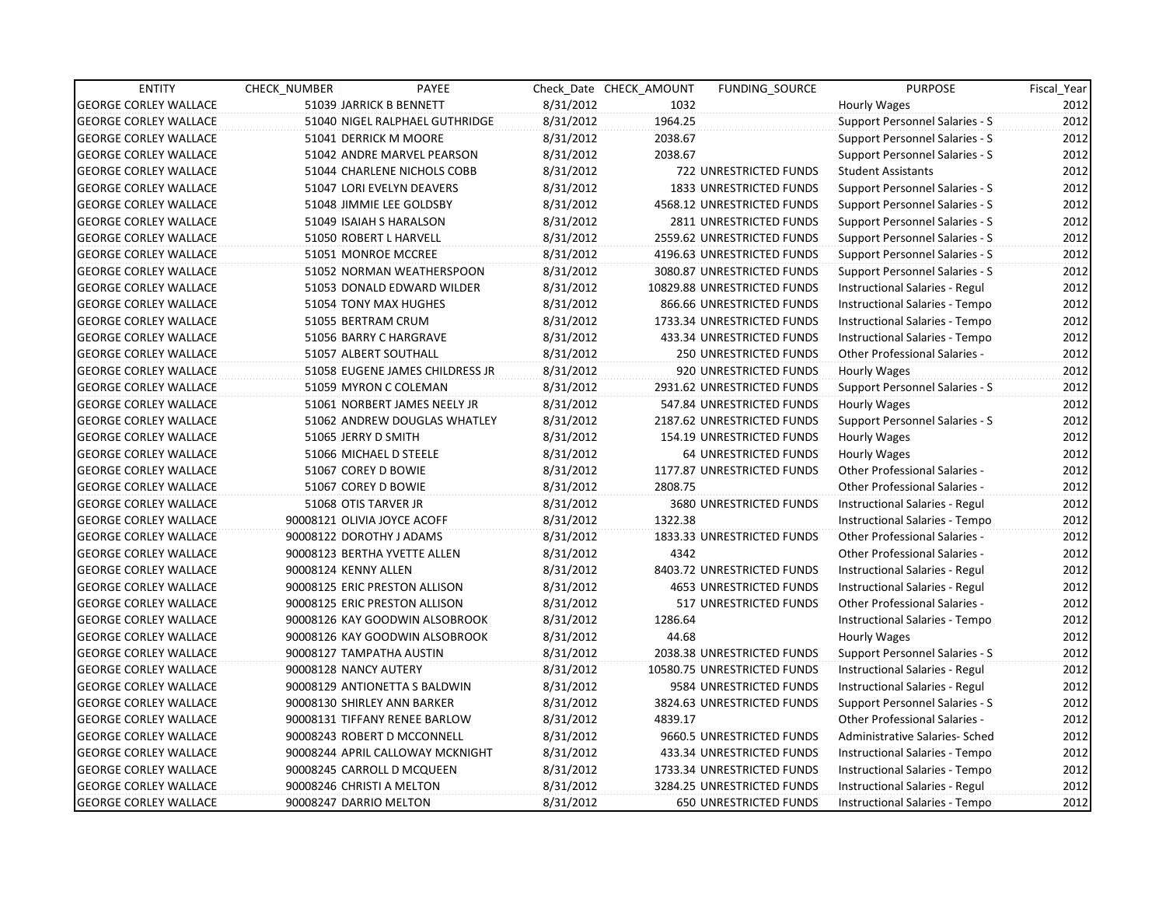| <b>ENTITY</b>                | <b>CHECK NUMBER</b>         | PAYEE                            |           | Check Date CHECK AMOUNT | FUNDING SOURCE                 | <b>PURPOSE</b>                        | Fiscal Year |
|------------------------------|-----------------------------|----------------------------------|-----------|-------------------------|--------------------------------|---------------------------------------|-------------|
| <b>GEORGE CORLEY WALLACE</b> |                             | 51039 JARRICK B BENNETT          | 8/31/2012 | 1032                    |                                | Hourly Wages                          | 2012        |
| <b>GEORGE CORLEY WALLACE</b> |                             | 51040 NIGEL RALPHAEL GUTHRIDGE   | 8/31/2012 | 1964.25                 |                                | Support Personnel Salaries - S        | 2012        |
| <b>GEORGE CORLEY WALLACE</b> |                             | 51041 DERRICK M MOORE            | 8/31/2012 | 2038.67                 |                                | Support Personnel Salaries - S        | 2012        |
| <b>GEORGE CORLEY WALLACE</b> |                             | 51042 ANDRE MARVEL PEARSON       | 8/31/2012 | 2038.67                 |                                | Support Personnel Salaries - S        | 2012        |
| <b>GEORGE CORLEY WALLACE</b> |                             | 51044 CHARLENE NICHOLS COBB      | 8/31/2012 |                         | 722 UNRESTRICTED FUNDS         | <b>Student Assistants</b>             | 2012        |
| <b>GEORGE CORLEY WALLACE</b> |                             | 51047 LORI EVELYN DEAVERS        | 8/31/2012 |                         | <b>1833 UNRESTRICTED FUNDS</b> | Support Personnel Salaries - S        | 2012        |
| <b>GEORGE CORLEY WALLACE</b> |                             | 51048 JIMMIE LEE GOLDSBY         | 8/31/2012 |                         | 4568.12 UNRESTRICTED FUNDS     | Support Personnel Salaries - S        | 2012        |
| <b>GEORGE CORLEY WALLACE</b> |                             | 51049 ISAIAH S HARALSON          | 8/31/2012 |                         | 2811 UNRESTRICTED FUNDS        | Support Personnel Salaries - S        | 2012        |
| <b>GEORGE CORLEY WALLACE</b> |                             | 51050 ROBERT L HARVELL           | 8/31/2012 |                         | 2559.62 UNRESTRICTED FUNDS     | Support Personnel Salaries - S        | 2012        |
| <b>GEORGE CORLEY WALLACE</b> |                             | 51051 MONROE MCCREE              | 8/31/2012 |                         | 4196.63 UNRESTRICTED FUNDS     | Support Personnel Salaries - S        | 2012        |
| <b>GEORGE CORLEY WALLACE</b> |                             | 51052 NORMAN WEATHERSPOON        | 8/31/2012 |                         | 3080.87 UNRESTRICTED FUNDS     | <b>Support Personnel Salaries - S</b> | 2012        |
| <b>GEORGE CORLEY WALLACE</b> |                             | 51053 DONALD EDWARD WILDER       | 8/31/2012 |                         | 10829.88 UNRESTRICTED FUNDS    | Instructional Salaries - Regul        | 2012        |
| <b>GEORGE CORLEY WALLACE</b> |                             | 51054 TONY MAX HUGHES            | 8/31/2012 |                         | 866.66 UNRESTRICTED FUNDS      | Instructional Salaries - Tempo        | 2012        |
| <b>GEORGE CORLEY WALLACE</b> | 51055 BERTRAM CRUM          |                                  | 8/31/2012 |                         | 1733.34 UNRESTRICTED FUNDS     | Instructional Salaries - Tempo        | 2012        |
| <b>GEORGE CORLEY WALLACE</b> |                             | 51056 BARRY C HARGRAVE           | 8/31/2012 |                         | 433.34 UNRESTRICTED FUNDS      | Instructional Salaries - Tempo        | 2012        |
| <b>GEORGE CORLEY WALLACE</b> |                             | 51057 ALBERT SOUTHALL            | 8/31/2012 |                         | 250 UNRESTRICTED FUNDS         | <b>Other Professional Salaries -</b>  | 2012        |
| <b>GEORGE CORLEY WALLACE</b> |                             | 51058 EUGENE JAMES CHILDRESS JR  | 8/31/2012 |                         | 920 UNRESTRICTED FUNDS         | Hourly Wages                          | 2012        |
| <b>GEORGE CORLEY WALLACE</b> |                             | 51059 MYRON C COLEMAN            | 8/31/2012 |                         | 2931.62 UNRESTRICTED FUNDS     | <b>Support Personnel Salaries - S</b> | 2012        |
| <b>GEORGE CORLEY WALLACE</b> |                             | 51061 NORBERT JAMES NEELY JR     | 8/31/2012 |                         | 547.84 UNRESTRICTED FUNDS      | Hourly Wages                          | 2012        |
| <b>GEORGE CORLEY WALLACE</b> |                             | 51062 ANDREW DOUGLAS WHATLEY     | 8/31/2012 |                         | 2187.62 UNRESTRICTED FUNDS     | Support Personnel Salaries - S        | 2012        |
| <b>GEORGE CORLEY WALLACE</b> | 51065 JERRY D SMITH         |                                  | 8/31/2012 |                         | 154.19 UNRESTRICTED FUNDS      | Hourly Wages                          | 2012        |
| <b>GEORGE CORLEY WALLACE</b> |                             | 51066 MICHAEL D STEELE           | 8/31/2012 |                         | 64 UNRESTRICTED FUNDS          | Hourly Wages                          | 2012        |
| <b>GEORGE CORLEY WALLACE</b> | 51067 COREY D BOWIE         |                                  | 8/31/2012 |                         | 1177.87 UNRESTRICTED FUNDS     | <b>Other Professional Salaries -</b>  | 2012        |
| <b>GEORGE CORLEY WALLACE</b> | 51067 COREY D BOWIE         |                                  | 8/31/2012 | 2808.75                 |                                | Other Professional Salaries -         | 2012        |
| <b>GEORGE CORLEY WALLACE</b> | 51068 OTIS TARVER JR        |                                  | 8/31/2012 |                         | 3680 UNRESTRICTED FUNDS        | Instructional Salaries - Regul        | 2012        |
| <b>GEORGE CORLEY WALLACE</b> | 90008121 OLIVIA JOYCE ACOFF |                                  | 8/31/2012 | 1322.38                 |                                | Instructional Salaries - Tempo        | 2012        |
| <b>GEORGE CORLEY WALLACE</b> | 90008122 DOROTHY J ADAMS    |                                  | 8/31/2012 |                         | 1833.33 UNRESTRICTED FUNDS     | <b>Other Professional Salaries -</b>  | 2012        |
| <b>GEORGE CORLEY WALLACE</b> |                             | 90008123 BERTHA YVETTE ALLEN     | 8/31/2012 | 4342                    |                                | <b>Other Professional Salaries -</b>  | 2012        |
| <b>GEORGE CORLEY WALLACE</b> | 90008124 KENNY ALLEN        |                                  | 8/31/2012 |                         | 8403.72 UNRESTRICTED FUNDS     | Instructional Salaries - Regul        | 2012        |
| <b>GEORGE CORLEY WALLACE</b> |                             | 90008125 ERIC PRESTON ALLISON    | 8/31/2012 |                         | <b>4653 UNRESTRICTED FUNDS</b> | Instructional Salaries - Regul        | 2012        |
| <b>GEORGE CORLEY WALLACE</b> |                             | 90008125 ERIC PRESTON ALLISON    | 8/31/2012 |                         | 517 UNRESTRICTED FUNDS         | <b>Other Professional Salaries -</b>  | 2012        |
| <b>GEORGE CORLEY WALLACE</b> |                             | 90008126 KAY GOODWIN ALSOBROOK   | 8/31/2012 | 1286.64                 |                                | Instructional Salaries - Tempo        | 2012        |
| <b>GEORGE CORLEY WALLACE</b> |                             | 90008126 KAY GOODWIN ALSOBROOK   | 8/31/2012 | 44.68                   |                                | Hourly Wages                          | 2012        |
| <b>GEORGE CORLEY WALLACE</b> | 90008127 TAMPATHA AUSTIN    |                                  | 8/31/2012 |                         | 2038.38 UNRESTRICTED FUNDS     | Support Personnel Salaries - S        | 2012        |
| <b>GEORGE CORLEY WALLACE</b> | 90008128 NANCY AUTERY       |                                  | 8/31/2012 |                         | 10580.75 UNRESTRICTED FUNDS    | Instructional Salaries - Regul        | 2012        |
| <b>GEORGE CORLEY WALLACE</b> |                             | 90008129 ANTIONETTA S BALDWIN    | 8/31/2012 |                         | 9584 UNRESTRICTED FUNDS        | Instructional Salaries - Regul        | 2012        |
| <b>GEORGE CORLEY WALLACE</b> | 90008130 SHIRLEY ANN BARKER |                                  | 8/31/2012 |                         | 3824.63 UNRESTRICTED FUNDS     | <b>Support Personnel Salaries - S</b> | 2012        |
| <b>GEORGE CORLEY WALLACE</b> |                             | 90008131 TIFFANY RENEE BARLOW    | 8/31/2012 | 4839.17                 |                                | <b>Other Professional Salaries -</b>  | 2012        |
| <b>GEORGE CORLEY WALLACE</b> |                             | 90008243 ROBERT D MCCONNELL      | 8/31/2012 |                         | 9660.5 UNRESTRICTED FUNDS      | Administrative Salaries- Sched        | 2012        |
| <b>GEORGE CORLEY WALLACE</b> |                             | 90008244 APRIL CALLOWAY MCKNIGHT | 8/31/2012 |                         | 433.34 UNRESTRICTED FUNDS      | Instructional Salaries - Tempo        | 2012        |
| <b>GEORGE CORLEY WALLACE</b> |                             | 90008245 CARROLL D MCQUEEN       | 8/31/2012 |                         | 1733.34 UNRESTRICTED FUNDS     | Instructional Salaries - Tempo        | 2012        |
| <b>GEORGE CORLEY WALLACE</b> | 90008246 CHRISTI A MELTON   |                                  | 8/31/2012 |                         | 3284.25 UNRESTRICTED FUNDS     | Instructional Salaries - Regul        | 2012        |
| <b>GEORGE CORLEY WALLACE</b> | 90008247 DARRIO MELTON      |                                  | 8/31/2012 |                         | <b>650 UNRESTRICTED FUNDS</b>  | Instructional Salaries - Tempo        | 2012        |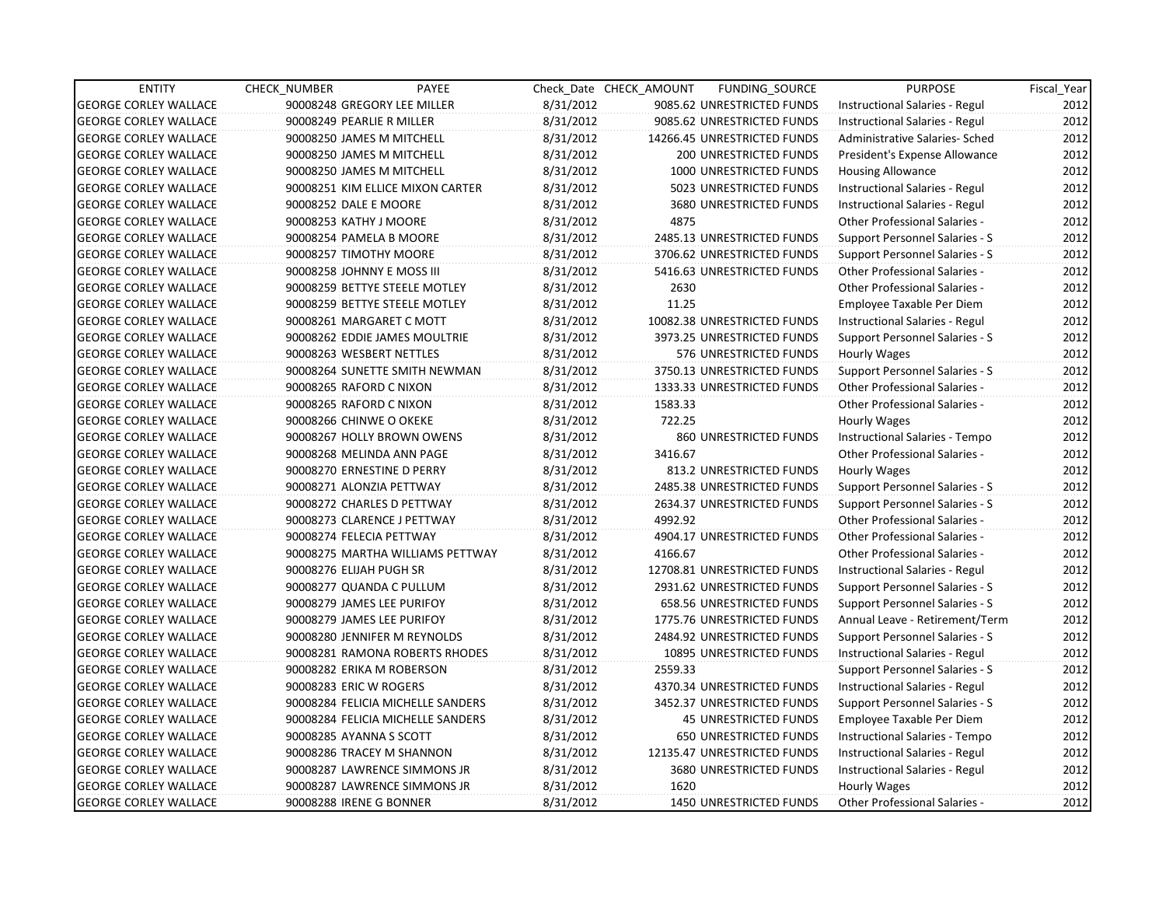| <b>ENTITY</b>                | CHECK_NUMBER               | PAYEE                             |           | Check Date CHECK AMOUNT | FUNDING_SOURCE               | <b>PURPOSE</b>                        | Fiscal_Year |
|------------------------------|----------------------------|-----------------------------------|-----------|-------------------------|------------------------------|---------------------------------------|-------------|
| <b>GEORGE CORLEY WALLACE</b> |                            | 90008248 GREGORY LEE MILLER       | 8/31/2012 |                         | 9085.62 UNRESTRICTED FUNDS   | Instructional Salaries - Regul        | 2012        |
| <b>GEORGE CORLEY WALLACE</b> | 90008249 PEARLIE R MILLER  |                                   | 8/31/2012 |                         | 9085.62 UNRESTRICTED FUNDS   | Instructional Salaries - Regul        | 2012        |
| <b>GEORGE CORLEY WALLACE</b> | 90008250 JAMES M MITCHELL  |                                   | 8/31/2012 |                         | 14266.45 UNRESTRICTED FUNDS  | Administrative Salaries- Sched        | 2012        |
| <b>GEORGE CORLEY WALLACE</b> | 90008250 JAMES M MITCHELL  |                                   | 8/31/2012 |                         | 200 UNRESTRICTED FUNDS       | President's Expense Allowance         | 2012        |
| <b>GEORGE CORLEY WALLACE</b> | 90008250 JAMES M MITCHELL  |                                   | 8/31/2012 |                         | 1000 UNRESTRICTED FUNDS      | <b>Housing Allowance</b>              | 2012        |
| <b>GEORGE CORLEY WALLACE</b> |                            | 90008251 KIM ELLICE MIXON CARTER  | 8/31/2012 |                         | 5023 UNRESTRICTED FUNDS      | Instructional Salaries - Regul        | 2012        |
| <b>GEORGE CORLEY WALLACE</b> | 90008252 DALE E MOORE      |                                   | 8/31/2012 |                         | 3680 UNRESTRICTED FUNDS      | Instructional Salaries - Regul        | 2012        |
| <b>GEORGE CORLEY WALLACE</b> | 90008253 KATHY J MOORE     |                                   | 8/31/2012 | 4875                    |                              | Other Professional Salaries -         | 2012        |
| <b>GEORGE CORLEY WALLACE</b> | 90008254 PAMELA B MOORE    |                                   | 8/31/2012 |                         | 2485.13 UNRESTRICTED FUNDS   | Support Personnel Salaries - S        | 2012        |
| <b>GEORGE CORLEY WALLACE</b> | 90008257 TIMOTHY MOORE     |                                   | 8/31/2012 |                         | 3706.62 UNRESTRICTED FUNDS   | Support Personnel Salaries - S        | 2012        |
| <b>GEORGE CORLEY WALLACE</b> | 90008258 JOHNNY E MOSS III |                                   | 8/31/2012 |                         | 5416.63 UNRESTRICTED FUNDS   | Other Professional Salaries -         | 2012        |
| <b>GEORGE CORLEY WALLACE</b> |                            | 90008259 BETTYE STEELE MOTLEY     | 8/31/2012 | 2630                    |                              | <b>Other Professional Salaries -</b>  | 2012        |
| <b>GEORGE CORLEY WALLACE</b> |                            | 90008259 BETTYE STEELE MOTLEY     | 8/31/2012 | 11.25                   |                              | Employee Taxable Per Diem             | 2012        |
| <b>GEORGE CORLEY WALLACE</b> |                            | 90008261 MARGARET C MOTT          | 8/31/2012 |                         | 10082.38 UNRESTRICTED FUNDS  | Instructional Salaries - Regul        | 2012        |
| <b>GEORGE CORLEY WALLACE</b> |                            | 90008262 EDDIE JAMES MOULTRIE     | 8/31/2012 |                         | 3973.25 UNRESTRICTED FUNDS   | Support Personnel Salaries - S        | 2012        |
| <b>GEORGE CORLEY WALLACE</b> | 90008263 WESBERT NETTLES   |                                   | 8/31/2012 |                         | 576 UNRESTRICTED FUNDS       | Hourly Wages                          | 2012        |
| <b>GEORGE CORLEY WALLACE</b> |                            | 90008264 SUNETTE SMITH NEWMAN     | 8/31/2012 |                         | 3750.13 UNRESTRICTED FUNDS   | <b>Support Personnel Salaries - S</b> | 2012        |
| <b>GEORGE CORLEY WALLACE</b> | 90008265 RAFORD C NIXON    |                                   | 8/31/2012 |                         | 1333.33 UNRESTRICTED FUNDS   | Other Professional Salaries -         | 2012        |
| <b>GEORGE CORLEY WALLACE</b> | 90008265 RAFORD C NIXON    |                                   | 8/31/2012 | 1583.33                 |                              | Other Professional Salaries -         | 2012        |
| <b>GEORGE CORLEY WALLACE</b> | 90008266 CHINWE O OKEKE    |                                   | 8/31/2012 | 722.25                  |                              | Hourly Wages                          | 2012        |
| <b>GEORGE CORLEY WALLACE</b> |                            | 90008267 HOLLY BROWN OWENS        | 8/31/2012 |                         | 860 UNRESTRICTED FUNDS       | Instructional Salaries - Tempo        | 2012        |
| <b>GEORGE CORLEY WALLACE</b> |                            | 90008268 MELINDA ANN PAGE         | 8/31/2012 | 3416.67                 |                              | <b>Other Professional Salaries -</b>  | 2012        |
| <b>GEORGE CORLEY WALLACE</b> |                            | 90008270 ERNESTINE D PERRY        | 8/31/2012 |                         | 813.2 UNRESTRICTED FUNDS     | Hourly Wages                          | 2012        |
| <b>GEORGE CORLEY WALLACE</b> | 90008271 ALONZIA PETTWAY   |                                   | 8/31/2012 |                         | 2485.38 UNRESTRICTED FUNDS   | Support Personnel Salaries - S        | 2012        |
| <b>GEORGE CORLEY WALLACE</b> |                            | 90008272 CHARLES D PETTWAY        | 8/31/2012 |                         | 2634.37 UNRESTRICTED FUNDS   | Support Personnel Salaries - S        | 2012        |
| <b>GEORGE CORLEY WALLACE</b> |                            | 90008273 CLARENCE J PETTWAY       | 8/31/2012 | 4992.92                 |                              | <b>Other Professional Salaries -</b>  | 2012        |
| <b>GEORGE CORLEY WALLACE</b> | 90008274 FELECIA PETTWAY   |                                   | 8/31/2012 |                         | 4904.17 UNRESTRICTED FUNDS   | Other Professional Salaries -         | 2012        |
| <b>GEORGE CORLEY WALLACE</b> |                            | 90008275 MARTHA WILLIAMS PETTWAY  | 8/31/2012 | 4166.67                 |                              | Other Professional Salaries -         | 2012        |
| <b>GEORGE CORLEY WALLACE</b> | 90008276 ELIJAH PUGH SR    |                                   | 8/31/2012 |                         | 12708.81 UNRESTRICTED FUNDS  | Instructional Salaries - Regul        | 2012        |
| <b>GEORGE CORLEY WALLACE</b> | 90008277 QUANDA C PULLUM   |                                   | 8/31/2012 |                         | 2931.62 UNRESTRICTED FUNDS   | Support Personnel Salaries - S        | 2012        |
| <b>GEORGE CORLEY WALLACE</b> | 90008279 JAMES LEE PURIFOY |                                   | 8/31/2012 |                         | 658.56 UNRESTRICTED FUNDS    | Support Personnel Salaries - S        | 2012        |
| <b>GEORGE CORLEY WALLACE</b> | 90008279 JAMES LEE PURIFOY |                                   | 8/31/2012 |                         | 1775.76 UNRESTRICTED FUNDS   | Annual Leave - Retirement/Term        | 2012        |
| <b>GEORGE CORLEY WALLACE</b> |                            | 90008280 JENNIFER M REYNOLDS      | 8/31/2012 |                         | 2484.92 UNRESTRICTED FUNDS   | Support Personnel Salaries - S        | 2012        |
| <b>GEORGE CORLEY WALLACE</b> |                            | 90008281 RAMONA ROBERTS RHODES    | 8/31/2012 |                         | 10895 UNRESTRICTED FUNDS     | Instructional Salaries - Regul        | 2012        |
| <b>GEORGE CORLEY WALLACE</b> |                            | 90008282 ERIKA M ROBERSON         | 8/31/2012 | 2559.33                 |                              | Support Personnel Salaries - S        | 2012        |
| <b>GEORGE CORLEY WALLACE</b> | 90008283 ERIC W ROGERS     |                                   | 8/31/2012 |                         | 4370.34 UNRESTRICTED FUNDS   | Instructional Salaries - Regul        | 2012        |
| <b>GEORGE CORLEY WALLACE</b> |                            | 90008284 FELICIA MICHELLE SANDERS | 8/31/2012 |                         | 3452.37 UNRESTRICTED FUNDS   | Support Personnel Salaries - S        | 2012        |
| <b>GEORGE CORLEY WALLACE</b> |                            | 90008284 FELICIA MICHELLE SANDERS | 8/31/2012 |                         | <b>45 UNRESTRICTED FUNDS</b> | Employee Taxable Per Diem             | 2012        |
| <b>GEORGE CORLEY WALLACE</b> | 90008285 AYANNA S SCOTT    |                                   | 8/31/2012 |                         | 650 UNRESTRICTED FUNDS       | Instructional Salaries - Tempo        | 2012        |
| <b>GEORGE CORLEY WALLACE</b> |                            | 90008286 TRACEY M SHANNON         | 8/31/2012 |                         | 12135.47 UNRESTRICTED FUNDS  | Instructional Salaries - Regul        | 2012        |
| <b>GEORGE CORLEY WALLACE</b> |                            | 90008287 LAWRENCE SIMMONS JR      | 8/31/2012 |                         | 3680 UNRESTRICTED FUNDS      | Instructional Salaries - Regul        | 2012        |
| <b>GEORGE CORLEY WALLACE</b> |                            | 90008287 LAWRENCE SIMMONS JR      | 8/31/2012 | 1620                    |                              | Hourly Wages                          | 2012        |
| <b>GEORGE CORLEY WALLACE</b> | 90008288 IRENE G BONNER    |                                   | 8/31/2012 |                         | 1450 UNRESTRICTED FUNDS      | Other Professional Salaries -         | 2012        |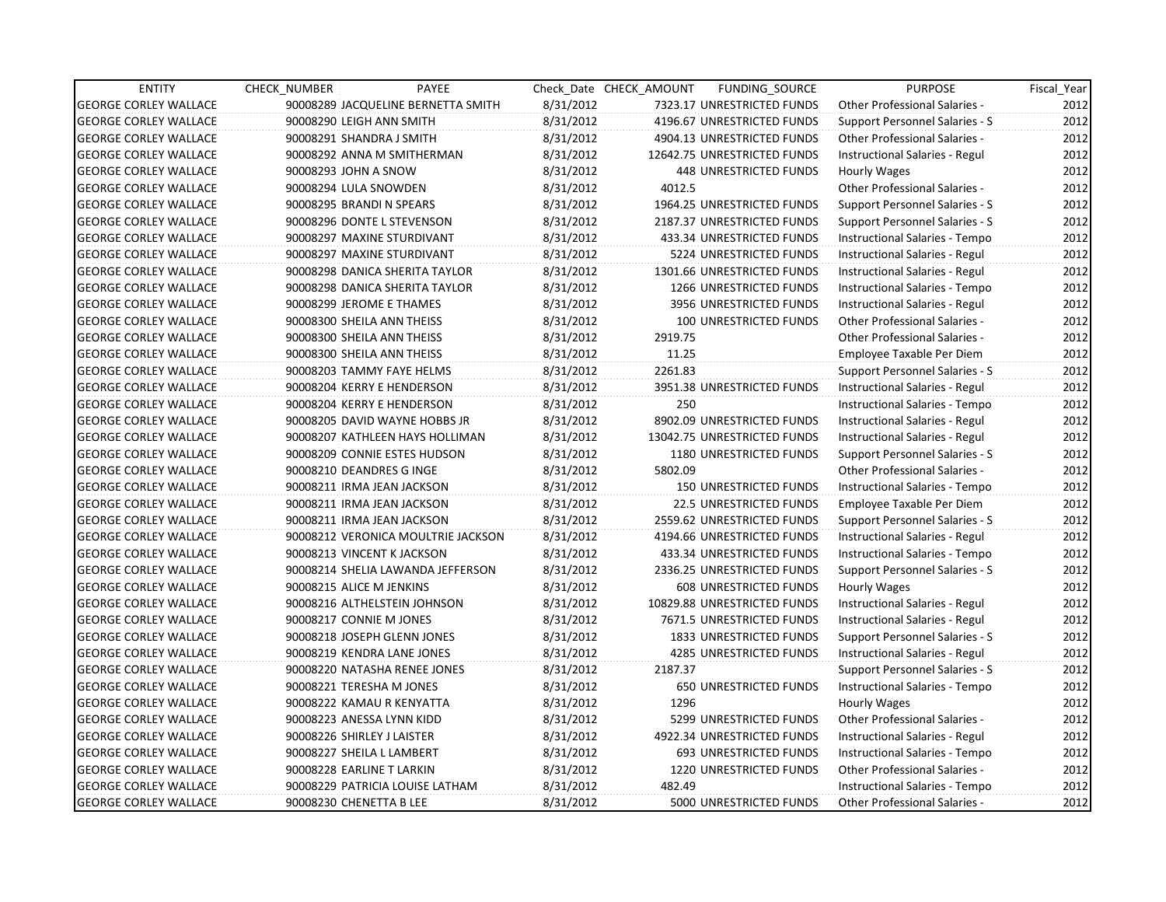| <b>ENTITY</b>                | <b>CHECK NUMBER</b>        | PAYEE                              |           | Check Date CHECK AMOUNT | FUNDING_SOURCE                 | <b>PURPOSE</b>                       | Fiscal_Year |
|------------------------------|----------------------------|------------------------------------|-----------|-------------------------|--------------------------------|--------------------------------------|-------------|
| <b>GEORGE CORLEY WALLACE</b> |                            | 90008289 JACQUELINE BERNETTA SMITH | 8/31/2012 |                         | 7323.17 UNRESTRICTED FUNDS     | Other Professional Salaries -        | 2012        |
| <b>GEORGE CORLEY WALLACE</b> | 90008290 LEIGH ANN SMITH   |                                    | 8/31/2012 |                         | 4196.67 UNRESTRICTED FUNDS     | Support Personnel Salaries - S       | 2012        |
| <b>GEORGE CORLEY WALLACE</b> | 90008291 SHANDRA J SMITH   |                                    | 8/31/2012 |                         | 4904.13 UNRESTRICTED FUNDS     | <b>Other Professional Salaries -</b> | 2012        |
| <b>GEORGE CORLEY WALLACE</b> |                            | 90008292 ANNA M SMITHERMAN         | 8/31/2012 |                         | 12642.75 UNRESTRICTED FUNDS    | Instructional Salaries - Regul       | 2012        |
| <b>GEORGE CORLEY WALLACE</b> | 90008293 JOHN A SNOW       |                                    | 8/31/2012 |                         | 448 UNRESTRICTED FUNDS         | Hourly Wages                         | 2012        |
| <b>GEORGE CORLEY WALLACE</b> | 90008294 LULA SNOWDEN      |                                    | 8/31/2012 | 4012.5                  |                                | <b>Other Professional Salaries -</b> | 2012        |
| <b>GEORGE CORLEY WALLACE</b> | 90008295 BRANDI N SPEARS   |                                    | 8/31/2012 |                         | 1964.25 UNRESTRICTED FUNDS     | Support Personnel Salaries - S       | 2012        |
| <b>GEORGE CORLEY WALLACE</b> |                            | 90008296 DONTE L STEVENSON         | 8/31/2012 |                         | 2187.37 UNRESTRICTED FUNDS     | Support Personnel Salaries - S       | 2012        |
| <b>GEORGE CORLEY WALLACE</b> |                            | 90008297 MAXINE STURDIVANT         | 8/31/2012 |                         | 433.34 UNRESTRICTED FUNDS      | Instructional Salaries - Tempo       | 2012        |
| <b>GEORGE CORLEY WALLACE</b> |                            | 90008297 MAXINE STURDIVANT         | 8/31/2012 |                         | 5224 UNRESTRICTED FUNDS        | Instructional Salaries - Regul       | 2012        |
| <b>GEORGE CORLEY WALLACE</b> |                            | 90008298 DANICA SHERITA TAYLOR     | 8/31/2012 |                         | 1301.66 UNRESTRICTED FUNDS     | Instructional Salaries - Regul       | 2012        |
| <b>GEORGE CORLEY WALLACE</b> |                            | 90008298 DANICA SHERITA TAYLOR     | 8/31/2012 |                         | 1266 UNRESTRICTED FUNDS        | Instructional Salaries - Tempo       | 2012        |
| <b>GEORGE CORLEY WALLACE</b> | 90008299 JEROME E THAMES   |                                    | 8/31/2012 |                         | 3956 UNRESTRICTED FUNDS        | Instructional Salaries - Regul       | 2012        |
| <b>GEORGE CORLEY WALLACE</b> | 90008300 SHEILA ANN THEISS |                                    | 8/31/2012 |                         | <b>100 UNRESTRICTED FUNDS</b>  | <b>Other Professional Salaries -</b> | 2012        |
| <b>GEORGE CORLEY WALLACE</b> | 90008300 SHEILA ANN THEISS |                                    | 8/31/2012 | 2919.75                 |                                | <b>Other Professional Salaries -</b> | 2012        |
| <b>GEORGE CORLEY WALLACE</b> | 90008300 SHEILA ANN THEISS |                                    | 8/31/2012 | 11.25                   |                                | Employee Taxable Per Diem            | 2012        |
| <b>GEORGE CORLEY WALLACE</b> |                            | 90008203 TAMMY FAYE HELMS          | 8/31/2012 | 2261.83                 |                                | Support Personnel Salaries - S       | 2012        |
| <b>GEORGE CORLEY WALLACE</b> |                            | 90008204 KERRY E HENDERSON         | 8/31/2012 |                         | 3951.38 UNRESTRICTED FUNDS     | Instructional Salaries - Regul       | 2012        |
| <b>GEORGE CORLEY WALLACE</b> |                            | 90008204 KERRY E HENDERSON         | 8/31/2012 | 250                     |                                | Instructional Salaries - Tempo       | 2012        |
| <b>GEORGE CORLEY WALLACE</b> |                            | 90008205 DAVID WAYNE HOBBS JR      | 8/31/2012 |                         | 8902.09 UNRESTRICTED FUNDS     | Instructional Salaries - Regul       | 2012        |
| <b>GEORGE CORLEY WALLACE</b> |                            | 90008207 KATHLEEN HAYS HOLLIMAN    | 8/31/2012 |                         | 13042.75 UNRESTRICTED FUNDS    | Instructional Salaries - Regul       | 2012        |
| <b>GEORGE CORLEY WALLACE</b> |                            | 90008209 CONNIE ESTES HUDSON       | 8/31/2012 |                         | 1180 UNRESTRICTED FUNDS        | Support Personnel Salaries - S       | 2012        |
| <b>GEORGE CORLEY WALLACE</b> | 90008210 DEANDRES G INGE   |                                    | 8/31/2012 | 5802.09                 |                                | <b>Other Professional Salaries -</b> | 2012        |
| <b>GEORGE CORLEY WALLACE</b> |                            | 90008211 IRMA JEAN JACKSON         | 8/31/2012 |                         | 150 UNRESTRICTED FUNDS         | Instructional Salaries - Tempo       | 2012        |
| <b>GEORGE CORLEY WALLACE</b> |                            | 90008211 IRMA JEAN JACKSON         | 8/31/2012 |                         | <b>22.5 UNRESTRICTED FUNDS</b> | Employee Taxable Per Diem            | 2012        |
| <b>GEORGE CORLEY WALLACE</b> |                            | 90008211 IRMA JEAN JACKSON         | 8/31/2012 |                         | 2559.62 UNRESTRICTED FUNDS     | Support Personnel Salaries - S       | 2012        |
| <b>GEORGE CORLEY WALLACE</b> |                            | 90008212 VERONICA MOULTRIE JACKSON | 8/31/2012 |                         | 4194.66 UNRESTRICTED FUNDS     | Instructional Salaries - Regul       | 2012        |
| <b>GEORGE CORLEY WALLACE</b> |                            | 90008213 VINCENT K JACKSON         | 8/31/2012 |                         | 433.34 UNRESTRICTED FUNDS      | Instructional Salaries - Tempo       | 2012        |
| <b>GEORGE CORLEY WALLACE</b> |                            | 90008214 SHELIA LAWANDA JEFFERSON  | 8/31/2012 |                         | 2336.25 UNRESTRICTED FUNDS     | Support Personnel Salaries - S       | 2012        |
| <b>GEORGE CORLEY WALLACE</b> | 90008215 ALICE M JENKINS   |                                    | 8/31/2012 |                         | 608 UNRESTRICTED FUNDS         | Hourly Wages                         | 2012        |
| <b>GEORGE CORLEY WALLACE</b> |                            | 90008216 ALTHELSTEIN JOHNSON       | 8/31/2012 |                         | 10829.88 UNRESTRICTED FUNDS    | Instructional Salaries - Regul       | 2012        |
| <b>GEORGE CORLEY WALLACE</b> | 90008217 CONNIE M JONES    |                                    | 8/31/2012 |                         | 7671.5 UNRESTRICTED FUNDS      | Instructional Salaries - Regul       | 2012        |
| <b>GEORGE CORLEY WALLACE</b> |                            | 90008218 JOSEPH GLENN JONES        | 8/31/2012 |                         | <b>1833 UNRESTRICTED FUNDS</b> | Support Personnel Salaries - S       | 2012        |
| <b>GEORGE CORLEY WALLACE</b> |                            | 90008219 KENDRA LANE JONES         | 8/31/2012 |                         | 4285 UNRESTRICTED FUNDS        | Instructional Salaries - Regul       | 2012        |
| <b>GEORGE CORLEY WALLACE</b> |                            | 90008220 NATASHA RENEE JONES       | 8/31/2012 | 2187.37                 |                                | Support Personnel Salaries - S       | 2012        |
| <b>GEORGE CORLEY WALLACE</b> | 90008221 TERESHA M JONES   |                                    | 8/31/2012 |                         | <b>650 UNRESTRICTED FUNDS</b>  | Instructional Salaries - Tempo       | 2012        |
| <b>GEORGE CORLEY WALLACE</b> |                            | 90008222 KAMAU R KENYATTA          | 8/31/2012 | 1296                    |                                | Hourly Wages                         | 2012        |
| <b>GEORGE CORLEY WALLACE</b> | 90008223 ANESSA LYNN KIDD  |                                    | 8/31/2012 |                         | 5299 UNRESTRICTED FUNDS        | Other Professional Salaries -        | 2012        |
| <b>GEORGE CORLEY WALLACE</b> | 90008226 SHIRLEY J LAISTER |                                    | 8/31/2012 |                         | 4922.34 UNRESTRICTED FUNDS     | Instructional Salaries - Regul       | 2012        |
| <b>GEORGE CORLEY WALLACE</b> | 90008227 SHEILA L LAMBERT  |                                    | 8/31/2012 |                         | 693 UNRESTRICTED FUNDS         | Instructional Salaries - Tempo       | 2012        |
| <b>GEORGE CORLEY WALLACE</b> | 90008228 EARLINE T LARKIN  |                                    | 8/31/2012 |                         | 1220 UNRESTRICTED FUNDS        | Other Professional Salaries -        | 2012        |
| <b>GEORGE CORLEY WALLACE</b> |                            | 90008229 PATRICIA LOUISE LATHAM    | 8/31/2012 | 482.49                  |                                | Instructional Salaries - Tempo       | 2012        |
| <b>GEORGE CORLEY WALLACE</b> | 90008230 CHENETTA B LEE    |                                    | 8/31/2012 |                         | 5000 UNRESTRICTED FUNDS        | Other Professional Salaries -        | 2012        |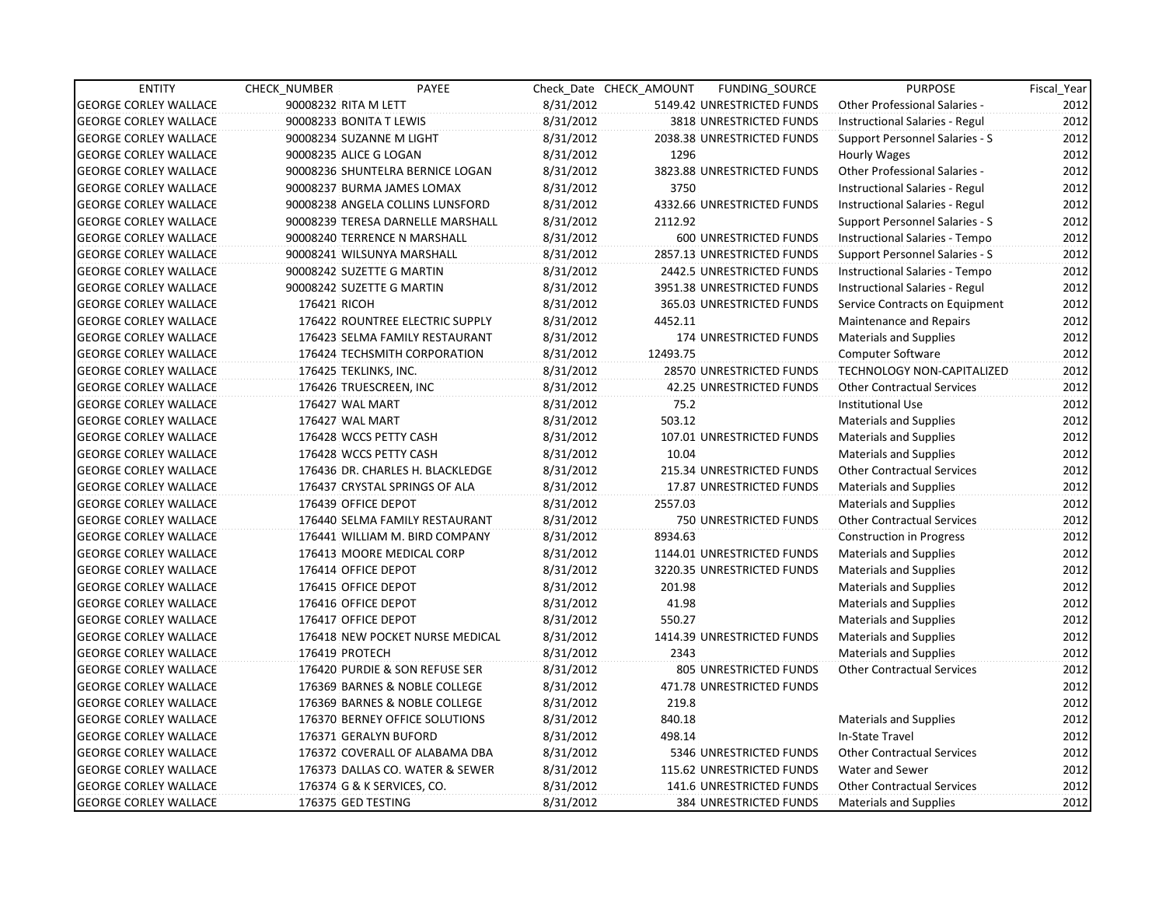| <b>ENTITY</b>                | CHECK NUMBER             | PAYEE                             |           | Check Date CHECK AMOUNT | FUNDING_SOURCE                | <b>PURPOSE</b>                       | Fiscal Year |
|------------------------------|--------------------------|-----------------------------------|-----------|-------------------------|-------------------------------|--------------------------------------|-------------|
| <b>GEORGE CORLEY WALLACE</b> | 90008232 RITA M LETT     |                                   | 8/31/2012 |                         | 5149.42 UNRESTRICTED FUNDS    | <b>Other Professional Salaries -</b> | 2012        |
| <b>GEORGE CORLEY WALLACE</b> | 90008233 BONITA T LEWIS  |                                   | 8/31/2012 |                         | 3818 UNRESTRICTED FUNDS       | Instructional Salaries - Regul       | 2012        |
| <b>GEORGE CORLEY WALLACE</b> | 90008234 SUZANNE M LIGHT |                                   | 8/31/2012 |                         | 2038.38 UNRESTRICTED FUNDS    | Support Personnel Salaries - S       | 2012        |
| <b>GEORGE CORLEY WALLACE</b> | 90008235 ALICE G LOGAN   |                                   | 8/31/2012 | 1296                    |                               | Hourly Wages                         | 2012        |
| <b>GEORGE CORLEY WALLACE</b> |                          | 90008236 SHUNTELRA BERNICE LOGAN  | 8/31/2012 |                         | 3823.88 UNRESTRICTED FUNDS    | <b>Other Professional Salaries -</b> | 2012        |
| <b>GEORGE CORLEY WALLACE</b> |                          | 90008237 BURMA JAMES LOMAX        | 8/31/2012 | 3750                    |                               | Instructional Salaries - Regul       | 2012        |
| <b>GEORGE CORLEY WALLACE</b> |                          | 90008238 ANGELA COLLINS LUNSFORD  | 8/31/2012 |                         | 4332.66 UNRESTRICTED FUNDS    | Instructional Salaries - Regul       | 2012        |
| <b>GEORGE CORLEY WALLACE</b> |                          | 90008239 TERESA DARNELLE MARSHALL | 8/31/2012 | 2112.92                 |                               | Support Personnel Salaries - S       | 2012        |
| <b>GEORGE CORLEY WALLACE</b> |                          | 90008240 TERRENCE N MARSHALL      | 8/31/2012 |                         | 600 UNRESTRICTED FUNDS        | Instructional Salaries - Tempo       | 2012        |
| <b>GEORGE CORLEY WALLACE</b> |                          | 90008241 WILSUNYA MARSHALL        | 8/31/2012 |                         | 2857.13 UNRESTRICTED FUNDS    | Support Personnel Salaries - S       | 2012        |
| <b>GEORGE CORLEY WALLACE</b> |                          | 90008242 SUZETTE G MARTIN         | 8/31/2012 |                         | 2442.5 UNRESTRICTED FUNDS     | Instructional Salaries - Tempo       | 2012        |
| <b>GEORGE CORLEY WALLACE</b> |                          | 90008242 SUZETTE G MARTIN         | 8/31/2012 |                         | 3951.38 UNRESTRICTED FUNDS    | Instructional Salaries - Regul       | 2012        |
| <b>GEORGE CORLEY WALLACE</b> | 176421 RICOH             |                                   | 8/31/2012 |                         | 365.03 UNRESTRICTED FUNDS     | Service Contracts on Equipment       | 2012        |
| <b>GEORGE CORLEY WALLACE</b> |                          | 176422 ROUNTREE ELECTRIC SUPPLY   | 8/31/2012 | 4452.11                 |                               | Maintenance and Repairs              | 2012        |
| <b>GEORGE CORLEY WALLACE</b> |                          | 176423 SELMA FAMILY RESTAURANT    | 8/31/2012 |                         | 174 UNRESTRICTED FUNDS        | <b>Materials and Supplies</b>        | 2012        |
| <b>GEORGE CORLEY WALLACE</b> |                          | 176424 TECHSMITH CORPORATION      | 8/31/2012 | 12493.75                |                               | <b>Computer Software</b>             | 2012        |
| <b>GEORGE CORLEY WALLACE</b> | 176425 TEKLINKS, INC.    |                                   | 8/31/2012 |                         | 28570 UNRESTRICTED FUNDS      | TECHNOLOGY NON-CAPITALIZED           | 2012        |
| <b>GEORGE CORLEY WALLACE</b> |                          | 176426 TRUESCREEN, INC            | 8/31/2012 |                         | 42.25 UNRESTRICTED FUNDS      | <b>Other Contractual Services</b>    | 2012        |
| <b>GEORGE CORLEY WALLACE</b> | 176427 WAL MART          |                                   | 8/31/2012 | 75.2                    |                               | <b>Institutional Use</b>             | 2012        |
| <b>GEORGE CORLEY WALLACE</b> | 176427 WAL MART          |                                   | 8/31/2012 | 503.12                  |                               | <b>Materials and Supplies</b>        | 2012        |
| <b>GEORGE CORLEY WALLACE</b> |                          | 176428 WCCS PETTY CASH            | 8/31/2012 |                         | 107.01 UNRESTRICTED FUNDS     | <b>Materials and Supplies</b>        | 2012        |
| <b>GEORGE CORLEY WALLACE</b> |                          | 176428 WCCS PETTY CASH            | 8/31/2012 | 10.04                   |                               | <b>Materials and Supplies</b>        | 2012        |
| <b>GEORGE CORLEY WALLACE</b> |                          | 176436 DR. CHARLES H. BLACKLEDGE  | 8/31/2012 |                         | 215.34 UNRESTRICTED FUNDS     | <b>Other Contractual Services</b>    | 2012        |
| <b>GEORGE CORLEY WALLACE</b> |                          | 176437 CRYSTAL SPRINGS OF ALA     | 8/31/2012 |                         | 17.87 UNRESTRICTED FUNDS      | <b>Materials and Supplies</b>        | 2012        |
| <b>GEORGE CORLEY WALLACE</b> | 176439 OFFICE DEPOT      |                                   | 8/31/2012 | 2557.03                 |                               | <b>Materials and Supplies</b>        | 2012        |
| <b>GEORGE CORLEY WALLACE</b> |                          | 176440 SELMA FAMILY RESTAURANT    | 8/31/2012 |                         | 750 UNRESTRICTED FUNDS        | <b>Other Contractual Services</b>    | 2012        |
| <b>GEORGE CORLEY WALLACE</b> |                          | 176441 WILLIAM M. BIRD COMPANY    | 8/31/2012 | 8934.63                 |                               | Construction in Progress             | 2012        |
| <b>GEORGE CORLEY WALLACE</b> |                          | 176413 MOORE MEDICAL CORP         | 8/31/2012 |                         | 1144.01 UNRESTRICTED FUNDS    | <b>Materials and Supplies</b>        | 2012        |
| <b>GEORGE CORLEY WALLACE</b> | 176414 OFFICE DEPOT      |                                   | 8/31/2012 |                         | 3220.35 UNRESTRICTED FUNDS    | <b>Materials and Supplies</b>        | 2012        |
| <b>GEORGE CORLEY WALLACE</b> | 176415 OFFICE DEPOT      |                                   | 8/31/2012 | 201.98                  |                               | <b>Materials and Supplies</b>        | 2012        |
| <b>GEORGE CORLEY WALLACE</b> | 176416 OFFICE DEPOT      |                                   | 8/31/2012 | 41.98                   |                               | <b>Materials and Supplies</b>        | 2012        |
| <b>GEORGE CORLEY WALLACE</b> | 176417 OFFICE DEPOT      |                                   | 8/31/2012 | 550.27                  |                               | <b>Materials and Supplies</b>        | 2012        |
| <b>GEORGE CORLEY WALLACE</b> |                          | 176418 NEW POCKET NURSE MEDICAL   | 8/31/2012 |                         | 1414.39 UNRESTRICTED FUNDS    | <b>Materials and Supplies</b>        | 2012        |
| <b>GEORGE CORLEY WALLACE</b> | 176419 PROTECH           |                                   | 8/31/2012 | 2343                    |                               | <b>Materials and Supplies</b>        | 2012        |
| <b>GEORGE CORLEY WALLACE</b> |                          | 176420 PURDIE & SON REFUSE SER    | 8/31/2012 |                         | 805 UNRESTRICTED FUNDS        | <b>Other Contractual Services</b>    | 2012        |
| <b>GEORGE CORLEY WALLACE</b> |                          | 176369 BARNES & NOBLE COLLEGE     | 8/31/2012 |                         | 471.78 UNRESTRICTED FUNDS     |                                      | 2012        |
| <b>GEORGE CORLEY WALLACE</b> |                          | 176369 BARNES & NOBLE COLLEGE     | 8/31/2012 | 219.8                   |                               |                                      | 2012        |
| <b>GEORGE CORLEY WALLACE</b> |                          | 176370 BERNEY OFFICE SOLUTIONS    | 8/31/2012 | 840.18                  |                               | <b>Materials and Supplies</b>        | 2012        |
| <b>GEORGE CORLEY WALLACE</b> |                          | 176371 GERALYN BUFORD             | 8/31/2012 | 498.14                  |                               | In-State Travel                      | 2012        |
| <b>GEORGE CORLEY WALLACE</b> |                          | 176372 COVERALL OF ALABAMA DBA    | 8/31/2012 |                         | 5346 UNRESTRICTED FUNDS       | <b>Other Contractual Services</b>    | 2012        |
| <b>GEORGE CORLEY WALLACE</b> |                          | 176373 DALLAS CO. WATER & SEWER   | 8/31/2012 |                         | 115.62 UNRESTRICTED FUNDS     | Water and Sewer                      | 2012        |
| <b>GEORGE CORLEY WALLACE</b> |                          | 176374 G & K SERVICES, CO.        | 8/31/2012 |                         | 141.6 UNRESTRICTED FUNDS      | <b>Other Contractual Services</b>    | 2012        |
| <b>GEORGE CORLEY WALLACE</b> | 176375 GED TESTING       |                                   | 8/31/2012 |                         | <b>384 UNRESTRICTED FUNDS</b> | Materials and Supplies               | 2012        |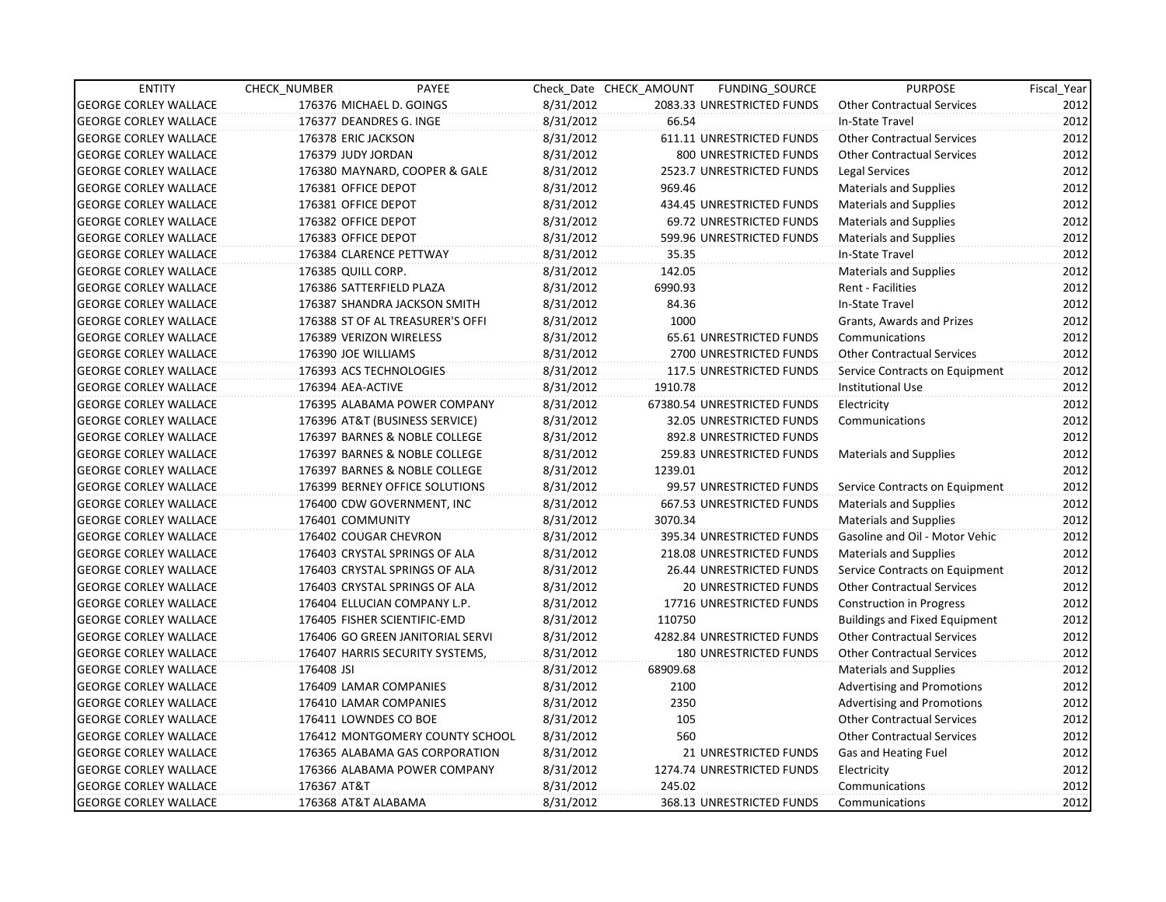| <b>ENTITY</b>                | CHECK NUMBER             | PAYEE                            |           | Check Date CHECK AMOUNT | FUNDING_SOURCE                | <b>PURPOSE</b>                       | Fiscal_Year |
|------------------------------|--------------------------|----------------------------------|-----------|-------------------------|-------------------------------|--------------------------------------|-------------|
| <b>GEORGE CORLEY WALLACE</b> | 176376 MICHAEL D. GOINGS |                                  | 8/31/2012 |                         | 2083.33 UNRESTRICTED FUNDS    | <b>Other Contractual Services</b>    | 2012        |
| <b>GEORGE CORLEY WALLACE</b> | 176377 DEANDRES G. INGE  |                                  | 8/31/2012 | 66.54                   |                               | In-State Travel                      | 2012        |
| <b>GEORGE CORLEY WALLACE</b> | 176378 ERIC JACKSON      |                                  | 8/31/2012 |                         | 611.11 UNRESTRICTED FUNDS     | <b>Other Contractual Services</b>    | 2012        |
| <b>GEORGE CORLEY WALLACE</b> | 176379 JUDY JORDAN       |                                  | 8/31/2012 |                         | 800 UNRESTRICTED FUNDS        | <b>Other Contractual Services</b>    | 2012        |
| <b>GEORGE CORLEY WALLACE</b> |                          | 176380 MAYNARD, COOPER & GALE    | 8/31/2012 |                         | 2523.7 UNRESTRICTED FUNDS     | Legal Services                       | 2012        |
| <b>GEORGE CORLEY WALLACE</b> | 176381 OFFICE DEPOT      |                                  | 8/31/2012 | 969.46                  |                               | Materials and Supplies               | 2012        |
| <b>GEORGE CORLEY WALLACE</b> | 176381 OFFICE DEPOT      |                                  | 8/31/2012 |                         | 434.45 UNRESTRICTED FUNDS     | Materials and Supplies               | 2012        |
| <b>GEORGE CORLEY WALLACE</b> | 176382 OFFICE DEPOT      |                                  | 8/31/2012 |                         | 69.72 UNRESTRICTED FUNDS      | <b>Materials and Supplies</b>        | 2012        |
| <b>GEORGE CORLEY WALLACE</b> | 176383 OFFICE DEPOT      |                                  | 8/31/2012 |                         | 599.96 UNRESTRICTED FUNDS     | <b>Materials and Supplies</b>        | 2012        |
| <b>GEORGE CORLEY WALLACE</b> | 176384 CLARENCE PETTWAY  |                                  | 8/31/2012 | 35.35                   |                               | In-State Travel                      | 2012        |
| <b>GEORGE CORLEY WALLACE</b> | 176385 QUILL CORP.       |                                  | 8/31/2012 | 142.05                  |                               | <b>Materials and Supplies</b>        | 2012        |
| <b>GEORGE CORLEY WALLACE</b> | 176386 SATTERFIELD PLAZA |                                  | 8/31/2012 | 6990.93                 |                               | Rent - Facilities                    | 2012        |
| <b>GEORGE CORLEY WALLACE</b> |                          | 176387 SHANDRA JACKSON SMITH     | 8/31/2012 | 84.36                   |                               | In-State Travel                      | 2012        |
| <b>GEORGE CORLEY WALLACE</b> |                          | 176388 ST OF AL TREASURER'S OFFI | 8/31/2012 | 1000                    |                               | Grants, Awards and Prizes            | 2012        |
| <b>GEORGE CORLEY WALLACE</b> | 176389 VERIZON WIRELESS  |                                  | 8/31/2012 |                         | 65.61 UNRESTRICTED FUNDS      | Communications                       | 2012        |
| <b>GEORGE CORLEY WALLACE</b> | 176390 JOE WILLIAMS      |                                  | 8/31/2012 |                         | 2700 UNRESTRICTED FUNDS       | <b>Other Contractual Services</b>    | 2012        |
| <b>GEORGE CORLEY WALLACE</b> | 176393 ACS TECHNOLOGIES  |                                  | 8/31/2012 |                         | 117.5 UNRESTRICTED FUNDS      | Service Contracts on Equipment       | 2012        |
| <b>GEORGE CORLEY WALLACE</b> | 176394 AEA-ACTIVE        |                                  | 8/31/2012 | 1910.78                 |                               | Institutional Use                    | 2012        |
| <b>GEORGE CORLEY WALLACE</b> |                          | 176395 ALABAMA POWER COMPANY     | 8/31/2012 |                         | 67380.54 UNRESTRICTED FUNDS   | Electricity                          | 2012        |
| <b>GEORGE CORLEY WALLACE</b> |                          | 176396 AT&T (BUSINESS SERVICE)   | 8/31/2012 |                         | 32.05 UNRESTRICTED FUNDS      | Communications                       | 2012        |
| <b>GEORGE CORLEY WALLACE</b> |                          | 176397 BARNES & NOBLE COLLEGE    | 8/31/2012 |                         | 892.8 UNRESTRICTED FUNDS      |                                      | 2012        |
| <b>GEORGE CORLEY WALLACE</b> |                          | 176397 BARNES & NOBLE COLLEGE    | 8/31/2012 |                         | 259.83 UNRESTRICTED FUNDS     | Materials and Supplies               | 2012        |
| <b>GEORGE CORLEY WALLACE</b> |                          | 176397 BARNES & NOBLE COLLEGE    | 8/31/2012 | 1239.01                 |                               |                                      | 2012        |
| <b>GEORGE CORLEY WALLACE</b> |                          | 176399 BERNEY OFFICE SOLUTIONS   | 8/31/2012 |                         | 99.57 UNRESTRICTED FUNDS      | Service Contracts on Equipment       | 2012        |
| <b>GEORGE CORLEY WALLACE</b> |                          | 176400 CDW GOVERNMENT, INC       | 8/31/2012 |                         | 667.53 UNRESTRICTED FUNDS     | <b>Materials and Supplies</b>        | 2012        |
| <b>GEORGE CORLEY WALLACE</b> | 176401 COMMUNITY         |                                  | 8/31/2012 | 3070.34                 |                               | <b>Materials and Supplies</b>        | 2012        |
| <b>GEORGE CORLEY WALLACE</b> | 176402 COUGAR CHEVRON    |                                  | 8/31/2012 |                         | 395.34 UNRESTRICTED FUNDS     | Gasoline and Oil - Motor Vehic       | 2012        |
| <b>GEORGE CORLEY WALLACE</b> |                          | 176403 CRYSTAL SPRINGS OF ALA    | 8/31/2012 |                         | 218.08 UNRESTRICTED FUNDS     | <b>Materials and Supplies</b>        | 2012        |
| <b>GEORGE CORLEY WALLACE</b> |                          | 176403 CRYSTAL SPRINGS OF ALA    | 8/31/2012 |                         | 26.44 UNRESTRICTED FUNDS      | Service Contracts on Equipment       | 2012        |
| <b>GEORGE CORLEY WALLACE</b> |                          | 176403 CRYSTAL SPRINGS OF ALA    | 8/31/2012 |                         | <b>20 UNRESTRICTED FUNDS</b>  | <b>Other Contractual Services</b>    | 2012        |
| <b>GEORGE CORLEY WALLACE</b> |                          | 176404 ELLUCIAN COMPANY L.P.     | 8/31/2012 |                         | 17716 UNRESTRICTED FUNDS      | <b>Construction in Progress</b>      | 2012        |
| <b>GEORGE CORLEY WALLACE</b> |                          | 176405 FISHER SCIENTIFIC-EMD     | 8/31/2012 | 110750                  |                               | <b>Buildings and Fixed Equipment</b> | 2012        |
| <b>GEORGE CORLEY WALLACE</b> |                          | 176406 GO GREEN JANITORIAL SERVI | 8/31/2012 |                         | 4282.84 UNRESTRICTED FUNDS    | <b>Other Contractual Services</b>    | 2012        |
| <b>GEORGE CORLEY WALLACE</b> |                          | 176407 HARRIS SECURITY SYSTEMS,  | 8/31/2012 |                         | <b>180 UNRESTRICTED FUNDS</b> | <b>Other Contractual Services</b>    | 2012        |
| <b>GEORGE CORLEY WALLACE</b> | 176408 JSI               |                                  | 8/31/2012 | 68909.68                |                               | Materials and Supplies               | 2012        |
| <b>GEORGE CORLEY WALLACE</b> | 176409 LAMAR COMPANIES   |                                  | 8/31/2012 | 2100                    |                               | <b>Advertising and Promotions</b>    | 2012        |
| <b>GEORGE CORLEY WALLACE</b> | 176410 LAMAR COMPANIES   |                                  | 8/31/2012 | 2350                    |                               | <b>Advertising and Promotions</b>    | 2012        |
| <b>GEORGE CORLEY WALLACE</b> | 176411 LOWNDES CO BOE    |                                  | 8/31/2012 | 105                     |                               | <b>Other Contractual Services</b>    | 2012        |
| <b>GEORGE CORLEY WALLACE</b> |                          | 176412 MONTGOMERY COUNTY SCHOOL  | 8/31/2012 | 560                     |                               | <b>Other Contractual Services</b>    | 2012        |
| <b>GEORGE CORLEY WALLACE</b> |                          | 176365 ALABAMA GAS CORPORATION   | 8/31/2012 |                         | 21 UNRESTRICTED FUNDS         | Gas and Heating Fuel                 | 2012        |
| <b>GEORGE CORLEY WALLACE</b> |                          | 176366 ALABAMA POWER COMPANY     | 8/31/2012 |                         | 1274.74 UNRESTRICTED FUNDS    | Electricity                          | 2012        |
| <b>GEORGE CORLEY WALLACE</b> | 176367 AT&T              |                                  | 8/31/2012 | 245.02                  |                               | Communications                       | 2012        |
| <b>GEORGE CORLEY WALLACE</b> | 176368 AT&T ALABAMA      |                                  | 8/31/2012 |                         | 368.13 UNRESTRICTED FUNDS     | Communications                       | 2012        |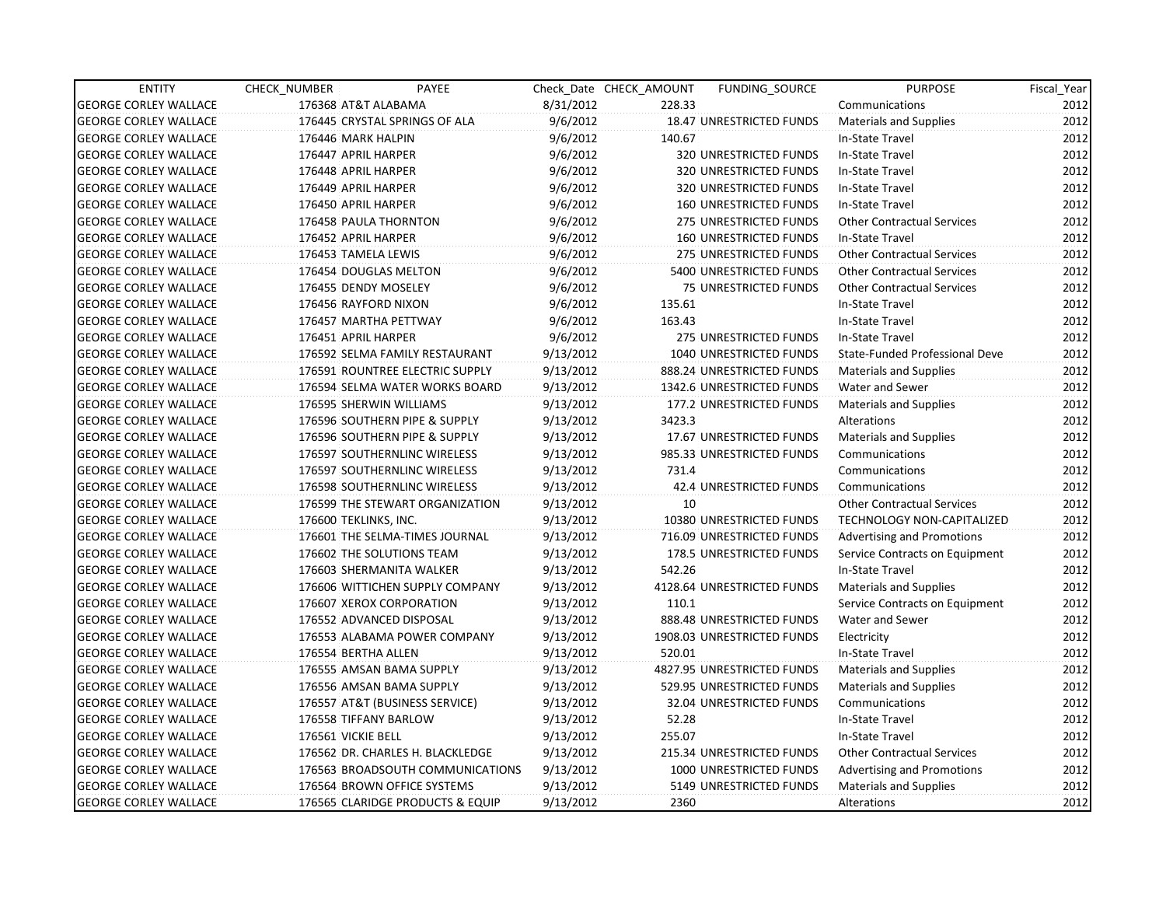| <b>ENTITY</b>                | CHECK NUMBER          | PAYEE                               |           | Check Date CHECK AMOUNT | FUNDING_SOURCE                 | <b>PURPOSE</b>                    | Fiscal_Year |
|------------------------------|-----------------------|-------------------------------------|-----------|-------------------------|--------------------------------|-----------------------------------|-------------|
| <b>GEORGE CORLEY WALLACE</b> | 176368 AT&T ALABAMA   |                                     | 8/31/2012 | 228.33                  |                                | Communications                    | 2012        |
| <b>GEORGE CORLEY WALLACE</b> |                       | 176445 CRYSTAL SPRINGS OF ALA       | 9/6/2012  |                         | 18.47 UNRESTRICTED FUNDS       | Materials and Supplies            | 2012        |
| <b>GEORGE CORLEY WALLACE</b> | 176446 MARK HALPIN    |                                     | 9/6/2012  | 140.67                  |                                | In-State Travel                   | 2012        |
| <b>GEORGE CORLEY WALLACE</b> | 176447 APRIL HARPER   |                                     | 9/6/2012  |                         | 320 UNRESTRICTED FUNDS         | In-State Travel                   | 2012        |
| <b>GEORGE CORLEY WALLACE</b> | 176448 APRIL HARPER   |                                     | 9/6/2012  |                         | 320 UNRESTRICTED FUNDS         | In-State Travel                   | 2012        |
| <b>GEORGE CORLEY WALLACE</b> | 176449 APRIL HARPER   |                                     | 9/6/2012  |                         | 320 UNRESTRICTED FUNDS         | In-State Travel                   | 2012        |
| <b>GEORGE CORLEY WALLACE</b> | 176450 APRIL HARPER   |                                     | 9/6/2012  |                         | <b>160 UNRESTRICTED FUNDS</b>  | In-State Travel                   | 2012        |
| <b>GEORGE CORLEY WALLACE</b> | 176458 PAULA THORNTON |                                     | 9/6/2012  |                         | 275 UNRESTRICTED FUNDS         | <b>Other Contractual Services</b> | 2012        |
| <b>GEORGE CORLEY WALLACE</b> | 176452 APRIL HARPER   |                                     | 9/6/2012  |                         | <b>160 UNRESTRICTED FUNDS</b>  | In-State Travel                   | 2012        |
| <b>GEORGE CORLEY WALLACE</b> | 176453 TAMELA LEWIS   |                                     | 9/6/2012  |                         | 275 UNRESTRICTED FUNDS         | <b>Other Contractual Services</b> | 2012        |
| <b>GEORGE CORLEY WALLACE</b> | 176454 DOUGLAS MELTON |                                     | 9/6/2012  |                         | 5400 UNRESTRICTED FUNDS        | <b>Other Contractual Services</b> | 2012        |
| <b>GEORGE CORLEY WALLACE</b> | 176455 DENDY MOSELEY  |                                     | 9/6/2012  |                         | 75 UNRESTRICTED FUNDS          | <b>Other Contractual Services</b> | 2012        |
| <b>GEORGE CORLEY WALLACE</b> | 176456 RAYFORD NIXON  |                                     | 9/6/2012  | 135.61                  |                                | In-State Travel                   | 2012        |
| <b>GEORGE CORLEY WALLACE</b> | 176457 MARTHA PETTWAY |                                     | 9/6/2012  | 163.43                  |                                | In-State Travel                   | 2012        |
| <b>GEORGE CORLEY WALLACE</b> | 176451 APRIL HARPER   |                                     | 9/6/2012  |                         | 275 UNRESTRICTED FUNDS         | In-State Travel                   | 2012        |
| <b>GEORGE CORLEY WALLACE</b> |                       | 176592 SELMA FAMILY RESTAURANT      | 9/13/2012 |                         | <b>1040 UNRESTRICTED FUNDS</b> | State-Funded Professional Deve    | 2012        |
| <b>GEORGE CORLEY WALLACE</b> |                       | 176591 ROUNTREE ELECTRIC SUPPLY     | 9/13/2012 |                         | 888.24 UNRESTRICTED FUNDS      | Materials and Supplies            | 2012        |
| <b>GEORGE CORLEY WALLACE</b> |                       | 176594 SELMA WATER WORKS BOARD      | 9/13/2012 |                         | 1342.6 UNRESTRICTED FUNDS      | Water and Sewer                   | 2012        |
| <b>GEORGE CORLEY WALLACE</b> |                       | 176595 SHERWIN WILLIAMS             | 9/13/2012 |                         | 177.2 UNRESTRICTED FUNDS       | Materials and Supplies            | 2012        |
| <b>GEORGE CORLEY WALLACE</b> |                       | 176596 SOUTHERN PIPE & SUPPLY       | 9/13/2012 | 3423.3                  |                                | Alterations                       | 2012        |
| <b>GEORGE CORLEY WALLACE</b> |                       | 176596 SOUTHERN PIPE & SUPPLY       | 9/13/2012 |                         | 17.67 UNRESTRICTED FUNDS       | Materials and Supplies            | 2012        |
| <b>GEORGE CORLEY WALLACE</b> |                       | 176597 SOUTHERNLINC WIRELESS        | 9/13/2012 |                         | 985.33 UNRESTRICTED FUNDS      | Communications                    | 2012        |
| <b>GEORGE CORLEY WALLACE</b> |                       | 176597 SOUTHERNLINC WIRELESS        | 9/13/2012 | 731.4                   |                                | Communications                    | 2012        |
| <b>GEORGE CORLEY WALLACE</b> |                       | <b>176598 SOUTHERNLINC WIRELESS</b> | 9/13/2012 |                         | 42.4 UNRESTRICTED FUNDS        | Communications                    | 2012        |
| <b>GEORGE CORLEY WALLACE</b> |                       | 176599 THE STEWART ORGANIZATION     | 9/13/2012 | 10                      |                                | <b>Other Contractual Services</b> | 2012        |
| <b>GEORGE CORLEY WALLACE</b> | 176600 TEKLINKS, INC. |                                     | 9/13/2012 |                         | 10380 UNRESTRICTED FUNDS       | <b>TECHNOLOGY NON-CAPITALIZED</b> | 2012        |
| <b>GEORGE CORLEY WALLACE</b> |                       | 176601 THE SELMA-TIMES JOURNAL      | 9/13/2012 |                         | 716.09 UNRESTRICTED FUNDS      | Advertising and Promotions        | 2012        |
| <b>GEORGE CORLEY WALLACE</b> |                       | 176602 THE SOLUTIONS TEAM           | 9/13/2012 |                         | 178.5 UNRESTRICTED FUNDS       | Service Contracts on Equipment    | 2012        |
| <b>GEORGE CORLEY WALLACE</b> |                       | 176603 SHERMANITA WALKER            | 9/13/2012 | 542.26                  |                                | In-State Travel                   | 2012        |
| <b>GEORGE CORLEY WALLACE</b> |                       | 176606 WITTICHEN SUPPLY COMPANY     | 9/13/2012 |                         | 4128.64 UNRESTRICTED FUNDS     | <b>Materials and Supplies</b>     | 2012        |
| <b>GEORGE CORLEY WALLACE</b> |                       | 176607 XEROX CORPORATION            | 9/13/2012 | 110.1                   |                                | Service Contracts on Equipment    | 2012        |
| <b>GEORGE CORLEY WALLACE</b> |                       | 176552 ADVANCED DISPOSAL            | 9/13/2012 |                         | 888.48 UNRESTRICTED FUNDS      | Water and Sewer                   | 2012        |
| <b>GEORGE CORLEY WALLACE</b> |                       | 176553 ALABAMA POWER COMPANY        | 9/13/2012 |                         | 1908.03 UNRESTRICTED FUNDS     | Electricity                       | 2012        |
| <b>GEORGE CORLEY WALLACE</b> | 176554 BERTHA ALLEN   |                                     | 9/13/2012 | 520.01                  |                                | In-State Travel                   | 2012        |
| <b>GEORGE CORLEY WALLACE</b> |                       | 176555 AMSAN BAMA SUPPLY            | 9/13/2012 |                         | 4827.95 UNRESTRICTED FUNDS     | Materials and Supplies            | 2012        |
| <b>GEORGE CORLEY WALLACE</b> |                       | 176556 AMSAN BAMA SUPPLY            | 9/13/2012 |                         | 529.95 UNRESTRICTED FUNDS      | Materials and Supplies            | 2012        |
| <b>GEORGE CORLEY WALLACE</b> |                       | 176557 AT&T (BUSINESS SERVICE)      | 9/13/2012 |                         | 32.04 UNRESTRICTED FUNDS       | Communications                    | 2012        |
| <b>GEORGE CORLEY WALLACE</b> | 176558 TIFFANY BARLOW |                                     | 9/13/2012 | 52.28                   |                                | In-State Travel                   | 2012        |
| <b>GEORGE CORLEY WALLACE</b> | 176561 VICKIE BELL    |                                     | 9/13/2012 | 255.07                  |                                | In-State Travel                   | 2012        |
| <b>GEORGE CORLEY WALLACE</b> |                       | 176562 DR. CHARLES H. BLACKLEDGE    | 9/13/2012 |                         | 215.34 UNRESTRICTED FUNDS      | <b>Other Contractual Services</b> | 2012        |
| <b>GEORGE CORLEY WALLACE</b> |                       | 176563 BROADSOUTH COMMUNICATIONS    | 9/13/2012 |                         | 1000 UNRESTRICTED FUNDS        | <b>Advertising and Promotions</b> | 2012        |
| <b>GEORGE CORLEY WALLACE</b> |                       | 176564 BROWN OFFICE SYSTEMS         | 9/13/2012 |                         | 5149 UNRESTRICTED FUNDS        | Materials and Supplies            | 2012        |
| <b>GEORGE CORLEY WALLACE</b> |                       | 176565 CLARIDGE PRODUCTS & EQUIP    | 9/13/2012 | 2360                    |                                | Alterations                       | 2012        |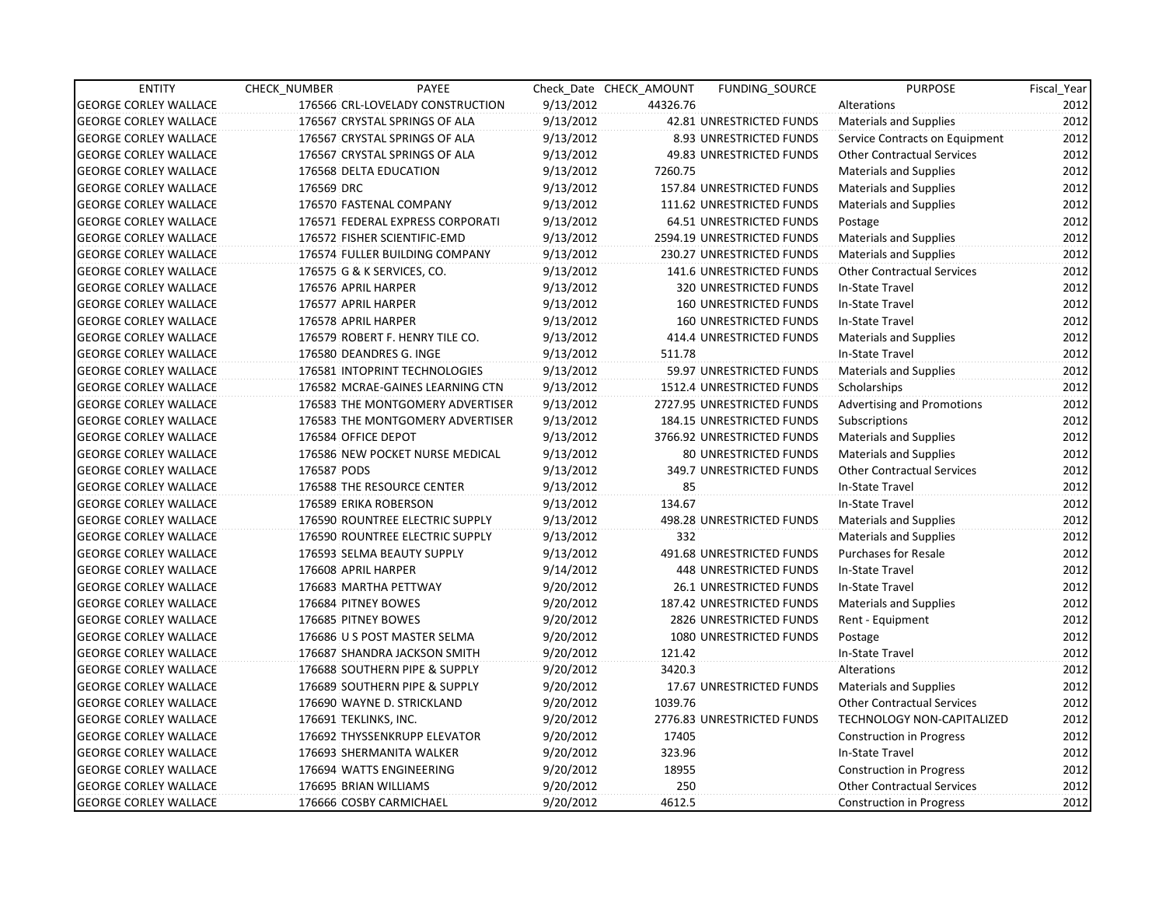| <b>ENTITY</b>                | CHECK_NUMBER          | PAYEE                            |           | Check Date CHECK AMOUNT | <b>FUNDING SOURCE</b>         | <b>PURPOSE</b>                    | Fiscal_Year |
|------------------------------|-----------------------|----------------------------------|-----------|-------------------------|-------------------------------|-----------------------------------|-------------|
| <b>GEORGE CORLEY WALLACE</b> |                       | 176566 CRL-LOVELADY CONSTRUCTION | 9/13/2012 | 44326.76                |                               | Alterations                       | 2012        |
| <b>GEORGE CORLEY WALLACE</b> |                       | 176567 CRYSTAL SPRINGS OF ALA    | 9/13/2012 |                         | 42.81 UNRESTRICTED FUNDS      | <b>Materials and Supplies</b>     | 2012        |
| <b>GEORGE CORLEY WALLACE</b> |                       | 176567 CRYSTAL SPRINGS OF ALA    | 9/13/2012 |                         | 8.93 UNRESTRICTED FUNDS       | Service Contracts on Equipment    | 2012        |
| <b>GEORGE CORLEY WALLACE</b> |                       | 176567 CRYSTAL SPRINGS OF ALA    | 9/13/2012 |                         | 49.83 UNRESTRICTED FUNDS      | <b>Other Contractual Services</b> | 2012        |
| <b>GEORGE CORLEY WALLACE</b> |                       | 176568 DELTA EDUCATION           | 9/13/2012 | 7260.75                 |                               | <b>Materials and Supplies</b>     | 2012        |
| <b>GEORGE CORLEY WALLACE</b> | 176569 DRC            |                                  | 9/13/2012 |                         | 157.84 UNRESTRICTED FUNDS     | Materials and Supplies            | 2012        |
| <b>GEORGE CORLEY WALLACE</b> |                       | 176570 FASTENAL COMPANY          | 9/13/2012 |                         | 111.62 UNRESTRICTED FUNDS     | <b>Materials and Supplies</b>     | 2012        |
| <b>GEORGE CORLEY WALLACE</b> |                       | 176571 FEDERAL EXPRESS CORPORATI | 9/13/2012 |                         | 64.51 UNRESTRICTED FUNDS      | Postage                           | 2012        |
| <b>GEORGE CORLEY WALLACE</b> |                       | 176572 FISHER SCIENTIFIC-EMD     | 9/13/2012 |                         | 2594.19 UNRESTRICTED FUNDS    | Materials and Supplies            | 2012        |
| <b>GEORGE CORLEY WALLACE</b> |                       | 176574 FULLER BUILDING COMPANY   | 9/13/2012 |                         | 230.27 UNRESTRICTED FUNDS     | <b>Materials and Supplies</b>     | 2012        |
| <b>GEORGE CORLEY WALLACE</b> |                       | 176575 G & K SERVICES, CO.       | 9/13/2012 |                         | 141.6 UNRESTRICTED FUNDS      | <b>Other Contractual Services</b> | 2012        |
| <b>GEORGE CORLEY WALLACE</b> | 176576 APRIL HARPER   |                                  | 9/13/2012 |                         | 320 UNRESTRICTED FUNDS        | In-State Travel                   | 2012        |
| <b>GEORGE CORLEY WALLACE</b> | 176577 APRIL HARPER   |                                  | 9/13/2012 |                         | 160 UNRESTRICTED FUNDS        | In-State Travel                   | 2012        |
| <b>GEORGE CORLEY WALLACE</b> | 176578 APRIL HARPER   |                                  | 9/13/2012 |                         | <b>160 UNRESTRICTED FUNDS</b> | In-State Travel                   | 2012        |
| <b>GEORGE CORLEY WALLACE</b> |                       | 176579 ROBERT F. HENRY TILE CO.  | 9/13/2012 |                         | 414.4 UNRESTRICTED FUNDS      | <b>Materials and Supplies</b>     | 2012        |
| <b>GEORGE CORLEY WALLACE</b> |                       | 176580 DEANDRES G. INGE          | 9/13/2012 | 511.78                  |                               | In-State Travel                   | 2012        |
| <b>GEORGE CORLEY WALLACE</b> |                       | 176581 INTOPRINT TECHNOLOGIES    | 9/13/2012 |                         | 59.97 UNRESTRICTED FUNDS      | <b>Materials and Supplies</b>     | 2012        |
| <b>GEORGE CORLEY WALLACE</b> |                       | 176582 MCRAE-GAINES LEARNING CTN | 9/13/2012 |                         | 1512.4 UNRESTRICTED FUNDS     | Scholarships                      | 2012        |
| <b>GEORGE CORLEY WALLACE</b> |                       | 176583 THE MONTGOMERY ADVERTISER | 9/13/2012 |                         | 2727.95 UNRESTRICTED FUNDS    | <b>Advertising and Promotions</b> | 2012        |
| <b>GEORGE CORLEY WALLACE</b> |                       | 176583 THE MONTGOMERY ADVERTISER | 9/13/2012 |                         | 184.15 UNRESTRICTED FUNDS     | Subscriptions                     | 2012        |
| <b>GEORGE CORLEY WALLACE</b> | 176584 OFFICE DEPOT   |                                  | 9/13/2012 |                         | 3766.92 UNRESTRICTED FUNDS    | <b>Materials and Supplies</b>     | 2012        |
| <b>GEORGE CORLEY WALLACE</b> |                       | 176586 NEW POCKET NURSE MEDICAL  | 9/13/2012 |                         | <b>80 UNRESTRICTED FUNDS</b>  | <b>Materials and Supplies</b>     | 2012        |
| <b>GEORGE CORLEY WALLACE</b> | 176587 PODS           |                                  | 9/13/2012 |                         | 349.7 UNRESTRICTED FUNDS      | <b>Other Contractual Services</b> | 2012        |
| <b>GEORGE CORLEY WALLACE</b> |                       | 176588 THE RESOURCE CENTER       | 9/13/2012 | 85                      |                               | In-State Travel                   | 2012        |
| <b>GEORGE CORLEY WALLACE</b> |                       | 176589 ERIKA ROBERSON            | 9/13/2012 | 134.67                  |                               | In-State Travel                   | 2012        |
| <b>GEORGE CORLEY WALLACE</b> |                       | 176590 ROUNTREE ELECTRIC SUPPLY  | 9/13/2012 |                         | 498.28 UNRESTRICTED FUNDS     | <b>Materials and Supplies</b>     | 2012        |
| <b>GEORGE CORLEY WALLACE</b> |                       | 176590 ROUNTREE ELECTRIC SUPPLY  | 9/13/2012 | 332                     |                               | <b>Materials and Supplies</b>     | 2012        |
| <b>GEORGE CORLEY WALLACE</b> |                       | 176593 SELMA BEAUTY SUPPLY       | 9/13/2012 |                         | 491.68 UNRESTRICTED FUNDS     | <b>Purchases for Resale</b>       | 2012        |
| <b>GEORGE CORLEY WALLACE</b> | 176608 APRIL HARPER   |                                  | 9/14/2012 |                         | 448 UNRESTRICTED FUNDS        | In-State Travel                   | 2012        |
| <b>GEORGE CORLEY WALLACE</b> |                       | 176683 MARTHA PETTWAY            | 9/20/2012 |                         | 26.1 UNRESTRICTED FUNDS       | In-State Travel                   | 2012        |
| <b>GEORGE CORLEY WALLACE</b> |                       | 176684 PITNEY BOWES              | 9/20/2012 |                         | 187.42 UNRESTRICTED FUNDS     | <b>Materials and Supplies</b>     | 2012        |
| <b>GEORGE CORLEY WALLACE</b> |                       | 176685 PITNEY BOWES              | 9/20/2012 |                         | 2826 UNRESTRICTED FUNDS       | Rent - Equipment                  | 2012        |
| <b>GEORGE CORLEY WALLACE</b> |                       | 176686 U S POST MASTER SELMA     | 9/20/2012 |                         | 1080 UNRESTRICTED FUNDS       | Postage                           | 2012        |
| <b>GEORGE CORLEY WALLACE</b> |                       | 176687 SHANDRA JACKSON SMITH     | 9/20/2012 | 121.42                  |                               | In-State Travel                   | 2012        |
| <b>GEORGE CORLEY WALLACE</b> |                       | 176688 SOUTHERN PIPE & SUPPLY    | 9/20/2012 | 3420.3                  |                               | Alterations                       | 2012        |
| <b>GEORGE CORLEY WALLACE</b> |                       | 176689 SOUTHERN PIPE & SUPPLY    | 9/20/2012 |                         | 17.67 UNRESTRICTED FUNDS      | Materials and Supplies            | 2012        |
| <b>GEORGE CORLEY WALLACE</b> |                       | 176690 WAYNE D. STRICKLAND       | 9/20/2012 | 1039.76                 |                               | <b>Other Contractual Services</b> | 2012        |
| <b>GEORGE CORLEY WALLACE</b> | 176691 TEKLINKS, INC. |                                  | 9/20/2012 |                         | 2776.83 UNRESTRICTED FUNDS    | <b>TECHNOLOGY NON-CAPITALIZED</b> | 2012        |
| <b>GEORGE CORLEY WALLACE</b> |                       | 176692 THYSSENKRUPP ELEVATOR     | 9/20/2012 | 17405                   |                               | <b>Construction in Progress</b>   | 2012        |
| <b>GEORGE CORLEY WALLACE</b> |                       | 176693 SHERMANITA WALKER         | 9/20/2012 | 323.96                  |                               | In-State Travel                   | 2012        |
| <b>GEORGE CORLEY WALLACE</b> |                       | 176694 WATTS ENGINEERING         | 9/20/2012 | 18955                   |                               | <b>Construction in Progress</b>   | 2012        |
| <b>GEORGE CORLEY WALLACE</b> |                       | 176695 BRIAN WILLIAMS            | 9/20/2012 | 250                     |                               | <b>Other Contractual Services</b> | 2012        |
| <b>GEORGE CORLEY WALLACE</b> |                       | 176666 COSBY CARMICHAEL          | 9/20/2012 | 4612.5                  |                               | <b>Construction in Progress</b>   | 2012        |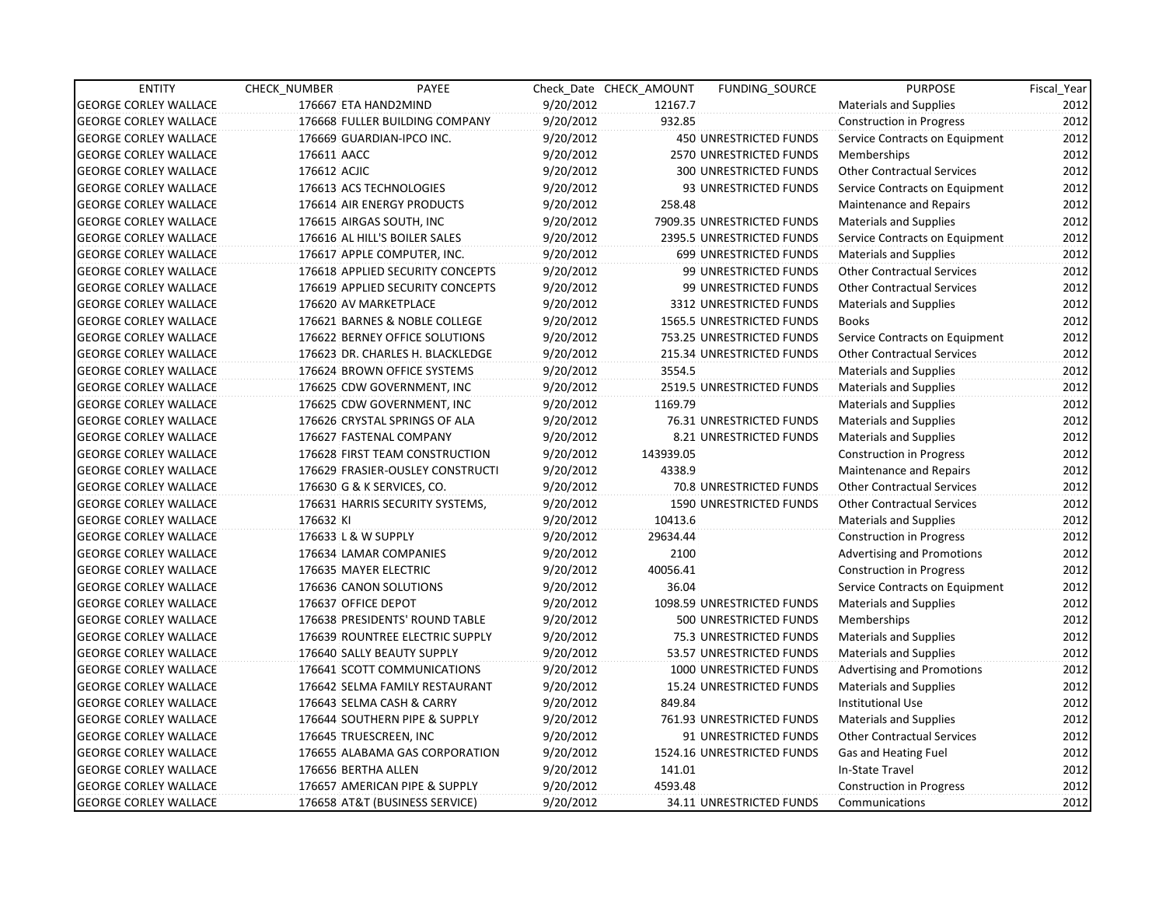| <b>ENTITY</b>                | CHECK NUMBER          | PAYEE                            |           | Check Date CHECK AMOUNT | FUNDING SOURCE                 | <b>PURPOSE</b>                    | Fiscal_Year |
|------------------------------|-----------------------|----------------------------------|-----------|-------------------------|--------------------------------|-----------------------------------|-------------|
| <b>GEORGE CORLEY WALLACE</b> | 176667 ETA HAND2MIND  |                                  | 9/20/2012 | 12167.7                 |                                | <b>Materials and Supplies</b>     | 2012        |
| <b>GEORGE CORLEY WALLACE</b> |                       | 176668 FULLER BUILDING COMPANY   | 9/20/2012 | 932.85                  |                                | <b>Construction in Progress</b>   | 2012        |
| <b>GEORGE CORLEY WALLACE</b> |                       | 176669 GUARDIAN-IPCO INC.        | 9/20/2012 |                         | <b>450 UNRESTRICTED FUNDS</b>  | Service Contracts on Equipment    | 2012        |
| <b>GEORGE CORLEY WALLACE</b> | 176611 AACC           |                                  | 9/20/2012 |                         | 2570 UNRESTRICTED FUNDS        | <b>Memberships</b>                | 2012        |
| <b>GEORGE CORLEY WALLACE</b> | 176612 ACJIC          |                                  | 9/20/2012 |                         | 300 UNRESTRICTED FUNDS         | <b>Other Contractual Services</b> | 2012        |
| <b>GEORGE CORLEY WALLACE</b> |                       | 176613 ACS TECHNOLOGIES          | 9/20/2012 |                         | 93 UNRESTRICTED FUNDS          | Service Contracts on Equipment    | 2012        |
| <b>GEORGE CORLEY WALLACE</b> |                       | 176614 AIR ENERGY PRODUCTS       | 9/20/2012 | 258.48                  |                                | Maintenance and Repairs           | 2012        |
| <b>GEORGE CORLEY WALLACE</b> |                       | 176615 AIRGAS SOUTH, INC         | 9/20/2012 |                         | 7909.35 UNRESTRICTED FUNDS     | <b>Materials and Supplies</b>     | 2012        |
| <b>GEORGE CORLEY WALLACE</b> |                       | 176616 AL HILL'S BOILER SALES    | 9/20/2012 |                         | 2395.5 UNRESTRICTED FUNDS      | Service Contracts on Equipment    | 2012        |
| <b>GEORGE CORLEY WALLACE</b> |                       | 176617 APPLE COMPUTER, INC.      | 9/20/2012 |                         | 699 UNRESTRICTED FUNDS         | <b>Materials and Supplies</b>     | 2012        |
| <b>GEORGE CORLEY WALLACE</b> |                       | 176618 APPLIED SECURITY CONCEPTS | 9/20/2012 |                         | 99 UNRESTRICTED FUNDS          | <b>Other Contractual Services</b> | 2012        |
| <b>GEORGE CORLEY WALLACE</b> |                       | 176619 APPLIED SECURITY CONCEPTS | 9/20/2012 |                         | 99 UNRESTRICTED FUNDS          | <b>Other Contractual Services</b> | 2012        |
| <b>GEORGE CORLEY WALLACE</b> |                       | 176620 AV MARKETPLACE            | 9/20/2012 |                         | 3312 UNRESTRICTED FUNDS        | Materials and Supplies            | 2012        |
| <b>GEORGE CORLEY WALLACE</b> |                       | 176621 BARNES & NOBLE COLLEGE    | 9/20/2012 |                         | 1565.5 UNRESTRICTED FUNDS      | <b>Books</b>                      | 2012        |
| <b>GEORGE CORLEY WALLACE</b> |                       | 176622 BERNEY OFFICE SOLUTIONS   | 9/20/2012 |                         | 753.25 UNRESTRICTED FUNDS      | Service Contracts on Equipment    | 2012        |
| <b>GEORGE CORLEY WALLACE</b> |                       | 176623 DR. CHARLES H. BLACKLEDGE | 9/20/2012 |                         | 215.34 UNRESTRICTED FUNDS      | <b>Other Contractual Services</b> | 2012        |
| <b>GEORGE CORLEY WALLACE</b> |                       | 176624 BROWN OFFICE SYSTEMS      | 9/20/2012 | 3554.5                  |                                | <b>Materials and Supplies</b>     | 2012        |
| <b>GEORGE CORLEY WALLACE</b> |                       | 176625 CDW GOVERNMENT, INC       | 9/20/2012 |                         | 2519.5 UNRESTRICTED FUNDS      | <b>Materials and Supplies</b>     | 2012        |
| <b>GEORGE CORLEY WALLACE</b> |                       | 176625 CDW GOVERNMENT, INC       | 9/20/2012 | 1169.79                 |                                | <b>Materials and Supplies</b>     | 2012        |
| <b>GEORGE CORLEY WALLACE</b> |                       | 176626 CRYSTAL SPRINGS OF ALA    | 9/20/2012 |                         | 76.31 UNRESTRICTED FUNDS       | <b>Materials and Supplies</b>     | 2012        |
| <b>GEORGE CORLEY WALLACE</b> |                       | 176627 FASTENAL COMPANY          | 9/20/2012 |                         | 8.21 UNRESTRICTED FUNDS        | Materials and Supplies            | 2012        |
| <b>GEORGE CORLEY WALLACE</b> |                       | 176628 FIRST TEAM CONSTRUCTION   | 9/20/2012 | 143939.05               |                                | <b>Construction in Progress</b>   | 2012        |
| <b>GEORGE CORLEY WALLACE</b> |                       | 176629 FRASIER-OUSLEY CONSTRUCTI | 9/20/2012 | 4338.9                  |                                | Maintenance and Repairs           | 2012        |
| <b>GEORGE CORLEY WALLACE</b> |                       | 176630 G & K SERVICES, CO.       | 9/20/2012 |                         | <b>70.8 UNRESTRICTED FUNDS</b> | <b>Other Contractual Services</b> | 2012        |
| <b>GEORGE CORLEY WALLACE</b> |                       | 176631 HARRIS SECURITY SYSTEMS,  | 9/20/2012 |                         | 1590 UNRESTRICTED FUNDS        | <b>Other Contractual Services</b> | 2012        |
| <b>GEORGE CORLEY WALLACE</b> | 176632 KI             |                                  | 9/20/2012 | 10413.6                 |                                | Materials and Supplies            | 2012        |
| <b>GEORGE CORLEY WALLACE</b> | 176633 L & W SUPPLY   |                                  | 9/20/2012 | 29634.44                |                                | <b>Construction in Progress</b>   | 2012        |
| <b>GEORGE CORLEY WALLACE</b> |                       | 176634 LAMAR COMPANIES           | 9/20/2012 | 2100                    |                                | <b>Advertising and Promotions</b> | 2012        |
| <b>GEORGE CORLEY WALLACE</b> | 176635 MAYER ELECTRIC |                                  | 9/20/2012 | 40056.41                |                                | <b>Construction in Progress</b>   | 2012        |
| <b>GEORGE CORLEY WALLACE</b> |                       | 176636 CANON SOLUTIONS           | 9/20/2012 | 36.04                   |                                | Service Contracts on Equipment    | 2012        |
| <b>GEORGE CORLEY WALLACE</b> | 176637 OFFICE DEPOT   |                                  | 9/20/2012 |                         | 1098.59 UNRESTRICTED FUNDS     | Materials and Supplies            | 2012        |
| <b>GEORGE CORLEY WALLACE</b> |                       | 176638 PRESIDENTS' ROUND TABLE   | 9/20/2012 |                         | 500 UNRESTRICTED FUNDS         | Memberships                       | 2012        |
| <b>GEORGE CORLEY WALLACE</b> |                       | 176639 ROUNTREE ELECTRIC SUPPLY  | 9/20/2012 |                         | <b>75.3 UNRESTRICTED FUNDS</b> | Materials and Supplies            | 2012        |
| <b>GEORGE CORLEY WALLACE</b> |                       | 176640 SALLY BEAUTY SUPPLY       | 9/20/2012 |                         | 53.57 UNRESTRICTED FUNDS       | Materials and Supplies            | 2012        |
| <b>GEORGE CORLEY WALLACE</b> |                       | 176641 SCOTT COMMUNICATIONS      | 9/20/2012 |                         | 1000 UNRESTRICTED FUNDS        | Advertising and Promotions        | 2012        |
| <b>GEORGE CORLEY WALLACE</b> |                       | 176642 SELMA FAMILY RESTAURANT   | 9/20/2012 |                         | 15.24 UNRESTRICTED FUNDS       | <b>Materials and Supplies</b>     | 2012        |
| <b>GEORGE CORLEY WALLACE</b> |                       | 176643 SELMA CASH & CARRY        | 9/20/2012 | 849.84                  |                                | <b>Institutional Use</b>          | 2012        |
| <b>GEORGE CORLEY WALLACE</b> |                       | 176644 SOUTHERN PIPE & SUPPLY    | 9/20/2012 |                         | 761.93 UNRESTRICTED FUNDS      | <b>Materials and Supplies</b>     | 2012        |
| <b>GEORGE CORLEY WALLACE</b> |                       | 176645 TRUESCREEN, INC           | 9/20/2012 |                         | 91 UNRESTRICTED FUNDS          | <b>Other Contractual Services</b> | 2012        |
| <b>GEORGE CORLEY WALLACE</b> |                       | 176655 ALABAMA GAS CORPORATION   | 9/20/2012 |                         | 1524.16 UNRESTRICTED FUNDS     | Gas and Heating Fuel              | 2012        |
| <b>GEORGE CORLEY WALLACE</b> | 176656 BERTHA ALLEN   |                                  | 9/20/2012 | 141.01                  |                                | In-State Travel                   | 2012        |
| <b>GEORGE CORLEY WALLACE</b> |                       | 176657 AMERICAN PIPE & SUPPLY    | 9/20/2012 | 4593.48                 |                                | <b>Construction in Progress</b>   | 2012        |
| <b>GEORGE CORLEY WALLACE</b> |                       | 176658 AT&T (BUSINESS SERVICE)   | 9/20/2012 |                         | 34.11 UNRESTRICTED FUNDS       | Communications                    | 2012        |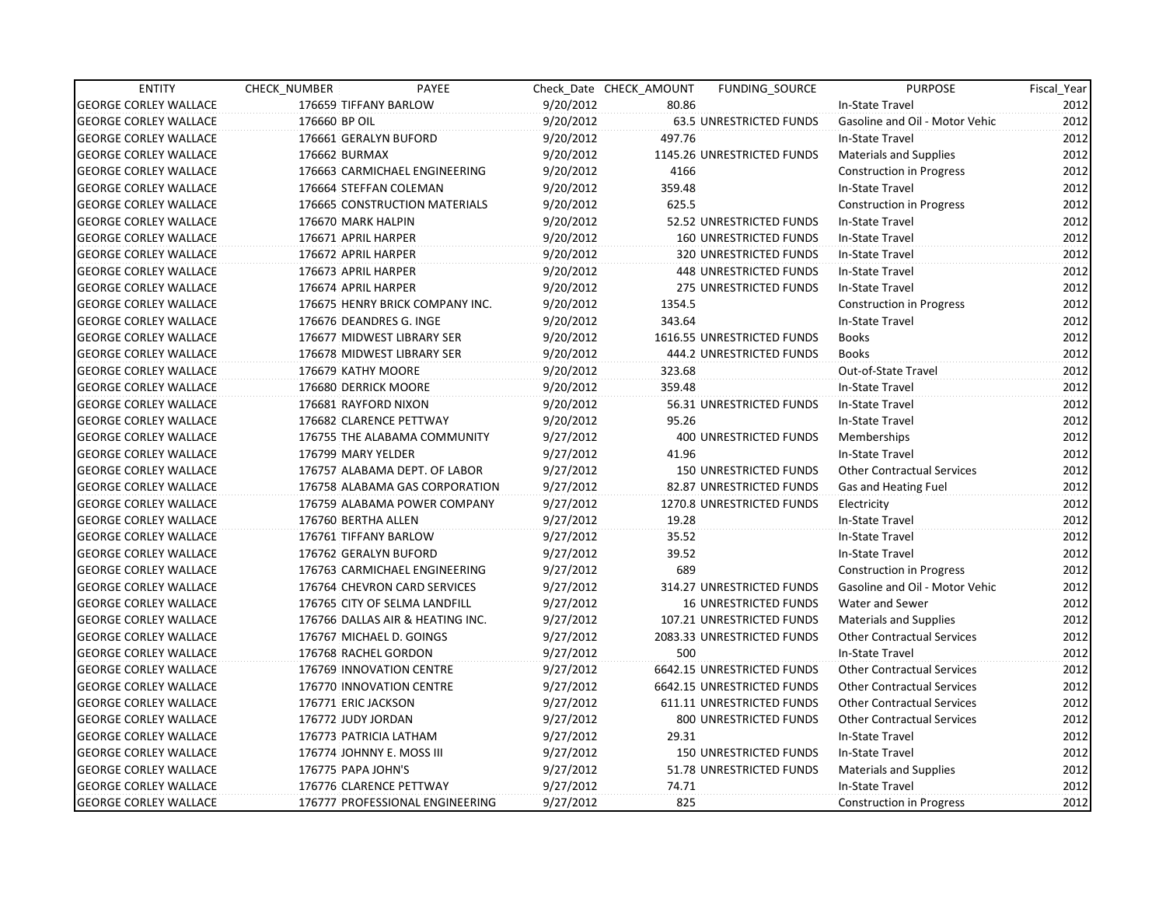| <b>ENTITY</b>                | CHECK NUMBER         | PAYEE                            |           | Check Date CHECK AMOUNT | <b>FUNDING SOURCE</b>         | <b>PURPOSE</b>                    | Fiscal Year |
|------------------------------|----------------------|----------------------------------|-----------|-------------------------|-------------------------------|-----------------------------------|-------------|
| <b>GEORGE CORLEY WALLACE</b> |                      | 176659 TIFFANY BARLOW            | 9/20/2012 | 80.86                   |                               | In-State Travel                   | 2012        |
| <b>GEORGE CORLEY WALLACE</b> | 176660 BP OIL        |                                  | 9/20/2012 |                         | 63.5 UNRESTRICTED FUNDS       | Gasoline and Oil - Motor Vehic    | 2012        |
| <b>GEORGE CORLEY WALLACE</b> |                      | 176661 GERALYN BUFORD            | 9/20/2012 | 497.76                  |                               | In-State Travel                   | 2012        |
| <b>GEORGE CORLEY WALLACE</b> | 176662 BURMAX        |                                  | 9/20/2012 |                         | 1145.26 UNRESTRICTED FUNDS    | Materials and Supplies            | 2012        |
| <b>GEORGE CORLEY WALLACE</b> |                      | 176663 CARMICHAEL ENGINEERING    | 9/20/2012 | 4166                    |                               | <b>Construction in Progress</b>   | 2012        |
| <b>GEORGE CORLEY WALLACE</b> |                      | 176664 STEFFAN COLEMAN           | 9/20/2012 | 359.48                  |                               | In-State Travel                   | 2012        |
| <b>GEORGE CORLEY WALLACE</b> |                      | 176665 CONSTRUCTION MATERIALS    | 9/20/2012 | 625.5                   |                               | <b>Construction in Progress</b>   | 2012        |
| <b>GEORGE CORLEY WALLACE</b> | 176670 MARK HALPIN   |                                  | 9/20/2012 |                         | 52.52 UNRESTRICTED FUNDS      | <b>In-State Travel</b>            | 2012        |
| <b>GEORGE CORLEY WALLACE</b> | 176671 APRIL HARPER  |                                  | 9/20/2012 |                         | 160 UNRESTRICTED FUNDS        | In-State Travel                   | 2012        |
| <b>GEORGE CORLEY WALLACE</b> | 176672 APRIL HARPER  |                                  | 9/20/2012 |                         | 320 UNRESTRICTED FUNDS        | In-State Travel                   | 2012        |
| <b>GEORGE CORLEY WALLACE</b> | 176673 APRIL HARPER  |                                  | 9/20/2012 |                         | 448 UNRESTRICTED FUNDS        | In-State Travel                   | 2012        |
| <b>GEORGE CORLEY WALLACE</b> | 176674 APRIL HARPER  |                                  | 9/20/2012 |                         | <b>275 UNRESTRICTED FUNDS</b> | In-State Travel                   | 2012        |
| <b>GEORGE CORLEY WALLACE</b> |                      | 176675 HENRY BRICK COMPANY INC.  | 9/20/2012 | 1354.5                  |                               | <b>Construction in Progress</b>   | 2012        |
| <b>GEORGE CORLEY WALLACE</b> |                      | 176676 DEANDRES G. INGE          | 9/20/2012 | 343.64                  |                               | In-State Travel                   | 2012        |
| <b>GEORGE CORLEY WALLACE</b> |                      | 176677 MIDWEST LIBRARY SER       | 9/20/2012 |                         | 1616.55 UNRESTRICTED FUNDS    | <b>Books</b>                      | 2012        |
| <b>GEORGE CORLEY WALLACE</b> |                      | 176678 MIDWEST LIBRARY SER       | 9/20/2012 |                         | 444.2 UNRESTRICTED FUNDS      | <b>Books</b>                      | 2012        |
| <b>GEORGE CORLEY WALLACE</b> | 176679 KATHY MOORE   |                                  | 9/20/2012 | 323.68                  |                               | Out-of-State Travel               | 2012        |
| <b>GEORGE CORLEY WALLACE</b> | 176680 DERRICK MOORE |                                  | 9/20/2012 | 359.48                  |                               | In-State Travel                   | 2012        |
| <b>GEORGE CORLEY WALLACE</b> | 176681 RAYFORD NIXON |                                  | 9/20/2012 |                         | 56.31 UNRESTRICTED FUNDS      | In-State Travel                   | 2012        |
| <b>GEORGE CORLEY WALLACE</b> |                      | 176682 CLARENCE PETTWAY          | 9/20/2012 | 95.26                   |                               | In-State Travel                   | 2012        |
| <b>GEORGE CORLEY WALLACE</b> |                      | 176755 THE ALABAMA COMMUNITY     | 9/27/2012 |                         | 400 UNRESTRICTED FUNDS        | Memberships                       | 2012        |
| <b>GEORGE CORLEY WALLACE</b> | 176799 MARY YELDER   |                                  | 9/27/2012 | 41.96                   |                               | In-State Travel                   | 2012        |
| <b>GEORGE CORLEY WALLACE</b> |                      | 176757 ALABAMA DEPT. OF LABOR    | 9/27/2012 |                         | <b>150 UNRESTRICTED FUNDS</b> | <b>Other Contractual Services</b> | 2012        |
| <b>GEORGE CORLEY WALLACE</b> |                      | 176758 ALABAMA GAS CORPORATION   | 9/27/2012 |                         | 82.87 UNRESTRICTED FUNDS      | Gas and Heating Fuel              | 2012        |
| <b>GEORGE CORLEY WALLACE</b> |                      | 176759 ALABAMA POWER COMPANY     | 9/27/2012 |                         | 1270.8 UNRESTRICTED FUNDS     | Electricity                       | 2012        |
| <b>GEORGE CORLEY WALLACE</b> | 176760 BERTHA ALLEN  |                                  | 9/27/2012 | 19.28                   |                               | In-State Travel                   | 2012        |
| <b>GEORGE CORLEY WALLACE</b> |                      | 176761 TIFFANY BARLOW            | 9/27/2012 | 35.52                   |                               | In-State Travel                   | 2012        |
| <b>GEORGE CORLEY WALLACE</b> |                      | 176762 GERALYN BUFORD            | 9/27/2012 | 39.52                   |                               | In-State Travel                   | 2012        |
| <b>GEORGE CORLEY WALLACE</b> |                      | 176763 CARMICHAEL ENGINEERING    | 9/27/2012 | 689                     |                               | <b>Construction in Progress</b>   | 2012        |
| <b>GEORGE CORLEY WALLACE</b> |                      | 176764 CHEVRON CARD SERVICES     | 9/27/2012 |                         | 314.27 UNRESTRICTED FUNDS     | Gasoline and Oil - Motor Vehic    | 2012        |
| <b>GEORGE CORLEY WALLACE</b> |                      | 176765 CITY OF SELMA LANDFILL    | 9/27/2012 |                         | <b>16 UNRESTRICTED FUNDS</b>  | Water and Sewer                   | 2012        |
| <b>GEORGE CORLEY WALLACE</b> |                      | 176766 DALLAS AIR & HEATING INC. | 9/27/2012 |                         | 107.21 UNRESTRICTED FUNDS     | <b>Materials and Supplies</b>     | 2012        |
| <b>GEORGE CORLEY WALLACE</b> |                      | 176767 MICHAEL D. GOINGS         | 9/27/2012 |                         | 2083.33 UNRESTRICTED FUNDS    | <b>Other Contractual Services</b> | 2012        |
| <b>GEORGE CORLEY WALLACE</b> | 176768 RACHEL GORDON |                                  | 9/27/2012 | 500                     |                               | <b>In-State Travel</b>            | 2012        |
| <b>GEORGE CORLEY WALLACE</b> |                      | 176769 INNOVATION CENTRE         | 9/27/2012 |                         | 6642.15 UNRESTRICTED FUNDS    | <b>Other Contractual Services</b> | 2012        |
| <b>GEORGE CORLEY WALLACE</b> |                      | 176770 INNOVATION CENTRE         | 9/27/2012 |                         | 6642.15 UNRESTRICTED FUNDS    | <b>Other Contractual Services</b> | 2012        |
| <b>GEORGE CORLEY WALLACE</b> | 176771 ERIC JACKSON  |                                  | 9/27/2012 |                         | 611.11 UNRESTRICTED FUNDS     | <b>Other Contractual Services</b> | 2012        |
| GEORGE CORLEY WALLACE        | 176772 JUDY JORDAN   |                                  | 9/27/2012 |                         | 800 UNRESTRICTED FUNDS        | <b>Other Contractual Services</b> | 2012        |
| <b>GEORGE CORLEY WALLACE</b> |                      | 176773 PATRICIA LATHAM           | 9/27/2012 | 29.31                   |                               | <b>In-State Travel</b>            | 2012        |
| <b>GEORGE CORLEY WALLACE</b> |                      | 176774 JOHNNY E. MOSS III        | 9/27/2012 |                         | <b>150 UNRESTRICTED FUNDS</b> | In-State Travel                   | 2012        |
| <b>GEORGE CORLEY WALLACE</b> | 176775 PAPA JOHN'S   |                                  | 9/27/2012 |                         | 51.78 UNRESTRICTED FUNDS      | Materials and Supplies            | 2012        |
| <b>GEORGE CORLEY WALLACE</b> |                      | 176776 CLARENCE PETTWAY          | 9/27/2012 | 74.71                   |                               | In-State Travel                   | 2012        |
| <b>GEORGE CORLEY WALLACE</b> |                      | 176777 PROFESSIONAL ENGINEERING  | 9/27/2012 | 825                     |                               | <b>Construction in Progress</b>   | 2012        |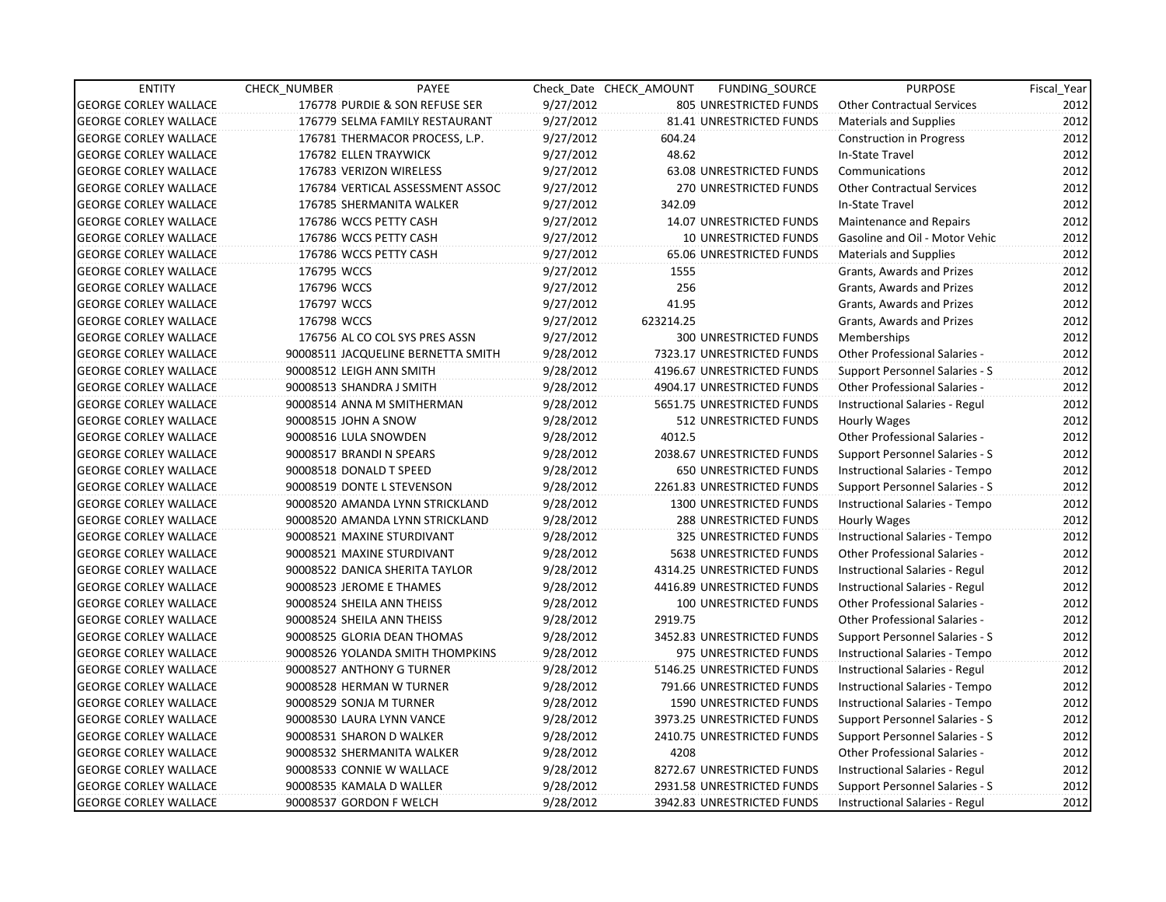| <b>ENTITY</b>                | CHECK_NUMBER                   | PAYEE                              |           | Check Date CHECK AMOUNT | FUNDING_SOURCE                 | <b>PURPOSE</b>                       | Fiscal_Year |
|------------------------------|--------------------------------|------------------------------------|-----------|-------------------------|--------------------------------|--------------------------------------|-------------|
| <b>GEORGE CORLEY WALLACE</b> |                                | 176778 PURDIE & SON REFUSE SER     | 9/27/2012 |                         | 805 UNRESTRICTED FUNDS         | <b>Other Contractual Services</b>    | 2012        |
| <b>GEORGE CORLEY WALLACE</b> |                                | 176779 SELMA FAMILY RESTAURANT     | 9/27/2012 |                         | 81.41 UNRESTRICTED FUNDS       | <b>Materials and Supplies</b>        | 2012        |
| <b>GEORGE CORLEY WALLACE</b> |                                | 176781 THERMACOR PROCESS, L.P.     | 9/27/2012 | 604.24                  |                                | <b>Construction in Progress</b>      | 2012        |
| <b>GEORGE CORLEY WALLACE</b> | 176782 ELLEN TRAYWICK          |                                    | 9/27/2012 | 48.62                   |                                | In-State Travel                      | 2012        |
| <b>GEORGE CORLEY WALLACE</b> | 176783 VERIZON WIRELESS        |                                    | 9/27/2012 |                         | 63.08 UNRESTRICTED FUNDS       | Communications                       | 2012        |
| <b>GEORGE CORLEY WALLACE</b> |                                | 176784 VERTICAL ASSESSMENT ASSOC   | 9/27/2012 |                         | 270 UNRESTRICTED FUNDS         | <b>Other Contractual Services</b>    | 2012        |
| <b>GEORGE CORLEY WALLACE</b> | 176785 SHERMANITA WALKER       |                                    | 9/27/2012 | 342.09                  |                                | In-State Travel                      | 2012        |
| <b>GEORGE CORLEY WALLACE</b> | 176786 WCCS PETTY CASH         |                                    | 9/27/2012 |                         | 14.07 UNRESTRICTED FUNDS       | Maintenance and Repairs              | 2012        |
| <b>GEORGE CORLEY WALLACE</b> | 176786 WCCS PETTY CASH         |                                    | 9/27/2012 |                         | <b>10 UNRESTRICTED FUNDS</b>   | Gasoline and Oil - Motor Vehic       | 2012        |
| <b>GEORGE CORLEY WALLACE</b> | 176786 WCCS PETTY CASH         |                                    | 9/27/2012 |                         | 65.06 UNRESTRICTED FUNDS       | <b>Materials and Supplies</b>        | 2012        |
| <b>GEORGE CORLEY WALLACE</b> | 176795 WCCS                    |                                    | 9/27/2012 | 1555                    |                                | Grants, Awards and Prizes            | 2012        |
| <b>GEORGE CORLEY WALLACE</b> | 176796 WCCS                    |                                    | 9/27/2012 | 256                     |                                | Grants, Awards and Prizes            | 2012        |
| <b>GEORGE CORLEY WALLACE</b> | 176797 WCCS                    |                                    | 9/27/2012 | 41.95                   |                                | Grants, Awards and Prizes            | 2012        |
| <b>GEORGE CORLEY WALLACE</b> | 176798 WCCS                    |                                    | 9/27/2012 | 623214.25               |                                | Grants, Awards and Prizes            | 2012        |
| <b>GEORGE CORLEY WALLACE</b> |                                | 176756 AL CO COL SYS PRES ASSN     | 9/27/2012 |                         | <b>300 UNRESTRICTED FUNDS</b>  | <b>Memberships</b>                   | 2012        |
| <b>GEORGE CORLEY WALLACE</b> |                                | 90008511 JACQUELINE BERNETTA SMITH | 9/28/2012 |                         | 7323.17 UNRESTRICTED FUNDS     | <b>Other Professional Salaries -</b> | 2012        |
| <b>GEORGE CORLEY WALLACE</b> | 90008512 LEIGH ANN SMITH       |                                    | 9/28/2012 |                         | 4196.67 UNRESTRICTED FUNDS     | Support Personnel Salaries - S       | 2012        |
| <b>GEORGE CORLEY WALLACE</b> | 90008513 SHANDRA J SMITH       |                                    | 9/28/2012 |                         | 4904.17 UNRESTRICTED FUNDS     | <b>Other Professional Salaries -</b> | 2012        |
| <b>GEORGE CORLEY WALLACE</b> | 90008514 ANNA M SMITHERMAN     |                                    | 9/28/2012 |                         | 5651.75 UNRESTRICTED FUNDS     | Instructional Salaries - Regul       | 2012        |
| <b>GEORGE CORLEY WALLACE</b> | 90008515 JOHN A SNOW           |                                    | 9/28/2012 |                         | 512 UNRESTRICTED FUNDS         | Hourly Wages                         | 2012        |
| <b>GEORGE CORLEY WALLACE</b> | 90008516 LULA SNOWDEN          |                                    | 9/28/2012 | 4012.5                  |                                | Other Professional Salaries -        | 2012        |
| <b>GEORGE CORLEY WALLACE</b> | 90008517 BRANDI N SPEARS       |                                    | 9/28/2012 |                         | 2038.67 UNRESTRICTED FUNDS     | Support Personnel Salaries - S       | 2012        |
| <b>GEORGE CORLEY WALLACE</b> | 90008518 DONALD T SPEED        |                                    | 9/28/2012 |                         | <b>650 UNRESTRICTED FUNDS</b>  | Instructional Salaries - Tempo       | 2012        |
| <b>GEORGE CORLEY WALLACE</b> | 90008519 DONTE L STEVENSON     |                                    | 9/28/2012 |                         | 2261.83 UNRESTRICTED FUNDS     | Support Personnel Salaries - S       | 2012        |
| <b>GEORGE CORLEY WALLACE</b> |                                | 90008520 AMANDA LYNN STRICKLAND    | 9/28/2012 |                         | 1300 UNRESTRICTED FUNDS        | Instructional Salaries - Tempo       | 2012        |
| <b>GEORGE CORLEY WALLACE</b> |                                | 90008520 AMANDA LYNN STRICKLAND    | 9/28/2012 |                         | <b>288 UNRESTRICTED FUNDS</b>  | Hourly Wages                         | 2012        |
| <b>GEORGE CORLEY WALLACE</b> | 90008521 MAXINE STURDIVANT     |                                    | 9/28/2012 |                         | 325 UNRESTRICTED FUNDS         | Instructional Salaries - Tempo       | 2012        |
| <b>GEORGE CORLEY WALLACE</b> | 90008521 MAXINE STURDIVANT     |                                    | 9/28/2012 |                         | 5638 UNRESTRICTED FUNDS        | <b>Other Professional Salaries -</b> | 2012        |
| <b>GEORGE CORLEY WALLACE</b> | 90008522 DANICA SHERITA TAYLOR |                                    | 9/28/2012 |                         | 4314.25 UNRESTRICTED FUNDS     | Instructional Salaries - Regul       | 2012        |
| <b>GEORGE CORLEY WALLACE</b> | 90008523 JEROME E THAMES       |                                    | 9/28/2012 |                         | 4416.89 UNRESTRICTED FUNDS     | Instructional Salaries - Regul       | 2012        |
| <b>GEORGE CORLEY WALLACE</b> | 90008524 SHEILA ANN THEISS     |                                    | 9/28/2012 |                         | 100 UNRESTRICTED FUNDS         | <b>Other Professional Salaries -</b> | 2012        |
| <b>GEORGE CORLEY WALLACE</b> | 90008524 SHEILA ANN THEISS     |                                    | 9/28/2012 | 2919.75                 |                                | Other Professional Salaries -        | 2012        |
| <b>GEORGE CORLEY WALLACE</b> | 90008525 GLORIA DEAN THOMAS    |                                    | 9/28/2012 |                         | 3452.83 UNRESTRICTED FUNDS     | Support Personnel Salaries - S       | 2012        |
| <b>GEORGE CORLEY WALLACE</b> |                                | 90008526 YOLANDA SMITH THOMPKINS   | 9/28/2012 |                         | 975 UNRESTRICTED FUNDS         | Instructional Salaries - Tempo       | 2012        |
| <b>GEORGE CORLEY WALLACE</b> | 90008527 ANTHONY G TURNER      |                                    | 9/28/2012 |                         | 5146.25 UNRESTRICTED FUNDS     | Instructional Salaries - Regul       | 2012        |
| <b>GEORGE CORLEY WALLACE</b> | 90008528 HERMAN W TURNER       |                                    | 9/28/2012 |                         | 791.66 UNRESTRICTED FUNDS      | Instructional Salaries - Tempo       | 2012        |
| <b>GEORGE CORLEY WALLACE</b> | 90008529 SONJA M TURNER        |                                    | 9/28/2012 |                         | <b>1590 UNRESTRICTED FUNDS</b> | Instructional Salaries - Tempo       | 2012        |
| <b>GEORGE CORLEY WALLACE</b> | 90008530 LAURA LYNN VANCE      |                                    | 9/28/2012 |                         | 3973.25 UNRESTRICTED FUNDS     | Support Personnel Salaries - S       | 2012        |
| <b>GEORGE CORLEY WALLACE</b> | 90008531 SHARON D WALKER       |                                    | 9/28/2012 |                         | 2410.75 UNRESTRICTED FUNDS     | Support Personnel Salaries - S       | 2012        |
| <b>GEORGE CORLEY WALLACE</b> | 90008532 SHERMANITA WALKER     |                                    | 9/28/2012 | 4208                    |                                | Other Professional Salaries -        | 2012        |
| <b>GEORGE CORLEY WALLACE</b> | 90008533 CONNIE W WALLACE      |                                    | 9/28/2012 |                         | 8272.67 UNRESTRICTED FUNDS     | Instructional Salaries - Regul       | 2012        |
| <b>GEORGE CORLEY WALLACE</b> | 90008535 KAMALA D WALLER       |                                    | 9/28/2012 |                         | 2931.58 UNRESTRICTED FUNDS     | Support Personnel Salaries - S       | 2012        |
| <b>GEORGE CORLEY WALLACE</b> | 90008537 GORDON F WELCH        |                                    | 9/28/2012 |                         | 3942.83 UNRESTRICTED FUNDS     | Instructional Salaries - Regul       | 2012        |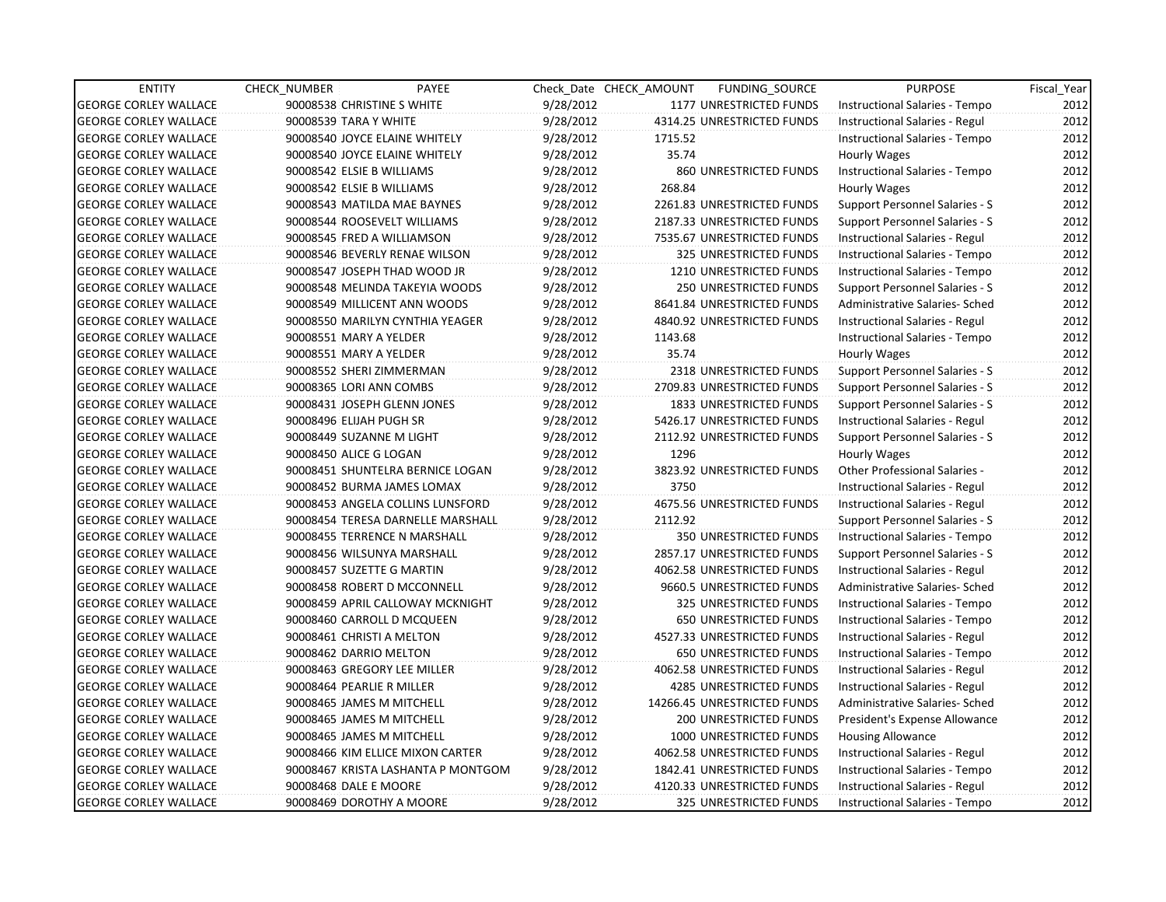| <b>ENTITY</b>                | CHECK_NUMBER           | PAYEE                              |           | Check Date CHECK AMOUNT | FUNDING_SOURCE                | <b>PURPOSE</b>                        | Fiscal_Year |
|------------------------------|------------------------|------------------------------------|-----------|-------------------------|-------------------------------|---------------------------------------|-------------|
| <b>GEORGE CORLEY WALLACE</b> |                        | 90008538 CHRISTINE S WHITE         | 9/28/2012 |                         | 1177 UNRESTRICTED FUNDS       | Instructional Salaries - Tempo        | 2012        |
| <b>GEORGE CORLEY WALLACE</b> | 90008539 TARA Y WHITE  |                                    | 9/28/2012 |                         | 4314.25 UNRESTRICTED FUNDS    | Instructional Salaries - Regul        | 2012        |
| <b>GEORGE CORLEY WALLACE</b> |                        | 90008540 JOYCE ELAINE WHITELY      | 9/28/2012 | 1715.52                 |                               | Instructional Salaries - Tempo        | 2012        |
| <b>GEORGE CORLEY WALLACE</b> |                        | 90008540 JOYCE ELAINE WHITELY      | 9/28/2012 | 35.74                   |                               | Hourly Wages                          | 2012        |
| <b>GEORGE CORLEY WALLACE</b> |                        | 90008542 ELSIE B WILLIAMS          | 9/28/2012 |                         | 860 UNRESTRICTED FUNDS        | Instructional Salaries - Tempo        | 2012        |
| <b>GEORGE CORLEY WALLACE</b> |                        | 90008542 ELSIE B WILLIAMS          | 9/28/2012 | 268.84                  |                               | Hourly Wages                          | 2012        |
| <b>GEORGE CORLEY WALLACE</b> |                        | 90008543 MATILDA MAE BAYNES        | 9/28/2012 |                         | 2261.83 UNRESTRICTED FUNDS    | Support Personnel Salaries - S        | 2012        |
| <b>GEORGE CORLEY WALLACE</b> |                        | 90008544 ROOSEVELT WILLIAMS        | 9/28/2012 |                         | 2187.33 UNRESTRICTED FUNDS    | Support Personnel Salaries - S        | 2012        |
| <b>GEORGE CORLEY WALLACE</b> |                        | 90008545 FRED A WILLIAMSON         | 9/28/2012 |                         | 7535.67 UNRESTRICTED FUNDS    | Instructional Salaries - Regul        | 2012        |
| <b>GEORGE CORLEY WALLACE</b> |                        | 90008546 BEVERLY RENAE WILSON      | 9/28/2012 |                         | 325 UNRESTRICTED FUNDS        | Instructional Salaries - Tempo        | 2012        |
| <b>GEORGE CORLEY WALLACE</b> |                        | 90008547 JOSEPH THAD WOOD JR       | 9/28/2012 |                         | 1210 UNRESTRICTED FUNDS       | Instructional Salaries - Tempo        | 2012        |
| <b>GEORGE CORLEY WALLACE</b> |                        | 90008548 MELINDA TAKEYIA WOODS     | 9/28/2012 |                         | 250 UNRESTRICTED FUNDS        | Support Personnel Salaries - S        | 2012        |
| <b>GEORGE CORLEY WALLACE</b> |                        | 90008549 MILLICENT ANN WOODS       | 9/28/2012 |                         | 8641.84 UNRESTRICTED FUNDS    | Administrative Salaries- Sched        | 2012        |
| <b>GEORGE CORLEY WALLACE</b> |                        | 90008550 MARILYN CYNTHIA YEAGER    | 9/28/2012 |                         | 4840.92 UNRESTRICTED FUNDS    | Instructional Salaries - Regul        | 2012        |
| <b>GEORGE CORLEY WALLACE</b> |                        | 90008551 MARY A YELDER             | 9/28/2012 | 1143.68                 |                               | Instructional Salaries - Tempo        | 2012        |
| <b>GEORGE CORLEY WALLACE</b> |                        | 90008551 MARY A YELDER             | 9/28/2012 | 35.74                   |                               | Hourly Wages                          | 2012        |
| <b>GEORGE CORLEY WALLACE</b> |                        | 90008552 SHERI ZIMMERMAN           | 9/28/2012 |                         | 2318 UNRESTRICTED FUNDS       | Support Personnel Salaries - S        | 2012        |
| <b>GEORGE CORLEY WALLACE</b> |                        | 90008365 LORI ANN COMBS            | 9/28/2012 |                         | 2709.83 UNRESTRICTED FUNDS    | <b>Support Personnel Salaries - S</b> | 2012        |
| <b>GEORGE CORLEY WALLACE</b> |                        | 90008431 JOSEPH GLENN JONES        | 9/28/2012 |                         | 1833 UNRESTRICTED FUNDS       | Support Personnel Salaries - S        | 2012        |
| <b>GEORGE CORLEY WALLACE</b> |                        | 90008496 ELIJAH PUGH SR            | 9/28/2012 |                         | 5426.17 UNRESTRICTED FUNDS    | Instructional Salaries - Regul        | 2012        |
| <b>GEORGE CORLEY WALLACE</b> |                        | 90008449 SUZANNE M LIGHT           | 9/28/2012 |                         | 2112.92 UNRESTRICTED FUNDS    | Support Personnel Salaries - S        | 2012        |
| <b>GEORGE CORLEY WALLACE</b> | 90008450 ALICE G LOGAN |                                    | 9/28/2012 | 1296                    |                               | Hourly Wages                          | 2012        |
| <b>GEORGE CORLEY WALLACE</b> |                        | 90008451 SHUNTELRA BERNICE LOGAN   | 9/28/2012 |                         | 3823.92 UNRESTRICTED FUNDS    | <b>Other Professional Salaries -</b>  | 2012        |
| <b>GEORGE CORLEY WALLACE</b> |                        | 90008452 BURMA JAMES LOMAX         | 9/28/2012 | 3750                    |                               | Instructional Salaries - Regul        | 2012        |
| <b>GEORGE CORLEY WALLACE</b> |                        | 90008453 ANGELA COLLINS LUNSFORD   | 9/28/2012 |                         | 4675.56 UNRESTRICTED FUNDS    | Instructional Salaries - Regul        | 2012        |
| <b>GEORGE CORLEY WALLACE</b> |                        | 90008454 TERESA DARNELLE MARSHALL  | 9/28/2012 | 2112.92                 |                               | Support Personnel Salaries - S        | 2012        |
| <b>GEORGE CORLEY WALLACE</b> |                        | 90008455 TERRENCE N MARSHALL       | 9/28/2012 |                         | 350 UNRESTRICTED FUNDS        | Instructional Salaries - Tempo        | 2012        |
| <b>GEORGE CORLEY WALLACE</b> |                        | 90008456 WILSUNYA MARSHALL         | 9/28/2012 |                         | 2857.17 UNRESTRICTED FUNDS    | Support Personnel Salaries - S        | 2012        |
| <b>GEORGE CORLEY WALLACE</b> |                        | 90008457 SUZETTE G MARTIN          | 9/28/2012 |                         | 4062.58 UNRESTRICTED FUNDS    | Instructional Salaries - Regul        | 2012        |
| <b>GEORGE CORLEY WALLACE</b> |                        | 90008458 ROBERT D MCCONNELL        | 9/28/2012 |                         | 9660.5 UNRESTRICTED FUNDS     | Administrative Salaries- Sched        | 2012        |
| <b>GEORGE CORLEY WALLACE</b> |                        | 90008459 APRIL CALLOWAY MCKNIGHT   | 9/28/2012 |                         | 325 UNRESTRICTED FUNDS        | Instructional Salaries - Tempo        | 2012        |
| <b>GEORGE CORLEY WALLACE</b> |                        | 90008460 CARROLL D MCQUEEN         | 9/28/2012 |                         | 650 UNRESTRICTED FUNDS        | Instructional Salaries - Tempo        | 2012        |
| <b>GEORGE CORLEY WALLACE</b> |                        | 90008461 CHRISTI A MELTON          | 9/28/2012 |                         | 4527.33 UNRESTRICTED FUNDS    | Instructional Salaries - Regul        | 2012        |
| <b>GEORGE CORLEY WALLACE</b> |                        | 90008462 DARRIO MELTON             | 9/28/2012 |                         | <b>650 UNRESTRICTED FUNDS</b> | Instructional Salaries - Tempo        | 2012        |
| <b>GEORGE CORLEY WALLACE</b> |                        | 90008463 GREGORY LEE MILLER        | 9/28/2012 |                         | 4062.58 UNRESTRICTED FUNDS    | Instructional Salaries - Regul        | 2012        |
| <b>GEORGE CORLEY WALLACE</b> |                        | 90008464 PEARLIE R MILLER          | 9/28/2012 |                         | 4285 UNRESTRICTED FUNDS       | Instructional Salaries - Regul        | 2012        |
| <b>GEORGE CORLEY WALLACE</b> |                        | 90008465 JAMES M MITCHELL          | 9/28/2012 |                         | 14266.45 UNRESTRICTED FUNDS   | Administrative Salaries- Sched        | 2012        |
| <b>GEORGE CORLEY WALLACE</b> |                        | 90008465 JAMES M MITCHELL          | 9/28/2012 |                         | 200 UNRESTRICTED FUNDS        | President's Expense Allowance         | 2012        |
| <b>GEORGE CORLEY WALLACE</b> |                        | 90008465 JAMES M MITCHELL          | 9/28/2012 |                         | 1000 UNRESTRICTED FUNDS       | <b>Housing Allowance</b>              | 2012        |
| <b>GEORGE CORLEY WALLACE</b> |                        | 90008466 KIM ELLICE MIXON CARTER   | 9/28/2012 |                         | 4062.58 UNRESTRICTED FUNDS    | Instructional Salaries - Regul        | 2012        |
| <b>GEORGE CORLEY WALLACE</b> |                        | 90008467 KRISTA LASHANTA P MONTGOM | 9/28/2012 |                         | 1842.41 UNRESTRICTED FUNDS    | Instructional Salaries - Tempo        | 2012        |
| <b>GEORGE CORLEY WALLACE</b> | 90008468 DALE E MOORE  |                                    | 9/28/2012 |                         | 4120.33 UNRESTRICTED FUNDS    | Instructional Salaries - Regul        | 2012        |
| <b>GEORGE CORLEY WALLACE</b> |                        | 90008469 DOROTHY A MOORE           | 9/28/2012 |                         | <b>325 UNRESTRICTED FUNDS</b> | Instructional Salaries - Tempo        | 2012        |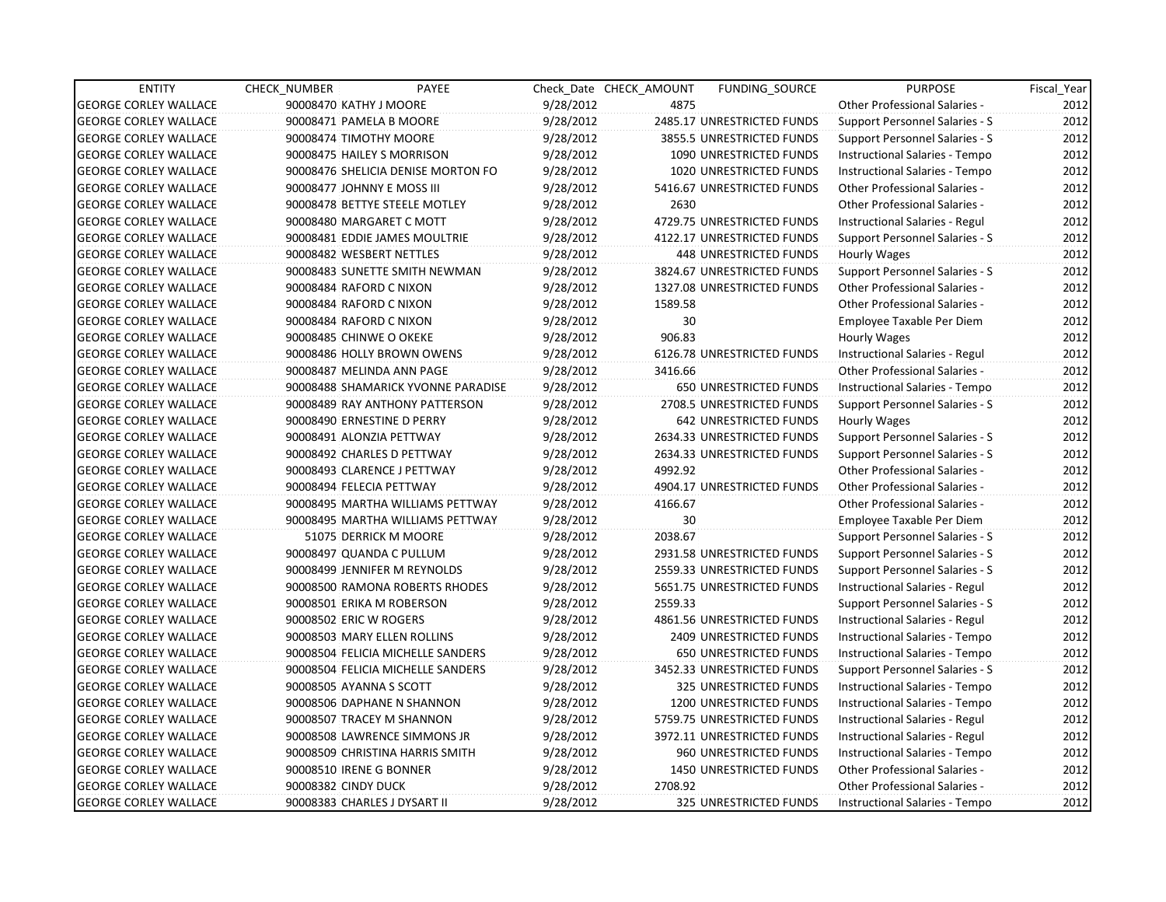| <b>ENTITY</b>                | <b>CHECK NUMBER</b>          | PAYEE                              |           | Check Date CHECK AMOUNT | <b>FUNDING SOURCE</b>          | <b>PURPOSE</b>                        | Fiscal Year |
|------------------------------|------------------------------|------------------------------------|-----------|-------------------------|--------------------------------|---------------------------------------|-------------|
| <b>GEORGE CORLEY WALLACE</b> | 90008470 KATHY J MOORE       |                                    | 9/28/2012 | 4875                    |                                | <b>Other Professional Salaries -</b>  | 2012        |
| <b>GEORGE CORLEY WALLACE</b> | 90008471 PAMELA B MOORE      |                                    | 9/28/2012 |                         | 2485.17 UNRESTRICTED FUNDS     | Support Personnel Salaries - S        | 2012        |
| <b>GEORGE CORLEY WALLACE</b> | 90008474 TIMOTHY MOORE       |                                    | 9/28/2012 |                         | 3855.5 UNRESTRICTED FUNDS      | Support Personnel Salaries - S        | 2012        |
| <b>GEORGE CORLEY WALLACE</b> | 90008475 HAILEY S MORRISON   |                                    | 9/28/2012 |                         | 1090 UNRESTRICTED FUNDS        | Instructional Salaries - Tempo        | 2012        |
| <b>GEORGE CORLEY WALLACE</b> |                              | 90008476 SHELICIA DENISE MORTON FO | 9/28/2012 |                         | 1020 UNRESTRICTED FUNDS        | Instructional Salaries - Tempo        | 2012        |
| <b>GEORGE CORLEY WALLACE</b> | 90008477 JOHNNY E MOSS III   |                                    | 9/28/2012 |                         | 5416.67 UNRESTRICTED FUNDS     | <b>Other Professional Salaries -</b>  | 2012        |
| <b>GEORGE CORLEY WALLACE</b> |                              | 90008478 BETTYE STEELE MOTLEY      | 9/28/2012 | 2630                    |                                | <b>Other Professional Salaries -</b>  | 2012        |
| <b>GEORGE CORLEY WALLACE</b> | 90008480 MARGARET C MOTT     |                                    | 9/28/2012 |                         | 4729.75 UNRESTRICTED FUNDS     | Instructional Salaries - Regul        | 2012        |
| <b>GEORGE CORLEY WALLACE</b> |                              | 90008481 EDDIE JAMES MOULTRIE      | 9/28/2012 |                         | 4122.17 UNRESTRICTED FUNDS     | Support Personnel Salaries - S        | 2012        |
| <b>GEORGE CORLEY WALLACE</b> | 90008482 WESBERT NETTLES     |                                    | 9/28/2012 |                         | 448 UNRESTRICTED FUNDS         | Hourly Wages                          | 2012        |
| <b>GEORGE CORLEY WALLACE</b> |                              | 90008483 SUNETTE SMITH NEWMAN      | 9/28/2012 |                         | 3824.67 UNRESTRICTED FUNDS     | Support Personnel Salaries - S        | 2012        |
| <b>GEORGE CORLEY WALLACE</b> | 90008484 RAFORD C NIXON      |                                    | 9/28/2012 |                         | 1327.08 UNRESTRICTED FUNDS     | <b>Other Professional Salaries -</b>  | 2012        |
| <b>GEORGE CORLEY WALLACE</b> | 90008484 RAFORD C NIXON      |                                    | 9/28/2012 | 1589.58                 |                                | <b>Other Professional Salaries -</b>  | 2012        |
| <b>GEORGE CORLEY WALLACE</b> | 90008484 RAFORD C NIXON      |                                    | 9/28/2012 | 30                      |                                | Employee Taxable Per Diem             | 2012        |
| <b>GEORGE CORLEY WALLACE</b> | 90008485 CHINWE O OKEKE      |                                    | 9/28/2012 | 906.83                  |                                | Hourly Wages                          | 2012        |
| <b>GEORGE CORLEY WALLACE</b> |                              | 90008486 HOLLY BROWN OWENS         | 9/28/2012 |                         | 6126.78 UNRESTRICTED FUNDS     | Instructional Salaries - Regul        | 2012        |
| <b>GEORGE CORLEY WALLACE</b> | 90008487 MELINDA ANN PAGE    |                                    | 9/28/2012 | 3416.66                 |                                | <b>Other Professional Salaries -</b>  | 2012        |
| <b>GEORGE CORLEY WALLACE</b> |                              | 90008488 SHAMARICK YVONNE PARADISE | 9/28/2012 |                         | 650 UNRESTRICTED FUNDS         | Instructional Salaries - Tempo        | 2012        |
| <b>GEORGE CORLEY WALLACE</b> |                              | 90008489 RAY ANTHONY PATTERSON     | 9/28/2012 |                         | 2708.5 UNRESTRICTED FUNDS      | Support Personnel Salaries - S        | 2012        |
| <b>GEORGE CORLEY WALLACE</b> | 90008490 ERNESTINE D PERRY   |                                    | 9/28/2012 |                         | 642 UNRESTRICTED FUNDS         | Hourly Wages                          | 2012        |
| <b>GEORGE CORLEY WALLACE</b> | 90008491 ALONZIA PETTWAY     |                                    | 9/28/2012 |                         | 2634.33 UNRESTRICTED FUNDS     | <b>Support Personnel Salaries - S</b> | 2012        |
| <b>GEORGE CORLEY WALLACE</b> | 90008492 CHARLES D PETTWAY   |                                    | 9/28/2012 |                         | 2634.33 UNRESTRICTED FUNDS     | Support Personnel Salaries - S        | 2012        |
| <b>GEORGE CORLEY WALLACE</b> |                              | 90008493 CLARENCE J PETTWAY        | 9/28/2012 | 4992.92                 |                                | <b>Other Professional Salaries -</b>  | 2012        |
| <b>GEORGE CORLEY WALLACE</b> | 90008494 FELECIA PETTWAY     |                                    | 9/28/2012 |                         | 4904.17 UNRESTRICTED FUNDS     | Other Professional Salaries -         | 2012        |
| <b>GEORGE CORLEY WALLACE</b> |                              | 90008495 MARTHA WILLIAMS PETTWAY   | 9/28/2012 | 4166.67                 |                                | Other Professional Salaries -         | 2012        |
| <b>GEORGE CORLEY WALLACE</b> |                              | 90008495 MARTHA WILLIAMS PETTWAY   | 9/28/2012 | 30                      |                                | Employee Taxable Per Diem             | 2012        |
| <b>GEORGE CORLEY WALLACE</b> |                              | 51075 DERRICK M MOORE              | 9/28/2012 | 2038.67                 |                                | Support Personnel Salaries - S        | 2012        |
| <b>GEORGE CORLEY WALLACE</b> | 90008497 QUANDA C PULLUM     |                                    | 9/28/2012 |                         | 2931.58 UNRESTRICTED FUNDS     | Support Personnel Salaries - S        | 2012        |
| <b>GEORGE CORLEY WALLACE</b> |                              | 90008499 JENNIFER M REYNOLDS       | 9/28/2012 |                         | 2559.33 UNRESTRICTED FUNDS     | Support Personnel Salaries - S        | 2012        |
| <b>GEORGE CORLEY WALLACE</b> |                              | 90008500 RAMONA ROBERTS RHODES     | 9/28/2012 |                         | 5651.75 UNRESTRICTED FUNDS     | Instructional Salaries - Regul        | 2012        |
| <b>GEORGE CORLEY WALLACE</b> | 90008501 ERIKA M ROBERSON    |                                    | 9/28/2012 | 2559.33                 |                                | Support Personnel Salaries - S        | 2012        |
| <b>GEORGE CORLEY WALLACE</b> | 90008502 ERIC W ROGERS       |                                    | 9/28/2012 |                         | 4861.56 UNRESTRICTED FUNDS     | Instructional Salaries - Regul        | 2012        |
| <b>GEORGE CORLEY WALLACE</b> | 90008503 MARY ELLEN ROLLINS  |                                    | 9/28/2012 |                         | <b>2409 UNRESTRICTED FUNDS</b> | Instructional Salaries - Tempo        | 2012        |
| <b>GEORGE CORLEY WALLACE</b> |                              | 90008504 FELICIA MICHELLE SANDERS  | 9/28/2012 |                         | 650 UNRESTRICTED FUNDS         | Instructional Salaries - Tempo        | 2012        |
| <b>GEORGE CORLEY WALLACE</b> |                              | 90008504 FELICIA MICHELLE SANDERS  | 9/28/2012 |                         | 3452.33 UNRESTRICTED FUNDS     | Support Personnel Salaries - S        | 2012        |
| <b>GEORGE CORLEY WALLACE</b> | 90008505 AYANNA S SCOTT      |                                    | 9/28/2012 |                         | 325 UNRESTRICTED FUNDS         | Instructional Salaries - Tempo        | 2012        |
| <b>GEORGE CORLEY WALLACE</b> |                              | 90008506 DAPHANE N SHANNON         | 9/28/2012 |                         | 1200 UNRESTRICTED FUNDS        | Instructional Salaries - Tempo        | 2012        |
| <b>GEORGE CORLEY WALLACE</b> | 90008507 TRACEY M SHANNON    |                                    | 9/28/2012 |                         | 5759.75 UNRESTRICTED FUNDS     | <b>Instructional Salaries - Regul</b> | 2012        |
| <b>GEORGE CORLEY WALLACE</b> |                              | 90008508 LAWRENCE SIMMONS JR       | 9/28/2012 |                         | 3972.11 UNRESTRICTED FUNDS     | Instructional Salaries - Regul        | 2012        |
| <b>GEORGE CORLEY WALLACE</b> |                              | 90008509 CHRISTINA HARRIS SMITH    | 9/28/2012 |                         | 960 UNRESTRICTED FUNDS         | Instructional Salaries - Tempo        | 2012        |
| <b>GEORGE CORLEY WALLACE</b> | 90008510 IRENE G BONNER      |                                    | 9/28/2012 |                         | 1450 UNRESTRICTED FUNDS        | <b>Other Professional Salaries -</b>  | 2012        |
| <b>GEORGE CORLEY WALLACE</b> | 90008382 CINDY DUCK          |                                    | 9/28/2012 | 2708.92                 |                                | <b>Other Professional Salaries -</b>  | 2012        |
| <b>GEORGE CORLEY WALLACE</b> | 90008383 CHARLES J DYSART II |                                    | 9/28/2012 |                         | 325 UNRESTRICTED FUNDS         | Instructional Salaries - Tempo        | 2012        |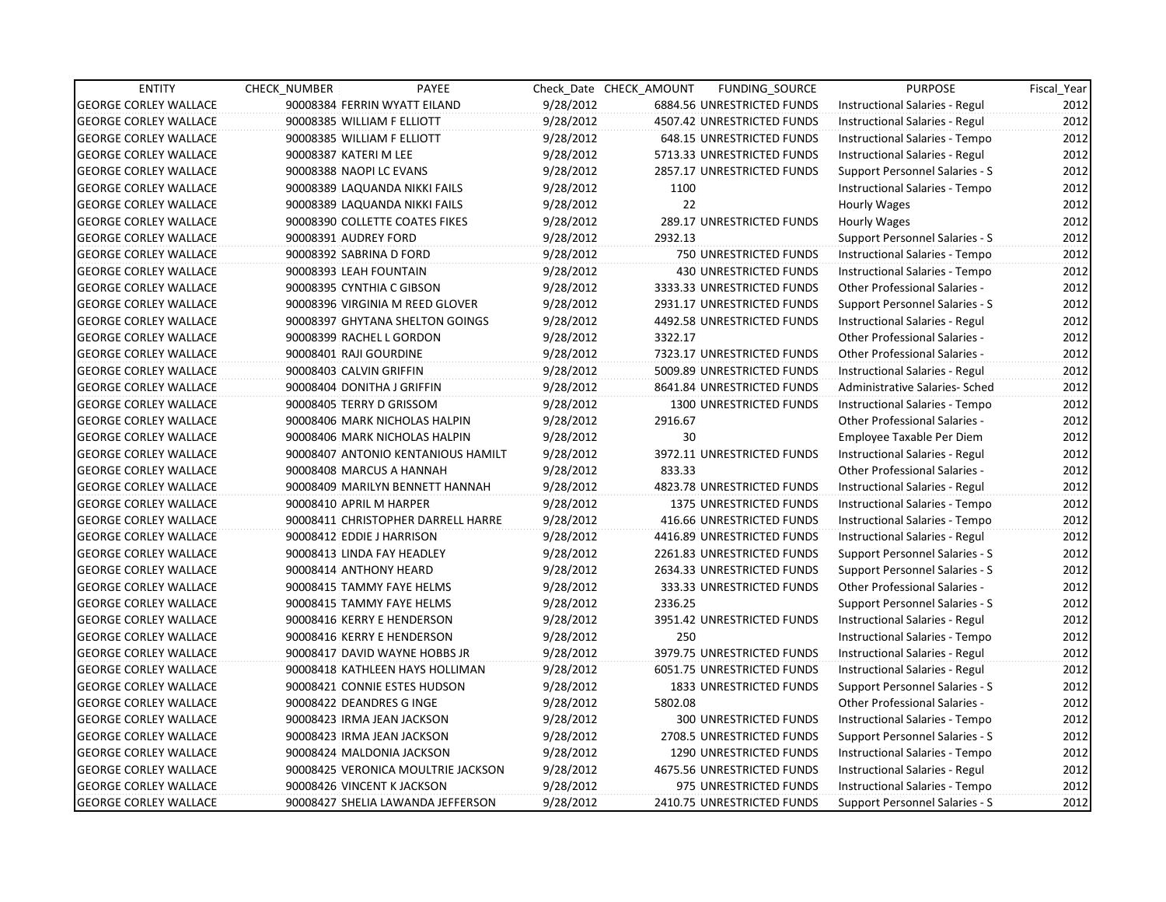| <b>ENTITY</b>                | <b>CHECK NUMBER</b>           | PAYEE                              |           | Check Date CHECK AMOUNT | FUNDING_SOURCE                 | <b>PURPOSE</b>                        | Fiscal_Year |
|------------------------------|-------------------------------|------------------------------------|-----------|-------------------------|--------------------------------|---------------------------------------|-------------|
| <b>GEORGE CORLEY WALLACE</b> | 90008384 FERRIN WYATT EILAND  |                                    | 9/28/2012 |                         | 6884.56 UNRESTRICTED FUNDS     | Instructional Salaries - Regul        | 2012        |
| <b>GEORGE CORLEY WALLACE</b> | 90008385 WILLIAM F ELLIOTT    |                                    | 9/28/2012 |                         | 4507.42 UNRESTRICTED FUNDS     | Instructional Salaries - Regul        | 2012        |
| <b>GEORGE CORLEY WALLACE</b> | 90008385 WILLIAM F ELLIOTT    |                                    | 9/28/2012 |                         | 648.15 UNRESTRICTED FUNDS      | Instructional Salaries - Tempo        | 2012        |
| <b>GEORGE CORLEY WALLACE</b> | 90008387 KATERI M LEE         |                                    | 9/28/2012 |                         | 5713.33 UNRESTRICTED FUNDS     | Instructional Salaries - Regul        | 2012        |
| <b>GEORGE CORLEY WALLACE</b> | 90008388 NAOPI LC EVANS       |                                    | 9/28/2012 |                         | 2857.17 UNRESTRICTED FUNDS     | Support Personnel Salaries - S        | 2012        |
| <b>GEORGE CORLEY WALLACE</b> | 90008389 LAQUANDA NIKKI FAILS |                                    | 9/28/2012 | 1100                    |                                | Instructional Salaries - Tempo        | 2012        |
| <b>GEORGE CORLEY WALLACE</b> | 90008389 LAQUANDA NIKKI FAILS |                                    | 9/28/2012 | 22 <sup>2</sup>         |                                | Hourly Wages                          | 2012        |
| <b>GEORGE CORLEY WALLACE</b> |                               | 90008390 COLLETTE COATES FIKES     | 9/28/2012 |                         | 289.17 UNRESTRICTED FUNDS      | Hourly Wages                          | 2012        |
| <b>GEORGE CORLEY WALLACE</b> | 90008391 AUDREY FORD          |                                    | 9/28/2012 | 2932.13                 |                                | Support Personnel Salaries - S        | 2012        |
| <b>GEORGE CORLEY WALLACE</b> | 90008392 SABRINA D FORD       |                                    | 9/28/2012 |                         | 750 UNRESTRICTED FUNDS         | Instructional Salaries - Tempo        | 2012        |
| <b>GEORGE CORLEY WALLACE</b> | 90008393 LEAH FOUNTAIN        |                                    | 9/28/2012 |                         | 430 UNRESTRICTED FUNDS         | Instructional Salaries - Tempo        | 2012        |
| <b>GEORGE CORLEY WALLACE</b> | 90008395 CYNTHIA C GIBSON     |                                    | 9/28/2012 |                         | 3333.33 UNRESTRICTED FUNDS     | Other Professional Salaries -         | 2012        |
| <b>GEORGE CORLEY WALLACE</b> |                               | 90008396 VIRGINIA M REED GLOVER    | 9/28/2012 |                         | 2931.17 UNRESTRICTED FUNDS     | Support Personnel Salaries - S        | 2012        |
| <b>GEORGE CORLEY WALLACE</b> |                               | 90008397 GHYTANA SHELTON GOINGS    | 9/28/2012 |                         | 4492.58 UNRESTRICTED FUNDS     | Instructional Salaries - Regul        | 2012        |
| <b>GEORGE CORLEY WALLACE</b> | 90008399 RACHEL L GORDON      |                                    | 9/28/2012 | 3322.17                 |                                | <b>Other Professional Salaries -</b>  | 2012        |
| <b>GEORGE CORLEY WALLACE</b> | 90008401 RAJI GOURDINE        |                                    | 9/28/2012 |                         | 7323.17 UNRESTRICTED FUNDS     | <b>Other Professional Salaries -</b>  | 2012        |
| <b>GEORGE CORLEY WALLACE</b> | 90008403 CALVIN GRIFFIN       |                                    | 9/28/2012 |                         | 5009.89 UNRESTRICTED FUNDS     | Instructional Salaries - Regul        | 2012        |
| <b>GEORGE CORLEY WALLACE</b> | 90008404 DONITHA J GRIFFIN    |                                    | 9/28/2012 |                         | 8641.84 UNRESTRICTED FUNDS     | Administrative Salaries- Sched        | 2012        |
| <b>GEORGE CORLEY WALLACE</b> | 90008405 TERRY D GRISSOM      |                                    | 9/28/2012 |                         | 1300 UNRESTRICTED FUNDS        | Instructional Salaries - Tempo        | 2012        |
| <b>GEORGE CORLEY WALLACE</b> |                               | 90008406 MARK NICHOLAS HALPIN      | 9/28/2012 | 2916.67                 |                                | Other Professional Salaries -         | 2012        |
| <b>GEORGE CORLEY WALLACE</b> |                               | 90008406 MARK NICHOLAS HALPIN      | 9/28/2012 | 30                      |                                | Employee Taxable Per Diem             | 2012        |
| <b>GEORGE CORLEY WALLACE</b> |                               | 90008407 ANTONIO KENTANIOUS HAMILT | 9/28/2012 |                         | 3972.11 UNRESTRICTED FUNDS     | Instructional Salaries - Regul        | 2012        |
| <b>GEORGE CORLEY WALLACE</b> | 90008408 MARCUS A HANNAH      |                                    | 9/28/2012 | 833.33                  |                                | <b>Other Professional Salaries -</b>  | 2012        |
| <b>GEORGE CORLEY WALLACE</b> |                               | 90008409 MARILYN BENNETT HANNAH    | 9/28/2012 |                         | 4823.78 UNRESTRICTED FUNDS     | Instructional Salaries - Regul        | 2012        |
| <b>GEORGE CORLEY WALLACE</b> | 90008410 APRIL M HARPER       |                                    | 9/28/2012 |                         | 1375 UNRESTRICTED FUNDS        | Instructional Salaries - Tempo        | 2012        |
| <b>GEORGE CORLEY WALLACE</b> |                               | 90008411 CHRISTOPHER DARRELL HARRE | 9/28/2012 |                         | 416.66 UNRESTRICTED FUNDS      | Instructional Salaries - Tempo        | 2012        |
| <b>GEORGE CORLEY WALLACE</b> | 90008412 EDDIE J HARRISON     |                                    | 9/28/2012 |                         | 4416.89 UNRESTRICTED FUNDS     | Instructional Salaries - Regul        | 2012        |
| <b>GEORGE CORLEY WALLACE</b> | 90008413 LINDA FAY HEADLEY    |                                    | 9/28/2012 |                         | 2261.83 UNRESTRICTED FUNDS     | <b>Support Personnel Salaries - S</b> | 2012        |
| <b>GEORGE CORLEY WALLACE</b> | 90008414 ANTHONY HEARD        |                                    | 9/28/2012 |                         | 2634.33 UNRESTRICTED FUNDS     | Support Personnel Salaries - S        | 2012        |
| <b>GEORGE CORLEY WALLACE</b> | 90008415 TAMMY FAYE HELMS     |                                    | 9/28/2012 |                         | 333.33 UNRESTRICTED FUNDS      | <b>Other Professional Salaries -</b>  | 2012        |
| <b>GEORGE CORLEY WALLACE</b> | 90008415 TAMMY FAYE HELMS     |                                    | 9/28/2012 | 2336.25                 |                                | Support Personnel Salaries - S        | 2012        |
| <b>GEORGE CORLEY WALLACE</b> | 90008416 KERRY E HENDERSON    |                                    | 9/28/2012 |                         | 3951.42 UNRESTRICTED FUNDS     | Instructional Salaries - Regul        | 2012        |
| <b>GEORGE CORLEY WALLACE</b> | 90008416 KERRY E HENDERSON    |                                    | 9/28/2012 | 250                     |                                | Instructional Salaries - Tempo        | 2012        |
| <b>GEORGE CORLEY WALLACE</b> |                               | 90008417 DAVID WAYNE HOBBS JR      | 9/28/2012 |                         | 3979.75 UNRESTRICTED FUNDS     | Instructional Salaries - Regul        | 2012        |
| <b>GEORGE CORLEY WALLACE</b> |                               | 90008418 KATHLEEN HAYS HOLLIMAN    | 9/28/2012 |                         | 6051.75 UNRESTRICTED FUNDS     | Instructional Salaries - Regul        | 2012        |
| <b>GEORGE CORLEY WALLACE</b> | 90008421 CONNIE ESTES HUDSON  |                                    | 9/28/2012 |                         | <b>1833 UNRESTRICTED FUNDS</b> | Support Personnel Salaries - S        | 2012        |
| <b>GEORGE CORLEY WALLACE</b> | 90008422 DEANDRES G INGE      |                                    | 9/28/2012 | 5802.08                 |                                | Other Professional Salaries -         | 2012        |
| <b>GEORGE CORLEY WALLACE</b> | 90008423 IRMA JEAN JACKSON    |                                    | 9/28/2012 |                         | 300 UNRESTRICTED FUNDS         | Instructional Salaries - Tempo        | 2012        |
| <b>GEORGE CORLEY WALLACE</b> | 90008423 IRMA JEAN JACKSON    |                                    | 9/28/2012 |                         | 2708.5 UNRESTRICTED FUNDS      | Support Personnel Salaries - S        | 2012        |
| <b>GEORGE CORLEY WALLACE</b> | 90008424 MALDONIA JACKSON     |                                    | 9/28/2012 |                         | 1290 UNRESTRICTED FUNDS        | Instructional Salaries - Tempo        | 2012        |
| <b>GEORGE CORLEY WALLACE</b> |                               | 90008425 VERONICA MOULTRIE JACKSON | 9/28/2012 |                         | 4675.56 UNRESTRICTED FUNDS     | Instructional Salaries - Regul        | 2012        |
| <b>GEORGE CORLEY WALLACE</b> | 90008426 VINCENT K JACKSON    |                                    | 9/28/2012 |                         | 975 UNRESTRICTED FUNDS         | Instructional Salaries - Tempo        | 2012        |
| <b>GEORGE CORLEY WALLACE</b> |                               | 90008427 SHELIA LAWANDA JEFFERSON  | 9/28/2012 |                         | 2410.75 UNRESTRICTED FUNDS     | Support Personnel Salaries - S        | 2012        |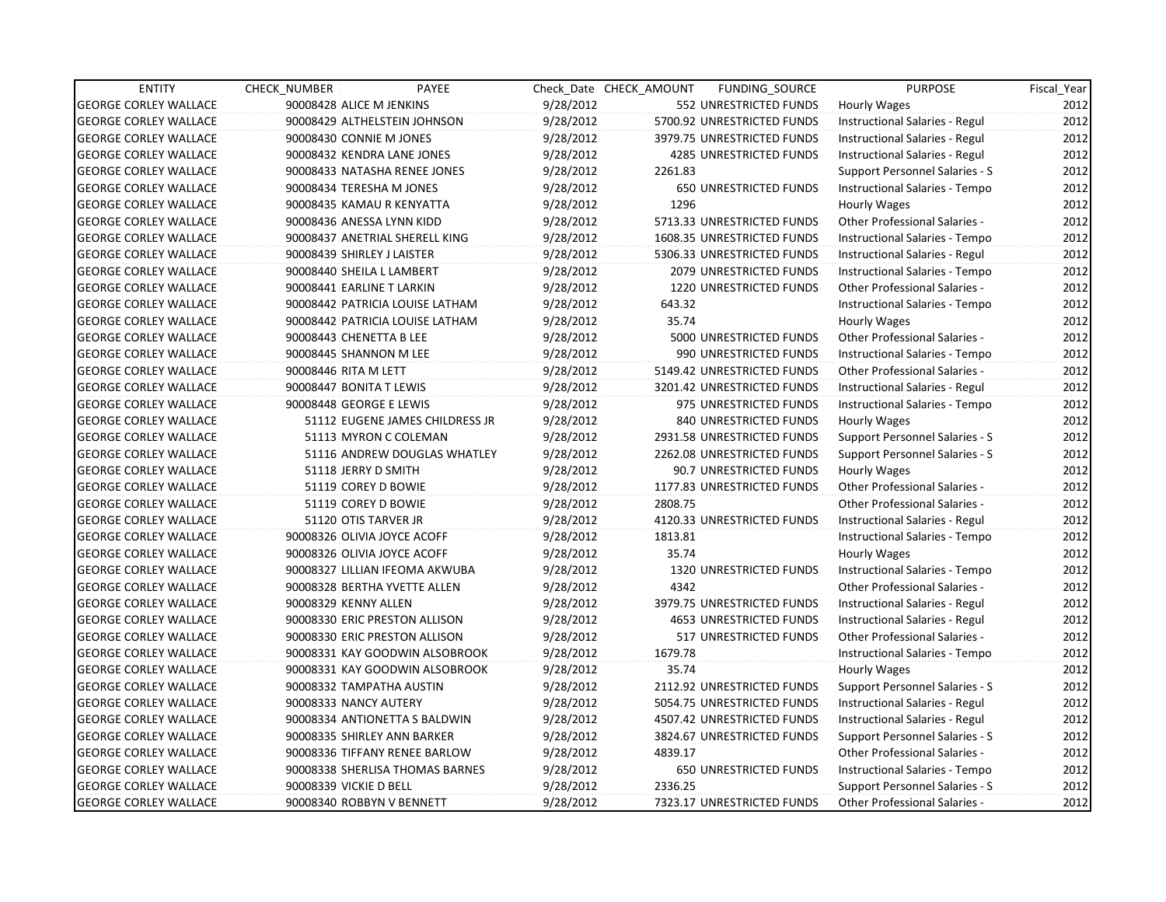| <b>ENTITY</b>                | CHECK_NUMBER           | PAYEE                           |           | Check Date CHECK AMOUNT | FUNDING_SOURCE                 | <b>PURPOSE</b>                       | Fiscal_Year |
|------------------------------|------------------------|---------------------------------|-----------|-------------------------|--------------------------------|--------------------------------------|-------------|
| <b>GEORGE CORLEY WALLACE</b> |                        | 90008428 ALICE M JENKINS        | 9/28/2012 |                         | 552 UNRESTRICTED FUNDS         | <b>Hourly Wages</b>                  | 2012        |
| <b>GEORGE CORLEY WALLACE</b> |                        | 90008429 ALTHELSTEIN JOHNSON    | 9/28/2012 |                         | 5700.92 UNRESTRICTED FUNDS     | Instructional Salaries - Regul       | 2012        |
| <b>GEORGE CORLEY WALLACE</b> |                        | 90008430 CONNIE M JONES         | 9/28/2012 |                         | 3979.75 UNRESTRICTED FUNDS     | Instructional Salaries - Regul       | 2012        |
| <b>GEORGE CORLEY WALLACE</b> |                        | 90008432 KENDRA LANE JONES      | 9/28/2012 |                         | 4285 UNRESTRICTED FUNDS        | Instructional Salaries - Regul       | 2012        |
| <b>GEORGE CORLEY WALLACE</b> |                        | 90008433 NATASHA RENEE JONES    | 9/28/2012 | 2261.83                 |                                | Support Personnel Salaries - S       | 2012        |
| <b>GEORGE CORLEY WALLACE</b> |                        | 90008434 TERESHA M JONES        | 9/28/2012 |                         | <b>650 UNRESTRICTED FUNDS</b>  | Instructional Salaries - Tempo       | 2012        |
| <b>GEORGE CORLEY WALLACE</b> |                        | 90008435 KAMAU R KENYATTA       | 9/28/2012 | 1296                    |                                | Hourly Wages                         | 2012        |
| <b>GEORGE CORLEY WALLACE</b> |                        | 90008436 ANESSA LYNN KIDD       | 9/28/2012 |                         | 5713.33 UNRESTRICTED FUNDS     | Other Professional Salaries -        | 2012        |
| <b>GEORGE CORLEY WALLACE</b> |                        | 90008437 ANETRIAL SHERELL KING  | 9/28/2012 |                         | 1608.35 UNRESTRICTED FUNDS     | Instructional Salaries - Tempo       | 2012        |
| <b>GEORGE CORLEY WALLACE</b> |                        | 90008439 SHIRLEY J LAISTER      | 9/28/2012 |                         | 5306.33 UNRESTRICTED FUNDS     | Instructional Salaries - Regul       | 2012        |
| <b>GEORGE CORLEY WALLACE</b> |                        | 90008440 SHEILA L LAMBERT       | 9/28/2012 |                         | 2079 UNRESTRICTED FUNDS        | Instructional Salaries - Tempo       | 2012        |
| <b>GEORGE CORLEY WALLACE</b> |                        | 90008441 EARLINE T LARKIN       | 9/28/2012 |                         | 1220 UNRESTRICTED FUNDS        | Other Professional Salaries -        | 2012        |
| <b>GEORGE CORLEY WALLACE</b> |                        | 90008442 PATRICIA LOUISE LATHAM | 9/28/2012 | 643.32                  |                                | Instructional Salaries - Tempo       | 2012        |
| <b>GEORGE CORLEY WALLACE</b> |                        | 90008442 PATRICIA LOUISE LATHAM | 9/28/2012 | 35.74                   |                                | Hourly Wages                         | 2012        |
| <b>GEORGE CORLEY WALLACE</b> |                        | 90008443 CHENETTA B LEE         | 9/28/2012 |                         | 5000 UNRESTRICTED FUNDS        | <b>Other Professional Salaries -</b> | 2012        |
| <b>GEORGE CORLEY WALLACE</b> |                        | 90008445 SHANNON M LEE          | 9/28/2012 |                         | 990 UNRESTRICTED FUNDS         | Instructional Salaries - Tempo       | 2012        |
| <b>GEORGE CORLEY WALLACE</b> | 90008446 RITA M LETT   |                                 | 9/28/2012 |                         | 5149.42 UNRESTRICTED FUNDS     | Other Professional Salaries -        | 2012        |
| <b>GEORGE CORLEY WALLACE</b> |                        | 90008447 BONITA T LEWIS         | 9/28/2012 |                         | 3201.42 UNRESTRICTED FUNDS     | Instructional Salaries - Regul       | 2012        |
| <b>GEORGE CORLEY WALLACE</b> |                        | 90008448 GEORGE E LEWIS         | 9/28/2012 |                         | 975 UNRESTRICTED FUNDS         | Instructional Salaries - Tempo       | 2012        |
| <b>GEORGE CORLEY WALLACE</b> |                        | 51112 EUGENE JAMES CHILDRESS JR | 9/28/2012 |                         | 840 UNRESTRICTED FUNDS         | Hourly Wages                         | 2012        |
| <b>GEORGE CORLEY WALLACE</b> |                        | 51113 MYRON C COLEMAN           | 9/28/2012 |                         | 2931.58 UNRESTRICTED FUNDS     | Support Personnel Salaries - S       | 2012        |
| <b>GEORGE CORLEY WALLACE</b> |                        | 51116 ANDREW DOUGLAS WHATLEY    | 9/28/2012 |                         | 2262.08 UNRESTRICTED FUNDS     | Support Personnel Salaries - S       | 2012        |
| <b>GEORGE CORLEY WALLACE</b> |                        | 51118 JERRY D SMITH             | 9/28/2012 |                         | 90.7 UNRESTRICTED FUNDS        | Hourly Wages                         | 2012        |
| <b>GEORGE CORLEY WALLACE</b> |                        | 51119 COREY D BOWIE             | 9/28/2012 |                         | 1177.83 UNRESTRICTED FUNDS     | <b>Other Professional Salaries -</b> | 2012        |
| <b>GEORGE CORLEY WALLACE</b> |                        | 51119 COREY D BOWIE             | 9/28/2012 | 2808.75                 |                                | <b>Other Professional Salaries -</b> | 2012        |
| <b>GEORGE CORLEY WALLACE</b> |                        | 51120 OTIS TARVER JR            | 9/28/2012 |                         | 4120.33 UNRESTRICTED FUNDS     | Instructional Salaries - Regul       | 2012        |
| <b>GEORGE CORLEY WALLACE</b> |                        | 90008326 OLIVIA JOYCE ACOFF     | 9/28/2012 | 1813.81                 |                                | Instructional Salaries - Tempo       | 2012        |
| <b>GEORGE CORLEY WALLACE</b> |                        | 90008326 OLIVIA JOYCE ACOFF     | 9/28/2012 | 35.74                   |                                | Hourly Wages                         | 2012        |
| <b>GEORGE CORLEY WALLACE</b> |                        | 90008327 LILLIAN IFEOMA AKWUBA  | 9/28/2012 |                         | 1320 UNRESTRICTED FUNDS        | Instructional Salaries - Tempo       | 2012        |
| <b>GEORGE CORLEY WALLACE</b> |                        | 90008328 BERTHA YVETTE ALLEN    | 9/28/2012 | 4342                    |                                | <b>Other Professional Salaries -</b> | 2012        |
| <b>GEORGE CORLEY WALLACE</b> | 90008329 KENNY ALLEN   |                                 | 9/28/2012 |                         | 3979.75 UNRESTRICTED FUNDS     | Instructional Salaries - Regul       | 2012        |
| <b>GEORGE CORLEY WALLACE</b> |                        | 90008330 ERIC PRESTON ALLISON   | 9/28/2012 |                         | <b>4653 UNRESTRICTED FUNDS</b> | Instructional Salaries - Regul       | 2012        |
| <b>GEORGE CORLEY WALLACE</b> |                        | 90008330 ERIC PRESTON ALLISON   | 9/28/2012 |                         | 517 UNRESTRICTED FUNDS         | Other Professional Salaries -        | 2012        |
| <b>GEORGE CORLEY WALLACE</b> |                        | 90008331 KAY GOODWIN ALSOBROOK  | 9/28/2012 | 1679.78                 |                                | Instructional Salaries - Tempo       | 2012        |
| <b>GEORGE CORLEY WALLACE</b> |                        | 90008331 KAY GOODWIN ALSOBROOK  | 9/28/2012 | 35.74                   |                                | Hourly Wages                         | 2012        |
| <b>GEORGE CORLEY WALLACE</b> |                        | 90008332 TAMPATHA AUSTIN        | 9/28/2012 |                         | 2112.92 UNRESTRICTED FUNDS     | Support Personnel Salaries - S       | 2012        |
| <b>GEORGE CORLEY WALLACE</b> | 90008333 NANCY AUTERY  |                                 | 9/28/2012 |                         | 5054.75 UNRESTRICTED FUNDS     | Instructional Salaries - Regul       | 2012        |
| <b>GEORGE CORLEY WALLACE</b> |                        | 90008334 ANTIONETTA S BALDWIN   | 9/28/2012 |                         | 4507.42 UNRESTRICTED FUNDS     | Instructional Salaries - Regul       | 2012        |
| <b>GEORGE CORLEY WALLACE</b> |                        | 90008335 SHIRLEY ANN BARKER     | 9/28/2012 |                         | 3824.67 UNRESTRICTED FUNDS     | Support Personnel Salaries - S       | 2012        |
| <b>GEORGE CORLEY WALLACE</b> |                        | 90008336 TIFFANY RENEE BARLOW   | 9/28/2012 | 4839.17                 |                                | Other Professional Salaries -        | 2012        |
| <b>GEORGE CORLEY WALLACE</b> |                        | 90008338 SHERLISA THOMAS BARNES | 9/28/2012 |                         | 650 UNRESTRICTED FUNDS         | Instructional Salaries - Tempo       | 2012        |
| <b>GEORGE CORLEY WALLACE</b> | 90008339 VICKIE D BELL |                                 | 9/28/2012 | 2336.25                 |                                | Support Personnel Salaries - S       | 2012        |
| <b>GEORGE CORLEY WALLACE</b> |                        | 90008340 ROBBYN V BENNETT       | 9/28/2012 |                         | 7323.17 UNRESTRICTED FUNDS     | <b>Other Professional Salaries -</b> | 2012        |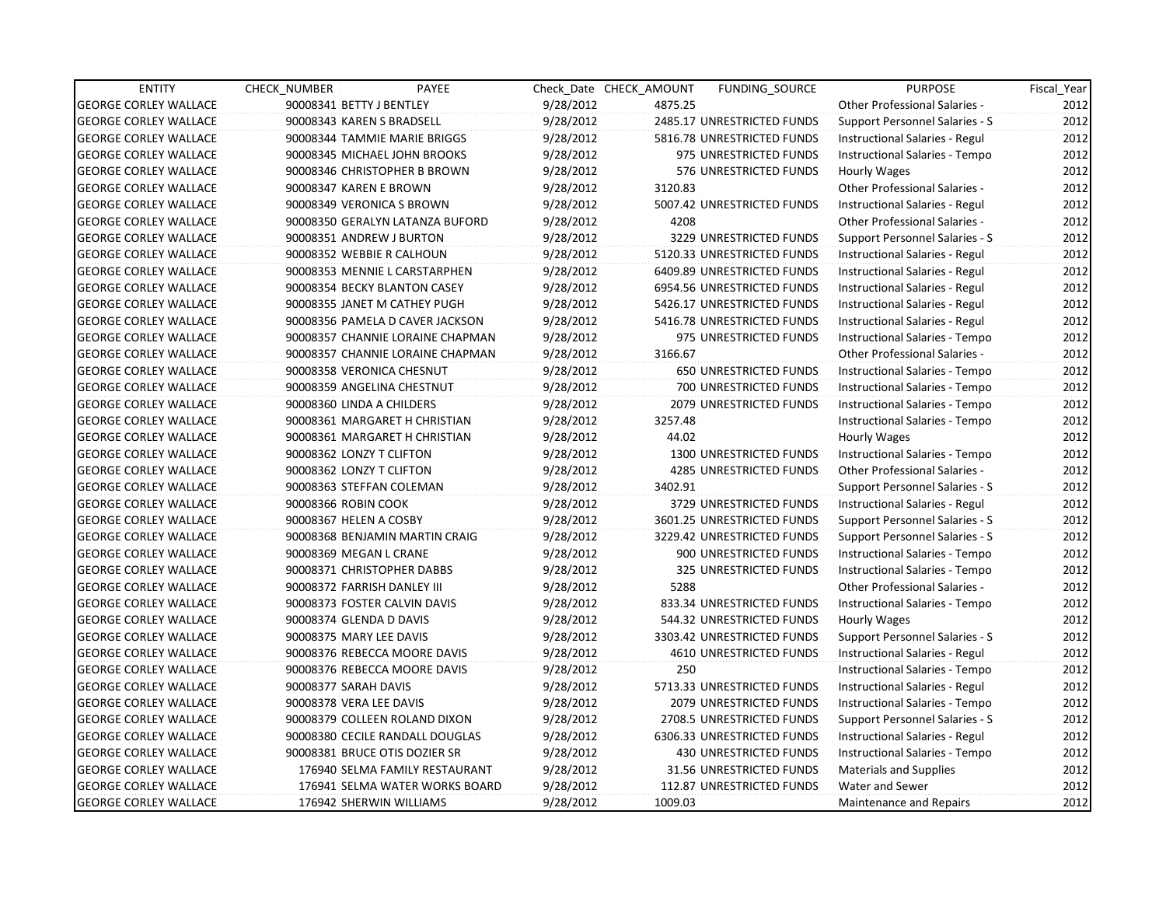| <b>ENTITY</b>                | CHECK_NUMBER                 | PAYEE                            |           | Check Date CHECK AMOUNT | <b>FUNDING SOURCE</b>          | <b>PURPOSE</b>                        | Fiscal_Year |
|------------------------------|------------------------------|----------------------------------|-----------|-------------------------|--------------------------------|---------------------------------------|-------------|
| <b>GEORGE CORLEY WALLACE</b> | 90008341 BETTY J BENTLEY     |                                  | 9/28/2012 | 4875.25                 |                                | <b>Other Professional Salaries -</b>  | 2012        |
| <b>GEORGE CORLEY WALLACE</b> | 90008343 KAREN S BRADSELL    |                                  | 9/28/2012 |                         | 2485.17 UNRESTRICTED FUNDS     | Support Personnel Salaries - S        | 2012        |
| <b>GEORGE CORLEY WALLACE</b> |                              | 90008344 TAMMIE MARIE BRIGGS     | 9/28/2012 |                         | 5816.78 UNRESTRICTED FUNDS     | Instructional Salaries - Regul        | 2012        |
| <b>GEORGE CORLEY WALLACE</b> |                              | 90008345 MICHAEL JOHN BROOKS     | 9/28/2012 |                         | 975 UNRESTRICTED FUNDS         | Instructional Salaries - Tempo        | 2012        |
| <b>GEORGE CORLEY WALLACE</b> |                              | 90008346 CHRISTOPHER B BROWN     | 9/28/2012 |                         | 576 UNRESTRICTED FUNDS         | Hourly Wages                          | 2012        |
| <b>GEORGE CORLEY WALLACE</b> | 90008347 KAREN E BROWN       |                                  | 9/28/2012 | 3120.83                 |                                | <b>Other Professional Salaries -</b>  | 2012        |
| <b>GEORGE CORLEY WALLACE</b> | 90008349 VERONICA S BROWN    |                                  | 9/28/2012 |                         | 5007.42 UNRESTRICTED FUNDS     | Instructional Salaries - Regul        | 2012        |
| <b>GEORGE CORLEY WALLACE</b> |                              | 90008350 GERALYN LATANZA BUFORD  | 9/28/2012 | 4208                    |                                | Other Professional Salaries -         | 2012        |
| <b>GEORGE CORLEY WALLACE</b> | 90008351 ANDREW J BURTON     |                                  | 9/28/2012 |                         | 3229 UNRESTRICTED FUNDS        | Support Personnel Salaries - S        | 2012        |
| <b>GEORGE CORLEY WALLACE</b> | 90008352 WEBBIE R CALHOUN    |                                  | 9/28/2012 |                         | 5120.33 UNRESTRICTED FUNDS     | Instructional Salaries - Regul        | 2012        |
| <b>GEORGE CORLEY WALLACE</b> |                              | 90008353 MENNIE L CARSTARPHEN    | 9/28/2012 |                         | 6409.89 UNRESTRICTED FUNDS     | Instructional Salaries - Regul        | 2012        |
| <b>GEORGE CORLEY WALLACE</b> |                              | 90008354 BECKY BLANTON CASEY     | 9/28/2012 |                         | 6954.56 UNRESTRICTED FUNDS     | Instructional Salaries - Regul        | 2012        |
| <b>GEORGE CORLEY WALLACE</b> |                              | 90008355 JANET M CATHEY PUGH     | 9/28/2012 |                         | 5426.17 UNRESTRICTED FUNDS     | Instructional Salaries - Regul        | 2012        |
| <b>GEORGE CORLEY WALLACE</b> |                              | 90008356 PAMELA D CAVER JACKSON  | 9/28/2012 |                         | 5416.78 UNRESTRICTED FUNDS     | Instructional Salaries - Regul        | 2012        |
| <b>GEORGE CORLEY WALLACE</b> |                              | 90008357 CHANNIE LORAINE CHAPMAN | 9/28/2012 |                         | 975 UNRESTRICTED FUNDS         | Instructional Salaries - Tempo        | 2012        |
| <b>GEORGE CORLEY WALLACE</b> |                              | 90008357 CHANNIE LORAINE CHAPMAN | 9/28/2012 | 3166.67                 |                                | Other Professional Salaries -         | 2012        |
| <b>GEORGE CORLEY WALLACE</b> | 90008358 VERONICA CHESNUT    |                                  | 9/28/2012 |                         | <b>650 UNRESTRICTED FUNDS</b>  | Instructional Salaries - Tempo        | 2012        |
| <b>GEORGE CORLEY WALLACE</b> | 90008359 ANGELINA CHESTNUT   |                                  | 9/28/2012 |                         | 700 UNRESTRICTED FUNDS         | Instructional Salaries - Tempo        | 2012        |
| <b>GEORGE CORLEY WALLACE</b> | 90008360 LINDA A CHILDERS    |                                  | 9/28/2012 |                         | 2079 UNRESTRICTED FUNDS        | Instructional Salaries - Tempo        | 2012        |
| <b>GEORGE CORLEY WALLACE</b> |                              | 90008361 MARGARET H CHRISTIAN    | 9/28/2012 | 3257.48                 |                                | Instructional Salaries - Tempo        | 2012        |
| <b>GEORGE CORLEY WALLACE</b> |                              | 90008361 MARGARET H CHRISTIAN    | 9/28/2012 | 44.02                   |                                | Hourly Wages                          | 2012        |
| <b>GEORGE CORLEY WALLACE</b> | 90008362 LONZY T CLIFTON     |                                  | 9/28/2012 |                         | 1300 UNRESTRICTED FUNDS        | Instructional Salaries - Tempo        | 2012        |
| <b>GEORGE CORLEY WALLACE</b> | 90008362 LONZY T CLIFTON     |                                  | 9/28/2012 |                         | 4285 UNRESTRICTED FUNDS        | <b>Other Professional Salaries -</b>  | 2012        |
| <b>GEORGE CORLEY WALLACE</b> | 90008363 STEFFAN COLEMAN     |                                  | 9/28/2012 | 3402.91                 |                                | Support Personnel Salaries - S        | 2012        |
| <b>GEORGE CORLEY WALLACE</b> | 90008366 ROBIN COOK          |                                  | 9/28/2012 |                         | 3729 UNRESTRICTED FUNDS        | Instructional Salaries - Regul        | 2012        |
| <b>GEORGE CORLEY WALLACE</b> | 90008367 HELEN A COSBY       |                                  | 9/28/2012 |                         | 3601.25 UNRESTRICTED FUNDS     | Support Personnel Salaries - S        | 2012        |
| <b>GEORGE CORLEY WALLACE</b> |                              | 90008368 BENJAMIN MARTIN CRAIG   | 9/28/2012 |                         | 3229.42 UNRESTRICTED FUNDS     | Support Personnel Salaries - S        | 2012        |
| <b>GEORGE CORLEY WALLACE</b> | 90008369 MEGAN L CRANE       |                                  | 9/28/2012 |                         | 900 UNRESTRICTED FUNDS         | Instructional Salaries - Tempo        | 2012        |
| <b>GEORGE CORLEY WALLACE</b> | 90008371 CHRISTOPHER DABBS   |                                  | 9/28/2012 |                         | 325 UNRESTRICTED FUNDS         | Instructional Salaries - Tempo        | 2012        |
| <b>GEORGE CORLEY WALLACE</b> | 90008372 FARRISH DANLEY III  |                                  | 9/28/2012 | 5288                    |                                | Other Professional Salaries -         | 2012        |
| <b>GEORGE CORLEY WALLACE</b> | 90008373 FOSTER CALVIN DAVIS |                                  | 9/28/2012 |                         | 833.34 UNRESTRICTED FUNDS      | Instructional Salaries - Tempo        | 2012        |
| <b>GEORGE CORLEY WALLACE</b> | 90008374 GLENDA D DAVIS      |                                  | 9/28/2012 |                         | 544.32 UNRESTRICTED FUNDS      | Hourly Wages                          | 2012        |
| <b>GEORGE CORLEY WALLACE</b> | 90008375 MARY LEE DAVIS      |                                  | 9/28/2012 |                         | 3303.42 UNRESTRICTED FUNDS     | Support Personnel Salaries - S        | 2012        |
| <b>GEORGE CORLEY WALLACE</b> |                              | 90008376 REBECCA MOORE DAVIS     | 9/28/2012 |                         | <b>4610 UNRESTRICTED FUNDS</b> | Instructional Salaries - Regul        | 2012        |
| <b>GEORGE CORLEY WALLACE</b> |                              | 90008376 REBECCA MOORE DAVIS     | 9/28/2012 | 250                     |                                | Instructional Salaries - Tempo        | 2012        |
| <b>GEORGE CORLEY WALLACE</b> | 90008377 SARAH DAVIS         |                                  | 9/28/2012 |                         | 5713.33 UNRESTRICTED FUNDS     | Instructional Salaries - Regul        | 2012        |
| <b>GEORGE CORLEY WALLACE</b> | 90008378 VERA LEE DAVIS      |                                  | 9/28/2012 |                         | 2079 UNRESTRICTED FUNDS        | Instructional Salaries - Tempo        | 2012        |
| <b>GEORGE CORLEY WALLACE</b> |                              | 90008379 COLLEEN ROLAND DIXON    | 9/28/2012 |                         | 2708.5 UNRESTRICTED FUNDS      | <b>Support Personnel Salaries - S</b> | 2012        |
| <b>GEORGE CORLEY WALLACE</b> |                              | 90008380 CECILE RANDALL DOUGLAS  | 9/28/2012 |                         | 6306.33 UNRESTRICTED FUNDS     | Instructional Salaries - Regul        | 2012        |
| <b>GEORGE CORLEY WALLACE</b> |                              | 90008381 BRUCE OTIS DOZIER SR    | 9/28/2012 |                         | 430 UNRESTRICTED FUNDS         | Instructional Salaries - Tempo        | 2012        |
| <b>GEORGE CORLEY WALLACE</b> |                              | 176940 SELMA FAMILY RESTAURANT   | 9/28/2012 |                         | 31.56 UNRESTRICTED FUNDS       | <b>Materials and Supplies</b>         | 2012        |
| <b>GEORGE CORLEY WALLACE</b> |                              | 176941 SELMA WATER WORKS BOARD   | 9/28/2012 |                         | 112.87 UNRESTRICTED FUNDS      | Water and Sewer                       | 2012        |
| <b>GEORGE CORLEY WALLACE</b> | 176942 SHERWIN WILLIAMS      |                                  | 9/28/2012 | 1009.03                 |                                | Maintenance and Repairs               | 2012        |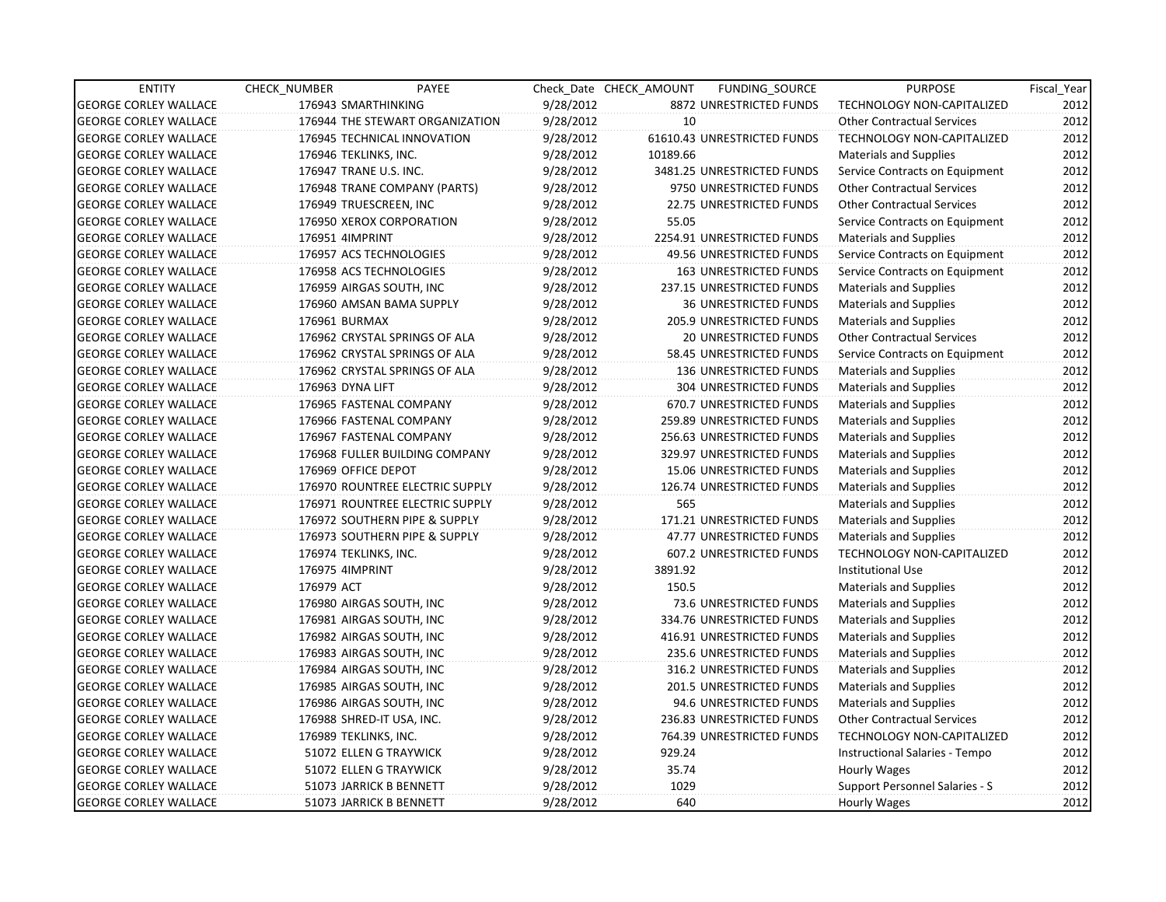| <b>ENTITY</b>                | CHECK NUMBER           | PAYEE                           |           | Check Date CHECK AMOUNT | FUNDING_SOURCE                  | <b>PURPOSE</b>                    | Fiscal_Year |
|------------------------------|------------------------|---------------------------------|-----------|-------------------------|---------------------------------|-----------------------------------|-------------|
| <b>GEORGE CORLEY WALLACE</b> | 176943 SMARTHINKING    |                                 | 9/28/2012 |                         | 8872 UNRESTRICTED FUNDS         | TECHNOLOGY NON-CAPITALIZED        | 2012        |
| <b>GEORGE CORLEY WALLACE</b> |                        | 176944 THE STEWART ORGANIZATION | 9/28/2012 | 10                      |                                 | <b>Other Contractual Services</b> | 2012        |
| <b>GEORGE CORLEY WALLACE</b> |                        | 176945 TECHNICAL INNOVATION     | 9/28/2012 |                         | 61610.43 UNRESTRICTED FUNDS     | <b>TECHNOLOGY NON-CAPITALIZED</b> | 2012        |
| <b>GEORGE CORLEY WALLACE</b> | 176946 TEKLINKS, INC.  |                                 | 9/28/2012 | 10189.66                |                                 | Materials and Supplies            | 2012        |
| <b>GEORGE CORLEY WALLACE</b> | 176947 TRANE U.S. INC. |                                 | 9/28/2012 |                         | 3481.25 UNRESTRICTED FUNDS      | Service Contracts on Equipment    | 2012        |
| <b>GEORGE CORLEY WALLACE</b> |                        | 176948 TRANE COMPANY (PARTS)    | 9/28/2012 |                         | 9750 UNRESTRICTED FUNDS         | <b>Other Contractual Services</b> | 2012        |
| <b>GEORGE CORLEY WALLACE</b> | 176949 TRUESCREEN, INC |                                 | 9/28/2012 |                         | 22.75 UNRESTRICTED FUNDS        | <b>Other Contractual Services</b> | 2012        |
| <b>GEORGE CORLEY WALLACE</b> |                        | 176950 XEROX CORPORATION        | 9/28/2012 | 55.05                   |                                 | Service Contracts on Equipment    | 2012        |
| <b>GEORGE CORLEY WALLACE</b> | 176951 4IMPRINT        |                                 | 9/28/2012 |                         | 2254.91 UNRESTRICTED FUNDS      | Materials and Supplies            | 2012        |
| <b>GEORGE CORLEY WALLACE</b> |                        | 176957 ACS TECHNOLOGIES         | 9/28/2012 |                         | 49.56 UNRESTRICTED FUNDS        | Service Contracts on Equipment    | 2012        |
| <b>GEORGE CORLEY WALLACE</b> |                        | 176958 ACS TECHNOLOGIES         | 9/28/2012 |                         | <b>163 UNRESTRICTED FUNDS</b>   | Service Contracts on Equipment    | 2012        |
| <b>GEORGE CORLEY WALLACE</b> |                        | 176959 AIRGAS SOUTH, INC        | 9/28/2012 |                         | 237.15 UNRESTRICTED FUNDS       | <b>Materials and Supplies</b>     | 2012        |
| <b>GEORGE CORLEY WALLACE</b> |                        | 176960 AMSAN BAMA SUPPLY        | 9/28/2012 |                         | <b>36 UNRESTRICTED FUNDS</b>    | <b>Materials and Supplies</b>     | 2012        |
| <b>GEORGE CORLEY WALLACE</b> | 176961 BURMAX          |                                 | 9/28/2012 |                         | 205.9 UNRESTRICTED FUNDS        | Materials and Supplies            | 2012        |
| <b>GEORGE CORLEY WALLACE</b> |                        | 176962 CRYSTAL SPRINGS OF ALA   | 9/28/2012 |                         | <b>20 UNRESTRICTED FUNDS</b>    | <b>Other Contractual Services</b> | 2012        |
| <b>GEORGE CORLEY WALLACE</b> |                        | 176962 CRYSTAL SPRINGS OF ALA   | 9/28/2012 |                         | 58.45 UNRESTRICTED FUNDS        | Service Contracts on Equipment    | 2012        |
| <b>GEORGE CORLEY WALLACE</b> |                        | 176962 CRYSTAL SPRINGS OF ALA   | 9/28/2012 |                         | <b>136 UNRESTRICTED FUNDS</b>   | Materials and Supplies            | 2012        |
| <b>GEORGE CORLEY WALLACE</b> | 176963 DYNA LIFT       |                                 | 9/28/2012 |                         | 304 UNRESTRICTED FUNDS          | <b>Materials and Supplies</b>     | 2012        |
| <b>GEORGE CORLEY WALLACE</b> |                        | 176965 FASTENAL COMPANY         | 9/28/2012 |                         | 670.7 UNRESTRICTED FUNDS        | Materials and Supplies            | 2012        |
| <b>GEORGE CORLEY WALLACE</b> |                        | 176966 FASTENAL COMPANY         | 9/28/2012 |                         | 259.89 UNRESTRICTED FUNDS       | Materials and Supplies            | 2012        |
| <b>GEORGE CORLEY WALLACE</b> |                        | 176967 FASTENAL COMPANY         | 9/28/2012 |                         | 256.63 UNRESTRICTED FUNDS       | <b>Materials and Supplies</b>     | 2012        |
| <b>GEORGE CORLEY WALLACE</b> |                        | 176968 FULLER BUILDING COMPANY  | 9/28/2012 |                         | 329.97 UNRESTRICTED FUNDS       | <b>Materials and Supplies</b>     | 2012        |
| <b>GEORGE CORLEY WALLACE</b> | 176969 OFFICE DEPOT    |                                 | 9/28/2012 |                         | 15.06 UNRESTRICTED FUNDS        | <b>Materials and Supplies</b>     | 2012        |
| <b>GEORGE CORLEY WALLACE</b> |                        | 176970 ROUNTREE ELECTRIC SUPPLY | 9/28/2012 |                         | 126.74 UNRESTRICTED FUNDS       | <b>Materials and Supplies</b>     | 2012        |
| <b>GEORGE CORLEY WALLACE</b> |                        | 176971 ROUNTREE ELECTRIC SUPPLY | 9/28/2012 | 565                     |                                 | <b>Materials and Supplies</b>     | 2012        |
| <b>GEORGE CORLEY WALLACE</b> |                        | 176972 SOUTHERN PIPE & SUPPLY   | 9/28/2012 |                         | 171.21 UNRESTRICTED FUNDS       | <b>Materials and Supplies</b>     | 2012        |
| <b>GEORGE CORLEY WALLACE</b> |                        | 176973 SOUTHERN PIPE & SUPPLY   | 9/28/2012 |                         | 47.77 UNRESTRICTED FUNDS        | Materials and Supplies            | 2012        |
| <b>GEORGE CORLEY WALLACE</b> | 176974 TEKLINKS, INC.  |                                 | 9/28/2012 |                         | 607.2 UNRESTRICTED FUNDS        | <b>TECHNOLOGY NON-CAPITALIZED</b> | 2012        |
| <b>GEORGE CORLEY WALLACE</b> | 176975 4IMPRINT        |                                 | 9/28/2012 | 3891.92                 |                                 | <b>Institutional Use</b>          | 2012        |
| <b>GEORGE CORLEY WALLACE</b> | 176979 ACT             |                                 | 9/28/2012 | 150.5                   |                                 | Materials and Supplies            | 2012        |
| <b>GEORGE CORLEY WALLACE</b> |                        | 176980 AIRGAS SOUTH, INC        | 9/28/2012 |                         | 73.6 UNRESTRICTED FUNDS         | <b>Materials and Supplies</b>     | 2012        |
| <b>GEORGE CORLEY WALLACE</b> |                        | 176981 AIRGAS SOUTH, INC        | 9/28/2012 |                         | 334.76 UNRESTRICTED FUNDS       | <b>Materials and Supplies</b>     | 2012        |
| <b>GEORGE CORLEY WALLACE</b> |                        | 176982 AIRGAS SOUTH, INC        | 9/28/2012 |                         | 416.91 UNRESTRICTED FUNDS       | <b>Materials and Supplies</b>     | 2012        |
| <b>GEORGE CORLEY WALLACE</b> |                        | 176983 AIRGAS SOUTH, INC        | 9/28/2012 |                         | 235.6 UNRESTRICTED FUNDS        | <b>Materials and Supplies</b>     | 2012        |
| <b>GEORGE CORLEY WALLACE</b> |                        | 176984 AIRGAS SOUTH, INC        | 9/28/2012 |                         | 316.2 UNRESTRICTED FUNDS        | Materials and Supplies            | 2012        |
| <b>GEORGE CORLEY WALLACE</b> |                        | 176985 AIRGAS SOUTH, INC        | 9/28/2012 |                         | <b>201.5 UNRESTRICTED FUNDS</b> | Materials and Supplies            | 2012        |
| <b>GEORGE CORLEY WALLACE</b> |                        | 176986 AIRGAS SOUTH, INC        | 9/28/2012 |                         | 94.6 UNRESTRICTED FUNDS         | Materials and Supplies            | 2012        |
| <b>GEORGE CORLEY WALLACE</b> |                        | 176988 SHRED-IT USA, INC.       | 9/28/2012 |                         | 236.83 UNRESTRICTED FUNDS       | <b>Other Contractual Services</b> | 2012        |
| <b>GEORGE CORLEY WALLACE</b> | 176989 TEKLINKS, INC.  |                                 | 9/28/2012 |                         | 764.39 UNRESTRICTED FUNDS       | TECHNOLOGY NON-CAPITALIZED        | 2012        |
| <b>GEORGE CORLEY WALLACE</b> |                        | 51072 ELLEN G TRAYWICK          | 9/28/2012 | 929.24                  |                                 | Instructional Salaries - Tempo    | 2012        |
| <b>GEORGE CORLEY WALLACE</b> |                        | 51072 ELLEN G TRAYWICK          | 9/28/2012 | 35.74                   |                                 | Hourly Wages                      | 2012        |
| <b>GEORGE CORLEY WALLACE</b> |                        | 51073 JARRICK B BENNETT         | 9/28/2012 | 1029                    |                                 | Support Personnel Salaries - S    | 2012        |
| <b>GEORGE CORLEY WALLACE</b> |                        | 51073 JARRICK B BENNETT         | 9/28/2012 | 640                     |                                 | <b>Hourly Wages</b>               | 2012        |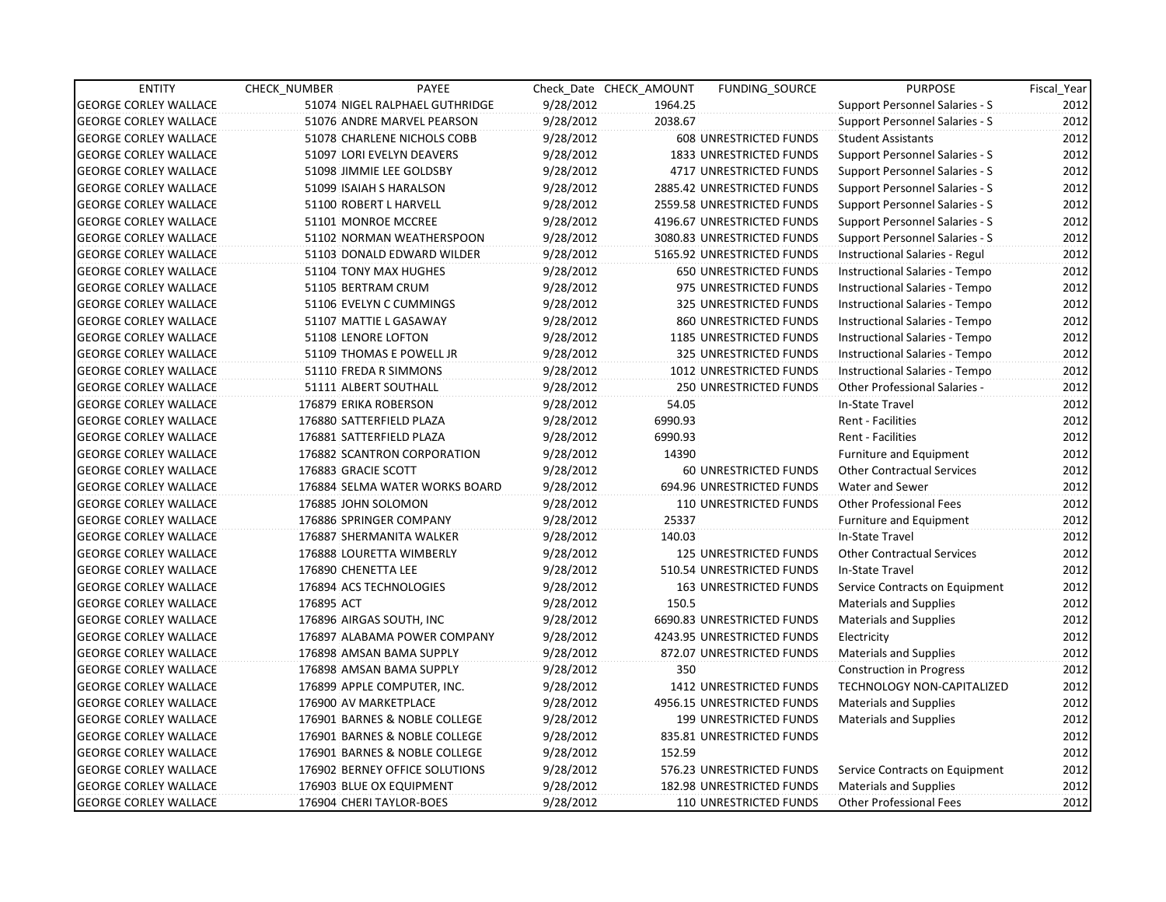| <b>ENTITY</b>                | <b>CHECK NUMBER</b>   | PAYEE                          |           | Check Date CHECK AMOUNT | FUNDING_SOURCE                 | <b>PURPOSE</b>                       | Fiscal Year |
|------------------------------|-----------------------|--------------------------------|-----------|-------------------------|--------------------------------|--------------------------------------|-------------|
| <b>GEORGE CORLEY WALLACE</b> |                       | 51074 NIGEL RALPHAEL GUTHRIDGE | 9/28/2012 | 1964.25                 |                                | Support Personnel Salaries - S       | 2012        |
| <b>GEORGE CORLEY WALLACE</b> |                       | 51076 ANDRE MARVEL PEARSON     | 9/28/2012 | 2038.67                 |                                | Support Personnel Salaries - S       | 2012        |
| <b>GEORGE CORLEY WALLACE</b> |                       | 51078 CHARLENE NICHOLS COBB    | 9/28/2012 |                         | <b>608 UNRESTRICTED FUNDS</b>  | <b>Student Assistants</b>            | 2012        |
| <b>GEORGE CORLEY WALLACE</b> |                       | 51097 LORI EVELYN DEAVERS      | 9/28/2012 |                         | 1833 UNRESTRICTED FUNDS        | Support Personnel Salaries - S       | 2012        |
| <b>GEORGE CORLEY WALLACE</b> |                       | 51098 JIMMIE LEE GOLDSBY       | 9/28/2012 |                         | <b>4717 UNRESTRICTED FUNDS</b> | Support Personnel Salaries - S       | 2012        |
| <b>GEORGE CORLEY WALLACE</b> |                       | 51099 ISAIAH S HARALSON        | 9/28/2012 |                         | 2885.42 UNRESTRICTED FUNDS     | Support Personnel Salaries - S       | 2012        |
| <b>GEORGE CORLEY WALLACE</b> |                       | 51100 ROBERT L HARVELL         | 9/28/2012 |                         | 2559.58 UNRESTRICTED FUNDS     | Support Personnel Salaries - S       | 2012        |
| <b>GEORGE CORLEY WALLACE</b> |                       | 51101 MONROE MCCREE            | 9/28/2012 |                         | 4196.67 UNRESTRICTED FUNDS     | Support Personnel Salaries - S       | 2012        |
| <b>GEORGE CORLEY WALLACE</b> |                       | 51102 NORMAN WEATHERSPOON      | 9/28/2012 |                         | 3080.83 UNRESTRICTED FUNDS     | Support Personnel Salaries - S       | 2012        |
| <b>GEORGE CORLEY WALLACE</b> |                       | 51103 DONALD EDWARD WILDER     | 9/28/2012 |                         | 5165.92 UNRESTRICTED FUNDS     | Instructional Salaries - Regul       | 2012        |
| <b>GEORGE CORLEY WALLACE</b> |                       | 51104 TONY MAX HUGHES          | 9/28/2012 |                         | 650 UNRESTRICTED FUNDS         | Instructional Salaries - Tempo       | 2012        |
| <b>GEORGE CORLEY WALLACE</b> | 51105 BERTRAM CRUM    |                                | 9/28/2012 |                         | 975 UNRESTRICTED FUNDS         | Instructional Salaries - Tempo       | 2012        |
| <b>GEORGE CORLEY WALLACE</b> |                       | 51106 EVELYN C CUMMINGS        | 9/28/2012 |                         | 325 UNRESTRICTED FUNDS         | Instructional Salaries - Tempo       | 2012        |
| <b>GEORGE CORLEY WALLACE</b> |                       | 51107 MATTIE L GASAWAY         | 9/28/2012 |                         | 860 UNRESTRICTED FUNDS         | Instructional Salaries - Tempo       | 2012        |
| <b>GEORGE CORLEY WALLACE</b> | 51108 LENORE LOFTON   |                                | 9/28/2012 |                         | 1185 UNRESTRICTED FUNDS        | Instructional Salaries - Tempo       | 2012        |
| <b>GEORGE CORLEY WALLACE</b> |                       | 51109 THOMAS E POWELL JR       | 9/28/2012 |                         | 325 UNRESTRICTED FUNDS         | Instructional Salaries - Tempo       | 2012        |
| <b>GEORGE CORLEY WALLACE</b> |                       | 51110 FREDA R SIMMONS          | 9/28/2012 |                         | 1012 UNRESTRICTED FUNDS        | Instructional Salaries - Tempo       | 2012        |
| <b>GEORGE CORLEY WALLACE</b> |                       | 51111 ALBERT SOUTHALL          | 9/28/2012 |                         | <b>250 UNRESTRICTED FUNDS</b>  | <b>Other Professional Salaries -</b> | 2012        |
| <b>GEORGE CORLEY WALLACE</b> | 176879 ERIKA ROBERSON |                                | 9/28/2012 | 54.05                   |                                | In-State Travel                      | 2012        |
| <b>GEORGE CORLEY WALLACE</b> |                       | 176880 SATTERFIELD PLAZA       | 9/28/2012 | 6990.93                 |                                | Rent - Facilities                    | 2012        |
| <b>GEORGE CORLEY WALLACE</b> |                       | 176881 SATTERFIELD PLAZA       | 9/28/2012 | 6990.93                 |                                | Rent - Facilities                    | 2012        |
| <b>GEORGE CORLEY WALLACE</b> |                       | 176882 SCANTRON CORPORATION    | 9/28/2012 | 14390                   |                                | <b>Furniture and Equipment</b>       | 2012        |
| <b>GEORGE CORLEY WALLACE</b> | 176883 GRACIE SCOTT   |                                | 9/28/2012 |                         | 60 UNRESTRICTED FUNDS          | <b>Other Contractual Services</b>    | 2012        |
| <b>GEORGE CORLEY WALLACE</b> |                       | 176884 SELMA WATER WORKS BOARD | 9/28/2012 |                         | 694.96 UNRESTRICTED FUNDS      | Water and Sewer                      | 2012        |
| <b>GEORGE CORLEY WALLACE</b> | 176885 JOHN SOLOMON   |                                | 9/28/2012 |                         | 110 UNRESTRICTED FUNDS         | <b>Other Professional Fees</b>       | 2012        |
| <b>GEORGE CORLEY WALLACE</b> |                       | 176886 SPRINGER COMPANY        | 9/28/2012 | 25337                   |                                | Furniture and Equipment              | 2012        |
| <b>GEORGE CORLEY WALLACE</b> |                       | 176887 SHERMANITA WALKER       | 9/28/2012 | 140.03                  |                                | In-State Travel                      | 2012        |
| <b>GEORGE CORLEY WALLACE</b> |                       | 176888 LOURETTA WIMBERLY       | 9/28/2012 |                         | 125 UNRESTRICTED FUNDS         | <b>Other Contractual Services</b>    | 2012        |
| <b>GEORGE CORLEY WALLACE</b> | 176890 CHENETTA LEE   |                                | 9/28/2012 |                         | 510.54 UNRESTRICTED FUNDS      | In-State Travel                      | 2012        |
| <b>GEORGE CORLEY WALLACE</b> |                       | 176894 ACS TECHNOLOGIES        | 9/28/2012 |                         | 163 UNRESTRICTED FUNDS         | Service Contracts on Equipment       | 2012        |
| <b>GEORGE CORLEY WALLACE</b> | 176895 ACT            |                                | 9/28/2012 | 150.5                   |                                | <b>Materials and Supplies</b>        | 2012        |
| <b>GEORGE CORLEY WALLACE</b> |                       | 176896 AIRGAS SOUTH, INC       | 9/28/2012 |                         | 6690.83 UNRESTRICTED FUNDS     | <b>Materials and Supplies</b>        | 2012        |
| <b>GEORGE CORLEY WALLACE</b> |                       | 176897 ALABAMA POWER COMPANY   | 9/28/2012 |                         | 4243.95 UNRESTRICTED FUNDS     | Electricity                          | 2012        |
| <b>GEORGE CORLEY WALLACE</b> |                       | 176898 AMSAN BAMA SUPPLY       | 9/28/2012 |                         | 872.07 UNRESTRICTED FUNDS      | <b>Materials and Supplies</b>        | 2012        |
| <b>GEORGE CORLEY WALLACE</b> |                       | 176898 AMSAN BAMA SUPPLY       | 9/28/2012 | 350                     |                                | Construction in Progress             | 2012        |
| <b>GEORGE CORLEY WALLACE</b> |                       | 176899 APPLE COMPUTER, INC.    | 9/28/2012 |                         | 1412 UNRESTRICTED FUNDS        | TECHNOLOGY NON-CAPITALIZED           | 2012        |
| <b>GEORGE CORLEY WALLACE</b> | 176900 AV MARKETPLACE |                                | 9/28/2012 |                         | 4956.15 UNRESTRICTED FUNDS     | <b>Materials and Supplies</b>        | 2012        |
| <b>GEORGE CORLEY WALLACE</b> |                       | 176901 BARNES & NOBLE COLLEGE  | 9/28/2012 |                         | 199 UNRESTRICTED FUNDS         | <b>Materials and Supplies</b>        | 2012        |
| <b>GEORGE CORLEY WALLACE</b> |                       | 176901 BARNES & NOBLE COLLEGE  | 9/28/2012 |                         | 835.81 UNRESTRICTED FUNDS      |                                      | 2012        |
| <b>GEORGE CORLEY WALLACE</b> |                       | 176901 BARNES & NOBLE COLLEGE  | 9/28/2012 | 152.59                  |                                |                                      | 2012        |
| <b>GEORGE CORLEY WALLACE</b> |                       | 176902 BERNEY OFFICE SOLUTIONS | 9/28/2012 |                         | 576.23 UNRESTRICTED FUNDS      | Service Contracts on Equipment       | 2012        |
| <b>GEORGE CORLEY WALLACE</b> |                       | 176903 BLUE OX EQUIPMENT       | 9/28/2012 |                         | 182.98 UNRESTRICTED FUNDS      | <b>Materials and Supplies</b>        | 2012        |
| <b>GEORGE CORLEY WALLACE</b> |                       | 176904 CHERI TAYLOR-BOES       | 9/28/2012 |                         | <b>110 UNRESTRICTED FUNDS</b>  | <b>Other Professional Fees</b>       | 2012        |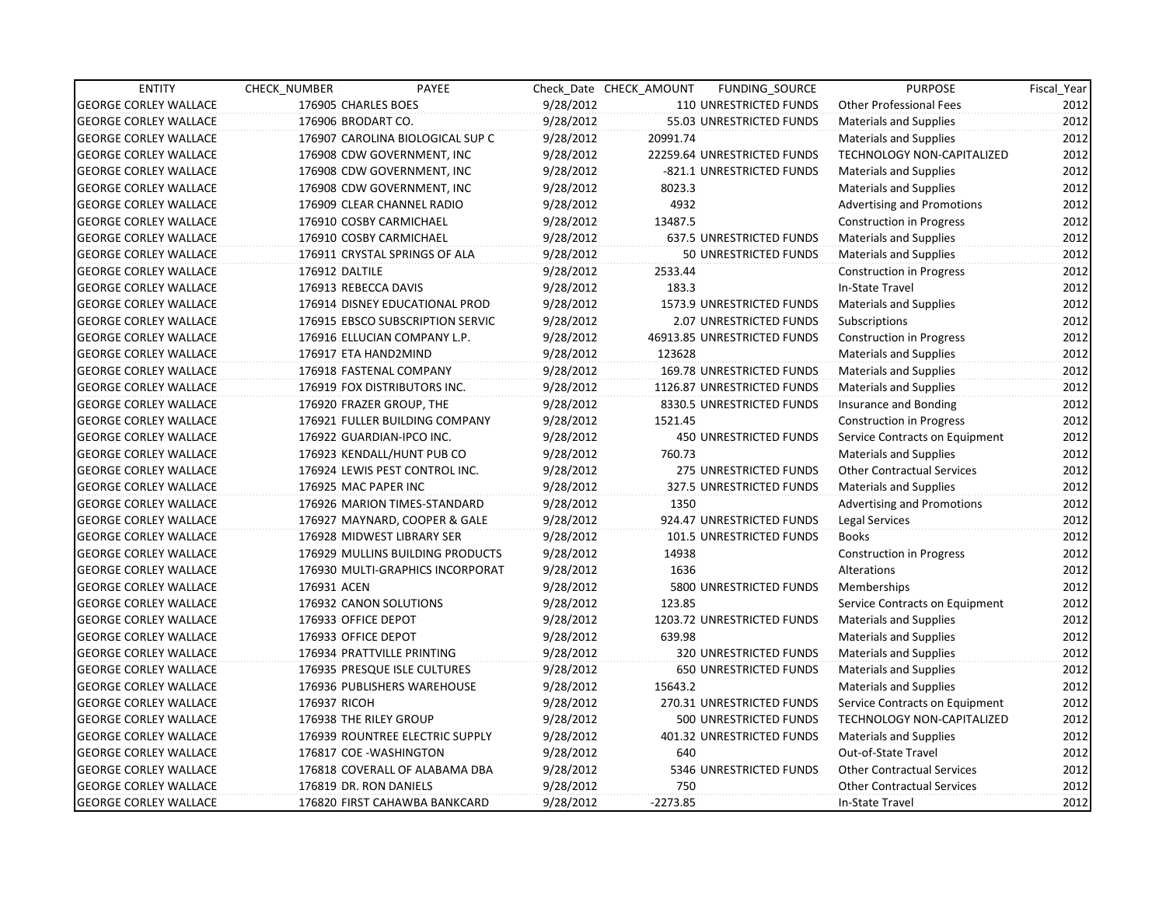| <b>ENTITY</b>                | CHECK NUMBER           | PAYEE                            |           | Check Date CHECK AMOUNT | FUNDING SOURCE                | <b>PURPOSE</b>                    | Fiscal Year |
|------------------------------|------------------------|----------------------------------|-----------|-------------------------|-------------------------------|-----------------------------------|-------------|
| <b>GEORGE CORLEY WALLACE</b> | 176905 CHARLES BOES    |                                  | 9/28/2012 |                         | 110 UNRESTRICTED FUNDS        | <b>Other Professional Fees</b>    | 2012        |
| <b>GEORGE CORLEY WALLACE</b> | 176906 BRODART CO.     |                                  | 9/28/2012 |                         | 55.03 UNRESTRICTED FUNDS      | <b>Materials and Supplies</b>     | 2012        |
| <b>GEORGE CORLEY WALLACE</b> |                        | 176907 CAROLINA BIOLOGICAL SUP C | 9/28/2012 | 20991.74                |                               | <b>Materials and Supplies</b>     | 2012        |
| <b>GEORGE CORLEY WALLACE</b> |                        | 176908 CDW GOVERNMENT, INC       | 9/28/2012 |                         | 22259.64 UNRESTRICTED FUNDS   | <b>TECHNOLOGY NON-CAPITALIZED</b> | 2012        |
| <b>GEORGE CORLEY WALLACE</b> |                        | 176908 CDW GOVERNMENT, INC       | 9/28/2012 |                         | -821.1 UNRESTRICTED FUNDS     | <b>Materials and Supplies</b>     | 2012        |
| <b>GEORGE CORLEY WALLACE</b> |                        | 176908 CDW GOVERNMENT, INC       | 9/28/2012 | 8023.3                  |                               | <b>Materials and Supplies</b>     | 2012        |
| <b>GEORGE CORLEY WALLACE</b> |                        | 176909 CLEAR CHANNEL RADIO       | 9/28/2012 | 4932                    |                               | Advertising and Promotions        | 2012        |
| <b>GEORGE CORLEY WALLACE</b> |                        | 176910 COSBY CARMICHAEL          | 9/28/2012 | 13487.5                 |                               | <b>Construction in Progress</b>   | 2012        |
| <b>GEORGE CORLEY WALLACE</b> |                        | 176910 COSBY CARMICHAEL          | 9/28/2012 |                         | 637.5 UNRESTRICTED FUNDS      | Materials and Supplies            | 2012        |
| <b>GEORGE CORLEY WALLACE</b> |                        | 176911 CRYSTAL SPRINGS OF ALA    | 9/28/2012 |                         | 50 UNRESTRICTED FUNDS         | <b>Materials and Supplies</b>     | 2012        |
| <b>GEORGE CORLEY WALLACE</b> | 176912 DALTILE         |                                  | 9/28/2012 | 2533.44                 |                               | <b>Construction in Progress</b>   | 2012        |
| <b>GEORGE CORLEY WALLACE</b> | 176913 REBECCA DAVIS   |                                  | 9/28/2012 | 183.3                   |                               | In-State Travel                   | 2012        |
| <b>GEORGE CORLEY WALLACE</b> |                        | 176914 DISNEY EDUCATIONAL PROD   | 9/28/2012 |                         | 1573.9 UNRESTRICTED FUNDS     | <b>Materials and Supplies</b>     | 2012        |
| <b>GEORGE CORLEY WALLACE</b> |                        | 176915 EBSCO SUBSCRIPTION SERVIC | 9/28/2012 |                         | 2.07 UNRESTRICTED FUNDS       | Subscriptions                     | 2012        |
| <b>GEORGE CORLEY WALLACE</b> |                        | 176916 ELLUCIAN COMPANY L.P.     | 9/28/2012 |                         | 46913.85 UNRESTRICTED FUNDS   | Construction in Progress          | 2012        |
| <b>GEORGE CORLEY WALLACE</b> | 176917 ETA HAND2MIND   |                                  | 9/28/2012 | 123628                  |                               | <b>Materials and Supplies</b>     | 2012        |
| <b>GEORGE CORLEY WALLACE</b> |                        | 176918 FASTENAL COMPANY          | 9/28/2012 |                         | 169.78 UNRESTRICTED FUNDS     | Materials and Supplies            | 2012        |
| <b>GEORGE CORLEY WALLACE</b> |                        | 176919 FOX DISTRIBUTORS INC.     | 9/28/2012 |                         | 1126.87 UNRESTRICTED FUNDS    | Materials and Supplies            | 2012        |
| <b>GEORGE CORLEY WALLACE</b> |                        | 176920 FRAZER GROUP, THE         | 9/28/2012 |                         | 8330.5 UNRESTRICTED FUNDS     | Insurance and Bonding             | 2012        |
| <b>GEORGE CORLEY WALLACE</b> |                        | 176921 FULLER BUILDING COMPANY   | 9/28/2012 | 1521.45                 |                               | <b>Construction in Progress</b>   | 2012        |
| <b>GEORGE CORLEY WALLACE</b> |                        | 176922 GUARDIAN-IPCO INC.        | 9/28/2012 |                         | <b>450 UNRESTRICTED FUNDS</b> | Service Contracts on Equipment    | 2012        |
| <b>GEORGE CORLEY WALLACE</b> |                        | 176923 KENDALL/HUNT PUB CO       | 9/28/2012 | 760.73                  |                               | <b>Materials and Supplies</b>     | 2012        |
| <b>GEORGE CORLEY WALLACE</b> |                        | 176924 LEWIS PEST CONTROL INC.   | 9/28/2012 |                         | 275 UNRESTRICTED FUNDS        | <b>Other Contractual Services</b> | 2012        |
| <b>GEORGE CORLEY WALLACE</b> | 176925 MAC PAPER INC   |                                  | 9/28/2012 |                         | 327.5 UNRESTRICTED FUNDS      | <b>Materials and Supplies</b>     | 2012        |
| <b>GEORGE CORLEY WALLACE</b> |                        | 176926 MARION TIMES-STANDARD     | 9/28/2012 | 1350                    |                               | <b>Advertising and Promotions</b> | 2012        |
| <b>GEORGE CORLEY WALLACE</b> |                        | 176927 MAYNARD, COOPER & GALE    | 9/28/2012 |                         | 924.47 UNRESTRICTED FUNDS     | Legal Services                    | 2012        |
| <b>GEORGE CORLEY WALLACE</b> |                        | 176928 MIDWEST LIBRARY SER       | 9/28/2012 |                         | 101.5 UNRESTRICTED FUNDS      | <b>Books</b>                      | 2012        |
| <b>GEORGE CORLEY WALLACE</b> |                        | 176929 MULLINS BUILDING PRODUCTS | 9/28/2012 | 14938                   |                               | Construction in Progress          | 2012        |
| <b>GEORGE CORLEY WALLACE</b> |                        | 176930 MULTI-GRAPHICS INCORPORAT | 9/28/2012 | 1636                    |                               | Alterations                       | 2012        |
| <b>GEORGE CORLEY WALLACE</b> | 176931 ACEN            |                                  | 9/28/2012 |                         | 5800 UNRESTRICTED FUNDS       | Memberships                       | 2012        |
| <b>GEORGE CORLEY WALLACE</b> | 176932 CANON SOLUTIONS |                                  | 9/28/2012 | 123.85                  |                               | Service Contracts on Equipment    | 2012        |
| <b>GEORGE CORLEY WALLACE</b> | 176933 OFFICE DEPOT    |                                  | 9/28/2012 |                         | 1203.72 UNRESTRICTED FUNDS    | Materials and Supplies            | 2012        |
| <b>GEORGE CORLEY WALLACE</b> | 176933 OFFICE DEPOT    |                                  | 9/28/2012 | 639.98                  |                               | <b>Materials and Supplies</b>     | 2012        |
| <b>GEORGE CORLEY WALLACE</b> |                        | 176934 PRATTVILLE PRINTING       | 9/28/2012 |                         | 320 UNRESTRICTED FUNDS        | <b>Materials and Supplies</b>     | 2012        |
| <b>GEORGE CORLEY WALLACE</b> |                        | 176935 PRESQUE ISLE CULTURES     | 9/28/2012 |                         | <b>650 UNRESTRICTED FUNDS</b> | <b>Materials and Supplies</b>     | 2012        |
| <b>GEORGE CORLEY WALLACE</b> |                        | 176936 PUBLISHERS WAREHOUSE      | 9/28/2012 | 15643.2                 |                               | <b>Materials and Supplies</b>     | 2012        |
| <b>GEORGE CORLEY WALLACE</b> | 176937 RICOH           |                                  | 9/28/2012 |                         | 270.31 UNRESTRICTED FUNDS     | Service Contracts on Equipment    | 2012        |
| <b>GEORGE CORLEY WALLACE</b> | 176938 THE RILEY GROUP |                                  | 9/28/2012 |                         | 500 UNRESTRICTED FUNDS        | TECHNOLOGY NON-CAPITALIZED        | 2012        |
| <b>GEORGE CORLEY WALLACE</b> |                        | 176939 ROUNTREE ELECTRIC SUPPLY  | 9/28/2012 |                         | 401.32 UNRESTRICTED FUNDS     | Materials and Supplies            | 2012        |
| <b>GEORGE CORLEY WALLACE</b> | 176817 COE-WASHINGTON  |                                  | 9/28/2012 | 640                     |                               | Out-of-State Travel               | 2012        |
| <b>GEORGE CORLEY WALLACE</b> |                        | 176818 COVERALL OF ALABAMA DBA   | 9/28/2012 |                         | 5346 UNRESTRICTED FUNDS       | <b>Other Contractual Services</b> | 2012        |
| <b>GEORGE CORLEY WALLACE</b> | 176819 DR. RON DANIELS |                                  | 9/28/2012 | 750                     |                               | <b>Other Contractual Services</b> | 2012        |
| <b>GEORGE CORLEY WALLACE</b> |                        | 176820 FIRST CAHAWBA BANKCARD    | 9/28/2012 | $-2273.85$              |                               | In-State Travel                   | 2012        |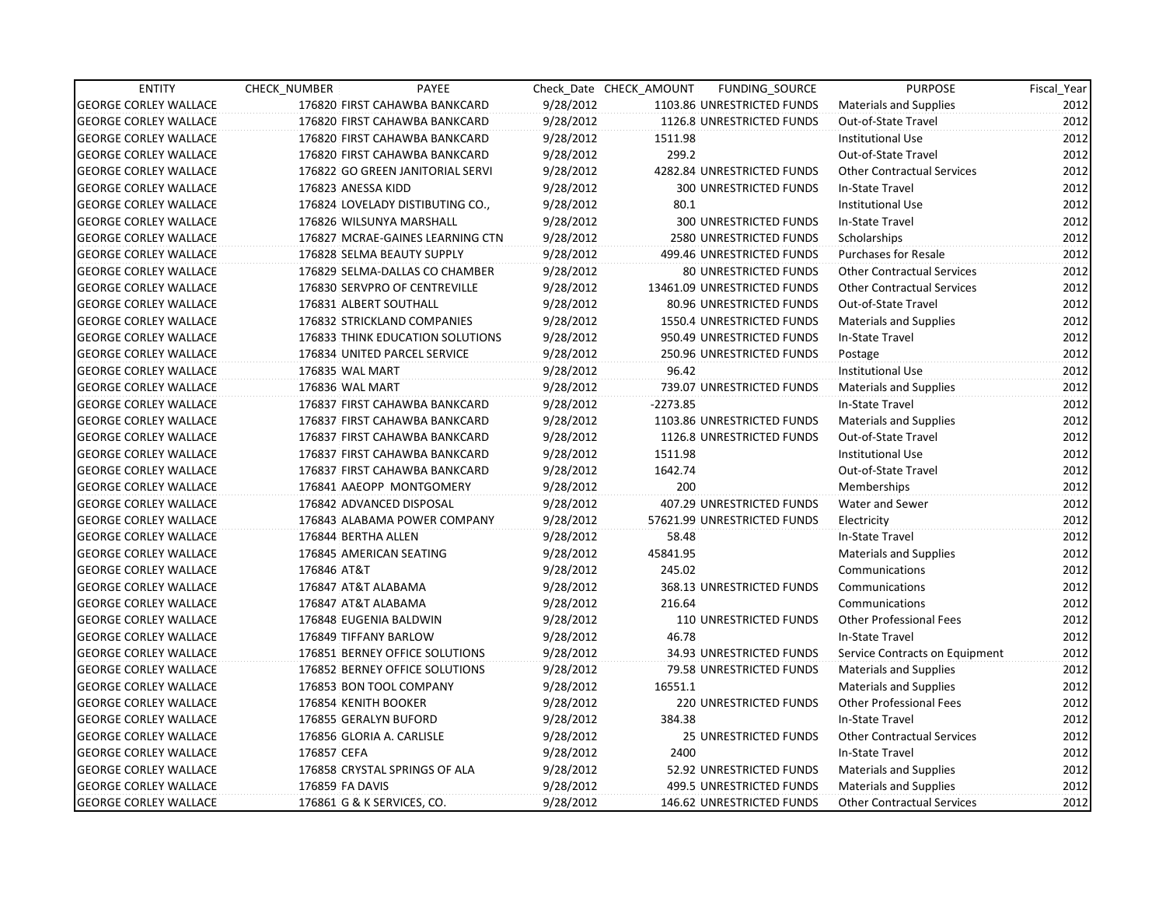| <b>ENTITY</b>                | CHECK_NUMBER           | PAYEE                            |           | Check Date CHECK AMOUNT | FUNDING_SOURCE                 | <b>PURPOSE</b>                    | Fiscal Year |
|------------------------------|------------------------|----------------------------------|-----------|-------------------------|--------------------------------|-----------------------------------|-------------|
| <b>GEORGE CORLEY WALLACE</b> |                        | 176820 FIRST CAHAWBA BANKCARD    | 9/28/2012 |                         | 1103.86 UNRESTRICTED FUNDS     | <b>Materials and Supplies</b>     | 2012        |
| <b>GEORGE CORLEY WALLACE</b> |                        | 176820 FIRST CAHAWBA BANKCARD    | 9/28/2012 |                         | 1126.8 UNRESTRICTED FUNDS      | Out-of-State Travel               | 2012        |
| <b>GEORGE CORLEY WALLACE</b> |                        | 176820 FIRST CAHAWBA BANKCARD    | 9/28/2012 | 1511.98                 |                                | <b>Institutional Use</b>          | 2012        |
| <b>GEORGE CORLEY WALLACE</b> |                        | 176820 FIRST CAHAWBA BANKCARD    | 9/28/2012 | 299.2                   |                                | Out-of-State Travel               | 2012        |
| <b>GEORGE CORLEY WALLACE</b> |                        | 176822 GO GREEN JANITORIAL SERVI | 9/28/2012 |                         | 4282.84 UNRESTRICTED FUNDS     | <b>Other Contractual Services</b> | 2012        |
| <b>GEORGE CORLEY WALLACE</b> | 176823 ANESSA KIDD     |                                  | 9/28/2012 |                         | 300 UNRESTRICTED FUNDS         | In-State Travel                   | 2012        |
| <b>GEORGE CORLEY WALLACE</b> |                        | 176824 LOVELADY DISTIBUTING CO., | 9/28/2012 | 80.1                    |                                | <b>Institutional Use</b>          | 2012        |
| <b>GEORGE CORLEY WALLACE</b> |                        | 176826 WILSUNYA MARSHALL         | 9/28/2012 |                         | <b>300 UNRESTRICTED FUNDS</b>  | In-State Travel                   | 2012        |
| <b>GEORGE CORLEY WALLACE</b> |                        | 176827 MCRAE-GAINES LEARNING CTN | 9/28/2012 |                         | <b>2580 UNRESTRICTED FUNDS</b> | Scholarships                      | 2012        |
| <b>GEORGE CORLEY WALLACE</b> |                        | 176828 SELMA BEAUTY SUPPLY       | 9/28/2012 |                         | 499.46 UNRESTRICTED FUNDS      | <b>Purchases for Resale</b>       | 2012        |
| <b>GEORGE CORLEY WALLACE</b> |                        | 176829 SELMA-DALLAS CO CHAMBER   | 9/28/2012 |                         | 80 UNRESTRICTED FUNDS          | <b>Other Contractual Services</b> | 2012        |
| <b>GEORGE CORLEY WALLACE</b> |                        | 176830 SERVPRO OF CENTREVILLE    | 9/28/2012 |                         | 13461.09 UNRESTRICTED FUNDS    | <b>Other Contractual Services</b> | 2012        |
| <b>GEORGE CORLEY WALLACE</b> | 176831 ALBERT SOUTHALL |                                  | 9/28/2012 |                         | 80.96 UNRESTRICTED FUNDS       | Out-of-State Travel               | 2012        |
| <b>GEORGE CORLEY WALLACE</b> |                        | 176832 STRICKLAND COMPANIES      | 9/28/2012 |                         | 1550.4 UNRESTRICTED FUNDS      | <b>Materials and Supplies</b>     | 2012        |
| <b>GEORGE CORLEY WALLACE</b> |                        | 176833 THINK EDUCATION SOLUTIONS | 9/28/2012 |                         | 950.49 UNRESTRICTED FUNDS      | In-State Travel                   | 2012        |
| <b>GEORGE CORLEY WALLACE</b> |                        | 176834 UNITED PARCEL SERVICE     | 9/28/2012 |                         | 250.96 UNRESTRICTED FUNDS      | Postage                           | 2012        |
| <b>GEORGE CORLEY WALLACE</b> | 176835 WAL MART        |                                  | 9/28/2012 | 96.42                   |                                | <b>Institutional Use</b>          | 2012        |
| <b>GEORGE CORLEY WALLACE</b> | 176836 WAL MART        |                                  | 9/28/2012 |                         | 739.07 UNRESTRICTED FUNDS      | Materials and Supplies            | 2012        |
| <b>GEORGE CORLEY WALLACE</b> |                        | 176837 FIRST CAHAWBA BANKCARD    | 9/28/2012 | $-2273.85$              |                                | In-State Travel                   | 2012        |
| <b>GEORGE CORLEY WALLACE</b> |                        | 176837 FIRST CAHAWBA BANKCARD    | 9/28/2012 |                         | 1103.86 UNRESTRICTED FUNDS     | <b>Materials and Supplies</b>     | 2012        |
| <b>GEORGE CORLEY WALLACE</b> |                        | 176837 FIRST CAHAWBA BANKCARD    | 9/28/2012 |                         | 1126.8 UNRESTRICTED FUNDS      | Out-of-State Travel               | 2012        |
| <b>GEORGE CORLEY WALLACE</b> |                        | 176837 FIRST CAHAWBA BANKCARD    | 9/28/2012 | 1511.98                 |                                | <b>Institutional Use</b>          | 2012        |
| <b>GEORGE CORLEY WALLACE</b> |                        | 176837 FIRST CAHAWBA BANKCARD    | 9/28/2012 | 1642.74                 |                                | Out-of-State Travel               | 2012        |
| <b>GEORGE CORLEY WALLACE</b> |                        | 176841 AAEOPP MONTGOMERY         | 9/28/2012 | 200                     |                                | Memberships                       | 2012        |
| <b>GEORGE CORLEY WALLACE</b> |                        | 176842 ADVANCED DISPOSAL         | 9/28/2012 |                         | 407.29 UNRESTRICTED FUNDS      | Water and Sewer                   | 2012        |
| <b>GEORGE CORLEY WALLACE</b> |                        | 176843 ALABAMA POWER COMPANY     | 9/28/2012 |                         | 57621.99 UNRESTRICTED FUNDS    | Electricity                       | 2012        |
| <b>GEORGE CORLEY WALLACE</b> | 176844 BERTHA ALLEN    |                                  | 9/28/2012 | 58.48                   |                                | In-State Travel                   | 2012        |
| <b>GEORGE CORLEY WALLACE</b> |                        | 176845 AMERICAN SEATING          | 9/28/2012 | 45841.95                |                                | <b>Materials and Supplies</b>     | 2012        |
| <b>GEORGE CORLEY WALLACE</b> | 176846 AT&T            |                                  | 9/28/2012 | 245.02                  |                                | Communications                    | 2012        |
| <b>GEORGE CORLEY WALLACE</b> | 176847 AT&T ALABAMA    |                                  | 9/28/2012 |                         | 368.13 UNRESTRICTED FUNDS      | Communications                    | 2012        |
| <b>GEORGE CORLEY WALLACE</b> | 176847 AT&T ALABAMA    |                                  | 9/28/2012 | 216.64                  |                                | Communications                    | 2012        |
| <b>GEORGE CORLEY WALLACE</b> | 176848 EUGENIA BALDWIN |                                  | 9/28/2012 |                         | <b>110 UNRESTRICTED FUNDS</b>  | <b>Other Professional Fees</b>    | 2012        |
| <b>GEORGE CORLEY WALLACE</b> | 176849 TIFFANY BARLOW  |                                  | 9/28/2012 | 46.78                   |                                | In-State Travel                   | 2012        |
| <b>GEORGE CORLEY WALLACE</b> |                        | 176851 BERNEY OFFICE SOLUTIONS   | 9/28/2012 |                         | 34.93 UNRESTRICTED FUNDS       | Service Contracts on Equipment    | 2012        |
| <b>GEORGE CORLEY WALLACE</b> |                        | 176852 BERNEY OFFICE SOLUTIONS   | 9/28/2012 |                         | 79.58 UNRESTRICTED FUNDS       | <b>Materials and Supplies</b>     | 2012        |
| <b>GEORGE CORLEY WALLACE</b> |                        | 176853 BON TOOL COMPANY          | 9/28/2012 | 16551.1                 |                                | <b>Materials and Supplies</b>     | 2012        |
| <b>GEORGE CORLEY WALLACE</b> | 176854 KENITH BOOKER   |                                  | 9/28/2012 |                         | <b>220 UNRESTRICTED FUNDS</b>  | <b>Other Professional Fees</b>    | 2012        |
| <b>GEORGE CORLEY WALLACE</b> | 176855 GERALYN BUFORD  |                                  | 9/28/2012 | 384.38                  |                                | In-State Travel                   | 2012        |
| <b>GEORGE CORLEY WALLACE</b> |                        | 176856 GLORIA A. CARLISLE        | 9/28/2012 |                         | <b>25 UNRESTRICTED FUNDS</b>   | <b>Other Contractual Services</b> | 2012        |
| <b>GEORGE CORLEY WALLACE</b> | 176857 CEFA            |                                  | 9/28/2012 | 2400                    |                                | In-State Travel                   | 2012        |
| <b>GEORGE CORLEY WALLACE</b> |                        | 176858 CRYSTAL SPRINGS OF ALA    | 9/28/2012 |                         | 52.92 UNRESTRICTED FUNDS       | Materials and Supplies            | 2012        |
| <b>GEORGE CORLEY WALLACE</b> | 176859 FA DAVIS        |                                  | 9/28/2012 |                         | 499.5 UNRESTRICTED FUNDS       | <b>Materials and Supplies</b>     | 2012        |
| <b>GEORGE CORLEY WALLACE</b> |                        | 176861 G & K SERVICES, CO.       | 9/28/2012 |                         | 146.62 UNRESTRICTED FUNDS      | <b>Other Contractual Services</b> | 2012        |